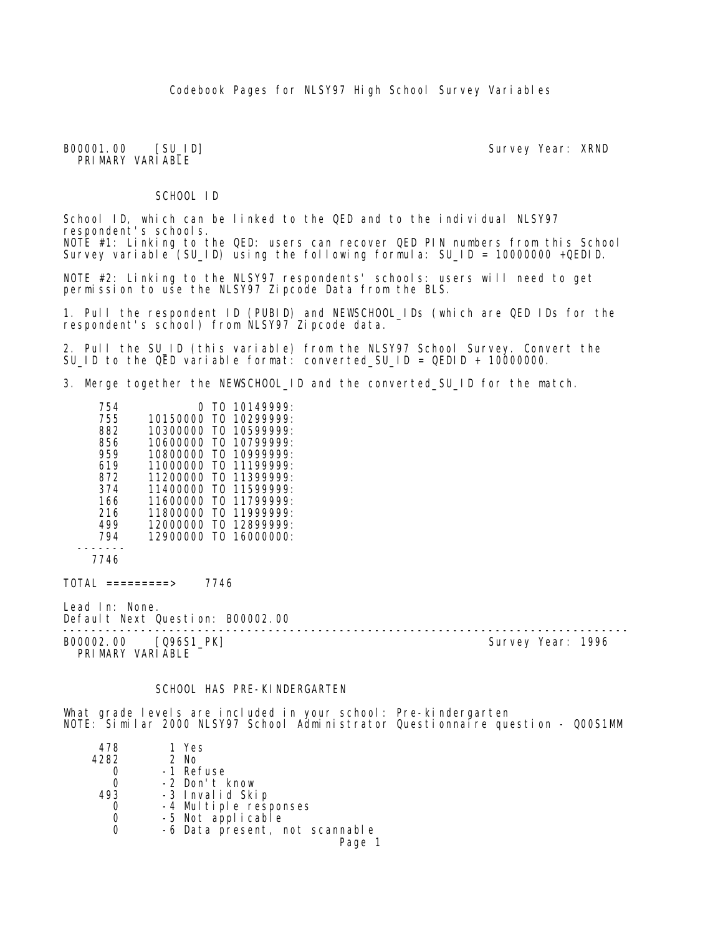B00001.00 [SU\_ID] Survey Year: XRND PRIMARY VARIABLE

SCHOOL ID

School ID, which can be linked to the QED and to the individual NLSY97 respondent's schools. NOTE #1: Linking to the QED: users can recover QED PIN numbers from this School Survey variable (SU\_ID) using the following formula: SU\_ID = 10000000 +QEDID.

NOTE #2: Linking to the NLSY97 respondents' schools: users will need to get permission to use the NLSY97 Zipcode Data from the BLS.

1. Pull the respondent ID (PUBID) and NEWSCHOOL\_IDs (which are QED IDs for the respondent's school) from NLSY97 Zipcode data.

2. Pull the SU\_ID (this variable) from the NLSY97 School Survey. Convert the SU\_ID to the QED variable format: converted\_SU\_ID = QEDID + 10000000.

3. Merge together the NEWSCHOOL\_ID and the converted\_SU\_ID for the match.

| 754 | Ω        | T0. | 10149999:        |
|-----|----------|-----|------------------|
| 755 | 10150000 | T0  | 10299999:        |
| 882 | 10300000 | T٨  | 10599999:        |
| 856 | 10600000 | TΩ  | 10799999:        |
| 959 | 10800000 | T٥  | 109999999:       |
| 619 | 11000000 | T۵  | 11199999:        |
| 872 | 11200000 | TΩ  | 11399999.        |
| 374 | 11400000 | TΩ  | 11599999:        |
| 166 | 11600000 | T0  | 11799999:        |
| 216 | 11800000 | TΩ  | 119999999:       |
| 499 | 12000000 | TΩ  | 12899999.        |
| 794 | 12900000 | TΩ  | $16000000 \cdot$ |
|     |          |     |                  |

7746

 $TOTAL$  =========> 7746

Lead In: None. Default Next Question: B00002.00

B00002.00 [Q96S1\_PK] PRIMARY VARIABLE

--------------------------------------------------------------------------------

#### SCHOOL HAS PRE-KINDERGARTEN

What grade levels are included in your school: Pre-kindergarten NOTE: Similar 2000 NLSY97 School Administrator Questionnaire question - Q00S1MM

| 478  | 1 Yes                          |
|------|--------------------------------|
| 4282 | 2 No                           |
|      | -1 Refuse                      |
|      | -2 Don't know                  |
| 493  | -3 Invalid Skip                |
|      | -4 Multiple responses          |
|      | -5 Not applicable              |
|      | -6 Data present, not scannable |
|      | Page 1                         |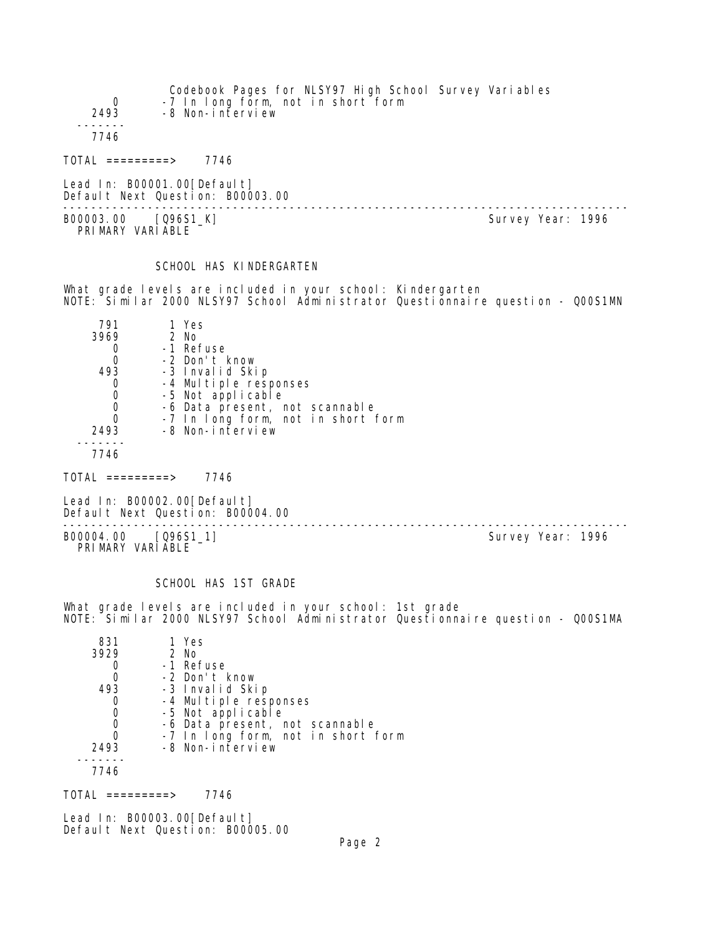| 0<br>2493        | Codebook Pages for NLSY97 High School Survey Variables<br>-7 In long form, not in short form<br>-8 Non-interview |
|------------------|------------------------------------------------------------------------------------------------------------------|
| 7746             |                                                                                                                  |
| TOTAL =========> | 7746                                                                                                             |

Lead In: B00001.00[Default] Default Next Question: B00003.00

-------------------------------------------------------------------------------- B00003.00 [Q96S1\_K] PRIMARY VARIABLE

# SCHOOL HAS KINDERGARTEN

What grade levels are included in your school: Kindergarten NOTE: Similar 2000 NLSY97 School Administrator Questionnaire question - Q00S1MN

| 791      | 1 Yes                                                  |
|----------|--------------------------------------------------------|
| 3969     | 2 No                                                   |
|          | -1 Refuse                                              |
| 0        | -2 Don't know                                          |
| 493      | -3 Invalid Skip                                        |
|          | -4 Multiple responses                                  |
|          | -5 Not applicable                                      |
|          | -6 Data present, not scannable                         |
| $\Omega$ | -7 In long form, not in short form<br>-8 Non-interview |
| 2493     |                                                        |
|          |                                                        |
| 7746     |                                                        |

TOTAL =========> 7746

Lead In: B00002.00[Default] Default Next Question: B00004.00

-------------------------------------------------------------------------------- B00004.00 [Q96S1\_1] Survey Year: 1996 PRIMARY VARIABLE

# SCHOOL HAS 1ST GRADE

What grade levels are included in your school: 1st grade NOTE: Similar 2000 NLSY97 School Administrator Questionnaire question - Q00S1MA

| 831  | 1 Yes                              |
|------|------------------------------------|
| 3929 | $2$ No                             |
|      | -1 Refuse                          |
|      | -2 Don't know                      |
| 493  | -3 Invalid Skip                    |
|      | -4 Multiple responses              |
|      | -5 Not applicable                  |
|      | -6 Data present, not scannable     |
|      | -7 In long form, not in short form |
| 2493 | -8 Non-interview                   |
|      |                                    |
| 7746 |                                    |

 $TOTAL$  ========> 7746

Lead In: B00003.00 [Default] Default Next Question: B00005.00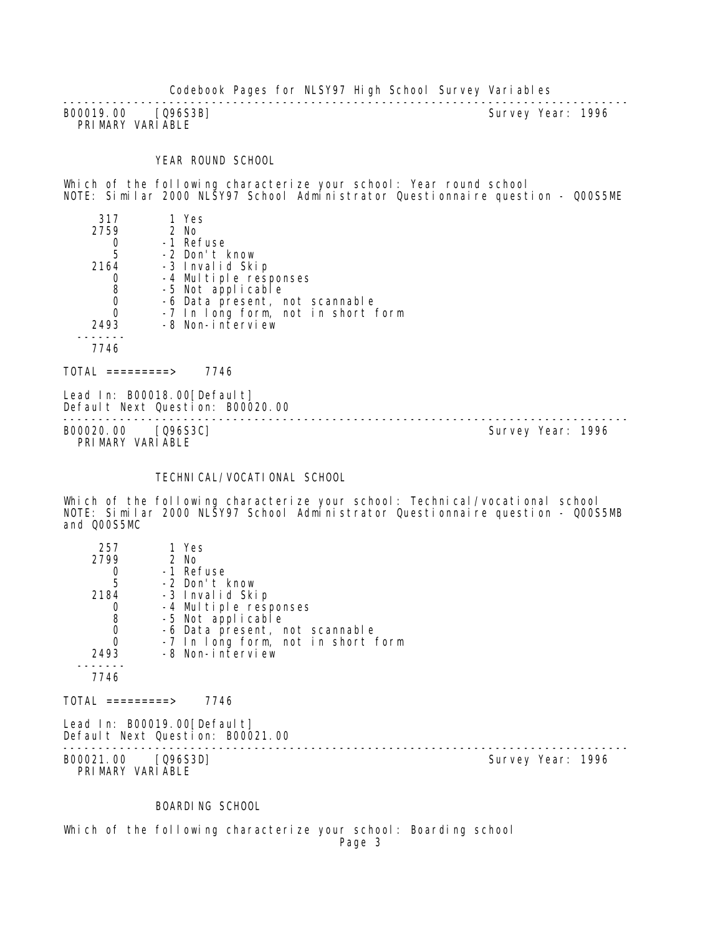-------------------------------------------------------------------------------- B00019.00 [Q96S3B] PRIMARY VARIABLE

#### YEAR ROUND SCHOOL

Which of the following characterize your school: Year round school NOTE: Similar 2000 NLSY97 School Administrator Questionnaire question - Q00S5ME

| 317        | 1 Yes |                                    |
|------------|-------|------------------------------------|
| 2759       | 2 No  |                                    |
|            |       | -1 Refuse                          |
| 5          |       | -2 Don't know                      |
| 2164       |       | -3 Invalid Skip                    |
|            |       | -4 Multiple responses              |
| 8          |       | -5 Not applicable                  |
|            |       | -6 Data present, not scannable     |
|            |       | -7 In long form, not in short form |
| 2493       |       | -8 Non-interview                   |
|            |       |                                    |
| 7746       |       |                                    |
| =========> |       | 7746                               |

Lead In: B00018.00[Default] Default Next Question: B00020.00

B00020.00 [Q96S3C] PRIMARY VARIABLE

--------------------------------------------------------------------------------

# TECHNICAL/VOCATIONAL SCHOOL

Which of the following characterize your school: Technical/vocational school NOTE: Similar 2000 NLSY97 School Administrator Questionnaire question - Q00S5MB and Q00S5MC

| 257                                            | 1 Yes                                                           |                   |  |
|------------------------------------------------|-----------------------------------------------------------------|-------------------|--|
| 2799                                           | 2 No                                                            |                   |  |
| $\begin{array}{c} 0 \\ 5 \end{array}$          | -1 Refuse                                                       |                   |  |
|                                                | -2 Don't know                                                   |                   |  |
| 2184                                           | -3 Invalid Skip                                                 |                   |  |
|                                                | -4 Multiple responses                                           |                   |  |
| $\begin{matrix} 0 \\ 8 \\ 0 \\ 0 \end{matrix}$ | -5 Not applicable                                               |                   |  |
|                                                | -6 Data present, not scannable                                  |                   |  |
|                                                | -7 In long form, not in short form                              |                   |  |
| 2493                                           | -8 Non-interview                                                |                   |  |
|                                                |                                                                 |                   |  |
| 7746                                           |                                                                 |                   |  |
| $\text{TOTAL}$ =========>                      | 7746                                                            |                   |  |
|                                                | Lead In: B00019.00[Default]<br>Default Next Question: B00021.00 |                   |  |
|                                                |                                                                 |                   |  |
| B00021.00 [Q96S3D]                             |                                                                 | Survey Year: 1996 |  |
| PRIMARY VARIABLE                               |                                                                 |                   |  |
|                                                |                                                                 |                   |  |

BOARDING SCHOOL

Which of the following characterize your school: Boarding school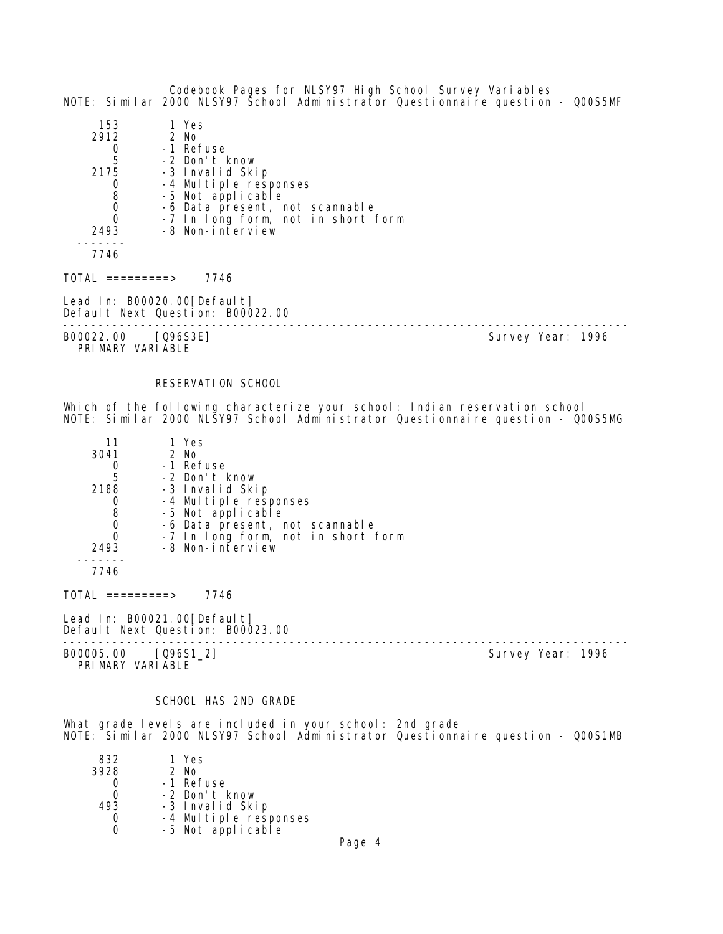Codebook Pages for NLSY97 High School Survey Variables NOTE: Similar 2000 NLSY97 School Administrator Questionnaire question - Q00S5MF 153 1 Yes  $2912$ <sup>0</sup> 0 -1 Refuse 5 -2 Don't know 2175 -3 Invalid Skip 0 -4 Multiple responses<br>8 -5 Not applicable 8 -5 Not applicable<br>0 -6 Data present. 0 -6 Data present, not scannable 0 -7 In long form, not in short form 2493 -8 Non-interview ------- 7746  $TOTAL$  =========> 7746 Lead In: B00020.00 [Default] Default Next Question: B00022.00 -------------------------------------------------------------------------------- B00022.00 [Q96S3E] PRIMARY VARIABLE

#### RESERVATION SCHOOL

Which of the following characterize your school: Indian reservation school NOTE: Similar 2000 NLSY97 School Administrator Questionnaire question - Q00S5MG

| 11   | 1 Yes                                      |
|------|--------------------------------------------|
| 3041 | $2$ No                                     |
|      | -1 Refuse                                  |
| 5    | -2 Don't know                              |
| 2188 | -3 Invalid Skip                            |
|      | -4 Multiple responses<br>-5 Not applicable |
| 8    |                                            |
|      | -6 Data present, not scannable             |
|      | -7 In long form, not in short form         |
| 2493 | -8 Non-interview                           |
|      |                                            |

7746

TOTAL =========> 7746

Lead In: B00021.00 [Default] Default Next Question: B00023.00

-------------------------------------------------------------------------------- B00005.00 [Q96S1\_2] Survey Year: 1996 PRIMARY VARIABLE

#### SCHOOL HAS 2ND GRADE

What grade levels are included in your school: 2nd grade NOTE: Similar 2000 NLSY97 School Administrator Questionnaire question - Q00S1MB

| 832  | 1 Yes                                      |
|------|--------------------------------------------|
| 3928 | 2 No                                       |
|      | -1 Refuse                                  |
| ი    | -2 Don't know                              |
| 493  | -3 Invalid Skip                            |
|      |                                            |
| U    | -4 Multiple responses<br>-5 Not applicable |
|      |                                            |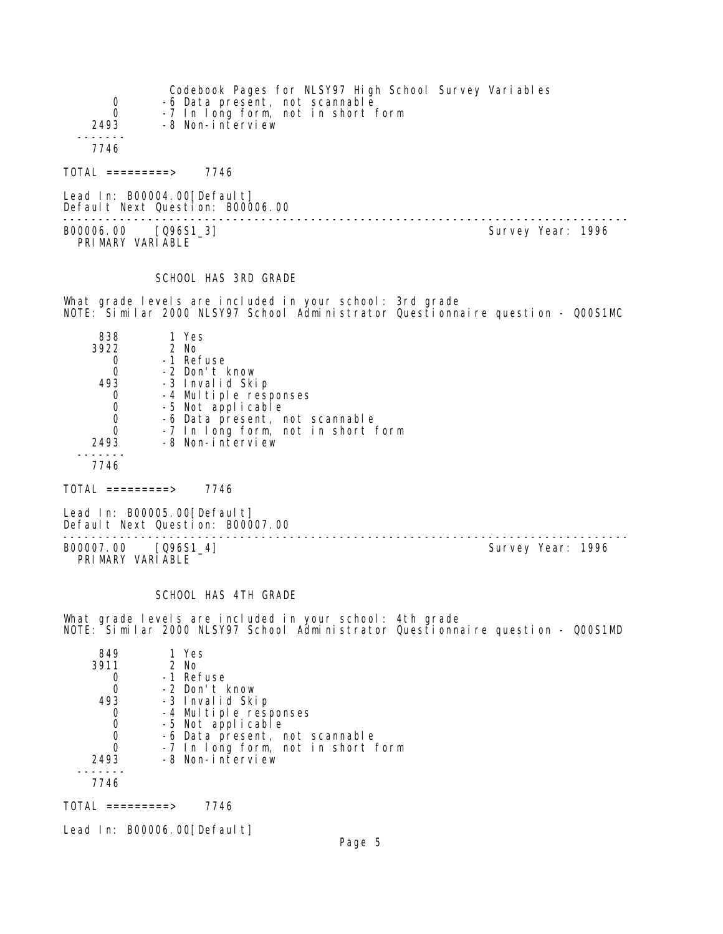| 0<br>0<br>2493                                           | Codebook Pages for NLSY97 High School Survey Variables<br>-6 Data present, not scannable<br>-7 In long form, not in short form<br>-8 Non-interview                                                       |                                                                                 |
|----------------------------------------------------------|----------------------------------------------------------------------------------------------------------------------------------------------------------------------------------------------------------|---------------------------------------------------------------------------------|
| 7746                                                     |                                                                                                                                                                                                          |                                                                                 |
| $TOTAL$ =========> 7746                                  |                                                                                                                                                                                                          |                                                                                 |
|                                                          | Lead In: B00004.00[Default]<br>Default Next Question: B00006.00                                                                                                                                          |                                                                                 |
| B00006.00 [Q96S1_3]<br>PRIMARY VARIABLE                  |                                                                                                                                                                                                          | Survey Year: 1996                                                               |
|                                                          | SCHOOL HAS 3RD GRADE                                                                                                                                                                                     |                                                                                 |
|                                                          | What grade levels are included in your school: 3rd grade                                                                                                                                                 | NOTE: Šimilar 2000 NLSY97 School Administrator Questionnaire question - QOOS1MC |
| 838<br>3922<br>0<br>0<br>493<br>0<br>0<br>0<br>0<br>2493 | 1 Yes<br>2 No<br>-1 Refuse<br>-2 Don't know<br>-3 Invalid Skip<br>-4 Multiple responses<br>-5 Not applicable<br>-6 Data present, not scannable<br>-7 In long form, not in short form<br>-8 Non-interview |                                                                                 |
| 7746                                                     |                                                                                                                                                                                                          |                                                                                 |
| $\text{TOTAL}$ =========> 7746                           |                                                                                                                                                                                                          |                                                                                 |
|                                                          | Lead In: B00005.00[Default]<br>Default Next Question: B00007.00                                                                                                                                          |                                                                                 |
| B00007.00 [Q96S1_4]<br>PRIMARY VARIABLE                  |                                                                                                                                                                                                          | Survey Year: 1996                                                               |
|                                                          | SCHOOL HAS 4TH GRADE                                                                                                                                                                                     |                                                                                 |
|                                                          | What grade levels are included in your school: 4th grade                                                                                                                                                 | NOTE: Similar 2000 NLSY97 School Administrator Questionnaire question - QOOS1MD |
| 849<br>3911<br>0<br>0<br>493<br>0<br>0<br>0<br>0         | 1 Yes<br>2 No<br>-1 Refuse<br>-2 Don't know<br>-3 Invalid Skip<br>-4 Multiple responses<br>-5 Not applicable<br>-6 Data present, not scannable<br>-7 In long form, not in short form                     |                                                                                 |

TOTAL =========> 7746

 ------- 7746

Lead In: B00006.00[Default]

2493 -8 Non-interview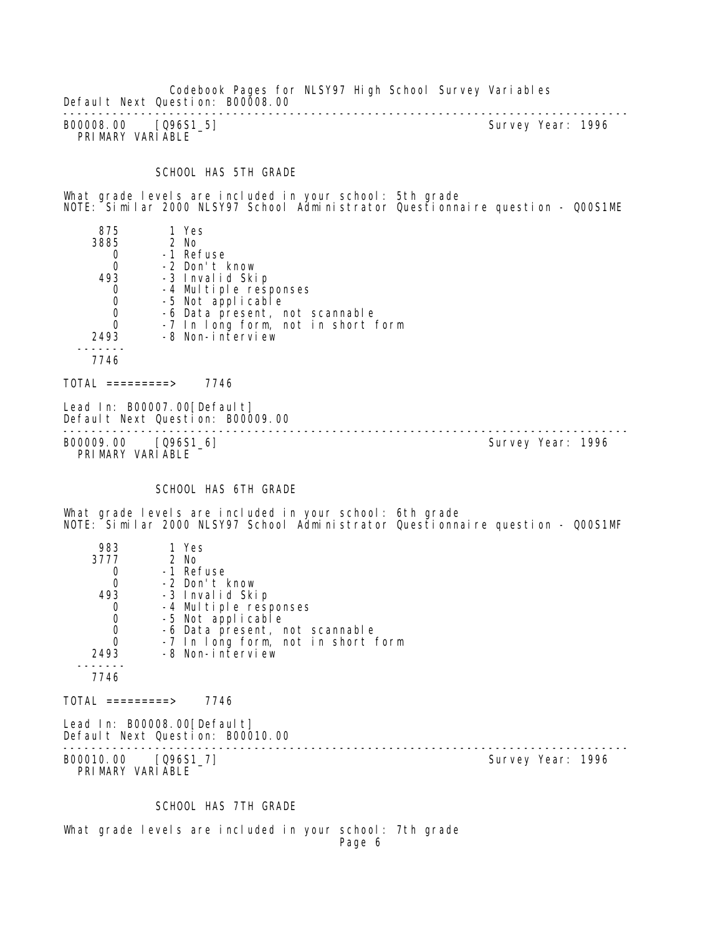Codebook Pages for NLSY97 High School Survey Variables Default Next Question: B00008.00 --------------------------------------------------------------------------------

B00008.00 [Q96S1\_5] PRIMARY VARIABLE

#### SCHOOL HAS 5TH GRADE

What grade levels are included in your school: 5th grade NOTE: Similar 2000 NLSY97 School Administrator Questionnaire question - Q00S1ME

 875 1 Yes 3885 2 No 0 -1 Refuse<br>0 -2 Don't H 0 -2 Don't know 493 -3 Invalid Skip 0 -4 Multiple responses<br>0 -5 Not applicable 0 -5 Not applicable 0 -6 Data present, not scannable 0 -7 In long form, not in short form 2493 -8 Non-interview ------- 7746

 $TOTAL$  ========> 7746

Lead In: B00007.00 [Default] Default Next Question: B00009.00

-------------------------------------------------------------------------------- B00009.00 [096S1\_6] PRIMARY VARIABLE

#### SCHOOL HAS 6TH GRADE

What grade levels are included in your school: 6th grade NOTE: Similar 2000 NLSY97 School Administrator Questionnaire question - Q00S1MF

| 983                                     | 1 Yes                                                              |                   |
|-----------------------------------------|--------------------------------------------------------------------|-------------------|
| 3777                                    | 2 No                                                               |                   |
| 0                                       | -1 Refuse                                                          |                   |
| $\mathbf 0$                             | -2 Don't know                                                      |                   |
| 493                                     | -3 Invalid Skip                                                    |                   |
| 0                                       | -4 Multiple responses                                              |                   |
| $\mathbf 0$                             | -5 Not applicable                                                  |                   |
| $\mathbf 0$                             | -6 Data present, not scannable                                     |                   |
| $\mathbf 0$                             | -7 In long form, not in short form                                 |                   |
| 2493                                    | -8 Non-interview                                                   |                   |
|                                         |                                                                    |                   |
| 7746                                    |                                                                    |                   |
| $TOTAL$ ==========>                     | 7746                                                               |                   |
|                                         | Lead In: $B00008.00$ [Default]<br>Default Next Question: B00010.00 |                   |
| B00010.00 [096S1_7]<br>PRIMARY VARIABLE |                                                                    | Survey Year: 1996 |

SCHOOL HAS 7TH GRADE

What grade levels are included in your school: 7th grade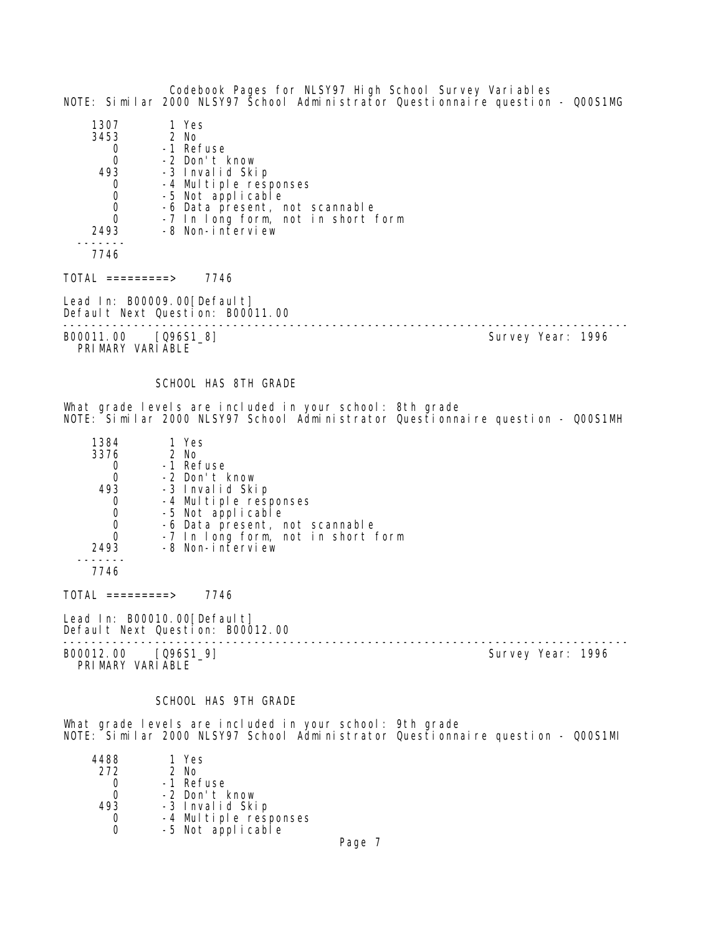Codebook Pages for NLSY97 High School Survey Variables NOTE: Similar 2000 NLSY97 School Administrator Questionnaire question - Q00S1MG 1307 1 Yes  $3453$ 0 -1 Refuse<br>0 -2 Don't I 0 -2 Don't know<br>493 -3 Invalid Ski eddard 1885 - 3 Invalid Skip<br>1936 - 4 Multiple resu 0 -4 Multiple responses<br>0 -5 Not applicable 0 -5 Not applicable<br>0 -6 Data present.r 0 -6 Data present, not scannable<br>0 -7 In Long form not in short 0 -7 In long form, not in short form<br>2493 -8 Non-interview -8 Non-interview ------- 7746  $TOTAL$  =========> 7746 Lead In: B00009.00 [Default] Default Next Question: B00011.00 -------------------------------------------------------------------------------- B00011.00 [Q96S1\_8] PRIMARY VARIABLE SCHOOL HAS 8TH GRADE What grade levels are included in your school: 8th grade NOTE: Similar 2000 NLSY97 School Administrator Questionnaire question - Q00S1MH 1384 1 Yes 3376 2 No.<br>3376 2 No.<br>3476 2 No. 0 -1 Refuse<br>0 -2 Don't I 0 -2 Don't know<br>493 -3 Invalid Sk 493 -3 Invalid Skip 0 -4 Multiple responses<br>0 -5 Not applicable 0 -5 Not applicable<br>0 -6 Data present 0 -6 Data present, not scannable 0 -7 In long form, not in short form 2493 -8 Non-interview ------- 7746 TOTAL =========> 7746 Lead In: B00010.00 [Default] Default Next Question: B00012.00 -------------------------------------------------------------------------------- B00012.00 [Q96S1\_9] PRI MARY VARI ABLE SCHOOL HAS 9TH GRADE

What grade levels are included in your school: 9th grade NOTE: Similar 2000 NLSY97 School Administrator Questionnaire question - Q00S1MI

| 4488 | 1 Yes                                      |
|------|--------------------------------------------|
| 272  | $2$ No                                     |
| O    | -1 Refuse                                  |
| O    | -2 Don't know                              |
| 493  | -3 Invalid Skip                            |
|      |                                            |
| Ω    | -4 Multiple responses<br>-5 Not applicable |
|      |                                            |

Page 7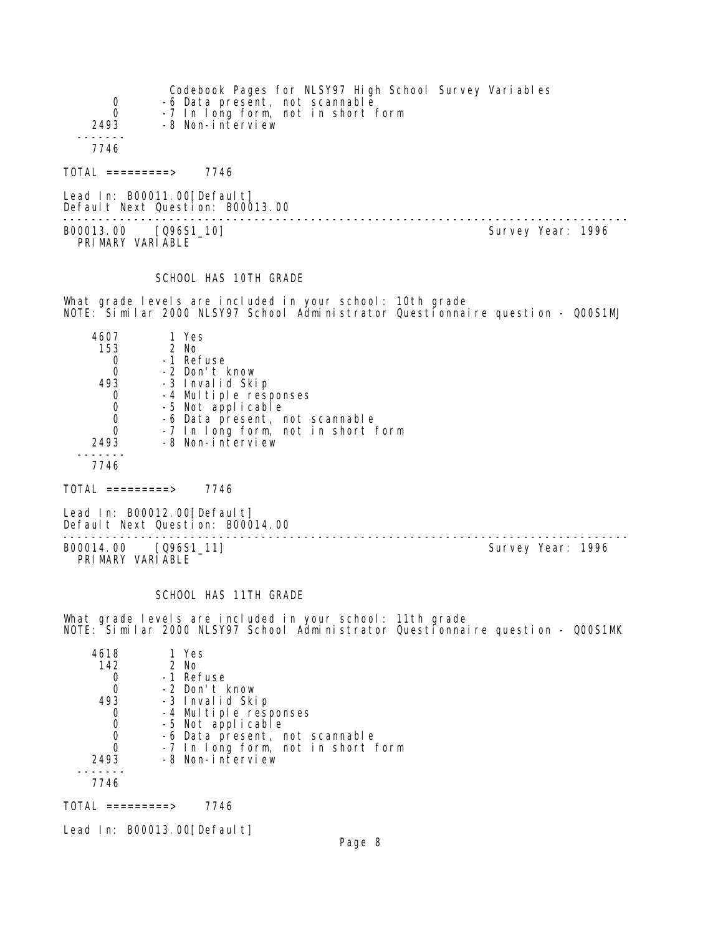| 0<br>0<br>2493<br>-8 Non-interview                                                                                                                                                           | Codebook Pages for NLSY97 High School Survey Variables<br>-6 Data present, not scannable<br>-7 In long form, not in short form               |                   |
|----------------------------------------------------------------------------------------------------------------------------------------------------------------------------------------------|----------------------------------------------------------------------------------------------------------------------------------------------|-------------------|
| 7746                                                                                                                                                                                         |                                                                                                                                              |                   |
| $TOTAL$ =========> 7746                                                                                                                                                                      |                                                                                                                                              |                   |
| Lead In: B00011.00 [Default]<br>Default Next Question: B00013.00                                                                                                                             | ---------------------------------                                                                                                            |                   |
| B00013.00 [096S1_10]<br>PRIMARY VARIABLE                                                                                                                                                     |                                                                                                                                              | Survey Year: 1996 |
| SCHOOL HAS 10TH GRADE                                                                                                                                                                        |                                                                                                                                              |                   |
|                                                                                                                                                                                              | What grade levels are included in your school: 10th grade<br>NOTE: Similar 2000 NLSY97 School Administrator Questionnaire question - QOOS1MJ |                   |
| 4607<br>1 Yes<br>2 No<br>153<br>-1 Refuse<br>0<br>-2 Don't know<br>0<br>493<br>-3 Invalid Skip<br>-4 Multiple responses<br>0<br>-5 Not applicable<br>0<br>0<br>0<br>-8 Non-interview<br>2493 | -6 Data present, not scannable<br>-7 In long form, not in short form                                                                         |                   |
| 7746                                                                                                                                                                                         |                                                                                                                                              |                   |
| TOTAL =========> 7746                                                                                                                                                                        |                                                                                                                                              |                   |
| Lead In: B00012.00 [Default]<br>Default Next Question: B00014.00                                                                                                                             | -----------------------------                                                                                                                |                   |
| [096S1_11]<br>B00014.00<br>PRIMARY VARIABLE                                                                                                                                                  |                                                                                                                                              | Survey Year: 1996 |
| SCHOOL HAS 11TH GRADE                                                                                                                                                                        | $\sim$ . The contract of the contract of the contract of the contract of $\sim$ 4.4 mHz contracts.                                           |                   |

What grade levels are included in your school: 11th grade NOTE: Similar 2000 NLSY97 School Administrator Questionnaire question - Q00S1MK

| 4618 | 1 Yes                              |
|------|------------------------------------|
| 142  | $2$ No                             |
|      | -1 Refuse                          |
|      | -2 Don't know                      |
| 493  | -3 Invalid Skip                    |
|      | -4 Multiple responses              |
|      | -5 Not applicable                  |
| 0    | -6 Data present, not scannable     |
| 0    | -7 In long form, not in short form |
| 2493 | -8 Non-interview                   |
|      |                                    |
| 7746 |                                    |

TOTAL =========> 7746

Lead In: B00013.00[Default]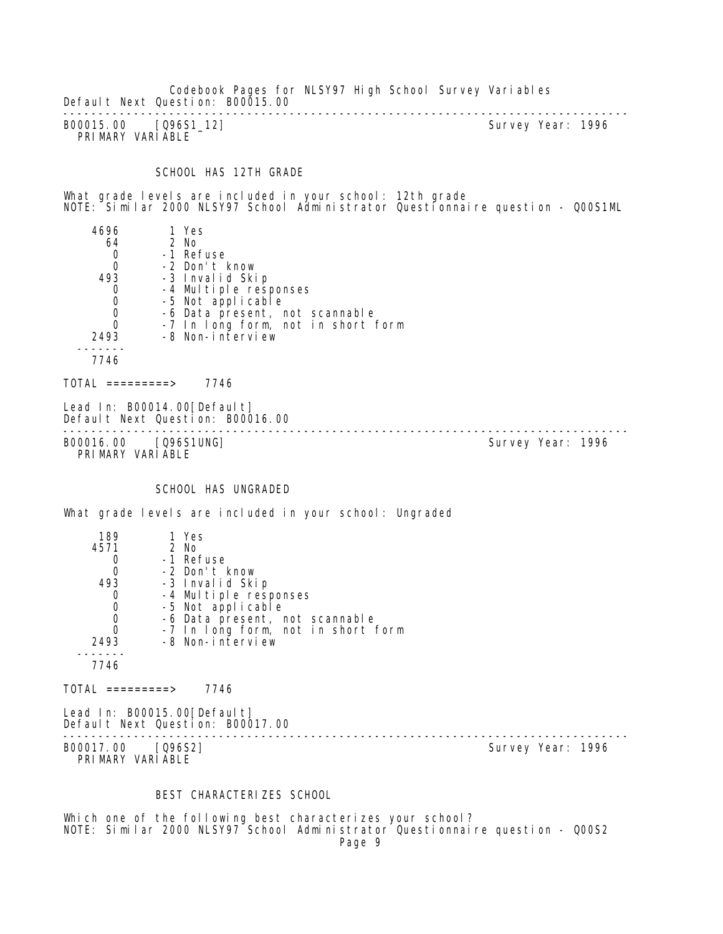Codebook Pages for NLSY97 High School Survey Variables Default Next Question: B00015.00 --------------------------------------------------------------------------------

B00015.00 [Q96S1\_12] PRIMARY VARIABLE

#### SCHOOL HAS 12TH GRADE

What grade levels are included in your school: 12th grade NOTE: Similar 2000 NLSY97 School Administrator Questionnaire question - Q00S1ML

 4696 1 Yes 64 2 No 0 -1 Refuse<br>0 -2 Don't H 0 -2 Don't know<br>493 -3 Invalid Ski eddored a serious 1<br>1931 - 20 Invalid Skip<br>1942 Multiple res 0 -4 Multiple responses<br>0 -5 Not applicable 0 -5 Not applicable 0 -6 Data present, not scannable 0 -7 In long form, not in short form 2493 -8 Non-interview ------- 7746

 $TOTAL$  ========> 7746

Lead In: B00014.00 [Default] Default Next Question: B00016.00

-------------------------------------------------------------------------------- B00016.00 [Q96S1UNG] PRIMARY VARIABLE

#### SCHOOL HAS UNGRADED

What grade levels are included in your school: Ungraded

| 189  | 1 Yes                              |
|------|------------------------------------|
| 4571 | 2 No                               |
|      | -1 Refuse                          |
|      | -2 Don't know                      |
| 493  | -3 Invalid Skip                    |
|      | -4 Multiple responses              |
|      | -5 Not applicable                  |
|      | -6 Data present, not scannable     |
|      | -7 In long form, not in short form |
| 2493 | -8 Non-interview                   |
|      |                                    |
| 7746 |                                    |

 $TOTAL$  =========> 7746

Lead In: B00015.00 [Default] Default Next Question: B00017.00

B00017.00 [Q96S2] PRIMARY VARIABLE

--------------------------------------------------------------------------------

#### BEST CHARACTERIZES SCHOOL

Which one of the following best characterizes your school? NOTE: Similar 2000 NLSY97 School Administrator Questionnaire question - Q00S2 Page 9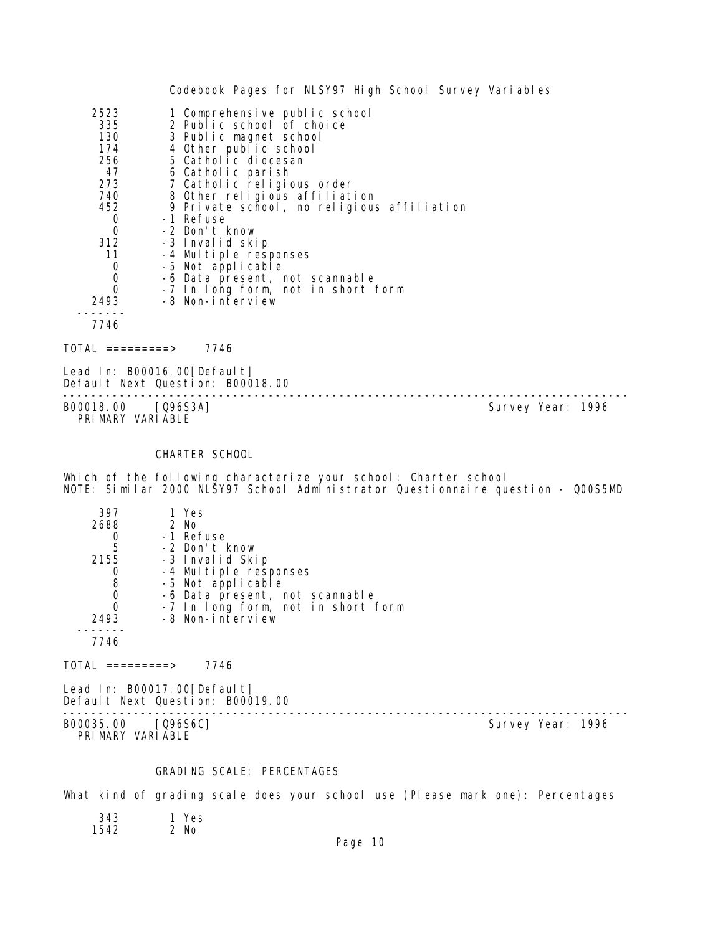|                                                                                                                  | Codebook Pages for NLSY97 High School Survey Variables                                                                                                                                                                                                                                                                                                                                                                                                            |                   |  |
|------------------------------------------------------------------------------------------------------------------|-------------------------------------------------------------------------------------------------------------------------------------------------------------------------------------------------------------------------------------------------------------------------------------------------------------------------------------------------------------------------------------------------------------------------------------------------------------------|-------------------|--|
| 2523<br>335<br>130<br>174<br>256<br>47<br>273<br>740<br>452<br>$\sigma$<br>0<br>312<br>11<br>0<br>0<br>0<br>2493 | 1 Comprehensive public school<br>2 Public school of choice<br>3 Public magnet school<br>4 Other public school<br>5 Catholic diocesan<br>6 Catholic parish<br>7 Catholic religious order<br>8 Other religious affiliation<br>9 Private school, no religious affiliation<br>-1 Refuse<br>-2 Don't know<br>-3 Invalid skip<br>-4 Multiple responses<br>-5 Not applicable<br>-6 Data present, not scannable<br>-7 In long form, not in short form<br>-8 Non-interview |                   |  |
| 7746<br>TOTAL =========> 7746                                                                                    |                                                                                                                                                                                                                                                                                                                                                                                                                                                                   |                   |  |
| Lead In: B00016.00[Default]                                                                                      | Default Next Question: B00018.00                                                                                                                                                                                                                                                                                                                                                                                                                                  |                   |  |
| B00018.00 [Q96S3A]<br>PRIMARY VARIABLE                                                                           |                                                                                                                                                                                                                                                                                                                                                                                                                                                                   | Survey Year: 1996 |  |
|                                                                                                                  | CHARTER SCHOOL                                                                                                                                                                                                                                                                                                                                                                                                                                                    |                   |  |
|                                                                                                                  | Which of the following characterize your school: Charter school<br>NOTE: Similar 2000 NLŠY97 School Adml̃nistrator Questionnaire question - Q00S5MD                                                                                                                                                                                                                                                                                                               |                   |  |
| 397<br>2688<br>O.<br>5<br>2155<br>0<br>8<br>0<br>$\overline{0}$<br>2493<br>7746                                  | 1 Yes<br>2 No<br>-1 Refuse<br>-2 Don't know<br>-3 Invalid Skip<br>-4 Multiple responses<br>-5 Not applicable<br>-6 Data present, not scannable<br>-7 In long form, not in short form<br>-8 Non-interview                                                                                                                                                                                                                                                          |                   |  |
| TOTAL =========>                                                                                                 | 7746                                                                                                                                                                                                                                                                                                                                                                                                                                                              |                   |  |
| Lead In: B00017.00[Default]                                                                                      | Default Next Question: B00019.00                                                                                                                                                                                                                                                                                                                                                                                                                                  |                   |  |
| B00035.00 [Q96S6C]<br>PRIMARY VARIABLE                                                                           |                                                                                                                                                                                                                                                                                                                                                                                                                                                                   | Survey Year: 1996 |  |
|                                                                                                                  | GRADING SCALE: PERCENTAGES                                                                                                                                                                                                                                                                                                                                                                                                                                        |                   |  |
|                                                                                                                  | What kind of grading scale does your school use (Please mark one): Percentages                                                                                                                                                                                                                                                                                                                                                                                    |                   |  |

1 Yes<br>2 No 343<br>1542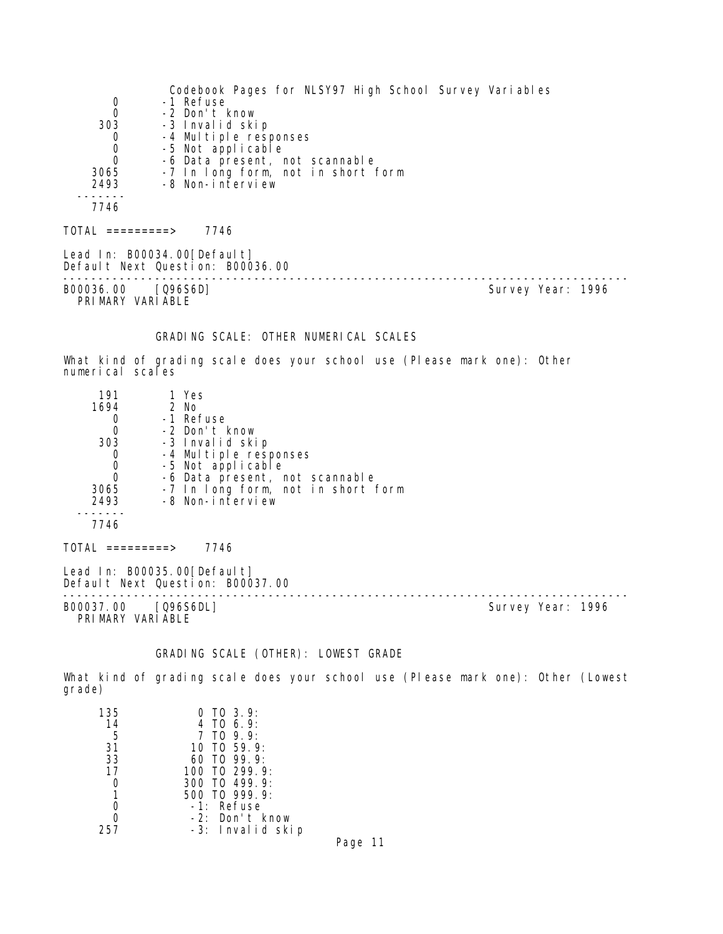Codebook Pages for NLSY97 High School Survey Variables 0 -1 Refuse<br>0 -2 Don't I 0 -2 Don't know<br>303 -3 Invalid ski 303 -3 Invalid skip 0 -4 Multiple responses 0 -5 Not applicable 0 -6 Data present, not scannable 3065 -7 In long form, not in short form 2493 -8 Non-interview ------- 7746  $TOTAL$  =========> 7746 Lead In: B00034.00 [Default] Default Next Question: B00036.00 -------------------------------------------------------------------------------- B00036.00 [Q96S6D] PRIMARY VARIABLE GRADING SCALE: OTHER NUMERICAL SCALES What kind of grading scale does your school use (Please mark one): Other numerical scales 191 1 Yes<br>1694 2 No 2 No 0 -1 Refuse<br>0 -2 Don't I 0 -2 Don't know 303 -3 Invalid skip 0 -4 Multiple responses 0 -5 Not applicable 0 -6 Data present, not scannable 3065 -7 In long form, not in short form 2493 -8 Non-interview ------- 7746  $TOTAL$  ========> 7746 Lead In: B00035.00 [Default] Default Next Question: B00037.00 -------------------------------------------------------------------------------- Survey Year: 1996 PRIMARY VARIABLE

GRADING SCALE (OTHER): LOWEST GRADE

What kind of grading scale does your school use (Please mark one): Other (Lowest grade)

| 135 | $0$ TO 3.9:       |
|-----|-------------------|
| 14  | 4 TO $6.9$ :      |
| 5   | $7$ TO $9.9$ :    |
| 31  | 10 TO 59.9:       |
| 33  | 60 TO $99.9$      |
| 17  | 100 TO 299.9:     |
|     | $300$ TO 499.9:   |
| 1   | 500 TO 999.9:     |
|     | -1: Refuse        |
|     | $-2$ : Don't know |
|     | -3: Invalid skip  |

Page 11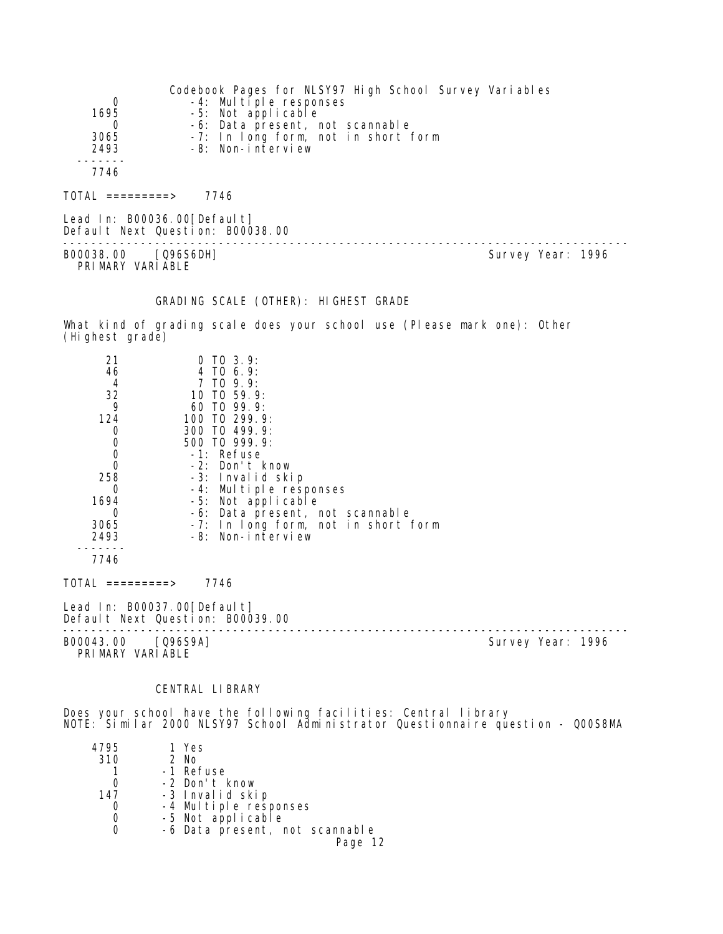| 0<br>1695<br>0<br>3065<br>2493                                                               | Codebook Pages for NLSY97 High School Survey Variables<br>-4: Multiple responses<br>-5: Not applicable<br>-6: Data present, not scannable<br>-7: In long form, not in short form<br>-8: Non-interview                                                                                                                          |  |                   |
|----------------------------------------------------------------------------------------------|--------------------------------------------------------------------------------------------------------------------------------------------------------------------------------------------------------------------------------------------------------------------------------------------------------------------------------|--|-------------------|
| 7746                                                                                         |                                                                                                                                                                                                                                                                                                                                |  |                   |
| $TOTAL$ =========> 7746                                                                      |                                                                                                                                                                                                                                                                                                                                |  |                   |
|                                                                                              | Lead In: B00036.00 [Default]<br>Default Next Question: B00038.00                                                                                                                                                                                                                                                               |  |                   |
| B00038.00 [Q96S6DH]<br>PRIMARY VARIABLE                                                      |                                                                                                                                                                                                                                                                                                                                |  | Survey Year: 1996 |
|                                                                                              | GRADING SCALE (OTHER): HIGHEST GRADE                                                                                                                                                                                                                                                                                           |  |                   |
| (Highest grade)                                                                              | What kind of grading scale does your school use (Please mark one): Other                                                                                                                                                                                                                                                       |  |                   |
| 21<br>46<br>4<br>32<br>9<br>124<br>0<br>0<br>0<br>0<br>258<br>0<br>1694<br>0<br>3065<br>2493 | $0$ TO $3.9$ :<br>$4$ TO 6.9:<br>7 TO 9.9:<br>10 TO 59.9:<br>60 TO 99.9:<br>100 TO 299.9:<br>300 TO 499.9:<br>500 TO 999.9:<br>-1: Refuse<br>-2: Don't know<br>-3: Invalid skip<br>-4: Multiple responses<br>-5: Not applicable<br>-6: Data present, not scannable<br>-7: In long form, not in short form<br>-8: Non-interview |  |                   |
| 7746                                                                                         |                                                                                                                                                                                                                                                                                                                                |  |                   |
| $TOTAL$ =========> 7746                                                                      |                                                                                                                                                                                                                                                                                                                                |  |                   |
|                                                                                              | Lead In: B00037.00 [Default]<br>Default Next Question: B00039.00                                                                                                                                                                                                                                                               |  |                   |
| B00043.00 [Q96S9A]<br>PRIMARY VARIABLE                                                       |                                                                                                                                                                                                                                                                                                                                |  | Survey Year: 1996 |
|                                                                                              | CENTRAL LIBRARY                                                                                                                                                                                                                                                                                                                |  |                   |
|                                                                                              | Does your school have the following facilities: Central library                                                                                                                                                                                                                                                                |  |                   |

NOTE: Similar 2000 NLSY97 School Administrator Questionnaire question - Q00S8MA

| 4795 | 1 Yes                          |
|------|--------------------------------|
|      |                                |
| 310  | 2 No                           |
|      | -1 Refuse                      |
|      | -2 Don't know                  |
| 147  | -3 Invalid skip                |
|      | -4 Multiple responses          |
|      | -5 Not applicable              |
|      | -6 Data present, not scannable |
|      | Page 12                        |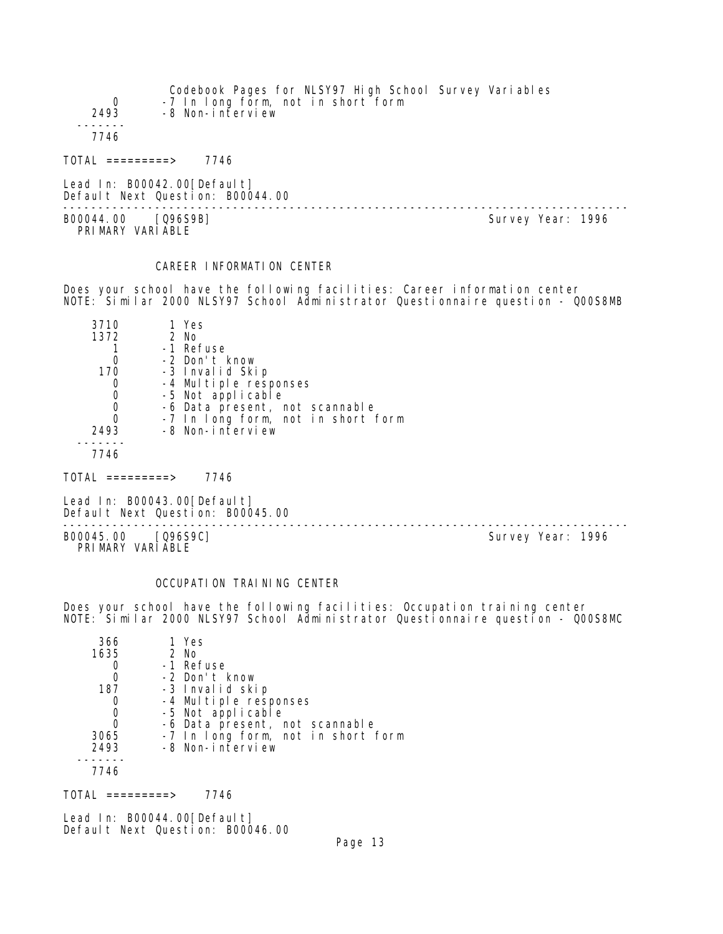| Codebook Pages for NLSY97 High School Survey Variables<br>-7 In long form, not in short form<br>-8 Non-interview |
|------------------------------------------------------------------------------------------------------------------|
|                                                                                                                  |
|                                                                                                                  |
|                                                                                                                  |

Lead In: B00042.00[Default] Default Next Question: B00044.00

B00044.00 [Q96S9B] PRIMARY VARIABLE

--------------------------------------------------------------------------------

# CAREER INFORMATION CENTER

Does your school have the following facilities: Career information center NOTE: Similar 2000 NLSY97 School Administrator Questionnaire question - Q00S8MB

| 3710     | 1 Yes                              |
|----------|------------------------------------|
| 1372     | $2$ No                             |
|          | -1 Refuse                          |
|          | -2 Don't know                      |
| 170      | -3 Invalid Skip                    |
|          | -4 Multiple responses              |
|          | -5 Not applicable                  |
| 0        | -6 Data present, not scannable     |
| $\Omega$ | -7 In long form, not in short form |
| 2493     | -8 Non-interview                   |
|          |                                    |
|          |                                    |

TOTAL =========> 7746

Lead In: B00043.00[Default] Default Next Question: B00045.00

-------------------------------------------------------------------------------- B00045.00 [Q96S9C] Survey Year: 1996 PRIMARY VARIABLE

## OCCUPATION TRAINING CENTER

Does your school have the following facilities: Occupation training center NOTE: Similar 2000 NLSY97 School Administrator Questionnaire question - Q00S8MC

| 366  | 1 Yes                              |
|------|------------------------------------|
| 1635 | $2$ No                             |
|      | -1 Refuse                          |
|      | -2 Don't know                      |
| 187  | -3 Invalid skip                    |
| O    | -4 Multiple responses              |
| 0    | -5 Not applicable                  |
| 0    | -6 Data present, not scannable     |
| 3065 | -7 In long form, not in short form |
| 2493 | -8 Non-interview                   |
|      |                                    |
| 7746 |                                    |

 $TOTAL$  ========> 7746

Lead In: B00044.00 [Default] Default Next Question: B00046.00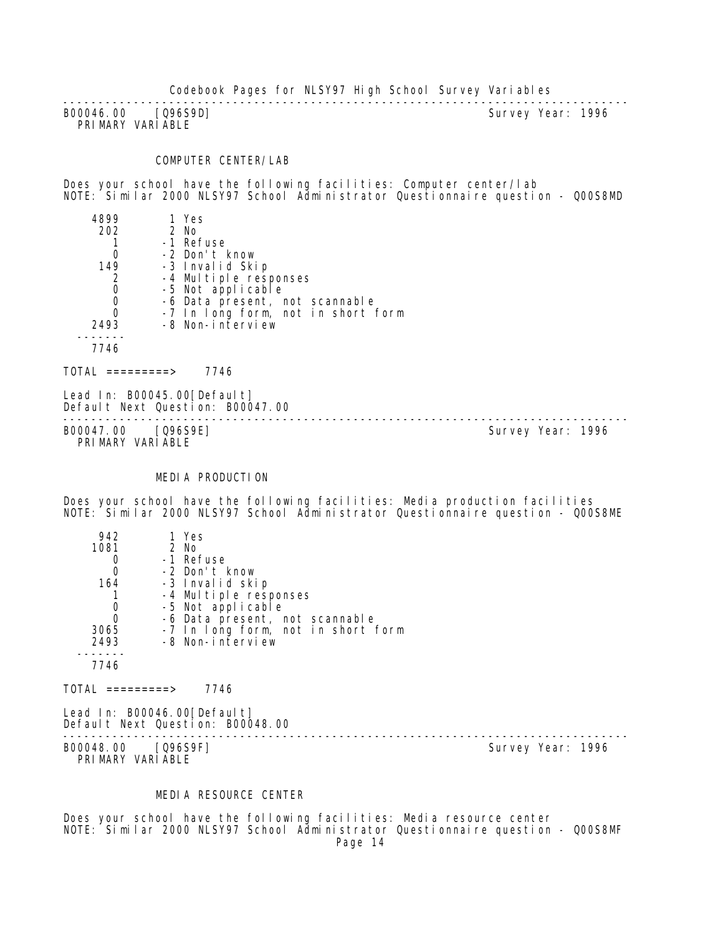-------------------------------------------------------------------------------- B00046.00 [Q96S9D] PRIMARY VARIABLE

#### COMPUTER CENTER/LAB

Does your school have the following facilities: Computer center/lab NOTE: Similar 2000 NLSY97 School Administrator Questionnaire question - Q00S8MD

| 4899       | 1 Yes                              |  |
|------------|------------------------------------|--|
| 202        | 2 No                               |  |
|            | -1 Refuse                          |  |
| 0          | -2 Don't know                      |  |
| 149        | -3 Invalid Skip                    |  |
| 2          | -4 Multiple responses              |  |
| 0          | -5 Not applicable                  |  |
| 0          | -6 Data present, not scannable     |  |
|            | -7 In long form, not in short form |  |
| 2493       | -8 Non-interview                   |  |
|            |                                    |  |
| 7746       |                                    |  |
|            |                                    |  |
| =========> | 7746                               |  |

Lead In: B00045.00 [Default] Default Next Question: B00047.00

B00047.00 [Q96S9E] PRIMARY VARIABLE

--------------------------------------------------------------------------------

#### MEDIA PRODUCTION

Does your school have the following facilities: Media production facilities NOTE: Similar 2000 NLSY97 School Administrator Questionnaire question - Q00S8ME

| 942  | 1 Yes                              |
|------|------------------------------------|
| 1081 | $2$ No                             |
|      | -1 Refuse                          |
| Ω    | -2 Don't know                      |
| 164  | -3 Invalid skip                    |
|      | -4 Multiple responses              |
|      | -5 Not applicable                  |
|      | -6 Data present, not scannable     |
| 3065 | -7 In long form, not in short form |
| 2493 | -8 Non-interview                   |
|      |                                    |
| 7746 |                                    |
|      |                                    |

 $TOTAL$  =========> 7746

Lead In: B00046.00 [Default] Default Next Question: B00048.00

-------------------------------------------------------------------------------- B00048.00 [Q96S9F] PRIMARY VARIABLE

# MEDIA RESOURCE CENTER

Does your school have the following facilities: Media resource center NOTE: Similar 2000 NLSY97 School Administrator Questionnaire question - Q00S8MF Page 14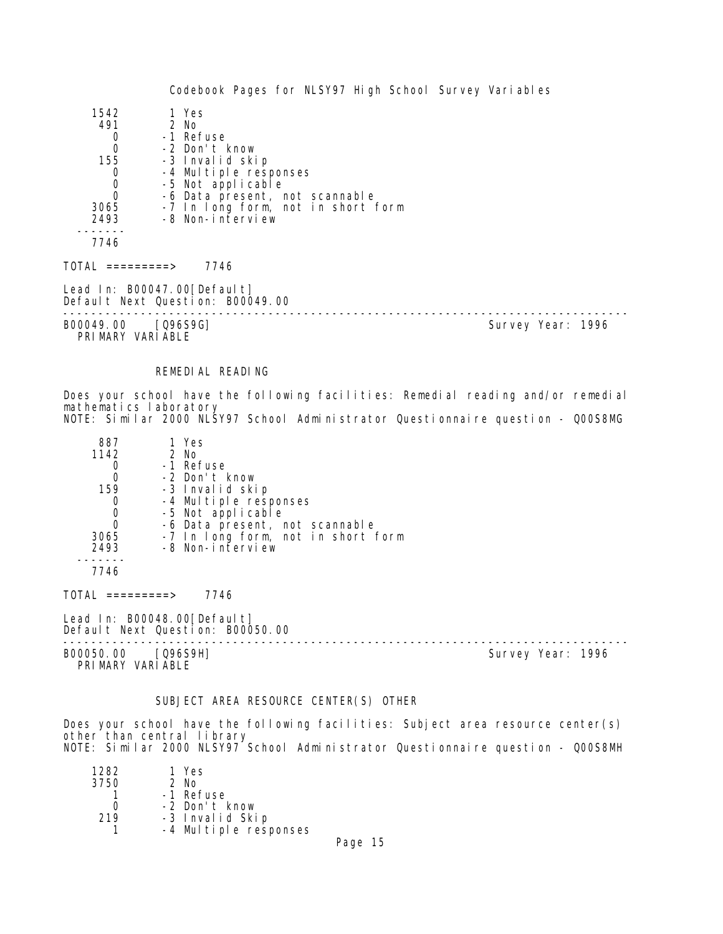| 1542                                   | 1 Yes                                                           |                   |  |
|----------------------------------------|-----------------------------------------------------------------|-------------------|--|
| 491                                    | 2 No                                                            |                   |  |
| 0                                      | -1 Refuse                                                       |                   |  |
| $\mathbf 0$                            | -2 Don't know                                                   |                   |  |
| 155                                    | -3 Invalid skip                                                 |                   |  |
| $\mathbf 0$                            | -4 Multiple responses                                           |                   |  |
| $\begin{matrix}0\\0\end{matrix}$       | -5 Not applicable                                               |                   |  |
|                                        | -6 Data present, not scannable                                  |                   |  |
| 3065                                   | -7 In long form, not in short form                              |                   |  |
| 2493                                   | -8 Non-interview                                                |                   |  |
|                                        |                                                                 |                   |  |
| 7746                                   |                                                                 |                   |  |
| TOTAL =========>                       | 7746                                                            |                   |  |
|                                        | Lead In: B00047.00[Default]<br>Default Next Question: B00049.00 |                   |  |
| B00049.00 [Q96S9G]<br>PRIMARY VARIABLE |                                                                 | Survey Year: 1996 |  |

## REMEDIAL READING

Does your school have the following facilities: Remedial reading and/or remedial mathematics laboratory NOTE: Similar 2000 NLSY97 School Administrator Questionnaire question - Q00S8MG

| 887  | 1 Yes                                      |
|------|--------------------------------------------|
| 1142 | 2 No                                       |
|      | -1 Refuse                                  |
| 0    | -2 Don't know                              |
| 159  | -3 Invalid skip                            |
| 0    | -4 Multiple responses<br>-5 Not applicable |
| 0    |                                            |
| 0    | -6 Data present, not scannable             |
| 3065 | -7 In long form, not in short form         |
| 2493 | -8 Non-interview                           |
|      |                                            |

7746

TOTAL =========> 7746

Lead In: B00048.00 [Default] Default Next Question: B00050.00

B00050.00 [Q96S9H] Survey Year: 1996 PRIMARY VARIABLE

--------------------------------------------------------------------------------

#### SUBJECT AREA RESOURCE CENTER(S) OTHER

Does your school have the following facilities: Subject area resource center(s) other than central library NOTE: Similar 2000 NLSY97 School Administrator Questionnaire question - Q00S8MH

| 1 Yes                 |
|-----------------------|
| $2$ No                |
| -1 Refuse             |
| -2 Don't know         |
| -3 Invalid Skip       |
| -4 Multiple responses |
|                       |

Page 15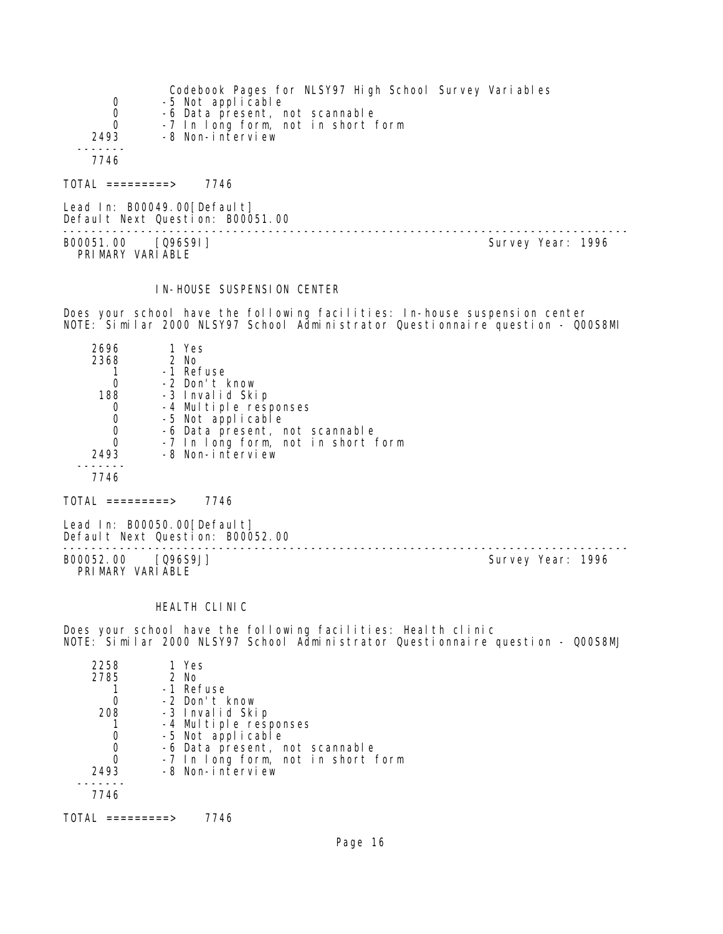| $\overline{0}$<br>0<br>$\Omega$ | Codebook Pages for NLSY97 High School Survey Variables<br>-5 Not applicable<br>-6 Data present, not scannable<br>-7 In long form, not in short form |
|---------------------------------|-----------------------------------------------------------------------------------------------------------------------------------------------------|
| 2493<br>7746                    | -8 Non-interview                                                                                                                                    |
| TOTAL =========>                | 7746                                                                                                                                                |
| Lead In: B00049.00[Default]     |                                                                                                                                                     |

Default Next Question: B00051.00 -------------------------------------------------------------------------------- B00051.00 [Q96S9I] Survey Year: 1996 PRIMARY VARIABLE

#### IN-HOUSE SUSPENSION CENTER

Does your school have the following facilities: In-house suspension center NOTE: Similar 2000 NLSY97 School Administrator Questionnaire question - Q00S8MI

| 2696 | 1 Yes                              |
|------|------------------------------------|
| 2368 | $2$ No                             |
|      | -1 Refuse                          |
|      | -2 Don't know                      |
| 188  | -3 Invalid Skip                    |
| 0    | -4 Multiple responses              |
| 0    | -5 Not applicable                  |
| 0    | -6 Data present, not scannable     |
| Ω    | -7 In long form, not in short form |
| 2493 | -8 Non-interview                   |
|      |                                    |
|      |                                    |

 $TOTAL$  =========> 7746

Lead In: B00050.00[Default] Default Next Question: B00052.00

B00052.00 [Q96S9J] Survey Year: 1996 PRIMARY VARIABLE

--------------------------------------------------------------------------------

#### HEALTH CLINIC

Does your school have the following facilities: Health clinic NOTE: Similar 2000 NLSY97 School Administrator Questionnaire question - Q00S8MJ

| 2258 | 1 Yes                              |
|------|------------------------------------|
| 2785 | $2$ No                             |
|      | -1 Refuse                          |
|      | -2 Don't know                      |
| 208  | -3 Invalid Skip                    |
|      | -4 Multiple responses              |
|      | -5 Not applicable                  |
|      | -6 Data present, not scannable     |
|      | -7 In long form, not in short form |
| 2493 | -8 Non-interview                   |
|      |                                    |
| 7746 |                                    |
|      |                                    |

TOTAL =========> 7746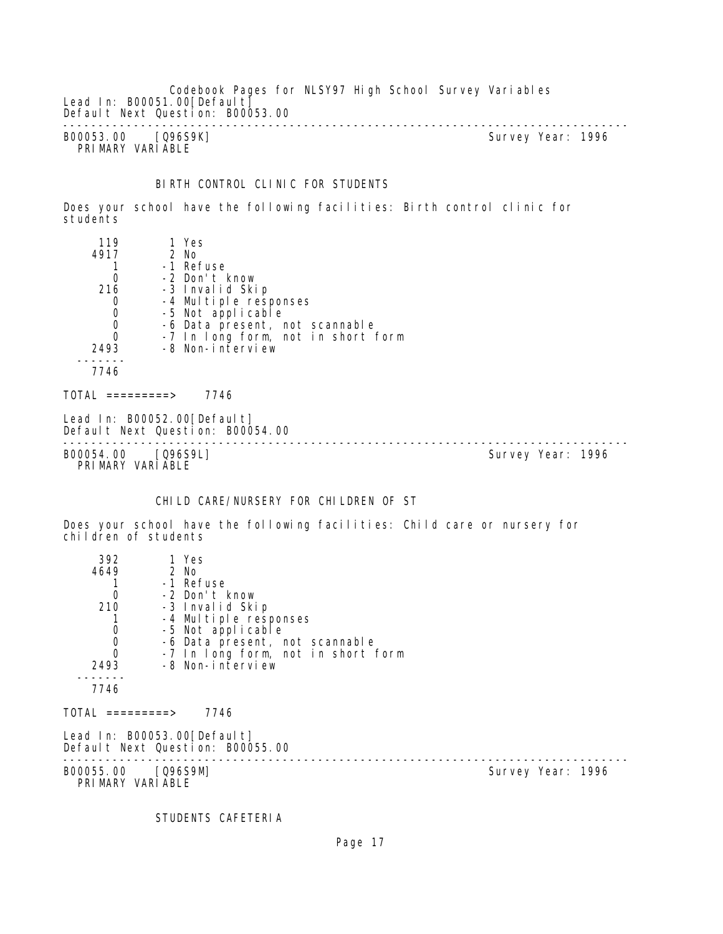Codebook Pages for NLSY97 High School Survey Variables Lead In: B00051.00 [Default] Default Next Question: B00053.00 -------------------------------------------------------------------------------- B00053.00 [Q96S9K] Survey Year: 1996

PRIMARY VARIABLE

# BIRTH CONTROL CLINIC FOR STUDENTS

Does your school have the following facilities: Birth control clinic for students

| 119                                    | 1 Yes                                                           |                   |  |
|----------------------------------------|-----------------------------------------------------------------|-------------------|--|
| 4917                                   | 2 No                                                            |                   |  |
|                                        | -1 Refuse                                                       |                   |  |
| $\mathbf 0$                            | -2 Don't know                                                   |                   |  |
| 216                                    | -3 Invalid Skip                                                 |                   |  |
| 0                                      | -4 Multiple responses                                           |                   |  |
| $\begin{matrix} 0 \\ 0 \end{matrix}$   | -5 Not applicable                                               |                   |  |
|                                        | -6 Data present, not scannable                                  |                   |  |
| $\overline{0}$                         | -7 In long form, not in short form                              |                   |  |
| 2493                                   | -8 Non-interview                                                |                   |  |
|                                        |                                                                 |                   |  |
| 7746                                   |                                                                 |                   |  |
| TOTAL =========>                       | 7746                                                            |                   |  |
|                                        | Lead In: B00052.00[Default]<br>Default Next Question: B00054.00 |                   |  |
| B00054.00 [Q96S9L]<br>PRIMARY VARIABLE |                                                                 | Survey Year: 1996 |  |

# CHILD CARE/NURSERY FOR CHILDREN OF ST

Does your school have the following facilities: Child care or nursery for children of students

| 392<br>4649                            | 1 Yes<br>2 No                                                   |                   |  |
|----------------------------------------|-----------------------------------------------------------------|-------------------|--|
|                                        | -1 Refuse                                                       |                   |  |
| 0                                      | -2 Don't know                                                   |                   |  |
| 210                                    | -3 Invalid Skip                                                 |                   |  |
|                                        | -4 Multiple responses                                           |                   |  |
| $\overline{0}$                         | -5 Not applicable                                               |                   |  |
| $\begin{matrix} 0 \\ 0 \end{matrix}$   | -6 Data present, not scannable                                  |                   |  |
|                                        | -7 In long form, not in short form                              |                   |  |
| 2493                                   | -8 Non-interview                                                |                   |  |
| 7746                                   |                                                                 |                   |  |
| TOTAL =========>                       | 7746                                                            |                   |  |
|                                        | Lead In: B00053.00[Default]<br>Default Next Question: B00055.00 |                   |  |
| B00055.00 [Q96S9M]<br>PRIMARY VARIABLE |                                                                 | Survey Year: 1996 |  |

STUDENTS CAFETERIA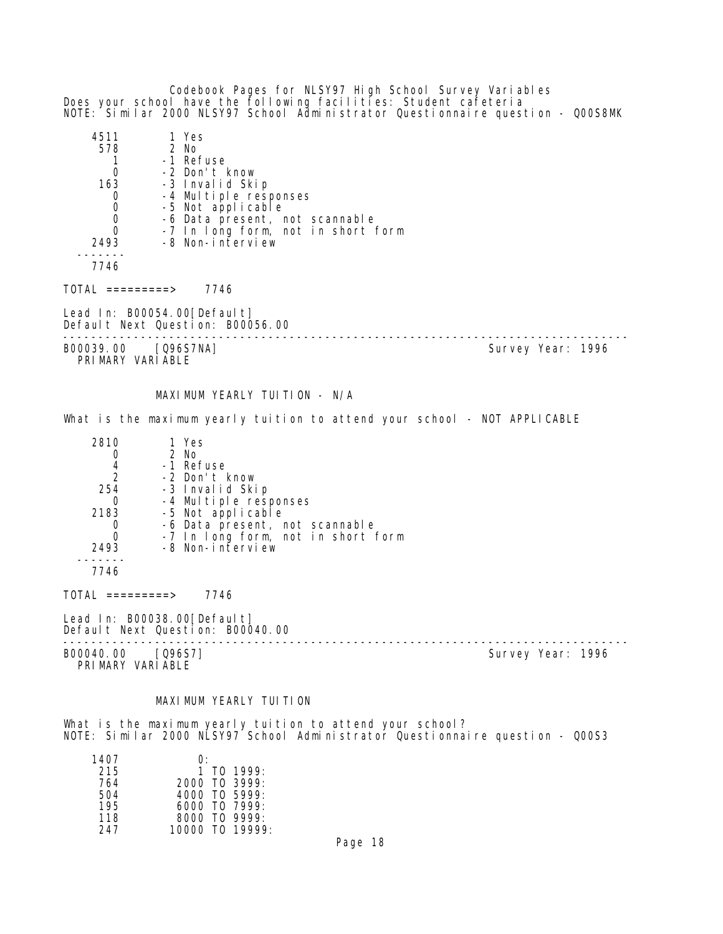Codebook Pages for NLSY97 High School Survey Variables Does your school have the following facilities: Student cafeteria NOTE: Similar 2000 NLSY97 School Administrator Questionnaire question - Q00S8MK

| 4511                             | 1 Yes                                                           |                                    |                   |  |
|----------------------------------|-----------------------------------------------------------------|------------------------------------|-------------------|--|
| 578                              | 2 No                                                            |                                    |                   |  |
|                                  | -1 Refuse                                                       |                                    |                   |  |
| $\mathbf 0$                      | -2 Don't know                                                   |                                    |                   |  |
| 163                              | -3 Invalid Skip                                                 |                                    |                   |  |
| $\mathbf 0$                      | -4 Multiple responses                                           |                                    |                   |  |
|                                  | -5 Not applicable                                               |                                    |                   |  |
| $\begin{matrix}0\\0\end{matrix}$ |                                                                 | -6 Data present, not scannable     |                   |  |
| $\overline{0}$                   |                                                                 | -7 In long form, not in short form |                   |  |
| 2493                             | -8 Non-interview                                                |                                    |                   |  |
| 7746                             |                                                                 |                                    |                   |  |
| TOTAL =========>                 | 7746                                                            |                                    |                   |  |
|                                  | Lead In: B00054.00[Default]<br>Default Next Question: B00056.00 |                                    |                   |  |
| B00039.00                        | [Q96S7NA]                                                       |                                    | Survey Year: 1996 |  |

PRIMARY VARIABLE

# MAXIMUM YEARLY TUITION - N/A

What is the maximum yearly tuition to attend your school - NOT APPLICABLE

| 2810          | 1 Yes                                      |
|---------------|--------------------------------------------|
|               | $2$ No                                     |
|               | -1 Refuse                                  |
| $\mathcal{P}$ | -2 Don't know                              |
| 254           | -3 Invalid Skip                            |
| O             |                                            |
| 2183          | -4 Multiple responses<br>-5 Not applicable |
|               | -6 Data present, not scannable             |
|               | -7 In long form, not in short form         |
| 2493          | -8 Non-interview                           |
|               |                                            |

7746

 $TOTAL$  =========> 7746

Lead In: B00038.00 [Default] Default Next Question: B00040.00

-------------------------------------------------------------------------------- B00040.00 [Q96S7] Survey Year: 1996

PRIMARY VARIABLE

## MAXI MUM YEARLY TUITION

What is the maximum yearly tuition to attend your school? NOTE: Similar 2000 NLSY97 School Administrator Questionnaire question - Q00S3

| 1407 | $\Omega$ :             |
|------|------------------------|
| 215  | 1 T <sub>0</sub> 1999: |
| 764  | 2000 TO 3999:          |
| 504  | 4000 TO 5999:          |
| 195  | 6000 TO 7999:          |
| 118  | $8000$ TO 9999:        |
| 247  | 10000 TO 19999:        |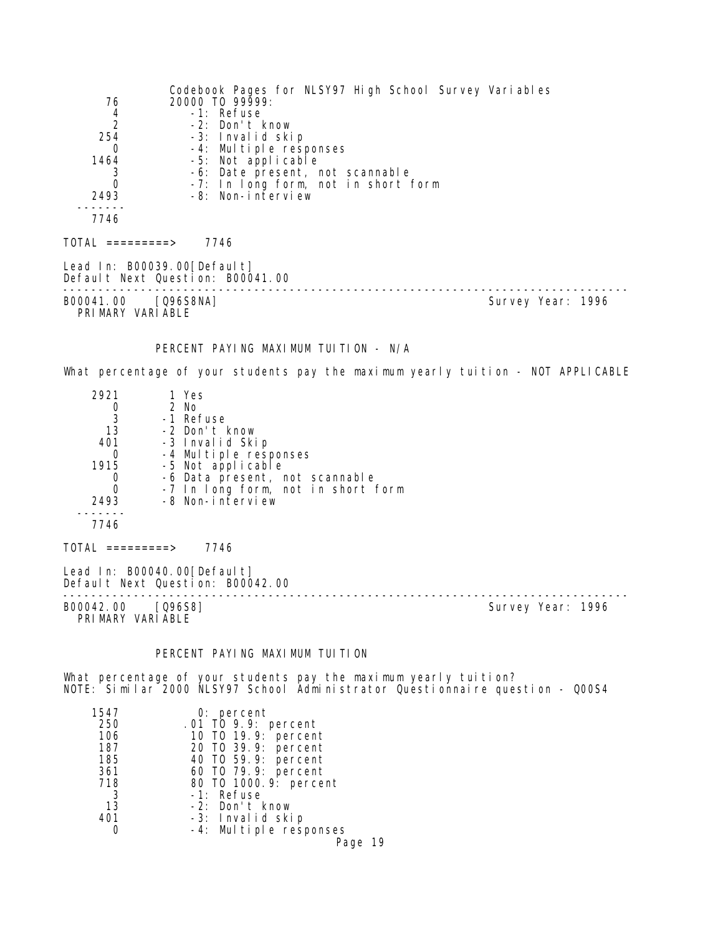Codebook Pages for NLSY97 High School Survey Variables 76 20000 TO 99999: 4 -1: Refuse 2 -2: Don't know 254 -3: Invalid skip 0 -4: Multiple responses 1464 -5: Not applicable 3 -6: Date present, not scannable<br>0 -7: In Iong form, not in short 0 -7: In long form, not in short form -8: Non-interview ------- 7746  $TOTAL$  ========> 7746 Lead In: B00039.00[Default] Default Next Question: B00041.00 -------------------------------------------------------------------------------- Survey Year: 1996 PRIMARY VARIABLE PERCENT PAYING MAXIMUM TUITION - N/A What percentage of your students pay the maximum yearly tuition - NOT APPLICABLE 2921 1 Yes 0 2 No<br>3 - 1 Ret 3 -1 Refuse 13 -2 Don't know 401 -3 Invalid Skip 0 -4 Multiple responses 1915 -5 Not applicable 0 -6 Data present, not scannable 0 -7 In long form, not in short form 2493 -8 Non-interview ------- 7746  $TOTAL$  ========> 7746 Lead In: B00040.00 [Default] Default Next Question: B00042.00 -------------------------------------------------------------------------------- Survey Year: 1996 PRIMARY VARIABLE PERCENT PAYING MAXIMUM TUITION What percentage of your students pay the maximum yearly tuition? NOTE: Similar 2000 NLSY97 School Administrator Questionnaire question - Q00S4 1547 0: percent<br>250 01 T0 9.9: 250 .01 TO 9.9: percent 106 10 TO 19.9: percent 187 20 TO 39.9: percent 185 40 TO 59.9: percent 361 60 TO 79.9: percent 718 80 TO 1000.9: percent 3 -1: Refuse<br>13 -2: Don't

Page 19

13 -2: Don't know

-3: Invalid skip 0 -4: Multiple responses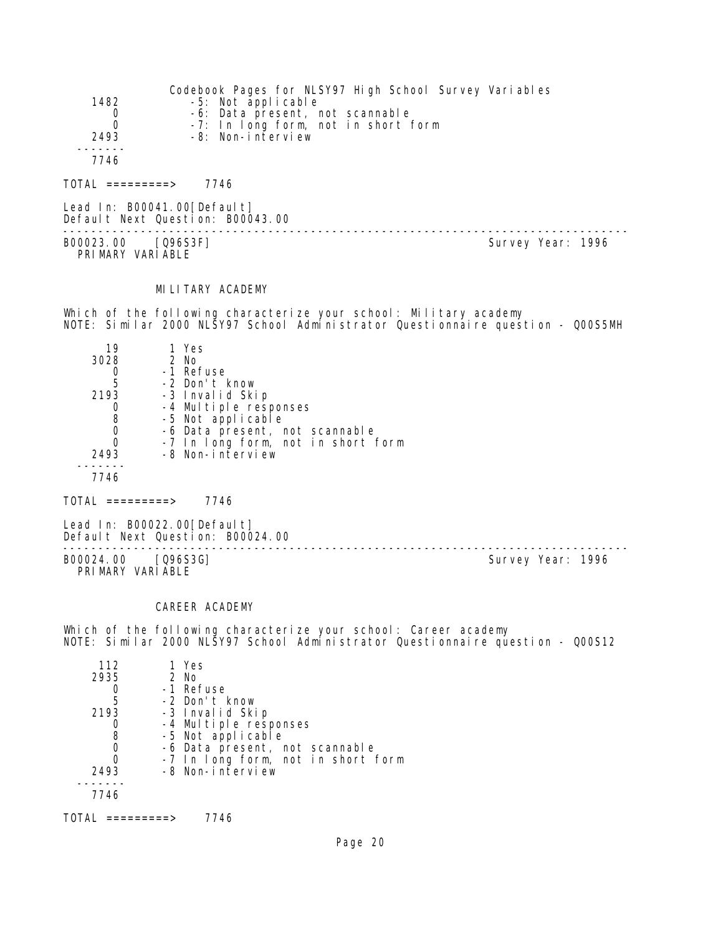| 1482<br>0<br>0<br>2493 | Codebook Pages for NLSY97 High School Survey Variables<br>-5: Not applicable<br>-6: Data present, not scannable<br>-7: In long form, not in short form<br>-8: Non-interview |
|------------------------|-----------------------------------------------------------------------------------------------------------------------------------------------------------------------------|
| 7746                   |                                                                                                                                                                             |
| TOTAI =========>       | 7746                                                                                                                                                                        |

Lead In: B00041.00[Default] Default Next Question: B00043.00 -------------------------------------------------------------------------------- B00023.00 [Q96S3F] Survey Year: 1996 PRIMARY VARIABLE

# MILITARY ACADEMY

Which of the following characterize your school: Military academy NOTE: Similar 2000 NLSY97 School Administrator Questionnaire question - Q00S5MH

| 19   | 1 Yes                              |
|------|------------------------------------|
| 3028 | $2$ No                             |
|      | -1 Refuse                          |
| 5    | -2 Don't know                      |
| 2193 | -3 Invalid Skip                    |
|      | -4 Multiple responses              |
| 8    | -5 Not applicable                  |
| 0    | -6 Data present, not scannable     |
| Ω    | -7 In long form, not in short form |
| 2493 | -8 Non-interview                   |
|      |                                    |
| 7746 |                                    |

 $TOTAL$  ========> 7746

Lead In: B00022.00 [Default] Default Next Question: B00024.00

B00024.00 [Q96S3G] Survey Year: 1996 PRIMARY VARIABLE

--------------------------------------------------------------------------------

#### CAREER ACADEMY

Which of the following characterize your school: Career academy NOTE: Similar 2000 NLSY97 School Administrator Questionnaire question - Q00S12

| 112  | 1 Yes                              |
|------|------------------------------------|
| 2935 | $2$ No                             |
|      | -1 Refuse                          |
| 5    | -2 Don't know                      |
| 2193 | -3 Invalid Skip                    |
|      | -4 Multiple responses              |
| 8    | -5 Not applicable                  |
|      | -6 Data present, not scannable     |
|      | -7 In long form, not in short form |
| 2493 | -8 Non-interview                   |
|      |                                    |
| 7746 |                                    |
|      |                                    |

TOTAL =========> 7746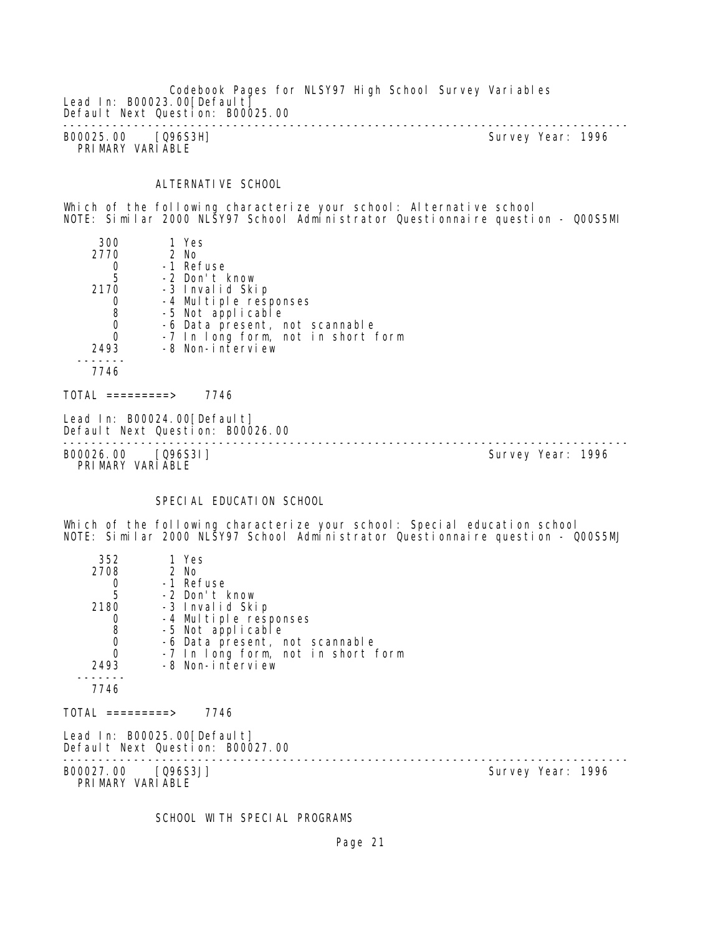Codebook Pages for NLSY97 High School Survey Variables Lead In: B00023.00 [Default] Default Next Question: B00025.00 -------------------------------------------------------------------------------- B00025.00 [Q96S3H] Survey Year: 1996 PRIMARY VARIABLE

# ALTERNATIVE SCHOOL

Which of the following characterize your school: Alternative school NOTE: Similar 2000 NLSY97 School Administrator Questionnaire question - Q00S5MI

| 300                                            | 1 Yes                                                           |                                    |                   |  |
|------------------------------------------------|-----------------------------------------------------------------|------------------------------------|-------------------|--|
| 2770                                           | 2 No                                                            |                                    |                   |  |
| $\begin{array}{c} 0 \\ 5 \end{array}$          | -1 Refuse                                                       |                                    |                   |  |
|                                                | -2 Don't know                                                   |                                    |                   |  |
| 2170                                           | -3 Invalid Skip                                                 |                                    |                   |  |
| 0                                              | -4 Multiple responses                                           |                                    |                   |  |
| $\begin{smallmatrix} 8 \\ 0 \end{smallmatrix}$ | -5 Not applicable                                               |                                    |                   |  |
|                                                | -6 Data present, not scannable                                  |                                    |                   |  |
| $\Omega$                                       |                                                                 | -7 In long form, not in short form |                   |  |
| 2493                                           | -8 Non-interview                                                |                                    |                   |  |
| 7746                                           |                                                                 |                                    |                   |  |
| TOTAL =========>                               | 7746                                                            |                                    |                   |  |
|                                                | Lead In: B00024.00[Default]<br>Default Next Question: B00026.00 |                                    |                   |  |
| B00026.00                                      | $[Q96S31]$                                                      |                                    | Survey Year: 1996 |  |

PRIMARY VARIABLE

SPECIAL EDUCATION SCHOOL

Which of the following characterize your school: Special education school NOTE: Similar 2000 NLSY97 School Administrator Questionnaire question - Q00S5MJ

| 352                                    | 1 Yes                                                           |                   |  |
|----------------------------------------|-----------------------------------------------------------------|-------------------|--|
| 2708                                   | 2 No                                                            |                   |  |
| $\mathbf 0$                            | -1 Refuse                                                       |                   |  |
| 5                                      | -2 Don't know                                                   |                   |  |
| 2180                                   | -3 Invalid Skip                                                 |                   |  |
| 0                                      | -4 Multiple responses                                           |                   |  |
| $_0^8$                                 | -5 Not applicable                                               |                   |  |
|                                        | -6 Data present, not scannable                                  |                   |  |
| $\overline{0}$                         | -7 In long form, not in short form                              |                   |  |
| 2493                                   | -8 Non-interview                                                |                   |  |
| 7746                                   |                                                                 |                   |  |
| TOTAL =========>                       | 7746                                                            |                   |  |
|                                        | Lead In: B00025.00[Default]<br>Default Next Question: B00027.00 |                   |  |
| B00027.00 [Q96S3J]<br>PRIMARY VARIABLE |                                                                 | Survey Year: 1996 |  |
|                                        |                                                                 |                   |  |

SCHOOL WITH SPECIAL PROGRAMS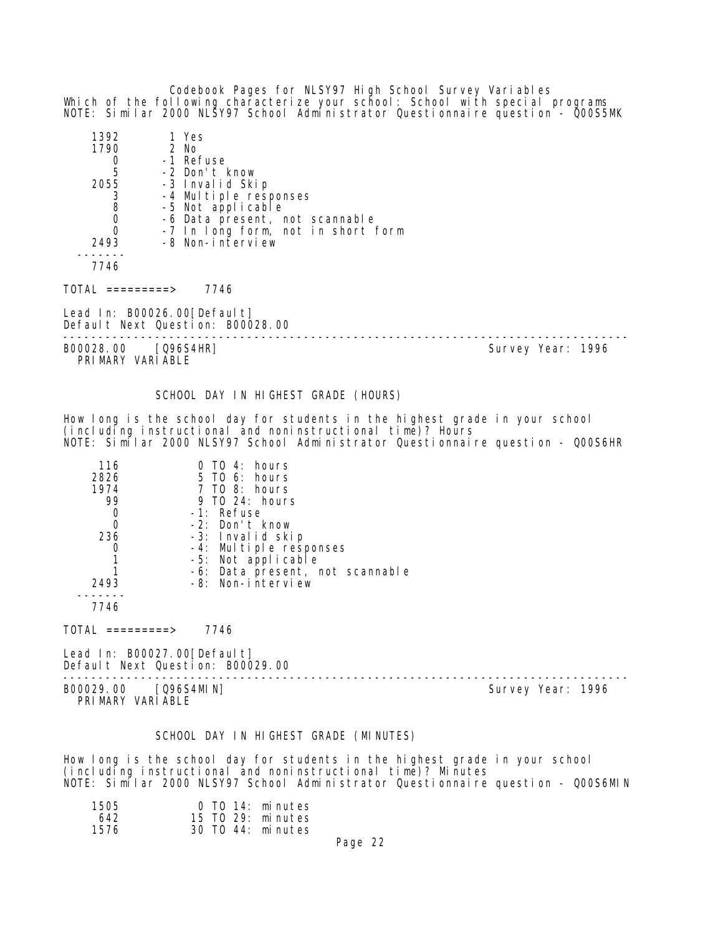Codebook Pages for NLSY97 High School Survey Variables Which of the following characterize your school: School with special programs NOTE: Similar 2000 NLSY97 School Administrator Questionnaire question - Q00S5MK

| 1392<br>1790<br>$\begin{array}{c} 0 \\ 5 \end{array}$<br>2055<br>$\begin{array}{c} 3 \\ 8 \\ 0 \\ 0 \end{array}$<br>2493 | 1 Yes<br>2 No<br>-1 Refuse<br>-2 Don't know<br>-3 Invalid Skip<br>-4 Multiple responses<br>-5 Not applicable<br>-6 Data present, not scannable<br>-7 In long form, not in short form<br>-8 Non-interview |                   |
|--------------------------------------------------------------------------------------------------------------------------|----------------------------------------------------------------------------------------------------------------------------------------------------------------------------------------------------------|-------------------|
| 7746                                                                                                                     |                                                                                                                                                                                                          |                   |
| TOTAL =========>                                                                                                         | 7746                                                                                                                                                                                                     |                   |
|                                                                                                                          | Lead In: B00026.00[Default]<br>Default Next Question: B00028.00                                                                                                                                          |                   |
| B00028.00 [Q96S4HR]<br>PRIMARY VARIABLE                                                                                  |                                                                                                                                                                                                          | Survey Year: 1996 |
|                                                                                                                          | SCHOOL DAY IN HIGHEST GRADE (HOURS)                                                                                                                                                                      |                   |

How long is the school day for students in the highest grade in your school (including instructional and noninstructional time)? Hours NOTE: Similar 2000 NLSY97 School Administrator Questionnaire question - Q00S6HR

| 116  | $0$ T $0$ 4: hours              |
|------|---------------------------------|
| 2826 | $5$ TO 6: hours                 |
| 1974 | 7 TO 8: hours                   |
| 99   | 9 TO 24: hours                  |
|      | -1: Refuse                      |
| Ω    | -2: Don't know                  |
| 236  | -3: Invalid skip                |
|      | -4: Multiple responses          |
|      | -5: Not applicable              |
|      | -6: Data present, not scannable |
| 2493 | -8: Non-interview               |
|      |                                 |
|      |                                 |

 $TOTAL$  =========> 7746

Lead In: B00027.00[Default] Default Next Question: B00029.00

-------------------------------------------------------------------------------- B00029.00 [Q96S4MIN] Survey Year: 1996 PRIMARY VARIABLE

# SCHOOL DAY IN HIGHEST GRADE (MINUTES)

How long is the school day for students in the highest grade in your school (including instructional and noninstructional time)? Minutes NOTE: Similar 2000 NLSY97 School Administrator Questionnaire question - Q00S6MIN

| 1505 | 0 TO 14: minutes  |
|------|-------------------|
| 642  | 15 TO 29: minutes |
| 1576 | 30 TO 44: minutes |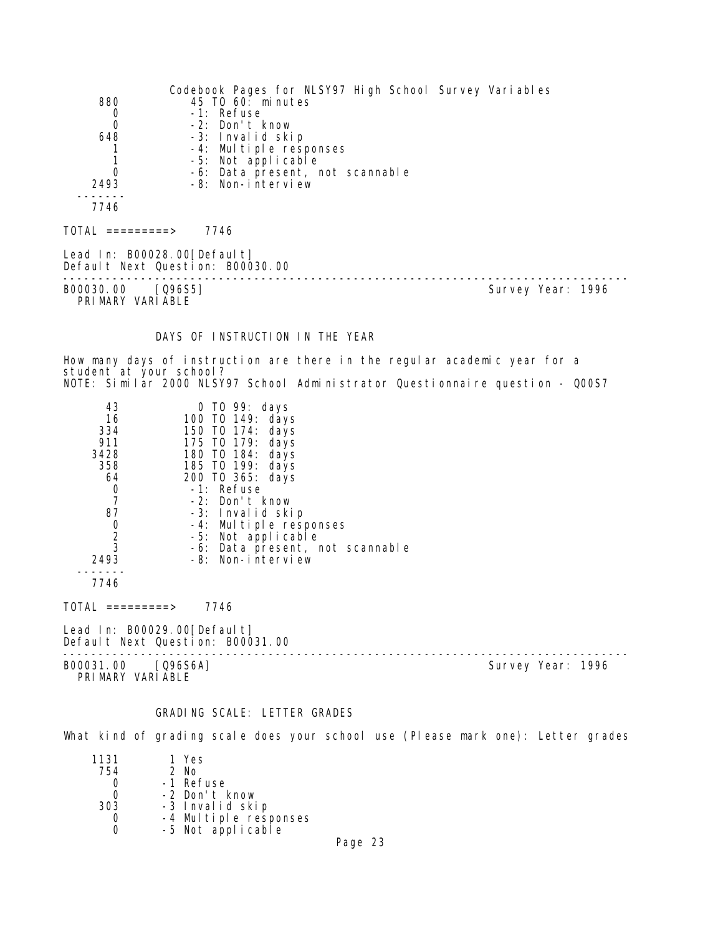|                                       | Codebook Pages for NLSY97 High School Survey Variables |                   |
|---------------------------------------|--------------------------------------------------------|-------------------|
| 880                                   | 45 TO 60: minutes                                      |                   |
| 0                                     | -1: Refuse                                             |                   |
| $\mathbf 0$                           | -2: Don't know                                         |                   |
| 648                                   | -3: Invalid skip                                       |                   |
|                                       | -4: Multiple responses                                 |                   |
|                                       | -5: Not applicable                                     |                   |
| $\Omega$                              | -6: Data present, not scannable                        |                   |
| 2493                                  | -8: Non-interview                                      |                   |
|                                       |                                                        |                   |
| 7746                                  |                                                        |                   |
| $\text{TOTAL}$ ==========>            | 7746                                                   |                   |
| Lead In: $B00028.00[Defaul t]$        | Default Next Question: B00030.00                       |                   |
| B00030.00 [Q96S5]<br>PRIMARY VARIABLE |                                                        | Survey Year: 1996 |
|                                       |                                                        |                   |

# DAYS OF INSTRUCTION IN THE YEAR

How many days of instruction are there in the regular academic year for a student at your school? NOTE: Similar 2000 NLSY97 School Administrator Questionnaire question - Q00S7

| 43<br>16<br>334<br>911<br>3428<br>358<br>64<br>0<br>87<br>0<br>2<br>3<br>2493 | 0 TO 99: days<br>100 T0 149: days<br>150 TO 174: days<br>175 TO 179: days<br>180 TO 184: days<br>185 TO 199: days<br>200 TO 365: days<br>-1: Refuse<br>$-2$ : Don't know<br>-3: Invalid skip<br>-4: Multiple responses<br>-5: Not applicable<br>-6: Data present, not scannable<br>-8: Non-interview |  |
|-------------------------------------------------------------------------------|------------------------------------------------------------------------------------------------------------------------------------------------------------------------------------------------------------------------------------------------------------------------------------------------------|--|
| 7746                                                                          |                                                                                                                                                                                                                                                                                                      |  |

 $TOTAL$  =========> 7746

Lead In: B00029.00[Default] Default Next Question: B00031.00

-------------------------------------------------------------------------------- B00031.00 [Q96S6A] Survey Year: 1996

PRIMARY VARIABLE

# GRADING SCALE: LETTER GRADES

What kind of grading scale does your school use (Please mark one): Letter grades

| 1131 | 1 Yes                 |  |
|------|-----------------------|--|
| 754  | 2 No                  |  |
|      | -1 Refuse             |  |
|      | -2 Don't know         |  |
| 303  | -3 Invalid skip       |  |
|      | -4 Multiple responses |  |
|      | -5 Not applicable     |  |
|      |                       |  |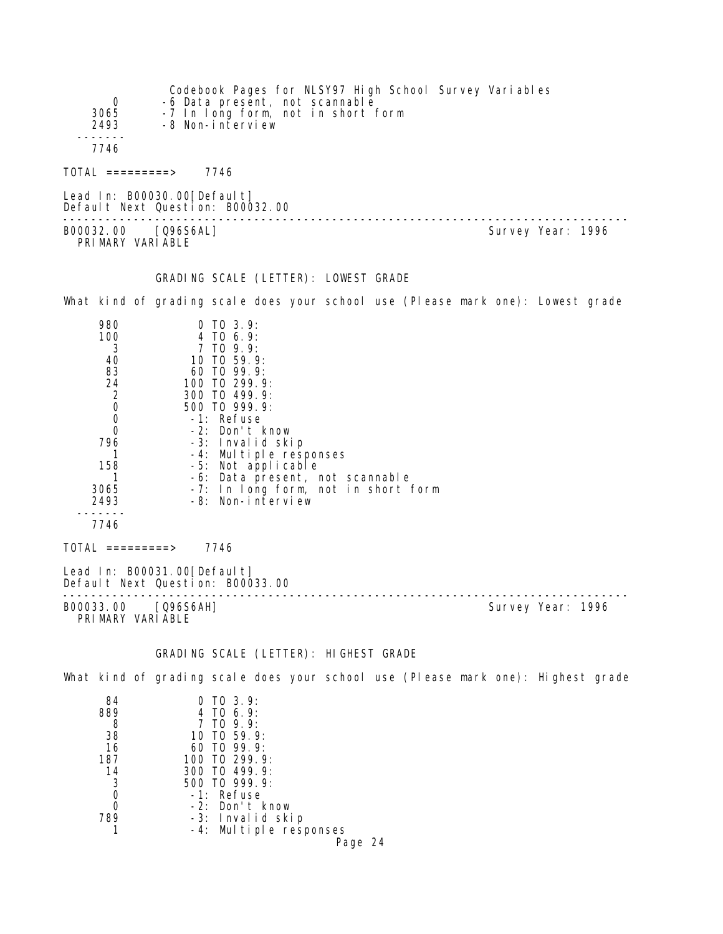| 0<br>3065<br>2493                                                                                             | Codebook Pages for NLSY97 High School Survey Variables<br>-6 Data present, not scannable<br>-7 In long form, not in short form<br>-8 Non-interview                                                                                                                                 |                                     |                   |
|---------------------------------------------------------------------------------------------------------------|------------------------------------------------------------------------------------------------------------------------------------------------------------------------------------------------------------------------------------------------------------------------------------|-------------------------------------|-------------------|
| 7746                                                                                                          |                                                                                                                                                                                                                                                                                    |                                     |                   |
| $\text{TOTAL}$ =========> 7746                                                                                |                                                                                                                                                                                                                                                                                    |                                     |                   |
|                                                                                                               | Lead In: B00030.00 [Default]<br>Default Next Question: B00032.00                                                                                                                                                                                                                   |                                     |                   |
| B00032.00 [Q96S6AL]<br>PRIMARY VARIABLE                                                                       |                                                                                                                                                                                                                                                                                    |                                     | Survey Year: 1996 |
|                                                                                                               | GRADING SCALE (LETTER): LOWEST GRADE                                                                                                                                                                                                                                               |                                     |                   |
|                                                                                                               | What kind of grading scale does your school use (Please mark one): Lowest grade                                                                                                                                                                                                    |                                     |                   |
| 980<br>100<br>3<br>40<br>83<br>24<br>2<br>0<br>0<br>0<br>796<br>1<br>158<br>1<br>3065<br>2493<br>----<br>7746 | $0$ TO 3.9:<br>4 TO 6.9:<br>7 TO 9.9:<br>10 TO 59.9:<br>60 TO 99.9:<br>100 TO 299.9:<br>300 TO 499.9:<br>500 TO 999.9:<br>-1: Refuse<br>-2: Don't know<br>-3: Invalid skip<br>-4: Multiple responses<br>-5: Not applicable<br>-6: Data present, not scannable<br>-8: Non-interview | -7: In long form, not in short form |                   |
| $\overline{\text{TOTAL}}$ =========>                                                                          | 7746                                                                                                                                                                                                                                                                               |                                     |                   |
|                                                                                                               | Lead In: B00031.00 [Default]<br>Default Next Question: B00033.00                                                                                                                                                                                                                   |                                     |                   |
| B00033.00 [Q96S6AH]<br>PRIMARY VARIABLE                                                                       |                                                                                                                                                                                                                                                                                    | --------------------                | Survey Year: 1996 |
|                                                                                                               | GRADING SCALE (LETTER): HIGHEST GRADE                                                                                                                                                                                                                                              |                                     |                   |
|                                                                                                               | What kind of grading scale does your school use (Please mark one): Highest grade                                                                                                                                                                                                   |                                     |                   |
| 84<br>889<br>8<br>38<br>16<br>187<br>14<br>3<br>0                                                             | $0$ TO $3.9$ :<br>4 TO 6.9:<br>7 TO 9.9:<br>10 TO 59.9:<br>60 TO 99.9:<br>100 TO 299.9:<br>300 TO 499.9:<br>500 TO 999.9:<br>-1: Refuse                                                                                                                                            |                                     |                   |

- 0 -2: Don't know
- 789 -3: Invalid skip
- 1 -4: Multiple responses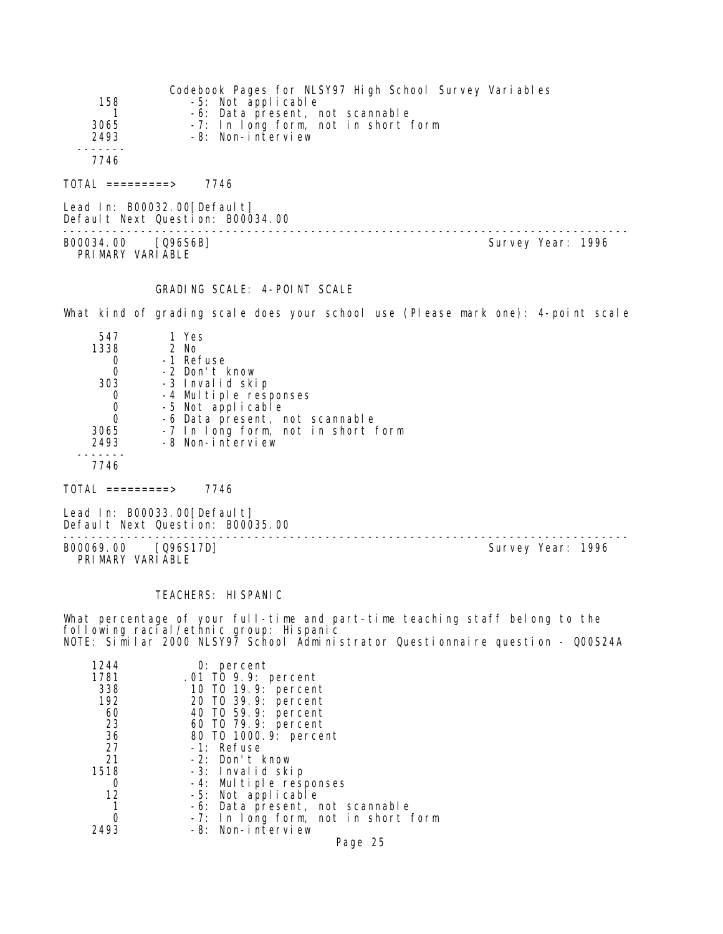| 158<br>3065<br>2493<br>7746            | Codebook Pages for NLSY97 High School Survey Variables<br>-5: Not applicable<br>-6: Data present, not scannable<br>-7: In long form, not in short form<br>-8: Non-interview |                   |  |
|----------------------------------------|-----------------------------------------------------------------------------------------------------------------------------------------------------------------------------|-------------------|--|
| TOTAL =========>                       | 7746                                                                                                                                                                        |                   |  |
| Lead In: B00032.00[Default]            | Default Next Question: B00034.00                                                                                                                                            |                   |  |
| B00034.00 [Q96S6B]<br>PRIMARY VARIABLE |                                                                                                                                                                             | Survey Year: 1996 |  |

#### GRADING SCALE: 4-POINT SCALE

What kind of grading scale does your school use (Please mark one): 4-point scale

| 547  | 1 Yes                              |
|------|------------------------------------|
| 1338 | 2 No                               |
|      | -1 Refuse                          |
|      | -2 Don't know                      |
| 303  | -3 Invalid skip                    |
|      | -4 Multiple responses              |
|      | -5 Not applicable                  |
|      | -6 Data present, not scannable     |
| 3065 | -7 In long form, not in short form |
| 2493 | -8 Non-interview                   |
|      |                                    |
| 7746 |                                    |

 $TOTAL$  =========> 7746

Lead In: B00033.00 [Default] Default Next Question: B00035.00

B00069.00 [Q96S17D] PRIMARY VARIABLE

--------------------------------------------------------------------------------

#### TEACHERS: HISPANIC

What percentage of your full-time and part-time teaching staff belong to the following racial/ethnic group: Hispanic NOTE: Similar 2000 NLSY97 School Administrator Questionnaire question - Q00S24A

Page 25

| 1244 | $0:$ percent                        |
|------|-------------------------------------|
| 1781 | .01 TO 9.9: percent                 |
| 338  | 10 T0 19.9: percent                 |
| 192  | 20 TO 39.9: percent                 |
| 60   | 40 T0 59.9: percent                 |
| 23   | 60 T0 79.9: percent                 |
| 36   | 80 T0 1000.9: percent               |
| 27   | -1: Refuse                          |
| 21   | -2: Don't know                      |
| 1518 | -3: Invalid skip                    |
| Ω    | -4: Multiple responses              |
| 12   | -5: Not applicable                  |
|      | -6: Data present, not scannable     |
|      | -7: In long form, not in short form |
| 2493 | -8: Non-interview                   |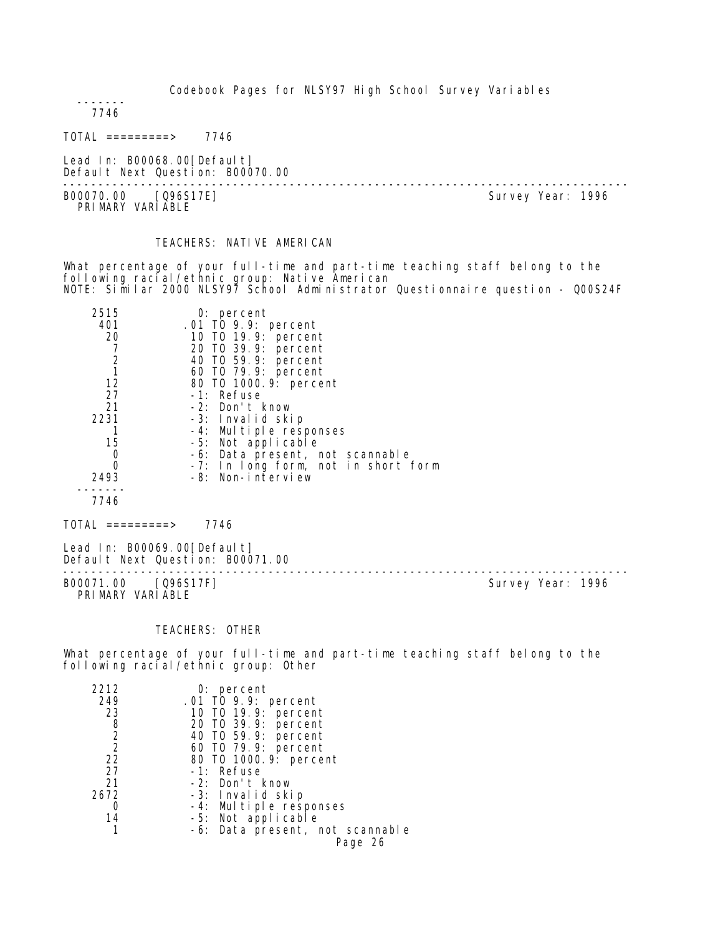------- 7746

TOTAL =========> 7746

Lead In: B00068.00[Default] Default Next Question: B00070.00

-------------------------------------------------------------------------------- B00070.00 [Q96S17E] PRIMARY VARIABLE

# TEACHERS: NATIVE AMERICAN

What percentage of your full-time and part-time teaching staff belong to the following racial/ethnic group: Native American NOTE: Similar 2000 NLSY97 School Administrator Questionnaire question - Q00S24F

| 2515<br>401 | $0:$ percent<br>.01 TO 9.9: percent |
|-------------|-------------------------------------|
| 20          | 10 T0 19.9: percent                 |
|             | 20 TO 39.9: percent                 |
|             | 40 T0 59.9: percent                 |
|             | 60 T0 79.9: percent                 |
| 12          | 80 T0 1000.9: percent               |
| 27          | $-1$ : Refuse                       |
| 21          | $-2$ : Don't know                   |
| 2231        | -3: Invalid skip                    |
|             | -4: Multiple responses              |
| 15          | -5: Not applicable                  |
| Ω           | -6: Data present, not scannable     |
|             | -7: In long form, not in short form |
| 2493        | -8: Non-interview                   |
|             |                                     |
| 7746        |                                     |

TOTAL =========> 7746

Lead In: B00069.00[Default] Default Next Question: B00071.00 B00071.00 [Q96S17F]

PRIMARY VARIABLE

--------------------------------------------------------------------------------

## TEACHERS: OTHER

What percentage of your full-time and part-time teaching staff belong to the following racial/ethnic group: Other

| 2212           | $0:$ percent                    |
|----------------|---------------------------------|
| 249            | .01 TO 9.9: percent             |
| 23             | 10 T0 19.9: percent             |
| 8              | 20 T0 39.9: percent             |
| $\overline{2}$ | 40 T0 59.9: percent             |
| $\overline{2}$ | 60 TO 79.9: percent             |
| 22             | 80 T0 1000. 9: percent          |
| 27             | -1: Refuse                      |
| 21             | -2: Don't know                  |
| 2672           | -3: Invalid skip                |
|                | -4: Multiple responses          |
| 14             | -5: Not applicable              |
|                | -6: Data present, not scannable |
|                | Page 26                         |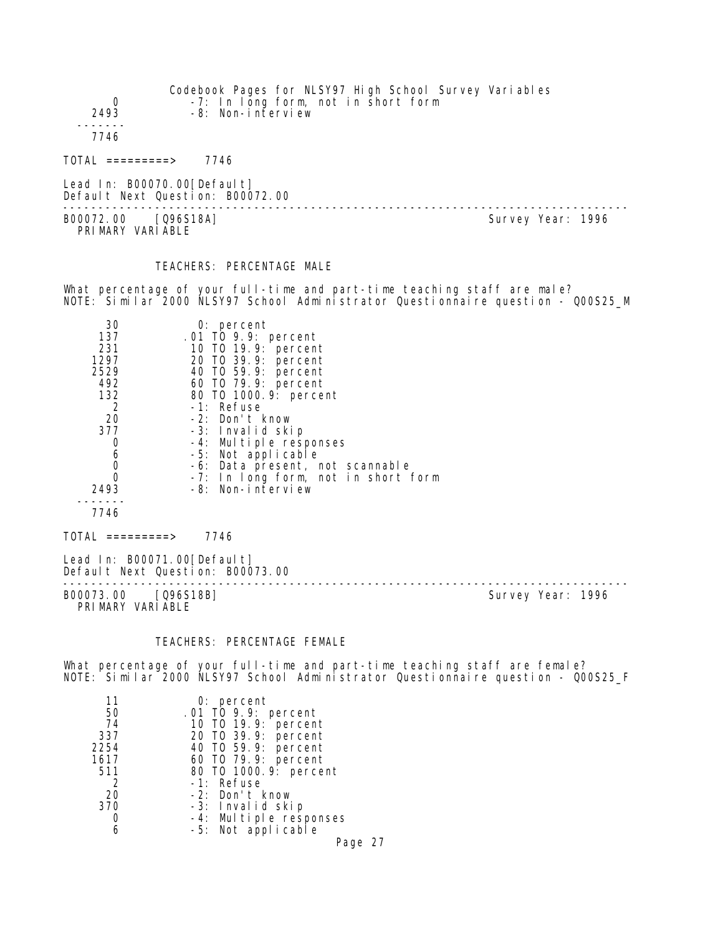| 0<br>2493                               | Codebook Pages for NLSY97 High School Survey Variables<br>-7: In long form, not in short form<br>-8: Non-interview |                   |  |
|-----------------------------------------|--------------------------------------------------------------------------------------------------------------------|-------------------|--|
| 7746                                    |                                                                                                                    |                   |  |
| TOTAL =========>                        | 7746                                                                                                               |                   |  |
|                                         | Lead In: B00070.00[Default]<br>Default Next Question: B00072.00                                                    |                   |  |
| B00072.00 [Q96S18A]<br>PRIMARY VARIABLE |                                                                                                                    | Survey Year: 1996 |  |

# TEACHERS: PERCENTAGE MALE

What percentage of your full-time and part-time teaching staff are male? NOTE: Similar 2000 NLSY97 School Administrator Questionnaire question - Q00S25\_M

| 30   | $0:$ percent                        |
|------|-------------------------------------|
| 137  | .01 TO 9.9: percent                 |
| 231  | 10 T0 19.9: percent                 |
| 1297 | 20 T0 39.9: percent                 |
| 2529 | 40 T0 59.9: percent                 |
| 492  | 60 T0 79.9: percent                 |
| 132  | 80 T0 1000.9: percent               |
| 2    | -1: Refuse                          |
| 20   | -2: Don't know                      |
| 377  | -3: Invalid skip                    |
| O    | -4: Multiple responses              |
| 6    | -5: Not applicable                  |
| 0    | -6: Data present, not scannable     |
|      | -7: In long form, not in short form |
| 2493 | -8: Non-interview                   |
|      |                                     |
| 7746 |                                     |

 $TOTAL$  =========> 7746

Lead In: B00071.00 [Default] Default Next Question: B00073.00

-------------------------------------------------------------------------------- PRIMARY VARIABLE

Survey Year: 1996

# TEACHERS: PERCENTAGE FEMALE

What percentage of your full-time and part-time teaching staff are female? NOTE: Similar 2000 NLSY97 School Administrator Questionnaire question - Q00S25\_F

| 11   | $0:$ percent                                 |
|------|----------------------------------------------|
| 50   |                                              |
| 74   | .01 TO 9.9: percent<br>10 TO 19.9: percent   |
| 337  | 20 T0 39.9: percent                          |
| 2254 | 40 T0 59.9: percent                          |
| 1617 | 60 T0 79.9: percent                          |
| 511  | 80 T0 1000. 9: percent                       |
| 2    | -1: Refuse                                   |
| 20   | -2: Don't know                               |
| 370  | -3: Invalid skip                             |
|      |                                              |
|      | -4: Multiple responses<br>-5: Not applicable |

Page 27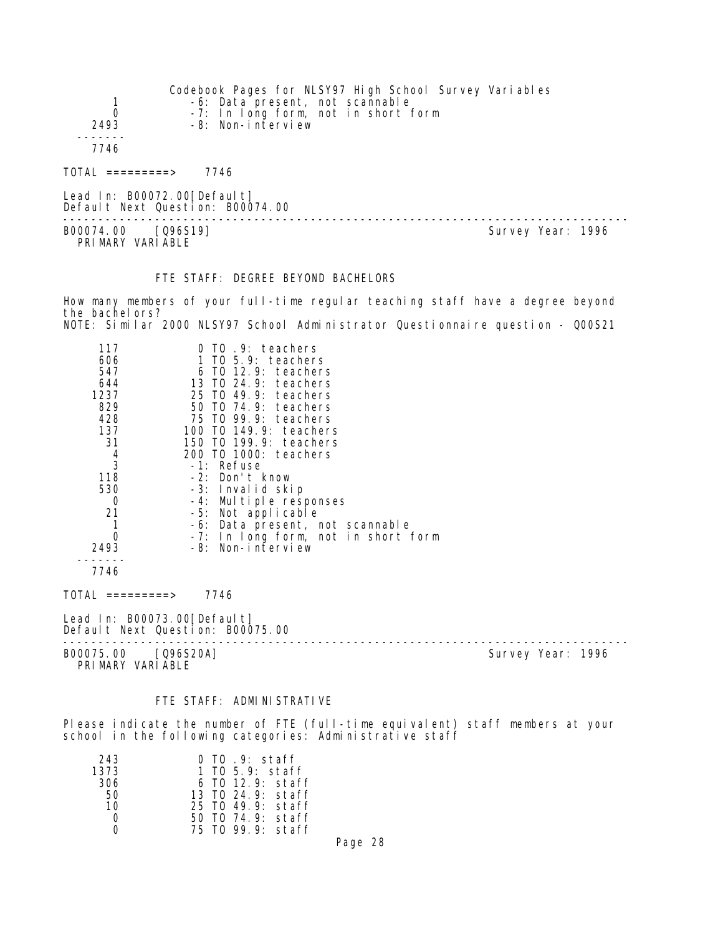| 0<br>2493                              | Codebook Pages for NLSY97 High School Survey Variables<br>-6: Data present, not scannable<br>-8: Non-interview | -7: In long form, not in short form |                   |  |
|----------------------------------------|----------------------------------------------------------------------------------------------------------------|-------------------------------------|-------------------|--|
| 7746                                   |                                                                                                                |                                     |                   |  |
| $TOTAL$ ==========>                    | 7746                                                                                                           |                                     |                   |  |
|                                        | Lead In: $B00072.00[Defaul t]$<br>Default Next Question: B00074.00                                             |                                     |                   |  |
| B00074.00 [Q96S19]<br>PRIMARY VARIABLE |                                                                                                                |                                     | Survey Year: 1996 |  |

# FTE STAFF: DEGREE BEYOND BACHELORS

How many members of your full-time regular teaching staff have a degree beyond the bachelors? NOTE: Similar 2000 NLSY97 School Administrator Questionnaire question - Q00S21

| 117<br>606<br>547<br>644<br>1237<br>829<br>428<br>137<br>31<br>$\frac{4}{3}$<br>118<br>530<br>0<br>21 | 0 TO .9: teachers<br>1 TO 5.9: teachers<br>6 TO 12.9: teachers<br>13 TO 24.9: teachers<br>25 TO 49.9: teachers<br>50 TO 74.9: teachers<br>75 TO 99.9: teachers<br>100 TO 149.9: teachers<br>150 TO 199.9: teachers<br>200 TO 1000: teachers<br>-1: Refuse<br>-2: Don't know<br>-3: Invalid skip<br>-4: Multiple responses<br>-5: Not applicable<br>-6: Data present, not scannable |
|-------------------------------------------------------------------------------------------------------|------------------------------------------------------------------------------------------------------------------------------------------------------------------------------------------------------------------------------------------------------------------------------------------------------------------------------------------------------------------------------------|
| $\Omega$<br>2493                                                                                      | -7: In long form, not in short form<br>-8: Non-interview                                                                                                                                                                                                                                                                                                                           |
| 7746                                                                                                  |                                                                                                                                                                                                                                                                                                                                                                                    |
| TOTAL =========>                                                                                      | 7746                                                                                                                                                                                                                                                                                                                                                                               |

Lead In: B00073.00[Default] Default Next Question: B00075.00

B00075.00 [Q96S20A] Survey Year: 1996 PRIMARY VARIABLE

--------------------------------------------------------------------------------

## FTE STAFF: ADMINISTRATIVE

Please indicate the number of FTE (full-time equivalent) staff members at your school in the following categories: Administrative staff

| 243  | 0 TO .9: staff     |
|------|--------------------|
| 1373 | 1 TO 5.9: staff    |
| 306  | $6$ TO 12.9: staff |
| - 50 | 13 TO 24 9: staff  |
| 10   | 25 TO 49.9: staff  |
| - 0  | 50 TO 74.9: staff  |
| O    | 75 TO 99.9: staff  |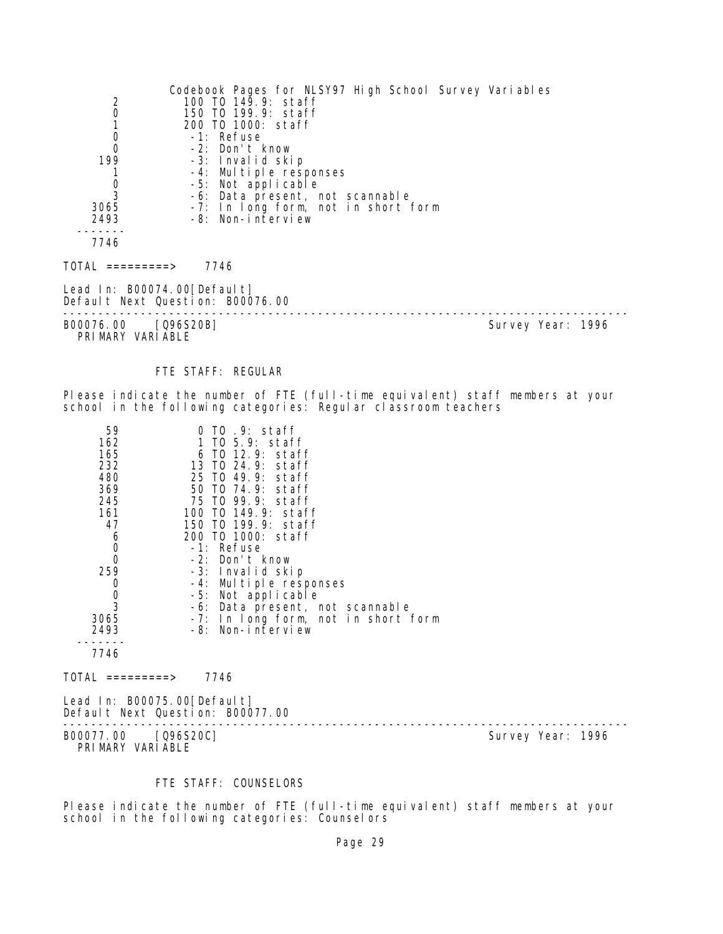|                                | Codebook Pages for NLSY97 High School Survey Variables |                   |
|--------------------------------|--------------------------------------------------------|-------------------|
|                                | 100 TO 149.9: staff                                    |                   |
| $\frac{2}{0}$                  | 150 TO 199.9: staff                                    |                   |
|                                | 200 TO 1000: staff                                     |                   |
| $\mathbf 0$                    | -1: Refuse                                             |                   |
| $\mathbf 0$                    | -2: Don't know                                         |                   |
| 199                            | -3: Invalid skip                                       |                   |
|                                | -4: Multiple responses                                 |                   |
| $\frac{0}{3}$                  | -5: Not applicable                                     |                   |
|                                | -6: Data present, not scannable                        |                   |
| 3065                           | -7: In long form, not in short form                    |                   |
| 2493                           | -8: Non-interview                                      |                   |
| 7746                           |                                                        |                   |
|                                |                                                        |                   |
| $TOTAL$ ==========>            | 7746                                                   |                   |
| Lead In: $B00074.00$ [Default] |                                                        |                   |
|                                | Default Next Question: B00076.00                       |                   |
| B00076.00 [Q96S20B]            |                                                        | Survey Year: 1996 |
| PRIMARY VARIABLE               |                                                        |                   |

#### FTE STAFF: REGULAR

Please indicate the number of FTE (full-time equivalent) staff members at your school in the following categories: Regular classroom teachers

| 59<br>162<br>165<br>232<br>480<br>369<br>245<br>161<br>47<br>6<br>0<br>$\Omega$<br>259 | 0 TO .9: staff<br>1 TO 5.9: staff<br>6 TO 12.9: staff<br>13 TO 24.9: staff<br>25 TO 49.9: staff<br>50 TO 74.9: staff<br>75 TO 99.9: staff<br>100 TO 149.9: staff<br>150 TO 199.9: staff<br>200 TO 1000: staff<br>-1: Refuse<br>-2: Don't know<br>-3: Invalid skip |
|----------------------------------------------------------------------------------------|-------------------------------------------------------------------------------------------------------------------------------------------------------------------------------------------------------------------------------------------------------------------|
|                                                                                        |                                                                                                                                                                                                                                                                   |
| 0                                                                                      | -4: Multiple responses                                                                                                                                                                                                                                            |
| 0                                                                                      | -5: Not applicable                                                                                                                                                                                                                                                |
| 3                                                                                      | -6: Data present, not scannable                                                                                                                                                                                                                                   |
| 3065                                                                                   | In long form, not in short form<br>$-7:$                                                                                                                                                                                                                          |
| 2493                                                                                   | -8: Non-interview                                                                                                                                                                                                                                                 |
|                                                                                        |                                                                                                                                                                                                                                                                   |
| 7746                                                                                   |                                                                                                                                                                                                                                                                   |

 $TOTAL$  =========> 7746

Lead In: B00075.00[Default] Default Next Question: B00077.00

-------------------------------------------------------------------------------- B00077.00 [Q96S20C] Survey Year: 1996 PRIMARY VARIABLE

# FTE STAFF: COUNSELORS

Please indicate the number of FTE (full-time equivalent) staff members at your school in the following categories: Counselors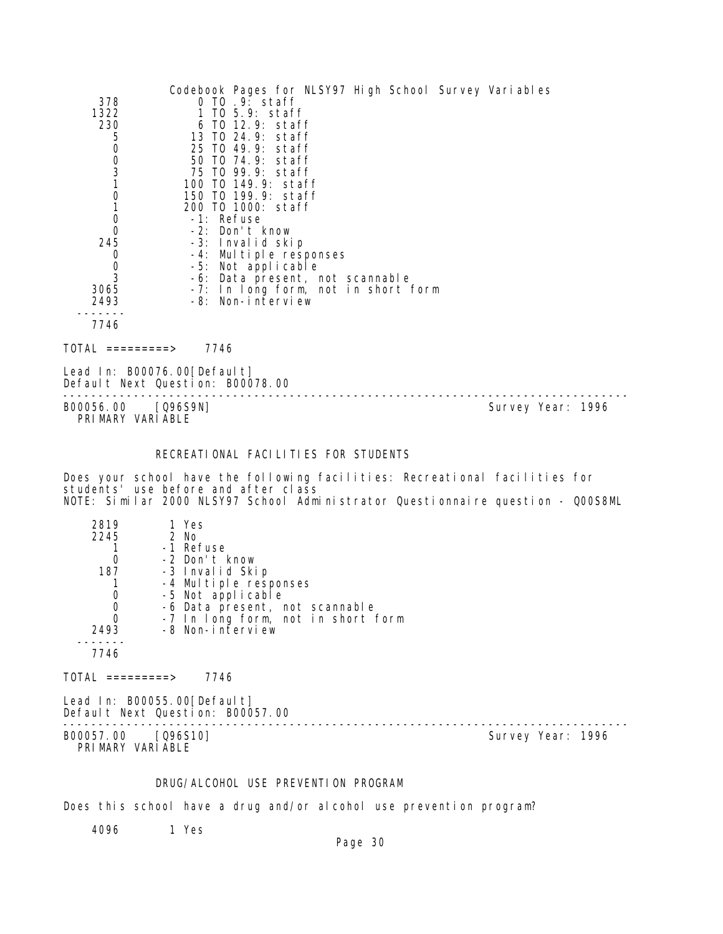|                        | Codebook Pages for NLSY97 High School Survey Variables |
|------------------------|--------------------------------------------------------|
| 378                    | 0 TO .9: staff                                         |
| 1322                   | 1 TO 5.9: staff                                        |
| 230                    | 6 TO 12.9: staff                                       |
| 5                      | 13 TO 24.9: staff                                      |
| 0                      | 25 TO 49.9: staff                                      |
| $\frac{0}{3}$          | 50 TO 74.9: staff                                      |
|                        | 75 TO 99.9: staff                                      |
|                        | 100 TO 149.9: staff                                    |
| $\mathbf 0$            | 150 TO 199.9: staff                                    |
|                        | 200 TO 1000: staff                                     |
| 0                      | -1: Refuse                                             |
| 0                      | -2: Don't know                                         |
| 245                    | -3: Invalid skip                                       |
| 0                      | -4: Multiple responses                                 |
| 0                      | -5: Not applicable                                     |
| 3                      | -6: Data present, not scannable                        |
| 3065                   | -7: In long form, not in short form                    |
| 2493                   | -8: Non-interview                                      |
|                        |                                                        |
| 7746                   |                                                        |
| TOTAL<br>$=$ ========> | 7746                                                   |

Lead In: B00076.00 [Default] Default Next Question: B00078.00

B00056.00 [Q96S9N] PRIMARY VARIABLE

--------------------------------------------------------------------------------

# RECREATIONAL FACILITIES FOR STUDENTS

Does your school have the following facilities: Recreational facilities for students' use before and after class NOTE: Similar 2000 NLSY97 School Administrator Questionnaire question - Q00S8ML

| 2819<br>2245 | 1 Yes<br>$2$ No                    |
|--------------|------------------------------------|
|              | -1 Refuse                          |
|              | -2 Don't know                      |
| 187          | -3 Invalid Skip                    |
|              | -4 Multiple responses              |
|              | -5 Not applicable                  |
|              | -6 Data present, not scannable     |
| O            | -7 In long form, not in short form |
| 2493         | -8 Non-interview                   |
|              |                                    |
| 7746         |                                    |

 $TOTAL$  =========> 7746

Lead In: B00055.00[Default] Default Next Question: B00057.00

B00057.00 [Q96S10] Survey Year: 1996 PRIMARY VARIABLE

--------------------------------------------------------------------------------

#### DRUG/ALCOHOL USE PREVENTION PROGRAM

Does this school have a drug and/or alcohol use prevention program?

4096 1 Yes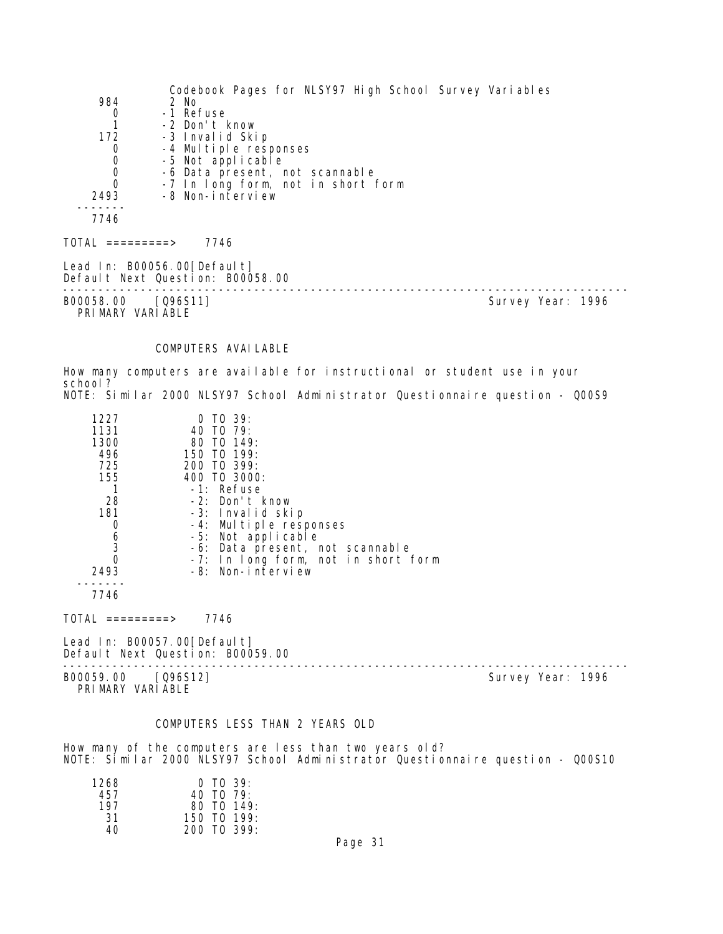|                                        | Codebook Pages for NLSY97 High School Survey Variables          |                   |  |
|----------------------------------------|-----------------------------------------------------------------|-------------------|--|
| 984                                    | 2 No                                                            |                   |  |
| 0                                      | -1 Refuse                                                       |                   |  |
|                                        | -2 Don't know                                                   |                   |  |
| 172                                    | -3 Invalid Skip                                                 |                   |  |
| 0                                      | -4 Multiple responses                                           |                   |  |
| $\boldsymbol{0}$                       | -5 Not applicable                                               |                   |  |
| $\mathbf 0$                            | -6 Data present, not scannable                                  |                   |  |
| 0                                      | -7 In long form, not in short form                              |                   |  |
| 2493                                   | -8 Non-interview                                                |                   |  |
|                                        |                                                                 |                   |  |
| 7746                                   |                                                                 |                   |  |
| TOTAL =========>                       | 7746                                                            |                   |  |
|                                        | Lead In: B00056.00[Default]<br>Default Next Question: B00058.00 |                   |  |
| B00058.00 [Q96S11]<br>PRIMARY VARIABLE |                                                                 | Survey Year: 1996 |  |

#### COMPUTERS AVAILABLE

How many computers are available for instructional or student use in your school? NOTE: Similar 2000 NLSY97 School Administrator Questionnaire question - Q00S9

| 1227<br>1131<br>1300<br>496<br>725<br>155<br>-28<br>181<br>0<br>6<br>3<br>0 | $0$ TO 39:<br>40 TO 79:<br>80 TO 149:<br>150 TO 199:<br>200 TO 399:<br>400 TO 3000:<br>$-1$ : Refuse<br>-2: Don't know<br>-3: Invalid skip<br>-4: Multiple responses<br>-5: Not applicable<br>-6: Data present, not scannable<br>-7: In long form, not in short form |
|-----------------------------------------------------------------------------|----------------------------------------------------------------------------------------------------------------------------------------------------------------------------------------------------------------------------------------------------------------------|
| 2493                                                                        | $-8$ : Non-interview                                                                                                                                                                                                                                                 |
|                                                                             |                                                                                                                                                                                                                                                                      |

7746

TOTAL =========> 7746

Lead In: B00057.00[Default] Default Next Question: B00059.00

B00059.00 [Q96S12] PRIMARY VARIABLE

--------------------------------------------------------------------------------

#### COMPUTERS LESS THAN 2 YEARS OLD

How many of the computers are less than two years old? NOTE: Similar 2000 NLSY97 School Administrator Questionnaire question - Q00S10

| 1268 | $0$ TO 39:                     |
|------|--------------------------------|
| 457  | 40 TO 79:                      |
| 197  | $80$ TO $149$ :                |
| 31   | 150 TO 199:                    |
| 40   | $200 \text{ T}0 \text{ }399$ : |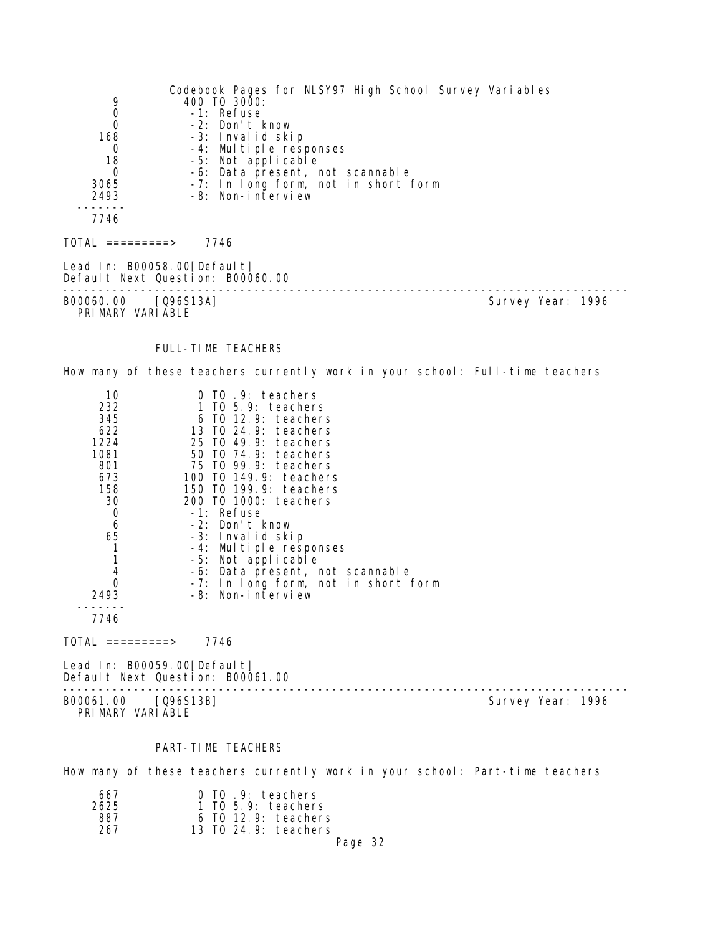Codebook Pages for NLSY97 High School Survey Variables 9 400 TO 3000: 0 -1: Refuse 0 -2: Don't know 168 -3: Invalid skip 0 -4: Multiple responses 18 -5: Not applicable 0 -6: Data present, not scannable 3065 -7: In long form, not in short form 2493 -8: Non-interview 7746  $TOTAL$  ========> 7746 Lead In: B00058.00[Default] Default Next Question: B00060.00 -------------------------------------------------------------------------------- Survey Year: 1996 PRIMARY VARIABLE FULL-TIME TEACHERS How many of these teachers currently work in your school: Full-time teachers 10 0 TO .9: teachers<br>232 1 TO 5.9: teachers 232 1 TO 5.9: teachers 345 6 TO 12.9: teachers 622 13 TO 24.9: teachers 1224 25 TO 49.9: teachers 1081 50 TO 74.9: teachers 801 75 TO 99.9: teachers 673 100 TO 149.9: teachers 158 150 TO 199.9: teachers 30 200 TO 1000: teachers 0 -1: Refuse<br>6 -2: Don't l 6 -2: Don't know 65 -3: Invalid skip 1 -4: Multiple responses 1 -5: Not applicable 4 -6: Data present, not scannable 0 -7: In long form, not in short form 2493 -8: Non-interview ------- 7746 TOTAL =========> 7746 Lead In: B00059.00 [Default] Default Next Question: B00061.00 -------------------------------------------------------------------------------- Survey Year: 1996 PRIMARY VARIABLE PART-TIME TEACHERS How many of these teachers currently work in your school: Part-time teachers

| 667  |  | 0 TO .9: teachers       |         |  |
|------|--|-------------------------|---------|--|
| 2625 |  | $1$ TO 5.9: teachers    |         |  |
| 887  |  | 6 TO 12.9: teachers     |         |  |
| 267  |  | 13 TO $24.9$ : teachers |         |  |
|      |  |                         | Page 32 |  |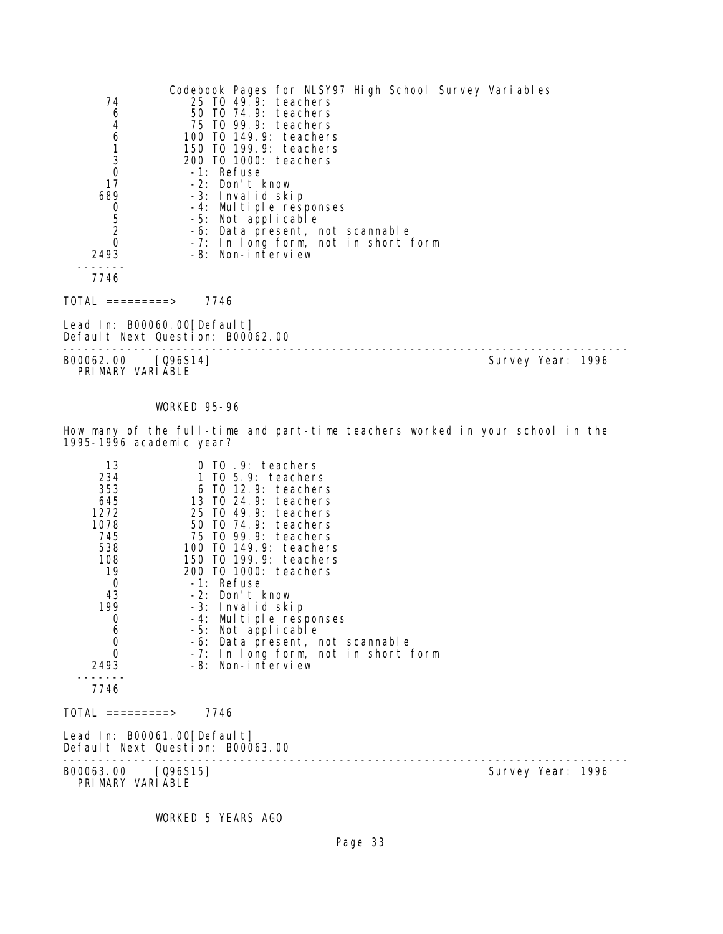|                | Codebook Pages for NLSY97 High School Survey Variables |
|----------------|--------------------------------------------------------|
| 74             | 25 TO 49.9: teachers                                   |
| 6              | 50 TO 74.9: teachers                                   |
| 4              | 75 TO 99.9: teachers                                   |
| 6              | 100 TO 149.9: teachers                                 |
|                | 150 T0 199.9: teachers                                 |
| 3              | 200 TO 1000: teachers                                  |
| 0              | -1: Refuse                                             |
| 17             | -2: Don't know                                         |
| 689            | -3: Invalid skip                                       |
| 0              | -4: Multiple responses                                 |
| 5              | -5: Not applicable                                     |
| $\overline{2}$ | -6: Data present, not scannable                        |
|                | -7: In long form, not in short form                    |
| 2493           | -8: Non-interview                                      |
|                |                                                        |
| 7746           |                                                        |
|                |                                                        |

TOTAL =========> 7746

Lead In: B00060.00[Default] Default Next Question: B00062.00

-------------------------------------------------------------------------------- B00062.00 [Q96S14] Survey Year: 1996 PRIMARY VARIABLE

#### WORKED 95-96

How many of the full-time and part-time teachers worked in your school in the 1995-1996 academic year?

| 13<br>234<br>353<br>645<br>1272<br>1078<br>745<br>538<br>108<br>19<br>0<br>43<br>199<br>$\mathbf 0$<br>$6\atop{0}$<br>$\overline{0}$<br>2493<br>7746<br>TOTAL =========> | 0 TO .9: teachers<br>$1$ TO $5.9$ : teachers<br>6 TO 12.9: teachers<br>13 TO 24.9: teachers<br>25 TO 49.9: teachers<br>50 TO 74.9: teachers<br>75 TO 99.9: teachers<br>100 T0 149.9: teachers<br>150 TO 199.9: teachers<br>200 TO 1000: teachers<br>-1: Refuse<br>-2: Don't know<br>-3: Invalid skip<br>-4: Multiple responses<br>-5: Not applicable<br>-6: Data present, not scannable<br>-7: In long form, not in short form<br>-8: Non-interview<br>7746 |                   |
|--------------------------------------------------------------------------------------------------------------------------------------------------------------------------|-------------------------------------------------------------------------------------------------------------------------------------------------------------------------------------------------------------------------------------------------------------------------------------------------------------------------------------------------------------------------------------------------------------------------------------------------------------|-------------------|
| Lead In: B00061.00[Default]                                                                                                                                              | Default Next Question: B00063.00                                                                                                                                                                                                                                                                                                                                                                                                                            |                   |
| B00063.00 [Q96S15]<br>PRIMARY VARIABLE                                                                                                                                   |                                                                                                                                                                                                                                                                                                                                                                                                                                                             | Survey Year: 1996 |

WORKED 5 YEARS AGO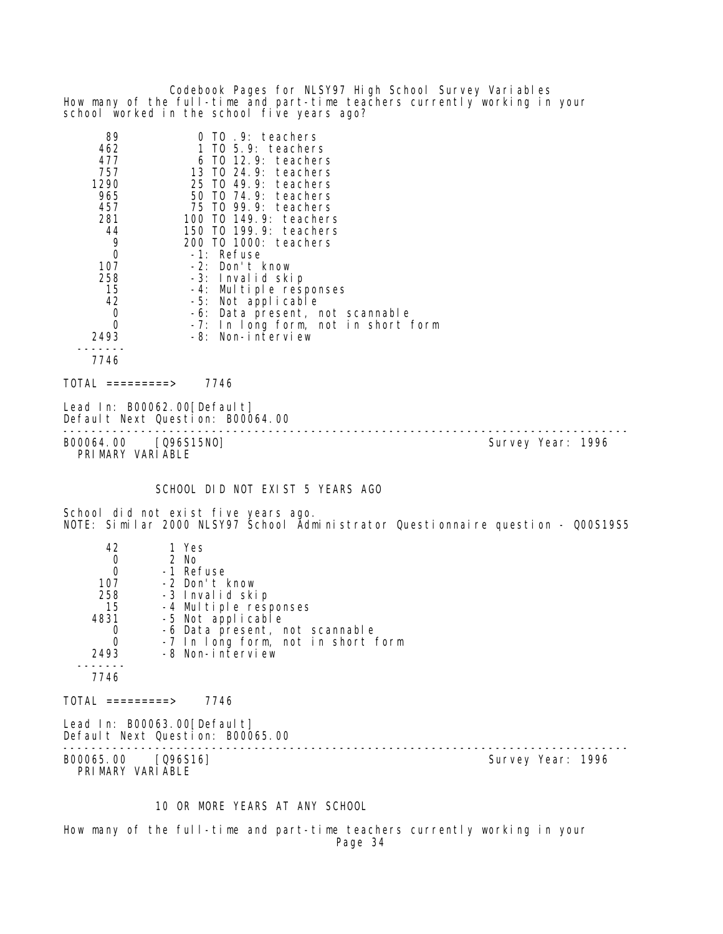Codebook Pages for NLSY97 High School Survey Variables How many of the full-time and part-time teachers currently working in your school worked in the school five years ago?

| 89   | 0 TO .9: teachers                   |
|------|-------------------------------------|
| 462  | 1 TO 5.9: teachers                  |
| 477  | 6 TO 12.9: teachers                 |
| 757  | 13 TO $24.9$ : teachers             |
| 1290 | 25 TO 49.9: teachers                |
| 965  | 50 TO 74.9: teachers                |
| 457  | 75 TO 99.9: teachers                |
| 281  | 100 TO 149.9: teachers              |
| 44   | 150 TO 199.9: teachers              |
| 9    | 200 TO 1000: teachers               |
| 0    | -1: Refuse                          |
| 107  | -2: Don't know                      |
| 258  | -3: Invalid skip                    |
| 15   | -4: Multiple responses              |
| 42   | -5: Not applicable                  |
| 0    | -6: Data present, not scannable     |
| 0    | -7: In long form, not in short form |
| 2493 | -8: Non-interview                   |
|      |                                     |
| 7746 |                                     |
|      |                                     |

 $TOTAL$  =========> 7746

Lead In: B00062.00 [Default] Default Next Question: B00064.00

-------------------------------------------------------------------------------- B00064.00 [Q96S15NO] Survey Year: 1996 PRIMARY VARIABLE

SCHOOL DID NOT EXIST 5 YEARS AGO

School did not exist five years ago. NOTE: Similar 2000 NLSY97 School Administrator Questionnaire question - Q00S19S5

| 42                                   | 1 Yes                                                           |                   |  |
|--------------------------------------|-----------------------------------------------------------------|-------------------|--|
| $\begin{matrix} 0 \\ 0 \end{matrix}$ | 2 No                                                            |                   |  |
|                                      | -1 Refuse                                                       |                   |  |
| 107                                  | -2 Don't know                                                   |                   |  |
| 258                                  | -3 Invalid skip                                                 |                   |  |
| 15                                   | -4 Multiple responses                                           |                   |  |
| 4831                                 | -5 Not applicable                                               |                   |  |
| $\begin{matrix}0\\0\end{matrix}$     | -6 Data present, not scannable                                  |                   |  |
|                                      | -7 In long form, not in short form                              |                   |  |
| 2493                                 | -8 Non-interview                                                |                   |  |
| 7746                                 |                                                                 |                   |  |
| TOTAL =========>                     | 7746                                                            |                   |  |
|                                      | Lead In: B00063.00[Default]<br>Default Next Question: B00065.00 |                   |  |
| B00065.00                            | $[Q96S16]$                                                      | Survey Year: 1996 |  |

PRIMARY VARIABLE

# 10 OR MORE YEARS AT ANY SCHOOL

How many of the full-time and part-time teachers currently working in your Page 34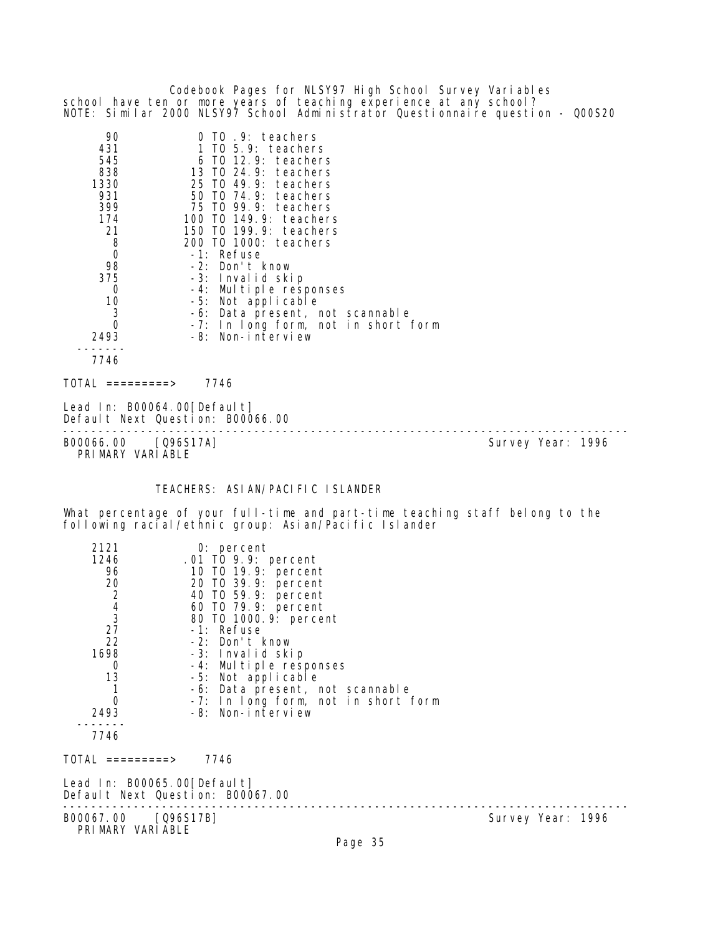|                                                                                                                |                                                                                                                                                                                                                                                                                                                                                                                                            | school have ten or more years of teaching experience at any school?<br>NOTE: Similar 2000 NLSY97 School Administrator Questionnaire question - QOOS20 |
|----------------------------------------------------------------------------------------------------------------|------------------------------------------------------------------------------------------------------------------------------------------------------------------------------------------------------------------------------------------------------------------------------------------------------------------------------------------------------------------------------------------------------------|-------------------------------------------------------------------------------------------------------------------------------------------------------|
| 90<br>431<br>545<br>838<br>1330<br>931<br>399<br>174<br>21<br>8<br>0<br>98<br>375<br>0<br>10<br>3<br>0<br>2493 | 0 TO .9: teachers<br>1 TO 5.9: teachers<br>6 TO 12.9: teachers<br>13 TO 24.9: teachers<br>25 TO 49.9:<br>teachers<br>50 T0 74.9: teachers<br>75 TO 99.9: teachers<br>100 T0 149.9: teachers<br>150 TO 199.9: teachers<br>200 T0 1000: teachers<br>-1: Refuse<br>-2: Don't know<br>-3: Invalid skip<br>-4: Multiple responses<br>-5: Not applicable<br>-6: Data present, not scannable<br>-8: Non-interview | -7: In long form, not in short form                                                                                                                   |
| 7746<br>TOTAL =========>                                                                                       | 7746                                                                                                                                                                                                                                                                                                                                                                                                       |                                                                                                                                                       |
|                                                                                                                | Lead In: B00064.00 [Default]<br>Default Next Question: B00066.00                                                                                                                                                                                                                                                                                                                                           |                                                                                                                                                       |
| B00066.00 [Q96S17A]<br>PRIMARY VARIABLE                                                                        |                                                                                                                                                                                                                                                                                                                                                                                                            | Survey Year: 1996                                                                                                                                     |
|                                                                                                                | TEACHERS: ASIAN/PACIFIC ISLANDER                                                                                                                                                                                                                                                                                                                                                                           |                                                                                                                                                       |
|                                                                                                                | following racial/ethnic group: Asian/Pacific Islander                                                                                                                                                                                                                                                                                                                                                      | What percentage of your full-time and part-time teaching staff belong to the                                                                          |
| 2121<br>1246<br>96<br>20<br>2<br>$\overline{4}$<br>3<br>27<br>22<br>1698<br>0<br>13<br>1<br>0<br>2493<br>7746  | $0:$ percent<br>.01 TO 9.9: percent<br>10 TO 19.9: percent<br>20 T0 39.9: percent<br>40 TO 59.9: percent<br>60 T0 79.9: percent<br>80 T0 1000. 9: percent<br>-1: Refuse<br>-2: Don't know<br>-3: Invalid skip<br>-4: Multiple responses<br>-5: Not applicable<br>-6: Data present, not scannable<br>-8: Non-interview                                                                                      | -7: In long form, not in short form                                                                                                                   |
| $\text{TOTAL}$ =========> 7746                                                                                 |                                                                                                                                                                                                                                                                                                                                                                                                            |                                                                                                                                                       |
|                                                                                                                | Lead In: B00065.00[Default]<br>Default Next Question: B00067.00                                                                                                                                                                                                                                                                                                                                            |                                                                                                                                                       |
| B00067.00 [Q96S17B]<br>PRIMARY VARIABLE                                                                        |                                                                                                                                                                                                                                                                                                                                                                                                            | Survey Year: 1996<br>Page 35                                                                                                                          |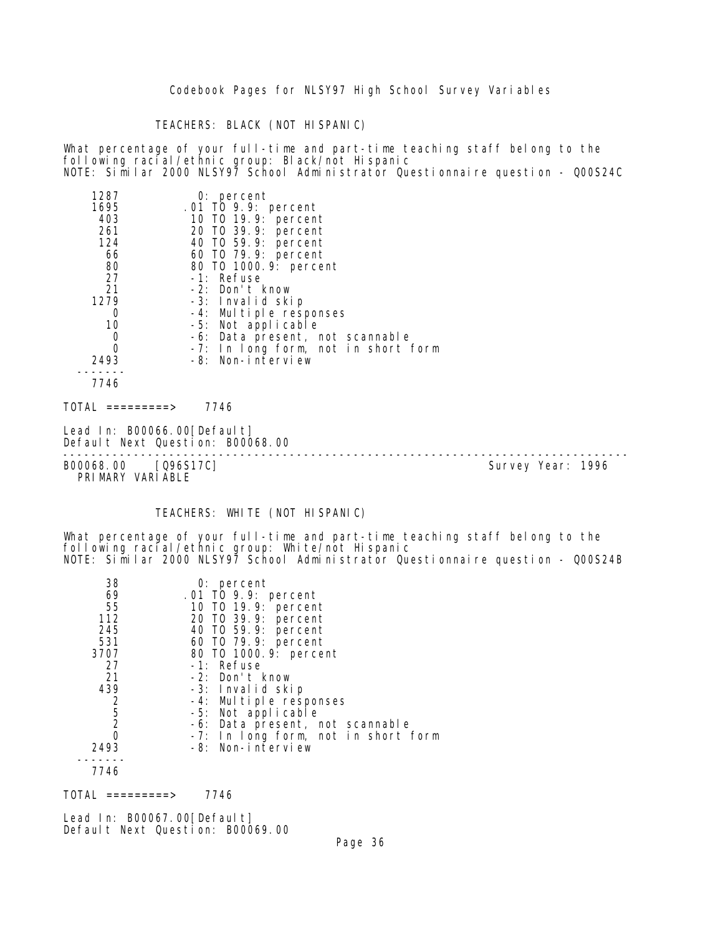TEACHERS: BLACK (NOT HISPANIC)

What percentage of your full-time and part-time teaching staff belong to the following racial/ethnic group: Black/not Hispanic NOTE: Similar 2000 NLSY97 School Administrator Questionnaire question - Q00S24C

| 1287                   | $0:$ percent                        |
|------------------------|-------------------------------------|
| 1695                   | .01 TO 9.9: percent                 |
| 403                    | 10 T0 19.9: percent                 |
| 261                    | 20 TO 39.9: percent                 |
| 124                    | 40 TO 59.9: percent                 |
| 66                     | 60 TO 79.9: percent                 |
| 80                     | 80 T0 1000. 9: percent              |
| 27                     | -1: Refuse                          |
| 21                     | -2: Don't know                      |
| 1279                   | -3: Invalid skip                    |
| 0                      | -4: Multiple responses              |
| 10                     | -5: Not applicable                  |
| $\mathbf 0$            | -6: Data present, not scannable     |
| $\overline{0}$         | -7: In long form, not in short form |
| 2493                   | -8: Non-interview                   |
|                        |                                     |
| 7746                   |                                     |
| TOTAL<br>$=$ ========> | 7746                                |

Lead In: B00066.00[Default] Default Next Question: B00068.00 -------------------------------------------------------------------------------- B00068.00 [Q96S17C]

PRIMARY VARIABLE

# TEACHERS: WHITE (NOT HISPANIC)

What percentage of your full-time and part-time teaching staff belong to the following racial/ethnic group: White/not Hispanic NOTE: Similar 2000 NLSY97 School Administrator Questionnaire question - Q00S24B

| 38            | $0:$ percent                        |
|---------------|-------------------------------------|
| 69            | .01 TO 9.9: percent                 |
| 55            | 10 T0 19.9: percent                 |
| 112           | 20 T0 39.9: percent                 |
| 245           | 40 T0 59.9: percent                 |
| 531           | 60 T0 79.9: percent                 |
| 3707          | 80 T0 1000. 9: percent              |
| 27            | -1: Refuse                          |
| 21            | -2: Don't know                      |
| 439           | -3: Invalid skip                    |
|               | -4: Multiple responses              |
| $\frac{2}{5}$ | -5: Not applicable                  |
|               | -6: Data present, not scannable     |
| 0             | -7: In long form, not in short form |
| 2493          | -8: Non-interview                   |
|               |                                     |
| 7746          |                                     |

 $TOTAL$  ========> 7746

Lead In: B00067.00 [Default] Default Next Question: B00069.00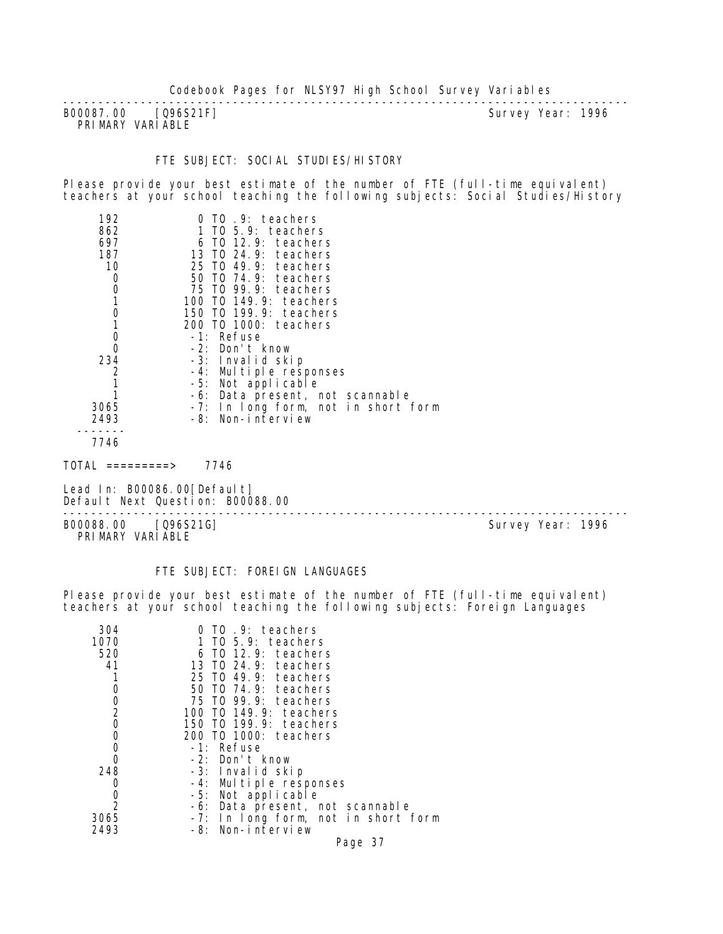B00087.00 [Q96S21F] PRIMARY VARIABLE

--------------------------------------------------------------------------------

#### FTE SUBJECT: SOCI AL STUDI ES/HI STORY

Please provide your best estimate of the number of FTE (full-time equivalent) teachers at your school teaching the following subjects: Social Studies/History

| 192  | $0$ TO $.9$ : teachers              |
|------|-------------------------------------|
| 862  | $1$ TO 5.9: teachers                |
| 697  | 6 TO 12.9: teachers                 |
| 187  | 13 TO 24.9: teachers                |
| 10   | 25 TO 49.9: teachers                |
| 0    | 50 T0 74.9: teachers                |
| 0    | 75 TO 99.9: teachers                |
|      | 100 TO 149.9: teachers              |
| 0    | 150 T0 199.9: teachers              |
|      | 200 TO 1000: teachers               |
| 0    | -1: Refuse                          |
| 0    | -2: Don't know                      |
| 234  | -3: Invalid skip                    |
|      | -4: Multiple responses              |
|      | -5: Not applicable                  |
|      | -6: Data present, not scannable     |
| 3065 | -7: In long form, not in short form |
| 2493 | -8: Non-interview                   |
|      |                                     |
|      |                                     |

7746

 $TOTAL$  =========> 7746

Lead In: B00086.00[Default] Default Next Question: B00088.00

B00088.00 [Q96S21G] PRIMARY VARIABLE

--------------------------------------------------------------------------------

FTE SUBJECT: FOREIGN LANGUAGES

Please provide your best estimate of the number of FTE (full-time equivalent) teachers at your school teaching the following subjects: Foreign Languages

| 304            | 0 TO .9: teachers                   |
|----------------|-------------------------------------|
| 1070           | 1 TO 5.9: teachers                  |
| 520            | $6$ TO 12.9: teachers               |
| 41             | 13 TO 24.9: teachers                |
|                | 25 TO 49.9: teachers                |
| 0              | 50 T0 74.9: teachers                |
| 0              | 75 TO 99.9: teachers                |
| $\overline{2}$ | 100 T0 149.9: teachers              |
| $\overline{O}$ | 150 T0 199.9: teachers              |
| 0              | 200 TO 1000: teachers               |
| 0              | -1: Refuse                          |
| 0              | -2: Don't know                      |
| 248            | -3: Invalid skip                    |
| 0              | -4: Multiple responses              |
|                | -5: Not applicable                  |
| $\frac{0}{2}$  | -6: Data present, not scannable     |
| 3065           | -7: In long form, not in short form |
| 2493           | -8: Non-interview                   |
|                | Page 37                             |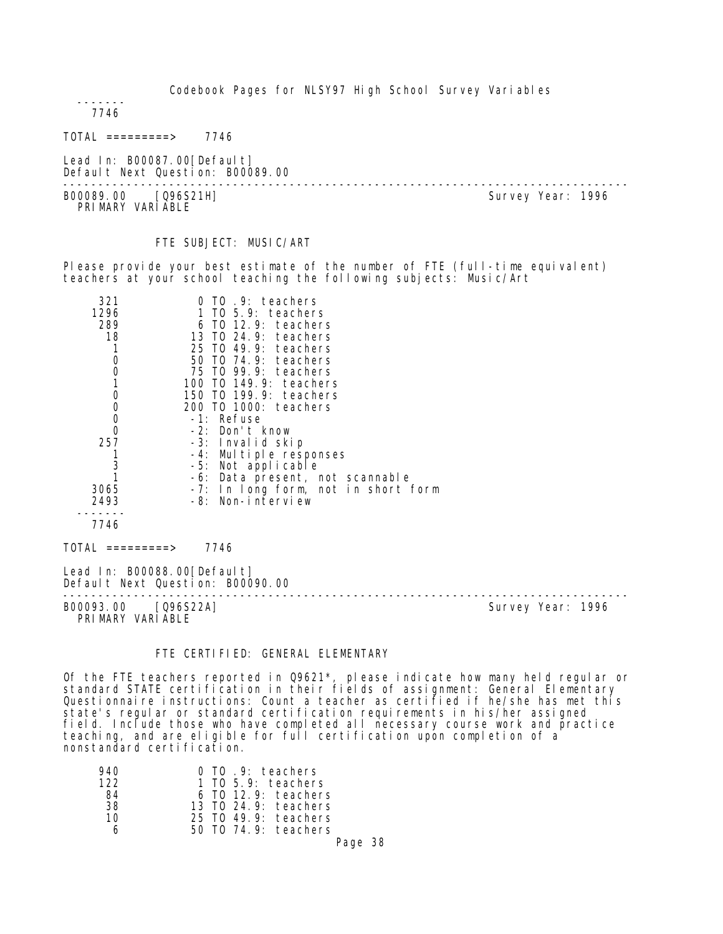------- 7746

TOTAL =========> 7746

Lead In: B00087.00[Default] Default Next Question: B00089.00

-------------------------------------------------------------------------------- B00089.00 [Q96S21H] PRI MARY VARI ABLE

FTE SUBJECT: MUSIC/ART

Please provide your best estimate of the number of FTE (full-time equivalent) teachers at your school teaching the following subjects: Music/Art

| 321                                        | TO .9: teachers                     |                   |
|--------------------------------------------|-------------------------------------|-------------------|
| 1296                                       | 1 TO 5.9: teachers                  |                   |
| 289                                        | 6 TO 12.9: teachers                 |                   |
| 18                                         | 13 TO 24.9: teachers                |                   |
| 1                                          | 25 TO 49.9: teachers                |                   |
| $\mathbf 0$                                | 50 TO 74.9: teachers                |                   |
| $\begin{smallmatrix}0\\1\end{smallmatrix}$ | 75 TO 99.9: teachers                |                   |
|                                            | 100 TO 149.9: teachers              |                   |
| $\begin{smallmatrix}0\\0\end{smallmatrix}$ | 150 TO 199.9: teachers              |                   |
|                                            | 200 TO 1000: teachers               |                   |
| $\mathbf 0$                                | -1: Refuse                          |                   |
| $\mathbf 0$                                | -2: Don't know                      |                   |
| 257                                        | -3: Invalid skip                    |                   |
|                                            | -4: Multiple responses              |                   |
| $\frac{3}{1}$                              | -5: Not applicable                  |                   |
|                                            | -6: Data present, not scannable     |                   |
| 3065                                       | -7: In long form, not in short form |                   |
| 2493                                       | -8: Non-interview                   |                   |
|                                            |                                     |                   |
| 7746                                       |                                     |                   |
| $\text{TOTAL}$ =========>                  | 7746                                |                   |
| Lead In: B00088.00[Default]                | Default Next Question: B00090.00    |                   |
| B00093.00 [Q96S22A]<br>PRIMARY VARIABLE    |                                     | Survey Year: 1996 |

#### FTE CERTIFIED: GENERAL ELEMENTARY

Of the FTE teachers reported in Q9621\*, please indicate how many held regular or standard STATE certification in their fields of assignment: General Elementary Questionnaire instructions: Count a teacher as certified if he/she has met this state's regular or standard certification requirements in his/her assigned field. Include those who have completed all necessary course work and practice teaching, and are eligible for full certification upon completion of a nonstandard certification.

| 940 | $0$ TO $.9$ : teachers |
|-----|------------------------|
| 122 | $1$ TO 5.9: teachers   |
| 84  | $6$ TO 12.9: teachers  |
| 38  | 13 TO 24.9: teachers   |
| 10  | 25 TO 49.9: teachers   |
| ѧ   | 50 TO 74.9: teachers   |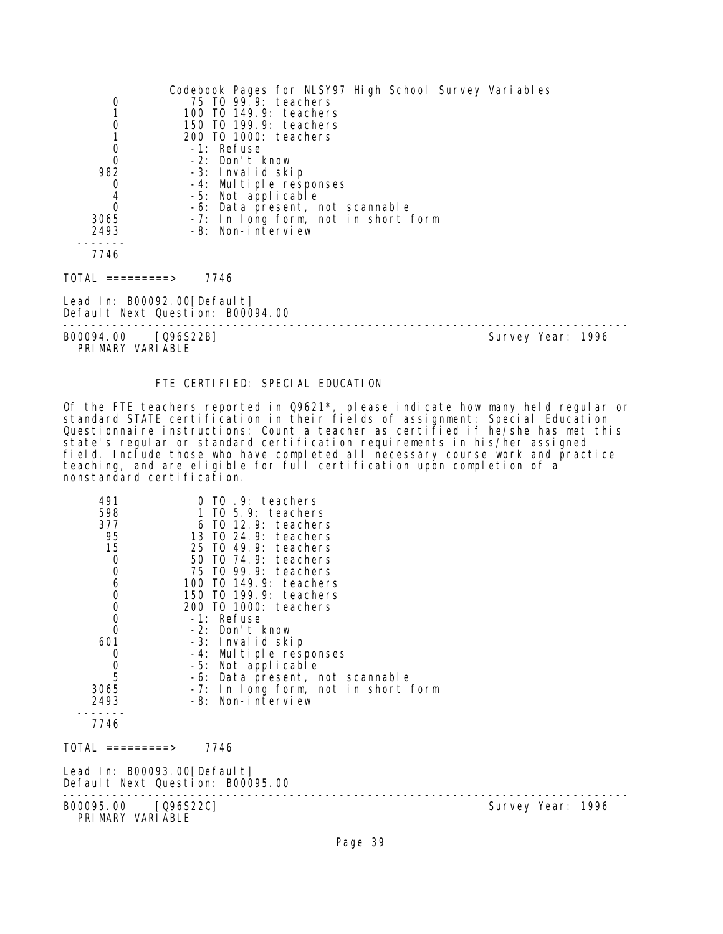| 0<br>1<br>0<br>$\mathbf 0$<br>$\mathbf 0$<br>982<br>0<br>$\begin{matrix} 4 \\ 0 \end{matrix}$<br>3065<br>2493 | Codebook Pages for NLSY97 High School Survey Variables<br>75 TO 99.9: teachers<br>100 T0 149.9: teachers<br>150 T0 199.9: teachers<br>200 TO 1000: teachers<br>-1: Refuse<br>-2: Don't know<br>-3: Invalid skip<br>-4: Multiple responses<br>-5: Not applicable<br>-6: Data present, not scannable<br>-7: In long form, not in short form<br>-8: Non-interview |                   |
|---------------------------------------------------------------------------------------------------------------|----------------------------------------------------------------------------------------------------------------------------------------------------------------------------------------------------------------------------------------------------------------------------------------------------------------------------------------------------------------|-------------------|
| 7746                                                                                                          |                                                                                                                                                                                                                                                                                                                                                                |                   |
| TOTAL =========>                                                                                              | 7746                                                                                                                                                                                                                                                                                                                                                           |                   |
| Lead In: B00092.00[Default]                                                                                   | Default Next Question: B00094.00                                                                                                                                                                                                                                                                                                                               |                   |
| B00094.00                                                                                                     | $[Q96S22B]$                                                                                                                                                                                                                                                                                                                                                    | Survey Year: 1996 |

B00094.00 [Q96S22B]

PRIMARY VARIABLE

## FTE CERTIFIED: SPECIAL EDUCATION

Of the FTE teachers reported in Q9621\*, please indicate how many held regular or standard STATE certification in their fields of assignment: Special Education Questionnaire instructions: Count a teacher as certified if he/she has met this state's regular or standard certification requirements in his/her assigned field. Include those who have completed all necessary course work and practice teaching, and are eligible for full certification upon completion of a nonstandard certification.

| 491<br>598<br>377<br>95<br>15<br>$\mathbf 0$<br>0<br>0<br>0<br>0<br>0<br>$\Omega$<br>601<br>0<br>$\begin{array}{c} 0 \\ 5 \end{array}$<br>3065<br>2493 | 0 TO .9: teachers<br>TO 5.9: teachers<br>$6$ TO 12.9: teachers<br>13 TO 24.9: teachers<br>25 TO 49.9: teachers<br>50 TO 74.9: teachers<br>75 TO 99.9: teachers<br>100 TO 149.9: teachers<br>150 TO 199.9: teachers<br>200 TO 1000: teachers<br>-1: Refuse<br>-2: Don't know<br>-3: Invalid skip<br>-4: Multiple responses<br>-5: Not applicable<br>-6: Data present, not scannable<br>-7: In long form, not in short form<br>-8: Non-interview |                   |
|--------------------------------------------------------------------------------------------------------------------------------------------------------|------------------------------------------------------------------------------------------------------------------------------------------------------------------------------------------------------------------------------------------------------------------------------------------------------------------------------------------------------------------------------------------------------------------------------------------------|-------------------|
|                                                                                                                                                        |                                                                                                                                                                                                                                                                                                                                                                                                                                                |                   |
| 7746                                                                                                                                                   |                                                                                                                                                                                                                                                                                                                                                                                                                                                |                   |
| TOTAL =========>                                                                                                                                       | 7746                                                                                                                                                                                                                                                                                                                                                                                                                                           |                   |
| Lead In: B00093.00[Default]                                                                                                                            | Default Next Question: B00095.00                                                                                                                                                                                                                                                                                                                                                                                                               |                   |
| B00095.00 [Q96S22C]<br>PRIMARY VARIABLE                                                                                                                |                                                                                                                                                                                                                                                                                                                                                                                                                                                | Survey Year: 1996 |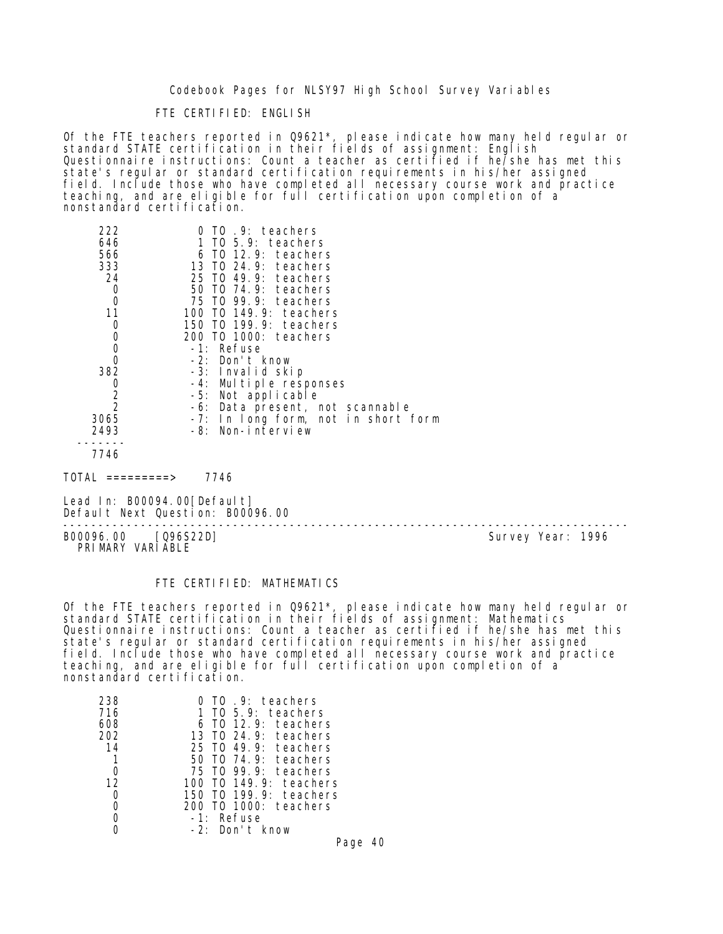## FTE CERTIFIED: ENGLISH

Of the FTE teachers reported in Q9621\*, please indicate how many held regular or standard STATE certification in their fields of assignment: English Questionnaire instructions: Count a teacher as certified if he/she has met this state's regular or standard certification requirements in his/her assigned field. Include those who have completed all necessary course work and practice teaching, and are eligible for full certification upon completion of a nonstandard certification.

| 222<br>646<br>566<br>333<br>24<br>0 | 0 TO .9: teachers<br>1 TO 5.9: teachers<br>6 TO 12.9: teachers<br>13 TO 24.9: teachers<br>25 TO 49.9: teachers<br>50 T0 74.9: teachers |
|-------------------------------------|----------------------------------------------------------------------------------------------------------------------------------------|
| 0                                   | 75 TO 99.9: teachers                                                                                                                   |
| 11                                  | 100 T0 149.9: teachers                                                                                                                 |
| 0                                   | 150 T0 199.9: teachers                                                                                                                 |
| 0                                   | 200 TO 1000: teachers                                                                                                                  |
| 0                                   | -1: Refuse                                                                                                                             |
| 0                                   | -2: Don't know                                                                                                                         |
| 382                                 | -3: Invalid skip                                                                                                                       |
| 0                                   | -4: Multiple responses                                                                                                                 |
| $\overline{2}$                      | -5: Not applicable                                                                                                                     |
| $\overline{2}$                      | -6: Data present, not scannable                                                                                                        |
| 3065                                | -7: In long form, not in short form                                                                                                    |
| 2493                                | -8: Non-interview                                                                                                                      |
| 7746                                |                                                                                                                                        |
|                                     |                                                                                                                                        |

TOTAL =========> 7746

Lead In: B00094.00 [Default] Default Next Question: B00096.00

-------------------------------------------------------------------------------- B00096.00 [Q96S22D] PRIMARY VARIABLE

## FTE CERTIFIED: MATHEMATICS

Of the FTE teachers reported in Q9621\*, please indicate how many held regular or standard STATE certification in their fields of assignment: Mathematics Questionnaire instructions: Count a teacher as certified if he/she has met this state's regular or standard certification requirements in his/her assigned field. Include those who have completed all necessary course work and practice teaching, and are eligible for full certification upon completion of a nonstandard certification.

| 238 | TO 9: teachers                        |
|-----|---------------------------------------|
| 716 | $T0$ 5.9: teachers                    |
| 608 | TO 12.9: teachers                     |
| 202 | 13 TO 24.9: teachers                  |
| 14  | 25 TO 49.9: teachers                  |
|     | $\overline{10}$ 74.9: teachers<br>50. |
|     | 75 TO 99.9: teachers                  |
| 12  | TO 149.9: teachers<br>100             |
|     | TO 199.9: teachers<br>150             |
|     | TO 1000: teachers<br>200              |
|     | Refuse<br>$-1$ .                      |
|     | -21<br>Don't know                     |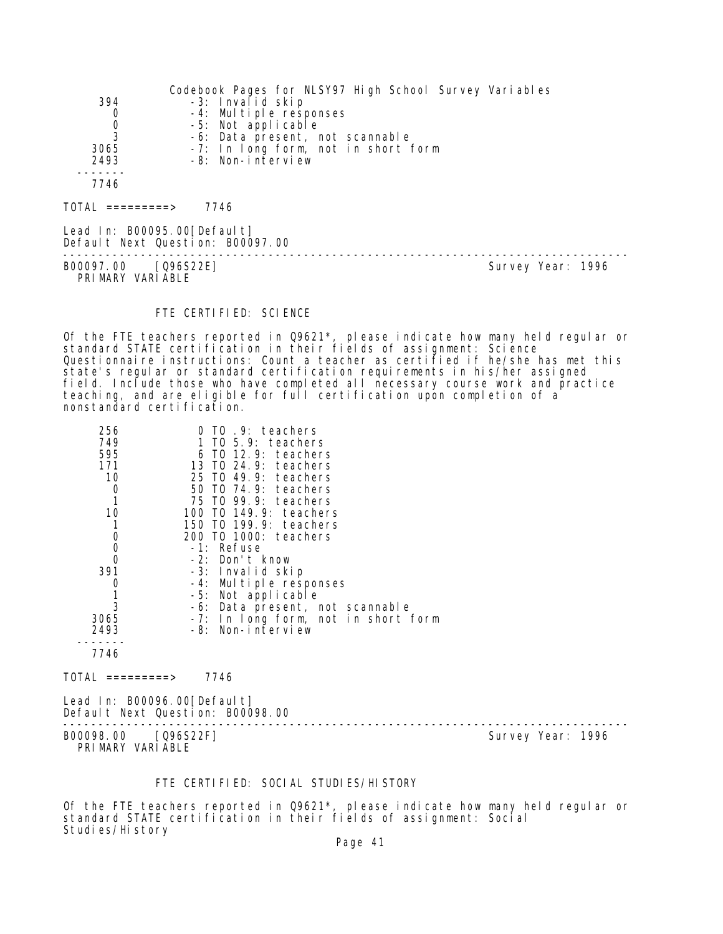| 394                            | Codebook Pages for NLSY97 High School Survey Variables |
|--------------------------------|--------------------------------------------------------|
| 0                              | -3: Invalid skip                                       |
| 0                              | -4: Multiple responses                                 |
| 3                              | -5: Not applicable                                     |
| 3065                           | -6: Data present, not scannable                        |
| 2493                           | -7: In long form, not in short form                    |
| 7746                           | -8: Non-interview                                      |
| TOTAL<br>$=$ = = = = = = = = > | 7746                                                   |

Lead In: B00095.00[Default] Default Next Question: B00097.00

B00097.00 [Q96S22E] Survey Year: 1996 PRIMARY VARIABLE

--------------------------------------------------------------------------------

#### FTE CERTIFIED: SCIENCE

Of the FTE teachers reported in Q9621\*, please indicate how many held regular or standard STATE certification in their fields of assignment: Science Questionnaire instructions: Count a teacher as certified if he/she has met this state's regular or standard certification requirements in his/her assigned field. Include those who have completed all necessary course work and practice teaching, and are eligible for full certification upon completion of a nonstandard certification.

| 256<br>749<br>595<br>171<br>10<br>O | $0$ TO $.9$ : teachers<br>1 TO $5.9$ : teachers<br>$6$ TO 12.9: teachers<br>13 TO 24.9: teachers<br>25 TO 49.9: teachers<br>50 T0 74.9: teachers |
|-------------------------------------|--------------------------------------------------------------------------------------------------------------------------------------------------|
|                                     | 75 TO 99.9: teachers                                                                                                                             |
| 10                                  | 100 TO 149.9: teachers                                                                                                                           |
|                                     | 150 T0 199.9: teachers                                                                                                                           |
|                                     |                                                                                                                                                  |
| 0                                   | 200 TO 1000: teachers                                                                                                                            |
| 0                                   | $-1$ : Refuse                                                                                                                                    |
|                                     | $-2$ : Don't know                                                                                                                                |
| 391                                 | -3: Invalid skip                                                                                                                                 |
|                                     | -4: Multiple responses                                                                                                                           |
|                                     | -5: Not applicable                                                                                                                               |
| 3                                   | -6: Data present, not scannable                                                                                                                  |
| 3065                                | -7: In long form, not in short form                                                                                                              |
|                                     |                                                                                                                                                  |
| 2493                                | -8: Non-interview                                                                                                                                |
|                                     |                                                                                                                                                  |
| 7746                                |                                                                                                                                                  |

 $TOTAL$  ========> 7746

Lead In: B00096.00[Default] Default Next Question: B00098.00

PRIMARY VARIABLE

-------------------------------------------------------------------------------- B00098.00 [Q96S22F] Survey Year: 1996

#### FTE CERTIFIED: SOCIAL STUDIES/HISTORY

Of the FTE teachers reported in Q9621\*, please indicate how many held regular or standard STATE certification in their fields of assignment: Social Studies/History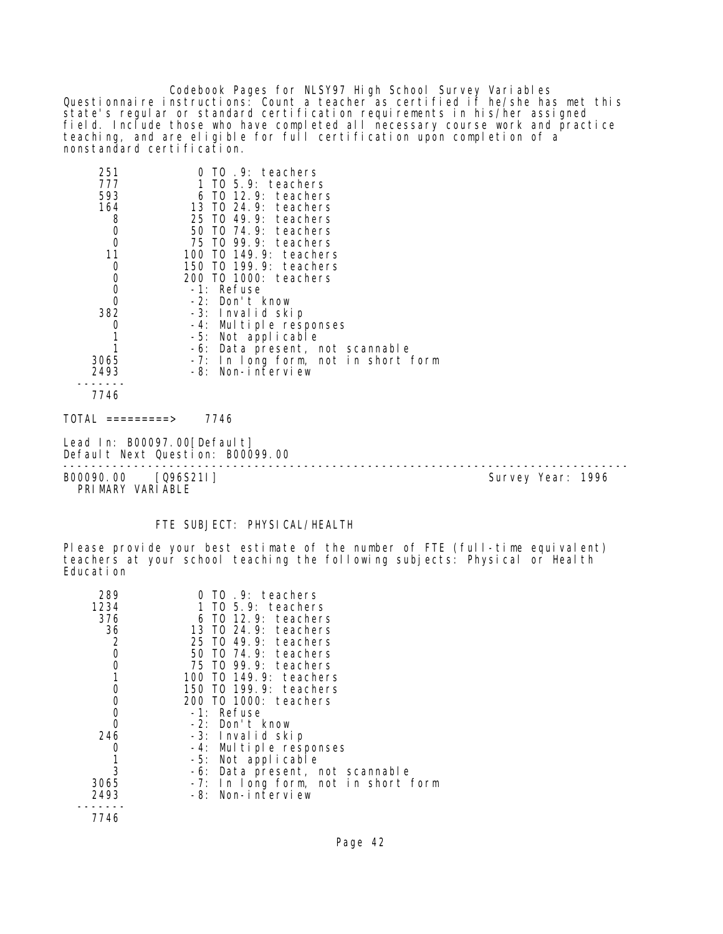Codebook Pages for NLSY97 High School Survey Variables Questionnaire instructions: Count a teacher as certified if he/she has met this state's regular or standard certification requirements in his/her assigned field. Include those who have completed all necessary course work and practice teaching, and are eligible for full certification upon completion of a nonstandard certification.

| 251<br>777                                 | 0 TO .9: teachers<br>1 TO $5.9$ : teachers            |
|--------------------------------------------|-------------------------------------------------------|
| 593                                        | $6$ TO 12.9: teachers                                 |
| 164                                        | 13 TO 24.9: teachers                                  |
| 8                                          | 25 TO 49.9: teachers                                  |
| $\begin{smallmatrix}0\\0\end{smallmatrix}$ | 50 TO 74.9: teachers                                  |
|                                            | 75 TO 99.9: teachers                                  |
| 11                                         | 100 TO 149.9: teachers                                |
| $\mathbf 0$                                | 150 TO 199.9: teachers                                |
| $\begin{matrix}0\\0\\0\end{matrix}$        | 200 TO 1000: teachers                                 |
|                                            | -1: Refuse                                            |
|                                            | -2: Don't know                                        |
| 382                                        | -3: Invalid skip                                      |
| 0<br>1                                     | -4: Multiple responses                                |
|                                            | -5: Not applicable<br>-6: Data present, not scannable |
| 3065                                       | -7: In long form, not in short form                   |
| 2493                                       | -8: Non-interview                                     |
|                                            |                                                       |
| 7746                                       |                                                       |
| TOTAL<br>========>                         | 7746                                                  |

Lead In: B00097.00[Default] Default Next Question: B00099.00

B00090.00 [Q96S21I] Survey Year: 1996 PRIMARY VARIABLE

--------------------------------------------------------------------------------

## FTE SUBJECT: PHYSICAL/HEALTH

Please provide your best estimate of the number of FTE (full-time equivalent) teachers at your school teaching the following subjects: Physical or Health Education

| 289<br>1234<br>376 | $0$ TO $.9$ : teachers<br>1 TO 5.9: teachers<br>$6$ TO 12.9: teachers |
|--------------------|-----------------------------------------------------------------------|
| 36                 | 13 TO 24.9: teachers                                                  |
| 2                  | 25 TO 49.9: teachers                                                  |
| 0                  | 50 T0 74.9: teachers                                                  |
| 0                  | 75 TO 99.9: teachers                                                  |
|                    | 100 T0 149.9: teachers                                                |
|                    | 150 TO 199.9: teachers                                                |
| 0                  | 200 TO 1000: teachers                                                 |
| 0                  | -1: Refuse                                                            |
|                    | -2: Don't know                                                        |
| 246                | -3: Invalid skip                                                      |
|                    | -4: Multiple responses                                                |
|                    | -5: Not applicable                                                    |
| 3                  | -6: Data present, not scannable                                       |
| 3065               | -7: In long form, not in short form                                   |
| 2493               | Non-interview<br>-8:                                                  |
| 7746               |                                                                       |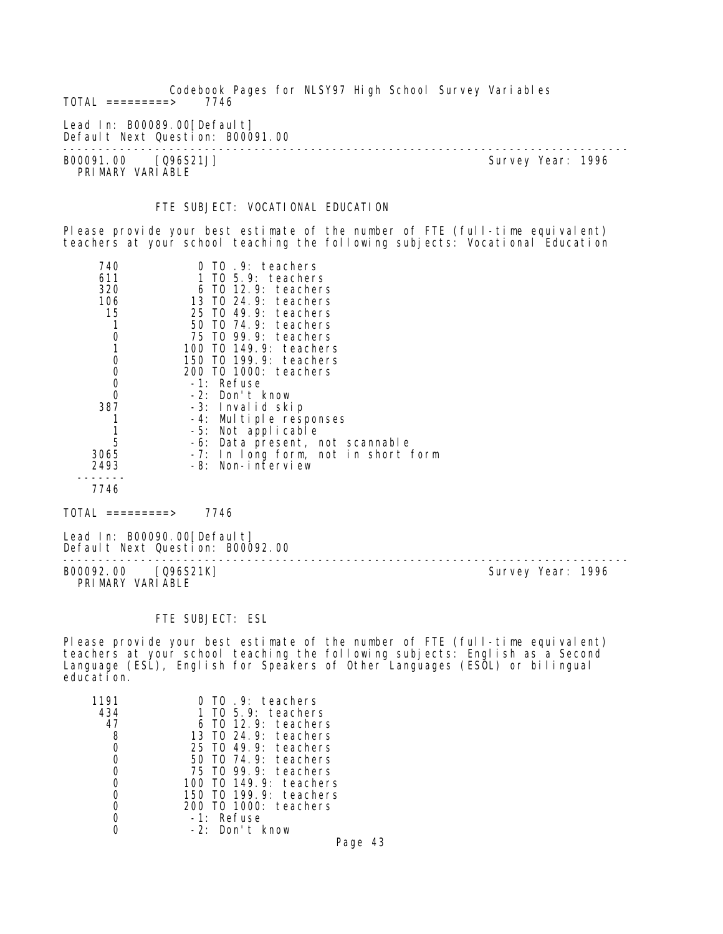Codebook Pages for NLSY97 High School Survey Variables  $TOTAL$  =========> Lead In: B00089.00[Default] Default Next Question: B00091.00 -------------------------------------------------------------------------------- B00091.00 [Q96S21J] Survey Year: 1996 PRIMARY VARIABLE

## FTE SUBJECT: VOCATIONAL EDUCATION

Please provide your best estimate of the number of FTE (full-time equivalent) teachers at your school teaching the following subjects: Vocational Education

| .9: teachers<br>TO.                 |
|-------------------------------------|
| 1 TO 5.9: teachers                  |
| 6 TO 12.9: teachers                 |
| 13 TO 24.9: teachers                |
| 25 TO 49.9: teachers                |
| 50 T0 74.9: teachers                |
| 75 TO 99.9: teachers                |
| 100 T0 149.9: teachers              |
| 150 TO 199.9: teachers              |
| 200 TO 1000: teachers               |
| -1: Refuse                          |
| -2: Don't know                      |
| -3: Invalid skip                    |
| -4: Multiple responses              |
| -5: Not applicable                  |
| -6: Data present, not scannable     |
| -7: In long form, not in short form |
| -8: Non-interview                   |
|                                     |
|                                     |
|                                     |

TOTAL =========> 7746

Lead In: B00090.00[Default] Default Next Question: B00092.00

B00092.00 [Q96S21K] Survey Year: 1996 PRIMARY VARIABLE

--------------------------------------------------------------------------------

#### FTE SUBJECT: ESL

Please provide your best estimate of the number of FTE (full-time equivalent) teachers at your school teaching the following subjects: English as a Second Language (ESL), English for Speakers of Other Languages (ESOL) or bilingual education.

|     | .9: teachers                      |
|-----|-----------------------------------|
| 434 | 5.9: teachers<br>TO.              |
| 47  | 12.9: teachers<br>- TO            |
| 8   | 13 TO 24.9: teachers              |
|     | 25 TO 49.9: teachers              |
|     | 50 TO 74.9: teachers              |
|     | 75 TO 99.9: teachers              |
|     | 149.9: teachers<br>T <sub>0</sub> |
|     | 199.9: teachers<br>150<br>T0      |
|     | TO 1000: teachers                 |
|     | Refuse<br>$-1:$                   |
|     | Don't know<br>$-2$ .              |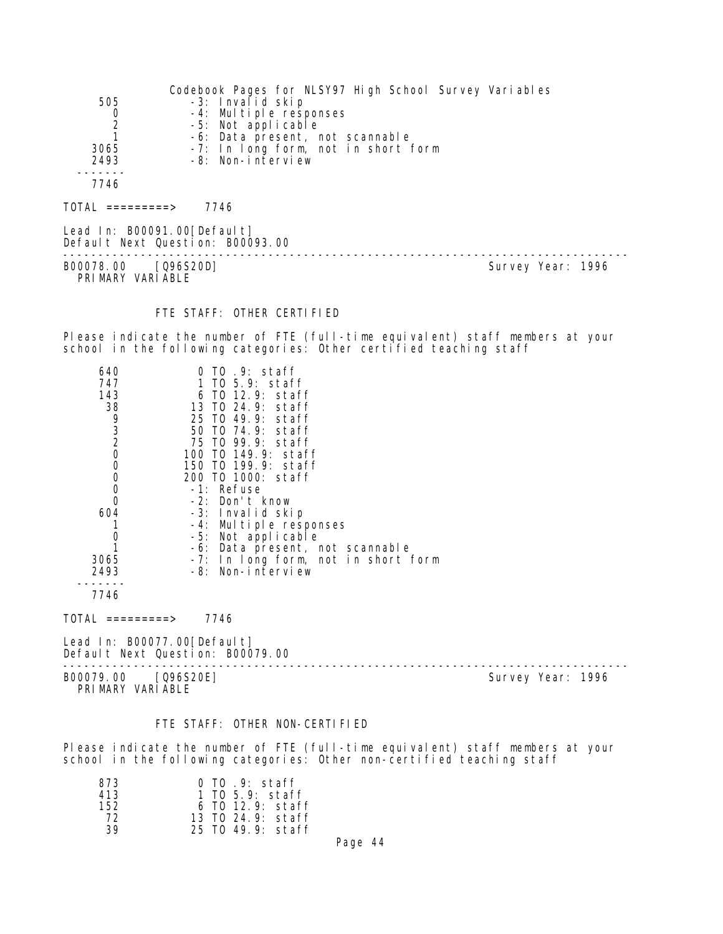|      | Codebook Pages for NLSY97 High School Survey Variables |
|------|--------------------------------------------------------|
| 505  | -3: Invalid skip                                       |
| 0    | -4: Multiple responses                                 |
|      | -5: Not applicable                                     |
|      | -6: Data present, not scannable                        |
| 3065 | -7: In long form, not in short form                    |
| 2493 | -8: Non-interview                                      |
|      |                                                        |
| 7746 |                                                        |
|      |                                                        |

 $TOTAL$  ========> 7746

Lead In: B00091.00[Default] Default Next Question: B00093.00

B00078.00 [Q96S20D] Survey Year: 1996 PRIMARY VARIABLE

--------------------------------------------------------------------------------

#### FTE STAFF: OTHER CERTIFIED

Please indicate the number of FTE (full-time equivalent) staff members at your school in the following categories: Other certified teaching staff

| 640            | 0 TO .9: staff                      |
|----------------|-------------------------------------|
| 747            | 1 TO 5.9: staff                     |
| 143            | $6$ TO 12.9: staff                  |
| 38             | 13 TO 24.9: staff                   |
| 9              | 25 TO 49.9: staff                   |
| 3              | 50 TO 74.9: staff                   |
| $\overline{2}$ | 75 TO 99.9: staff                   |
| 0              | 100 TO 149.9: staff                 |
| 0              | 150 TO 199.9: staff                 |
|                | 200 TO 1000: staff                  |
| 0              | -1: Refuse                          |
|                | -2: Don't know                      |
| 604            | -3: Invalid skip                    |
|                | -4: Multiple responses              |
|                | -5: Not applicable                  |
|                | -6: Data present, not scannable     |
| 3065           | -7: In long form, not in short form |
| 2493           | -8: Non-interview                   |
| $7711$         |                                     |

7746

 $TOTAL$  =========> 7746

Lead In: B00077.00[Default] Default Next Question: B00079.00

B00079.00 [Q96S20E] PRIMARY VARIABLE

--------------------------------------------------------------------------------

#### FTE STAFF: OTHER NON-CERTIFIED

Please indicate the number of FTE (full-time equivalent) staff members at your school in the following categories: Other non-certified teaching staff

| 873 | 0 TO .9: staff     |
|-----|--------------------|
| 413 | 1 TO 5.9: staff    |
| 152 | $6$ TO 12.9: staff |
| 72  | 13 TO 24.9: staff  |
| 39  | 25 TO 49.9: staff  |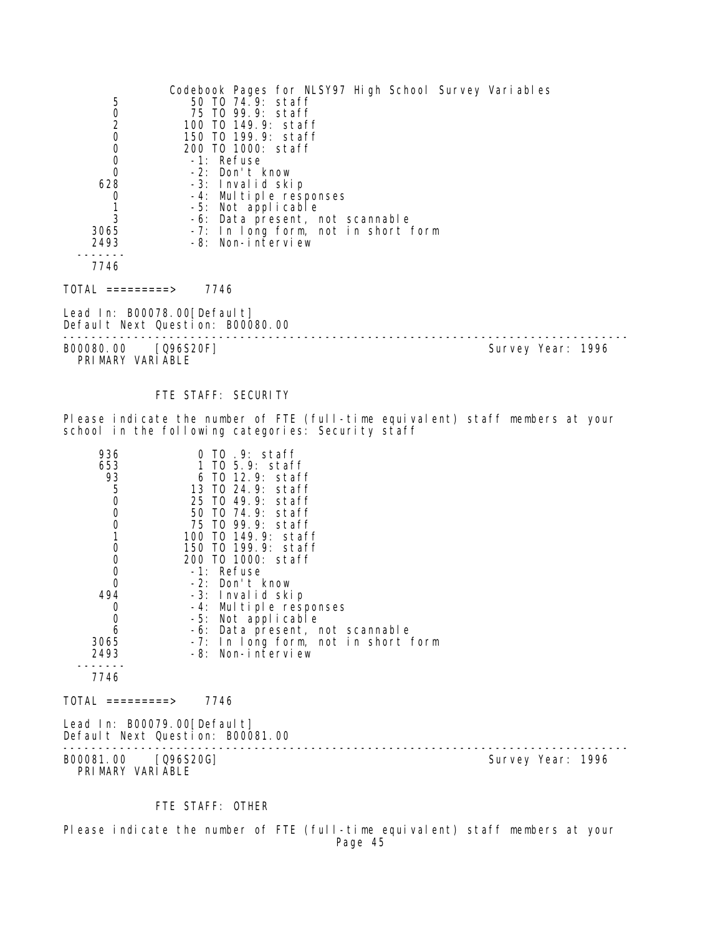| 502000<br>628<br>$\mathbf 0$            | Codebook Pages for NLSY97 High School Survey Variables<br>50 TO 74.9: staff<br>75 TO 99.9: staff<br>100 TO 149.9: staff<br>150 TO 199.9: staff<br>200 TO 1000: staff<br>-1: Refuse<br>-2: Don't know<br>-3: Invalid skip<br>-4: Multiple responses |                   |
|-----------------------------------------|----------------------------------------------------------------------------------------------------------------------------------------------------------------------------------------------------------------------------------------------------|-------------------|
| $\frac{1}{3}$<br>3065<br>2493           | -5: Not applicable<br>-6: Data present, not scannable<br>-7: In long form, not in short form<br>-8: Non-interview                                                                                                                                  |                   |
| 7746                                    |                                                                                                                                                                                                                                                    |                   |
| TOTAL =========>                        | 7746                                                                                                                                                                                                                                               |                   |
| Lead In: B00078.00[Default]             | Default Next Question: B00080.00                                                                                                                                                                                                                   |                   |
| B00080.00 [Q96S20F]<br>PRIMARY VARIABLE |                                                                                                                                                                                                                                                    | Survey Year: 1996 |

## FTE STAFF: SECURITY

Please indicate the number of FTE (full-time equivalent) staff members at your school in the following categories: Security staff

| 936<br>653<br>93<br>50001000<br>$\mathbf 0$<br>494<br>0<br>$\mathbf 0$<br>6<br>3065<br>2493<br>7746<br>$\text{TOTAL}$ =========><br>Lead In: B00079.00[Default] | 0 TO .9: staff<br>1 TO 5.9: staff<br>6 TO 12.9: staff<br>13 TO 24.9: staff<br>25 TO 49.9: staff<br>50 TO 74.9: staff<br>75 TO 99.9: staff<br>100 TO 149.9: staff<br>150 TO 199.9: staff<br>200 TO 1000: staff<br>-1: Refuse<br>-2: Don't know<br>-3: Invalid skip<br>-4: Multiple responses<br>-5: Not applicable<br>-6: Data present, not scannable<br>-7: In long form, not in short form<br>-8: Non-interview<br>7746<br>Default Next Question: B00081.00 |                   |
|-----------------------------------------------------------------------------------------------------------------------------------------------------------------|--------------------------------------------------------------------------------------------------------------------------------------------------------------------------------------------------------------------------------------------------------------------------------------------------------------------------------------------------------------------------------------------------------------------------------------------------------------|-------------------|
| B00081.00 [Q96S20G]                                                                                                                                             |                                                                                                                                                                                                                                                                                                                                                                                                                                                              | Survey Year: 1996 |
| PRIMARY VARIABLE                                                                                                                                                |                                                                                                                                                                                                                                                                                                                                                                                                                                                              |                   |

# FTE STAFF: OTHER

Please indicate the number of FTE (full-time equivalent) staff members at your Page 45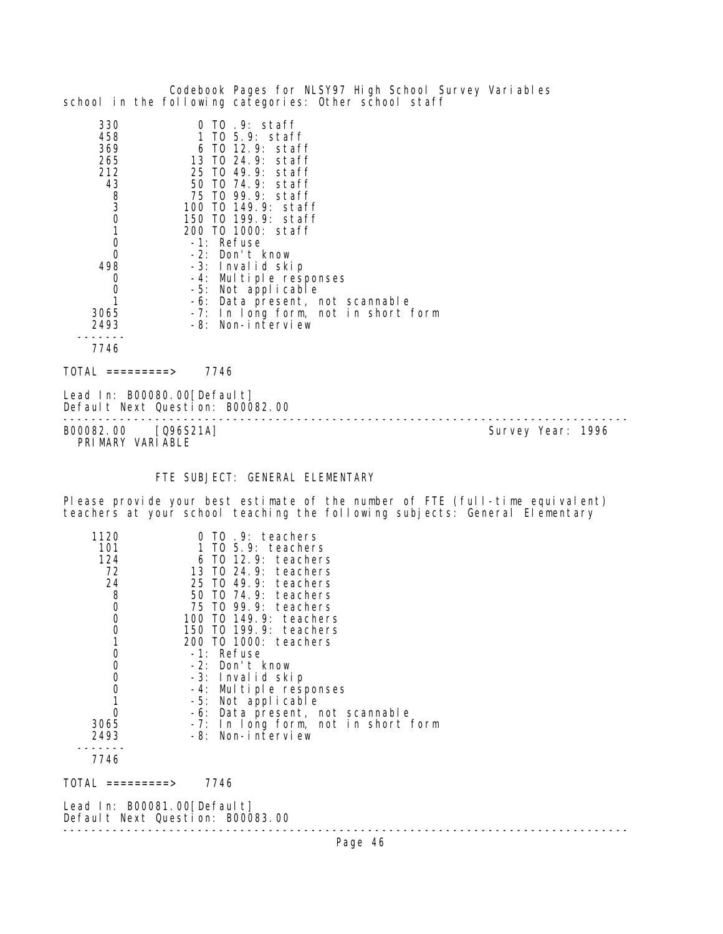|                                                                                                                                                                 | Codebook Pages for NLSY97 High School Survey Variables<br>school in the following categories: Other school staff                                                                                                                                                                                                                                                                                                                                    |                   |
|-----------------------------------------------------------------------------------------------------------------------------------------------------------------|-----------------------------------------------------------------------------------------------------------------------------------------------------------------------------------------------------------------------------------------------------------------------------------------------------------------------------------------------------------------------------------------------------------------------------------------------------|-------------------|
| 330<br>458<br>369<br>265<br>212<br>43<br>8<br>3<br>$\mathbf 0$<br>$\mathbf{1}$<br>0<br>0<br>498<br>0<br>0<br>1<br>3065<br>2493<br>7746                          | $0$ TO $.9:$ staff<br>1 TO 5.9: staff<br>6 TO 12.9: staff<br>13 TO 24.9: staff<br>25 TO 49.9: staff<br>50 TO 74.9: staff<br>75 TO 99.9: staff<br>100 T0 149.9: staff<br>150 TO 199.9: staff<br>200 TO 1000: staff<br>-1: Refuse<br>-2: Don't know<br>-3: Invalid skip<br>-4: Multiple responses<br>-5: Not applicable<br>-6: Data present, not scannable<br>-7: In long form, not in short form<br>-8: Non-interview                                |                   |
| $TOTAL$ =========>                                                                                                                                              | 7746                                                                                                                                                                                                                                                                                                                                                                                                                                                |                   |
| Lead In: B00080.00 [Default]                                                                                                                                    | Default Next Question: B00082.00                                                                                                                                                                                                                                                                                                                                                                                                                    |                   |
| B00082.00<br>PRIMARY VARIABLE                                                                                                                                   | [Q96S21A]                                                                                                                                                                                                                                                                                                                                                                                                                                           | Survey Year: 1996 |
|                                                                                                                                                                 | FTE SUBJECT: GENERAL ELEMENTARY                                                                                                                                                                                                                                                                                                                                                                                                                     |                   |
|                                                                                                                                                                 | Please provide your best estimate of the number of FTE (full-time equivalent)<br>teachers at your school teaching the following subjects: General Elementary                                                                                                                                                                                                                                                                                        |                   |
| 1120<br>101<br>124<br>72<br>24<br>8<br>$\mathbf 0$<br>0<br>$\mathbf 0$<br>1<br>$\mathbf 0$<br>0<br>$\mathbf 0$<br>$\mathbf 0$<br>1<br>0<br>3065<br>2493<br>7746 | 0 TO .9: teachers<br>$1$ TO $5.9$ : teachers<br>6 TO 12.9: teachers<br>13 TO 24.9: teachers<br>25 TO 49.9: teachers<br>50 T0 74.9: teachers<br>75 IO 99.9: teachers<br>100 T0 149.9: teachers<br>150 TO 199.9: teachers<br>200 T0 1000: teachers<br>-1: Refuse<br>-2: Don't know<br>-3: Invalid skip<br>-4: Multiple responses<br>-5: Not applicable<br>-6: Data present, not scannable<br>-7: In long form, not in short form<br>-8: Non-interview |                   |
| $TOTAL$ =========> 7746                                                                                                                                         |                                                                                                                                                                                                                                                                                                                                                                                                                                                     |                   |
| Lead In: B00081.00 [Default]<br>Default Next Question: B00083.00                                                                                                |                                                                                                                                                                                                                                                                                                                                                                                                                                                     |                   |
|                                                                                                                                                                 | Page 46                                                                                                                                                                                                                                                                                                                                                                                                                                             |                   |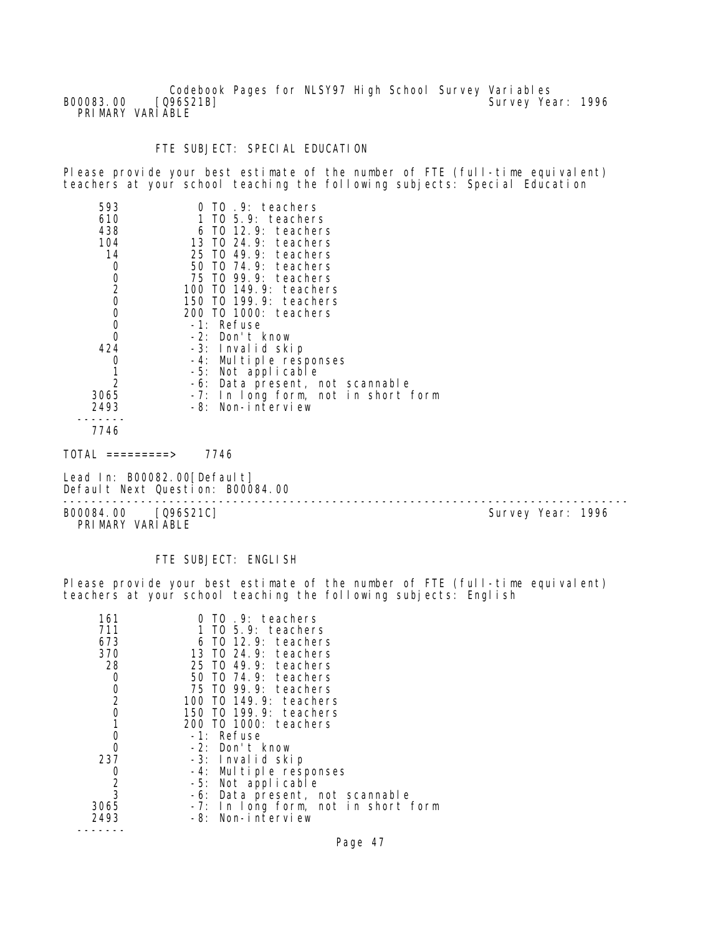Codebook Pages for NLSY97 High School Survey Variables B00083.00 [Q96S21B] Survey Year: 1996 PRIMARY VARIABLE

## FTE SUBJECT: SPECIAL EDUCATION

Please provide your best estimate of the number of FTE (full-time equivalent) teachers at your school teaching the following subjects: Special Education

| 593            | TO 9: teachers                      |
|----------------|-------------------------------------|
| 610            | 1 TO 5.9: teachers                  |
| 438            | 6 TO 12.9: teachers                 |
| 104            | 13 TO 24.9: teachers                |
| 14             | 25 TO 49.9: teachers                |
| 0              | 50 TO 74.9: teachers                |
| $\mathbf 0$    | 75 TO 99.9: teachers                |
| $\overline{2}$ | 100 T0 149.9: teachers              |
| 0              | 150 TO 199.9: teachers              |
| 0              | 200 T0 1000: teachers               |
| 0              | -1: Refuse                          |
| 0              | -2: Don't know                      |
| 424            | -3: Invalid skip                    |
|                | -4: Multiple responses              |
|                | -5: Not applicable                  |
| 2              | -6: Data present, not scannable     |
| 3065           | -7: In long form, not in short form |
| 2493           | -8: Non-interview                   |
| 7746           |                                     |
|                |                                     |

TOTAL =========> 7746

Lead In: B00082.00[Default] Default Next Question: B00084.00

--------------------------------------------------------------------------------

B00084.00 [Q96S21C] PRIMARY VARIABLE

## FTE SUBJECT: ENGLISH

Please provide your best estimate of the number of FTE (full-time equivalent) teachers at your school teaching the following subjects: English

| 161            | 0 TO .9: teachers                   |
|----------------|-------------------------------------|
| 711            | 1 TO 5.9: teachers                  |
| 673            | $6$ TO 12.9: teachers               |
| 370            | 13 TO 24.9: teachers                |
| 28             | 25 TO 49.9: teachers                |
| 0              | 50 TO 74.9: teachers                |
| 0              | 75 TO 99.9: teachers                |
| $\overline{2}$ | 100 TO 149.9: teachers              |
| 0              | 150 TO 199.9: teachers              |
|                | 200 TO 1000: teachers               |
| 0              | -1: Refuse                          |
|                | -2: Don't know                      |
| 237            | -3: Invalid skip                    |
| 0              | -4: Multiple responses              |
| $\frac{2}{3}$  | -5: Not applicable                  |
|                | -6: Data present, not scannable     |
| 3065           | -7: In long form, not in short form |
| 2493           | -8: Non-interview                   |
|                |                                     |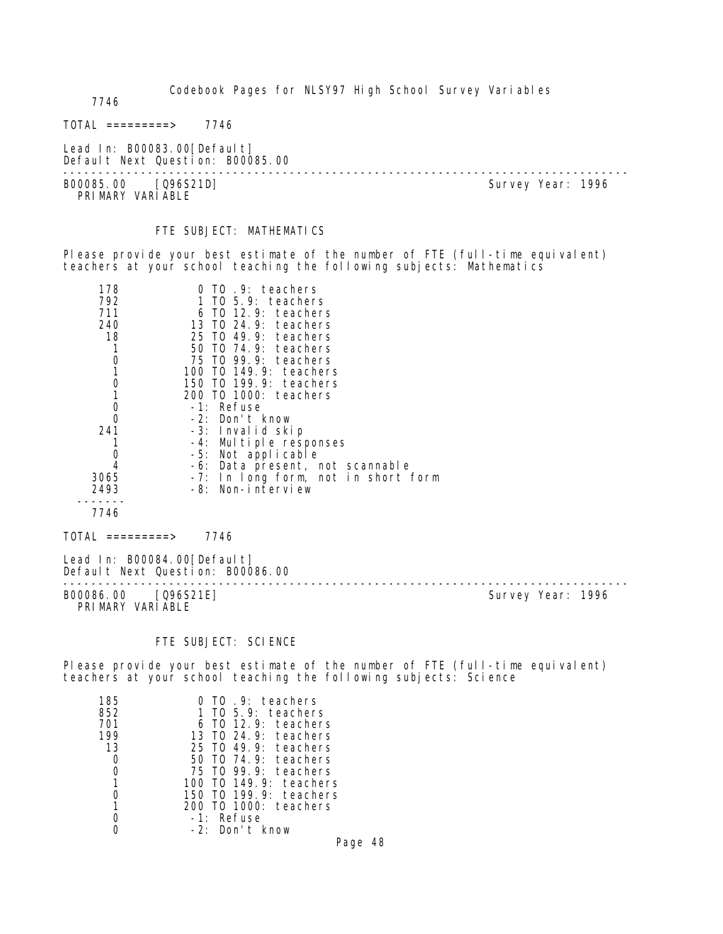7746

 $TOTAL$  ========> 7746

Lead In: B00083.00[Default] Default Next Question: B00085.00

-------------------------------------------------------------------------------- B00085.00 [Q96S21D] PRIMARY VARIABLE

#### FTE SUBJECT: MATHEMATICS

Please provide your best estimate of the number of FTE (full-time equivalent) teachers at your school teaching the following subjects: Mathematics

| 178  | TO .9: teachers                     |
|------|-------------------------------------|
| 792  | 1 TO 5.9: teachers                  |
| 711  | 6 TO 12.9: teachers                 |
| 240  | 13 TO 24.9: teachers                |
| 18   | 25 TO 49.9: teachers                |
|      | 50 TO 74.9: teachers                |
|      | 75 TO 99.9: teachers                |
|      | 100 T0 149.9: teachers              |
|      | 150 T0 199.9: teachers              |
|      | 200 TO 1000: teachers               |
| O    | -1: Refuse                          |
|      | -2: Don't know                      |
| 241  | -3: Invalid skip                    |
|      | -4: Multiple responses              |
|      | -5: Not applicable                  |
| 4    | -6: Data present, not scannable     |
| 3065 | -7: In long form, not in short form |
| 2493 | -8: Non-interview                   |
|      |                                     |
| 7746 |                                     |

 $TOTAL$  =========> 7746

Lead In: B00084.00 [Default] Default Next Question: B00086.00 -------------------------------------------------------------------------------- B00086.00 [Q96S21E] PRIMARY VARIABLE

#### FTE SUBJECT: SCIENCE

Please provide your best estimate of the number of FTE (full-time equivalent) teachers at your school teaching the following subjects: Science

| .9: teachers                  |
|-------------------------------|
| 5.9: teachers<br>TO.          |
| $12.9:$ teachers<br>T0        |
| $T0$ 24.9: teachers<br>13     |
| 49.9: teachers<br>25 TO       |
| 74.9: teachers<br>50 TO       |
| 99.9: teachers<br>75 TO       |
| 149.9: teachers<br>T0.<br>100 |
| 199.9: teachers<br>T0<br>150  |
| TO 1000: teachers<br>200      |
| Refuse<br>$-1:$               |
| $-2:$<br>Don't know           |
|                               |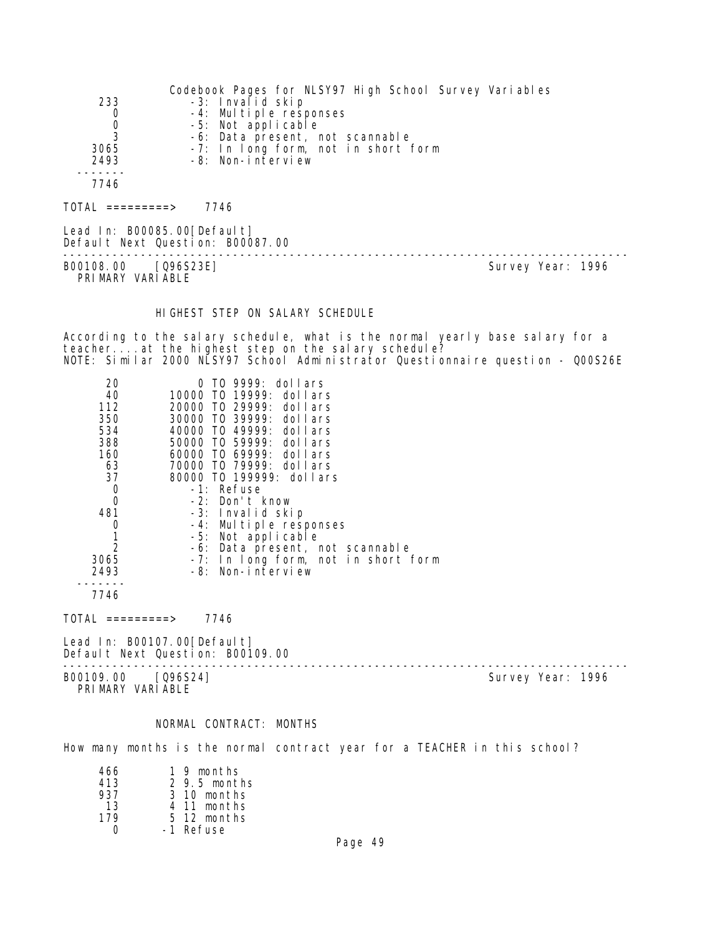|      | Codebook Pages for NLSY97 High School Survey Variables |
|------|--------------------------------------------------------|
| 233  | -3: Invalid skip                                       |
| 0    | -4: Multiple responses                                 |
| 0    | -5: Not applicable                                     |
| 3    | -6: Data present, not scannable                        |
| 3065 | -7: In long form, not in short form                    |
| 2493 | -8: Non-interview                                      |
|      |                                                        |
| 7746 |                                                        |
|      |                                                        |

 $TOTAL$  ========> 7746

Lead In: B00085.00[Default] Default Next Question: B00087.00

B00108.00 [Q96S23E] Survey Year: 1996 PRIMARY VARIABLE

--------------------------------------------------------------------------------

HIGHEST STEP ON SALARY SCHEDULE

According to the salary schedule, what is the normal yearly base salary for a teacher...at the highest step on the salary schedule? NOTE: Similar 2000 NLSY97 School Administrator Questionnaire question - Q00S26E

| 20   | TO 9999: dollars                    |
|------|-------------------------------------|
| 40   | 10000 TO 19999: dollars             |
| 112  | 20000 TO 29999: dollars             |
| 350  | 30000 TO 39999: dollars             |
| 534  | 40000 TO 49999: dollars             |
| 388  | 50000 TO 59999: dollars             |
| 160  | 60000 T0 69999: dollars             |
| 63   | 70000 T0 79999: dollars             |
| 37   | 80000 TO 199999: dollars            |
| 0    | -1: Refuse                          |
| 0    | -2: Don't know                      |
| 481  | -3: Invalid skip                    |
| 0    | -4: Multiple responses              |
|      | -5: Not applicable                  |
| 2    | -6: Data present, not scannable     |
| 3065 | -7: In long form, not in short form |
| 2493 | -8: Non-interview                   |
|      |                                     |

7746

 $TOTAL$  =========> 7746

Lead In: B00107.00 [Default] Default Next Question: B00109.00

B00109.00 [Q96S24] PRIMARY VARIABLE

--------------------------------------------------------------------------------

#### NORMAL CONTRACT: MONTHS

How many months is the normal contract year for a TEACHER in this school?

| 466 | 1 9 months      |
|-----|-----------------|
| 413 | $2, 9.5$ months |
| 937 | 3 10 months     |
| 13  | 4 11 months     |
| 179 | 5 12 months     |
|     | -1 Refuse       |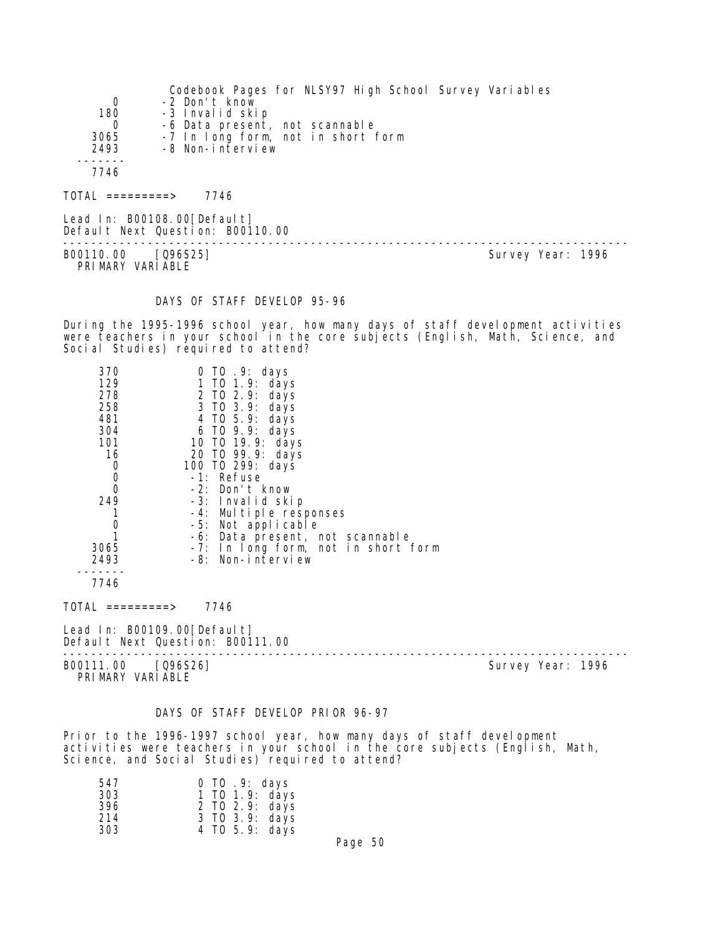|          | Codebook Pages for NLSY97 High School Survey Variables |
|----------|--------------------------------------------------------|
| 0        | -2 Don't know                                          |
| 180      | -3 Invalid skip                                        |
| $\Omega$ | -6 Data present, not scannable                         |
| 3065     | -7 In long form, not in short form                     |
| 2493     | -8 Non-interview                                       |
|          |                                                        |
| 7746     |                                                        |
|          |                                                        |

TOTAL =========> 7746

Lead In: B00108.00 [Default] Default Next Question: B00110.00 -------------------------------------------------------------------------------- B00110.00 [Q96S25] PRI MARY VARI ABLE

#### DAYS OF STAFF DEVELOP 95-96

During the 1995-1996 school year, how many days of staff development activities were teachers in your school in the core subjects (English, Math, Science, and Social Studies) required to attend?

| 370         | 0 TO .9: days                       |
|-------------|-------------------------------------|
| 129         | 1 TO 1.9: days                      |
| 278         | 2 TO 2.9: days                      |
| 258         | 3 TO 3.9: days                      |
| 481         | 4 TO 5.9: days                      |
| 304         | 6 TO 9.9: days                      |
| 101         | 10 TO 19.9: days                    |
| 16          | 20 TO 99.9: days                    |
| $\mathbf 0$ | 100 T0 299: days                    |
| $\mathbf 0$ | -1: Refuse                          |
| $\mathbf 0$ | -2: Don't know                      |
| 249         | -3: Invalid skip                    |
|             | -4: Multiple responses              |
| 0           | -5: Not applicable                  |
|             | -6: Data present, not scannable     |
| 3065        | -7: In long form, not in short form |
| 2493        | -8: Non-interview                   |
| 7746        |                                     |

 $TOTAL$  ========> 7746

Lead In: B00109.00 [Default] Default Next Question: B00111.00

--------------------------------------------------------------------------------

B00111.00 [Q96S26] Survey Year: 1996 PRIMARY VARIABLE

#### DAYS OF STAFF DEVELOP PRIOR 96-97

Prior to the 1996-1997 school year, how many days of staff development activities were teachers in your school in the core subjects (English, Math, Science, and Social Studies) required to attend?

| 547 | $0$ TO $.9$ : days |
|-----|--------------------|
| 303 | 1 TO 1.9: days     |
| 396 | 2 TO 2.9: days     |
| 214 | 3 TO 3.9: days     |
| 303 | 4 TO 5.9: days     |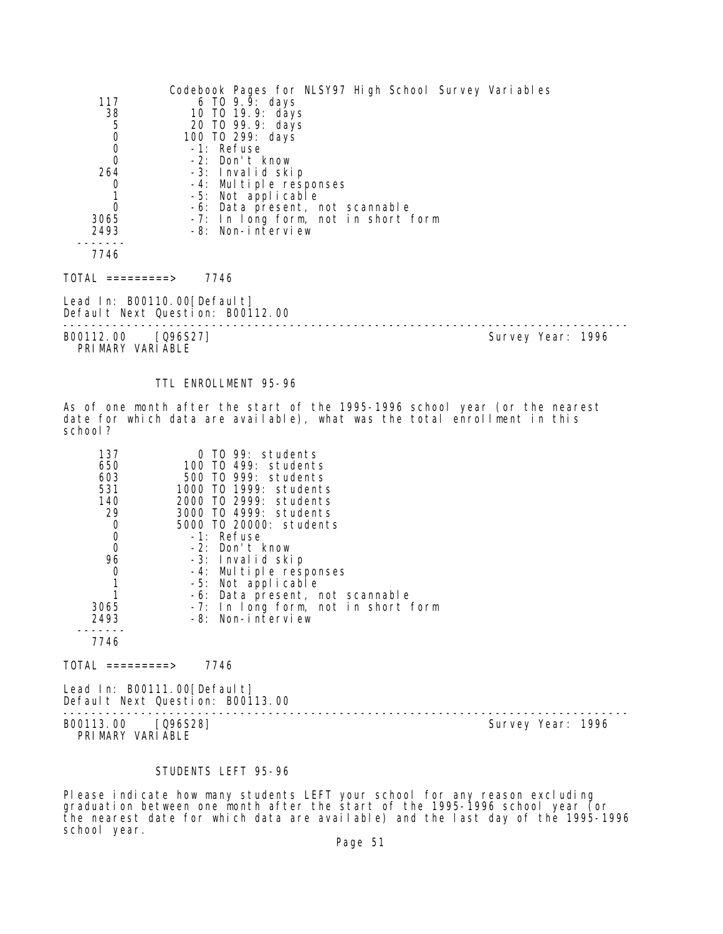|                                      | Codebook Pages for NLSY97 High School Survey Variables |                   |
|--------------------------------------|--------------------------------------------------------|-------------------|
| 117                                  | 6 TO $9.9:$ days                                       |                   |
| 38                                   | 10 T0 19.9: days                                       |                   |
| $\sqrt{5}$                           | 20 TO 99.9: days                                       |                   |
| $\mathbf 0$                          | 100 TO 299: days                                       |                   |
| $\begin{matrix} 0 \\ 0 \end{matrix}$ | -1: Refuse                                             |                   |
|                                      | -2: Don't know                                         |                   |
| 264                                  | -3: Invalid skip                                       |                   |
| 0                                    | -4: Multiple responses                                 |                   |
| 1                                    | -5: Not applicable                                     |                   |
| $\mathbf 0$                          | -6: Data present, not scannable                        |                   |
| 3065                                 | -7: In long form, not in short form                    |                   |
| 2493                                 | -8: Non-interview                                      |                   |
|                                      |                                                        |                   |
| 7746                                 |                                                        |                   |
| $\overline{O}TAL$ ==========>        | 7746                                                   |                   |
| Lead In: $B00110.00$ [Default]       |                                                        |                   |
|                                      | Default Next Question: B00112.00                       |                   |
|                                      |                                                        |                   |
| B00112.00                            | [Q96S27]                                               | Survey Year: 1996 |

PRIMARY VARIABLE

## TTL ENROLLMENT 95-96

As of one month after the start of the 1995-1996 school year (or the nearest date for which data are available), what was the total enrollment in this school?

| 137  | TO 99: students<br>O                |
|------|-------------------------------------|
| 650  | 100 TO 499: students                |
| 603  | 500 TO 999: students                |
| 531  | 1000 T0 1999: students              |
| 140  | 2000 TO 2999: students              |
| 29   | 3000 TO 4999: students              |
| 0    | 5000 TO 20000: students             |
| 0    | -1: Refuse                          |
| 0    | -2: Don't know                      |
| 96   | -3: Invalid skip                    |
| 0    | -4: Multiple responses              |
|      | -5: Not applicable                  |
|      | -6: Data present, not scannable     |
| 3065 | -7: In long form, not in short form |
| 2493 | -8: Non-interview                   |
|      |                                     |
| 7746 |                                     |

TOTAL =========> 7746

Lead In: B00111.00 [Default] Default Next Question: B00113.00

B00113.00 [Q96S28]

PRIMARY VARIABLE

--------------------------------------------------------------------------------

## STUDENTS LEFT 95-96

Please indicate how many students LEFT your school for any reason excluding graduation between one month after the start of the 1995-1996 school year (or the nearest date for which data are available) and the last day of the 1995-1996 school year.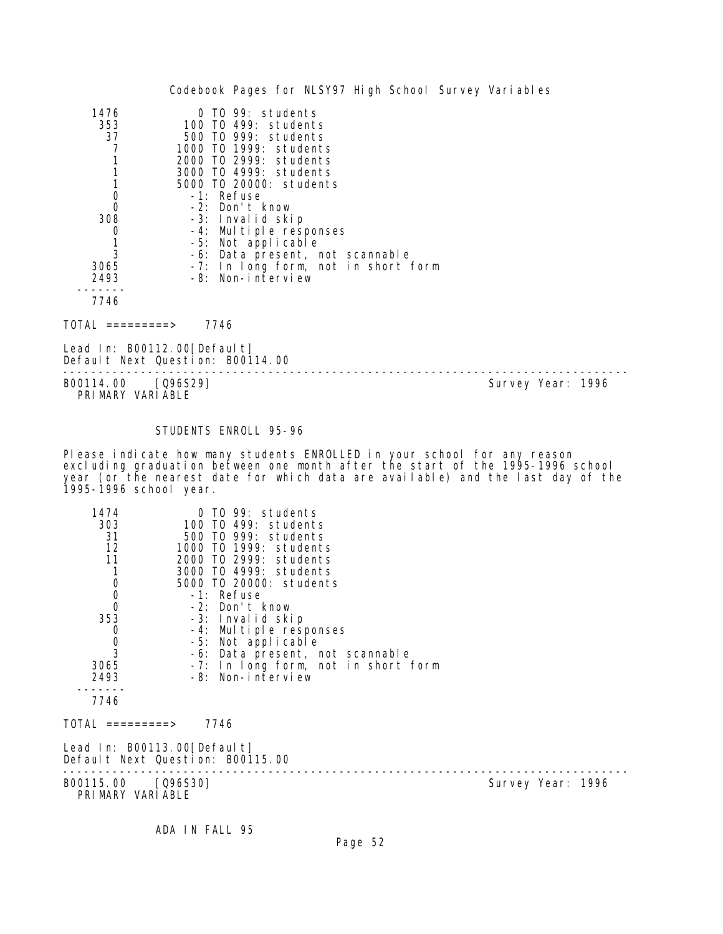|      | Codebook Pages for NLSY97 High School Survey Variables |  |
|------|--------------------------------------------------------|--|
| 1476 | $0$ TO 99: students                                    |  |
| 353  | 100 TO 499: students                                   |  |
| 37   | 500 TO 999: students                                   |  |
|      | 1000 TO 1999: students                                 |  |
|      | 2000 TO 2999: students                                 |  |
|      | 3000 TO 4999: students                                 |  |
|      | 5000 TO 20000: students                                |  |
| O    | $-1$ : Refuse                                          |  |
| 0    | $-2$ : Don't know                                      |  |
| 308  | -3: Invalid skip                                       |  |
| 0    | -4: Multiple responses                                 |  |
|      | -5: Not applicable                                     |  |
|      | -6: Data present, not scannable                        |  |
| 3065 | -7: In long form, not in short form                    |  |
| 2493 | -8: Non-interview                                      |  |
|      |                                                        |  |
|      |                                                        |  |

7746

TOTAL =========> 7746

Lead In: B00112.00[Default] Default Next Question: B00114.00

-------------------------------------------------------------------------------- PRI MARY VARI ABLE

Survey Year: 1996

## STUDENTS ENROLL 95-96

Please indicate how many students ENROLLED in your school for any reason excluding graduation between one month after the start of the 1995-1996 school year (or the nearest date for which data are available) and the last day of the 1995-1996 school year.

| 1474                                      | 0 TO 99: students                                               |                   |
|-------------------------------------------|-----------------------------------------------------------------|-------------------|
| 303                                       | 100 TO 499: students                                            |                   |
| 31                                        | 500 TO 999: students                                            |                   |
| 12                                        | 1000 TO 1999: students                                          |                   |
| 11                                        | 2000 TO 2999: students                                          |                   |
| 1                                         | 3000 TO 4999: students                                          |                   |
|                                           | 5000 TO 20000: students                                         |                   |
| $\begin{matrix} 0 \\ 0 \\ 0 \end{matrix}$ | -1: Refuse                                                      |                   |
|                                           | -2: Don't know                                                  |                   |
| 353                                       | -3: Invalid skip                                                |                   |
| $\begin{matrix} 0 \\ 0 \\ 3 \end{matrix}$ | -4: Multiple responses                                          |                   |
|                                           | -5: Not applicable                                              |                   |
|                                           | -6: Data present, not scannable                                 |                   |
| 3065                                      | -7: In long form, not in short form                             |                   |
| 2493                                      | -8: Non-interview                                               |                   |
|                                           |                                                                 |                   |
| 7746                                      |                                                                 |                   |
| TOTAL =========>                          | 7746                                                            |                   |
|                                           | Lead In: B00113.00[Default]<br>Default Next Question: B00115.00 |                   |
| B00115.00 [Q96S30]<br>PRIMARY VARIABLE    |                                                                 | Survey Year: 1996 |

ADA IN FALL 95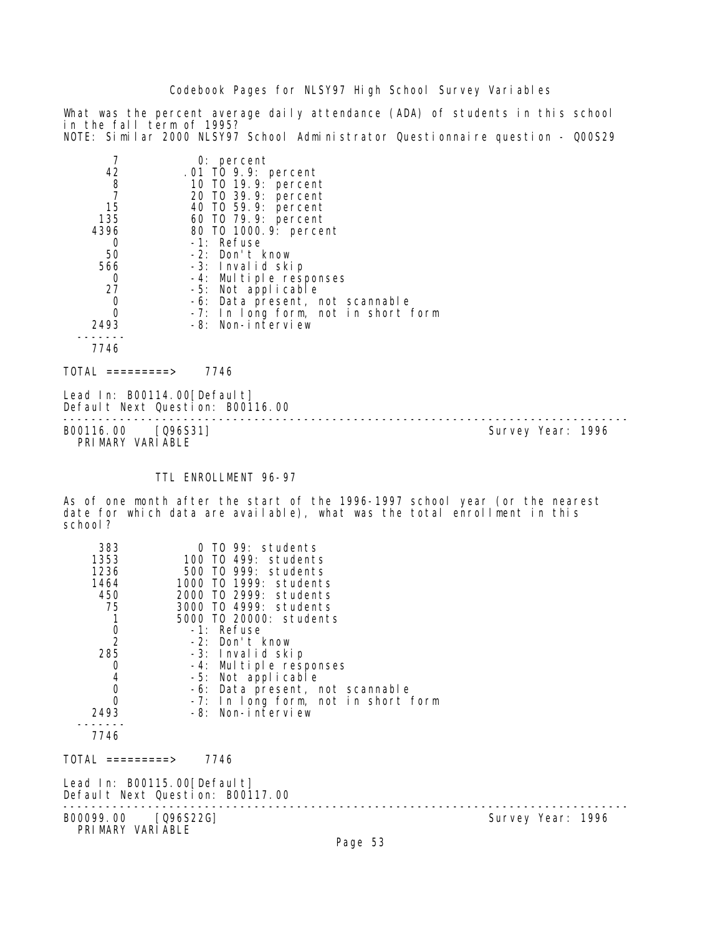What was the percent average daily attendance (ADA) of students in this school in the fall term of 1995? NOTE: Similar 2000 NLSY97 School Administrator Questionnaire question - Q00S29

| 7<br>42<br>8<br>$\overline{7}$<br>15<br>135<br>4396<br>0<br>50<br>566<br>0<br>27<br>0<br>0<br>2493          | 0: percent<br>.01 TO 9.9: percent<br>10 T0 19.9: percent<br>20 T0 39.9: percent<br>40 T0 59.9: percent<br>60 T0 79.9: percent<br>80 T0 1000. 9: percent<br>-1: Refuse<br>-2: Don't know<br>-3: Invalid skip<br>-4: Multiple responses<br>-5: Not applicable<br>-6: Data present, not scannable<br>-7: In long form, not in short form<br>-8: Non-interview                    |                   |
|-------------------------------------------------------------------------------------------------------------|-------------------------------------------------------------------------------------------------------------------------------------------------------------------------------------------------------------------------------------------------------------------------------------------------------------------------------------------------------------------------------|-------------------|
| 7746                                                                                                        |                                                                                                                                                                                                                                                                                                                                                                               |                   |
| $\text{TOTAL}$ =========>                                                                                   | 7746                                                                                                                                                                                                                                                                                                                                                                          |                   |
| Lead In: B00114.00[Default]<br>Default Next Question: B00116.00                                             |                                                                                                                                                                                                                                                                                                                                                                               |                   |
| B00116.00 [Q96S31]<br>PRIMARY VARIABLE                                                                      |                                                                                                                                                                                                                                                                                                                                                                               | Survey Year: 1996 |
|                                                                                                             |                                                                                                                                                                                                                                                                                                                                                                               |                   |
|                                                                                                             | TTL ENROLLMENT 96-97                                                                                                                                                                                                                                                                                                                                                          |                   |
| ? school                                                                                                    | As of one month after the start of the 1996-1997 school year (or the nearest<br>date for which data are available), what was the total enrollment in this                                                                                                                                                                                                                     |                   |
| 383<br>1353<br>1236<br>1464<br>450<br>75<br>1<br>0<br>2<br>285<br>0<br>4<br>0<br>0<br>2493<br>-----<br>7746 | 0 TO 99: students<br>100 TO 499: students<br>500 T0 999: students<br>1000 T0 1999: students<br>2000 TO 2999: students<br>3000 T0 4999: students<br>5000 T0 20000: students<br>-1: Refuse<br>-2: Don't know<br>-3: Invalid skip<br>-4: Multiple responses<br>-5: Not applicable<br>-6: Data present, not scannable<br>-7: In long form, not in short form<br>-8: Non-interview |                   |

 $TOTAL$  ========> 7746

Lead In: B00115.00 [Default] Default Next Question: B00117.00

-------------------------------------------------------------------------------- B00099.00 [Q96S22G] PRI MARY VARI ABLE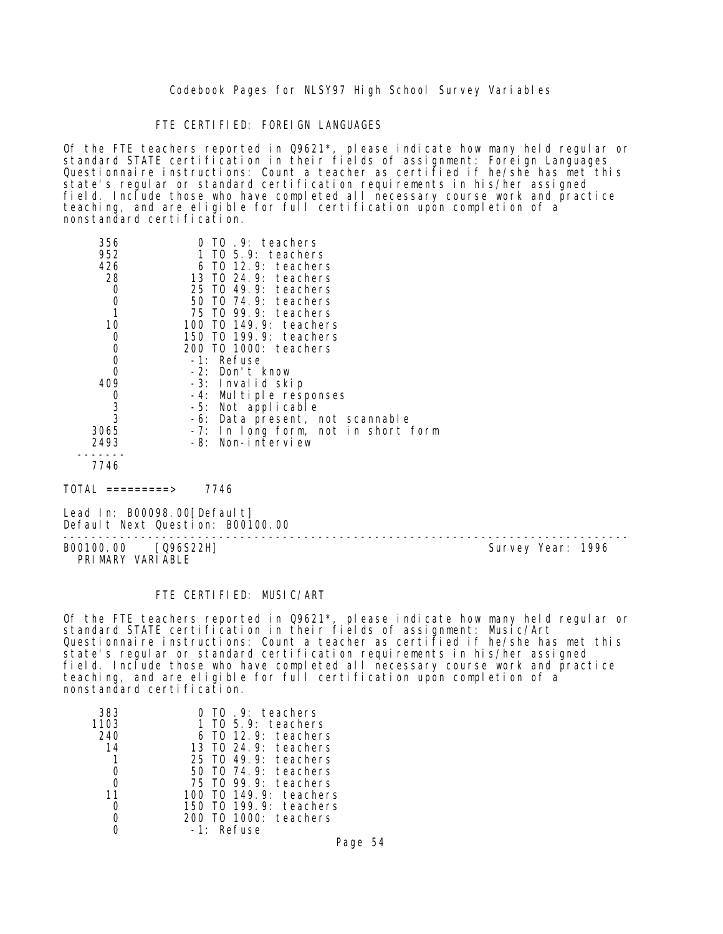#### FTE CERTIFIED: FOREIGN LANGUAGES

Of the FTE teachers reported in Q9621\*, please indicate how many held regular or standard STATE certification in their fields of assignment: Foreign Languages Questionnaire instructions: Count a teacher as certified if he/she has met this state's regular or standard certification requirements in his/her assigned field. Include those who have completed all necessary course work and practice teaching, and are eligible for full certification upon completion of a nonstandard certification.

| 356<br>952    | TO 9: teachers<br>1 TO 5.9: teachers |
|---------------|--------------------------------------|
| 426           | $6$ TO 12.9: teachers                |
| 28            | 13 TO 24.9: teachers                 |
| 0             | 25 TO 49.9: teachers                 |
| 0             | 50 T0 74.9: teachers                 |
| 1             | 75 TO 99.9: teachers                 |
| 10            | 100 T0 149.9: teachers               |
| 0             | 150 TO 199.9: teachers               |
| 0             | 200 TO 1000: teachers                |
| 0             | -1: Refuse                           |
| 0             | -2: Don't know                       |
| 409           | -3: Invalid skip                     |
|               | -4: Multiple responses               |
| $\frac{0}{3}$ | -5: Not applicable                   |
|               | -6: Data present, not scannable      |
| 3065          | -7: In long form, not in short form  |
| 2493          | -8: Non-interview                    |
|               |                                      |
| 7746          |                                      |

 $TOTAL$  =========> 7746

Lead In: B00098.00 [Default] Default Next Question: B00100.00

B00100.00 [Q96S22H] PRIMARY VARIABLE

--------------------------------------------------------------------------------

#### FTE CERTIFIED: MUSIC/ART

Of the FTE teachers reported in Q9621\*, please indicate how many held regular or standard STATE certification in their fields of assignment: Music/Art Questionnaire instructions: Count a teacher as certified if he/she has met this state's regular or standard certification requirements in his/her assigned field. Include those who have completed all necessary course work and practice teaching, and are eligible for full certification upon completion of a nonstandard certification.

| 383  | TO 9: teachers           |
|------|--------------------------|
| 1103 | 1 TO 5.9: teachers       |
| 240  | TO 12.9: teachers        |
| 14   | 13 TO 24.9: teachers     |
|      | TO 49.9: teachers<br>25. |
|      | TO 74.9: teachers<br>50. |
|      | 75 TO 99.9: teachers     |
| 11   | $T0$ 149.9: teachers     |
|      | 150 TO 199.9: teachers   |
|      | TO 1000: teachers        |
|      | Refuse                   |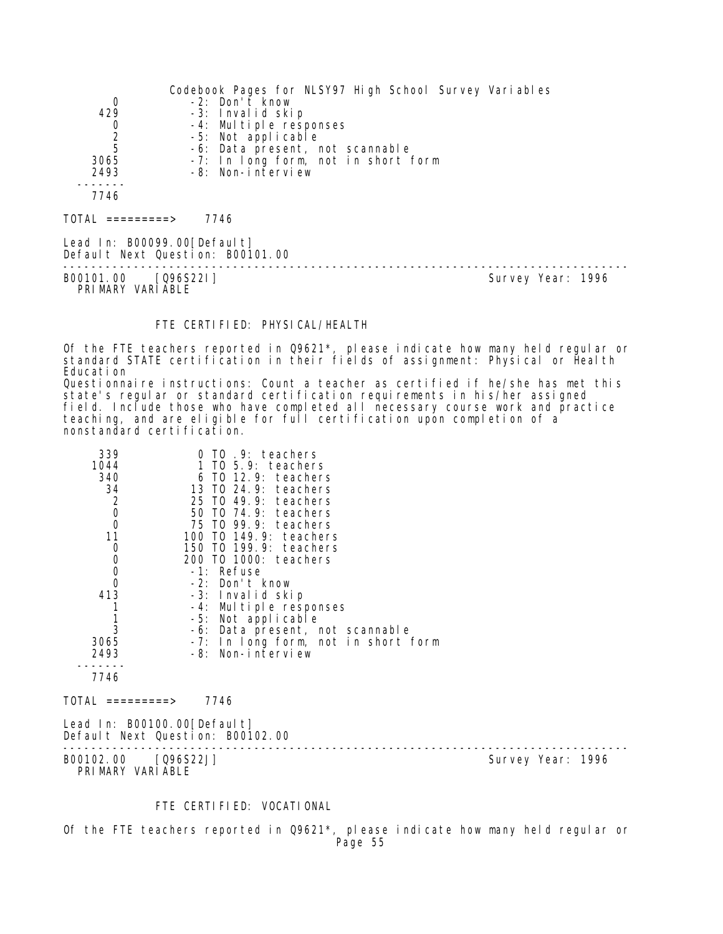| 0<br>429<br>$\begin{array}{c} 0 \\ 2 \\ 5 \end{array}$<br>3065<br>2493<br>7746 | Codebook Pages for NLSY97 High School Survey Variables<br>-2: Don't know<br>-3: Invalid skip<br>-4: Multiple responses<br>-5: Not applicable<br>-6: Data present, not scannable<br>-7: In long form, not in short form<br>-8: Non-interview |                   |
|--------------------------------------------------------------------------------|---------------------------------------------------------------------------------------------------------------------------------------------------------------------------------------------------------------------------------------------|-------------------|
| TOTAL =========>                                                               | 7746                                                                                                                                                                                                                                        |                   |
| Lead In: B00099.00[Default]                                                    | Default Next Question: B00101.00                                                                                                                                                                                                            |                   |
| B00101.00 [Q96S22I]<br>PRIMARY VARIABLE                                        |                                                                                                                                                                                                                                             | Survey Year: 1996 |

## FTE CERTIFIED: PHYSICAL/HEALTH

Of the FTE teachers reported in Q9621\*, please indicate how many held regular or standard STATE certification in their fields of assignment: Physical or Health Education

Questionnaire instructions: Count a teacher as certified if he/she has met this state's regular or standard certification requirements in his/her assigned field. Include those who have completed all necessary course work and practice teaching, and are eligible for full certification upon completion of a nonstandard certification.

| 339<br>1044<br>340<br>34<br>$\begin{matrix} 2 \\ 0 \\ 0 \end{matrix}$<br>11<br>$\begin{smallmatrix}0\0\0\end{smallmatrix}$<br>$\overline{0}$<br>413<br>1<br>3<br>3065<br>2493<br>7746 | 0 TO .9: teachers<br>1 TO 5.9: teachers<br>$6$ TO 12.9: teachers<br>13 TO 24.9: teachers<br>25 TO 49.9: teachers<br>50 TO 74.9: teachers<br>75 TO 99.9: teachers<br>100 TO 149.9: teachers<br>150 TO 199.9: teachers<br>200 TO 1000: teachers<br>-1: Refuse<br>-2: Don't know<br>-3: Invalid skip<br>-4: Multiple responses<br>-5: Not applicable<br>-6: Data present, not scannable<br>-7: In long form, not in short form<br>-8: Non-interview |                   |  |
|---------------------------------------------------------------------------------------------------------------------------------------------------------------------------------------|--------------------------------------------------------------------------------------------------------------------------------------------------------------------------------------------------------------------------------------------------------------------------------------------------------------------------------------------------------------------------------------------------------------------------------------------------|-------------------|--|
| TOTAL =========>                                                                                                                                                                      | 7746                                                                                                                                                                                                                                                                                                                                                                                                                                             |                   |  |
|                                                                                                                                                                                       |                                                                                                                                                                                                                                                                                                                                                                                                                                                  |                   |  |
| Lead In: B00100.00[Default]                                                                                                                                                           | Default Next Question: B00102.00                                                                                                                                                                                                                                                                                                                                                                                                                 |                   |  |
| B00102.00 [Q96S22J]<br>PRIMARY VARIABLE                                                                                                                                               |                                                                                                                                                                                                                                                                                                                                                                                                                                                  | Survey Year: 1996 |  |

#### FTE CERTIFIED: VOCATIONAL

Of the FTE teachers reported in Q9621\*, please indicate how many held regular or Page 55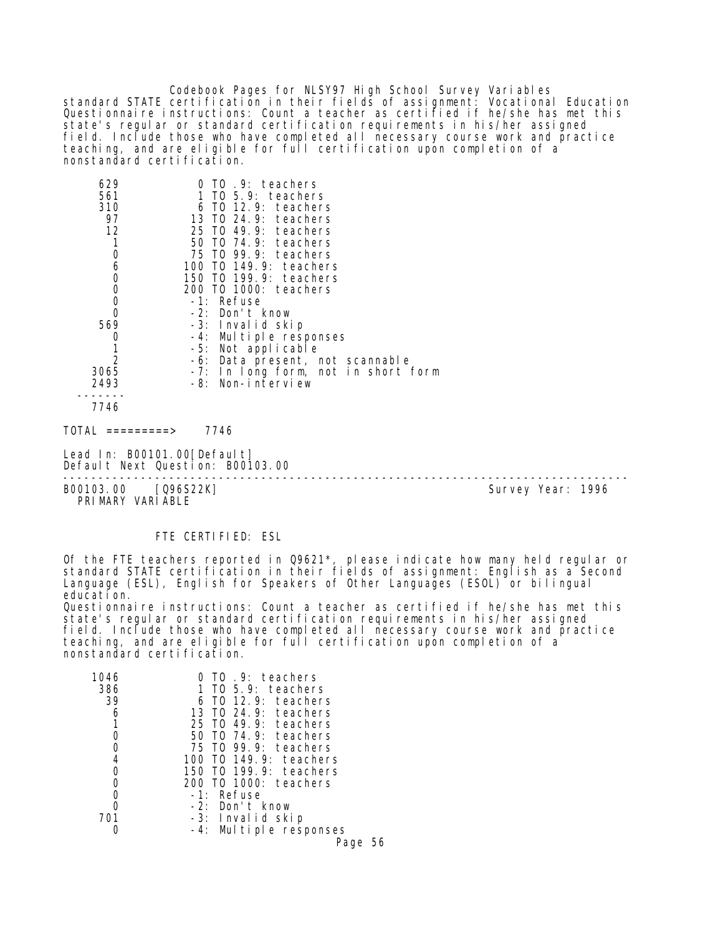Codebook Pages for NLSY97 High School Survey Variables standard STATE certification in their fields of assignment: Vocational Education Questionnaire instructions: Count a teacher as certified if he/she has met this state's regular or standard certification requirements in his/her assigned field. Include those who have completed all necessary course work and practice teaching, and are eligible for full certification upon completion of a nonstandard certification.

| 629                         | TO .9: teachers                     |  |
|-----------------------------|-------------------------------------|--|
| 561                         | 1 TO 5.9: teachers                  |  |
| 310                         | 6 TO 12.9: teachers                 |  |
| 97                          | 13 TO 24.9: teachers                |  |
| 12                          | 25 TO 49.9: teachers                |  |
| 1                           | 50 TO 74.9: teachers                |  |
|                             | 75 TO 99.9: teachers                |  |
|                             | 100 TO 149.9: teachers              |  |
|                             | 150 TO 199.9: teachers              |  |
| 06000                       | 200 TO 1000: teachers               |  |
|                             | -1: Refuse                          |  |
| $\overline{0}$              | -2: Don't know                      |  |
| 569                         | -3: Invalid skip                    |  |
| 0                           | -4: Multiple responses              |  |
|                             | -5: Not applicable                  |  |
| $\overline{2}$              | -6: Data present, not scannable     |  |
| 3065                        | -7: In long form, not in short form |  |
| 2493                        | -8: Non-interview                   |  |
| 7746                        |                                     |  |
| TOTAL =========>            | 7746                                |  |
| Lead In: B00101.00[Default] | Default Next Question: B00103.00    |  |

B00103.00 [Q96S22K] Survey Year: 1996 PRIMARY VARIABLE

--------------------------------------------------------------------------------

#### FTE CERTIFIED: ESL

Of the FTE teachers reported in Q9621\*, please indicate how many held regular or standard STATE certification in their fields of assignment: English as a Second Language (ESL), English for Speakers of Other Languages (ESOL) or bilingual education. Questionnaire instructions: Count a teacher as certified if he/she has met this

state's regular or standard certification requirements in his/her assigned field. Include those who have completed all necessary course work and practice teaching, and are eligible for full certification upon completion of a nonstandard certification.

| 1046 | TO 9: teachers            |
|------|---------------------------|
| 386  | 1 TO $5.9$ : teachers     |
| 39   | 6 TO 12.9: teachers       |
| 6    | 13 TO 24.9: teachers      |
|      | 25 TO 49.9: teachers      |
|      | 50 T0 74.9: teachers      |
|      | 75 TO 99.9: teachers      |
| 4    | 100 TO 149.9: teachers    |
| 0    | 150 T0 199.9: teachers    |
|      | 200 TO 1000: teachers     |
|      | -1: Refuse                |
|      | -2: Don't know            |
| 701  | -3: Invalid skip          |
|      | Multiple responses<br>-4: |
|      | Page 56                   |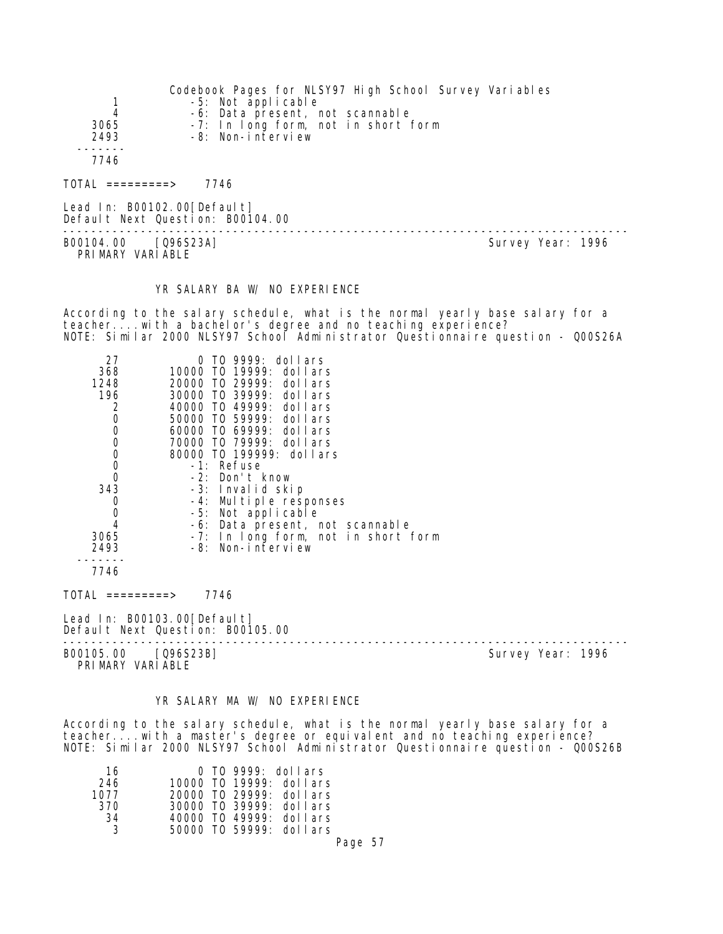|                     | Codebook Pages for NLSY97 High School Survey Variables |
|---------------------|--------------------------------------------------------|
|                     | -5: Not applicable                                     |
| 4                   | -6: Data present, not scannable                        |
| 3065                | -7: In long form, not in short form                    |
| 2493                | -8: Non-interview                                      |
|                     |                                                        |
| 7746                |                                                        |
| $TOTAL$ ==========> | 7746                                                   |

Lead In: B00102.00[Default] Default Next Question: B00104.00

B00104.00 [Q96S23A] Survey Year: 1996 PRIMARY VARIABLE

--------------------------------------------------------------------------------

#### YR SALARY BA W/ NO EXPERIENCE

According to the salary schedule, what is the normal yearly base salary for a teacher....with a bachelor's degree and no teaching experience? NOTE: Similar 2000 NLSY97 School Administrator Questionnaire question - Q00S26A

| 27          | TO 9999: dollars                    |
|-------------|-------------------------------------|
| 368         | 10000 T0 19999: dollars             |
| 1248        | 20000 TO 29999: dollars             |
| 196         | 30000 TO 39999: dollars             |
| 2           | 40000 TO 49999: dollars             |
| $\mathbf 0$ | 50000 TO 59999: dollars             |
| $\mathbf 0$ | 60000 TO 69999: dollars             |
| 0           | 70000 TO 79999: dollars             |
| $\mathbf 0$ | 80000 TO 199999: dollars            |
| $\mathbf 0$ | -1: Refuse                          |
| $\Omega$    | -2: Don't know                      |
| 343         | -3: Invalid skip                    |
| 0           | -4: Multiple responses              |
| 0           | -5: Not applicable                  |
| 4           | -6: Data present, not scannable     |
| 3065        | -7: In long form, not in short form |
| 2493        | -8: Non-interview                   |
|             |                                     |
| 7746        |                                     |
|             |                                     |

TOTAL =========> 7746

Lead In: B00103.00 [Default] Default Next Question: B00105.00

-------------------------------------------------------------------------------- B00105.00 [Q96S23B] Survey Year: 1996

PRIMARY VARIABLE

## YR SALARY MA W/ NO EXPERIENCE

According to the salary schedule, what is the normal yearly base salary for a teacher....with a master's degree or equivalent and no teaching experience? NOTE: Similar 2000 NLSY97 School Administrator Questionnaire question - Q00S26B

| 16   | 0 TO 9999: dollars      |
|------|-------------------------|
| 246  | 10000 TO 19999: dollars |
| 1077 | 20000 TO 29999: dollars |
| 370  | 30000 TO 39999: dollars |
| 34   | 40000 T0 49999: dollars |
| ્ર   | 50000 TO 59999: dollars |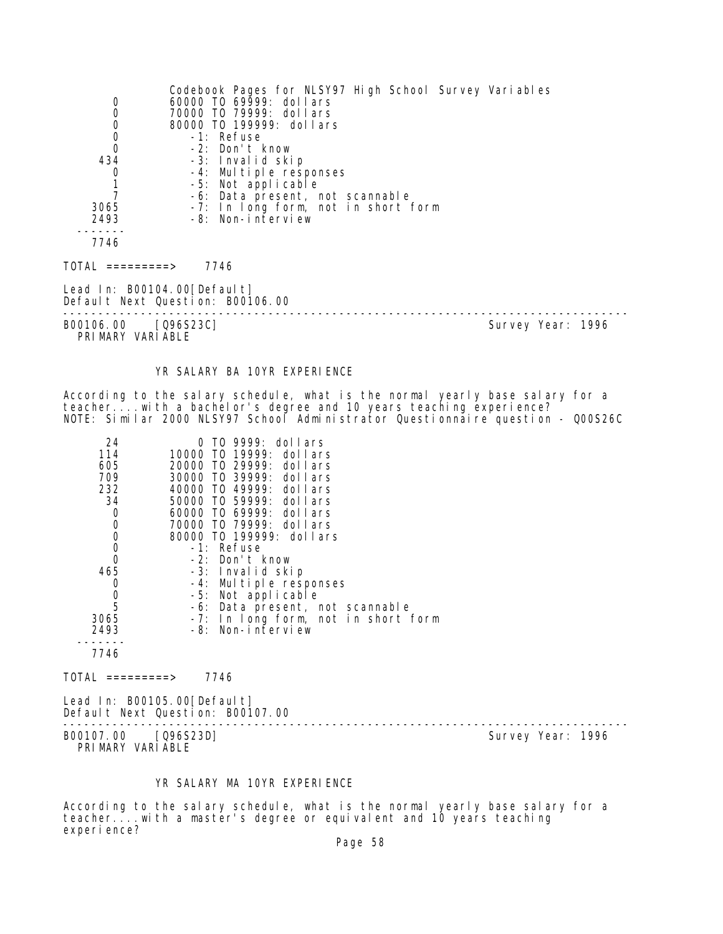|                                         | Codebook Pages for NLSY97 High School Survey Variables |                   |
|-----------------------------------------|--------------------------------------------------------|-------------------|
| 0                                       | 60000 TO 69999: dollars                                |                   |
| $\boldsymbol{0}$                        | 70000 TO 79999: dollars                                |                   |
|                                         | 80000 T0 199999: dollars                               |                   |
| $\begin{matrix}0\\0\\0\end{matrix}$     | -1: Refuse                                             |                   |
|                                         | -2: Don't know                                         |                   |
| 434                                     | -3: Invalid skip                                       |                   |
| 0                                       | -4: Multiple responses                                 |                   |
| $\overline{1}$                          | -5: Not applicable                                     |                   |
| 7                                       | -6: Data present, not scannable                        |                   |
| 3065                                    | -7: In long form, not in short form                    |                   |
| 2493                                    | -8: Non-interview                                      |                   |
| 7746                                    |                                                        |                   |
|                                         |                                                        |                   |
| TOTAL =========>                        | 7746                                                   |                   |
|                                         | Lead In: B00104.00[Default]                            |                   |
|                                         | Default Next Question: B00106.00                       |                   |
| B00106.00 [Q96S23C]<br>PRIMARY VARIABLE |                                                        | Survey Year: 1996 |

## YR SALARY BA 10YR EXPERIENCE

According to the salary schedule, what is the normal yearly base salary for a teacher....with a bachelor's degree and 10 years teaching experience? NOTE: Similar 2000 NLSY97 School Administrator Questionnaire question - Q00S26C

| 24                                   | TO 9999: dollars<br>O               |
|--------------------------------------|-------------------------------------|
| 114                                  | 10000 T0 19999: dollars             |
| 605                                  | 20000 T0 29999: dollars             |
| 709                                  | 30000 TO 39999: dollars             |
| 232                                  | 40000 TO 49999: dollars             |
| 34                                   | 50000 TO 59999: dollars             |
| 0                                    | 60000 TO 69999: dollars             |
| 0                                    | 70000 TO 79999: dollars             |
| 0                                    | 80000 TO 199999: dollars            |
| $\begin{matrix} 0 \\ 0 \end{matrix}$ | -1: Refuse                          |
|                                      | -2: Don't know                      |
| 465                                  | -3: Invalid skip                    |
| 0                                    | -4: Multiple responses              |
| 0                                    | -5: Not applicable                  |
| $\overline{5}$                       | -6: Data present, not scannable     |
| 3065                                 | -7: In long form, not in short form |
| 2493                                 | -8: Non-interview                   |
|                                      |                                     |
| 7746                                 |                                     |

 $TOTAL$  =========> 7746

Lead In: B00105.00[Default] Default Next Question: B00107.00

-------------------------------------------------------------------------------- B00107.00 [Q96S23D] Survey Year: 1996 PRIMARY VARIABLE

## YR SALARY MA 10YR EXPERIENCE

According to the salary schedule, what is the normal yearly base salary for a teacher....with a master's degree or equivalent and 10 years teaching experience?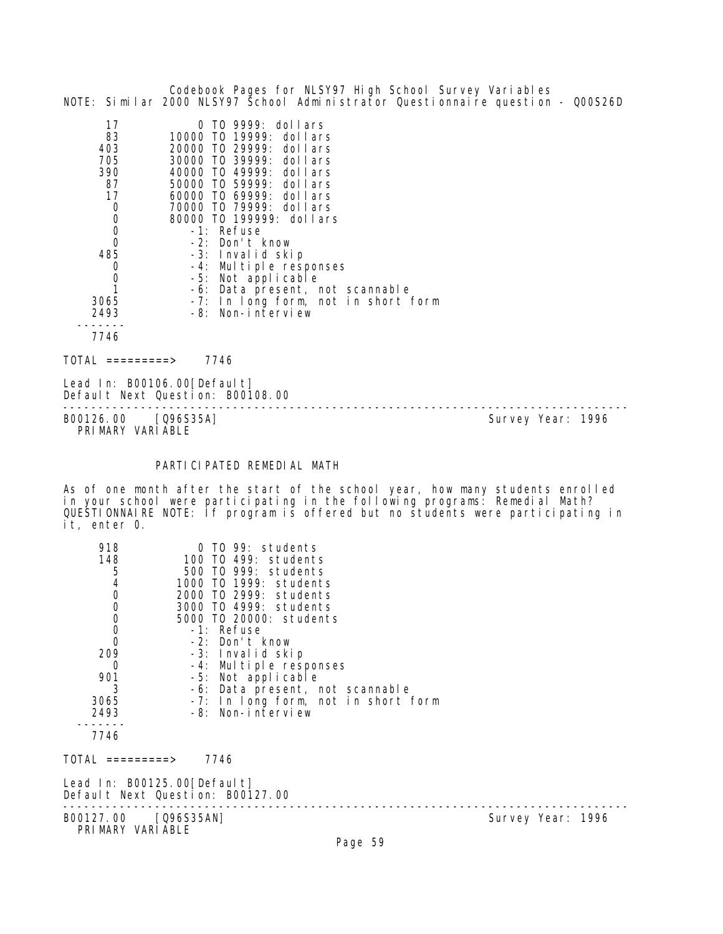|                                                                                                                                                                                                     | Codebook Pages for NLSY97 High School Survey Variables<br>NOTE: Similar 2000 NLSY97 School Administrator Questionnaire question - Q00S26D                                                                                                                                                                                                                                                                                                      |
|-----------------------------------------------------------------------------------------------------------------------------------------------------------------------------------------------------|------------------------------------------------------------------------------------------------------------------------------------------------------------------------------------------------------------------------------------------------------------------------------------------------------------------------------------------------------------------------------------------------------------------------------------------------|
| 17<br>83<br>403<br>705<br>390<br>87<br>17<br>$\begin{smallmatrix}0\0\0\end{smallmatrix}$<br>$\overline{0}$<br>485<br>$\boldsymbol{0}$<br>$\begin{smallmatrix}0\\1\end{smallmatrix}$<br>3065<br>2493 | 0 TO 9999: dollars<br>10000 TO 19999: dollars<br>20000 TO 29999: dollars<br>30000 TO 39999: dollars<br>40000 TO 49999: dollars<br>50000 TO 59999: dollars<br>60000 TO 69999: dollars<br>70000 TO 79999: dollars<br>80000 TO 199999: dollars<br>-1: Refuse<br>-2: Don't know<br>-3: Invalid skip<br>-4: Multiple responses<br>-5: Not applicable<br>-6: Data present, not scannable<br>-7: In long form, not in short form<br>-8: Non-interview |
| 7746                                                                                                                                                                                                |                                                                                                                                                                                                                                                                                                                                                                                                                                                |
| $\overline{IO}AL$ =========>                                                                                                                                                                        | 7746                                                                                                                                                                                                                                                                                                                                                                                                                                           |
| Lead In: B00106.00 [Default]                                                                                                                                                                        | Default Next Question: B00108.00                                                                                                                                                                                                                                                                                                                                                                                                               |
|                                                                                                                                                                                                     |                                                                                                                                                                                                                                                                                                                                                                                                                                                |

PRIMARY VARIABLE

B00126.00 [Q96S35A] Survey Year: 1996

## PARTICIPATED REMEDIAL MATH

As of one month after the start of the school year, how many students enrolled in your school were participating in the following programs: Remedial Math? QUESTIONNAIRE NOTE: If program is offered but no students were participating in it, enter 0.

| 918                  | 0 TO 99: students                   |                   |
|----------------------|-------------------------------------|-------------------|
| 148                  | 100 TO 499: students                |                   |
| 5400000              | 500 TO 999: students                |                   |
|                      | 1000 TO 1999: students              |                   |
|                      | 2000 TO 2999: students              |                   |
|                      | 3000 TO 4999: students              |                   |
|                      | 5000 TO 20000: students             |                   |
|                      | -1: Refuse                          |                   |
|                      | -2: Don't know                      |                   |
| 209                  | -3: Invalid skip                    |                   |
| 0                    | -4: Multiple responses              |                   |
| 901                  | -5: Not applicable                  |                   |
| 3                    | -6: Data present, not scannable     |                   |
| 3065                 | -7: In long form, not in short form |                   |
| 2493                 | -8: Non-interview                   |                   |
|                      |                                     |                   |
| 7746                 |                                     |                   |
|                      |                                     |                   |
| TOTAL =========>     | 7746                                |                   |
|                      | Lead In: B00125.00[Default]         |                   |
|                      | Default Next Question: B00127.00    |                   |
|                      |                                     |                   |
| B00127.00 [Q96S35AN] |                                     | Survey Year: 1996 |
| PRIMARY VARIABLE     |                                     |                   |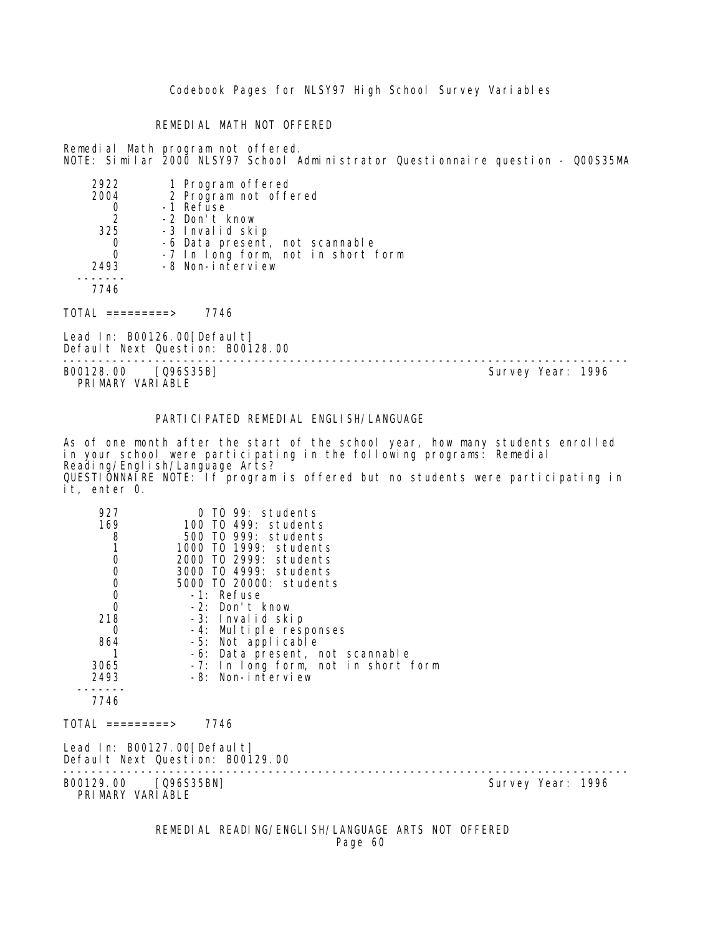#### REMEDIAL MATH NOT OFFERED

Remedial Math program not offered. NOTE: Similar 2000 NLSY97 School Administrator Questionnaire question - Q00S35MA

| 2922<br>2004  | 1 Program offered<br>2 Program not offered             |
|---------------|--------------------------------------------------------|
|               |                                                        |
|               | -1 Refuse                                              |
| $\mathcal{P}$ | -2 Don't know                                          |
| 325           | -3 Invalid skip                                        |
|               | -6 Data present, not scannable                         |
|               | -7 In long form, not in short form<br>-8 Non-interview |
| 2493          |                                                        |
|               |                                                        |
|               |                                                        |

 $TOTAL$  =========> 7746

Lead In: B00126.00[Default] Default Next Question: B00128.00

-------------------------------------------------------------------------------- B00128.00 [Q96S35B] PRIMARY VARIABLE

## PARTICIPATED REMEDIAL ENGLISH/LANGUAGE

As of one month after the start of the school year, how many students enrolled in your school were participating in the following programs: Remedial Reading/English/Language Arts? QUESTIONNAIRE NOTE: If program is offered but no students were participating in it, enter 0.

| 927<br>169<br>$\begin{array}{c} 8 \\ 1 \end{array}$<br>$\mathbf 0$<br>$\begin{matrix} 0 \\ 0 \\ 0 \end{matrix}$<br>$\mathbf 0$<br>218<br>0<br>864<br>3065<br>2493<br>7746<br>TOTAL =========> 7746 | 0 TO 99: students<br>100 TO 499: students<br>500 TO 999: students<br>1000 TO 1999: students<br>2000 TO 2999: students<br>3000 TO 4999: students<br>5000 TO 20000: students<br>-1: Refuse<br>-2: Don't know<br>-3: Invalid skip<br>-4: Multiple responses<br>-5: Not applicable<br>-6: Data present, not scannable<br>-7: In long form, not in short form<br>-8: Non-interview<br>Lead In: B00127.00[Default] |                   |  |
|----------------------------------------------------------------------------------------------------------------------------------------------------------------------------------------------------|--------------------------------------------------------------------------------------------------------------------------------------------------------------------------------------------------------------------------------------------------------------------------------------------------------------------------------------------------------------------------------------------------------------|-------------------|--|
| Default Next Question: B00129.00                                                                                                                                                                   |                                                                                                                                                                                                                                                                                                                                                                                                              |                   |  |
| B00129.00 [Q96S35BN]<br>PRIMARY VARIABLE                                                                                                                                                           |                                                                                                                                                                                                                                                                                                                                                                                                              | Survey Year: 1996 |  |

REMEDIAL READING/ENGLISH/LANGUAGE ARTS NOT OFFERED Page 60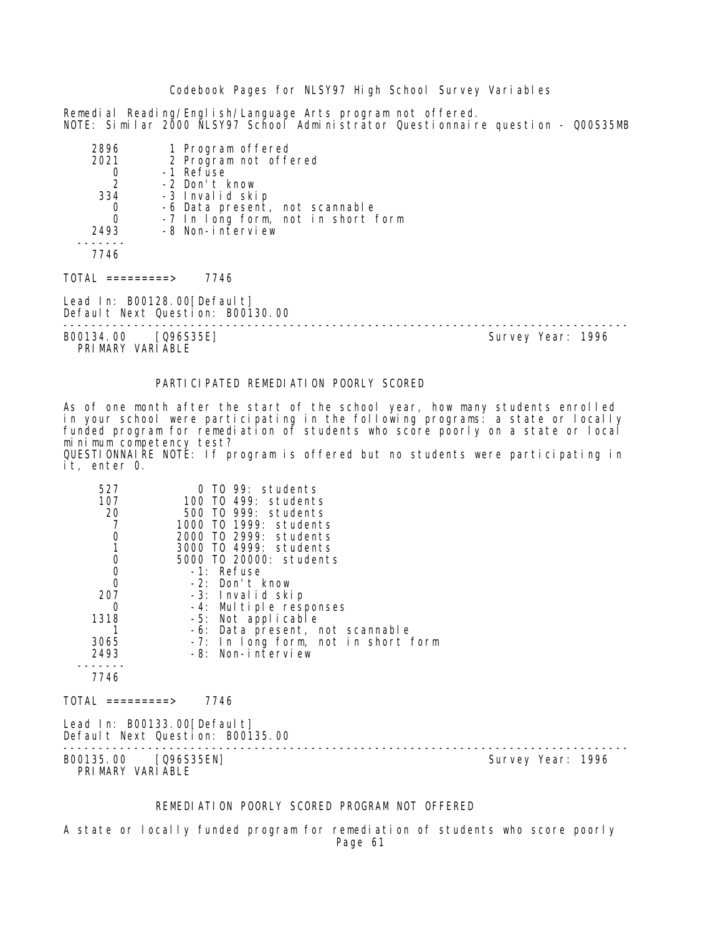Remedial Reading/English/Language Arts program not offered. NOTE: Similar 2000 NLSY97 School Administrator Questionnaire question - Q00S35MB

| 2896 | 1 Program offered<br>2 Program not offered |
|------|--------------------------------------------|
| 2021 |                                            |
|      | -1 Refuse                                  |
| 2    | -2 Don't know                              |
| 334  | -3 Invalid skip                            |
|      | -6 Data present, not scannable             |
|      | -7 In long form, not in short form         |
| 2493 | -8 Non-interview                           |
|      |                                            |
| 7746 |                                            |
|      |                                            |

 $TOTAL$  =========> 7746

Lead In: B00128.00[Default] Default Next Question: B00130.00

B00134.00 [Q96S35E] PRI MARY VARI ABLE

--------------------------------------------------------------------------------

#### PARTICIPATED REMEDIATION POORLY SCORED

As of one month after the start of the school year, how many students enrolled in your school were participating in the following programs: a state or locally funded program for remediation of students who score poorly on a state or local minimum competency test? QUESTIONNAIRE NOTE: If program is offered but no students were participating in it, enter 0.

| 527<br>107<br>20<br>7<br>$\begin{smallmatrix}0\\1\end{smallmatrix}$<br>$\begin{matrix} 0 \\ 0 \\ 0 \end{matrix}$<br>207<br>0<br>1318<br>3065<br>2493<br>7746<br>TOTAL =========> | 0 TO 99: students<br>100 TO 499: students<br>500 TO 999: students<br>1000 TO 1999: students<br>2000 TO 2999: students<br>3000 TO 4999: students<br>5000 TO 20000: students<br>-1: Refuse<br>-2: Don't know<br>-3: Invalid skip<br>-4: Multiple responses<br>-5: Not applicable<br>-6: Data present, not scannable<br>-7: In long form, not in short form<br>-8: Non-interview<br>7746 |                   |
|----------------------------------------------------------------------------------------------------------------------------------------------------------------------------------|---------------------------------------------------------------------------------------------------------------------------------------------------------------------------------------------------------------------------------------------------------------------------------------------------------------------------------------------------------------------------------------|-------------------|
|                                                                                                                                                                                  | Lead In: B00133.00[Default]<br>Default Next Question: B00135.00                                                                                                                                                                                                                                                                                                                       |                   |
| B00135.00 [Q96S35EN]<br>PRIMARY VARIABLE                                                                                                                                         |                                                                                                                                                                                                                                                                                                                                                                                       | Survey Year: 1996 |

## REMEDIATION POORLY SCORED PROGRAM NOT OFFERED

A state or locally funded program for remediation of students who score poorly Page 61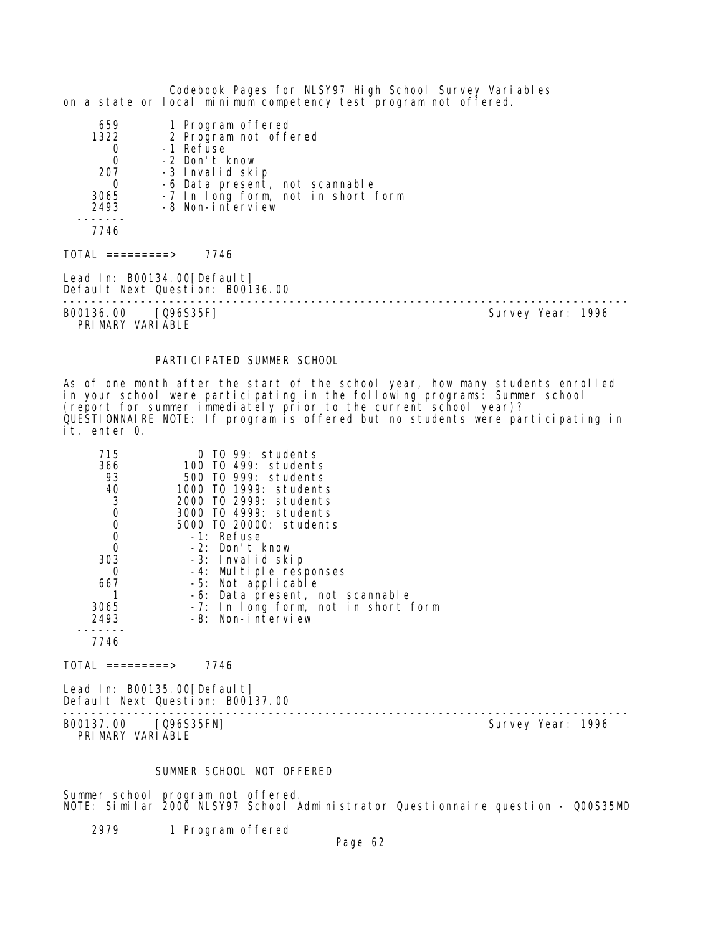|                                                                            | Codebook Pages for NLSY97 High School Survey Variables<br>on a state or local minimum competency test program not offered.                                                              |                   |  |
|----------------------------------------------------------------------------|-----------------------------------------------------------------------------------------------------------------------------------------------------------------------------------------|-------------------|--|
| 659<br>1322<br>0<br>$\mathbf 0$<br>207<br>$\Omega$<br>3065<br>2493<br>7746 | 1 Program offered<br>2 Program not offered<br>-1 Refuse<br>-2 Don't know<br>-3 Invalid skip<br>-6 Data present, not scannable<br>-7 In long form, not in short form<br>-8 Non-interview |                   |  |
| $\text{TOTAL}$ ==========>                                                 | 7746                                                                                                                                                                                    |                   |  |
|                                                                            | Lead In: B00134.00 [Default]<br>Default Next Question: B00136.00                                                                                                                        |                   |  |
| B00136.00 [Q96S35F]<br>PRIMARY VARIABLE                                    |                                                                                                                                                                                         | Survey Year: 1996 |  |

## PARTICIPATED SUMMER SCHOOL

As of one month after the start of the school year, how many students enrolled in your school were participating in the following programs: Summer school (report for summer immediately prior to the current school year)? QUESTIONNAIRE NOTE: If program is offered but no students were participating in it, enter 0.

| 715         | $0$ TO 99: students                 |
|-------------|-------------------------------------|
| 366         | 100 TO 499: students                |
| 93          | 500 T0 999: students                |
| 40          | 1000 TO 1999: students              |
| 3           | 2000 TO 2999: students              |
| $\mathbf 0$ | 3000 T0 4999: students              |
| 0           | 5000 TO 20000: students             |
| 0           | -1: Refuse                          |
| 0           | -2: Don't know                      |
| 303         | -3: Invalid skip                    |
| 0           | -4: Multiple responses              |
| 667         | -5: Not applicable                  |
|             | -6: Data present, not scannable     |
| 3065        | -7: In long form, not in short form |
| 2493        | -8: Non-interview                   |
|             |                                     |
| 7746        |                                     |

 $TOTAL$  =========> 7746

Lead In: B00135.00 [Default] Default Next Question: B00137.00

B00137.00 [Q96S35FN] PRIMARY VARIABLE

--------------------------------------------------------------------------------

## SUMMER SCHOOL NOT OFFERED

Summer school program not offered. NOTE: Similar 2000 NLSY97 School Administrator Questionnaire question - Q00S35MD

2979 1 Program offered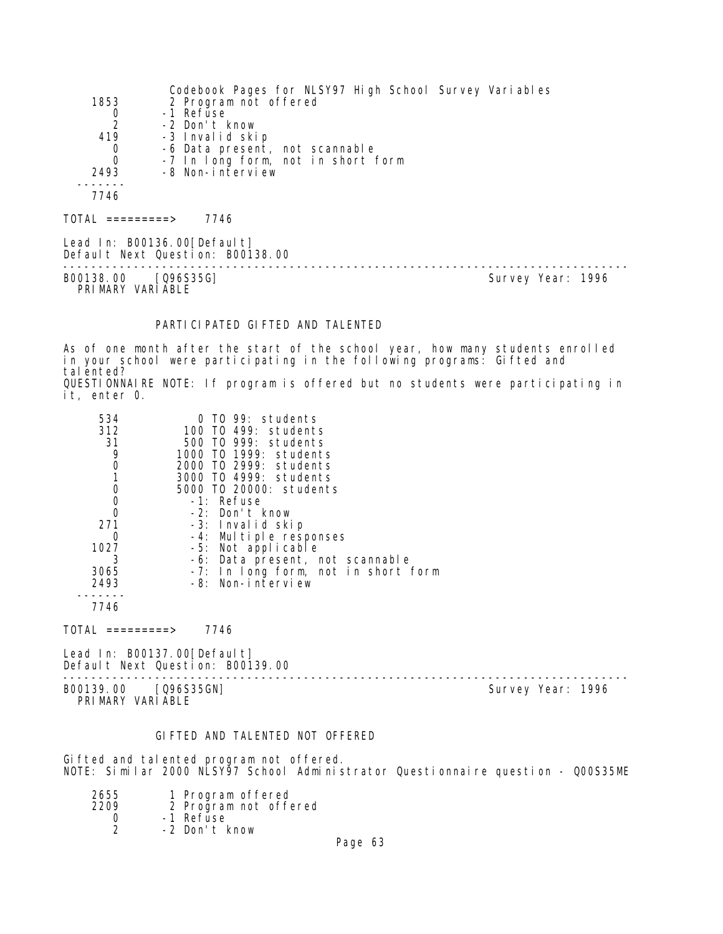|                  | Codebook Pages for NLSY97 High School Survey Variables          |  |
|------------------|-----------------------------------------------------------------|--|
| 1853             | 2 Program not offered                                           |  |
| 0                | -1 Refuse                                                       |  |
| $\overline{2}$   | -2 Don't know                                                   |  |
| 419              | -3 Invalid skip                                                 |  |
| 0                | -6 Data present, not scannable                                  |  |
| $\Omega$         | -7 In long form, not in short form                              |  |
| 2493             | -8 Non-interview                                                |  |
|                  |                                                                 |  |
| 7746             |                                                                 |  |
| TOTAL =========> | 7746                                                            |  |
|                  | Lead In: B00136.00[Default]<br>Default Next Question: B00138.00 |  |

-------------------------------------------------------------------------------- B00138.00 [Q96S35G] PRIMARY VARIABLE

## PARTICIPATED GIFTED AND TALENTED

As of one month after the start of the school year, how many students enrolled in your school were participating in the following programs: Gifted and tal ented? QUESTIONNAIRE NOTE: If program is offered but no students were participating in

it, enter 0.

| 534  | 0 TO 99: students                   |
|------|-------------------------------------|
| 312  | 100 TO 499: students                |
| 31   | 500 T0 999: students                |
| 9    | 1000 TO 1999: students              |
|      | 2000 TO 2999: students              |
|      | 3000 TO 4999: students              |
| 0    | 5000 TO 20000: students             |
| 0    | -1: Refuse                          |
| ∩    | -2: Don't know                      |
| 271  | -3: Invalid skip                    |
| 0    | -4: Multiple responses              |
| 1027 | -5: Not applicable                  |
| - 3  | -6: Data present, not scannable     |
| 3065 | -7: In long form, not in short form |
| 2493 | -8: Non-interview                   |
|      |                                     |

7746

TOTAL =========> 7746

Lead In: B00137.00[Default] Default Next Question: B00139.00

-------------------------------------------------------------------------------- B00139.00 [Q96S35GN] Survey Year: 1996 PRIMARY VARIABLE

#### GIFTED AND TALENTED NOT OFFERED

Gifted and talented program not offered. NOTE: Similar 2000 NLSY97 School Administrator Questionnaire question - Q00S35ME

| 2655 |          | 1 Program offered     |
|------|----------|-----------------------|
| 2209 |          | 2 Program not offered |
|      | 1 Dofuso |                       |

- 0 -1 Refuse 2 -2 Don't know
- Page 63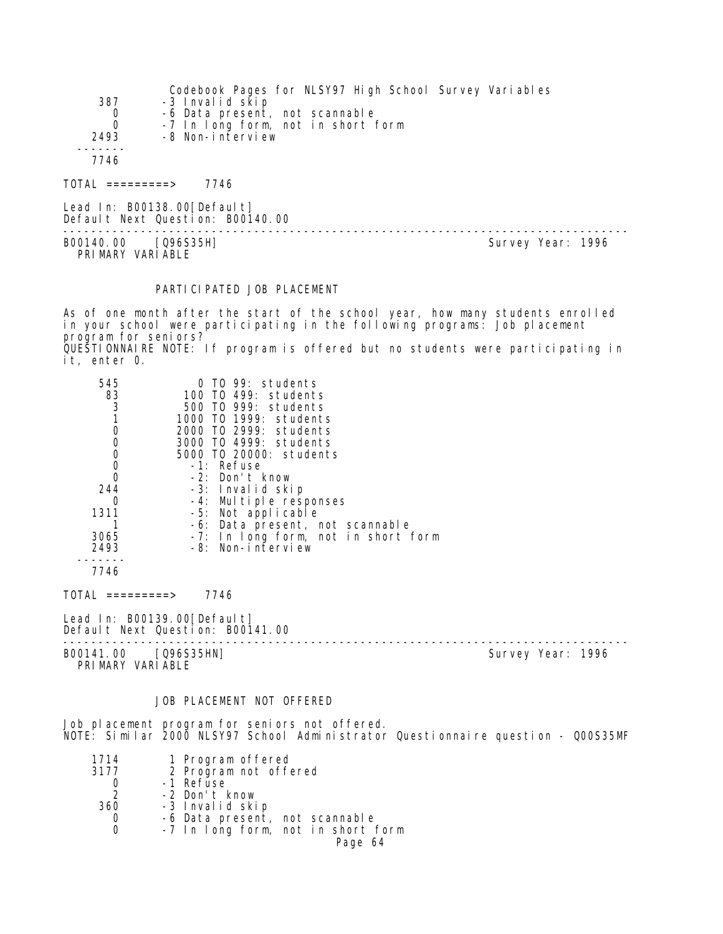|          | Codebook Pages for NLSY97 High School Survey Variables |
|----------|--------------------------------------------------------|
| 387      | -3 Invalid skip                                        |
| 0        | -6 Data present, not scannable                         |
| $\Omega$ | -7 In long form, not in short form                     |
| 2493     | -8 Non-interview                                       |
|          |                                                        |
| 7746     |                                                        |
|          |                                                        |

 $TOTAL$  ========> 7746

Lead In: B00138.00 [Default] Default Next Question: B00140.00 -------------------------------------------------------------------------------- B00140.00 [Q96S35H] Survey Year: 1996 PRIMARY VARIABLE

#### PARTICIPATED JOB PLACEMENT

As of one month after the start of the school year, how many students enrolled in your school were participating in the following programs: Job placement program for seniors? QUESTIONNAIRE NOTE: If program is offered but no students were participating in it, enter 0.

| 545  | $0$ TO 99: students                 |  |
|------|-------------------------------------|--|
| 83   | 100 TO 499: students                |  |
| 3    | 500 TO 999: students                |  |
|      | 1000 T0 1999: students              |  |
| 0    | 2000 TO 2999: students              |  |
| 0    | 3000 TO 4999: students              |  |
| 0    | 5000 TO 20000: students             |  |
| 0    | $-1$ : Refuse                       |  |
| 0    | -2: Don't know                      |  |
| 244  | -3: Invalid skip                    |  |
| 0    | -4: Multiple responses              |  |
| 1311 | -5: Not applicable                  |  |
|      | -6: Data present, not scannable     |  |
| 3065 | -7: In long form, not in short form |  |
| 2493 | -8: Non-interview                   |  |
|      |                                     |  |
| 7746 |                                     |  |

TOTAL =========> 7746

Lead In: B00139.00 [Default] Default Next Question: B00141.00

-------------------------------------------------------------------------------- B00141.00 [Q96S35HN] Survey Year: 1996

PRIMARY VARIABLE

## JOB PLACEMENT NOT OFFERED

Job placement program for seniors not offered. NOTE: Similar 2000 NLSY97 School Administrator Questionnaire question - Q00S35MF

|  | 1714 | 1 Program offered |  |
|--|------|-------------------|--|
|--|------|-------------------|--|

- 3177 2 Program not offered
	- 0 -1 Refuse
- 2 -2 Don't know
- 3 Invalid skip<br>0 -6 Data present,
- 0 -6 Data present, not scannable<br>0 -7 In Iong form, not in short 1
	- 0 -7 In long form, not in short form

```
Page 64
```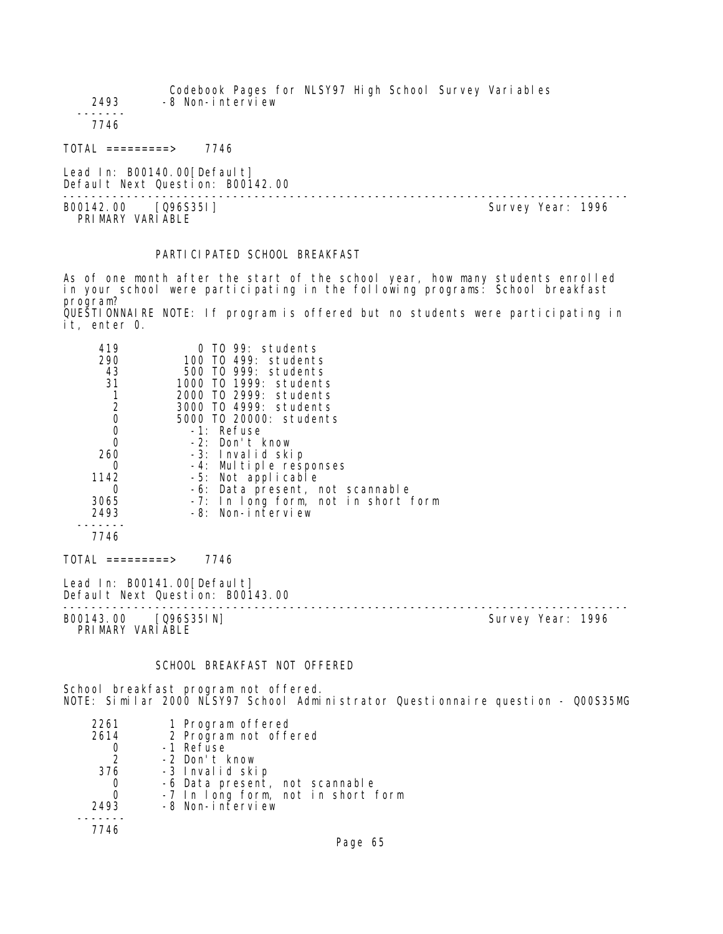Codebook Pages for NLSY97 High School Survey Variables 2493 -8 Non-interview ------- 7746 TOTAL =========> 7746 Lead In: B00140.00 [Default] Default Next Question: B00142.00 -------------------------------------------------------------------------------- B00142.00 [Q96S35I]

PRIMARY VARIABLE

## PARTICI PATED SCHOOL BREAKFAST

As of one month after the start of the school year, how many students enrolled in your school were participating in the following programs: School breakfast program? QUESTIONNAIRE NOTE: If program is offered but no students were participating in

it, enter 0.

| 419                 | TO 99: students                                                  |
|---------------------|------------------------------------------------------------------|
| 290                 | 100 TO 499: students                                             |
| 43                  | 500 TO 999: students                                             |
| 31                  | 1000 TO 1999: students                                           |
|                     | 2000 TO 2999: students                                           |
| $\frac{2}{0}$       | 3000 TO 4999: students                                           |
|                     | 5000 TO 20000: students                                          |
| $\mathbf 0$         | -1: Refuse                                                       |
| $\overline{0}$      | -2: Don't know                                                   |
| 260                 | -3: Invalid skip                                                 |
|                     | -4: Multiple responses                                           |
| 1142                | -5: Not applicable                                               |
| 0                   | -6: Data present, not scannable                                  |
| 3065                | -7: In long form, not in short form                              |
| 2493                | -8: Non-interview                                                |
|                     |                                                                  |
| 7746                |                                                                  |
| $TOTAL$ ==========> | 7746                                                             |
|                     | Lead In: B00141.00 [Default]<br>Default Next Question: B00143.00 |
|                     |                                                                  |

B00143.00 [Q96S35IN] Survey Year: 1996 PRIMARY VARIABLE

#### SCHOOL BREAKFAST NOT OFFERED

School breakfast program not offered. NOTE: Similar 2000 NLSY97 School Administrator Questionnaire question - Q00S35MG

| 2261          | 1 Program offered                  |
|---------------|------------------------------------|
| 2614          | 2 Program not offered              |
|               | -1 Refuse                          |
| $\mathcal{P}$ | -2 Don't know                      |
| 376           | -3 Invalid skip                    |
| 0             | -6 Data present, not scannable     |
| 0             | -7 In long form, not in short form |
| 2493          | -8 Non-interview                   |
|               |                                    |
| 7746          |                                    |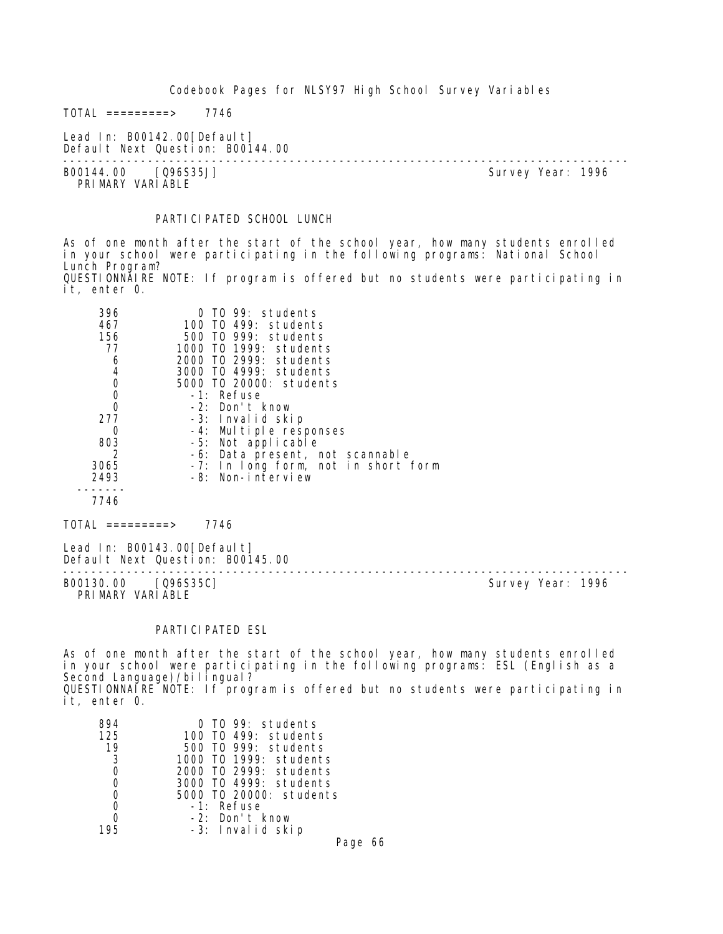$TOTAL$  =========> 7746

Lead In: B00142.00 [Default] Default Next Question: B00144.00

-------------------------------------------------------------------------------- B00144.00 [Q96S35J] PRIMARY VARIABLE

## PARTICIPATED SCHOOL LUNCH

As of one month after the start of the school year, how many students enrolled in your school were participating in the following programs: National School Lunch Program? QUESTIONNAIRE NOTE: If program is offered but no students were participating in it, enter 0.

| 396<br>467     | $0$ TO 99: students<br>100 TO 499: students |
|----------------|---------------------------------------------|
| 156            | 500 TO 999: students                        |
| 77             | 1000 TO 1999: students                      |
| 6              | 2000 TO 2999: students                      |
| 4              | 3000 TO 4999: students                      |
| 0              | 5000 TO 20000: students                     |
| 0              | -1: Refuse                                  |
| $\overline{0}$ | -2: Don't know                              |
| 277            | -3: Invalid skip                            |
| 0              | -4: Multiple responses                      |
| 803            | -5: Not applicable                          |
|                | -6: Data present, not scannable             |
| 3065           | -7: In long form, not in short form         |
| 2493           | -8: Non-interview                           |
| 7746           |                                             |
|                |                                             |

TOTAL =========> 7746

Lead In: B00143.00 [Default] Default Next Question: B00145.00 --------------------------------------------------------------------------------

B00130.00 [Q96S35C] PRI MARY VARI ABLE

## PARTICIPATED ESL

As of one month after the start of the school year, how many students enrolled in your school were participating in the following programs: ESL (English as a Second Language)/bilingual? QUESTIONNAIRE NOTE: If program is offered but no students were participating in it, enter 0.

| TO 99: students         |
|-------------------------|
| TO 499: students        |
| 500 TO 999: students    |
| 1000 TO 1999: students  |
| 2000 TO 2999: students  |
| 3000 TO 4999: students  |
| 5000 TO 20000: students |
| -1: Refuse              |
| -2: Don't know          |
| -3: Invalid skip        |
|                         |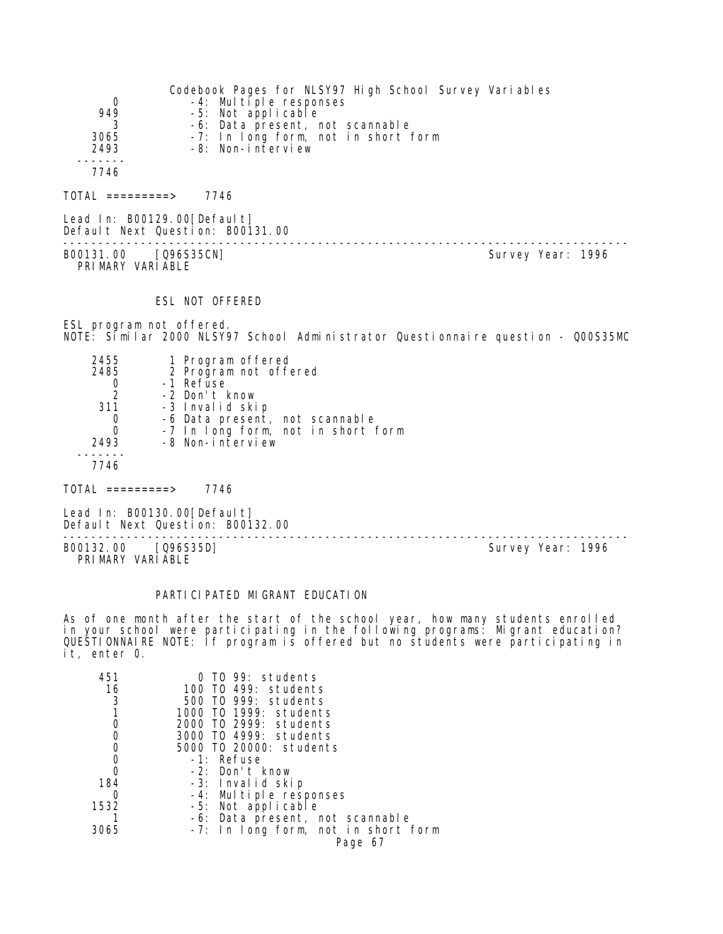| 0<br>949            | Codebook Pages for NLSY97 High School Survey Variables<br>-4: Multiple responses<br>-5: Not applicable |
|---------------------|--------------------------------------------------------------------------------------------------------|
| 3065<br>2493        | -6: Data present, not scannable<br>-7: In long form, not in short form<br>-8: Non-interview            |
| 7746                |                                                                                                        |
| $TOTAL$ ==========> | 7746                                                                                                   |

Lead In: B00129.00 [Default] Default Next Question: B00131.00 -------------------------------------------------------------------------------- B00131.00 [Q96S35CN]

PRI MARY VARI ABLE

#### ESL NOT OFFERED

ESL program not offered. NOTE: Similar 2000 NLSY97 School Administrator Questionnaire question - Q00S35MC

| 2455          | 1 Program offered                  |
|---------------|------------------------------------|
| 2485          | 2 Program not offered              |
|               | -1 Refuse                          |
| $\mathcal{P}$ | -2 Don't know                      |
| 311           | -3 Invalid skip                    |
| 0             | -6 Data present, not scannable     |
| 0             | -7 In long form, not in short form |
| 2493          | -8 Non-interview                   |
|               |                                    |
| 7746          |                                    |

 $TOTAL$  =========> 7746

Lead In: B00130.00 [Default] Default Next Question: B00132.00

B00132.00 [Q96S35D] PRIMARY VARIABLE

--------------------------------------------------------------------------------

#### PARTICIPATED MIGRANT EDUCATION

As of one month after the start of the school year, how many students enrolled in your school were participating in the following programs: Migrant education? QUESTIONNAIRE NOTE: If program is offered but no students were participating in it, enter 0.

| 451  | TO 99: students                     |
|------|-------------------------------------|
| 16   | 100 TO 499: students                |
| 3    | 500 TO 999: students                |
|      | 1000 TO 1999: students              |
|      | 2000 TO 2999: students              |
|      | 3000 T0 4999: students              |
|      | 5000 TO 20000: students             |
|      | -1: Refuse                          |
|      | -2: Don't know                      |
| 184  | -3: Invalid skip                    |
|      | -4: Multiple responses              |
| 1532 | -5: Not applicable                  |
|      | -6: Data present, not scannable     |
| 3065 | -7: In long form, not in short form |
|      | Page 67                             |
|      |                                     |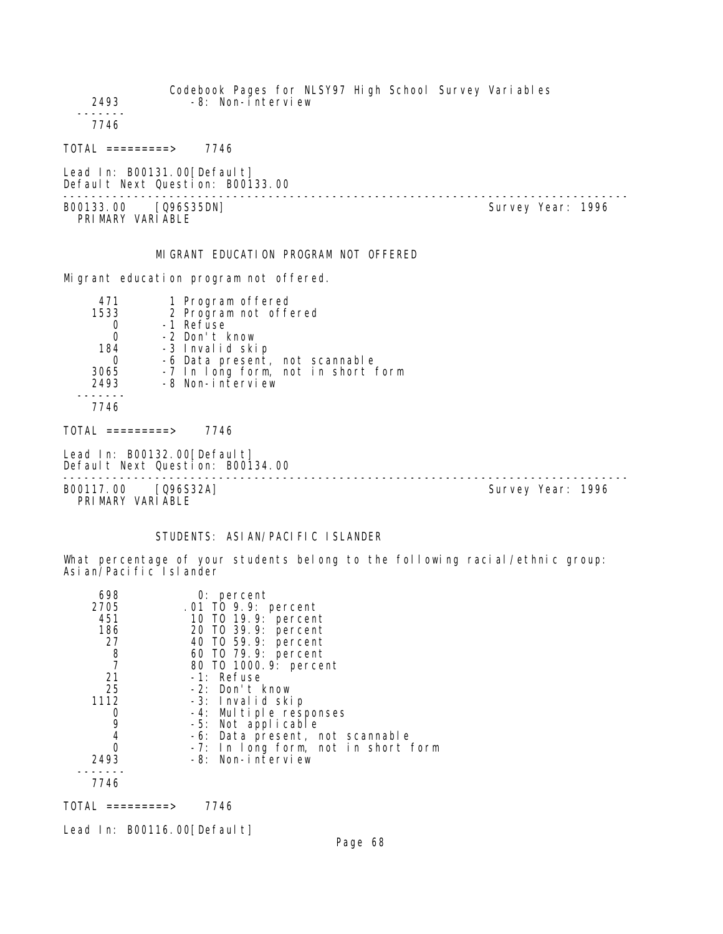| 2493                                     | Codebook Pages for NLSY97 High School Survey Variables<br>-8: Non-interview                                                                                                                        |                   |
|------------------------------------------|----------------------------------------------------------------------------------------------------------------------------------------------------------------------------------------------------|-------------------|
| 7746                                     |                                                                                                                                                                                                    |                   |
| $TOTAL$ =========> 7746                  |                                                                                                                                                                                                    |                   |
|                                          | Lead In: B00131.00 [Default]<br>Default Next Question: B00133.00                                                                                                                                   |                   |
| B00133.00 [Q96S35DN]<br>PRIMARY VARIABLE |                                                                                                                                                                                                    | Survey Year: 1996 |
|                                          | MIGRANT EDUCATION PROGRAM NOT OFFERED                                                                                                                                                              |                   |
|                                          | Migrant education program not offered.                                                                                                                                                             |                   |
| 471<br>1533<br>0<br>0<br>2493            | 1 Program offered<br>2 Program not offered<br>-1 Refuse<br>-2 Don't know<br>184 -3 Invalid skip<br>0 -6 Data present, not scannable<br>3065 -7 In long form, not in short form<br>-8 Non-interview |                   |
| 7746                                     |                                                                                                                                                                                                    |                   |
| $TOTAI = = = = = = = = > 7746$           |                                                                                                                                                                                                    |                   |
|                                          | Lead In: B00132.00 [Default]<br>Default Next Question: B00134.00                                                                                                                                   |                   |
| B00117.00 [Q96S32A]<br>PRIMARY VARIABLE  |                                                                                                                                                                                                    | Survey Year: 1996 |

# STUDENTS: ASIAN/PACIFIC ISLANDER

What percentage of your students belong to the following racial/ethnic group: Asian/Pacific Islander

| 698           | $0:$ percent                        |
|---------------|-------------------------------------|
| 2705          | .01 TO 9.9: percent                 |
| 451           | 10 T0 19.9: percent                 |
| 186           | 20 T0 39.9: percent                 |
| 27            | 40 T0 59.9: percent                 |
| $\frac{8}{7}$ | 60 T0 79.9: percent                 |
|               | 80 T0 1000.9: percent               |
| 21            | -1: Refuse                          |
| 25            | -2: Don't know                      |
| 1112          | -3: Invalid skip                    |
| Ő             | -4: Multiple responses              |
| 9             | -5: Not applicable                  |
| 4             | -6: Data present, not scannable     |
|               | -7: In long form, not in short form |
| 2493          | -8: Non-interview                   |
|               |                                     |
| 7746          |                                     |

TOTAL =========> 7746

Lead In: B00116.00[Default]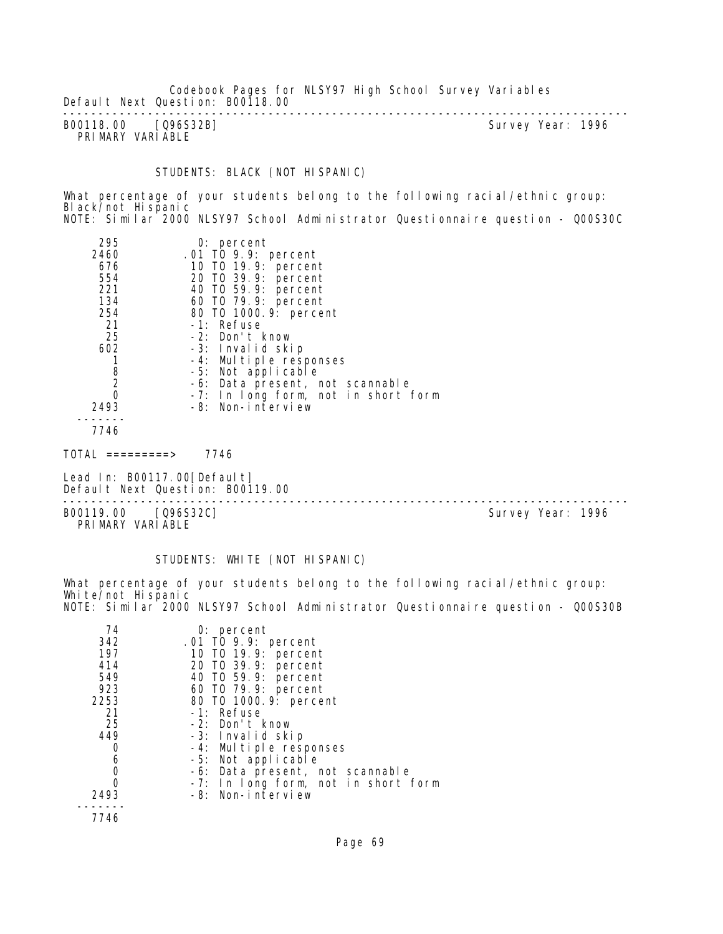Codebook Pages for NLSY97 High School Survey Variables Default Next Question: B00118.00 --------------------------------------------------------------------------------

B00118.00 [Q96S32B] PRIMARY VARIABLE

## STUDENTS: BLACK (NOT HISPANIC)

What percentage of your students belong to the following racial/ethnic group: Black/not Hispanic NOTE: Similar<sup>'</sup> 2000 NLSY97 School Administrator Questionnaire question - Q00S30C

| 295<br>2460<br>676<br>554<br>221<br>134<br>254<br>21<br>25<br>602<br>8<br>$\overline{2}$<br>0 | $0:$ percent<br>.01 TO 9.9: percent<br>10 T0 19.9: percent<br>20 TO 39.9: percent<br>40 TO 59.9: percent<br>60 TO 79.9: percent<br>80 T0 1000. 9: percent<br>-1: Refuse<br>-2: Don't know<br>-3: Invalid skip<br>-4: Multiple responses<br>-5: Not applicable<br>-6: Data present, not scannable<br>-7: In long form, not in short form |  |
|-----------------------------------------------------------------------------------------------|-----------------------------------------------------------------------------------------------------------------------------------------------------------------------------------------------------------------------------------------------------------------------------------------------------------------------------------------|--|
| 2493                                                                                          | -8: Non-interview                                                                                                                                                                                                                                                                                                                       |  |
| 7746                                                                                          |                                                                                                                                                                                                                                                                                                                                         |  |
| ᆍᅎᆍᄭ                                                                                          | 77 <i>11</i>                                                                                                                                                                                                                                                                                                                            |  |

 $TOTAL$  =========> 7746

Lead In: B00117.00 [Default] Default Next Question: B00119.00

--------------------------------------------------------------------------------

B00119.00 [Q96S32C] PRIMARY VARIABLE

#### STUDENTS: WHITE (NOT HISPANIC)

What percentage of your students belong to the following racial/ethnic group: White/not Hispanic NOTE: Similar 2000 NLSY97 School Administrator Questionnaire question - Q00S30B

| 74<br>342<br>197<br>414<br>549<br>923<br>2253<br>21<br>25<br>449<br>0<br>6<br>2493 | $0:$ percent<br>.01 TO 9.9: percent<br>10 T0 19.9: percent<br>20 T0 39.9: percent<br>40 T0 59.9: percent<br>60 T0 79.9: percent<br>80 T0 1000.9: percent<br>-1: Refuse<br>-2: Don't know<br>-3: Invalid skip<br>-4: Multiple responses<br>-5: Not applicable<br>-6: Data present, not scannable<br>-7: In long form, not in short form<br>-8: Non-interview |
|------------------------------------------------------------------------------------|-------------------------------------------------------------------------------------------------------------------------------------------------------------------------------------------------------------------------------------------------------------------------------------------------------------------------------------------------------------|
| 7746                                                                               |                                                                                                                                                                                                                                                                                                                                                             |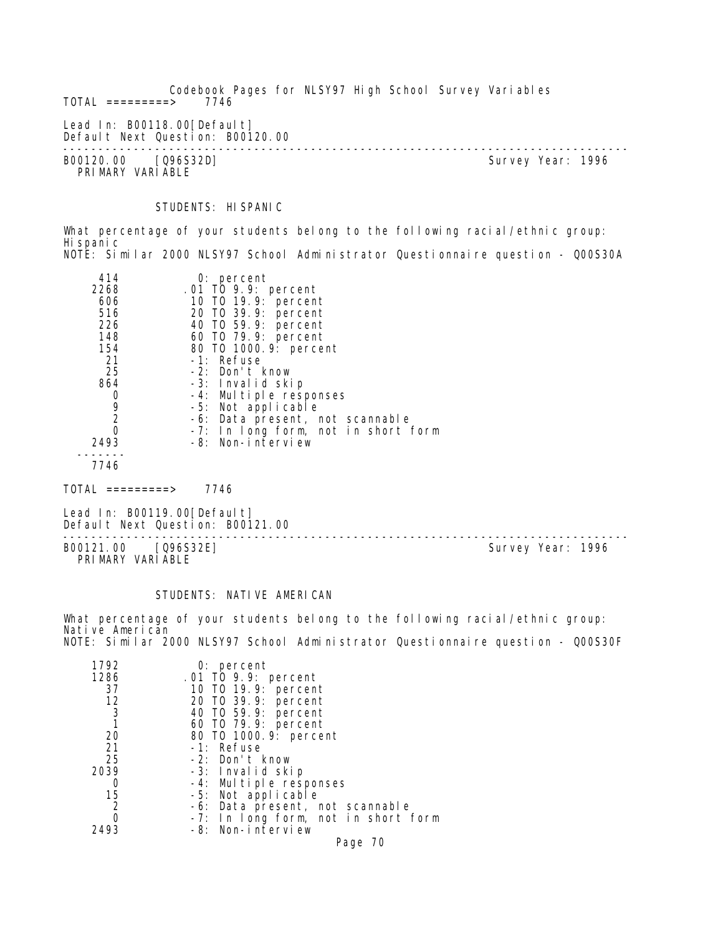Codebook Pages for NLSY97 High School Survey Variables  $TOTAL$  =========> Lead In: B00118.00 [Default] Default Next Question: B00120.00 -------------------------------------------------------------------------------- B00120.00 [Q96S32D] Survey Year: 1996 PRIMARY VARIABLE

STUDENTS: HISPANIC

What percentage of your students belong to the following racial/ethnic group: Hispanic NOTE: Similar 2000 NLSY97 School Administrator Questionnaire question - Q00S30A

| 414  | $0:$ percent                        |
|------|-------------------------------------|
| 2268 | .01 TO 9.9: percent                 |
| 606  | 10 T0 19.9: percent                 |
| 516  | 20 T0 39.9: percent                 |
| 226  | 40 T0 59.9: percent                 |
| 148  | 60 T0 79.9: percent                 |
| 154  | 80 T0 1000. 9: percent              |
| 21   | -1: Refuse                          |
| 25   | -2: Don't know                      |
| 864  | -3: Invalid skip                    |
| O    | -4: Multiple responses              |
| 9    | -5: Not applicable                  |
| 2    | -6: Data present, not scannable     |
| 0    | -7: In long form, not in short form |
| 2493 | -8: Non-interview                   |
|      |                                     |
| 7746 |                                     |

 $TOTAL$  =========> 7746

Lead In: B00119.00 [Default] Default Next Question: B00121.00

B00121.00 [Q96S32E] PRIMARY VARIABLE

--------------------------------------------------------------------------------

#### STUDENTS: NATIVE AMERICAN

What percentage of your students belong to the following racial/ethnic group: Native American NOTE: Similar 2000 NLSY97 School Administrator Questionnaire question - Q00S30F

| 1792 | $0:$ percent                        |
|------|-------------------------------------|
| 1286 | .01 TO 9.9: percent                 |
| 37   | 10 T0 19.9: percent                 |
| 12   | 20 T0 39.9: percent                 |
| 3    | 40 T0 59.9: percent                 |
|      | 60 T0 79.9: percent                 |
| 20   | 80 T0 1000.9: percent               |
| 21   | -1: Refuse                          |
| 25   | -2: Don't know                      |
| 2039 | -3: Invalid skip                    |
| O    | -4: Multiple responses              |
| 15   | -5: Not applicable                  |
| 2    | -6: Data present, not scannable     |
| Ω    | -7: In long form, not in short form |
| 2493 | -8: Non-interview                   |
|      | Page 70                             |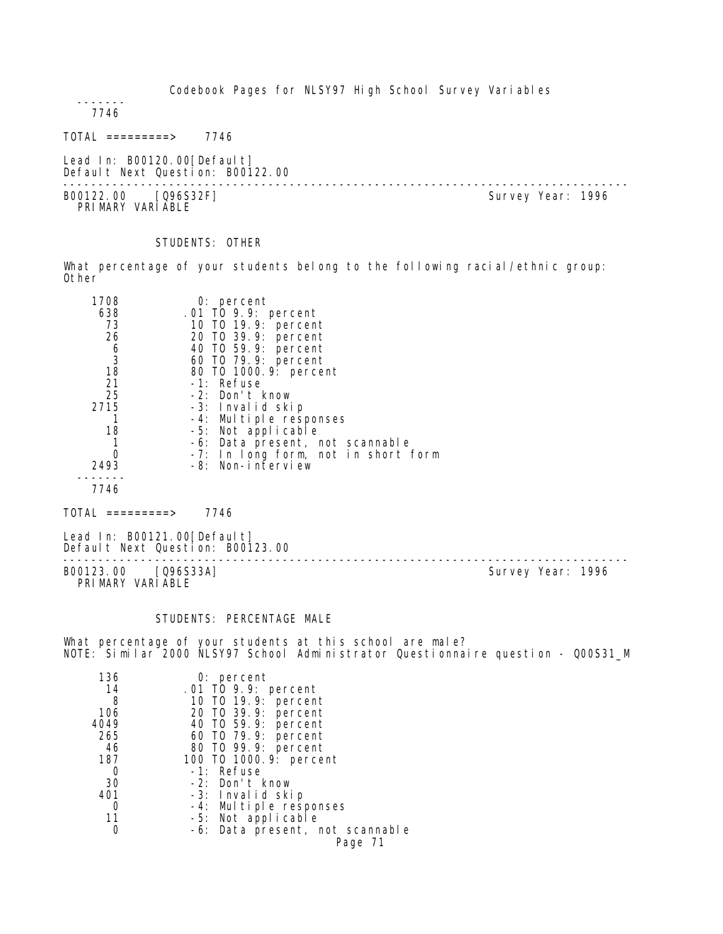7746

 $TOTAL$  =========> 7746

Lead In: B00120.00 [Default] Default Next Question: B00122.00

-------------------------------------------------------------------------------- B00122.00 [Q96S32F] PRI MARY VARI ABLE

STUDENTS: OTHER

What percentage of your students belong to the following racial/ethnic group: Other

| 1708                                        | $0:$ percent                        |
|---------------------------------------------|-------------------------------------|
| 638                                         | .01 TO 9.9: percent                 |
| 73                                          | 10 T0 19.9: percent                 |
| 26                                          | 20 TO 39.9: percent                 |
|                                             | 40 T0 59.9: percent                 |
| $\begin{array}{c} 6 \\ 3 \\ 18 \end{array}$ | 60 TO 79.9: percent                 |
|                                             | 80 T0 1000. 9: percent              |
| 21                                          | -1: Refuse                          |
| 25                                          | -2: Don't know                      |
| 2715                                        | -3: Invalid skip                    |
|                                             | -4: Multiple responses              |
| 18                                          | -5: Not applicable                  |
|                                             | -6: Data present, not scannable     |
|                                             | -7: In long form, not in short form |
| 2493                                        | -8: Non-interview                   |
|                                             |                                     |
| 7746                                        |                                     |

 $TOTAL$  =========> 7746

Lead In: B00121.00[Default] Default Next Question: B00123.00

B00123.00 [Q96S33A] Survey Year: 1996 PRIMARY VARIABLE

--------------------------------------------------------------------------------

#### STUDENTS: PERCENTAGE MALE

What percentage of your students at this school are male? NOTE: Similar 2000 NLSY97 School Administrator Questionnaire question - Q00S31\_M

| 136  | $0:$ percent                    |
|------|---------------------------------|
| 14   | .01 TO 9.9: percent             |
| 8    | 10 T0 19.9: percent             |
| 106  | 20 T0 39.9: percent             |
| 4049 | 40 T0 59.9: percent             |
| 265  | 60 T0 79.9: percent             |
| 46   | 80 T0 99.9: percent             |
| 187  | 100 T0 1000. 9: percent         |
| 0    | -1: Refuse                      |
| 30   | -2: Don't know                  |
| 401  | -3: Invalid skip                |
| Ω    | -4: Multiple responses          |
| 11   | -5: Not applicable              |
|      | -6: Data present, not scannable |
|      | Page 71                         |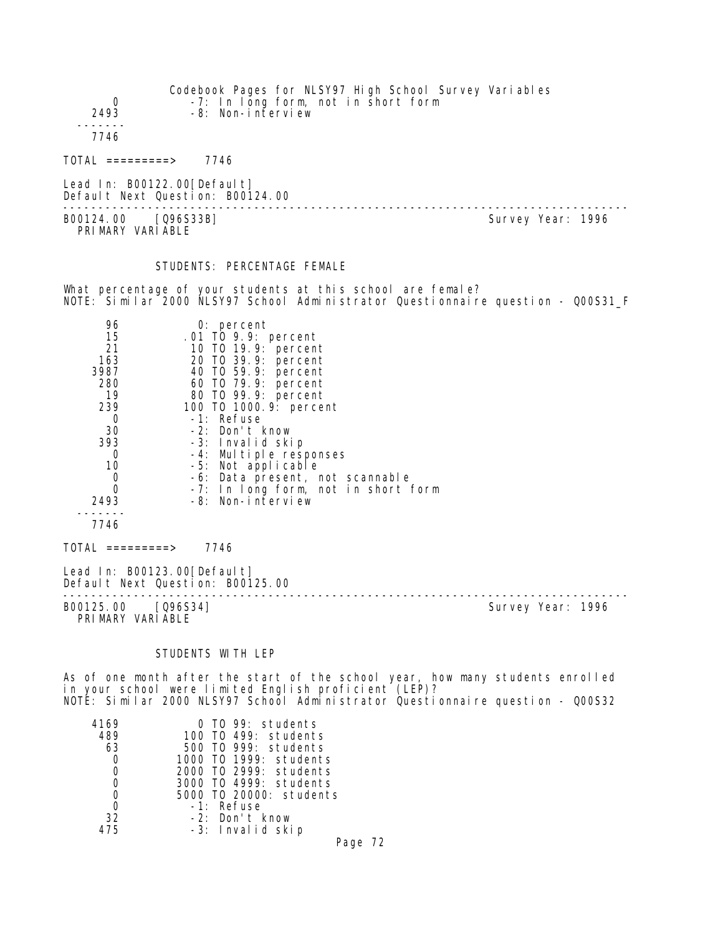| 0<br>2493                                                                                                            | -7: In long form, not in short form<br>-8: Non-interview                                                                                                                                                                                                                                                                                                                             | Codebook Pages for NLSY97 High School Survey Variables                           |                   |
|----------------------------------------------------------------------------------------------------------------------|--------------------------------------------------------------------------------------------------------------------------------------------------------------------------------------------------------------------------------------------------------------------------------------------------------------------------------------------------------------------------------------|----------------------------------------------------------------------------------|-------------------|
| - - - - - -<br>7746                                                                                                  |                                                                                                                                                                                                                                                                                                                                                                                      |                                                                                  |                   |
| $\text{TOTAL}$ =========> 7746                                                                                       |                                                                                                                                                                                                                                                                                                                                                                                      |                                                                                  |                   |
| Lead In: B00122.00[Default]                                                                                          | Default Next Question: B00124.00<br>------------------------------                                                                                                                                                                                                                                                                                                                   |                                                                                  |                   |
| B00124.00 [Q96S33B]<br>PRIMARY VARIABLE                                                                              |                                                                                                                                                                                                                                                                                                                                                                                      |                                                                                  | Survey Year: 1996 |
|                                                                                                                      | STUDENTS: PERCENTAGE FEMALE                                                                                                                                                                                                                                                                                                                                                          |                                                                                  |                   |
|                                                                                                                      | What percentage of your students at this school are female?                                                                                                                                                                                                                                                                                                                          | NOTE: Similar 2000 NLSY97 School Administrator Questionnaire question - QOOS31_F |                   |
| 96<br>15<br>21<br>163<br>3987<br>280<br>19<br>239<br>$\Omega$<br>30<br>393<br>0<br>10<br>0<br>0<br>2493<br>.<br>7746 | $0:$ percent<br>.01 TO 9.9: percent<br>10 T0 19.9: percent<br>20 T0 39.9: percent<br>40 T0 59.9: percent<br>60 TO 79.9: percent<br>80 T0 99.9: percent<br>100 T0 1000. 9: percent<br>-1: Refuse<br>-2: Don't know<br>-3: Invalid skip<br>-4: Multiple responses<br>-5: Not applicable<br>-6: Data present, not scannable<br>-7: In long form, not in short form<br>-8: Non-interview |                                                                                  |                   |
| $\text{TOTAL}$ =========> 7746                                                                                       |                                                                                                                                                                                                                                                                                                                                                                                      |                                                                                  |                   |
| Lead In: B00123.00[Default]                                                                                          | Default Next Question: B00125.00                                                                                                                                                                                                                                                                                                                                                     | --------------------------------                                                 |                   |
| B00125.00 [096S34]<br>PRIMARY VARIABLE                                                                               |                                                                                                                                                                                                                                                                                                                                                                                      |                                                                                  | Survey Year: 1996 |
|                                                                                                                      | STUDENTS WITH LEP                                                                                                                                                                                                                                                                                                                                                                    |                                                                                  |                   |

As of one month after the start of the school year, how many students enrolled in your school were limited English proficient (LEP)? NOTE: Similar 2000 NLSY97 School Administrator Questionnaire question - Q00S32

| 4169 | 0 TO 99: students       |
|------|-------------------------|
| 489  | 100 T0 499: students    |
| 63   | 500 T0 999: students    |
|      | 1000 TO 1999: students  |
|      | 2000 TO 2999: students  |
| 0    | 3000 TO 4999: students  |
|      | 5000 T0 20000: students |
| Ω    | $-1$ : Refuse           |
| 32   | -2: Don't know          |
| 475  | -3: Invalid skip        |
|      |                         |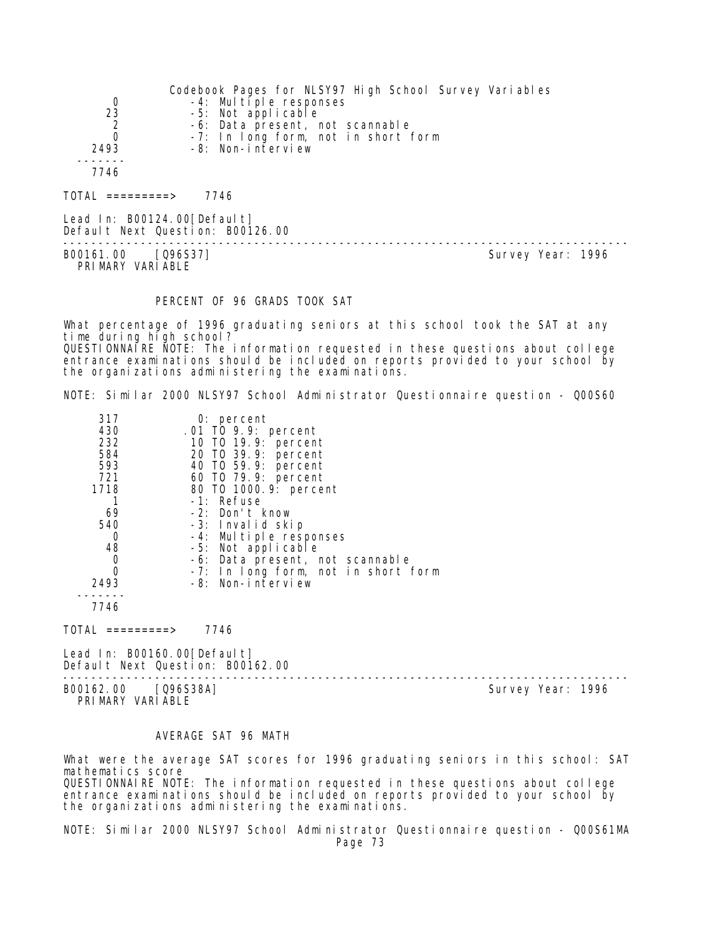|                                | Codebook Pages for NLSY97 High School Survey Variables |
|--------------------------------|--------------------------------------------------------|
| 0                              | -4: Multiple responses                                 |
| 23                             | -5: Not applicable                                     |
| $\overline{2}$                 | -6: Data present, not scannable                        |
|                                | -7: In long form, not in short form                    |
| 2493                           | -8: Non-interview                                      |
|                                |                                                        |
| 7746                           |                                                        |
|                                |                                                        |
| TOTAL<br>$=$ = = = = = = = = > | 7746                                                   |

Lead In: B00124.00 [Default] Default Next Question: B00126.00

-------------------------------------------------------------------------------- B00161.00 [Q96S37] PRIMARY VARIABLE

# PERCENT OF 96 GRADS TOOK SAT

What percentage of 1996 graduating seniors at this school took the SAT at any time during high school? QUESTIONNAIRE NOTE: The information requested in these questions about college entrance examinations should be included on reports provided to your school by the organizations administering the examinations.

NOTE: Similar 2000 NLSY97 School Administrator Questionnaire question - Q00S60

| 317<br>430<br>232<br>584<br>593<br>721<br>1718<br>69<br>540 | $0:$ percent<br>.01 TO 9.9: percent<br>10 T0 19.9: percent<br>20 T0 39.9: percent<br>40 T0 59.9: percent<br>60 T0 79.9: percent<br>80 T0 1000. 9: percent<br>-1: Refuse<br>-2: Don't know<br>-3: Invalid skip |
|-------------------------------------------------------------|---------------------------------------------------------------------------------------------------------------------------------------------------------------------------------------------------------------|
| 0                                                           | -4: Multiple responses                                                                                                                                                                                        |
| 48                                                          | -5: Not applicable                                                                                                                                                                                            |
| 0                                                           | -6: Data present, not scannable                                                                                                                                                                               |
| O                                                           | -7: In long form, not in short form                                                                                                                                                                           |
| 2493                                                        | -8: Non-interview                                                                                                                                                                                             |
| 7746                                                        |                                                                                                                                                                                                               |

TOTAL =========> 7746

Lead In: B00160.00[Default] Default Next Question: B00162.00

-------------------------------------------------------------------------------- PRI MARY VARI ABLE

Survey Year: 1996

### AVERAGE SAT 96 MATH

What were the average SAT scores for 1996 graduating seniors in this school: SAT mathematics score QUESTIONNAIRE NOTE: The information requested in these questions about college entrance examinations should be included on reports provided to your school by the organizations administering the examinations.

NOTE: Similar 2000 NLSY97 School Administrator Questionnaire question - Q00S61MA Page 73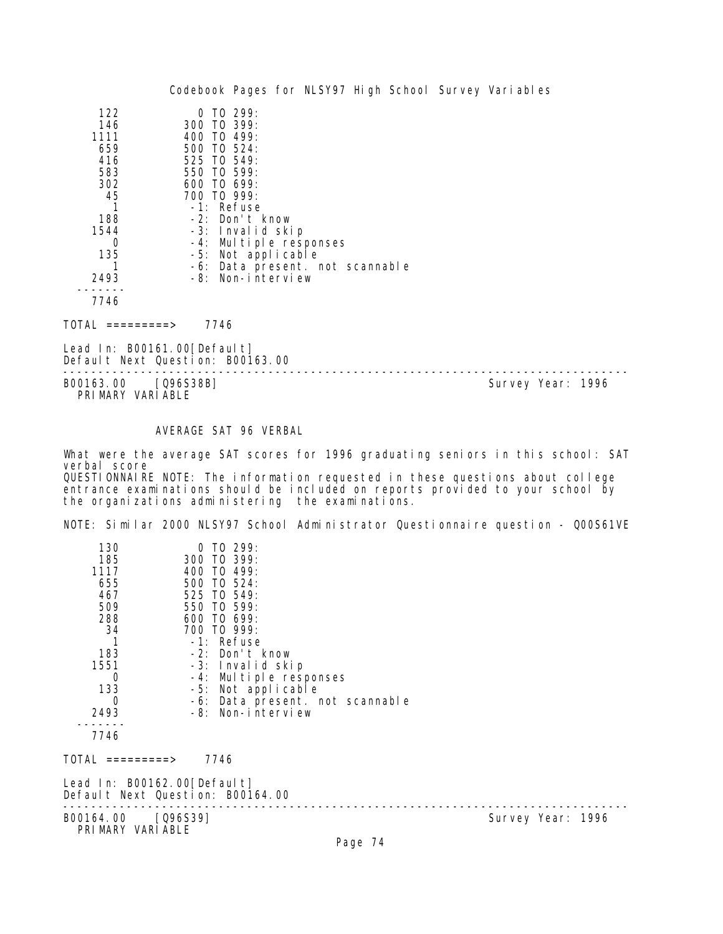|                                                                                         |                                                                                                                                      |                                                                                                                                                           |  |  | Codebook Pages for NLSY97 High School Survey Variables |
|-----------------------------------------------------------------------------------------|--------------------------------------------------------------------------------------------------------------------------------------|-----------------------------------------------------------------------------------------------------------------------------------------------------------|--|--|--------------------------------------------------------|
| 122<br>146<br>1111<br>659<br>416<br>583<br>302<br>45<br>188<br>1544<br>0<br>135<br>2493 | $\Omega$<br>300 TO 399:<br>400 TO<br>500 TO 524:<br>525 TO 549:<br>550 TO 599:<br>600 TO 699:<br>700 TO 999:<br>$-1$ : Refuse<br>-6: | TO 299:<br>499:<br>-2: Don't know<br>-3: Invalid skip<br>-4: Multiple responses<br>-5: Not applicable<br>Data present. not scannable<br>-8: Non-interview |  |  |                                                        |
| 7746                                                                                    |                                                                                                                                      |                                                                                                                                                           |  |  |                                                        |

TOTAL =========> 7746

Lead In: B00161.00[Default] Default Next Question: B00163.00

-------------------------------------------------------------------------------- PRIMARY VARIABLE

Survey Year: 1996

# AVERAGE SAT 96 VERBAL

What were the average SAT scores for 1996 graduating seniors in this school: SAT verbal score QUESTIONNAIRE NOTE: The information requested in these questions about college

entrance examinations should be included on reports provided to your school by the organizations administering the examinations.

NOTE: Similar 2000 NLSY97 School Administrator Questionnaire question - Q00S61VE

| 130<br>185<br>1117<br>655<br>467<br>509<br>288<br>34<br>$\mathbf{1}$<br>183<br>1551<br>0<br>133<br>0 | $0$ TO 299:<br>300 TO 399:<br>400 TO 499:<br>500 TO 524:<br>525 TO 549:<br>550 TO 599:<br>600 TO 699:<br>700 TO 999:<br>-1: Refuse<br>-2: Don't know<br>-3: Invalid skip<br>-4: Multiple responses<br>-5: Not applicable<br>-6: Data present. not scannable |                   |
|------------------------------------------------------------------------------------------------------|-------------------------------------------------------------------------------------------------------------------------------------------------------------------------------------------------------------------------------------------------------------|-------------------|
| 2493                                                                                                 | -8: Non-interview                                                                                                                                                                                                                                           |                   |
| 7746                                                                                                 |                                                                                                                                                                                                                                                             |                   |
| TOTAL =========>                                                                                     | 7746                                                                                                                                                                                                                                                        |                   |
| Lead In: B00162.00[Default]<br>Default Next Question: B00164.00                                      |                                                                                                                                                                                                                                                             |                   |
| B00164.00 [Q96S39]<br>PRIMARY VARIABLE                                                               | <b>D.</b> 74                                                                                                                                                                                                                                                | Survey Year: 1996 |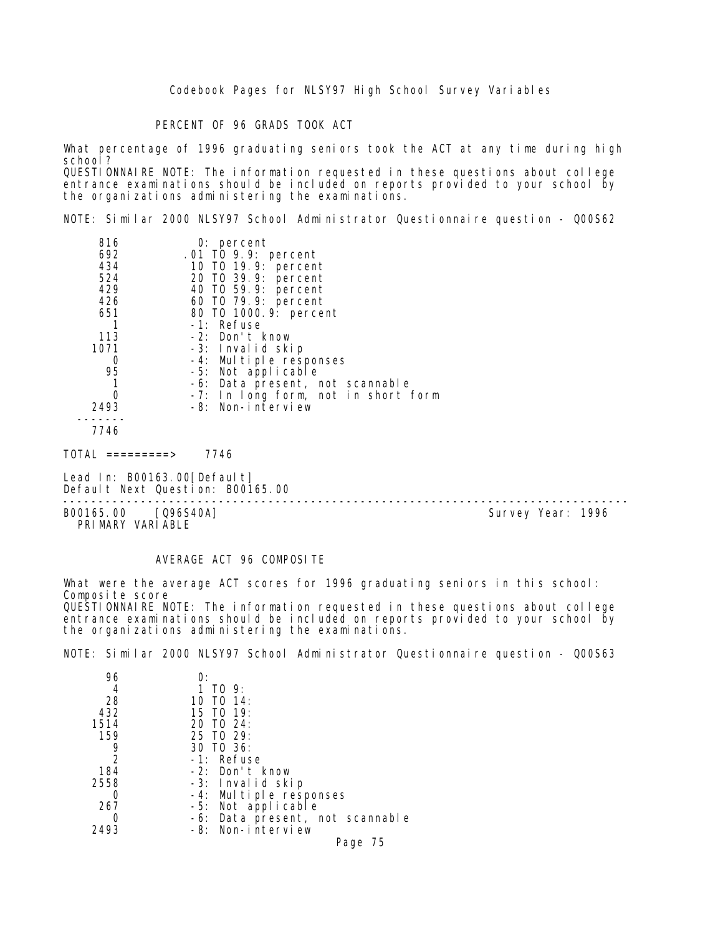Codebook Pages for NLSY97 High School Survey Variables

PERCENT OF 96 GRADS TOOK ACT

What percentage of 1996 graduating seniors took the ACT at any time during high school? QUESTIONNAIRE NOTE: The information requested in these questions about college entrance examinations should be included on reports provided to your school by the organizations administering the examinations.

NOTE: Similar 2000 NLSY97 School Administrator Questionnaire question - Q00S62

| 816  | $0:$ percent                        |  |
|------|-------------------------------------|--|
| 692  | .01 TO 9.9: percent                 |  |
| 434  | 10 T0 19.9: percent                 |  |
| 524  | 20 TO 39.9: percent                 |  |
| 429  | 40 TO 59.9: percent                 |  |
| 426  | 60 T0 79.9: percent                 |  |
| 651  | 80 T0 1000.9: percent               |  |
|      | -1: Refuse                          |  |
| 113  | -2: Don't know                      |  |
| 1071 | -3: Invalid skip                    |  |
| 0    | -4: Multiple responses              |  |
| 95   | -5: Not applicable                  |  |
|      | -6: Data present, not scannable     |  |
|      | -7: In long form, not in short form |  |
| 2493 | -8: Non-interview                   |  |
|      |                                     |  |
| 7746 |                                     |  |
| ---- | -- - -                              |  |

TOTAL =========> 7746

Lead In: B00163.00 [Default] Default Next Question: B00165.00

B00165.00 [Q96S40A] PRIMARY VARIABLE

--------------------------------------------------------------------------------

### AVERAGE ACT 96 COMPOSITE

the organizations administering the examinations.

What were the average ACT scores for 1996 graduating seniors in this school: Composite score QUESTIONNAIRE NOTE: The information requested in these questions about college entrance examinations should be included on reports provided to your school by

NOTE: Similar 2000 NLSY97 School Administrator Questionnaire question - Q00S63

| 96   |                                 |
|------|---------------------------------|
| 4    | 1 TO 9:                         |
| 28   | 10 TO $14$ :                    |
| 432  | 15 TO 19:                       |
| 1514 | 20 TO 24:                       |
| 159  | 25 TO 29:                       |
| 9    | 30 TO 36:                       |
| 2    | $-1$ : Refuse                   |
| 184  | $-2$ : Don't know               |
| 2558 | -3: Invalid skip                |
|      | -4: Multiple responses          |
| 267  | -5: Not applicable              |
|      | -6: Data present, not scannable |
| 2493 | -8: Non-interview               |
|      | Page 75                         |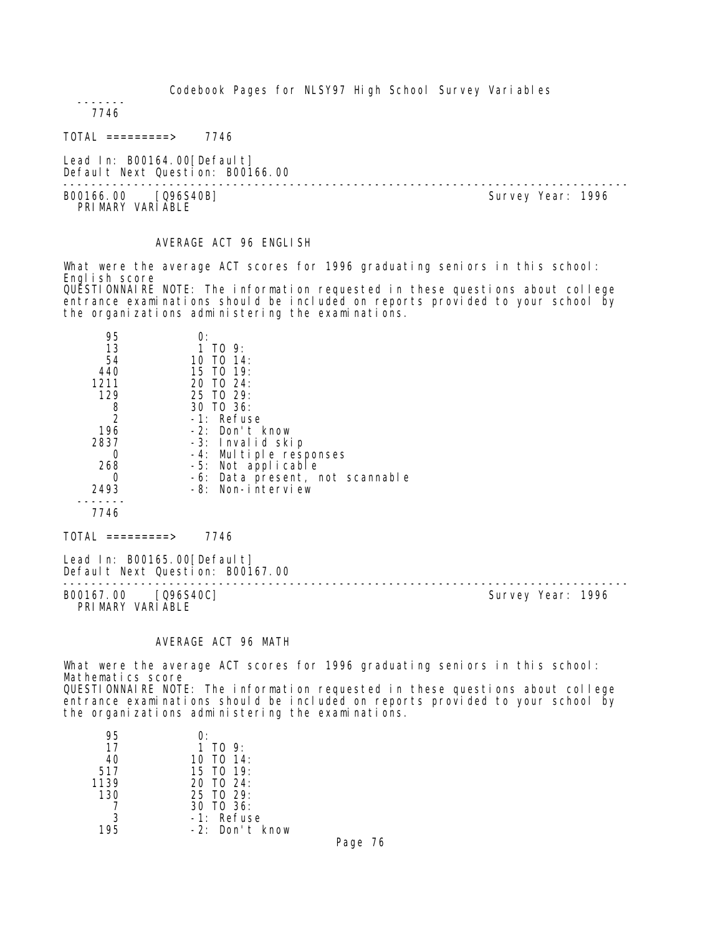Codebook Pages for NLSY97 High School Survey Variables

 ------- 7746

TOTAL =========> 7746

Lead In: B00164.00 [Default] Default Next Question: B00166.00

-------------------------------------------------------------------------------- B00166.00 [Q96S40B] PRIMARY VARIABLE

### AVERAGE ACT 96 ENGLISH

What were the average ACT scores for 1996 graduating seniors in this school: English score QUESTIONNAIRE NOTE: The information requested in these questions about college entrance examinations should be included on reports provided to your school by the organizations administering the examinations.

| 95   | O.                              |
|------|---------------------------------|
| 13   | 1 TO 9:                         |
| 54   | 10 TO 14:                       |
| 440  | 15 TO 19:                       |
| 1211 | $20$ TO $24$ :                  |
| 129  | $25$ TO $29$ :                  |
| 8    | 30 TO 36:                       |
| -2   | $-1$ : Refuse                   |
| 196  | $-2$ : Don't know               |
| 2837 | -3: Invalid skip                |
|      | -4: Multiple responses          |
| 268  | -5: Not applicable              |
| O    | -6: Data present, not scannable |
| 2493 | -8: Non-interview               |
|      |                                 |
| 7746 |                                 |
|      |                                 |

 $TOTAL$  ========> 7746

Lead In: B00165.00 [Default] Default Next Question: B00167.00

-------------------------------------------------------------------------------- B00167.00 [Q96S40C] PRIMARY VARIABLE

# AVERAGE ACT 96 MATH

What were the average ACT scores for 1996 graduating seniors in this school: Mathematics score QUESTIONNAIRE NOTE: The information requested in these questions about college entrance examinations should be included on reports provided to your school by the organizations administering the examinations.

| 95   | O:                |
|------|-------------------|
| 17   | 1 TO 9:           |
| 40   | 10 TO $14$ :      |
| 517  | 15 TO 19:         |
| 1139 | 20 TO 24:         |
| 130  | $25$ TO $29$ :    |
|      | 30 TO 36:         |
|      | $-1$ : Refuse     |
| 195  | $-2$ : Don't know |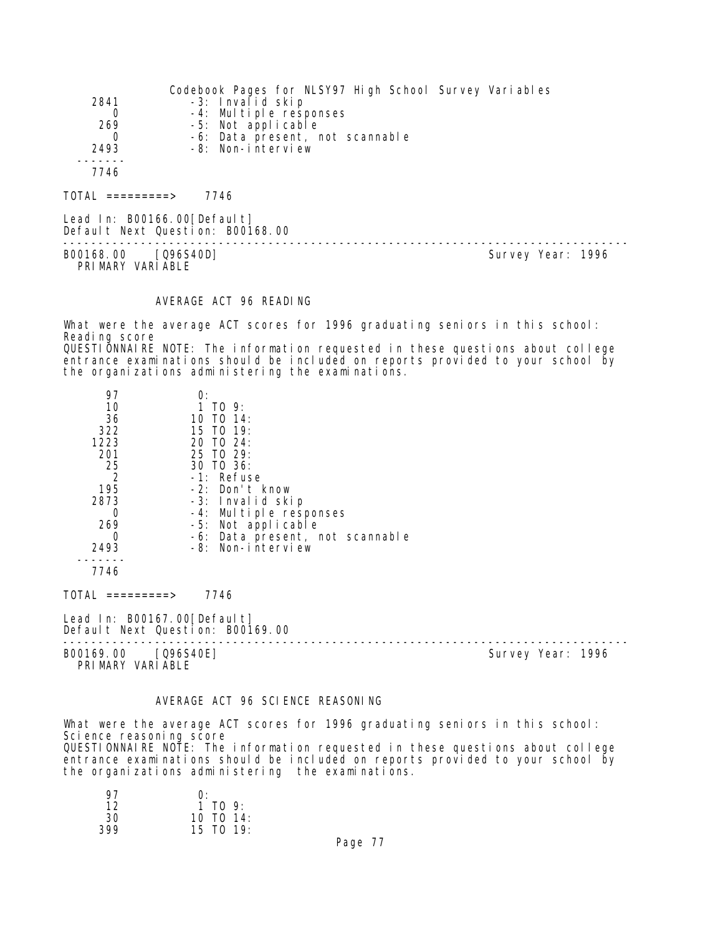| 2841<br>0<br>269<br>0<br>2493<br>7746 | Codebook Pages for NLSY97 High School Survey Variables<br>-3: Invalid skip<br>-4: Multiple responses<br>-5: Not applicable<br>-6: Data present, not scannable<br>-8: Non-interview |  |
|---------------------------------------|------------------------------------------------------------------------------------------------------------------------------------------------------------------------------------|--|
| TOTAI =========>                      | 7746                                                                                                                                                                               |  |

Lead In: B00166.00 [Default] Default Next Question: B00168.00

-------------------------------------------------------------------------------- B00168.00 [Q96S40D] PRIMARY VARIABLE

#### AVERAGE ACT 96 READING

What were the average ACT scores for 1996 graduating seniors in this school: Reading score QUESTIONNAIRE NOTE: The information requested in these questions about college entrance examinations should be included on reports provided to your school by the organizations administering the examinations.

| 97   | О:                              |
|------|---------------------------------|
| 10   | 1 TO 9:                         |
| 36   | 10 TO 14:                       |
| 322  | 15 TO 19:                       |
| 1223 | $20 \text{ T}0 \text{ }24:$     |
| 201  | 25 TO 29:                       |
| 25   | 30 TO 36:                       |
| 2    | -1: Refuse                      |
| 195  | -2: Don't know                  |
| 2873 | -3: Invalid skip                |
|      | -4: Multiple responses          |
| 269  | -5: Not applicable              |
|      | -6: Data present, not scannable |
| 2493 | -8: Non-interview               |
|      |                                 |
| 7746 |                                 |

TOTAL =========> 7746

Lead In: B00167.00 [Default] Default Next Question: B00169.00

B00169.00 [Q96S40E] Survey Year: 1996 PRIMARY VARIABLE

--------------------------------------------------------------------------------

### AVERAGE ACT 96 SCIENCE REASONING

What were the average ACT scores for 1996 graduating seniors in this school: Science reasoning score QUESTIONNAIRE NOTE: The information requested in these questions about college entrance examinations should be included on reports provided to your school by the organizations administering the examinations.

| 97  | O.           |
|-----|--------------|
| 12  | 1 TO 9:      |
| 30  | 10 TO $14$ : |
| 399 | 15 TO 19:    |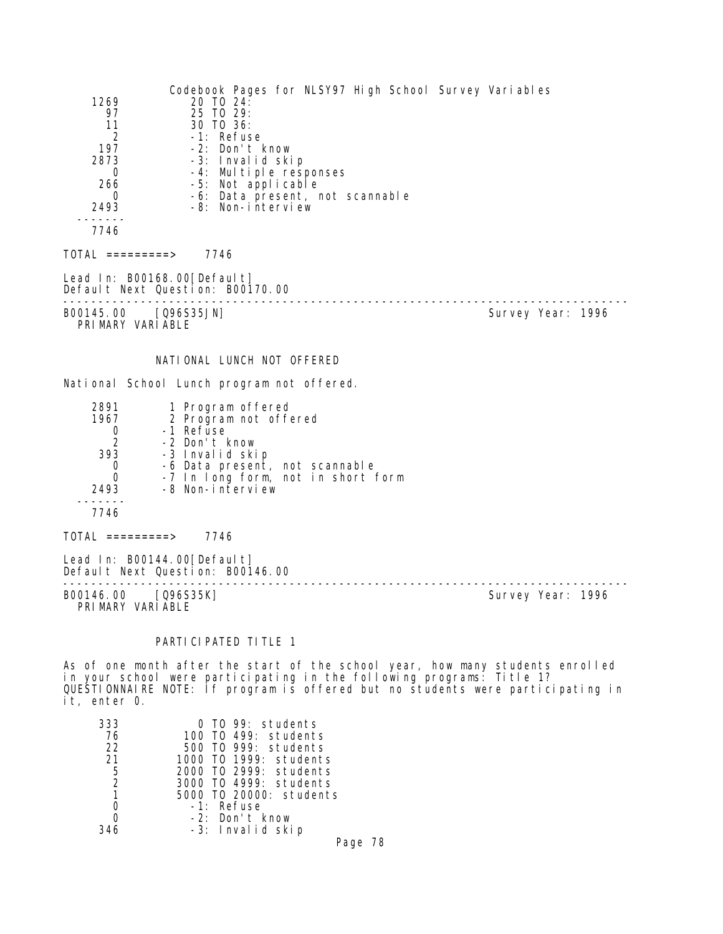| 1269<br>97<br>11<br>$\overline{2}$<br>197<br>2873<br>$\Omega$<br>266<br>0<br>2493<br>$\frac{1}{2}$<br>7746 | Codebook Pages for NLSY97 High School Survey Variables<br>20 TO 24:<br>25 TO 29:<br>30 TO 36:<br>-1: Refuse<br>-2: Don't know<br>-3: Invalid skip<br>-4: Multiple responses<br>-5: Not applicable<br>-6: Data present, not scannable<br>-8: Non-interview |                   |
|------------------------------------------------------------------------------------------------------------|-----------------------------------------------------------------------------------------------------------------------------------------------------------------------------------------------------------------------------------------------------------|-------------------|
| $TOTAL$ =========> 7746                                                                                    |                                                                                                                                                                                                                                                           |                   |
|                                                                                                            | Lead In: B00168.00 [Default]<br>Default Next Question: B00170.00                                                                                                                                                                                          |                   |
| B00145.00 [Q96S35JN]<br>PRIMARY VARIABLE                                                                   |                                                                                                                                                                                                                                                           | Survey Year: 1996 |
|                                                                                                            | NATIONAL LUNCH NOT OFFERED                                                                                                                                                                                                                                |                   |
|                                                                                                            | National School Lunch program not offered.                                                                                                                                                                                                                |                   |
| 2891<br>1967<br>0<br>$2^{\circ}$<br>393<br>0<br>$\Omega$<br>2493<br>7746                                   | 1 Program offered<br>2 Program not offered<br>-1 Refuse<br>-2 Don't know<br>-3 Invalid skip<br>-6 Data present, not scannable<br>-7 In long form, not in short form<br>-8 Non-interview                                                                   |                   |
| $\overline{10}TAL$ =========> 7746                                                                         |                                                                                                                                                                                                                                                           |                   |
|                                                                                                            | Lead In: B00144.00 [Default]<br>Default Next Question: B00146.00<br>--------------------------------                                                                                                                                                      |                   |
| B00146.00 [Q96S35K]<br>PRIMARY VARIABLE                                                                    |                                                                                                                                                                                                                                                           | Survey Year: 1996 |
|                                                                                                            | PARTI CI PATED TI TLE 1                                                                                                                                                                                                                                   |                   |
|                                                                                                            | As of one month after the start of the school year, how many students enrolled                                                                                                                                                                            |                   |

in your school were participating in the following programs: Title 1? QUESTIONNAIRE NOTE: If program is offered but no students were participating in it, enter 0.

| 333            | 0 TO 99: students       |
|----------------|-------------------------|
| 76             | 100 TO 499: students    |
| 22             | 500 T0 999: students    |
| 21             | 1000 T0 1999: students  |
| 5              | 2000 TO 2999: students  |
| $\overline{2}$ | 3000 T0 4999: students  |
|                | 5000 T0 20000: students |
|                | -1: Refuse              |
|                | $-2$ : Don't know       |
| 346            | -3: Invalid skip        |
|                | Page                    |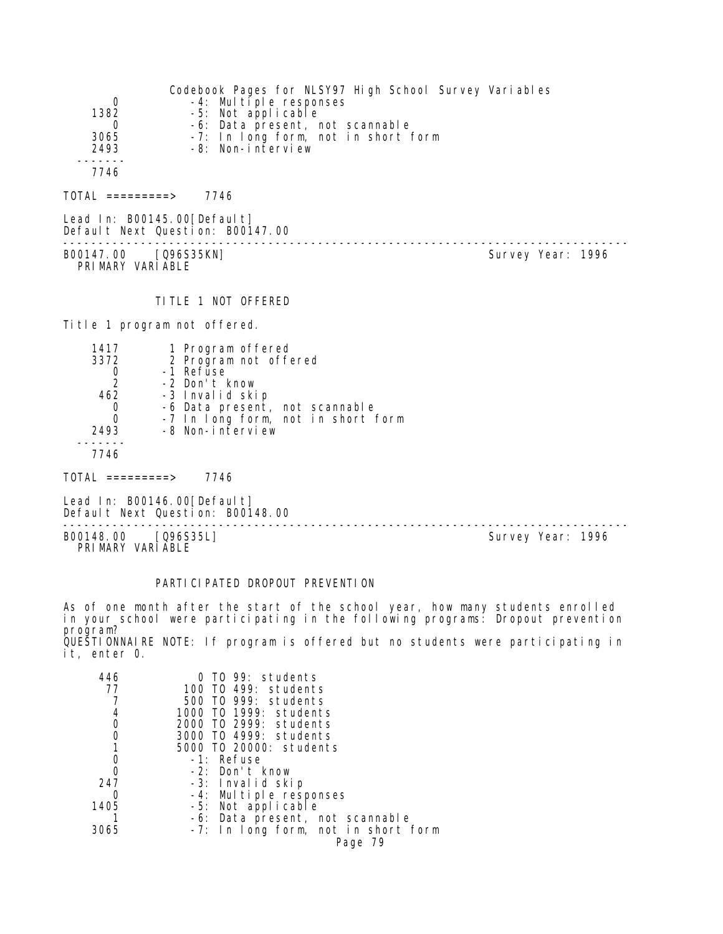| 0<br>1382<br>3065<br>2493<br>7746 | Codebook Pages for NLSY97 High School Survey Variables<br>-4: Multiple responses<br>-5: Not applicable<br>-6: Data present, not scannable<br>-7: In long form, not in short form<br>-8: Non-interview |  |
|-----------------------------------|-------------------------------------------------------------------------------------------------------------------------------------------------------------------------------------------------------|--|
| TOTAL =========>                  | 7746                                                                                                                                                                                                  |  |
| Lead In: B00145.00[Default]       | Default Next Question: B00147.00                                                                                                                                                                      |  |

B00147.00 [Q96S35KN] PRIMARY VARIABLE

--------------------------------------------------------------------------------

# TITLE 1 NOT OFFERED

Title 1 program not offered.

| 1417 | 1 Program offered                                      |
|------|--------------------------------------------------------|
| 3372 | 2 Program not offered                                  |
|      | -1 Refuse                                              |
| 2    | -2 Don't know                                          |
| 462  | -3 Invalid skip                                        |
|      | -6 Data present, not scannable                         |
| Ω    | -7 In long form, not in short form<br>-8 Non-interview |
| 2493 |                                                        |
|      |                                                        |
| 7746 |                                                        |

TOTAL =========> 7746

Lead In: B00146.00 [Default] Default Next Question: B00148.00

-------------------------------------------------------------------------------- B00148.00 [Q96S35L] Survey Year: 1996 PRIMARY VARIABLE

# PARTICIPATED DROPOUT PREVENTION

As of one month after the start of the school year, how many students enrolled in your school were participating in the following programs: Dropout prevention program? QUESTIONNAIRE NOTE: If program is offered but no students were participating in

it, enter 0.

| TO 99: students                     |
|-------------------------------------|
| 100 T0 499: students                |
| 500 TO 999: students                |
| 1000 T0 1999: students              |
| 2000 TO 2999: students              |
| 3000 TO 4999: students              |
| 5000 TO 20000: students             |
| -1: Refuse                          |
| -2: Don't know                      |
| -3: Invalid skip                    |
| -4: Multiple responses              |
| -5: Not applicable                  |
| -6: Data present, not scannable     |
| -7: In long form, not in short form |
| Page 79                             |
|                                     |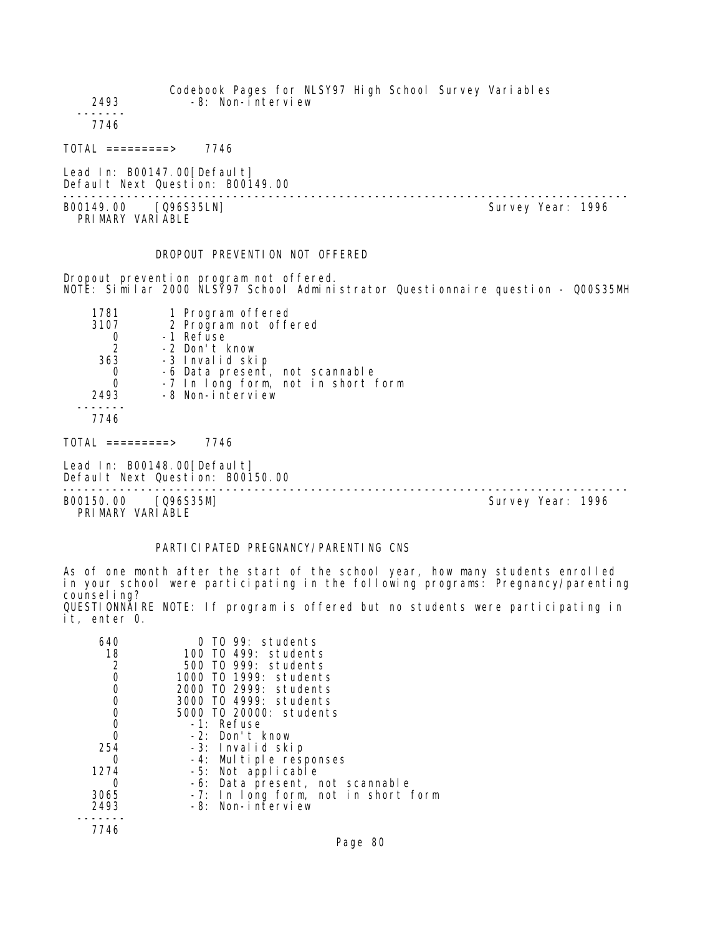| 2493<br>7746                  | Codebook Pages for NLSY97 High School Survey Variables<br>-8: Non-interview |  |                   |  |
|-------------------------------|-----------------------------------------------------------------------------|--|-------------------|--|
| $TOTAL$ ==========>           | 7746                                                                        |  |                   |  |
| Lead In: B00147.00 [Defaul t] | Default Next Question: B00149.00                                            |  |                   |  |
| B00149.00<br>PRIMARY VARIABLE | [Q96S35LN]                                                                  |  | Survey Year: 1996 |  |

# DROPOUT PREVENTION NOT OFFERED

Dropout prevention program not offered. NOTE: Similar 2000 NLSY97 School Administrator Questionnaire question - Q00S35MH

| 1781          | 1 Program offered                  |
|---------------|------------------------------------|
| 3107          | 2 Program not offered              |
|               | -1 Refuse                          |
| $\mathcal{P}$ | -2 Don't know                      |
| 363           | -3 Invalid skip                    |
| O             | -6 Data present, not scannable     |
|               | -7 In long form, not in short form |
| 2493          | -8 Non-interview                   |
|               |                                    |
|               |                                    |

7746

 $TOTAL$  =========> 7746

Lead In: B00148.00 [Default] Default Next Question: B00150.00

-------------------------------------------------------------------------------- B00150.00 [Q96S35M] PRIMARY VARIABLE

# PARTICIPATED PREGNANCY/PARENTING CNS

As of one month after the start of the school year, how many students enrolled in your school were participating in the following programs: Pregnancy/parenting counsel ing? QUESTIONNAIRE NOTE: If program is offered but no students were participating in it, enter 0.

| 640<br>18<br>2 | 0 TO 99: students<br>100 TO 499: students<br>500 TO 999: students |
|----------------|-------------------------------------------------------------------|
| 0              | 1000 T0 1999: students                                            |
| 0              | 2000 TO 2999: students                                            |
| 0              | 3000 T0 4999: students                                            |
| 0              | 5000 TO 20000: students                                           |
| 0              | -1: Refuse                                                        |
| 0              | $-2$ : Don't know                                                 |
| 254            | -3: Invalid skip                                                  |
|                | -4: Multiple responses                                            |
| 1274           | -5: Not applicable                                                |
|                | -6: Data present, not scannable                                   |
| 3065           | -7: In long form, not in short form                               |
| 2493           | -8: Non-interview                                                 |
|                |                                                                   |
| 7746           |                                                                   |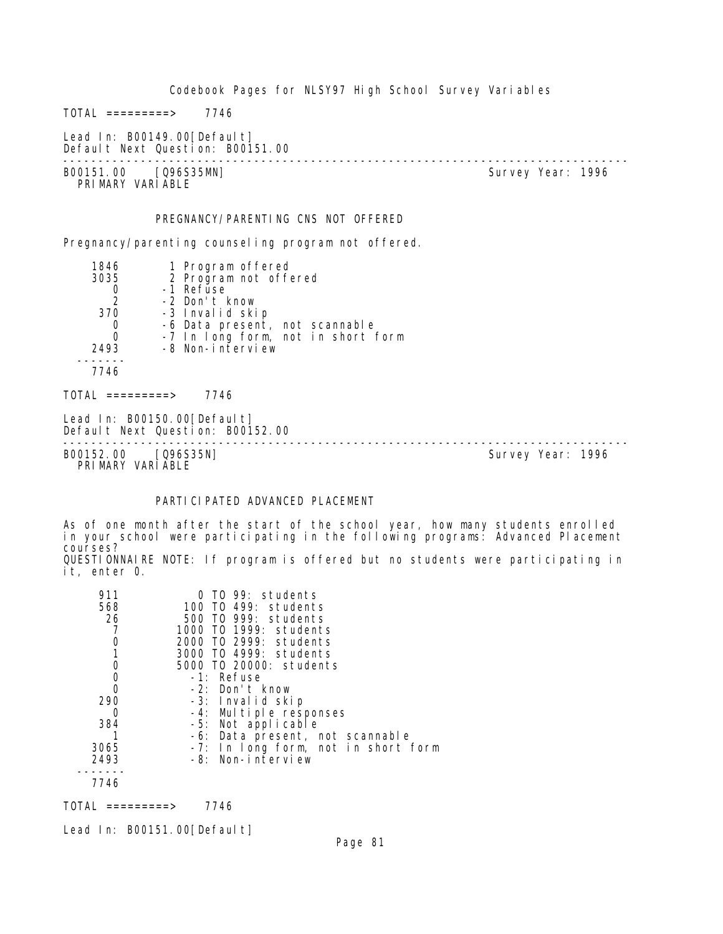Codebook Pages for NLSY97 High School Survey Variables  $TOTAL$  =========> 7746 Lead In: B00149.00[Default] Default Next Question: B00151.00 -------------------------------------------------------------------------------- Survey Year: 1996 PRIMARY VARIABLE PREGNANCY/PARENTING CNS NOT OFFERED Pregnancy/parenting counseling program not offered. 1846 1 Program offered<br>3035 2 Program not offe 3035 2 Program not offered 0 -1 Refuse 2 -2 Don't know 370 -3 Invalid skip 0 -6 Data present, not scannable 0 -7 In long form, not in short form 2493 -8 Non-interview ------- 7746  $TOTAL$  =========> 7746 Lead In: B00150.00 [Default] Default Next Question: B00152.00 -------------------------------------------------------------------------------- B00152.00 [Q96S35N] PRIMARY VARIABLE

# PARTICI PATED ADVANCED PLACEMENT

As of one month after the start of the school year, how many students enrolled in your school were participating in the following programs: Advanced Placement courses?

QUESTIONNAIRE NOTE: If program is offered but no students were participating in it, enter 0.

| 911  | TO 99: students                     |
|------|-------------------------------------|
| 568  | 100 TO 499: students                |
| 26   | 500 T0 999: students                |
|      | 1000 T0 1999: students              |
|      | 2000 TO 2999: students              |
|      | 3000 TO 4999: students              |
| 0    | 5000 TO 20000: students             |
| 0    | -1: Refuse                          |
| 0    | $-2$ : Don't know                   |
| 290  | -3: Invalid skip                    |
| Ω    | -4: Multiple responses              |
| 384  | -5: Not applicable                  |
|      | -6: Data present, not scannable     |
| 3065 | -7: In long form, not in short form |
| 2493 | -8: Non-interview                   |
|      |                                     |
| 7746 |                                     |

 $TOTAL$  ========> 7746

Lead In: B00151.00 [Default]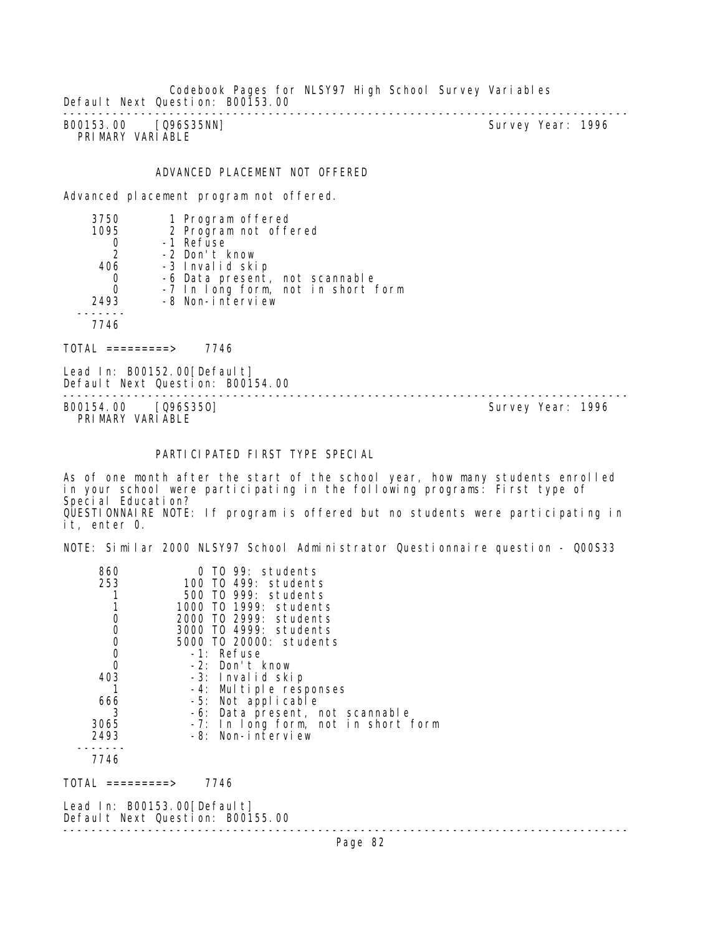Codebook Pages for NLSY97 High School Survey Variables Default Next Question: B00153.00 --------------------------------------------------------------------------------

B00153.00 [Q96S35NN] PRIMARY VARIABLE

## ADVANCED PLACEMENT NOT OFFERED

Advanced placement program not offered.

| 3750          | 1 Program offered                  |
|---------------|------------------------------------|
| 1095          | 2 Program not offered              |
|               | -1 Refuse                          |
| $\mathcal{P}$ | -2 Don't know                      |
| 406           | -3 Invalid skip                    |
| 0             | -6 Data present, not scannable     |
|               | -7 In long form, not in short form |
| 2493          | -8 Non-interview                   |
|               |                                    |
| 7746          |                                    |
|               |                                    |

TOTAL =========> 7746

Lead In: B00152.00 [Default] Default Next Question: B00154.00

B00154.00 [Q96S350] PRIMARY VARIABLE

--------------------------------------------------------------------------------

# PARTICIPATED FIRST TYPE SPECIAL

As of one month after the start of the school year, how many students enrolled in your school were participating in the following programs: First type of Special Education? QUESTIONNAIRE NOTE: If program is offered but no students were participating in it, enter 0.

NOTE: Similar 2000 NLSY97 School Administrator Questionnaire question - Q00S33

| 860  | TO 99: students                     |
|------|-------------------------------------|
| 253  | 100 TO 499: students                |
|      | 500 TO 999: students                |
|      | 1000 T0 1999: students              |
|      | 2000 TO 2999: students              |
|      | 3000 TO 4999: students              |
| 0    | 5000 TO 20000: students             |
| 0    | -1: Refuse                          |
| 0    | -2: Don't know                      |
| 403  | -3: Invalid skip                    |
|      | -4: Multiple responses              |
| 666  | -5: Not applicable                  |
| 3    | -6: Data present, not scannable     |
| 3065 | -7: In long form, not in short form |
| 2493 | -8: Non-interview                   |
|      |                                     |
| 7711 |                                     |

7746

TOTAL =========> 7746

Lead In: B00153.00 [Default] Default Next Question: B00155.00 --------------------------------------------------------------------------------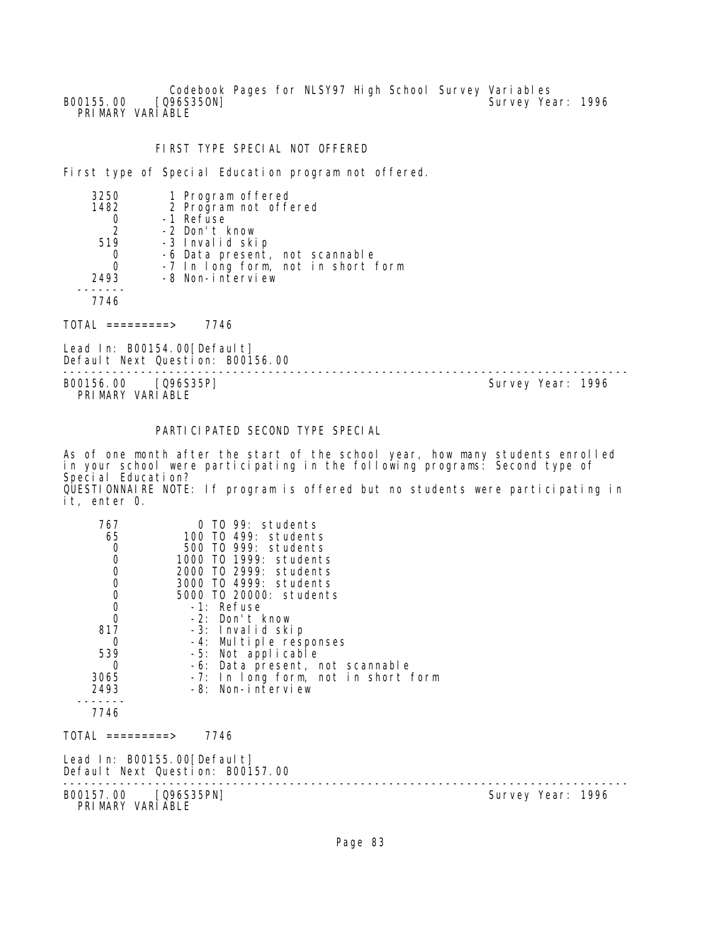Codebook Pages for NLSY97 High School Survey Variables<br>[Q96S350N] Survey Yea B00155.00 [Q96S350N] Survey Year: 1996 PRIMARY VARIABLE

## FIRST TYPE SPECIAL NOT OFFERED

First type of Special Education program not offered.

| -6 Data present, not scannable     |
|------------------------------------|
| -7 In long form, not in short form |
|                                    |
|                                    |
|                                    |
|                                    |

TOTAL =========> 7746

Lead In: B00154.00[Default] Default Next Question: B00156.00

-------------------------------------------------------------------------------- PRIMARY VARIABLE

Survey Year: 1996

# PARTICIPATED SECOND TYPE SPECIAL

As of one month after the start of the school year, how many students enrolled in your school were participating in the following programs: Second type of Special Education? QUESTIONNAIRE NOTE: If program is offered but no students were participating in it, enter 0.

| 767<br>65<br>000000<br>817<br>$\Omega$<br>539<br>$\Omega$<br>3065<br>2493<br>7746 | $0$ TO 99: students<br>100 TO 499: students<br>500 TO 999: students<br>1000 TO 1999: students<br>2000 TO 2999: students<br>3000 T0 4999: students<br>5000 TO 20000: students<br>-1: Refuse<br>-2: Don't know<br>-3: Invalid skip<br>-4: Multiple responses<br>-5: Not applicable<br>-6: Data present, not scannable<br>-7: In long form, not in short form<br>-8: Non-interview |                   |
|-----------------------------------------------------------------------------------|---------------------------------------------------------------------------------------------------------------------------------------------------------------------------------------------------------------------------------------------------------------------------------------------------------------------------------------------------------------------------------|-------------------|
| TOTAL =========>                                                                  | 7746                                                                                                                                                                                                                                                                                                                                                                            |                   |
|                                                                                   | Lead In: B00155.00[Default]<br>Default Next Question: B00157.00                                                                                                                                                                                                                                                                                                                 |                   |
| B00157.00 [Q96S35PN]<br>PRIMARY VARIABLE                                          |                                                                                                                                                                                                                                                                                                                                                                                 | Survey Year: 1996 |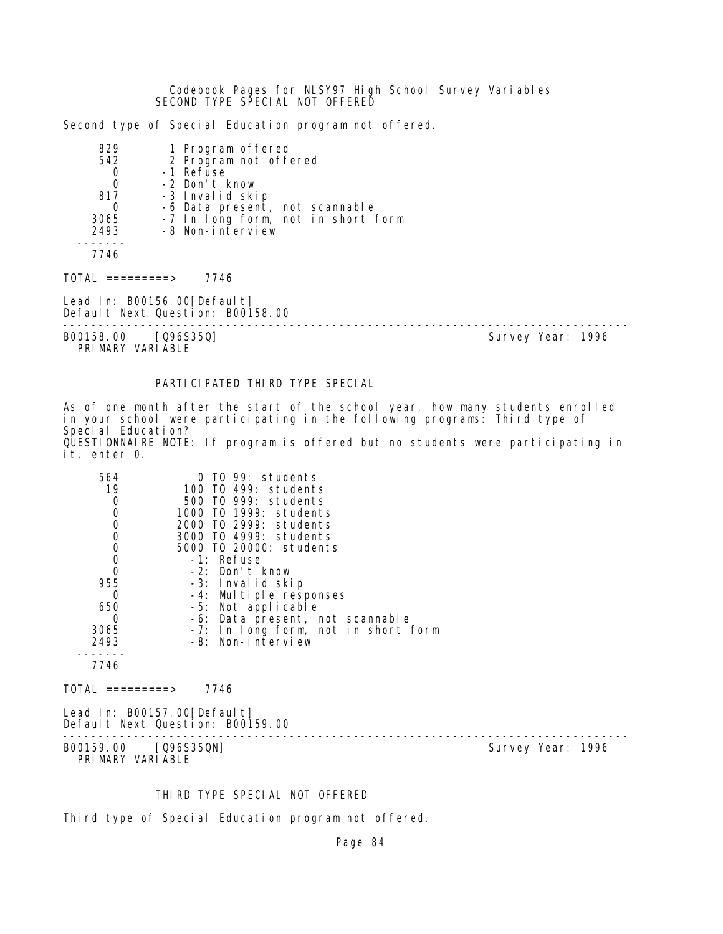Codebook Pages for NLSY97 High School Survey Variables SECOND TYPE SPECIAL NOT OFFERED

Second type of Special Education program not offered.

| 829<br>542<br>0<br>$\overline{0}$<br>817<br>0 | 1 Program offered<br>2 Program not offered<br>-1 Refuse<br>-2 Don't know<br>-3 Invalid skip<br>-6 Data present, not scannable |                   |  |
|-----------------------------------------------|-------------------------------------------------------------------------------------------------------------------------------|-------------------|--|
| 3065<br>2493<br>7746                          | -7 In long form, not in short form<br>-8 Non-interview                                                                        |                   |  |
| TOTAI =========>                              | 7746                                                                                                                          |                   |  |
|                                               | Lead In: B00156.00[Default]<br>Default Next Question: B00158.00                                                               |                   |  |
| B00158.00 [Q96S35Q]<br>PRIMARY VARIABLE       |                                                                                                                               | Survey Year: 1996 |  |

# PARTICIPATED THIRD TYPE SPECIAL

As of one month after the start of the school year, how many students enrolled in your school were participating in the following programs: Third type of Special Education? QUESTIONNAIRE NOTE: If program is offered but no students were participating in it, enter 0.

| 564<br>19<br>0<br>0<br>$\mathbf 0$<br>$\mathbf 0$<br>$\mathbf 0$<br>$\mathbf 0$<br>0<br>955<br>0<br>650<br>0<br>3065<br>2493<br>7746 | 0 TO 99: students<br>100 TO 499: students<br>500 TO 999: students<br>1000 TO 1999: students<br>2000 TO 2999: students<br>3000 TO 4999: students<br>5000 TO 20000: students<br>-1: Refuse<br>-2: Don't know<br>-3: Invalid skip<br>-4: Multiple responses<br>-5: Not applicable<br>-6: Data present, not scannable<br>-7: In long form, not in short form<br>-8: Non-interview |  |  |
|--------------------------------------------------------------------------------------------------------------------------------------|-------------------------------------------------------------------------------------------------------------------------------------------------------------------------------------------------------------------------------------------------------------------------------------------------------------------------------------------------------------------------------|--|--|
| $TOTAL$ ==========>                                                                                                                  | 7746                                                                                                                                                                                                                                                                                                                                                                          |  |  |
| Lead In: B00157.00 [Default]                                                                                                         |                                                                                                                                                                                                                                                                                                                                                                               |  |  |
|                                                                                                                                      | Default Next Question: B00159.00                                                                                                                                                                                                                                                                                                                                              |  |  |

-------------------------------------------------------------------------------- B00159.00 [Q96S35QN]

PRIMARY VARIABLE

## THIRD TYPE SPECIAL NOT OFFERED

Third type of Special Education program not offered.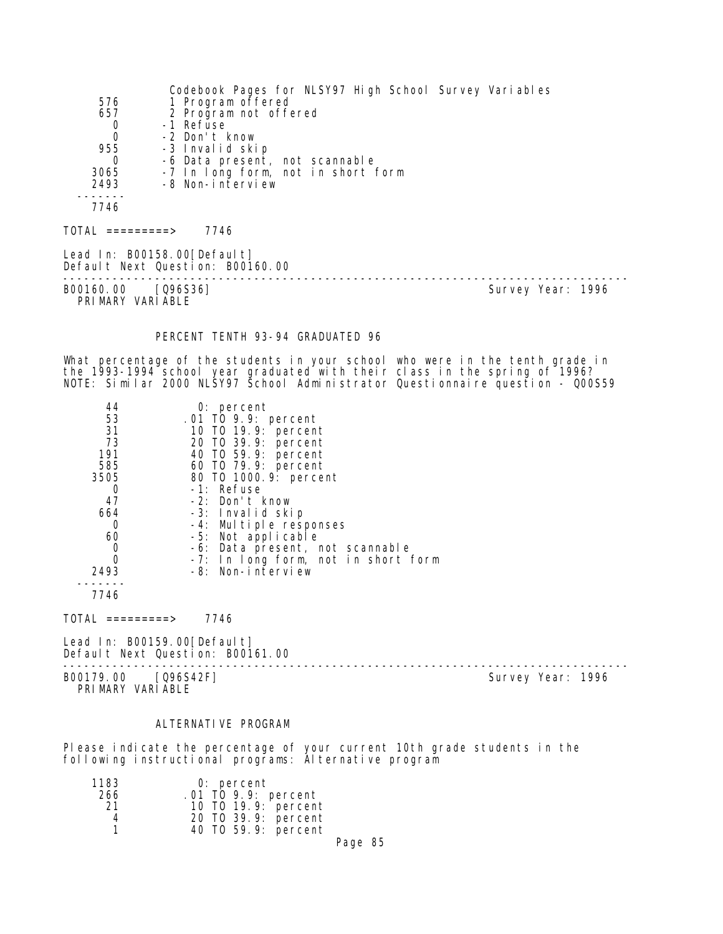Codebook Pages for NLSY97 High School Survey Variables 576 1 Program offered 657 2 Program not offered 0 -1 Refuse 0 -2 Don't know 55 -3 Invalid skip<br>0 -6 Data present 0 -6 Data present, not scannable 3065 -7 In long form, not in short form 2493 -8 Non-interview ------- 7746  $TOTAL$  ========> 7746 Lead In: B00158.00 [Default] Default Next Question: B00160.00 --------------------------------------------------------------------------------

B00160.00 [Q96S36] PRIMARY VARIABLE

#### PERCENT TENTH 93-94 GRADUATED 96

What percentage of the students in your school who were in the tenth grade in the 1993-1994 school year graduated with their class in the spring of 1996? NOTE: Similar 2000 NLSY97 School Administrator Questionnaire question - Q00S59

| 44       | $0:$ percent                        |
|----------|-------------------------------------|
| 53       | .01 TO 9.9: percent                 |
| 31       | 10 T0 19.9: percent                 |
| 73       | 20 T0 39.9: percent                 |
| 191      | 40 T0 59.9: percent                 |
| 585      | 60 T0 79.9: percent                 |
| 3505     | 80 T0 1000. 9: percent              |
|          | -1: Refuse                          |
| 47       | -2: Don't know                      |
| 664      | -3: Invalid skip                    |
| 0        | -4: Multiple responses              |
| 60       | -5: Not applicable                  |
| 0        | -6: Data present, not scannable     |
| $\Omega$ | -7: In long form, not in short form |
| 2493     | -8: Non-interview                   |
|          |                                     |

7746

 $TOTAL$  ========> 7746

Lead In: B00159.00 [Default] Default Next Question: B00161.00

B00179.00 [Q96S42F] PRIMARY VARIABLE

--------------------------------------------------------------------------------

#### ALTERNATI VE PROGRAM

Please indicate the percentage of your current 10th grade students in the following instructional programs: Alternative program

| 1183 | $0:$ percent        |  |
|------|---------------------|--|
| 266  | .01 TO 9.9: percent |  |
| -21  | 10 T0 19.9: percent |  |
| 4    | 20 T0 39.9: percent |  |
| 1    | 40 TO 59.9: percent |  |
|      | $\sim$ $\sim$       |  |

Page 85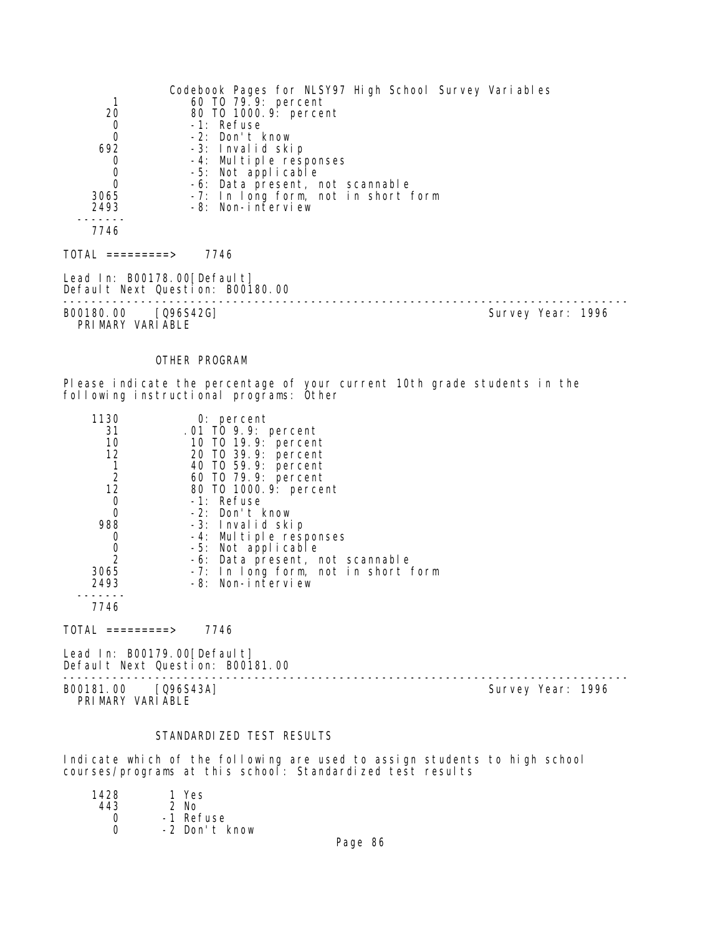|                                  | Codebook Pages for NLSY97 High School Survey Variables |                   |
|----------------------------------|--------------------------------------------------------|-------------------|
|                                  | 60 TO 79.9: percent                                    |                   |
| 20                               | 80 TO 1000. 9: percent                                 |                   |
| $\begin{matrix}0\\0\end{matrix}$ | -1: Refuse                                             |                   |
|                                  | -2: Don't know                                         |                   |
| 692                              | -3: Invalid skip                                       |                   |
| 0                                | -4: Multiple responses                                 |                   |
|                                  | -5: Not applicable                                     |                   |
| $\begin{matrix}0\\0\end{matrix}$ | -6: Data present, not scannable                        |                   |
| 3065                             | -7: In long form, not in short form                    |                   |
| 2493                             | -8: Non-interview                                      |                   |
|                                  |                                                        |                   |
| 7746                             |                                                        |                   |
|                                  |                                                        |                   |
| TOTAL =========>                 | 7746                                                   |                   |
| Lead In: B00178.00[Default]      | Default Next Question: B00180.00                       |                   |
|                                  |                                                        |                   |
| B00180.00 [Q96S42G]              |                                                        | Survey Year: 1996 |
| PRIMARY VARIABLE                 |                                                        |                   |
|                                  |                                                        |                   |
|                                  |                                                        |                   |

# OTHER PROGRAM

Please indicate the percentage of your current 10th grade students in the following instructional programs: Other

| 1130           | $0:$ percent                        |
|----------------|-------------------------------------|
| 31             | .01 TO 9.9: percent                 |
| 10             | 10 T0 19.9: percent                 |
| 12             | 20 TO 39.9: percent                 |
|                | 40 T0 59.9: percent                 |
| $\overline{2}$ | 60 T0 79.9: percent                 |
| 12             | 80 T0 1000.9: percent               |
| 0              | -1: Refuse                          |
| 0              | -2: Don't know                      |
| 988            | -3: Invalid skip                    |
|                | -4: Multiple responses              |
| 0              | -5: Not applicable                  |
| $\overline{2}$ | -6: Data present, not scannable     |
| 3065           | -7: In long form, not in short form |
| 2493           | -8: Non-interview                   |
|                |                                     |
| 7746           |                                     |

 $TOTAL$  ========> 7746

Lead In: B00179.00[Default] Default Next Question: B00181.00

-------------------------------------------------------------------------------- B00181.00 [Q96S43A] Survey Year: 1996 PRIMARY VARIABLE

# STANDARDIZED TEST RESULTS

Indicate which of the following are used to assign students to high school courses/programs at this school: Standardized test results

| 1428 | 1 Yes         |
|------|---------------|
| 443  | $2$ No        |
| Ω    | -1 Refuse     |
| U    | -2 Don't know |
|      |               |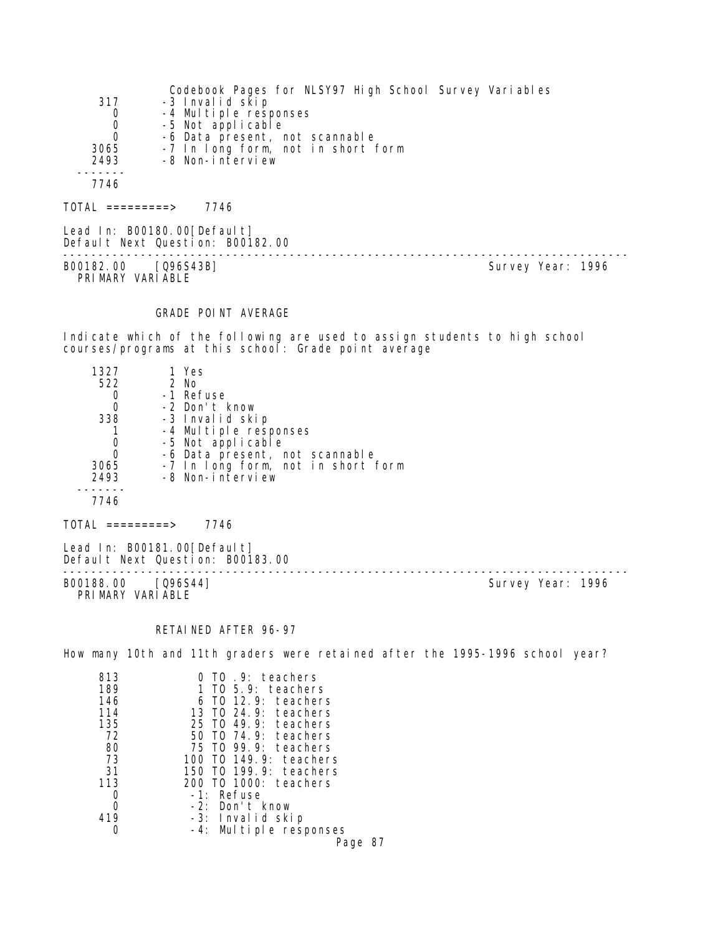|                | Codebook Pages for NLSY97 High School Survey Variables |
|----------------|--------------------------------------------------------|
| 317            | -3 Invalid skip                                        |
| 0              | -4 Multiple responses                                  |
| $\overline{0}$ | -5 Not applicable                                      |
| $\Omega$       | -6 Data present, not scannable                         |
| 3065           | -7 In long form, not in short form                     |
| 2493           | -8 Non-interview                                       |
|                |                                                        |
| 7746           |                                                        |
|                |                                                        |

 $TOTAL$  ========> 7746

Lead In: B00180.00[Default] Default Next Question: B00182.00 -------------------------------------------------------------------------------- B00182.00 [Q96S43B] Survey Year: 1996 PRIMARY VARIABLE

# GRADE POINT AVERAGE

Indicate which of the following are used to assign students to high school courses/programs at this school: Grade point average

| 1327 | 1 Yes                              |
|------|------------------------------------|
| 522  | 2 No                               |
|      | -1 Refuse                          |
|      | -2 Don't know                      |
| 338  | -3 Invalid skip                    |
|      | -4 Multiple responses              |
|      | -5 Not applicable                  |
|      | -6 Data present, not scannable     |
| 3065 | -7 In long form, not in short form |
| 2493 | -8 Non-interview                   |
|      |                                    |
| 7746 |                                    |

TOTAL =========> 7746

Lead In: B00181.00[Default] Default Next Question: B00183.00

B00188.00 [Q96S44] PRI MARY VARI ABLE

--------------------------------------------------------------------------------

# RETAINED AFTER 96-97

How many 10th and 11th graders were retained after the 1995-1996 school year?

| 813 | 0 TO .9: teachers          |
|-----|----------------------------|
| 189 | $T0$ 5.9: teachers         |
| 146 | 6 T0 12.9: teachers        |
| 114 | TO 24.9: teachers<br>13    |
| 135 | 25 TO 49.9: teachers       |
| 72  | 50 TO 74.9: teachers       |
| 80  | 75 TO 99.9: teachers       |
| 73  | TO 149.9: teachers<br>100. |
| 31  | 150 TO 199.9: teachers     |
| 113 | 200 TO 1000: teachers      |
|     | -1: Refuse                 |
| Ω   | -2: Don't know             |
| 419 | -3: Invalid skip           |
|     | -4: Multiple responses     |
|     | Page 87                    |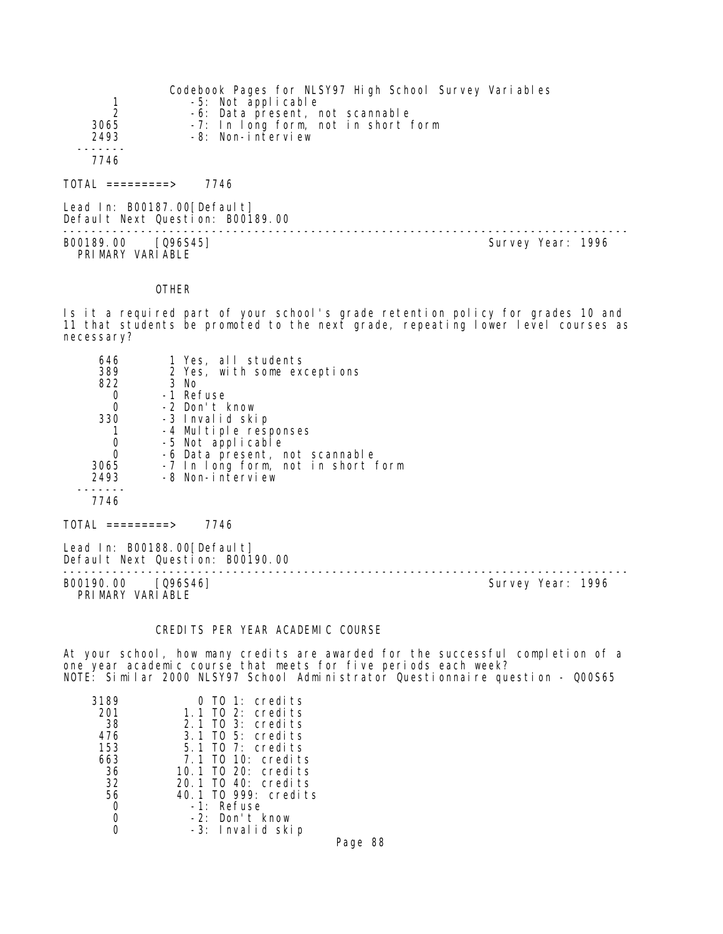|                  | Codebook Pages for NLSY97 High School Survey Variables |
|------------------|--------------------------------------------------------|
|                  | -5: Not applicable                                     |
|                  | -6: Data present, not scannable                        |
| 3065             | -7: In long form, not in short form                    |
| 2493             | -8: Non-interview                                      |
|                  |                                                        |
| 7746             |                                                        |
|                  |                                                        |
| TOTAL =========> | 7746                                                   |
|                  |                                                        |

Lead In: B00187.00[Default] Default Next Question: B00189.00 -------------------------------------------------------------------------------- B00189.00 [Q96S45] Survey Year: 1996 PRIMARY VARIABLE

#### **OTHER**

Is it a required part of your school's grade retention policy for grades 10 and 11 that students be promoted to the next grade, repeating lower level courses as necessary?

| 646      | 1 Yes, all students                |  |
|----------|------------------------------------|--|
| 389      | 2 Yes, with some exceptions        |  |
| 822      | 3 No                               |  |
| 0        | -1 Refuse                          |  |
| 0        | -2 Don't know                      |  |
| 330      | -3 Invalid skip                    |  |
|          | -4 Multiple responses              |  |
| 0        | -5 Not applicable                  |  |
| $\Omega$ | -6 Data present, not scannable     |  |
| 3065     | -7 In long form, not in short form |  |
| 2493     | -8 Non-interview                   |  |
|          |                                    |  |
| 7746     |                                    |  |
| TOTAL    | 7746<br>$=$ ========>              |  |

Lead In: B00188.00[Default] Default Next Question: B00190.00

B00190.00 [Q96S46] PRIMARY VARIABLE

--------------------------------------------------------------------------------

# CREDITS PER YEAR ACADEMIC COURSE

At your school, how many credits are awarded for the successful completion of a one year academic course that meets for five periods each week? NOTE: Similar 2000 NLSY97 School Administrator Questionnaire question - Q00S65

| 3189 | 0 TO 1: credits      |
|------|----------------------|
| 201  | 1.1 TO 2: credits    |
| -38  | $2.1$ TO 3: credits  |
| 476  | $3.1$ TO 5: credits  |
| 153  | $5.1$ TO 7: credits  |
| 663  | 7.1 TO 10: credits   |
| 36   | 10.1 TO 20: credits  |
| 32   | 20.1 TO 40: credits  |
| 56   | 40.1 TO 999: credits |
| O    | -1: Refuse           |
|      | -2: Don't know       |
|      | -3: Invalid skip     |

Page 88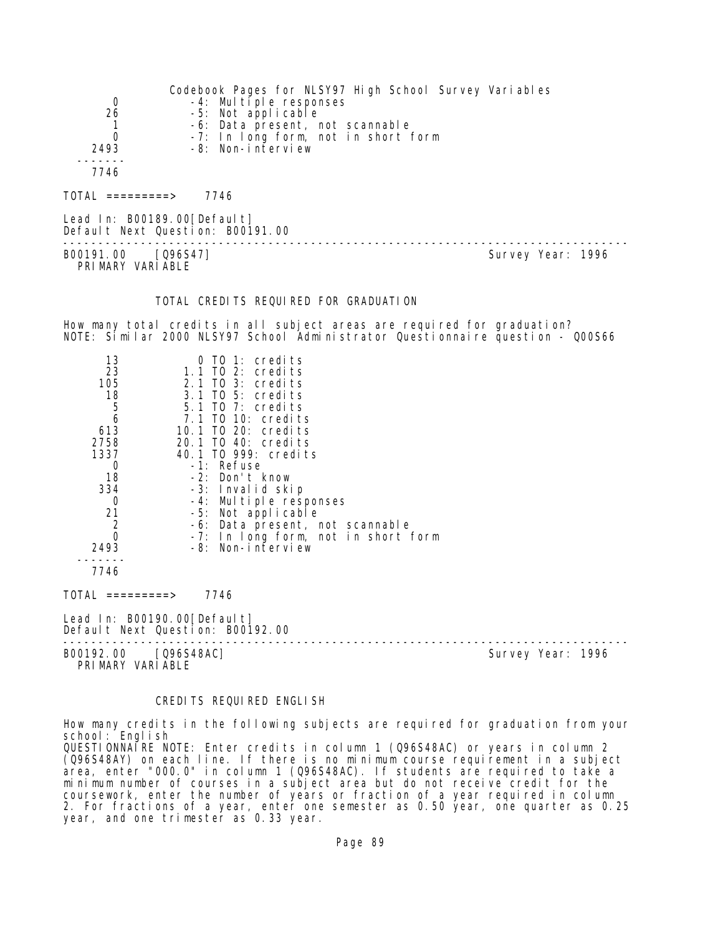| 0<br>26<br>0<br>2493<br>7746 | Codebook Pages for NLSY97 High School Survey Variables<br>$-4$ : Multiple responses<br>-5: Not applicable<br>-6: Data present, not scannable<br>-7: In long form, not in short form<br>-8: Non-interview |
|------------------------------|----------------------------------------------------------------------------------------------------------------------------------------------------------------------------------------------------------|
| $TOTAL$ ==========>          | 7746                                                                                                                                                                                                     |
|                              |                                                                                                                                                                                                          |

Lead In: B00189.00 [Default] Default Next Question: B00191.00

-------------------------------------------------------------------------------- B00191.00 [Q96S47] PRIMARY VARIABLE

### TOTAL CREDITS REQUIRED FOR GRADUATION

How many total credits in all subject areas are required for graduation? NOTE: Similar 2000 NLSY97 School Administrator Questionnaire question - Q00S66

| 13<br>23       | $0$ TO 1: credits<br>$1.1$ TO 2: credits |
|----------------|------------------------------------------|
| 105            | $2.1$ TO 3: credits                      |
| 18             | $3.1$ TO 5: credits                      |
| 5              | 5.1 TO 7: credits                        |
| 6              | 7.1 TO 10: credits                       |
| 613            | 10.1 TO 20: credits                      |
| 2758           | 20.1 TO 40: credits                      |
| 1337           | 40.1 TO 999: credits                     |
| 0              | $-1$ : Refuse                            |
| 18             | $-2$ : Don't know                        |
| 334            | -3: Invalid skip                         |
| 0              | -4: Multiple responses                   |
| 21             | -5: Not applicable                       |
| $\overline{2}$ | -6: Data present, not scannable          |
| $\Omega$       | -7: In long form, not in short form      |
| 2493           | $-8$ : Non-interview                     |
|                |                                          |
| 7746           |                                          |
|                |                                          |

TOTAL =========> 7746

Lead In: B00190.00 [Default] Default Next Question: B00192.00

B00192.00 [Q96S48AC] Survey Year: 1996 PRIMARY VARIABLE

--------------------------------------------------------------------------------

## CREDITS REQUIRED ENGLISH

How many credits in the following subjects are required for graduation from your school: English QUESTIONNAIRE NOTE: Enter credits in column 1 (Q96S48AC) or years in column 2 (Q96S48AY) on each line. If there is no minimum course requirement in a subject area, enter "000.0" in column 1 (Q96S48AC). If students are required to take a minimum number of courses in a subject area but do not receive credit for the coursework, enter the number of years or fraction of a year required in column 2. For fractions of a year, enter one semester as 0.50 year, one quarter as 0.25 year, and one trimester as 0.33 year.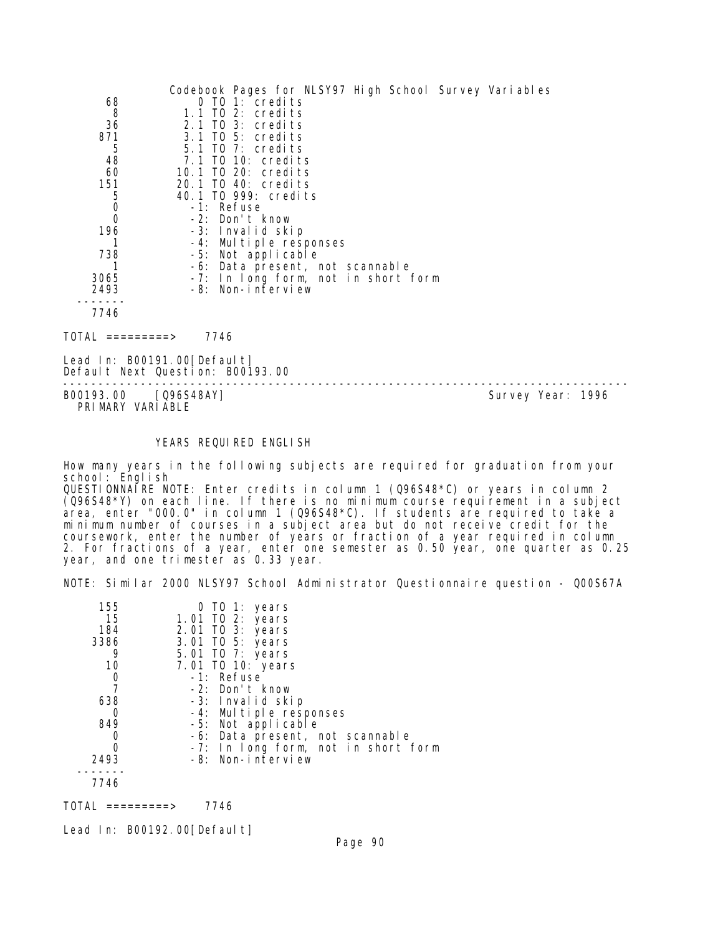|      | Codebook Pages for NLSY97 High School Survey Variables |
|------|--------------------------------------------------------|
| 68   | $0$ TO 1: credits                                      |
| 8    | 1.1 TO 2: credits                                      |
| 36   | 2.1 TO 3: credits                                      |
| 871  | 3.1 TO 5: credits                                      |
| 5    | $5.1$ TO 7: credits                                    |
| 48   | 7.1 TO 10: credits                                     |
| 60   | 10.1 TO 20: credits                                    |
| 151  | 20.1 TO 40: credits                                    |
| 5    | 40.1 TO 999: credits                                   |
| 0    | -1: Refuse                                             |
| 0    | -2: Don't know                                         |
| 196  | -3: Invalid skip                                       |
|      | -4: Multiple responses                                 |
| 738  | -5: Not applicable                                     |
|      | -6: Data present, not scannable                        |
| 3065 | -7: In long form, not in short form                    |
| 2493 | -8: Non-interview                                      |
|      |                                                        |
| 7746 |                                                        |
|      | 7746                                                   |

Lead In: B00191.00 [Default] Default Next Question: B00193.00

-------------------------------------------------------------------------------- PRIMARY VARIABLE

Survey Year: 1996

### YEARS REQUIRED ENGLISH

How many years in the following subjects are required for graduation from your school: Engl i sh QUESTIONNAIRE NOTE: Enter credits in column 1 (Q96S48\*C) or years in column 2 (Q96S48\*Y) on each line. If there is no minimum course requirement in a subject area, enter "000.0" in column 1  $(0.96548<sup>*</sup>C)$ . If students are required to take a minimum number of courses in a subject area but do not receive credit for the coursework, enter the number of years or fraction of a year required in column 2. For fractions of a year, enter one semester as 0.50 year, one quarter as 0.25 year, and one trimester as 0.33 year.

NOTE: Similar 2000 NLSY97 School Administrator Questionnaire question - Q00S67A

| 155  | 0 TO 1: years                       |
|------|-------------------------------------|
| 15   | 1.01 TO 2: years                    |
| 184  | 2.01 TO 3: years                    |
| 3386 | 3.01 TO 5: years                    |
| 9    | 5.01 TO 7: years                    |
| 10   | 7.01 TO 10: years                   |
| 0    | -1: Refuse                          |
|      | $-2$ : Don't know                   |
| 638  | -3: Invalid skip                    |
| 0    | -4: Multiple responses              |
| 849  | -5: Not applicable                  |
|      | -6: Data present, not scannable     |
|      | -7: In long form, not in short form |
| 2493 | -8: Non-interview                   |
|      |                                     |
| 7746 |                                     |

TOTAL =========> 7746

Lead In: B00192.00 [Default]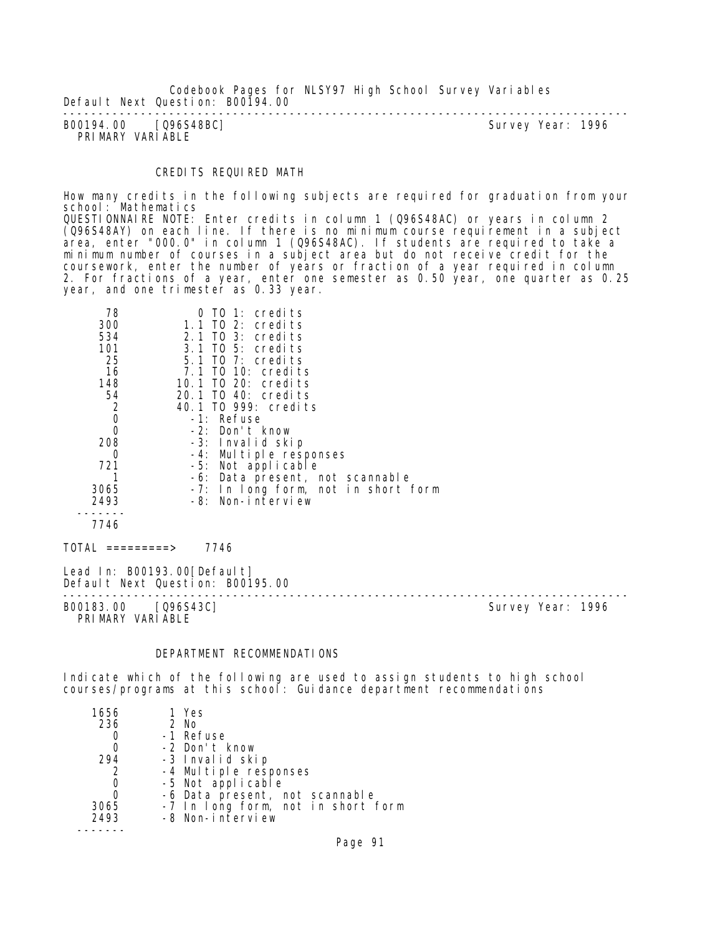Codebook Pages for NLSY97 High School Survey Variables Default Next Question: B00194.00

-------------------------------------------------------------------------------- Survey Year: 1996 PRIMARY VARIABLE

### CREDITS REQUIRED MATH

How many credits in the following subjects are required for graduation from your school: Mathematics QUESTIONNAIRE NOTE: Enter credits in column 1 (Q96S48AC) or years in column 2 (Q96S48AY) on each line. If there is no minimum course requirement in a subject area, enter "000.0" in column 1 (Q96S48AC). If students are required to take a

minimum number of courses in a subject area but do not receive credit for the coursework, enter the number of years or fraction of a year required in column 2. For fractions of a year, enter one semester as 0.50 year, one quarter as 0.25 year, and one trimester as 0.33 year.

| 78<br>300                                 | TO 1: credits<br>0<br>1.1 TO 2: credits                          |                   |
|-------------------------------------------|------------------------------------------------------------------|-------------------|
| 534                                       | 2.1 TO 3: credits<br>3.1 TO 5: credits                           |                   |
| 101<br>25                                 | 5.1 TO 7: credits                                                |                   |
| 16                                        | 7.1 TO 10: credits                                               |                   |
| 148                                       | 10.1 TO 20: credits                                              |                   |
| 54                                        | 20.1 TO 40: credits                                              |                   |
|                                           | 40.1 TO 999: credits                                             |                   |
| $\begin{matrix} 2 \\ 0 \\ 0 \end{matrix}$ | -1: Refuse                                                       |                   |
|                                           | -2: Don't know                                                   |                   |
| 208                                       | -3: Invalid skip                                                 |                   |
| 0                                         | -4: Multiple responses                                           |                   |
| 721                                       | -5: Not applicable                                               |                   |
|                                           | -6: Data present, not scannable                                  |                   |
| 3065                                      | -7: In long form, not in short form                              |                   |
| 2493                                      | -8: Non-interview                                                |                   |
|                                           |                                                                  |                   |
| 7746                                      |                                                                  |                   |
| $\overline{TOTAL}$ =========>             | 7746                                                             |                   |
|                                           | Lead In: B00193.00 [Default]<br>Default Next Question: B00195.00 |                   |
| B00183.00                                 | 096S43C] <sup>-</sup>                                            | Survey Year: 1996 |

PRIMARY VARIABLE

### DEPARTMENT RECOMMENDATIONS

Indicate which of the following are used to assign students to high school courses/programs at this school: Guidance department recommendations

| 1656 | 1 Yes                              |
|------|------------------------------------|
| 236  | 2 No                               |
|      | -1 Refuse                          |
| 0    | -2 Don't know                      |
| 294  | -3 Invalid skip                    |
| 2    | -4 Multiple responses              |
| 0    | -5 Not applicable                  |
| 0    | -6 Data present, not scannable     |
| 3065 | -7 In long form, not in short form |
| 2493 | -8 Non-interview                   |
|      |                                    |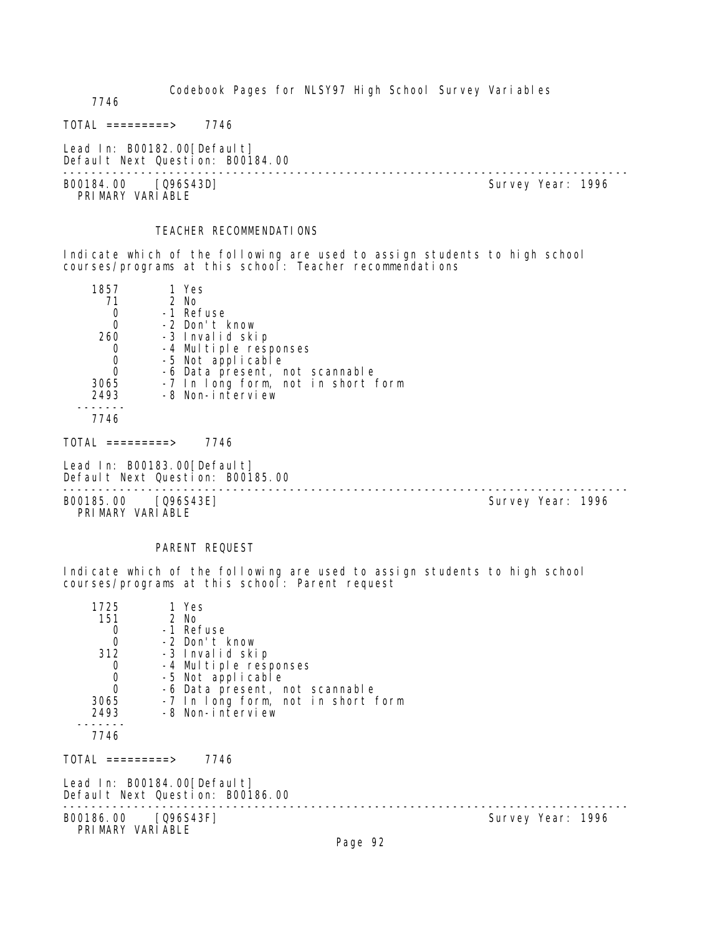Codebook Pages for NLSY97 High School Survey Variables

7746

 $TOTAL$  ========> 7746

Lead In: B00182.00[Default] Default Next Question: B00184.00

B00184.00 [Q96S43D] PRIMARY VARIABLE

--------------------------------------------------------------------------------

#### TEACHER RECOMMENDATIONS

Indicate which of the following are used to assign students to high school courses/programs at this school: Teacher recommendations

| 1857 | 1 Yes                              |
|------|------------------------------------|
| 71   | 2 No                               |
|      | -1 Refuse                          |
|      | -2 Don't know                      |
| 260  | -3 Invalid skip                    |
|      | -4 Multiple responses              |
|      | -5 Not applicable                  |
|      | -6 Data present, not scannable     |
| 3065 | -7 In long form, not in short form |
| 2493 | -8 Non-interview                   |
|      |                                    |

7746

TOTAL =========> 7746

Lead In: B00183.00 [Default] Default Next Question: B00185.00

-------------------------------------------------------------------------------- B00185.00 [Q96S43E] PRIMARY VARIABLE

#### PARENT REQUEST

Indicate which of the following are used to assign students to high school courses/programs at this school: Parent request

| 1725<br>151<br>$\begin{matrix}0\\0\end{matrix}$<br>312<br>$\mathbf 0$<br>$\overline{0}$<br>3065<br>2493<br>7746 | 1 Yes<br>2 No<br>-1 Refuse<br>-2 Don't know<br>-3 Invalid skip<br>-4 Multiple responses<br>-5 Not applicable<br>-6 Data present, not scannable<br>-7 In long form, not in short form<br>-8 Non-interview |                   |  |
|-----------------------------------------------------------------------------------------------------------------|----------------------------------------------------------------------------------------------------------------------------------------------------------------------------------------------------------|-------------------|--|
| TOTAL =========>                                                                                                | 7746                                                                                                                                                                                                     |                   |  |
|                                                                                                                 | Lead In: B00184.00[Default]<br>Default Next Question: B00186.00                                                                                                                                          |                   |  |
| B00186.00 [Q96S43F]<br>PRIMARY VARIABLE                                                                         |                                                                                                                                                                                                          | Survey Year: 1996 |  |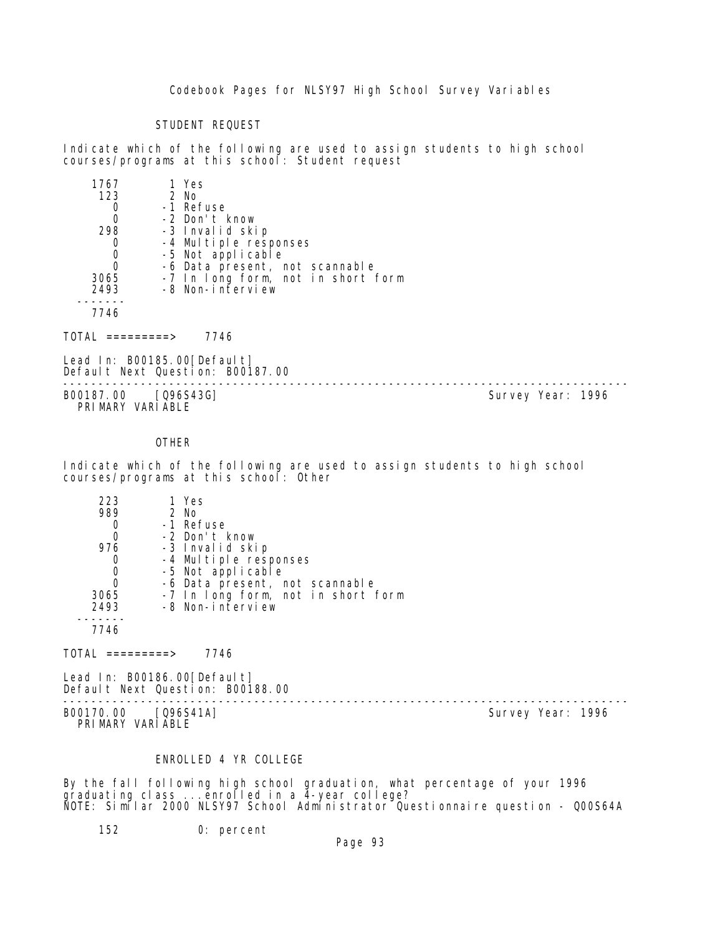Codebook Pages for NLSY97 High School Survey Variables

# STUDENT REQUEST

Indicate which of the following are used to assign students to high school courses/programs at this school: Student request

| 1767 | 1 Yes                              |
|------|------------------------------------|
| 123  | $2$ No                             |
|      | -1 Refuse                          |
| Ω    | -2 Don't know                      |
| 298  | -3 Invalid skip                    |
|      | -4 Multiple responses              |
|      | -5 Not applicable                  |
|      | -6 Data present, not scannable     |
| 3065 | -7 In long form, not in short form |
| 2493 | -8 Non-interview                   |
|      |                                    |
| 7746 |                                    |
|      |                                    |

 $TOTAL$  ========> 7746

Lead In: B00185.00 [Default] Default Next Question: B00187.00

B00187.00 [Q96S43G] PRIMARY VARIABLE

--------------------------------------------------------------------------------

#### OTHER

Indicate which of the following are used to assign students to high school courses/programs at this school: Other

| 223  | 1 Yes                              |
|------|------------------------------------|
| 989  | $2$ No                             |
|      | -1 Refuse                          |
| 0    | -2 Don't know                      |
| 976  | -3 Invalid skip                    |
|      | -4 Multiple responses              |
|      | -5 Not applicable                  |
|      | -6 Data present, not scannable     |
| 3065 | -7 In long form, not in short form |
| 2493 | -8 Non-interview                   |
|      |                                    |
| 7746 |                                    |
|      |                                    |

 $TOTAL$  =========> 7746

Lead In: B00186.00 [Default] Default Next Question: B00188.00

-------------------------------------------------------------------------------- B00170.00 [Q96S41A] PRIMARY VARIABLE

# ENROLLED 4 YR COLLEGE

By the fall following high school graduation, what percentage of your 1996 graduating class ...enrolled in a 4-year college? NOTE: Similar 2000 NLSY97 School Administrator Questionnaire question - Q00S64A

152 0: percent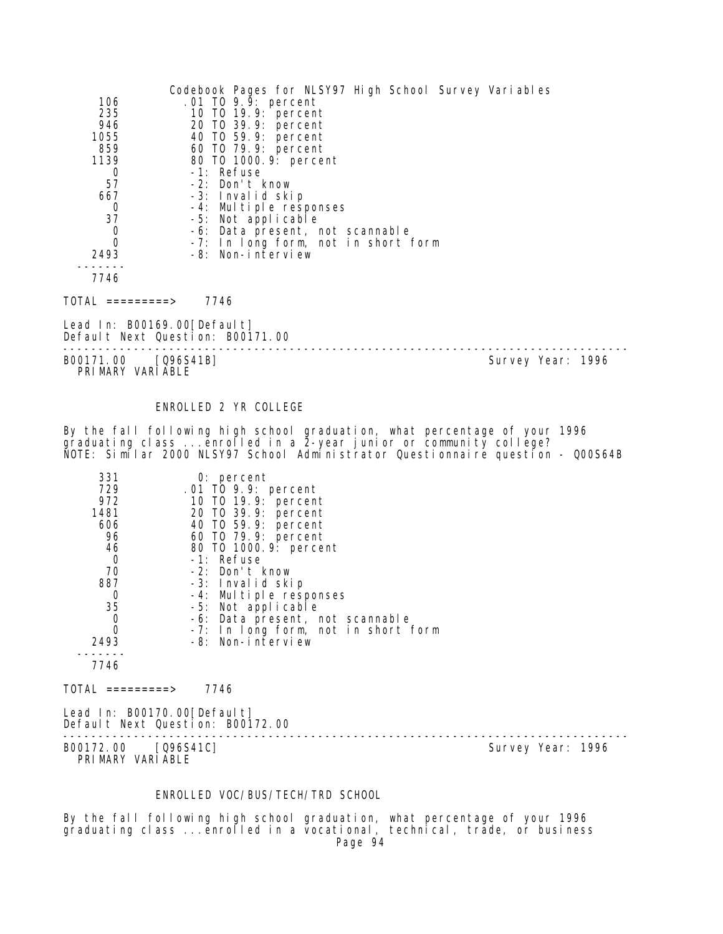|                        | Codebook Pages for NLSY97 High School Survey Variables |
|------------------------|--------------------------------------------------------|
| 106                    | .01 TO 9.9: percent                                    |
| 235                    | 10 T0 19.9: percent                                    |
| 946                    | 20 TO 39.9: percent                                    |
| 1055                   | 40 TO 59.9: percent                                    |
| 859                    | 60 TO 79.9: percent                                    |
| 1139                   | 80 TO 1000. 9: percent                                 |
| 0                      | -1: Refuse                                             |
| 57                     | -2: Don't know                                         |
| 667                    | -3: Invalid skip                                       |
| 0                      | -4: Multiple responses                                 |
| 37                     | -5: Not applicable                                     |
| 0                      | -6: Data present, not scannable                        |
| 0                      | -7: In long form, not in short form                    |
| 2493                   | -8: Non-interview                                      |
|                        |                                                        |
| 7746                   |                                                        |
| TOTAL<br>$=$ ========> | 7746                                                   |

Lead In: B00169.00[Default] Default Next Question: B00171.00

-------------------------------------------------------------------------------- B00171.00 [Q96S41B] Survey Year: 1996 PRIMARY VARIABLE

#### ENROLLED 2 YR COLLEGE

By the fall following high school graduation, what percentage of your 1996 graduating class ...enrolled in a 2-year junior or community college? NOTE: Similar 2000 NLSY97 School Administrator Questionnaire question - Q00S64B

| 331      | $0:$ percent                        |
|----------|-------------------------------------|
| 729      | .01 TO 9.9: percent                 |
| 972      | 10 T0 19.9: percent                 |
| 1481     | 20 T0 39.9: percent                 |
| 606      | 40 T0 59.9: percent                 |
| 96       | 60 T0 79.9: percent                 |
| 46       | 80 T0 1000.9: percent               |
| 0        | $-1$ : Refuse                       |
| 70       | $-2$ : Don't know                   |
| 887      | -3: Invalid skip                    |
| 0        | -4: Multiple responses              |
| 35       | -5: Not applicable                  |
| 0        | -6: Data present, not scannable     |
| $\Omega$ | -7: In long form, not in short form |
| 2493     | -8: Non-interview                   |
|          |                                     |
| 7746     |                                     |
|          |                                     |

 $TOTAL$  =========> 7746

Lead In: B00170.00 [Default] Default Next Question: B00172.00

-------------------------------------------------------------------------------- B00172.00 [Q96S41C] Survey Year: 1996 PRIMARY VARIABLE

### ENROLLED VOC/BUS/TECH/TRD SCHOOL

By the fall following high school graduation, what percentage of your 1996 graduating class ...enrolled in a vocational, technical, trade, or business Page 94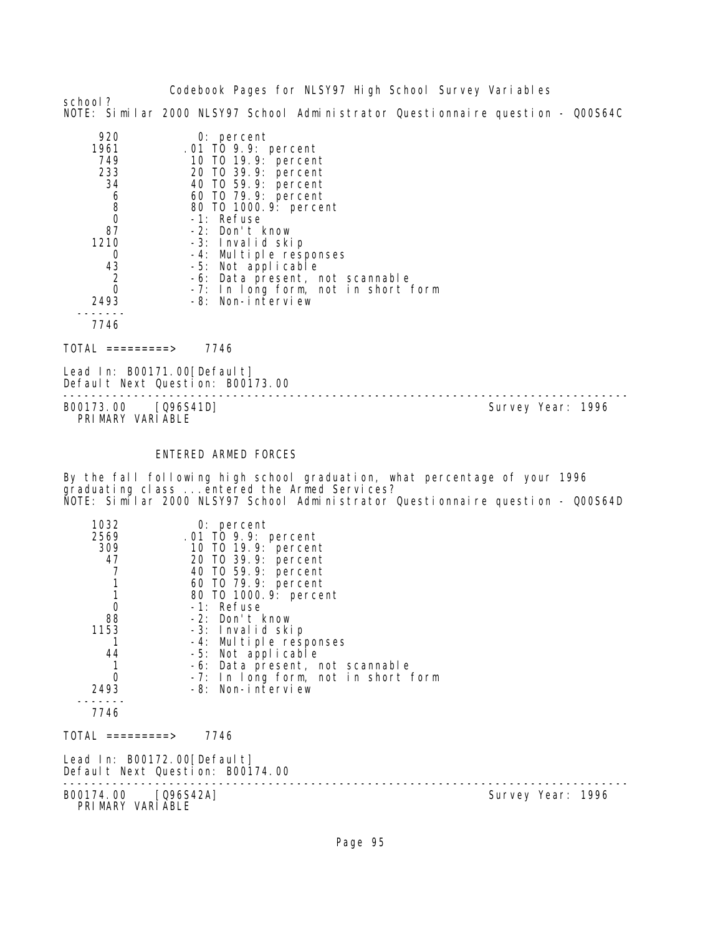Codebook Pages for NLSY97 High School Survey Variables school? NOTE: Similar 2000 NLSY97 School Administrator Questionnaire question - Q00S64C

| 920            | $0:$ percent                        |
|----------------|-------------------------------------|
| 1961           | .01 TO 9.9: percent                 |
| 749            | 10 T0 19.9: percent                 |
| 233            | 20 T0 39.9: percent                 |
| 34             | 40 T0 59.9: percent                 |
| 6              | 60 TO 79.9: percent                 |
| 8              | 80 T0 1000.9: percent               |
| $\Omega$       | -1: Refuse                          |
| 87             | $-2$ : Don't know                   |
| 1210           | -3: Invalid skip                    |
| O              | -4: Multiple responses              |
| 43             | -5: Not applicable                  |
| $\overline{2}$ | -6: Data present, not scannable     |
| $\Omega$       | -7: In long form, not in short form |
| 2493           | -8: Non-interview                   |
|                |                                     |
| 7746           |                                     |

TOTAL =========> 7746

Lead In: B00171.00 [Default] Default Next Question: B00173.00

-------------------------------------------------------------------------------- B00173.00 [Q96S41D] PRI MARY VARI ABLE

# ENTERED ARMED FORCES

By the fall following high school graduation, what percentage of your 1996 graduating class ...entered the Armed Services? NOTE: Similar 2000 NLSY97 School Administrator Questionnaire question - Q00S64D

| 1032<br>2569<br>309<br>47<br>1<br>$\mathbf{1}$<br>$\mathbf 0$<br>88<br>1153<br>44<br>1<br>0<br>2493 | $0:$ percent<br>.01 TO 9.9: percent<br>10 T0 19.9: percent<br>20 TO 39.9: percent<br>40 TO 59.9: percent<br>60 T0 79.9: percent<br>80 T0 1000. 9: percent<br>-1: Refuse<br>-2: Don't know<br>-3: Invalid skip<br>-4: Multiple responses<br>-5: Not applicable<br>-6: Data present, not scannable<br>-7: In long form, not in short form<br>-8: Non-interview |                   |  |
|-----------------------------------------------------------------------------------------------------|--------------------------------------------------------------------------------------------------------------------------------------------------------------------------------------------------------------------------------------------------------------------------------------------------------------------------------------------------------------|-------------------|--|
| 7746                                                                                                |                                                                                                                                                                                                                                                                                                                                                              |                   |  |
| TOTAL =========>                                                                                    | 7746                                                                                                                                                                                                                                                                                                                                                         |                   |  |
| Lead In: B00172.00[Default]                                                                         | Default Next Question: B00174.00                                                                                                                                                                                                                                                                                                                             |                   |  |
| B00174.00 [Q96S42A]<br>PRIMARY VARIABLE                                                             |                                                                                                                                                                                                                                                                                                                                                              | Survey Year: 1996 |  |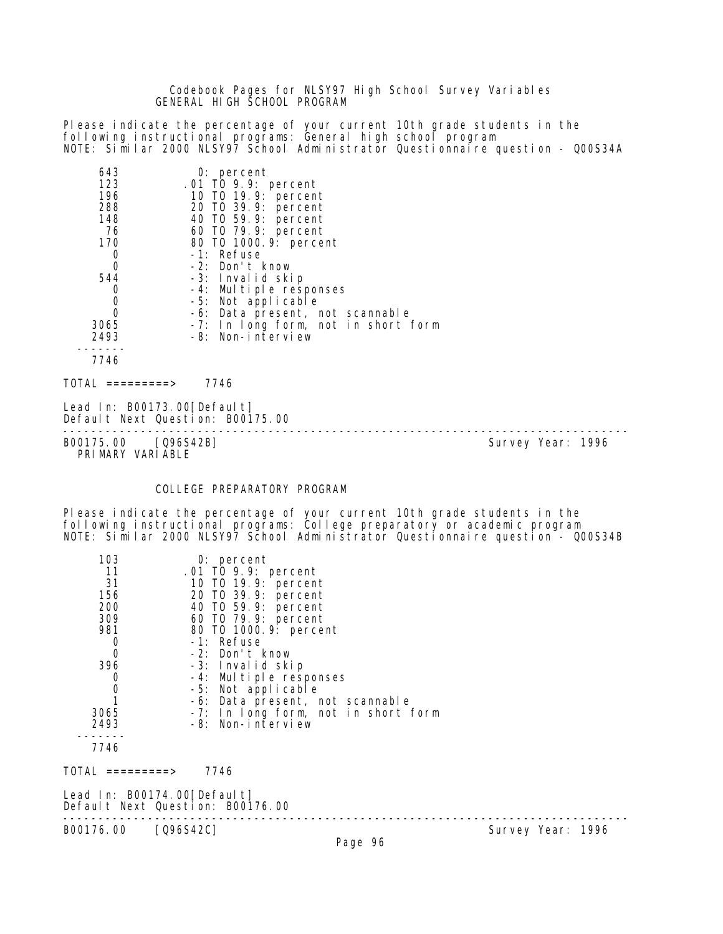### Codebook Pages for NLSY97 High School Survey Variables GENERAL HIGH SCHOOL PROGRAM

Please indicate the percentage of your current 10th grade students in the following instructional programs: General high school program NOTE: Similar 2000 NLSY97 School Administrator Questionnaire question - Q00S34A

| 643         | $0:$ percent                        |
|-------------|-------------------------------------|
| 123         | .01 TO 9.9: percent                 |
| 196         | 10 TO 19.9: percent                 |
| 288         | 20 TO 39.9: percent                 |
| 148         | 40 TO 59.9: percent                 |
| 76          | 60 TO 79.9: percent                 |
| 170         | 80 TO 1000. 9: percent              |
| 0           | -1: Refuse                          |
| $\mathbf 0$ | -2: Don't know                      |
| 544         | -3: Invalid skip                    |
| 0           | -4: Multiple responses              |
| 0           | -5: Not applicable                  |
| 0           | -6: Data present, not scannable     |
| 3065        | -7: In long form, not in short form |
| 2493        | -8: Non-interview                   |
|             |                                     |
| 7746        |                                     |
|             |                                     |

 $TOTAL$  ========> 7746

Lead In: B00173.00 [Default] Default Next Question: B00175.00

-------------------------------------------------------------------------------- B00175.00 [Q96S42B] Survey Year: 1996 PRIMARY VARIABLE

#### COLLEGE PREPARATORY PROGRAM

Please indicate the percentage of your current 10th grade students in the following instructional programs: College preparatory or academic program NOTE: Similar 2000 NLSY97 School Administrator Questionnaire question - Q00S34B

| 103  | $0:$ percent                        |
|------|-------------------------------------|
| 11   | .01 TO 9.9: percent                 |
| 31   | 10 T0 19.9: percent                 |
| 156  | 20 TO 39.9: percent                 |
| 200  | 40 T0 59.9: percent                 |
| 309  | 60 T0 79.9: percent                 |
| 981  | 80 T0 1000.9: percent               |
|      | -1: Refuse                          |
| 0    | $-2$ : Don't know                   |
| 396  | -3: Invalid skip                    |
|      | -4: Multiple responses              |
| Ω    | -5: Not applicable                  |
|      | -6: Data present, not scannable     |
| 3065 | -7: In long form, not in short form |
| 2493 | -8: Non-interview                   |
|      |                                     |
| 7746 |                                     |

TOTAL =========> 7746

Lead In: B00174.00 [Default] Default Next Question: B00176.00 -------------------------------------------------------------------------------- B00176.00 [Q96S42C]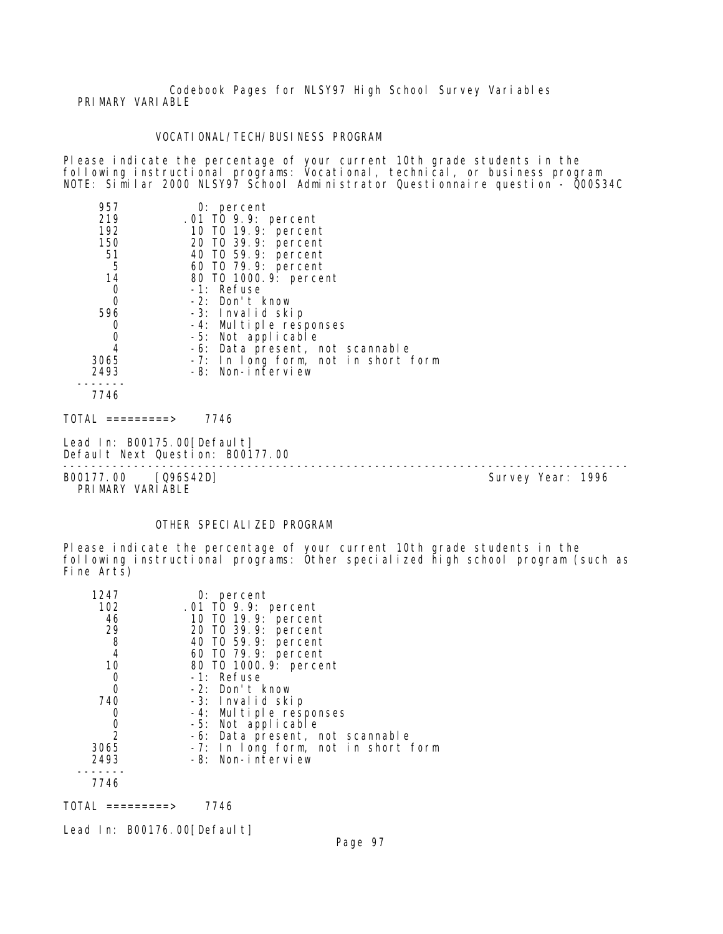Codebook Pages for NLSY97 High School Survey Variables PRIMARY VARIABLE

### VOCATIONAL/TECH/BUSINESS PROGRAM

Please indicate the percentage of your current 10th grade students in the following instructional programs: Vocational, technical, or business program NOTE: Similar 2000 NLSY97 School Administrator Questionnaire question - Q00S34C

| 957  | $0:$ percent                        |
|------|-------------------------------------|
| 219  | .01 TO 9.9: percent                 |
| 192  | 10 TO 19.9: percent                 |
| 150  | 20 TO 39.9: percent                 |
| 51   | 40 TO 59.9: percent                 |
| 5    | 60 TO 79.9: percent                 |
| 14   | 80 TO 1000.9: percent               |
| 0    | -1: Refuse                          |
| 0    | -2: Don't know                      |
| 596  | -3: Invalid skip                    |
| 0    | -4: Multiple responses              |
| 0    | -5: Not applicable                  |
|      | -6: Data present, not scannable     |
| 3065 | -7: In long form, not in short form |
| 2493 | -8: Non-interview                   |
|      |                                     |
| 7746 |                                     |

 $TOTAL$  ========> 7746

Lead In: B00175.00[Default] Default Next Question: B00177.00

B00177.00 [Q96S42D] Survey Year: 1996 PRIMARY VARIABLE

--------------------------------------------------------------------------------

# OTHER SPECIALIZED PROGRAM

Please indicate the percentage of your current 10th grade students in the following instructional programs: Other specialized high school program (such as Fine Arts)

| 1247          | $0:$ percent                               |
|---------------|--------------------------------------------|
| 102           | .01 TO 9.9: percent                        |
| 46            | 10 T0 19.9: percent                        |
| 29            |                                            |
| 8             | 20 T0 39.9: percent<br>40 T0 59.9: percent |
| 4             | 60 T0 79.9: percent                        |
| 10            | 80 T0 1000. 9: percent                     |
| 0             | -1: Refuse                                 |
| 0             | -2: Don't know                             |
| 740           | -3: Invalid skip                           |
|               | -4: Multiple responses                     |
| 0             | -5: Not applicable                         |
| $\mathcal{P}$ | -6: Data present, not scannable            |
| 3065          | -7: In long form, not in short form        |
| 2493          | -8: Non-interview                          |
|               |                                            |
| 7746          |                                            |

TOTAL =========> 7746

Lead In: B00176.00[Default]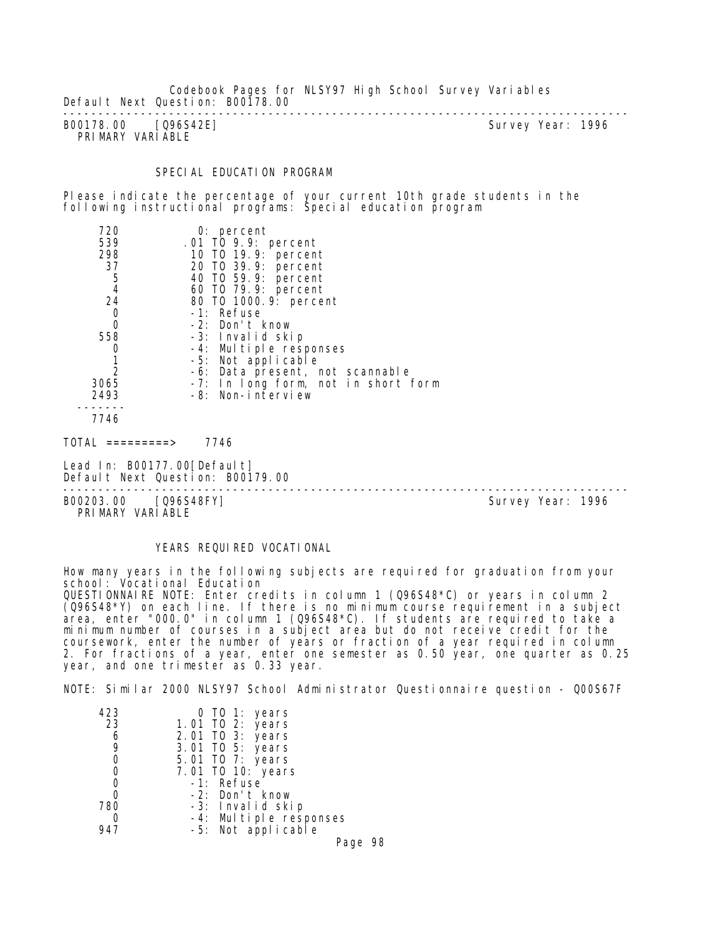Codebook Pages for NLSY97 High School Survey Variables Default Next Question: B00178.00

-------------------------------------------------------------------------------- B00178.00 [Q96S42E] PRIMARY VARIABLE

### SPECIAL EDUCATION PROGRAM

Please indicate the percentage of your current 10th grade students in the following instructional programs: Special education program

| 720<br>$0:$ percent                         |  |
|---------------------------------------------|--|
| 539<br>.01 TO 9.9: percent                  |  |
| 298<br>10 T0 19.9: percent                  |  |
| 37<br>20 TO 39.9: percent                   |  |
| $\frac{5}{4}$<br>40 TO 59.9: percent        |  |
| 60 T0 79.9: percent                         |  |
| 24<br>80 TO 1000.9: percent                 |  |
| -1: Refuse<br>0                             |  |
| O<br>-2: Don't know                         |  |
| 558<br>-3: Invalid skip                     |  |
| -4: Multiple responses                      |  |
| -5: Not applicable                          |  |
| -6: Data present, not scannable             |  |
| 3065<br>-7: In long form, not in short form |  |
| 2493<br>-8: Non-interview                   |  |
|                                             |  |

 $TOTAL$  =========> 7746

Lead In: B00177.00 [Default] Default Next Question: B00179.00

B00203.00 [Q96S48FY] PRI MARY VARI ABLE

--------------------------------------------------------------------------------

# YEARS REQUIRED VOCATIONAL

How many years in the following subjects are required for graduation from your school: Vocational Education QUESTIONNAIRE NOTE: Enter credits in column 1 (Q96S48\*C) or years in column 2 (Q96S48\*Y) on each line. If there is no minimum course requirement in a subject area, enter "000.0" in column 1 (Q96S48\*C). If students are required to take a minimum number of courses in a subject area but do not receive credit for the coursework, enter the number of years or fraction of a year required in column 2. For fractions of a year, enter one semester as 0.50 year, one quarter as 0.25 year, and one trimester as 0.33 year.

NOTE: Similar 2000 NLSY97 School Administrator Questionnaire question - Q00S67F

| 423 | 0 TO 1: years                                |
|-----|----------------------------------------------|
| 23  | 1.01 TO 2: years                             |
| 6   | 2.01 TO 3: years                             |
| 9   | 3.01 TO 5: years                             |
| 0   | 5.01 TO 7: years                             |
| 0   | 7.01 TO 10: years                            |
| 0   | -1: Refuse                                   |
| Ω   | -2: Don't know                               |
| 780 | -3: Invalid skip                             |
| O   | -4: Multiple responses<br>-5: Not applicable |
|     |                                              |

Page 98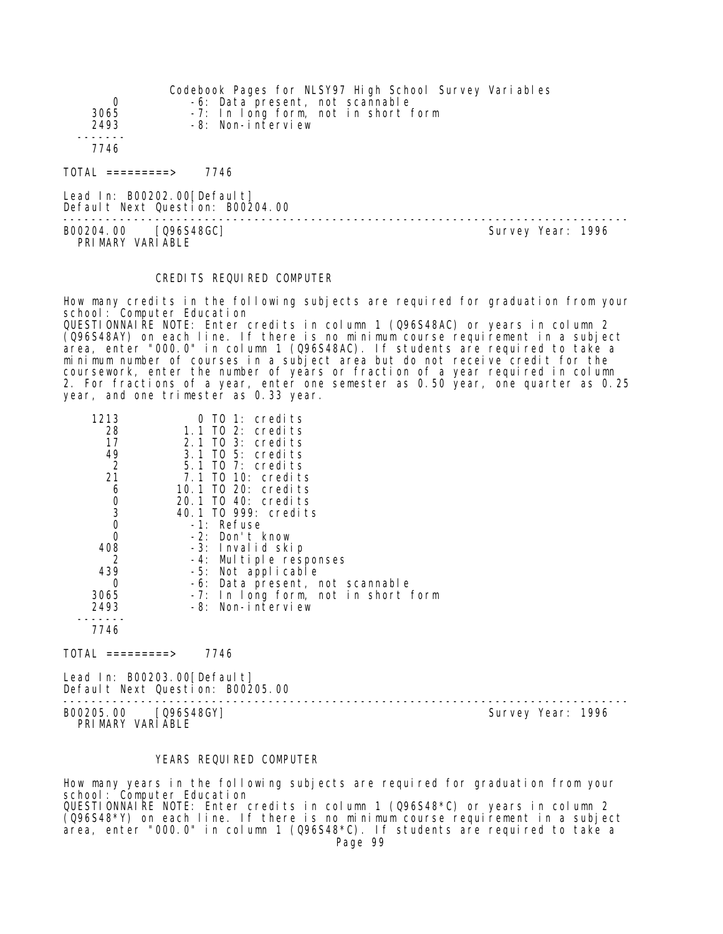|                                | Codebook Pages for NLSY97 High School Survey Variables |
|--------------------------------|--------------------------------------------------------|
| 0                              | -6: Data present, not scannable                        |
| 3065                           | -7: In long form, not in short form                    |
| 2493                           | -8: Non-interview                                      |
|                                |                                                        |
| 7746                           |                                                        |
| $\text{TOTAI}$ =========>      | 7746                                                   |
| Lead In: $B00202.00$ [Default] | Default Next Question: B00204.00                       |

B00204.00 [Q96S48GC] PRIMARY VARIABLE

--------------------------------------------------------------------------------

## CREDITS REQUIRED COMPUTER

How many credits in the following subjects are required for graduation from your school: Computer Education QUESTIONNAIRE NOTE: Enter credits in column 1 (Q96S48AC) or years in column 2 (Q96S48AY) on each line. If there is no minimum course requirement in a subject area, enter "000.0" in column 1 (Q96S48AC). If students are required to take a minimum number of courses in a subject area but do not receive credit for the coursework, enter the number of years or fraction of a year required in column 2. For fractions of a year, enter one semester as 0.50 year, one quarter as 0.25 year, and one trimester as 0.33 year.

| 1213                                           | $0$ TO 1: credits                   |
|------------------------------------------------|-------------------------------------|
| 28                                             | 1.1 TO 2: credits                   |
| 17                                             | 2.1 TO 3: credits                   |
| 49                                             | 3.1 TO 5: credits                   |
| $\overline{2}$                                 | 5.1 TO 7: credits                   |
| 21                                             | 7.1 TO 10: credits                  |
| 6                                              | 10.1 TO 20: credits                 |
|                                                | 20.1 TO 40: credits                 |
| $\begin{matrix} 0 \\ 3 \\ 0 \\ 0 \end{matrix}$ | 40.1 TO 999: credits                |
|                                                | -1: Refuse                          |
|                                                | -2: Don't know                      |
| 408                                            | -3: Invalid skip                    |
| 2                                              | -4: Multiple responses              |
| 439                                            | -5: Not applicable                  |
| 0                                              | -6: Data present, not scannable     |
| 3065                                           | -7: In long form, not in short form |
| 2493                                           | -8: Non-interview                   |
|                                                |                                     |
| 7746                                           |                                     |

 $TOTAL$  =========> 7746

Lead In: B00203.00 [Default] Default Next Question: B00205.00

-------------------------------------------------------------------------------- B00205.00 [Q96S48GY]

PRIMARY VARIABLE

### YEARS REQUIRED COMPUTER

How many years in the following subjects are required for graduation from your school: Computer Education QUESTIONNAIRE NOTE: Enter credits in column 1 (Q96S48\*C) or years in column 2 (Q96S48\*Y) on each line. If there is no minimum course requirement in a subject area, enter "000.0" in column 1 (Q96S48\*C). If students are required to take a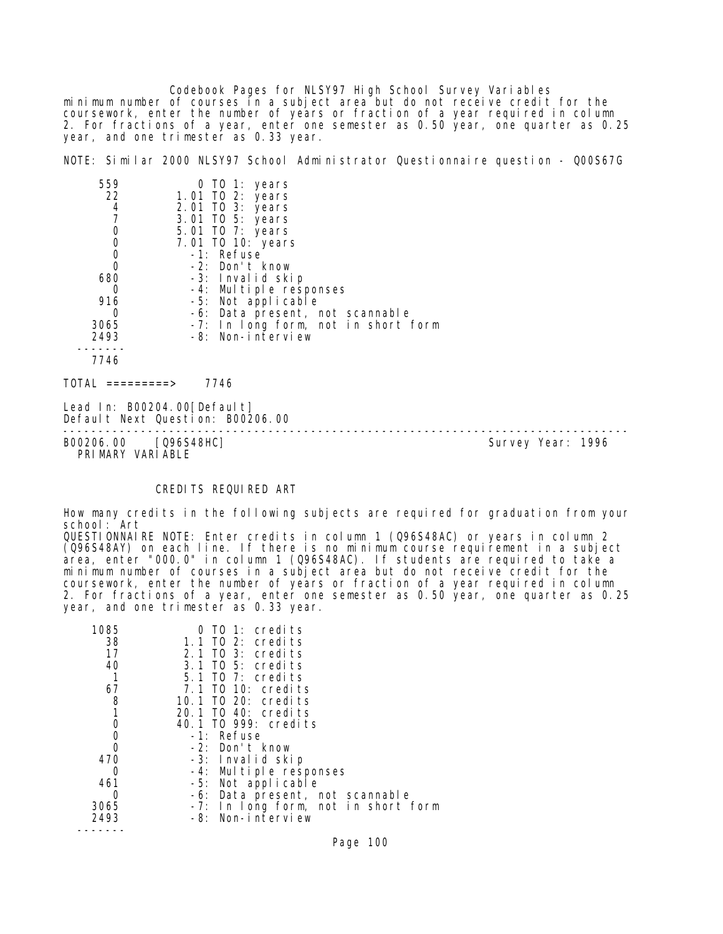Codebook Pages for NLSY97 High School Survey Variables minimum number of courses in a subject area but do not receive credit for the coursework, enter the number of years or fraction of a year required in column 2. For fractions of a year, enter one semester as 0.50 year, one quarter as 0.25 year, and one trimester as 0.33 year.

NOTE: Similar 2000 NLSY97 School Administrator Questionnaire question - Q00S67G

| 559  | 0 TO 1: years                       |
|------|-------------------------------------|
| 22   | 1.01 TO 2: years                    |
| 4    | 2.01 TO 3: years                    |
|      | 3.01 TO 5: years                    |
| 0    | 5.01 TO 7: years                    |
| 0    | 7.01 TO 10: years                   |
| 0    | -1: Refuse                          |
|      | -2: Don't know                      |
| 680  | -3: Invalid skip                    |
|      | -4: Multiple responses              |
| 916  | -5: Not applicable                  |
|      | -6: Data present, not scannable     |
| 3065 | -7: In long form, not in short form |
| 2493 | -8: Non-interview                   |
|      |                                     |
| 7746 |                                     |
|      |                                     |

 $TOTAL$  ========> 7746

Lead In: B00204.00 [Default] Default Next Question: B00206.00

-------------------------------------------------------------------------------- B00206.00 [Q96S48HC] PRIMARY VARIABLE

### CREDITS REQUIRED ART

How many credits in the following subjects are required for graduation from your school: Art

QUESTIONNAIRE NOTE: Enter credits in column 1 (Q96S48AC) or years in column 2 (Q96S48AY) on each line. If there is no minimum course requirement in a subject area, enter "000.0" in column 1 (Q96S48AC). If students are required to take a minimum number of courses in a subject area but do not receive credit for the coursework, enter the number of years or fraction of a year required in column 2. For fractions of a year, enter one semester as 0.50 year, one quarter as 0.25 year, and one trimester as 0.33 year.

| 1085     | $0$ TO 1: credits                   |
|----------|-------------------------------------|
| 38       | 1.1 TO 2: credits                   |
| 17       | 2.1 TO 3: credits                   |
| 40       | 3.1 TO 5: credits                   |
|          | $5.1$ TO 7: credits                 |
| 67       | 7.1 TO 10: credits                  |
| 8        | 10.1 TO 20: credits                 |
| 1        | 20.1 TO 40: credits                 |
| 0        | 40.1 TO 999: credits                |
| 0        | -1: Refuse                          |
| $\Omega$ | -2: Don't know                      |
| 470      | -3: Invalid skip                    |
| O        | -4: Multiple responses              |
| 461      | -5: Not applicable                  |
| Ω        | -6: Data present, not scannable     |
| 3065     | -7: In long form, not in short form |
| 2493     | -8: Non-interview                   |
|          |                                     |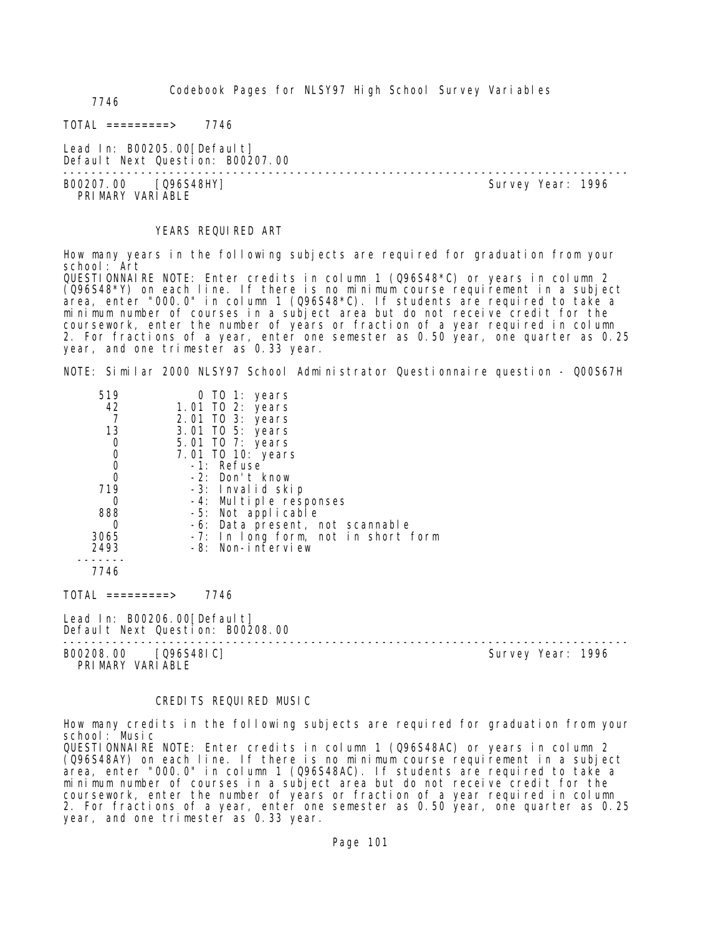Codebook Pages for NLSY97 High School Survey Variables

7746

 $TOTAL$  ========> 7746

Lead In: B00205.00 [Default] Default Next Question: B00207.00

-------------------------------------------------------------------------------- PRI MARY VARI ABLE

Survey Year: 1996

#### YEARS REQUIRED ART

How many years in the following subjects are required for graduation from your school: Art QUESTIONNAIRE NOTE: Enter credits in column 1 (Q96S48\*C) or years in column 2  $(0.96548<sup>*</sup>Y)$  on each line. If there is no minimum course requirement in a subject area, enter "000.0" in column 1 (096S48\*C). If students are required to take a minimum number of courses in a subject area but do not receive credit for the coursework, enter the number of years or fraction of a year required in column 2. For fractions of a year, enter one semester as 0.50 year, one quarter as 0.25 year, and one trimester as 0.33 year.

NOTE: Similar 2000 NLSY97 School Administrator Questionnaire question - Q00S67H

| 519  | 0 TO 1: years                       |
|------|-------------------------------------|
| 42   | 1.01 TO 2: years                    |
|      | 2.01 TO 3: years                    |
| 13   | 3.01 TO 5: years                    |
| 0    | 5.01 TO 7: years                    |
| 0    | 7.01 TO 10: years                   |
|      | -1: Refuse                          |
|      | -2: Don't know                      |
| 719  | -3: Invalid skip                    |
| 0    | -4: Multiple responses              |
| 888  | -5: Not applicable                  |
|      | -6: Data present, not scannable     |
| 3065 | -7: In long form, not in short form |
| 2493 | -8: Non-interview                   |
|      |                                     |
| 7746 |                                     |
|      |                                     |

TOTAL =========> 7746

Lead In: B00206.00 [Default] Default Next Question: B00208.00

B00208.00 [Q96S48IC] PRIMARY VARIABLE

--------------------------------------------------------------------------------

#### CREDITS REQUIRED MUSIC

How many credits in the following subjects are required for graduation from your school: Music QUESTIONNAIRE NOTE: Enter credits in column 1 (Q96S48AC) or years in column 2 (Q96S48AY) on each line. If there is no minimum course requirement in a subject area, enter "000.0" in column 1 (Q96S48AC). If students are required to take a minimum number of courses in a subject area but do not receive credit for the coursework, enter the number of years or fraction of a year required in column 2. For fractions of a year, enter one semester as 0.50 year, one quarter as 0.25 year, and one trimester as 0.33 year.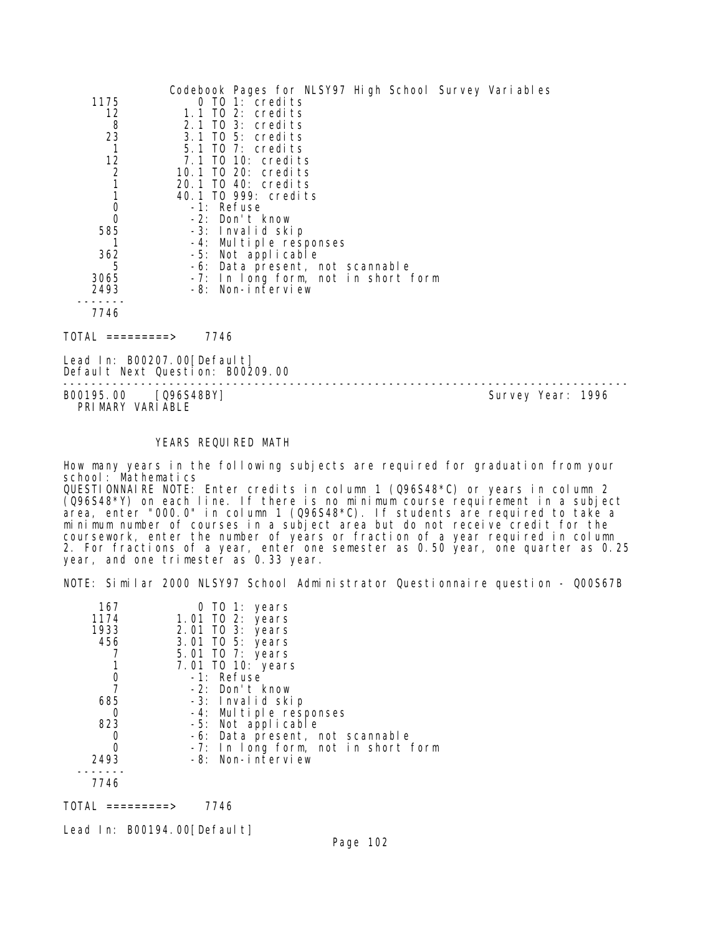|                | Codebook Pages for NLSY97 High School Survey Variables |
|----------------|--------------------------------------------------------|
| 1175           | $0$ TO 1: credits                                      |
| 12             | $1.1$ TO 2: credits                                    |
| 8              | 2.1 TO 3: credits                                      |
| 23             | 3.1 TO 5: credits                                      |
| 1              | $5.1$ TO 7: credits                                    |
| 12             | 7.1 TO 10: credits                                     |
| $\overline{2}$ | 10.1 TO 20: credits                                    |
|                | 20.1 TO 40: credits                                    |
|                | 40.1 TO 999: credits                                   |
| 0              | -1: Refuse                                             |
| 0              | -2: Don't know                                         |
| 585            | -3: Invalid skip                                       |
|                | -4: Multiple responses                                 |
| 362            | -5: Not applicable                                     |
| 5              | -6: Data present, not scannable                        |
| 3065           | -7: In long form, not in short form                    |
| 2493           | -8: Non-interview                                      |
|                |                                                        |
| 7746           |                                                        |
| 10 LAI         | 7746                                                   |

Lead In: B00207.00 [Default] Default Next Question: B00209.00

-------------------------------------------------------------------------------- PRIMARY VARIABLE

Survey Year: 1996

### YEARS REQUIRED MATH

How many years in the following subjects are required for graduation from your school: Mathematics QUESTIONNAIRE NOTE: Enter credits in column 1 (Q96S48\*C) or years in column 2 (Q96S48\*Y) on each line. If there is no minimum course requirement in a subject area, enter "000.0" in column 1 (096S48\*C). If students are required to take a minimum number of courses in a subject area but do not receive credit for the coursework, enter the number of years or fraction of a year required in column 2. For fractions of a year, enter one semester as 0.50 year, one quarter as 0.25 year, and one trimester as 0.33 year.

NOTE: Similar 2000 NLSY97 School Administrator Questionnaire question - Q00S67B

| 167  | 0 TO 1: years                       |
|------|-------------------------------------|
| 1174 | 1.01 TO 2: years                    |
| 1933 | 2.01 TO 3: years                    |
| 456  | 3.01 TO 5: years                    |
|      | 5.01 TO 7: years                    |
|      | 7.01 TO 10: years                   |
|      | -1: Refuse                          |
|      | $-2$ : Don't know                   |
| 685  | -3: Invalid skip                    |
|      | -4: Multiple responses              |
| 823  | -5: Not applicable                  |
|      | -6: Data present, not scannable     |
|      | -7: In long form, not in short form |
| 2493 | -8: Non-interview                   |
|      |                                     |
| 7746 |                                     |

TOTAL =========> 7746

Lead In: B00194.00 [Default]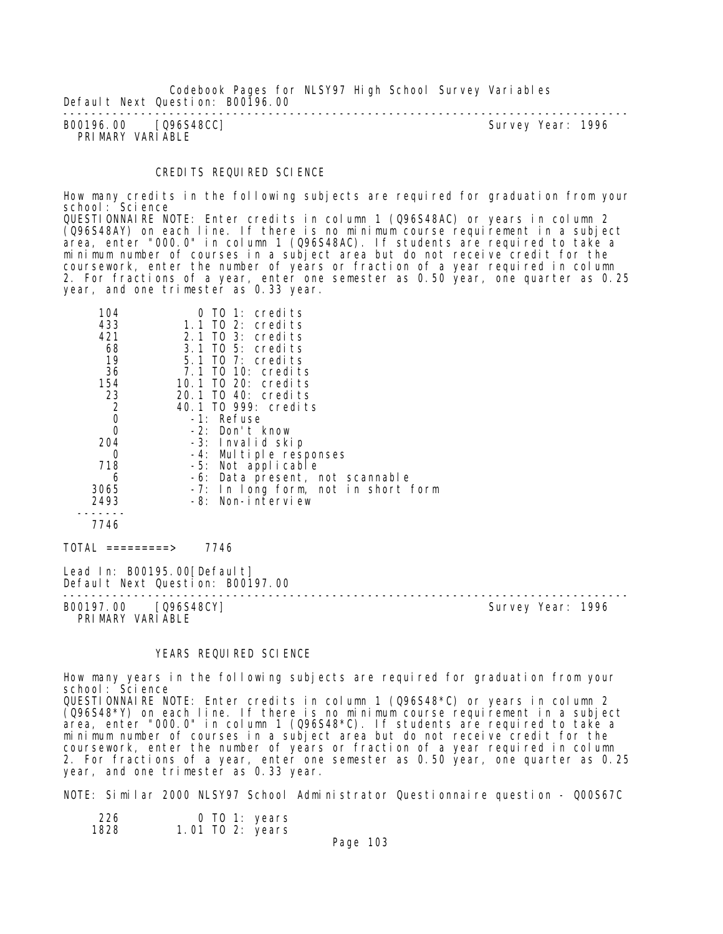Codebook Pages for NLSY97 High School Survey Variables Default Next Question: B00196.00

-------------------------------------------------------------------------------- Survey Year: 1996 PRIMARY VARIABLE

### CREDITS REQUIRED SCIENCE

How many credits in the following subjects are required for graduation from your school: Science

QUESTIONNAIRE NOTE: Enter credits in column 1 (Q96S48AC) or years in column 2 (Q96S48AY) on each line. If there is no minimum course requirement in a subject area, enter "000.0" in column 1 (Q96S48AC). If students are required to take a minimum number of courses in a subject area but do not receive credit for the coursework, enter the number of years or fraction of a year required in column 2. For fractions of a year, enter one semester as 0.50 year, one quarter as 0.25 year, and one trimester as 0.33 year.

| 104<br>433<br>421<br>68<br>19<br>36       | $0$ TO 1: credits<br>1.1 TO 2: credits<br>$2.1$ TO $3:$ credits<br>3.1 TO 5: credits<br>5.1 TO 7: credits<br>7.1 TO 10: credits |                   |
|-------------------------------------------|---------------------------------------------------------------------------------------------------------------------------------|-------------------|
| 154                                       | 10.1 TO 20: credits                                                                                                             |                   |
| 23                                        | 20.1 TO 40: credits                                                                                                             |                   |
| $\begin{matrix} 2 \\ 0 \\ 0 \end{matrix}$ | 40.1 TO 999: credits                                                                                                            |                   |
|                                           | -1: Refuse                                                                                                                      |                   |
| 204                                       | -2: Don't know<br>-3: Invalid skip                                                                                              |                   |
| 0                                         | -4: Multiple responses                                                                                                          |                   |
| 718                                       | -5: Not applicable                                                                                                              |                   |
| 6                                         | -6: Data present, not scannable                                                                                                 |                   |
| 3065                                      | -7: In long form, not in short form                                                                                             |                   |
| 2493                                      | -8: Non-interview                                                                                                               |                   |
| 7746                                      |                                                                                                                                 |                   |
| TOTAL =========>                          | 7746                                                                                                                            |                   |
|                                           | Lead In: B00195.00[Default]<br>Default Next Question: B00197.00                                                                 |                   |
| B00197.00 [Q96S48CY]<br>PRIMARY VARIABLE  |                                                                                                                                 | Survey Year: 1996 |

YEARS REQUIRED SCIENCE

How many years in the following subjects are required for graduation from your school: Science QUESTIONNAIRE NOTE: Enter credits in column 1 (Q96S48\*C) or years in column 2  $(0.96548*)$  on each line. If there is no minimum course requirement in a subject  $\arccos$ , enter "000.0" in column 1 (096S48\*C). If students are required to take a minimum number of courses in a subject area but do not receive credit for the coursework, enter the number of years or fraction of a year required in column 2. For fractions of a year, enter one semester as 0.50 year, one quarter as 0.25

NOTE: Similar 2000 NLSY97 School Administrator Questionnaire question - Q00S67C

| 226  | $0$ TO 1: years  |  |
|------|------------------|--|
| 1828 | 1.01 TO 2: years |  |

year, and one trimester as 0.33 year.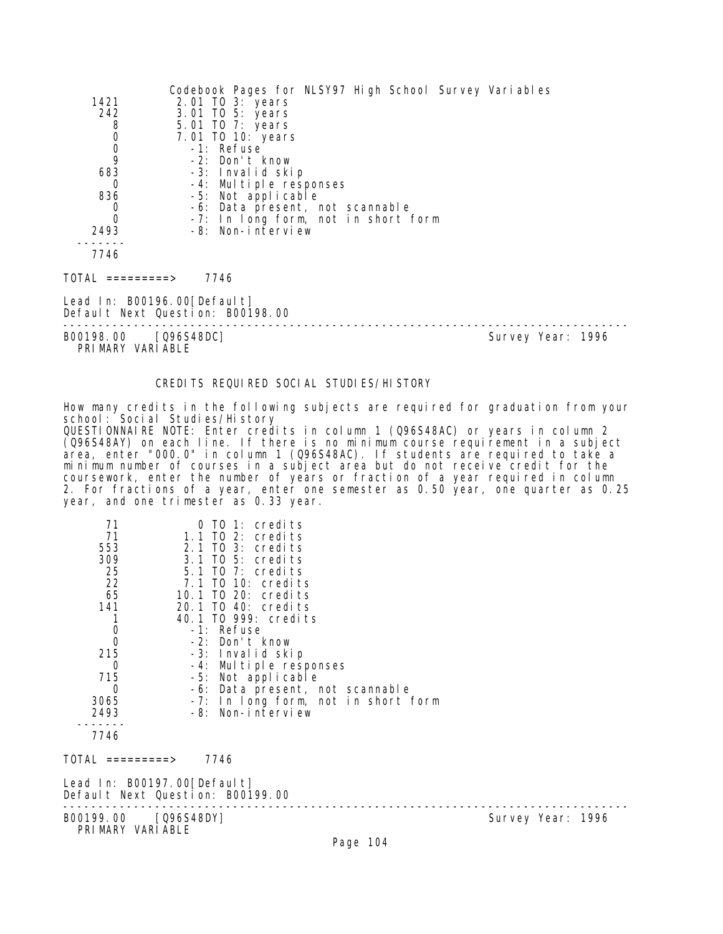|                                           | Codebook Pages for NLSY97 High School Survey Variables          |                   |
|-------------------------------------------|-----------------------------------------------------------------|-------------------|
| 1421                                      | 2.01 TO 3: years                                                |                   |
| 242                                       | 3.01 TO 5: years                                                |                   |
| 8                                         | 5.01 TO 7: years                                                |                   |
| $\begin{matrix} 0 \\ 0 \\ 9 \end{matrix}$ | 7.01 TO 10: years                                               |                   |
|                                           | -1: Refuse                                                      |                   |
|                                           | -2: Don't know                                                  |                   |
| 683                                       | -3: Invalid skip                                                |                   |
| 0                                         | -4: Multiple responses                                          |                   |
| 836                                       | -5: Not applicable                                              |                   |
| 0                                         | -6: Data present, not scannable                                 |                   |
| 0                                         | -7: In long form, not in short form                             |                   |
| 2493                                      | -8: Non-interview                                               |                   |
|                                           |                                                                 |                   |
| 7746                                      |                                                                 |                   |
| TOTAL =========>                          | 7746                                                            |                   |
|                                           | Lead In: B00196.00[Default]<br>Default Next Question: B00198.00 |                   |
| B00198.00<br>. <i>.</i> .                 | [Q96S48DC]                                                      | Survey Year: 1996 |

PRIMARY VARIABLE

# CREDITS REQUIRED SOCIAL STUDIES/HISTORY

How many credits in the following subjects are required for graduation from your school: Social Studies/History

QUESTIONNAIRE NOTE: Enter credits in column 1 (Q96S48AC) or years in column 2 (Q96S48AY) on each line. If there is no minimum course requirement in a subject area, enter "000.0" in column 1 (Q96S48AC). If students are required to take a minimum number of courses in a subject area but do not receive credit for the coursework, enter the number of years or fraction of a year required in column 2. For fractions of a year, enter one semester as 0.50 year, one quarter as 0.25 year, and one trimester as 0.33 year.

| 71<br>71<br>553<br>309<br>25<br>22<br>65<br>141<br>$\begin{smallmatrix} 0\\0 \end{smallmatrix}$<br>215<br>0<br>715<br>0<br>3065<br>2493 | TO 1: credits<br>1.1 TO 2: credits<br>$2.1$ TO $3:$ credits<br>3.1 TO 5: credits<br>5.1 TO 7: credits<br>7.1 TO 10: credits<br>10.1 TO 20: credits<br>20.1 TO 40: credits<br>40.1 TO 999: credits<br>-1: Refuse<br>-2: Don't know<br>-3: Invalid skip<br>-4: Multiple responses<br>-5: Not applicable<br>-6: Data present, not scannable<br>-7: In long form, not in short form<br>-8: Non-interview |                   |
|-----------------------------------------------------------------------------------------------------------------------------------------|------------------------------------------------------------------------------------------------------------------------------------------------------------------------------------------------------------------------------------------------------------------------------------------------------------------------------------------------------------------------------------------------------|-------------------|
| 7746                                                                                                                                    |                                                                                                                                                                                                                                                                                                                                                                                                      |                   |
| TOTAL =========>                                                                                                                        | 7746                                                                                                                                                                                                                                                                                                                                                                                                 |                   |
|                                                                                                                                         | Lead In: B00197.00[Default]<br>Default Next Question: B00199.00                                                                                                                                                                                                                                                                                                                                      |                   |
| B00199.00 [Q96S48DY]<br>PRIMARY VARIABLE                                                                                                |                                                                                                                                                                                                                                                                                                                                                                                                      | Survey Year: 1996 |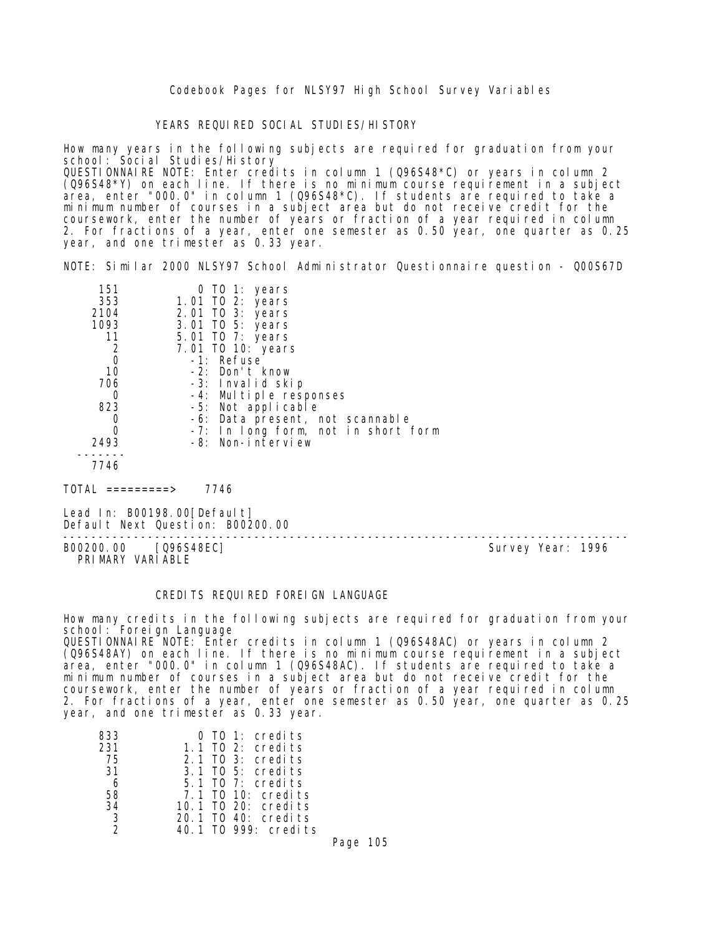Codebook Pages for NLSY97 High School Survey Variables

YEARS REQUIRED SOCIAL STUDIES/HISTORY

How many years in the following subjects are required for graduation from your school: Social Studies/History

QUESTIONNAIRE NOTE: Enter credits in column 1 (Q96S48\*C) or years in column 2 (Q96S48\*Y) on each line. If there is no minimum course requirement in a subject area, enter "000.0" in column 1 (Q96S48\*C). If students are required to take a minimum number of courses in a subject area but do not receive credit for the coursework, enter the number of years or fraction of a year required in column 2. For fractions of a year, enter one semester as 0.50 year, one quarter as 0.25 year, and one trimester as 0.33 year.

NOTE: Similar 2000 NLSY97 School Administrator Questionnaire question - Q00S67D

| 151  | 0 TO 1: years                       |
|------|-------------------------------------|
| 353  | 1.01 TO 2: years                    |
| 2104 | 2.01 TO 3: years                    |
| 1093 | 3.01 TO 5: years                    |
| 11   | 5.01 TO 7: years                    |
| 2    | 7.01 TO 10: years                   |
| 0    | -1: Refuse                          |
| 10   | -2: Don't know                      |
| 706  | -3: Invalid skip                    |
|      | -4: Multiple responses              |
| 823  | -5: Not applicable                  |
|      | -6: Data present, not scannable     |
|      | -7: In long form, not in short form |
| 2493 | -8: Non-interview                   |
| 7746 |                                     |
|      |                                     |

 $TOTAL$  ========> 7746

Lead In: B00198.00 [Default] Default Next Question: B00200.00

B00200.00 [Q96S48EC] PRIMARY VARIABLE

--------------------------------------------------------------------------------

#### CREDITS REQUIRED FOREIGN LANGUAGE

How many credits in the following subjects are required for graduation from your school: Foreign Language QUESTIONNAIRE NOTE: Enter credits in column 1 (Q96S48AC) or years in column 2 (Q96S48AY) on each line. If there is no minimum course requirement in a subject area, enter "000.0" in column 1 (Q96S48AC). If students are required to take a minimum number of courses in a subject area but do not receive credit for the coursework, enter the number of years or fraction of a year required in column

2. For fractions of a year, enter one semester as 0.50 year, one quarter as 0.25 year, and one trimester as 0.33 year.

| 833           | $0$ TO 1: credits     |
|---------------|-----------------------|
| 231           | $1.1$ TO 2: credits   |
| - 75          | $2.1$ TO $3:$ credits |
| 31            | 3.1 TO 5: credits     |
| -6            | 5.1 TO 7: credits     |
| 58            | 7.1 TO 10: credits    |
| 34            | 10.1 TO 20: credits   |
| -3            | 20.1 TO 40: credits   |
| $\mathcal{D}$ | 40.1 TO 999: credits  |

Page 105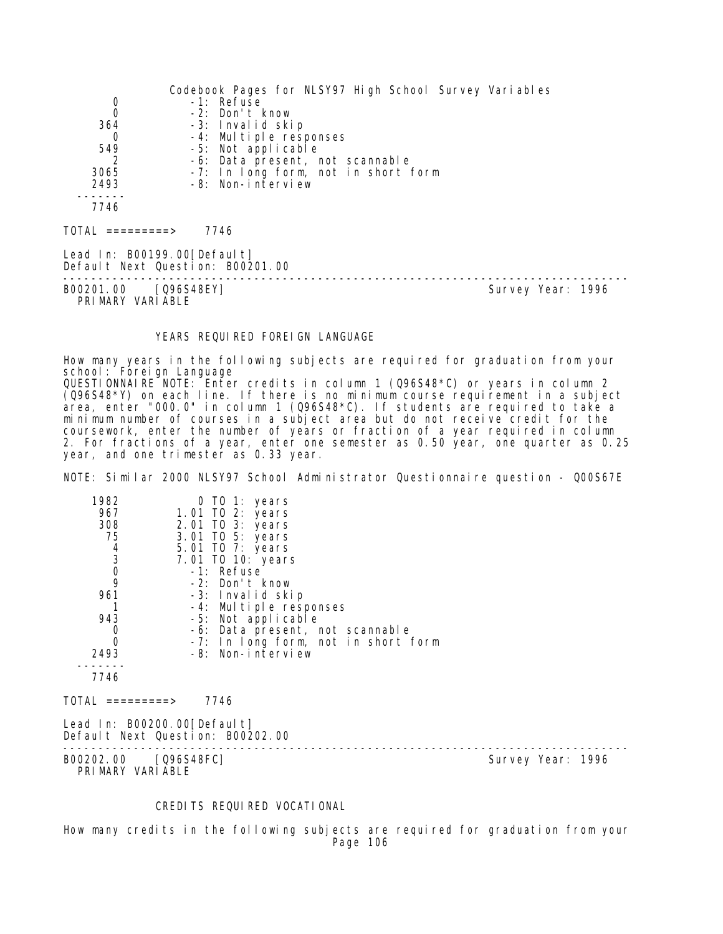|                                  | Codebook Pages for NLSY97 High School Survey Variables |                   |
|----------------------------------|--------------------------------------------------------|-------------------|
| $\begin{matrix}0\\0\end{matrix}$ | -1: Refuse                                             |                   |
|                                  | -2: Don't know                                         |                   |
| 364                              | -3: Invalid skip                                       |                   |
| 0                                | -4: Multiple responses                                 |                   |
| 549                              | -5: Not applicable                                     |                   |
|                                  | -6: Data present, not scannable                        |                   |
| 3065                             | -7: In long form, not in short form                    |                   |
| 2493                             | -8: Non-interview                                      |                   |
|                                  |                                                        |                   |
| 7746                             |                                                        |                   |
|                                  | 7746                                                   |                   |
|                                  |                                                        |                   |
| Lead In: B00199.00[Default]      |                                                        |                   |
|                                  | Default Next Question: B00201.00                       |                   |
|                                  |                                                        |                   |
| B00201.00 [Q96S48EY]             |                                                        | Survey Year: 1996 |
| PRIMARY VARIABLE                 |                                                        |                   |

### YEARS REQUIRED FOREIGN LANGUAGE

How many years in the following subjects are required for graduation from your school: Foreign Language QUESTIONNAIRE NOTE: Enter credits in column 1 (Q96S48\*C) or years in column 2 (Q96S48\*Y) on each line. If there is no minimum course requirement in a subject area, enter "000.0" in column 1 (Q96S48\*C). If students are required to take a minimum number of courses in a subject area but do not receive credit for the coursework, enter the number of years or fraction of a year required in column 2. For fractions of a year, enter one semester as 0.50 year, one quarter as 0.25 year, and one trimester as 0.33 year.

NOTE: Similar 2000 NLSY97 School Administrator Questionnaire question - Q00S67E

| 1982<br>967<br>308<br>75<br>$\begin{array}{c} 4 \\ 3 \\ 0 \\ 9 \end{array}$ | 0 TO 1: years<br>1.01 TO 2: years<br>2.01 TO 3: years<br>3.01 TO 5: years<br>5.01 TO 7: years<br>7.01 TO 10: years<br>-1: Refuse |                   |
|-----------------------------------------------------------------------------|----------------------------------------------------------------------------------------------------------------------------------|-------------------|
| 961                                                                         | -2: Don't know<br>-3: Invalid skip                                                                                               |                   |
|                                                                             | -4: Multiple responses                                                                                                           |                   |
| 943                                                                         | -5: Not applicable                                                                                                               |                   |
| 0                                                                           | -6: Data present, not scannable                                                                                                  |                   |
| 0                                                                           | -7: In long form, not in short form                                                                                              |                   |
| 2493                                                                        | -8: Non-interview                                                                                                                |                   |
| 7746                                                                        |                                                                                                                                  |                   |
| TOTAL =========>                                                            | 7746                                                                                                                             |                   |
|                                                                             | Lead In: B00200.00[Default]<br>Default Next Question: B00202.00                                                                  |                   |
| B00202.00 [Q96S48FC]<br>PRIMARY VARIABLE                                    |                                                                                                                                  | Survey Year: 1996 |

## CREDITS REQUIRED VOCATIONAL

How many credits in the following subjects are required for graduation from your Page 106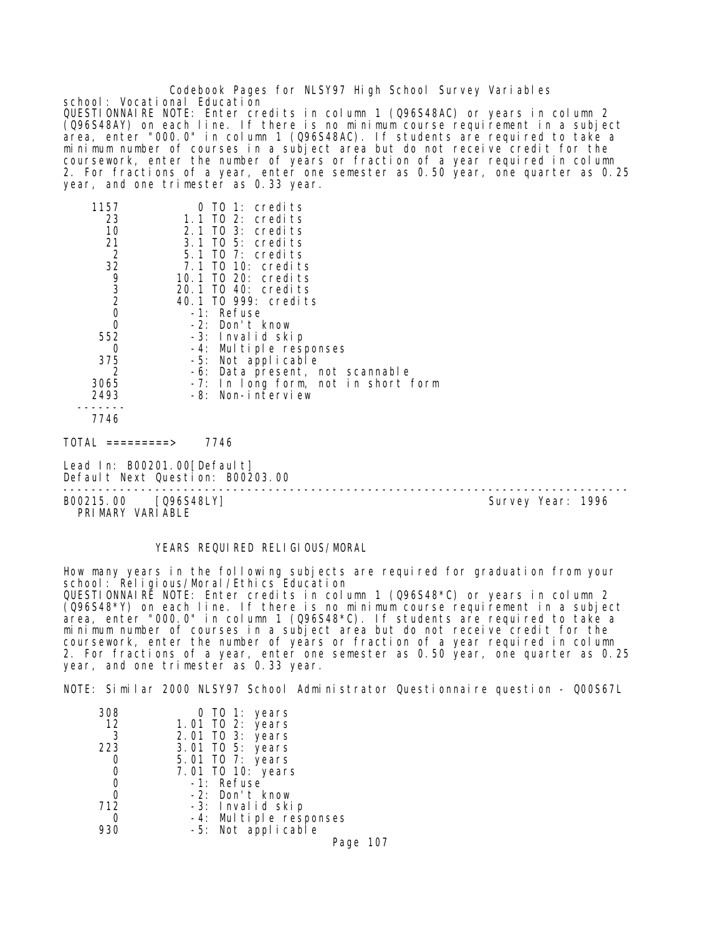Codebook Pages for NLSY97 High School Survey Variables school: Vocational Education QUESTIONNAIRE NOTE: Enter credits in column 1 (Q96S48AC) or years in column 2 (Q96S48AY) on each line. If there is no minimum course requirement in a subject area, enter "000.0" in column 1 (Q96S48AC). If students are required to take a minimum number of courses in a subject area but do not receive credit for the coursework, enter the number of years or fraction of a year required in column 2. For fractions of a year, enter one semester as 0.50 year, one quarter as 0.25 year, and one trimester as 0.33 year.

| 1157 | TO 1: credits                                                                                                                             |
|------|-------------------------------------------------------------------------------------------------------------------------------------------|
|      | 1.1 TO 2: credits                                                                                                                         |
|      | 2.1 TO 3: credits                                                                                                                         |
|      | $3.1$ TO 5: credits                                                                                                                       |
|      | $5.1$ TO 7: credits                                                                                                                       |
|      | 7.1 TO 10: credits                                                                                                                        |
|      | 10.1 TO 20: credits                                                                                                                       |
|      | 20.1 TO 40: credits                                                                                                                       |
|      | 40.1 TO 999: credits                                                                                                                      |
|      | -1: Refuse                                                                                                                                |
| 0    | -2: Don't know                                                                                                                            |
|      | -3: Invalid skip                                                                                                                          |
| 0    | -4: Multiple responses                                                                                                                    |
|      | -5: Not applicable                                                                                                                        |
| 2    | -6: Data present, not scannable                                                                                                           |
|      | -7: In long form, not in short form                                                                                                       |
|      | -8: Non-interview                                                                                                                         |
|      |                                                                                                                                           |
|      |                                                                                                                                           |
|      | 23<br>10<br>21<br>$\overline{2}$<br>32<br>$\begin{array}{c} 9 \\ 3 \\ 2 \end{array}$<br>$\mathbf 0$<br>552<br>375<br>3065<br>2493<br>7746 |

 $TOTAL$  =========> 7746

Lead In: B00201.00[Default] Default Next Question: B00203.00

-------------------------------------------------------------------------------- PRIMARY VARIABLE

Survey Year: 1996

### YEARS REQUIRED RELIGIOUS/MORAL

How many years in the following subjects are required for graduation from your school: Religious/Moral/Ethics Education QUESTIONNAIRE NOTE: Enter credits in column 1 (Q96S48\*C) or years in column 2 (Q96S48\*Y) on each line. If there is no minimum course requirement in a subject area, enter "000.0" in column 1 (Q96S48\*C). If students are required to take a minimum number of courses in a subject area but do not receive credit for the coursework, enter the number of years or fraction of a year required in column 2. For fractions of a year, enter one semester as 0.50 year, one quarter as 0.25 year, and one trimester as 0.33 year.

NOTE: Similar 2000 NLSY97 School Administrator Questionnaire question - Q00S67L

| 308 | 0 TO 1: years                                |
|-----|----------------------------------------------|
| 12  | 1.01 TO 2: years                             |
| 3   | 2.01 TO 3: years                             |
| 223 | 3.01 TO 5: years                             |
|     | 5.01 TO 7: years                             |
|     | 7.01 TO 10: years                            |
| 0   | -1: Refuse                                   |
| 0   | -2: Don't know                               |
| 712 | -3: Invalid skip                             |
|     | -4: Multiple responses<br>-5: Not applicable |
| 930 |                                              |

Page 107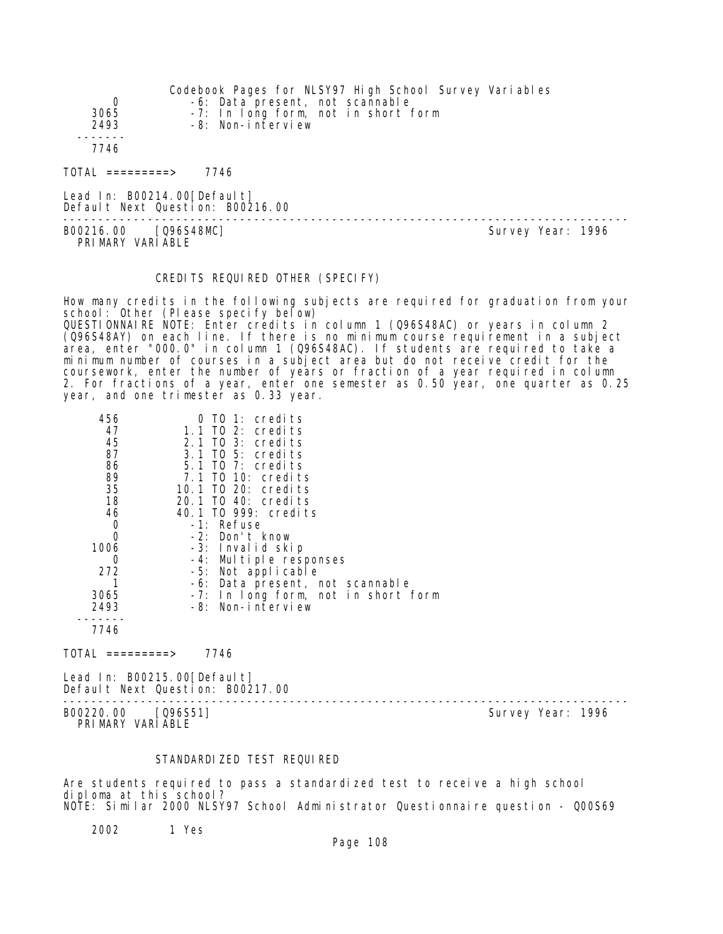|                              | Codebook Pages for NLSY97 High School Survey Variables |
|------------------------------|--------------------------------------------------------|
| 0                            | -6: Data present, not scannable                        |
| 3065                         | -7: In long form, not in short form                    |
| 2493                         | -8: Non-interview                                      |
|                              |                                                        |
| 7746                         |                                                        |
| $\text{TOTAL}$ ==========>   | 7746                                                   |
| Lead In: B00214.00 [Default] | Default Next Question: B00216.00                       |

B00216.00 [Q96S48MC] PRIMARY VARIABLE

--------------------------------------------------------------------------------

# CREDITS REQUIRED OTHER (SPECIFY)

How many credits in the following subjects are required for graduation from your school: Other (Please specify below) QUESTIONNAIRE NOTE: Enter credits in column 1 (Q96S48AC) or years in column 2 (Q96S48AY) on each line. If there is no minimum course requirement in a subject area, enter "000.0" in column 1 (Q96S48AC). If students are required to take a minimum number of courses in a subject area but do not receive credit for the coursework, enter the number of years or fraction of a year required in column 2. For fractions of a year, enter one semester as 0.50 year, one quarter as 0.25 year, and one trimester as 0.33 year.

| 456      | TO 1: credits                       |
|----------|-------------------------------------|
| 47       | 1.1 TO 2: credits                   |
| 45       | 2.1 TO 3: credits                   |
| 87       | 3.1 TO 5: credits                   |
| 86       | 5.1 TO 7: credits                   |
| 89       | 7.1 TO 10: credits                  |
| 35       | 10.1 TO 20: credits                 |
| 18       | 20.1 TO 40: credits                 |
| 46       | 40.1 TO 999: credits                |
| 0        | -1: Refuse                          |
| $\Omega$ | -2: Don't know                      |
| 1006     | -3: Invalid skip                    |
| Ω        | -4: Multiple responses              |
| 272      | -5: Not applicable                  |
|          | -6: Data present, not scannable     |
| 3065     | -7: In long form, not in short form |
| 2493     | -8: Non-interview                   |
|          |                                     |
| 7746     |                                     |
|          |                                     |

 $TOTAL$  =========> 7746

Lead In: B00215.00 [Default] Default Next Question: B00217.00

B00220.00 [Q96S51] PRIMARY VARIABLE

--------------------------------------------------------------------------------

### STANDARDIZED TEST REQUIRED

Are students required to pass a standardized test to receive a high school diploma at this school? NOTE: Similar 2000 NLSY97 School Administrator Questionnaire question - Q00S69

2002 1 Yes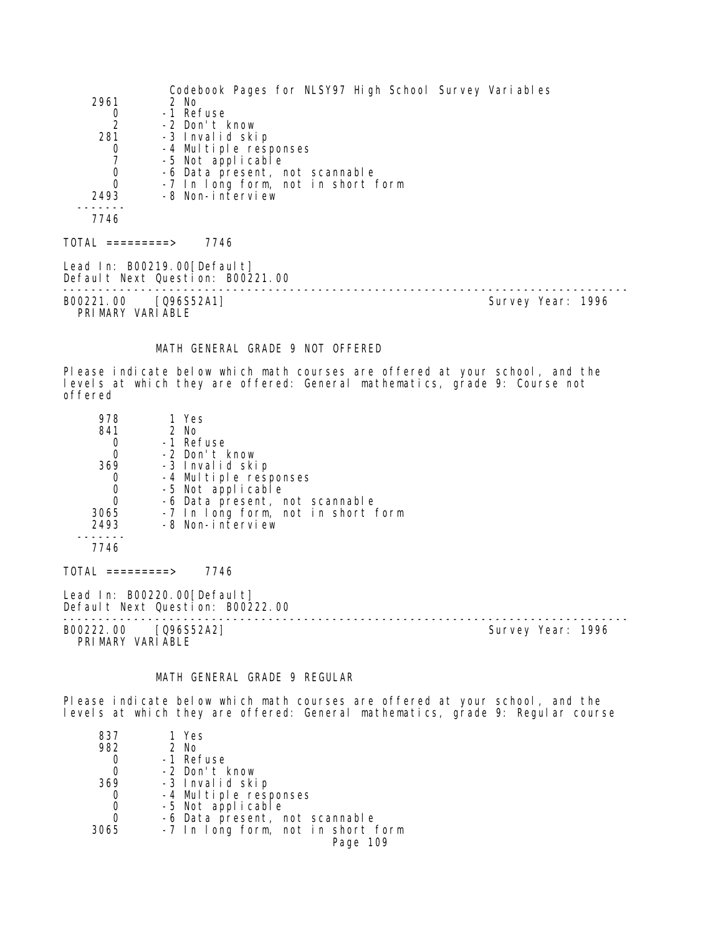|                                          | Codebook Pages for NLSY97 High School Survey Variables          |                   |
|------------------------------------------|-----------------------------------------------------------------|-------------------|
| 2961                                     | 2 No                                                            |                   |
| 0                                        | -1 Refuse                                                       |                   |
| $\overline{2}$                           | -2 Don't know                                                   |                   |
| 281                                      | -3 Invalid skip                                                 |                   |
| 0                                        | -4 Multiple responses                                           |                   |
|                                          | -5 Not applicable                                               |                   |
| $\begin{matrix}0\\0\end{matrix}$         | -6 Data present, not scannable                                  |                   |
|                                          | -7 In long form, not in short form                              |                   |
| 2493                                     | -8 Non-interview                                                |                   |
|                                          |                                                                 |                   |
| 7746                                     |                                                                 |                   |
| TOTAL =========>                         | 7746                                                            |                   |
|                                          | Lead In: B00219.00[Default]<br>Default Next Question: B00221.00 |                   |
|                                          |                                                                 |                   |
| B00221.00 [Q96S52A1]<br>PRIMARY VARIABLE |                                                                 | Survey Year: 1996 |
|                                          |                                                                 |                   |

#### MATH GENERAL GRADE 9 NOT OFFERED

Please indicate below which math courses are offered at your school, and the levels at which they are offered: General mathematics, grade 9: Course not offered

| 978  | 1 Yes                              |
|------|------------------------------------|
| 841  | 2 No                               |
|      | -1 Refuse                          |
|      | -2 Don't know                      |
| 369  | -3 Invalid skip                    |
|      | -4 Multiple responses              |
|      | -5 Not applicable                  |
|      | -6 Data present, not scannable     |
| 3065 | -7 In long form, not in short form |
| 2493 | -8 Non-interview                   |
|      |                                    |
| 7746 |                                    |
|      |                                    |

TOTAL =========> 7746

Lead In: B00220.00[Default] Default Next Question: B00222.00

B00222.00 [Q96S52A2] PRIMARY VARIABLE

--------------------------------------------------------------------------------

# MATH GENERAL GRADE 9 REGULAR

Please indicate below which math courses are offered at your school, and the levels at which they are offered: General mathematics, grade 9: Regular course

| 837  | 1 Yes                              |
|------|------------------------------------|
| 982  | 2 No                               |
| 0    | -1 Refuse                          |
|      | -2 Don't know                      |
| 369  | -3 Invalid skip                    |
| 0    | -4 Multiple responses              |
| 0    | -5 Not applicable                  |
| 0    | -6 Data present, not scannable     |
| 3065 | -7 In long form, not in short form |
|      | Page 109                           |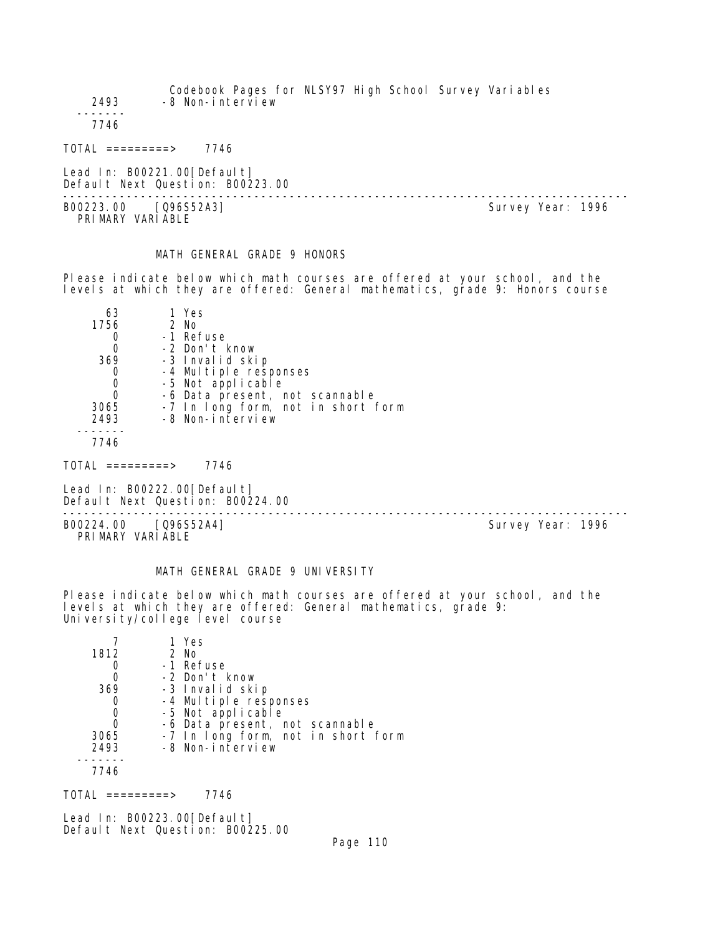Codebook Pages for NLSY97 High School Survey Variables 2493 -8 Non-interview ------- 7746 TOTAL =========> 7746 Lead In: B00221.00 [Default]

Default Next Question: B00223.00 B00223.00 [Q96S52A3]

PRIMARY VARIABLE

--------------------------------------------------------------------------------

# MATH GENERAL GRADE 9 HONORS

Please indicate below which math courses are offered at your school, and the levels at which they are offered: General mathematics, grade 9: Honors course

| 63   | 1 Yes                              |
|------|------------------------------------|
| 1756 | $2$ No                             |
|      | -1 Refuse                          |
|      | -2 Don't know                      |
| 369  | -3 Invalid skip                    |
|      | -4 Multiple responses              |
|      | -5 Not applicable                  |
|      | -6 Data present, not scannable     |
| 3065 | -7 In long form, not in short form |
| 2493 | -8 Non-interview                   |
|      |                                    |

7746

 $TOTAL$  =========> 7746

Lead In: B00222.00 [Default] Default Next Question: B00224.00

B00224.00 [Q96S52A4] PRIMARY VARIABLE

--------------------------------------------------------------------------------

# MATH GENERAL GRADE 9 UNIVERSITY

Please indicate below which math courses are offered at your school, and the levels at which they are offered: General mathematics, grade 9: University/college level course

|      | 1 Yes                              |
|------|------------------------------------|
| 1812 | $2$ No                             |
|      | -1 Refuse                          |
|      | -2 Don't know                      |
| 369  | -3 Invalid skip                    |
|      | -4 Multiple responses              |
| 0    | -5 Not applicable                  |
| 0    | -6 Data present, not scannable     |
| 3065 | -7 In long form, not in short form |
| 2493 | -8 Non-interview                   |
|      |                                    |
| 7746 |                                    |

 $TOTAL$  ========> 7746

Lead In: B00223.00 [Default] Default Next Question: B00225.00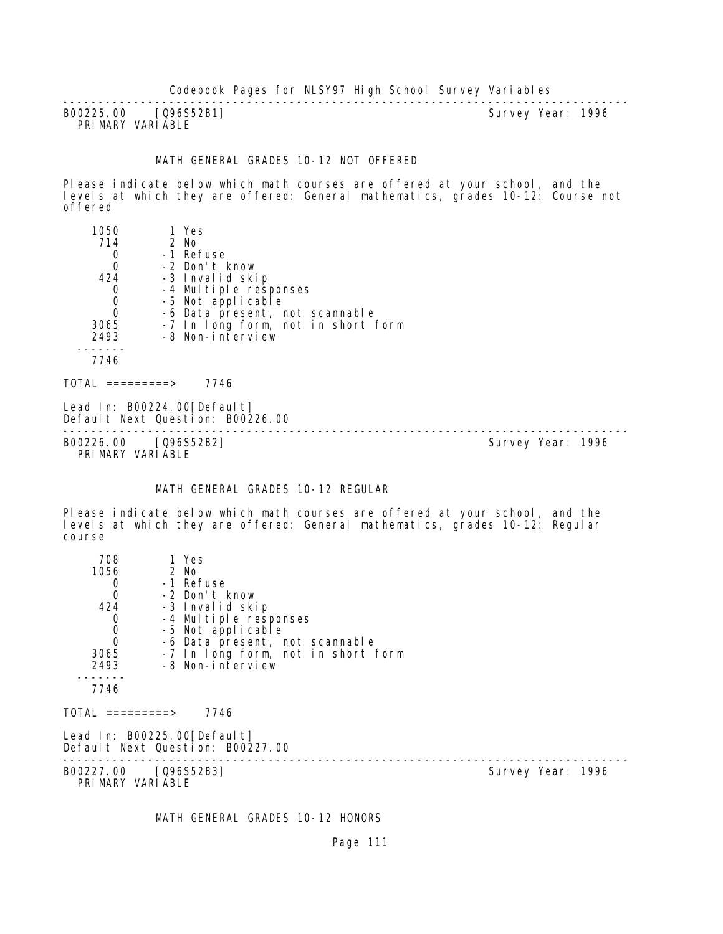B00225.00 [Q96S52B1] PRIMARY VARIABLE

--------------------------------------------------------------------------------

#### MATH GENERAL GRADES 10-12 NOT OFFERED

Please indicate below which math courses are offered at your school, and the levels at which they are offered: General mathematics, grades 10-12: Course not offered

| 1050 | 1 Yes                              |
|------|------------------------------------|
| 714  | 2 No                               |
|      | -1 Refuse                          |
| 0    | -2 Don't know                      |
| 424  | -3 Invalid skip                    |
|      | -4 Multiple responses              |
| 0    | -5 Not applicable                  |
| Ω    | -6 Data present, not scannable     |
| 3065 | -7 In long form, not in short form |
| 2493 | -8 Non-interview                   |
|      |                                    |
| 7746 |                                    |
|      |                                    |

 $TOTAL$  ========> 7746

Lead In: B00224.00 [Default] Default Next Question: B00226.00

-------------------------------------------------------------------------------- B00226.00 [Q96S52B2] Survey Year: 1996 PRIMARY VARIABLE

#### MATH GENERAL GRADES 10-12 REGULAR

Please indicate below which math courses are offered at your school, and the levels at which they are offered: General mathematics, grades 10-12: Regular course

| 708                                      | 1 Yes                                                           |                   |  |
|------------------------------------------|-----------------------------------------------------------------|-------------------|--|
| 1056                                     | 2 No                                                            |                   |  |
| 0                                        | -1 Refuse                                                       |                   |  |
| $\boldsymbol{0}$                         | -2 Don't know                                                   |                   |  |
| 424                                      | -3 Invalid skip                                                 |                   |  |
| 0                                        | -4 Multiple responses                                           |                   |  |
| $\begin{matrix}0\\0\end{matrix}$         | -5 Not applicable                                               |                   |  |
|                                          | -6 Data present, not scannable                                  |                   |  |
| 3065                                     | -7 In long form, not in short form                              |                   |  |
| 2493                                     | -8 Non-interview                                                |                   |  |
|                                          |                                                                 |                   |  |
| 7746                                     |                                                                 |                   |  |
| TOTAL =========>                         | 7746                                                            |                   |  |
|                                          | Lead In: B00225.00[Default]<br>Default Next Question: B00227.00 |                   |  |
| B00227.00 [Q96S52B3]<br>PRIMARY VARIABLE |                                                                 | Survey Year: 1996 |  |

MATH GENERAL GRADES 10-12 HONORS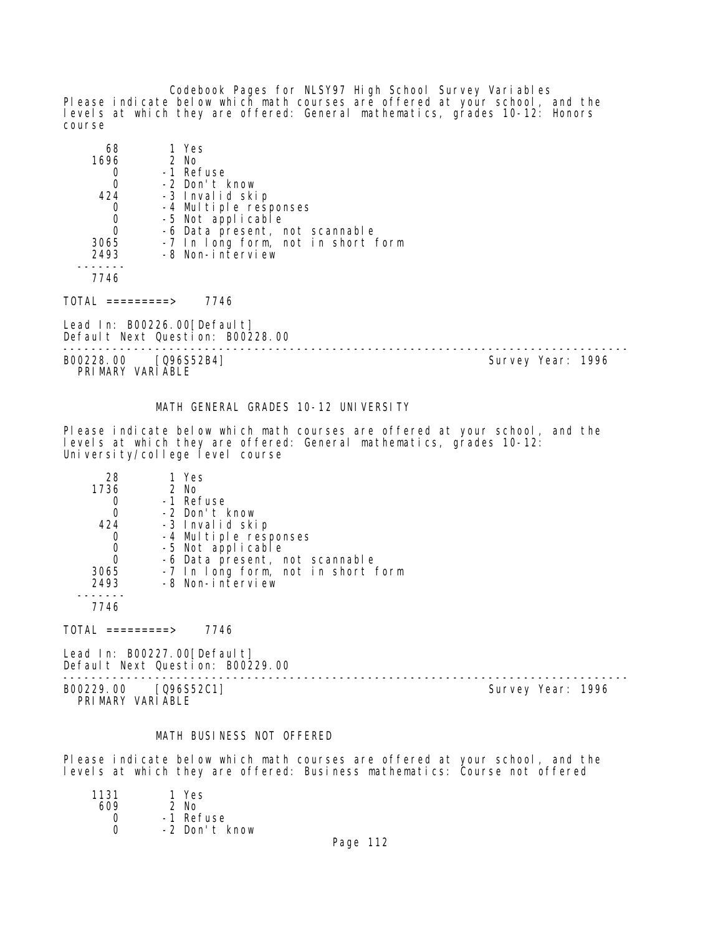Codebook Pages for NLSY97 High School Survey Variables Please indicate below which math courses are offered at your school, and the levels at which they are offered: General mathematics, grades 10-12: Honors course

| 68   | 1 Yes                                      |
|------|--------------------------------------------|
| 1696 | 2 No                                       |
|      | -1 Refuse                                  |
|      | -2 Don't know                              |
| 424  | -3 Invalid skip                            |
|      | -4 Multiple responses<br>-5 Not applicable |
|      |                                            |
| Ω    | -6 Data present, not scannable             |
| 3065 | -7 In long form, not in short form         |
| 2493 | -8 Non-interview                           |
|      |                                            |
| 7746 |                                            |

TOTAL =========> 7746

Lead In: B00226.00 [Default] Default Next Question: B00228.00

-------------------------------------------------------------------------------- B00228.00 [Q96S52B4] Survey Year: 1996 PRIMARY VARIABLE

#### MATH GENERAL GRADES 10-12 UNIVERSITY

Please indicate below which math courses are offered at your school, and the levels at which they are offered: General mathematics, grades 10-12: University/college level course

| 28   | 1 Yes                              |
|------|------------------------------------|
| 1736 | $2$ No                             |
|      | -1 Refuse                          |
|      | -2 Don't know                      |
| 424  | -3 Invalid skip                    |
|      | -4 Multiple responses              |
|      | -5 Not applicable                  |
|      | -6 Data present, not scannable     |
| 3065 | -7 In long form, not in short form |
| 2493 | -8 Non-interview                   |
|      |                                    |
| 7746 |                                    |

 $TOTAL$  =========> 7746

Lead In: B00227.00[Default] Default Next Question: B00229.00

-------------------------------------------------------------------------------- B00229.00 [Q96S52C1] Survey Year: 1996 PRIMARY VARIABLE

#### MATH BUSINESS NOT OFFERED

Please indicate below which math courses are offered at your school, and the levels at which they are offered: Business mathematics: Course not offered

| 1131 | 1 Yes         |
|------|---------------|
| 609  | $2$ No        |
| Ω    | -1 Refuse     |
| ∩    | -2 Don't know |
|      |               |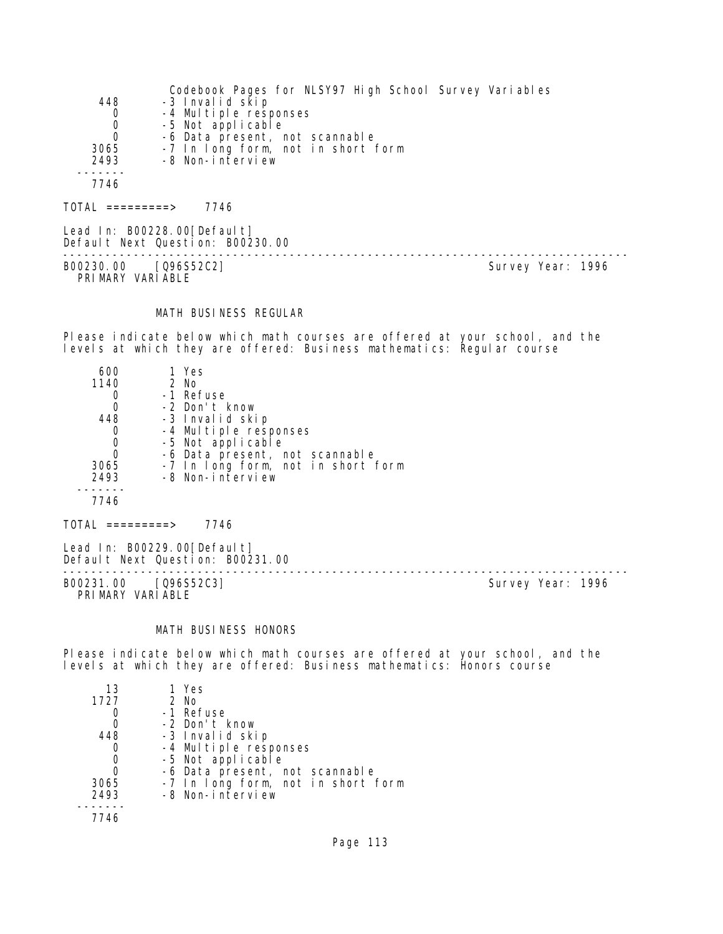|             | Codebook Pages for NLSY97 High School Survey Variables |
|-------------|--------------------------------------------------------|
| 448         | -3 Invalid skip                                        |
| $\mathbf 0$ | -4 Multiple responses                                  |
| $\Omega$    | -5 Not applicable                                      |
| 0           | -6 Data present, not scannable                         |
| 3065        | -7 In long form, not in short form                     |
| 2493        | -8 Non-interview                                       |
|             |                                                        |
| 7746        |                                                        |
|             |                                                        |

TOTAL =========> 7746

Lead In: B00228.00[Default] Default Next Question: B00230.00 -------------------------------------------------------------------------------- B00230.00 [Q96S52C2] Survey Year: 1996 PRIMARY VARIABLE

# MATH BUSINESS REGULAR

Please indicate below which math courses are offered at your school, and the levels at which they are offered: Business mathematics: Regular course

| 600  | 1 Yes                              |
|------|------------------------------------|
| 1140 | 2 No                               |
|      | -1 Refuse                          |
|      | -2 Don't know                      |
| 448  | -3 Invalid skip                    |
|      | -4 Multiple responses              |
|      | -5 Not applicable                  |
|      | -6 Data present, not scannable     |
| 3065 | -7 In long form, not in short form |
| 2493 | -8 Non-interview                   |
|      |                                    |
| 7746 |                                    |

TOTAL =========> 7746

Lead In: B00229.00[Default] Default Next Question: B00231.00

B00231.00 [Q96S52C3] PRIMARY VARIABLE

--------------------------------------------------------------------------------

# MATH BUSINESS HONORS

Please indicate below which math courses are offered at your school, and the levels at which they are offered: Business mathematics: Honors course

| 13   | 1 Yes                              |
|------|------------------------------------|
| 1727 | 2 No                               |
|      | -1 Refuse                          |
|      | -2 Don't know                      |
| 448  | -3 Invalid skip                    |
|      | -4 Multiple responses              |
|      | -5 Not applicable                  |
|      | -6 Data present, not scannable     |
| 3065 | -7 In long form, not in short form |
| 2493 | -8 Non-interview                   |
|      |                                    |
| 7746 |                                    |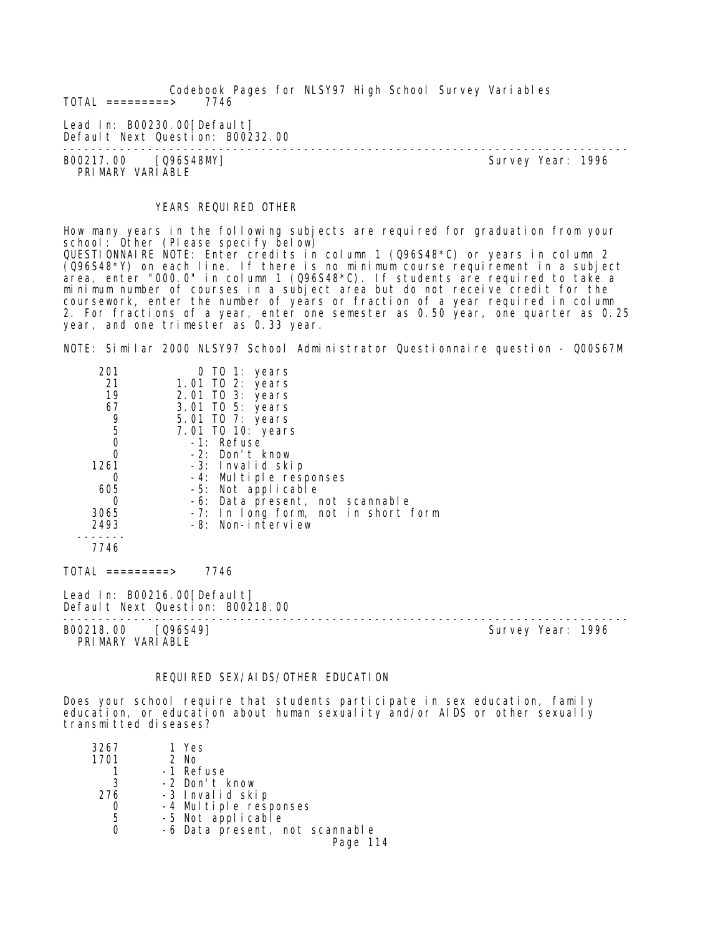Codebook Pages for NLSY97 High School Survey Variables  $TOTAL$  =========>

Lead In: B00230.00 [Default] Default Next Question: B00232.00

B00217.00 [Q96S48MY] PRIMARY VARIABLE

--------------------------------------------------------------------------------

# YEARS REQUIRED OTHER

How many years in the following subjects are required for graduation from your school: Other (Please specify below) QUESTIONNAIRE NOTE: Enter credits in column 1 (Q96S48\*C) or years in column 2 (Q96S48\*Y) on each line. If there is no minimum course requirement in a subject area, enter "000.0" in column 1 (Q96S48\*C). If students are required to take a minimum number of courses in a subject area but do not receive credit for the coursework, enter the number of years or fraction of a year required in column 2. For fractions of a year, enter one semester as 0.50 year, one quarter as 0.25 year, and one trimester as 0.33 year.

NOTE: Similar 2000 NLSY97 School Administrator Questionnaire question - Q00S67M

| 201         | 0 TO 1: years                       |
|-------------|-------------------------------------|
| 21          | 1.01 TO 2: years                    |
| 19          | 2.01 TO 3: years                    |
| 67          | 3.01 TO 5: years                    |
| 9<br>5      | 5.01 TO 7: years                    |
|             | 7.01 TO 10: years                   |
| $\mathbf 0$ | $-1$ : Refuse                       |
| 0           | -2: Don't know                      |
| 1261        | -3: Invalid skip                    |
| 0           | -4: Multiple responses              |
| 605         | -5: Not applicable                  |
| 0           | -6: Data present, not scannable     |
| 3065        | -7: In long form, not in short form |
| 2493        | -8: Non-interview                   |
|             |                                     |
| 7746        |                                     |
|             |                                     |

 $TOTAL$  =========> 7746

Lead In: B00216.00 [Default] Default Next Question: B00218.00

B00218.00 [Q96S49] PRIMARY VARIABLE

--------------------------------------------------------------------------------

# REQUIRED SEX/AIDS/OTHER EDUCATION

Does your school require that students participate in sex education, family education, or education about human sexuality and/or AIDS or other sexually transmitted diseases?

| 3267 | 1 Yes                          |
|------|--------------------------------|
| 1701 | $2$ No                         |
|      | -1 Refuse                      |
| 3    | -2 Don't know                  |
| 276  | -3 Invalid skip                |
|      | -4 Multiple responses          |
| 5    | -5 Not applicable              |
|      | -6 Data present, not scannable |
|      | Page 114                       |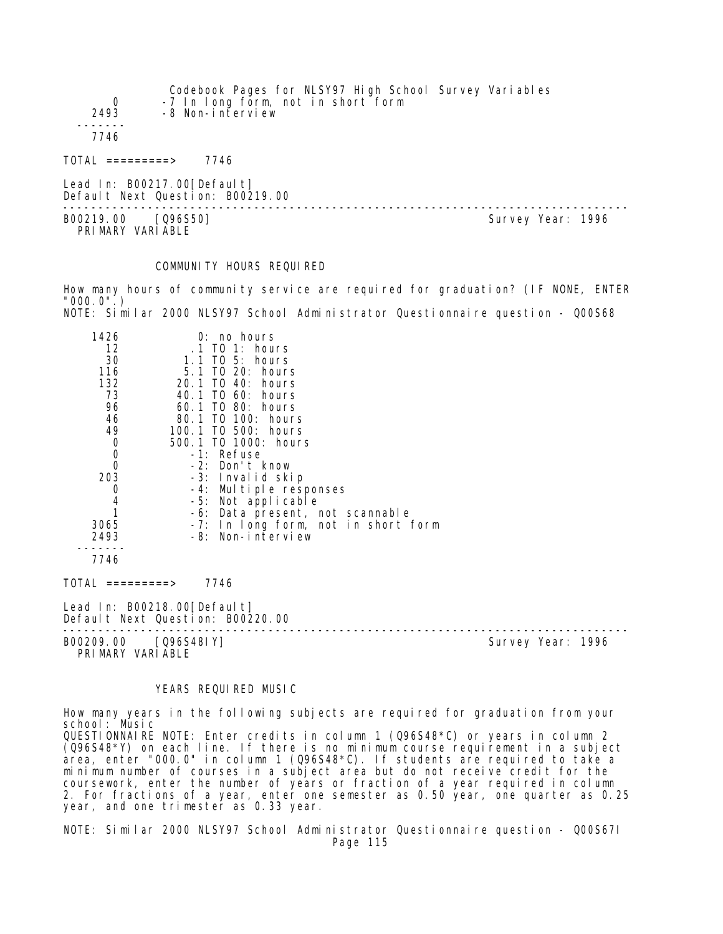| 0<br>2493        | Codebook Pages for NLSY97 High School Survey Variables<br>-7 In long form, not in short form<br>-8 Non-interview |                   |
|------------------|------------------------------------------------------------------------------------------------------------------|-------------------|
| 7746             |                                                                                                                  |                   |
| TOTAI =========> | 7746                                                                                                             |                   |
|                  | Lead In: B00217.00[Default]<br>Default Next Question: B00219.00                                                  |                   |
| B00219.00        | [096S50]                                                                                                         | Survey Year: 1996 |

B00219.00 [Q96S50] PRIMARY VARIABLE

# COMMUNITY HOURS REQUIRED

How many hours of community service are required for graduation? (IF NONE, ENTER "000.0".) NOTE: Similar 2000 NLSY97 School Administrator Questionnaire question - Q00S68

| 1426<br>12<br>30                          | $0:$ no hours<br>.1 TO 1: hours            |
|-------------------------------------------|--------------------------------------------|
| 116                                       | 1.1 TO 5: hours<br>5.1 TO 20: hours        |
| 132                                       | 20.1 TO 40: hours                          |
| 73                                        | 40.1 TO 60: hours                          |
| 96<br>46                                  | 60.1 TO 80: hours<br>80.1 TO 100: hours    |
| 49                                        | 100.1 TO 500: hours                        |
| $\begin{matrix} 0 \\ 0 \\ 0 \end{matrix}$ | 500.1 TO 1000: hours                       |
|                                           | -1: Refuse                                 |
|                                           | -2: Don't know                             |
| 203                                       | -3: Invalid skip<br>-4: Multiple responses |
| 0                                         | -5: Not applicable                         |
| $\begin{array}{c} 4 \\ 1 \end{array}$     | -6: Data present, not scannable            |
| 3065                                      | -7: In long form, not in short form        |
| 2493                                      | -8: Non-interview                          |
| 7746                                      |                                            |
| TOTAL =========>                          | 7746                                       |
|                                           | $1 \circ 1 \circ 1$ in: DOO210 OOFDofoult1 |

Lead In: B00218.00 [Default] Default Next Question: B00220.00 --------------------------------------------------------------------------------

B00209.00 [Q96S48IY] PRIMARY VARIABLE

#### YEARS REQUIRED MUSIC

How many years in the following subjects are required for graduation from your school: Music QUESTIONNAIRE NOTE: Enter credits in column 1 (Q96S48\*C) or years in column 2 (Q96S48\*Y) on each line. If there is no minimum course requirement in a subject area, enter "000.0" in column 1 (Q96S48\*C). If students are required to take a minimum number of courses in a subject area but do not receive credit for the coursework, enter the number of years or fraction of a year required in column 2. For fractions of a year, enter one semester as 0.50 year, one quarter as 0.25 year, and one trimester as 0.33 year.

NOTE: Similar 2000 NLSY97 School Administrator Questionnaire question - Q00S67I Page 115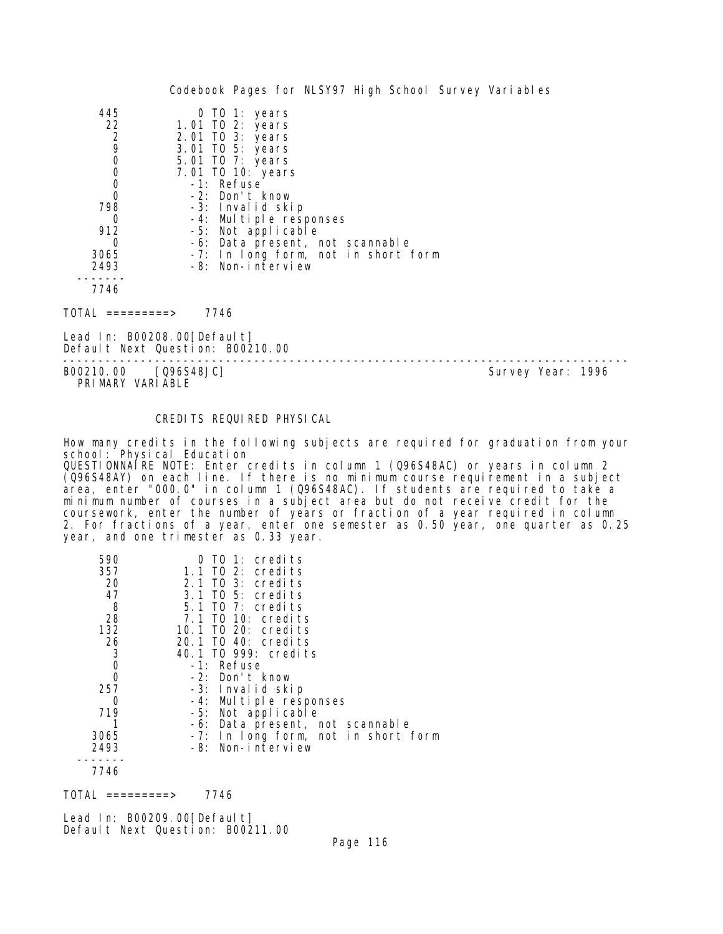| 445            | 0 TO 1: years                       |
|----------------|-------------------------------------|
| 22             | 1.01 TO 2: years                    |
| $\overline{c}$ | 2.01 TO 3: years                    |
| 9              | 3.01 TO 5: years                    |
| 0              | 5.01 TO 7: years                    |
| 0              | 7.01 TO 10: years                   |
| 0              | -1: Refuse                          |
| 0              | -2: Don't know                      |
| 798            | -3: Invalid skip                    |
|                | -4: Multiple responses              |
| 912            | -5: Not applicable                  |
|                | -6: Data present, not scannable     |
| 3065           | -7: In long form, not in short form |
| 2493           | -8: Non-interview                   |
|                |                                     |
| 7746           |                                     |

 $TOTAL$  =========> 7746

Lead In: B00208.00 [Default] Default Next Question: B00210.00

-------------------------------------------------------------------------------- Survey Year: 1996 PRIMARY VARIABLE

CREDITS REQUIRED PHYSICAL

How many credits in the following subjects are required for graduation from your school: Physical Education QUESTIONNAIRE NOTE: Enter credits in column 1 (Q96S48AC) or years in column 2

(Q96S48AY) on each line. If there is no minimum course requirement in a subject area, enter "000.0" in column 1 (Q96S48AC). If students are required to take a minimum number of courses in a subject area but do not receive credit for the coursework, enter the number of years or fraction of a year required in column 2. For fractions of a year, enter one semester as 0.50 year, one quarter as 0.25 year, and one trimester as 0.33 year.

| 590            | $0$ TO 1: credits                   |
|----------------|-------------------------------------|
| 357            | $1.1$ TO 2: credits                 |
| 20             | 2.1 TO 3: credits                   |
| 47             | 3.1 TO 5: credits                   |
| 8              | $5.1$ TO 7: credits                 |
| 28             | 7.1 TO 10: credits                  |
| 132            | 10.1 TO 20: credits                 |
| 26             | 20.1 TO 40: credits                 |
| 3              | 40.1 TO 999: credits                |
| $\mathbf 0$    | -1: Refuse                          |
| 0              | $-2$ : Don't know                   |
| 257            | -3: Invalid skip                    |
| Ω              | -4: Multiple responses              |
| 719            | -5: Not applicable                  |
|                | -6: Data present, not scannable     |
| 3065           | -7: In long form, not in short form |
| 2493           | -8: Non-interview                   |
| – – <i>. .</i> |                                     |

7746

TOTAL =========> 7746

Lead In: B00209.00 [Default] Default Next Question: B00211.00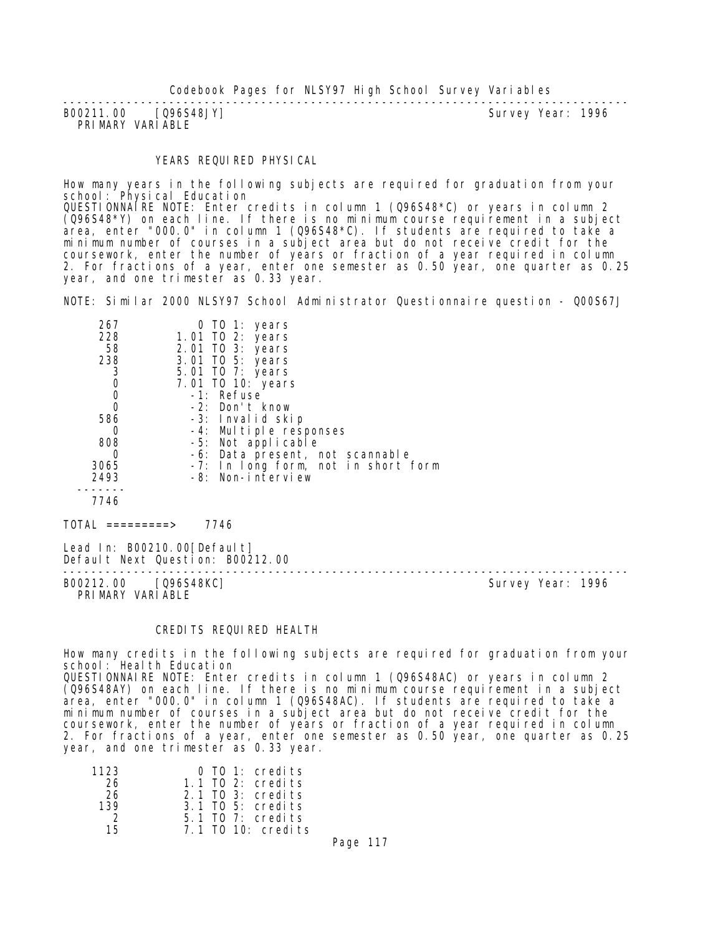| B00211.00 [Q96S48JY] |  | Survey Year: 1996 |  |
|----------------------|--|-------------------|--|
| PRIMARY VARIABLE     |  |                   |  |

#### YEARS REQUIRED PHYSICAL

How many years in the following subjects are required for graduation from your school: Physical Education QUESTIONNAIRE NOTE: Enter credits in column 1 (Q96S48\*C) or years in column 2 (Q96S48\*Y) on each line. If there is no minimum course requirement in a subject area, enter "000.0" in column 1 (Q96S48\*C). If students are required to take a minimum number of courses in a subject area but do not receive credit for the coursework, enter the number of years or fraction of a year required in column 2. For fractions of a year, enter one semester as 0.50 year, one quarter as 0.25 year, and one trimester as 0.33 year.

NOTE: Similar 2000 NLSY97 School Administrator Questionnaire question - Q00S67J

| 267  | 0 TO 1: years                       |
|------|-------------------------------------|
| 228  | 1.01 TO 2: years                    |
| 58   | 2.01 TO 3: years                    |
| 238  | 3.01 TO 5: years                    |
| 3    | 5.01 TO 7: years                    |
| 0    | 7.01 TO 10: years                   |
| 0    | -1: Refuse                          |
|      | $-2$ : Don't know                   |
| 586  | -3: Invalid skip                    |
|      | -4: Multiple responses              |
| 808  | -5: Not applicable                  |
| O    | -6: Data present, not scannable     |
| 3065 | -7: In long form, not in short form |
| 2493 | $-8$ : Non-interview                |
|      |                                     |
| 7746 |                                     |
|      |                                     |

TOTAL =========> 7746

Lead In: B00210.00 [Default] Default Next Question: B00212.00

-------------------------------------------------------------------------------- PRIMARY VARIABLE

Survey Year: 1996

#### CREDITS REQUIRED HEALTH

How many credits in the following subjects are required for graduation from your school: Health Education QUESTIONNAIRE NOTE: Enter credits in column 1 (Q96S48AC) or years in column 2 (Q96S48AY) on each line. If there is no minimum course requirement in a subject area, enter "000.0" in column 1 (Q96S48AC). If students are required to take a minimum number of courses in a subject area but do not receive credit for the coursework, enter the number of years or fraction of a year required in column 2. For fractions of a year, enter one semester as 0.50 year, one quarter as 0.25 year, and one trimester as 0.33 year.

| 1123          | $0$ TO 1: credits   |
|---------------|---------------------|
| 26            | $1.1$ TO 2: credits |
| -26           | $2.1$ TO 3: credits |
| 139           | $3.1$ TO 5: credits |
| $\mathcal{D}$ | $5.1$ TO 7: credits |
| 15.           | 7.1 TO 10: credits  |

Page 117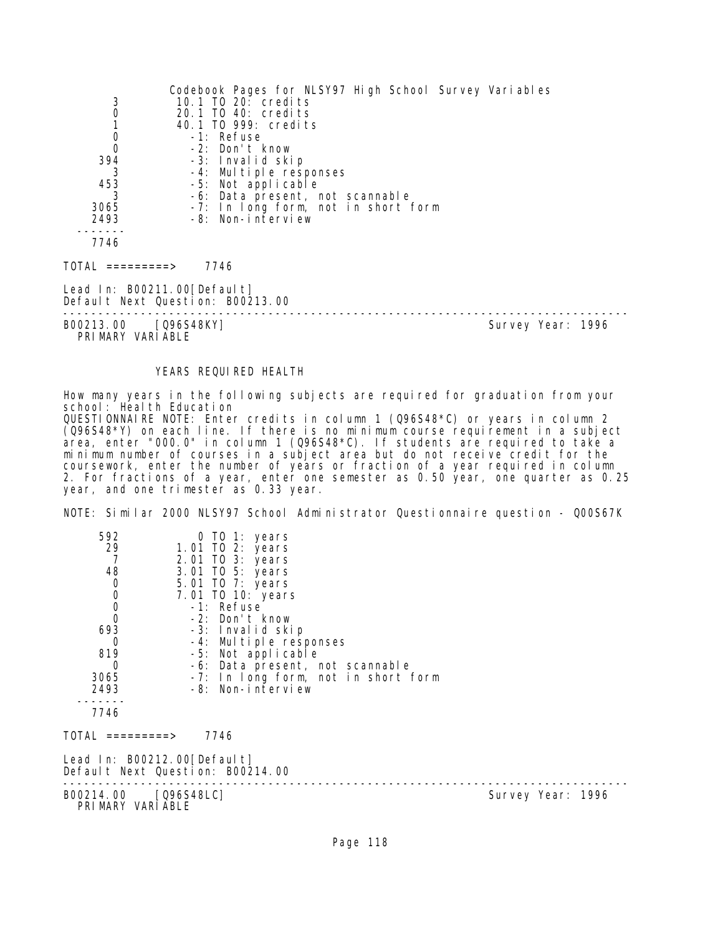|                                           | Codebook Pages for NLSY97 High School Survey Variables |                   |  |
|-------------------------------------------|--------------------------------------------------------|-------------------|--|
| 3                                         | 10.1 TO 20: credits                                    |                   |  |
| $\mathbf 0$                               | 20.1 TO 40: credits                                    |                   |  |
| $\begin{matrix} 1 \\ 0 \\ 0 \end{matrix}$ | 40.1 TO 999: credits                                   |                   |  |
|                                           | -1: Refuse                                             |                   |  |
|                                           | -2: Don't know                                         |                   |  |
| 394                                       | -3: Invalid skip                                       |                   |  |
| -3                                        | -4: Multiple responses                                 |                   |  |
| 453                                       | -5: Not applicable                                     |                   |  |
| 3                                         | -6: Data present, not scannable                        |                   |  |
| 3065                                      | -7: In long form, not in short form                    |                   |  |
| 2493                                      | -8: Non-interview                                      |                   |  |
| 7746                                      |                                                        |                   |  |
|                                           |                                                        |                   |  |
| TOTAL =========>                          | 7746                                                   |                   |  |
| Lead In: B00211.00[Default]               |                                                        |                   |  |
|                                           | Default Next Question: B00213.00                       |                   |  |
| B00213.00 [Q96S48KY]                      |                                                        | Survey Year: 1996 |  |
| PRIMARY VARIABLE                          |                                                        |                   |  |

YEARS REQUIRED HEALTH

How many years in the following subjects are required for graduation from your school: Health Education QUESTIONNAIRE NOTE: Enter credits in column 1 (Q96S48\*C) or years in column 2 (Q96S48\*Y) on each line. If there is no minimum course requirement in a subject area, enter "000.0" in column 1 (Q96S48\*C). If students are required to take a minimum number of courses in a subject area but do not receive credit for the coursework, enter the number of years or fraction of a year required in column 2. For fractions of a year, enter one semester as 0.50 year, one quarter as 0.25 year, and one trimester as 0.33 year.

NOTE: Similar 2000 NLSY97 School Administrator Questionnaire question - Q00S67K

| 592<br>29<br>7<br>48<br>$\begin{matrix} 0 \\ 0 \\ 0 \\ 0 \end{matrix}$<br>693<br>0<br>819<br>$\Omega$<br>3065<br>2493<br>7746 | 0 TO 1: years<br>1.01 TO 2: years<br>2.01 TO 3: years<br>3.01 TO 5: years<br>5.01 TO 7: years<br>7.01 TO 10: years<br>-1: Refuse<br>-2: Don't know<br>-3: Invalid skip<br>-4: Multiple responses<br>-5: Not applicable<br>-6: Data present, not scannable<br>-7: In long form, not in short form<br>-8: Non-interview |                   |
|-------------------------------------------------------------------------------------------------------------------------------|-----------------------------------------------------------------------------------------------------------------------------------------------------------------------------------------------------------------------------------------------------------------------------------------------------------------------|-------------------|
| TOTAL =========>                                                                                                              | 7746                                                                                                                                                                                                                                                                                                                  |                   |
| Lead In: B00212.00[Default]                                                                                                   | Default Next Question: B00214.00                                                                                                                                                                                                                                                                                      |                   |
| B00214.00 [Q96S48LC]<br>PRIMARY VARIABLE                                                                                      |                                                                                                                                                                                                                                                                                                                       | Survey Year: 1996 |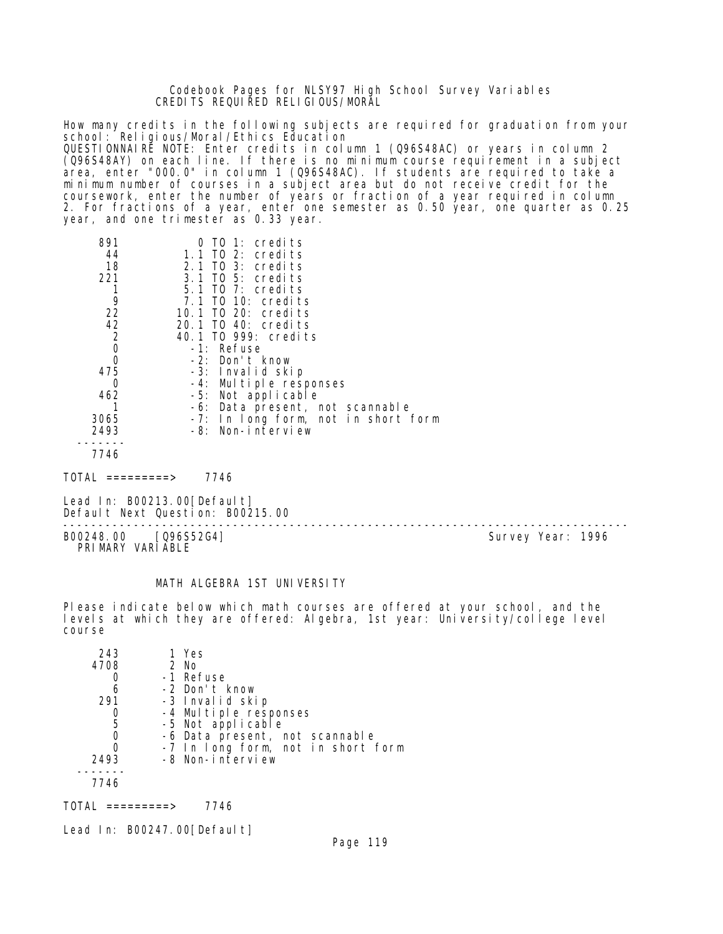Codebook Pages for NLSY97 High School Survey Variables CREDITS REQUIRED RELIGIOUS/MORAL

How many credits in the following subjects are required for graduation from your school: Religious/Moral/Ethics Education QUESTIONNAIRE NOTE: Enter credits in column 1 (Q96S48AC) or years in column 2 (Q96S48AY) on each line. If there is no minimum course requirement in a subject area, enter "000.0" in column 1 (Q96S48AC). If students are required to take a minimum number of courses in a subject area but do not receive credit for the coursework, enter the number of years or fraction of a year required in column 2. For fractions of a year, enter one semester as 0.50 year, one quarter as 0.25 year, and one trimester as 0.33 year.

| 891<br>44<br>18<br>221<br>9<br>22<br>42<br>$\overline{2}$<br>$\overline{0}$<br>0<br>475<br>0<br>462 | $0$ TO 1: credits<br>1.1 TO 2: credits<br>2.1 TO 3: credits<br>3.1 TO 5: credits<br>5.1 TO 7: credits<br>7.1 TO 10: credits<br>10.1 TO 20: credits<br>20.1 TO 40: credits<br>40.1 TO 999: credits<br>-1: Refuse<br>$-2$ : Don't know<br>-3: Invalid skip<br>Multiple responses<br>$-4:$<br>-5: Not applicable<br>-6: Data present, not scannable |
|-----------------------------------------------------------------------------------------------------|--------------------------------------------------------------------------------------------------------------------------------------------------------------------------------------------------------------------------------------------------------------------------------------------------------------------------------------------------|
| 3065<br>2493                                                                                        | -7: In long form, not in short form<br>-8: Non-interview                                                                                                                                                                                                                                                                                         |
| 7746                                                                                                |                                                                                                                                                                                                                                                                                                                                                  |

TOTAL =========> 7746

Lead In: B00213.00 [ Default] Default Next Question: B00215.00

-------------------------------------------------------------------------------- B00248.00 [Q96S52G4] PRIMARY VARIABLE

# MATH ALGEBRA 1ST UNIVERSITY

Please indicate below which math courses are offered at your school, and the levels at which they are offered: Algebra, 1st year: University/college level course

| 243  | 1 Yes                              |
|------|------------------------------------|
| 4708 | 2 No                               |
|      | -1 Refuse                          |
| 6    | -2 Don't know                      |
| 291  | -3 Invalid skip                    |
|      | -4 Multiple responses              |
| 5    | -5 Not applicable                  |
| 0    | -6 Data present, not scannable     |
| O    | -7 In long form, not in short form |
| 2493 | -8 Non-interview                   |
|      |                                    |
| 7746 |                                    |

TOTAL =========> 7746

Lead In: B00247.00 [Default]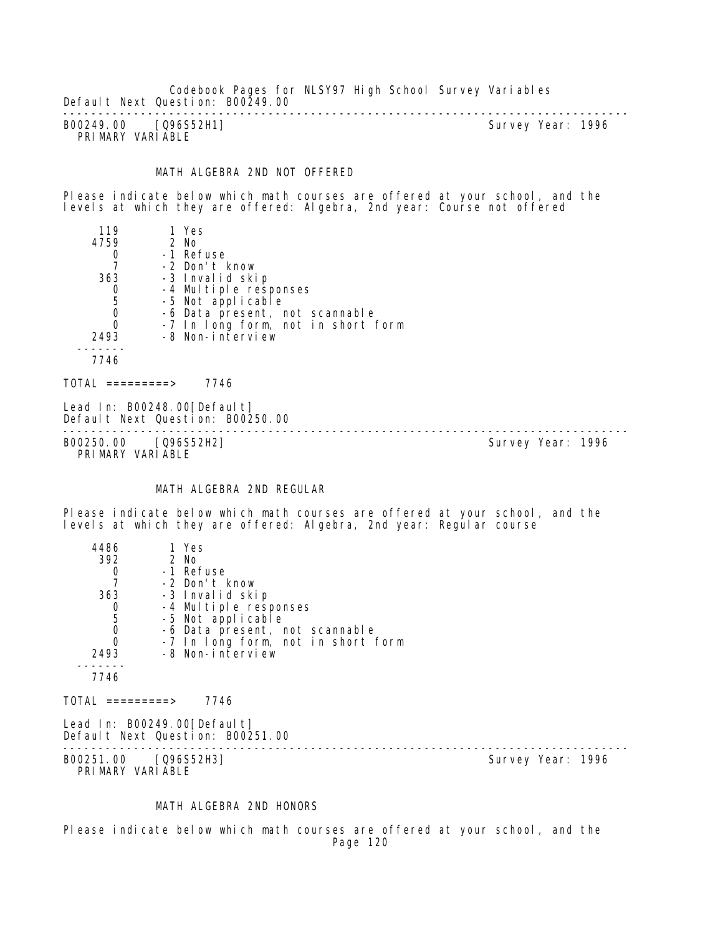Codebook Pages for NLSY97 High School Survey Variables Default Next Question: B00249.00

-------------------------------------------------------------------------------- B00249.00 [Q96S52H1] PRIMARY VARIABLE

#### MATH ALGEBRA 2ND NOT OFFERED

Please indicate below which math courses are offered at your school, and the levels at which they are offered: Algebra, 2nd year: Course not offered

| 119      | 1 Yes                              |
|----------|------------------------------------|
| 4759     | 2 No                               |
|          | -1 Refuse                          |
|          | -2 Don't know                      |
| 363      | -3 Invalid skip                    |
|          | -4 Multiple responses              |
| 5        | -5 Not applicable                  |
| 0        | -6 Data present, not scannable     |
| $\Omega$ | -7 In long form, not in short form |
| 2493     | -8 Non-interview                   |
|          |                                    |
| 7746     |                                    |
|          |                                    |

 $TOTAL$  ========> 7746

Lead In: B00248.00 [Default] Default Next Question: B00250.00

-------------------------------------------------------------------------------- B00250.00 [Q96S52H2] Survey Year: 1996 PRIMARY VARIABLE

#### MATH ALGEBRA 2ND REGULAR

Please indicate below which math courses are offered at your school, and the levels at which they are offered: Algebra, 2nd year: Regular course

| 4486                                            | 1 Yes                                                           |                                    |                   |  |
|-------------------------------------------------|-----------------------------------------------------------------|------------------------------------|-------------------|--|
| 392                                             | 2 No                                                            |                                    |                   |  |
| $\frac{0}{7}$                                   | -1 Refuse                                                       |                                    |                   |  |
|                                                 | -2 Don't know                                                   |                                    |                   |  |
| 363                                             | -3 Invalid skip                                                 |                                    |                   |  |
|                                                 | -4 Multiple responses                                           |                                    |                   |  |
|                                                 | -5 Not applicable                                               |                                    |                   |  |
| $\begin{array}{c} 0 \\ 5 \\ 0 \\ 0 \end{array}$ |                                                                 | -6 Data present, not scannable     |                   |  |
|                                                 |                                                                 | -7 In long form, not in short form |                   |  |
| 2493                                            | -8 Non-interview                                                |                                    |                   |  |
|                                                 |                                                                 |                                    |                   |  |
| 7746                                            |                                                                 |                                    |                   |  |
| TOTAL =========>                                | 7746                                                            |                                    |                   |  |
|                                                 | Lead In: B00249.00[Default]<br>Default Next Question: B00251.00 |                                    |                   |  |
| B00251.00 [Q96S52H3]<br>PRIMARY VARIABLE        |                                                                 |                                    | Survey Year: 1996 |  |

#### MATH ALGEBRA 2ND HONORS

Please indicate below which math courses are offered at your school, and the Page 120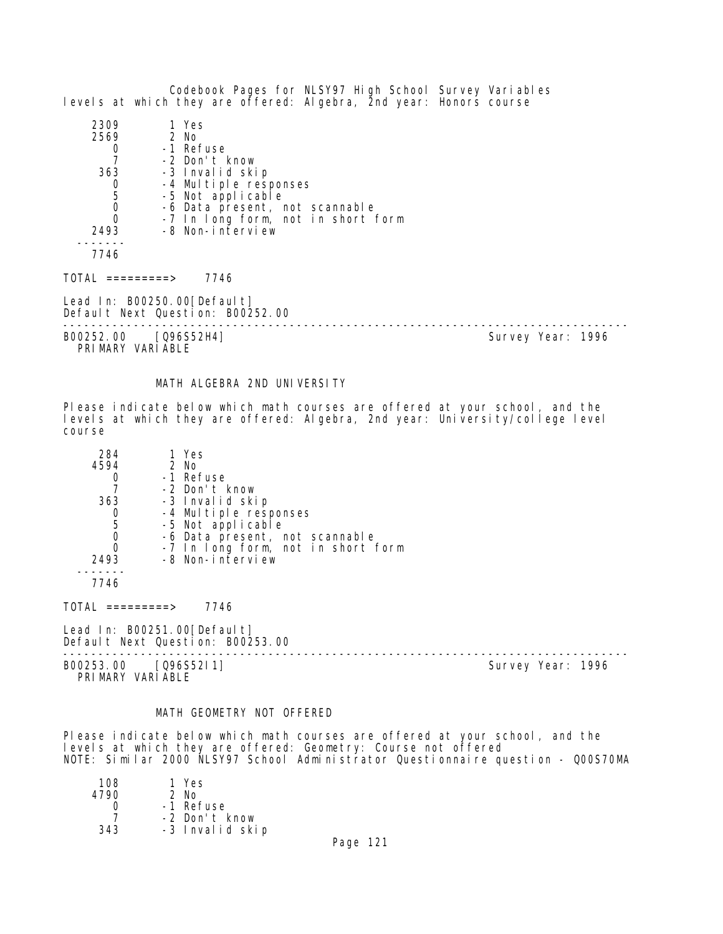Codebook Pages for NLSY97 High School Survey Variables levels at which they are offered: Algebra, 2nd year: Honors course

| 2309 | 1 Yes                              |
|------|------------------------------------|
| 2569 | $2$ No                             |
|      | -1 Refuse                          |
|      | -2 Don't know                      |
| 363  | -3 Invalid skip                    |
|      | -4 Multiple responses              |
| 5    | -5 Not applicable                  |
|      | -6 Data present, not scannable     |
|      | -7 In long form, not in short form |
| 2493 | -8 Non-interview                   |
|      |                                    |
| 7746 |                                    |

 $TOTAL$  =========> 7746

Lead In: B00250.00[Default] Default Next Question: B00252.00

--------------------------------------------------------------------------------

B00252.00 [Q96S52H4] PRIMARY VARIABLE

#### MATH ALGEBRA 2ND UNIVERSITY

Please indicate below which math courses are offered at your school, and the levels at which they are offered: Algebra, 2nd year: University/college level course

| 284  | 1 Yes                              |  |
|------|------------------------------------|--|
| 4594 | 2 No                               |  |
|      | -1 Refuse                          |  |
|      | -2 Don't know                      |  |
| 363  | -3 Invalid skip                    |  |
| 0    | -4 Multiple responses              |  |
| 5    | -5 Not applicable                  |  |
| 0    | -6 Data present, not scannable     |  |
| 0    | -7 In long form, not in short form |  |
| 2493 | -8 Non-interview                   |  |
|      |                                    |  |
| 7746 |                                    |  |

 $TOTAL$  =========> 7746

Lead In: B00251.00 [Default] Default Next Question: B00253.00

-------------------------------------------------------------------------------- B00253.00 [Q96S52I1] Survey Year: 1996

PRIMARY VARIABLE

#### MATH GEOMETRY NOT OFFERED

Please indicate below which math courses are offered at your school, and the levels at which they are offered: Geometry: Course not offered NOTE: Similar 2000 NLSY97 School Administrator Questionnaire question - Q00S70MA

| 108  | 1 Yes           |
|------|-----------------|
| 4790 | $2$ No          |
|      | -1 Refuse       |
|      | -2 Don't know   |
| 343  | -3 Invalid skip |
|      |                 |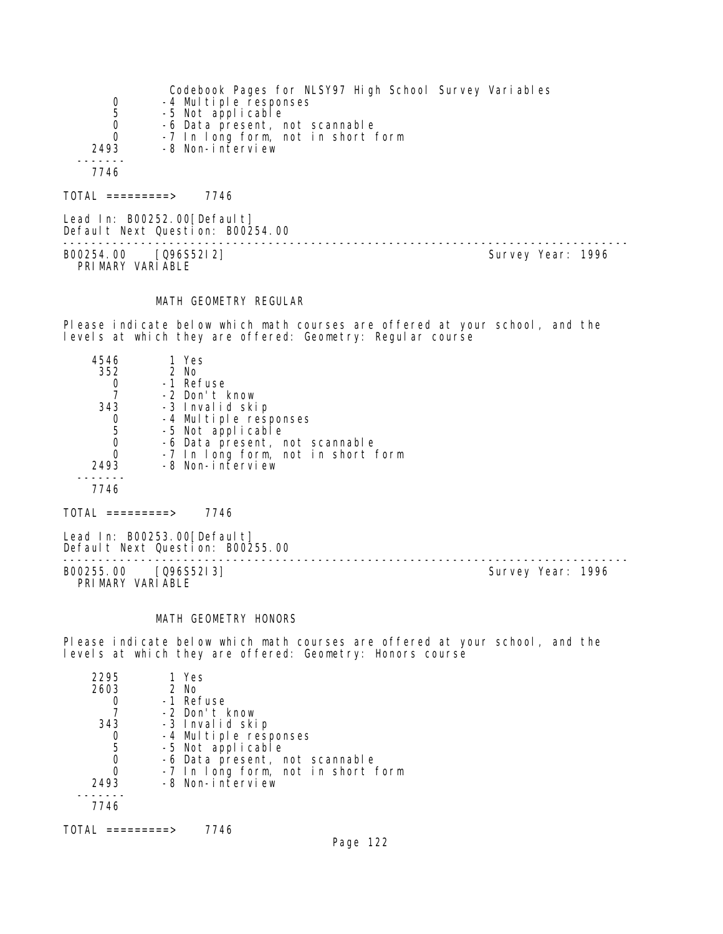|                     | Codebook Pages for NLSY97 High School Survey Variables |
|---------------------|--------------------------------------------------------|
| 0                   | -4 Multiple responses                                  |
| 5                   | -5 Not applicable                                      |
| 0                   | -6 Data present, not scannable                         |
| $\Omega$            | -7 In long form, not in short form                     |
| 2493                | -8 Non-interview                                       |
|                     |                                                        |
| 7746                |                                                        |
| $101AL$ ==========> | 7746                                                   |

Lead In: B00252.00 [Default] Default Next Question: B00254.00 -------------------------------------------------------------------------------- B00254.00 [Q96S52I2] PRI MARY VARI ABLE

#### MATH GEOMETRY REGULAR

Please indicate below which math courses are offered at your school, and the levels at which they are offered: Geometry: Regular course

| 4546 | 1 Yes                              |
|------|------------------------------------|
| 352  | 2 No                               |
|      | -1 Refuse                          |
|      | -2 Don't know                      |
| 343  | -3 Invalid skip                    |
|      | -4 Multiple responses              |
| 5    | -5 Not applicable                  |
|      | -6 Data present, not scannable     |
|      | -7 In long form, not in short form |
| 2493 | -8 Non-interview                   |
|      |                                    |
| 7746 |                                    |
|      |                                    |

 $TOTAL$  =========> 7746

Lead In: B00253.00[Default] Default Next Question: B00255.00

-------------------------------------------------------------------------------- B00255.00 [Q96S52I3] Survey Year: 1996 PRIMARY VARIABLE

# MATH GEOMETRY HONORS

Please indicate below which math courses are offered at your school, and the levels at which they are offered: Geometry: Honors course

| 2295 | 1 Yes                              |
|------|------------------------------------|
| 2603 | $2$ No                             |
|      | -1 Refuse                          |
|      | -2 Don't know                      |
| 343  | -3 Invalid skip                    |
|      | -4 Multiple responses              |
| 5    | -5 Not applicable                  |
|      | -6 Data present, not scannable     |
|      | -7 In long form, not in short form |
| 2493 | -8 Non-interview                   |
|      |                                    |
| 7746 |                                    |
|      |                                    |

TOTAL =========> 7746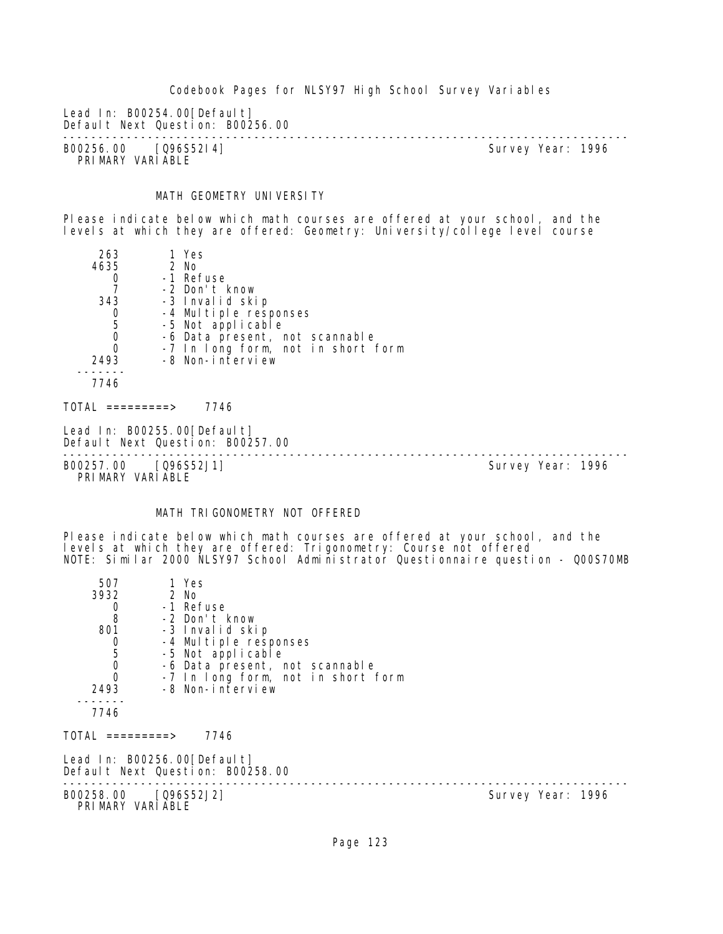Lead In: B00254.00 [Default]

Default Next Question: B00256.00 -------------------------------------------------------------------------------- B00256.00 [Q96S52I4] Survey Year: 1996 PRIMARY VARIABLE

# MATH GEOMETRY UNIVERSITY

Please indicate below which math courses are offered at your school, and the levels at which they are offered: Geometry: University/college level course

| 263  | 1 Yes                              |
|------|------------------------------------|
| 4635 | 2 No                               |
|      | -1 Refuse                          |
|      | -2 Don't know                      |
| 343  | -3 Invalid skip                    |
| 0    | -4 Multiple responses              |
| 5    | -5 Not applicable                  |
| 0    | -6 Data present, not scannable     |
|      | -7 In long form, not in short form |
| 2493 | -8 Non-interview                   |
|      |                                    |
| 7746 |                                    |
|      |                                    |

TOTAL =========> 7746

Lead In: B00255.00[Default] Default Next Question: B00257.00

-------------------------------------------------------------------------------- B00257.00 [Q96S52J1]

PRIMARY VARIABLE

# MATH TRIGONOMETRY NOT OFFERED

Please indicate below which math courses are offered at your school, and the levels at which they are offered: Trigonometry: Course not offered NOTE: Similar 2000 NLSY97 School Administrator Questionnaire question - Q00S70MB

| 507                                       | 1 Yes                                                           |                   |
|-------------------------------------------|-----------------------------------------------------------------|-------------------|
| 3932                                      | 2 No                                                            |                   |
| $\frac{0}{8}$                             | -1 Refuse                                                       |                   |
|                                           | -2 Don't know                                                   |                   |
| 801                                       | -3 Invalid skip                                                 |                   |
| $\begin{matrix} 0 \\ 5 \\ 0 \end{matrix}$ | -4 Multiple responses                                           |                   |
|                                           | -5 Not applicable                                               |                   |
|                                           | -6 Data present, not scannable                                  |                   |
| $\overline{0}$                            | -7 In long form, not in short form                              |                   |
| 2493                                      | -8 Non-interview                                                |                   |
| 7746                                      |                                                                 |                   |
|                                           | TOTAL =========>        7746                                    |                   |
|                                           | Lead In: B00256.00[Default]<br>Default Next Question: B00258.00 |                   |
|                                           | B00258.00 [Q96S52J2]<br>PRIMARY VARIABLE                        | Survey Year: 1996 |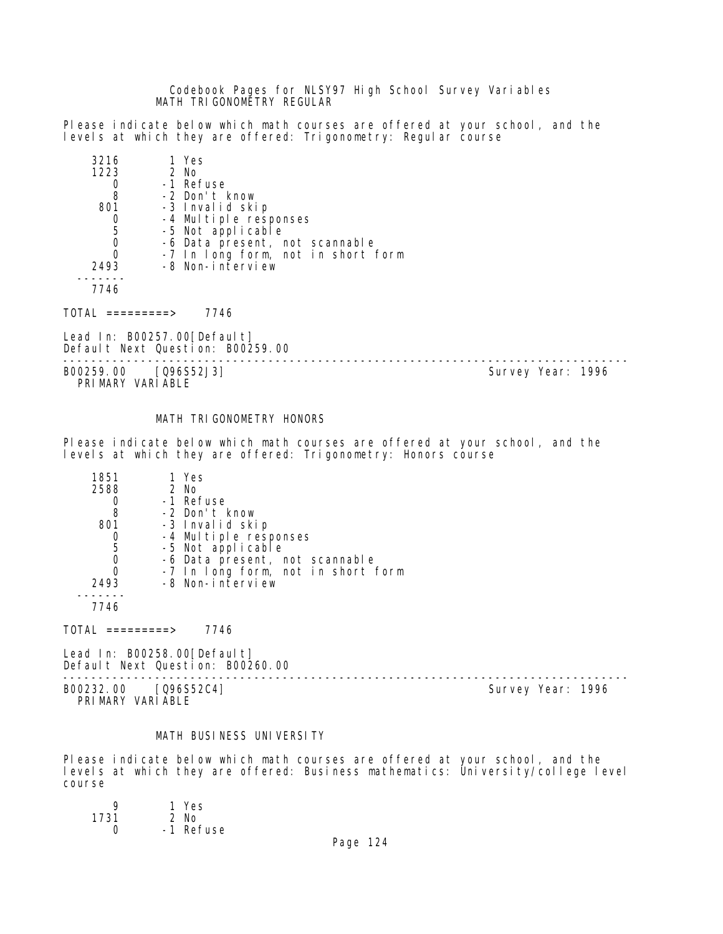Codebook Pages for NLSY97 High School Survey Variables MATH TRIGONOMETRY REGULAR

Please indicate below which math courses are offered at your school, and the levels at which they are offered: Trigonometry: Regular course

| 3216 | 1 Yes                              |
|------|------------------------------------|
| 1223 | 2 No                               |
|      | -1 Refuse                          |
| 8    | -2 Don't know                      |
| 801  | -3 Invalid skip                    |
|      | -4 Multiple responses              |
| 5    | -5 Not applicable                  |
| 0    | -6 Data present, not scannable     |
| 0    | -7 In long form, not in short form |
| 2493 | -8 Non-interview                   |
|      |                                    |
|      |                                    |

 $TOTAL$  =========> 7746

Lead In: B00257.00 [Default] Default Next Question: B00259.00

-------------------------------------------------------------------------------- B00259.00 [Q96S52J3]

PRIMARY VARIABLE

#### MATH TRIGONOMETRY HONORS

Please indicate below which math courses are offered at your school, and the levels at which they are offered: Trigonometry: Honors course

| 1851 | 1 Yes                              |
|------|------------------------------------|
| 2588 | 2 No                               |
|      | -1 Refuse                          |
| 8    | -2 Don't know                      |
| 801  | -3 Invalid skip                    |
|      | -4 Multiple responses              |
| 5    | -5 Not applicable                  |
|      | -6 Data present, not scannable     |
|      | -7 In long form, not in short form |
| 2493 | -8 Non-interview                   |
|      |                                    |
| 7746 |                                    |
|      |                                    |

 $TOTAL$  =========> 7746

Lead In: B00258.00[Default] Default Next Question: B00260.00

-------------------------------------------------------------------------------- B00232.00 [Q96S52C4] Survey Year: 1996 PRIMARY VARIABLE

# MATH BUSINESS UNIVERSITY

Please indicate below which math courses are offered at your school, and the levels at which they are offered: Business mathematics: University/college level course

| Q    | 1 Yes     |
|------|-----------|
| 1731 | $2$ No    |
| O    | -1 Refuse |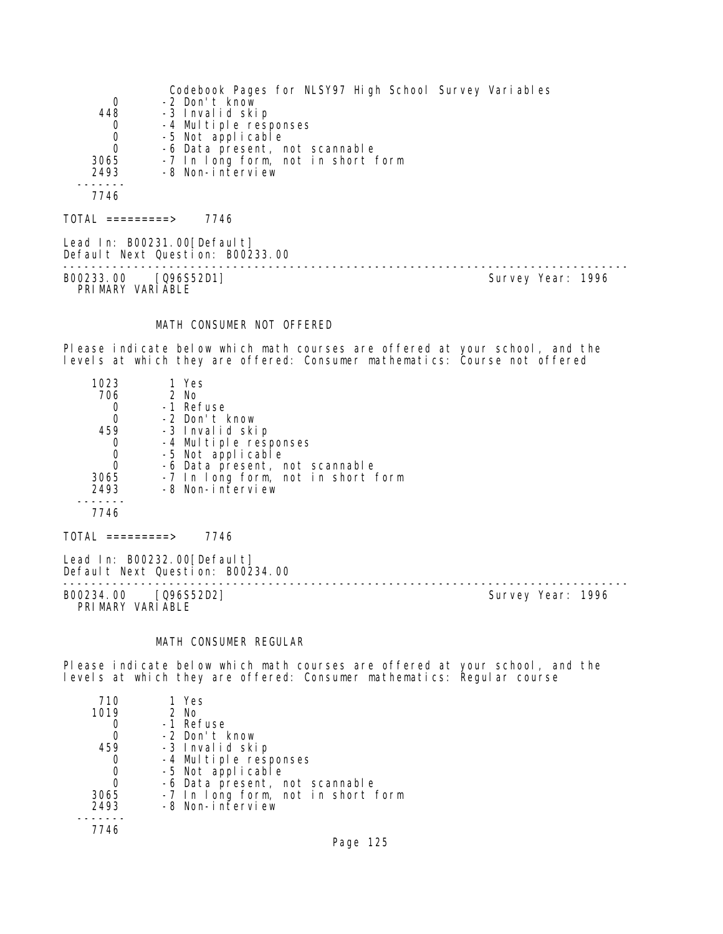|                  | Codebook Pages for NLSY97 High School Survey Variables                                                                                                                                                                                                                                                                                                                                                                                                                                     |
|------------------|--------------------------------------------------------------------------------------------------------------------------------------------------------------------------------------------------------------------------------------------------------------------------------------------------------------------------------------------------------------------------------------------------------------------------------------------------------------------------------------------|
| 0                | -2 Don't know                                                                                                                                                                                                                                                                                                                                                                                                                                                                              |
| 448              | -3 Invalid skip                                                                                                                                                                                                                                                                                                                                                                                                                                                                            |
| 0                | -4 Multiple responses                                                                                                                                                                                                                                                                                                                                                                                                                                                                      |
| 0                | -5 Not applicable                                                                                                                                                                                                                                                                                                                                                                                                                                                                          |
| $\Omega$         | -6 Data present, not scannable                                                                                                                                                                                                                                                                                                                                                                                                                                                             |
| 3065             | -7 In long form, not in short form                                                                                                                                                                                                                                                                                                                                                                                                                                                         |
| 2493             | -8 Non-interview                                                                                                                                                                                                                                                                                                                                                                                                                                                                           |
|                  |                                                                                                                                                                                                                                                                                                                                                                                                                                                                                            |
| 7746             |                                                                                                                                                                                                                                                                                                                                                                                                                                                                                            |
| TOTAL =========> | 7746                                                                                                                                                                                                                                                                                                                                                                                                                                                                                       |
|                  | $\blacksquare$ $\blacksquare$ $\blacksquare$ $\blacksquare$ $\blacksquare$ $\blacksquare$ $\blacksquare$ $\blacksquare$ $\blacksquare$ $\blacksquare$ $\blacksquare$ $\blacksquare$ $\blacksquare$ $\blacksquare$ $\blacksquare$ $\blacksquare$ $\blacksquare$ $\blacksquare$ $\blacksquare$ $\blacksquare$ $\blacksquare$ $\blacksquare$ $\blacksquare$ $\blacksquare$ $\blacksquare$ $\blacksquare$ $\blacksquare$ $\blacksquare$ $\blacksquare$ $\blacksquare$ $\blacksquare$ $\blacks$ |

Lead In: B00231.00[Default] Default Next Question: B00233.00

B00233.00 [Q96S52D1] Survey Year: 1996 PRIMARY VARIABLE

--------------------------------------------------------------------------------

# MATH CONSUMER NOT OFFERED

Please indicate below which math courses are offered at your school, and the levels at which they are offered: Consumer mathematics: Course not offered

| 1023 | 1 Yes                              |
|------|------------------------------------|
| 706  | 2 No                               |
|      | -1 Refuse                          |
| 0    | -2 Don't know                      |
| 459  | -3 Invalid skip                    |
|      | -4 Multiple responses              |
| O    | -5 Not applicable                  |
|      | -6 Data present, not scannable     |
| 3065 | -7 In long form, not in short form |
| 2493 | -8 Non-interview                   |
|      |                                    |
| 7746 |                                    |
|      |                                    |

Lead In: B00232.00[Default]

 $TOTAL$  =========> 7746

Default Next Question: B00234.00 --------------------------------------------------------------------------------

B00234.00 [Q96S52D2] PRIMARY VARIABLE

# MATH CONSUMER REGULAR

Please indicate below which math courses are offered at your school, and the levels at which they are offered: Consumer mathematics: Regular course

| 710  | 1 Yes                              |
|------|------------------------------------|
| 1019 | 2 No                               |
|      | -1 Refuse                          |
|      | -2 Don't know                      |
| 459  | -3 Invalid skip                    |
| O    | -4 Multiple responses              |
| 0    | -5 Not applicable                  |
| 0    | -6 Data present, not scannable     |
| 3065 | -7 In long form, not in short form |
| 2493 | -8 Non-interview                   |
|      |                                    |
| 7746 |                                    |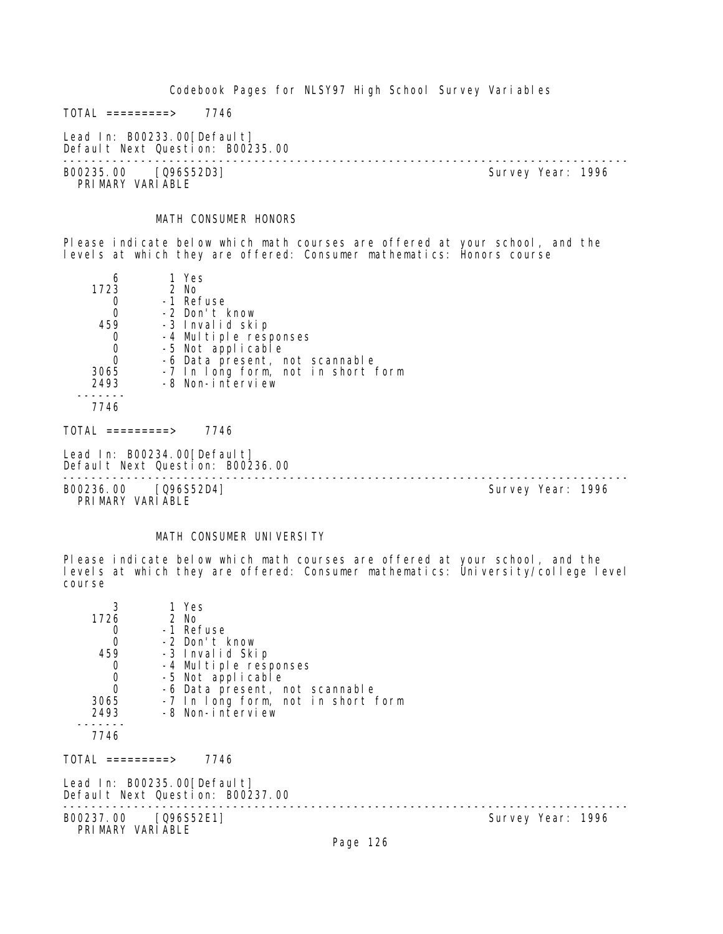$TOTAL$  =========> 7746

Lead In: B00233.00[Default] Default Next Question: B00235.00

-------------------------------------------------------------------------------- B00235.00 [Q96S52D3] PRIMARY VARIABLE

# MATH CONSUMER HONORS

Please indicate below which math courses are offered at your school, and the levels at which they are offered: Consumer mathematics: Honors course

| 6                | 1 Yes                                                           |
|------------------|-----------------------------------------------------------------|
| 1723             | 2 No                                                            |
| 0                | -1 Refuse                                                       |
| 0                | -2 Don't know                                                   |
| 459              | -3 Invalid skip                                                 |
| 0                | -4 Multiple responses                                           |
| $\mathbf 0$      | -5 Not applicable                                               |
| $\overline{0}$   | -6 Data present, not scannable                                  |
| 3065             | -7 In long form, not in short form                              |
| 2493             | -8 Non-interview                                                |
|                  |                                                                 |
| 7746             |                                                                 |
| TOTAL =========> | 7746                                                            |
|                  | Lead In: B00234.00[Default]<br>Default Next Question: B00236.00 |
|                  |                                                                 |

B00236.00 [Q96S52D4] Survey Year: 1996 PRIMARY VARIABLE

#### MATH CONSUMER UNIVERSITY

Please indicate below which math courses are offered at your school, and the levels at which they are offered: Consumer mathematics: University/college level course

| 3<br>1726                                | 1 Yes<br>2 No                                                   |                                    |                   |  |
|------------------------------------------|-----------------------------------------------------------------|------------------------------------|-------------------|--|
| 0                                        | -1 Refuse                                                       |                                    |                   |  |
| $\mathbf 0$                              | -2 Don't know                                                   |                                    |                   |  |
| 459                                      | -3 Invalid Skip                                                 |                                    |                   |  |
| 0                                        | -4 Multiple responses                                           |                                    |                   |  |
| $\begin{matrix}0\\0\end{matrix}$         | -5 Not applicable                                               |                                    |                   |  |
|                                          | -6 Data present, not scannable                                  |                                    |                   |  |
| 3065                                     |                                                                 | -7 In long form, not in short form |                   |  |
| 2493                                     | -8 Non-interview                                                |                                    |                   |  |
|                                          |                                                                 |                                    |                   |  |
| 7746                                     |                                                                 |                                    |                   |  |
| TOTAL =========>                         | 7746                                                            |                                    |                   |  |
|                                          | Lead In: B00235.00[Default]<br>Default Next Question: B00237.00 |                                    |                   |  |
| B00237.00 [Q96S52E1]<br>PRIMARY VARIABLE |                                                                 |                                    | Survey Year: 1996 |  |
|                                          |                                                                 | $D_{0.92}$ 194                     |                   |  |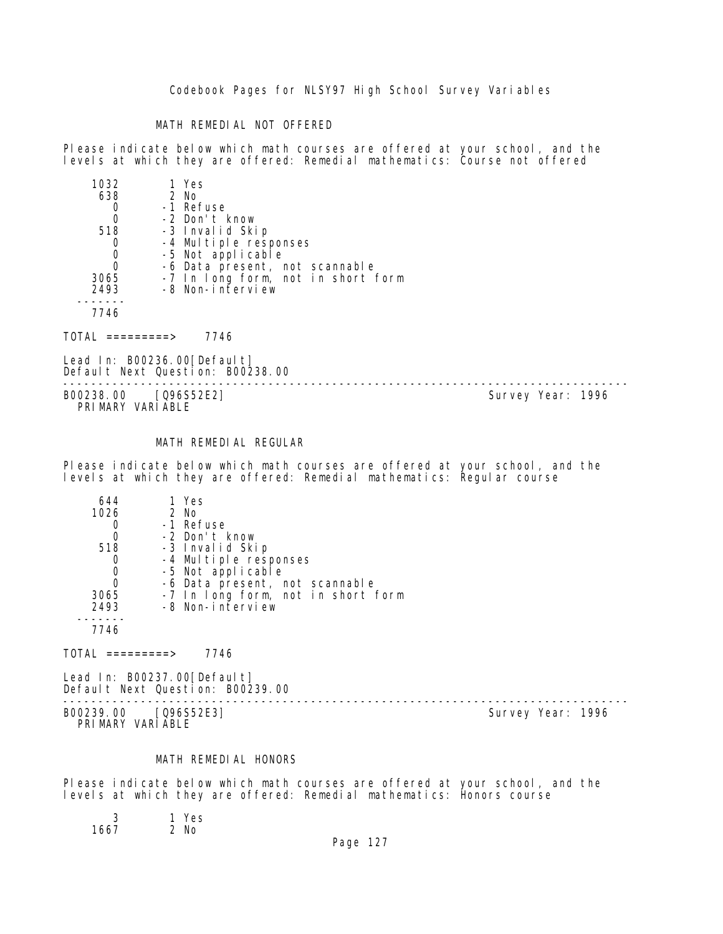#### MATH REMEDIAL NOT OFFERED

Please indicate below which math courses are offered at your school, and the levels at which they are offered: Remedial mathematics: Course not offered

| 1032 | 1 Yes                              |
|------|------------------------------------|
| 638  | 2 No                               |
|      | -1 Refuse                          |
|      | -2 Don't know                      |
| 518  | -3 Invalid Skip                    |
|      | -4 Multiple responses              |
|      | -5 Not applicable                  |
|      | -6 Data present, not scannable     |
| 3065 | -7 In long form, not in short form |
| 2493 | -8 Non-interview                   |
|      |                                    |
| 7746 |                                    |
|      |                                    |

 $TOTAL$  ========> 7746

Lead In: B00236.00 [Default] Default Next Question: B00238.00

B00238.00 [Q96S52E2] PRIMARY VARIABLE

--------------------------------------------------------------------------------

# MATH REMEDIAL REGULAR

Please indicate below which math courses are offered at your school, and the levels at which they are offered: Remedial mathematics: Regular course

| 644  | 1 Yes                              |
|------|------------------------------------|
| 1026 | 2 No                               |
|      | -1 Refuse                          |
| 0    | -2 Don't know                      |
| 518  | -3 Invalid Skip                    |
|      | -4 Multiple responses              |
|      | -5 Not applicable                  |
|      | -6 Data present, not scannable     |
| 3065 | -7 In long form, not in short form |
| 2493 | -8 Non-interview                   |
|      |                                    |
| 7746 |                                    |

 $TOTAL$  =========> 7746

Lead In: B00237.00 [Default] Default Next Question: B00239.00

B00239.00 [Q96S52E3] PRI MARY VARI ABLE

--------------------------------------------------------------------------------

# MATH REMEDIAL HONORS

Please indicate below which math courses are offered at your school, and the levels at which they are offered: Remedial mathematics: Honors course

1 Yes<br>2 No  $1667$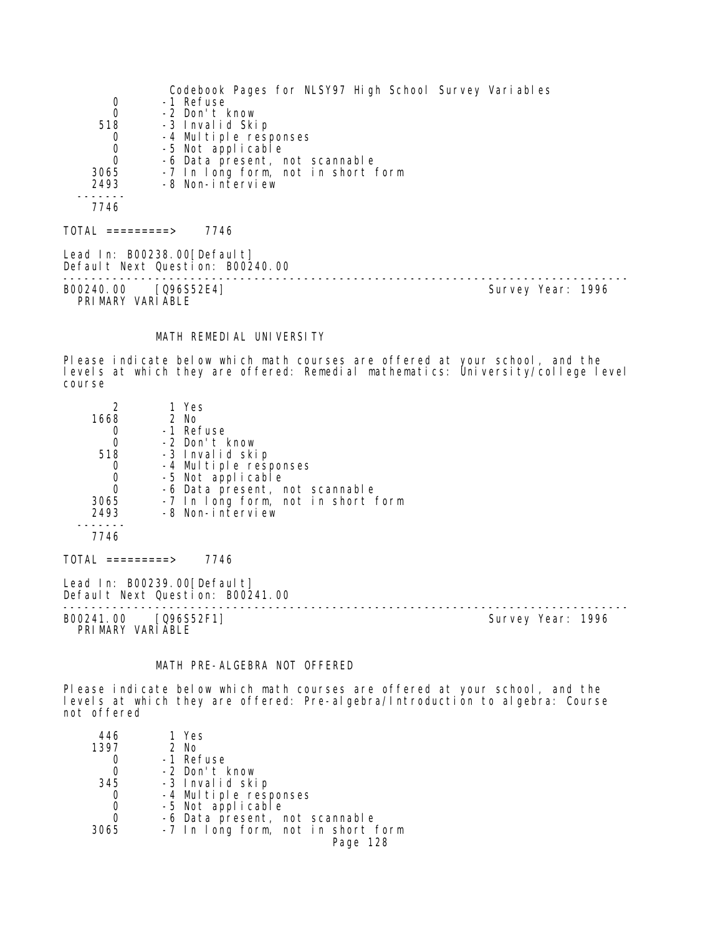Codebook Pages for NLSY97 High School Survey Variables 0 -1 Refuse<br>0 -2 Don't H 0 -2 Don't know<br>518 -3 Invalid Ski 8 -3 Invalid Skip<br>0 -4 Multiple resp 0 -4 Multiple responses 0 -5 Not applicable 0 -6 Data present, not scannable 3065 -7 In long form, not in short form 2493 -8 Non-interview ------- 7746  $TOTAL$  =========> 7746 Lead In: B00238.00 [Default] Default Next Question: B00240.00

-------------------------------------------------------------------------------- B00240.00 [Q96S52E4] PRIMARY VARIABLE

#### MATH REMEDIAL UNIVERSITY

Please indicate below which math courses are offered at your school, and the levels at which they are offered: Remedial mathematics: University/college level course

| 1668<br>O<br>0<br>518<br>0<br>0<br>0<br>3065<br>2493<br>7746 | 1 Yes<br>2 No<br>-1 Refuse<br>-2 Don't know<br>-3 Invalid skip<br>-4 Multiple responses<br>-5 Not applicable<br>-6 Data present, not scannable<br>-7 In long form, not in short form<br>-8 Non-interview |  |
|--------------------------------------------------------------|----------------------------------------------------------------------------------------------------------------------------------------------------------------------------------------------------------|--|
| TOTAL =========>                                             | 7746                                                                                                                                                                                                     |  |
|                                                              |                                                                                                                                                                                                          |  |

Lead In: B00239.00[Default] Default Next Question: B00241.00

-------------------------------------------------------------------------------- B00241.00 [Q96S52F1] PRIMARY VARIABLE

# MATH PRE-ALGEBRA NOT OFFERED

Please indicate below which math courses are offered at your school, and the levels at which they are offered: Pre-algebra/Introduction to algebra: Course not offered

| 446  | 1 Yes                              |
|------|------------------------------------|
| 1397 | 2 No                               |
|      | -1 Refuse                          |
|      | -2 Don't know                      |
| 345  | -3 Invalid skip                    |
| 0    | -4 Multiple responses              |
| 0    | -5 Not applicable                  |
| 0    | -6 Data present, not scannable     |
| 3065 | -7 In long form, not in short form |
|      | Page 128                           |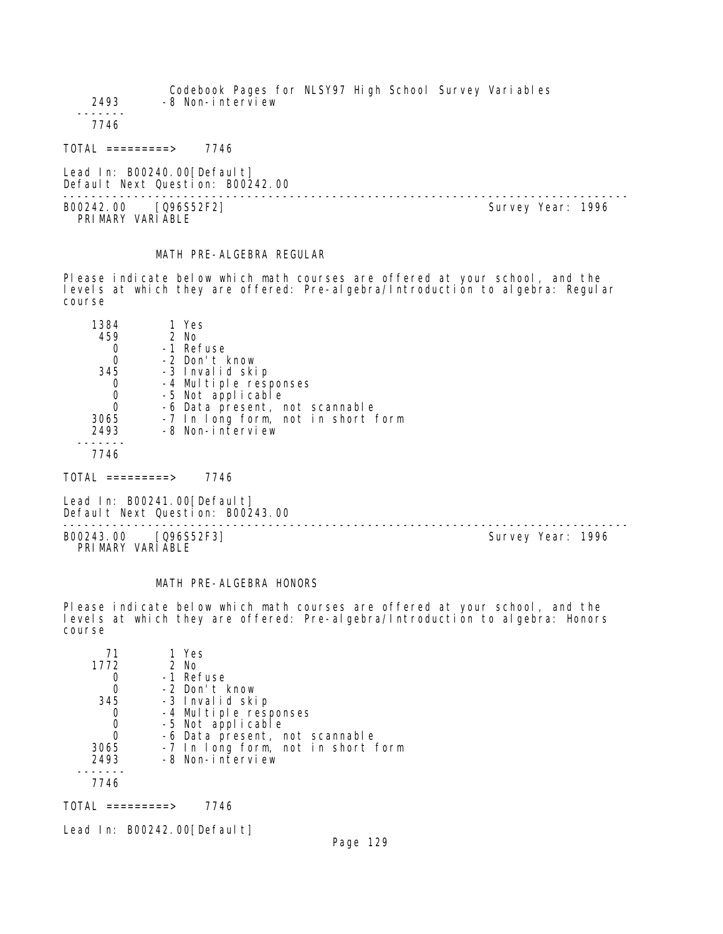Codebook Pages for NLSY97 High School Survey Variables 2493 -8 Non-interview ------- 7746 TOTAL =========> 7746 Lead In: B00240.00 [Default] Default Next Question: B00242.00 -------------------------------------------------------------------------------- B00242.00 [Q96S52F2] PRIMARY VARIABLE

# MATH PRE-ALGEBRA REGULAR

Please indicate below which math courses are offered at your school, and the levels at which they are offered: Pre-algebra/Introduction to algebra: Regular course

| 1384 | 1 Yes                              |
|------|------------------------------------|
| 459  | $2$ No                             |
|      | -1 Refuse                          |
| 0    | -2 Don't know                      |
| 345  | -3 Invalid skip                    |
|      | -4 Multiple responses              |
| 0    | -5 Not applicable                  |
|      | -6 Data present, not scannable     |
| 3065 | -7 In long form, not in short form |
| 2493 | -8 Non-interview                   |
|      |                                    |
| 7746 |                                    |

| TOTAL | 7746 |
|-------|------|
|-------|------|

Lead In: B00241.00 [Default] Default Next Question: B00243.00

-------------------------------------------------------------------------------- B00243.00 [Q96S52F3] Survey Year: 1996 PRIMARY VARIABLE

#### MATH PRE-ALGEBRA HONORS

Please indicate below which math courses are offered at your school, and the levels at which they are offered: Pre-algebra/Introduction to algebra: Honors course

| 71   | 1 Yes                                      |
|------|--------------------------------------------|
| 1772 | 2 No                                       |
|      | -1 Refuse                                  |
|      | -2 Don't know                              |
| 345  | -3 Invalid skip                            |
|      | -4 Multiple responses<br>-5 Not applicable |
|      |                                            |
|      | -6 Data present, not scannable             |
| 3065 | -7 In long form, not in short form         |
| 2493 | -8 Non-interview                           |
|      |                                            |
| 7746 |                                            |
|      |                                            |

TOTAL =========> 7746

Lead In: B00242.00 [Default]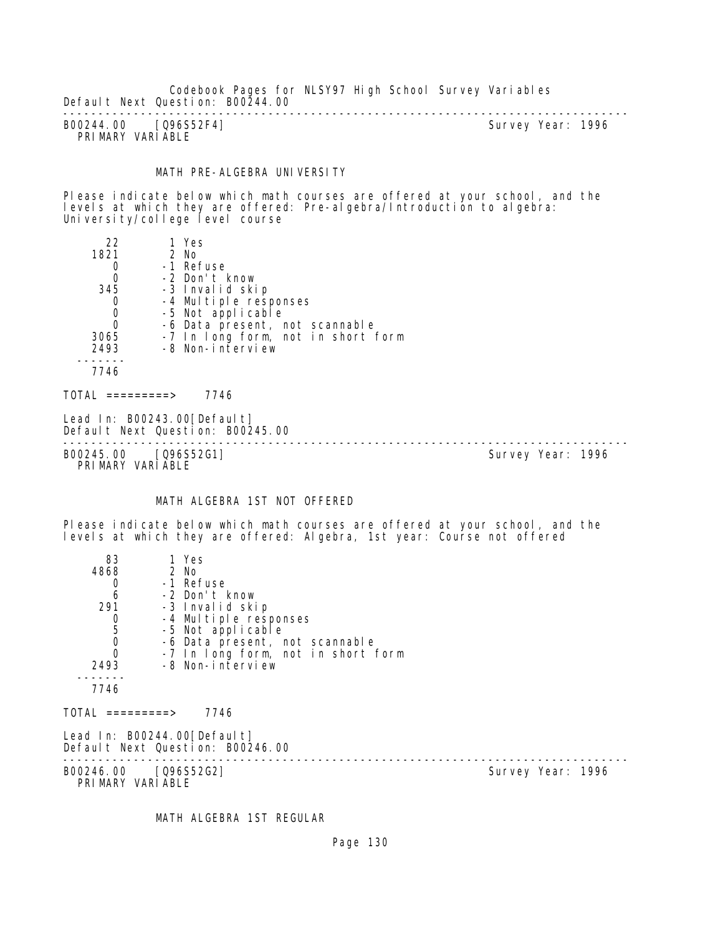Codebook Pages for NLSY97 High School Survey Variables Default Next Question: B00244.00

-------------------------------------------------------------------------------- B00244.00 [Q96S52F4] PRIMARY VARIABLE

#### MATH PRE-ALGEBRA UNIVERSITY

Please indicate below which math courses are offered at your school, and the levels at which they are offered: Pre-algebra/Introduction to algebra: University/college level course

| 22                                       | 1 Yes                                                           |                   |  |
|------------------------------------------|-----------------------------------------------------------------|-------------------|--|
| 1821                                     | 2 No                                                            |                   |  |
| 0                                        | -1 Refuse                                                       |                   |  |
| $\boldsymbol{0}$                         | -2 Don't know                                                   |                   |  |
| 345                                      | -3 Invalid skip                                                 |                   |  |
| 0                                        | -4 Multiple responses                                           |                   |  |
| $\begin{matrix}0\\0\end{matrix}$         | -5 Not applicable                                               |                   |  |
|                                          | -6 Data present, not scannable                                  |                   |  |
| 3065                                     | -7 In long form, not in short form                              |                   |  |
| 2493                                     | -8 Non-interview                                                |                   |  |
|                                          |                                                                 |                   |  |
| 7746                                     |                                                                 |                   |  |
| TOTAL =========>                         | 7746                                                            |                   |  |
|                                          | Lead In: B00243.00[Default]<br>Default Next Question: B00245.00 |                   |  |
| B00245.00 [Q96S52G1]<br>PRIMARY VARIABLE |                                                                 | Survey Year: 1996 |  |

# MATH ALGEBRA 1ST NOT OFFERED

Please indicate below which math courses are offered at your school, and the levels at which they are offered: Algebra, 1st year: Course not offered

| 83                                        | 1 Yes                                                           |                   |
|-------------------------------------------|-----------------------------------------------------------------|-------------------|
| 4868                                      | 2 No                                                            |                   |
| 0                                         | -1 Refuse                                                       |                   |
| 6                                         | -2 Don't know                                                   |                   |
| 291                                       | -3 Invalid skip                                                 |                   |
|                                           | -4 Multiple responses                                           |                   |
| $\begin{matrix} 0 \\ 5 \\ 0 \end{matrix}$ | -5 Not applicable                                               |                   |
|                                           | -6 Data present, not scannable                                  |                   |
| $\overline{0}$                            | -7 In long form, not in short form                              |                   |
| 2493                                      | -8 Non-interview                                                |                   |
|                                           |                                                                 |                   |
| 7746                                      |                                                                 |                   |
| $\text{TOTAL}$ =========>                 | 7746                                                            |                   |
|                                           | Lead In: B00244.00[Default]<br>Default Next Question: B00246.00 |                   |
|                                           | B00246.00 [Q96S52G2]<br>PRIMARY VARIABLE                        | Survey Year: 1996 |

MATH ALGEBRA 1ST REGULAR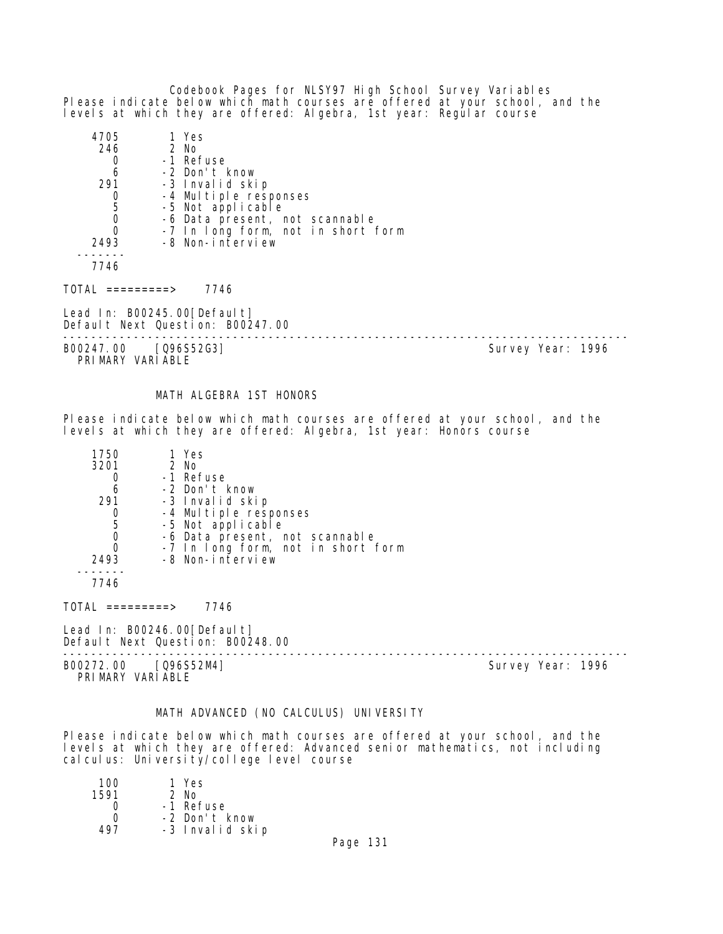Codebook Pages for NLSY97 High School Survey Variables Please indicate below which math courses are offered at your school, and the levels at which they are offered: Algebra, 1st year: Regular course

| 4705                                      | 1 Yes                                                           |                   |  |
|-------------------------------------------|-----------------------------------------------------------------|-------------------|--|
| 246                                       | 2 No                                                            |                   |  |
| 0                                         | -1 Refuse                                                       |                   |  |
| 6                                         | -2 Don't know                                                   |                   |  |
| 291                                       | -3 Invalid skip                                                 |                   |  |
|                                           | -4 Multiple responses                                           |                   |  |
| $\begin{matrix} 0 \\ 5 \\ 0 \end{matrix}$ | -5 Not applicable                                               |                   |  |
|                                           | -6 Data present, not scannable                                  |                   |  |
| $\Omega$                                  | -7 In long form, not in short form                              |                   |  |
| 2493                                      | -8 Non-interview                                                |                   |  |
| 7746                                      |                                                                 |                   |  |
| TOTAL =========>                          | 7746                                                            |                   |  |
|                                           | Lead In: B00245.00[Default]<br>Default Next Question: B00247.00 |                   |  |
| B00247.00                                 | [Q96S52G3]                                                      | Survey Year: 1996 |  |

PRIMARY VARIABLE

# MATH ALGEBRA 1ST HONORS

Please indicate below which math courses are offered at your school, and the levels at which they are offered: Algebra, 1st year: Honors course

| 1750 | 1 Yes                              |  |
|------|------------------------------------|--|
| 3201 | 2 No                               |  |
|      | -1 Refuse                          |  |
| 6    | -2 Don't know                      |  |
| 291  | -3 Invalid skip                    |  |
|      | -4 Multiple responses              |  |
| 5    | -5 Not applicable                  |  |
|      | -6 Data present, not scannable     |  |
|      | -7 In long form, not in short form |  |
| 2493 | -8 Non-interview                   |  |
|      |                                    |  |
| 7746 |                                    |  |

 $TOTAL$  =========> 7746

Lead In: B00246.00 [Default] Default Next Question: B00248.00

B00272.00 [Q96S52M4] Survey Year: 1996 PRIMARY VARIABLE

--------------------------------------------------------------------------------

#### MATH ADVANCED (NO CALCULUS) UNIVERSITY

Please indicate below which math courses are offered at your school, and the levels at which they are offered: Advanced senior mathematics, not including calculus: University/college level course

| 100  | 1 Yes           |
|------|-----------------|
| 1591 | 2 No            |
|      | -1 Refuse       |
| ∩    | -2 Don't know   |
| 497  | -3 Invalid skip |
|      |                 |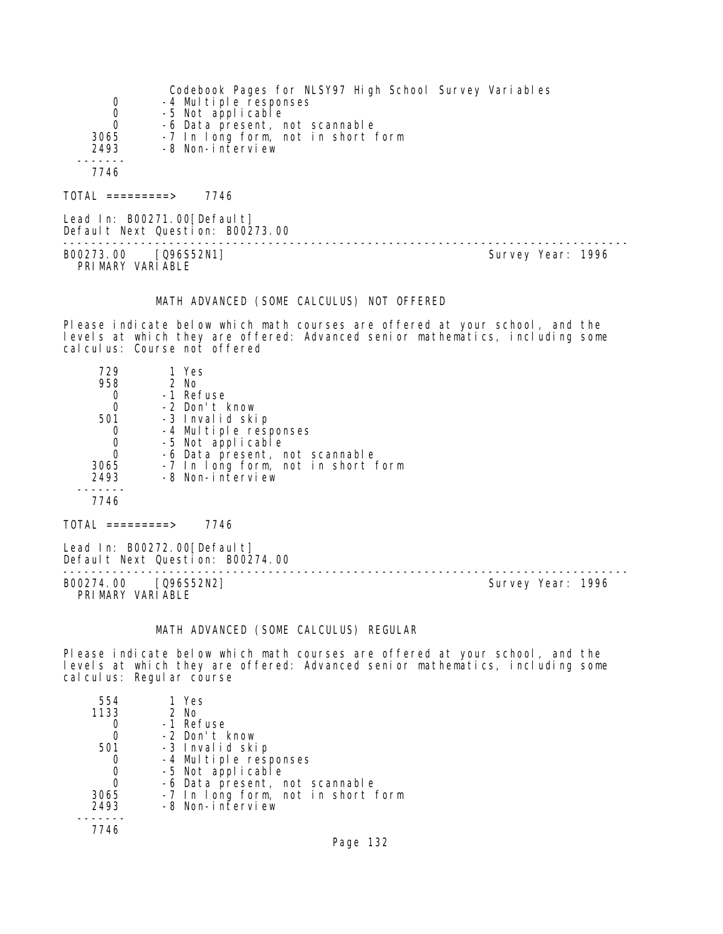|                              | Codebook Pages for NLSY97 High School Survey Variables |
|------------------------------|--------------------------------------------------------|
| 0                            | -4 Multiple responses                                  |
| 0                            | -5 Not applicable                                      |
| $\Omega$                     | -6 Data present, not scannable                         |
| 3065                         | -7 In long form, not in short form                     |
| 2493                         | -8 Non-interview                                       |
|                              |                                                        |
| 7746                         |                                                        |
|                              |                                                        |
| $\overline{O}TAL$ =========> | 7746                                                   |

Lead In: B00271.00 [Default] Default Next Question: B00273.00 -------------------------------------------------------------------------------- B00273.00 [Q96S52N1] PRI MARY VARI ABLE

MATH ADVANCED (SOME CALCULUS) NOT OFFERED

Please indicate below which math courses are offered at your school, and the levels at which they are offered: Advanced senior mathematics, including some cal culus: Course not offered

| 729  | 1 Yes                              |
|------|------------------------------------|
| 958  | $2$ No                             |
|      | -1 Refuse                          |
| 0    | -2 Don't know                      |
| 501  | -3 Invalid skip                    |
| 0    | -4 Multiple responses              |
| 0    | -5 Not applicable                  |
| 0    | -6 Data present, not scannable     |
| 3065 | -7 In long form, not in short form |
| 2493 | -8 Non-interview                   |
|      |                                    |
| 7746 |                                    |

TOTAL =========> 7746

Lead In: B00272.00 [Default] Default Next Question: B00274.00

B00274.00 [Q96S52N2] PRIMARY VARIABLE

--------------------------------------------------------------------------------

# MATH ADVANCED (SOME CALCULUS) REGULAR

Please indicate below which math courses are offered at your school, and the levels at which they are offered: Advanced senior mathematics, including some calculus: Regular course

| 554  | 1 Yes                                      |
|------|--------------------------------------------|
| 1133 | $2$ No                                     |
|      | -1 Refuse                                  |
|      | -2 Don't know                              |
| 501  | -3 Invalid skip                            |
|      | -4 Multiple responses<br>-5 Not applicable |
| 0    |                                            |
| O    | -6 Data present, not scannable             |
| 3065 | -7 In long form, not in short form         |
| 2493 | -8 Non-interview                           |
|      |                                            |
| 7746 |                                            |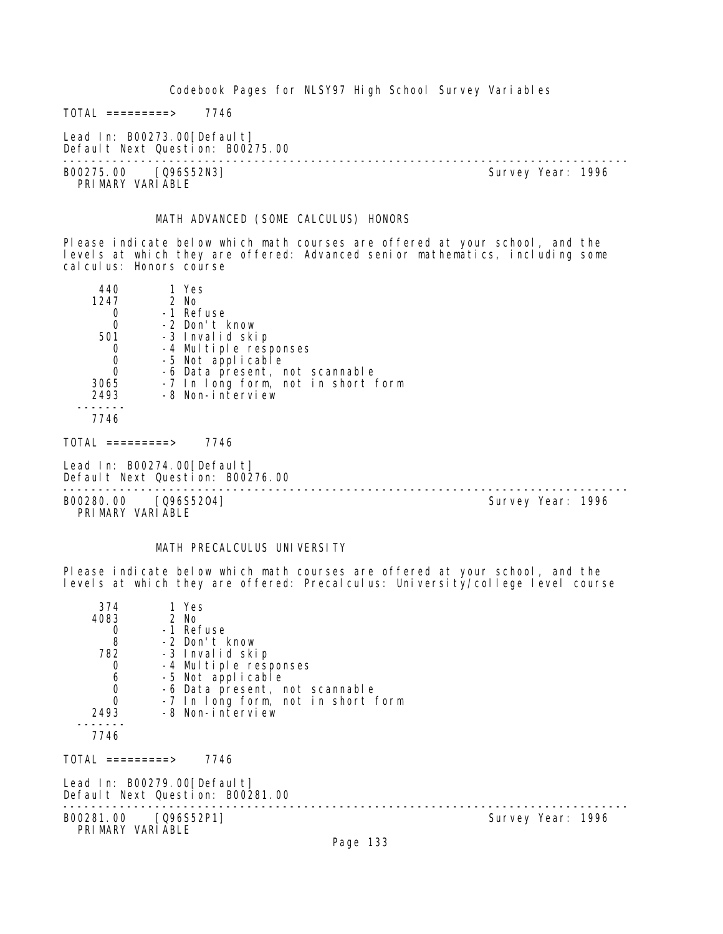$TOTAL$  =========> 7746

Lead In: B00273.00[Default] Default Next Question: B00275.00

-------------------------------------------------------------------------------- B00275.00 [Q96S52N3] PRIMARY VARIABLE

#### MATH ADVANCED (SOME CALCULUS) HONORS

Please indicate below which math courses are offered at your school, and the levels at which they are offered: Advanced senior mathematics, including some cal cul us: Honors course

| 440  | 1 Yes                              |
|------|------------------------------------|
| 1247 | 2 No                               |
|      | -1 Refuse                          |
|      | -2 Don't know                      |
| 501  | -3 Invalid skip                    |
|      | -4 Multiple responses              |
|      | -5 Not applicable                  |
|      | -6 Data present, not scannable     |
| 3065 | -7 In long form, not in short form |
| 2493 | -8 Non-interview                   |
|      |                                    |

7746

 $TOTAL$  =========> 7746

Lead In: B00274.00[Default] Default Next Question: B00276.00

-------------------------------------------------------------------------------- B00280.00 [Q96S5204] PRI MARY VARI ABLE

# MATH PRECALCULUS UNIVERSITY

Please indicate below which math courses are offered at your school, and the levels at which they are offered: Precalculus: University/college level course

| 374<br>4083<br>$\frac{0}{8}$<br>782<br>$\mathbf 0$<br>$\begin{matrix} 6 \\ 0 \\ 0 \end{matrix}$<br>2493 | 1 Yes<br>2 No<br>-1 Refuse<br>-2 Don't know<br>-3 Invalid skip<br>-4 Multiple responses<br>-5 Not applicable<br>-6 Data present, not scannable<br>-7 In long form, not in short form<br>-8 Non-interview |                   |
|---------------------------------------------------------------------------------------------------------|----------------------------------------------------------------------------------------------------------------------------------------------------------------------------------------------------------|-------------------|
| 7746                                                                                                    |                                                                                                                                                                                                          |                   |
| TOTAL =========>                                                                                        | 7746                                                                                                                                                                                                     |                   |
|                                                                                                         | Lead In: B00279.00 [Default]<br>Default Next Question: B00281.00                                                                                                                                         |                   |
| B00281.00 [Q96S52P1]<br>PRIMARY VARIABLE                                                                |                                                                                                                                                                                                          | Survey Year: 1996 |
|                                                                                                         | Page 133                                                                                                                                                                                                 |                   |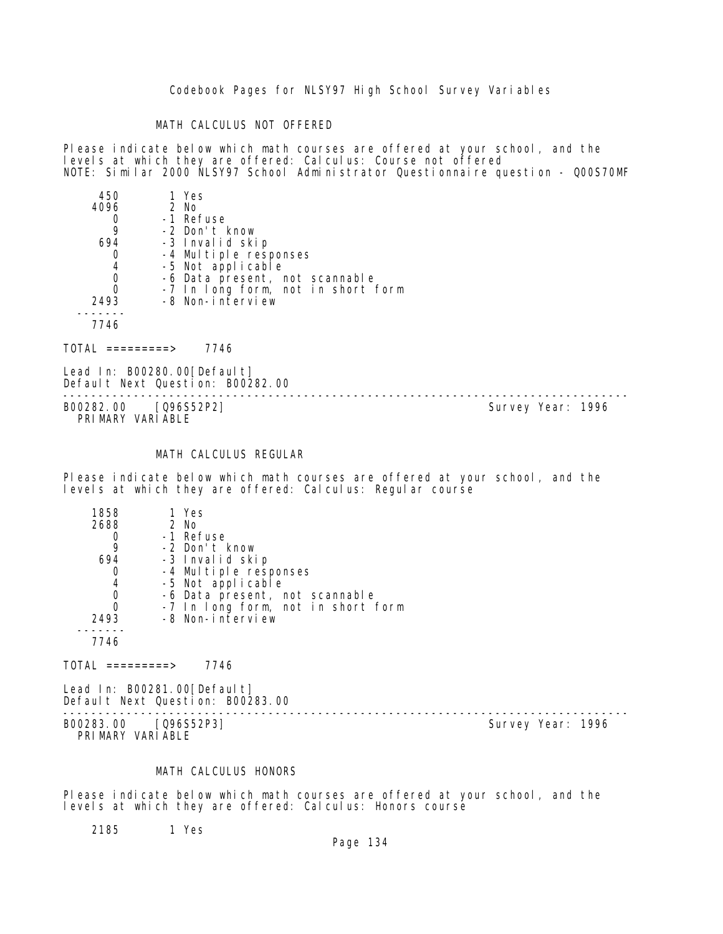#### MATH CALCULUS NOT OFFERED

Please indicate below which math courses are offered at your school, and the levels at which they are offered: Calculus: Course not offered NOTE: Similar 2000 NLSY97 School Administrator Questionnaire question - Q00S70MF

| 450  | 1 Yes                              |
|------|------------------------------------|
| 4096 | 2 No                               |
|      | -1 Refuse                          |
| 9    | -2 Don't know                      |
| 694  | -3 Invalid skip                    |
|      | -4 Multiple responses              |
| 4    | -5 Not applicable                  |
| 0    | -6 Data present, not scannable     |
| 0    | -7 In long form, not in short form |
| 2493 | -8 Non-interview                   |
|      |                                    |
| 7746 |                                    |
|      |                                    |

TOTAL =========> 7746

Lead In: B00280.00 [Default] Default Next Question: B00282.00

-------------------------------------------------------------------------------- B00282.00 [Q96S52P2] PRIMARY VARIABLE

# MATH CALCULUS REGULAR

Please indicate below which math courses are offered at your school, and the levels at which they are offered: Calculus: Regular course

| 1858 | 1 Yes                              |
|------|------------------------------------|
| 2688 | 2 No                               |
|      | -1 Refuse                          |
|      | -2 Don't know                      |
| 694  | -3 Invalid skip                    |
|      | -4 Multiple responses              |
| 4    | -5 Not applicable                  |
|      | -6 Data present, not scannable     |
| O    | -7 In long form, not in short form |
| 2493 | -8 Non-interview                   |
|      |                                    |
| 7746 |                                    |
|      |                                    |

 $TOTAL$  =========> 7746

Lead In: B00281.00 [Default] Default Next Question: B00283.00

B00283.00 [Q96S52P3] PRIMARY VARIABLE

--------------------------------------------------------------------------------

# MATH CALCULUS HONORS

Please indicate below which math courses are offered at your school, and the levels at which they are offered: Calculus: Honors course

2185 1 Yes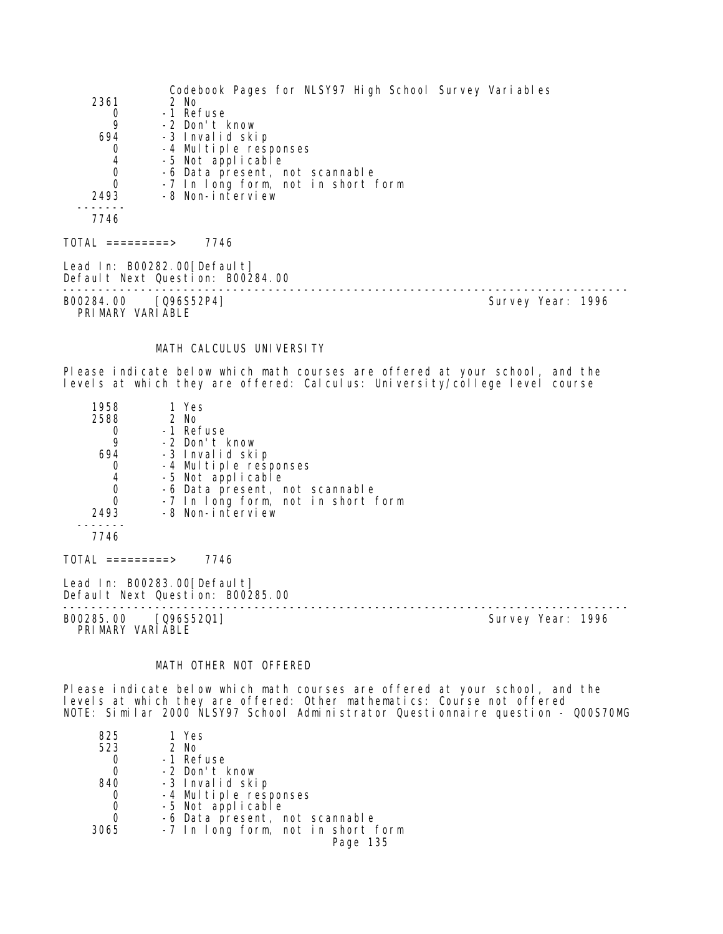| 2361<br>0<br>9<br>694<br>0<br>4<br>0<br>$\Omega$<br>2493                    | Codebook Pages for NLSY97 High School Survey Variables<br>2 No<br>-1 Refuse<br>-2 Don't know<br>-3 Invalid skip<br>-4 Multiple responses<br>-5 Not applicable<br>-6 Data present, not scannable<br>-7 In long form, not in short form<br>-8 Non-interview |                   |  |
|-----------------------------------------------------------------------------|-----------------------------------------------------------------------------------------------------------------------------------------------------------------------------------------------------------------------------------------------------------|-------------------|--|
| 7746                                                                        |                                                                                                                                                                                                                                                           |                   |  |
| TOTAL =========>         7746                                               |                                                                                                                                                                                                                                                           |                   |  |
|                                                                             | Lead In: B00282.00[Default]<br>Default Next Question: B00284.00                                                                                                                                                                                           |                   |  |
| B00284.00 [Q96S52P4]<br>PRIMARY VARIABLE                                    |                                                                                                                                                                                                                                                           | Survey Year: 1996 |  |
|                                                                             | MATH CALCULUS UNIVERSITY                                                                                                                                                                                                                                  |                   |  |
|                                                                             | Please indicate below which math courses are offered at your school, and the<br>levels at which they are offered: Calculus: University/college level course                                                                                               |                   |  |
| 1958<br>2588<br>0<br>9<br>694<br>$\mathbf{0}$<br>4<br>0<br>$\Omega$<br>2493 | 1 Yes<br>2 No<br>-1 Refuse<br>-2 Don't know<br>-3 Invalid skip<br>-4 Multiple responses<br>-5 Not applicable<br>-6 Data present, not scannable<br>-7 In long form, not in short form<br>-8 Non-interview                                                  |                   |  |
| 7746                                                                        |                                                                                                                                                                                                                                                           |                   |  |
| TOTAL =========>                                                            | 7746                                                                                                                                                                                                                                                      |                   |  |

Lead In: B00283.00[Default] Default Next Question: B00285.00

B00285.00 [Q96S52Q1] Survey Year: 1996 PRIMARY VARIABLE

--------------------------------------------------------------------------------

# MATH OTHER NOT OFFERED

Please indicate below which math courses are offered at your school, and the levels at which they are offered: Other mathematics: Course not offered NOTE: Similar 2000 NLSY97 School Administrator Questionnaire question - Q00S70MG

| 825  | 1 Yes                              |
|------|------------------------------------|
| 523  | 2 No                               |
| 0    | -1 Refuse                          |
|      | -2 Don't know                      |
| 840  | -3 Invalid skip                    |
| 0    | -4 Multiple responses              |
| 0    | -5 Not applicable                  |
| 0    | -6 Data present, not scannable     |
| 3065 | -7 In long form, not in short form |
|      | Page 135                           |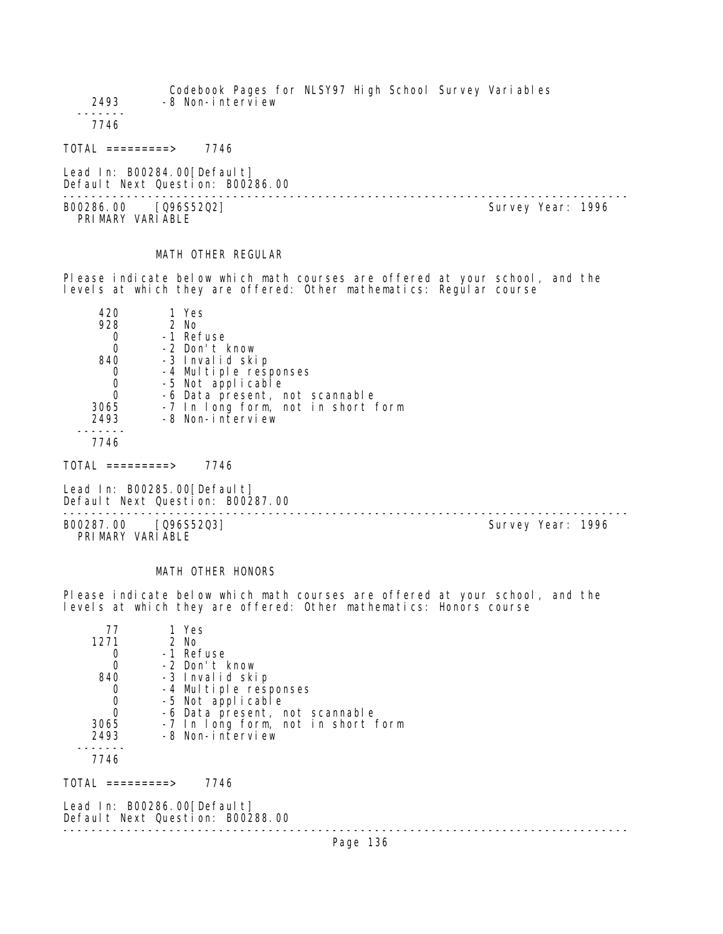Codebook Pages for NLSY97 High School Survey Variables 2493 -8 Non-interview ------- 7746

TOTAL =========> 7746

Lead In: B00284.00 [Default] Default Next Question: B00286.00

-------------------------------------------------------------------------------- B00286.00 [Q96S52Q2] PRIMARY VARIABLE

# MATH OTHER REGULAR

Please indicate below which math courses are offered at your school, and the levels at which they are offered: Other mathematics: Regular course

| 420  | 1 Yes                              |
|------|------------------------------------|
| 928  | 2 No                               |
|      | -1 Refuse                          |
|      | -2 Don't know                      |
| 840  | -3 Invalid skip                    |
|      | -4 Multiple responses              |
|      | -5 Not applicable                  |
|      | -6 Data present, not scannable     |
| 3065 | -7 In long form, not in short form |
| 2493 | -8 Non-interview                   |
|      |                                    |

7746

 $TOTAL$  =========> 7746

Lead In: B00285.00 [Default] Default Next Question: B00287.00

B00287.00 [Q96S52Q3] PRI MARY VARI ABLE

--------------------------------------------------------------------------------

#### MATH OTHER HONORS

Please indicate below which math courses are offered at your school, and the levels at which they are offered: Other mathematics: Honors course

| 77   | 1 Yes                              |
|------|------------------------------------|
| 1271 | $2$ No                             |
|      | -1 Refuse                          |
|      | -2 Don't know                      |
| 840  | -3 Invalid skip                    |
|      | -4 Multiple responses              |
|      | -5 Not applicable                  |
|      | -6 Data present, not scannable     |
| 3065 | -7 In long form, not in short form |
| 2493 | -8 Non-interview                   |
|      |                                    |
| 7746 |                                    |

TOTAL =========> 7746

Lead In: B00286.00 [Default] Default Next Question: B00288.00 --------------------------------------------------------------------------------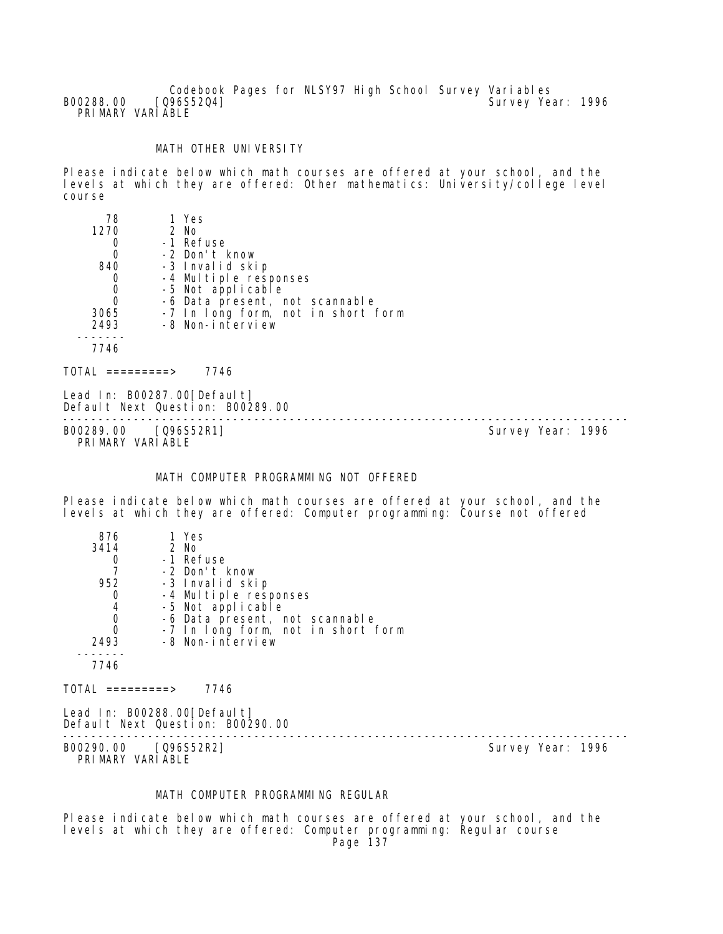Codebook Pages for NLSY97 High School Survey Variables<br>[096S5204] Survey Yea B00288.00 [Q96S52Q4] Survey Year: 1996 PRI MARY VARI ABLE

# MATH OTHER UNIVERSITY

Please indicate below which math courses are offered at your school, and the levels at which they are offered: Other mathematics: University/college level course

| 78          | 1 Yes                              |
|-------------|------------------------------------|
| 1270        | 2 No                               |
| 0           | -1 Refuse                          |
| 0           | -2 Don't know                      |
| 840         | -3 Invalid skip                    |
| 0           | -4 Multiple responses              |
| $\mathbf 0$ | -5 Not applicable                  |
| $\Omega$    | -6 Data present, not scannable     |
| 3065        | -7 In long form, not in short form |
| 2493        | -8 Non-interview                   |
|             |                                    |
| 7746        |                                    |
|             | 7746<br>=========>                 |

Lead In: B00287.00[Default] Default Next Question: B00289.00 B00289.00 [Q96S52R1]

PRIMARY VARIABLE

--------------------------------------------------------------------------------

#### MATH COMPUTER PROGRAMMING NOT OFFERED

Please indicate below which math courses are offered at your school, and the levels at which they are offered: Computer programming: Course not offered

| 876  | 1 Yes                              |
|------|------------------------------------|
| 3414 | $2$ No                             |
|      | -1 Refuse                          |
|      | -2 Don't know                      |
| 952  | -3 Invalid skip                    |
|      | -4 Multiple responses              |
| 4    | -5 Not applicable                  |
|      | -6 Data present, not scannable     |
|      | -7 In long form, not in short form |
| 2493 | -8 Non-interview                   |
|      |                                    |
| 7746 |                                    |
|      |                                    |

 $TOTAL$  =========> 7746

Lead In: B00288.00 [Default] Default Next Question: B00290.00

-------------------------------------------------------------------------------- B00290.00 [Q96S52R2] PRIMARY VARIABLE

#### MATH COMPUTER PROGRAMMING REGULAR

Please indicate below which math courses are offered at your school, and the levels at which they are offered: Computer programming: Regular course Page 137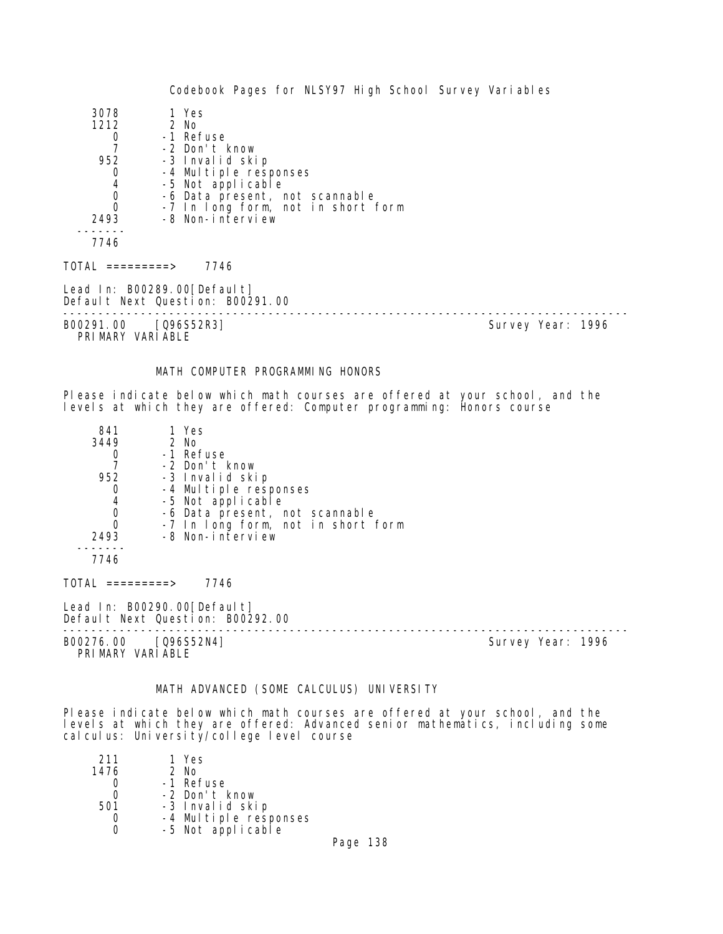| 3078<br>1212<br>0<br>952<br>$\mathbf 0$<br>$\begin{array}{c} 4 \\ 0 \\ 0 \end{array}$<br>2493<br>7746 | 1 Yes<br>2 No<br>-1 Refuse<br>-2 Don't know<br>-3 Invalid skip<br>-4 Multiple responses<br>-5 Not applicable<br>-6 Data present, not scannable<br>-7 In long form, not in short form<br>-8 Non-interview |                   |  |
|-------------------------------------------------------------------------------------------------------|----------------------------------------------------------------------------------------------------------------------------------------------------------------------------------------------------------|-------------------|--|
| TOTAL =========>                                                                                      | 7746                                                                                                                                                                                                     |                   |  |
| Lead In: B00289.00[Default]                                                                           | Default Next Question: B00291.00                                                                                                                                                                         |                   |  |
| B00291.00 [Q96S52R3]<br>PRIMARY VARIABLE                                                              |                                                                                                                                                                                                          | Survey Year: 1996 |  |

# MATH COMPUTER PROGRAMMING HONORS

Please indicate below which math courses are offered at your school, and the levels at which they are offered: Computer programming: Honors course

| 841<br>3449 | 1 Yes<br>$2$ No                    |  |
|-------------|------------------------------------|--|
|             | -1 Refuse                          |  |
|             | -2 Don't know                      |  |
| 952         | -3 Invalid skip                    |  |
| O           | -4 Multiple responses              |  |
| 4           | -5 Not applicable                  |  |
| 0           | -6 Data present, not scannable     |  |
| 0           | -7 In long form, not in short form |  |
| 2493        | -8 Non-interview                   |  |
|             |                                    |  |
| 7746        |                                    |  |

TOTAL =========> 7746

Lead In: B00290.00 [Default] Default Next Question: B00292.00

-------------------------------------------------------------------------------- B00276.00 [Q96S52N4] PRIMARY VARIABLE

# MATH ADVANCED (SOME CALCULUS) UNIVERSITY

Please indicate below which math courses are offered at your school, and the levels at which they are offered: Advanced senior mathematics, including some calculus: University/college level course

| 211  | 1 Yes                                      |  |
|------|--------------------------------------------|--|
| 1476 | 2 No                                       |  |
|      | -1 Refuse                                  |  |
|      | -2 Don't know                              |  |
| 501  | -3 Invalid skip                            |  |
|      |                                            |  |
|      | -4 Multiple responses<br>-5 Not applicable |  |
|      |                                            |  |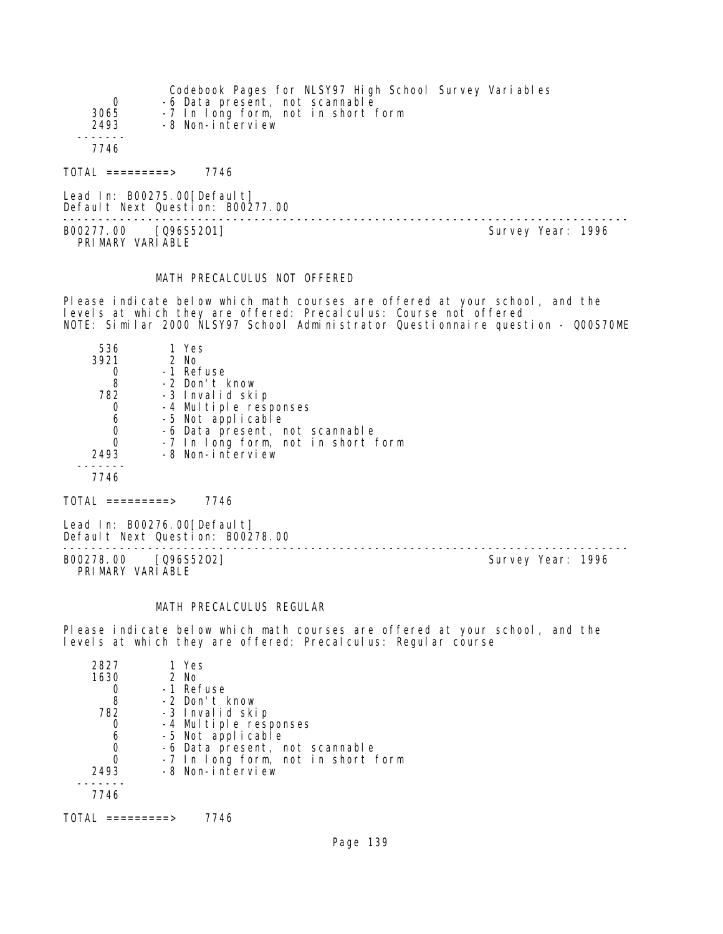| 0<br>3065<br>2493 | Codebook Pages for NLSY97 High School Survey Variables<br>-6 Data present, not scannable<br>-7 In long form, not in short form<br>-8 Non-interview |                   |
|-------------------|----------------------------------------------------------------------------------------------------------------------------------------------------|-------------------|
| 7746              |                                                                                                                                                    |                   |
| TOTAL =========>  | 7746                                                                                                                                               |                   |
|                   | Lead In: B00275.00[Default]<br>Default Next Question: B00277.00                                                                                    |                   |
| B00277.00         | [096S5201]                                                                                                                                         | Survey Year: 1996 |

PRIMARY VARIABLE

#### MATH PRECALCULUS NOT OFFERED

Please indicate below which math courses are offered at your school, and the levels at which they are offered: Precalculus: Course not offered NOTE: Similar 2000 NLSY97 School Administrator Questionnaire question - Q00S70ME

| 536  | 1 Yes                              |
|------|------------------------------------|
| 3921 | 2 No                               |
|      | -1 Refuse                          |
| 8    | -2 Don't know                      |
| 782  | -3 Invalid skip                    |
|      | -4 Multiple responses              |
| 6    | -5 Not applicable                  |
| 0    | -6 Data present, not scannable     |
| 0    | -7 In long form, not in short form |
| 2493 | -8 Non-interview                   |
|      |                                    |
| 7746 |                                    |

 $TOTAL$  =========> 7746

Lead In: B00276.00[Default] Default Next Question: B00278.00

-------------------------------------------------------------------------------- B00278.00 [Q96S52O2] Survey Year: 1996 PRIMARY VARIABLE

#### MATH PRECALCULUS REGULAR

Please indicate below which math courses are offered at your school, and the levels at which they are offered: Precalculus: Regular course

| 2827 | 1 Yes                              |
|------|------------------------------------|
| 1630 | $2$ No                             |
|      | -1 Refuse                          |
| 8    | -2 Don't know                      |
| 782  | -3 Invalid skip                    |
|      | -4 Multiple responses              |
| 6    | -5 Not applicable                  |
|      | -6 Data present, not scannable     |
|      | -7 In long form, not in short form |
| 2493 | -8 Non-interview                   |
|      |                                    |
| 7746 |                                    |
|      |                                    |

 $TOTAL$  =========> 7746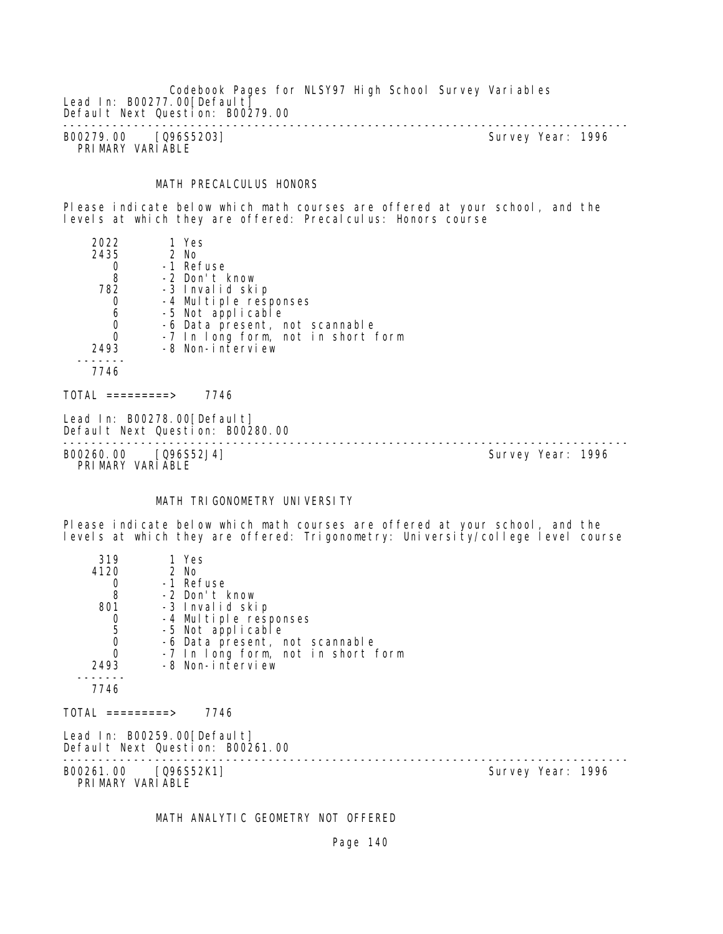Codebook Pages for NLSY97 High School Survey Variables Lead In: B00277.00[Default] Default Next Question: B00279.00 -------------------------------------------------------------------------------- B00279.00 [Q96S52O3] Survey Year: 1996

PRIMARY VARIABLE

#### MATH PRECALCULUS HONORS

Please indicate below which math courses are offered at your school, and the levels at which they are offered: Precalculus: Honors course

| 2022                                 | 1 Yes                                                           |                   |
|--------------------------------------|-----------------------------------------------------------------|-------------------|
| 2435                                 | 2 No                                                            |                   |
| 0                                    | -1 Refuse                                                       |                   |
| 8                                    | -2 Don't know                                                   |                   |
| 782                                  | -3 Invalid skip                                                 |                   |
| 0                                    | -4 Multiple responses                                           |                   |
| $\begin{matrix} 6 \\ 0 \end{matrix}$ | -5 Not applicable                                               |                   |
|                                      | -6 Data present, not scannable                                  |                   |
| $\Omega$                             | -7 In long form, not in short form                              |                   |
| 2493                                 | -8 Non-interview                                                |                   |
| 7746                                 |                                                                 |                   |
| TOTAL =========>                     | 7746                                                            |                   |
|                                      | Lead In: B00278.00[Default]<br>Default Next Question: B00280.00 |                   |
| B00260.00                            | $[096552J4]$                                                    | Survey Year: 1996 |

PRIMARY VARIABLE

# MATH TRIGONOMETRY UNIVERSITY

Please indicate below which math courses are offered at your school, and the levels at which they are offered: Trigonometry: University/college level course

| 1 Yes            |                                                                                                                                                                                                                                                                          |                   |
|------------------|--------------------------------------------------------------------------------------------------------------------------------------------------------------------------------------------------------------------------------------------------------------------------|-------------------|
| 2 No             |                                                                                                                                                                                                                                                                          |                   |
| -1 Refuse        |                                                                                                                                                                                                                                                                          |                   |
| -2 Don't know    |                                                                                                                                                                                                                                                                          |                   |
|                  |                                                                                                                                                                                                                                                                          |                   |
|                  |                                                                                                                                                                                                                                                                          |                   |
|                  |                                                                                                                                                                                                                                                                          |                   |
|                  |                                                                                                                                                                                                                                                                          |                   |
|                  |                                                                                                                                                                                                                                                                          |                   |
|                  |                                                                                                                                                                                                                                                                          |                   |
|                  |                                                                                                                                                                                                                                                                          |                   |
| 7746             |                                                                                                                                                                                                                                                                          |                   |
|                  |                                                                                                                                                                                                                                                                          |                   |
| PRIMARY VARIABLE |                                                                                                                                                                                                                                                                          |                   |
|                  | -3 Invalid skip<br>-4 Multiple responses<br>-5 Not applicable<br>-6 Data present, not scannable<br>-7 In long form, not in short form<br>-8 Non-interview<br>TOTAL =========><br>Lead In: B00259.00[Default]<br>Default Next Question: B00261.00<br>B00261.00 [Q96S52K1] | Survey Year: 1996 |

# MATH ANALYTIC GEOMETRY NOT OFFERED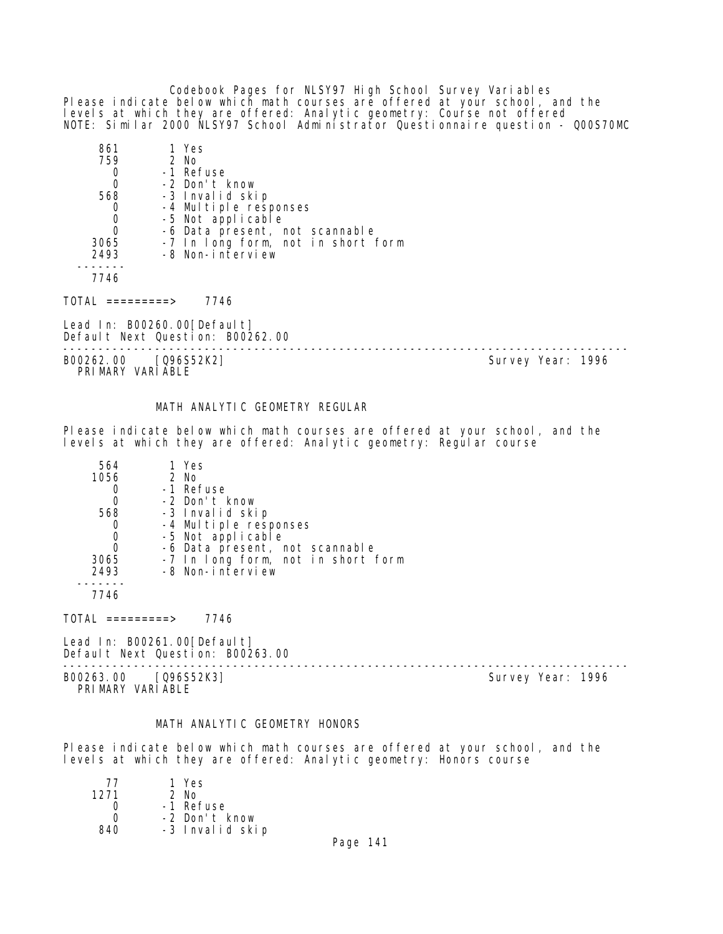Codebook Pages for NLSY97 High School Survey Variables Please indicate below which math courses are offered at your school, and the levels at which they are offered: Analytic geometry: Course not offered NOTE: Similar 2000 NLSY97 School Administrator Questionnaire question - Q00S70MC

| 861  | 1 Yes                              |
|------|------------------------------------|
| 759  | $2$ No                             |
|      | -1 Refuse                          |
|      | -2 Don't know                      |
| 568  | -3 Invalid skip                    |
|      | -4 Multiple responses              |
|      | -5 Not applicable                  |
|      | -6 Data present, not scannable     |
| 3065 | -7 In long form, not in short form |
| 2493 | -8 Non-interview                   |
|      |                                    |
| 7746 |                                    |

TOTAL =========> 7746

Lead In: B00260.00 [Default] Default Next Question: B00262.00

B00262.00 [Q96S52K2] Survey Year: 1996 PRIMARY VARIABLE

--------------------------------------------------------------------------------

#### MATH ANALYTIC GEOMETRY REGULAR

Please indicate below which math courses are offered at your school, and the levels at which they are offered: Analytic geometry: Regular course

| 564  | 1 Yes                              |
|------|------------------------------------|
| 1056 | 2 No                               |
|      | -1 Refuse                          |
|      | -2 Don't know                      |
| 568  | -3 Invalid skip                    |
|      | -4 Multiple responses              |
| 0    | -5 Not applicable                  |
|      | -6 Data present, not scannable     |
| 3065 | -7 In long form, not in short form |
| 2493 | -8 Non-interview                   |
|      |                                    |

7746

 $TOTAL$  =========> 7746

Lead In: B00261.00 [Default] Default Next Question: B00263.00

B00263.00 [Q96S52K3] PRIMARY VARIABLE

--------------------------------------------------------------------------------

#### MATH ANALYTIC GEOMETRY HONORS

Please indicate below which math courses are offered at your school, and the levels at which they are offered: Analytic geometry: Honors course

| 77   | 1 Yes           |
|------|-----------------|
| 1271 | $2$ No          |
| Ω    | -1 Refuse       |
| n    | -2 Don't know   |
| 840  | -3 Invalid skip |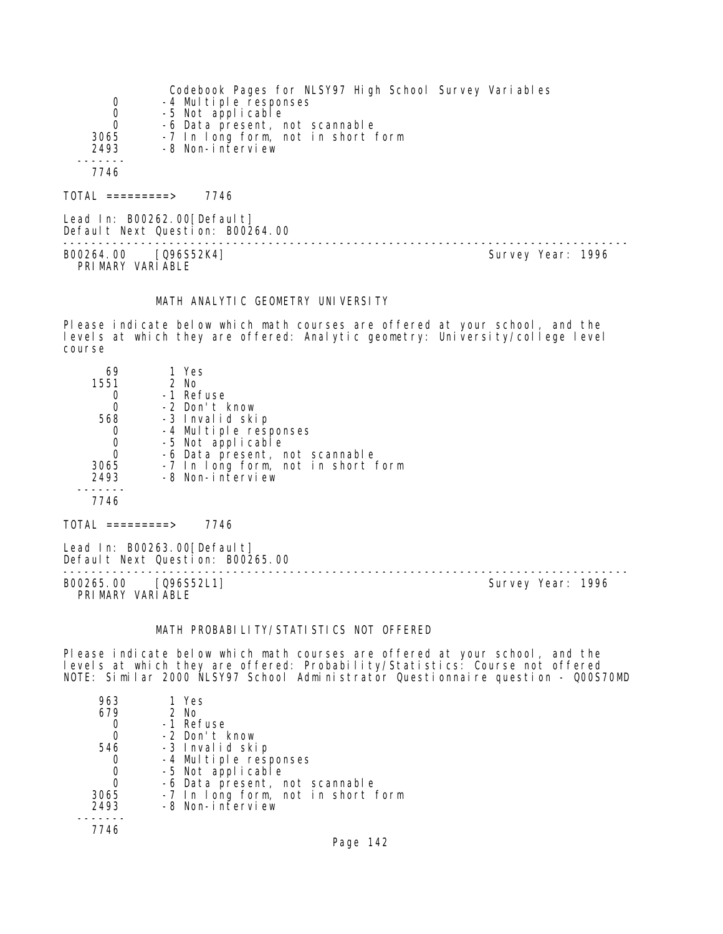|      | Codebook Pages for NLSY97 High School Survey Variables |
|------|--------------------------------------------------------|
| 0    | -4 Multiple responses                                  |
| 0    | -5 Not applicable                                      |
| 0    | -6 Data present, not scannable                         |
| 3065 | -7 In long form, not in short form                     |
| 2493 | -8 Non-interview                                       |
|      |                                                        |
| 7746 |                                                        |
|      |                                                        |

TOTAL =========> 7746

Lead In: B00262.00 [Default] Default Next Question: B00264.00

-------------------------------------------------------------------------------- B00264.00 [Q96S52K4] PRI MARY VARI ABLE

# MATH ANALYTIC GEOMETRY UNIVERSITY

Please indicate below which math courses are offered at your school, and the levels at which they are offered: Analytic geometry: University/college level course

| 69   | 1 Yes                              |
|------|------------------------------------|
| 1551 | 2 No                               |
|      | -1 Refuse                          |
|      | -2 Don't know                      |
| 568  | -3 Invalid skip                    |
|      | -4 Multiple responses              |
| O    | -5 Not applicable                  |
| O    | -6 Data present, not scannable     |
| 3065 | -7 In long form, not in short form |
| 2493 | -8 Non-interview                   |
|      |                                    |
| 7746 |                                    |

TOTAL =========> 7746

Lead In: B00263.00[Default] Default Next Question: B00265.00

B00265.00 [Q96S52L1] PRIMARY VARIABLE

--------------------------------------------------------------------------------

# MATH PROBABILITY/STATISTICS NOT OFFERED

Please indicate below which math courses are offered at your school, and the levels at which they are offered: Probability/Statistics: Course not offered NOTE: Similar 2000 NLSY97 School Administrator Questionnaire question - Q00S70MD

| 963  | 1 Yes                              |
|------|------------------------------------|
| 679  | $2$ No                             |
|      | -1 Refuse                          |
| 0    | -2 Don't know                      |
| 546  | -3 Invalid skip                    |
|      | -4 Multiple responses              |
| 0    | -5 Not applicable                  |
| 0    | -6 Data present, not scannable     |
| 3065 | -7 In long form, not in short form |
| 2493 | -8 Non-interview                   |
|      |                                    |
| 7746 |                                    |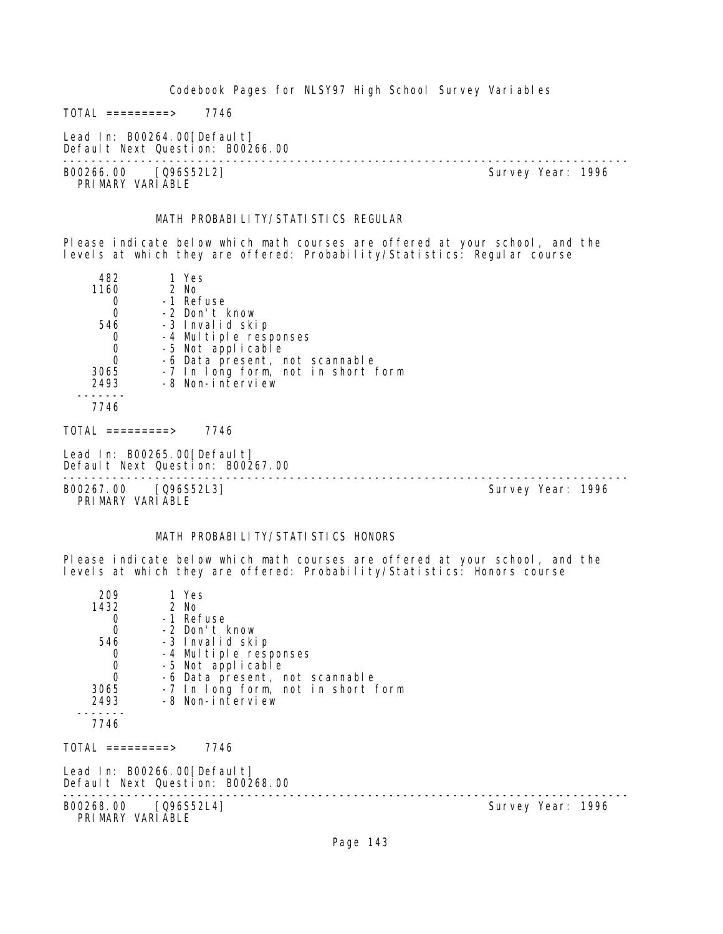$TOTAL$  =========> 7746

Lead In: B00264.00[Default] Default Next Question: B00266.00

-------------------------------------------------------------------------------- B00266.00 [Q96S52L2] PRIMARY VARIABLE

#### MATH PROBABILITY/STATISTICS REGULAR

Please indicate below which math courses are offered at your school, and the levels at which they are offered: Probability/Statistics: Regular course

| 482                                      | 1 Yes                                                           |  |                   |
|------------------------------------------|-----------------------------------------------------------------|--|-------------------|
| 1160                                     | 2 No                                                            |  |                   |
| 0                                        | -1 Refuse                                                       |  |                   |
| $\overline{0}$                           | -2 Don't know                                                   |  |                   |
| 546                                      | -3 Invalid skip                                                 |  |                   |
| 0                                        | -4 Multiple responses                                           |  |                   |
| $\begin{matrix}0\\0\end{matrix}$         | -5 Not applicable                                               |  |                   |
|                                          | -6 Data present, not scannable                                  |  |                   |
| 3065                                     | -7 In long form, not in short form                              |  |                   |
| 2493                                     | -8 Non-interview                                                |  |                   |
|                                          |                                                                 |  |                   |
| 7746                                     |                                                                 |  |                   |
| TOTAL =========>                         | 7746                                                            |  |                   |
|                                          | Lead In: B00265.00[Default]<br>Default Next Question: B00267.00 |  |                   |
| B00267.00 [Q96S52L3]<br>PRIMARY VARIABLE |                                                                 |  | Survey Year: 1996 |

#### MATH PROBABILITY/STATISTICS HONORS

Please indicate below which math courses are offered at your school, and the levels at which they are offered: Probability/Statistics: Honors course

| 209                                       | 1 Yes                              |                   |  |  |
|-------------------------------------------|------------------------------------|-------------------|--|--|
| 1432                                      | 2 No                               |                   |  |  |
| 0                                         | -1 Refuse                          |                   |  |  |
| $\overline{0}$                            | -2 Don't know                      |                   |  |  |
| 546                                       | -3 Invalid skip                    |                   |  |  |
|                                           | -4 Multiple responses              |                   |  |  |
|                                           | -5 Not applicable                  |                   |  |  |
| $\begin{matrix} 0 \\ 0 \\ 0 \end{matrix}$ | -6 Data present, not scannable     |                   |  |  |
| 3065                                      | -7 In long form, not in short form |                   |  |  |
| 2493                                      | -8 Non-interview                   |                   |  |  |
|                                           |                                    |                   |  |  |
| 7746                                      |                                    |                   |  |  |
|                                           |                                    |                   |  |  |
| TOTAL =========>                          | 7746                               |                   |  |  |
|                                           |                                    |                   |  |  |
|                                           | Lead In: B00266.00[Default]        |                   |  |  |
|                                           | Default Next Question: B00268.00   |                   |  |  |
| B00268.00 [Q96S52L4]                      |                                    | Survey Year: 1996 |  |  |
| PRIMARY VARIABLE                          |                                    |                   |  |  |
|                                           |                                    |                   |  |  |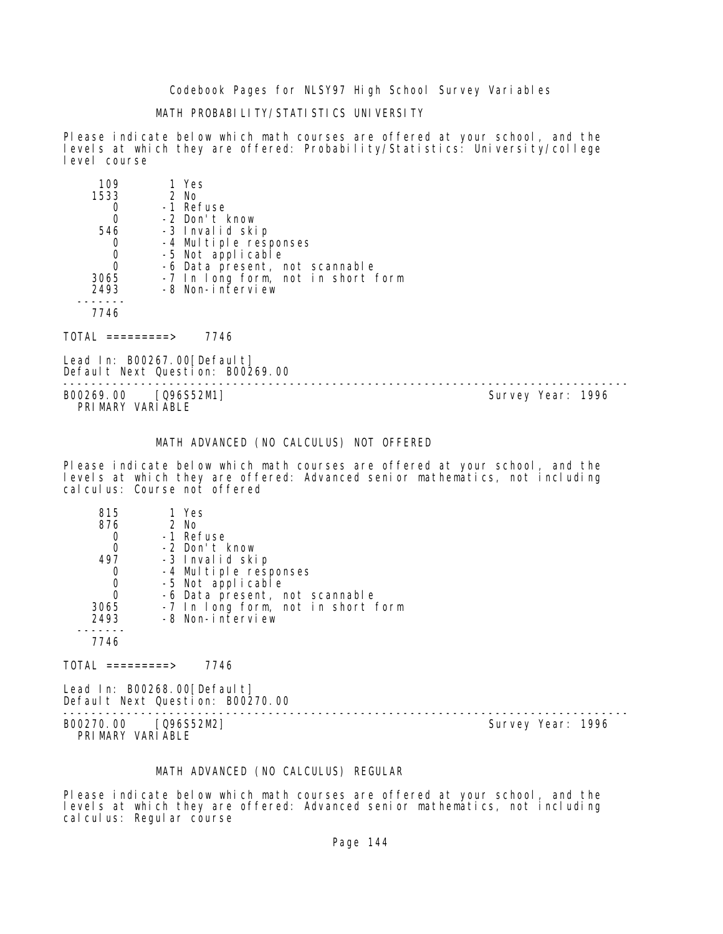# MATH PROBABILITY/STATISTICS UNIVERSITY

Please indicate below which math courses are offered at your school, and the levels at which they are offered: Probability/Statistics: University/college level course

| 109  | 1 Yes                              |
|------|------------------------------------|
| 1533 | $2$ No                             |
|      | -1 Refuse                          |
|      | -2 Don't know                      |
| 546  | -3 Invalid skip                    |
|      | -4 Multiple responses              |
|      | -5 Not applicable                  |
|      | -6 Data present, not scannable     |
| 3065 | -7 In long form, not in short form |
| 2493 | -8 Non-interview                   |
|      |                                    |
| 7746 |                                    |
|      |                                    |

 $TOTAL$  ========> 7746

Lead In: B00267.00 [Default] Default Next Question: B00269.00

B00269.00 [Q96S52M1] PRIMARY VARIABLE

--------------------------------------------------------------------------------

#### MATH ADVANCED (NO CALCULUS) NOT OFFERED

Please indicate below which math courses are offered at your school, and the levels at which they are offered: Advanced senior mathematics, not including calculus: Course not offered

| 815      | 1 Yes                              |
|----------|------------------------------------|
| 876      | $2$ No                             |
|          | -1 Refuse                          |
|          | -2 Don't know                      |
| 497      | -3 Invalid skip                    |
|          | -4 Multiple responses              |
|          | -5 Not applicable                  |
| $\Omega$ | -6 Data present, not scannable     |
| 3065     | -7 In long form, not in short form |
| 2493     | -8 Non-interview                   |
|          |                                    |
| 7746     |                                    |

 $TOTAL$  =========> 7746

Lead In: B00268.00[Default] Default Next Question: B00270.00

B00270.00 [Q96S52M2] PRIMARY VARIABLE

--------------------------------------------------------------------------------

# MATH ADVANCED (NO CALCULUS) REGULAR

Please indicate below which math courses are offered at your school, and the levels at which they are offered: Advanced senior mathematics, not including cal cul us: Regul ar course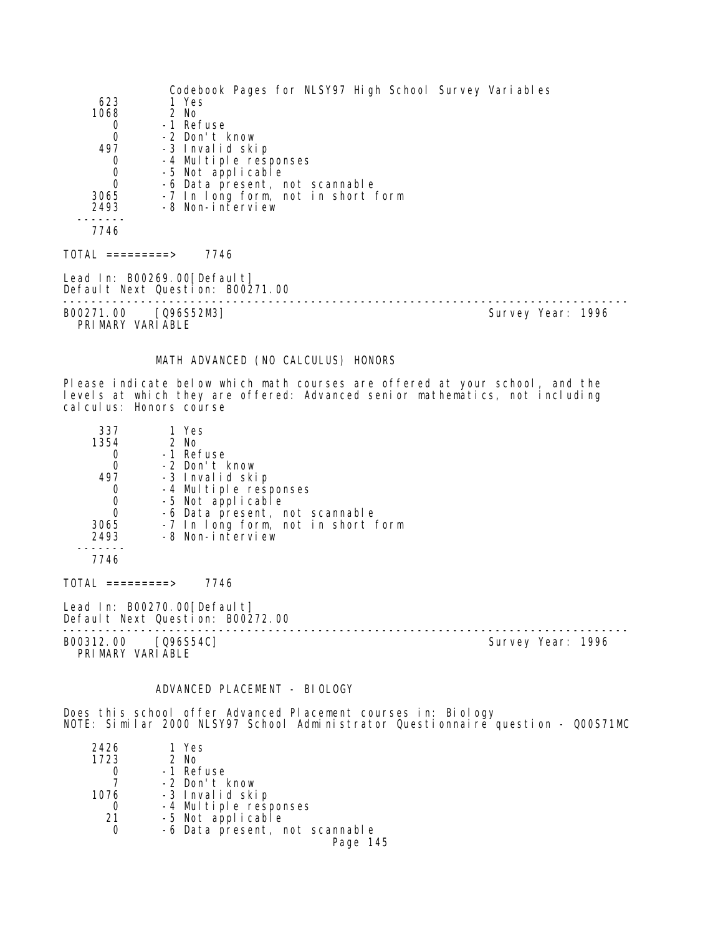|                                          | Codebook Pages for NLSY97 High School Survey Variables                                                                                                       |                   |  |
|------------------------------------------|--------------------------------------------------------------------------------------------------------------------------------------------------------------|-------------------|--|
| 623                                      | 1 Yes                                                                                                                                                        |                   |  |
| 1068                                     | 2 No                                                                                                                                                         |                   |  |
| 0                                        | -1 Refuse                                                                                                                                                    |                   |  |
| 0                                        | -2 Don't know                                                                                                                                                |                   |  |
| 497                                      | -3 Invalid skip                                                                                                                                              |                   |  |
| 0<br>$\mathbf 0$                         | -4 Multiple responses<br>-5 Not applicable                                                                                                                   |                   |  |
| $\overline{O}$                           | -6 Data present, not scannable                                                                                                                               |                   |  |
| 3065                                     | -7 In long form, not in short form                                                                                                                           |                   |  |
| 2493                                     | -8 Non-interview                                                                                                                                             |                   |  |
|                                          |                                                                                                                                                              |                   |  |
| 7746                                     |                                                                                                                                                              |                   |  |
|                                          | TOTAL =========> 7746                                                                                                                                        |                   |  |
|                                          | Lead In: B00269.00[Default]<br>Default Next Question: B00271.00                                                                                              |                   |  |
| B00271.00 [Q96S52M3]<br>PRIMARY VARIABLE |                                                                                                                                                              | Survey Year: 1996 |  |
|                                          | MATH ADVANCED (NO CALCULUS) HONORS                                                                                                                           |                   |  |
|                                          |                                                                                                                                                              |                   |  |
| cal cul us: Honors course                | Please indicate below which math courses are offered at your school, and the<br>levels at which they are offered: Advanced senior mathematics, not including |                   |  |

| 337  | 1 Yes                              |
|------|------------------------------------|
| 1354 | 2 No                               |
|      | -1 Refuse                          |
|      | -2 Don't know                      |
| 497  | -3 Invalid skip                    |
|      | -4 Multiple responses              |
|      | -5 Not applicable                  |
| O    | -6 Data present, not scannable     |
| 3065 | -7 In long form, not in short form |
| 2493 | -8 Non-interview                   |
|      |                                    |

7746

TOTAL =========> 7746

Lead In: B00270.00[Default] Default Next Question: B00272.00

B00312.00 [Q96S54C] Survey Year: 1996 PRIMARY VARIABLE

--------------------------------------------------------------------------------

# ADVANCED PLACEMENT - BIOLOGY

Does this school offer Advanced Placement courses in: Biology NOTE: Similar 2000 NLSY97 School Administrator Questionnaire question - Q00S71MC

| 2426 | 1 Yes                          |
|------|--------------------------------|
| 1723 | $2$ No                         |
|      | -1 Refuse                      |
|      | -2 Don't know                  |
| 1076 | -3 Invalid skip                |
|      | -4 Multiple responses          |
| -21  | -5 Not applicable              |
|      | -6 Data present, not scannable |
|      | Page 145                       |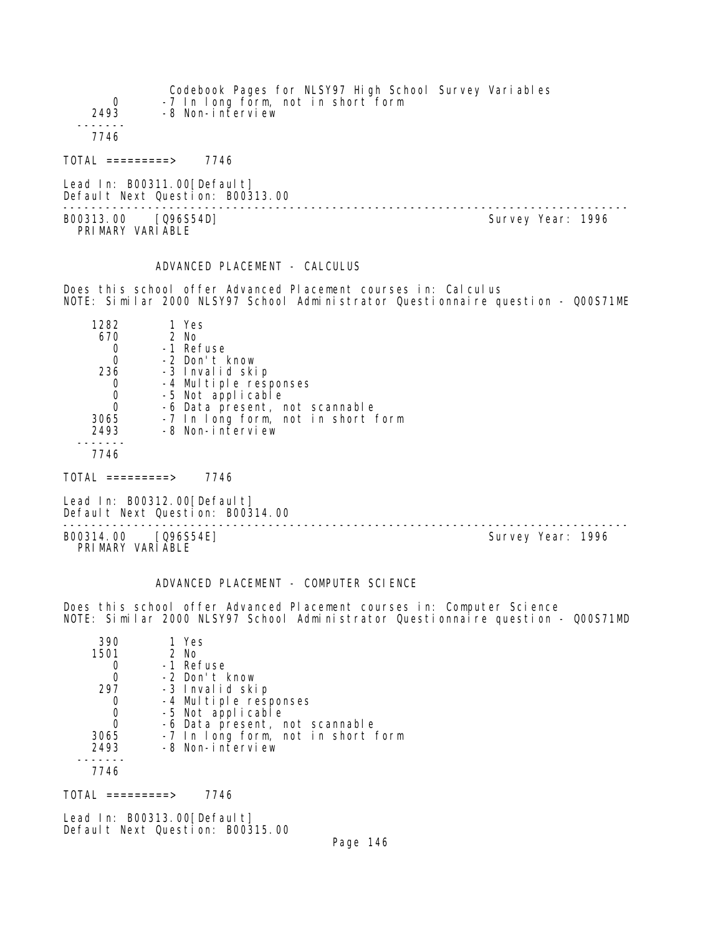Codebook Pages for NLSY97 High School Survey Variables 0 -7 In long form, not in short form<br>2493 -8 Non-interview -8 Non-interview ------- 7746 TOTAL =========> 7746

Lead In: B00311.00 [Default] Default Next Question: B00313.00

-------------------------------------------------------------------------------- B00313.00 [Q96S54D] PRI MARY VARI ABLE

ADVANCED PLACEMENT - CALCULUS

Does this school offer Advanced Placement courses in: Calculus NOTE: Similar 2000 NLSY97 School Administrator Questionnaire question - Q00S71ME

| 1282         | 1 Yes                              |
|--------------|------------------------------------|
| 670          | 2 No                               |
|              | -1 Refuse                          |
| 0            | -2 Don't know                      |
| 236          | -3 Invalid skip                    |
|              | -4 Multiple responses              |
| 0            | -5 Not applicable                  |
| $\mathbf{0}$ | -6 Data present, not scannable     |
| 3065         | -7 In long form, not in short form |
| 2493         | -8 Non-interview                   |
|              |                                    |
|              |                                    |

TOTAL =========> 7746

Lead In: B00312.00 [Default] Default Next Question: B00314.00

-------------------------------------------------------------------------------- B00314.00 [Q96S54E] Survey Year: 1996 PRIMARY VARIABLE

# ADVANCED PLACEMENT - COMPUTER SCIENCE

Does this school offer Advanced Placement courses in: Computer Science NOTE: Similar 2000 NLSY97 School Administrator Questionnaire question - Q00S71MD

| 390  | 1 Yes                              |
|------|------------------------------------|
| 1501 | $2$ No                             |
|      | -1 Refuse                          |
|      | -2 Don't know                      |
| 297  | -3 Invalid skip                    |
|      | -4 Multiple responses              |
|      | -5 Not applicable                  |
| O    | -6 Data present, not scannable     |
| 3065 | -7 In long form, not in short form |
| 2493 | -8 Non-interview                   |
|      |                                    |
| 7746 |                                    |

 $TOTAL$  ========> 7746

Lead In: B00313.00[Default] Default Next Question: B00315.00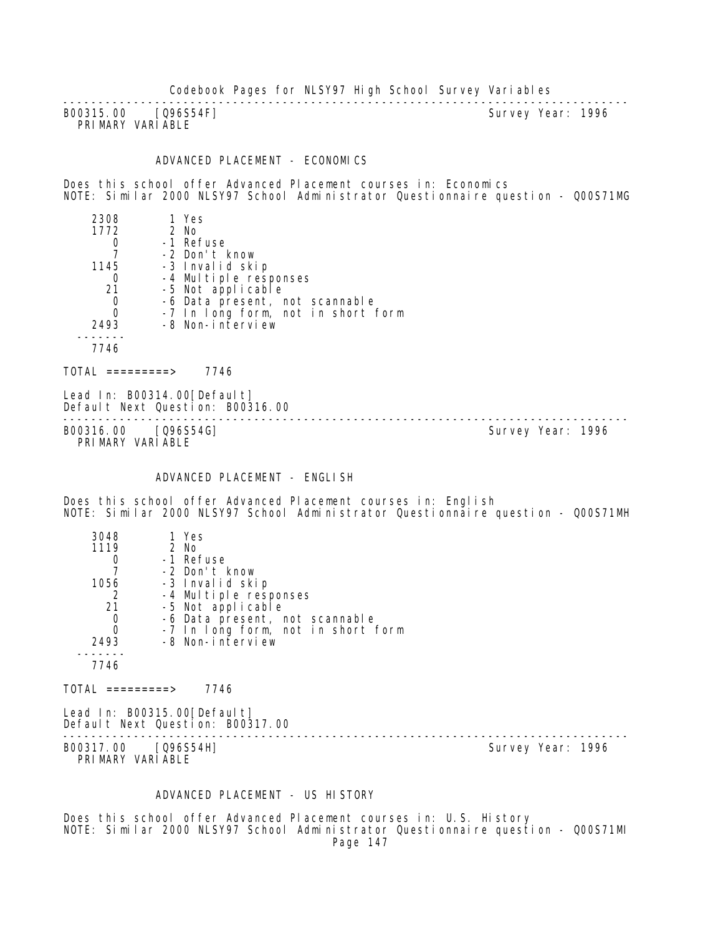B00315.00 [Q96S54F] PRIMARY VARIABLE

--------------------------------------------------------------------------------

# ADVANCED PLACEMENT - ECONOMICS

Does this school offer Advanced Placement courses in: Economics NOTE: Similar 2000 NLSY97 School Administrator Questionnaire question - Q00S71MG

| 2308 | 1 Yes                              |
|------|------------------------------------|
| 1772 | $2$ No                             |
|      | -1 Refuse                          |
|      | -2 Don't know                      |
| 1145 | -3 Invalid skip                    |
|      | -4 Multiple responses              |
| 21   | -5 Not applicable                  |
| 0    | -6 Data present, not scannable     |
| O    | -7 In long form, not in short form |
| 2493 | -8 Non-interview                   |
|      |                                    |
| 7746 |                                    |
|      |                                    |

 $TOTAL$  =========> 7746

Lead In: B00314.00 [Default] Default Next Question: B00316.00

B00316.00 [Q96S54G] PRIMARY VARIABLE

--------------------------------------------------------------------------------

#### ADVANCED PLACEMENT - ENGLISH

Does this school offer Advanced Placement courses in: English NOTE: Similar 2000 NLSY97 School Administrator Questionnaire question - Q00S71MH

| 3048 | 1 Yes                              |
|------|------------------------------------|
| 1119 | 2 No                               |
|      | -1 Refuse                          |
|      | -2 Don't know                      |
| 1056 | -3 Invalid skip                    |
| 2    | -4 Multiple responses              |
| 21   | -5 Not applicable                  |
| O    | -6 Data present, not scannable     |
| 0    | -7 In long form, not in short form |
| 2493 | -8 Non-interview                   |
|      |                                    |
| 7746 |                                    |

 $TOTAL$  =========> 7746

Lead In: B00315.00 [Default] Default Next Question: B00317.00

-------------------------------------------------------------------------------- B00317.00 [Q96S54H] PRIMARY VARIABLE

#### ADVANCED PLACEMENT - US HISTORY

Does this school offer Advanced Placement courses in: U.S. History NOTE: Similar 2000 NLSY97 School Administrator Questionnaire question - Q00S71MI Page 147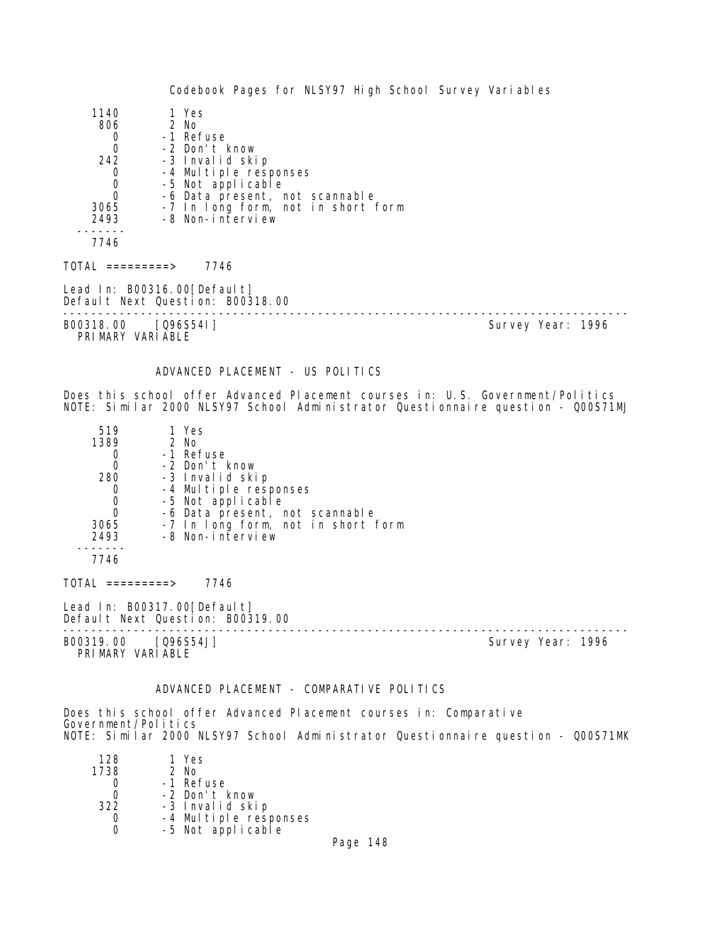| 1140                                | 1 Yes                                                           |                   |
|-------------------------------------|-----------------------------------------------------------------|-------------------|
| 806                                 | 2 No                                                            |                   |
| $\mathbf 0$                         | -1 Refuse                                                       |                   |
| $\mathbf 0$                         | -2 Don't know                                                   |                   |
| 242                                 | -3 Invalid skip                                                 |                   |
|                                     | -4 Multiple responses                                           |                   |
| $\begin{matrix}0\\0\\0\end{matrix}$ | -5 Not applicable                                               |                   |
|                                     | -6 Data present, not scannable                                  |                   |
| 3065                                | -7 In long form, not in short form                              |                   |
| 2493                                | -8 Non-interview                                                |                   |
| 7746                                |                                                                 |                   |
| TOTAL =========>                    | 7746                                                            |                   |
|                                     | Lead In: B00316.00[Default]<br>Default Next Question: B00318.00 |                   |
| B00318.00                           | [Q96S541]                                                       | Survey Year: 1996 |

PRIMARY VARIABLE

## ADVANCED PLACEMENT - US POLITICS

Does this school offer Advanced Placement courses in: U.S. Government/Politics NOTE: Similar 2000 NLSY97 School Administrator Questionnaire question - Q00S71MJ

| 519      | 1 Yes                              |
|----------|------------------------------------|
| 1389     | 2 No                               |
|          | -1 Refuse                          |
| $\Omega$ | -2 Don't know                      |
| 280      | -3 Invalid skip                    |
| 0        | -4 Multiple responses              |
| 0        | -5 Not applicable                  |
| Ω        | -6 Data present, not scannable     |
| 3065     | -7 In long form, not in short form |
| 2493     | -8 Non-interview                   |
|          |                                    |
| 7746     |                                    |

 $TOTAL$  ========> 7746

Lead In: B00317.00 [Default] Default Next Question: B00319.00

B00319.00 [Q96S54J] PRIMARY VARIABLE

--------------------------------------------------------------------------------

# ADVANCED PLACEMENT - COMPARATIVE POLITICS

Does this school offer Advanced Placement courses in: Comparative Government/Politics NOTE: Similar 2000 NLSY97 School Administrator Questionnaire question - Q00S71MK

| 1 Yes                 |
|-----------------------|
| 2 No                  |
| -1 Refuse             |
| -2 Don't know         |
| -3 Invalid skip       |
| -4 Multiple responses |
| -5 Not applicable     |
|                       |

Page 148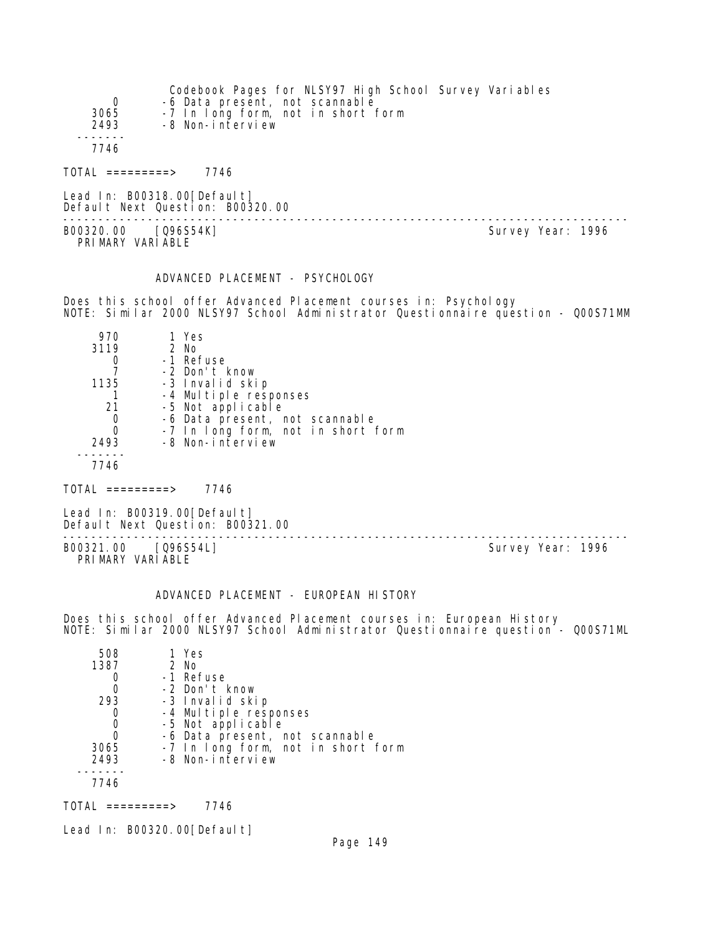| 0<br>3065<br>2493                       | -6 Data present, not scannable<br>-7 In long form, not in short form<br>-8 Non-interview | Codebook Pages for NLSY97 High School Survey Variables |                   |  |
|-----------------------------------------|------------------------------------------------------------------------------------------|--------------------------------------------------------|-------------------|--|
| 7746                                    |                                                                                          |                                                        |                   |  |
| TOTAL =========>                        | 7746                                                                                     |                                                        |                   |  |
|                                         | Lead In: B00318.00[Default]<br>Default Next Question: B00320.00                          |                                                        |                   |  |
| B00320.00 [Q96S54K]<br>PRIMARY VARIABLE |                                                                                          |                                                        | Survey Year: 1996 |  |

## ADVANCED PLACEMENT - PSYCHOLOGY

Does this school offer Advanced Placement courses in: Psychology NOTE: Similar 2000 NLSY97 School Administrator Questionnaire question - Q00S71MM

| 970  | 1 Yes                                      |
|------|--------------------------------------------|
| 3119 | $2$ No                                     |
|      | -1 Refuse                                  |
|      | -2 Don't know                              |
| 1135 | -3 Invalid skip                            |
|      |                                            |
| 21   | -4 Multiple responses<br>-5 Not applicable |
| O    | -6 Data present, not scannable             |
| 0    | -7 In long form, not in short form         |
| 2493 | -8 Non-interview                           |
|      |                                            |
|      |                                            |

 $TOTAL$  =========> 7746

Lead In: B00319.00 [Default] Default Next Question: B00321.00

B00321.00 [Q96S54L] PRIMARY VARIABLE

--------------------------------------------------------------------------------

### ADVANCED PLACEMENT - EUROPEAN HISTORY

Does this school offer Advanced Placement courses in: European History NOTE: Similar 2000 NLSY97 School Administrator Questionnaire question - Q00S71ML

| 1 Yes                              |
|------------------------------------|
| $2$ No                             |
| -1 Refuse                          |
| -2 Don't know                      |
| -3 Invalid skip                    |
| -4 Multiple responses              |
| -5 Not applicable                  |
| -6 Data present, not scannable     |
| -7 In long form, not in short form |
| -8 Non-interview                   |
|                                    |
|                                    |
|                                    |

 $TOTAL$  =========> 7746

Lead In: B00320.00[Default]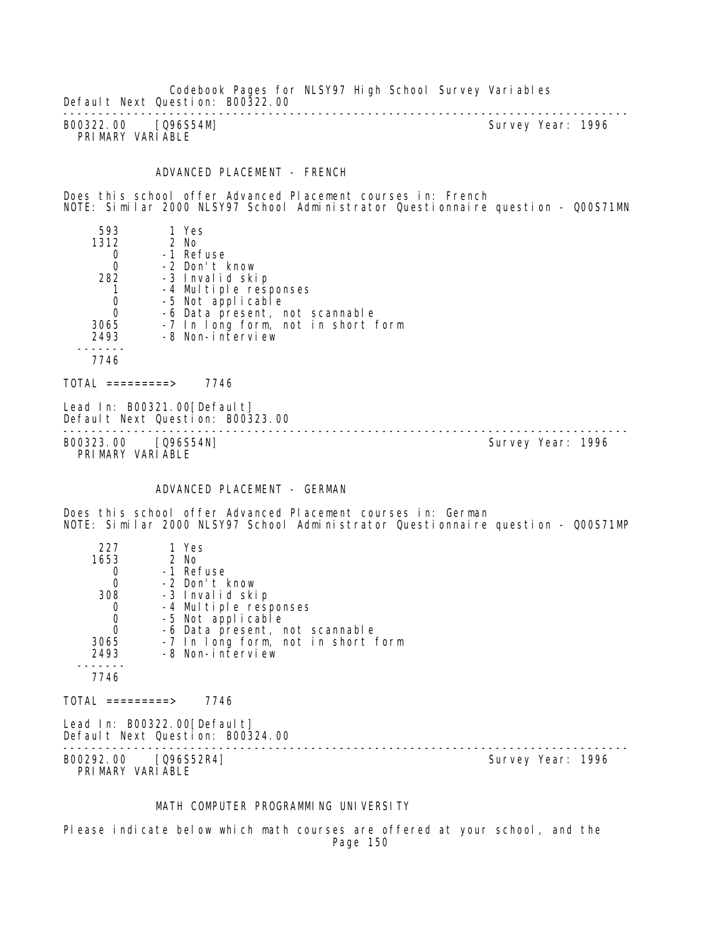Codebook Pages for NLSY97 High School Survey Variables Default Next Question: B00322.00

-------------------------------------------------------------------------------- B00322.00 [Q96S54M] PRIMARY VARIABLE

#### ADVANCED PLACEMENT - FRENCH

Does this school offer Advanced Placement courses in: French NOTE: Similar 2000 NLSY97 School Administrator Questionnaire question - Q00S71MN

 593 1 Yes 1312 2 No 0 -1 Refuse 0 -2 Don't know 282 -3 Invalid skip 1 -4 Multiple responses<br>0 -5 Not applicable 0 -5 Not applicable 0 -6 Data present, not scannable 3065 -7 In long form, not in short form 2493 -8 Non-interview ------- 7746

 $TOTAL$  ========> 7746

Lead In: B00321.00 [Default] Default Next Question: B00323.00

-------------------------------------------------------------------------------- B00323.00 [Q96S54N] PRIMARY VARIABLE

#### ADVANCED PLACEMENT - GERMAN

Does this school offer Advanced Placement courses in: German NOTE: Similar 2000 NLSY97 School Administrator Questionnaire question - Q00S71MP

| 227<br>1653                              | 1 Yes<br>2 No                                                    |  |                   |  |
|------------------------------------------|------------------------------------------------------------------|--|-------------------|--|
| $\begin{matrix} 0 \\ 0 \end{matrix}$     | -1 Refuse                                                        |  |                   |  |
|                                          | -2 Don't know                                                    |  |                   |  |
| 308                                      | -3 Invalid skip                                                  |  |                   |  |
| 0                                        | -4 Multiple responses                                            |  |                   |  |
| $\mathbf 0$                              | -5 Not applicable                                                |  |                   |  |
| $\mathbf 0$                              | -6 Data present, not scannable                                   |  |                   |  |
| 3065                                     | -7 In long form, not in short form                               |  |                   |  |
| 2493                                     | -8 Non-interview                                                 |  |                   |  |
| 7746                                     |                                                                  |  |                   |  |
| TOTAL =========>                         | 7746                                                             |  |                   |  |
|                                          | Lead In: B00322.00 [Default]<br>Default Next Question: B00324.00 |  |                   |  |
| B00292.00 [Q96S52R4]<br>PRIMARY VARIABLE |                                                                  |  | Survey Year: 1996 |  |

## MATH COMPUTER PROGRAMMING UNIVERSITY

Please indicate below which math courses are offered at your school, and the Page 150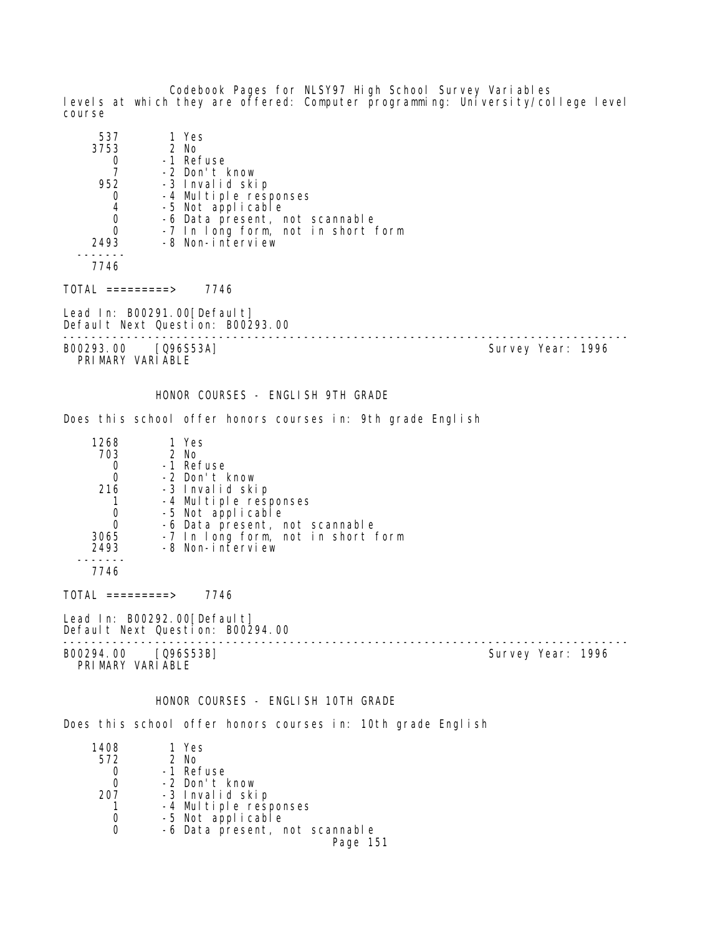Codebook Pages for NLSY97 High School Survey Variables levels at which they are offered: Computer programming: University/college level course

| 537<br>3753<br>0<br>$\overline{7}$<br>952<br>0<br>4<br>0<br>0<br>2493               | 1 Yes<br>2 No<br>-1 Refuse<br>-2 Don't know<br>-3 Invalid skip<br>-4 Multiple responses<br>-5 Not applicable<br>-6 Data present, not scannable<br>-7 In long form, not in short form<br>-8 Non-interview |                   |
|-------------------------------------------------------------------------------------|----------------------------------------------------------------------------------------------------------------------------------------------------------------------------------------------------------|-------------------|
| 7746                                                                                |                                                                                                                                                                                                          |                   |
| TOTAL =========> 7746                                                               |                                                                                                                                                                                                          |                   |
|                                                                                     | Lead In: B00291.00[Default]<br>Default Next Question: B00293.00<br>______________________                                                                                                                |                   |
| B00293.00 [Q96S53A]<br>PRIMARY VARIABLE                                             |                                                                                                                                                                                                          | Survey Year: 1996 |
|                                                                                     | HONOR COURSES - ENGLISH 9TH GRADE                                                                                                                                                                        |                   |
|                                                                                     | Does this school offer honors courses in: 9th grade English                                                                                                                                              |                   |
| 1268<br>703<br>0<br>$\overline{0}$<br>216<br>$\mathbf{1}$<br>0<br>0<br>3065<br>2493 | 1 Yes<br>2 No<br>-1 Refuse<br>-2 Don't know<br>-3 Invalid skip<br>-4 Multiple responses<br>-5 Not applicable<br>-6 Data present, not scannable<br>-7 In long form, not in short form<br>-8 Non-interview |                   |
| 7746                                                                                |                                                                                                                                                                                                          |                   |
| TOTAL =========> 7746                                                               |                                                                                                                                                                                                          |                   |
|                                                                                     | Lead In: B00292.00[Default]<br>Default Next Question: B00294.00                                                                                                                                          |                   |
| B00294.00<br>PRIMARY VARIABLE                                                       | [Q96S53B]                                                                                                                                                                                                | Survey Year: 1996 |
|                                                                                     | HONOR COURSES - ENGLISH 10TH GRADE                                                                                                                                                                       |                   |
|                                                                                     | Does this school offer honors courses in: 10th grade English                                                                                                                                             |                   |
| 1408<br>572<br>0<br>0<br>207                                                        | 1 Yes<br>2 No<br>-1 Refuse<br>-2 Don't know<br>-3 Invalid skip                                                                                                                                           |                   |

Page 151

 1 -4 Multiple responses 0 -5 Not applicable

0 -6 Data present, not scannable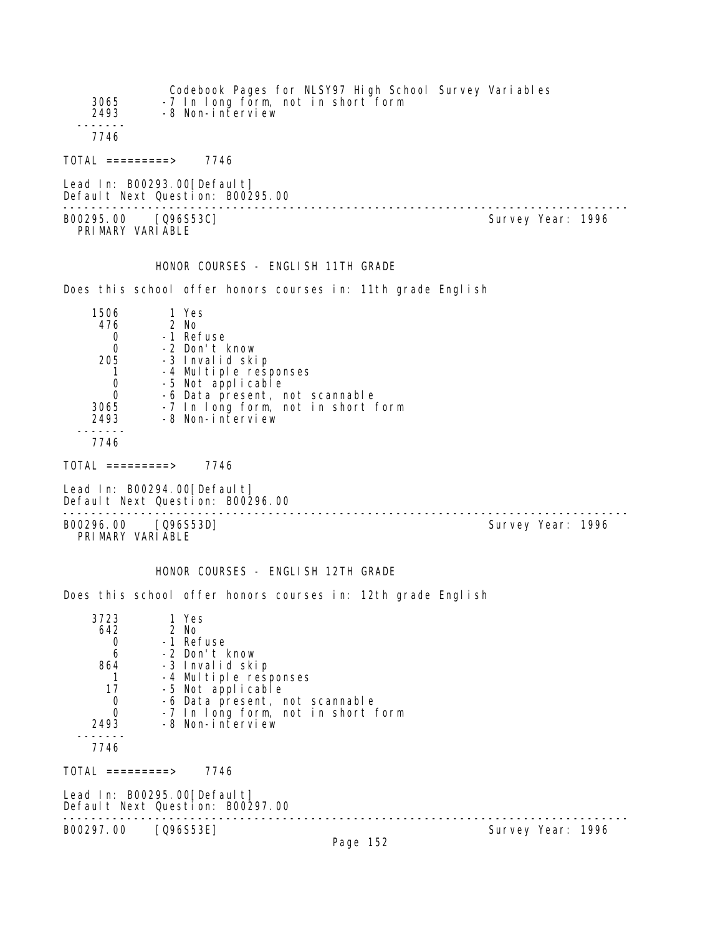| 3065<br>2493                                                               | -8 Non-interview                                                                                                                     | Codebook Pages for NLSY97 High School Survey Variables<br>-7 In long form, not in short form |                   |  |
|----------------------------------------------------------------------------|--------------------------------------------------------------------------------------------------------------------------------------|----------------------------------------------------------------------------------------------|-------------------|--|
| 7746                                                                       |                                                                                                                                      |                                                                                              |                   |  |
|                                                                            | $TOTAL$ =========> 7746                                                                                                              |                                                                                              |                   |  |
|                                                                            | Lead In: B00293.00 [Default]<br>Default Next Question: B00295.00                                                                     |                                                                                              |                   |  |
|                                                                            | B00295.00 [096S53C]<br>PRIMARY VARIABLE                                                                                              |                                                                                              | Survey Year: 1996 |  |
|                                                                            |                                                                                                                                      | HONOR COURSES - ENGLISH 11TH GRADE                                                           |                   |  |
|                                                                            |                                                                                                                                      | Does this school offer honors courses in: 11th grade English                                 |                   |  |
| 1506<br>476<br>0<br>$\mathbf{0}$<br>$\mathbf{1}$<br>0<br>0<br>3065<br>2493 | 1 Yes<br>2 No<br>-1 Refuse<br>-2 Don't know<br>205 -3 Invalid skip<br>-4 Multiple responses<br>-5 Not applicable<br>-8 Non-interview | -6 Data present, not scannable<br>-7 In long form, not in short form                         |                   |  |
| 7746                                                                       |                                                                                                                                      |                                                                                              |                   |  |
|                                                                            | TOTAL =========> 7746                                                                                                                |                                                                                              |                   |  |
|                                                                            | Lead In: B00294.00 [Default]<br>Default Next Question: B00296.00                                                                     |                                                                                              |                   |  |
|                                                                            | B00296.00 [Q96S53D]<br>PRIMARY VARIABLE                                                                                              |                                                                                              | Survey Year: 1996 |  |
|                                                                            |                                                                                                                                      | HONOR COURSES - ENGLISH 12TH GRADE                                                           |                   |  |
|                                                                            |                                                                                                                                      | Does this school offer honors courses in: 12th grade English                                 |                   |  |
| 3723<br>642<br>0<br>6<br>864<br>1<br>17<br>0<br>0<br>2493                  | 1 Yes<br>2 No<br>-1 Refuse<br>-2 Don't know<br>-3 Invalid skip<br>-4 Multiple responses<br>-5 Not applicable<br>-8 Non-interview     | -6 Data present, not scannable<br>-7 In long form, not in short form                         |                   |  |
| 7746                                                                       |                                                                                                                                      |                                                                                              |                   |  |
|                                                                            | $TOTAL$ =========> 7746                                                                                                              |                                                                                              |                   |  |
|                                                                            | Lead In: B00295.00 [Default]<br>Default Next Question: B00297.00                                                                     |                                                                                              |                   |  |
| B00297.00                                                                  | [Q96S53E]                                                                                                                            | Page 152                                                                                     | Survey Year: 1996 |  |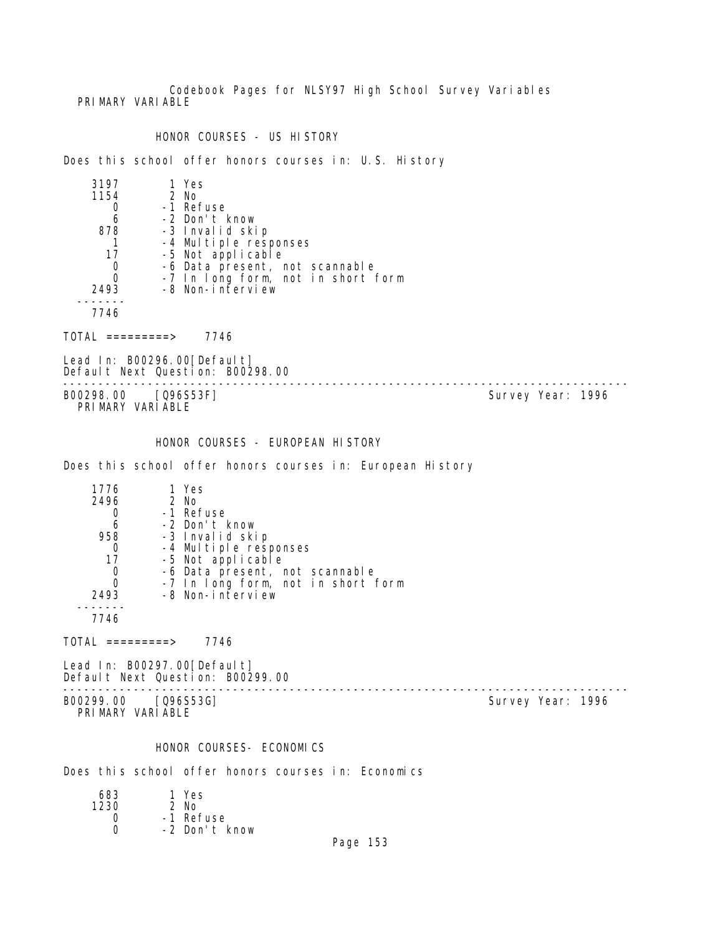Codebook Pages for NLSY97 High School Survey Variables PRI MARY VARI ABLE

HONOR COURSES - US HISTORY

Does this school offer honors courses in: U.S. History

| 3197 | 1 Yes                              |
|------|------------------------------------|
| 1154 | $2$ No                             |
|      | -1 Refuse                          |
| 6    | -2 Don't know                      |
| 878  | -3 Invalid skip                    |
|      | -4 Multiple responses              |
| 17   | -5 Not applicable                  |
|      | -6 Data present, not scannable     |
|      | -7 In long form, not in short form |
| 2493 | -8 Non-interview                   |
|      |                                    |
| 7746 |                                    |

 $TOTAL$  ========> 7746

Lead In: B00296.00 [Default] Default Next Question: B00298.00

-------------------------------------------------------------------------------- B00298.00 [Q96S53F] PRIMARY VARIABLE

HONOR COURSES - EUROPEAN HISTORY

Does this school offer honors courses in: European History

| 1776 | 1 Yes                              |
|------|------------------------------------|
| 2496 | 2 No                               |
|      | -1 Refuse                          |
| 6    | -2 Don't know                      |
| 958  | -3 Invalid skip                    |
|      | -4 Multiple responses              |
| 17   | -5 Not applicable                  |
| O    | -6 Data present, not scannable     |
| Ω    | -7 In long form, not in short form |
| 2493 | -8 Non-interview                   |
|      |                                    |

7746

 $TOTAL$  =========> 7746

Lead In: B00297.00[Default] Default Next Question: B00299.00

B00299.00 [Q96S53G] Survey Year: 1996 PRIMARY VARIABLE

--------------------------------------------------------------------------------

# HONOR COURSES- ECONOMICS

Does this school offer honors courses in: Economics

| 683  | 1 Yes         |
|------|---------------|
| 1230 | $2$ No        |
| Ω    | -1 Refuse     |
| O    | -2 Don't know |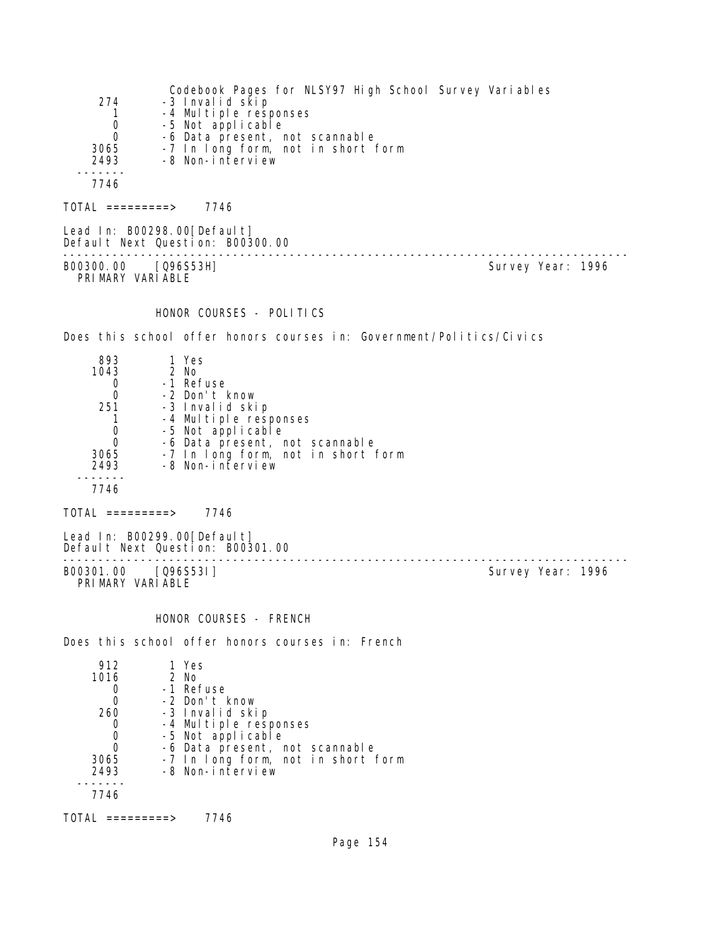| 274<br>Ŧ<br>0<br>0<br>3065<br>2493                                             | Codebook Pages for NLSY97 High School Survey Variables<br>-3 Invalid skip<br>-4 Multiple responses<br>-5 Not applicable<br>-6 Data present, not scannable<br>-7 In long form, not in short form<br>-8 Non-interview |                   |  |
|--------------------------------------------------------------------------------|---------------------------------------------------------------------------------------------------------------------------------------------------------------------------------------------------------------------|-------------------|--|
| 7746                                                                           |                                                                                                                                                                                                                     |                   |  |
| $TOTAL$ =========> 7746                                                        |                                                                                                                                                                                                                     |                   |  |
| Lead In: B00298.00 [Default]<br>Default Next Question: B00300.00               | ---------------------------                                                                                                                                                                                         |                   |  |
| B00300.00 [Q96S53H]<br>PRIMARY VARIABLE                                        |                                                                                                                                                                                                                     | Survey Year: 1996 |  |
|                                                                                | HONOR COURSES - POLITICS                                                                                                                                                                                            |                   |  |
|                                                                                | Does this school offer honors courses in: Government/Politics/Civics                                                                                                                                                |                   |  |
| 893<br>1 Yes<br>1043<br>$2$ No<br>0<br>0<br>251<br>1<br>0<br>0<br>3065<br>2493 | -1 Refuse<br>-2 Don't know<br>-3 Invalid skip<br>-4 Multiple responses<br>-5 Not applicable<br>-6 Data present, not scannable<br>-7 In long form, not in short form<br>-8 Non-interview                             |                   |  |
| 7746                                                                           |                                                                                                                                                                                                                     |                   |  |
| $TOTAL$ =========> 7746                                                        |                                                                                                                                                                                                                     |                   |  |
| Lead In: B00299.00 [Default]<br>Default Next Question: B00301.00               | --------------                                                                                                                                                                                                      |                   |  |
| B00301.00 [Q96S53I]<br>PRIMARY VARIABLE                                        |                                                                                                                                                                                                                     | Survey Year: 1996 |  |
|                                                                                | HONOR COURSES - FRENCH                                                                                                                                                                                              |                   |  |
|                                                                                | Does this school offer honors courses in: French                                                                                                                                                                    |                   |  |
| 912<br>1 Yes<br>2 No<br>1016<br>0<br>0<br>260<br>0<br>0<br>0<br>3065<br>2493   | -1 Refuse<br>-2 Don't know<br>-3 Invalid skip<br>-4 Multiple responses<br>-5 Not applicable<br>-6 Data present, not scannable<br>-7 In long form, not in short form<br>-8 Non-interview                             |                   |  |

7746

 $TOTAL$  ========> 7746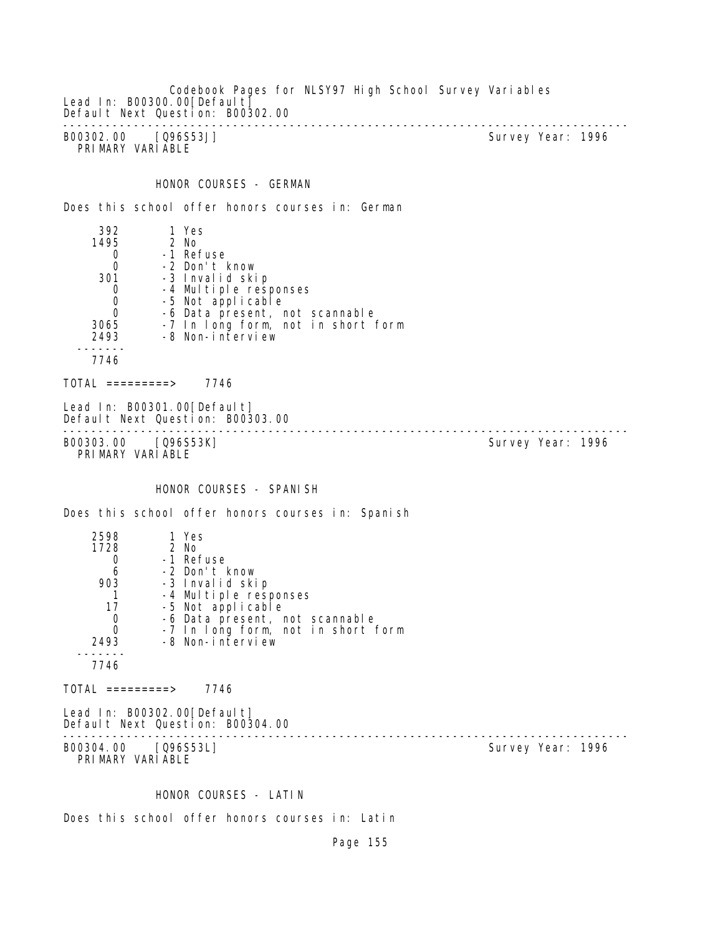Codebook Pages for NLSY97 High School Survey Variables Lead In: B00300.00 [Default] Default Next Question: B00302.00 -------------------------------------------------------------------------------- B00302.00 [Q96S53J] Survey Year: 1996 PRIMARY VARIABLE

## HONOR COURSES - GERMAN

Does this school offer honors courses in: German

 392 1 Yes 1495 2 No 0 -1 Refuse<br>0 -2 Don't H  $0$   $-2$  Don't know<br>301  $-3$  Invalid ski 301 -3 Invalid skip 0 -4 Multiple responses<br>0 -5 Not applicable 0 -5 Not applicable 0 -6 Data present, not scannable 3065 -7 In long form, not in short form 2493 -8 Non-interview ------- 7746

 $TOTAL$  ========> 7746

Lead In: B00301.00 [Default] Default Next Question: B00303.00

-------------------------------------------------------------------------------- B00303.00 [Q96S53K] Survey Year: 1996 PRIMARY VARIABLE

#### HONOR COURSES - SPANISH

Does this school offer honors courses in: Spanish

| 2598 | 1 Yes                              |
|------|------------------------------------|
| 1728 | $2$ No                             |
|      | -1 Refuse                          |
| 6    | -2 Don't know                      |
| 903  | -3 Invalid skip                    |
|      | -4 Multiple responses              |
| 17   | -5 Not applicable                  |
|      | -6 Data present, not scannable     |
|      | -7 In long form, not in short form |
| 2493 | -8 Non-interview                   |
|      |                                    |
| 7746 |                                    |
|      |                                    |

 $TOTAL$  =========> 7746

Lead In: B00302.00 [Default] Default Next Question: B00304.00 -------------------------------------------------------------------------------- B00304.00 [Q96S53L]

PRIMARY VARIABLE

#### HONOR COURSES - LATIN

Does this school offer honors courses in: Latin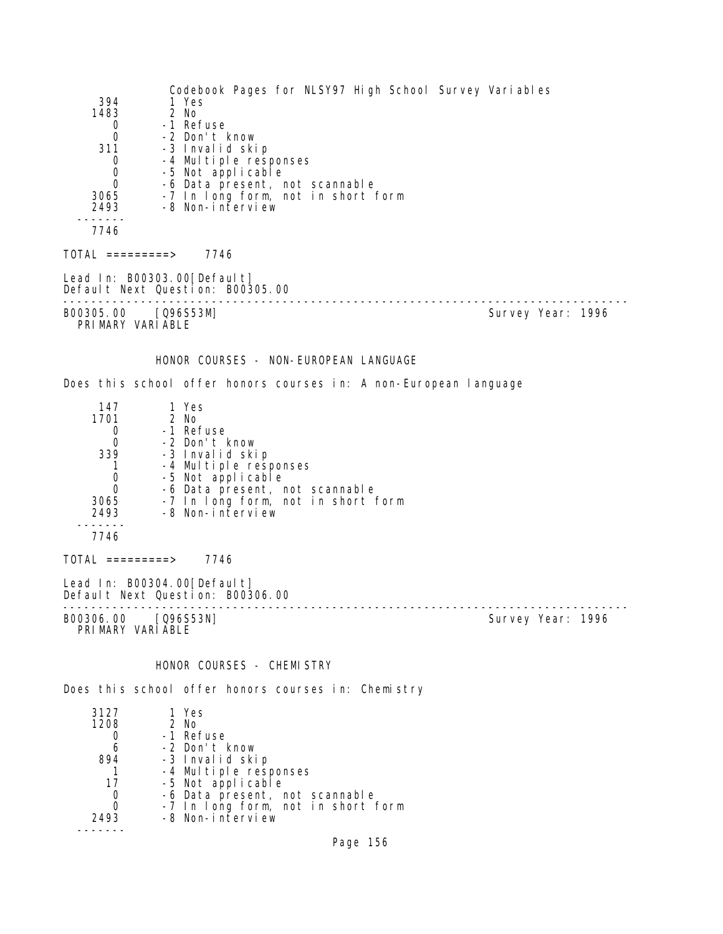Codebook Pages for NLSY97 High School Survey Variables 394 1 Yes<br>1483 2 No 1483 2 No 0 -1 Refuse<br>0 -2 Don't H 0 -2 Don't know 311 -3 Invalid skip 0 -4 Multiple responses 0 -5 Not applicable<br>0 -6 Data present 0 -6 Data present, not scannable<br>3065 -7 In Long form, not in short 3065 -7 In long form, not in short form -8 Non-interview 7746 TOTAL =========> 7746 Lead In: B00303.00[Default] Default Next Question: B00305.00 -------------------------------------------------------------------------------- B00305.00 [Q96S53M] PRI MARY VARI ABLE HONOR COURSES - NON-EUROPEAN LANGUAGE Does this school offer honors courses in: A non-European language 147 1 Yes 01 2 No<br>0 -1 Re1 0 -1 Refuse 0 -2 Don't know 339 -3 Invalid skip 1 -4 Multiple responses 0 -5 Not applicable<br>0 -6 Data present r 0 -6 Data present, not scannable<br>3065 -7 In Iong form, not in short 3065 -7 In long form, not in short form -8 Non-interview ------- 7746 TOTAL =========> 7746 Lead In: B00304.00 [Default] Default Next Question: B00306.00 -------------------------------------------------------------------------------- Survey Year: 1996 PRIMARY VARIABLE HONOR COURSES - CHEMISTRY Does this school offer honors courses in: Chemistry 3127 1 Yes 2 No 0 -1 Refuse<br>6 -2 Don't H 6 -2 Don't know ed the same set of the set of the set of the set of the set of the set of the set of the set of the set of the<br>The set of the set of the set of the set of the set of the set of the set of the set of the set of the set of<br>T 1 -4 Multiple responses

- 17 -5 Not applicable 0 -6 Data present, not scannable<br>0 -7 In Long form, not in short 1
	- 0 -7 In long form, not in short form<br>2493 -8 Non-interview -8 Non-interview
- -------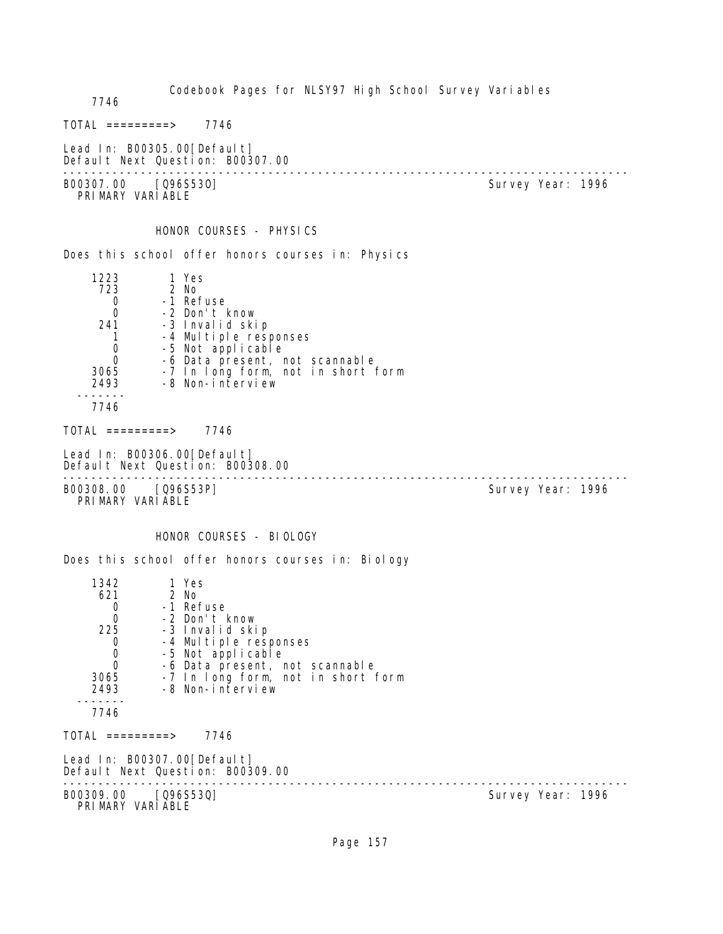Codebook Pages for NLSY97 High School Survey Variables 7746  $TOTAL$  ========> 7746 Lead In: B00305.00 [Default] Default Next Question: B00307.00 -------------------------------------------------------------------------------- B00307.00 [Q96S530] PRIMARY VARIABLE HONOR COURSES - PHYSICS Does this school offer honors courses in: Physics 1223 1 Yes 723 2 No 0 -1 Refuse 0 -2 Don't know<br>241 -3 Invalid ski 241 -3 Invalid skip 1 -4 Multiple responses 0 -5 Not applicable 0 -6 Data present, not scannable 3065 -7 In long form, not in short form 2493 -8 Non-interview ------- 7746 TOTAL =========> 7746 Lead In: B00306.00 [Default] Default Next Question: B00308.00 -------------------------------------------------------------------------------- B00308.00 [Q96S53P] PRIMARY VARIABLE HONOR COURSES - BIOLOGY Does this school offer honors courses in: Biology 1342 1 Yes<br>621 2 No 2 No 0 -1 Refuse 0 -2 Don't know 25 -3 Invalid skip<br>O -4 Multiple resu 0 -4 Multiple responses<br>0 -5 Not applicable 0 -5 Not applicable 0 -6 Data present, not scannable 3065 -7 In long form, not in short form 2493 -8 Non-interview ------- 7746  $TOTAL$  =========> 7746 Lead In: B00307.00[Default] Default Next Question: B00309.00 -------------------------------------------------------------------------------- B00309.00 [Q96S53Q] PRIMARY VARIABLE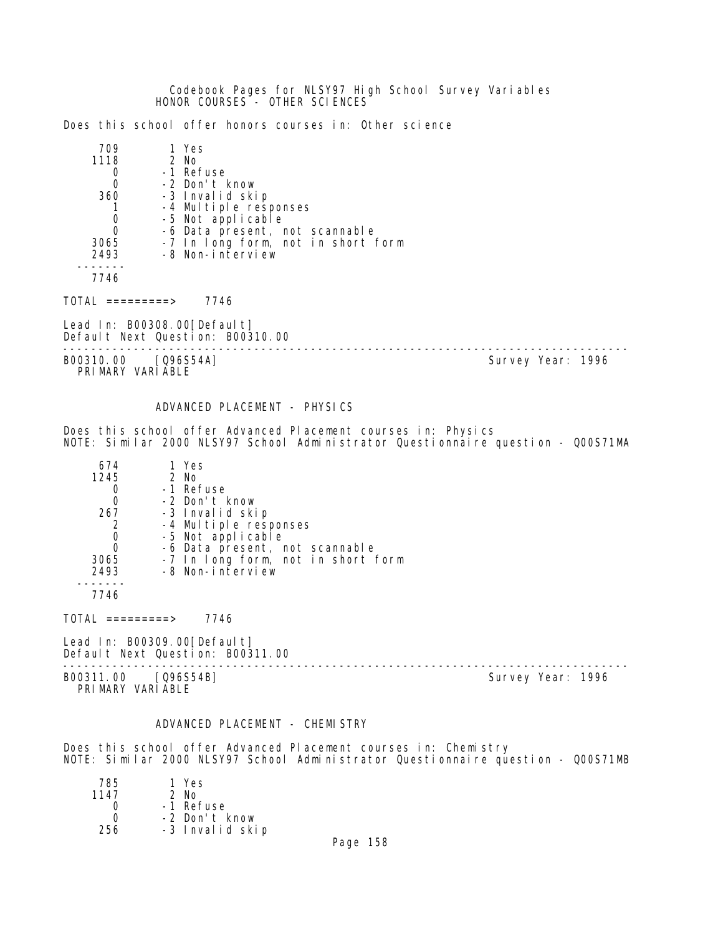Codebook Pages for NLSY97 High School Survey Variables HONOR COURSES - OTHER SCIENCES

Does this school offer honors courses in: Other science

| 709  | 1 Yes                                      |
|------|--------------------------------------------|
| 1118 | $2$ No                                     |
|      | -1 Refuse                                  |
|      | -2 Don't know                              |
| 360  | -3 Invalid skip                            |
|      | -4 Multiple responses<br>-5 Not applicable |
|      |                                            |
|      | -6 Data present, not scannable             |
| 3065 | -7 In long form, not in short form         |
| 2493 | -8 Non-interview                           |
|      |                                            |
| 7746 |                                            |

TOTAL =========> 7746

Lead In: B00308.00[Default] Default Next Question: B00310.00

B00310.00 [Q96S54A] Survey Year: 1996 PRIMARY VARIABLE

--------------------------------------------------------------------------------

#### ADVANCED PLACEMENT - PHYSICS

Does this school offer Advanced Placement courses in: Physics NOTE: Similar 2000 NLSY97 School Administrator Questionnaire question - Q00S71MA

| 674  | 1 Yes                              |
|------|------------------------------------|
| 1245 | 2 No                               |
|      | -1 Refuse                          |
|      | -2 Don't know                      |
| 267  | -3 Invalid skip                    |
|      | -4 Multiple responses              |
|      | -5 Not applicable                  |
|      | -6 Data present, not scannable     |
| 3065 | -7 In long form, not in short form |
| 2493 | -8 Non-interview                   |
|      |                                    |

7746

 $TOTAL$  =========> 7746

Lead In: B00309.00[Default] Default Next Question: B00311.00

B00311.00 [Q96S54B] PRIMARY VARIABLE

--------------------------------------------------------------------------------

#### ADVANCED PLACEMENT - CHEMISTRY

Does this school offer Advanced Placement courses in: Chemistry NOTE: Similar 2000 NLSY97 School Administrator Questionnaire question - Q00S71MB

| 785  | 1 Yes           |
|------|-----------------|
| 1147 | $2$ No          |
| Ω    | -1 Refuse       |
| O    | -2 Don't know   |
| 256  | -3 Invalid skip |
|      |                 |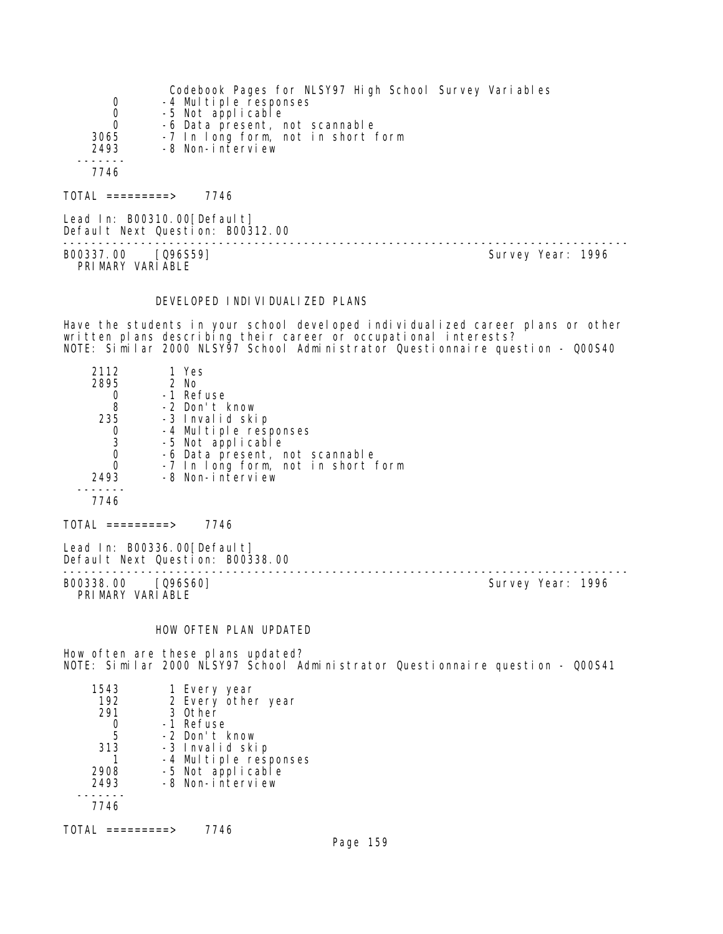|          | Codebook Pages for NLSY97 High School Survey Variables |
|----------|--------------------------------------------------------|
| 0        | -4 Multiple responses                                  |
| 0        | -5 Not applicable                                      |
| $\Omega$ | -6 Data present, not scannable                         |
| 3065     | -7 In long form, not in short form                     |
| 2493     | -8 Non-interview                                       |
|          |                                                        |
| 7746     |                                                        |
|          |                                                        |

TOTAL =========> 7746

Lead In: B00310.00 [Default] Default Next Question: B00312.00

B00337.00 [Q96S59] PRIMARY VARIABLE

--------------------------------------------------------------------------------

#### DEVELOPED INDIVIDUALIZED PLANS

Have the students in your school developed individualized career plans or other written plans describing their career or occupational interests? NOTE: Similar 2000 NLSY97 School Administrator Questionnaire question - Q00S40

| 2112 | 1 Yes                              |
|------|------------------------------------|
| 2895 | $2$ No                             |
|      | -1 Refuse                          |
| 8    | -2 Don't know                      |
| 235  | -3 Invalid skip                    |
|      | -4 Multiple responses              |
| 3    | -5 Not applicable                  |
| 0    | -6 Data present, not scannable     |
| 0    | -7 In long form, not in short form |
| 2493 | -8 Non-interview                   |
|      |                                    |
| 7746 |                                    |

TOTAL =========> 7746

Lead In: B00336.00[Default] Default Next Question: B00338.00

B00338.00 [Q96S60] PRIMARY VARIABLE

--------------------------------------------------------------------------------

## HOW OFTEN PLAN UPDATED

How often are these plans updated? NOTE: Similar 2000 NLSY97 School Administrator Questionnaire question - Q00S41

| 1543 | 1 Every year                               |
|------|--------------------------------------------|
| 192  | 2 Every other year                         |
| 291  | 3 Other                                    |
|      | -1 Refuse                                  |
| 5    | -2 Don't know                              |
| 313  | -3 Invalid skip                            |
|      |                                            |
| 2908 | -4 Multiple responses<br>-5 Not applicable |
| 2493 | -8 Non-interview                           |
|      |                                            |
| 7746 |                                            |
|      |                                            |

TOTAL =========> 7746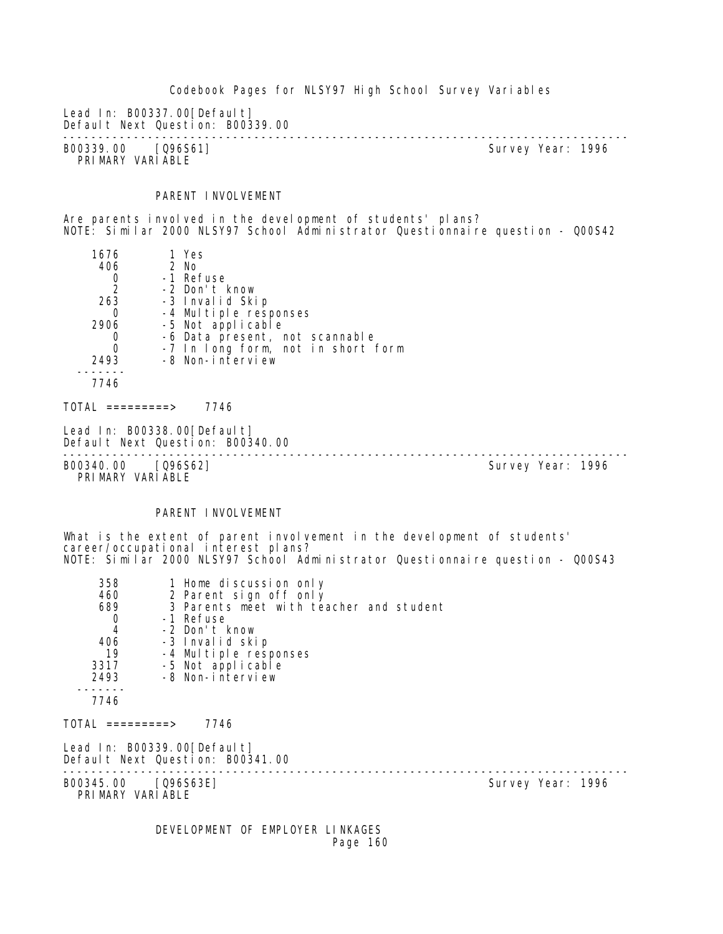Codebook Pages for NLSY97 High School Survey Variables Lead In: B00337.00[Default] Default Next Question: B00339.00 -------------------------------------------------------------------------------- B00339.00 [Q96S61] PRIMARY VARIABLE PARENT INVOLVEMENT Are parents involved in the development of students' plans? NOTE: Similar 2000 NLSY97 School Administrator Questionnaire question - Q00S42 1676 1 Yes<br>406 2 No 06 2 No<br>0 - 1 Ret 0 -1 Refuse<br>2 -2 Don't H 2 -2 Don't know 263 -3 Invalid Skip 0 -4 Multiple responses 2906 -5 Not applicable 0 -6 Data present, not scannable 0 -7 In long form, not in short form 2493 -8 Non-interview ------- 7746  $TOTAL$  =========> 7746 Lead In: B00338.00[Default] Default Next Question: B00340.00 -------------------------------------------------------------------------------- B00340.00 [Q96S62] PRIMARY VARIABLE PARENT INVOLVEMENT What is the extent of parent involvement in the development of students' career/occupational interest plans? NOTE: Similar 2000 NLSY97 School Administrator Questionnaire question - Q00S43 358 1 Home discussion only 460 2 Parent sign off only 3 Parents meet with teacher and student 0 -1 Refuse<br>4 -2 Don't l 4 -2 Don't know 406 -3 Invalid skip 19 -4 Multiple responses 3317 -5 Not applicable 2493 -8 Non-interview ------- 7746 TOTAL =========> 7746 Lead In: B00339.00[Default] Default Next Question: B00341.00 -------------------------------------------------------------------------------- B00345.00 [Q96S63E] Survey Year: 1996 PRIMARY VARIABLE

 DEVELOPMENT OF EMPLOYER LINKAGES Page 160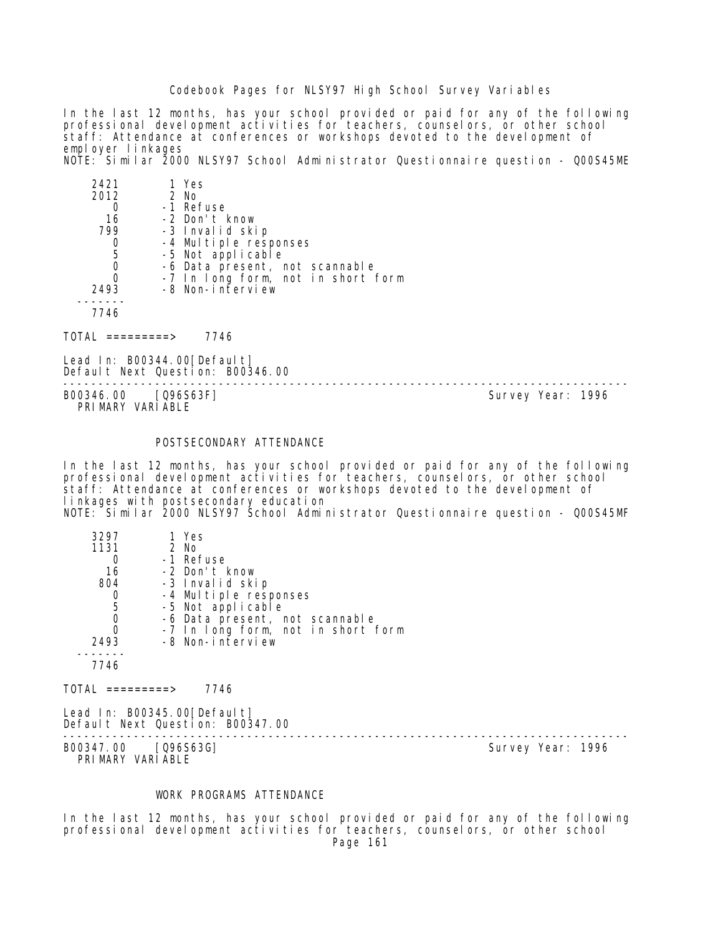In the last 12 months, has your school provided or paid for any of the following professional development activities for teachers, counselors, or other school staff: Attendance at conferences or workshops devoted to the development of employer linkages NOTE: Similar 2000 NLSY97 School Administrator Questionnaire question - Q00S45ME

| 2421 | 1 Yes                              |
|------|------------------------------------|
| 2012 | 2 No                               |
|      | -1 Refuse                          |
| 16   | -2 Don't know                      |
| 799  | -3 Invalid skip                    |
|      | -4 Multiple responses              |
| -5   | -5 Not applicable                  |
|      | -6 Data present, not scannable     |
|      | -7 In long form, not in short form |
| 2493 | -8 Non-interview                   |
|      |                                    |
| 7746 |                                    |
|      |                                    |

 $TOTAL$  ========> 7746

Lead In: B00344.00 [Default] Default Next Question: B00346.00

-------------------------------------------------------------------------------- B00346.00 [Q96S63F] PRIMARY VARIABLE

#### POSTSECONDARY ATTENDANCE

In the last 12 months, has your school provided or paid for any of the following professional development activities for teachers, counselors, or other school staff: Attendance at conferences or workshops devoted to the development of linkages with postsecondary education NOTE: Similar 2000 NLSY97 School Administrator Questionnaire question - Q00S45MF

| 3297<br>1131<br>16<br>804<br>5 | 1 Yes<br>$2$ No<br>-1 Refuse<br>-2 Don't know<br>-3 Invalid skip<br>-4 Multiple responses<br>-5 Not applicable<br>-6 Data present, not scannable |
|--------------------------------|--------------------------------------------------------------------------------------------------------------------------------------------------|
| 2493                           | -7 In long form, not in short form<br>-8 Non-interview                                                                                           |
| 7746                           |                                                                                                                                                  |

 $TOTAL$  =========> 7746

Lead In: B00345.00 [Default] Default Next Question: B00347.00

B00347.00 [Q96S63G] PRIMARY VARIABLE

--------------------------------------------------------------------------------

## WORK PROGRAMS ATTENDANCE

In the last 12 months, has your school provided or paid for any of the following professional development activities for teachers, counselors, or other school Page 161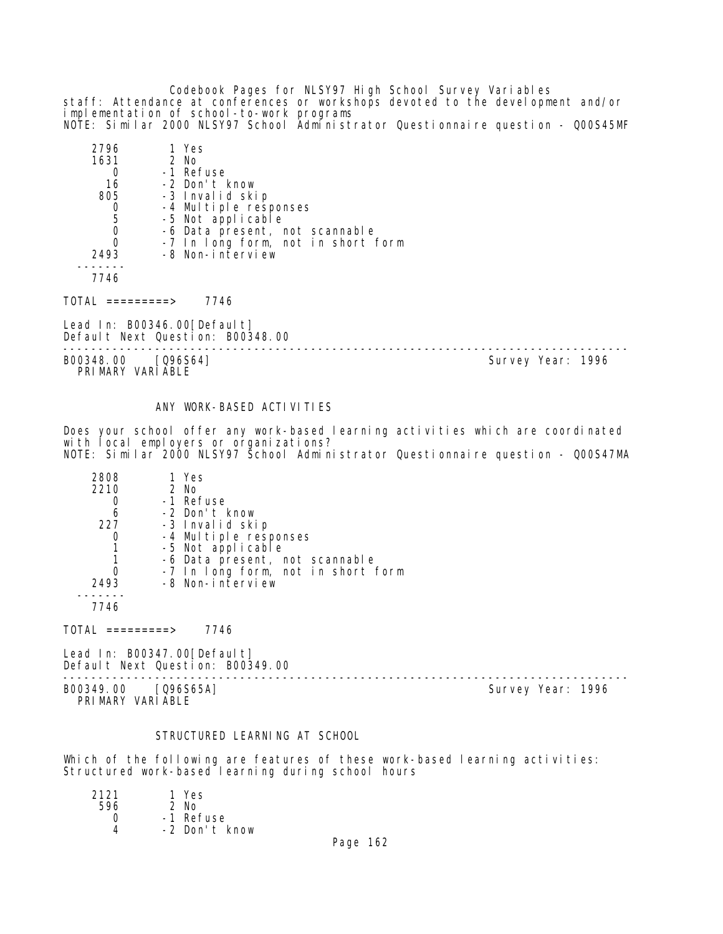Codebook Pages for NLSY97 High School Survey Variables staff: Attendance at conferences or workshops devoted to the development and/or implementation of school-to-work programs NOTE: Similar 2000 NLSY97 School Administrator Questionnaire question - Q00S45MF

| 2796 | 1 Yes                              |
|------|------------------------------------|
| 1631 | $2$ No                             |
|      | -1 Refuse                          |
| 16   | -2 Don't know                      |
| 805  | -3 Invalid skip                    |
|      | -4 Multiple responses              |
| 5    | -5 Not applicable                  |
|      | -6 Data present, not scannable     |
|      | -7 In long form, not in short form |
| 2493 | -8 Non-interview                   |
|      |                                    |
|      |                                    |

TOTAL =========> 7746

Lead In: B00346.00 [Default] Default Next Question: B00348.00

B00348.00 [Q96S64] Survey Year: 1996 PRIMARY VARIABLE

--------------------------------------------------------------------------------

#### ANY WORK-BASED ACTIVITIES

Does your school offer any work-based learning activities which are coordinated with local employers or organizations? NOTE: Similar 2000 NLSY97 School Administrator Questionnaire question - Q00S47MA

| 2808 | 1 Yes                              |
|------|------------------------------------|
| 2210 | 2 No                               |
|      | -1 Refuse                          |
| 6    | -2 Don't know                      |
| 227  | -3 Invalid skip                    |
|      | -4 Multiple responses              |
|      | -5 Not applicable                  |
|      | -6 Data present, not scannable     |
|      | -7 In long form, not in short form |
| 2493 | -8 Non-interview                   |
|      |                                    |
|      |                                    |

 $TOTAL$  =========> 7746

Lead In: B00347.00[Default] Default Next Question: B00349.00

-------------------------------------------------------------------------------- B00349.00 [Q96S65A] Survey Year: 1996 PRIMARY VARIABLE

#### STRUCTURED LEARNING AT SCHOOL

Which of the following are features of these work-based learning activities: Structured work-based learning during school hours

| 2121 | 1 Yes         |
|------|---------------|
| 596  | $2$ No        |
| Ω    | -1 Refuse     |
|      | -2 Don't know |
|      |               |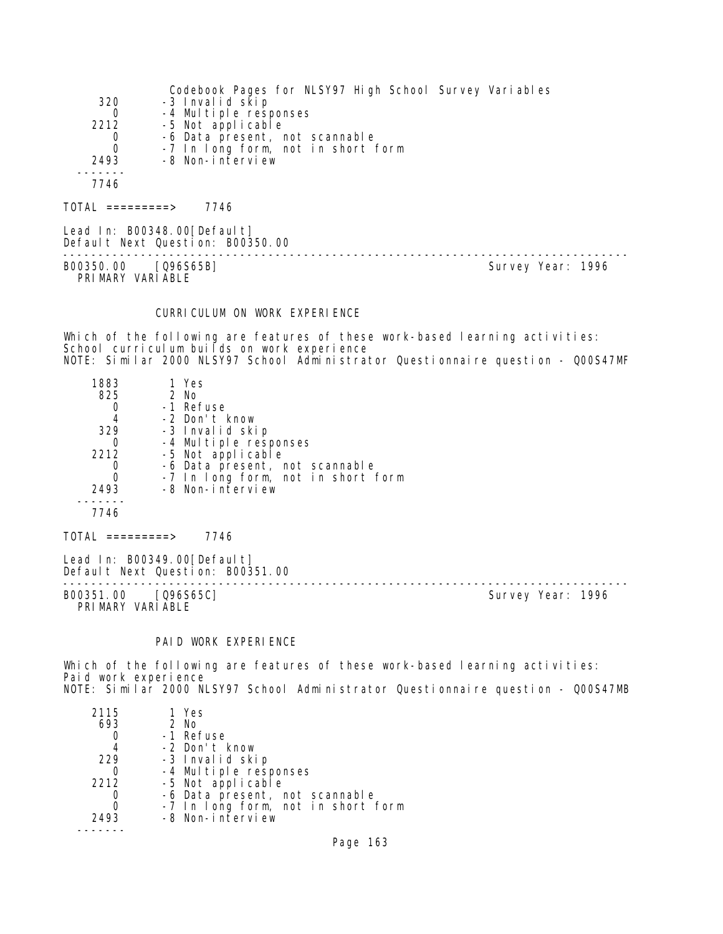|      | Codebook Pages for NLSY97 High School Survey Variables |
|------|--------------------------------------------------------|
| 320  | -3 Invalid skip                                        |
| 0    | -4 Multiple responses                                  |
| 2212 | -5 Not applicable                                      |
| 0    | -6 Data present, not scannable                         |
| 0    | -7 In long form, not in short form                     |
| 2493 | -8 Non-interview                                       |
|      |                                                        |
| 7746 |                                                        |
|      |                                                        |

 $TOTAL$  ========> 7746

Lead In: B00348.00[Default] Default Next Question: B00350.00 B00350.00 [Q96S65B] Survey Year: 1996

PRIMARY VARIABLE

--------------------------------------------------------------------------------

## CURRICULUM ON WORK EXPERIENCE

Which of the following are features of these work-based learning activities: School curriculum builds on work experience NOTE: Similar 2000 NLSY97 School Administrator Questionnaire question - Q00S47MF

| 1883<br>825<br>329<br>2212<br>2493 | 1 Yes<br>$2$ No<br>-1 Refuse<br>-2 Don't know<br>-3 Invalid skip<br>-4 Multiple responses<br>-5 Not applicable<br>-6 Data present, not scannable<br>-7 In long form, not in short form<br>-8 Non-interview |
|------------------------------------|------------------------------------------------------------------------------------------------------------------------------------------------------------------------------------------------------------|
| 7746                               |                                                                                                                                                                                                            |

Lead In: B00349.00 [Default] Default Next Question: B00351.00

-------------------------------------------------------------------------------- PRIMARY VARIABLE

 $TOTAL$  =========> 7746

Survey Year: 1996

# PAID WORK EXPERIENCE

Which of the following are features of these work-based learning activities: Paid work experience NOTE: Similar 2000 NLSY97 School Administrator Questionnaire question - Q00S47MB

| 2115 | 1 Yes                              |
|------|------------------------------------|
| 693  | $2$ No                             |
|      | -1 Refuse                          |
| 4    | -2 Don't know                      |
| 229  | -3 Invalid skip                    |
|      | -4 Multiple responses              |
| 2212 | -5 Not applicable                  |
|      | -6 Data present, not scannable     |
|      | -7 In long form, not in short form |
| 2493 | -8 Non-interview                   |
|      |                                    |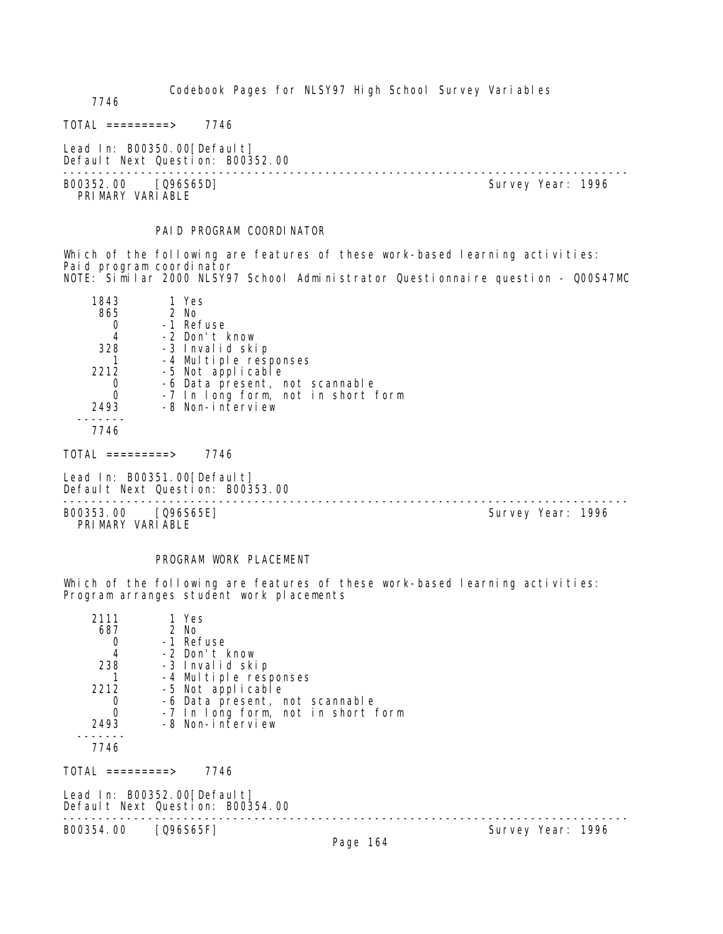7746

 $TOTAL$  ========> 7746

Lead In: B00350.00[Default] Default Next Question: B00352.00

B00352.00 [Q96S65D] PRIMARY VARIABLE

--------------------------------------------------------------------------------

PAID PROGRAM COORDINATOR

Which of the following are features of these work-based learning activities: Paid program coordinator NOTE: Similar 2000 NLSY97 School Administrator Questionnaire question - Q00S47MC

| 1843 | 1 Yes                              |
|------|------------------------------------|
| 865  | $2$ No                             |
|      | -1 Refuse                          |
|      | -2 Don't know                      |
| 328  | -3 Invalid skip                    |
|      | -4 Multiple responses              |
| 2212 | -5 Not applicable                  |
|      | -6 Data present, not scannable     |
|      | -7 In long form, not in short form |
| 2493 | -8 Non-interview                   |
|      |                                    |
| 7746 |                                    |

TOTAL =========> 7746

Lead In: B00351.00 [Default] Default Next Question: B00353.00

-------------------------------------------------------------------------------- B00353.00 [Q96S65E] PRIMARY VARIABLE

## PROGRAM WORK PLACEMENT

Which of the following are features of these work-based learning activities: Program arranges student work placements

| 2111                                                            | 1 Yes             |                                    |  |
|-----------------------------------------------------------------|-------------------|------------------------------------|--|
| 687                                                             | 2 No              |                                    |  |
| 0                                                               | -1 Refuse         |                                    |  |
| $\overline{4}$                                                  | -2 Don't know     |                                    |  |
| 238                                                             | -3 Invalid skip   |                                    |  |
|                                                                 |                   | -4 Multiple responses              |  |
| 2212                                                            | -5 Not applicable |                                    |  |
| 0                                                               |                   | -6 Data present, not scannable     |  |
| $\mathbf 0$                                                     |                   | -7 In long form, not in short form |  |
| 2493                                                            | -8 Non-interview  |                                    |  |
| 7746                                                            |                   |                                    |  |
| TOTAL =========>                                                | 7746              |                                    |  |
| Lead In: B00352.00[Default]<br>Default Next Question: B00354.00 |                   |                                    |  |
| B00354.00                                                       | $[Q96S65F]$       | Survey Year: 1996                  |  |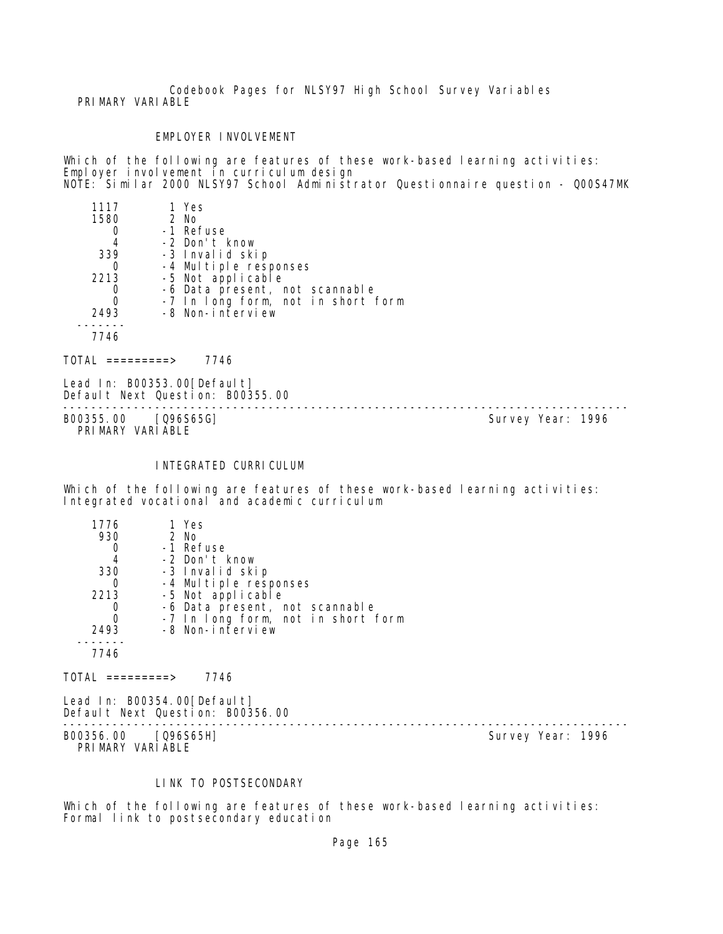Codebook Pages for NLSY97 High School Survey Variables PRIMARY VARIABLE

## EMPLOYER INVOLVEMENT

Which of the following are features of these work-based learning activities: Employer involvement in curriculum design NOTE: Similar 2000 NLSY97 School Administrator Questionnaire question - Q00S47MK

| 1117 | 1 Yes                              |
|------|------------------------------------|
| 1580 | $2$ No                             |
|      | -1 Refuse                          |
|      | -2 Don't know                      |
| 339  | -3 Invalid skip                    |
|      | -4 Multiple responses              |
| 2213 | -5 Not applicable                  |
|      | -6 Data present, not scannable     |
|      | -7 In long form, not in short form |
| 2493 | -8 Non-interview                   |
|      |                                    |
| 7746 |                                    |

 $TOTAL$  =========> 7746

Lead In: B00353.00[Default] Default Next Question: B00355.00

-------------------------------------------------------------------------------- B00355.00 [Q96S65G] PRIMARY VARIABLE

#### INTEGRATED CURRICULUM

Which of the following are features of these work-based learning activities: Integrated vocational and academic curriculum

| 1776 | 1 Yes                              |
|------|------------------------------------|
| 930  | $2$ No                             |
|      | -1 Refuse                          |
| 4    | -2 Don't know                      |
| 330  | -3 Invalid skip                    |
|      | -4 Multiple responses              |
| 2213 | -5 Not applicable                  |
|      | -6 Data present, not scannable     |
| 0    | -7 In long form, not in short form |
| 2493 | -8 Non-interview                   |
|      |                                    |
|      |                                    |

 $TOTAL$  ========> 7746

Lead In: B00354.00[Default] Default Next Question: B00356.00

-------------------------------------------------------------------------------- B00356.00 [Q96S65H] Survey Year: 1996 PRIMARY VARIABLE

#### LINK TO POSTSECONDARY

Which of the following are features of these work-based learning activities: Formal link to postsecondary education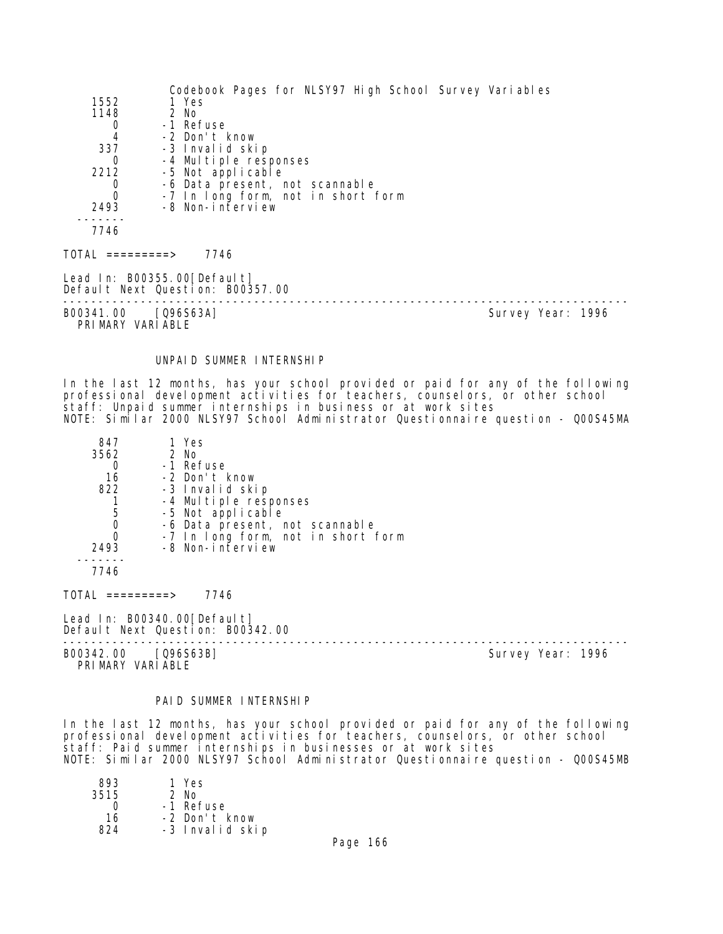|                                         | Codebook Pages for NLSY97 High School Survey Variables          |                   |
|-----------------------------------------|-----------------------------------------------------------------|-------------------|
| 1552                                    | 1 Yes                                                           |                   |
| 1148                                    | 2 No                                                            |                   |
| 0                                       | -1 Refuse                                                       |                   |
| 4                                       | -2 Don't know                                                   |                   |
| 337                                     | -3 Invalid skip                                                 |                   |
| 0                                       | -4 Multiple responses                                           |                   |
| 2212                                    | -5 Not applicable                                               |                   |
| 0                                       | -6 Data present, not scannable                                  |                   |
| $\Omega$                                | -7 In long form, not in short form                              |                   |
| 2493                                    | -8 Non-interview                                                |                   |
| 7746                                    |                                                                 |                   |
| TOTAL =========>                        | 7746                                                            |                   |
|                                         | Lead In: B00355.00[Default]<br>Default Next Question: B00357.00 |                   |
| B00341.00 [Q96S63A]<br>PRIMARY VARIABLE |                                                                 | Survey Year: 1996 |

#### UNPAID SUMMER INTERNSHIP

In the last 12 months, has your school provided or paid for any of the following professional development activities for teachers, counselors, or other school staff: Unpaid summer internships in business or at work sites NOTE: Similar 2000 NLSY97 School Administrator Questionnaire question - Q00S45MA

| 847  | 1 Yes                              |
|------|------------------------------------|
| 3562 | $2$ No                             |
|      | -1 Refuse                          |
| 16   | -2 Don't know                      |
| 822  | -3 Invalid skip                    |
|      | -4 Multiple responses              |
| 5    | -5 Not applicable                  |
| O    | -6 Data present, not scannable     |
|      | -7 In long form, not in short form |
| 2493 | -8 Non-interview                   |
|      |                                    |

7746

TOTAL =========> 7746

Lead In: B00340.00 [Default] Default Next Question: B00342.00

B00342.00 [Q96S63B] Survey Year: 1996 PRIMARY VARIABLE

--------------------------------------------------------------------------------

#### PAID SUMMER INTERNSHIP

In the last 12 months, has your school provided or paid for any of the following professional development activities for teachers, counselors, or other school staff: Paid summer internships in businesses or at work sites NOTE: Similar 2000 NLSY97 School Administrator Questionnaire question - Q00S45MB

| 893  | 1 Yes           |
|------|-----------------|
| 3515 | 2 No            |
| Ω    | -1 Refuse       |
| 16   | -2 Don't know   |
| 824  | -3 Invalid skip |
|      |                 |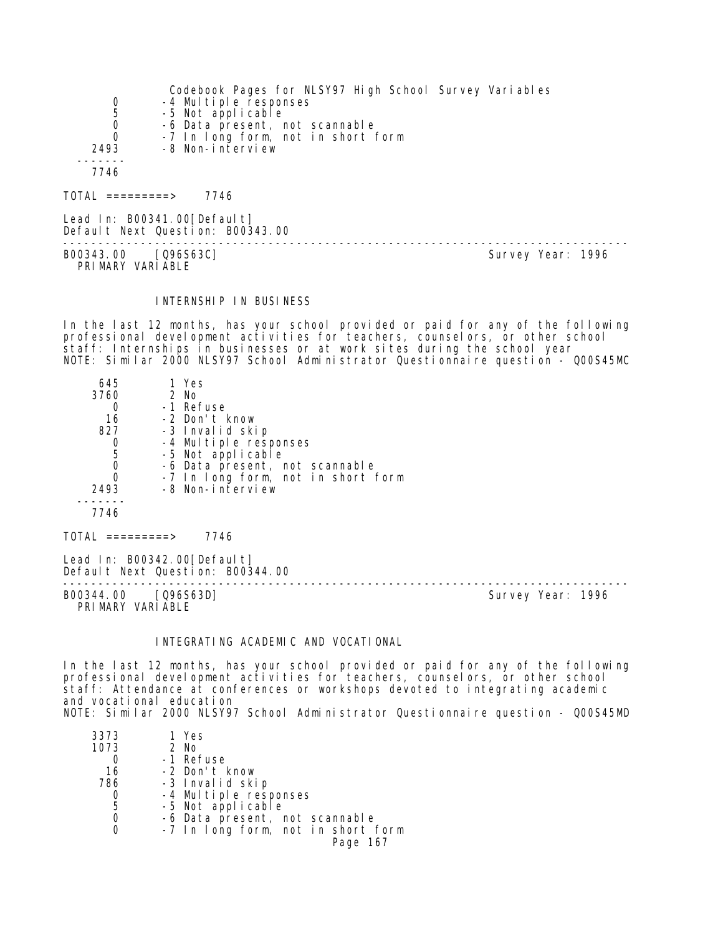|                  | Codebook Pages for NLSY97 High School Survey Variables |
|------------------|--------------------------------------------------------|
| 0                | -4 Multiple responses                                  |
| 5                | -5 Not applicable                                      |
| 0                | -6 Data present, not scannable                         |
| 0                | -7 In long form, not in short form                     |
| 2493             | -8 Non-interview                                       |
|                  |                                                        |
| 7746             |                                                        |
|                  |                                                        |
| TOTAL =========> | 7746                                                   |
|                  |                                                        |

Lead In: B00341.00[Default] Default Next Question: B00343.00 -------------------------------------------------------------------------------- B00343.00 [Q96S63C] PRI MARY VARI ABLE

#### INTERNSHIP IN BUSINESS

In the last 12 months, has your school provided or paid for any of the following professional development activities for teachers, counselors, or other school staff: Internships in businesses or at work sites during the school year NOTE: Similar 2000 NLSY97 School Administrator Questionnaire question - Q00S45MC

| 645<br>3760 | 1 Yes<br>2 No                      |
|-------------|------------------------------------|
| 16          | -1 Refuse<br>-2 Don't know         |
| 827         | -3 Invalid skip                    |
|             | -4 Multiple responses              |
| 5           | -5 Not applicable                  |
| 0           | -6 Data present, not scannable     |
| Ω           | -7 In long form, not in short form |
| 2493        | -8 Non-interview                   |
| 7746        |                                    |

 $TOTAL$  =========> 7746

Lead In: B00342.00 [Default] Default Next Question: B00344.00

-------------------------------------------------------------------------------- PRIMARY VARIABLE

Survey Year: 1996

# INTEGRATING ACADEMIC AND VOCATIONAL

In the last 12 months, has your school provided or paid for any of the following professional development activities for teachers, counselors, or other school staff: Attendance at conferences or workshops devoted to integrating academic and vocational education NOTE: Similar 2000 NLSY97 School Administrator Questionnaire question - Q00S45MD

| 1 Yes                              |
|------------------------------------|
| 2 No                               |
| -1 Refuse                          |
| -2 Don't know                      |
| -3 Invalid skip                    |
| -4 Multiple responses              |
| -5 Not applicable                  |
| -6 Data present, not scannable     |
| -7 In long form, not in short form |
| Page 167                           |
|                                    |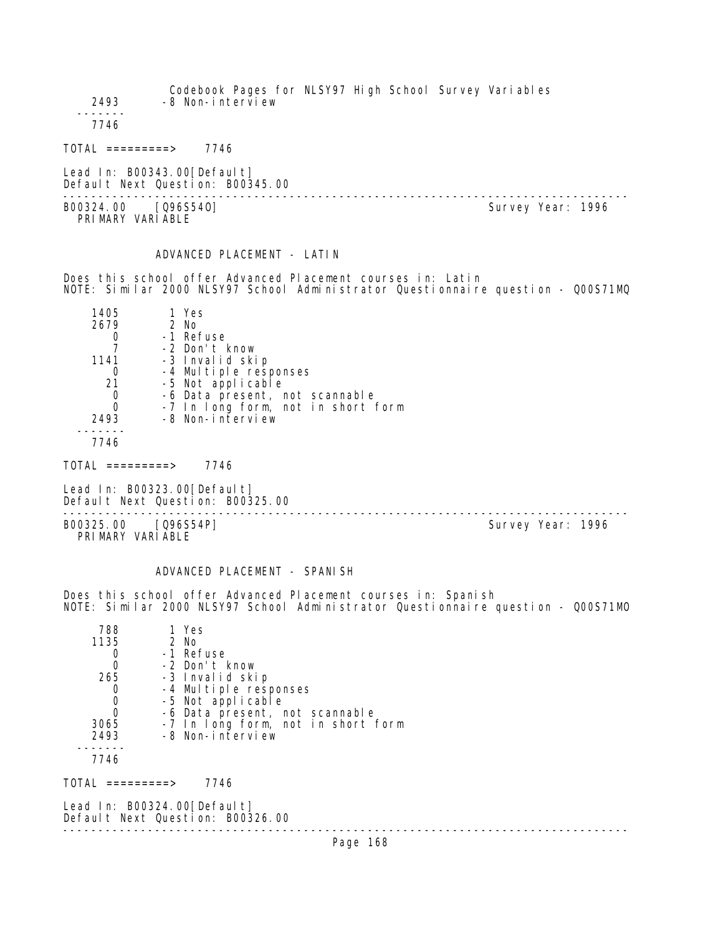Codebook Pages for NLSY97 High School Survey Variables 2493 -8 Non-interview ------- 7746 TOTAL =========> 7746 Lead In: B00343.00 [Default] Default Next Question: B00345.00 -------------------------------------------------------------------------------- B00324.00 [Q96S540] PRIMARY VARIABLE

# ADVANCED PLACEMENT - LATIN

Does this school offer Advanced Placement courses in: Latin NOTE: Similar 2000 NLSY97 School Administrator Questionnaire question - Q00S71MQ

| 1405 | 1 Yes                              |
|------|------------------------------------|
| 2679 | 2 No                               |
|      | -1 Refuse                          |
|      | -2 Don't know                      |
| 1141 | -3 Invalid skip                    |
|      | -4 Multiple responses              |
| 21   | -5 Not applicable                  |
|      | -6 Data present, not scannable     |
|      | -7 In long form, not in short form |
| 2493 | -8 Non-interview                   |
|      |                                    |

7746

 $TOTAL$  =========> 7746

Lead In: B00323.00 [Default] Default Next Question: B00325.00

B00325.00 [Q96S54P] PRIMARY VARIABLE

--------------------------------------------------------------------------------

# ADVANCED PLACEMENT - SPANISH

Does this school offer Advanced Placement courses in: Spanish NOTE: Similar 2000 NLSY97 School Administrator Questionnaire question - Q00S71MO

| 788  | 1 Yes                              |
|------|------------------------------------|
| 1135 | 2 No                               |
|      | -1 Refuse                          |
|      | -2 Don't know                      |
| 265  | -3 Invalid skip                    |
|      | -4 Multiple responses              |
|      | -5 Not applicable                  |
|      | -6 Data present, not scannable     |
| 3065 | -7 In long form, not in short form |
| 2493 | -8 Non-interview                   |
|      |                                    |
| 7711 |                                    |

7746

TOTAL =========> 7746

Lead In: B00324.00 [Default] Default Next Question: B00326.00 --------------------------------------------------------------------------------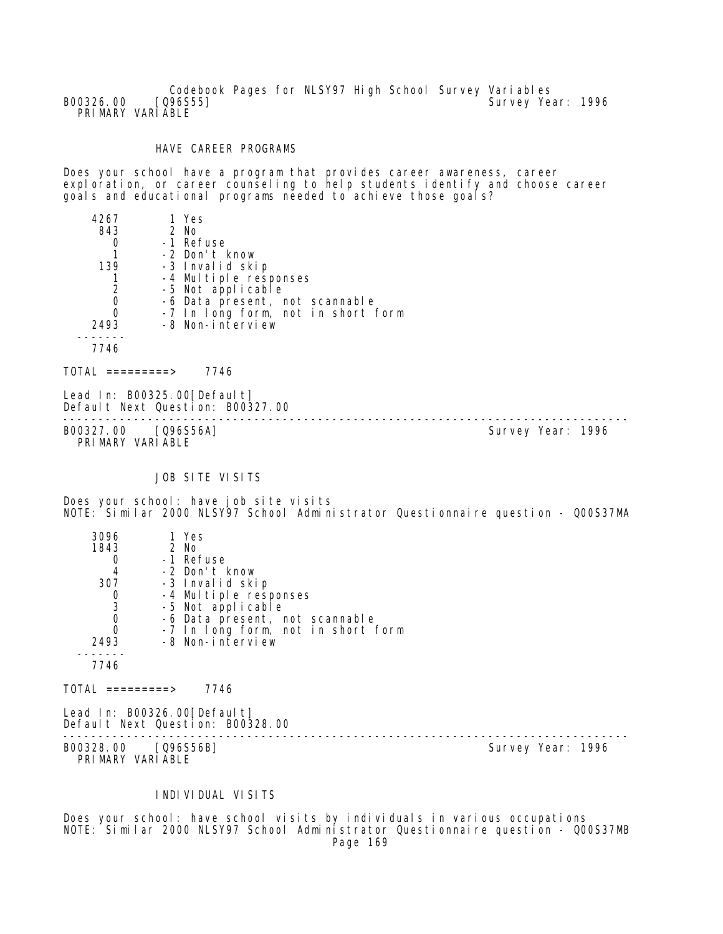Codebook Pages for NLSY97 High School Survey Variables<br>[Q96S55] Survey Ye B00326.00 [Q96S55] [2012] [2012] [2012] [2012] [2012] [2012] [2012] [3012] [3012] [3012] [3012] [3012] [3012] [ PRIMARY VARIABLE

## HAVE CAREER PROGRAMS

Does your school have a program that provides career awareness, career exploration, or career counseling to help students identify and choose career goals and educational programs needed to achieve those goals?

| 4267      | 1 Yes                              |  |
|-----------|------------------------------------|--|
| 843       | 2 No                               |  |
|           | -1 Refuse                          |  |
|           | -2 Don't know                      |  |
| 139       | -3 Invalid skip                    |  |
|           | -4 Multiple responses              |  |
|           | -5 Not applicable                  |  |
| 0         | -6 Data present, not scannable     |  |
|           | -7 In long form, not in short form |  |
| 2493      | -8 Non-interview                   |  |
|           |                                    |  |
| 7746      |                                    |  |
|           |                                    |  |
| ========> | 7746                               |  |

Lead In: B00325.00 [Default] Default Next Question: B00327.00

B00327.00 [Q96S56A] PRIMARY VARIABLE

--------------------------------------------------------------------------------

JOB SITE VISITS

Does your school: have job site visits NOTE: Similar 2000 NLSY97 School Administrator Questionnaire question - Q00S37MA

| 3096 | 1 Yes                              |
|------|------------------------------------|
| 1843 | $2$ No                             |
|      | -1 Refuse                          |
| 4    | -2 Don't know                      |
| 307  | -3 Invalid skip                    |
|      | -4 Multiple responses              |
| 3    | -5 Not applicable                  |
|      | -6 Data present, not scannable     |
|      | -7 In long form, not in short form |
| 2493 | -8 Non-interview                   |
|      |                                    |
| 7746 |                                    |
|      |                                    |

 $TOTAL$  =========> 7746

Lead In: B00326.00 [Default] Default Next Question: B00328.00

B00328.00 [Q96S56B] PRIMARY VARIABLE

--------------------------------------------------------------------------------

#### INDIVIDUAL VISITS

Does your school: have school visits by individuals in various occupations NOTE: Similar 2000 NLSY97 School Administrator Questionnaire question - Q00S37MB Page 169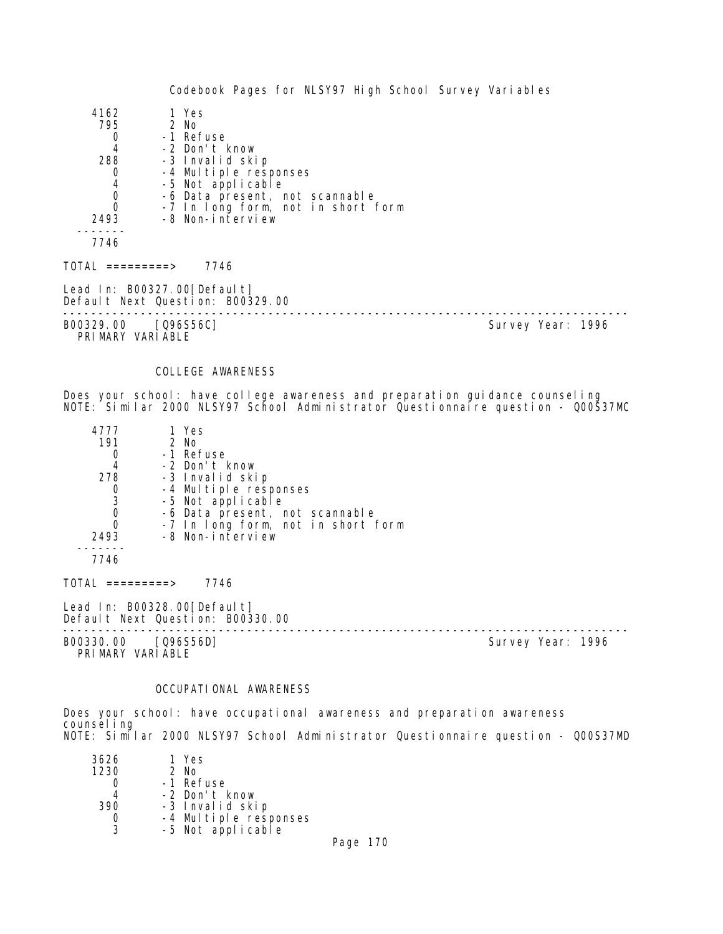| 4162                        | 1 Yes                              |
|-----------------------------|------------------------------------|
| 795                         | $2$ No                             |
| 0                           | -1 Refuse                          |
| 4                           | -2 Don't know                      |
| 288                         | -3 Invalid skip                    |
| 0                           | -4 Multiple responses              |
| 4                           | -5 Not applicable                  |
| $\mathbf 0$                 | -6 Data present, not scannable     |
| $\Omega$                    | -7 In long form, not in short form |
| 2493                        | -8 Non-interview                   |
|                             |                                    |
| 7746                        |                                    |
| TOTAL =========>            | 7746                               |
| Lead In: B00327.00[Default] | Default Next Question: B00329.00   |
|                             |                                    |

B00329.00 [Q96S56C] Survey Year: 1996 PRIMARY VARIABLE

# COLLEGE AWARENESS

Does your school: have college awareness and preparation guidance counseling NOTE: Similar 2000 NLSY97 School Administrator Questionnaire question - Q00S37MC

| 4777 | 1 Yes                              |  |
|------|------------------------------------|--|
| 191  | 2 No                               |  |
|      | -1 Refuse                          |  |
|      | -2 Don't know                      |  |
| 278  | -3 Invalid skip                    |  |
|      | -4 Multiple responses              |  |
| 3    | -5 Not applicable                  |  |
|      | -6 Data present, not scannable     |  |
|      | -7 In long form, not in short form |  |
| 2493 | -8 Non-interview                   |  |
|      |                                    |  |
| 7746 |                                    |  |

TOTAL =========> 7746

Lead In: B00328.00 [Default] Default Next Question: B00330.00

B00330.00 [Q96S56D] PRIMARY VARIABLE

--------------------------------------------------------------------------------

# OCCUPATIONAL AWARENESS

Does your school: have occupational awareness and preparation awareness counsel ing NOTE: Similar 2000 NLSY97 School Administrator Questionnaire question - Q00S37MD

| 3626 | 1 Yes                 |  |  |
|------|-----------------------|--|--|
| 1230 | $2$ No                |  |  |
|      | -1 Refuse             |  |  |
| 4    | -2 Don't know         |  |  |
| 390  | -3 Invalid skip       |  |  |
|      | -4 Multiple responses |  |  |
| 3    | -5 Not applicable     |  |  |
|      |                       |  |  |

Page 170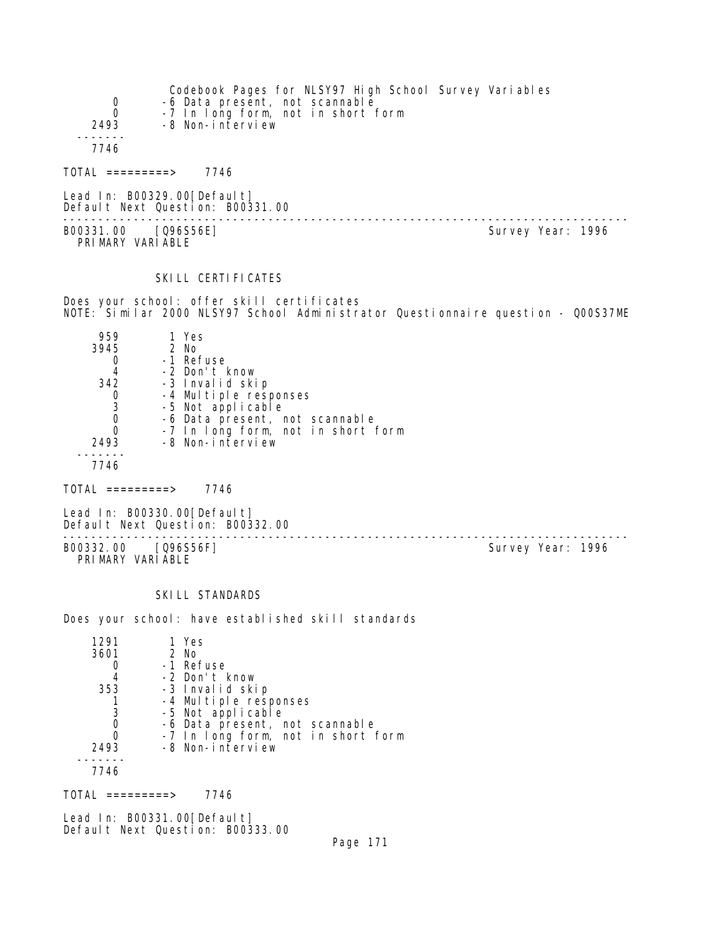| $\overline{0}$<br>$\Omega$<br>2493 | Codebook Pages for NLSY97 High School Survey Variables<br>-6 Data present, not scannable<br>-7 In long form, not in short form<br>-8 Non-interview |                   |
|------------------------------------|----------------------------------------------------------------------------------------------------------------------------------------------------|-------------------|
| 7746                               |                                                                                                                                                    |                   |
| TOTAL =========>                   | 7746                                                                                                                                               |                   |
|                                    | Lead In: B00329.00[Default]<br>Default Next Question: B00331.00                                                                                    |                   |
| B00331.00                          | [096S56E]                                                                                                                                          | Survey Year: 1996 |

#### SKILL CERTIFICATES

Does your school: offer skill certificates NOTE: Similar 2000 NLSY97 School Administrator Questionnaire question - Q00S37ME

| 959  | 1 Yes                                      |
|------|--------------------------------------------|
| 3945 | $2$ No                                     |
|      | -1 Refuse                                  |
| 4    | -2 Don't know                              |
| 342  | -3 Invalid skip                            |
|      | -4 Multiple responses<br>-5 Not applicable |
| 3    |                                            |
|      | -6 Data present, not scannable             |
|      | -7 In long form, not in short form         |
| 2493 | -8 Non-interview                           |
|      |                                            |
| 7746 |                                            |

 $TOTAL$  =========> 7746

PRIMARY VARIABLE

Lead In: B00330.00[Default] Default Next Question: B00332.00

B00332.00 [Q96S56F] PRIMARY VARIABLE

--------------------------------------------------------------------------------

#### SKI LL STANDARDS

Does your school: have established skill standards

| 1291 | 1 Yes                              |
|------|------------------------------------|
| 3601 | $2$ No                             |
|      | -1 Refuse                          |
|      | -2 Don't know                      |
| 353  | -3 Invalid skip                    |
|      | -4 Multiple responses              |
| 3    | -5 Not applicable                  |
|      | -6 Data present, not scannable     |
|      | -7 In long form, not in short form |
| 2493 | -8 Non-interview                   |
|      |                                    |
| 7746 |                                    |

 $TOTAL$  =========> 7746

Lead In: B00331.00[Default] Default Next Question: B00333.00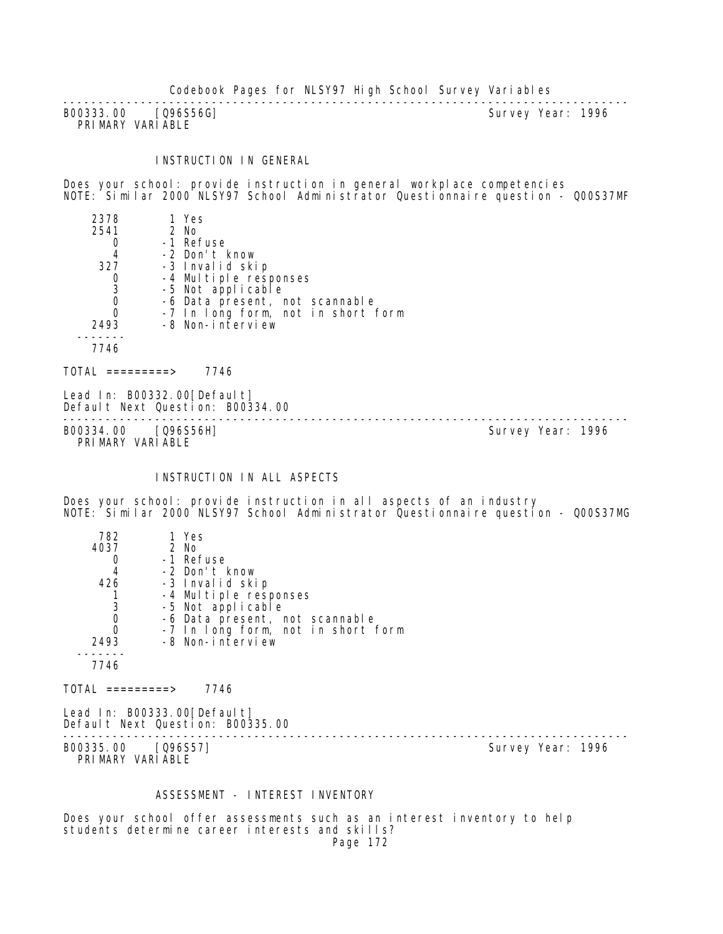-------------------------------------------------------------------------------- B00333.00 [Q96S56G] PRIMARY VARIABLE

## INSTRUCTION IN GENERAL

Does your school: provide instruction in general workplace competencies NOTE: Similar 2000 NLSY97 School Administrator Questionnaire question - Q00S37MF

| 2378 | 1 Yes                              |  |
|------|------------------------------------|--|
| 2541 | 2 No                               |  |
|      | -1 Refuse                          |  |
| 4    | -2 Don't know                      |  |
| 327  | -3 Invalid skip                    |  |
| 0    | -4 Multiple responses              |  |
| 3    | -5 Not applicable                  |  |
| 0    | -6 Data present, not scannable     |  |
|      | -7 In long form, not in short form |  |
| 2493 | -8 Non-interview                   |  |
|      |                                    |  |
| 7746 |                                    |  |
|      |                                    |  |
|      | 7746<br>=======>                   |  |

Lead In: B00332.00 [Default] Default Next Question: B00334.00 B00334.00 [Q96S56H]

PRIMARY VARIABLE

--------------------------------------------------------------------------------

# INSTRUCTION IN ALL ASPECTS

Does your school: provide instruction in all aspects of an industry NOTE: Similar 2000 NLSY97 School Administrator Questionnaire question - Q00S37MG

| 782  | 1 Yes                              |
|------|------------------------------------|
| 4037 | $2$ No                             |
|      | -1 Refuse                          |
| 4    | -2 Don't know                      |
| 426  | -3 Invalid skip                    |
|      | -4 Multiple responses              |
| 3    | -5 Not applicable                  |
|      | -6 Data present, not scannable     |
| 0    | -7 In long form, not in short form |
| 2493 | -8 Non-interview                   |
|      |                                    |
| 7746 |                                    |
|      |                                    |

 $TOTAL$  =========> 7746

Lead In: B00333.00 [Default] Default Next Question: B00335.00

-------------------------------------------------------------------------------- B00335.00 [Q96S57] PRIMARY VARIABLE

#### ASSESSMENT - INTEREST INVENTORY

Does your school offer assessments such as an interest inventory to help students determine career interests and skills? Page 172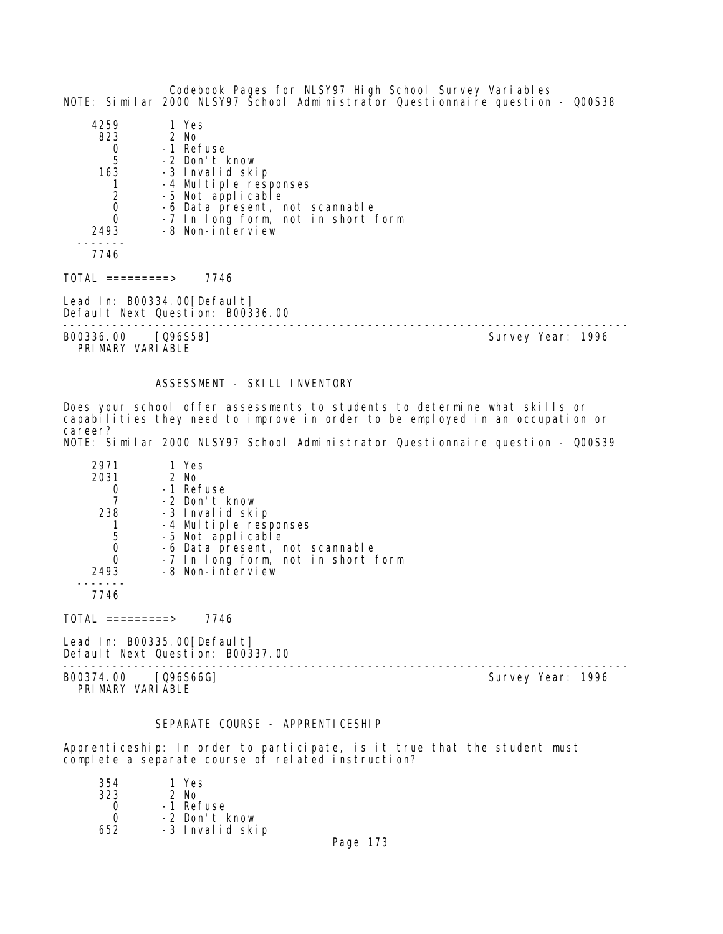Codebook Pages for NLSY97 High School Survey Variables NOTE: Similar 2000 NLSY97 School Administrator Questionnaire question - Q00S38

| 4259 | 1 Yes                              |
|------|------------------------------------|
| 823  | $2$ No                             |
|      | -1 Refuse                          |
| 5    | -2 Don't know                      |
| 163  | -3 Invalid skip                    |
|      | -4 Multiple responses              |
| 2    | -5 Not applicable                  |
|      | -6 Data present, not scannable     |
|      | -7 In long form, not in short form |
| 2493 | -8 Non-interview                   |
|      |                                    |
| 7746 |                                    |

 $TOTAL$  =========> 7746

Lead In: B00334.00[Default] Default Next Question: B00336.00

B00336.00 [Q96S58]

PRI MARY VARI ABLE

--------------------------------------------------------------------------------

#### ASSESSMENT - SKILL INVENTORY

Does your school offer assessments to students to determine what skills or capabilities they need to improve in order to be employed in an occupation or career? NOTE: Similar 2000 NLSY97 School Administrator Questionnaire question - Q00S39

| 2971<br>2031 | 1 Yes<br>2 No                      |
|--------------|------------------------------------|
|              | -1 Refuse                          |
|              | -2 Don't know                      |
| 238          | -3 Invalid skip                    |
|              | -4 Multiple responses              |
| 5            | -5 Not applicable                  |
|              | -6 Data present, not scannable     |
| O            | -7 In long form, not in short form |
| 2493         | -8 Non-interview                   |
|              |                                    |

7746

 $TOTAL$  =========> 7746

Lead In: B00335.00[Default] Default Next Question: B00337.00

B00374.00 [Q96S66G] PRIMARY VARIABLE

--------------------------------------------------------------------------------

#### SEPARATE COURSE - APPRENTICESHIP

Apprenticeship: In order to participate, is it true that the student must complete a separate course of related instruction?

| 354  | 1 Yes           |
|------|-----------------|
| 323  | $2$ No          |
| O    | -1 Refuse       |
| O    | -2 Don't know   |
| 652. | -3 Invalid skip |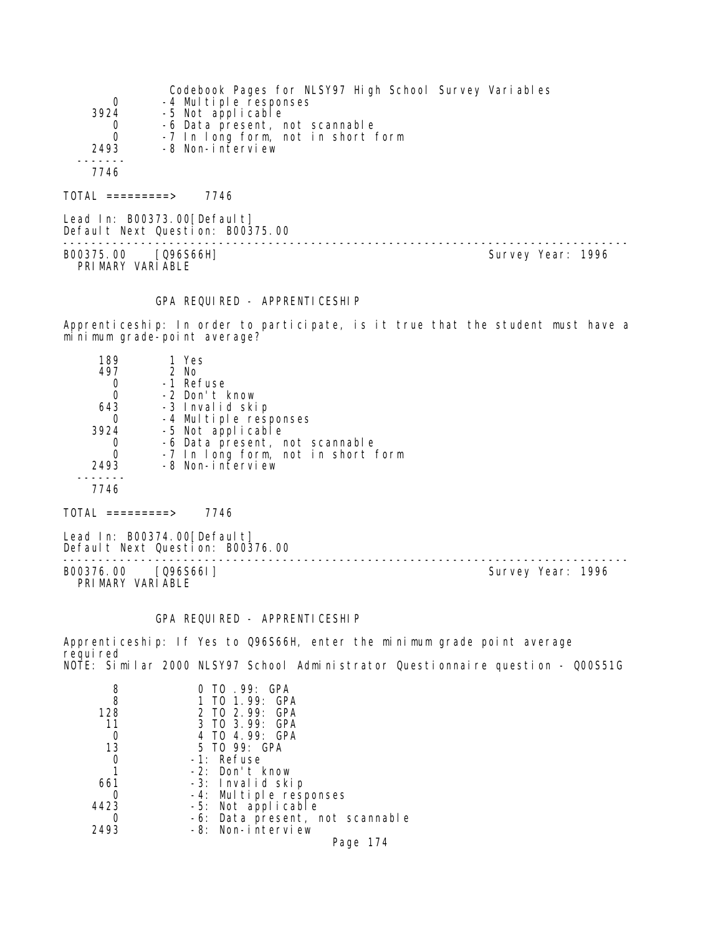|          | Codebook Pages for NLSY97 High School Survey Variables |
|----------|--------------------------------------------------------|
| 0        | -4 Multiple responses                                  |
| 3924     | -5 Not applicable                                      |
| 0        | -6 Data present, not scannable                         |
| $\Omega$ | -7 In long form, not in short form                     |
| 2493     | -8 Non-interview                                       |
|          |                                                        |
| 7746     |                                                        |
|          |                                                        |

TOTAL =========> 7746

Lead In: B00373.00 [Default] Default Next Question: B00375.00 -------------------------------------------------------------------------------- B00375.00 [Q96S66H] PRI MARY VARI ABLE

#### GPA REQUIRED - APPRENTICESHIP

Apprenticeship: In order to participate, is it true that the student must have a minimum grade-point average?

| 189  | 1 Yes                              |
|------|------------------------------------|
| 497  | $2$ No                             |
|      | -1 Refuse                          |
|      | -2 Don't know                      |
| 643  | -3 Invalid skip                    |
|      | -4 Multiple responses              |
| 3924 | -5 Not applicable                  |
|      | -6 Data present, not scannable     |
|      | -7 In long form, not in short form |
| 2493 | -8 Non-interview                   |
|      |                                    |
| 7746 |                                    |
|      |                                    |

 $TOTAL$  =========> 7746

Lead In: B00374.00[Default] Default Next Question: B00376.00

B00376.00 [Q96S66I] Survey Year: 1996 PRIMARY VARIABLE

--------------------------------------------------------------------------------

## GPA REQUIRED - APPRENTICESHIP

Apprenticeship: If Yes to Q96S66H, enter the minimum grade point average requi red NOTE: Similar 2000 NLSY97 School Administrator Questionnaire question - Q00S51G

| 8    | TO .99: GPA                     |
|------|---------------------------------|
| 8    | 1 TO 1.99: GPA                  |
| 128  | 2 TO 2.99: GPA                  |
| 11   | 3 TO 3.99: GPA                  |
|      | 4 TO 4.99: GPA                  |
| 13   | 5 TO 99: GPA                    |
|      | -1: Refuse                      |
|      | -2: Don't know                  |
| 661  | -3: Invalid skip                |
|      | -4: Multiple responses          |
| 4423 | -5: Not applicable              |
|      | -6: Data present, not scannable |
| 2493 | -8: Non-interview               |
|      | Page 174                        |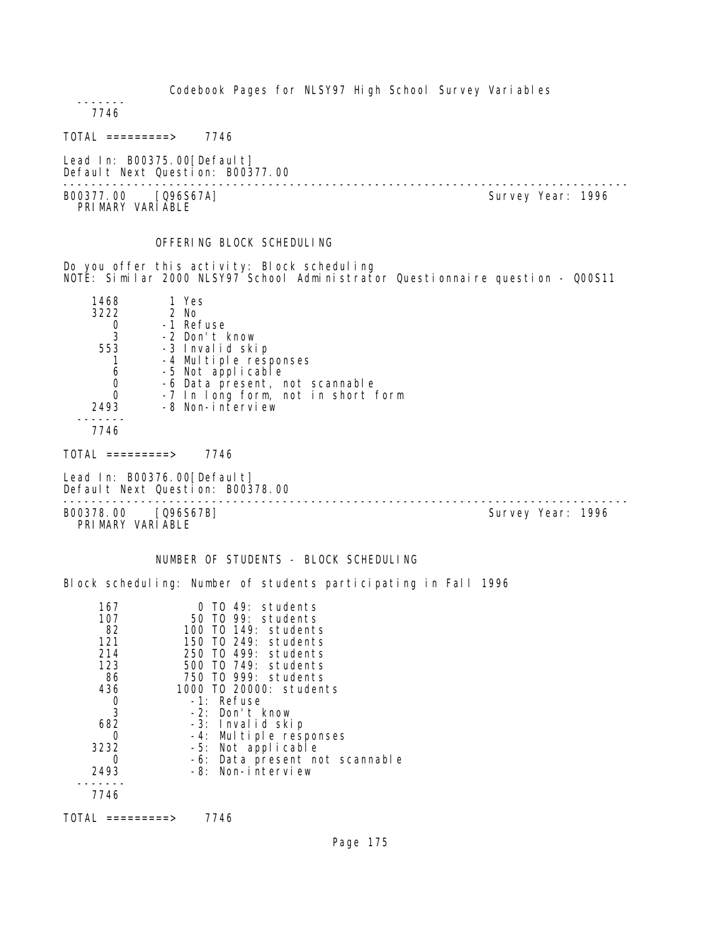------- 7746

 $TOTAL$  =========> 7746

Lead In: B00375.00 [Default] Default Next Question: B00377.00

-------------------------------------------------------------------------------- B00377.00 [Q96S67A] PRI MARY VARI ABLE

# OFFERING BLOCK SCHEDULING

Do you offer this activity: Block scheduling NOTE: Similar 2000 NLSY97 School Administrator Questionnaire question - Q00S11

| 1468 | 1 Yes                                      |
|------|--------------------------------------------|
| 3222 | 2 No                                       |
|      | -1 Refuse                                  |
| 3    | -2 Don't know                              |
| 553  | -3 Invalid skip                            |
|      | -4 Multiple responses<br>-5 Not applicable |
| 6    |                                            |
|      | -6 Data present, not scannable             |
|      | -7 In long form, not in short form         |
| 2493 | -8 Non-interview                           |
|      |                                            |
| 7746 |                                            |

TOTAL =========> 7746

Lead In: B00376.00 [Default] Default Next Question: B00378.00

-------------------------------------------------------------------------------- B00378.00 [Q96S67B] Survey Year: 1996

PRIMARY VARIABLE

NUMBER OF STUDENTS - BLOCK SCHEDULING

Block scheduling: Number of students participating in Fall 1996

| 167  | TO 49: students                |
|------|--------------------------------|
| 107  | 50 TO 99: students             |
| 82   | 100 T0 149: students           |
| 121  | 150 TO 249: students           |
| 214  | 250 TO 499: students           |
| 123  | 500 TO 749: students           |
| 86   | 750 TO 999: students           |
| 436  | 1000 TO 20000: students        |
| 0    | -1: Refuse                     |
| 3    | -2: Don't know                 |
| 682  | -3: Invalid skip               |
| O    | -4: Multiple responses         |
| 3232 | -5: Not applicable             |
| O    | -6: Data present not scannable |
| 2493 | -8: Non-interview              |
|      |                                |
| 7746 |                                |
|      |                                |

TOTAL =========> 7746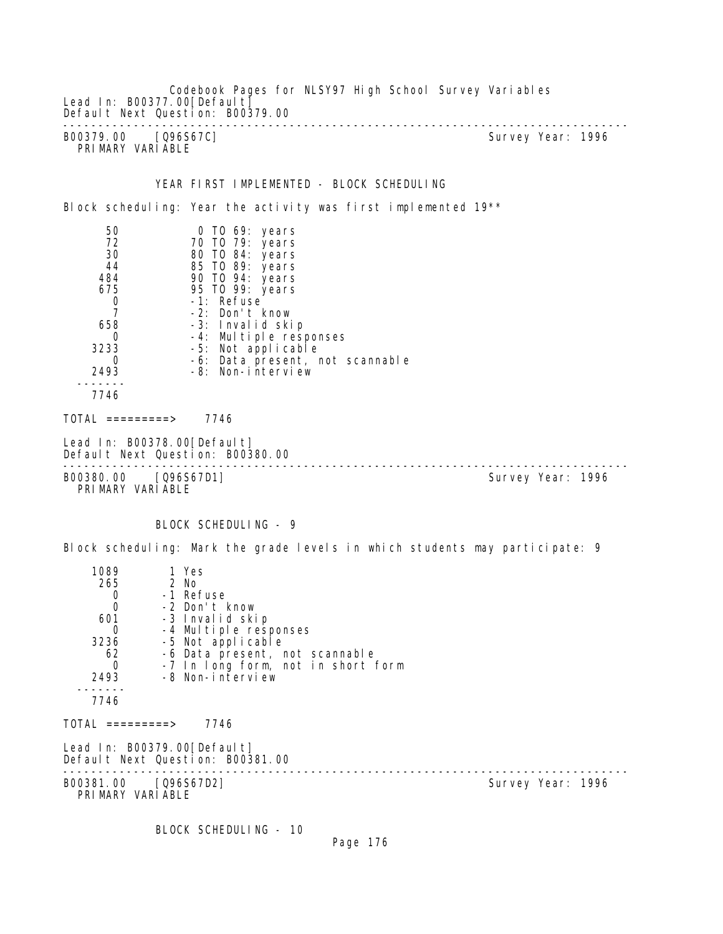Codebook Pages for NLSY97 High School Survey Variables Lead In: B00377.00 [Default] Default Next Question: B00379.00 -------------------------------------------------------------------------------- B00379.00 [Q96S67C] PRI MARY VARI ABLE YEAR FIRST IMPLEMENTED - BLOCK SCHEDULING Block scheduling: Year the activity was first implemented 19<sup>\*\*</sup> 50 0 TO 69: years 72 70 TO 79: years 30 80 TO 84: years 44 85 TO 89: years 484 90 TO 94: years 675 95 TO 99: years 0 -1: Refuse<br>7 -2: Don't 7 -2: Don't know 658 -3: Invalid skip 0 -4: Multiple responses 3233 -5: Not applicable 0 -6: Data present, not scannable 2493 -8: Non-interview ------- 7746  $TOTAL$  ========> 7746 Lead In: B00378.00 [Default] Default Next Question: B00380.00 -------------------------------------------------------------------------------- B00380.00 [Q96S67D1] PRIMARY VARIABLE BLOCK SCHEDULING - 9 Block scheduling: Mark the grade levels in which students may participate: 9 1089 1 Yes<br>265 2 No 55 2 No 0 -1 Refuse 0 -2 Don't know 601 -3 Invalid skip 0 -4 Multiple responses<br>3236 -5 Not applicable 3236 -5 Not applicable 62 -6 Data present, not scannable 0 -7 In long form, not in short form 2493 -8 Non-interview ------- 7746 TOTAL =========> 7746 Lead In: B00379.00[Default] Default Next Question: B00381.00 -------------------------------------------------------------------------------- B00381.00 [Q96S67D2] PRIMARY VARIABLE

BLOCK SCHEDULING - 10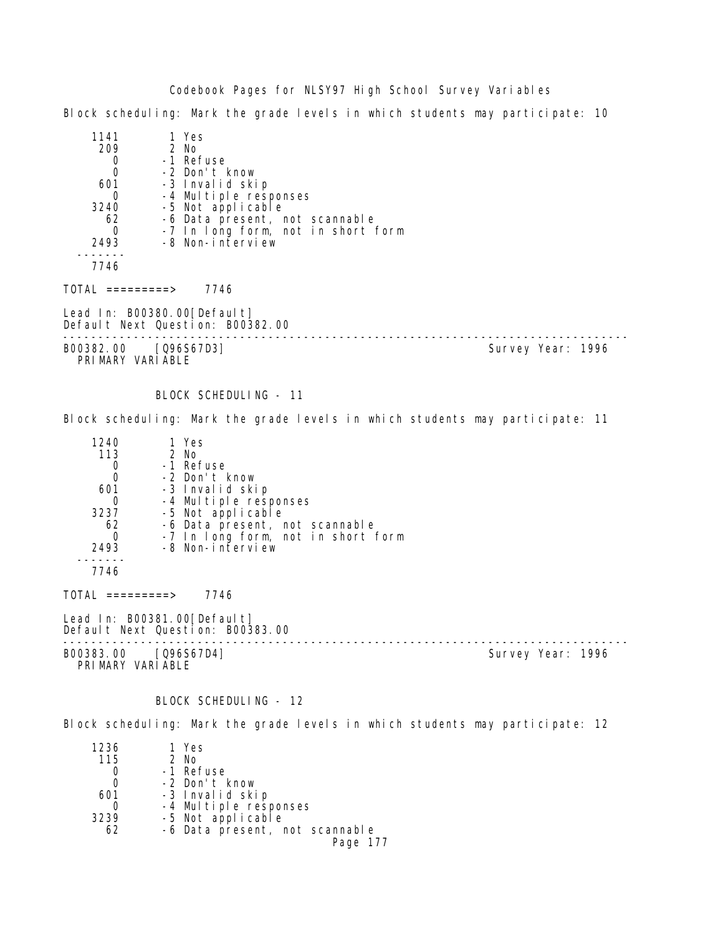Block scheduling: Mark the grade levels in which students may participate: 10

| 1141                                     | 1 Yes                                                           |                   |
|------------------------------------------|-----------------------------------------------------------------|-------------------|
| 209                                      | 2 No                                                            |                   |
| $\mathbf 0$                              | -1 Refuse                                                       |                   |
| $\mathbf 0$                              | -2 Don't know                                                   |                   |
| 601                                      | -3 Invalid skip                                                 |                   |
| 0                                        | -4 Multiple responses                                           |                   |
| 3240                                     | -5 Not applicable                                               |                   |
| 62                                       | -6 Data present, not scannable                                  |                   |
| $\Omega$                                 | -7 In long form, not in short form                              |                   |
| 2493                                     | -8 Non-interview                                                |                   |
|                                          |                                                                 |                   |
| 7746                                     |                                                                 |                   |
| TOTAL =========>                         | 7746                                                            |                   |
|                                          | Lead In: B00380.00[Default]<br>Default Next Question: B00382.00 |                   |
| B00382.00 [Q96S67D3]<br>PRIMARY VARIABLE |                                                                 | Survey Year: 1996 |
|                                          |                                                                 |                   |

BLOCK SCHEDULING - 11

Block scheduling: Mark the grade levels in which students may participate: 11

| 1240 | 1 Yes                              |
|------|------------------------------------|
| 113  | $2$ No                             |
|      | -1 Refuse                          |
|      | -2 Don't know                      |
| 601  | -3 Invalid skip                    |
|      | -4 Multiple responses              |
| 3237 | -5 Not applicable                  |
| 62   | -6 Data present, not scannable     |
|      | -7 In long form, not in short form |
| 2493 | -8 Non-interview                   |
|      |                                    |
| 7746 |                                    |

 $TOTAL$  =========> 7746

Lead In: B00381.00 [Default] Default Next Question: B00383.00

-------------------------------------------------------------------------------- B00383.00 [Q96S67D4] Survey Year: 1996

PRIMARY VARIABLE

BLOCK SCHEDULING - 12

Block scheduling: Mark the grade levels in which students may participate: 12

| 1236 | 1 Yes                          |
|------|--------------------------------|
| 115  | $2$ No                         |
|      | -1 Refuse                      |
|      | -2 Don't know                  |
| 601  | -3 Invalid skip                |
|      | -4 Multiple responses          |
| 3239 | -5 Not applicable              |
| 62   | -6 Data present, not scannable |
|      | Page 177                       |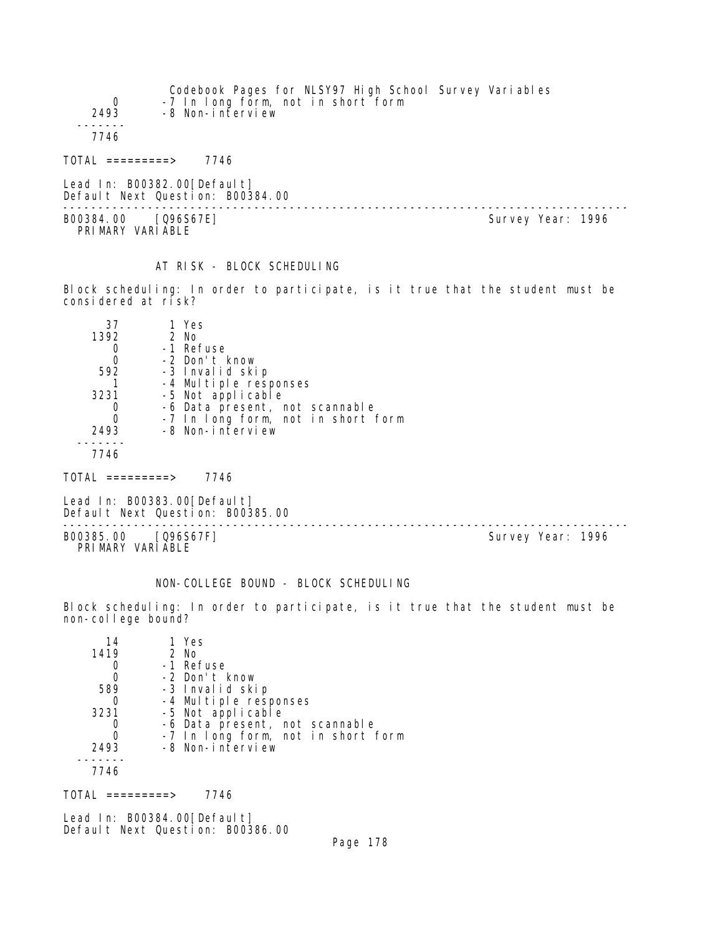| $\Omega$<br>2493              | Codebook Pages for NLSY97 High School Survey Variables<br>-7 In long form, not in short form<br>-8 Non-interview |  |                   |  |
|-------------------------------|------------------------------------------------------------------------------------------------------------------|--|-------------------|--|
| 7746                          |                                                                                                                  |  |                   |  |
| TOTAL =========>              | 7746                                                                                                             |  |                   |  |
|                               | Lead In: B00382.00[Default]<br>Default Next Question: B00384.00                                                  |  |                   |  |
| B00384.00<br>PRIMARY VARIABLE | $[Q96S67E]$                                                                                                      |  | Survey Year: 1996 |  |

# AT RISK - BLOCK SCHEDULING

Block scheduling: In order to participate, is it true that the student must be considered at risk?

| 37   | 1 Yes                              |
|------|------------------------------------|
| 1392 | $2$ No                             |
|      | -1 Refuse                          |
|      | -2 Don't know                      |
| 592  | -3 Invalid skip                    |
|      | -4 Multiple responses              |
| 3231 | -5 Not applicable                  |
|      | -6 Data present, not scannable     |
|      | -7 In long form, not in short form |
| 2493 | -8 Non-interview                   |
|      |                                    |
| 7746 |                                    |

 $TOTAL$  =========> 7746

Lead In: B00383.00[Default] Default Next Question: B00385.00

-------------------------------------------------------------------------------- B00385.00 [Q96S67F] Survey Year: 1996 PRIMARY VARIABLE

## NON-COLLEGE BOUND - BLOCK SCHEDULING

Block scheduling: In order to participate, is it true that the student must be non-college bound?

| 14   | 1 Yes                              |
|------|------------------------------------|
| 1419 | 2 No                               |
|      | -1 Refuse                          |
|      | -2 Don't know                      |
| 589  | -3 Invalid skip                    |
|      | -4 Multiple responses              |
| 3231 | -5 Not applicable                  |
|      | -6 Data present, not scannable     |
|      | -7 In long form, not in short form |
| 2493 | -8 Non-interview                   |
|      |                                    |
| 7746 |                                    |

 $TOTAL$  =========> 7746

Lead In: B00384.00[Default] Default Next Question: B00386.00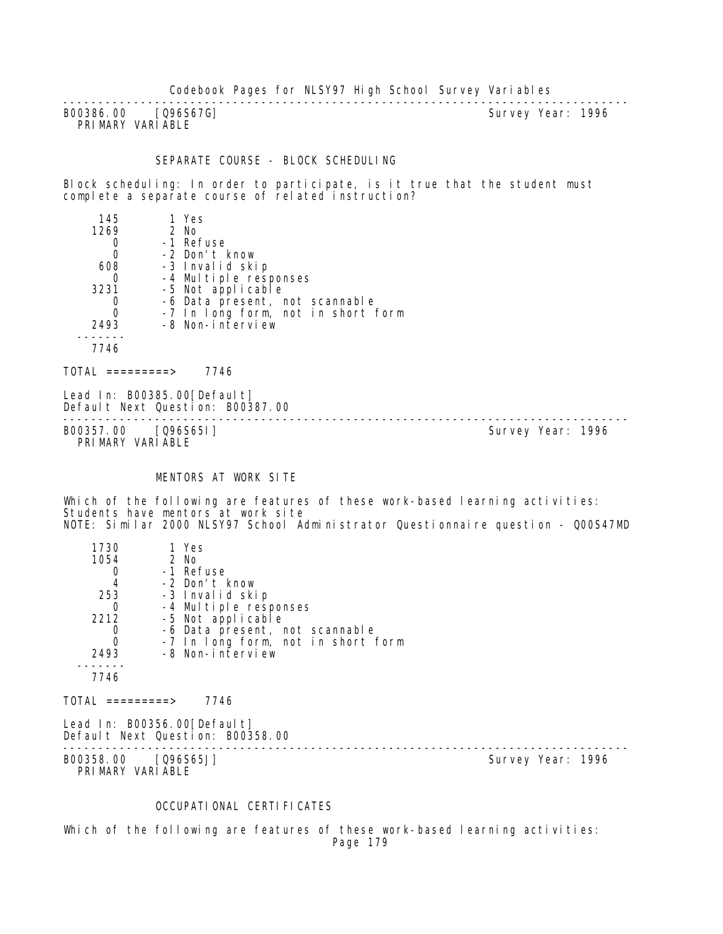B00386.00 [Q96S67G] PRIMARY VARIABLE

--------------------------------------------------------------------------------

#### SEPARATE COURSE - BLOCK SCHEDULING

Block scheduling: In order to participate, is it true that the student must complete a separate course of related instruction?

| 145              | 1 Yes                                                           |  |
|------------------|-----------------------------------------------------------------|--|
| 1269             | 2 No                                                            |  |
| 0                | -1 Refuse                                                       |  |
| $\overline{0}$   | -2 Don't know                                                   |  |
| 608              | -3 Invalid skip                                                 |  |
| 0                | -4 Multiple responses                                           |  |
| 3231             | -5 Not applicable                                               |  |
| 0                | -6 Data present, not scannable                                  |  |
| $\overline{0}$   | -7 In long form, not in short form                              |  |
| 2493             | -8 Non-interview                                                |  |
|                  |                                                                 |  |
| 7746             |                                                                 |  |
| TOTAL =========> | 7746                                                            |  |
|                  | Lead In: B00385.00[Default]<br>Default Next Question: B00387.00 |  |

-------------------------------------------------------------------------------- B00357.00 [Q96S65I] Survey Year: 1996 PRIMARY VARIABLE

#### MENTORS AT WORK SITE

Which of the following are features of these work-based learning activities: Students have mentors at work site NOTE: Similar 2000 NLSY97 School Administrator Questionnaire question - Q00S47MD

| 1730<br>1054                         | 1 Yes<br>2 No                                                   |                   |
|--------------------------------------|-----------------------------------------------------------------|-------------------|
|                                      | -1 Refuse                                                       |                   |
| $\begin{matrix} 0 \\ 4 \end{matrix}$ | -2 Don't know                                                   |                   |
| 253                                  | -3 Invalid skip                                                 |                   |
| 0                                    | -4 Multiple responses                                           |                   |
| 2212                                 | -5 Not applicable                                               |                   |
| 0                                    | -6 Data present, not scannable                                  |                   |
| $\overline{0}$                       | -7 In long form, not in short form                              |                   |
| 2493                                 | -8 Non-interview                                                |                   |
| 7746                                 |                                                                 |                   |
| $\text{TOTAL}$ =========>            | 7746                                                            |                   |
|                                      | Lead In: B00356.00[Default]<br>Default Next Question: B00358.00 |                   |
| B00358.00                            | $[Q96S65J]$                                                     | Survey Year: 1996 |

PRIMARY VARIABLE

## OCCUPATIONAL CERTIFICATES

Which of the following are features of these work-based learning activities: Page 179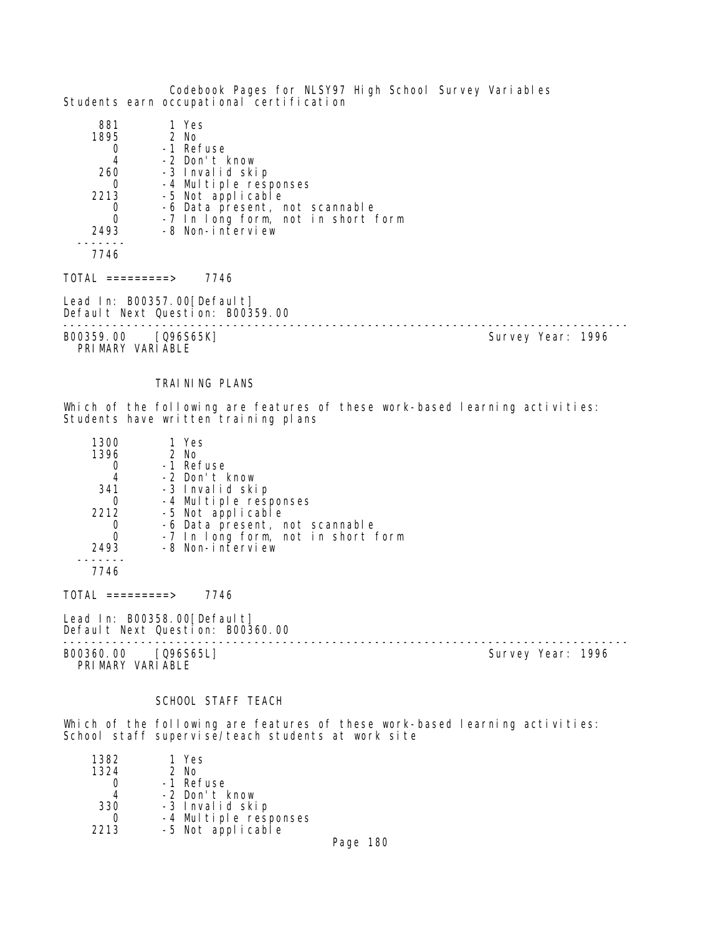Codebook Pages for NLSY97 High School Survey Variables Students earn occupational certification

| -7 In long form, not in short form |
|------------------------------------|
|                                    |
|                                    |
|                                    |
|                                    |

 $TOTAL$  =========> 7746

Lead In: B00357.00[Default] Default Next Question: B00359.00

-------------------------------------------------------------------------------- B00359.00 [Q96S65K]

PRIMARY VARIABLE

# TRAINING PLANS

Which of the following are features of these work-based learning activities: Students have written training plans

| 1300 | 1 Yes                              |
|------|------------------------------------|
| 1396 | 2 No                               |
|      | -1 Refuse                          |
| 4    | -2 Don't know                      |
| 341  | -3 Invalid skip                    |
|      | -4 Multiple responses              |
| 2212 | -5 Not applicable                  |
|      | -6 Data present, not scannable     |
|      | -7 In long form, not in short form |
| 2493 | -8 Non-interview                   |
|      |                                    |

7746

TOTAL =========> 7746

Lead In: B00358.00 [Default] Default Next Question: B00360.00

B00360.00 [Q96S65L] Survey Year: 1996 PRIMARY VARIABLE

--------------------------------------------------------------------------------

# SCHOOL STAFF TEACH

Which of the following are features of these work-based learning activities: School staff supervise/teach students at work site

| 1382 | 1 Yes                                      |  |
|------|--------------------------------------------|--|
| 1324 | 2 No                                       |  |
|      | -1 Refuse                                  |  |
|      | -2 Don't know                              |  |
| 330  | -3 Invalid skip                            |  |
|      |                                            |  |
| 2213 | -4 Multiple responses<br>-5 Not applicable |  |
|      |                                            |  |

Page 180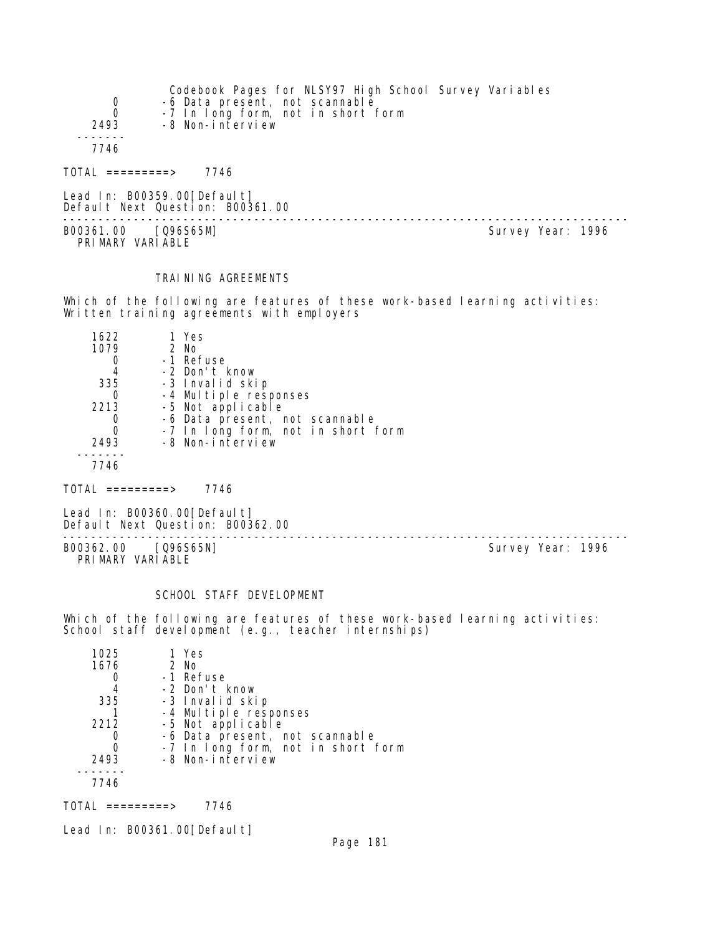| $\begin{matrix} 0 \\ 0 \end{matrix}$<br>2493 | Codebook Pages for NLSY97 High School Survey Variables<br>-6 Data present, not scannable<br>-7 In long form, not in short form<br>-8 Non-interview |                   |
|----------------------------------------------|----------------------------------------------------------------------------------------------------------------------------------------------------|-------------------|
| 7746                                         |                                                                                                                                                    |                   |
| $\text{DTAI}$ =========>                     | 7746                                                                                                                                               |                   |
|                                              | Lead In: $B00359.00[Defaul t]$<br>Default Next Question: B00361.00                                                                                 |                   |
| B00361.00 [Q96S65M]<br>PRIMARY VARIABLE      |                                                                                                                                                    | Survey Year: 1996 |

## TRAINING AGREEMENTS

Which of the following are features of these work-based learning activities: Written training agreements with employers

| 1622 | 1 Yes                              |
|------|------------------------------------|
| 1079 | 2 No                               |
|      | -1 Refuse                          |
| 4    | -2 Don't know                      |
| 335  | -3 Invalid skip                    |
|      | -4 Multiple responses              |
| 2213 | -5 Not applicable                  |
|      | -6 Data present, not scannable     |
|      | -7 In long form, not in short form |
| 2493 | -8 Non-interview                   |
|      |                                    |
|      |                                    |

 $TOTAL$  =========> 7746

Lead In: B00360.00 [Default] Default Next Question: B00362.00

B00362.00 [Q96S65N] PRIMARY VARIABLE

--------------------------------------------------------------------------------

#### SCHOOL STAFF DEVELOPMENT

Which of the following are features of these work-based learning activities: School staff development (e.g., teacher internships)

| 1 Yes                              |
|------------------------------------|
| 2 No                               |
| -1 Refuse                          |
| -2 Don't know                      |
| -3 Invalid skip                    |
| -4 Multiple responses              |
| -5 Not applicable                  |
| -6 Data present, not scannable     |
| -7 In long form, not in short form |
| -8 Non-interview                   |
|                                    |
|                                    |
|                                    |

TOTAL =========> 7746

Lead In: B00361.00[Default]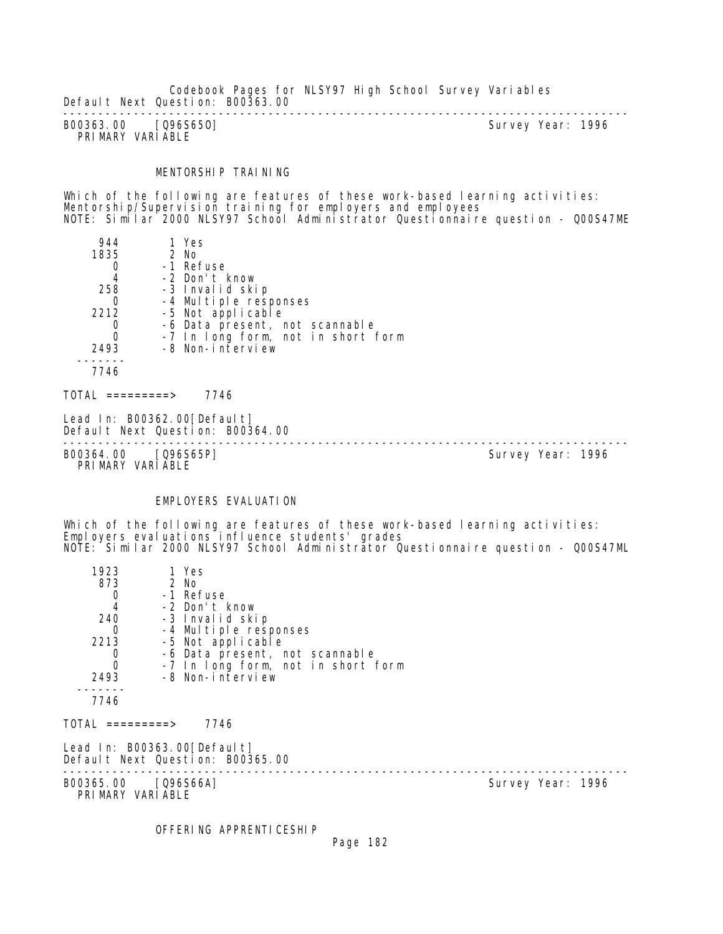Codebook Pages for NLSY97 High School Survey Variables Default Next Question: B00363.00

-------------------------------------------------------------------------------- B00363.00 [Q96S650] PRIMARY VARIABLE

#### MENTORSHIP TRAINING

Which of the following are features of these work-based learning activities: Mentorship/Supervision training for employers and employees NOTE: Similar 2000 NLSY97 School Administrator Questionnaire question - Q00S47ME

| 944              | 1 Yes                                                           |  |
|------------------|-----------------------------------------------------------------|--|
| 1835             | 2 No                                                            |  |
| 0                | -1 Refuse                                                       |  |
| 4                | -2 Don't know                                                   |  |
| 258              | -3 Invalid skip                                                 |  |
| 0                | -4 Multiple responses                                           |  |
| 2212             | -5 Not applicable                                               |  |
| 0                | -6 Data present, not scannable                                  |  |
| $\mathbf 0$      | -7 In long form, not in short form                              |  |
| 2493             | -8 Non-interview                                                |  |
|                  |                                                                 |  |
| 7746             |                                                                 |  |
| TOTAL =========> | 7746                                                            |  |
|                  | Lead In: B00362.00[Default]<br>Default Next Question: B00364.00 |  |

B00364.00 [Q96S65P] Survey Year: 1996 PRIMARY VARIABLE

--------------------------------------------------------------------------------

#### EMPLOYERS EVALUATION

Which of the following are features of these work-based learning activities: Employers evaluations influence students' grades NOTE: Similar 2000 NLSY97 School Administrator Questionnaire question - Q00S47ML

| 1923                                    | 1 Yes                                                           |                                    |  |
|-----------------------------------------|-----------------------------------------------------------------|------------------------------------|--|
| 873                                     | 2 No                                                            |                                    |  |
| 0                                       | -1 Refuse                                                       |                                    |  |
| $\overline{4}$                          | -2 Don't know                                                   |                                    |  |
| 240                                     | -3 Invalid skip                                                 |                                    |  |
| 0                                       | -4 Multiple responses                                           |                                    |  |
| 2213                                    | -5 Not applicable                                               |                                    |  |
| 0                                       |                                                                 | -6 Data present, not scannable     |  |
| $\overline{0}$                          |                                                                 | -7 In long form, not in short form |  |
| 2493                                    | -8 Non-interview                                                |                                    |  |
| 7746                                    |                                                                 |                                    |  |
|                                         |                                                                 |                                    |  |
| TOTAL =========>                        | 7746                                                            |                                    |  |
|                                         | Lead In: B00363.00[Default]<br>Default Next Question: B00365.00 |                                    |  |
| B00365.00 [Q96S66A]<br>PRIMARY VARIABLE |                                                                 | Survey Year: 1996                  |  |

OFFERING APPRENTICESHIP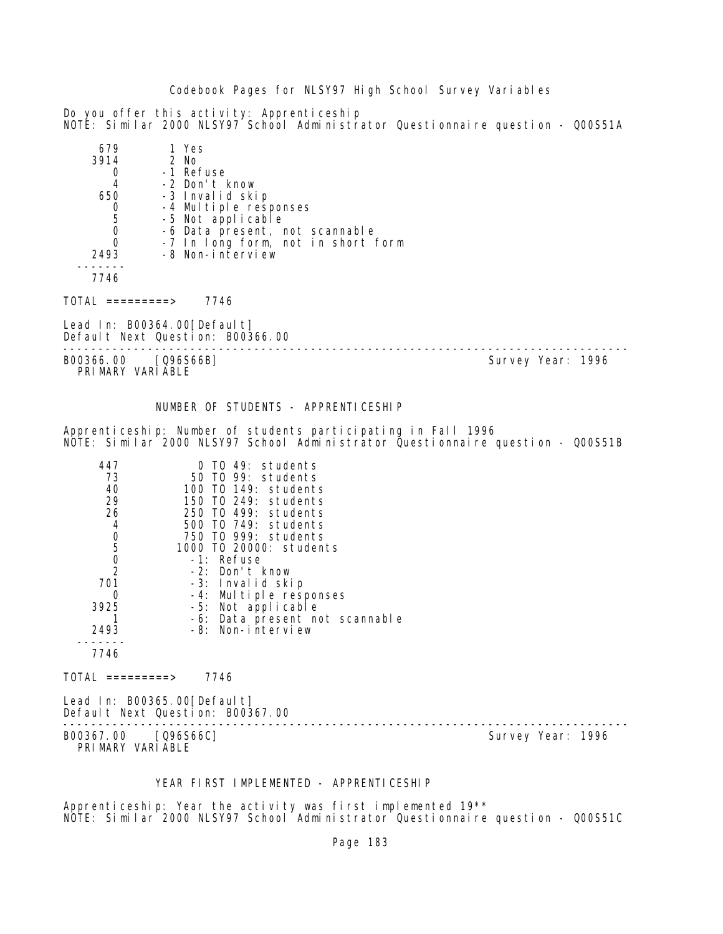Do you offer this activity: Apprenticeship NOTE: Similar 2000 NLSY97 School Administrator Questionnaire question - Q00S51A

| 679  | 1 Yes                              |
|------|------------------------------------|
| 3914 | 2 No                               |
|      | -1 Refuse                          |
| 4    | -2 Don't know                      |
| 650  | -3 Invalid skip                    |
|      | -4 Multiple responses              |
| 5    | -5 Not applicable                  |
|      | -6 Data present, not scannable     |
|      | -7 In long form, not in short form |
| 2493 | -8 Non-interview                   |
|      |                                    |
| 7746 |                                    |

TOTAL =========> 7746

Lead In: B00364.00 [Default] Default Next Question: B00366.00 --------------------------------------------------------------------------------

B00366.00 [Q96S66B] Survey Year: 1996 PRIMARY VARIABLE

# NUMBER OF STUDENTS - APPRENTICESHIP

Apprenticeship: Number of students participating in Fall 1996 NOTE: Similar 2000 NLSY97 School Administrator Questionnaire question - Q00S51B

| 447           | TO 49: students                |
|---------------|--------------------------------|
| 73            | 50 TO 99: students             |
| 40            | 100 TO 149: students           |
| 29            | 150 TO 249: students           |
| 26            | 250 TO 499: students           |
| 4             | 500 TO 749: students           |
| 0             | 750 TO 999: students           |
| 5             | 1000 TO 20000: students        |
| $\mathbf 0$   | -1: Refuse                     |
| $\mathcal{P}$ | -2: Don't know                 |
| 701           | -3: Invalid skip               |
| 0             | -4: Multiple responses         |
| 3925          | -5: Not applicable             |
|               | -6: Data present not scannable |
| 2493          | -8: Non-interview              |
|               |                                |
| 7746          |                                |

 $TOTAL$  ========> 7746

Lead In: B00365.00[Default] Default Next Question: B00367.00

--------------------------------------------------------------------------------

PRIMARY VARIABLE

B00367.00 [Q96S66C] Survey Year: 1996

YEAR FIRST IMPLEMENTED - APPRENTICESHIP

Apprenticeship: Year the activity was first implemented 19\*\* NOTE: Similar 2000 NLSY97 School Administrator Questionnaire question - Q00S51C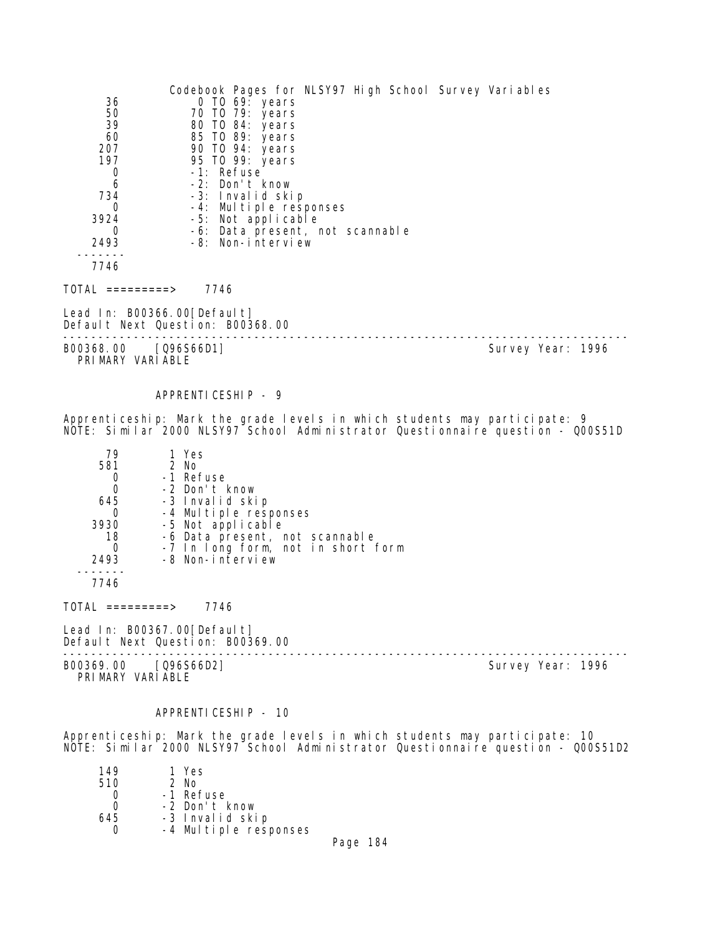|                                          | Codebook Pages for NLSY97 High School Survey Variables |                   |  |
|------------------------------------------|--------------------------------------------------------|-------------------|--|
| 36                                       | 0 TO 69: years                                         |                   |  |
| 50                                       | 70 TO 79: years                                        |                   |  |
| 39                                       | 80 TO 84: years                                        |                   |  |
| 60                                       | 85 TO 89: years                                        |                   |  |
| 207                                      | 90 TO 94: years                                        |                   |  |
| 197                                      | 95 TO 99: years                                        |                   |  |
| 0                                        | -1: Refuse                                             |                   |  |
| 6                                        | -2: Don't know                                         |                   |  |
| 734<br>0                                 | -3: Invalid skip<br>-4: Multiple responses             |                   |  |
| 3924                                     | -5: Not applicable                                     |                   |  |
| 0                                        | -6: Data present, not scannable                        |                   |  |
| 2493                                     | -8: Non-interview                                      |                   |  |
|                                          |                                                        |                   |  |
| 7746                                     |                                                        |                   |  |
| TOTAL =========>                         | 7746                                                   |                   |  |
| Lead In: B00366.00[Default]              | Default Next Question: B00368.00                       |                   |  |
| B00368.00 [Q96S66D1]<br>PRIMARY VARIABLE |                                                        | Survey Year: 1996 |  |

APPRENTICESHIP - 9

Apprenticeship: Mark the grade levels in which students may participate: 9 NOTE: Similar 2000 NLSY97 School Administrator Questionnaire question - Q00S51D

| 79   | 1 Yes                              |
|------|------------------------------------|
| 581  | $2$ No                             |
|      | -1 Refuse                          |
| 0    | -2 Don't know                      |
| 645  | -3 Invalid skip                    |
| O    | -4 Multiple responses              |
| 3930 | -5 Not applicable                  |
| 18   | -6 Data present, not scannable     |
| 0    | -7 In long form, not in short form |
| 2493 | -8 Non-interview                   |
|      |                                    |
|      |                                    |

 $TOTAL$  =========> 7746

Lead In: B00367.00[Default]

Default Next Question: B00369.00

B00369.00 [Q96S66D2] Survey Year: 1996 PRIMARY VARIABLE

--------------------------------------------------------------------------------

## APPRENTICESHIP - 10

Apprenticeship: Mark the grade levels in which students may participate: 10 NOTE: Similar 2000 NLSY97 School Administrator Questionnaire question - Q00S51D2

| 149 | 1 Yes                 |  |
|-----|-----------------------|--|
| 510 | $2$ No                |  |
|     | -1 Refuse             |  |
| Ω   | -2 Don't know         |  |
| 645 | -3 Invalid skip       |  |
|     | -4 Multiple responses |  |
|     |                       |  |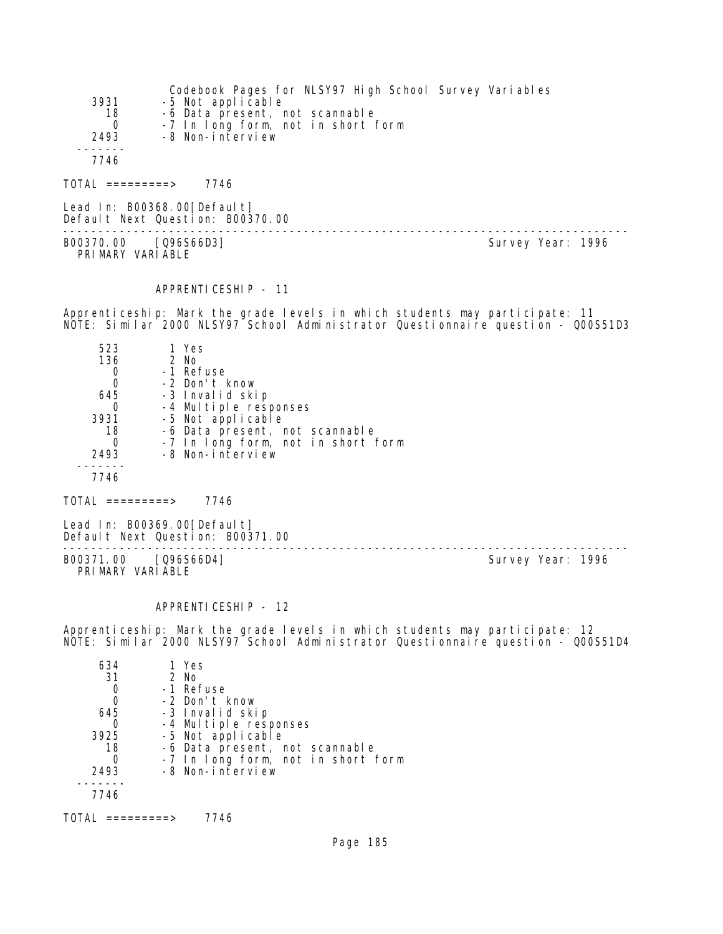| 3931<br>18       | Codebook Pages for NLSY97 High School Survey Variables<br>-5 Not applicable<br>-6 Data present, not scannable |
|------------------|---------------------------------------------------------------------------------------------------------------|
| $\Omega$<br>2493 | -7 In long form, not in short form<br>-8 Non-interview                                                        |
| 7746             |                                                                                                               |
| TOTAL =========> | 7746                                                                                                          |

Lead In: B00368.00[Default] Default Next Question: B00370.00 -------------------------------------------------------------------------------- B00370.00 [Q96S66D3] Survey Year: 1996 PRIMARY VARIABLE

## APPRENTICESHIP - 11

Apprenticeship: Mark the grade levels in which students may participate: 11 NOTE: Similar 2000 NLSY97 School Administrator Questionnaire question - Q00S51D3

| 523  | 1 Yes                              |
|------|------------------------------------|
| 136  | 2 No                               |
|      | -1 Refuse                          |
| 0    | -2 Don't know                      |
| 645  | -3 Invalid skip                    |
| Ω    | -4 Multiple responses              |
| 3931 | -5 Not applicable                  |
| 18   | -6 Data present, not scannable     |
| Ω    | -7 In long form, not in short form |
| 2493 | -8 Non-interview                   |
|      |                                    |
| 7746 |                                    |

 $TOTAL$  ========> 7746

Lead In: B00369.00[Default] Default Next Question: B00371.00

-------------------------------------------------------------------------------- B00371.00 [Q96S66D4] Survey Year: 1996 PRIMARY VARIABLE

#### APPRENTICESHIP - 12

Apprenticeship: Mark the grade levels in which students may participate: 12 NOTE: Similar 2000 NLSY97 School Administrator Questionnaire question - Q00S51D4

| 634  | 1 Yes                              |
|------|------------------------------------|
| 31   | 2 No                               |
|      | -1 Refuse                          |
| 0    | -2 Don't know                      |
| 645  | -3 Invalid skip                    |
|      | -4 Multiple responses              |
| 3925 | -5 Not applicable                  |
| 18   | -6 Data present, not scannable     |
|      | -7 In long form, not in short form |
| 2493 | -8 Non-interview                   |
|      |                                    |
| 7746 |                                    |
|      |                                    |

TOTAL =========> 7746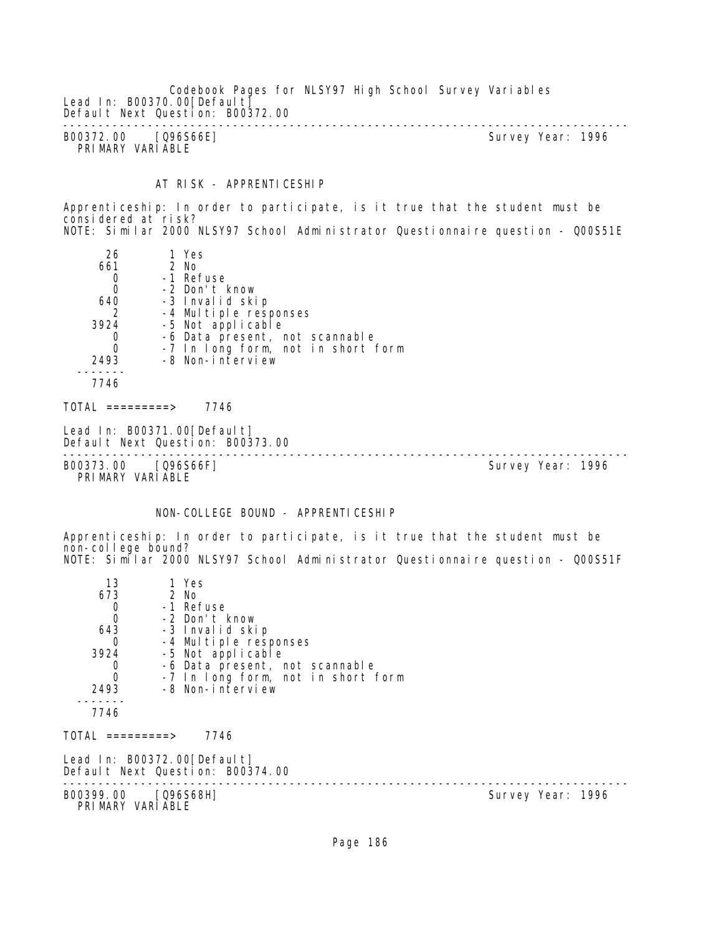Codebook Pages for NLSY97 High School Survey Variables Lead In: B00370.00 [Default] Default Next Question: B00372.00 -------------------------------------------------------------------------------- B00372.00 [Q96S66E] Survey Year: 1996 PRIMARY VARIABLE

# AT RISK - APPRENTICESHIP

Apprenticeship: In order to participate, is it true that the student must be considered at risk? NOTE: Similar 2000 NLSY97 School Administrator Questionnaire question - Q00S51E

| 26<br>661<br>0<br>0<br>640<br>2<br>3924<br>0<br>$\Omega$<br>2493 | 1 Yes<br>2 No<br>-1 Refuse<br>-2 Don't know<br>-3 Invalid skip<br>-4 Multiple responses<br>-5 Not applicable<br>-6 Data present, not scannable<br>-7 In long form, not in short form<br>-8 Non-interview |  |
|------------------------------------------------------------------|----------------------------------------------------------------------------------------------------------------------------------------------------------------------------------------------------------|--|
| 7746                                                             |                                                                                                                                                                                                          |  |

TOTAL =========> 7746

```
Lead In: B00371.00 [Default]
Default Next Question: B00373.00
```
-------------------------------------------------------------------------------- B00373.00 [Q96S66F]

PRIMARY VARIABLE

# NON-COLLEGE BOUND - APPRENTICESHIP

Apprenticeship: In order to participate, is it true that the student must be non-college bound? NOTE: Similar 2000 NLSY97 School Administrator Questionnaire question - Q00S51F

| 13                               | 1 Yes                                                            |                   |
|----------------------------------|------------------------------------------------------------------|-------------------|
| 673                              | 2 No                                                             |                   |
| $\begin{matrix}0\\0\end{matrix}$ | -1 Refuse                                                        |                   |
|                                  | -2 Don't know                                                    |                   |
| 643                              | -3 Invalid skip                                                  |                   |
| $\Omega$                         | -4 Multiple responses                                            |                   |
| 3924                             | -5 Not applicable                                                |                   |
| 0                                | -6 Data present, not scannable                                   |                   |
| $\mathbf 0$                      | -7 In long form, not in short form                               |                   |
| 2493                             | -8 Non-interview                                                 |                   |
|                                  |                                                                  |                   |
| 7746                             |                                                                  |                   |
| $\text{TOTAL}$ =========>        | 7746                                                             |                   |
|                                  | Lead In: B00372.00 [Default]<br>Default Next Question: B00374.00 |                   |
|                                  | B00399.00 [Q96S68H]<br>PRIMARY VARIABLE                          | Survey Year: 1996 |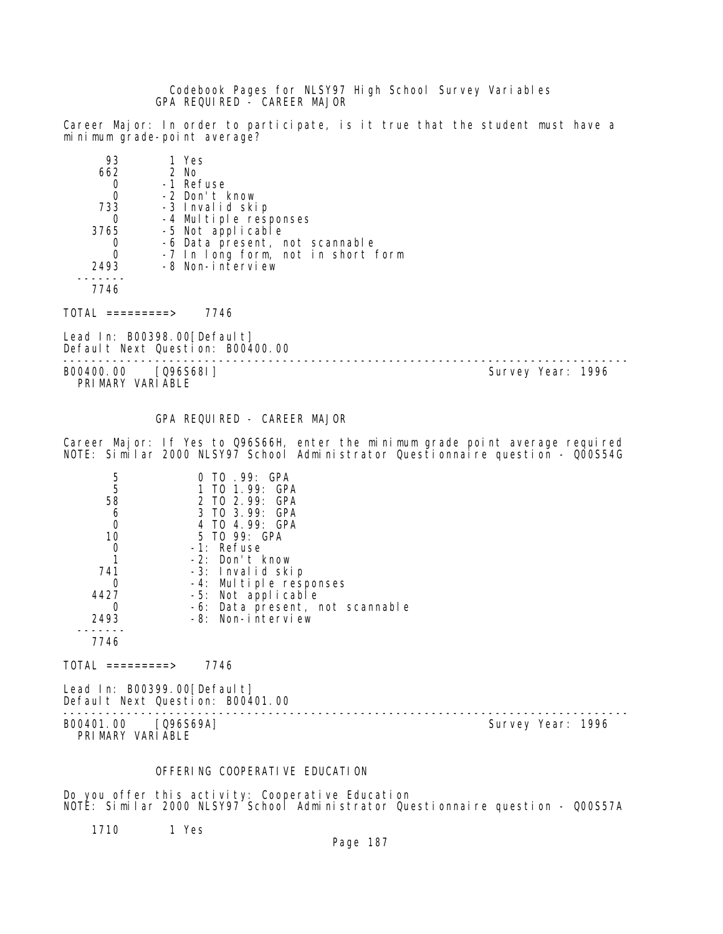Codebook Pages for NLSY97 High School Survey Variables GPA REQUIRED - CAREER MAJOR

Career Major: In order to participate, is it true that the student must have a minimum grade-point average?

| 93   | 1 Yes                              |
|------|------------------------------------|
| 662  | 2 No                               |
|      | -1 Refuse                          |
| 0    | -2 Don't know                      |
| 733  | -3 Invalid skip                    |
|      | -4 Multiple responses              |
| 3765 | -5 Not applicable                  |
|      | -6 Data present, not scannable     |
| 0    | -7 In long form, not in short form |
| 2493 | -8 Non-interview                   |
|      |                                    |
|      |                                    |

 $TOTAL$  =========> 7746

Lead In: B00398.00[Default] Default Next Question: B00400.00

B00400.00 [Q96S68I] PRIMARY VARIABLE

--------------------------------------------------------------------------------

GPA REQUIRED - CAREER MAJOR

Career Major: If Yes to Q96S66H, enter the minimum grade point average required NOTE: Similar 2000 NLSY97 School Administrator Questionnaire question - Q00S54G

| 5    | TO .99: GPA                     |
|------|---------------------------------|
| 5    | 1 TO 1.99: GPA                  |
| 58   | 2 TO 2.99: GPA                  |
| 6    | 3 TO 3.99: GPA                  |
| 0    | 4 TO 4.99: GPA                  |
| 10   | 5 TO 99: GPA                    |
|      | -1: Refuse                      |
|      | -2: Don't know                  |
| 741  | -3: Invalid skip                |
|      | -4: Multiple responses          |
| 4427 | -5: Not applicable              |
|      | -6: Data present, not scannable |
| 2493 | -8: Non-interview               |
|      |                                 |
| 7746 |                                 |

 $TOTAL$  =========> 7746

Lead In: B00399.00[Default] Default Next Question: B00401.00

B00401.00 [Q96S69A]

PRIMARY VARIABLE

--------------------------------------------------------------------------------

# OFFERING COOPERATIVE EDUCATION

Do you offer this activity: Cooperative Education NOTE: Similar 2000 NLSY97 School Administrator Questionnaire question - Q00S57A

1710 1 Yes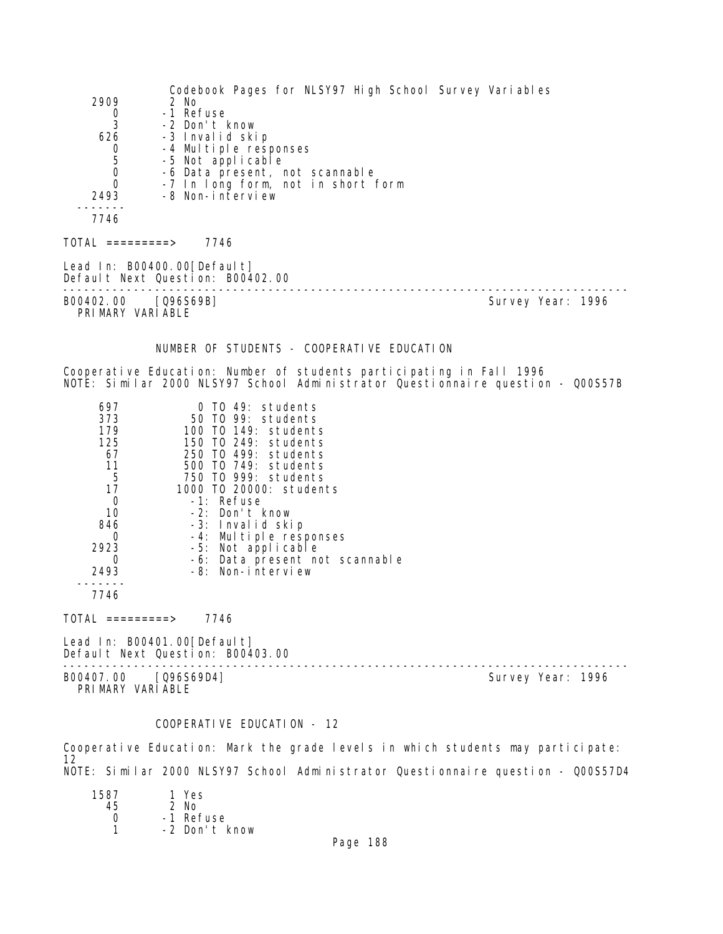Codebook Pages for NLSY97 High School Survey Variables 2909 2 No 0 -1 Refuse<br>3 -2 Don't 3 -2 Don't know 626 -3 Invalid skip 0 -4 Multiple responses 5 -5 Not applicable<br>0 -6 Data present 0 -6 Data present, not scannable<br>0 -7 In Long form, not in short 0 -7 In long form, not in short form<br>2493 -8 Non-interview -8 Non-interview ------- 7746  $TOTAL$  ========> 7746 Lead In: B00400.00 [Default] Default Next Question: B00402.00 -------------------------------------------------------------------------------- Survey Year: 1996 PRIMARY VARIABLE NUMBER OF STUDENTS - COOPERATIVE EDUCATION Cooperative Education: Number of students participating in Fall 1996 NOTE: Similar 2000 NLSY97 School Administrator Questionnaire question - Q00S57B 697 0 TO 49: students 373 50 TO 99: students 179 100 TO 149: students 125 150 TO 249: students 67 250 TO 499: students 11 500 TO 749: students 5 750 TO 999: students 17 1000 TO 20000: students 0 -1: Refuse 10 -2: Don't know 846 -3: Invalid skip 0 -4: Multiple responses 2923 -5: Not applicable 0 -6: Data present not scannable 2493 -8: Non-interview ------- 7746  $TOTAL$  ========> 7746 Lead In: B00401.00[Default] Default Next Question: B00403.00 -------------------------------------------------------------------------------- Survey Year: 1996 PRIMARY VARIABLE

## COOPERATIVE EDUCATION - 12

Cooperative Education: Mark the grade levels in which students may participate: 12 NOTE: Similar 2000 NLSY97 School Administrator Questionnaire question - Q00S57D4

| 1 Yes         |
|---------------|
| $2$ No        |
| -1 Refuse     |
| -2 Don't know |
|               |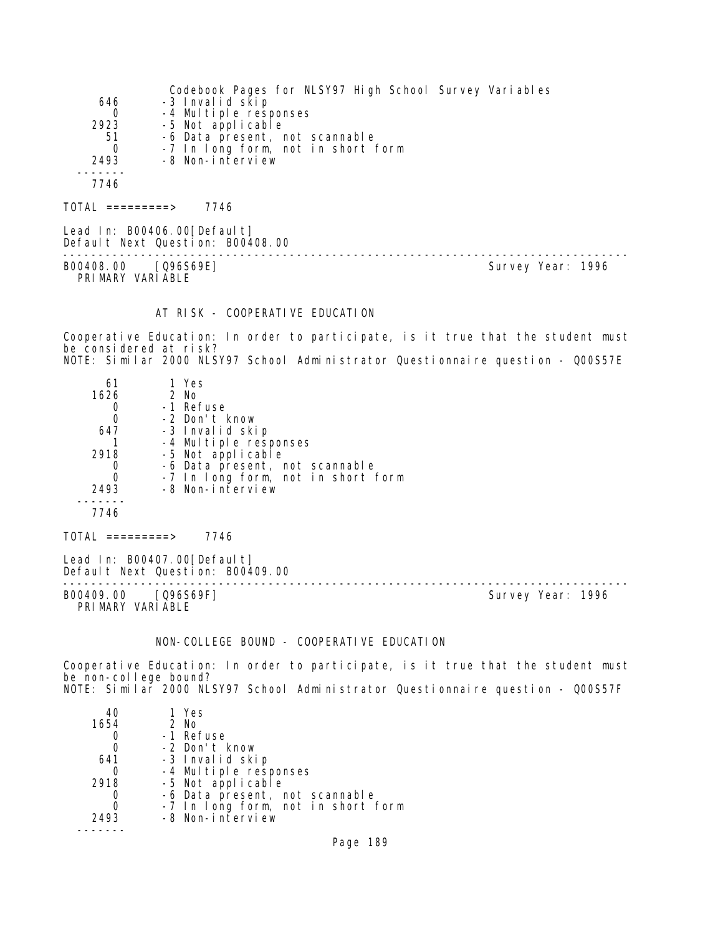|          | Codebook Pages for NLSY97 High School Survey Variables |
|----------|--------------------------------------------------------|
| 646      | -3 Invalid skip                                        |
| $\Omega$ | -4 Multiple responses                                  |
| 2923     | -5 Not applicable                                      |
| 51       | -6 Data present, not scannable                         |
| $\Omega$ | -7 In long form, not in short form                     |
| 2493     | -8 Non-interview                                       |
|          |                                                        |
| 7746     |                                                        |
|          |                                                        |

TOTAL =========> 7746

Lead In: B00406.00[Default] Default Next Question: B00408.00 -------------------------------------------------------------------------------- B00408.00 [Q96S69E] Survey Year: 1996 PRIMARY VARIABLE

## AT RISK - COOPERATIVE EDUCATION

Cooperative Education: In order to participate, is it true that the student must be considered at risk? NOTE: Similar 2000 NLSY97 School Administrator Questionnaire question - Q00S57E

| 61<br>1626<br>647<br>2918<br>2493 | 1 Yes<br>$2$ No<br>-1 Refuse<br>-2 Don't know<br>-3 Invalid skip<br>-4 Multiple responses<br>-5 Not applicable<br>-6 Data present, not scannable<br>-7 In long form, not in short form<br>-8 Non-interview |
|-----------------------------------|------------------------------------------------------------------------------------------------------------------------------------------------------------------------------------------------------------|
| 7746                              |                                                                                                                                                                                                            |
|                                   |                                                                                                                                                                                                            |

Lead In: B00407.00 [Default] Default Next Question: B00409.00

-------------------------------------------------------------------------------- B00409.00 [Q96S69F]

 $TOTAL$  =========> 7746

PRIMARY VARIABLE

### NON-COLLEGE BOUND - COOPERATIVE EDUCATION

Cooperative Education: In order to participate, is it true that the student must be non-college bound? NOTE: Similar 2000 NLSY97 School Administrator Questionnaire question - Q00S57F

| 40   | 1 Yes                              |
|------|------------------------------------|
| 1654 | 2 No                               |
|      | -1 Refuse                          |
|      | -2 Don't know                      |
| 641  | -3 Invalid skip                    |
|      | -4 Multiple responses              |
| 2918 | -5 Not applicable                  |
|      | -6 Data present, not scannable     |
|      | -7 In long form, not in short form |
| 2493 | -8 Non-interview                   |
|      |                                    |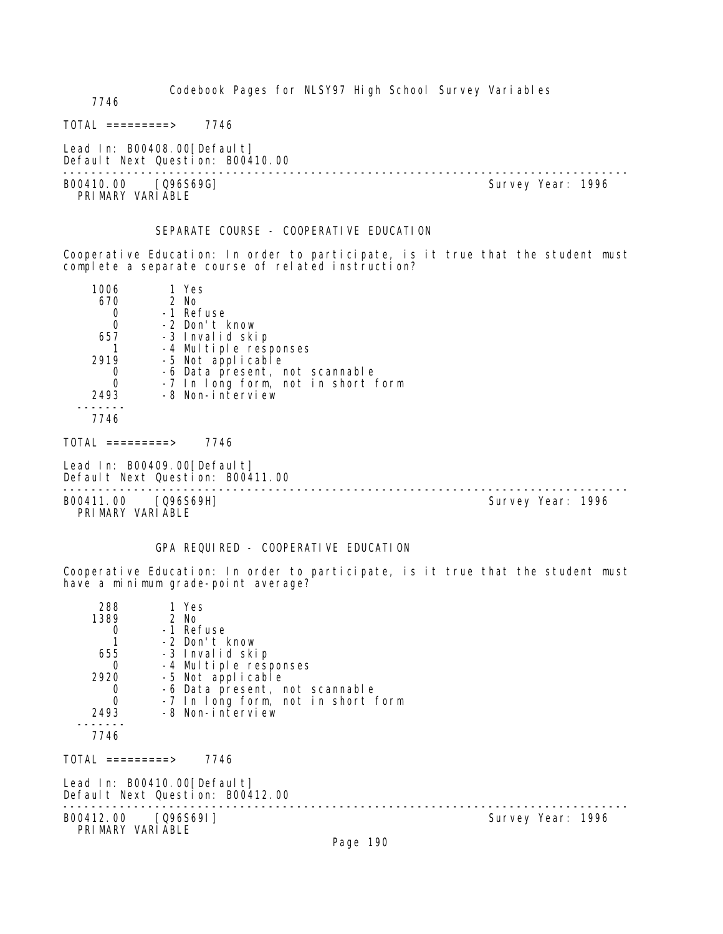Codebook Pages for NLSY97 High School Survey Variables 7746  $TOTAL$  ========> 7746 Lead In: B00408.00 [Default] Default Next Question: B00410.00 -------------------------------------------------------------------------------- Survey Year: 1996 PRI MARY VARI ABLE SEPARATE COURSE - COOPERATIVE EDUCATION Cooperative Education: In order to participate, is it true that the student must complete a separate course of related instruction? 1006 1 Yes 670 2 No 0 -1 Refuse<br>0 -2 Don't H 0 -2 Don't know<br>657 -3 Invalid ski -3 Invalid skip 1 -4 Multiple responses 2919 -5 Not applicable 0 -6 Data present, not scannable 0 -7 In long form, not in short form 2493 -8 Non-interview ------- 7746  $TOTAL$  =========> 7746 Lead In: B00409.00 [Default] Default Next Question: B00411.00 -------------------------------------------------------------------------------- B00411.00 [Q96S69H] PRIMARY VARIABLE GPA REQUIRED - COOPERATIVE EDUCATION Cooperative Education: In order to participate, is it true that the student must have a minimum grade-point average? 288 1 Yes 39 2 No<br>0 -1 Re1 0 -1 Refuse<br>1 -2 Don't k 1 -2 Don't know 655 -3 Invalid skip 0 -4 Multiple responses 2920 -5 Not applicable 0 -6 Data present, not scannable<br>0 -7 In Iong form, not in short 1 0 -7 In long form, not in short form<br>2493 -8 Non-interview -8 Non-interview ------- 7746 TOTAL =========> 7746 Lead In: B00410.00 [Default] Default Next Question: B00412.00 -------------------------------------------------------------------------------- B00412.00 [Q96S69I] PRIMARY VARIABLE Page 190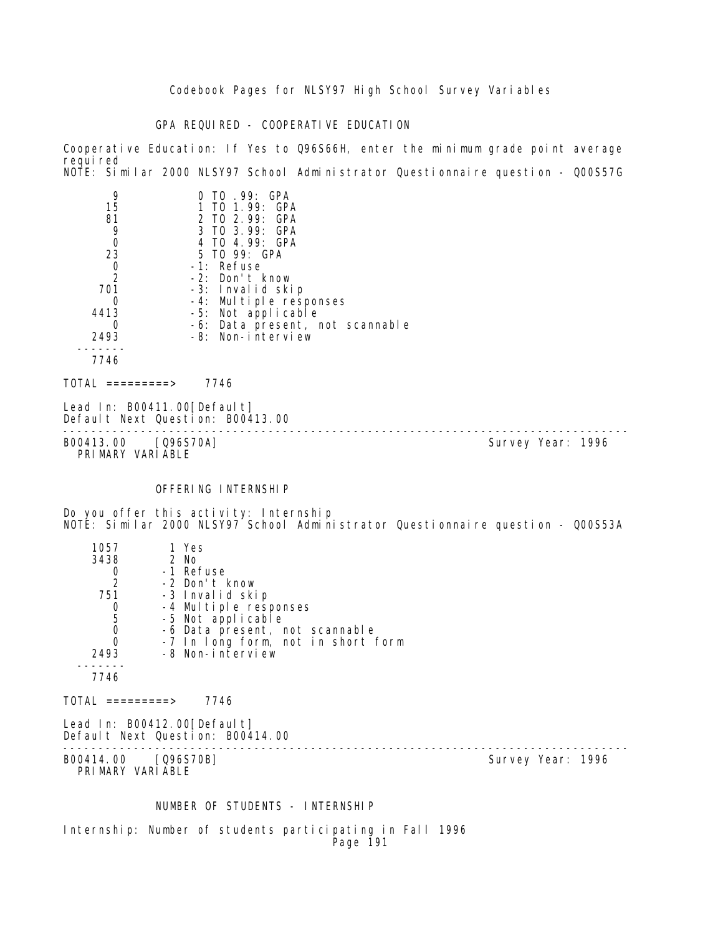## GPA REQUIRED - COOPERATIVE EDUCATION

Cooperative Education: If Yes to Q96S66H, enter the minimum grade point average requi red NOTE: Similar 2000 NLSY97 School Administrator Questionnaire question - Q00S57G

| 9<br>15<br>81<br>9<br>0<br>23<br>0<br>$\mathcal{P}$<br>701<br>0 | TO 99: GPA<br>1 TO 1.99: GPA<br>2 TO 2.99: GPA<br>3 TO 3.99: GPA<br>4 TO 4.99: GPA<br>5 TO 99: GPA<br>$-1$ : Refuse<br>$-2$ : Don't know<br>-3: Invalid skip<br>-4: Multiple responses |
|-----------------------------------------------------------------|----------------------------------------------------------------------------------------------------------------------------------------------------------------------------------------|
| 4413                                                            | -5: Not applicable                                                                                                                                                                     |
| O<br>2493                                                       | -6: Data present, not scannable<br>-8: Non-interview                                                                                                                                   |
| 7746                                                            |                                                                                                                                                                                        |
| =========>                                                      | 7746                                                                                                                                                                                   |

Lead In: B00411.00 [Default] Default Next Question: B00413.00

-------------------------------------------------------------------------------- B00413.00 [Q96S70A] Survey Year: 1996 PRIMARY VARIABLE

### OFFERING INTERNSHIP

Do you offer this activity: Internship NOTE: Similar 2000 NLSY97 School Administrator Questionnaire question - Q00S53A

| 1057                                            | 1 Yes                                                           |                   |  |
|-------------------------------------------------|-----------------------------------------------------------------|-------------------|--|
| 3438                                            | 2 No                                                            |                   |  |
| $\frac{0}{2}$                                   | -1 Refuse                                                       |                   |  |
|                                                 | -2 Don't know                                                   |                   |  |
| 751                                             | -3 Invalid skip                                                 |                   |  |
|                                                 | -4 Multiple responses                                           |                   |  |
| $\begin{array}{c} 0 \\ 5 \\ 0 \\ 0 \end{array}$ | -5 Not applicable                                               |                   |  |
|                                                 | -6 Data present, not scannable                                  |                   |  |
|                                                 | -7 In long form, not in short form                              |                   |  |
| 2493                                            | -8 Non-interview                                                |                   |  |
|                                                 |                                                                 |                   |  |
| 7746                                            |                                                                 |                   |  |
| TOTAL =========>                                | 7746                                                            |                   |  |
|                                                 | Lead In: B00412.00[Default]<br>Default Next Question: B00414.00 |                   |  |
| B00414.00 [Q96S70B]<br>PRIMARY VARIABLE         |                                                                 | Survey Year: 1996 |  |

### NUMBER OF STUDENTS - INTERNSHIP

Internship: Number of students participating in Fall 1996 Page 191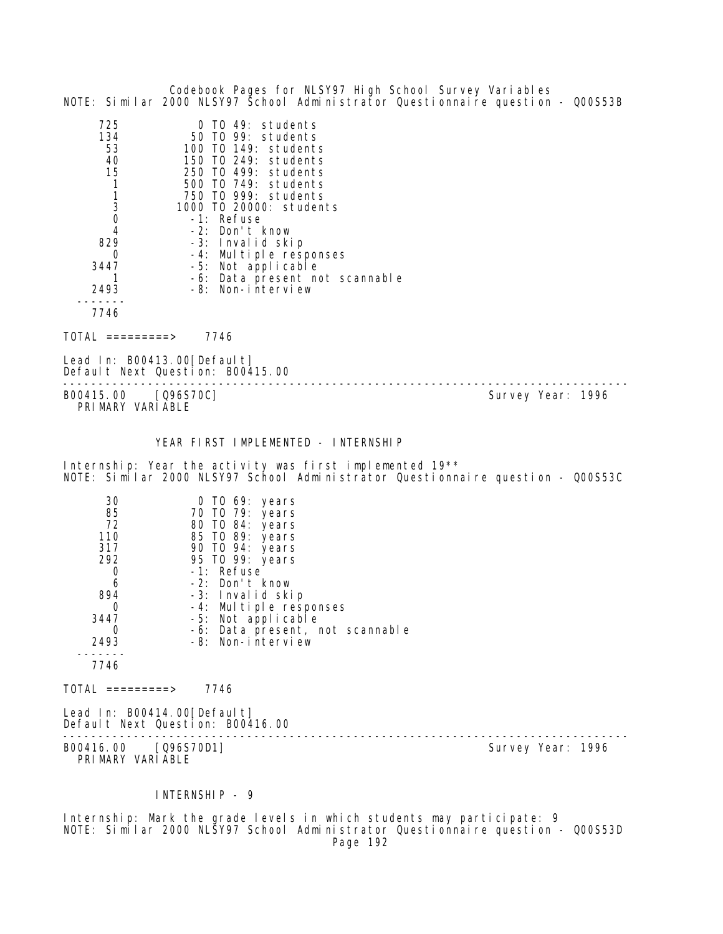| Codebook Pages for NLSY97 High School Survey Variables<br>NOTE: Similar 2000 NLSY97 School Administrator Questionnaire question - Q00S53B                                                                                                                                                                                                                                                                                                                          |                   |
|--------------------------------------------------------------------------------------------------------------------------------------------------------------------------------------------------------------------------------------------------------------------------------------------------------------------------------------------------------------------------------------------------------------------------------------------------------------------|-------------------|
| 725<br>0 TO 49: students<br>134<br>50 TO 99: students<br>53<br>100 T0 149: students<br>150 TO 249: students<br>40<br>15<br>250 TO 499: students<br>$\mathbf{1}$<br>500 TO 749: students<br>1<br>750 TO 999: students<br>3<br>1000 T0 20000: students<br>0<br>-1: Refuse<br>-2: Don't know<br>4<br>829<br>-3: Invalid skip<br>0<br>-4: Multiple responses<br>3447<br>-5: Not applicable<br>-6: Data present not scannable<br>Τ<br>-8: Non-interview<br>2493<br>7746 |                   |
| $\overline{\text{TOTAL}}$ =========><br>7746                                                                                                                                                                                                                                                                                                                                                                                                                       |                   |
| Lead In: B00413.00 [Default]<br>Default Next Question: B00415.00                                                                                                                                                                                                                                                                                                                                                                                                   |                   |
| B00415.00<br>[Q96S70C]<br>PRIMARY VARIABLE                                                                                                                                                                                                                                                                                                                                                                                                                         | Survey Year: 1996 |
| YEAR FIRST IMPLEMENTED - INTERNSHIP                                                                                                                                                                                                                                                                                                                                                                                                                                |                   |
| Internship: Year the activity was first implemented 19 <sup>**</sup><br>NOTE: Similar 2000 NLSY97 School Administrator Questionnaire question - Q00S53C                                                                                                                                                                                                                                                                                                            |                   |
| 30<br>0 TO 69: years<br>85<br>70 T0 79: years<br>72<br>80 TO 84: years<br>110<br>85 TO 89: years<br>317<br>90 TO 94: years<br>292<br>95 TO 99: years<br>-1: Refuse<br>0<br>-2: Don't know<br>6<br>894<br>-3: Invalid skip<br>-4: Multiple responses<br>$\overline{0}$<br>3447<br>-5: Not applicable<br>-6: Data present, not scannable<br>0<br>2493<br>-8: Non-interview<br>7746                                                                                   |                   |
| $\text{TOTAL}$ =========> 7746                                                                                                                                                                                                                                                                                                                                                                                                                                     |                   |
| Lead In: B00414.00 [Default]<br>Default Next Question: B00416.00<br>-------------------------                                                                                                                                                                                                                                                                                                                                                                      |                   |
| B00416.00 [Q96S70D1]<br>PRIMARY VARIABLE                                                                                                                                                                                                                                                                                                                                                                                                                           | Survey Year: 1996 |
| INTERNSHIP - 9                                                                                                                                                                                                                                                                                                                                                                                                                                                     |                   |

Internship: Mark the grade levels in which students may participate: 9 NOTE: Similar 2000 NLSY97 School Administrator Questionnaire question - Q00S53D Page 192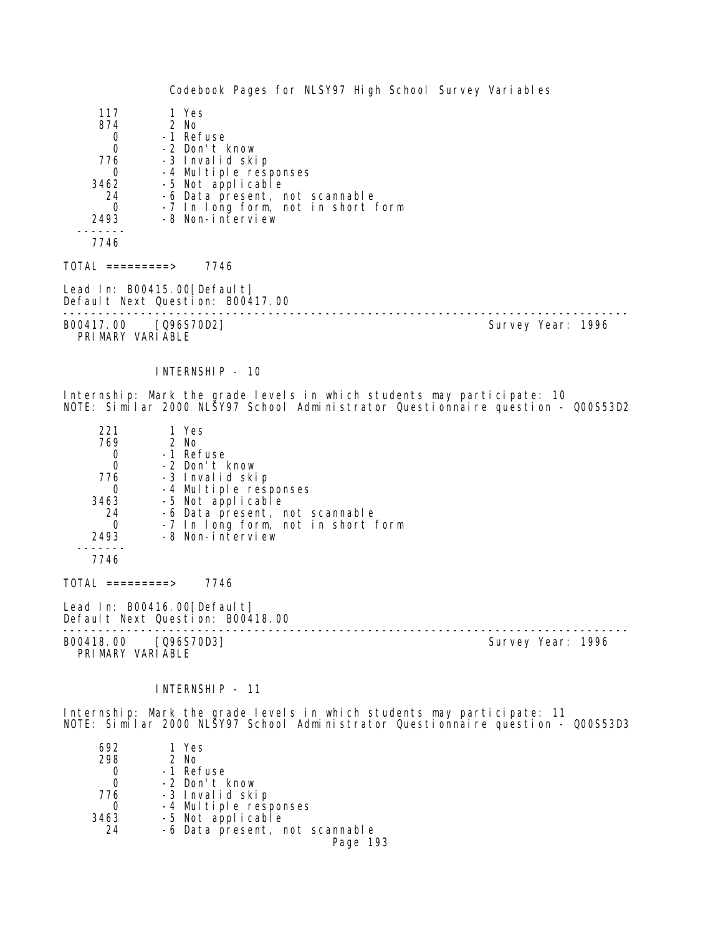| 117    | 1 Yes                              |  |
|--------|------------------------------------|--|
| 874    | 2 No                               |  |
| 0      | -1 Refuse                          |  |
| 0      | -2 Don't know                      |  |
| 776    | -3 Invalid skip                    |  |
| 0      | -4 Multiple responses              |  |
| 3462   | -5 Not applicable                  |  |
| 24     | -6 Data present, not scannable     |  |
| 0      | -7 In long form, not in short form |  |
| 2493   | -8 Non-interview                   |  |
|        |                                    |  |
| 7746   |                                    |  |
| TO1 AL | 7746<br>$=========>)$              |  |

Lead In: B00415.00 [Default] Default Next Question: B00417.00

B00417.00 [Q96S70D2] PRIMARY VARIABLE

--------------------------------------------------------------------------------

INTERNSHIP - 10

Internship: Mark the grade levels in which students may participate: 10 NOTE: Similar 2000 NLSY97 School Administrator Questionnaire question - Q00S53D2

| 221      | 1 Yes                              |
|----------|------------------------------------|
| 769      | 2 No                               |
|          | -1 Refuse                          |
| 0        | -2 Don't know                      |
| 776      | -3 Invalid skip                    |
|          | -4 Multiple responses              |
| 3463     | -5 Not applicable                  |
| 24       | -6 Data present, not scannable     |
| $\Omega$ | -7 In long form, not in short form |
| 2493     | -8 Non-interview                   |
|          |                                    |

7746

 $TOTAL$  =========> 7746

Lead In: B00416.00 [Default] Default Next Question: B00418.00

B00418.00 [Q96S70D3] PRIMARY VARIABLE

--------------------------------------------------------------------------------

INTERNSHIP - 11

Internship: Mark the grade levels in which students may participate: 11 NOTE: Similar 2000 NLSY97 School Administrator Questionnaire question - Q00S53D3

| 692  | 1 Yes                          |
|------|--------------------------------|
| 298  | 2 No                           |
|      | -1 Refuse                      |
|      | -2 Don't know                  |
| 776  | -3 Invalid skip                |
|      | -4 Multiple responses          |
| 3463 | -5 Not applicable              |
| 24   | -6 Data present, not scannable |
|      | Page 193                       |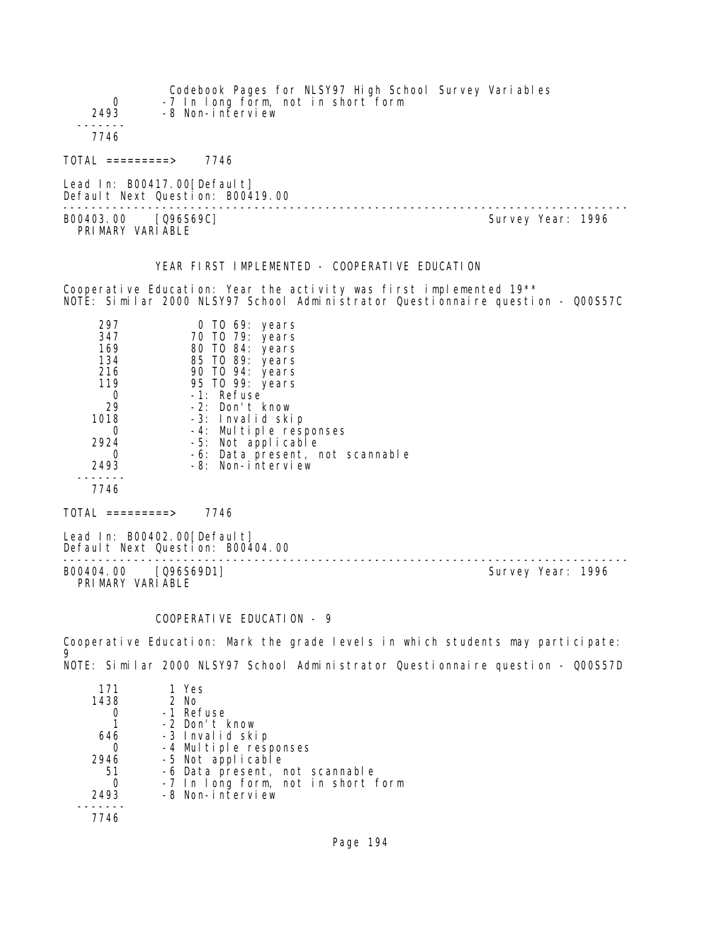| 0<br>2493                                                                                                                   | Codebook Pages for NLSY97 High School Survey Variables<br>-7 In long form, not in short form<br>-8 Non-interview                                                                                                                                                            |                   |  |
|-----------------------------------------------------------------------------------------------------------------------------|-----------------------------------------------------------------------------------------------------------------------------------------------------------------------------------------------------------------------------------------------------------------------------|-------------------|--|
| 7746                                                                                                                        |                                                                                                                                                                                                                                                                             |                   |  |
| $TOTAL$ =========> 7746                                                                                                     |                                                                                                                                                                                                                                                                             |                   |  |
|                                                                                                                             | Lead In: B00417.00 [Default]<br>Default Next Question: B00419.00<br>---------------------------------                                                                                                                                                                       |                   |  |
| B00403.00 [Q96S69C]<br>PRIMARY VARIABLE                                                                                     |                                                                                                                                                                                                                                                                             | Survey Year: 1996 |  |
|                                                                                                                             | YEAR FIRST IMPLEMENTED - COOPERATIVE EDUCATION                                                                                                                                                                                                                              |                   |  |
|                                                                                                                             | Cooperative Education: Year the activity was first implemented $19**$<br>NOTE: Similar 2000 NLSY97 School Administrator Questionnaire question - Q00S57C                                                                                                                    |                   |  |
| 297<br>347<br>169<br>134<br>216<br>119<br>$\mathbf{O}$<br>29<br>1018 70<br>$\overline{0}$<br>2924<br>$\overline{0}$<br>2493 | $0$ TO 69: years<br>70 T0 79: years<br>80 TO 84: years<br>85 TO 89: years<br>90 TO 94: years<br>95 TO 99: years<br>-1: Refuse<br>-2: Don't know<br>-3: Invalid skip<br>-4: Multiple responses<br>-5: Not applicable<br>-6: Data present, not scannable<br>-8: Non-interview |                   |  |
| 7746                                                                                                                        |                                                                                                                                                                                                                                                                             |                   |  |
| $TOTAL$ =========> 7746                                                                                                     |                                                                                                                                                                                                                                                                             |                   |  |
|                                                                                                                             | Lead In: B00402.00 [Default]<br>Default Next Question: B00404.00                                                                                                                                                                                                            |                   |  |

-------------------------------------------------------------------------------- B00404.00 [Q96S69D1] Survey Year: 1996 PRIMARY VARIABLE

# COOPERATIVE EDUCATION - 9

Cooperative Education: Mark the grade levels in which students may participate: 9 NOTE: Similar 2000 NLSY97 School Administrator Questionnaire question - Q00S57D

| 171  | 1 Yes                              |
|------|------------------------------------|
| 1438 | $2$ No                             |
|      | -1 Refuse                          |
|      | -2 Don't know                      |
| 646  | -3 Invalid skip                    |
|      | -4 Multiple responses              |
| 2946 | -5 Not applicable                  |
| 51   | -6 Data present, not scannable     |
|      | -7 In long form, not in short form |
| 2493 | -8 Non-interview                   |
|      |                                    |
| 7746 |                                    |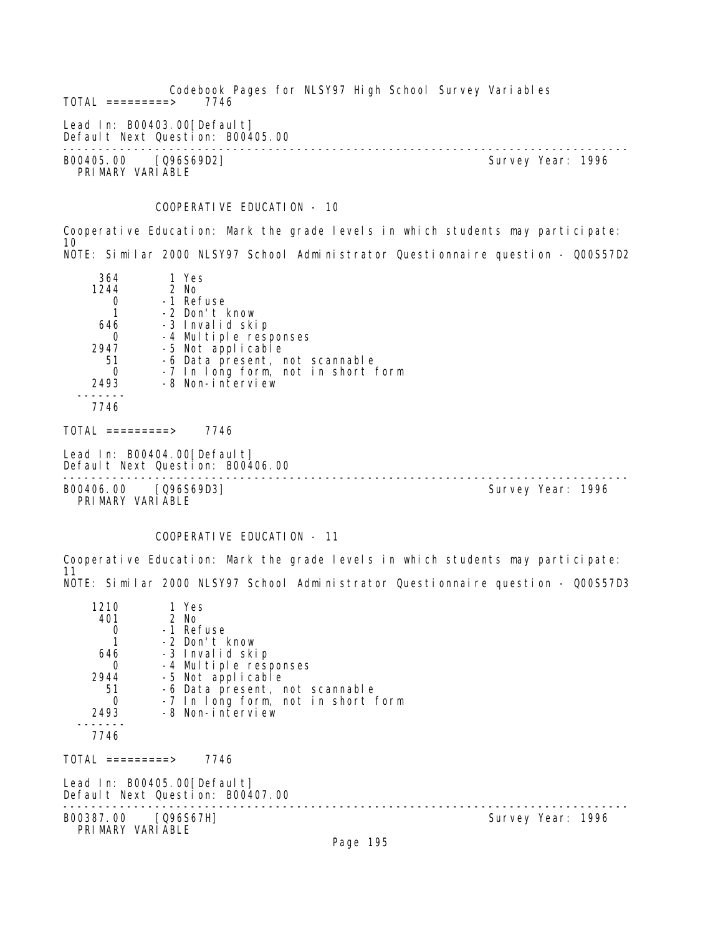Codebook Pages for NLSY97 High School Survey Variables  $TOTAL$  =========> Lead In: B00403.00 [Default] Default Next Question: B00405.00 -------------------------------------------------------------------------------- B00405.00 [Q96S69D2] Survey Year: 1996 PRIMARY VARIABLE

## COOPERATIVE EDUCATION - 10

Cooperative Education: Mark the grade levels in which students may participate: 10 NOTE: Similar 2000 NLSY97 School Administrator Questionnaire question - Q00S57D2

| 364<br>1244<br>$\Omega$<br>646                      | 1 Yes<br>2 No<br>-1 Refuse<br>-2 Don't know<br>-3 Invalid skip                                                                         |                   |  |
|-----------------------------------------------------|----------------------------------------------------------------------------------------------------------------------------------------|-------------------|--|
| $\Omega$<br>2947<br>-51<br>$\Omega$<br>2493<br>7746 | -4 Multiple responses<br>-5 Not applicable<br>-6 Data present, not scannable<br>-7 In long form, not in short form<br>-8 Non-interview |                   |  |
| $\text{TOTAL}$ =========>                           | 7746                                                                                                                                   |                   |  |
|                                                     | Lead In: B00404.00[Default]<br>Default Next Question: B00406.00                                                                        |                   |  |
| PRIMARY VARIABLE                                    | B00406.00 [Q96S69D3]                                                                                                                   | Survey Year: 1996 |  |

### COOPERATIVE EDUCATION - 11

Cooperative Education: Mark the grade levels in which students may participate: 11 NOTE: Similar 2000 NLSY97 School Administrator Questionnaire question - Q00S57D3

| 1210<br>401<br>0<br>646<br>0<br>2944<br>51<br>$\Omega$<br>2493<br>7746<br>TOTAL =========> | 1 Yes<br>2 No<br>-1 Refuse<br>-2 Don't know<br>-3 Invalid skip<br>-4 Multiple responses<br>-5 Not applicable<br>-6 Data present, not scannable<br>-7 In long form, not in short form<br>-8 Non-interview<br>7746 |          |                   |
|--------------------------------------------------------------------------------------------|------------------------------------------------------------------------------------------------------------------------------------------------------------------------------------------------------------------|----------|-------------------|
|                                                                                            | Lead In: B00405.00[Default]                                                                                                                                                                                      |          |                   |
|                                                                                            | Default Next Question: B00407.00                                                                                                                                                                                 |          |                   |
| B00387.00 [Q96S67H]<br>PRIMARY VARIABLE                                                    |                                                                                                                                                                                                                  |          | Survey Year: 1996 |
|                                                                                            |                                                                                                                                                                                                                  | Page 195 |                   |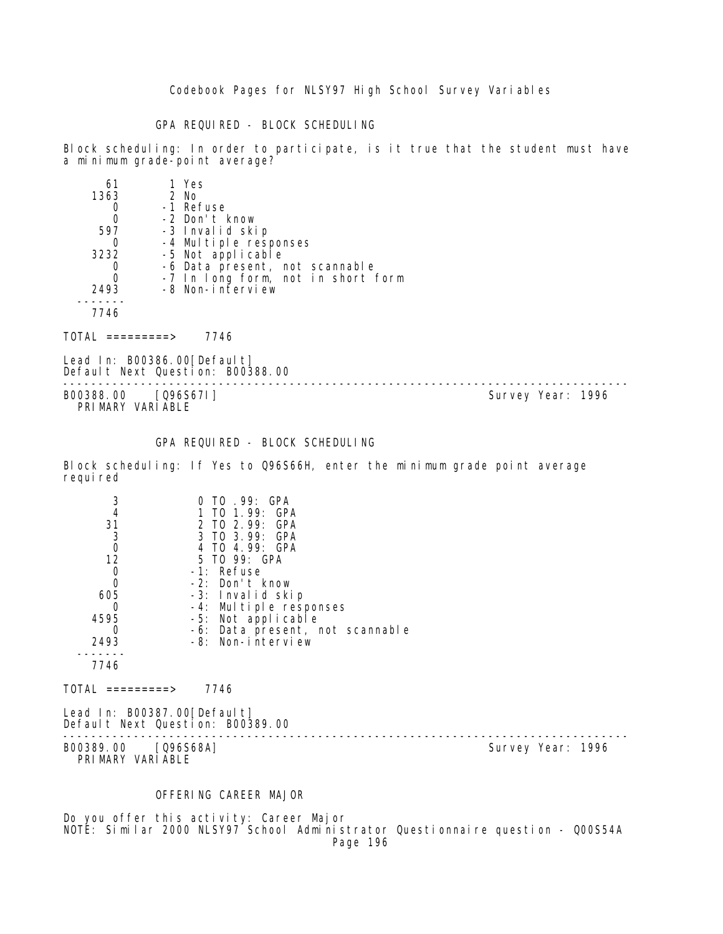GPA REQUIRED - BLOCK SCHEDULING

Block scheduling: In order to participate, is it true that the student must have a minimum grade-point average?

| 61   | 1 Yes                              |
|------|------------------------------------|
| 1363 | $2$ No                             |
|      | -1 Refuse                          |
|      | -2 Don't know                      |
| 597  | -3 Invalid skip                    |
|      | -4 Multiple responses              |
| 3232 | -5 Not applicable                  |
|      | -6 Data present, not scannable     |
|      | -7 In long form, not in short form |
| 2493 | -8 Non-interview                   |
|      |                                    |
| 7746 |                                    |
|      |                                    |

 $TOTAL$  ========> 7746

Lead In: B00386.00 [Default] Default Next Question: B00388.00

B00388.00 [Q96S67I] PRIMARY VARIABLE

--------------------------------------------------------------------------------

#### GPA REQUIRED - BLOCK SCHEDULING

Block scheduling: If Yes to Q96S66H, enter the minimum grade point average requi red

|      | 0 TO .99: GPA<br>1 TO 1.99: GPA |
|------|---------------------------------|
| 31   | 2 TO 2.99: GPA                  |
| 3    | 3 TO 3.99: GPA                  |
|      | 4 TO 4.99: GPA                  |
| 12   | 5 TO 99: GPA                    |
|      | $-1$ : Refuse                   |
|      | $-2$ : Don't know               |
| 605  | -3: Invalid skip                |
|      | -4: Multiple responses          |
| 4595 | -5: Not applicable              |
|      | -6: Data present, not scannable |
| 2493 | -8: Non-interview               |
|      |                                 |
| 7746 |                                 |
|      |                                 |

 $TOTAL$  =========> 7746

Lead In: B00387.00 [Default] Default Next Question: B00389.00 --------------------------------------------------------------------------------

B00389.00 [Q96S68A] PRIMARY VARIABLE

### OFFERING CAREER MAJOR

Do you offer this activity: Career Major NOTE: Similar 2000 NLSY97 School Administrator Questionnaire question - Q00S54A Page 196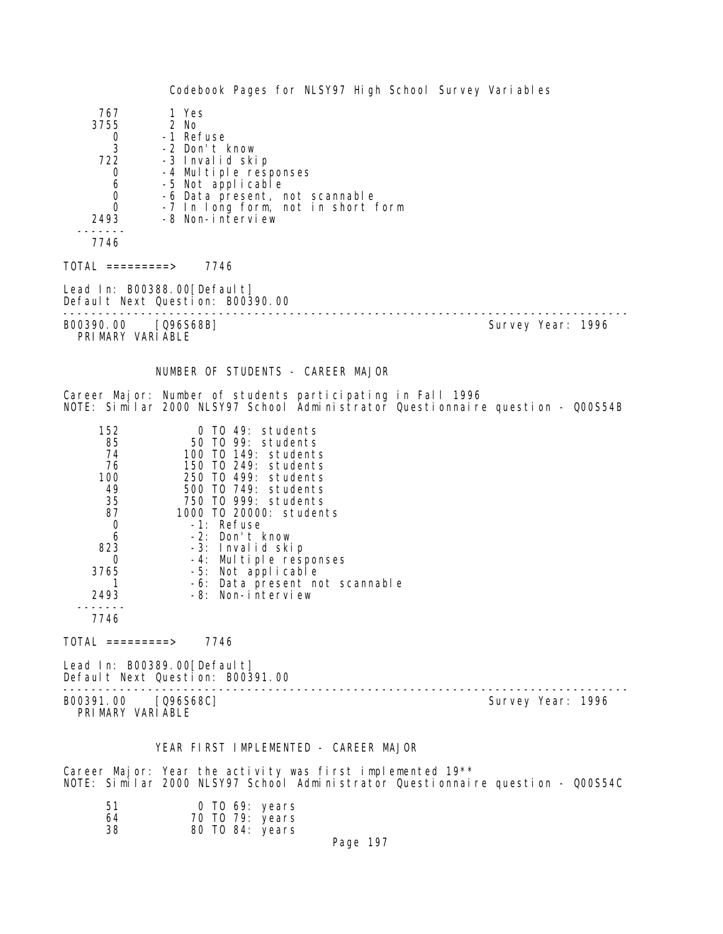Codebook Pages for NLSY97 High School Survey Variables 767 1 Yes 3755 2 No 0 -1 Refuse<br>3 -2 Don't k 3 -2 Don't know 722 -3 Invalid skip 0 -4 Multiple responses<br>6 -5 Not applicable 6 -5 Not applicable 0 -6 Data present, not scannable<br>0 -7 In Iong form, not in short 0 -7 In long form, not in short form -8 Non-interview ------- 7746 TOTAL =========> 7746 Lead In: B00388.00 [Default] Default Next Question: B00390.00 -------------------------------------------------------------------------------- Survey Year: 1996 PRIMARY VARIABLE NUMBER OF STUDENTS - CAREER MAJOR Career Major: Number of students participating in Fall 1996 NOTE: Similar 2000 NLSY97 School Administrator Questionnaire question - Q00S54B 152 0 TO 49: students 85 50 TO 99: students 74 100 TO 149: students 76 150 TO 249: students 100 250 TO 499: students 49 500 TO 749: students 35 750 TO 999: students 87 1000 TO 20000: students 0 -1: Refuse 6 -2: Don't know 823 -3: Invalid skip 0 -4: Multiple responses 3765 -5: Not applicable 1 -6: Data present not scannable 2493 -8: Non-interview ------- 7746 TOTAL =========> 7746 Lead In: B00389.00 [Default] Default Next Question: B00391.00 -------------------------------------------------------------------------------- Survey Year: 1996 PRIMARY VARIABLE YEAR FIRST IMPLEMENTED - CAREER MAJOR Career Major: Year the activity was first implemented 19\*\*

NOTE: Similar 2000 NLSY97 School Administrator Questionnaire question - Q00S54C

| .51 | $0$ TO 69: years |
|-----|------------------|
| 64  | 70 TO 79: years  |
| 38  | 80 TO 84: years  |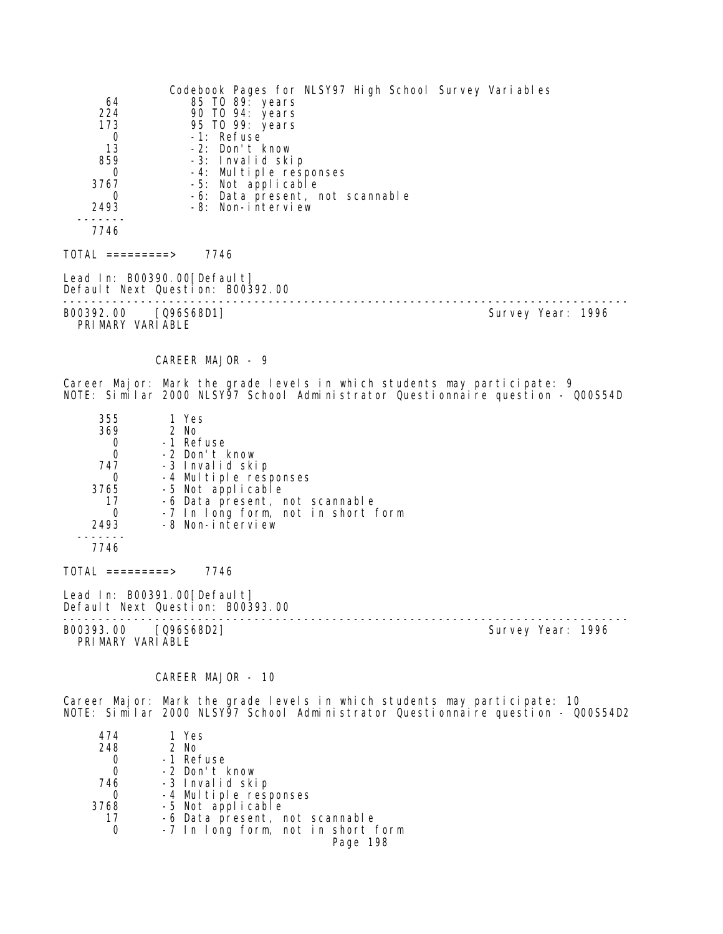| Codebook Pages for NLSY97 High School Survey Variables<br>64<br>85 TO 89: years<br>224<br>90 TO 94: years<br>173<br>95 TO 99: years<br>-1: Refuse<br>0<br>-2: Don't know<br>13<br>859<br>-3: Invalid skip<br>-4: Multiple responses<br>0<br>3767<br>-5: Not applicable<br>-6: Data present, not scannable<br>0<br>2493<br>-8: Non-interview |                   |
|---------------------------------------------------------------------------------------------------------------------------------------------------------------------------------------------------------------------------------------------------------------------------------------------------------------------------------------------|-------------------|
| 7746                                                                                                                                                                                                                                                                                                                                        |                   |
| $TOTAL$ =========> 7746                                                                                                                                                                                                                                                                                                                     |                   |
| Lead In: B00390.00 [Default]<br>Default Next Question: B00392.00                                                                                                                                                                                                                                                                            |                   |
| B00392.00 [Q96S68D1]<br>PRIMARY VARIABLE                                                                                                                                                                                                                                                                                                    | Survey Year: 1996 |
| CAREER MAJOR - 9                                                                                                                                                                                                                                                                                                                            |                   |
| Career Major: Mark the grade levels in which students may participate: 9<br>NOTE: Similar 2000 NLSY97 School Administrator Questionnaire question - Q00S54D                                                                                                                                                                                 |                   |
| 1 Yes<br>355<br>369<br>2 No<br>-1 Refuse<br>0<br>-2 Don't know<br>0<br>747<br>-3 Invalid skip<br>-4 Multiple responses<br>$\sigma$<br>-5 Not applicable<br>3765<br>17<br>-6 Data present, not scannable<br>0<br>-7 In long form, not in short form<br>-8 Non-interview<br>2493                                                              |                   |
| 7746                                                                                                                                                                                                                                                                                                                                        |                   |
| $TOTAL$ =========> 7746                                                                                                                                                                                                                                                                                                                     |                   |
| Lead In: B00391.00 [Default]<br>Default Next Question: B00393.00                                                                                                                                                                                                                                                                            |                   |
| B00393.00 [Q96S68D2]<br>PRIMARY VARIABLE                                                                                                                                                                                                                                                                                                    | Survey Year: 1996 |
| CAREER MAJOR - 10                                                                                                                                                                                                                                                                                                                           |                   |
| Career Major: Mark the grade levels in which students may participate: 10<br>NOTE: Similar 2000 NLSY97 School Administrator Questionnaire question - Q00S54D2                                                                                                                                                                               |                   |

| 474  | 1 Yes                              |
|------|------------------------------------|
| 248  | 2 No                               |
| O    | -1 Refuse                          |
| O    | -2 Don't know                      |
| 746  | -3 Invalid skip                    |
| O    | -4 Multiple responses              |
| 3768 | -5 Not applicable                  |
| 17   | -6 Data present, not scannable     |
|      | -7 In long form, not in short form |
|      | Page 198                           |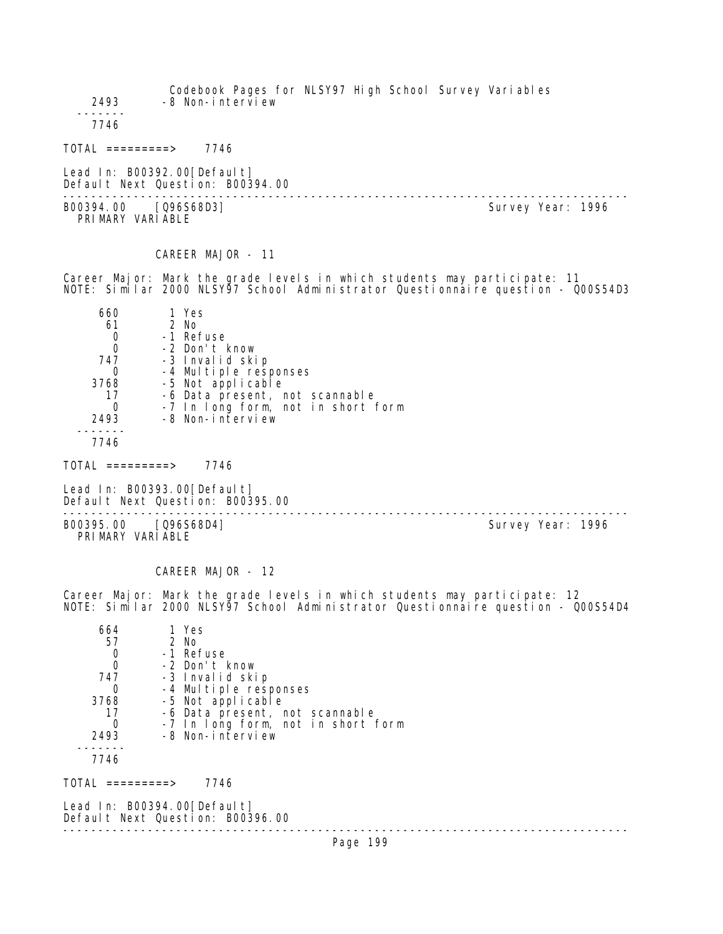Codebook Pages for NLSY97 High School Survey Variables 2493 -8 Non-interview ------- 7746 TOTAL =========> 7746 Lead In: B00392.00 [Default] Default Next Question: B00394.00 -------------------------------------------------------------------------------- B00394.00 [Q96S68D3] PRIMARY VARIABLE CAREER MAJOR - 11 Career Major: Mark the grade levels in which students may participate: 11 NOTE: Similar 2000 NLSY97 School Administrator Questionnaire question - Q00S54D3 660 1 Yes 61 2 No 0 -1 Refuse<br>0 -2 Don't H 0 -2 Don't know 747 -3 Invalid skip 0 -4 Multiple responses<br>3768 -5 Not applicable 3768 -5 Not applicable 17 -6 Data present, not scannable<br>19 -7 In Long form, not in short 0 -7 In long form, not in short form<br>2493 -8 Non-interview -8 Non-interview ------- 7746 TOTAL =========> 7746 Lead In: B00393.00 [Default] Default Next Question: B00395.00 -------------------------------------------------------------------------------- B00395.00 [Q96S68D4] PRIMARY VARIABLE CAREER MAJOR - 12 Career Major: Mark the grade levels in which students may participate: 12 NOTE: Similar 2000 NLSY97 School Administrator Questionnaire question - Q00S54D4 664 1 Yes 57 2 No -1 Refuse 0 -2 Don't know 747 -3 Invalid skip 0 -4 Multiple responses<br>3768 -5 Not applicable 3768 -5 Not applicable 17 -6 Data present, not scannable<br>0 -7 In long form, not in short 0 -7 In long form, not in short form -8 Non-interview -------

7746

TOTAL =========> 7746

Lead In: B00394.00[Default] Default Next Question: B00396.00

--------------------------------------------------------------------------------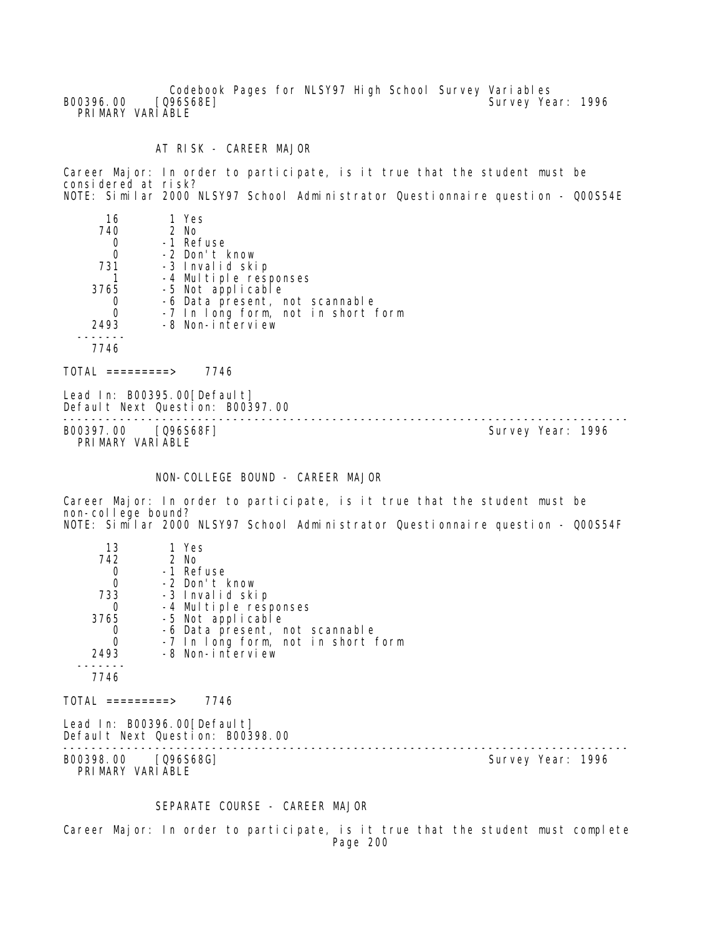Codebook Pages for NLSY97 High School Survey Variables<br>[Q96S68E] Survey Yea B00396.00 [Q96S68E] Survey Year: 1996 PRIMARY VARIABLE

AT RISK - CAREER MAJOR

Career Major: In order to participate, is it true that the student must be considered at risk? NOTE: Similar 2000 NLSY97 School Administrator Questionnaire question - Q00S54E

| 16<br>740<br>0<br>$\mathbf 0$<br>731<br>3765<br>0<br>$\Omega$<br>2493<br>7746 | 1 Yes<br>2 No<br>-1 Refuse<br>-2 Don't know<br>-3 Invalid skip<br>-4 Multiple responses<br>-5 Not applicable<br>-6 Data present, not scannable<br>-7 In long form, not in short form<br>-8 Non-interview |                   |
|-------------------------------------------------------------------------------|----------------------------------------------------------------------------------------------------------------------------------------------------------------------------------------------------------|-------------------|
| $\overline{TOTAI}$ =========>                                                 | 7746                                                                                                                                                                                                     |                   |
|                                                                               | Lead In: $B00395.00$ [Default]<br>Default Next Question: B00397.00                                                                                                                                       |                   |
| B00397.00                                                                     | [Q96S68F]                                                                                                                                                                                                | Survey Year: 1996 |

PRIMARY VARIABLE

## NON-COLLEGE BOUND - CAREER MAJOR

Career Major: In order to participate, is it true that the student must be non-college bound? NOTE: Similar 2000 NLSY97 School Administrator Questionnaire question - Q00S54F

| 13<br>742<br>$\begin{matrix}0\\0\end{matrix}$<br>733<br>0<br>3765<br>$\mathbf 0$<br>$\overline{0}$<br>2493<br>7746<br>$TOTAL$ =========><br>Lead In: B00396.00[Default] | 1 Yes<br>2 No<br>-1 Refuse<br>-2 Don't know<br>-3 Invalid skip<br>-4 Multiple responses<br>-5 Not applicable<br>-6 Data present, not scannable<br>-7 In long form, not in short form<br>-8 Non-interview<br>7746<br>Default Next Question: B00398.00 |                   |  |
|-------------------------------------------------------------------------------------------------------------------------------------------------------------------------|------------------------------------------------------------------------------------------------------------------------------------------------------------------------------------------------------------------------------------------------------|-------------------|--|
| B00398.00 [Q96S68G]<br>PRIMARY VARIABLE                                                                                                                                 |                                                                                                                                                                                                                                                      | Survey Year: 1996 |  |

# SEPARATE COURSE - CAREER MAJOR

Career Major: In order to participate, is it true that the student must complete Page 200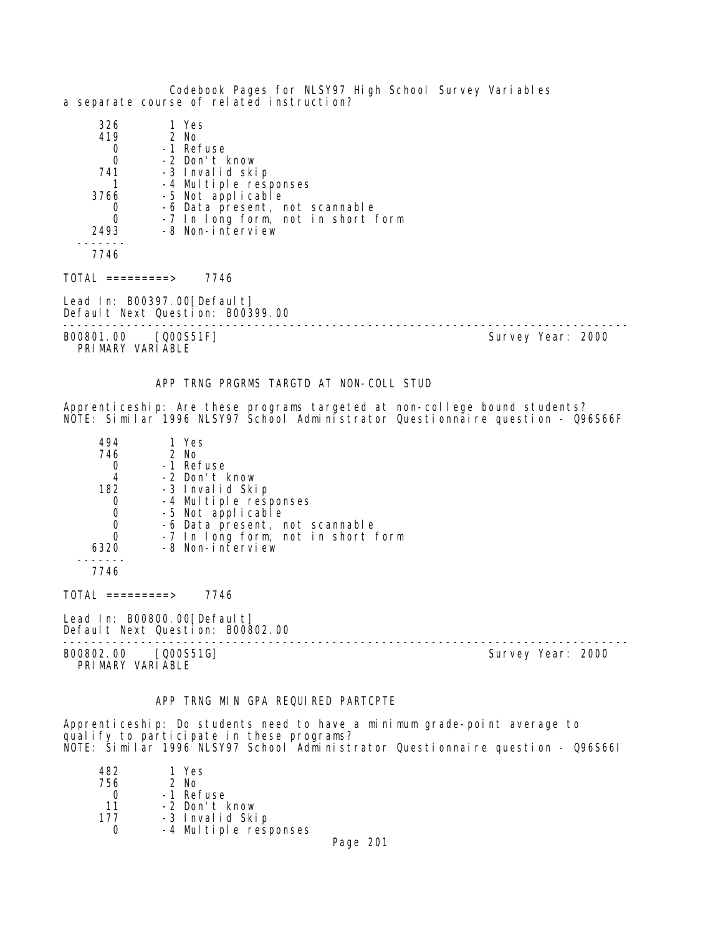Codebook Pages for NLSY97 High School Survey Variables a separate course of related instruction? 326 1 Yes 19 2 No.<br>1 Re 0 -1 Refuse<br>0 -2 Don't l 0 -2 Don't know 741 -3 Invalid skip 1 -4 Multiple responses<br>3766 -5 Not applicable -5 Not applicable 0 -6 Data present, not scannable 0 -7 In long form, not in short form 2493 -8 Non-interview ------- 7746  $TOTAL$  =========> 7746 Lead In: B00397.00 [Default] Default Next Question: B00399.00 -------------------------------------------------------------------------------- B00801.00 [Q00S51F] PRIMARY VARIABLE APP TRNG PRGRMS TARGTD AT NON-COLL STUD Apprenticeship: Are these programs targeted at non-college bound students? NOTE: Similar 1996 NLSY97 School Administrator Questionnaire question - Q96S66F

| 494  | 1 Yes                              |
|------|------------------------------------|
| 746  | $2$ No                             |
|      | -1 Refuse                          |
| 4    | -2 Don't know                      |
| 182  | -3 Invalid Skip                    |
|      | -4 Multiple responses              |
| 0    | -5 Not applicable                  |
|      | -6 Data present, not scannable     |
|      | -7 In long form, not in short form |
| 6320 | -8 Non-interview                   |
|      |                                    |

7746

TOTAL =========> 7746

Lead In: B00800.00 [Default] Default Next Question: B00802.00

B00802.00 [Q00S51G] PRIMARY VARIABLE

--------------------------------------------------------------------------------

## APP TRNG MIN GPA REQUIRED PARTCPTE

Apprenticeship: Do students need to have a minimum grade-point average to qualify to participate in these programs? NOTE: Similar 1996 NLSY97 School Administrator Questionnaire question - Q96S66I

| 482. | 1 Yes                 |
|------|-----------------------|
| 756  | $2$ No                |
| O    | -1 Refuse             |
| 11   | -2 Don't know         |
| 177  | -3 Invalid Skip       |
|      | -4 Multiple responses |

Page 201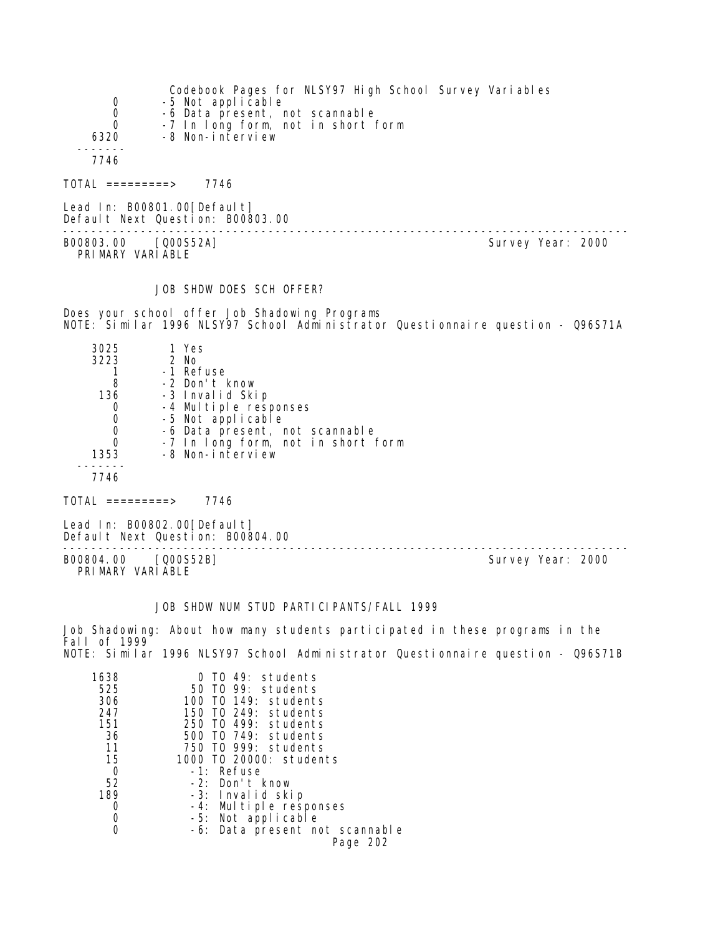| 0<br>$\mathbf 0$<br>$\mathbf 0$<br>6320<br>7746 | Codebook Pages for NLSY97 High School Survey Variables<br>-5 Not applicable<br>-6 Data present, not scannable<br>-7 In long form, not in short form<br>-8 Non-interview |                   |
|-------------------------------------------------|-------------------------------------------------------------------------------------------------------------------------------------------------------------------------|-------------------|
| TOTAL =========>                                | 7746                                                                                                                                                                    |                   |
|                                                 | Lead In: B00801.00[Default]<br>Default Next Question: B00803.00                                                                                                         |                   |
| B00803.00 [Q00S52A]<br>PRIMARY VARIABLE         |                                                                                                                                                                         | Survey Year: 2000 |

## JOB SHDW DOES SCH OFFER?

Does your school offer Job Shadowing Programs NOTE: Similar 1996 NLSY97 School Administrator Questionnaire question - Q96S71A

| 3025 | 1 Yes                              |  |
|------|------------------------------------|--|
| 3223 | 2 No                               |  |
|      | -1 Refuse                          |  |
| 8    | -2 Don't know                      |  |
| 136  | -3 Invalid Skip                    |  |
| 0    | -4 Multiple responses              |  |
| 0    | -5 Not applicable                  |  |
| 0    | -6 Data present, not scannable     |  |
| 0    | -7 In long form, not in short form |  |
| 1353 | -8 Non-interview                   |  |
|      |                                    |  |
| 7746 |                                    |  |
|      |                                    |  |

 $TOTAL$  =========> 7746

Lead In: B00802.00[Default] Default Next Question: B00804.00

B00804.00 [Q00S52B] Survey Year: 2000 PRIMARY VARIABLE

--------------------------------------------------------------------------------

### JOB SHDW NUM STUD PARTICIPANTS/FALL 1999

Job Shadowing: About how many students participated in these programs in the Fall of 1999 NOTE: Similar 1996 NLSY97 School Administrator Questionnaire question - Q96S71B

| 1638 | TO 49: students                |
|------|--------------------------------|
| 525  | 50 TO 99: students             |
| 306  | 100 TO 149: students           |
| 247  | 150 TO 249: students           |
| 151  | 250 TO 499: students           |
| 36   | 500 TO 749: students           |
| 11   | 750 TO 999: students           |
| 15   | 1000 T0 20000: students        |
| 0    | -1: Refuse                     |
| 52   | -2: Don't know                 |
| 189  | -3: Invalid skip               |
| Ω    | -4: Multiple responses         |
| Ω    | -5: Not applicable             |
|      | -6: Data present not scannable |
|      | Page 202                       |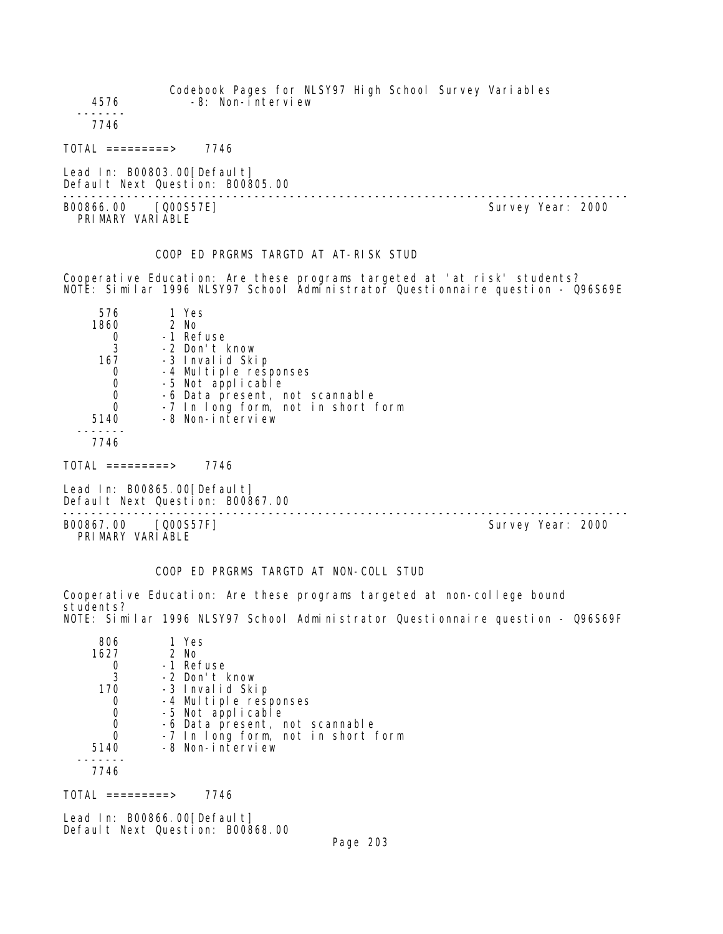| 4576                                                                          | -8: Non-interview                                                                                                                                                                                        | Codebook Pages for NLSY97 High School Survey Variables                                                                                                       |
|-------------------------------------------------------------------------------|----------------------------------------------------------------------------------------------------------------------------------------------------------------------------------------------------------|--------------------------------------------------------------------------------------------------------------------------------------------------------------|
| 7746                                                                          |                                                                                                                                                                                                          |                                                                                                                                                              |
|                                                                               | $TOTAL$ =========> 7746                                                                                                                                                                                  |                                                                                                                                                              |
|                                                                               | Lead In: B00803.00 [Default]<br>Default Next Question: B00805.00                                                                                                                                         |                                                                                                                                                              |
| B00866.00 [Q00S57E]<br>PRIMARY VARIABLE                                       |                                                                                                                                                                                                          | Survey Year: 2000                                                                                                                                            |
|                                                                               | COOP ED PRGRMS TARGTD AT AT-RISK STUD                                                                                                                                                                    |                                                                                                                                                              |
|                                                                               |                                                                                                                                                                                                          | Cooperative Education: Are these programs targeted at 'at risk' students?<br>NOTE: Similar 1996 NLSY97 School Administrator Questionnaire question - Q96S69E |
| 576<br>1860<br>0<br>3<br>167 — 167<br>0<br>0<br>0<br>$\Omega$<br>5140<br>7746 | 1 Yes<br>2 No<br>-1 Refuse<br>-2 Don't know<br>-3 Invalid Skip<br>-4 Multiple responses<br>-5 Not applicable<br>-6 Data present, not scannable<br>-7 In long form, not in short form<br>-8 Non-interview |                                                                                                                                                              |
|                                                                               | $TOTAL$ =========> 7746                                                                                                                                                                                  |                                                                                                                                                              |
|                                                                               | Lead In: B00865.00 [Default]<br>Default Next Question: B00867.00                                                                                                                                         | --------------------------------                                                                                                                             |
| B00867.00 [Q00S57F]<br>PRIMARY VARIABLE                                       |                                                                                                                                                                                                          | Survey Year: 2000                                                                                                                                            |
|                                                                               | COOP ED PRGRMS TARGTD AT NON-COLL STUD                                                                                                                                                                   |                                                                                                                                                              |
|                                                                               |                                                                                                                                                                                                          | Cooperative Education: Are these programs targeted at non-college bound                                                                                      |

students? NOTE: Similar 1996 NLSY97 School Administrator Questionnaire question - Q96S69F

| 806  | 1 Yes                              |
|------|------------------------------------|
| 1627 | $2$ No                             |
|      | -1 Refuse                          |
| 3    | -2 Don't know                      |
| 170  | -3 Invalid Skip                    |
| O    | -4 Multiple responses              |
| 0    | -5 Not applicable                  |
| 0    | -6 Data present, not scannable     |
| 0    | -7 In long form, not in short form |
| 5140 | -8 Non-interview                   |
|      |                                    |
| 7746 |                                    |

TOTAL =========> 7746

Lead In: B00866.00[Default] Default Next Question: B00868.00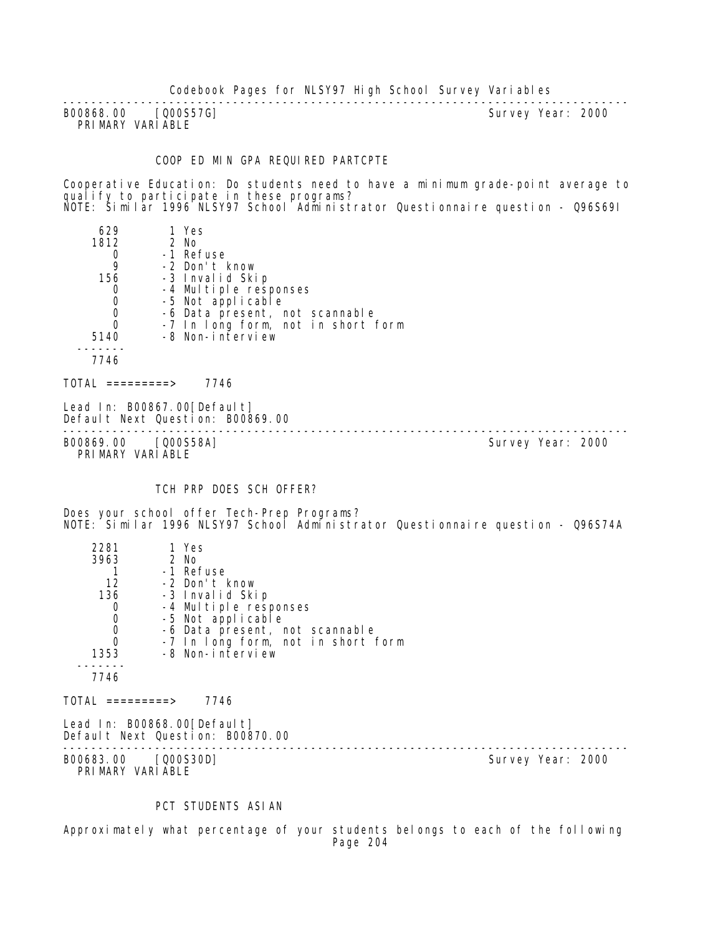-------------------------------------------------------------------------------- B00868.00 [Q00S57G] PRIMARY VARIABLE

#### COOP ED MIN GPA REQUIRED PARTCPTE

Cooperative Education: Do students need to have a minimum grade-point average to qualify to participate in these programs? NOTE: Similar 1996 NLSY97 School Administrator Questionnaire question - Q96S69I

| 629<br>1812 | 1 Yes<br>$2$ No<br>-1 Refuse       |
|-------------|------------------------------------|
| 9           | -2 Don't know                      |
| 156         | -3 Invalid Skip                    |
|             | -4 Multiple responses              |
|             | -5 Not applicable                  |
| 0           | -6 Data present, not scannable     |
| 0           | -7 In long form, not in short form |
| 5140        | -8 Non-interview                   |
|             |                                    |
| 7746        |                                    |
|             |                                    |

 $TOTAL$  ========> 7746

Lead In: B00867.00 [Default] Default Next Question: B00869.00

-------------------------------------------------------------------------------- B00869.00 [Q00S58A] Survey Year: 2000 PRIMARY VARIABLE

### TCH PRP DOES SCH OFFER?

Does your school offer Tech-Prep Programs? NOTE: Similar 1996 NLSY97 School Administrator Questionnaire question - Q96S74A

| 2281                                 | 1 Yes                                                           |                   |
|--------------------------------------|-----------------------------------------------------------------|-------------------|
| 3963                                 | 2 No                                                            |                   |
|                                      | -1 Refuse                                                       |                   |
| 12                                   | -2 Don't know                                                   |                   |
| 136                                  | -3 Invalid Skip                                                 |                   |
| $\mathbf 0$                          | -4 Multiple responses                                           |                   |
| $\mathbf 0$                          | -5 Not applicable                                               |                   |
| $\begin{matrix} 0 \\ 0 \end{matrix}$ | -6 Data present, not scannable                                  |                   |
|                                      | -7 In long form, not in short form                              |                   |
| 1353                                 | -8 Non-interview                                                |                   |
|                                      |                                                                 |                   |
| 7746                                 |                                                                 |                   |
|                                      |                                                                 |                   |
| TOTAL =========>                     | 7746                                                            |                   |
|                                      | Lead In: B00868.00[Default]<br>Default Next Question: B00870.00 |                   |
| B00683.00                            | [Q00S30D]                                                       | Survey Year: 2000 |
|                                      |                                                                 |                   |

PRIMARY VARIABLE

### PCT STUDENTS ASIAN

Approximately what percentage of your students belongs to each of the following Page 204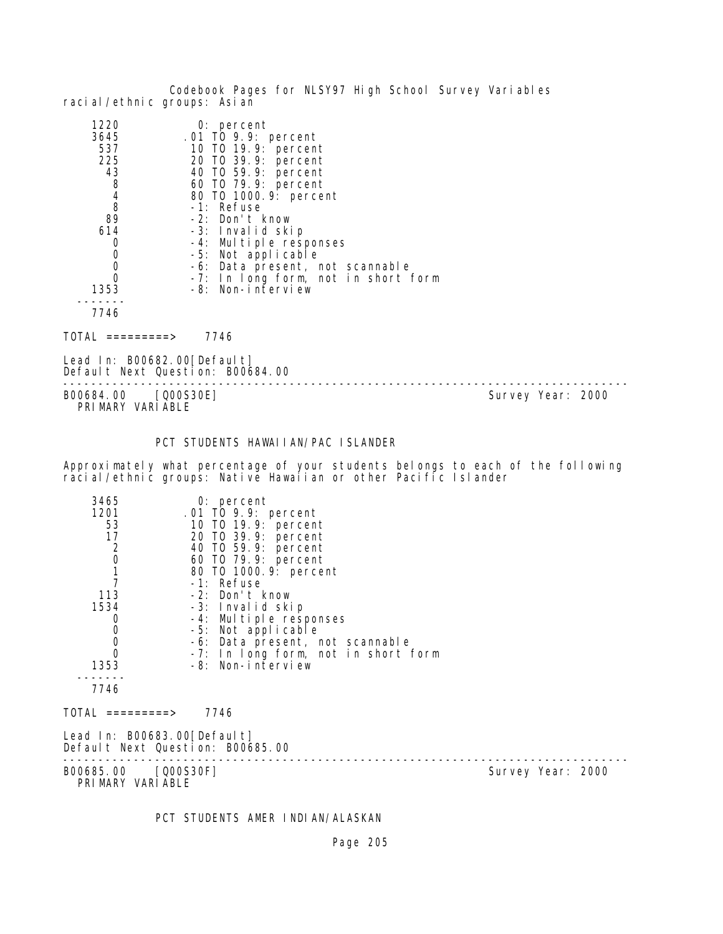Codebook Pages for NLSY97 High School Survey Variables racial/ethnic groups: Asian

| $0:$ percent                        |
|-------------------------------------|
| .01 TO 9.9: percent                 |
| 10 T0 19.9: percent                 |
| 20 T0 39.9: percent                 |
| 40 TO 59.9: percent                 |
| 60 TO 79.9: percent                 |
| 80 T0 1000.9: percent               |
| -1: Refuse                          |
| -2: Don't know                      |
| -3: Invalid skip                    |
| -4: Multiple responses              |
| -5: Not applicable                  |
| -6: Data present, not scannable     |
| -7: In long form, not in short form |
| -8: Non-interview                   |
|                                     |
|                                     |
|                                     |

 $TOTAL$  =========> 7746

Lead In: B00682.00 [Default] Default Next Question: B00684.00

B00684.00 [Q00S30E] PRIMARY VARIABLE

--------------------------------------------------------------------------------

## PCT STUDENTS HAWAIIAN/PAC ISLANDER

Approximately what percentage of your students belongs to each of the following racial/ethnic groups: Native Hawaiian or other Pacific Islander

| 3465<br>1201<br>53<br>17<br>$\begin{array}{c} 2 \\ 0 \\ 1 \\ 7 \end{array}$<br>113<br>1534<br>0<br>$\begin{smallmatrix}0\\0\end{smallmatrix}$<br>$\mathbf 0$<br>1353 | $0:$ percent<br>.01 TO 9.9: percent<br>10 T0 19.9: percent<br>20 TO 39.9: percent<br>40 TO 59.9: percent<br>60 T0 79.9: percent<br>80 T0 1000.9: percent<br>-1: Refuse<br>-2: Don't know<br>-3: Invalid skip<br>-4: Multiple responses<br>-5: Not applicable<br>-6: Data present, not scannable<br>-7: In long form, not in short form<br>-8: Non-interview |                   |  |
|----------------------------------------------------------------------------------------------------------------------------------------------------------------------|-------------------------------------------------------------------------------------------------------------------------------------------------------------------------------------------------------------------------------------------------------------------------------------------------------------------------------------------------------------|-------------------|--|
| 7746                                                                                                                                                                 |                                                                                                                                                                                                                                                                                                                                                             |                   |  |
| TOTAL =========>                                                                                                                                                     | 7746                                                                                                                                                                                                                                                                                                                                                        |                   |  |
| Lead In: B00683.00[Default]<br>Default Next Question: B00685.00                                                                                                      |                                                                                                                                                                                                                                                                                                                                                             |                   |  |
| B00685.00 [Q00S30F]<br>PRIMARY VARIABLE                                                                                                                              |                                                                                                                                                                                                                                                                                                                                                             | Survey Year: 2000 |  |

PCT STUDENTS AMER INDIAN/ALASKAN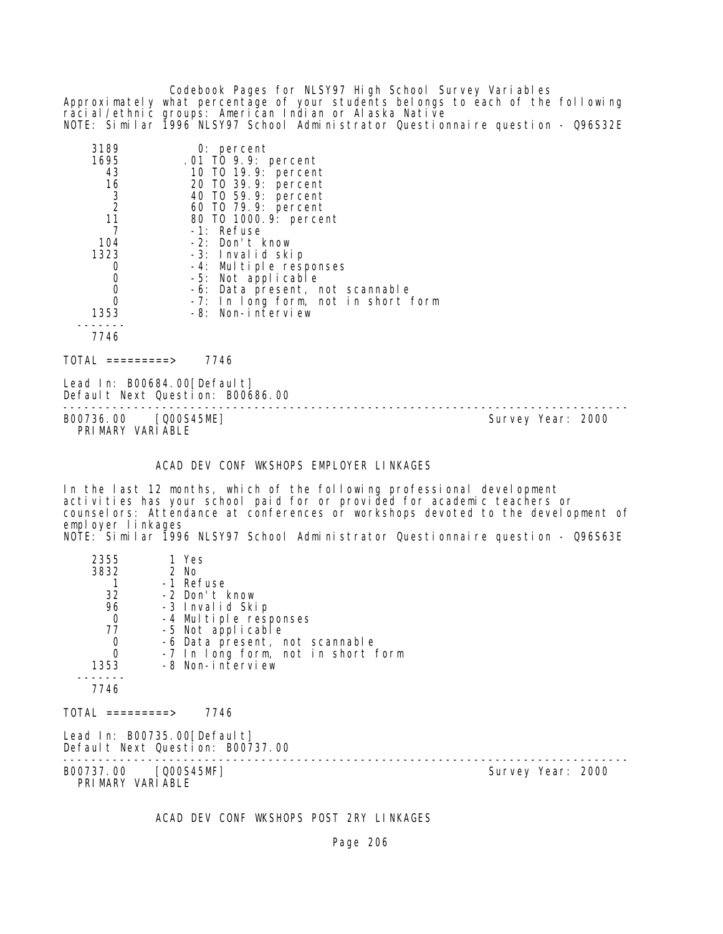Codebook Pages for NLSY97 High School Survey Variables Approximately what percentage of your students belongs to each of the following racial/ethnic groups: American Indian or Alaska Native NOTE: Similar 1996 NLSY97 School Administrator Questionnaire question - Q96S32E

| 3189           | $0:$ percent                        |
|----------------|-------------------------------------|
| 1695           | .01 TO 9.9: percent                 |
| 43             | 10 T0 19.9: percent                 |
| 16             | 20 TO 39.9: percent                 |
| 3              | 40 T0 59.9: percent                 |
| $\overline{2}$ | 60 TO 79.9: percent                 |
| 11             | 80 T0 1000.9: percent               |
|                | -1: Refuse                          |
| 104            | -2: Don't know                      |
| 1323           | -3: Invalid skip                    |
| O              | -4: Multiple responses              |
|                | -5: Not applicable                  |
|                | -6: Data present, not scannable     |
|                | -7: In long form, not in short form |
| 1353           | -8: Non-interview                   |
|                |                                     |
| 7746           |                                     |

 $TOTAL$  =========> 7746

Lead In: B00684.00 [Default] Default Next Question: B00686.00

B00736.00 [Q00S45ME] PRIMARY VARIABLE

--------------------------------------------------------------------------------

ACAD DEV CONF WKSHOPS EMPLOYER LINKAGES

In the last 12 months, which of the following professional development activities has your school paid for or provided for academic teachers or counselors: Attendance at conferences or workshops devoted to the development of employer linkages NOTE: Similar 1996 NLSY97 School Administrator Questionnaire question - Q96S63E

| 2355<br>3832                             | 1 Yes<br>2 No                                                   |                   |  |
|------------------------------------------|-----------------------------------------------------------------|-------------------|--|
| 32                                       | -1 Refuse<br>-2 Don't know                                      |                   |  |
| 96                                       | -3 Invalid Skip                                                 |                   |  |
| $\mathbf 0$                              | -4 Multiple responses                                           |                   |  |
| 77                                       | -5 Not applicable                                               |                   |  |
| $\overline{0}$                           | -6 Data present, not scannable                                  |                   |  |
| $\mathbf 0$                              | -7 In long form, not in short form                              |                   |  |
| 1353                                     | -8 Non-interview                                                |                   |  |
| 7746                                     |                                                                 |                   |  |
| $\text{TOTAL}$ =========>                | 7746                                                            |                   |  |
|                                          | Lead In: B00735.00[Default]<br>Default Next Question: B00737.00 |                   |  |
| B00737.00 [Q00S45MF]<br>PRIMARY VARIABLE |                                                                 | Survey Year: 2000 |  |

ACAD DEV CONF WKSHOPS POST 2RY LINKAGES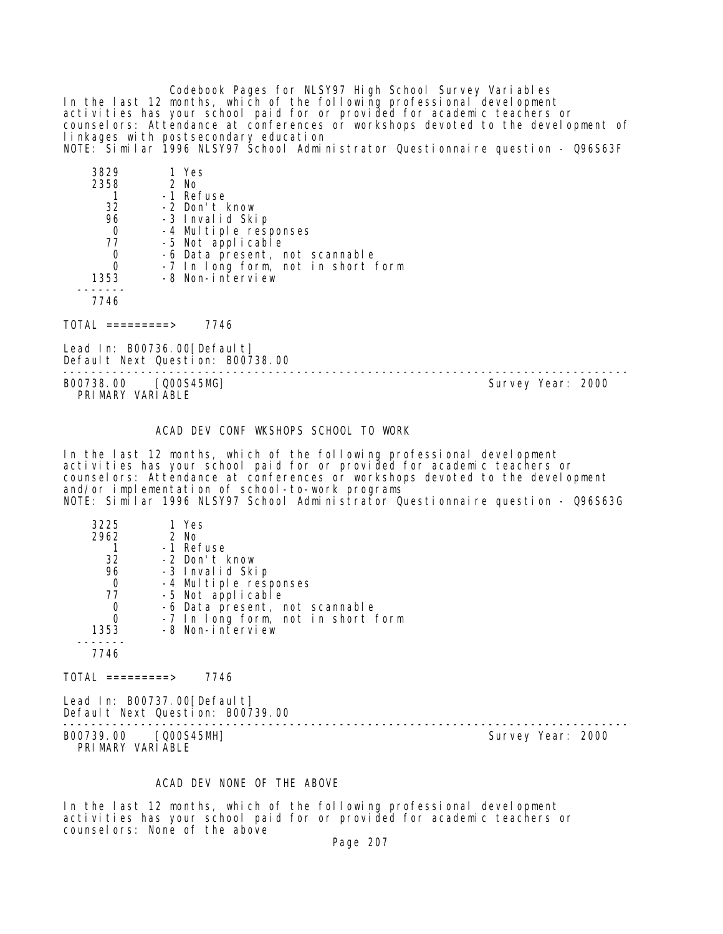Codebook Pages for NLSY97 High School Survey Variables In the last 12 months, which of the following professional development activities has your school paid for or provided for academic teachers or counselors: Attendance at conferences or workshops devoted to the development of linkages with postsecondary education NOTE: Similar 1996 NLSY97 School Administrator Questionnaire question - Q96S63F

| 1 Yes                              |
|------------------------------------|
| 2 No                               |
| -1 Refuse                          |
| -2 Don't know                      |
| -3 Invalid Skip                    |
| -4 Multiple responses              |
| -5 Not applicable                  |
| -6 Data present, not scannable     |
| -7 In long form, not in short form |
| -8 Non-interview                   |
|                                    |
|                                    |

7746

TOTAL =========> 7746

Lead In: B00736.00[Default] Default Next Question: B00738.00

-------------------------------------------------------------------------------- PRIMARY VARIABLE

Survey Year: 2000

### ACAD DEV CONF WKSHOPS SCHOOL TO WORK

In the last 12 months, which of the following professional development activities has your school paid for or provided for academic teachers or counselors: Attendance at conferences or workshops devoted to the development and/or implementation of school-to-work programs NOTE: Similar 1996 NLSY97 School Administrator Questionnaire question - Q96S63G

| 3225 | 1 Yes                              |
|------|------------------------------------|
| 2962 | $2$ No                             |
|      | -1 Refuse                          |
| 32   | -2 Don't know                      |
| 96   | -3 Invalid Skip                    |
| 0    | -4 Multiple responses              |
| 77   | -5 Not applicable                  |
| 0    | -6 Data present, not scannable     |
| Ω    | -7 In long form, not in short form |
| 1353 | -8 Non-interview                   |
|      |                                    |
|      |                                    |

 $TOTAL$  ========> 7746

Lead In: B00737.00[Default] Default Next Question: B00739.00

B00739.00 [Q00S45MH] PRIMARY VARIABLE

--------------------------------------------------------------------------------

## ACAD DEV NONE OF THE ABOVE

In the last 12 months, which of the following professional development activities has your school paid for or provided for academic teachers or counselors: None of the above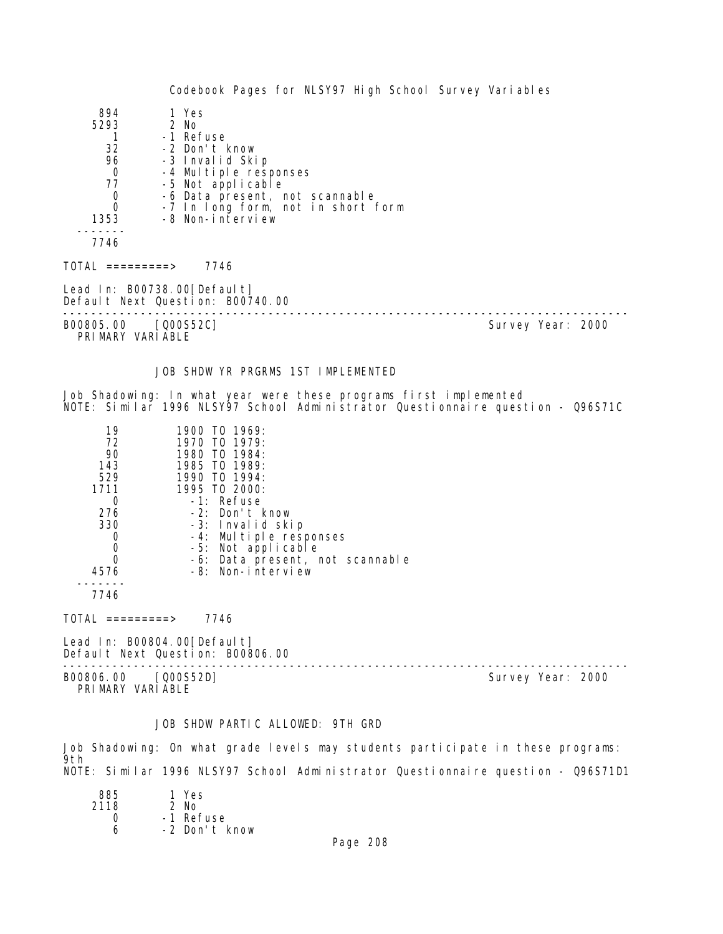Codebook Pages for NLSY97 High School Survey Variables 894 1 Yes<br>293 2 No  $5293$  1 1 -1 Refuse<br>32 -2 Don't H 32 -2 Don't know 96 -3 Invalid Skip 0 -4 Multiple responses<br>77 -5 Not applicable 77 -5 Not applicable 0 -6 Data present, not scannable<br>0 -7 In Iong form, not in short 0 -7 In long form, not in short form -8 Non-interview ------- 7746 TOTAL =========> 7746 Lead In: B00738.00 [Default] Default Next Question: B00740.00 -------------------------------------------------------------------------------- Survey Year: 2000 PRIMARY VARIABLE JOB SHDW YR PRGRMS 1ST IMPLEMENTED Job Shadowing: In what year were these programs first implemented NOTE: Similar 1996 NLSY97 School Administrator Questionnaire question - Q96S71C 19 1900 TO 1969:<br>72 1970 TO 1979: 72 1970 TO 1979: 90 1980 TO 1984: 143 1985 TO 1989:<br>529 1990 TO 1994: 529 1990 TO 1994: 1711 1995 TO 2000: 0 -1: Refuse<br>276 -2: Don't 276 -2: Don't know 330 -3: Invalid skip 0 -4: Multiple responses 0 -5: Not applicable<br>0 -6: Data present, r 0 -6: Data present, not scannable 4576 -8: Non-interview ------- 7746  $TOTAL$  ========> 7746 Lead In: B00804.00[Default] Default Next Question: B00806.00 -------------------------------------------------------------------------------- B00806.00 [Q00S52D] PRIMARY VARIABLE

## JOB SHDW PARTIC ALLOWED: 9TH GRD

Job Shadowing: On what grade levels may students participate in these programs: 9th NOTE: Similar 1996 NLSY97 School Administrator Questionnaire question - Q96S71D1

| 885  | 1 Yes         |
|------|---------------|
| 2118 | $2$ No        |
| Ω    | -1 Refuse     |
| ѧ    | -2 Don't know |
|      |               |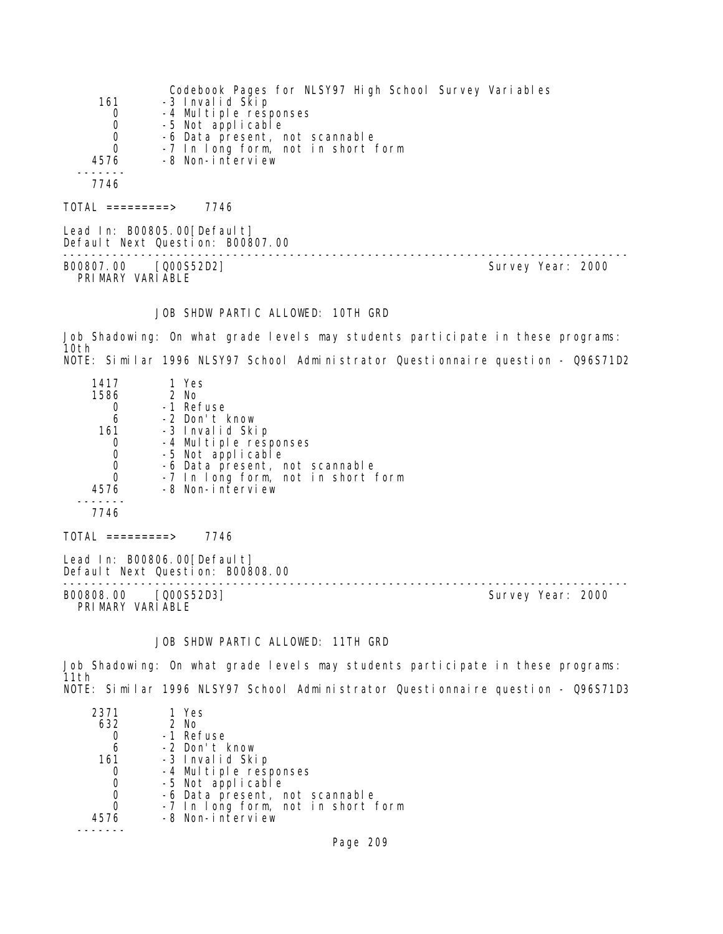|      | Codebook Pages for NLSY97 High School Survey Variables |
|------|--------------------------------------------------------|
| 161  | -3 Invalid Skip                                        |
| 0    | -4 Multiple responses                                  |
| 0    | -5 Not applicable                                      |
| 0    | -6 Data present, not scannable                         |
| 0    | -7 In long form, not in short form                     |
| 4576 | -8 Non-interview                                       |
|      |                                                        |
| 7746 |                                                        |
|      |                                                        |

 $TOTAL$  ========> 7746

Lead In: B00805.00[Default] Default Next Question: B00807.00 -------------------------------------------------------------------------------- B00807.00 [Q00S52D2] Survey Year: 2000 PRIMARY VARIABLE

## JOB SHDW PARTIC ALLOWED: 10TH GRD

Job Shadowing: On what grade levels may students participate in these programs: 10th NOTE: Similar 1996 NLSY97 School Administrator Questionnaire question - Q96S71D2

| 1417<br>1586<br>6<br>161<br>Ω<br>4576 | 1 Yes<br>2 No<br>-1 Refuse<br>-2 Don't know<br>-3 Invalid Skip<br>-4 Multiple responses<br>-5 Not applicable<br>-6 Data present, not scannable<br>-7 In long form, not in short form<br>-8 Non-interview |  |
|---------------------------------------|----------------------------------------------------------------------------------------------------------------------------------------------------------------------------------------------------------|--|
| 7746                                  |                                                                                                                                                                                                          |  |

 $TOTAL$  =========> 7746

Lead In: B00806.00 [Default] Default Next Question: B00808.00

-------------------------------------------------------------------------------- PRIMARY VARIABLE

Survey Year: 2000

# JOB SHDW PARTIC ALLOWED: 11TH GRD

Job Shadowing: On what grade levels may students participate in these programs: 11th NOTE: Similar 1996 NLSY97 School Administrator Questionnaire question - Q96S71D3

| 2371 | 1 Yes                              |
|------|------------------------------------|
| 632  | 2 No                               |
|      | -1 Refuse                          |
| 6    | -2 Don't know                      |
| 161  | -3 Invalid Skip                    |
|      | -4 Multiple responses              |
| 0    | -5 Not applicable                  |
|      | -6 Data present, not scannable     |
|      | -7 In long form, not in short form |
| 4576 | -8 Non-interview                   |
|      |                                    |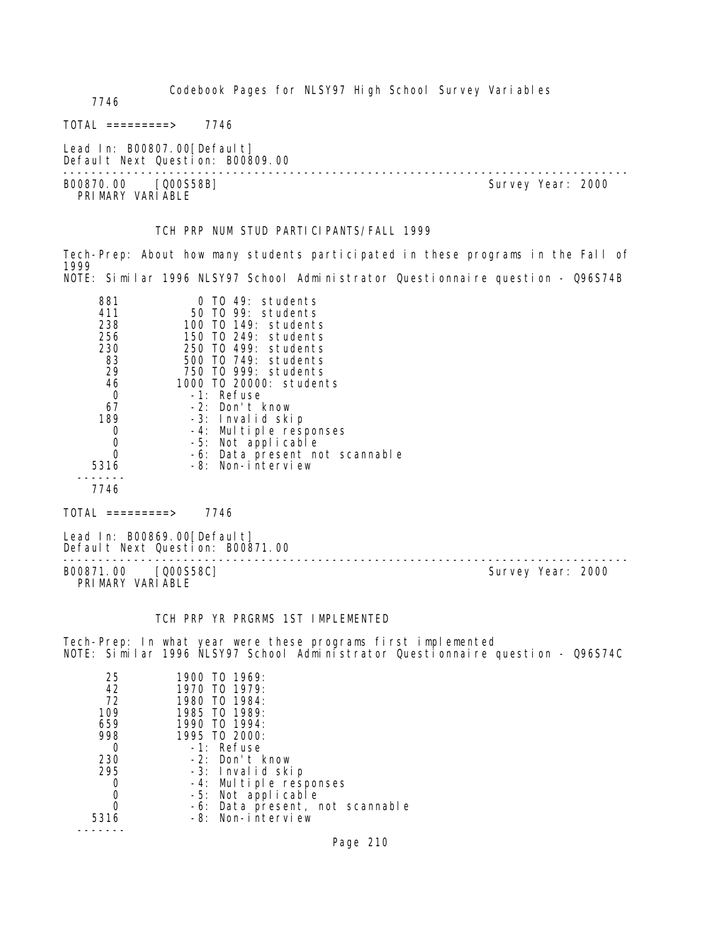Codebook Pages for NLSY97 High School Survey Variables 7746  $TOTAL$  ========> 7746 Lead In: B00807.00 [Default] Default Next Question: B00809.00 -------------------------------------------------------------------------------- Survey Year: 2000 PRI MARY VARI ABLE TCH PRP NUM STUD PARTICIPANTS/FALL 1999 Tech-Prep: About how many students participated in these programs in the Fall of 1999 NOTE: Similar 1996 NLSY97 School Administrator Questionnaire question - Q96S74B 881 0 TO 49: students 411 50 TO 99: students 238 100 TO 149: students 256 150 TO 249: students 230 250 TO 499: students 83 500 TO 749: students 29 750 TO 999: students 46 1000 TO 20000: students 0 -1: Refuse<br>67 -2: Don't I 67 -2: Don't know 39 -3: Invalid skip<br>0 -4: Multiple resu 0 -4: Multiple responses 0 -5: Not applicable 0 -6: Data present not scannable 5316 -8: Non-interview ------- 7746 TOTAL =========> 7746 Lead In: B00869.00 [Default] Default Next Question: B00871.00 -------------------------------------------------------------------------------- B00871.00 [Q00S58C] PRIMARY VARIABLE

# TCH PRP YR PRGRMS 1ST IMPLEMENTED

Tech-Prep: In what year were these programs first implemented NOTE: Similar 1996 NLSY97 School Administrator Questionnaire question - Q96S74C

| 25<br>42<br>72<br>109 | 1900 TO 1969:<br>1970 TO 1979:<br>1980 TO 1984:<br>1985 TO 1989: |
|-----------------------|------------------------------------------------------------------|
| 659                   | 1990 TO 1994:                                                    |
| 998                   | 1995 TO 2000:                                                    |
| Ω                     | -1: Refuse                                                       |
| 230                   | $-2$ : Don't know                                                |
| 295                   | -3: Invalid skip                                                 |
|                       | -4: Multiple responses                                           |
|                       | -5: Not applicable                                               |
|                       | -6: Data present, not scannable                                  |
| 5316                  | -8: Non-interview                                                |
|                       |                                                                  |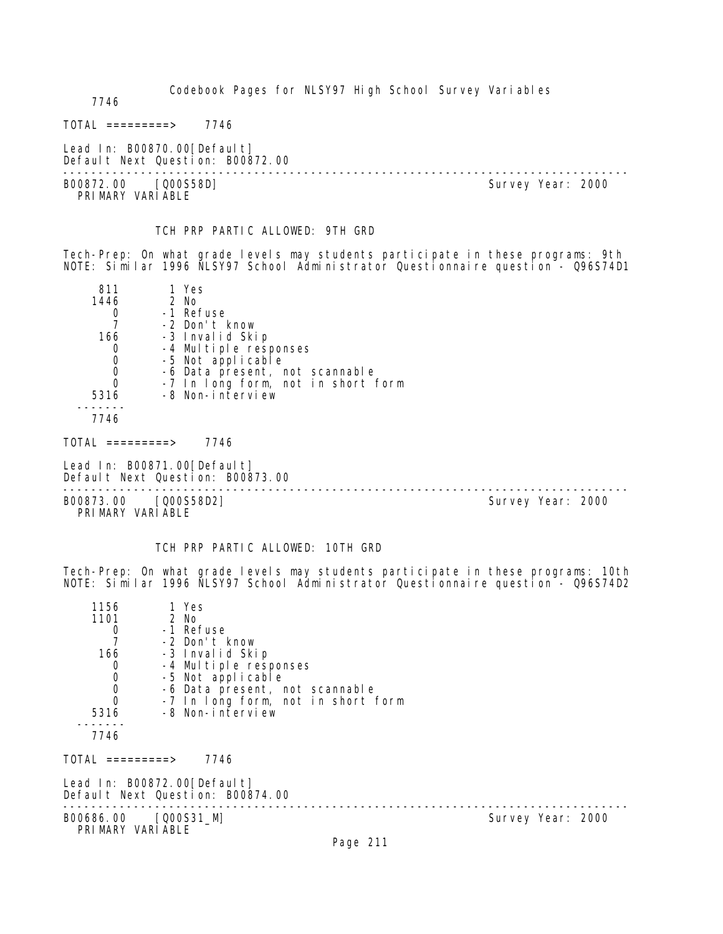Codebook Pages for NLSY97 High School Survey Variables 7746  $TOTAL$  ========> 7746 Lead In: B00870.00 [Default] Default Next Question: B00872.00 -------------------------------------------------------------------------------- Survey Year: 2000 PRI MARY VARI ABLE TCH PRP PARTIC ALLOWED: 9TH GRD Tech-Prep: On what grade levels may students participate in these programs: 9th NOTE: Similar 1996 NLSY97 School Administrator Questionnaire question - Q96S74D1 811 1 Yes<br>1446 2 No 2 No 0 -1 Refuse<br>7 -2 Don't H 7 -2 Don't know 166 -3 Invalid Skip 0 -4 Multiple responses 0 -5 Not applicable 0 -6 Data present, not scannable 0 -7 In long form, not in short form 5316 -8 Non-interview ------- 7746  $TOTAL$  =========> 7746 Lead In: B00871.00 [Default] Default Next Question: B00873.00 -------------------------------------------------------------------------------- B00873.00 [Q00S58D2] PRIMARY VARIABLE TCH PRP PARTIC ALLOWED: 10TH GRD Tech-Prep: On what grade levels may students participate in these programs: 10th NOTE: Similar 1996 NLSY97 School Administrator Questionnaire question - Q96S74D2 1156 1 Yes 1101 2 No 0 -1 Refuse<br>7 -2 Don't H 7 -2 Don't know 166 -3 Invalid Skip 0 -4 Multiple responses 0 -5 Not applicable 0 -6 Data present, not scannable<br>0 -7 In Iong form, not in short 1 0 -7 In long form, not in short form<br>5316 -8 Non-interview -8 Non-interview ------- 7746 TOTAL =========> 7746 Lead In: B00872.00 [Default] Default Next Question: B00874.00 -------------------------------------------------------------------------------- B00686.00 [Q00S31\_M] PRIMARY VARIABLE Page 211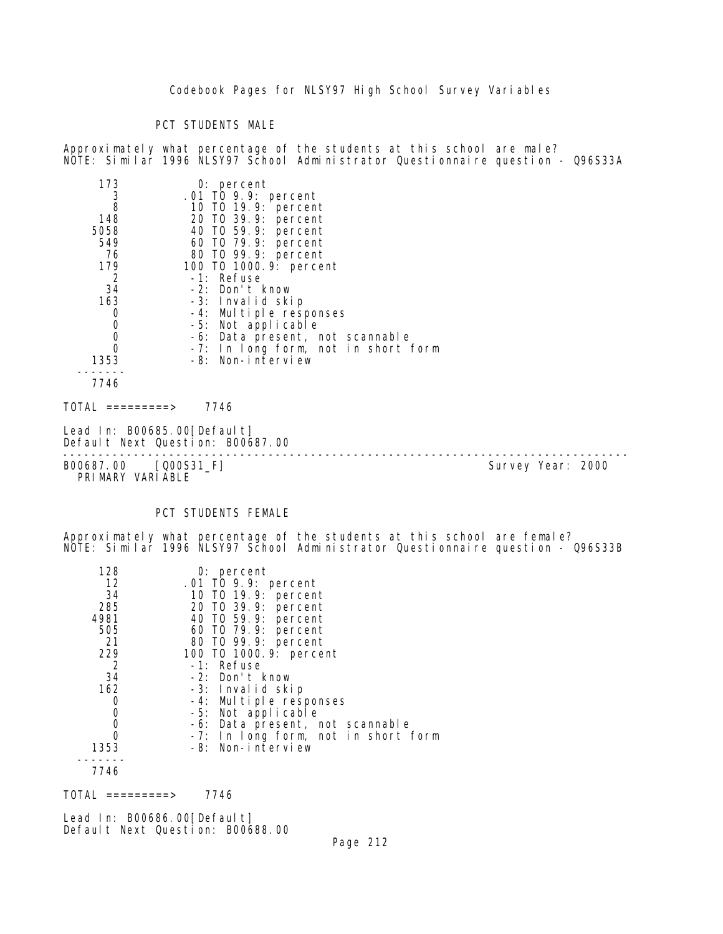## PCT STUDENTS MALE

Approximately what percentage of the students at this school are male? NOTE: Similar 1996 NLSY97 School Administrator Questionnaire question - Q96S33A

| 173                          | $0:$ percent                        |
|------------------------------|-------------------------------------|
| 3                            | .01 TO 9.9: percent                 |
| 8                            | 10 T0 19.9: percent                 |
| 148                          | 20 TO 39.9: percent                 |
| 5058                         | 40 TO 59.9: percent                 |
| 549                          | 60 T0 79.9: percent                 |
| 76                           | 80 TO 99.9: percent                 |
| 179                          | 100 T0 1000. 9: percent             |
| $\overline{2}$               | -1: Refuse                          |
| 34                           | -2: Don't know                      |
| 163                          | -3: Invalid skip                    |
| 0                            | -4: Multiple responses              |
| $\mathbf 0$                  | -5: Not applicable                  |
| $\mathbf 0$                  | -6: Data present, not scannable     |
| 0                            | -7: In long form, not in short form |
| 1353                         | -8: Non-interview                   |
|                              |                                     |
| 7746                         |                                     |
| TOTAL<br>$=$ = = = = = = = > | 7746                                |

Lead In: B00685.00[Default] Default Next Question: B00687.00

B00687.00 [Q00S31\_F] PRIMARY VARIABLE

--------------------------------------------------------------------------------

# PCT STUDENTS FEMALE

Approximately what percentage of the students at this school are female? NOTE: Similar 1996 NLSY97 School Administrator Questionnaire question - Q96S33B

| 128  | $0:$ percent                               |
|------|--------------------------------------------|
| 12   | .01 TO 9.9: percent                        |
| 34   | 10 T0 19.9: percent                        |
| 285  |                                            |
| 4981 | 20 T0 39.9: percent<br>40 T0 59.9: percent |
| 505  | 60 T0 79.9: percent                        |
| 21   | 80 T0 99.9: percent                        |
| 229  | 100 T0 1000. 9: percent                    |
| -2   | -1: Refuse                                 |
| 34   | -2: Don't know                             |
| 162  | -3: Invalid skip                           |
| 0    | -4: Multiple responses                     |
| 0    | -5: Not applicable                         |
| 0    | -6: Data present, not scannable            |
| 0    | -7: In long form, not in short form        |
| 1353 | -8: Non-interview                          |
|      |                                            |
| 7716 |                                            |

7746

 $TOTAL$  ========> 7746

Lead In: B00686.00 [Default] Default Next Question: B00688.00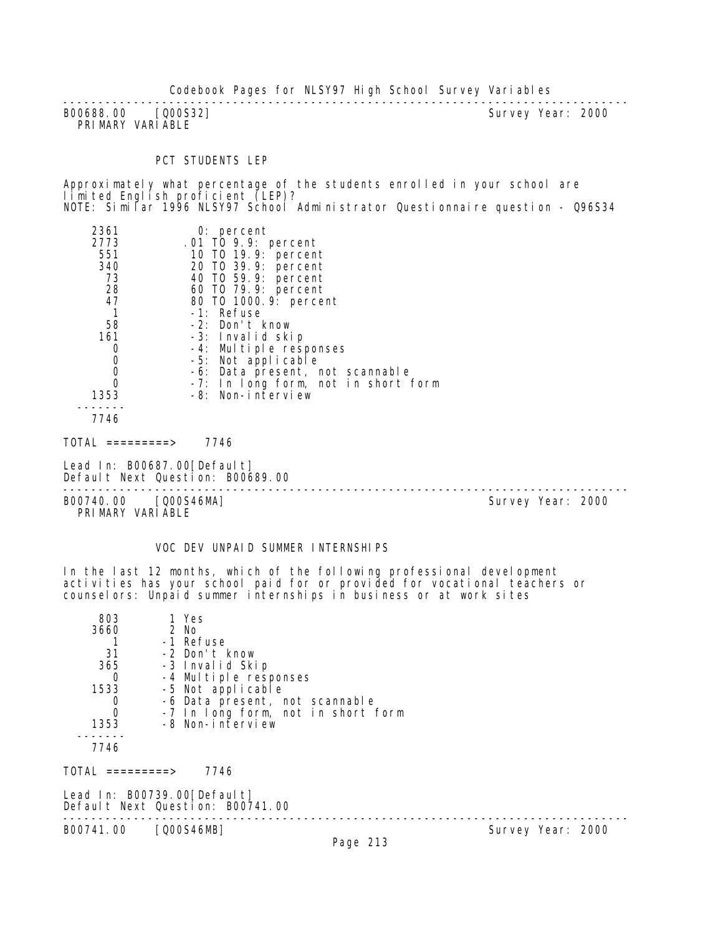-------------------------------------------------------------------------------- B00688.00 [Q00S32] PRIMARY VARIABLE

## PCT STUDENTS LEP

Approximately what percentage of the students enrolled in your school are limited English proficient (LEP)? NOTE: Similar 1996 NLSY97 School Administrator Questionnaire question - Q96S34

| 2361        | 0: percent                          |
|-------------|-------------------------------------|
| 2773        | .01 TO 9.9: percent                 |
| 551         | 10 T0 19.9: percent                 |
| 340         | 20 TO 39.9: percent                 |
| 73          | 40 TO 59.9: percent                 |
| 28          | 60 T0 79.9: percent                 |
| 47          | 80 TO 1000.9: percent               |
|             | -1: Refuse                          |
| 58          | -2: Don't know                      |
| 161         | -3: Invalid skip                    |
| 0           | -4: Multiple responses              |
| $\mathbf 0$ | -5: Not applicable                  |
|             | -6: Data present, not scannable     |
|             | -7: In long form, not in short form |
| 1353        | -8: Non-interview                   |
|             |                                     |
| 7746        |                                     |

TOTAL =========> 7746

Lead In: B00687.00[Default] Default Next Question: B00689.00 --------------------------------------------------------------------------------

B00740.00 [Q00S46MA] PRIMARY VARIABLE

VOC DEV UNPAID SUMMER INTERNSHIPS

In the last 12 months, which of the following professional development activities has your school paid for or provided for vocational teachers or counselors: Unpaid summer internships in business or at work sites

| 803<br>3660<br>-31 | 1 Yes<br>2 No<br>-1 Refuse<br>-2 Don't know                        |              |
|--------------------|--------------------------------------------------------------------|--------------|
| 365                | -3 Invalid Skip                                                    |              |
| 0                  | -4 Multiple responses                                              |              |
| 1533               | -5 Not applicable                                                  |              |
| O<br>0             | -6 Data present, not scannable                                     |              |
| 1353               | -7 In long form, not in short form<br>-8 Non-interview             |              |
| 7746               |                                                                    |              |
| $TOTAL$ =========> | 7746                                                               |              |
|                    | Lead In: $B00739.00$ [Default]<br>Default Next Question: B00741.00 |              |
| B00741.00          | [Q00S46MB]                                                         | Survey Year: |

Survey Year: 2000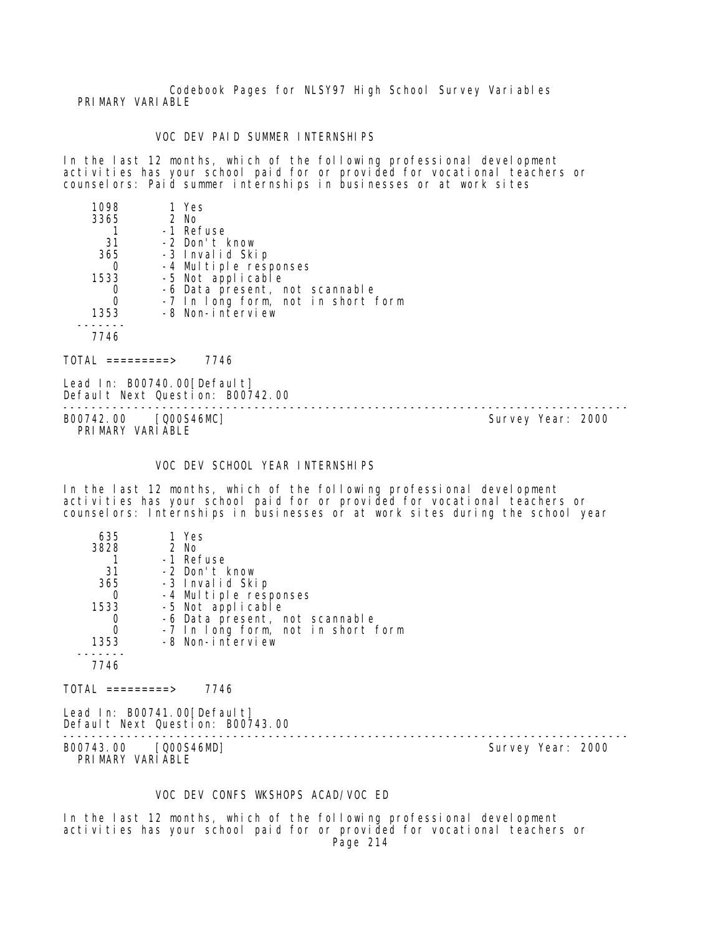Codebook Pages for NLSY97 High School Survey Variables PRIMARY VARIABLE

## VOC DEV PAID SUMMER INTERNSHIPS

In the last 12 months, which of the following professional development activities has your school paid for or provided for vocational teachers or counselors: Paid summer internships in businesses or at work sites

| 1098 | 1 Yes                              |
|------|------------------------------------|
| 3365 | 2 No                               |
|      | -1 Refuse                          |
| 31   | -2 Don't know                      |
| 365  | -3 Invalid Skip                    |
|      | -4 Multiple responses              |
| 1533 | -5 Not applicable                  |
|      | -6 Data present, not scannable     |
|      | -7 In long form, not in short form |
| 1353 | -8 Non-interview                   |
|      |                                    |
| 7746 |                                    |
|      |                                    |

 $TOTAL$  ========> 7746

Lead In: B00740.00 [Default] Default Next Question: B00742.00

B00742.00 [Q00S46MC] PRIMARY VARIABLE

--------------------------------------------------------------------------------

### VOC DEV SCHOOL YEAR INTERNSHIPS

In the last 12 months, which of the following professional development activities has your school paid for or provided for vocational teachers or counselors: Internships in businesses or at work sites during the school year

| 635  | 1 Yes                              |
|------|------------------------------------|
| 3828 | $2$ No                             |
|      | -1 Refuse                          |
| 31   | -2 Don't know                      |
| 365  | -3 Invalid Skip                    |
| O    | -4 Multiple responses              |
| 1533 | -5 Not applicable                  |
|      | -6 Data present, not scannable     |
| Ω    | -7 In long form, not in short form |
| 1353 | -8 Non-interview                   |
|      |                                    |
| 7746 |                                    |
|      |                                    |

 $TOTAL$  =========> 7746

Lead In: B00741.00 [Default] Default Next Question: B00743.00

B00743.00 [Q00S46MD] PRIMARY VARIABLE

--------------------------------------------------------------------------------

### VOC DEV CONFS WKSHOPS ACAD/VOC ED

In the last 12 months, which of the following professional development activities has your school paid for or provided for vocational teachers or Page 214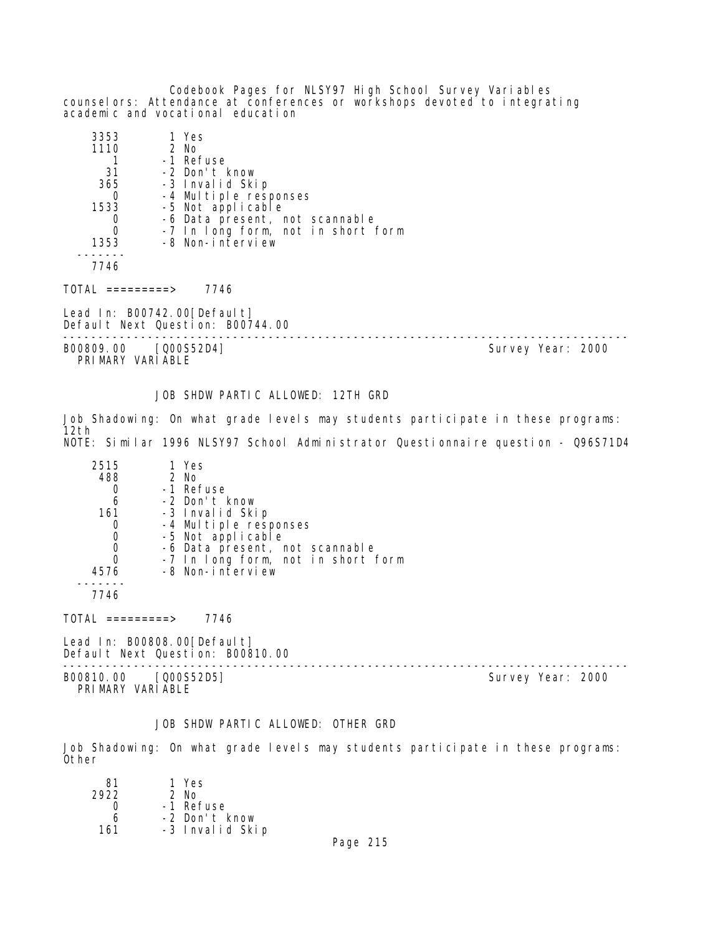Codebook Pages for NLSY97 High School Survey Variables counselors: Attendance at conferences or workshops devoted to integrating academic and vocational education

| 3353                             | 1 Yes                                                           |                   |
|----------------------------------|-----------------------------------------------------------------|-------------------|
| 1110                             | 2 No                                                            |                   |
|                                  | -1 Refuse                                                       |                   |
| -31                              | -2 Don't know                                                   |                   |
| 365                              | -3 Invalid Skip                                                 |                   |
| 0                                | -4 Multiple responses                                           |                   |
| 1533                             | -5 Not applicable                                               |                   |
| $\begin{matrix}0\\0\end{matrix}$ | -6 Data present, not scannable                                  |                   |
|                                  | -7 In long form, not in short form                              |                   |
| 1353                             | -8 Non-interview                                                |                   |
| 7746                             |                                                                 |                   |
| TOTAL =========>                 | 7746                                                            |                   |
|                                  | Lead In: B00742.00[Default]<br>Default Next Question: B00744.00 |                   |
| B00809.00                        | [Q00S52D4]                                                      | Survey Year: 2000 |

PRIMARY VARIABLE

JOB SHDW PARTIC ALLOWED: 12TH GRD

Job Shadowing: On what grade levels may students participate in these programs: 12th NOTE: Similar 1996 NLSY97 School Administrator Questionnaire question - Q96S71D4

| 2515 | 1 Yes                                      |
|------|--------------------------------------------|
| 488  | $2$ No                                     |
|      | -1 Refuse                                  |
| 6    | -2 Don't know                              |
| 161  | -3 Invalid Skip                            |
|      | -4 Multiple responses<br>-5 Not applicable |
|      |                                            |
|      | -6 Data present, not scannable             |
|      | -7 In long form, not in short form         |
| 4576 | -8 Non-interview                           |
|      |                                            |
|      |                                            |

7746

TOTAL =========> 7746

Lead In: B00808.00[Default] Default Next Question: B00810.00

B00810.00 [Q00S52D5] PRIMARY VARIABLE

--------------------------------------------------------------------------------

# JOB SHDW PARTIC ALLOWED: OTHER GRD

Job Shadowing: On what grade levels may students participate in these programs: Other

| 81   | 1 Yes           |
|------|-----------------|
| 2922 | $2$ No          |
| Ω    | -1 Refuse       |
| 6    | -2 Don't know   |
| 161  | -3 Invalid Skip |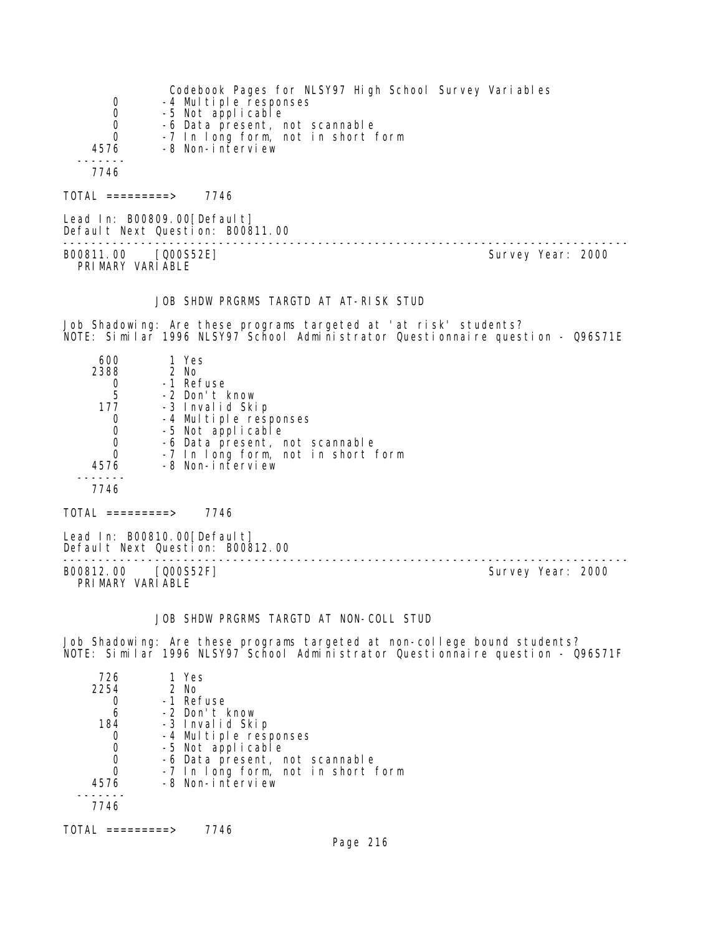| 0<br>0<br>0<br>0<br>4576                                 | Codebook Pages for NLSY97 High School Survey Variables<br>-4 Multiple responses<br>-5 Not applicable<br>-6 Data present, not scannable<br>-7 In long form, not in short form<br>-8 Non-interview         |                   |
|----------------------------------------------------------|----------------------------------------------------------------------------------------------------------------------------------------------------------------------------------------------------------|-------------------|
| 7746<br>$TOTAL$ =========> 7746                          |                                                                                                                                                                                                          |                   |
|                                                          | Lead In: B00809.00 [Default]<br>Default Next Question: B00811.00                                                                                                                                         |                   |
| B00811.00 [Q00S52E]<br>PRIMARY VARIABLE                  |                                                                                                                                                                                                          | Survey Year: 2000 |
|                                                          | JOB SHDW PRGRMS TARGTD AT AT-RISK STUD                                                                                                                                                                   |                   |
|                                                          | Job Shadowing: Are these programs targeted at 'at risk' students?<br>NOTE: Similar 1996 NLSY97 School Administrator Questionnaire question - Q96S71E                                                     |                   |
| 600<br>2388<br>0<br>5<br>177<br>0<br>0<br>0<br>0<br>4576 | 1 Yes<br>2 No<br>-1 Refuse<br>-2 Don't know<br>-3 Invalid Skip<br>-4 Multiple responses<br>-5 Not applicable<br>-6 Data present, not scannable<br>-7 In long form, not in short form<br>-8 Non-interview |                   |
| 7746                                                     |                                                                                                                                                                                                          |                   |
| $TOTAL$ =========> 7746                                  |                                                                                                                                                                                                          |                   |
|                                                          | Lead In: B00810.00 [Default]<br>Default Next Question: B00812.00                                                                                                                                         |                   |
| B00812.00 [Q00S52F]<br>PRIMARY VARIABLE                  |                                                                                                                                                                                                          | Survey Year: 2000 |
|                                                          | JOB SHDW PRGRMS TARGTD AT NON-COLL STUD                                                                                                                                                                  |                   |
|                                                          | Job Shadowing: Are these programs targeted at non-college bound students?<br>NOTE: Similar 1996 NLSY97 School Administrator Questionnaire question - Q96S71F                                             |                   |
| 726<br>2254<br>0<br>6<br>184                             | 1 Yes<br>2 No<br>-1 Refuse<br>-2 Don't know<br>-3 Invalid Skip                                                                                                                                           |                   |

- 0 -4 Multiple responses 0 -5 Not applicable
- 0 -6 Data present, not scannable
- 0 -7 In long form, not in short form
- 4576 -8 Non-interview -------
	- 7746
- TOTAL =========> 7746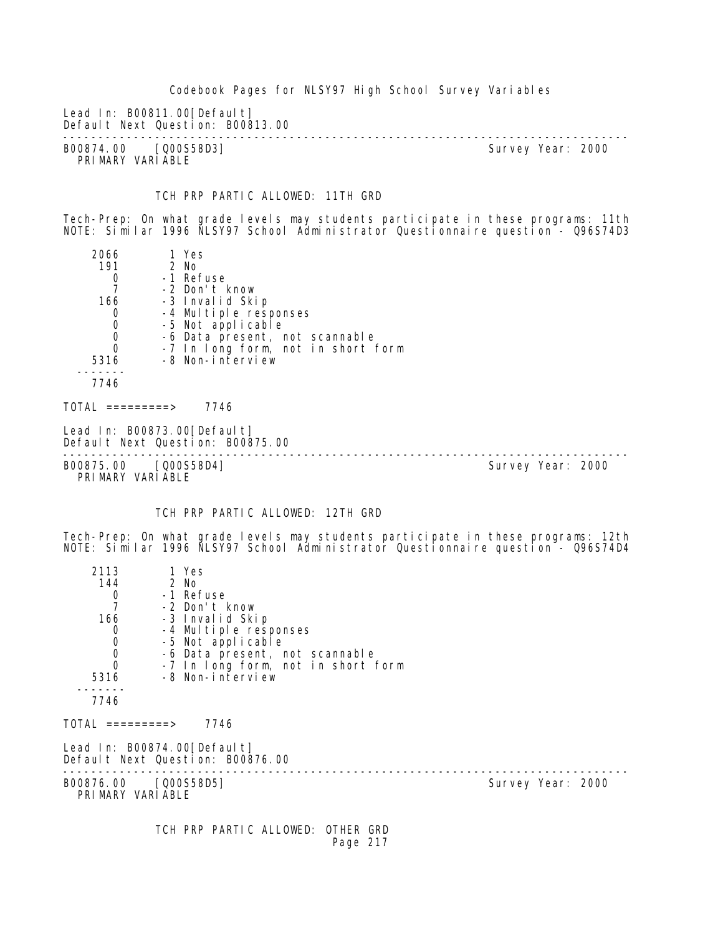Codebook Pages for NLSY97 High School Survey Variables Lead In: B00811.00 [Default] Default Next Question: B00813.00 -------------------------------------------------------------------------------- B00874.00 [Q00S58D3] PRIMARY VARIABLE TCH PRP PARTIC ALLOWED: 11TH GRD Tech-Prep: On what grade levels may students participate in these programs: 11th NOTE: Similar 1996 NLSY97 School Administrator Questionnaire question - Q96S74D3 2066 1 Yes<br>191 2 No 0 2 No<br>0 -1 Ret 0 -1 Refuse<br>7 -2 Don't H 7 -2 Don't know -3 Invalid Skip 0 -4 Multiple responses<br>0 -5 Not applicable 0 -5 Not applicable<br>0 -6 Data present, r 0 -6 Data present, not scannable 0 -7 In long form, not in short form 5316 -8 Non-interview ------- 7746  $TOTAL$  =========> 7746 Lead In: B00873.00 [Default] Default Next Question: B00875.00 -------------------------------------------------------------------------------- B00875.00 [Q00S58D4] PRIMARY VARIABLE TCH PRP PARTIC ALLOWED: 12TH GRD Tech-Prep: On what grade levels may students participate in these programs: 12th NOTE: Similar 1996 NLSY97 School Administrator Questionnaire question - Q96S74D4 2113 1 Yes<br>144 2 No 14 2 No<br>0 -1 Ret 0 -1 Refuse<br>7 -2 Don't F 7 -2 Don't know 166 -3 Invalid Skip 0 -4 Multiple responses<br>0 -5 Not applicable 0 -5 Not applicable<br>0 -6 Data present in 0 -6 Data present, not scannable 0 -7 In long form, not in short form 5316 -8 Non-interview ------- 7746 TOTAL =========> 7746 Lead In: B00874.00[Default] Default Next Question: B00876.00 -------------------------------------------------------------------------------- B00876.00 [Q00S58D5] PRIMARY VARIABLE TCH PRP PARTIC ALLOWED: OTHER GRD Page 217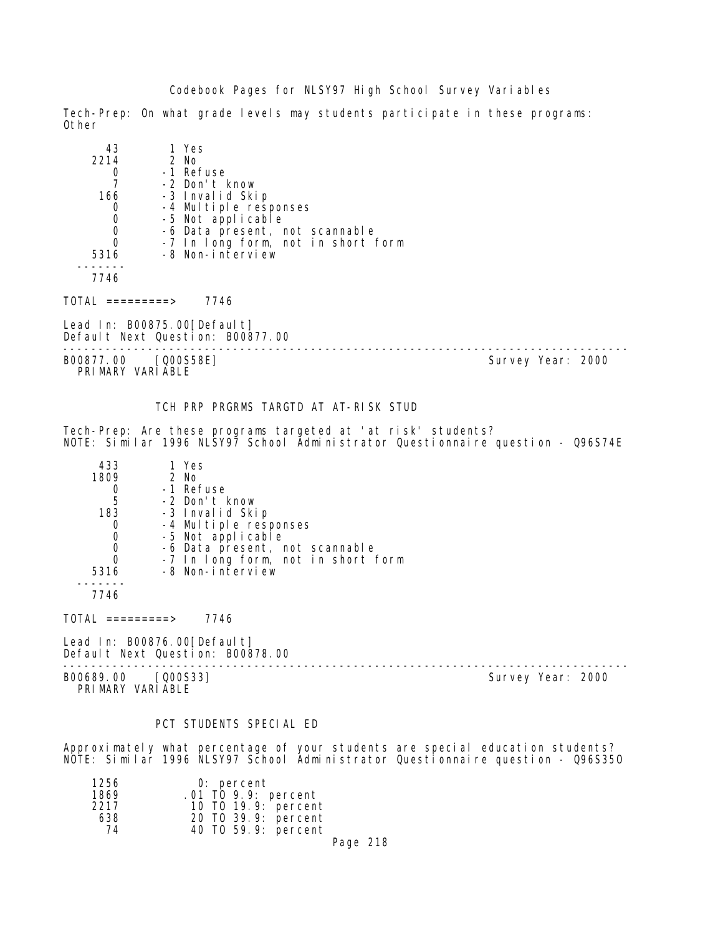Tech-Prep: On what grade levels may students participate in these programs: Other

| 43   | 1 Yes                              |
|------|------------------------------------|
| 2214 | 2 No                               |
|      | -1 Refuse                          |
|      | -2 Don't know                      |
| 166  | -3 Invalid Skip                    |
|      | -4 Multiple responses              |
| 0    | -5 Not applicable                  |
| O    | -6 Data present, not scannable     |
| Ω    | -7 In long form, not in short form |
| 5316 | -8 Non-interview                   |
|      |                                    |
| 7746 |                                    |

TOTAL =========> 7746

Lead In: B00875.00[Default] Default Next Question: B00877.00

B00877.00 [Q00S58E] Survey Year: 2000 PRIMARY VARIABLE

--------------------------------------------------------------------------------

# TCH PRP PRGRMS TARGTD AT AT-RISK STUD

Tech-Prep: Are these programs targeted at 'at risk' students? NOTE: Similar 1996 NLSY97 School Administrator Questionnaire question - Q96S74E

| 433  | 1 Yes                              |
|------|------------------------------------|
| 1809 | 2 No                               |
|      | -1 Refuse                          |
| 5    | -2 Don't know                      |
| 183  | -3 Invalid Skip                    |
|      | -4 Multiple responses              |
| 0    | -5 Not applicable                  |
| O    | -6 Data present, not scannable     |
|      | -7 In long form, not in short form |
| 5316 | -8 Non-interview                   |
|      |                                    |

7746

 $TOTAL$  =========> 7746

Lead In: B00876.00 [Default] Default Next Question: B00878.00

B00689.00 [Q00S33] PRIMARY VARIABLE

--------------------------------------------------------------------------------

# PCT STUDENTS SPECIAL ED

Approximately what percentage of your students are special education students? NOTE: Similar 1996 NLSY97 School Administrator Questionnaire question - Q96S35O

| 1256 | $0:$ percent        |  |
|------|---------------------|--|
| 1869 | .01 TO 9.9: percent |  |
| 2217 | 10 T0 19.9: percent |  |
| 638  | 20 TO 39.9: percent |  |
| 74   | 40 TO 59.9: percent |  |
|      |                     |  |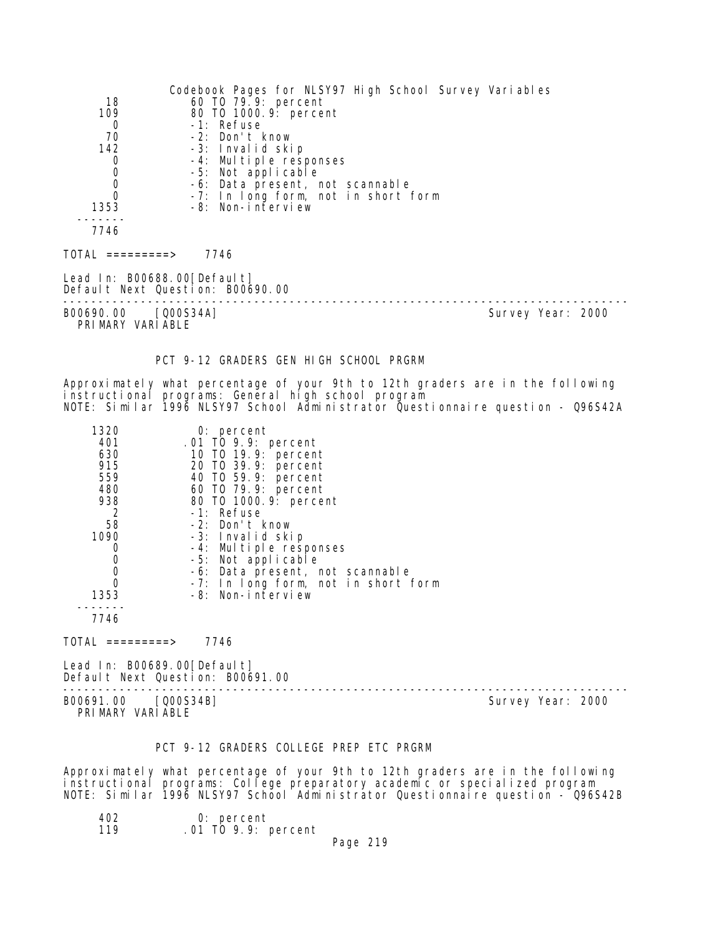| 18<br>109<br>0<br>70<br>142<br>0<br>0<br>0<br>0<br>1353<br>7746                                             | Codebook Pages for NLSY97 High School Survey Variables<br>60 T0 79.9: percent<br>80 T0 1000. 9: percent<br>-1: Refuse<br>-2: Don't know<br>-3: Invalid skip<br>-4: Multiple responses<br>-5: Not applicable<br>-6: Data present, not scannable<br>-7: In long form, not in short form<br>-8: Non-interview                                                   |                   |
|-------------------------------------------------------------------------------------------------------------|--------------------------------------------------------------------------------------------------------------------------------------------------------------------------------------------------------------------------------------------------------------------------------------------------------------------------------------------------------------|-------------------|
| $TOTAL$ =========> 7746                                                                                     |                                                                                                                                                                                                                                                                                                                                                              |                   |
| Lead In: B00688.00 [Default]<br>Default Next Question: B00690.00<br>B00690.00 [Q00S34A]<br>PRIMARY VARIABLE |                                                                                                                                                                                                                                                                                                                                                              | Survey Year: 2000 |
|                                                                                                             | PCT 9-12 GRADERS GEN HIGH SCHOOL PRGRM                                                                                                                                                                                                                                                                                                                       |                   |
|                                                                                                             | Approximately what percentage of your 9th to 12th graders are in the following<br>instructional programs: General high school program<br>NOTE: Similar 1996 NLSY97 School Administrator Questionnaire question - Q96S42A                                                                                                                                     |                   |
| 1320<br>401<br>630<br>915<br>559<br>480<br>938<br>2<br>58<br>1090<br>0<br>0<br>0<br>0<br>1353<br>----       | $0:$ percent<br>.01 TO 9.9: percent<br>10 T0 19.9: percent<br>20 TO 39.9: percent<br>40 TO 59.9: percent<br>60 TO 79.9: percent<br>80 T0 1000. 9: percent<br>-1: Refuse<br>-2: Don't know<br>-3: Invalid skip<br>-4: Multiple responses<br>-5: Not applicable<br>-6: Data present, not scannable<br>-7: In long form, not in short form<br>-8: Non-interview |                   |
| 7746                                                                                                        |                                                                                                                                                                                                                                                                                                                                                              |                   |
| $\overline{TOTAL}$ ==========>                                                                              | 7746                                                                                                                                                                                                                                                                                                                                                         |                   |
| Lead In: B00689.00 [Default]<br>Default Next Question: B00691.00                                            |                                                                                                                                                                                                                                                                                                                                                              |                   |
| B00691.00 [Q00S34B]<br>PRIMARY VARIABLE                                                                     |                                                                                                                                                                                                                                                                                                                                                              | Survey Year: 2000 |

# PCT 9-12 GRADERS COLLEGE PREP ETC PRGRM

Approximately what percentage of your 9th to 12th graders are in the following instructional programs: College preparatory academic or specialized program NOTE: Similar 1996 NLSY97 School Administrator Questionnaire question - Q96S42B

| 402. | 0: percent            |  |
|------|-----------------------|--|
| 119  | $.01$ TO 9.9: percent |  |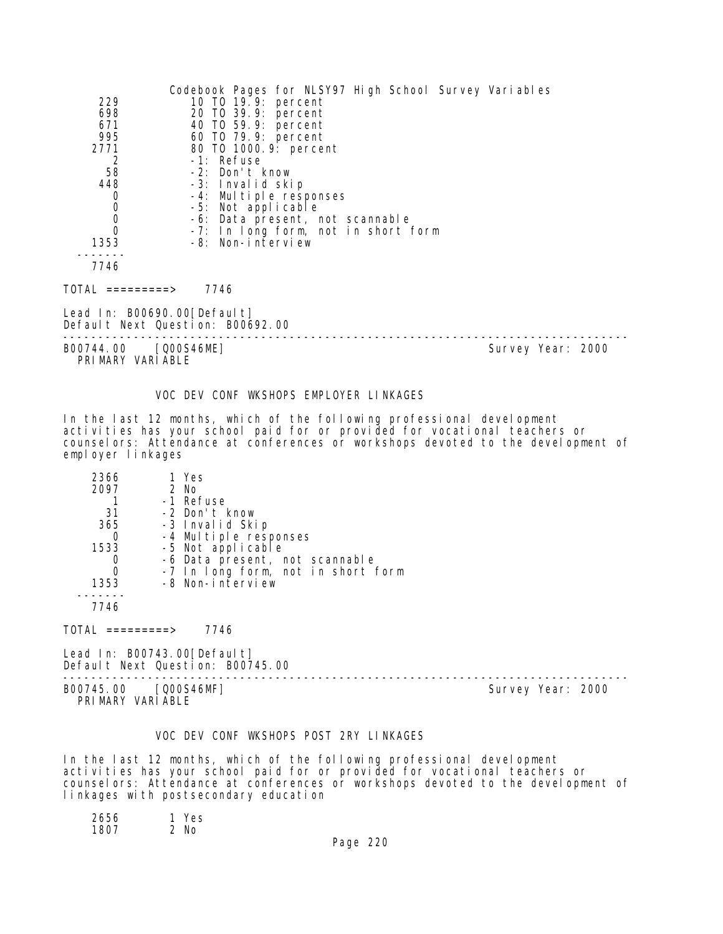| 229<br>698<br>671<br>995<br>2771<br>2      | Codebook Pages for NLSY97 High School Survey Variables<br>10 TO 19.9: percent<br>20 TO 39.9: percent<br>40 TO 59.9: percent<br>60 T0 79.9: percent<br>80 TO 1000.9: percent<br>-1: Refuse |                   |
|--------------------------------------------|-------------------------------------------------------------------------------------------------------------------------------------------------------------------------------------------|-------------------|
| 58                                         | -2: Don't know                                                                                                                                                                            |                   |
| 448                                        | -3: Invalid skip                                                                                                                                                                          |                   |
| $\mathbf 0$                                | -4: Multiple responses<br>-5: Not applicable                                                                                                                                              |                   |
| $\begin{smallmatrix}0\\0\end{smallmatrix}$ | -6: Data present, not scannable                                                                                                                                                           |                   |
| $\overline{0}$                             | -7: In long form, not in short form                                                                                                                                                       |                   |
| 1353                                       | -8: Non-interview                                                                                                                                                                         |                   |
| 7746                                       |                                                                                                                                                                                           |                   |
| TOTAL =========>                           | 7746                                                                                                                                                                                      |                   |
| Lead In: B00690.00[Default]                | Default Next Question: B00692.00                                                                                                                                                          |                   |
| B00744.00 [Q00S46ME]<br>PRIMARY VARIABLE   |                                                                                                                                                                                           | Survey Year: 2000 |

# VOC DEV CONF WKSHOPS EMPLOYER LINKAGES

In the last 12 months, which of the following professional development activities has your school paid for or provided for vocational teachers or counselors: Attendance at conferences or workshops devoted to the development of employer linkages

| 2366 | 1 Yes                              |
|------|------------------------------------|
| 2097 | 2 No                               |
|      | -1 Refuse                          |
| 31   | -2 Don't know                      |
| 365  | -3 Invalid Skip                    |
|      | -4 Multiple responses              |
| 1533 | -5 Not applicable                  |
|      | -6 Data present, not scannable     |
|      | -7 In long form, not in short form |
| 1353 | -8 Non-interview                   |
|      |                                    |
| 7746 |                                    |

 $TOTAL$  =========> 7746

Lead In: B00743.00[Default] Default Next Question: B00745.00

-------------------------------------------------------------------------------- B00745.00 [Q00S46MF] Survey Year: 2000 PRIMARY VARIABLE

# VOC DEV CONF WKSHOPS POST 2RY LINKAGES

In the last 12 months, which of the following professional development activities has your school paid for or provided for vocational teachers or counselors: Attendance at conferences or workshops devoted to the development of linkages with postsecondary education

| 2656 | 1 Yes |  |
|------|-------|--|
| 1807 | 2 No  |  |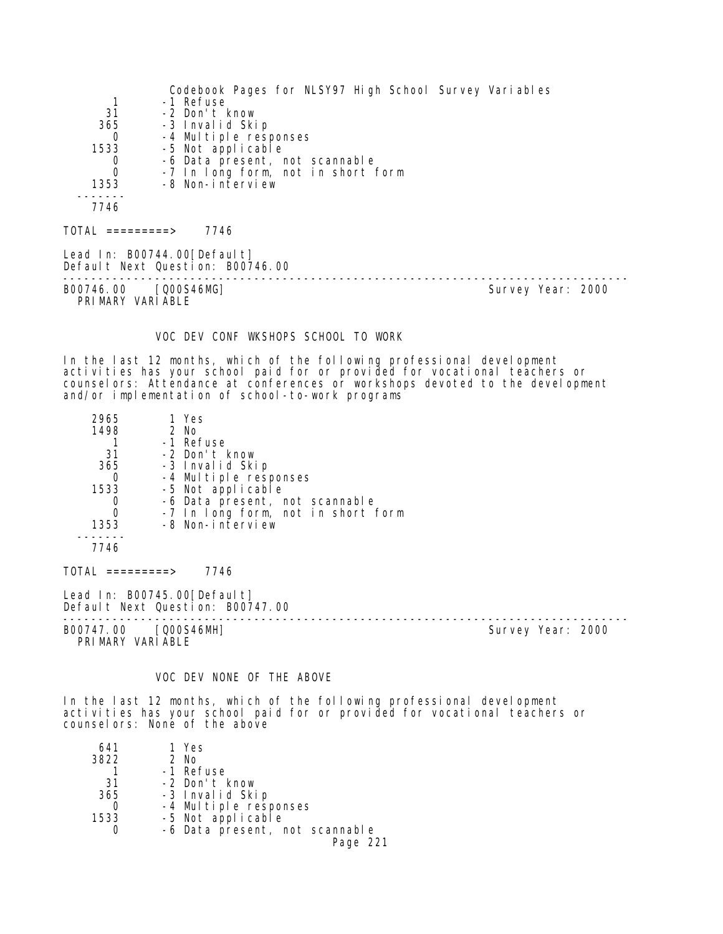Codebook Pages for NLSY97 High School Survey Variables 1 -1 Refuse<br>31 -2 Don't H 31 -2 Don't know 365 -3 Invalid Skip 0 -4 Multiple responses 1533 -5 Not applicable 0 -6 Data present, not scannable 0 -7 In long form, not in short form 1353 -8 Non-interview ------- 7746  $TOTAL$  =========> 7746 Lead In: B00744.00 [Default] Default Next Question: B00746.00 -------------------------------------------------------------------------------- B00746.00 [Q00S46MG] PRIMARY VARIABLE

#### VOC DEV CONF WKSHOPS SCHOOL TO WORK

In the last 12 months, which of the following professional development activities has your school paid for or provided for vocational teachers or counselors: Attendance at conferences or workshops devoted to the development and/or implementation of school-to-work programs

| 2965             | 1 Yes                                                           |  |
|------------------|-----------------------------------------------------------------|--|
| 1498             | 2 No                                                            |  |
|                  | -1 Refuse                                                       |  |
| 31               | -2 Don't know                                                   |  |
| 365              | -3 Invalid Skip                                                 |  |
| 0                | -4 Multiple responses                                           |  |
| 1533             | -5 Not applicable                                               |  |
| 0                | -6 Data present, not scannable                                  |  |
| $\Omega$         | -7 In long form, not in short form                              |  |
| 1353             | -8 Non-interview                                                |  |
|                  |                                                                 |  |
| 7746             |                                                                 |  |
| TOTAL =========> | 7746                                                            |  |
|                  | Lead In: B00745.00[Default]<br>Default Next Ouestion: ROO747 OO |  |

Default Next Question: B00747.00 -------------------------------------------------------------------------------- B00747.00 [Q00S46MH] Survey Year: 2000

# PRIMARY VARIABLE

# VOC DEV NONE OF THE ABOVE

In the last 12 months, which of the following professional development activities has your school paid for or provided for vocational teachers or counselors: None of the above

| 641  | 1 Yes                          |
|------|--------------------------------|
| 3822 | 2 No                           |
|      | -1 Refuse                      |
| 31   | -2 Don't know                  |
| 365  | -3 Invalid Skip                |
|      | -4 Multiple responses          |
| 1533 | -5 Not applicable              |
|      | -6 Data present, not scannable |
|      | Page 221                       |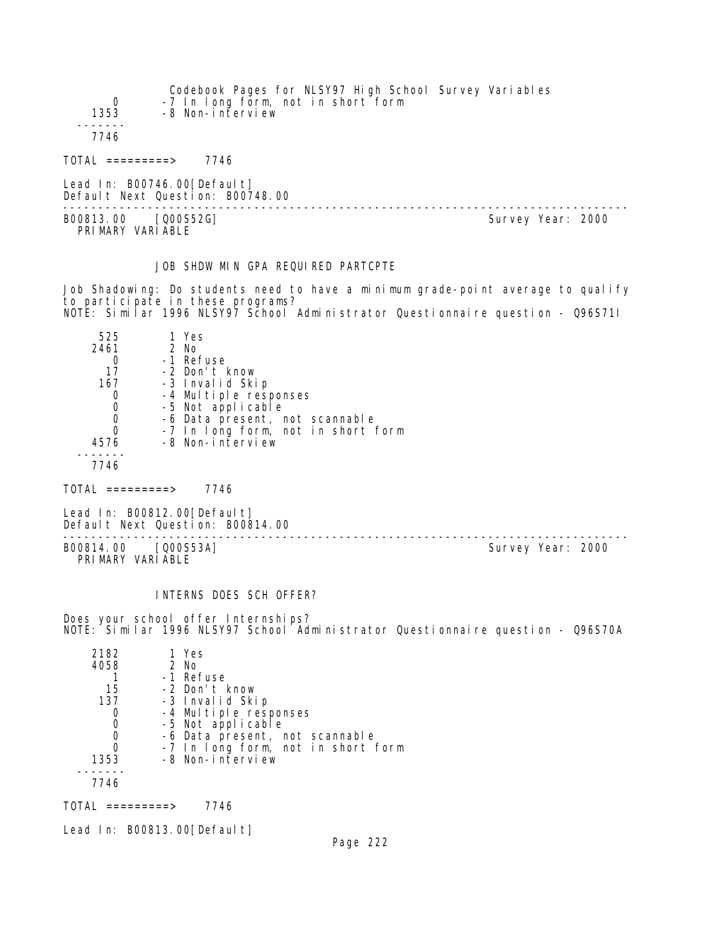| 0<br>1353           | Codebook Pages for NLSY97 High School Survey Variables<br>-7 In long form, not in short form<br>-8 Non-interview |  |
|---------------------|------------------------------------------------------------------------------------------------------------------|--|
| 7746                |                                                                                                                  |  |
| $TOTAL$ ==========> | 7746                                                                                                             |  |
|                     | Lead In: $B00746.00[Defaul t]$<br>Default Next Question: B00748.00                                               |  |

-------------------------------------------------------------------------------- B00813.00 [Q00S52G] PRIMARY VARIABLE

# JOB SHDW MIN GPA REQUIRED PARTCPTE

Job Shadowing: Do students need to have a minimum grade-point average to qualify to participate in these programs? NOTE: Similar 1996 NLSY97 School Administrator Questionnaire question - Q96S71I

| 525  | 1 Yes                              |
|------|------------------------------------|
| 2461 | $2$ No                             |
|      | -1 Refuse                          |
| 17   | -2 Don't know                      |
| 167  | -3 Invalid Skip                    |
|      | -4 Multiple responses              |
|      | -5 Not applicable                  |
|      | -6 Data present, not scannable     |
|      | -7 In long form, not in short form |
| 4576 | -8 Non-interview                   |
|      |                                    |
| 7746 |                                    |

 $TOTAL$  =========> 7746

Lead In: B00812.00 [Default] Default Next Question: B00814.00

B00814.00 [Q00S53A] PRIMARY VARIABLE

--------------------------------------------------------------------------------

#### INTERNS DOES SCH OFFER?

Does your school offer Internships? NOTE: Similar 1996 NLSY97 School Administrator Questionnaire question - Q96S70A

| 2182 | 1 Yes                              |
|------|------------------------------------|
| 4058 | $2$ No                             |
|      | -1 Refuse                          |
| 15   | -2 Don't know                      |
| 137  | -3 Invalid Skip                    |
|      | -4 Multiple responses              |
|      | -5 Not applicable                  |
| O    | -6 Data present, not scannable     |
| 0    | -7 In long form, not in short form |
| 1353 | -8 Non-interview                   |
|      |                                    |
| 7746 |                                    |
|      |                                    |

 $TOTAL$  =========> 7746

Lead In: B00813.00[Default]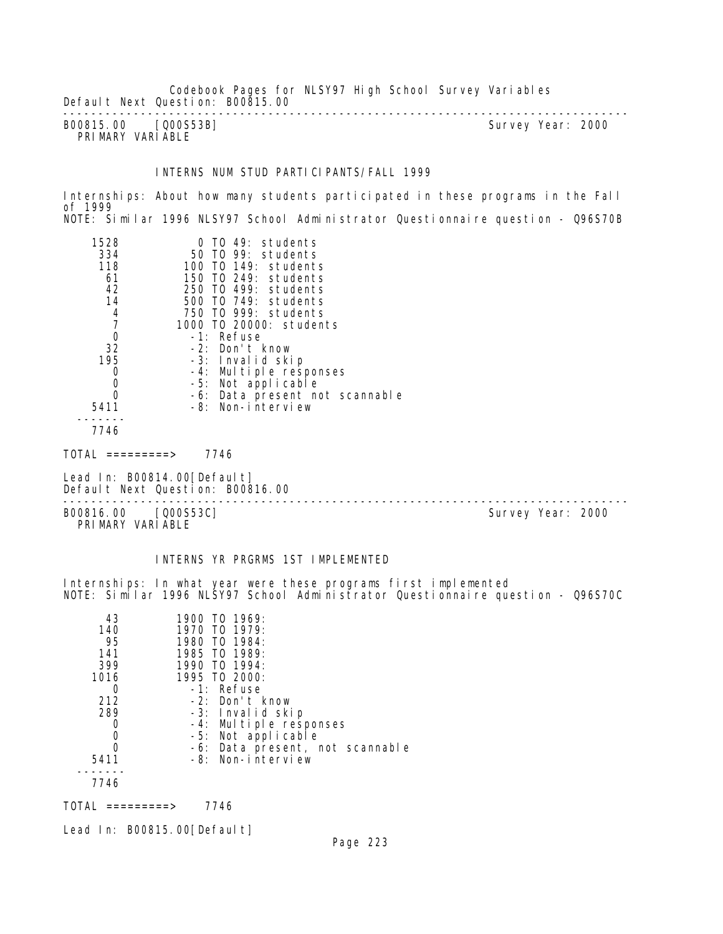Codebook Pages for NLSY97 High School Survey Variables Default Next Question: B00815.00 --------------------------------------------------------------------------------

B00815.00 [Q00S53B] PRIMARY VARIABLE

#### INTERNS NUM STUD PARTICIPANTS/FALL 1999

Internships: About how many students participated in these programs in the Fall of 1999 NOTE: Similar 1996 NLSY97 School Administrator Questionnaire question - Q96S70B

| 1528 | $0$ TO 49: students            |
|------|--------------------------------|
| 334  | 50 TO 99: students             |
| 118  | 100 TO 149: students           |
| 61   | 150 TO 249: students           |
| 42   | 250 TO 499: students           |
| 14   | 500 TO 749: students           |
| 4    | 750 TO 999: students           |
|      | 1000 TO 20000: students        |
| 0    | -1: Refuse                     |
| 32   | -2: Don't know                 |
| 195  | -3: Invalid skip               |
| 0    | -4: Multiple responses         |
| 0    | -5: Not applicable             |
|      | -6: Data present not scannable |
| 5411 | -8: Non-interview              |
|      |                                |
| 7714 |                                |

7746

TOTAL =========> 7746

Lead In: B00814.00 [Default] Default Next Question: B00816.00

--------------------------------------------------------------------------------

B00816.00 [Q00S53C] Survey Year: 2000 PRIMARY VARIABLE

# INTERNS YR PRGRMS 1ST IMPLEMENTED

Internships: In what year were these programs first implemented NOTE: Similar 1996 NLSY97 School Administrator Questionnaire question - Q96S70C

| 43   | 1900 TO 1969:                   |
|------|---------------------------------|
| 140  | 1970 TO 1979:                   |
| 95   | 1980 TO 1984:                   |
| 141  | 1985 TO 1989:                   |
| 399  | 1990 TO 1994:                   |
| 1016 | 1995 TO 2000:                   |
|      | -1: Refuse                      |
| 212  | -2: Don't know                  |
| 289  | -3: Invalid skip                |
|      | -4: Multiple responses          |
|      | -5: Not applicable              |
|      | -6: Data present, not scannable |
| 5411 | -8: Non-interview               |
|      |                                 |
| 7746 |                                 |

TOTAL =========> 7746

Lead In: B00815.00 [Default]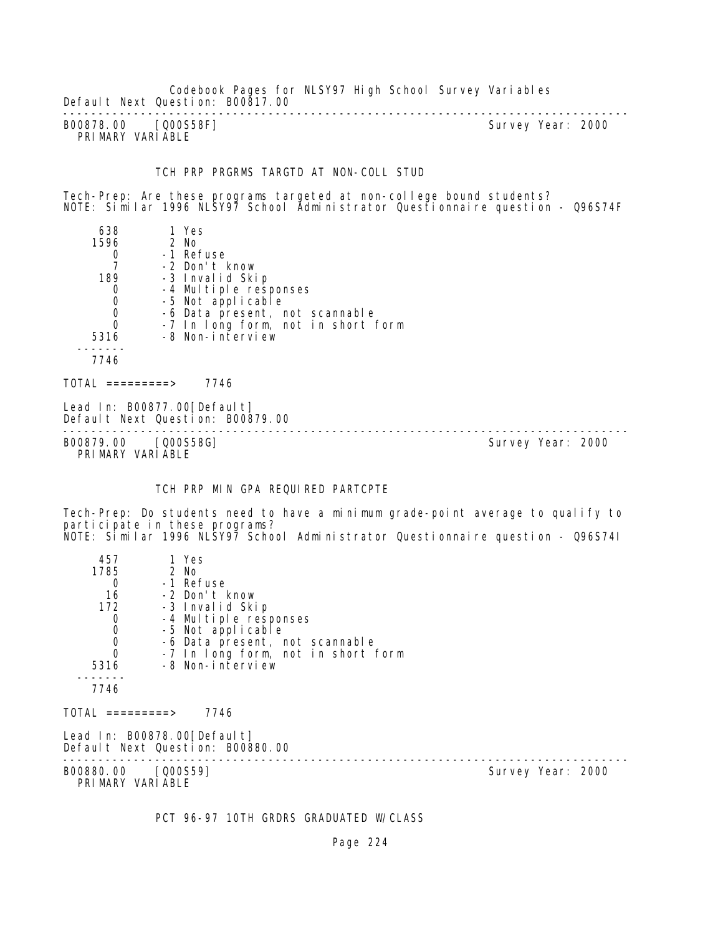Codebook Pages for NLSY97 High School Survey Variables Default Next Question: B00817.00

-------------------------------------------------------------------------------- B00878.00 [Q00S58F] PRIMARY VARIABLE

#### TCH PRP PRGRMS TARGTD AT NON-COLL STUD

Tech-Prep: Are these programs targeted at non-college bound students? NOTE: Similar 1996 NLSY97 School Administrator Questionnaire question - Q96S74F

| 638  | 1 Yes                              |
|------|------------------------------------|
| 1596 | 2 No                               |
|      | -1 Refuse                          |
|      | -2 Don't know                      |
| 189  | -3 Invalid Skip                    |
|      | -4 Multiple responses              |
| 0    | -5 Not applicable                  |
| 0    | -6 Data present, not scannable     |
| 0    | -7 In long form, not in short form |
| 5316 | -8 Non-interview                   |
|      |                                    |
| 7746 |                                    |
|      |                                    |

 $TOTAL$  ========> 7746

Lead In: B00877.00 [Default] Default Next Question: B00879.00

-------------------------------------------------------------------------------- B00879.00 [Q00S58G] Survey Year: 2000 PRIMARY VARIABLE

#### TCH PRP MIN GPA REQUIRED PARTCPTE

Tech-Prep: Do students need to have a minimum grade-point average to qualify to participate in these programs? NOTE: Similar 1996 NLSY97 School Administrator Questionnaire question - Q96S74I

| 457<br>1785<br>$\Omega$<br>16<br>172<br>0<br>$\boldsymbol{0}$<br>$\begin{matrix}0\\0\end{matrix}$<br>5316<br>7746 | 1 Yes<br>2 No<br>-1 Refuse<br>-2 Don't know<br>-3 Invalid Skip<br>-4 Multiple responses<br>-5 Not applicable<br>-6 Data present, not scannable<br>-7 In long form, not in short form<br>-8 Non-interview |                   |  |
|-------------------------------------------------------------------------------------------------------------------|----------------------------------------------------------------------------------------------------------------------------------------------------------------------------------------------------------|-------------------|--|
| TOTAL =========>                                                                                                  | 7746                                                                                                                                                                                                     |                   |  |
| Lead In: B00878.00[Default]<br>Default Next Question: B00880.00                                                   |                                                                                                                                                                                                          |                   |  |
| B00880.00 [Q00S59]<br>PRIMARY VARIABLE                                                                            |                                                                                                                                                                                                          | Survey Year: 2000 |  |

PCT 96-97 10TH GRDRS GRADUATED W/CLASS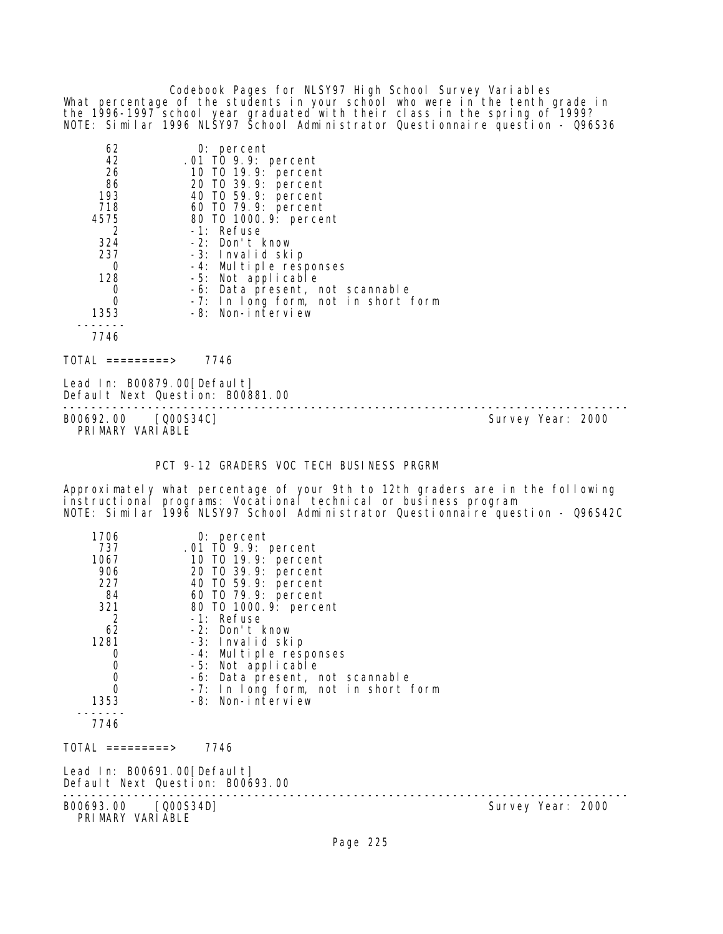Codebook Pages for NLSY97 High School Survey Variables What percentage of the students in your school who were in the tenth grade in the 1996-1997 school year graduated with their class in the spring of 1999? NOTE: Similar 1996 NLSY97 School Administrator Questionnaire question - Q96S36

| 62   | $0:$ percent                        |
|------|-------------------------------------|
| 42   | .01 TO 9.9: percent                 |
| 26   | 10 T0 19.9: percent                 |
| 86   | 20 TO 39.9: percent                 |
| 193  | 40 T0 59.9: percent                 |
| 718  | 60 T0 79.9: percent                 |
| 4575 | 80 T0 1000. 9: percent              |
| 2    | -1: Refuse                          |
| 324  | -2: Don't know                      |
| 237  | -3: Invalid skip                    |
| Ω    | -4: Multiple responses              |
| 128  | -5: Not applicable                  |
|      | -6: Data present, not scannable     |
| 0    | -7: In long form, not in short form |
| 1353 | -8: Non-interview                   |
|      |                                     |
| 7746 |                                     |

 $TOTAL$  =========> 7746

Lead In: B00879.00 [Default] Default Next Question: B00881.00

B00692.00 [Q00S34C] PRIMARY VARIABLE

--------------------------------------------------------------------------------

PCT 9-12 GRADERS VOC TECH BUSINESS PRGRM

Approximately what percentage of your 9th to 12th graders are in the following instructional programs: Vocational technical or business program NOTE: Similar 1996 NLSY97 School Administrator Questionnaire question - Q96S42C

| 1706                                                            | $0:$ percent                                             |
|-----------------------------------------------------------------|----------------------------------------------------------|
| 737                                                             | .01 TO 9.9: percent                                      |
| 1067                                                            | 10 TO 19.9: percent                                      |
| 906                                                             | 20 T0 39.9: percent                                      |
| 227                                                             | 40 TO 59.9: percent                                      |
| 84                                                              | 60 TO 79.9: percent                                      |
| 321                                                             | 80 T0 1000. 9: percent                                   |
| $\overline{2}$                                                  | -1: Refuse                                               |
| 62                                                              | -2: Don't know                                           |
| 1281                                                            | -3: Invalid skip                                         |
| 0                                                               | -4: Multiple responses                                   |
| $\begin{matrix} 0 \\ 0 \end{matrix}$                            | -5: Not applicable                                       |
| $\overline{0}$                                                  | -6: Data present, not scannable                          |
| 1353                                                            | -7: In long form, not in short form<br>-8: Non-interview |
|                                                                 |                                                          |
| 7746                                                            |                                                          |
|                                                                 |                                                          |
| TOTAL =========>                                                | 7746                                                     |
| Lead In: B00691.00[Default]<br>Default Next Question: B00693.00 |                                                          |
|                                                                 |                                                          |

B00693.00 [Q00S34D] Survey Year: 2000 PRIMARY VARIABLE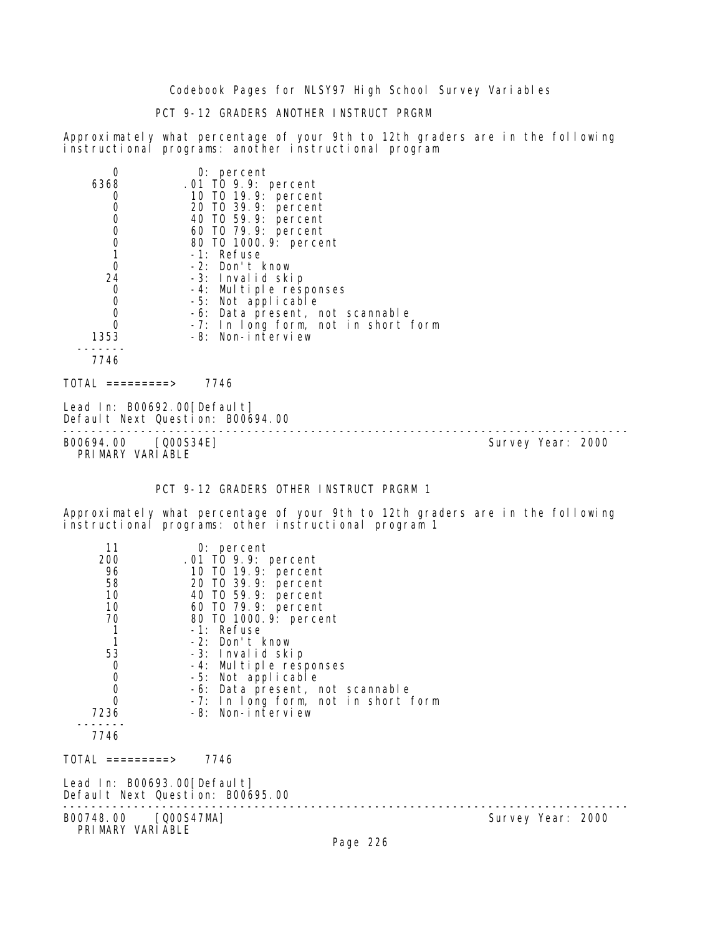# PCT 9-12 GRADERS ANOTHER INSTRUCT PRGRM

Approximately what percentage of your 9th to 12th graders are in the following instructional programs: another instructional program

|             | $0:$ percent                        |
|-------------|-------------------------------------|
| 6368        | $.01$ TO 9.9: percent               |
|             | 10 TO 19.9: percent                 |
| 0           | 20 TO 39.9: percent                 |
| $\mathbf 0$ | 40 TO 59.9: percent                 |
| 0           | 60 TO 79.9: percent                 |
| 0           | 80 T0 1000. 9: percent              |
|             | -1: Refuse                          |
| 0           | -2: Don't know                      |
| 24          | -3: Invalid skip                    |
| 0           | -4: Multiple responses              |
| $\mathbf 0$ | -5: Not applicable                  |
| $\mathbf 0$ | -6: Data present, not scannable     |
| $\Omega$    | -7: In long form, not in short form |
| 1353        | -8: Non-interview                   |
|             |                                     |
| 7746        |                                     |
| 101AI       | 7746                                |

Lead In: B00692.00 [Default] Default Next Question: B00694.00

-------------------------------------------------------------------------------- B00694.00 [Q00S34E] Survey Year: 2000 PRIMARY VARIABLE

PCT 9-12 GRADERS OTHER INSTRUCT PRGRM 1

Approximately what percentage of your 9th to 12th graders are in the following instructional programs: other instructional program 1

| 11<br>200<br>96<br>58<br>10<br>10<br>70<br>$\begin{array}{c} 1 \\ 1 \end{array}$<br>53<br>$\begin{matrix} 0 \\ 0 \\ 0 \\ 0 \end{matrix}$<br>7236<br>7746 | $0:$ percent<br>.01 TO 9.9: percent<br>10 T0 19.9: percent<br>20 T0 39.9: percent<br>40 TO 59.9: percent<br>60 TO 79.9: percent<br>80 T0 1000. 9: percent<br>-1: Refuse<br>-2: Don't know<br>-3: Invalid skip<br>-4: Multiple responses<br>-5: Not applicable<br>-6: Data present, not scannable<br>-7: In long form, not in short form<br>-8: Non-interview |                   |  |
|----------------------------------------------------------------------------------------------------------------------------------------------------------|--------------------------------------------------------------------------------------------------------------------------------------------------------------------------------------------------------------------------------------------------------------------------------------------------------------------------------------------------------------|-------------------|--|
| TOTAL =========>                                                                                                                                         | 7746                                                                                                                                                                                                                                                                                                                                                         |                   |  |
| Lead In: B00693.00[Default]<br>Default Next Question: B00695.00                                                                                          |                                                                                                                                                                                                                                                                                                                                                              |                   |  |
| B00748.00 [Q00S47MA]<br>PRIMARY VARIABLE                                                                                                                 |                                                                                                                                                                                                                                                                                                                                                              | Survey Year: 2000 |  |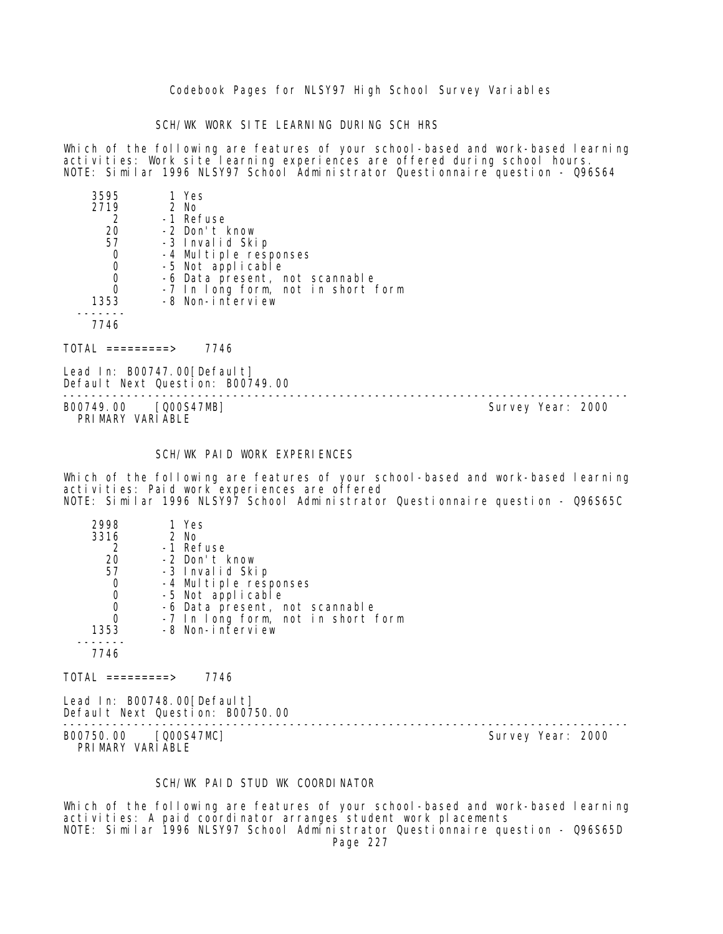SCH/WK WORK SITE LEARNING DURING SCH HRS

Which of the following are features of your school-based and work-based learning activities: Work site learning experiences are offered during school hours. NOTE: Similar 1996 NLSY97 School Administrator Questionnaire question - Q96S64

| 3595 | 1 Yes                                      |
|------|--------------------------------------------|
| 2719 | 2 No                                       |
|      | -1 Refuse                                  |
| 20   | -2 Don't know                              |
| 57   | -3 Invalid Skip                            |
| 0    |                                            |
| 0    | -4 Multiple responses<br>-5 Not applicable |
| 0    | -6 Data present, not scannable             |
| 0    | -7 In long form, not in short form         |
| 1353 | -8 Non-interview                           |
|      |                                            |
| 7746 |                                            |

TOTAL =========> 7746

Lead In: B00747.00 [Default] Default Next Question: B00749.00

-------------------------------------------------------------------------------- B00749.00 [Q00S47MB] PRIMARY VARIABLE

# SCH/WK PAID WORK EXPERIENCES

Which of the following are features of your school-based and work-based learning activities: Paid work experiences are offered NOTE: Similar 1996 NLSY97 School Administrator Questionnaire question - Q96S65C

| 2998 | 1 Yes                              |
|------|------------------------------------|
| 3316 | 2 No                               |
| 2    | -1 Refuse                          |
| 20   | -2 Don't know                      |
| 57   | -3 Invalid Skip                    |
| 0    | -4 Multiple responses              |
| 0    | -5 Not applicable                  |
| 0    | -6 Data present, not scannable     |
| Ω    | -7 In long form, not in short form |
| 1353 | -8 Non-interview                   |
|      |                                    |
|      |                                    |

 $TOTAL$  ========> 7746

Lead In: B00748.00 [Default] Default Next Question: B00750.00

B00750.00 [Q00S47MC] PRIMARY VARIABLE

--------------------------------------------------------------------------------

#### SCH/WK PAID STUD WK COORDINATOR

Which of the following are features of your school-based and work-based learning activities: A paid coordinator arranges student work placements NOTE: Similar 1996 NLSY97 School Administrator Questionnaire question - Q96S65D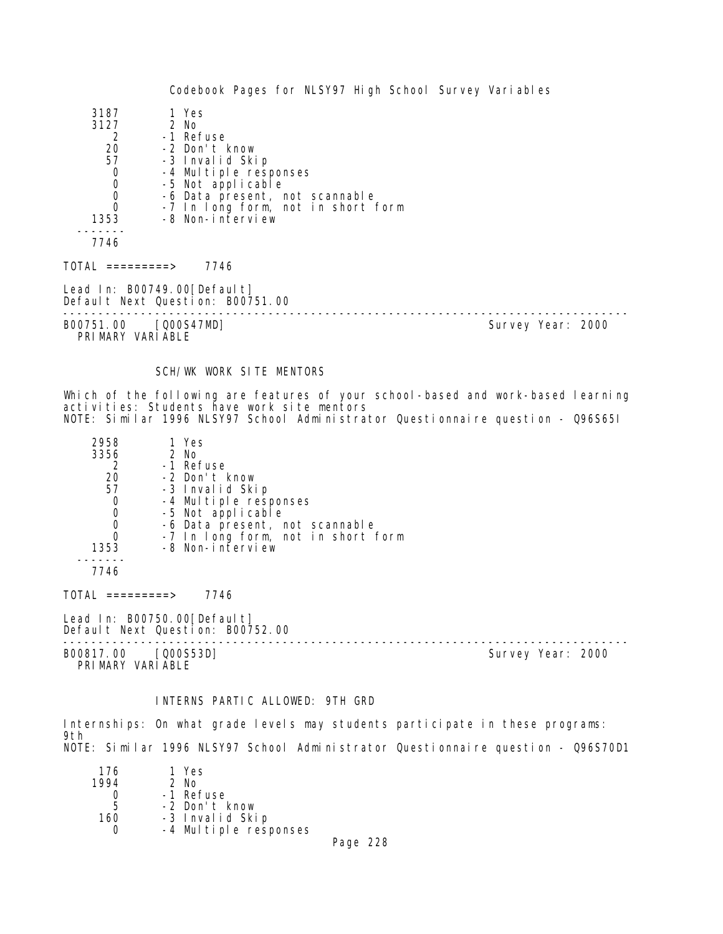| 3187                                 | 1 Yes                                                           |                   |  |
|--------------------------------------|-----------------------------------------------------------------|-------------------|--|
| 3127                                 | 2 No                                                            |                   |  |
| 2                                    | -1 Refuse                                                       |                   |  |
| 20                                   | -2 Don't know                                                   |                   |  |
| 57                                   | -3 Invalid Skip                                                 |                   |  |
| $\begin{matrix} 0 \\ 0 \end{matrix}$ | -4 Multiple responses                                           |                   |  |
|                                      | -5 Not applicable                                               |                   |  |
| $\begin{matrix}0\\0\end{matrix}$     | -6 Data present, not scannable                                  |                   |  |
|                                      | -7 In long form, not in short form                              |                   |  |
| 1353                                 | -8 Non-interview                                                |                   |  |
| 7746                                 |                                                                 |                   |  |
| TOTAL =========>                     | 7746                                                            |                   |  |
|                                      | Lead In: B00749.00[Default]<br>Default Next Question: B00751.00 |                   |  |
| B00751.00                            | [Q00S47MD]                                                      | Survey Year: 2000 |  |

PRIMARY VARIABLE

# SCH/WK WORK SITE MENTORS

Which of the following are features of your school-based and work-based learning activities: Students have work site mentors NOTE: Similar 1996 NLSY97 School Administrator Questionnaire question - Q96S65I

| 2958 | 1 Yes                              |
|------|------------------------------------|
| 3356 | 2 No                               |
|      | -1 Refuse                          |
| 20   | -2 Don't know                      |
| 57   | -3 Invalid Skip                    |
| 0    | -4 Multiple responses              |
| 0    | -5 Not applicable                  |
| O    | -6 Data present, not scannable     |
|      | -7 In long form, not in short form |
| 1353 | -8 Non-interview                   |
|      |                                    |

7746

TOTAL =========> 7746

Lead In: B00750.00 [Default] Default Next Question: B00752.00

-------------------------------------------------------------------------------- B00817.00 [Q00S53D] Survey Year: 2000

PRIMARY VARIABLE

# INTERNS PARTIC ALLOWED: 9TH GRD

Internships: On what grade levels may students participate in these programs: 9th NOTE: Similar 1996 NLSY97 School Administrator Questionnaire question - Q96S70D1

| 176  | 1 Yes                 |   |  |
|------|-----------------------|---|--|
| 1994 | $2$ No                |   |  |
|      | -1 Refuse             |   |  |
| 5    | -2 Don't know         |   |  |
| 160  | -3 Invalid Skip       |   |  |
|      | -4 Multiple responses |   |  |
|      |                       | - |  |

Page 228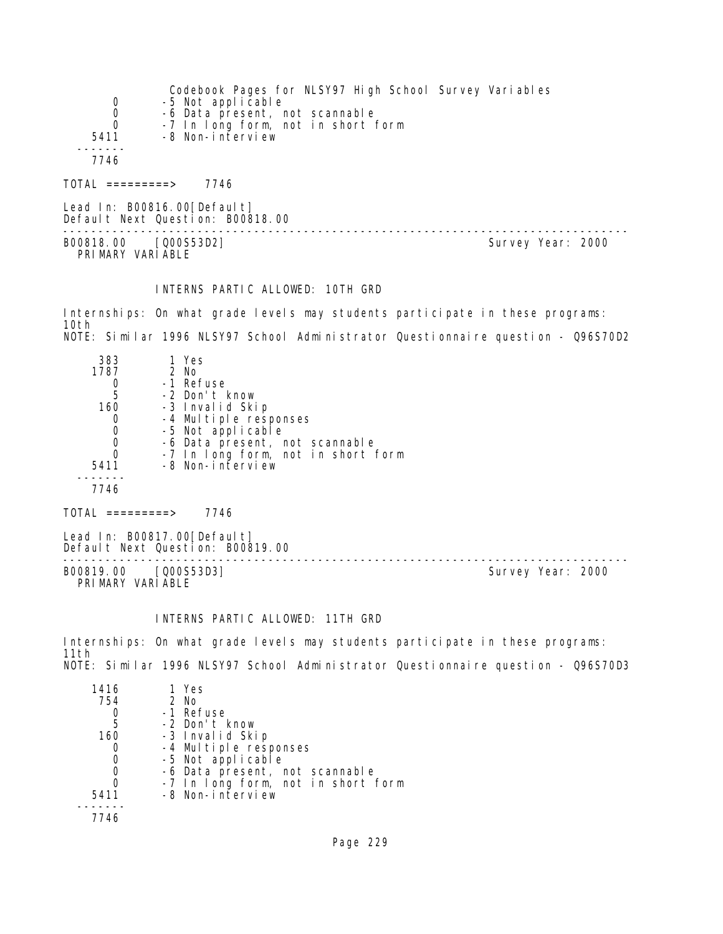| 0<br>0<br>$\Omega$ | Codebook Pages for NLSY97 High School Survey Variables<br>-5 Not applicable<br>-6 Data present, not scannable<br>-7 In long form, not in short form                                                                                                                                                                                                                                                                                                                                        |
|--------------------|--------------------------------------------------------------------------------------------------------------------------------------------------------------------------------------------------------------------------------------------------------------------------------------------------------------------------------------------------------------------------------------------------------------------------------------------------------------------------------------------|
| 5411<br>7746       | -8 Non-interview                                                                                                                                                                                                                                                                                                                                                                                                                                                                           |
| TOTAL =========>   | 7746                                                                                                                                                                                                                                                                                                                                                                                                                                                                                       |
|                    | $\blacksquare$ $\blacksquare$ $\blacksquare$ $\blacksquare$ $\blacksquare$ $\blacksquare$ $\blacksquare$ $\blacksquare$ $\blacksquare$ $\blacksquare$ $\blacksquare$ $\blacksquare$ $\blacksquare$ $\blacksquare$ $\blacksquare$ $\blacksquare$ $\blacksquare$ $\blacksquare$ $\blacksquare$ $\blacksquare$ $\blacksquare$ $\blacksquare$ $\blacksquare$ $\blacksquare$ $\blacksquare$ $\blacksquare$ $\blacksquare$ $\blacksquare$ $\blacksquare$ $\blacksquare$ $\blacksquare$ $\blacks$ |

Lead In: B00816.00 [Default] Default Next Question: B00818.00 -------------------------------------------------------------------------------- B00818.00 [Q00S53D2] Survey Year: 2000 PRIMARY VARIABLE

#### INTERNS PARTIC ALLOWED: 10TH GRD

Internships: On what grade levels may students participate in these programs: 10th NOTE: Similar 1996 NLSY97 School Administrator Questionnaire question - Q96S70D2

| 1 Yes                              |
|------------------------------------|
| $2$ No                             |
| -1 Refuse                          |
| -2 Don't know                      |
| -3 Invalid Skip                    |
| -4 Multiple responses              |
| -5 Not applicable                  |
| -6 Data present, not scannable     |
| -7 In long form, not in short form |
| -8 Non-interview                   |
|                                    |
|                                    |
|                                    |

 $TOTAL$  =========> 7746

Lead In: B00817.00 [Default] Default Next Question: B00819.00

B00819.00 [Q00S53D3] PRIMARY VARIABLE

--------------------------------------------------------------------------------

# INTERNS PARTIC ALLOWED: 11TH GRD

Internships: On what grade levels may students participate in these programs: 11th NOTE: Similar 1996 NLSY97 School Administrator Questionnaire question - Q96S70D3

| 1416 | 1 Yes                              |
|------|------------------------------------|
| 754  | 2 No                               |
|      | -1 Refuse                          |
| -5   | -2 Don't know                      |
| 160  | -3 Invalid Skip                    |
|      | -4 Multiple responses              |
|      | -5 Not applicable                  |
|      | -6 Data present, not scannable     |
|      | -7 In long form, not in short form |
| 5411 | -8 Non-interview                   |
|      |                                    |
|      |                                    |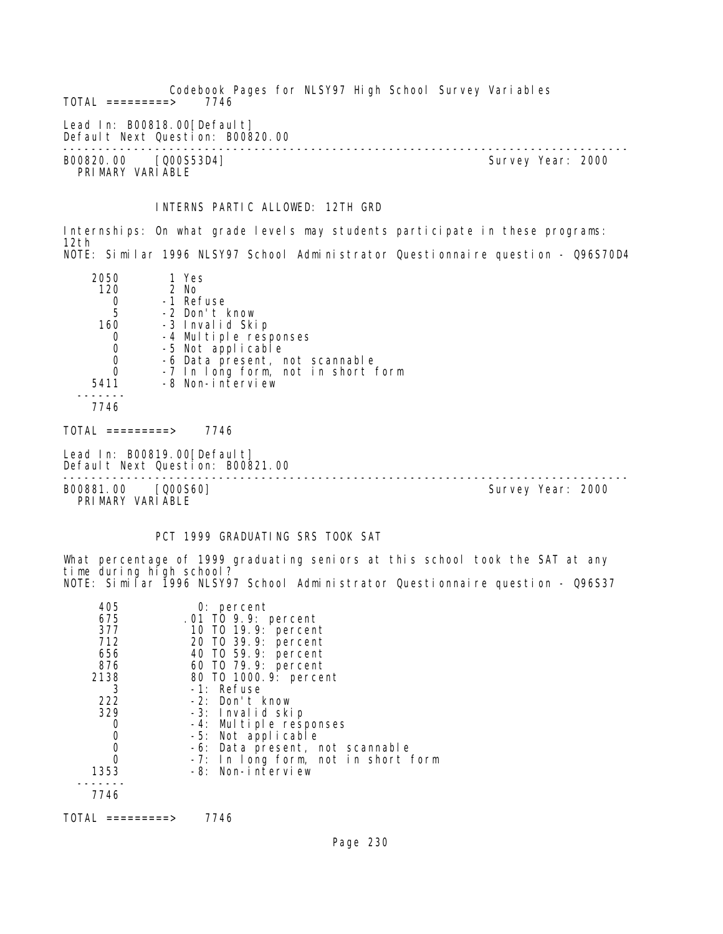Codebook Pages for NLSY97 High School Survey Variables  $TOTAL$  =========> Lead In: B00818.00 [Default] Default Next Question: B00820.00 -------------------------------------------------------------------------------- B00820.00 [Q00S53D4] Survey Year: 2000 PRIMARY VARIABLE

# INTERNS PARTIC ALLOWED: 12TH GRD

Internships: On what grade levels may students participate in these programs: 12th NOTE: Similar 1996 NLSY97 School Administrator Questionnaire question - Q96S70D4

| 2050<br>120<br>2 No<br>$\begin{array}{c} 0 \\ 5 \end{array}$<br>160<br>$\begin{matrix} 0 \\ 0 \\ 0 \\ 0 \end{matrix}$<br>5411<br>7746<br>$\text{TOTAL}$ =========><br>Lead In: B00819.00[Default] | 1 Yes<br>-1 Refuse<br>-2 Don't know<br>-3 Invalid Skip<br>-4 Multiple responses<br>-5 Not applicable<br>-6 Data present, not scannable<br>-7 In long form, not in short form<br>-8 Non-interview<br>7746<br>Default Next Question: B00821.00 |                   |  |
|---------------------------------------------------------------------------------------------------------------------------------------------------------------------------------------------------|----------------------------------------------------------------------------------------------------------------------------------------------------------------------------------------------------------------------------------------------|-------------------|--|
| B00881.00 [Q00S60]<br>PRIMARY VARIABLE                                                                                                                                                            |                                                                                                                                                                                                                                              | Survey Year: 2000 |  |

#### PCT 1999 GRADUATING SRS TOOK SAT

What percentage of 1999 graduating seniors at this school took the SAT at any time during high school? NOTE: Similar 1996 NLSY97 School Administrator Questionnaire question - Q96S37

| 405<br>675<br>377<br>712<br>656<br>876<br>2138<br>3<br>222<br>329<br>1353 | $0:$ percent<br>.01 TO 9.9: percent<br>10 T0 19.9: percent<br>20 T0 39.9: percent<br>40 T0 59.9: percent<br>60 T0 79.9: percent<br>80 T0 1000. 9: percent<br>$-1$ : Refuse<br>-2: Don't know<br>-3: Invalid skip<br>-4: Multiple responses<br>-5: Not applicable<br>-6: Data present, not scannable<br>-7: In long form, not in short form<br>-8: Non-interview |
|---------------------------------------------------------------------------|-----------------------------------------------------------------------------------------------------------------------------------------------------------------------------------------------------------------------------------------------------------------------------------------------------------------------------------------------------------------|
| 7746                                                                      |                                                                                                                                                                                                                                                                                                                                                                 |
|                                                                           |                                                                                                                                                                                                                                                                                                                                                                 |

TOTAL =========> 7746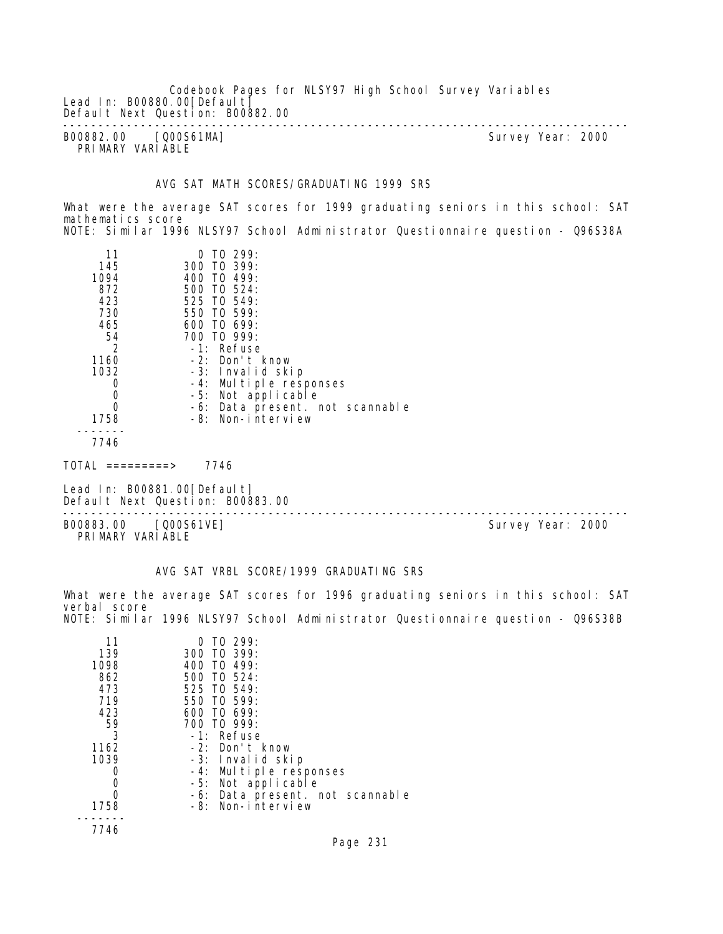|                                          | Codebook Pages for NLSY97 High School Survey Variables |                   |  |
|------------------------------------------|--------------------------------------------------------|-------------------|--|
| Lead In: B00880.00 [Default]             |                                                        |                   |  |
| Default Next Question: B00882.00         |                                                        |                   |  |
| B00882.00 [Q00S61MA]<br>PRIMARY VARIABLE |                                                        | Survey Year: 2000 |  |

# AVG SAT MATH SCORES/GRADUATING 1999 SRS

What were the average SAT scores for 1999 graduating seniors in this school: SAT mathematics score NOTE: Similar 1996 NLSY97 School Administrator Questionnaire question - Q96S38A

| 11<br>145<br>1094<br>872<br>423<br>730<br>465<br>54<br>2<br>1160<br>1032 | $0$ TO 299:<br>300 TO 399:<br>400 TO 499:<br>500 TO 524:<br>525 TO 549:<br>550 TO 599:<br>$600$ TO $699$ :<br>700 TO 999:<br>$-1$ : Refuse<br>$-2$ : Don't know<br>-3: Invalid skip |
|--------------------------------------------------------------------------|-------------------------------------------------------------------------------------------------------------------------------------------------------------------------------------|
|                                                                          | -4: Multiple responses                                                                                                                                                              |
| 0                                                                        | -5: Not applicable                                                                                                                                                                  |
| 0                                                                        | -6: Data present. not scannable                                                                                                                                                     |
| 1758                                                                     | -8: Non-interview                                                                                                                                                                   |
| 7746                                                                     |                                                                                                                                                                                     |

 $TOTAL$  =========> 7746

Lead In: B00881.00[Default] Default Next Question: B00883.00

-------------------------------------------------------------------------------- B00883.00 [Q00S61VE] PRIMARY VARIABLE

#### AVG SAT VRBL SCORE/1999 GRADUATING SRS

What were the average SAT scores for 1996 graduating seniors in this school: SAT verbal score NOTE: Similar 1996 NLSY97 School Administrator Questionnaire question - Q96S38B

| 11<br>139<br>1098<br>862<br>473<br>719<br>423<br>59<br>3<br>1162<br>1039 | $0$ TO 299:<br>300 TO 399:<br>400 TO 499:<br>500 TO 524:<br>525 TO 549:<br>550 TO 599:<br>$600$ TO $699$ :<br>700 TO 999:<br>-1: Refuse<br>$-2$ : Don't know<br>-3: Invalid skip<br>-4: Multiple responses<br>-5: Not applicable<br>-6: Data present. not scannable |
|--------------------------------------------------------------------------|---------------------------------------------------------------------------------------------------------------------------------------------------------------------------------------------------------------------------------------------------------------------|
| 1758                                                                     | $-8$ : Non-interview                                                                                                                                                                                                                                                |
|                                                                          |                                                                                                                                                                                                                                                                     |
| 7746                                                                     |                                                                                                                                                                                                                                                                     |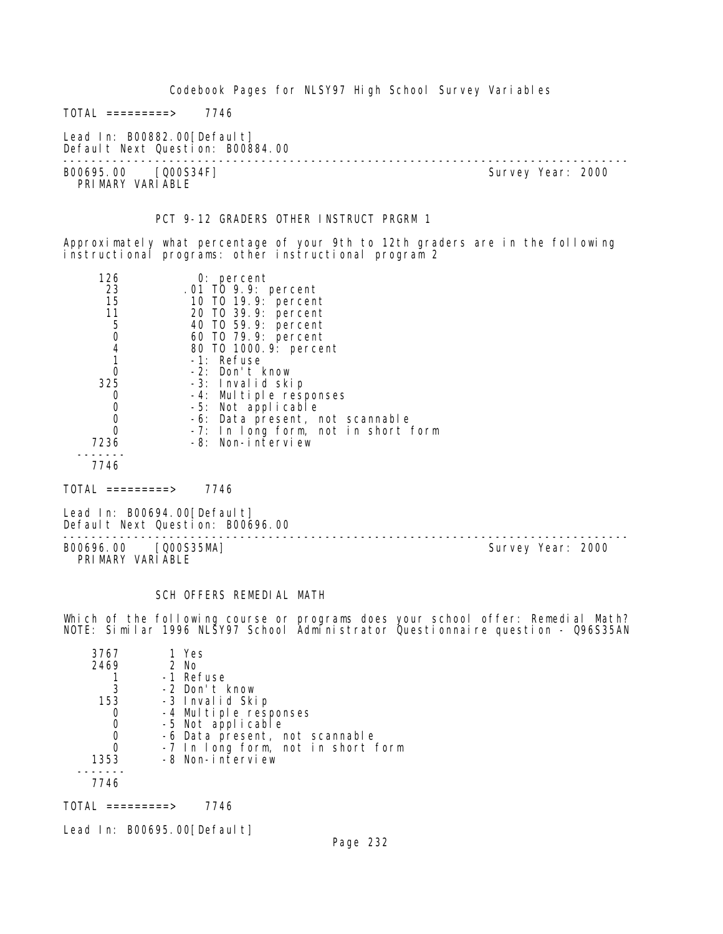Codebook Pages for NLSY97 High School Survey Variables  $TOTAL$  ========> 7746 Lead In: B00882.00[Default] Default Next Question: B00884.00 -------------------------------------------------------------------------------- Survey Year: 2000 PRIMARY VARIABLE PCT 9-12 GRADERS OTHER INSTRUCT PRGRM 1 Approximately what percentage of your 9th to 12th graders are in the following instructional programs: other instructional program 2 126 0: percent 23 .01 TO 9.9: percent 15 10 TO 19.9: percent 11 20 TO 39.9: percent 5 40 TO 59.9: percent 0 60 TO 79.9: percent 4 80 TO 1000.9: percent 1 -1: Refuse 0 -2: Don't know 325 -3: Invalid skip<br>0 -4: Multiple resu 0 -4: Multiple responses<br>0 -5: Not applicable 0 -5: Not applicable<br>0 -6: Data present i 0 -6: Data present, not scannable 0 -7: In long form, not in short form 7236 -8: Non-interview ------- 7746  $TOTAL$  =========> 7746 Lead In: B00694.00 [Default] Default Next Question: B00696.00 -------------------------------------------------------------------------------- B00696.00 [Q00S35MA] PRIMARY VARIABLE

#### SCH OFFERS REMEDIAL MATH

Which of the following course or programs does your school offer: Remedial Math? NOTE: Similar 1996 NLSY97 School Administrator Questionnaire question - Q96S35AN

| 3767 | 1 Yes                              |
|------|------------------------------------|
| 2469 | 2 No                               |
|      | -1 Refuse                          |
| 3    | -2 Don't know                      |
| 153  | -3 Invalid Skip                    |
|      | -4 Multiple responses              |
|      | -5 Not applicable                  |
| O    | -6 Data present, not scannable     |
| 0    | -7 In long form, not in short form |
| 1353 | -8 Non-interview                   |
|      |                                    |
| 7746 |                                    |
|      |                                    |

 $TOTAL$  ========> 7746

Lead In: B00695.00[Default]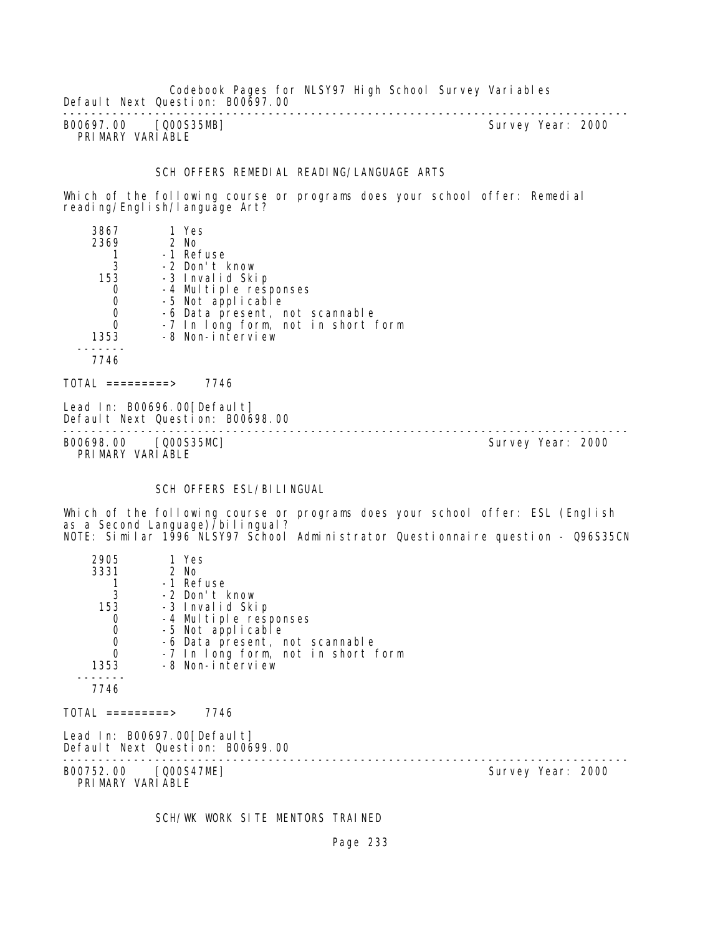Codebook Pages for NLSY97 High School Survey Variables Default Next Question: B00697.00 --------------------------------------------------------------------------------

B00697.00 [Q00S35MB] PRIMARY VARIABLE

#### SCH OFFERS REMEDIAL READING/LANGUAGE ARTS

Which of the following course or programs does your school offer: Remedial reading/English/language Art?

| 3867 | 1 Yes                              |
|------|------------------------------------|
| 2369 | $2$ No                             |
|      | -1 Refuse                          |
| 3    | -2 Don't know                      |
| 153  | -3 Invalid Skip                    |
|      | -4 Multiple responses              |
|      | -5 Not applicable                  |
|      | -6 Data present, not scannable     |
|      | -7 In long form, not in short form |
| 1353 | -8 Non-interview                   |
|      |                                    |
| 7746 |                                    |
|      |                                    |

 $TOTAL$  ========> 7746

Lead In: B00696.00 [Default] Default Next Question: B00698.00

-------------------------------------------------------------------------------- B00698.00 [Q00S35MC] Survey Year: 2000 PRIMARY VARIABLE

#### SCH OFFERS ESL/BILINGUAL

Which of the following course or programs does your school offer: ESL (English as a Second Language) 7bilingual? NOTE: Similar 1996 NLSY97 School Administrator Questionnaire question - Q96S35CN

| 2905                                     | 1 Yes                                                           |  |                   |  |
|------------------------------------------|-----------------------------------------------------------------|--|-------------------|--|
| 3331                                     | 2 No                                                            |  |                   |  |
|                                          | -1 Refuse                                                       |  |                   |  |
| 3                                        | -2 Don't know                                                   |  |                   |  |
| 153                                      | -3 Invalid Skip                                                 |  |                   |  |
| 0                                        | -4 Multiple responses                                           |  |                   |  |
| $\begin{matrix}0\\0\end{matrix}$         | -5 Not applicable                                               |  |                   |  |
|                                          | -6 Data present, not scannable                                  |  |                   |  |
| $\overline{0}$                           | -7 In long form, not in short form                              |  |                   |  |
| 1353                                     | -8 Non-interview                                                |  |                   |  |
|                                          |                                                                 |  |                   |  |
| 7746                                     |                                                                 |  |                   |  |
| TOTAL =========>                         | 7746                                                            |  |                   |  |
|                                          | Lead In: B00697.00[Default]<br>Default Next Question: B00699.00 |  |                   |  |
| B00752.00 [Q00S47ME]<br>PRIMARY VARIABLE |                                                                 |  | Survey Year: 2000 |  |

SCH/WK WORK SITE MENTORS TRAINED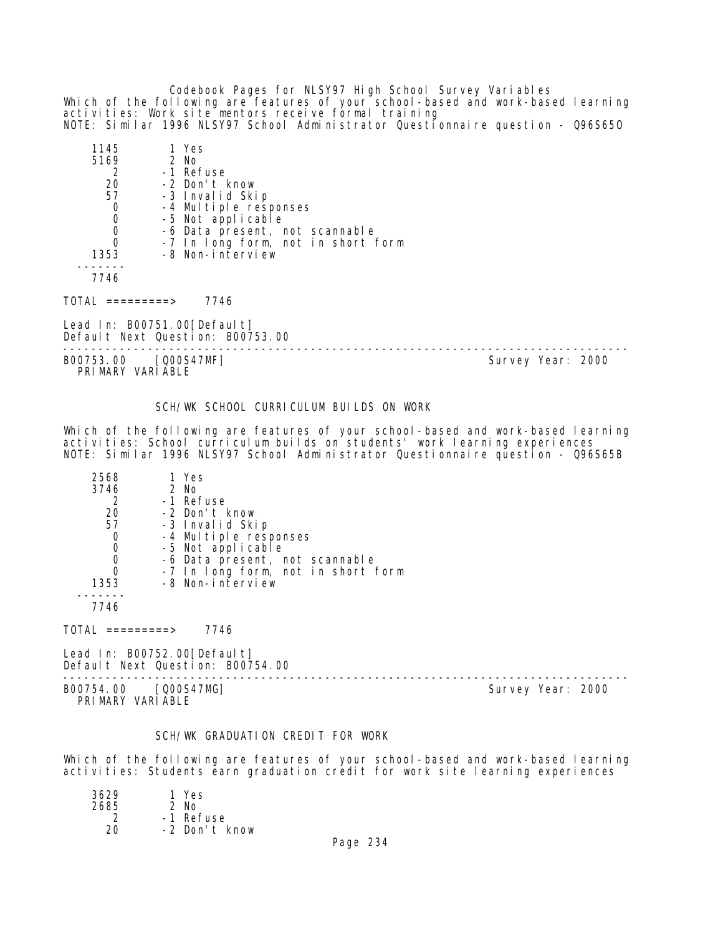Codebook Pages for NLSY97 High School Survey Variables Which of the following are features of your school-based and work-based learning activities: Work site mentors receive formal training NOTE: Similar 1996 NLSY97 School Administrator Questionnaire question - Q96S65O

| 1145<br>5169 | 1 Yes<br>2 No                      |
|--------------|------------------------------------|
| 2            | -1 Refuse                          |
| 20           | -2 Don't know                      |
| 57           | -3 Invalid Skip                    |
|              | -4 Multiple responses              |
| 0            | -5 Not applicable                  |
| 0            | -6 Data present, not scannable     |
|              | -7 In long form, not in short form |
| 1353         | -8 Non-interview                   |
|              |                                    |
| 7746         |                                    |

TOTAL =========> 7746

Lead In: B00751.00 [Default] Default Next Question: B00753.00

B00753.00 [Q00S47MF] Survey Year: 2000 PRIMARY VARIABLE

--------------------------------------------------------------------------------

#### SCH/WK SCHOOL CURRICULUM BUILDS ON WORK

Which of the following are features of your school-based and work-based learning activities: School curriculum builds on students' work learning experiences NOTE: Similar 1996 NLSY97 School Administrator Questionnaire question - Q96S65B

| 2568 | 1 Yes                              |
|------|------------------------------------|
| 3746 | 2 No                               |
| 2    | -1 Refuse                          |
| 20   | -2 Don't know                      |
| 57   | -3 Invalid Skip                    |
| O    | -4 Multiple responses              |
| O    | -5 Not applicable                  |
| 0    | -6 Data present, not scannable     |
|      | -7 In long form, not in short form |
| 1353 | -8 Non-interview                   |
|      |                                    |
| 7746 |                                    |
|      |                                    |

 $TOTAL$  ========> 7746

Lead In: B00752.00[Default] Default Next Question: B00754.00

-------------------------------------------------------------------------------- B00754.00 [Q00S47MG] Survey Year: 2000 PRIMARY VARIABLE

## SCH/WK GRADUATION CREDIT FOR WORK

Which of the following are features of your school-based and work-based learning activities: Students earn graduation credit for work site learning experiences

| 3629 | 1 Yes         |
|------|---------------|
| 2685 | $2$ No        |
| 2    | -1 Refuse     |
| 20   | -2 Don't know |
|      |               |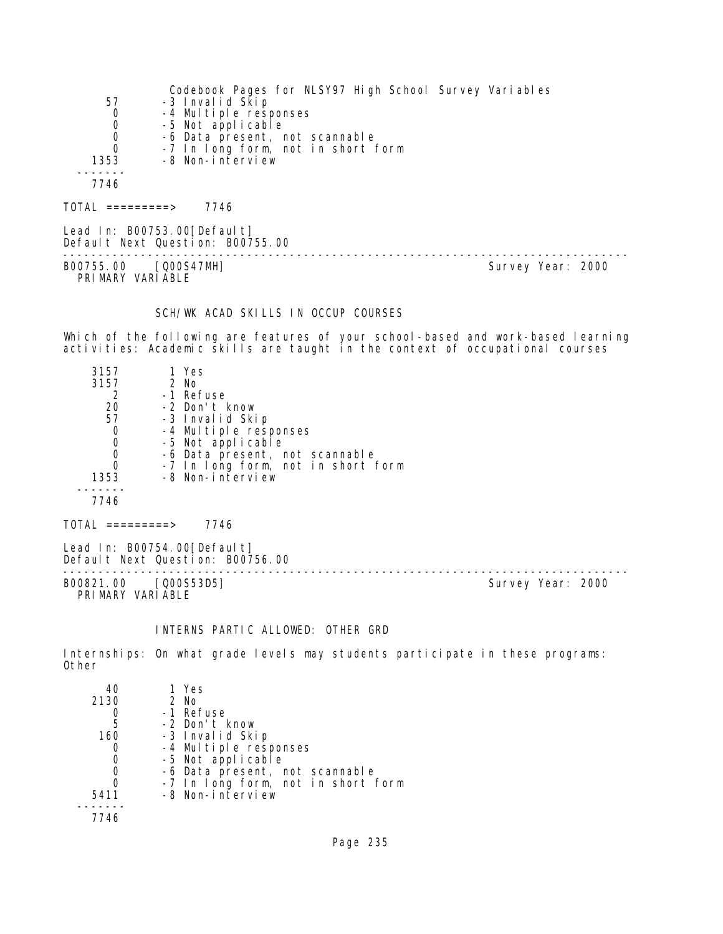|                     | Codebook Pages for NLSY97 High School Survey Variables |
|---------------------|--------------------------------------------------------|
| 57                  | -3 Invalid Skip                                        |
| 0                   | -4 Multiple responses                                  |
| 0                   | -5 Not applicable                                      |
| 0                   | -6 Data present, not scannable                         |
| 0                   | -7 In long form, not in short form                     |
| 1353                | -8 Non-interview                                       |
|                     |                                                        |
| 7746                |                                                        |
|                     |                                                        |
| $101AL$ ==========> | 7746                                                   |

Lead In: B00753.00[Default] Default Next Question: B00755.00 -------------------------------------------------------------------------------- B00755.00 [Q00S47MH] Survey Year: 2000 PRIMARY VARIABLE

# SCH/WK ACAD SKILLS IN OCCUP COURSES

Which of the following are features of your school-based and work-based learning activities: Academic skills are taught in the context of occupational courses

| 3157 | 1 Yes                              |  |
|------|------------------------------------|--|
| 3157 | 2 No                               |  |
|      | -1 Refuse                          |  |
| 20   | -2 Don't know                      |  |
| 57   | -3 Invalid Skip                    |  |
| 0    | -4 Multiple responses              |  |
| 0    | -5 Not applicable                  |  |
| 0    | -6 Data present, not scannable     |  |
| O    | -7 In long form, not in short form |  |
| 1353 | -8 Non-interview                   |  |
|      |                                    |  |
| 7746 |                                    |  |
|      |                                    |  |
|      | 746<br>========>                   |  |

Lead In: B00754.00[Default] Default Next Question: B00756.00

B00821.00 [Q00S53D5] PRI MARY VARI ABLE

--------------------------------------------------------------------------------

# INTERNS PARTIC ALLOWED: OTHER GRD

Internships: On what grade levels may students participate in these programs: Other

| 40   | 1 Yes                              |
|------|------------------------------------|
| 2130 | 2 No                               |
|      | -1 Refuse                          |
| 5    | -2 Don't know                      |
| 160  | -3 Invalid Skip                    |
|      | -4 Multiple responses              |
|      | -5 Not applicable                  |
|      | -6 Data present, not scannable     |
|      | -7 In long form, not in short form |
| 5411 | -8 Non-interview                   |
|      |                                    |
| 7746 |                                    |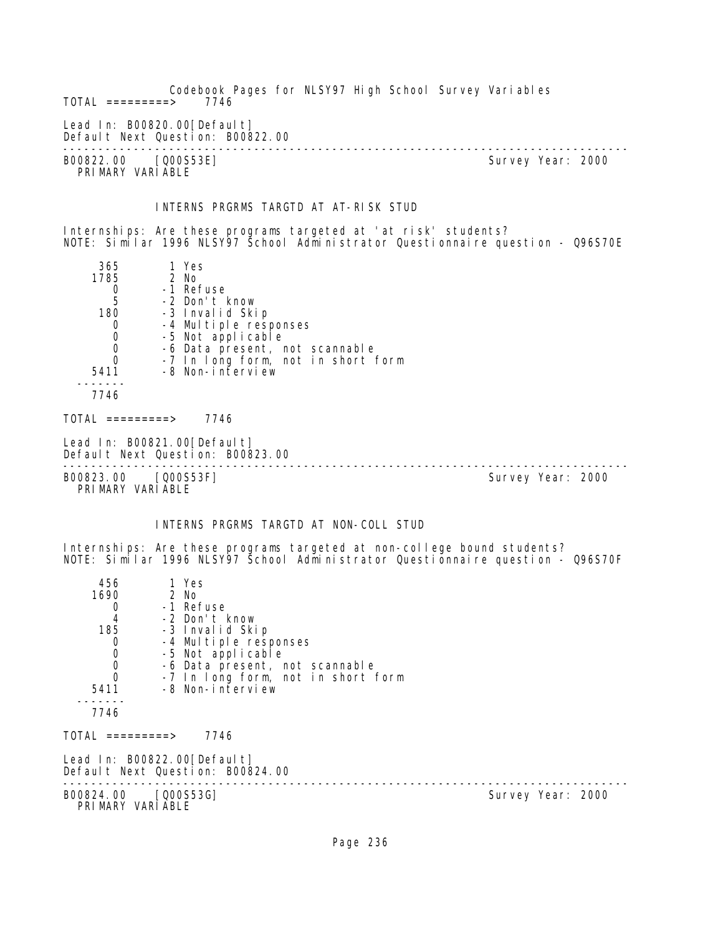Codebook Pages for NLSY97 High School Survey Variables  $TOTAL$  =========> Lead In: B00820.00 [Default] Default Next Question: B00822.00 -------------------------------------------------------------------------------- B00822.00 [Q00S53E] PRIMARY VARIABLE INTERNS PRGRMS TARGTD AT AT-RISK STUD Internships: Are these programs targeted at 'at risk' students? NOTE: Similar 1996 NLSY97 School Administrator Questionnaire question - Q96S70E 365 1 Yes 1785 2 No 0 -1 Refuse<br>5 -2 Don't I 5 -2 Don't know .<br>180 -3 Invalid Skip<br>190 -4 Multiple resu 0 -4 Multiple responses<br>0 -5 Not applicable 0 -5 Not applicable<br>0 -6 Data present, m 0 -6 Data present, not scannable 0 -7 In long form, not in short form 5411 -8 Non-interview ------- 7746  $TOTAL$  ========> 7746 Lead In: B00821.00 [Default] Default Next Question: B00823.00 -------------------------------------------------------------------------------- B00823.00 [Q00S53F] PRIMARY VARIABLE INTERNS PRGRMS TARGTD AT NON-COLL STUD Internships: Are these programs targeted at non-college bound students? NOTE: Similar 1996 NLSY97 School Administrator Questionnaire question - Q96S70F 456 1 Yes<br>1690 2 No 2 No 0 -1 Refuse 4 -2 Don't know 35 -3 Invalid Skip<br>0 -4 Multiple resu 0 -4 Multiple responses<br>0 -5 Not applicable 0 -5 Not applicable 0 -6 Data present, not scannable 0 -7 In long form, not in short form 5411 -8 Non-interview ------- 7746  $TOTAL$  ========> 7746 Lead In: B00822.00 [Default] Default Next Question: B00824.00 -------------------------------------------------------------------------------- Survey Year: 2000 PRIMARY VARIABLE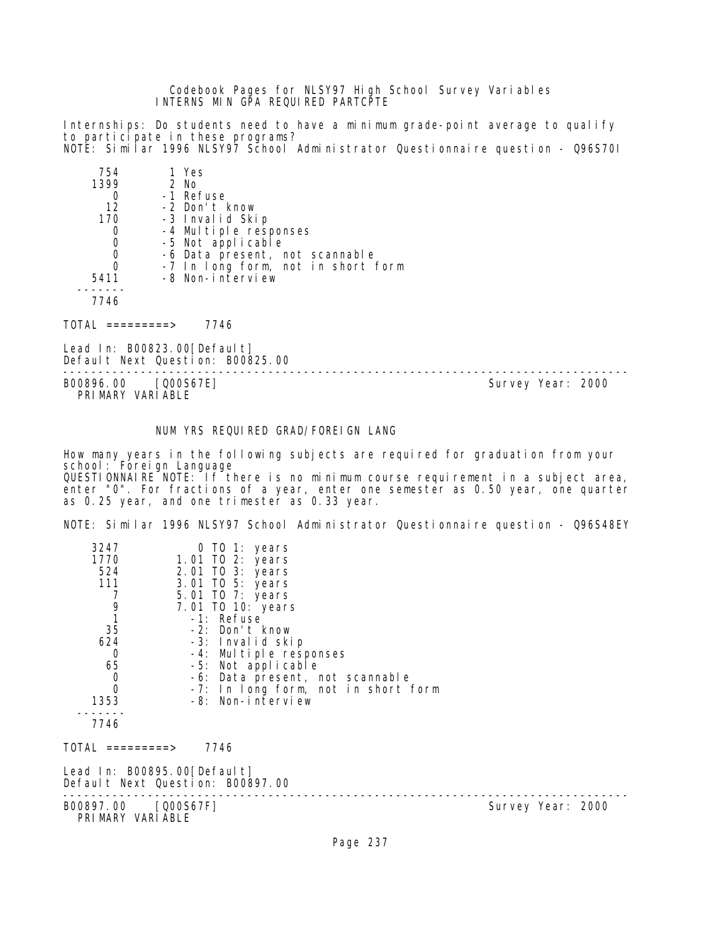Codebook Pages for NLSY97 High School Survey Variables INTERNS MIN GPA REQUIRED PARTCPTE

Internships: Do students need to have a minimum grade-point average to qualify to participate in these programs?

NOTE: Similar 1996 NLSY97 School Administrator Questionnaire question - Q96S70I 754 1 Yes

| 794  | כטו ו                              |
|------|------------------------------------|
| 1399 | 2 No                               |
|      | -1 Refuse                          |
| 12   | -2 Don't know                      |
| 170  | -3 Invalid Skip                    |
| O    | -4 Multiple responses              |
|      | -5 Not applicable                  |
| O    | -6 Data present, not scannable     |
|      | -7 In long form, not in short form |
| 5411 | -8 Non-interview                   |
|      |                                    |
|      |                                    |

7746

TOTAL =========> 7746

Lead In: B00823.00[Default] Default Next Question: B00825.00

-------------------------------------------------------------------------------- PRIMARY VARIABLE

Survey Year: 2000

# NUM YRS REQUIRED GRAD/FOREIGN LANG

How many years in the following subjects are required for graduation from your school: Foreign Language QUESTIONNAIRE NOTE: If there is no minimum course requirement in a subject area, enter "0". For fractions of a year, enter one semester as 0.50 year, one quarter as 0.25 year, and one trimester as 0.33 year.

NOTE: Similar 1996 NLSY97 School Administrator Questionnaire question - Q96S48EY

| 3247<br>1770<br>524<br>111<br>7<br>9<br>1 | 0 TO 1: years<br>1.01 TO 2: years<br>2.01 TO 3: years<br>3.01 TO 5: years<br>5.01 TO 7: years<br>7.01 TO 10: years<br>-1: Refuse |                   |
|-------------------------------------------|----------------------------------------------------------------------------------------------------------------------------------|-------------------|
| 35<br>624                                 | -2: Don't know                                                                                                                   |                   |
| 0                                         | -3: Invalid skip<br>-4: Multiple responses                                                                                       |                   |
| 65                                        | -5: Not applicable                                                                                                               |                   |
| $\mathbf 0$                               | -6: Data present, not scannable                                                                                                  |                   |
| 0                                         | -7: In long form, not in short form<br>-8: Non-interview                                                                         |                   |
| 1353                                      |                                                                                                                                  |                   |
| 7746                                      |                                                                                                                                  |                   |
| TOTAL =========>                          | 7746                                                                                                                             |                   |
|                                           | Lead In: B00895.00[Default]<br>Default Next Question: B00897.00                                                                  |                   |
| B00897.00 [Q00S67F]<br>PRIMARY VARIABLE   |                                                                                                                                  | Survey Year: 2000 |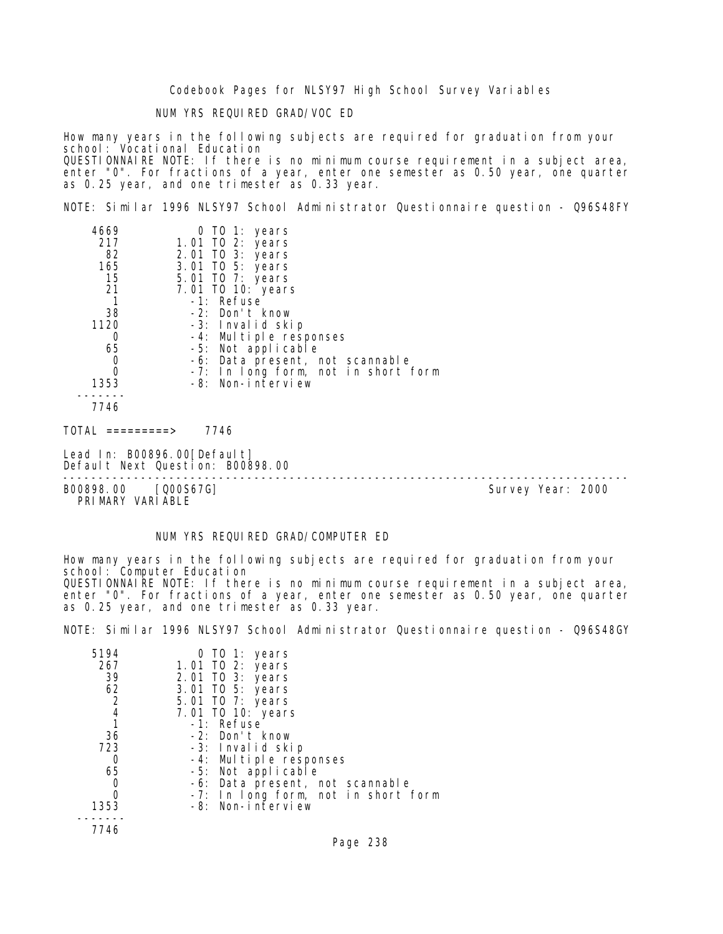NUM YRS REQUIRED GRAD/VOC ED

How many years in the following subjects are required for graduation from your school: Vocational Education QUESTIONNAIRE NOTE: If there is no minimum course requirement in a subject area, enter "0". For fractions of a year, enter one semester as 0.50 year, one quarter as 0.25 year, and one trimester as 0.33 year.

NOTE: Similar 1996 NLSY97 School Administrator Questionnaire question - Q96S48FY

| 4669                             | 0 TO 1: years                                                   |  |
|----------------------------------|-----------------------------------------------------------------|--|
| 217                              | 1.01 TO 2: years                                                |  |
| 82                               | 2.01 TO 3: years                                                |  |
| 165                              | 3.01 TO 5: years                                                |  |
| 15                               | 5.01 TO 7: years                                                |  |
| 21                               | 7.01 TO 10: years                                               |  |
|                                  | -1: Refuse                                                      |  |
| 38                               | -2: Don't know                                                  |  |
| 1120                             | -3: Invalid skip                                                |  |
| 0                                | -4: Multiple responses                                          |  |
| 65                               | -5: Not applicable                                              |  |
| $\begin{matrix}0\\0\end{matrix}$ | -6: Data present, not scannable                                 |  |
|                                  | -7: In long form, not in short form                             |  |
| 1353                             | -8: Non-interview                                               |  |
|                                  |                                                                 |  |
| 7746                             |                                                                 |  |
| TOTAL =========>                 | 7746                                                            |  |
|                                  | Lead In: B00896.00[Default]<br>Default Next Question: B00898.00 |  |
|                                  |                                                                 |  |

B00898.00 [Q00S67G] Survey Year: 2000 PRIMARY VARIABLE

NUM YRS REQUIRED GRAD/COMPUTER ED

How many years in the following subjects are required for graduation from your school: Computer Education QUESTIONNAIRE NOTE: If there is no minimum course requirement in a subject area, enter "0". For fractions of a year, enter one semester as 0.50 year, one quarter as 0.25 year, and one trimester as 0.33 year.

NOTE: Similar 1996 NLSY97 School Administrator Questionnaire question - Q96S48GY

| 5194<br>267<br>39 | 0 TO 1: years<br>1.01 TO 2: years<br>2.01 TO 3: years |
|-------------------|-------------------------------------------------------|
| 62                | 3.01 TO 5: years                                      |
| 2                 | 5.01 TO 7: years                                      |
| 4                 | 7.01 TO 10: years                                     |
|                   | -1: Refuse                                            |
| 36                | -2: Don't know                                        |
| 723               | -3: Invalid skip                                      |
| 0                 | -4: Multiple responses                                |
| 65                | -5: Not applicable                                    |
| O                 | -6: Data present, not scannable                       |
|                   | -7: In long form, not in short form                   |
| 1353              | -8: Non-interview                                     |
|                   |                                                       |
| 7746              |                                                       |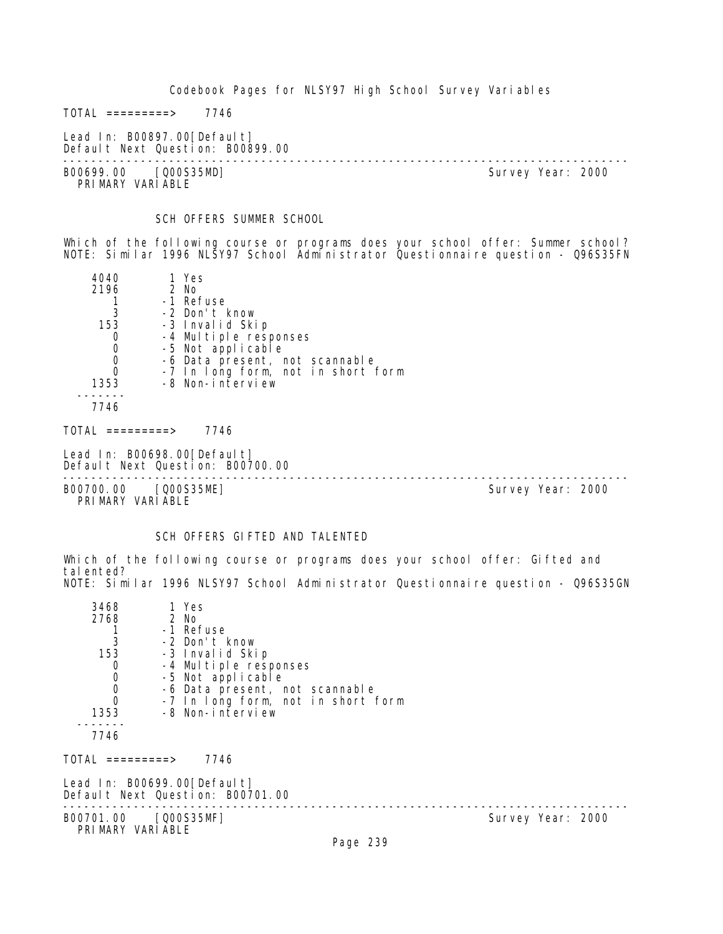$TOTAL$  =========> 7746

Lead In: B00897.00[Default] Default Next Question: B00899.00

-------------------------------------------------------------------------------- B00699.00 [Q00S35MD] PRIMARY VARIABLE

SCH OFFERS SUMMER SCHOOL

Which of the following course or programs does your school offer: Summer school? NOTE: Similar 1996 NLSY97 School Administrator Questionnaire question - Q96S35FN

| 4040                             | 1 Yes                                                           |  |
|----------------------------------|-----------------------------------------------------------------|--|
| 2196                             | 2 No                                                            |  |
|                                  | -1 Refuse                                                       |  |
| 3                                | -2 Don't know                                                   |  |
| 153                              | -3 Invalid Skip                                                 |  |
| 0                                | -4 Multiple responses                                           |  |
| $\mathbf 0$                      | -5 Not applicable                                               |  |
| $\begin{matrix}0\\0\end{matrix}$ | -6 Data present, not scannable                                  |  |
|                                  | -7 In long form, not in short form                              |  |
| 1353                             | -8 Non-interview                                                |  |
|                                  |                                                                 |  |
| 7746                             |                                                                 |  |
| TOTAL =========>                 | 7746                                                            |  |
|                                  | Lead In: B00698.00[Default]<br>Default Next Question: B00700.00 |  |

-------------------------------------------------------------------------------- B00700.00 [Q00S35ME] Survey Year: 2000

PRIMARY VARIABLE

# SCH OFFERS GIFTED AND TALENTED

Which of the following course or programs does your school offer: Gifted and talented? NOTE: Similar 1996 NLSY97 School Administrator Questionnaire question - Q96S35GN

| $\mathbf{3}$<br>-2 Don't know<br>153<br>-3 Invalid Skip<br>0<br>-4 Multiple responses<br>$\mathbf 0$<br>-5 Not applicable<br>$\begin{matrix}0\\0\end{matrix}$<br>-6 Data present, not scannable<br>-7 In long form, not in short form<br>-8 Non-interview<br>1353<br>7746<br>TOTAL =========><br>7746<br>Lead In: B00699.00[Default]<br>Default Next Question: B00701.00 |                   |  |
|--------------------------------------------------------------------------------------------------------------------------------------------------------------------------------------------------------------------------------------------------------------------------------------------------------------------------------------------------------------------------|-------------------|--|
| B00701.00 [Q00S35MF]<br>PRIMARY VARIABLE<br>D <sub>2</sub> 220                                                                                                                                                                                                                                                                                                           | Survey Year: 2000 |  |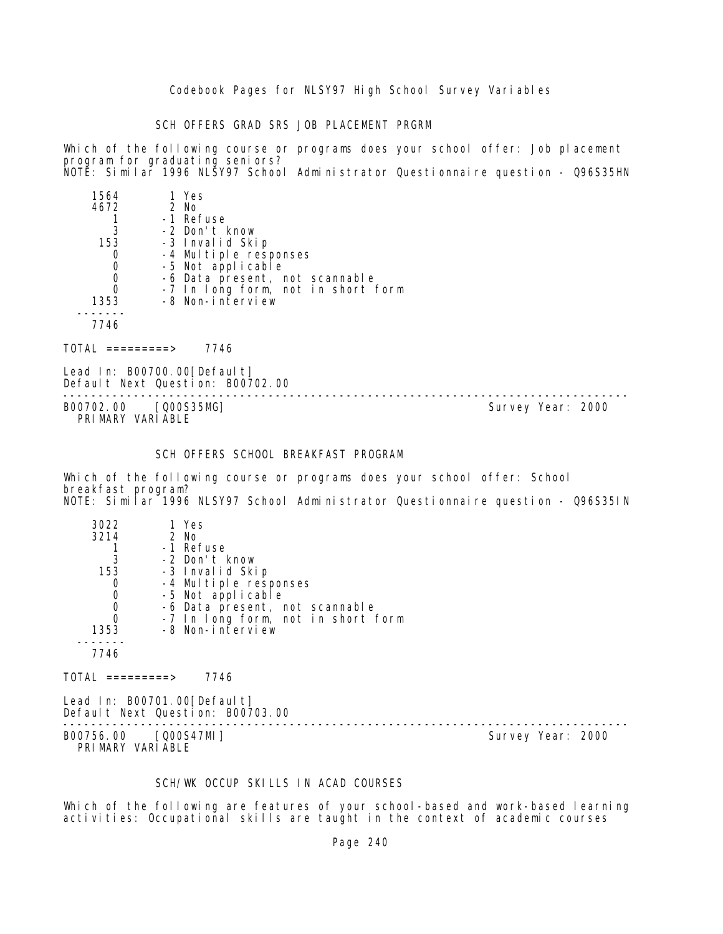SCH OFFERS GRAD SRS JOB PLACEMENT PRGRM

Which of the following course or programs does your school offer: Job placement program for graduating seniors? NOTE: Similar 1996 NLSY97 School Administrator Questionnaire question - Q96S35HN

| 1564 | 1 Yes                              |
|------|------------------------------------|
| 4672 | $2$ No                             |
|      | -1 Refuse                          |
| 3    | -2 Don't know                      |
| 153  | -3 Invalid Skip                    |
|      | -4 Multiple responses              |
| 0    | -5 Not applicable                  |
| 0    | -6 Data present, not scannable     |
| 0    | -7 In long form, not in short form |
| 1353 | -8 Non-interview                   |
|      |                                    |
| 7746 |                                    |

TOTAL =========> 7746

Lead In: B00700.00 [Default] Default Next Question: B00702.00

-------------------------------------------------------------------------------- B00702.00 [Q00S35MG] PRIMARY VARIABLE

# SCH OFFERS SCHOOL BREAKFAST PROGRAM

Which of the following course or programs does your school offer: School breakfast program? NOTE: Similar 1996 NLSY97 School Administrator Questionnaire question - Q96S35IN

| 3022<br>3214 | 1 Yes<br>2 No                      |
|--------------|------------------------------------|
|              | -1 Refuse                          |
| 3            | -2 Don't know                      |
| 153          | -3 Invalid Skip                    |
|              | -4 Multiple responses              |
| 0            | -5 Not applicable                  |
|              | -6 Data present, not scannable     |
| Ω            | -7 In long form, not in short form |
| 1353         | -8 Non-interview                   |
|              |                                    |
|              |                                    |

 $TOTAL$  ========> 7746

Lead In: B00701.00[Default] Default Next Question: B00703.00

B00756.00 [Q00S47MI] Survey Year: 2000 PRIMARY VARIABLE

--------------------------------------------------------------------------------

#### SCH/WK OCCUP SKILLS IN ACAD COURSES

Which of the following are features of your school-based and work-based learning activities: Occupational skills are taught in the context of academic courses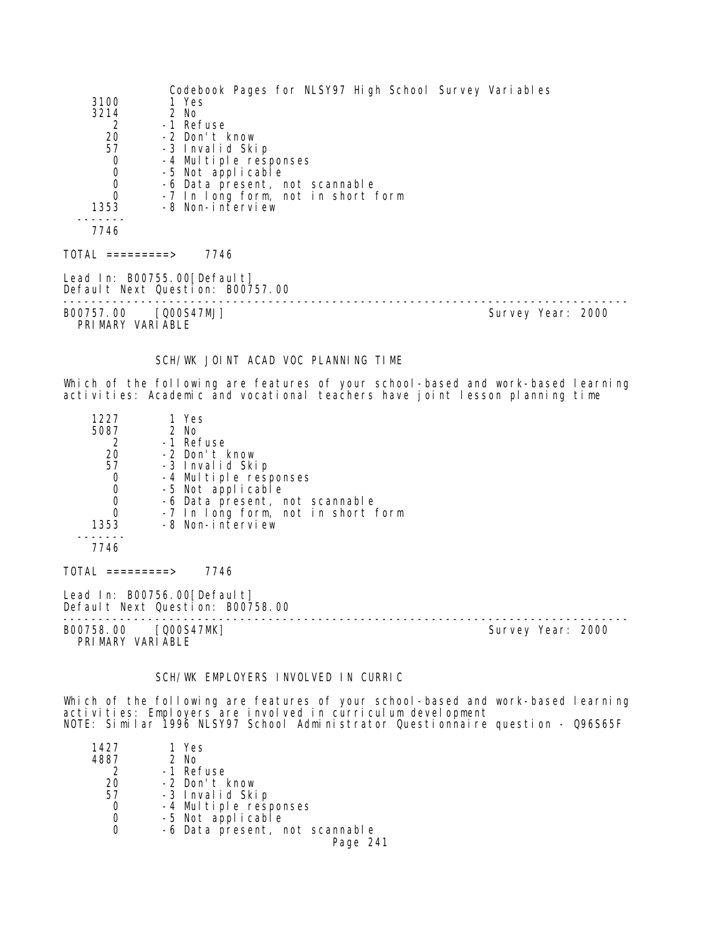| 3100<br>3214<br>2<br>20<br>57<br>0<br>0<br>0<br>0<br>1353<br>7746              | Codebook Pages for NLSY97 High School Survey Variables<br>1 Yes<br>$2$ No<br>-1 Refuse<br>-2 Don't know<br>-3 Invalid Skip<br>-4 Multiple responses<br>-5 Not applicable<br>-6 Data present, not scannable<br>-7 In long form, not in short form<br>-8 Non-interview |                                                                                                                                                                  |  |
|--------------------------------------------------------------------------------|----------------------------------------------------------------------------------------------------------------------------------------------------------------------------------------------------------------------------------------------------------------------|------------------------------------------------------------------------------------------------------------------------------------------------------------------|--|
| $\text{TOTAL}$ =========>                                                      | 7746                                                                                                                                                                                                                                                                 |                                                                                                                                                                  |  |
|                                                                                | Lead In: B00755.00 [Default]<br>Default Next Question: B00757.00                                                                                                                                                                                                     |                                                                                                                                                                  |  |
| B00757.00 [Q00S47MJ]<br>PRIMARY VARIABLE                                       |                                                                                                                                                                                                                                                                      | Survey Year: 2000                                                                                                                                                |  |
|                                                                                | SCH/WK JOINT ACAD VOC PLANNING TIME                                                                                                                                                                                                                                  | Which of the following are features of your school-based and work-based learning<br>activities: Academic and vocational teachers have joint lesson planning time |  |
| 1227<br>5087<br>2<br>20<br>57<br>0<br>0<br>0<br>0<br>1353<br>- - - - -<br>7746 | 1 Yes<br>2 No<br>-1 Refuse<br>-2 Don't know<br>-3 Invalid Skip<br>-4 Multiple responses<br>-5 Not applicable<br>-6 Data present, not scannable<br>-7 In long form, not in short form<br>-8 Non-interview                                                             |                                                                                                                                                                  |  |
| $TOTAL$ =========> 7746                                                        |                                                                                                                                                                                                                                                                      |                                                                                                                                                                  |  |
|                                                                                | Lead In: B00756.00 [Default]<br>Default Next Question: B00758.00<br>.                                                                                                                                                                                                |                                                                                                                                                                  |  |
| B00758.00<br>PRIMARY VARIABLE                                                  | [QOOS47MK]                                                                                                                                                                                                                                                           | Survey Year: 2000                                                                                                                                                |  |
|                                                                                |                                                                                                                                                                                                                                                                      |                                                                                                                                                                  |  |

SCH/WK EMPLOYERS INVOLVED IN CURRIC

Which of the following are features of your school-based and work-based learning activities: Employers are involved in curriculum development NOTE: Similar 1996 NLSY97 School Administrator Questionnaire question - Q96S65F

| 1427 | 1 Yes                          |
|------|--------------------------------|
| 4887 | 2 No                           |
|      | -1 Refuse                      |
| 20   | -2 Don't know                  |
| 57   | -3 Invalid Skip                |
|      | -4 Multiple responses          |
|      | -5 Not applicable              |
|      | -6 Data present, not scannable |
|      | Page 241                       |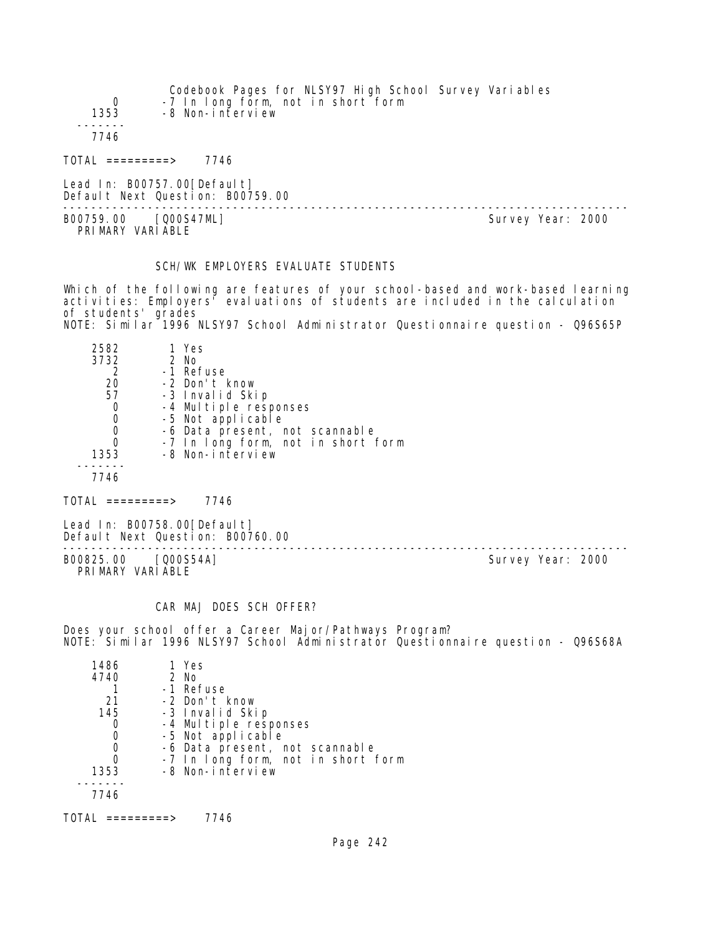|            | Codebook Pages for NLSY97 High School Survey Variables |
|------------|--------------------------------------------------------|
| $^{\circ}$ | -7 In long form, not in short form                     |
| 1353       | -8 Non-interview                                       |
|            |                                                        |
| 7746       |                                                        |
|            |                                                        |

TOTAL =========> 7746

Lead In: B00757.00 [Default] Default Next Question: B00759.00

-------------------------------------------------------------------------------- B00759.00 [Q00S47ML] PRIMARY VARIABLE

# SCH/WK EMPLOYERS EVALUATE STUDENTS

Which of the following are features of your school-based and work-based learning activities: Employers' evaluations of students are included in the calculation of students' grades NOTE: Similar 1996 NLSY97 School Administrator Questionnaire question - Q96S65P

| 2582 | 1 Yes                              |
|------|------------------------------------|
| 3732 | 2 No                               |
|      | -1 Refuse                          |
| 20   | -2 Don't know                      |
| 57   | -3 Invalid Skip                    |
| 0    | -4 Multiple responses              |
| 0    | -5 Not applicable                  |
|      | -6 Data present, not scannable     |
|      | -7 In long form, not in short form |
| 1353 | -8 Non-interview                   |
|      |                                    |
| 7746 |                                    |

 $TOTAL$  =========> 7746

Lead In: B00758.00 [Default] Default Next Question: B00760.00

B00825.00 [Q00S54A] Survey Year: 2000 PRIMARY VARIABLE

--------------------------------------------------------------------------------

#### CAR MAJ DOES SCH OFFER?

Does your school offer a Career Major/Pathways Program? NOTE: Similar 1996 NLSY97 School Administrator Questionnaire question - Q96S68A

| 1486 | 1 Yes                              |
|------|------------------------------------|
| 4740 | $2$ No                             |
|      | -1 Refuse                          |
| 21   | -2 Don't know                      |
| 145  | -3 Invalid Skip                    |
|      | -4 Multiple responses              |
|      | -5 Not applicable                  |
|      | -6 Data present, not scannable     |
|      | -7 In long form, not in short form |
| 1353 | -8 Non-interview                   |
|      |                                    |
| 7746 |                                    |
|      |                                    |

TOTAL =========> 7746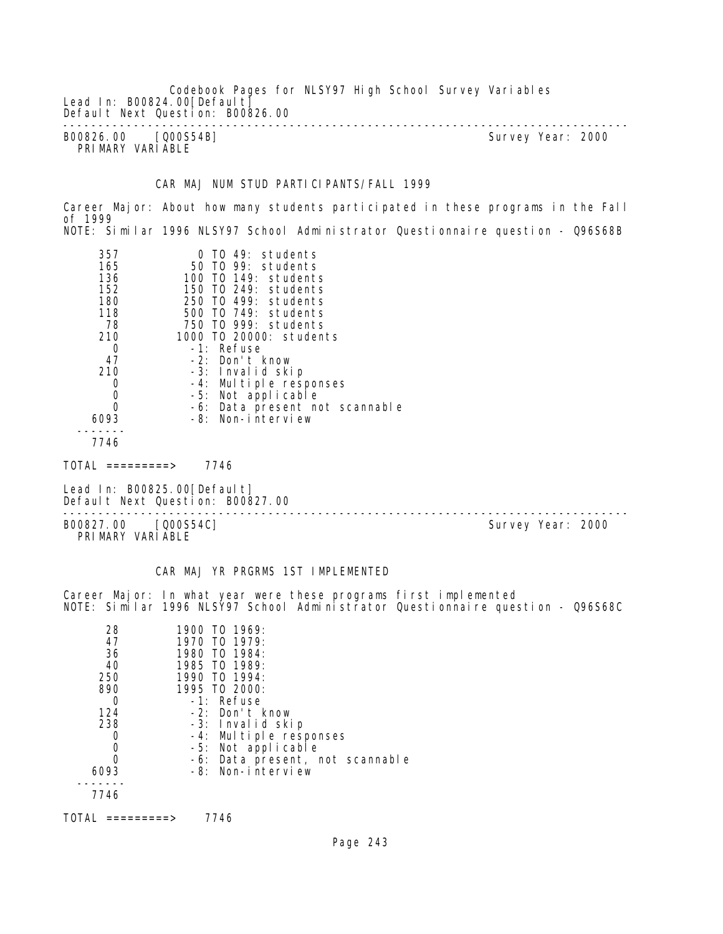Codebook Pages for NLSY97 High School Survey Variables Lead In: B00824.00 [Default] Default Next Question: B00826.00 -------------------------------------------------------------------------------- B00826.00 [Q00S54B] Survey Year: 2000 PRIMARY VARIABLE

CAR MAJ NUM STUD PARTICIPANTS/FALL 1999

Career Major: About how many students participated in these programs in the Fall of 1999 NOTE: Similar 1996 NLSY97 School Administrator Questionnaire question - Q96S68B

| 357<br>165<br>136<br>152<br>180 | $0$ TO 49: students<br>50 TO 99: students<br>100 TO 149: students<br>150 TO 249: students<br>250 TO 499: students |  |
|---------------------------------|-------------------------------------------------------------------------------------------------------------------|--|
| 118                             | 500 TO 749: students                                                                                              |  |
| 78                              | 750 TO 999: students                                                                                              |  |
| 210                             | 1000 TO 20000: students                                                                                           |  |
| 0                               | -1: Refuse                                                                                                        |  |
| 47                              | -2: Don't know                                                                                                    |  |
| 210                             | -3: Invalid skip                                                                                                  |  |
| 0                               | -4: Multiple responses                                                                                            |  |
| $\mathbf 0$                     | -5: Not applicable                                                                                                |  |
| $\overline{0}$                  | -6: Data present not scannable                                                                                    |  |
| 6093                            | -8: Non-interview                                                                                                 |  |
| 7746                            |                                                                                                                   |  |

 $TOTAL$  =========> 7746

Lead In: B00825.00 [Default] Default Next Question: B00827.00

B00827.00 [Q00S54C] PRIMARY VARIABLE

--------------------------------------------------------------------------------

CAR MAJ YR PRGRMS 1ST IMPLEMENTED

Career Major: In what year were these programs first implemented NOTE: Similar 1996 NLSY97 School Administrator Questionnaire question - Q96S68C

| 28   | 1900 TO 1969:                   |
|------|---------------------------------|
| 47   | 1970 TO 1979:                   |
| 36   | 1980 TO 1984:                   |
| 40   | 1985 TO 1989:                   |
| 250  | 1990 TO 1994:                   |
| 890  | 1995 TO 2000:                   |
| ∩    | -1: Refuse                      |
| 124  | -2: Don't know                  |
| 238  | -3: Invalid skip                |
|      | -4: Multiple responses          |
|      | -5: Not applicable              |
| O    | -6: Data present, not scannable |
| 6093 | -8: Non-interview               |
|      |                                 |
| 7746 |                                 |
|      |                                 |

TOTAL =========> 7746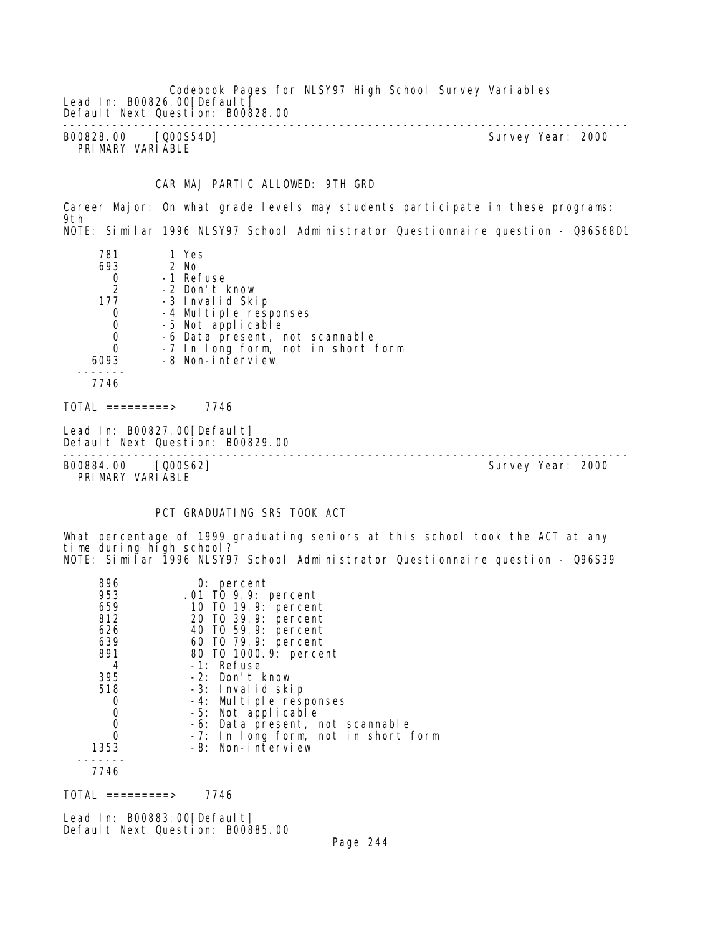Codebook Pages for NLSY97 High School Survey Variables Lead In: B00826.00 [Default] Default Next Question: B00828.00 -------------------------------------------------------------------------------- B00828.00 [Q00S54D] Survey Year: 2000 PRIMARY VARIABLE

### CAR MAJ PARTIC ALLOWED: 9TH GRD

Career Major: On what grade levels may students participate in these programs: 9th NOTE: Similar 1996 NLSY97 School Administrator Questionnaire question - Q96S68D1

| 781<br>693 | 1 Yes<br>2 No                      |
|------------|------------------------------------|
| 0          | -1 Refuse                          |
| 2          | -2 Don't know                      |
| 177        | -3 Invalid Skip                    |
| 0          | -4 Multiple responses              |
| 0          | -5 Not applicable                  |
| 0          | -6 Data present, not scannable     |
|            | -7 In long form, not in short form |
| 6093       | -8 Non-interview                   |
|            |                                    |
| 7746       |                                    |
|            |                                    |

TOTAL =========> 7746

Lead In: B00827.00 [Default] Default Next Question: B00829.00

-------------------------------------------------------------------------------- B00884.00 [Q00S62] PRIMARY VARIABLE

#### PCT GRADUATING SRS TOOK ACT

What percentage of 1999 graduating seniors at this school took the ACT at any time during high school? NOTE: Similar 1996 NLSY97 School Administrator Questionnaire question - Q96S39

| 896<br>953 | $0:$ percent<br>.01 TO 9.9: percent |
|------------|-------------------------------------|
| 659<br>812 | 10 T0 19.9: percent                 |
|            | 20 TO 39.9: percent                 |
| 626        | 40 T0 59.9: percent                 |
| 639        | 60 T0 79.9: percent                 |
| 891        | 80 T0 1000.9: percent               |
| 4          | -1: Refuse                          |
| 395        | -2: Don't know                      |
| 518        | -3: Invalid skip                    |
|            | -4: Multiple responses              |
|            | -5: Not applicable                  |
| 0          | -6: Data present, not scannable     |
|            | -7: In long form, not in short form |
| 1353       | -8: Non-interview                   |
|            |                                     |
| 7746       |                                     |

 $TOTAL$  =========> 7746

Lead In: B00883.00[Default] Default Next Question: B00885.00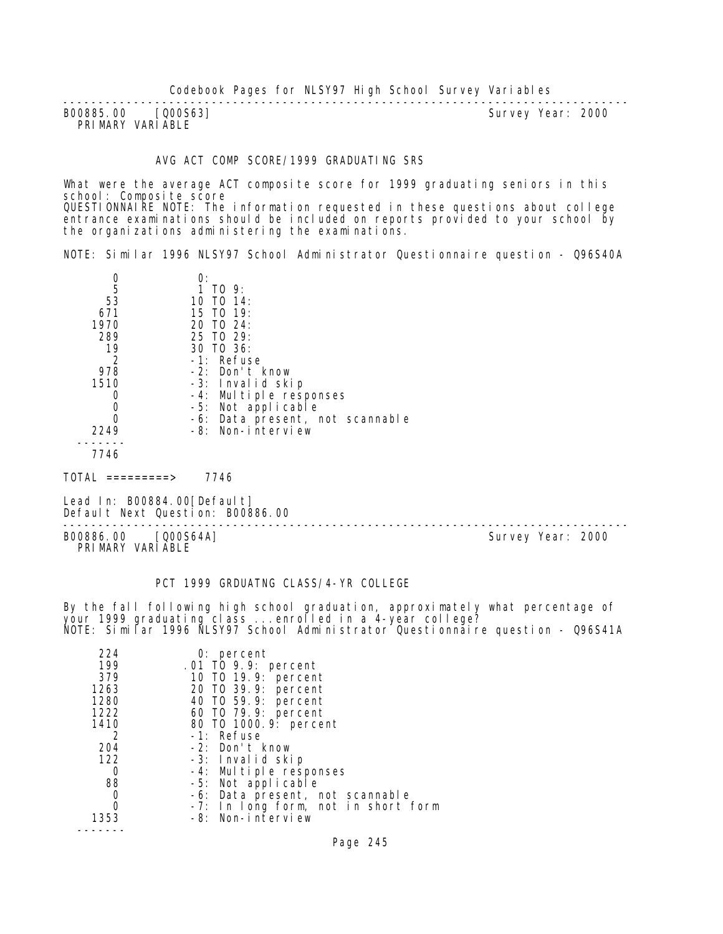| B00885.00 [000S63] |  | Survey Year: | 2000 |
|--------------------|--|--------------|------|
| PRIMARY VARIABLE   |  |              |      |

#### AVG ACT COMP SCORE/1999 GRADUATING SRS

What were the average ACT composite score for 1999 graduating seniors in this school: Composite score QUESTIONNAIRE NOTE: The information requested in these questions about college entrance examinations should be included on reports provided to your school by the organizations administering the examinations.

NOTE: Similar 1996 NLSY97 School Administrator Questionnaire question - Q96S40A

|               | 0:                              |
|---------------|---------------------------------|
| 5             | 1 TO 9:                         |
| 53            | 10 TO 14:                       |
| 671           | 15 TO 19:                       |
| 1970          | 20 TO 24:                       |
| 289           | 25 TO 29:                       |
| 19            | 30 TO 36:                       |
| $\mathcal{P}$ | -1: Refuse                      |
| 978           | -2: Don't know                  |
| 1510          | -3: Invalid skip                |
|               | -4: Multiple responses          |
|               | -5: Not applicable              |
|               | -6: Data present, not scannable |
| 2249          | -8: Non-interview               |
|               |                                 |
|               |                                 |

TOTAL =========> 7746

Lead In: B00884.00 [Default] Default Next Question: B00886.00

-------------------------------------------------------------------------------- B00886.00 [Q00S64A] Survey Year: 2000 PRIMARY VARIABLE

# PCT 1999 GRDUATNG CLASS/4-YR COLLEGE

By the fall following high school graduation, approximately what percentage of your 1999 graduating class ...enrolled in a 4-year college? NOTE: Similar 1996 NLSY97 School Administrator Questionnaire question - Q96S41A

| 224            | 0: percent                          |
|----------------|-------------------------------------|
| 199            | .01 TO 9.9: percent                 |
| 379            | 10 T0 19.9: percent                 |
| 1263           | 20 TO 39.9: percent                 |
| 1280           | 40 T0 59.9: percent                 |
| 1222           | 60 T0 79.9: percent                 |
| 1410           | 80 TO 1000. 9: percent              |
| $\overline{2}$ | -1: Refuse                          |
| 204            | -2: Don't know                      |
| 122            | -3: Invalid skip                    |
| O              | -4: Multiple responses              |
| 88             | -5: Not applicable                  |
| O              | -6: Data present, not scannable     |
| Ω              | -7: In long form, not in short form |
| 1353           | -8: Non-interview                   |
|                |                                     |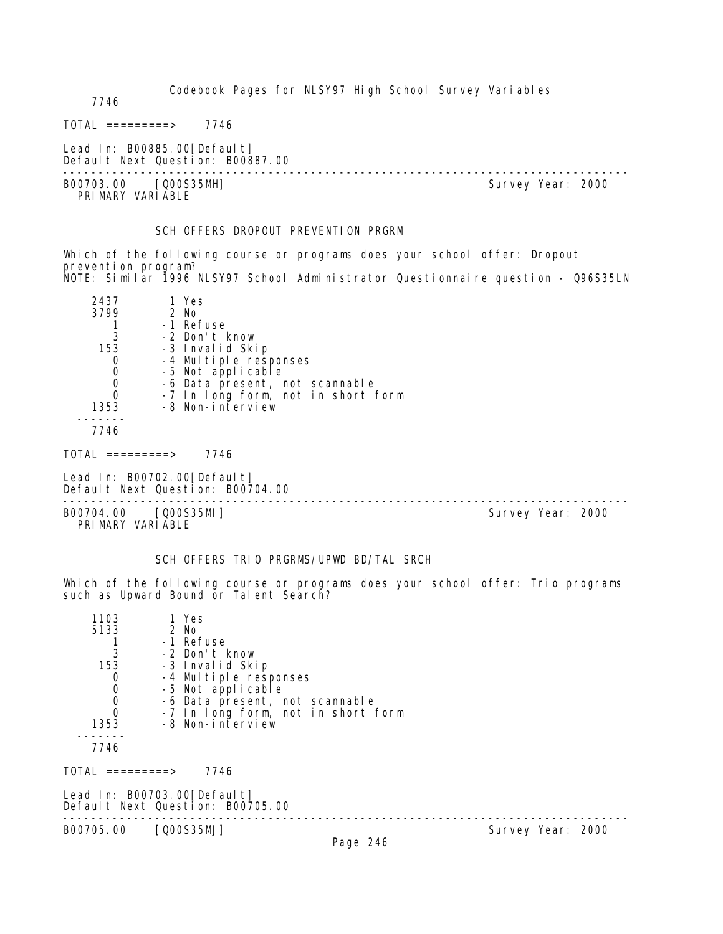7746

 $TOTAL$  ========> 7746

Lead In: B00885.00 [Default] Default Next Question: B00887.00

-------------------------------------------------------------------------------- PRIMARY VARIABLE

Survey Year: 2000

#### SCH OFFERS DROPOUT PREVENTION PRGRM

Which of the following course or programs does your school offer: Dropout prevention program? NOTE: Similar 1996 NLSY97 School Administrator Questionnaire question - Q96S35LN

| 2437<br>3799 | 1 Yes<br>$2$ No<br>-1 Refuse       |
|--------------|------------------------------------|
|              | -2 Don't know                      |
| 153          | -3 Invalid Skip                    |
|              | -4 Multiple responses              |
|              | -5 Not applicable                  |
|              | -6 Data present, not scannable     |
|              | -7 In long form, not in short form |
| 1353         | -8 Non-interview                   |
| 7746         |                                    |

TOTAL =========> 7746

Lead In: B00702.00 [Default] Default Next Question: B00704.00

B00704.00 [Q00S35MI] PRIMARY VARIABLE

--------------------------------------------------------------------------------

## SCH OFFERS TRIO PRGRMS/UPWD BD/TAL SRCH

Which of the following course or programs does your school offer: Trio programs such as Upward Bound or Talent Search?

| 1103             | 1 Yes                                                           |  |
|------------------|-----------------------------------------------------------------|--|
| 5133             | 2 No                                                            |  |
|                  | -1 Refuse                                                       |  |
| 3                | -2 Don't know                                                   |  |
| 153              | -3 Invalid Skip                                                 |  |
| 0                | -4 Multiple responses                                           |  |
| 0                | -5 Not applicable                                               |  |
| 0                | -6 Data present, not scannable                                  |  |
| $\Omega$         | -7 In long form, not in short form                              |  |
| 1353             | -8 Non-interview                                                |  |
|                  |                                                                 |  |
| 7746             |                                                                 |  |
| TOTAL =========> | 7746                                                            |  |
|                  | Lead In: B00703.00[Default]<br>Default Next Question: B00705.00 |  |

-------------------------------------------------------------------------------- Survey Year: 2000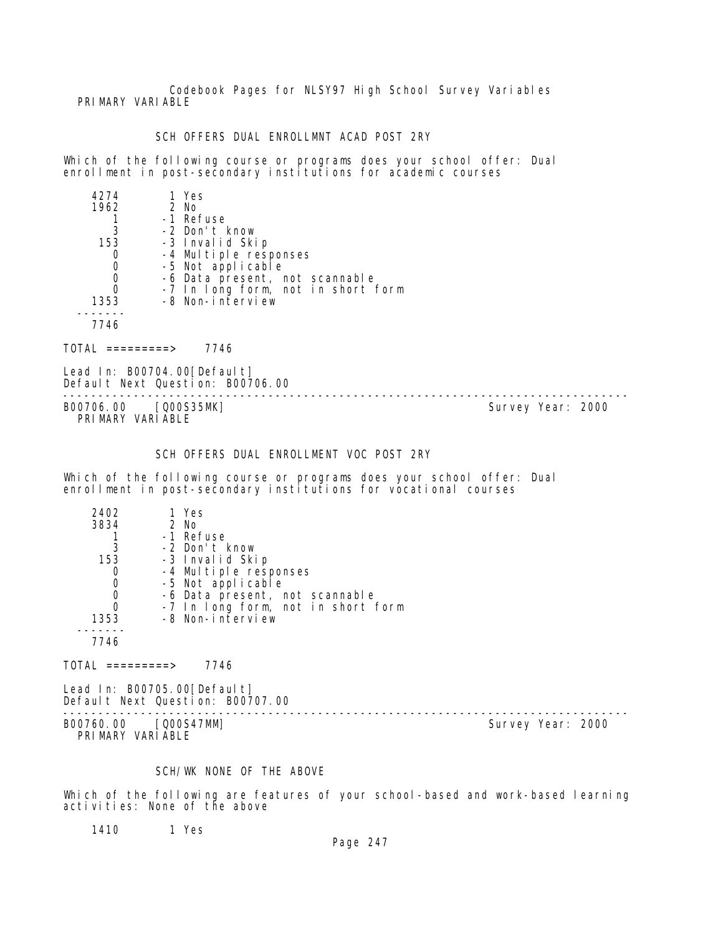Codebook Pages for NLSY97 High School Survey Variables PRIMARY VARIABLE

## SCH OFFERS DUAL ENROLLMNT ACAD POST 2RY

Which of the following course or programs does your school offer: Dual enrollment in post-secondary institutions for academic courses

| 4274 | 1 Yes                              |
|------|------------------------------------|
| 1962 | 2 No                               |
|      | -1 Refuse                          |
| 3    | -2 Don't know                      |
| 153  | -3 Invalid Skip                    |
|      | -4 Multiple responses              |
| 0    | -5 Not applicable                  |
| 0    | -6 Data present, not scannable     |
| 0    | -7 In long form, not in short form |
| 1353 | -8 Non-interview                   |
|      |                                    |
| 7746 |                                    |

TOTAL =========> 7746

Lead In: B00704.00 [Default] Default Next Question: B00706.00

-------------------------------------------------------------------------------- B00706.00 [Q00S35MK] PRIMARY VARIABLE

# SCH OFFERS DUAL ENROLLMENT VOC POST 2RY

Which of the following course or programs does your school offer: Dual enrollment in post-secondary institutions for vocational courses

| 2402 | 1 Yes                                      |
|------|--------------------------------------------|
| 3834 | 2 No                                       |
|      | -1 Refuse                                  |
| 3    | -2 Don't know                              |
| 153  | -3 Invalid Skip                            |
|      | -4 Multiple responses<br>-5 Not applicable |
| O    |                                            |
| 0    | -6 Data present, not scannable             |
| 0    | -7 In long form, not in short form         |
| 1353 | -8 Non-interview                           |
|      |                                            |
| 7746 |                                            |

 $TOTAL$  =========> 7746

Lead In: B00705.00 [Default] Default Next Question: B00707.00

B00760.00 [Q00S47MM] PRIMARY VARIABLE

--------------------------------------------------------------------------------

# SCH/WK NONE OF THE ABOVE

Which of the following are features of your school-based and work-based learning activities: None of the above

1410 1 Yes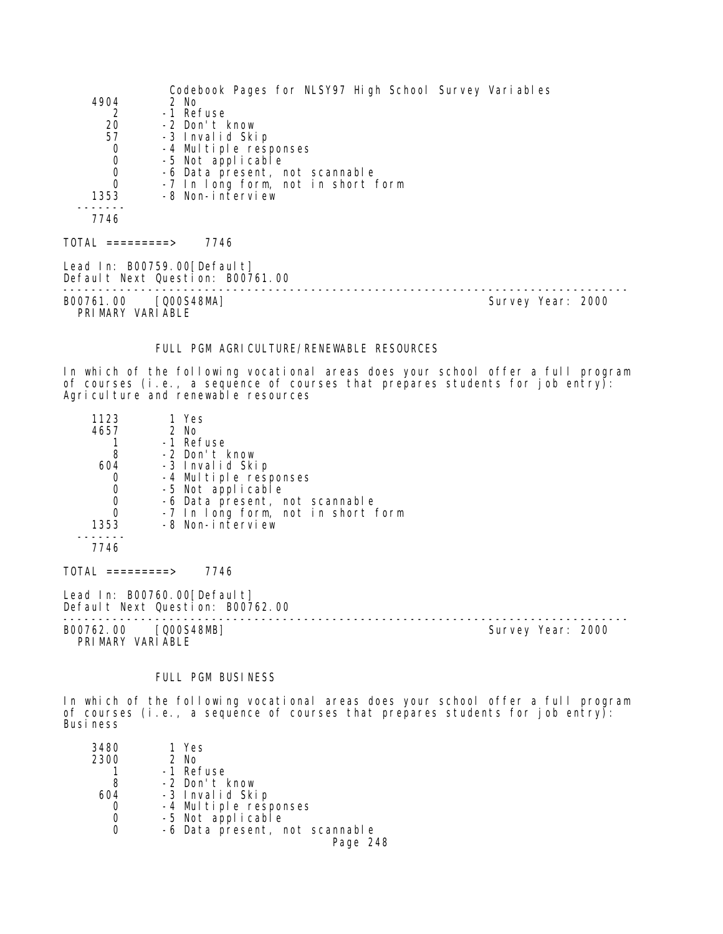|                                            | Codebook Pages for NLSY97 High School Survey Variables          |                   |
|--------------------------------------------|-----------------------------------------------------------------|-------------------|
| 4904                                       | 2 No                                                            |                   |
| 2                                          | -1 Refuse                                                       |                   |
| 20                                         | -2 Don't know                                                   |                   |
| 57                                         | -3 Invalid Skip                                                 |                   |
| $\begin{smallmatrix}0\\0\end{smallmatrix}$ | -4 Multiple responses                                           |                   |
|                                            | -5 Not applicable                                               |                   |
| $\begin{smallmatrix}0\\0\end{smallmatrix}$ | -6 Data present, not scannable                                  |                   |
|                                            | -7 In long form, not in short form                              |                   |
| 1353                                       | -8 Non-interview                                                |                   |
|                                            |                                                                 |                   |
| 7746                                       |                                                                 |                   |
| TOTAL =========>                           | 7746                                                            |                   |
|                                            | Lead In: B00759.00[Default]<br>Default Next Question: B00761.00 |                   |
| B00761.00<br>PRIMARY VARIABLE              | [Q00S48MA]                                                      | Survey Year: 2000 |

#### FULL PGM AGRICULTURE/RENEWABLE RESOURCES

In which of the following vocational areas does your school offer a full program of courses (i.e., a sequence of courses that prepares students for job entry): Agriculture and renewable resources

| 1123             | 1 Yes                              |  |
|------------------|------------------------------------|--|
| 4657             | 2 No                               |  |
|                  | -1 Refuse                          |  |
| 8                | -2 Don't know                      |  |
| 604              | -3 Invalid Skip                    |  |
| 0                | -4 Multiple responses              |  |
| 0                | -5 Not applicable                  |  |
| 0                | -6 Data present, not scannable     |  |
| 0                | -7 In long form, not in short form |  |
| 1353             | -8 Non-interview                   |  |
|                  |                                    |  |
| 7746             |                                    |  |
| TOTAI =========> | 7746                               |  |
|                  | Lead In: B00760.00[Default]        |  |

Default Next Question: B00762.00 -------------------------------------------------------------------------------- B00762.00 [Q00S48MB] Survey Year: 2000

PRIMARY VARIABLE

FULL PGM BUSINESS

In which of the following vocational areas does your school offer a full program of courses (i.e., a sequence of courses that prepares students for job entry): Business

| 3480 | 1 Yes                          |
|------|--------------------------------|
| 2300 | 2 No                           |
|      | -1 Refuse                      |
| 8    | -2 Don't know                  |
| 604  | -3 Invalid Skip                |
|      | -4 Multiple responses          |
|      | -5 Not applicable              |
|      | -6 Data present, not scannable |
|      | Page 248                       |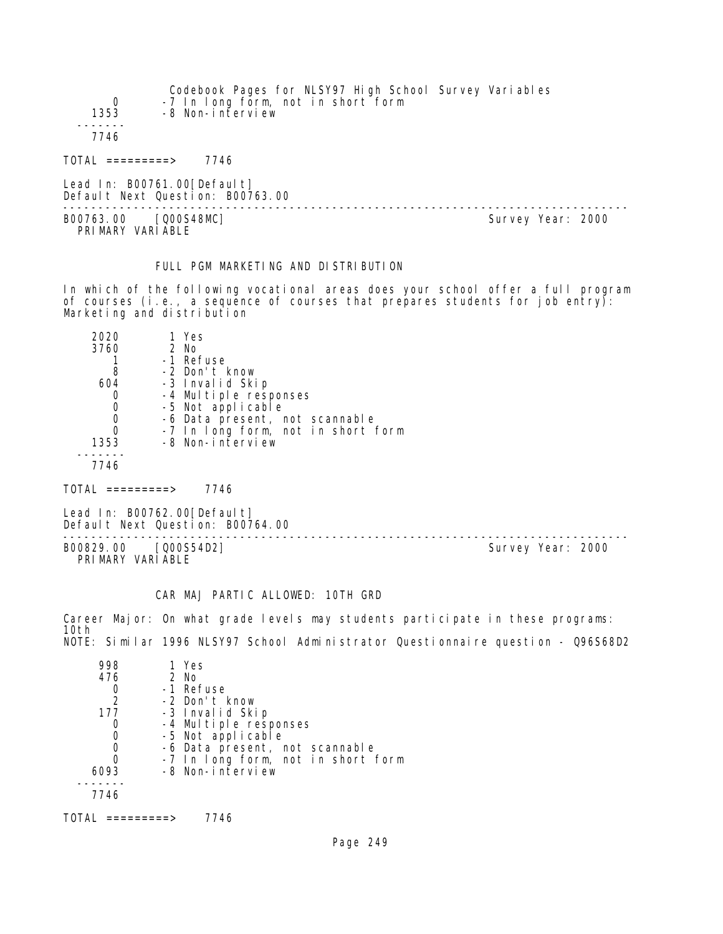| $\Omega$<br>1353 | Codebook Pages for NLSY97 High School Survey Variables<br>-7 In long form, not in short form<br>-8 Non-interview |
|------------------|------------------------------------------------------------------------------------------------------------------|
| 7746             |                                                                                                                  |
| TOTAL =========> | 7746                                                                                                             |

Lead In: B00761.00 [Default] Default Next Question: B00763.00

B00763.00 [Q00S48MC] Survey Year: 2000 PRIMARY VARIABLE

--------------------------------------------------------------------------------

# FULL PGM MARKETING AND DISTRIBUTION

In which of the following vocational areas does your school offer a full program of courses (i.e., a sequence of courses that prepares students for job entry): Marketing and distribution

| 2020<br>3760 | 1 Yes<br>2 No<br>-1 Refuse         |
|--------------|------------------------------------|
| 8            | -2 Don't know                      |
| 604          | -3 Invalid Skip                    |
|              | -4 Multiple responses              |
|              | -5 Not applicable                  |
|              | -6 Data present, not scannable     |
|              | -7 In long form, not in short form |
| 1353         | -8 Non-interview                   |
|              |                                    |
|              |                                    |

 $TOTAL$  =========> 7746

Lead In: B00762.00 [Default] Default Next Question: B00764.00

B00829.00 [Q00S54D2] PRIMARY VARIABLE

--------------------------------------------------------------------------------

#### CAR MAJ PARTIC ALLOWED: 10TH GRD

Career Major: On what grade levels may students participate in these programs: 10th NOTE: Similar 1996 NLSY97 School Administrator Questionnaire question - Q96S68D2

| 998           | 1 Yes                              |
|---------------|------------------------------------|
| 476           | 2 No                               |
|               | -1 Refuse                          |
| $\mathcal{P}$ | -2 Don't know                      |
| 177           | -3 Invalid Skip                    |
|               | -4 Multiple responses              |
|               | -5 Not applicable                  |
|               | -6 Data present, not scannable     |
|               | -7 In long form, not in short form |
| 6093          | -8 Non-interview                   |
|               |                                    |
| 7746          |                                    |
|               |                                    |

TOTAL =========> 7746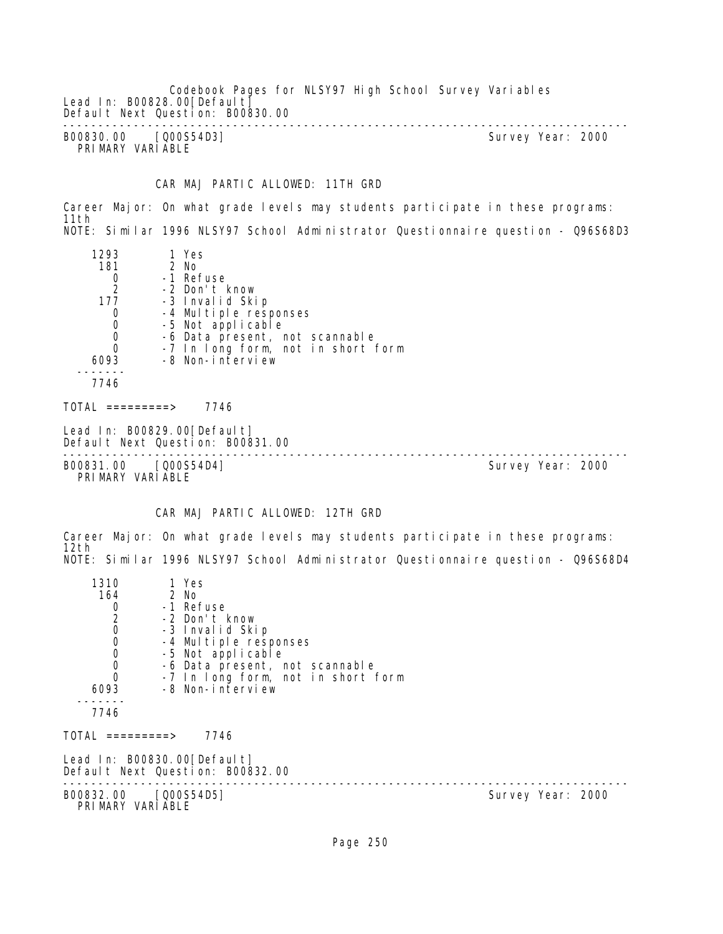Codebook Pages for NLSY97 High School Survey Variables Lead In: B00828.00 [Default] Default Next Question: B00830.00 -------------------------------------------------------------------------------- B00830.00 [Q00S54D3] Survey Year: 2000 PRIMARY VARIABLE

CAR MAJ PARTIC ALLOWED: 11TH GRD

Career Major: On what grade levels may students participate in these programs: 11th NOTE: Similar 1996 NLSY97 School Administrator Questionnaire question - Q96S68D3

| 1293<br>181<br>0<br>2<br>177<br>0<br>0<br>0<br>0<br>6093 | 1 Yes<br>2 No<br>-1 Refuse<br>-2 Don't know<br>-3 Invalid Skip<br>-4 Multiple responses<br>-5 Not applicable<br>-6 Data present, not scannable<br>-7 In long form, not in short form<br>-8 Non-interview |  |
|----------------------------------------------------------|----------------------------------------------------------------------------------------------------------------------------------------------------------------------------------------------------------|--|
| 7746                                                     |                                                                                                                                                                                                          |  |
|                                                          |                                                                                                                                                                                                          |  |

 $TOTAL$  =========> 7746

Lead In: B00829.00[Default] Default Next Question: B00831.00

B00831.00 [Q00S54D4] PRIMARY VARIABLE

--------------------------------------------------------------------------------

# CAR MAJ PARTIC ALLOWED: 12TH GRD

Career Major: On what grade levels may students participate in these programs: 12th NOTE: Similar 1996 NLSY97 School Administrator Questionnaire question - Q96S68D4

| 1310                                       | 1 Yes                                                           |                   |  |
|--------------------------------------------|-----------------------------------------------------------------|-------------------|--|
| 164                                        | 2 No                                                            |                   |  |
|                                            | -1 Refuse                                                       |                   |  |
|                                            | -2 Don't know                                                   |                   |  |
| $0$<br>$0$<br>$0$                          | -3 Invalid Skip                                                 |                   |  |
|                                            | -4 Multiple responses                                           |                   |  |
| $\begin{smallmatrix}0\\0\end{smallmatrix}$ | -5 Not applicable                                               |                   |  |
|                                            | -6 Data present, not scannable                                  |                   |  |
| 0                                          | -7 In long form, not in short form                              |                   |  |
| 6093                                       | -8 Non-interview                                                |                   |  |
| 7746                                       |                                                                 |                   |  |
| TOTAL =========>                           | 7746                                                            |                   |  |
|                                            | Lead In: B00830.00[Default]<br>Default Next Question: B00832.00 |                   |  |
| B00832.00 [Q00S54D5]<br>PRIMARY VARIABLE   |                                                                 | Survey Year: 2000 |  |
|                                            |                                                                 |                   |  |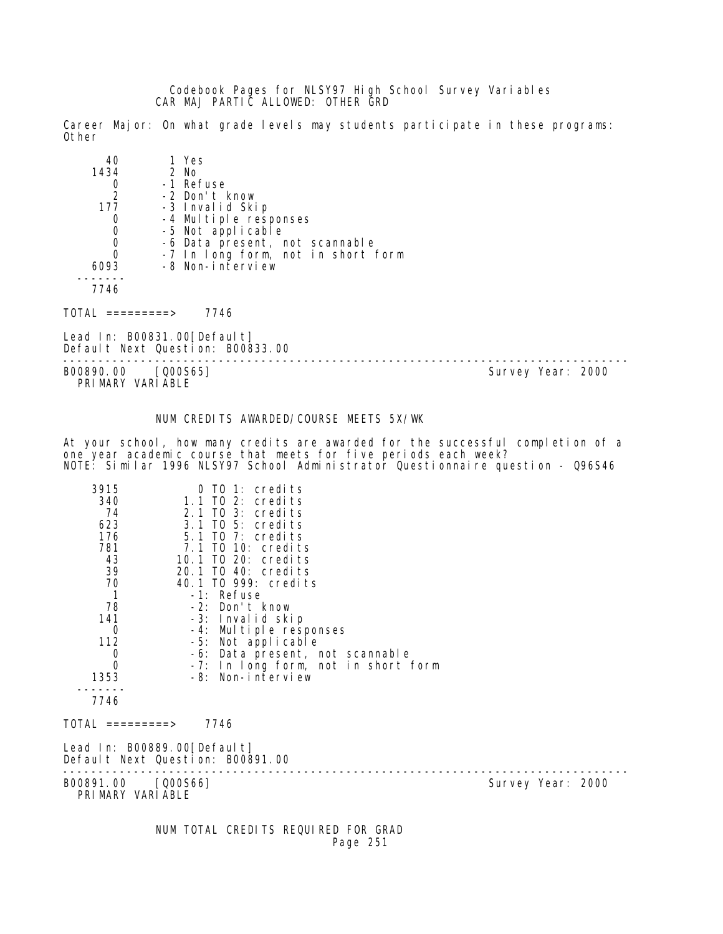Codebook Pages for NLSY97 High School Survey Variables CAR MAJ PARTIC ALLOWED: OTHER GRD

Career Major: On what grade levels may students participate in these programs: Other

| 40   | 1 Yes                              |
|------|------------------------------------|
| 1434 | 2 No                               |
|      | -1 Refuse                          |
| 2    | -2 Don't know                      |
| 177  | -3 Invalid Skip                    |
|      | -4 Multiple responses              |
|      | -5 Not applicable                  |
| 0    | -6 Data present, not scannable     |
| 0    | -7 In long form, not in short form |
| 6093 | -8 Non-interview                   |
|      |                                    |
|      |                                    |

 $TOTAL$  =========> 7746

Lead In: B00831.00[Default] Default Next Question: B00833.00

-------------------------------------------------------------------------------- B00890.00 [Q00S65] PRIMARY VARIABLE

### NUM CREDITS AWARDED/COURSE MEETS 5X/WK

At your school, how many credits are awarded for the successful completion of a one year academic course that meets for five periods each week? NOTE: Similar 1996 NLSY97 School Administrator Questionnaire question - Q96S46

| 3915                                   | 0 TO 1: credits                                                 |                   |
|----------------------------------------|-----------------------------------------------------------------|-------------------|
| 340                                    | $1.1$ TO 2: credits                                             |                   |
| 74                                     | 2.1 TO 3: credits                                               |                   |
| 623                                    | 3.1 TO 5: credits                                               |                   |
| 176                                    | 5.1 TO 7: credits                                               |                   |
| 781                                    | 7.1 TO 10: credits                                              |                   |
| 43                                     | 10.1 TO 20: credits                                             |                   |
| 39                                     | 20.1 TO 40: credits                                             |                   |
| 70<br>$\mathbf 1$                      | 40.1 TO 999: credits<br>-1: Refuse                              |                   |
| 78                                     | -2: Don't know                                                  |                   |
| 141                                    | -3: Invalid skip                                                |                   |
| 0                                      | -4: Multiple responses                                          |                   |
| 112                                    | -5: Not applicable                                              |                   |
| 0                                      | -6: Data present, not scannable                                 |                   |
| 0                                      | -7: In long form, not in short form                             |                   |
| 1353                                   | -8: Non-interview                                               |                   |
|                                        |                                                                 |                   |
| 7746                                   |                                                                 |                   |
| TOTAL =========>                       | 7746                                                            |                   |
|                                        | Lead In: B00889.00[Default]<br>Default Next Question: B00891.00 |                   |
| B00891.00 [Q00S66]<br>PRIMARY VARIABLE |                                                                 | Survey Year: 2000 |
|                                        |                                                                 |                   |

 NUM TOTAL CREDITS REQUIRED FOR GRAD Page 251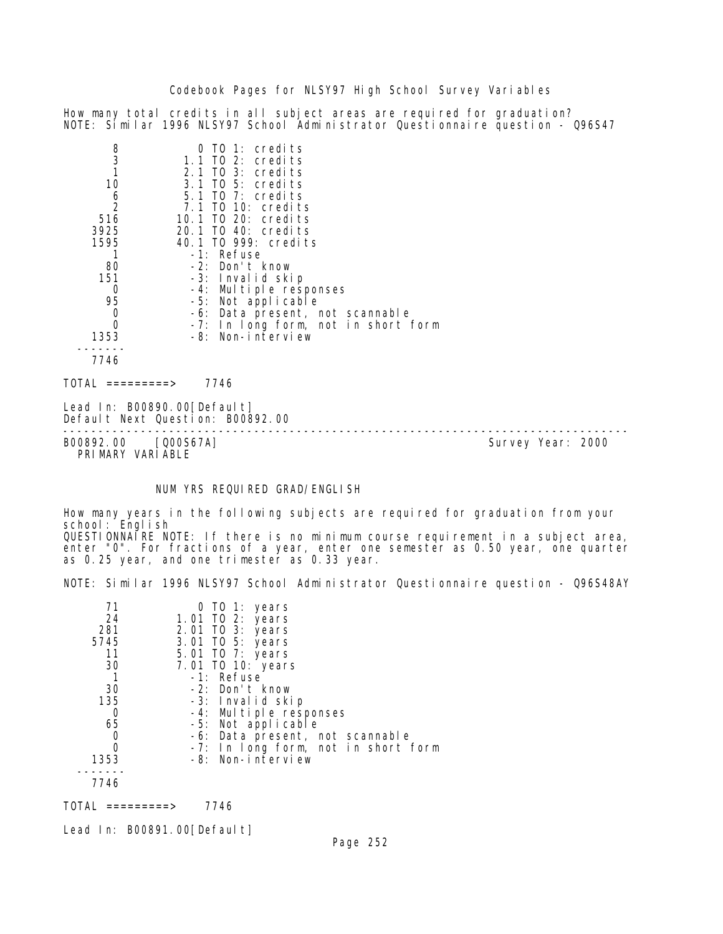How many total credits in all subject areas are required for graduation? NOTE: Similar 1996 NLSY97 School Administrator Questionnaire question - Q96S47

| $\frac{8}{3}$  | TO 1: credits                       |
|----------------|-------------------------------------|
|                | 1.1 TO 2: credits                   |
| $\mathbf{1}$   | 2.1 TO 3: credits                   |
| 10             | 3.1 TO 5: credits                   |
| 6              | $5.1$ TO 7: credits                 |
| $\overline{2}$ | 7.1 TO 10: credits                  |
| 516            | 10.1 TO 20: credits                 |
| 3925           | 20.1 TO 40: credits                 |
| 1595           | 40.1 TO 999: credits                |
|                | -1: Refuse                          |
| 80             | $-2$ : Don't know                   |
| 151            | -3: Invalid skip                    |
| 0              | -4: Multiple responses              |
| 95             | -5: Not applicable                  |
| 0              | -6: Data present, not scannable     |
|                | -7: In long form, not in short form |
| 1353           | -8: Non-interview                   |
|                |                                     |
| 7746           |                                     |
|                |                                     |

 $TOTAL$  ========> 7746

Lead In: B00890.00 [Default] Default Next Question: B00892.00

-------------------------------------------------------------------------------- B00892.00 [Q00S67A] PRIMARY VARIABLE

#### NUM YRS REQUIRED GRAD/ENGLISH

How many years in the following subjects are required for graduation from your school: English QUESTIONNAIRE NOTE: If there is no minimum course requirement in a subject area, enter "0". For fractions of a year, enter one semester as 0.50 year, one quarter as 0.25 year, and one trimester as 0.33 year.

NOTE: Similar 1996 NLSY97 School Administrator Questionnaire question - Q96S48AY

| 71   | 0 TO 1: years                       |
|------|-------------------------------------|
| 24   | 1.01 TO 2: years                    |
| 281  | 2.01 TO 3: years                    |
| 5745 | 3.01 TO 5: years                    |
| 11   | 5.01 TO 7: years                    |
| 30   | 7.01 TO 10: years                   |
|      | -1: Refuse                          |
| 30   | -2: Don't know                      |
| 135  | -3: Invalid skip                    |
| 0    | -4: Multiple responses              |
| 65   | -5: Not applicable                  |
|      | -6: Data present, not scannable     |
| 0    | -7: In long form, not in short form |
| 1353 | -8: Non-interview                   |
|      |                                     |
| 7746 |                                     |

TOTAL =========> 7746

Lead In: B00891.00 [Default]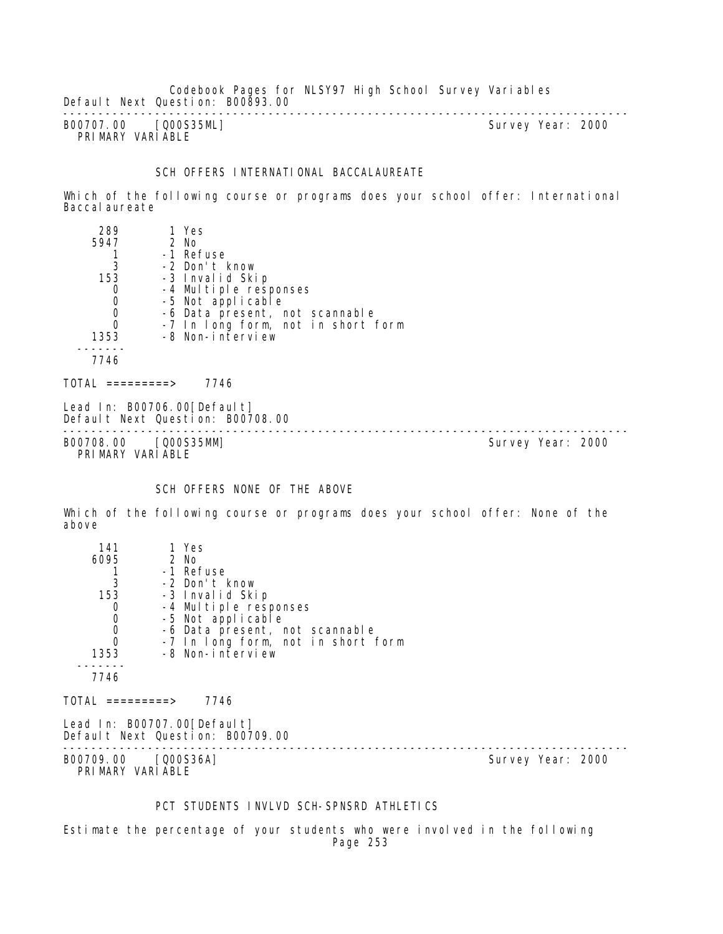Codebook Pages for NLSY97 High School Survey Variables Default Next Question: B00893.00 --------------------------------------------------------------------------------

B00707.00 [Q00S35ML] PRIMARY VARIABLE

#### SCH OFFERS INTERNATIONAL BACCALAUREATE

Which of the following course or programs does your school offer: International Baccal aureate

| 289  | 1 Yes                              |
|------|------------------------------------|
| 5947 | 2 No                               |
|      | -1 Refuse                          |
| 3    | -2 Don't know                      |
| 153  | -3 Invalid Skip                    |
|      | -4 Multiple responses              |
|      | -5 Not applicable                  |
|      | -6 Data present, not scannable     |
|      | -7 In long form, not in short form |
| 1353 | -8 Non-interview                   |
|      |                                    |
| 7746 |                                    |
|      |                                    |

 $TOTAL$  ========> 7746

Lead In: B00706.00 [Default] Default Next Question: B00708.00

-------------------------------------------------------------------------------- B00708.00 [Q00S35MM] Survey Year: 2000 PRIMARY VARIABLE

### SCH OFFERS NONE OF THE ABOVE

Which of the following course or programs does your school offer: None of the above

| 141                | 1 Yes                                                             |                   |
|--------------------|-------------------------------------------------------------------|-------------------|
| 6095               | 2 No                                                              |                   |
|                    | -1 Refuse                                                         |                   |
| 3                  | -2 Don't know                                                     |                   |
| 153                | -3 Invalid Skip                                                   |                   |
| 0                  | -4 Multiple responses                                             |                   |
| $\mathbf 0$        | -5 Not applicable                                                 |                   |
| $\mathbf 0$        | -6 Data present, not scannable                                    |                   |
| 0                  | -7 In long form, not in short form                                |                   |
| 1353               | -8 Non-interview                                                  |                   |
|                    |                                                                   |                   |
| 7746               |                                                                   |                   |
| $TOTAL$ =========> | 7746                                                              |                   |
|                    | Lead In: B00707.00 [Defaul t]<br>Default Next Question: B00709.00 |                   |
| B00709, 00         | [Q00S36A]                                                         | Survey Year: 2000 |

PRIMARY VARIABLE

### PCT STUDENTS INVLVD SCH-SPNSRD ATHLETICS

Estimate the percentage of your students who were involved in the following Page 253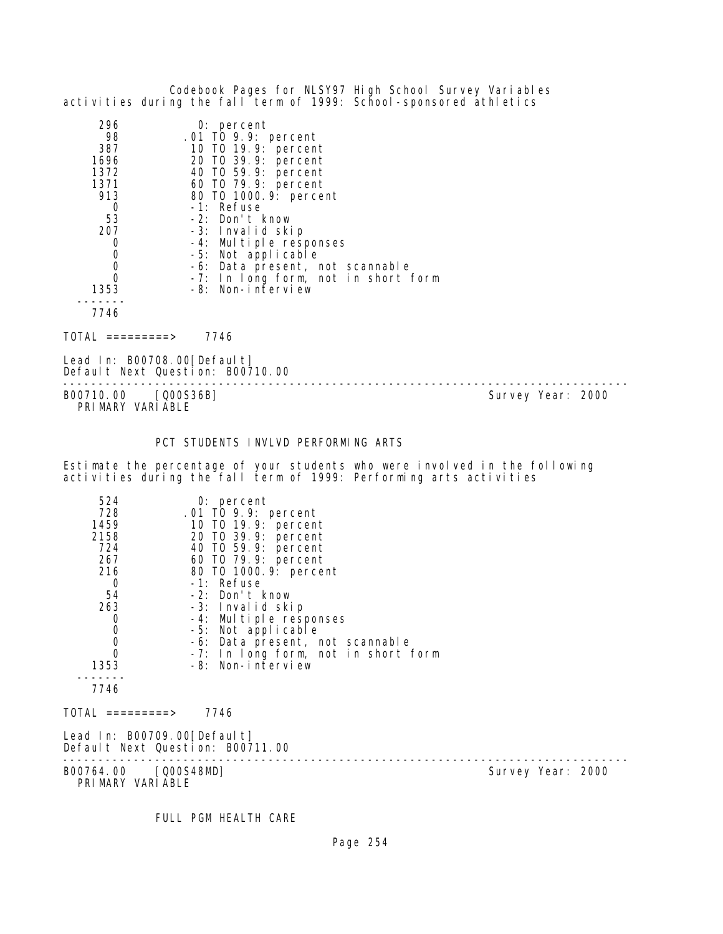|                                                                                                       | Codebook Pages for NLSY97 High School Survey Variables<br>activities during the fall term of 1999: School-sponsored athletics                                                                                                                                                                                                                                |                   |
|-------------------------------------------------------------------------------------------------------|--------------------------------------------------------------------------------------------------------------------------------------------------------------------------------------------------------------------------------------------------------------------------------------------------------------------------------------------------------------|-------------------|
| 296<br>98<br>387<br>1696<br>1372<br>1371<br>913<br>0<br>53<br>207<br>0<br>0<br>0<br>0<br>1353<br>7746 | 0: percent<br>.01 TO 9.9: percent<br>10 T0 19.9: percent<br>20 TO 39.9: percent<br>40 T0 59.9: percent<br>60 T0 79.9: percent<br>80 TO 1000. 9: percent<br>-1: Refuse<br>-2: Don't know<br>-3: Invalid skip<br>-4: Multiple responses<br>-5: Not applicable<br>-6: Data present, not scannable<br>-7: In long form, not in short form<br>-8: Non-interview   |                   |
| $TOTAI = = = = = = = = > 7746$                                                                        |                                                                                                                                                                                                                                                                                                                                                              |                   |
| Lead In: B00708.00 [Default]<br>Default Next Question: B00710.00                                      |                                                                                                                                                                                                                                                                                                                                                              |                   |
| B00710.00 [Q00S36B]<br>PRIMARY VARIABLE                                                               |                                                                                                                                                                                                                                                                                                                                                              | Survey Year: 2000 |
|                                                                                                       | PCT STUDENTS INVLVD PERFORMING ARTS                                                                                                                                                                                                                                                                                                                          |                   |
|                                                                                                       | Estimate the percentage of your students who were involved in the following<br>activities during the fall term of 1999: Performing arts activities                                                                                                                                                                                                           |                   |
| 524<br>728<br>1459<br>2158<br>724<br>267<br>216<br>0<br>54<br>263<br>0<br>0<br>0<br>0<br>1353<br>7746 | $0:$ percent<br>.01 TO 9.9: percent<br>10 T0 19.9: percent<br>20 TO 39.9: percent<br>40 TO 59.9: percent<br>60 TO 79.9: percent<br>80 TO 1000. 9: percent<br>-1: Refuse<br>-2: Don't know<br>-3: Invalid skip<br>-4: Multiple responses<br>-5: Not applicable<br>-6: Data present, not scannable<br>-7: In long form, not in short form<br>-8: Non-interview |                   |
| $\overline{O}TAL$ =========>                                                                          | 7746                                                                                                                                                                                                                                                                                                                                                         |                   |

Lead In: B00709.00[Default]

Default Next Question: B00711.00

-------------------------------------------------------------------------------- B00764.00 [Q00S48MD] Survey Year: 2000

PRIMARY VARIABLE

FULL PGM HEALTH CARE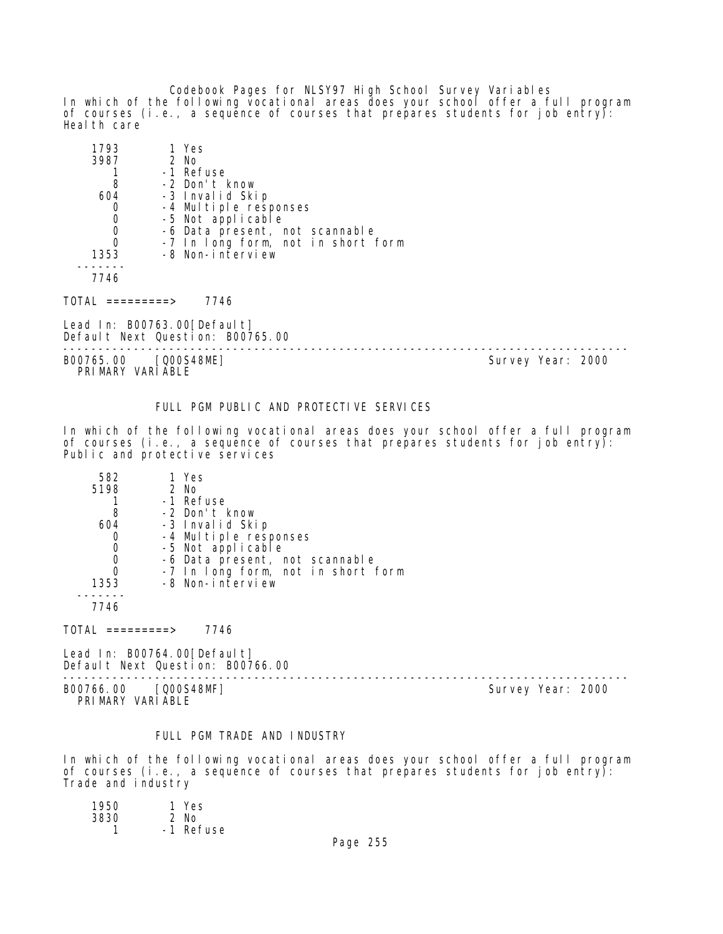Codebook Pages for NLSY97 High School Survey Variables In which of the following vocational areas does your school offer a full program of courses (i.e., a sequence of courses that prepares students for job entry): Heal th care

| 1793 | 1 Yes                              |
|------|------------------------------------|
| 3987 | $2$ No                             |
|      | -1 Refuse                          |
| 8    | -2 Don't know                      |
| 604  | -3 Invalid Skip                    |
|      | -4 Multiple responses              |
|      | -5 Not applicable                  |
|      | -6 Data present, not scannable     |
| O    | -7 In long form, not in short form |
| 1353 | -8 Non-interview                   |
|      |                                    |
| 7746 |                                    |

TOTAL =========> 7746

Lead In: B00763.00 [Default] Default Next Question: B00765.00

-------------------------------------------------------------------------------- B00765.00 [Q00S48ME] Survey Year: 2000 PRIMARY VARIABLE

### FULL PGM PUBLIC AND PROTECTIVE SERVICES

In which of the following vocational areas does your school offer a full program of courses (i.e., a sequence of courses that prepares students for job entry): Public and protective services

| 582  | 1 Yes                              |
|------|------------------------------------|
| 5198 | 2 No                               |
|      | -1 Refuse                          |
| 8    | -2 Don't know                      |
| 604  | -3 Invalid Skip                    |
|      | -4 Multiple responses              |
|      | -5 Not applicable                  |
|      | -6 Data present, not scannable     |
|      | -7 In long form, not in short form |
| 1353 | -8 Non-interview                   |
|      |                                    |
| 7746 |                                    |

 $TOTAL$  =========> 7746

Lead In: B00764.00[Default] Default Next Question: B00766.00

-------------------------------------------------------------------------------- B00766.00 [Q00S48MF] Survey Year: 2000 PRIMARY VARIABLE

#### FULL PGM TRADE AND INDUSTRY

In which of the following vocational areas does your school offer a full program of courses (i.e., a sequence of courses that prepares students for job entry): Trade and industry

| 1950 | 1 Yes     |
|------|-----------|
| 3830 | $2$ No    |
|      | -1 Refuse |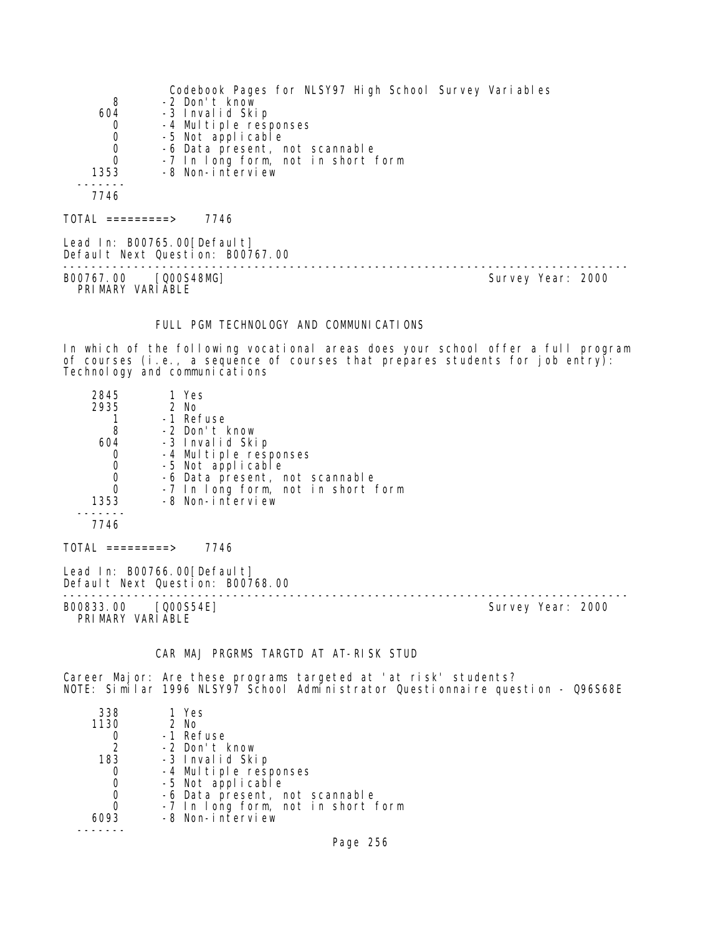|                  | Codebook Pages for NLSY97 High School Survey Variables          |
|------------------|-----------------------------------------------------------------|
| 8                | -2 Don't know                                                   |
| 604              | -3 Invalid Skip                                                 |
| $\mathbf 0$      | -4 Multiple responses                                           |
| $\mathbf 0$      | -5 Not applicable                                               |
| $\boldsymbol{0}$ | -6 Data present, not scannable                                  |
| 0                | -7 In long form, not in short form                              |
| 1353             | -8 Non-interview                                                |
|                  |                                                                 |
| 7746             |                                                                 |
| TOTAL =========> | 7746                                                            |
|                  | Lead In: B00765.00[Default]<br>Default Next Question: B00767.00 |

B00767.00 [Q00S48MG] Survey Year: 2000 PRIMARY VARIABLE

--------------------------------------------------------------------------------

## FULL PGM TECHNOLOGY AND COMMUNICATIONS

In which of the following vocational areas does your school offer a full program of courses (i.e., a sequence of courses that prepares students for job entry): Technology and communications

| 2845                                    | 1 Yes                                                           |  |                   |  |
|-----------------------------------------|-----------------------------------------------------------------|--|-------------------|--|
| 2935                                    | 2 No                                                            |  |                   |  |
|                                         | -1 Refuse                                                       |  |                   |  |
| 8                                       | -2 Don't know                                                   |  |                   |  |
| 604                                     | -3 Invalid Skip                                                 |  |                   |  |
| 0                                       | -4 Multiple responses                                           |  |                   |  |
| $\mathbf 0$                             | -5 Not applicable                                               |  |                   |  |
| $\mathbf 0$                             | -6 Data present, not scannable                                  |  |                   |  |
| $\mathbf 0$                             | -7 In long form, not in short form                              |  |                   |  |
| 1353                                    | -8 Non-interview                                                |  |                   |  |
| 7746                                    |                                                                 |  |                   |  |
| TOTAL =========>                        | 7746                                                            |  |                   |  |
|                                         | Lead In: B00766.00[Default]<br>Default Next Question: B00768.00 |  |                   |  |
| B00833.00 [Q00S54E]<br>PRIMARY VARIABLE |                                                                 |  | Survey Year: 2000 |  |

#### CAR MAJ PRGRMS TARGTD AT AT-RISK STUD

Career Major: Are these programs targeted at 'at risk' students? NOTE: Similar 1996 NLSY97 School Administrator Questionnaire question - Q96S68E

| 338  | 1 Yes                              |
|------|------------------------------------|
| 1130 | 2 No                               |
|      | -1 Refuse                          |
| 2    | -2 Don't know                      |
| 183  | -3 Invalid Skip                    |
| O    | -4 Multiple responses              |
| O    | -5 Not applicable                  |
| 0    | -6 Data present, not scannable     |
| O    | -7 In long form, not in short form |
|      | -8 Non-interview                   |
|      |                                    |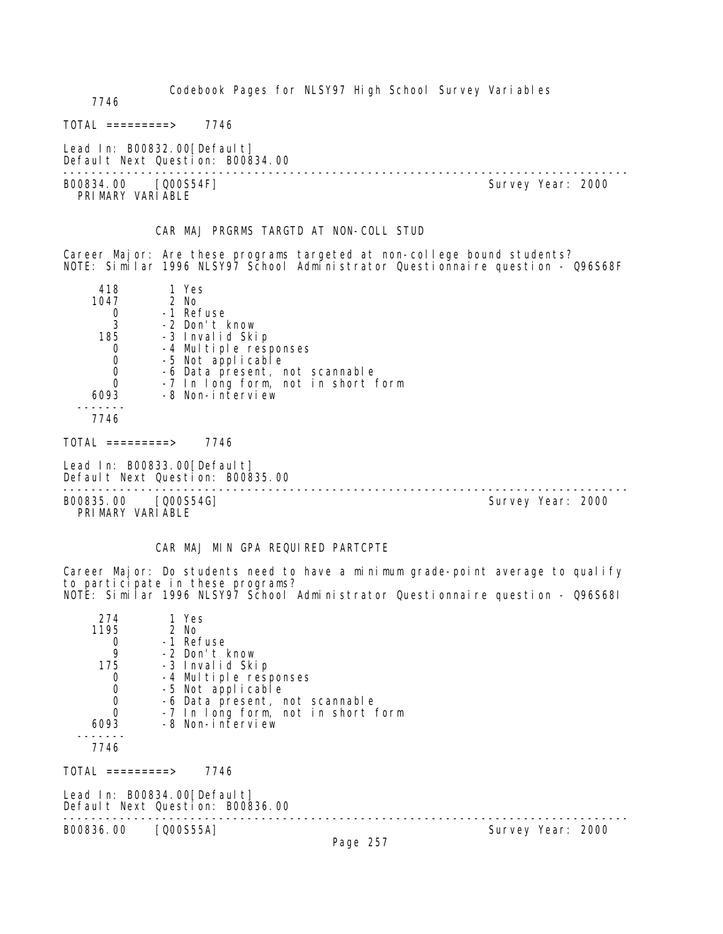| 7746                                                             |                                                                                                                                  | Codebook Pages for NLSY97 High School Survey Variables                                                                                                             |  |                   |  |
|------------------------------------------------------------------|----------------------------------------------------------------------------------------------------------------------------------|--------------------------------------------------------------------------------------------------------------------------------------------------------------------|--|-------------------|--|
| $\text{TOTAL}$ =========> 7746                                   |                                                                                                                                  |                                                                                                                                                                    |  |                   |  |
|                                                                  | Lead In: B00832.00 [Default]<br>Default Next Question: B00834.00                                                                 |                                                                                                                                                                    |  |                   |  |
| B00834.00 [Q00S54F]<br>PRIMARY VARIABLE                          |                                                                                                                                  |                                                                                                                                                                    |  | Survey Year: 2000 |  |
|                                                                  |                                                                                                                                  | CAR MAJ PRGRMS TARGTD AT NON-COLL STUD                                                                                                                             |  |                   |  |
|                                                                  |                                                                                                                                  | Career Major: Are these programs targeted at non-college bound students?<br>NOTE: Similar 1996 NLSY97 School Administrator Questionnaire question - Q96S68F        |  |                   |  |
| 418<br>1047<br>0<br>3<br>185<br>0<br>0<br>0<br>0<br>6093<br>7746 | 1 Yes<br>2 No<br>-1 Refuse<br>-2 Don't know<br>-3 Invalid Skip<br>-4 Multiple responses<br>-5 Not applicable<br>-8 Non-interview | -6 Data present, not scannable<br>-7 In long form, not in short form                                                                                               |  |                   |  |
| TOTAL =========> 7746                                            |                                                                                                                                  |                                                                                                                                                                    |  |                   |  |
|                                                                  | Lead In: B00833.00[Default]<br>Default Next Question: B00835.00                                                                  |                                                                                                                                                                    |  |                   |  |
| B00835.00 [Q00S54G]<br>PRIMARY VARIABLE                          |                                                                                                                                  |                                                                                                                                                                    |  | Survey Year: 2000 |  |
|                                                                  |                                                                                                                                  | CAR MAJ MIN GPA REQUIRED PARTCPTE                                                                                                                                  |  |                   |  |
|                                                                  | to participate in these programs?                                                                                                | Career Major: Do students need to have a minimum grade-point average to qualify<br>NOTE: Similar 1996 NLSY97 School Administrator Questionnaire question - Q96S68I |  |                   |  |
| 274<br>1195<br>0<br>9<br>175<br>0<br>0<br>0<br>0<br>6093<br>7746 | 1 Yes<br>2 No<br>-1 Refuse<br>-2 Don't know<br>-3 Invalid Skip<br>-4 Multiple responses<br>-5 Not applicable<br>-8 Non-interview | -6 Data present, not scannable<br>-7 In long form, not in short form                                                                                               |  |                   |  |
| TOTAL =========> 7746                                            |                                                                                                                                  |                                                                                                                                                                    |  |                   |  |
|                                                                  | Lead In: B00834.00[Default]                                                                                                      |                                                                                                                                                                    |  |                   |  |
|                                                                  | Default Next Question: B00836.00                                                                                                 |                                                                                                                                                                    |  |                   |  |
| B00836.00 [Q00S55A]                                              |                                                                                                                                  | Page 257                                                                                                                                                           |  | Survey Year: 2000 |  |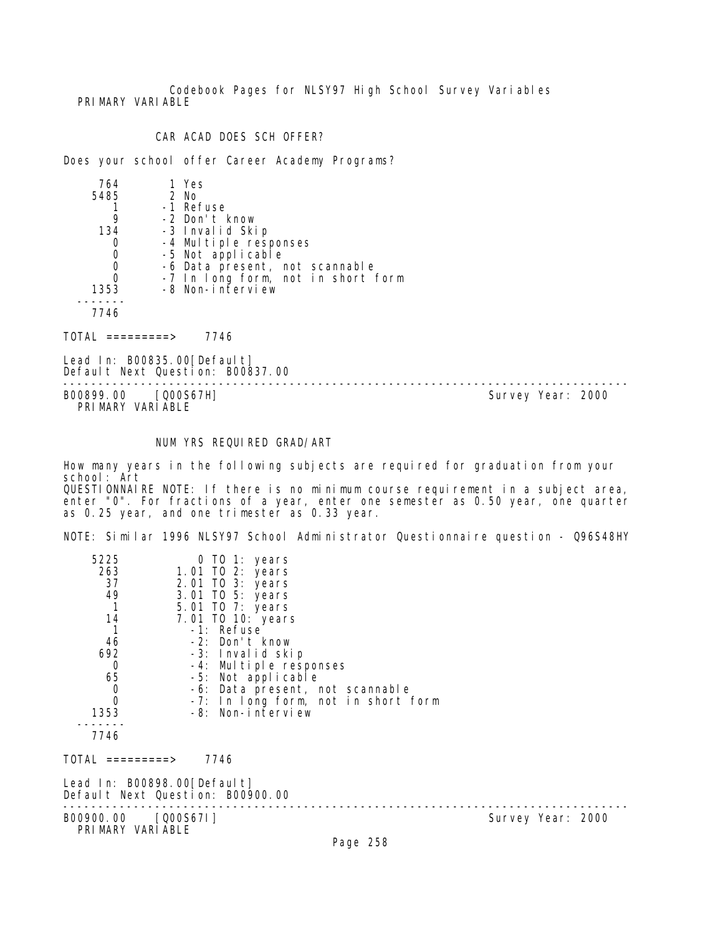Codebook Pages for NLSY97 High School Survey Variables PRI MARY VARI ABLE

## CAR ACAD DOES SCH OFFER?

Does your school offer Career Academy Programs?

| 764  | 1 Yes                              |
|------|------------------------------------|
| 5485 | 2 No                               |
|      | -1 Refuse                          |
|      | -2 Don't know                      |
| 134  | -3 Invalid Skip                    |
|      | -4 Multiple responses              |
|      | -5 Not applicable                  |
|      | -6 Data present, not scannable     |
|      | -7 In long form, not in short form |
| 1353 | -8 Non-interview                   |
|      |                                    |
| 7746 |                                    |
|      |                                    |

 $TOTAL$  ========> 7746

Lead In: B00835.00 [Default] Default Next Question: B00837.00

B00899.00 [Q00S67H] PRIMARY VARIABLE

--------------------------------------------------------------------------------

## NUM YRS REQUIRED GRAD/ART

How many years in the following subjects are required for graduation from your school: Art QUESTIONNAIRE NOTE: If there is no minimum course requirement in a subject area, enter "0". For fractions of a year, enter one semester as 0.50 year, one quarter as 0.25 year, and one trimester as 0.33 year.

NOTE: Similar 1996 NLSY97 School Administrator Questionnaire question - Q96S48HY

| 5225                        | 0 TO 1: years                       |                   |
|-----------------------------|-------------------------------------|-------------------|
| 263                         | 1.01 TO 2: years                    |                   |
| 37                          | 2.01 TO 3: years                    |                   |
| 49                          | 3.01 TO 5: years                    |                   |
|                             | 5.01 TO 7: years                    |                   |
| 14                          | 7.01 TO 10: years                   |                   |
|                             | -1: Refuse                          |                   |
| 46                          | -2: Don't know                      |                   |
| 692                         | -3: Invalid skip                    |                   |
| 0                           | -4: Multiple responses              |                   |
| 65                          | -5: Not applicable                  |                   |
| $\overline{0}$              | -6: Data present, not scannable     |                   |
| 0                           | -7: In long form, not in short form |                   |
| 1353                        | -8: Non-interview                   |                   |
|                             |                                     |                   |
| 7746                        |                                     |                   |
| TOTAL =========>            | 7746                                |                   |
| Lead In: B00898.00[Default] |                                     |                   |
|                             | Default Next Question: B00900.00    |                   |
|                             |                                     |                   |
| B00900.00 [Q00S67I]         |                                     | Survey Year: 2000 |
| PRIMARY VARIABLE            |                                     |                   |
|                             | <b>D.J. OFO</b>                     |                   |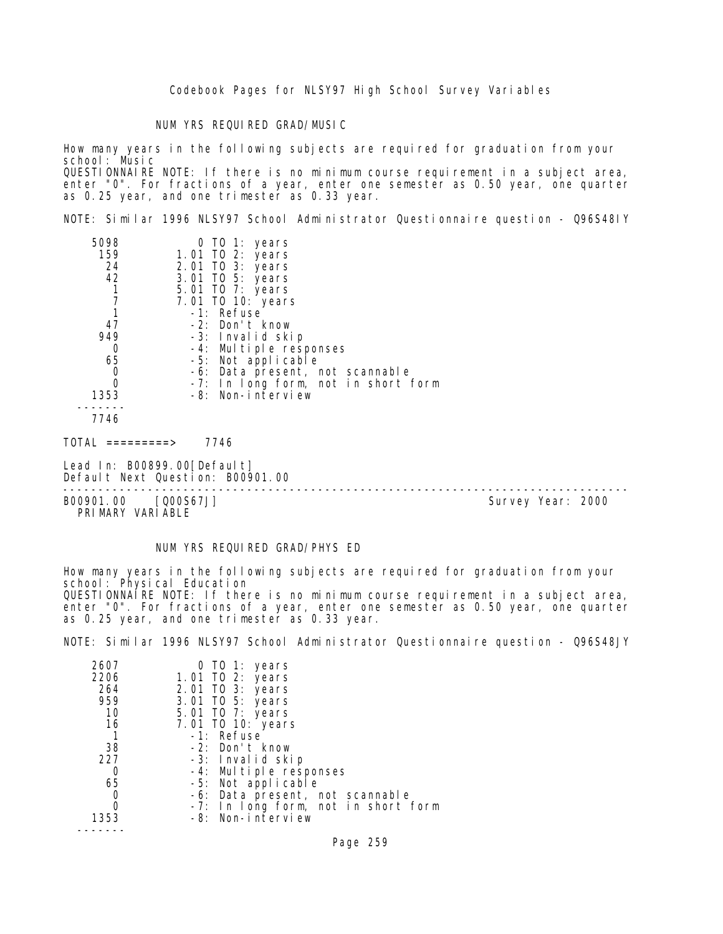#### NUM YRS REQUIRED GRAD/MUSIC

How many years in the following subjects are required for graduation from your school: Music QUESTIONNAIRE NOTE: If there is no minimum course requirement in a subject area, enter "0". For fractions of a year, enter one semester as 0.50 year, one quarter as 0.25 year, and one trimester as 0.33 year.

NOTE: Similar 1996 NLSY97 School Administrator Questionnaire question - Q96S48IY

| 5098 | 0 TO 1: years                       |  |
|------|-------------------------------------|--|
| 159  | 1.01 TO 2: years                    |  |
| 24   | 2.01 TO 3: years                    |  |
| 42   | 3.01 TO 5: years                    |  |
|      | 5.01 TO 7: years                    |  |
|      | 7.01 TO 10: years                   |  |
|      | -1: Refuse                          |  |
| 47   | -2: Don't know                      |  |
| 949  | -3: Invalid skip                    |  |
| 0    | -4: Multiple responses              |  |
| 65   | -5: Not applicable                  |  |
| 0    | -6: Data present, not scannable     |  |
| 0    | -7: In long form, not in short form |  |
| 1353 | -8: Non-interview                   |  |
|      |                                     |  |
| 7746 |                                     |  |

 $TOTAL$  =========> 7746

Lead In: B00899.00[Default] Default Next Question: B00901.00

B00901.00 [Q00S67J] PRIMARY VARIABLE

--------------------------------------------------------------------------------

#### NUM YRS REQUIRED GRAD/PHYS ED

How many years in the following subjects are required for graduation from your school: Physical Education QUESTIONNAIRE NOTE: If there is no minimum course requirement in a subject area, enter "0". For fractions of a year, enter one semester as 0.50 year, one quarter as 0.25 year, and one trimester as 0.33 year.

NOTE: Similar 1996 NLSY97 School Administrator Questionnaire question - Q96S48JY

| 2607 | 0 TO 1: years                       |
|------|-------------------------------------|
| 2206 | 1.01 TO 2: years                    |
| 264  | 2.01 TO 3: years                    |
| 959  | 3.01 TO 5: years                    |
| 10   | 5.01 TO 7: years                    |
| 16   | 7.01 TO 10: years                   |
|      | -1: Refuse                          |
| 38   | -2: Don't know                      |
| 227  | -3: Invalid skip                    |
| O    | -4: Multiple responses              |
| 65   | -5: Not applicable                  |
|      | -6: Data present, not scannable     |
|      | -7: In long form, not in short form |
| 1353 | -8: Non-interview                   |
|      |                                     |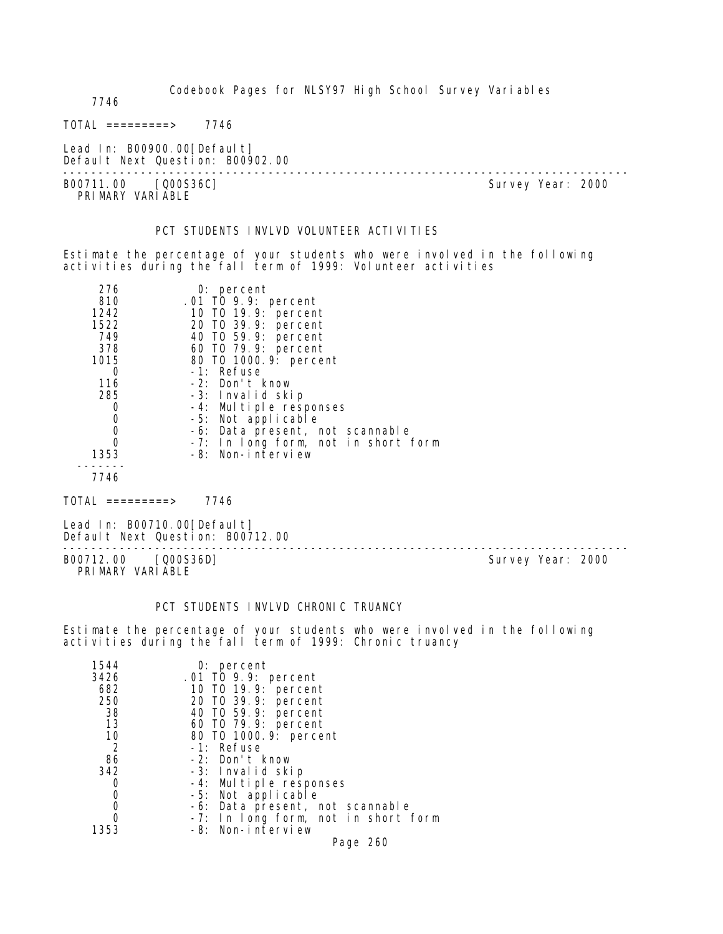7746

 $TOTAL$  ========> 7746

Lead In: B00900.00[Default] Default Next Question: B00902.00

-------------------------------------------------------------------------------- PRIMARY VARIABLE

Survey Year: 2000

#### PCT STUDENTS INVLVD VOLUNTEER ACTIVITIES

Estimate the percentage of your students who were involved in the following activities during the fall term of 1999: Volunteer activities

| 276  | $0:$ percent                        |
|------|-------------------------------------|
| 810  | .01 TO 9.9: percent                 |
| 1242 | 10 T0 19.9: percent                 |
| 1522 | 20 T0 39.9: percent                 |
| 749  | 40 TO 59.9: percent                 |
| 378  | 60 T0 79.9: percent                 |
| 1015 | 80 T0 1000. 9: percent              |
|      | -1: Refuse                          |
| 116  | -2: Don't know                      |
| 285  | -3: Invalid skip                    |
|      | -4: Multiple responses              |
|      | -5: Not applicable                  |
|      | -6: Data present, not scannable     |
|      | -7: In long form, not in short form |
| 1353 | -8: Non-interview                   |
|      |                                     |

7746

 $TOTAL$  =========> 7746

Lead In: B00710.00 [Default] Default Next Question: B00712.00

B00712.00 [Q00S36D] Survey Year: 2000 PRIMARY VARIABLE

--------------------------------------------------------------------------------

#### PCT STUDENTS INVLVD CHRONIC TRUANCY

Estimate the percentage of your students who were involved in the following activities during the fall term of 1999: Chronic truancy

| 1544<br>3426<br>682<br>250<br>38<br>13<br>10<br>$\overline{2}$<br>86 | $0:$ percent<br>.01 TO 9.9: percent<br>10 T0 19.9: percent<br>20 T0 39.9: percent<br>40 T0 59.9: percent<br>60 T0 79.9: percent<br>80 T0 1000.9: percent<br>-1: Refuse<br>$-2$ : Don't know |
|----------------------------------------------------------------------|---------------------------------------------------------------------------------------------------------------------------------------------------------------------------------------------|
| 342                                                                  | -3: Invalid skip                                                                                                                                                                            |
| O                                                                    | -4: Multiple responses                                                                                                                                                                      |
| 0                                                                    | -5: Not applicable                                                                                                                                                                          |
|                                                                      | -6: Data present, not scannable                                                                                                                                                             |
| 0                                                                    | -7: In long form, not in short form                                                                                                                                                         |
| 1353                                                                 | -8: Non-interview                                                                                                                                                                           |
|                                                                      | Page 260                                                                                                                                                                                    |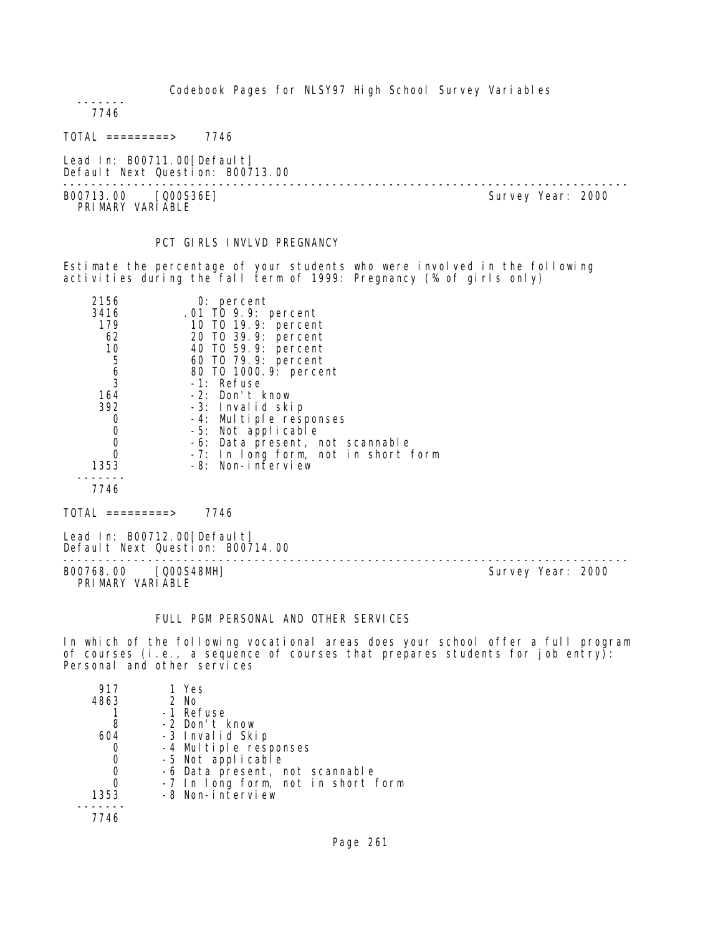------- 7746

TOTAL =========> 7746

Lead In: B00711.00 [Default] Default Next Question: B00713.00

-------------------------------------------------------------------------------- B00713.00 [Q00S36E] PRI MARY VARI ABLE

## PCT GIRLS INVLVD PREGNANCY

Estimate the percentage of your students who were involved in the following activities during the fall term of 1999: Pregnancy (% of girls only)

| 2156                                  | $0:$ percent                        |
|---------------------------------------|-------------------------------------|
| 3416                                  | .01 TO 9.9: percent                 |
| 179                                   | 10 T0 19.9: percent                 |
| 62                                    | 20 TO 39.9: percent                 |
| 10                                    | 40 T0 59.9: percent                 |
| 5                                     | 60 TO 79.9: percent                 |
| $\begin{array}{c} 6 \\ 3 \end{array}$ | 80 T0 1000. 9: percent              |
|                                       | -1: Refuse                          |
| 164                                   | -2: Don't know                      |
| 392                                   | -3: Invalid skip                    |
|                                       | -4: Multiple responses              |
| 0                                     | -5: Not applicable                  |
| 0                                     | -6: Data present, not scannable     |
|                                       | -7: In long form, not in short form |
| 1353                                  | -8: Non-interview                   |
|                                       |                                     |
| 7746                                  |                                     |

TOTAL =========> 7746

Lead In: B00712.00 [Default] Default Next Question: B00714.00

B00768.00 [Q00S48MH] Survey Year: 2000 PRIMARY VARIABLE

--------------------------------------------------------------------------------

#### FULL PGM PERSONAL AND OTHER SERVICES

In which of the following vocational areas does your school offer a full program of courses (i.e., a sequence of courses that prepares students for job entry): Personal and other services

| 917  | 1 Yes                              |
|------|------------------------------------|
| 4863 | $2$ No                             |
|      | -1 Refuse                          |
| 8    | -2 Don't know                      |
| 604  | -3 Invalid Skip                    |
|      | -4 Multiple responses              |
|      | -5 Not applicable                  |
|      | -6 Data present, not scannable     |
|      | -7 In long form, not in short form |
| 1353 | -8 Non-interview                   |
|      |                                    |
| 7746 |                                    |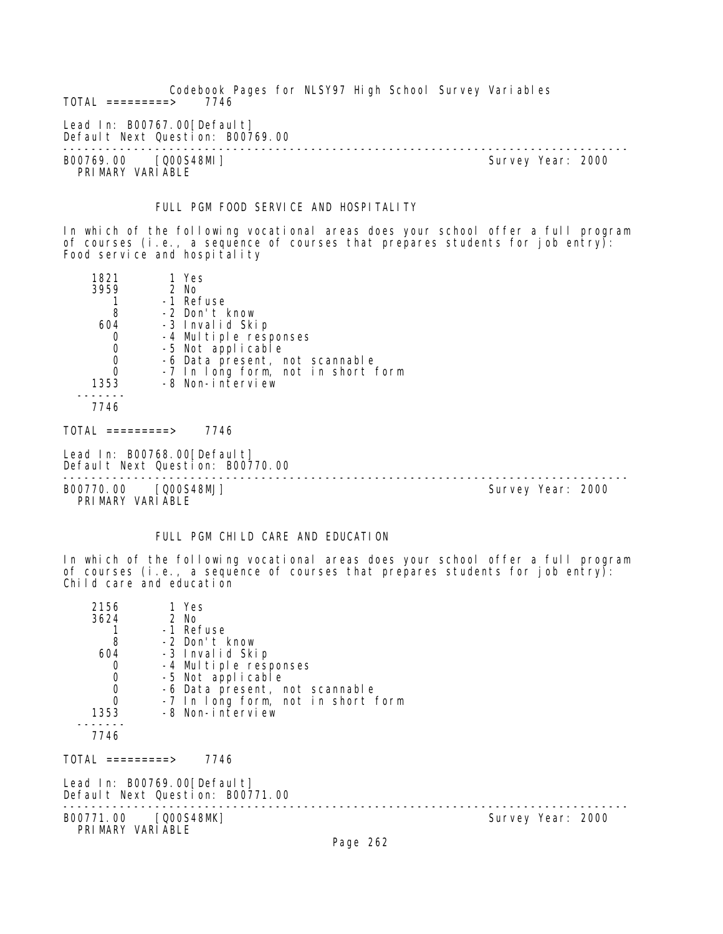Codebook Pages for NLSY97 High School Survey Variables  $TOTAL$  =========> Lead In: B00767.00 [Default] Default Next Question: B00769.00 -------------------------------------------------------------------------------- B00769.00 [Q00S48MI] Survey Year: 2000 PRIMARY VARIABLE FULL PGM FOOD SERVICE AND HOSPITALITY In which of the following vocational areas does your school offer a full program of courses (i.e., a sequence of courses that prepares students for job entry): Food service and hospitality

| 1821                                      | 1 Yes                                                           |                   |  |
|-------------------------------------------|-----------------------------------------------------------------|-------------------|--|
| 3959                                      | 2 No                                                            |                   |  |
|                                           | -1 Refuse                                                       |                   |  |
| 8                                         | -2 Don't know                                                   |                   |  |
| 604                                       | -3 Invalid Skip                                                 |                   |  |
| $\mathbf 0$                               | -4 Multiple responses                                           |                   |  |
|                                           | -5 Not applicable                                               |                   |  |
| $\begin{matrix} 0 \\ 0 \\ 0 \end{matrix}$ | -6 Data present, not scannable                                  |                   |  |
|                                           | -7 In long form, not in short form                              |                   |  |
| 1353                                      | -8 Non-interview                                                |                   |  |
| 7746                                      |                                                                 |                   |  |
| TOTAL =========>                          | 7746                                                            |                   |  |
|                                           | Lead In: B00768.00[Default]<br>Default Next Question: B00770.00 |                   |  |
| B00770.00 [Q00S48MJ]<br>PRIMARY VARIABLE  |                                                                 | Survey Year: 2000 |  |

## FULL PGM CHILD CARE AND EDUCATION

In which of the following vocational areas does your school offer a full program of courses (i.e., a sequence of courses that prepares students for job entry): Child care and education

| 2156<br>3624<br>8<br>604<br>0<br>$\mathbf 0$<br>$\begin{matrix}0\\0\end{matrix}$<br>1353<br>7746 | 1 Yes<br>2 No<br>-1 Refuse<br>-2 Don't know<br>-3 Invalid Skip<br>-4 Multiple responses<br>-5 Not applicable<br>-6 Data present, not scannable<br>-7 In long form, not in short form<br>-8 Non-interview |                   |  |
|--------------------------------------------------------------------------------------------------|----------------------------------------------------------------------------------------------------------------------------------------------------------------------------------------------------------|-------------------|--|
| TOTAL =========>                                                                                 | 7746                                                                                                                                                                                                     |                   |  |
| Lead In: B00769.00[Default]                                                                      | Default Next Question: B00771.00                                                                                                                                                                         |                   |  |
| B00771.00 [Q00S48MK]<br>PRIMARY VARIABLE                                                         |                                                                                                                                                                                                          | Survey Year: 2000 |  |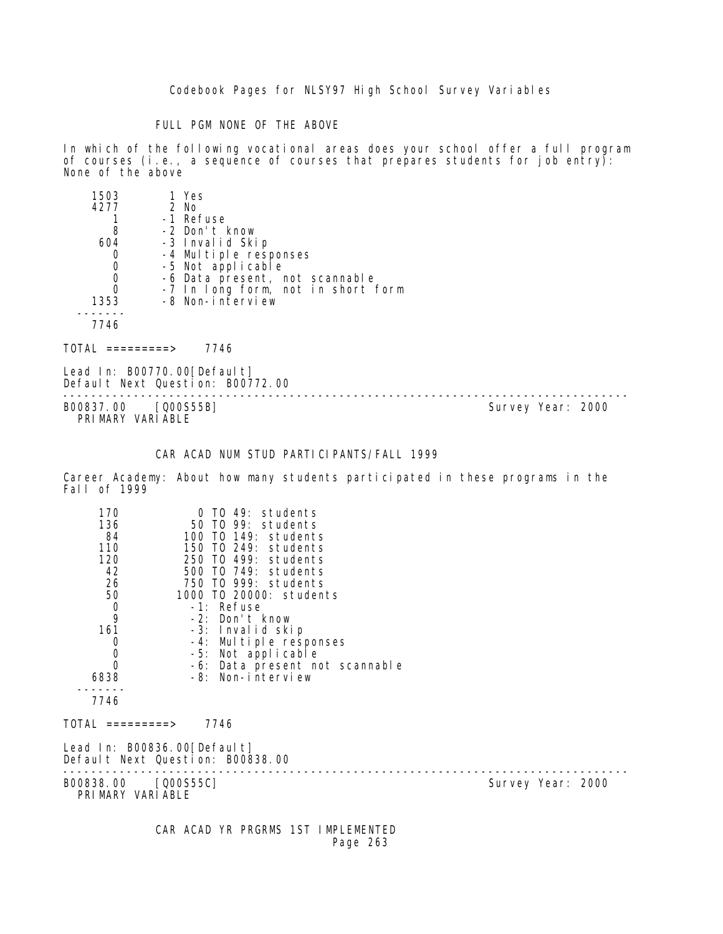### FULL PGM NONE OF THE ABOVE

In which of the following vocational areas does your school offer a full program of courses (i.e., a sequence of courses that prepares students for job entry): None of the above

| 1503     | 1 Yes                              |  |
|----------|------------------------------------|--|
| 4277     | 2 No                               |  |
|          | -1 Refuse                          |  |
| 8        | -2 Don't know                      |  |
| 604      | -3 Invalid Skip                    |  |
| 0        | -4 Multiple responses              |  |
| 0        | -5 Not applicable                  |  |
| 0        | -6 Data present, not scannable     |  |
| $\Omega$ | -7 In long form, not in short form |  |
| 1353     | -8 Non-interview                   |  |
|          |                                    |  |
| 7746     |                                    |  |
|          | 7746<br>=========>                 |  |

Lead In: B00770.00[Default] Default Next Question: B00772.00

-------------------------------------------------------------------------------- B00837.00 [Q00S55B] PRIMARY VARIABLE

## CAR ACAD NUM STUD PARTICIPANTS/FALL 1999

Career Academy: About how many students participated in these programs in the Fall of 1999

| 170<br>136<br>84<br>110<br>120<br>42<br>26<br>50<br>$\frac{0}{9}$<br>161<br>0<br>$\mathbf 0$<br>$\Omega$<br>6838 | 0 TO 49: students<br>50 TO 99: students<br>100 T0 149: students<br>150 TO 249: students<br>250 TO 499: students<br>500 TO 749: students<br>750 TO 999: students<br>1000 TO 20000: students<br>-1: Refuse<br>-2: Don't know<br>-3: Invalid skip<br>-4: Multiple responses<br>-5: Not applicable<br>-6: Data present not scannable<br>-8: Non-interview |                   |
|------------------------------------------------------------------------------------------------------------------|-------------------------------------------------------------------------------------------------------------------------------------------------------------------------------------------------------------------------------------------------------------------------------------------------------------------------------------------------------|-------------------|
| 7746                                                                                                             |                                                                                                                                                                                                                                                                                                                                                       |                   |
| TOTAL =========>                                                                                                 | 7746                                                                                                                                                                                                                                                                                                                                                  |                   |
|                                                                                                                  | Lead In: B00836.00[Default]<br>Default Next Question: B00838.00                                                                                                                                                                                                                                                                                       |                   |
| B00838.00 [Q00S55C]<br>PRIMARY VARIABLE                                                                          |                                                                                                                                                                                                                                                                                                                                                       | Survey Year: 2000 |

 CAR ACAD YR PRGRMS 1ST IMPLEMENTED Page 263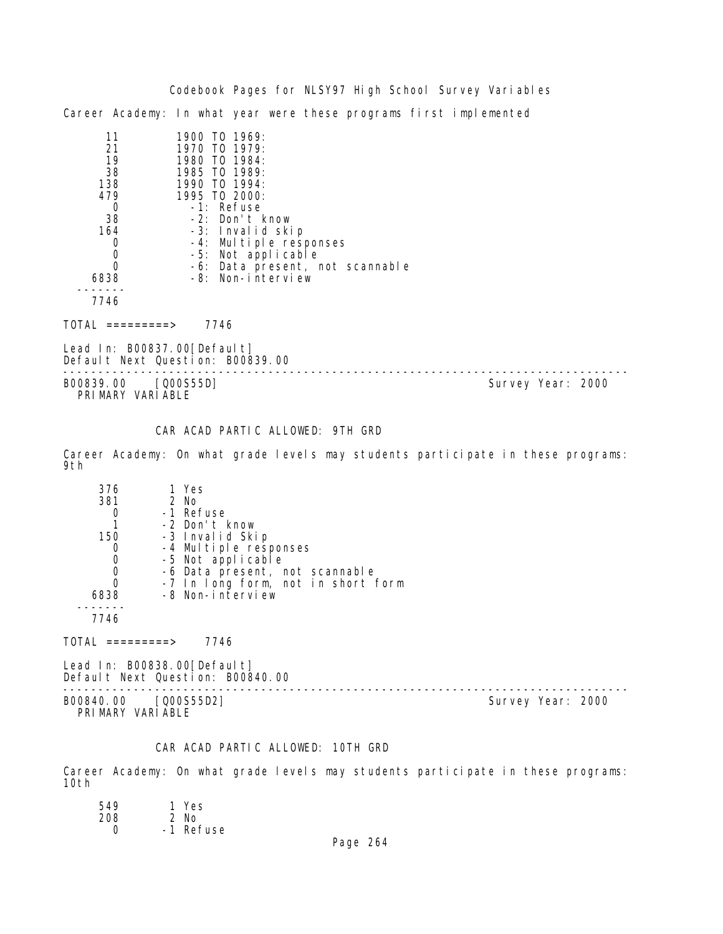Codebook Pages for NLSY97 High School Survey Variables Career Academy: In what year were these programs first implemented

| 11   | 1900 TO 1969:                   |
|------|---------------------------------|
| 21   | 1970 TO 1979:                   |
| 19   | 1980 TO 1984:                   |
| 38   | 1985 TO 1989:                   |
| 138  | 1990 TO 1994:                   |
| 479  | 1995 TO 2000:                   |
|      | -1: Refuse                      |
| 38   | -2: Don't know                  |
| 164  | -3: Invalid skip                |
|      | -4: Multiple responses          |
|      | -5: Not applicable              |
|      | -6: Data present, not scannable |
| 6838 | -8: Non-interview               |
|      |                                 |

7746

TOTAL =========> 7746

Lead In: B00837.00[Default] Default Next Question: B00839.00

-------------------------------------------------------------------------------- Survey Year: 2000 PRIMARY VARIABLE

## CAR ACAD PARTIC ALLOWED: 9TH GRD

Career Academy: On what grade levels may students participate in these programs: 9th

| 376  | 1 Yes                              |  |
|------|------------------------------------|--|
| 381  | 2 No                               |  |
|      | -1 Refuse                          |  |
|      | -2 Don't know                      |  |
| 150  | -3 Invalid Skip                    |  |
|      | -4 Multiple responses              |  |
|      | -5 Not applicable                  |  |
|      | -6 Data present, not scannable     |  |
|      | -7 In long form, not in short form |  |
| 6838 | -8 Non-interview                   |  |
|      |                                    |  |
|      |                                    |  |

 $TOTAL$  =========> 7746

Lead In: B00838.00 [Default] Default Next Question: B00840.00

B00840.00 [Q00S55D2] Survey Year: 2000 PRIMARY VARIABLE

--------------------------------------------------------------------------------

## CAR ACAD PARTIC ALLOWED: 10TH GRD

Career Academy: On what grade levels may students participate in these programs: 10th

| 549 | 1 Yes     |
|-----|-----------|
| 208 | 2 No      |
| O   | -1 Refuse |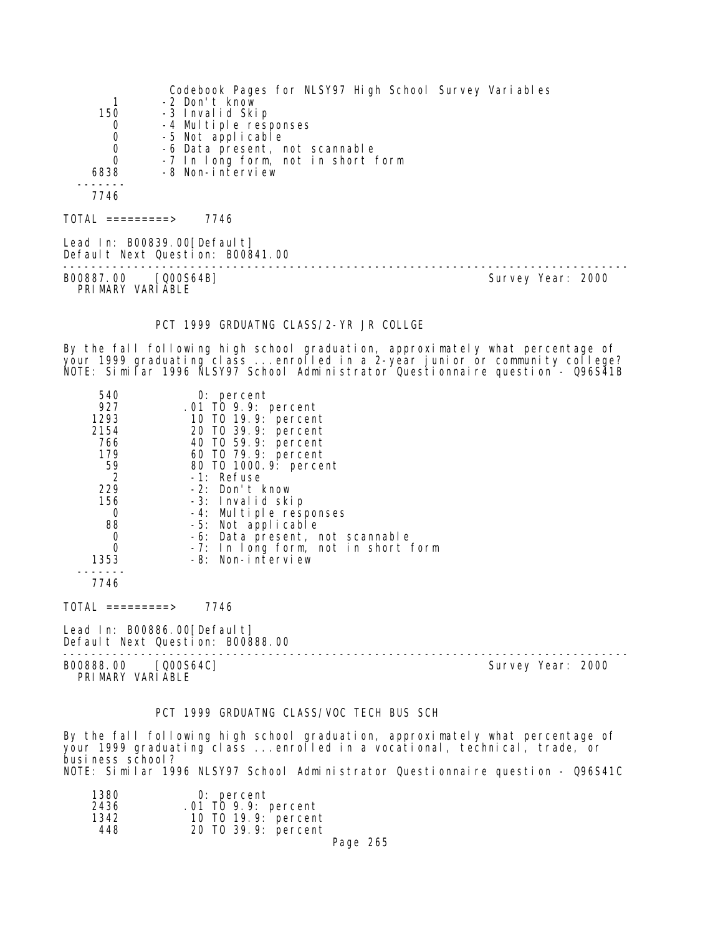|                  | Codebook Pages for NLSY97 High School Survey Variables |
|------------------|--------------------------------------------------------|
|                  | -2 Don't know                                          |
| 150              | -3 Invalid Skip                                        |
| 0                | -4 Multiple responses                                  |
| 0                | -5 Not applicable                                      |
| 0                | -6 Data present, not scannable                         |
| $\Omega$         | -7 In long form, not in short form                     |
| 6838             | -8 Non-interview                                       |
|                  |                                                        |
| 7746             |                                                        |
| TOTAL =========> | 7746                                                   |

Lead In: B00839.00[Default] Default Next Question: B00841.00

B00887.00 [Q00S64B] PRIMARY VARIABLE

--------------------------------------------------------------------------------

### PCT 1999 GRDUATNG CLASS/2-YR JR COLLGE

By the fall following high school graduation, approximately what percentage of your 1999 graduating class ...enrolled in a 2-year junior or community college? NOTE: Similar 1996 NLSY97 School Administrator Questionnaire question - Q96S41B

| 540           | $0:$ percent                                             |  |
|---------------|----------------------------------------------------------|--|
| 927           | .01 TO 9.9: percent                                      |  |
| 1293          | 10 T0 19.9: percent                                      |  |
| 2154          | 20 TO 39.9: percent                                      |  |
| 766           | 40 TO 59.9: percent                                      |  |
| 179           | 60 T0 79.9: percent                                      |  |
| 59            | 80 T0 1000. 9: percent                                   |  |
| 2             | -1: Refuse                                               |  |
| 229           | -2: Don't know                                           |  |
| 156           | -3: Invalid skip                                         |  |
| 0             | -4: Multiple responses                                   |  |
| 88            | -5: Not applicable                                       |  |
| 0<br>$\Omega$ | -6: Data present, not scannable                          |  |
|               | -7: In long form, not in short form<br>-8: Non-interview |  |
| 1353          |                                                          |  |
| 7746          |                                                          |  |
| <b>TATA1</b>  | 77 <i>11</i>                                             |  |

 $TOTAL$  ========> 7746

Lead In: B00886.00 [Default] Default Next Question: B00888.00

-------------------------------------------------------------------------------- B00888.00 [Q00S64C]

PRIMARY VARIABLE

#### PCT 1999 GRDUATNG CLASS/VOC TECH BUS SCH

By the fall following high school graduation, approximately what percentage of your 1999 graduating class ...enrolled in a vocational, technical, trade, or business school? NOTE: Similar 1996 NLSY97 School Administrator Questionnaire question - Q96S41C

| 1380<br>2436 | $0:$ percent<br>$.01$ TO 9.9: percent |  |
|--------------|---------------------------------------|--|
| 1342         | 10 T0 19.9: percent                   |  |
| 448          | 20 TO 39.9: percent                   |  |

Page 265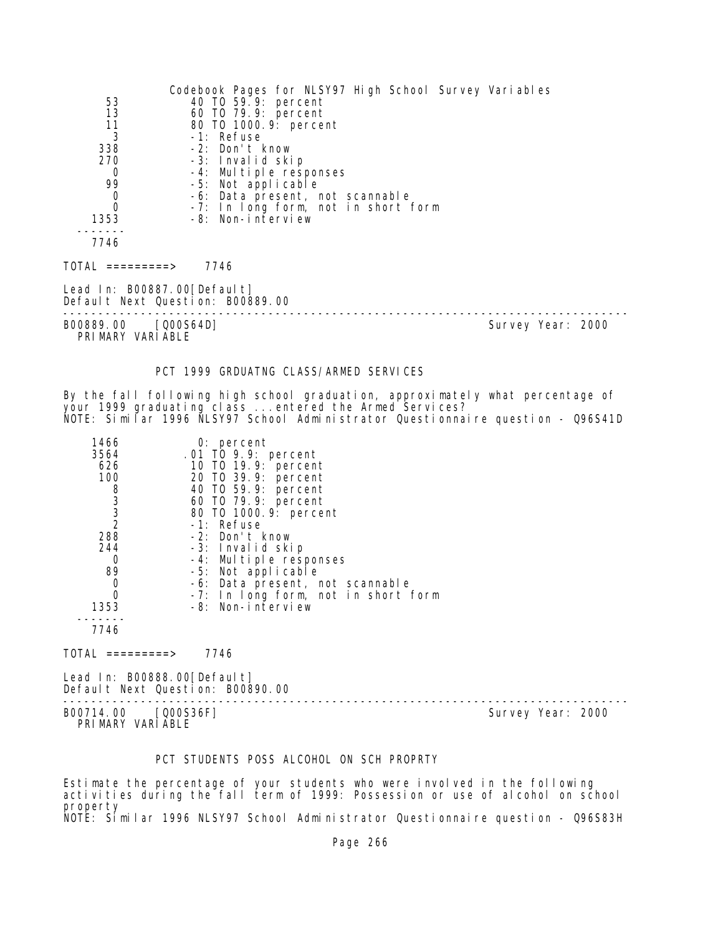| 53<br>13<br>11<br>3<br>338<br>270<br>0<br>99<br>$\begin{matrix}0\\0\end{matrix}$<br>1353 | Codebook Pages for NLSY97 High School Survey Variables<br>40 TO 59.9: percent<br>60 T0 79.9: percent<br>80 TO 1000. 9: percent<br>-1: Refuse<br>-2: Don't know<br>-3: Invalid skip<br>-4: Multiple responses<br>-5: Not applicable<br>-6: Data present, not scannable<br>-7: In long form, not in short form<br>-8: Non-interview |                   |  |
|------------------------------------------------------------------------------------------|-----------------------------------------------------------------------------------------------------------------------------------------------------------------------------------------------------------------------------------------------------------------------------------------------------------------------------------|-------------------|--|
| 7746                                                                                     |                                                                                                                                                                                                                                                                                                                                   |                   |  |
| TOTAL =========>                                                                         | 7746                                                                                                                                                                                                                                                                                                                              |                   |  |
| Lead In: B00887.00[Default]                                                              | Default Next Question: B00889.00                                                                                                                                                                                                                                                                                                  |                   |  |
| B00889.00 [Q00S64D]<br>PRIMARY VARIABLE                                                  |                                                                                                                                                                                                                                                                                                                                   | Survey Year: 2000 |  |

### PCT 1999 GRDUATNG CLASS/ARMED SERVICES

By the fall following high school graduation, approximately what percentage of your 1999 graduating class ...entered the Armed Services? NOTE: Similar 1996 NLSY97 School Administrator Questionnaire question - Q96S41D

| $0:$ percent                        |
|-------------------------------------|
| .01 TO 9.9: percent                 |
| 10 T0 19.9: percent                 |
| 20 TO 39.9: percent                 |
| 40 T0 59.9: percent                 |
| 60 T0 79.9: percent                 |
| 80 T0 1000.9: percent               |
| -1: Refuse                          |
| -2: Don't know                      |
| -3: Invalid skip                    |
| -4: Multiple responses              |
| -5: Not applicable                  |
| -6: Data present, not scannable     |
| -7: In long form, not in short form |
| -8: Non-interview                   |
|                                     |
|                                     |
|                                     |

 $TOTAL$  =========> 7746

Lead In: B00888.00[Default] Default Next Question: B00890.00

-------------------------------------------------------------------------------- B00714.00 [Q00S36F] PRIMARY VARIABLE

## PCT STUDENTS POSS ALCOHOL ON SCH PROPRTY

Estimate the percentage of your students who were involved in the following activities during the fall term of 1999: Possession or use of alcohol on school property NOTE: Similar 1996 NLSY97 School Administrator Questionnaire question - Q96S83H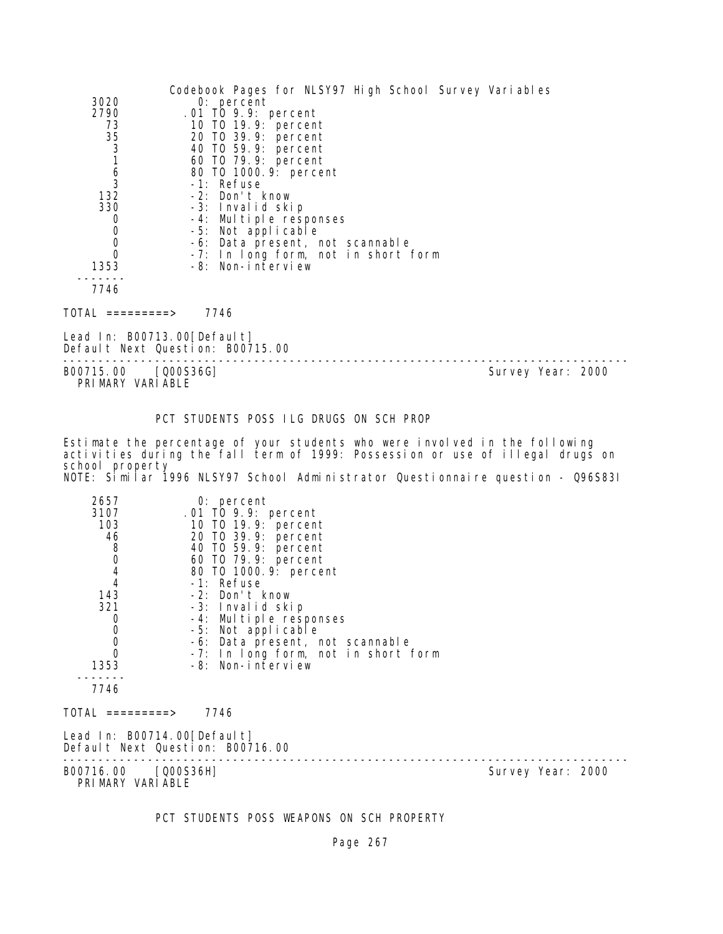|                                            | Codebook Pages for NLSY97 High School Survey Variables |  |
|--------------------------------------------|--------------------------------------------------------|--|
| 3020                                       | $0:$ percent                                           |  |
| 2790                                       | .01 TO 9.9: percent                                    |  |
| 73                                         | 10 T0 19.9: percent                                    |  |
| 35                                         | 20 TO 39.9: percent                                    |  |
| $\frac{3}{1}$                              | 40 T0 59.9: percent                                    |  |
|                                            | 60 TO 79.9: percent                                    |  |
| $\frac{6}{3}$                              | 80 T0 1000. 9: percent                                 |  |
|                                            | -1: Refuse                                             |  |
| 132                                        | -2: Don't know                                         |  |
| 330                                        | -3: Invalid skip                                       |  |
| 0                                          | -4: Multiple responses                                 |  |
| $\begin{smallmatrix}0\\0\end{smallmatrix}$ | -5: Not applicable                                     |  |
|                                            | -6: Data present, not scannable                        |  |
| $\mathbf 0$                                | -7: In long form, not in short form                    |  |
| 1353                                       | -8: Non-interview                                      |  |
| 7746                                       |                                                        |  |
| TOTAL =========>                           | 7746                                                   |  |
| Lead In: B00713.00[Default]                | Default Next Question: B00715.00                       |  |

-------------------------------------------------------------------------------- B00715.00 [Q00S36G] Survey Year: 2000 PRIMARY VARIABLE

PCT STUDENTS POSS ILG DRUGS ON SCH PROP

Estimate the percentage of your students who were involved in the following activities during the fall term of 1999: Possession or use of illegal drugs on school property NOTE: Similar 1996 NLSY97 School Administrator Questionnaire question - Q96S83I

| 2657<br>3107<br>103<br>46<br>8<br>0<br>4<br>4<br>143<br>321<br>0<br>$\begin{matrix}0\\0\\0\end{matrix}$<br>1353<br>7746 | $0:$ percent<br>.01 TO 9.9: percent<br>10 T0 19.9: percent<br>20 TO 39.9: percent<br>40 TO 59.9: percent<br>60 TO 79.9: percent<br>80 T0 1000.9: percent<br>-1: Refuse<br>-2: Don't know<br>-3: Invalid skip<br>-4: Multiple responses<br>-5: Not applicable<br>-6: Data present, not scannable<br>-7: In long form, not in short form<br>-8: Non-interview |                   |  |
|-------------------------------------------------------------------------------------------------------------------------|-------------------------------------------------------------------------------------------------------------------------------------------------------------------------------------------------------------------------------------------------------------------------------------------------------------------------------------------------------------|-------------------|--|
| TOTAL =========>                                                                                                        | 7746                                                                                                                                                                                                                                                                                                                                                        |                   |  |
| Lead In: B00714.00[Default]                                                                                             | Default Next Question: B00716.00                                                                                                                                                                                                                                                                                                                            |                   |  |
| B00716.00 [Q00S36H]<br>PRIMARY VARIABLE                                                                                 |                                                                                                                                                                                                                                                                                                                                                             | Survey Year: 2000 |  |

PCT STUDENTS POSS WEAPONS ON SCH PROPERTY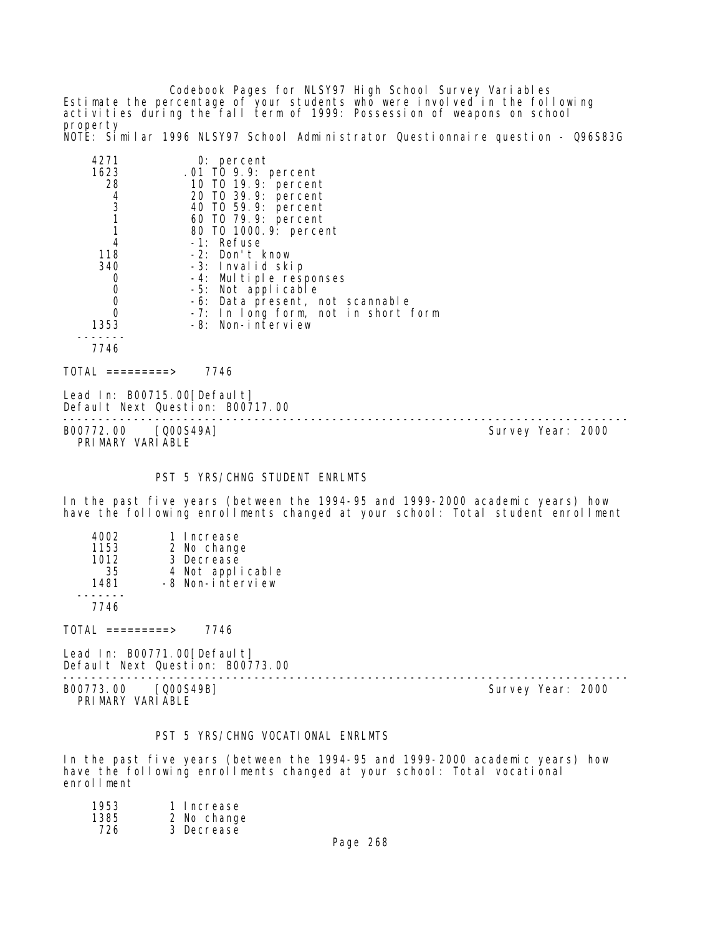Codebook Pages for NLSY97 High School Survey Variables Estimate the percentage of your students who were involved in the following activities during the fall term of 1999: Possession of weapons on school property

NOTE: Similar 1996 NLSY97 School Administrator Questionnaire question - Q96S83G

| 4271                                                            | $0:$ percent                        |
|-----------------------------------------------------------------|-------------------------------------|
| 1623                                                            | .01 TO 9.9: percent                 |
| 28                                                              | 10 TO 19.9: percent                 |
|                                                                 | 20 TO 39.9: percent                 |
| $\begin{array}{c} 4 \\ 3 \\ 1 \end{array}$                      | 40 T0 59.9: percent                 |
|                                                                 | 60 T0 79.9: percent                 |
|                                                                 | 80 TO 1000.9: percent               |
| 4                                                               | -1: Refuse                          |
| 118                                                             | -2: Don't know                      |
| 340                                                             | -3: Invalid skip                    |
| 0                                                               | -4: Multiple responses              |
| $\begin{smallmatrix}0\\0\end{smallmatrix}$                      | -5: Not applicable                  |
|                                                                 | -6: Data present, not scannable     |
| $\mathbf 0$                                                     | -7: In long form, not in short form |
| 1353                                                            | -8: Non-interview                   |
| 7746                                                            |                                     |
| TOTAL =========>                                                | 7746                                |
| Lead In: B00715.00[Default]<br>Default Next Question: B00717.00 |                                     |

-------------------------------------------------------------------------------- B00772.00 [Q00S49A] PRIMARY VARIABLE

# PST 5 YRS/CHNG STUDENT ENRLMTS

In the past five years (between the 1994-95 and 1999-2000 academic years) how have the following enrollments changed at your school: Total student enrollment

| 4002<br>1153<br>1012<br>35<br>1481 | 1 Increase<br>2 No change<br>3 Decrease<br>4 Not applicable<br>-8 Non-interview |
|------------------------------------|---------------------------------------------------------------------------------|
| 7746                               |                                                                                 |

 $TOTAL$  =========> 7746

Lead In: B00771.00[Default] Default Next Question: B00773.00

-------------------------------------------------------------------------------- B00773.00 [Q00S49B] Survey Year: 2000 PRIMARY VARIABLE

## PST 5 YRS/CHNG VOCATIONAL ENRLMTS

In the past five years (between the 1994-95 and 1999-2000 academic years) how have the following enrollments changed at your school: Total vocational enrollment

| 1953 | 1 Increase  |
|------|-------------|
| 1385 | 2 No change |
| 726  | 3 Decrease  |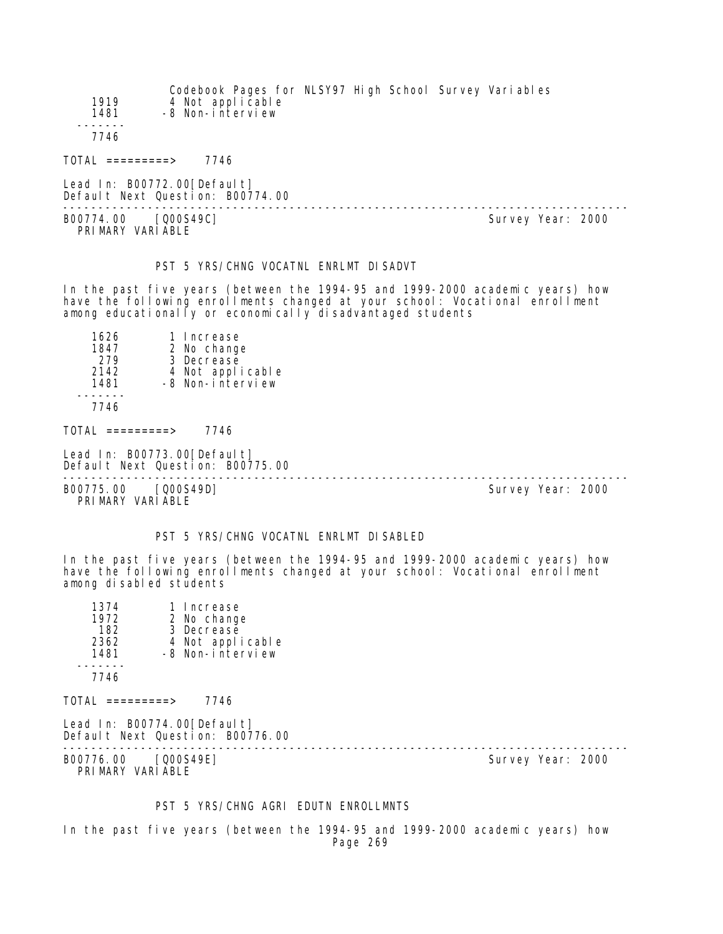| 1919<br>1481     | Codebook Pages for NLSY97 High School Survey Variables<br>4 Not applicable<br>-8 Non-interview |  |  |  |
|------------------|------------------------------------------------------------------------------------------------|--|--|--|
| 7746             |                                                                                                |  |  |  |
| TOTAL =========> | 7746                                                                                           |  |  |  |

Lead In: B00772.00 [Default] Default Next Question: B00774.00

B00774.00 [Q00S49C] Survey Year: 2000 PRIMARY VARIABLE

--------------------------------------------------------------------------------

### PST 5 YRS/CHNG VOCATNL ENRLMT DISADVT

In the past five years (between the 1994-95 and 1999-2000 academic years) how have the following enrollments changed at your school: Vocational enrollment among educationally or economically disadvantaged students

| 1626 | 1 Increase       |
|------|------------------|
| 1847 | 2 No change      |
| 279  | 3 Decrease       |
| 2142 | 4 Not applicable |
| 1481 | -8 Non-interview |
| 7746 |                  |

TOTAL =========> 7746

Lead In: B00773.00 [Default] Default Next Question: B00775.00

-------------------------------------------------------------------------------- B00775.00 [Q00S49D] Survey Year: 2000 PRIMARY VARIABLE

#### PST 5 YRS/CHNG VOCATNL ENRLMT DI SABLED

In the past five years (between the 1994-95 and 1999-2000 academic years) how have the following enrollments changed at your school: Vocational enrollment among disabled students

| 1374<br>1972        | 1 Increase<br>2 No change                          |
|---------------------|----------------------------------------------------|
| 182<br>2362<br>1481 | 3 Decrease<br>4 Not applicable<br>-8 Non-interview |
| 7746                |                                                    |

 $TOTAL$  =========> 7746

|  | Lead In: $B00774.00$ [Default]   |  |
|--|----------------------------------|--|
|  | Default Next Question: B00776.00 |  |

-------------------------------------------------------------------------------- B00776.00 [Q00S49E] Survey Year: 2000 PRIMARY VARIABLE

#### PST 5 YRS/CHNG AGRI EDUTN ENROLLMNTS

In the past five years (between the 1994-95 and 1999-2000 academic years) how Page 269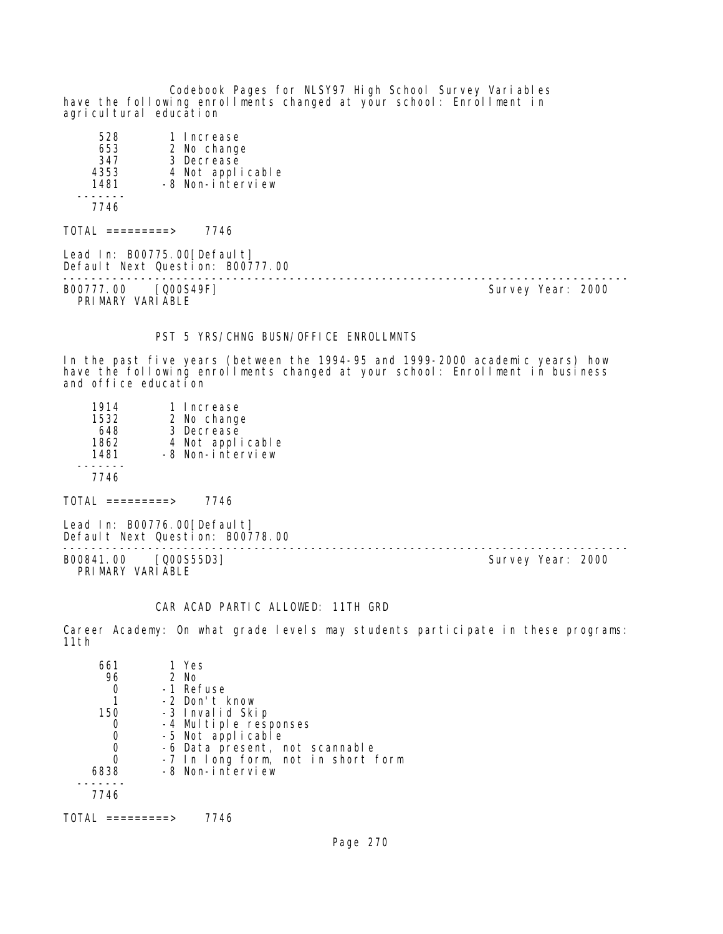Codebook Pages for NLSY97 High School Survey Variables have the following enrollments changed at your school: Enrollment in agricultural education

| 528<br>653<br>347<br>4353<br>1481 | 1 Increase<br>2 No change<br>3 Decrease<br>4 Not applicable<br>-8 Non-interview |
|-----------------------------------|---------------------------------------------------------------------------------|
| 7746                              |                                                                                 |

 $TOTAL$  =========> 7746

Lead In: B00775.00 [Default] Default Next Question: B00777.00 -------------------------------------------------------------------------------- B00777.00 [Q00S49F] PRIMARY VARIABLE

### PST 5 YRS/CHNG BUSN/OFFICE ENROLLMNTS

In the past five years (between the 1994-95 and 1999-2000 academic years) how have the following enrollments changed at your school: Enrollment in business and office education

| 1 Increase                           |
|--------------------------------------|
| 2 No change                          |
| 3 Decrease                           |
| 4 Not applicable<br>-8 Non-interview |
|                                      |
|                                      |
|                                      |
|                                      |

 $TOTAL$  ========> 7746

Lead In: B00776.00 [Default] Default Next Question: B00778.00

B00841.00 [Q00S55D3] Survey Year: 2000 PRIMARY VARIABLE

--------------------------------------------------------------------------------

#### CAR ACAD PARTIC ALLOWED: 11TH GRD

Career Academy: On what grade levels may students participate in these programs: 11th

| 661  | 1 Yes                              |
|------|------------------------------------|
| 96   | 2 No                               |
|      | -1 Refuse                          |
|      | -2 Don't know                      |
| 150  | -3 Invalid Skip                    |
|      | -4 Multiple responses              |
|      | -5 Not applicable                  |
|      | -6 Data present, not scannable     |
| 0    | -7 In long form, not in short form |
| 6838 | -8 Non-interview                   |
|      |                                    |
| 7746 |                                    |
|      |                                    |

TOTAL =========> 7746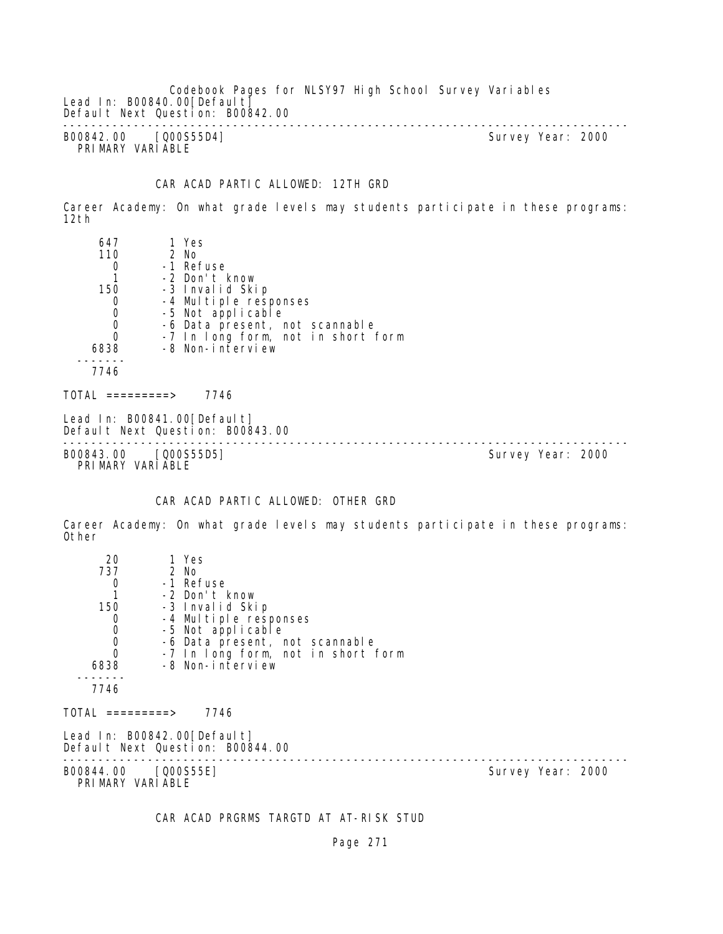Codebook Pages for NLSY97 High School Survey Variables Lead In: B00840.00[Default] Default Next Question: B00842.00 -------------------------------------------------------------------------------- B00842.00 [Q00S55D4] Survey Year: 2000 PRIMARY VARIABLE

## CAR ACAD PARTIC ALLOWED: 12TH GRD

Career Academy: On what grade levels may students participate in these programs: 12th

| 647                                        | 1 Yes                                                           |                   |  |
|--------------------------------------------|-----------------------------------------------------------------|-------------------|--|
| 110                                        | 2 No                                                            |                   |  |
| 0                                          | -1 Refuse                                                       |                   |  |
|                                            | -2 Don't know                                                   |                   |  |
| 150                                        | -3 Invalid Skip                                                 |                   |  |
| 0                                          | -4 Multiple responses                                           |                   |  |
| $\begin{smallmatrix}0\\0\end{smallmatrix}$ | -5 Not applicable                                               |                   |  |
|                                            | -6 Data present, not scannable                                  |                   |  |
| $\mathbf 0$                                | -7 In long form, not in short form                              |                   |  |
| 6838                                       | -8 Non-interview                                                |                   |  |
| 7746                                       |                                                                 |                   |  |
| TOTAL =========>                           | 7746                                                            |                   |  |
|                                            | Lead In: B00841.00[Default]<br>Default Next Question: B00843.00 |                   |  |
| B00843.00                                  | [Q00S55D5]                                                      | Survey Year: 2000 |  |

PRIMARY VARIABLE

### CAR ACAD PARTIC ALLOWED: OTHER GRD

Career Academy: On what grade levels may students participate in these programs: Other

| 20                                         | 1 Yes                                                           |                   |  |
|--------------------------------------------|-----------------------------------------------------------------|-------------------|--|
| 737                                        | 2 No                                                            |                   |  |
| 0                                          | -1 Refuse                                                       |                   |  |
|                                            | -2 Don't know                                                   |                   |  |
| 150                                        | -3 Invalid Skip                                                 |                   |  |
| 0                                          | -4 Multiple responses                                           |                   |  |
| $\begin{smallmatrix}0\\0\end{smallmatrix}$ | -5 Not applicable                                               |                   |  |
|                                            | -6 Data present, not scannable                                  |                   |  |
| $\overline{0}$                             | -7 In long form, not in short form                              |                   |  |
| 6838                                       | -8 Non-interview                                                |                   |  |
| 7746                                       |                                                                 |                   |  |
| TOTAL =========>                           | 7746                                                            |                   |  |
|                                            | Lead In: B00842.00[Default]<br>Default Next Question: B00844.00 |                   |  |
| B00844.00 [Q00S55E]<br>PRIMARY VARIABLE    |                                                                 | Survey Year: 2000 |  |

CAR ACAD PRGRMS TARGTD AT AT-RISK STUD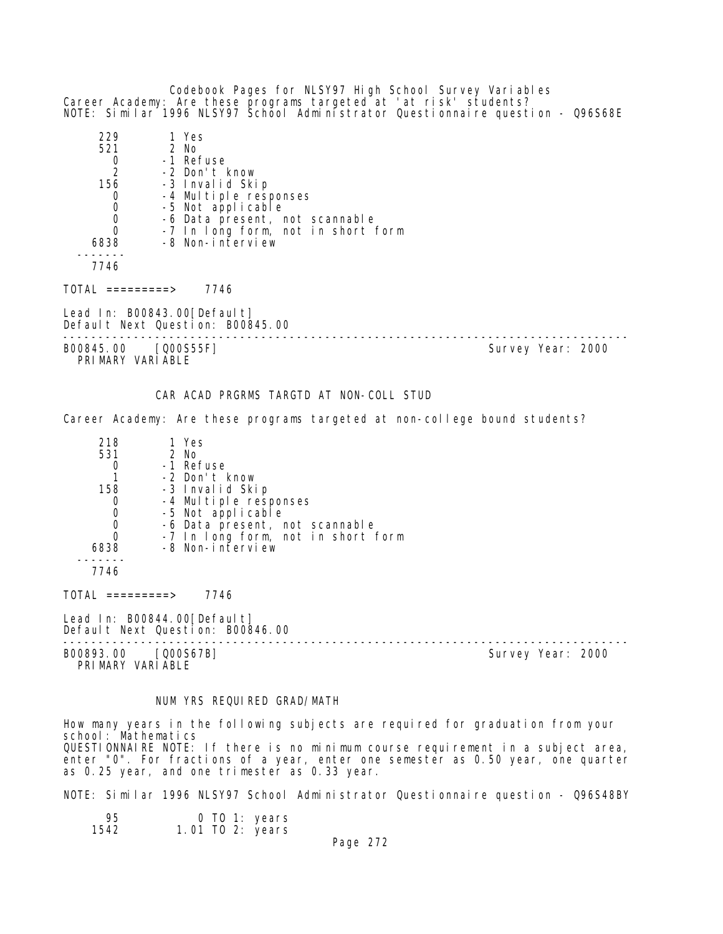Codebook Pages for NLSY97 High School Survey Variables Career Academy: Are these programs targeted at 'at risk' students? NOTE: Similar 1996 NLSY97 School Administrator Questionnaire question - Q96S68E 229 1 Yes 2 No 0 -1 Refuse<br>2 -2 Don't l 2 -2 Don't know -3 Invalid Skip 0 -4 Multiple responses<br>0 -5 Not applicable 0 -5 Not applicable<br>0 -6 Data present, m 0 -6 Data present, not scannable 0 -7 In long form, not in short form 6838 -8 Non-interview ------- 7746  $TOTAL$  ========> 7746 Lead In: B00843.00 [Default] Default Next Question: B00845.00 -------------------------------------------------------------------------------- Survey Year: 2000 PRIMARY VARIABLE

#### CAR ACAD PRGRMS TARGTD AT NON-COLL STUD

Career Academy: Are these programs targeted at non-college bound students?

| 218      | 1 Yes                                      |
|----------|--------------------------------------------|
| 531      | 2 No                                       |
|          | -1 Refuse                                  |
|          | -2 Don't know                              |
| 158      | -3 Invalid Skip                            |
|          | -4 Multiple responses<br>-5 Not applicable |
|          |                                            |
| $\Omega$ | -6 Data present, not scannable             |
|          | -7 In long form, not in short form         |
| 6838     | -8 Non-interview                           |
|          |                                            |
|          |                                            |

7746

TOTAL =========> 7746

Lead In: B00844.00 [Default] Default Next Question: B00846.00

--------------------------------------------------------------------------------

B00893.00 [Q00S67B] PRIMARY VARIABLE

#### NUM YRS REQUIRED GRAD/MATH

How many years in the following subjects are required for graduation from your school: Mathematics QUESTIONNAIRE NOTE: If there is no minimum course requirement in a subject area, enter "0". For fractions of a year, enter one semester as 0.50 year, one quarter as 0.25 year, and one trimester as 0.33 year.

NOTE: Similar 1996 NLSY97 School Administrator Questionnaire question - Q96S48BY

| O TO 1: years<br>95<br>1.01 TO 2: years<br>1542 |
|-------------------------------------------------|
|-------------------------------------------------|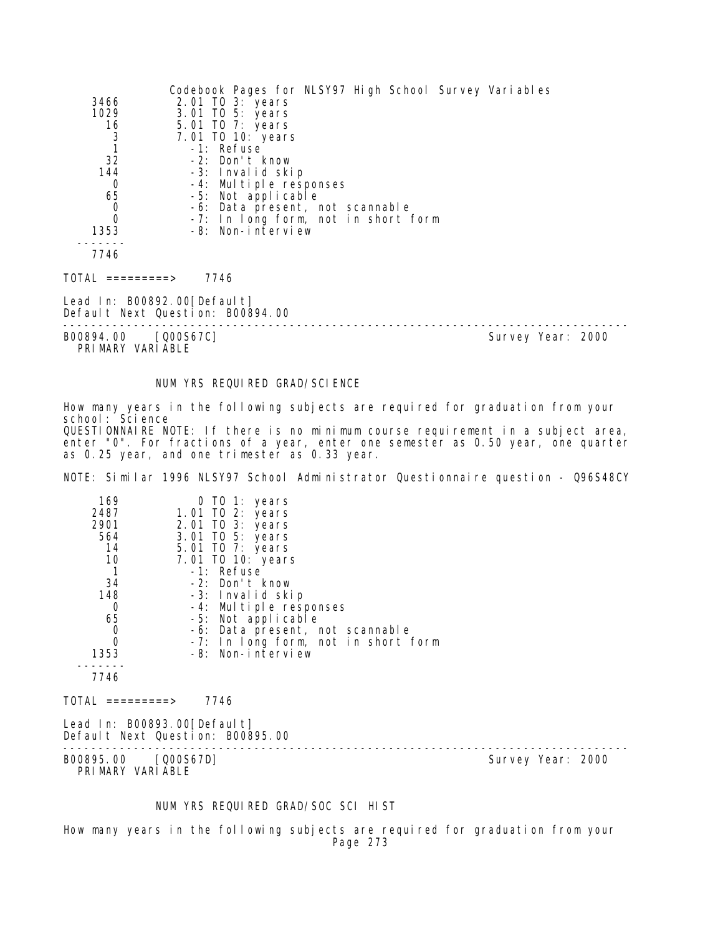|                                             | Codebook Pages for NLSY97 High School Survey Variables          |  |
|---------------------------------------------|-----------------------------------------------------------------|--|
| 3466                                        | 2.01 TO 3: years                                                |  |
| 1029                                        | 3.01 TO 5: years                                                |  |
| $\begin{array}{c} 16 \\ 3 \\ 1 \end{array}$ | 5.01 TO 7: years                                                |  |
|                                             | 7.01 TO 10: years                                               |  |
|                                             | -1: Refuse                                                      |  |
| 32                                          | -2: Don't know                                                  |  |
| 144                                         | -3: Invalid skip                                                |  |
| 0                                           | -4: Multiple responses                                          |  |
| 65                                          | -5: Not applicable                                              |  |
| 0                                           | -6: Data present, not scannable                                 |  |
| $\mathbf 0$                                 | -7: In long form, not in short form                             |  |
| 1353                                        | -8: Non-interview                                               |  |
|                                             |                                                                 |  |
| 7746                                        |                                                                 |  |
| TOTAL =========>                            | 7746                                                            |  |
|                                             | Lead In: B00892.00[Default]<br>Default Next Question: B00894.00 |  |
|                                             |                                                                 |  |

PRIMARY VARIABLE

B00894.00 [Q00S67C] Survey Year: 2000

### NUM YRS REQUIRED GRAD/SCIENCE

How many years in the following subjects are required for graduation from your school: Science QUESTIONNAIRE NOTE: If there is no minimum course requirement in a subject area, enter "0". For fractions of a year, enter one semester as 0.50 year, one quarter as 0.25 year, and one trimester as 0.33 year.

NOTE: Similar 1996 NLSY97 School Administrator Questionnaire question - Q96S48CY

| 169<br>2487                             | 0 TO 1: years<br>1.01 TO 2: years                               |                   |
|-----------------------------------------|-----------------------------------------------------------------|-------------------|
| 2901                                    | 2.01 TO 3: years                                                |                   |
| 564                                     | 3.01 TO 5: years                                                |                   |
| 14                                      | 5.01 TO 7: years                                                |                   |
| 10                                      | 7.01 TO 10: years                                               |                   |
| $\overline{1}$                          | -1: Refuse                                                      |                   |
| 34                                      | -2: Don't know                                                  |                   |
| 148                                     | -3: Invalid skip                                                |                   |
| 0                                       | -4: Multiple responses                                          |                   |
| 65                                      | -5: Not applicable                                              |                   |
| $\mathbf 0$                             | -6: Data present, not scannable                                 |                   |
| 0                                       | -7: In long form, not in short form                             |                   |
| 1353                                    | -8: Non-interview                                               |                   |
| 7746                                    |                                                                 |                   |
| TOTAL =========>                        | 7746                                                            |                   |
|                                         | Lead In: B00893.00[Default]<br>Default Next Question: B00895.00 |                   |
| B00895.00 [Q00S67D]<br>PRIMARY VARIABLE |                                                                 | Survey Year: 2000 |

## NUM YRS REQUIRED GRAD/SOC SCI HIST

How many years in the following subjects are required for graduation from your Page 273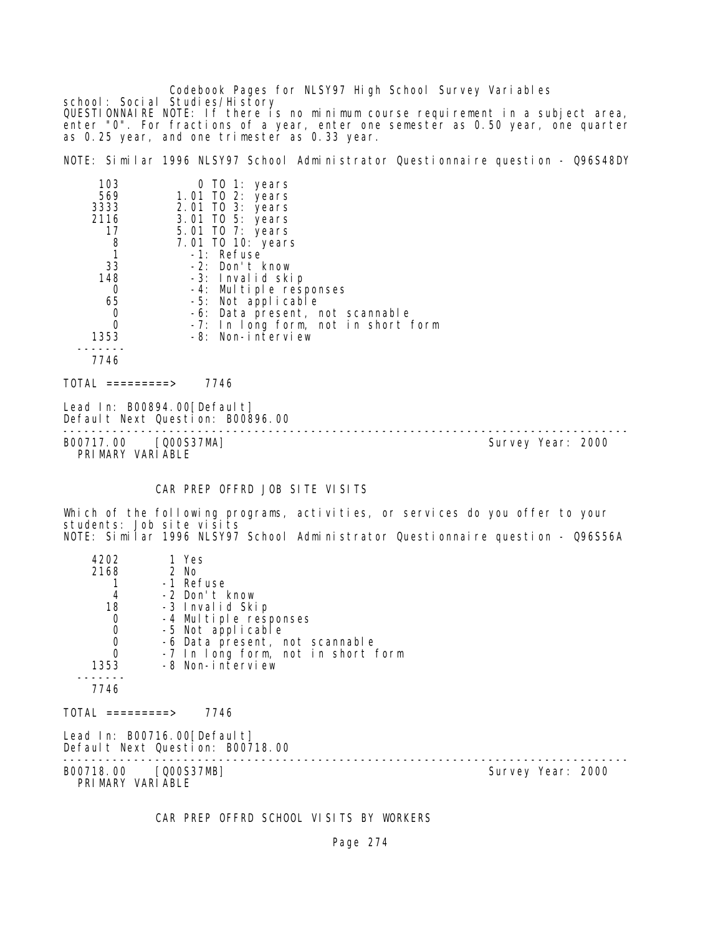Codebook Pages for NLSY97 High School Survey Variables school: Social Studies/History QUESTIONNAIRE NOTE: If there is no minimum course requirement in a subject area, enter "0". For fractions of a year, enter one semester as 0.50 year, one quarter as 0.25 year, and one trimester as 0.33 year.

NOTE: Similar 1996 NLSY97 School Administrator Questionnaire question - Q96S48DY

| 103                          | 0 TO 1: years                       |
|------------------------------|-------------------------------------|
| 569                          | 1.01 TO 2: years                    |
| 3333                         | 2.01 TO 3: years                    |
| 2116                         | 3.01 TO 5: years                    |
| 17                           | 5.01 TO 7: years                    |
| 8                            | 7.01 TO 10: years                   |
|                              | -1: Refuse                          |
| 33                           | -2: Don't know                      |
| 148                          | -3: Invalid skip                    |
| 0                            | -4: Multiple responses              |
| 65                           | -5: Not applicable                  |
| 0                            | -6: Data present, not scannable     |
| $\Omega$                     | -7: In long form, not in short form |
| 1353                         | -8: Non-interview                   |
|                              |                                     |
| 7746                         |                                     |
| TOTAL<br>$=$ = = = = = = = > | 7746                                |

Lead In: B00894.00 [Default] Default Next Question: B00896.00

-------------------------------------------------------------------------------- B00717.00 [Q00S37MA] Survey Year: 2000 PRIMARY VARIABLE

CAR PREP OFFRD JOB SITE VISITS

Which of the following programs, activities, or services do you offer to your students: Job site visits NOTE: Similar 1996 NLSY97 School Administrator Questionnaire question - Q96S56A

| 4202                                       | 1 Yes                                                           |                   |  |
|--------------------------------------------|-----------------------------------------------------------------|-------------------|--|
| 2168                                       | 2 No                                                            |                   |  |
|                                            | -1 Refuse                                                       |                   |  |
| 4                                          | -2 Don't know                                                   |                   |  |
| 18                                         | -3 Invalid Skip                                                 |                   |  |
| $\mathbf 0$                                | -4 Multiple responses                                           |                   |  |
| $\begin{smallmatrix}0\\0\end{smallmatrix}$ | -5 Not applicable                                               |                   |  |
|                                            | -6 Data present, not scannable                                  |                   |  |
| $\overline{0}$                             | -7 In long form, not in short form                              |                   |  |
| 1353                                       | -8 Non-interview                                                |                   |  |
|                                            |                                                                 |                   |  |
| 7746                                       |                                                                 |                   |  |
| $\text{TOTAL}$ =========>                  | 7746                                                            |                   |  |
|                                            | Lead In: B00716.00[Default]<br>Default Next Question: B00718.00 |                   |  |
| B00718.00 [Q00S37MB]<br>PRIMARY VARIABLE   |                                                                 | Survey Year: 2000 |  |

CAR PREP OFFRD SCHOOL VISITS BY WORKERS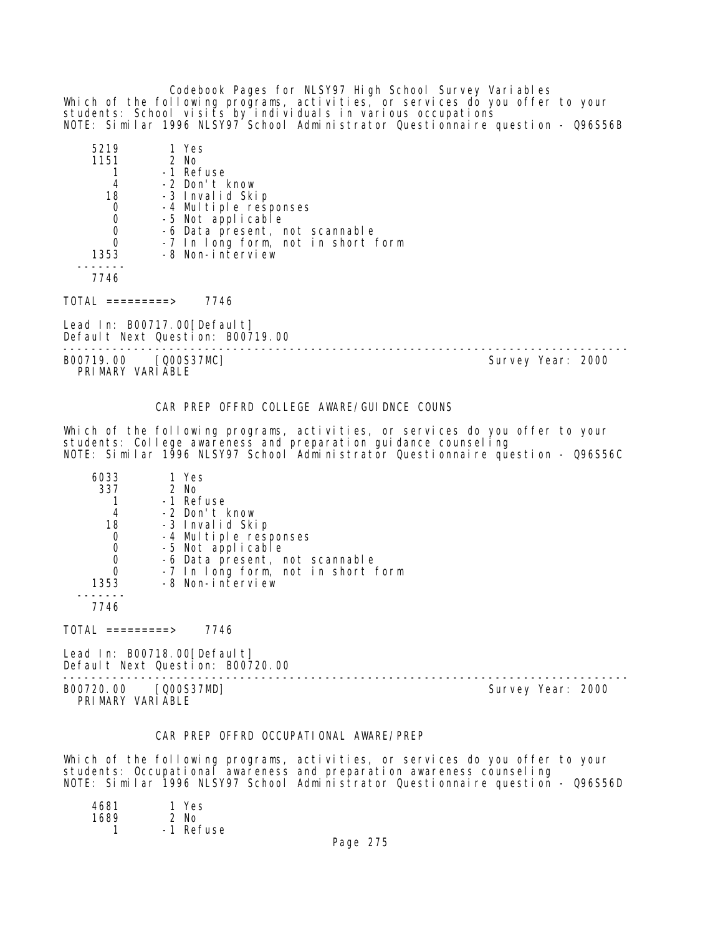Codebook Pages for NLSY97 High School Survey Variables Which of the following programs, activities, or services do you offer to your students: School visits by individuals in various occupations NOTE: Similar 1996 NLSY97 School Administrator Questionnaire question - Q96S56B

| 5219 | 1 Yes                              |
|------|------------------------------------|
| 1151 | $2$ No                             |
|      | -1 Refuse                          |
|      | -2 Don't know                      |
| 18   | -3 Invalid Skip                    |
| O    | -4 Multiple responses              |
|      | -5 Not applicable                  |
|      | -6 Data present, not scannable     |
|      | -7 In long form, not in short form |
| 1353 | -8 Non-interview                   |
|      |                                    |
| 7746 |                                    |

TOTAL =========> 7746

Lead In: B00717.00 [Default] Default Next Question: B00719.00

B00719.00 [Q00S37MC] Survey Year: 2000 PRIMARY VARIABLE

--------------------------------------------------------------------------------

#### CAR PREP OFFRD COLLEGE AWARE/GUIDNCE COUNS

Which of the following programs, activities, or services do you offer to your students: College awareness and preparation guidance counseling NOTE: Similar 1996 NLSY97 School Administrator Questionnaire question - Q96S56C

| 6033 | 1 Yes                              |
|------|------------------------------------|
| 337  | 2 No                               |
|      | -1 Refuse                          |
| 4    | -2 Don't know                      |
| 18   | -3 Invalid Skip                    |
| 0    | -4 Multiple responses              |
| O    | -5 Not applicable                  |
|      | -6 Data present, not scannable     |
|      | -7 In long form, not in short form |
| 1353 | -8 Non-interview                   |
|      |                                    |
| 7746 |                                    |

 $TOTAL$  =========> 7746

Lead In: B00718.00[Default] Default Next Question: B00720.00

-------------------------------------------------------------------------------- B00720.00 [Q00S37MD] Survey Year: 2000 PRIMARY VARIABLE

### CAR PREP OFFRD OCCUPATIONAL AWARE/PREP

Which of the following programs, activities, or services do you offer to your students: Occupational awareness and preparation awareness counseling NOTE: Similar 1996 NLSY97 School Administrator Questionnaire question - Q96S56D

| 4681 | 1 Yes     |
|------|-----------|
| 1689 | $2$ No    |
|      | -1 Refuse |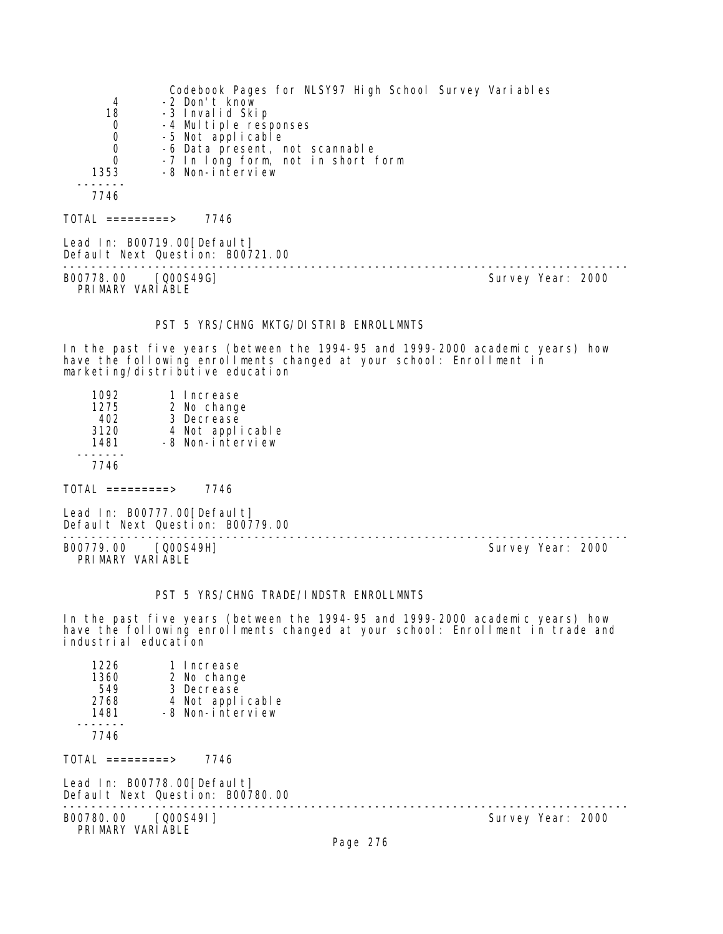|                  | Codebook Pages for NLSY97 High School Survey Variables |
|------------------|--------------------------------------------------------|
| 4                | -2 Don't know                                          |
| 18               | -3 Invalid Skip                                        |
| 0                | -4 Multiple responses                                  |
| 0                | -5 Not applicable                                      |
| 0                | -6 Data present, not scannable                         |
| $\Omega$         | -7 In long form, not in short form                     |
| 1353             | -8 Non-interview                                       |
|                  |                                                        |
| 7746             |                                                        |
| TOTAI =========> | 7746                                                   |

Lead In: B00719.00[Default] Default Next Question: B00721.00

B00778.00 [Q00S49G] PRIMARY VARIABLE

--------------------------------------------------------------------------------

### PST 5 YRS/CHNG MKTG/DISTRIB ENROLLMNTS

In the past five years (between the 1994-95 and 1999-2000 academic years) how have the following enrollments changed at your school: Enrollment in marketing/distributive education

| 1092 | 1 Increase       |
|------|------------------|
| 1275 | 2 No change      |
| 402  | 3 Decrease       |
| 3120 | 4 Not applicable |
| 1481 | -8 Non-interview |
|      |                  |
| 7746 |                  |
|      |                  |
|      |                  |

 $TOTAL$  =========> 7746

Lead In: B00777.00 [Default] Default Next Question: B00779.00

B00779.00 [Q00S49H] PRIMARY VARIABLE

--------------------------------------------------------------------------------

#### PST 5 YRS/CHNG TRADE/INDSTR ENROLLMNTS

In the past five years (between the 1994-95 and 1999-2000 academic years) how have the following enrollments changed at your school: Enrollment in trade and industrial education

| 1226<br>1 Increase<br>1360<br>2 No change<br>549<br>3 Decrease<br>4 Not applicable<br>2768<br>-8 Non-interview<br>1481<br>7746 |          |                   |
|--------------------------------------------------------------------------------------------------------------------------------|----------|-------------------|
| $TOTAL$ ==========><br>7746                                                                                                    |          |                   |
| Lead In: B00778.00 [Default]<br>Default Next Question: B00780.00                                                               |          |                   |
| B00780.00 [Q00S49I]<br>PRIMARY VARIABLE                                                                                        |          | Survey Year: 2000 |
|                                                                                                                                | Page 276 |                   |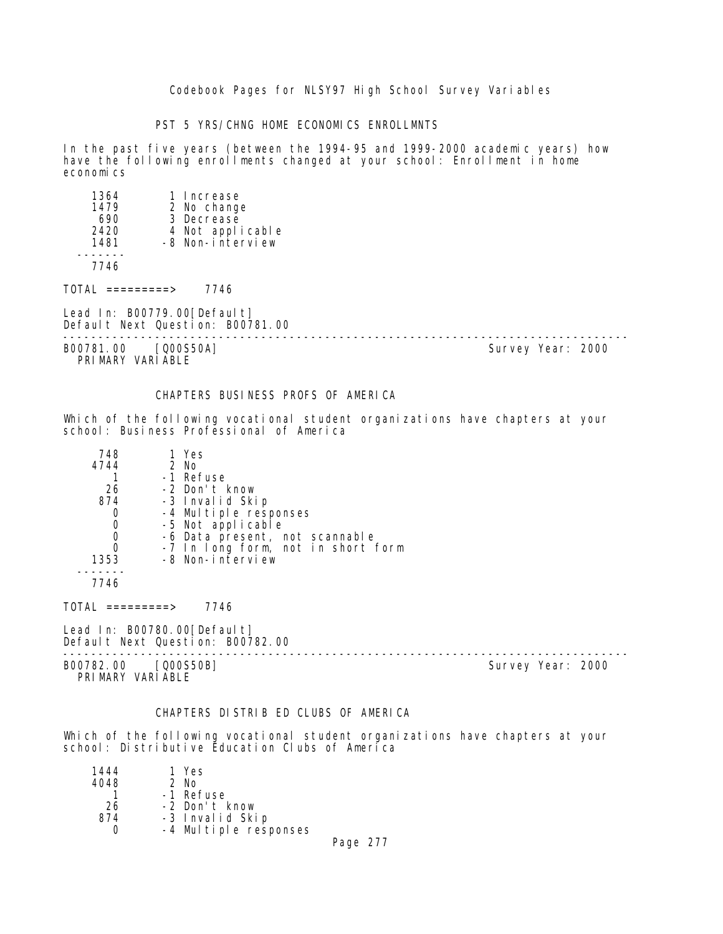PST 5 YRS/CHNG HOME ECONOMICS ENROLLMNTS

In the past five years (between the 1994-95 and 1999-2000 academic years) how have the following enrollments changed at your school: Enrollment in home economics

| 1364<br>1479<br>690<br>2420<br>1481 | 1 Increase<br>2 No change<br>3 Decrease<br>4 Not applicable<br>-8 Non-interview |                   |
|-------------------------------------|---------------------------------------------------------------------------------|-------------------|
| 7746                                |                                                                                 |                   |
| TOTAL =========>                    | 7746                                                                            |                   |
|                                     | Lead In: B00779.00[Default]<br>Default Next Question: B00781.00                 |                   |
| B00781.00                           | [000S50A]                                                                       | Survey Year: 2000 |

PRIMARY VARIABLE

### CHAPTERS BUSINESS PROFS OF AMERICA

Which of the following vocational student organizations have chapters at your school: Business Professional of America

| 748  | 1 Yes                              |
|------|------------------------------------|
| 4744 | 2 No                               |
|      | -1 Refuse                          |
| 26   | -2 Don't know                      |
| 874  | -3 Invalid Skip                    |
| 0    | -4 Multiple responses              |
| 0    | -5 Not applicable                  |
| 0    | -6 Data present, not scannable     |
| 0    | -7 In long form, not in short form |
| 1353 | -8 Non-interview                   |
|      |                                    |
| 7746 |                                    |

 $TOTAL$  =========> 7746

Lead In: B00780.00 [Default] Default Next Question: B00782.00

B00782.00 [Q00S50B] Survey Year: 2000 PRIMARY VARIABLE

--------------------------------------------------------------------------------

#### CHAPTERS DISTRIB ED CLUBS OF AMERICA

Which of the following vocational student organizations have chapters at your school: Distributive Education Clubs of America

| 1444 | 1 Yes                 |  |
|------|-----------------------|--|
| 4048 | $2$ No                |  |
|      | -1 Refuse             |  |
| 26   | -2 Don't know         |  |
| 874  | -3 Invalid Skip       |  |
|      | -4 Multiple responses |  |
|      |                       |  |

Page 277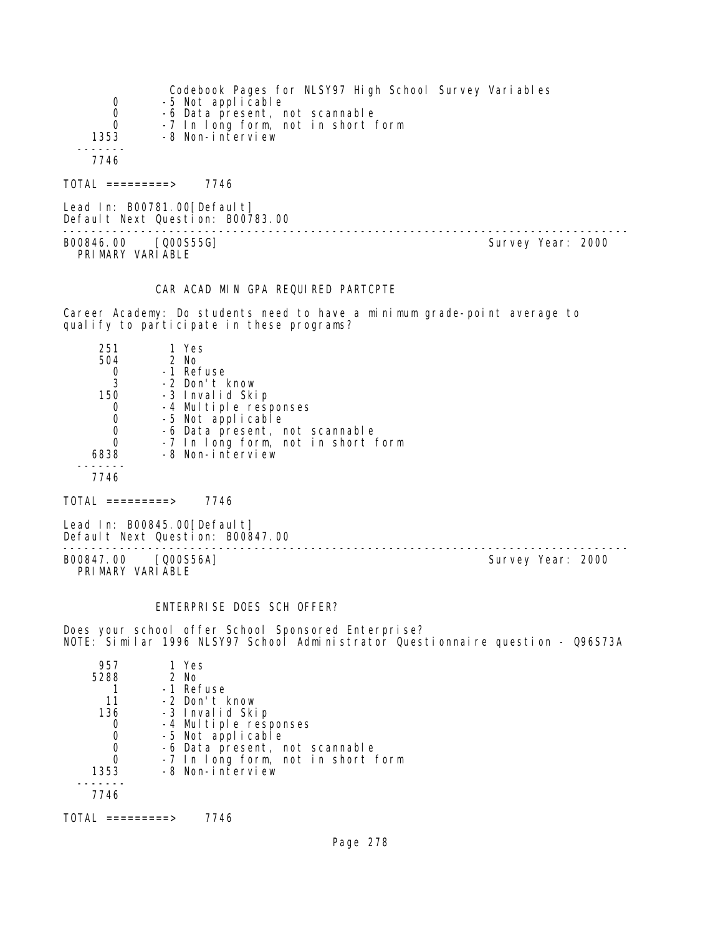| 0<br>$\mathbf 0$<br>$\mathbf 0$<br>1353<br>7746 | Codebook Pages for NLSY97 High School Survey Variables<br>-5 Not applicable<br>-6 Data present, not scannable<br>-7 In long form, not in short form<br>-8 Non-interview |                   |
|-------------------------------------------------|-------------------------------------------------------------------------------------------------------------------------------------------------------------------------|-------------------|
| TOTAL =========>                                | 7746                                                                                                                                                                    |                   |
|                                                 | Lead In: B00781.00[Default]<br>Default Next Question: B00783.00                                                                                                         |                   |
| B00846.00                                       | [000S55G]                                                                                                                                                               | Survey Year: 2000 |

PRIMARY VARIABLE

### CAR ACAD MIN GPA REQUIRED PARTCPTE

Career Academy: Do students need to have a minimum grade-point average to qualify to participate in these programs?

| 251  | 1 Yes                              |
|------|------------------------------------|
| 504  | $2$ No                             |
|      | -1 Refuse                          |
|      | -2 Don't know                      |
| 150  | -3 Invalid Skip                    |
| O    | -4 Multiple responses              |
|      | -5 Not applicable                  |
|      | -6 Data present, not scannable     |
|      | -7 In long form, not in short form |
| 6838 | -8 Non-interview                   |
|      |                                    |
| 7746 |                                    |

 $TOTAL$  =========> 7746

Lead In: B00845.00[Default] Default Next Question: B00847.00

B00847.00 [Q00S56A] Survey Year: 2000 PRIMARY VARIABLE

--------------------------------------------------------------------------------

## ENTERPRISE DOES SCH OFFER?

Does your school offer School Sponsored Enterprise? NOTE: Similar 1996 NLSY97 School Administrator Questionnaire question - Q96S73A

| 957  | 1 Yes                              |
|------|------------------------------------|
| 5288 | $2$ No                             |
|      | -1 Refuse                          |
| 11   | -2 Don't know                      |
| 136  | -3 Invalid Skip                    |
|      | -4 Multiple responses              |
|      | -5 Not applicable                  |
|      | -6 Data present, not scannable     |
|      | -7 In long form, not in short form |
| 1353 | -8 Non-interview                   |
|      |                                    |
| 7746 |                                    |
|      |                                    |

 $TOTAL$  =========> 7746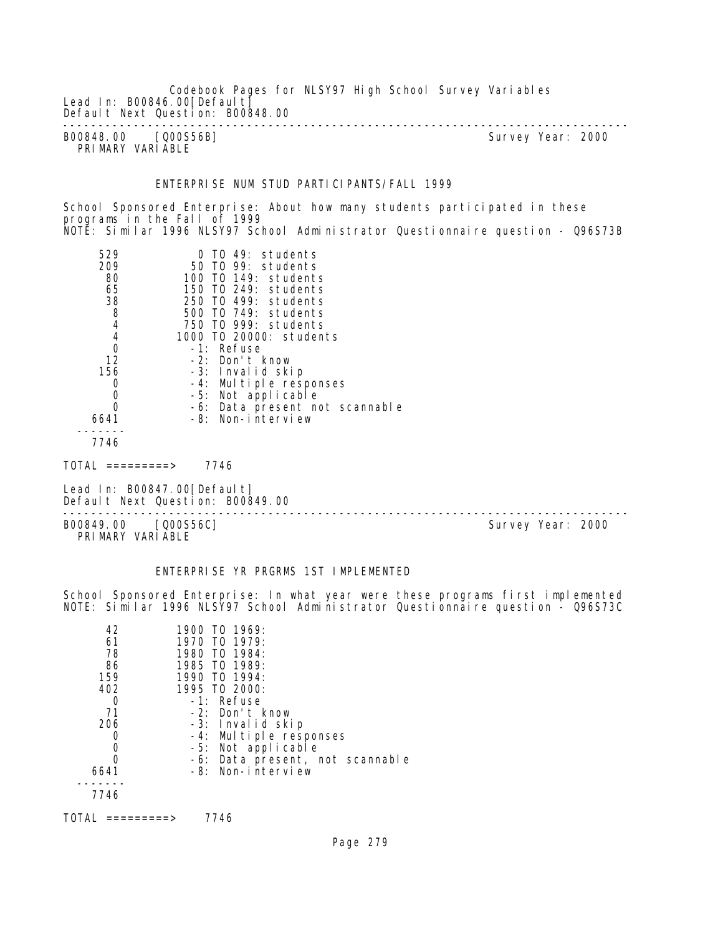Lead In: B00846.00 [Default] Default Next Question: B00848.00 -------------------------------------------------------------------------------- B00848.00 [Q00S56B] PRIMARY VARIABLE ENTERPRISE NUM STUD PARTICIPANTS/FALL 1999 School Sponsored Enterprise: About how many students participated in these programs in the Fall of 1999 NOTE: Similar 1996 NLSY97 School Administrator Questionnaire question - Q96S73B 529 0 TO 49: students 209 50 TO 99: students 80 100 TO 149: students 65 150 TO 249: students 38 250 TO 499: students 8 500 TO 749: students 4 750 TO 999: students 4 1000 TO 20000: students 0 -1: Refuse 12 -2: Don't know 156 -3: Invalid skip 0 -4: Multiple responses 0 -5: Not applicable<br>0 -6: Data present no 0 -6: Data present not scannable 6641 -8: Non-interview ------- 7746  $TOTAL$  =========> 7746 Lead In: B00847.00 [Default] Default Next Question: B00849.00 -------------------------------------------------------------------------------- B00849.00 [Q00S56C] PRIMARY VARIABLE

Codebook Pages for NLSY97 High School Survey Variables

### ENTERPRISE YR PRGRMS 1ST IMPLEMENTED

School Sponsored Enterprise: In what year were these programs first implemented NOTE: Similar 1996 NLSY97 School Administrator Questionnaire question - Q96S73C

| 42<br>61<br>78 | 1900 TO 1969:<br>1970 TO 1979:<br>1980 TO 1984: |
|----------------|-------------------------------------------------|
| 86             | 1985 TO 1989:                                   |
| 159            | 1990 TO 1994:                                   |
| 402            | 1995 TO 2000:                                   |
| O              | $-1$ : Refuse                                   |
| -71            | $-2$ : Don't know                               |
| 206            | -3: Invalid skip                                |
|                | -4: Multiple responses                          |
|                | -5: Not applicable                              |
| O              | -6: Data present, not scannable                 |
| 6641           | -8: Non-interview                               |
|                |                                                 |
| 7746           |                                                 |
|                |                                                 |

TOTAL =========> 7746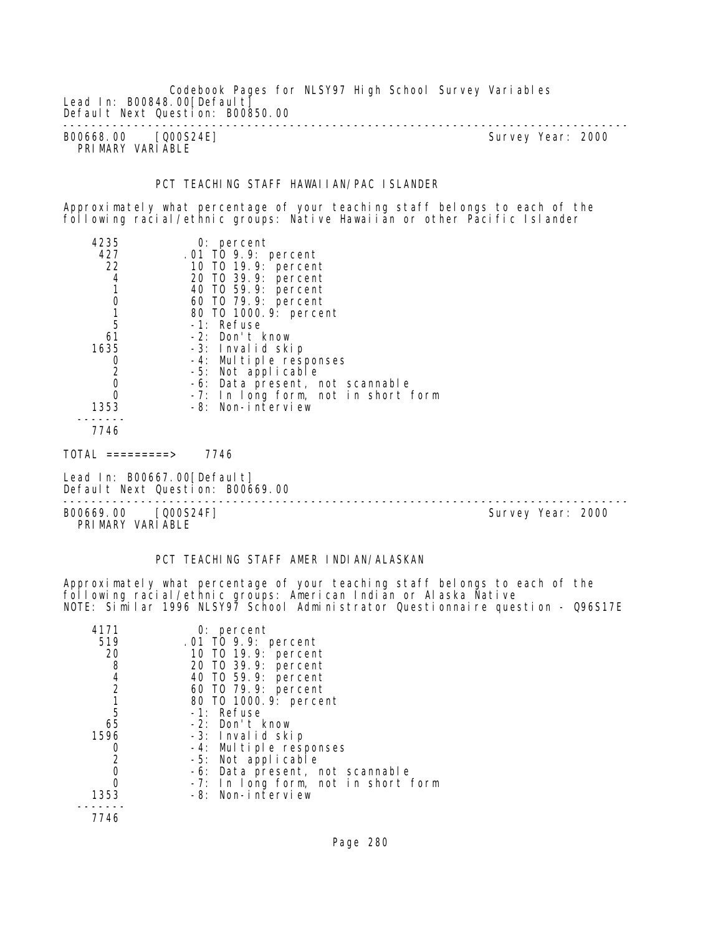Codebook Pages for NLSY97 High School Survey Variables Lead In: B00848.00 [Default] Default Next Question: B00850.00 -------------------------------------------------------------------------------- B00668.00 [Q00S24E] Survey Year: 2000

PRIMARY VARIABLE

### PCT TEACHING STAFF HAWAIIAN/PAC ISLANDER

Approximately what percentage of your teaching staff belongs to each of the following racial/ethnic groups: Native Hawaiian or other Pacific Islander

| 4235                           | $0:$ percent                        |
|--------------------------------|-------------------------------------|
| 427                            | .01 TO 9.9: percent                 |
| 22                             | 10 T0 19.9: percent                 |
| 4                              | 20 TO 39.9: percent                 |
|                                | 40 TO 59.9: percent                 |
| $\mathbf 0$                    | 60 T0 79.9: percent                 |
|                                | 80 TO 1000. 9: percent              |
| 5                              | -1: Refuse                          |
| 61                             | -2: Don't know                      |
| 1635                           | -3: Invalid skip                    |
| $\frac{0}{2}$                  | -4: Multiple responses              |
|                                | -5: Not applicable                  |
| $\mathbf 0$                    | -6: Data present, not scannable     |
| $\mathbf 0$                    | -7: In long form, not in short form |
| 1353                           | -8: Non-interview                   |
|                                |                                     |
| 7746                           |                                     |
| TOTAL<br>$=$ = = = = = = = $>$ | 7746                                |

Lead In: B00667.00 [Default] Default Next Question: B00669.00

--------------------------------------------------------------------------------

B00669.00 [Q00S24F] Survey Year: 2000 PRIMARY VARIABLE

## PCT TEACHING STAFF AMER INDIAN/ALASKAN

Approximately what percentage of your teaching staff belongs to each of the following racial/ethnic groups: American Indian or Alaska Native NOTE: Similar 1996 NLSY97 School Administrator Questionnaire question - Q96S17E

| 4171<br>519    | $0:$ percent<br>.01 TO 9.9: percent        |
|----------------|--------------------------------------------|
| 20<br>8        | 10 T0 19.9: percent<br>20 T0 39.9: percent |
|                |                                            |
| 4              | 40 T0 59.9: percent                        |
| $\overline{2}$ | 60 T0 79.9: percent                        |
|                | 80 T0 1000. 9: percent                     |
| 5              | -1: Refuse                                 |
| 65             | -2: Don't know                             |
| 1596           | -3: Invalid skip                           |
| O              | -4: Multiple responses                     |
| 2              | -5: Not applicable                         |
| 0              | -6: Data present, not scannable            |
|                | -7: In long form, not in short form        |
| 1353           | -8: Non-interview                          |
|                |                                            |
| 7746           |                                            |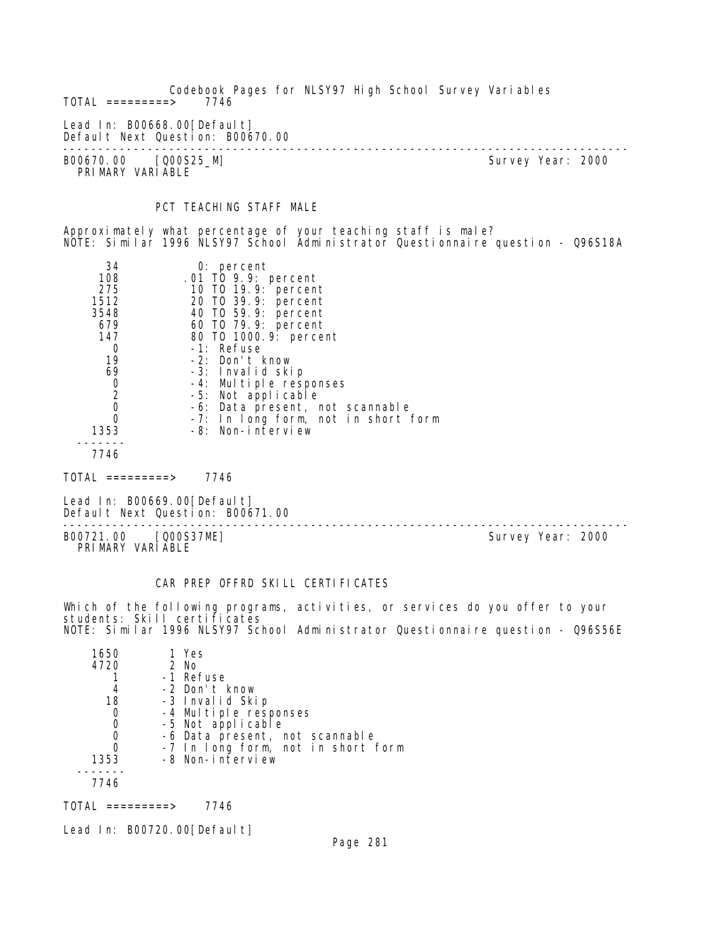Codebook Pages for NLSY97 High School Survey Variables  $TOTAL$  =========> Lead In: B00668.00 [Default] Default Next Question: B00670.00 -------------------------------------------------------------------------------- B00670.00 [Q00S25\_M] Survey Year: 2000 PRIMARY VARIABLE

# PCT TEACHING STAFF MALE

Approximately what percentage of your teaching staff is male? NOTE: Similar 1996 NLSY97 School Administrator Questionnaire question - Q96S18A

| 34             | $0:$ percent                        |
|----------------|-------------------------------------|
| 108            | .01 TO 9.9: percent                 |
| 275            | 10 T0 19.9: percent                 |
| 1512           | 20 TO 39.9: percent                 |
| 3548           | 40 T0 59.9: percent                 |
| 679            | 60 T0 79.9: percent                 |
| 147            | 80 T0 1000.9: percent               |
| O              | -1: Refuse                          |
| 19             | -2: Don't know                      |
| 69             | -3: Invalid skip                    |
| 0              | -4: Multiple responses              |
| $\overline{a}$ | -5: Not applicable                  |
| $\overline{0}$ | -6: Data present, not scannable     |
| 0              | -7: In long form, not in short form |
| 1353           | -8: Non-interview                   |
|                |                                     |
| 77 A Z         |                                     |

7746

TOTAL =========> 7746

Lead In: B00669.00 [Default] Default Next Question: B00671.00

-------------------------------------------------------------------------------- B00721.00 [Q00S37ME] Survey Year: 2000 PRIMARY VARIABLE

### CAR PREP OFFRD SKILL CERTIFICATES

Which of the following programs, activities, or services do you offer to your students: Skill certificates NOTE: Similar 1996 NLSY97 School Administrator Questionnaire question - Q96S56E

| 1650 | 1 Yes                                      |
|------|--------------------------------------------|
| 4720 | $2$ No                                     |
|      | -1 Refuse                                  |
|      | -2 Don't know                              |
| 18   | -3 Invalid Skip                            |
| O    | -4 Multiple responses<br>-5 Not applicable |
| 0    |                                            |
| 0    | -6 Data present, not scannable             |
| O    | -7 In long form, not in short form         |
| 1353 | -8 Non-interview                           |
|      |                                            |
| 7746 |                                            |

TOTAL =========> 7746

Lead In: B00720.00 [Default]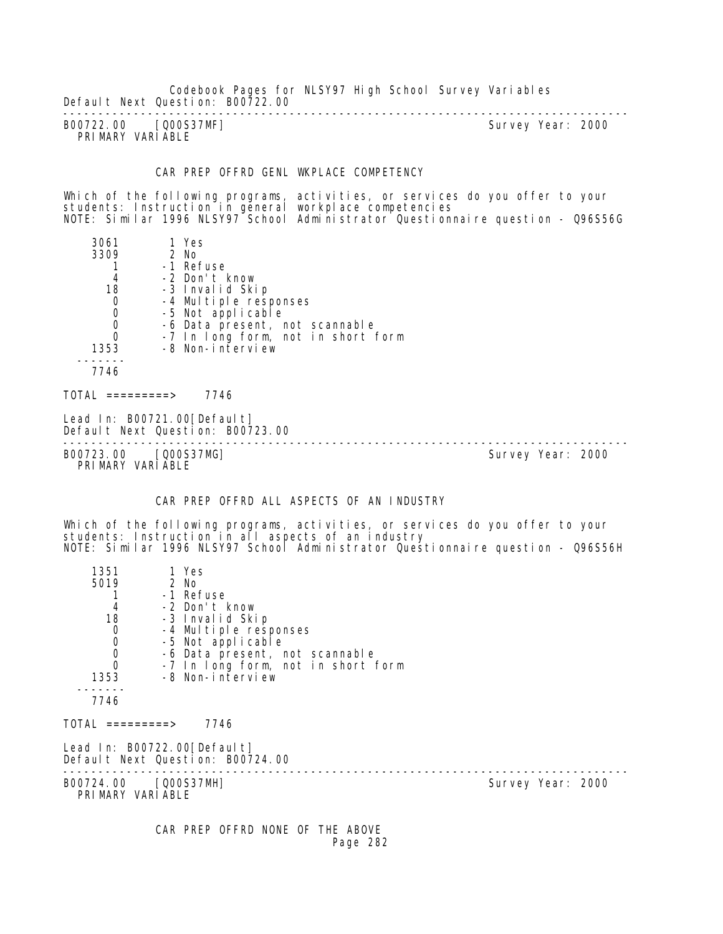Codebook Pages for NLSY97 High School Survey Variables Default Next Question: B00722.00

-------------------------------------------------------------------------------- B00722.00 [Q00S37MF] PRIMARY VARIABLE

#### CAR PREP OFFRD GENL WKPLACE COMPETENCY

Which of the following programs, activities, or services do you offer to your students: Instruction in general workplace competencies NOTE: Similar 1996 NLSY97 School Administrator Questionnaire question - Q96S56G

| 3061<br>3309<br>4<br>18                                                     | 1 Yes<br>2 No<br>-1 Refuse<br>-2 Don't know<br>-3 Invalid Skip                                                                         |                   |
|-----------------------------------------------------------------------------|----------------------------------------------------------------------------------------------------------------------------------------|-------------------|
| $\mathbf 0$<br>$\mathbf 0$<br>$\mathbf 0$<br>$\overline{0}$<br>1353<br>7746 | -4 Multiple responses<br>-5 Not applicable<br>-6 Data present, not scannable<br>-7 In long form, not in short form<br>-8 Non-interview |                   |
| TOTAL =========>                                                            | 7746                                                                                                                                   |                   |
|                                                                             | Lead In: B00721.00[Default]<br>Default Next Question: B00723.00                                                                        |                   |
| B00723.00                                                                   | [Q00S37MG]                                                                                                                             | Survey Year: 2000 |

B00723.00 [Q00S37MG] PRIMARY VARIABLE

## CAR PREP OFFRD ALL ASPECTS OF AN INDUSTRY

Which of the following programs, activities, or services do you offer to your students: Instruction in all aspects of an industry NOTE: Similar 1996 NLSY97 School Administrator Questionnaire question - Q96S56H

| 1351                                           | 1 Yes                                                           |                   |
|------------------------------------------------|-----------------------------------------------------------------|-------------------|
| 5019                                           | 2 No                                                            |                   |
|                                                | -1 Refuse                                                       |                   |
| $\begin{array}{c} 4 \\ 18 \end{array}$         | -2 Don't know                                                   |                   |
|                                                | -3 Invalid Skip                                                 |                   |
| $\begin{matrix} 0 \\ 0 \\ 0 \\ 0 \end{matrix}$ | -4 Multiple responses                                           |                   |
|                                                | -5 Not applicable                                               |                   |
|                                                | -6 Data present, not scannable                                  |                   |
|                                                | -7 In long form, not in short form                              |                   |
| 1353                                           | -8 Non-interview                                                |                   |
| 7746                                           |                                                                 |                   |
| TOTAL =========>                               | 7746                                                            |                   |
|                                                | Lead In: B00722.00[Default]<br>Default Next Question: B00724.00 |                   |
| B00724.00 [Q00S37MH]<br>PRIMARY VARIABLE       |                                                                 | Survey Year: 2000 |
|                                                | CAR PREP OFFRD NONE OF THE ABOVE                                |                   |

Page 282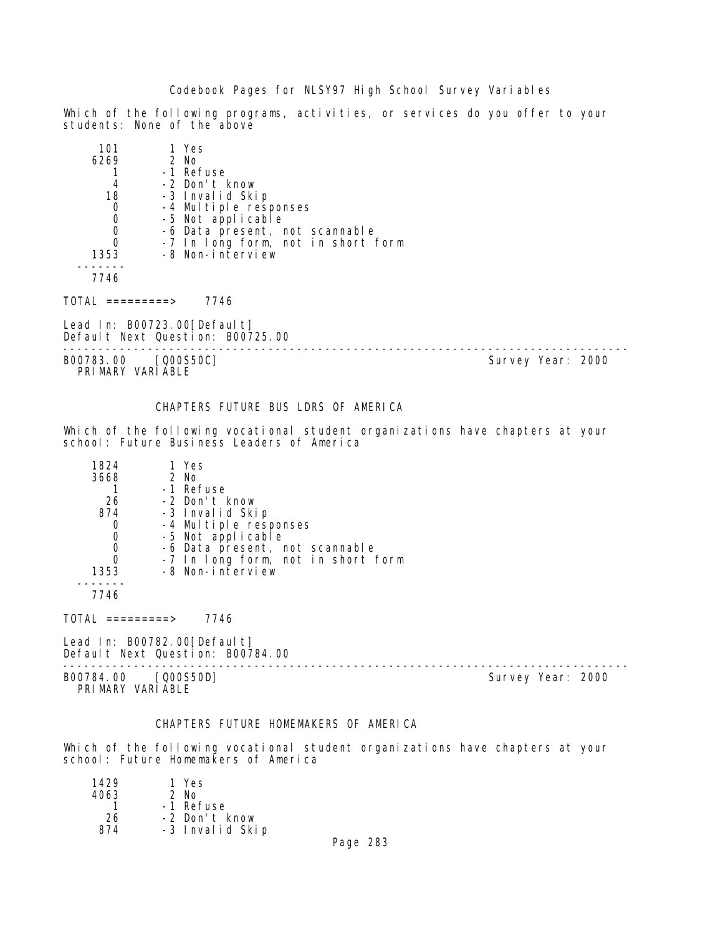Which of the following programs, activities, or services do you offer to your students: None of the above

| 101  | 1 Yes                              |
|------|------------------------------------|
| 6269 | 2 No                               |
|      | -1 Refuse                          |
|      | -2 Don't know                      |
| 18   | -3 Invalid Skip                    |
| 0    | -4 Multiple responses              |
| 0    | -5 Not applicable                  |
| 0    | -6 Data present, not scannable     |
|      | -7 In long form, not in short form |
| 1353 | -8 Non-interview                   |
|      |                                    |
| 7746 |                                    |

TOTAL =========> 7746

Lead In: B00723.00 [Default] Default Next Question: B00725.00

B00783.00 [Q00S50C] Survey Year: 2000 PRIMARY VARIABLE

--------------------------------------------------------------------------------

### CHAPTERS FUTURE BUS LDRS OF AMERICA

Which of the following vocational student organizations have chapters at your school: Future Business Leaders of America

| 1824 | 1 Yes                                      |
|------|--------------------------------------------|
| 3668 | 2 No                                       |
|      | -1 Refuse                                  |
| 26   | -2 Don't know                              |
| 874  | -3 Invalid Skip                            |
| 0    | -4 Multiple responses<br>-5 Not applicable |
| 0    |                                            |
| 0    | -6 Data present, not scannable             |
| 0    | -7 In long form, not in short form         |
| 1353 | -8 Non-interview                           |
|      |                                            |

7746

 $TOTAL$  =========> 7746

Lead In: B00782.00[Default] Default Next Question: B00784.00

B00784.00 [Q00S50D] PRIMARY VARIABLE

--------------------------------------------------------------------------------

# CHAPTERS FUTURE HOMEMAKERS OF AMERICA

Which of the following vocational student organizations have chapters at your school: Future Homemakers of America

| 1429 | 1 Yes           |
|------|-----------------|
| 4063 | 2 No            |
|      | -1 Refuse       |
| 26   | -2 Don't know   |
| 874  | -3 Invalid Skip |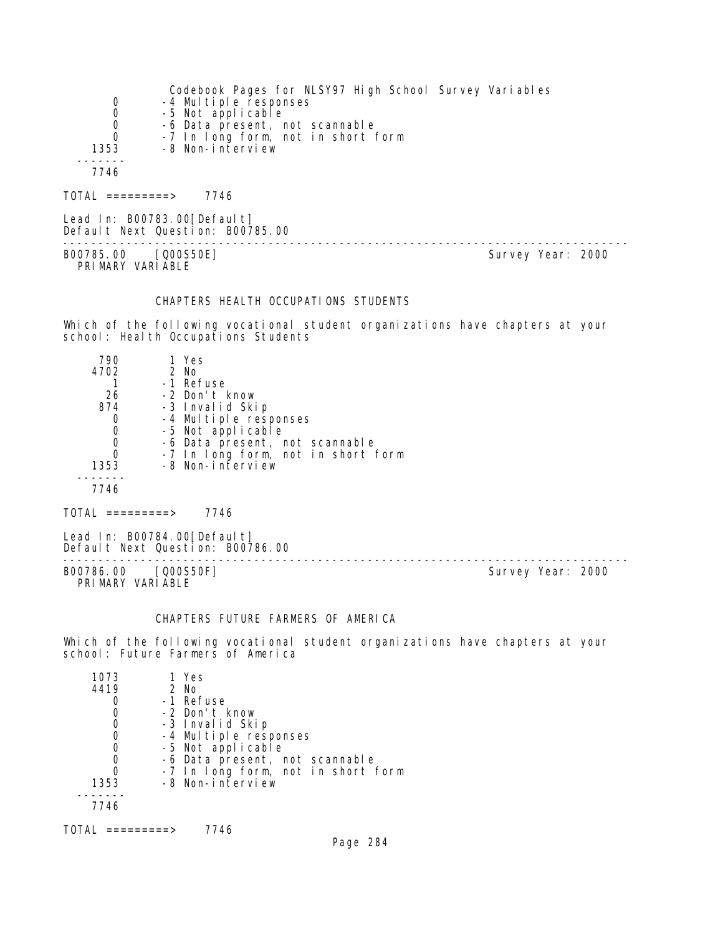|      | Codebook Pages for NLSY97 High School Survey Variables |
|------|--------------------------------------------------------|
| 0    | -4 Multiple responses                                  |
| 0    | -5 Not applicable                                      |
| 0    | -6 Data present, not scannable                         |
| 0    | -7 In long form, not in short form                     |
| 1353 | -8 Non-interview                                       |
|      |                                                        |
| 7746 |                                                        |
|      |                                                        |

TOTAL =========> 7746

Lead In: B00783.00[Default] Default Next Question: B00785.00

B00785.00 [Q00S50E] PRI MARY VARI ABLE

--------------------------------------------------------------------------------

## CHAPTERS HEALTH OCCUPATIONS STUDENTS

Which of the following vocational student organizations have chapters at your school: Health Occupations Students

| 790  | 1 Yes                              |
|------|------------------------------------|
| 4702 | 2 No                               |
|      | -1 Refuse                          |
| 26   | -2 Don't know                      |
| 874  | -3 Invalid Skip                    |
|      | -4 Multiple responses              |
|      | -5 Not applicable                  |
| O    | -6 Data present, not scannable     |
|      | -7 In long form, not in short form |
| 1353 | -8 Non-interview                   |
|      |                                    |
| 7746 |                                    |

 $TOTAL$  =========> 7746

Lead In: B00784.00[Default] Default Next Question: B00786.00

B00786.00 [Q00S50F] Survey Year: 2000 PRIMARY VARIABLE

--------------------------------------------------------------------------------

## CHAPTERS FUTURE FARMERS OF AMERICA

Which of the following vocational student organizations have chapters at your school: Future Farmers of America

| 1073 | 1 Yes                              |
|------|------------------------------------|
| 4419 | $2$ No                             |
|      | -1 Refuse                          |
|      | -2 Don't know                      |
|      | -3 Invalid Skip                    |
|      | -4 Multiple responses              |
|      | -5 Not applicable                  |
|      | -6 Data present, not scannable     |
|      | -7 In long form, not in short form |
| 1353 | -8 Non-interview                   |
|      |                                    |
| 7746 |                                    |
|      |                                    |

TOTAL =========> 7746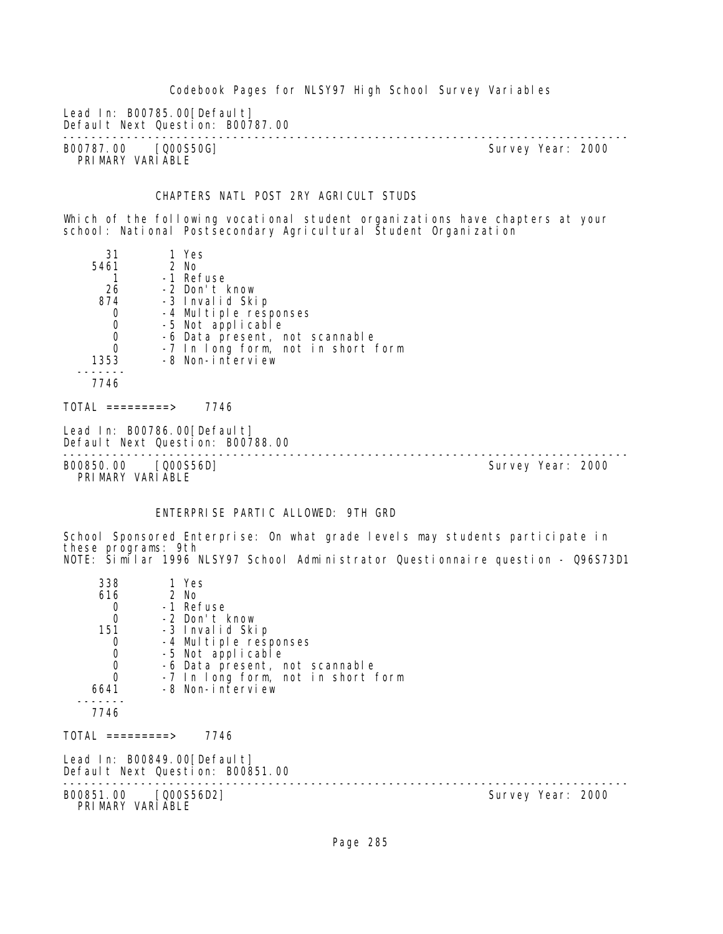Codebook Pages for NLSY97 High School Survey Variables Lead In: B00785.00 [Default] Default Next Question: B00787.00 -------------------------------------------------------------------------------- B00787.00 [Q00S50G] PRIMARY VARIABLE

## CHAPTERS NATL POST 2RY AGRICULT STUDS

Which of the following vocational student organizations have chapters at your school: National Postsecondary Agricultural Student Organization

| 31                               | 1 Yes                                    |  |
|----------------------------------|------------------------------------------|--|
| 5461                             | 2 No                                     |  |
|                                  | -1 Refuse                                |  |
| 26                               | -2 Don't know                            |  |
| 874                              | -3 Invalid Skip                          |  |
| $\mathbf 0$                      | -4 Multiple responses                    |  |
| $\boldsymbol{0}$                 | -5 Not applicable                        |  |
| $\begin{matrix}0\\0\end{matrix}$ | -6 Data present, not scannable           |  |
|                                  | -7 In long form, not in short form       |  |
| 1353                             | -8 Non-interview                         |  |
|                                  |                                          |  |
| 7746                             |                                          |  |
|                                  |                                          |  |
| TOTAL =========>                 | 7746                                     |  |
|                                  | $1 \circ 1 \circ 1$ $1 \circ 0.0070/005$ |  |

Lead In: B00786.00 [Default] Default Next Question: B00788.00

-------------------------------------------------------------------------------- B00850.00 [Q00S56D] PRIMARY VARIABLE

# ENTERPRISE PARTIC ALLOWED: 9TH GRD

School Sponsored Enterprise: On what grade levels may students participate in these programs: 9th NOTE: Similar 1996 NLSY97 School Administrator Questionnaire question - Q96S73D1

| 338                                        | 1 Yes                                                           |                   |
|--------------------------------------------|-----------------------------------------------------------------|-------------------|
| 616                                        | 2 No                                                            |                   |
| $\begin{matrix}0\\0\end{matrix}$           | -1 Refuse                                                       |                   |
|                                            | -2 Don't know                                                   |                   |
| 151                                        | -3 Invalid Skip                                                 |                   |
| 0                                          | -4 Multiple responses                                           |                   |
| $\begin{smallmatrix}0\\0\end{smallmatrix}$ | -5 Not applicable                                               |                   |
|                                            | -6 Data present, not scannable                                  |                   |
| $\overline{0}$                             | -7 In long form, not in short form                              |                   |
| 6641                                       | -8 Non-interview                                                |                   |
|                                            |                                                                 |                   |
| 7746                                       |                                                                 |                   |
| $\text{TOTAL}$ =========>                  | 7746                                                            |                   |
|                                            | Lead In: B00849.00[Default]<br>Default Next Question: B00851.00 |                   |
| B00851.00 [Q00S56D2]<br>PRIMARY VARIABLE   |                                                                 | Survey Year: 2000 |
|                                            |                                                                 |                   |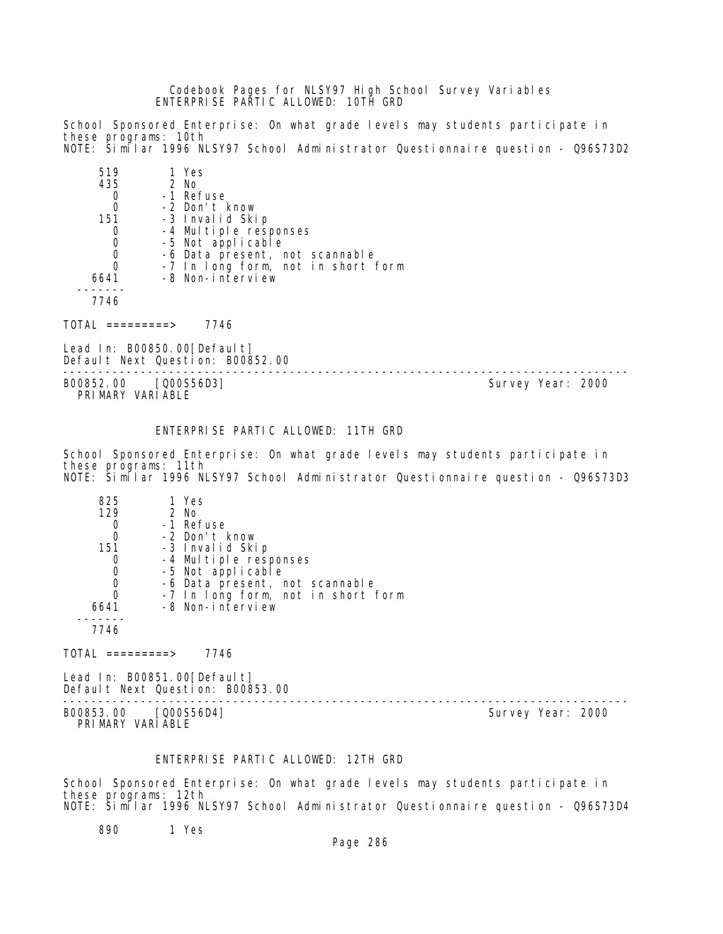Codebook Pages for NLSY97 High School Survey Variables ENTERPRISE PARTIC ALLOWED: 10TH GRD

School Sponsored Enterprise: On what grade levels may students participate in these programs: 10th NOTE: Similar 1996 NLSY97 School Administrator Questionnaire question - Q96S73D2

| 519  | 1 Yes                                      |
|------|--------------------------------------------|
| 435  | 2 No                                       |
|      | -1 Refuse                                  |
| 0    | -2 Don't know                              |
| 151  | -3 Invalid Skip                            |
| O    | -4 Multiple responses<br>-5 Not applicable |
| 0    |                                            |
| 0    | -6 Data present, not scannable             |
| 0    | -7 In long form, not in short form         |
| 6641 | -8 Non-interview                           |
|      |                                            |
| 7746 |                                            |

TOTAL =========> 7746

Lead In: B00850.00[Default] Default Next Question: B00852.00

-------------------------------------------------------------------------------- PRIMARY VARIABLE

Survey Year: 2000

## ENTERPRISE PARTIC ALLOWED: 11TH GRD

School Sponsored Enterprise: On what grade levels may students participate in these programs: 11th NOTE: Similar 1996 NLSY97 School Administrator Questionnaire question - Q96S73D3

| 825  | 1 Yes                              |
|------|------------------------------------|
| 129  | 2 No                               |
|      | -1 Refuse                          |
| 0    | -2 Don't know                      |
| 151  | -3 Invalid Skip                    |
| O    | -4 Multiple responses              |
| 0    | -5 Not applicable                  |
| 0    | -6 Data present, not scannable     |
| 0    | -7 In long form, not in short form |
| 6641 | -8 Non-interview                   |
|      |                                    |
| 7746 |                                    |

 $TOTAL$  =========> 7746

Lead In: B00851.00 [Default] Default Next Question: B00853.00

-------------------------------------------------------------------------------- B00853.00 [Q00S56D4] PRIMARY VARIABLE

# ENTERPRISE PARTIC ALLOWED: 12TH GRD

School Sponsored Enterprise: On what grade levels may students participate in these programs: 12th NOTE: Similar 1996 NLSY97 School Administrator Questionnaire question - Q96S73D4

890 1 Yes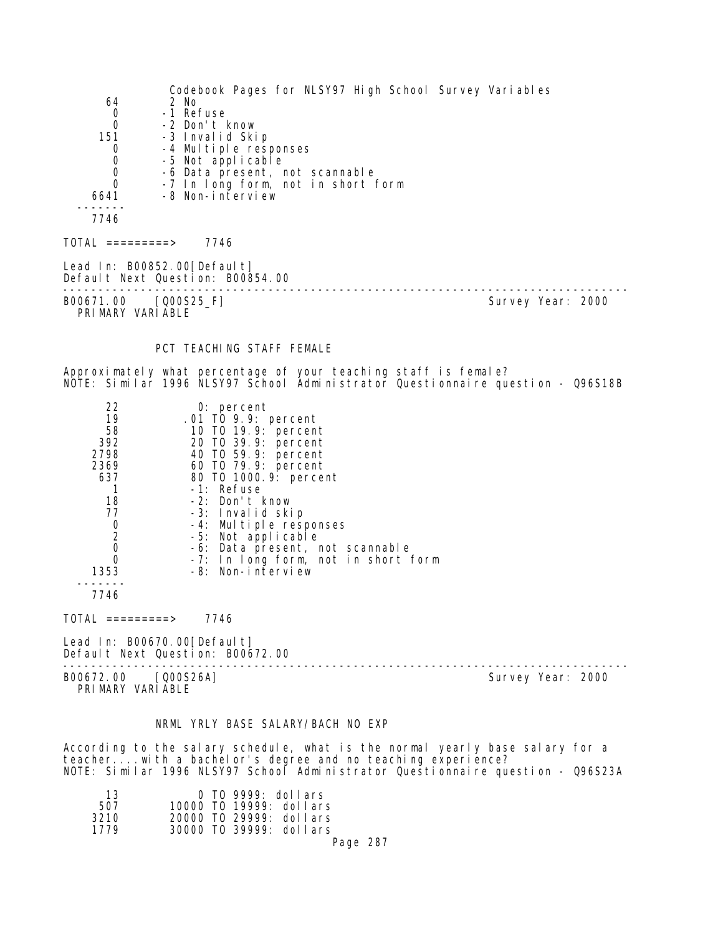| 64<br>0<br>0<br>151<br>0<br>0<br>0<br>0<br>6641<br>$- - - -$                                                   | Codebook Pages for NLSY97 High School Survey Variables<br>2 No<br>-1 Refuse<br>-2 Don't know<br>-3 Invalid Skip<br>-4 Multiple responses<br>-5 Not applicable<br>-6 Data present, not scannable<br>-7 In long form, not in short form<br>-8 Non-interview                                                                                                    |                   |
|----------------------------------------------------------------------------------------------------------------|--------------------------------------------------------------------------------------------------------------------------------------------------------------------------------------------------------------------------------------------------------------------------------------------------------------------------------------------------------------|-------------------|
| 7746                                                                                                           |                                                                                                                                                                                                                                                                                                                                                              |                   |
| $TOTAL$ ==========><br>Lead In: B00852.00 [Default]                                                            | 7746<br>Default Next Question: B00854.00<br>------------------                                                                                                                                                                                                                                                                                               |                   |
| B00671.00<br>PRIMARY VARIABLE                                                                                  | [000S25_F]                                                                                                                                                                                                                                                                                                                                                   | Survey Year: 2000 |
|                                                                                                                | PCT TEACHING STAFF FEMALE                                                                                                                                                                                                                                                                                                                                    |                   |
|                                                                                                                | Approximately what percentage of your teaching staff is female?<br>NOTE: Similar 1996 NLSY97 School Administrator Questionnaire question - Q96S18B                                                                                                                                                                                                           |                   |
| 22<br>19<br>58<br>392<br>2798<br>2369<br>637<br>1<br>18<br>77<br>0<br>$\overline{2}$<br>0<br>0<br>1353<br>7746 | $0:$ percent<br>.01 TO 9.9: percent<br>10 T0 19.9: percent<br>20 TO 39.9: percent<br>40 T0 59.9: percent<br>60 T0 79.9: percent<br>80 T0 1000. 9: percent<br>-1: Refuse<br>-2: Don't know<br>-3: Invalid skip<br>-4: Multiple responses<br>-5: Not applicable<br>-6: Data present, not scannable<br>-7: In long form, not in short form<br>-8: Non-interview |                   |
| $\overline{IO}AL$ =========>                                                                                   | 7746                                                                                                                                                                                                                                                                                                                                                         |                   |
| Lead In: B00670.00 [Default]                                                                                   | Default Next Question: B00672.00                                                                                                                                                                                                                                                                                                                             |                   |
| B00672.00<br>PRIMARY VARIABLE                                                                                  | 000S26A                                                                                                                                                                                                                                                                                                                                                      | Survey Year: 2000 |

## NRML YRLY BASE SALARY/BACH NO EXP

According to the salary schedule, what is the normal yearly base salary for a teacher....with a bachelor's degree and no teaching experience? NOTE: Similar 1996 NLSY97 School Administrator Questionnaire question - Q96S23A

| 13   |  | $0$ TO 9999: dollars    |          |  |
|------|--|-------------------------|----------|--|
| 507  |  | 10000 TO 19999: dollars |          |  |
| 3210 |  | 20000 TO 29999: dollars |          |  |
| 1779 |  | 30000 TO 39999: dollars |          |  |
|      |  |                         | Page 287 |  |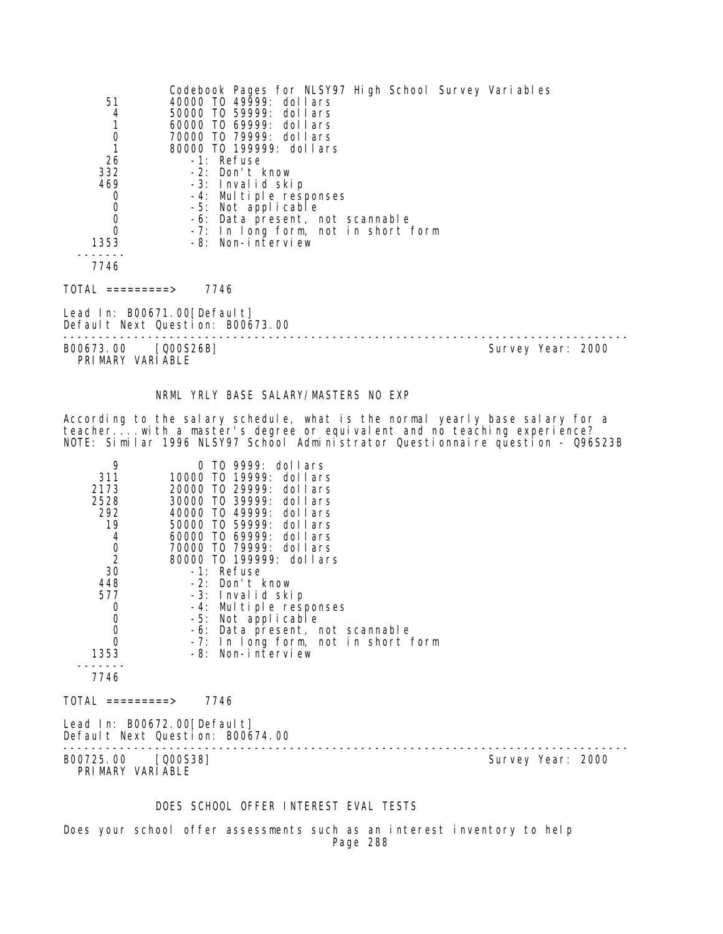| 51<br>4<br>$\mathbf{1}$<br>$\overline{0}$<br>1<br>26<br>332<br>469<br>0<br>$\mathbf 0$<br>$\mathbf 0$<br>$\Omega$<br>1353 | Codebook Pages for NLSY97 High School Survey Variables<br>40000 TO 49999: dollars<br>50000 TO 59999: dollars<br>60000 TO 69999: dollars<br>70000 TO 79999: dollars<br>80000 T0 199999: dollars<br>-1: Refuse<br>-2: Don't know<br>-3: Invalid skip<br>-4: Multiple responses<br>-5: Not applicable<br>-6: Data present, not scannable<br>-7: In long form, not in short form<br>-8: Non-interview |                   |
|---------------------------------------------------------------------------------------------------------------------------|---------------------------------------------------------------------------------------------------------------------------------------------------------------------------------------------------------------------------------------------------------------------------------------------------------------------------------------------------------------------------------------------------|-------------------|
| 7746                                                                                                                      |                                                                                                                                                                                                                                                                                                                                                                                                   |                   |
| TOTAL =========>                                                                                                          | 7746                                                                                                                                                                                                                                                                                                                                                                                              |                   |
|                                                                                                                           | Lead In: B00671.00[Default]<br>Default Next Question: B00673.00                                                                                                                                                                                                                                                                                                                                   |                   |
| B00673.00                                                                                                                 | $[000S26B]$                                                                                                                                                                                                                                                                                                                                                                                       | Survey Year: 2000 |

PRIMARY VARIABLE

## NRML YRLY BASE SALARY/MASTERS NO EXP

According to the salary schedule, what is the normal yearly base salary for a teacher....with a master's degree or equivalent and no teaching experience? NOTE: Similar 1996 NLSY97 School Administrator Questionnaire question - Q96S23B

| 9<br>311<br>2173<br>2528<br>292<br>19<br>$\begin{array}{c}\n 4 \\ 0 \\ 2 \\ 30\n \end{array}$<br>448<br>577<br>$\begin{smallmatrix}0\0\0\end{smallmatrix}$<br>$\Omega$<br>1353<br>7746 | 0 TO 9999: dollars<br>10000 TO 19999: dollars<br>20000 TO 29999: dollars<br>30000 TO 39999: dollars<br>40000 TO 49999: dollars<br>50000 TO 59999: dollars<br>60000 TO 69999: dollars<br>70000 TO 79999: dollars<br>80000 TO 199999: dollars<br>-1: Refuse<br>-2: Don't know<br>-3: Invalid skip<br>-4: Multiple responses<br>-5: Not applicable<br>-6: Data present, not scannable<br>-7: In long form, not in short form<br>-8: Non-interview |                   |
|----------------------------------------------------------------------------------------------------------------------------------------------------------------------------------------|------------------------------------------------------------------------------------------------------------------------------------------------------------------------------------------------------------------------------------------------------------------------------------------------------------------------------------------------------------------------------------------------------------------------------------------------|-------------------|
| TOTAL =========>                                                                                                                                                                       | 7746                                                                                                                                                                                                                                                                                                                                                                                                                                           |                   |
|                                                                                                                                                                                        | Lead In: B00672.00[Default]<br>Default Next Question: B00674.00                                                                                                                                                                                                                                                                                                                                                                                |                   |
| B00725.00 [Q00S38]<br>PRIMARY VARIABLE                                                                                                                                                 |                                                                                                                                                                                                                                                                                                                                                                                                                                                | Survey Year: 2000 |

## DOES SCHOOL OFFER INTEREST EVAL TESTS

Does your school offer assessments such as an interest inventory to help Page 288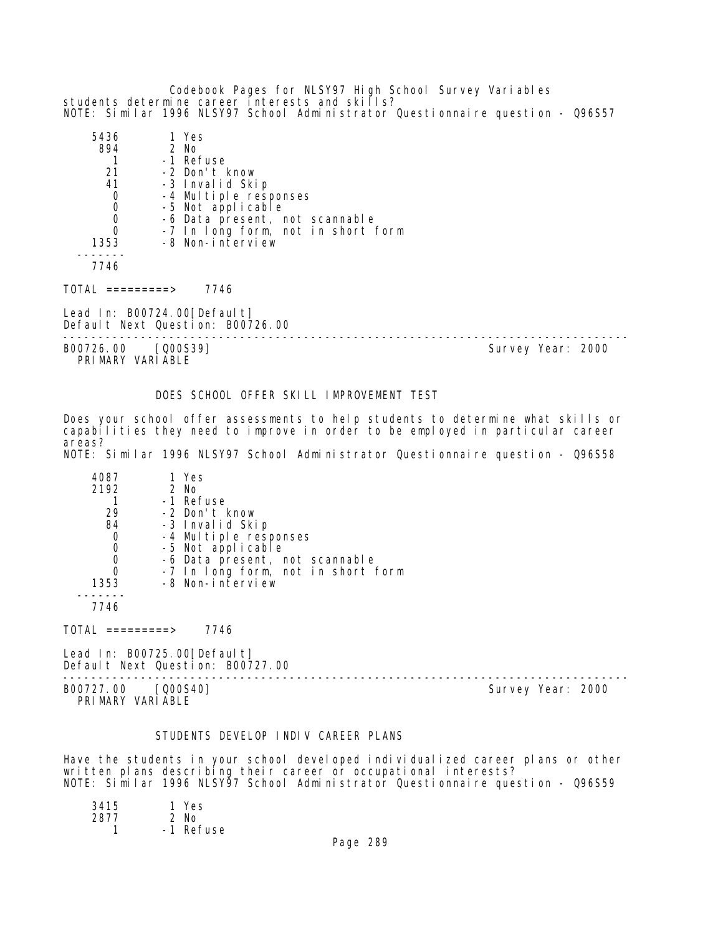Codebook Pages for NLSY97 High School Survey Variables students determine career interests and skills? NOTE: Similar 1996 NLSY97 School Administrator Questionnaire question - Q96S57

| 5436                                   | 1 Yes                                                           |                                    |                   |  |
|----------------------------------------|-----------------------------------------------------------------|------------------------------------|-------------------|--|
| 894                                    | 2 No                                                            |                                    |                   |  |
|                                        | -1 Refuse                                                       |                                    |                   |  |
| 21                                     | -2 Don't know                                                   |                                    |                   |  |
| 41                                     | -3 Invalid Skip                                                 |                                    |                   |  |
| $\mathbf 0$                            | -4 Multiple responses                                           |                                    |                   |  |
| $\mathbf 0$                            | -5 Not applicable                                               |                                    |                   |  |
| $\mathbf 0$                            |                                                                 | -6 Data present, not scannable     |                   |  |
| $\overline{0}$                         |                                                                 | -7 In long form, not in short form |                   |  |
| 1353                                   | -8 Non-interview                                                |                                    |                   |  |
|                                        |                                                                 |                                    |                   |  |
| 7746                                   |                                                                 |                                    |                   |  |
| TOTAL =========>                       | 7746                                                            |                                    |                   |  |
|                                        | Lead In: B00724.00[Default]<br>Default Next Question: B00726.00 |                                    |                   |  |
| B00726.00 [Q00S39]<br>PRIMARY VARIABLE |                                                                 |                                    | Survey Year: 2000 |  |

# DOES SCHOOL OFFER SKILL IMPROVEMENT TEST

Does your school offer assessments to help students to determine what skills or capabilities they need to improve in order to be employed in particular career areas? NOTE: Similar 1996 NLSY97 School Administrator Questionnaire question - Q96S58

| 4087 | 1 Yes                              |
|------|------------------------------------|
| 2192 | 2 No                               |
|      | -1 Refuse                          |
| 29   | -2 Don't know                      |
| 84   | -3 Invalid Skip                    |
|      | -4 Multiple responses              |
| 0    | -5 Not applicable                  |
|      | -6 Data present, not scannable     |
|      | -7 In long form, not in short form |
| 1353 | -8 Non-interview                   |
|      |                                    |
| 7746 |                                    |

 $TOTAL$  =========> 7746

Lead In: B00725.00[Default] Default Next Question: B00727.00

-------------------------------------------------------------------------------- B00727.00 [Q00S40] Survey Year: 2000 PRIMARY VARIABLE

# STUDENTS DEVELOP INDIV CAREER PLANS

Have the students in your school developed individualized career plans or other written plans describing their career or occupational interests? NOTE: Similar 1996 NLSY97 School Administrator Questionnaire question - Q96S59

| 3415 | 1 Yes     |
|------|-----------|
| 2877 | $2$ No    |
|      | -1 Refuse |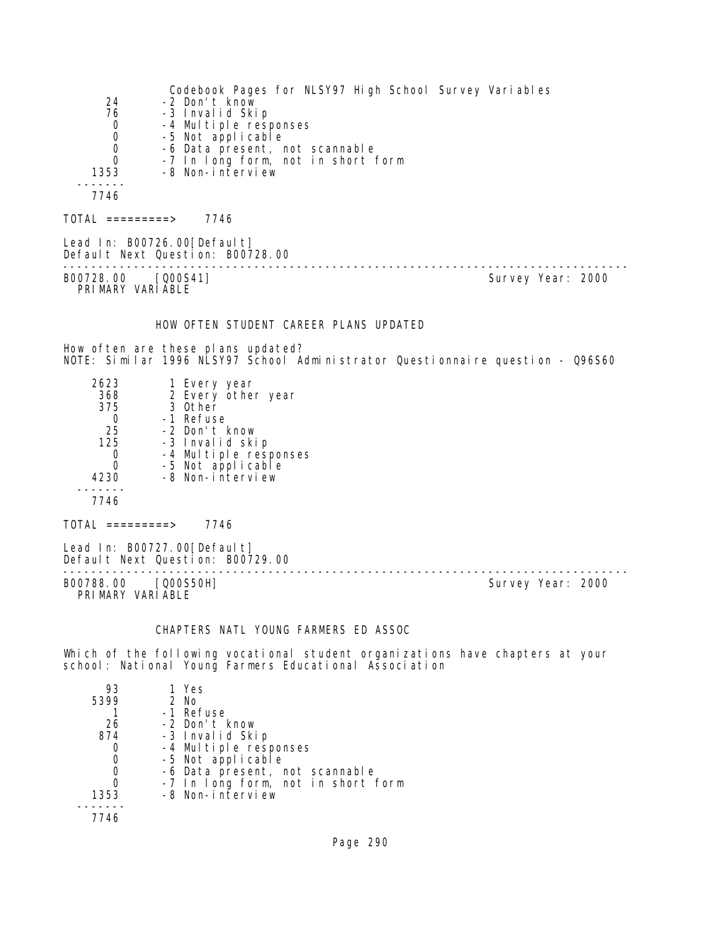| 24<br>76<br>0<br>0<br>0<br>0<br>1353                           | Codebook Pages for NLSY97 High School Survey Variables<br>-2 Don't know<br>-3 Invalid Skip<br>-4 Multiple responses<br>-5 Not applicable<br>-6 Data present, not scannable<br>-7 In long form, not in short form<br>-8 Non-interview |                   |
|----------------------------------------------------------------|--------------------------------------------------------------------------------------------------------------------------------------------------------------------------------------------------------------------------------------|-------------------|
| 7746                                                           |                                                                                                                                                                                                                                      |                   |
| $TOTAL$ =========> 7746                                        |                                                                                                                                                                                                                                      |                   |
|                                                                | Lead In: B00726.00 [Defaul t]<br>Default Next Question: B00728.00                                                                                                                                                                    |                   |
| B00728.00 [000S41]<br>PRIMARY VARIABLE                         |                                                                                                                                                                                                                                      | Survey Year: 2000 |
|                                                                | HOW OFTEN STUDENT CAREER PLANS UPDATED<br>How often are these plans updated?<br>NOTE: Similar 1996 NLSY97 School Administrator Questionnaire question - Q96S60                                                                       |                   |
| 2623<br>368<br>375<br>0<br>25<br>125<br>0<br>0<br>4230<br>7746 | 1 Every year<br>2 Every other year<br>3 Other<br>-1 Refuse<br>-2 Don't know<br>-3 Invalid skip<br>-4 Multiple responses<br>-5 Not applicable<br>-8 Non-interview                                                                     |                   |
| $TOTAL$ =========> 7746                                        |                                                                                                                                                                                                                                      |                   |
|                                                                | Lead In: B00727.00 [Default]<br>Default Next Question: B00729.00                                                                                                                                                                     |                   |
| B00788.00 [Q00S50H]<br>PRIMARY VARIABLE                        |                                                                                                                                                                                                                                      | Survey Year: 2000 |

# CHAPTERS NATL YOUNG FARMERS ED ASSOC

Which of the following vocational student organizations have chapters at your school: National Young Farmers Educational Association

| 93   | 1 Yes                              |
|------|------------------------------------|
| 5399 | $2$ No                             |
|      | -1 Refuse                          |
| 26   | -2 Don't know                      |
| 874  | -3 Invalid Skip                    |
|      | -4 Multiple responses              |
| 0    | -5 Not applicable                  |
|      | -6 Data present, not scannable     |
|      | -7 In long form, not in short form |
| 1353 | -8 Non-interview                   |
|      |                                    |
| 7746 |                                    |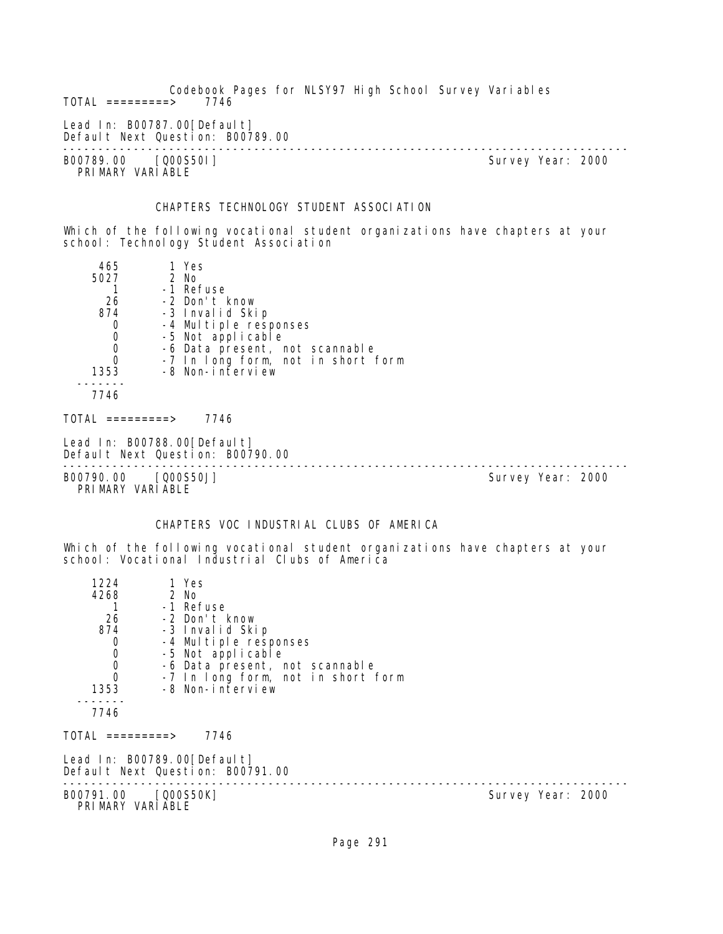Codebook Pages for NLSY97 High School Survey Variables  $TOTAL$  =========> Lead In: B00787.00 [Default] Default Next Question: B00789.00 -------------------------------------------------------------------------------- B00789.00 [Q00S501] PRIMARY VARIABLE CHAPTERS TECHNOLOGY STUDENT ASSOCIATION Which of the following vocational student organizations have chapters at your school: Technology Student Association 465 1 Yes 5027 2 No 1 -1 Refuse 26 -2 Don't know % -3 Invalid Skip"<br>-4 Multiple resu 0 -4 Multiple responses<br>0 -5 Not applicable 0 -5 Not applicable<br>0 -6 Data present, r 0 -6 Data present, not scannable 0 -7 In long form, not in short form 1353 -8 Non-interview ------- 7746  $TOTAL$  ========> 7746 Lead In: B00788.00 [Default] Default Next Question: B00790.00 -------------------------------------------------------------------------------- B00790.00 [Q00S50J] PRIMARY VARIABLE CHAPTERS VOC INDUSTRIAL CLUBS OF AMERICA Which of the following vocational student organizations have chapters at your school: Vocational Industrial Clubs of America 1224 1 Yes 4268 1 -1 Refuse 26 -2 Don't know 874 -3 Invalid Skip 0 -4 Multiple responses<br>0 -5 Not applicable 0 -5 Not applicable 0 -6 Data present, not scannable 0 -7 In long form, not in short form 1353 -8 Non-interview ------- 7746  $TOTAL$  ========> 7746 Lead In: B00789.00 [Default] Default Next Question: B00791.00 -------------------------------------------------------------------------------- Survey Year: 2000 PRIMARY VARIABLE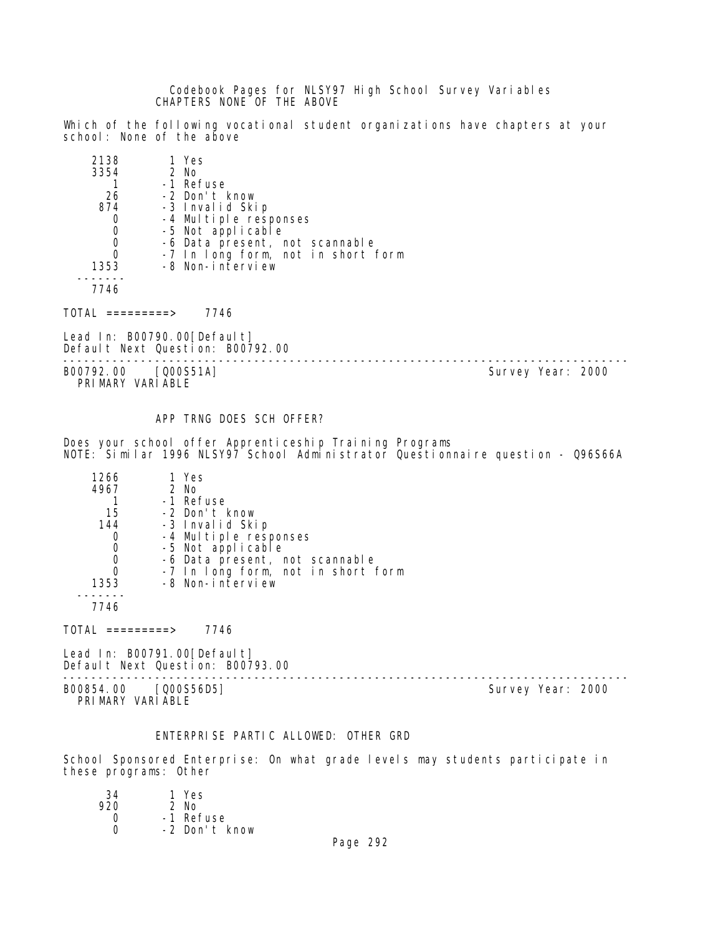Codebook Pages for NLSY97 High School Survey Variables CHAPTERS NONE OF THE ABOVE

Which of the following vocational student organizations have chapters at your school: None of the above

| 2138 | 1 Yes                              |
|------|------------------------------------|
| 3354 | 2 No                               |
|      | -1 Refuse                          |
| 26   | -2 Don't know                      |
| 874  | -3 Invalid Skip                    |
|      | -4 Multiple responses              |
| 0    | -5 Not applicable                  |
| 0    | -6 Data present, not scannable     |
|      | -7 In long form, not in short form |
| 1353 | -8 Non-interview                   |
|      |                                    |

7746

 $TOTAL$  =========> 7746

Lead In: B00790.00 [Default] Default Next Question: B00792.00

-------------------------------------------------------------------------------- B00792.00 [Q00S51A] PRIMARY VARIABLE

APP TRNG DOES SCH OFFER?

Does your school offer Apprenticeship Training Programs NOTE: Similar 1996 NLSY97 School Administrator Questionnaire question - Q96S66A

| 1266 | 1 Yes                              |
|------|------------------------------------|
| 4967 | 2 No                               |
|      | -1 Refuse                          |
| 15   | -2 Don't know                      |
| 144  | -3 Invalid Skip                    |
|      | -4 Multiple responses              |
|      | -5 Not applicable                  |
|      | -6 Data present, not scannable     |
|      | -7 In long form, not in short form |
| 1353 | -8 Non-interview                   |
|      |                                    |
| 7746 |                                    |

 $TOTAL$  =========> 7746

Lead In: B00791.00[Default] Default Next Question: B00793.00

-------------------------------------------------------------------------------- B00854.00 [Q00S56D5] Survey Year: 2000 PRIMARY VARIABLE

# ENTERPRISE PARTIC ALLOWED: OTHER GRD

School Sponsored Enterprise: On what grade levels may students participate in these programs: Other

| 34  | 1 Yes         |
|-----|---------------|
| 920 | 2 No          |
| Ω   | -1 Refuse     |
| ∩   | -2 Don't know |
|     |               |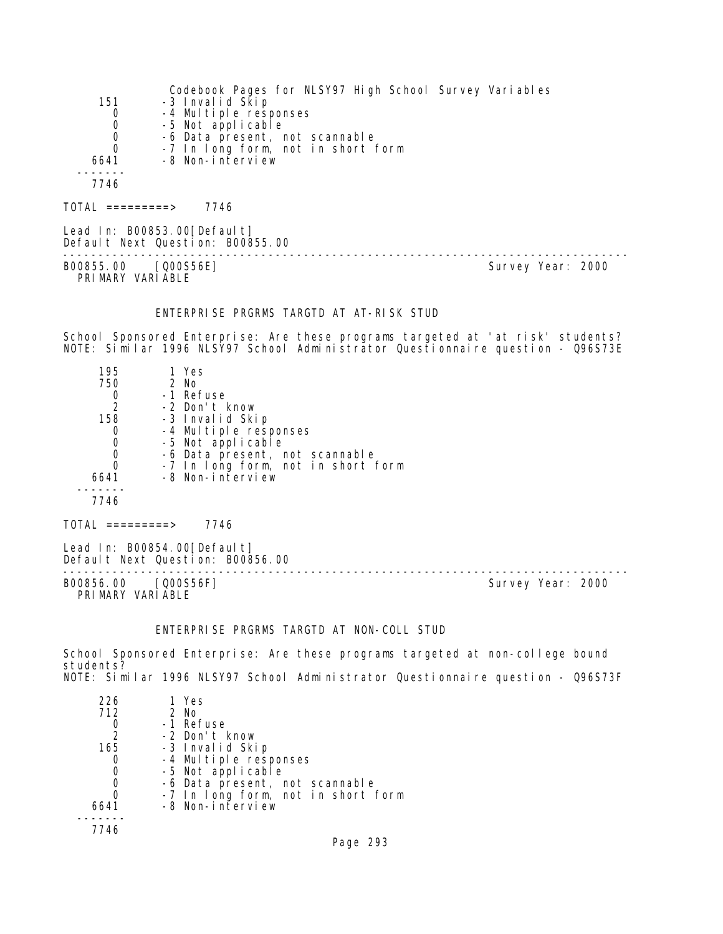|      | Codebook Pages for NLSY97 High School Survey Variables |
|------|--------------------------------------------------------|
| 151  | -3 Invalid Skip                                        |
| 0    | -4 Multiple responses                                  |
| 0    | -5 Not applicable                                      |
| 0    | -6 Data present, not scannable                         |
| 0    | -7 In long form, not in short form                     |
| 6641 | -8 Non-interview                                       |
|      |                                                        |
| 7746 |                                                        |
|      |                                                        |

Lead In: B00853.00[Default] Default Next Question: B00855.00 -------------------------------------------------------------------------------- B00855.00 [Q00S56E] Survey Year: 2000 PRIMARY VARIABLE

#### ENTERPRISE PRGRMS TARGTD AT AT-RISK STUD

TOTAL =========> 7746

School Sponsored Enterprise: Are these programs targeted at 'at risk' students? NOTE: Similar 1996 NLSY97 School Administrator Questionnaire question - Q96S73E

| 195              | 1 Yes                              |  |
|------------------|------------------------------------|--|
| 750              | 2 No                               |  |
|                  | -1 Refuse                          |  |
| $\frac{0}{2}$    | -2 Don't know                      |  |
| 158              | -3 Invalid Skip                    |  |
| 0                | -4 Multiple responses              |  |
| $\mathbf 0$      | -5 Not applicable                  |  |
| $\mathbf 0$      | -6 Data present, not scannable     |  |
| 0                | -7 In long form, not in short form |  |
| 6641             | -8 Non-interview                   |  |
|                  |                                    |  |
| 7746             |                                    |  |
| TOTAL =========> | 7746                               |  |
|                  | Lead In: B00854.00[Default]        |  |

Default Next Question: B00856.00 -------------------------------------------------------------------------------- B00856.00 [Q00S56F] PRIMARY VARIABLE

### ENTERPRISE PRGRMS TARGTD AT NON-COLL STUD

School Sponsored Enterprise: Are these programs targeted at non-college bound students? NOTE: Similar 1996 NLSY97 School Administrator Questionnaire question - Q96S73F

| 226           | 1 Yes                              |
|---------------|------------------------------------|
| 712           | 2 No                               |
|               | -1 Refuse                          |
| $\mathcal{L}$ | -2 Don't know                      |
| 165           | -3 Invalid Skip                    |
|               | -4 Multiple responses              |
|               | -5 Not applicable                  |
|               | -6 Data present, not scannable     |
|               | -7 In long form, not in short form |
| 6641          | -8 Non-interview                   |
|               |                                    |
|               |                                    |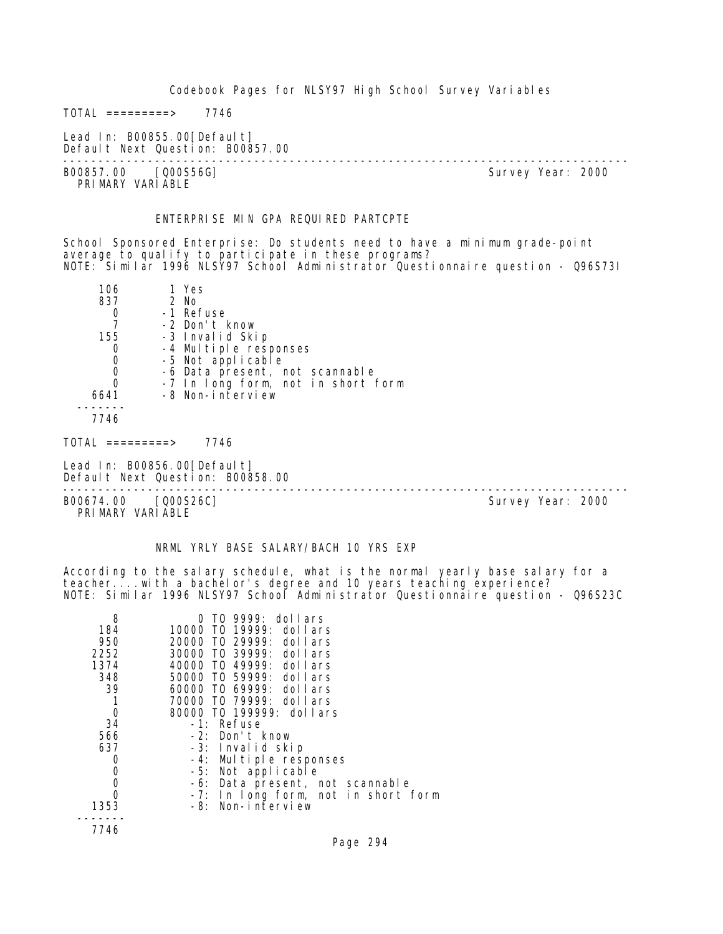$TOTAL$  =========> 7746

Lead In: B00855.00[Default] Default Next Question: B00857.00

B00857.00 [Q00S56G] PRIMARY VARIABLE

--------------------------------------------------------------------------------

#### ENTERPRISE MIN GPA REQUIRED PARTCPTE

School Sponsored Enterprise: Do students need to have a minimum grade-point average to qualify to participate in these programs? NOTE: Similar 1996 NLSY97 School Administrator Questionnaire question - Q96S73I

| 106  | 1 Yes                              |
|------|------------------------------------|
| 837  | 2 No                               |
|      | -1 Refuse                          |
|      | -2 Don't know                      |
| 155  | -3 Invalid Skip                    |
|      | -4 Multiple responses              |
| 0    | -5 Not applicable                  |
| 0    | -6 Data present, not scannable     |
| O    | -7 In long form, not in short form |
| 6641 | -8 Non-interview                   |
|      |                                    |

7746

 $TOTAL$  =========> 7746

Lead In: B00856.00 [Default] Default Next Question: B00858.00

B00674.00 [Q00S26C] PRI MARY VARI ABLE

--------------------------------------------------------------------------------

# NRML YRLY BASE SALARY/BACH 10 YRS EXP

According to the salary schedule, what is the normal yearly base salary for a teacher....with a bachelor's degree and 10 years teaching experience? NOTE: Similar 1996 NLSY97 School Administrator Questionnaire question - Q96S23C

| 8    | $\overline{10}$ 9999: dollars       |
|------|-------------------------------------|
| 184  | 10000 TO 19999: dollars             |
| 950  | 20000 T0 29999: dollars             |
| 2252 | 30000 TO 39999: dollars             |
| 1374 | 40000 TO 49999: dollars             |
| 348  | 50000 TO 59999: dollars             |
| 39   | 60000 TO 69999: dollars             |
|      | 70000 T0 79999: dollars             |
| 0    | 80000 TO 199999: dollars            |
| 34   | $-1$ : Refuse                       |
| 566  | -2: Don't know                      |
| 637  | -3: Invalid skip                    |
| 0    | -4: Multiple responses              |
| 0    | -5: Not applicable                  |
| 0    | -6: Data present, not scannable     |
| 0    | -7: In long form, not in short form |
| 1353 | -8: Non-interview                   |
|      |                                     |
| 7746 |                                     |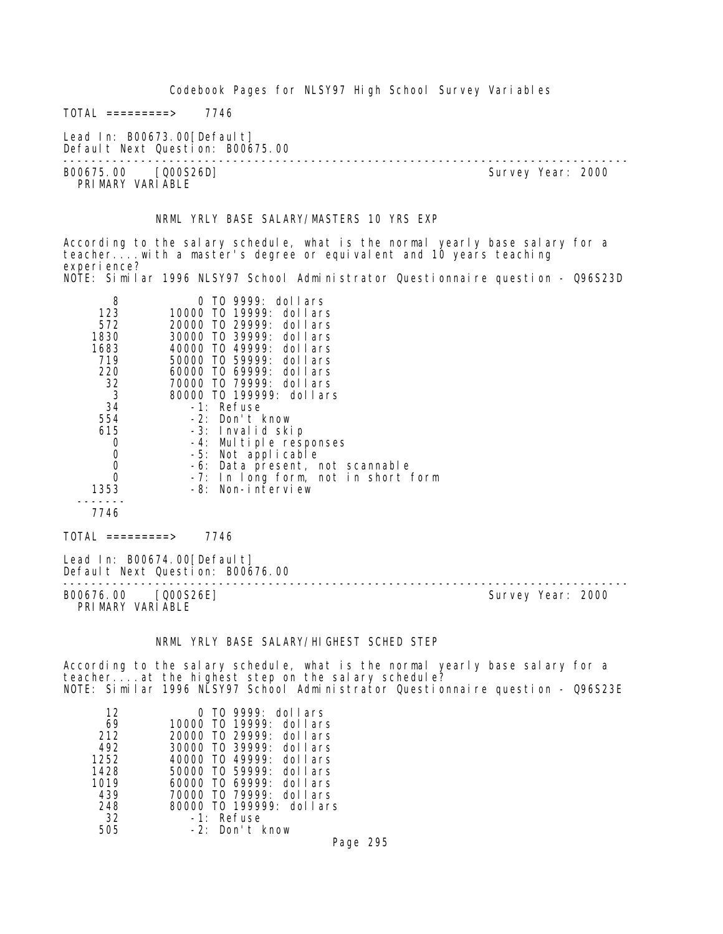$TOTAL$  =========> 7746

Lead In: B00673.00[Default] Default Next Question: B00675.00

-------------------------------------------------------------------------------- B00675.00 [Q00S26D] PRI MARY VARI ABLE

#### NRML YRLY BASE SALARY/MASTERS 10 YRS EXP

According to the salary schedule, what is the normal yearly base salary for a teacher....with a master's degree or equivalent and 10 years teaching experi ence? NOTE: Similar 1996 NLSY97 School Administrator Questionnaire question - Q96S23D

| 8              | TO 9999: dollars                    |
|----------------|-------------------------------------|
| 123            | 10000 TO 19999: dollars             |
| 572            | 20000 TO 29999: dollars             |
| 1830           | 30000 TO 39999: dollars             |
| 1683           | 40000 T0 49999: dollars             |
| 719            | 50000 TO 59999: dollars             |
| 220            | 60000 TO 69999: dollars             |
| 32             | 70000 TO 79999: dollars             |
| $\overline{3}$ | 80000 TO 199999: dollars            |
| 34             | -1: Refuse                          |
| 554            | -2: Don't know                      |
| 615            | -3: Invalid skip                    |
| 0              | -4: Multiple responses              |
| 0              | -5: Not applicable                  |
| 0              | -6: Data present, not scannable     |
|                | -7: In long form, not in short form |
| 1353           | -8: Non-interview                   |
|                |                                     |
| 7746           |                                     |

TOTAL =========> 7746

PRIMARY VARIABLE

Lead In: B00674.00 [Default] Default Next Question: B00676.00 -------------------------------------------------------------------------------- B00676.00 [Q00S26E]

#### NRML YRLY BASE SALARY/HIGHEST SCHED STEP

According to the salary schedule, what is the normal yearly base salary for a teacher....at the highest step on the salary schedule? NOTE: Similar 1996 NLSY97 School Administrator Questionnaire question - Q96S23E

| 12   | $0$ TO 9999: dollars             |
|------|----------------------------------|
| 69   | 10000 TO 19999:<br>dollars       |
| 212  | 20000 TO 29999:<br>dollars       |
| 492  | 30000 TO 39999:<br>dollars       |
| 1252 | $40000$ TO $49999$ :<br>dol Lars |
| 1428 | $50000$ TO $59999$ :<br>dollars  |
| 1019 | 60000 TO 69999:<br>dollars       |
| 439  | 70000 TO 79999:<br>dol Lars      |
| 248  | 80000 TO 199999: dollars         |
| 32   | $-1$ : Refuse                    |
| 505  | $-2$ : Don't know                |

Page 295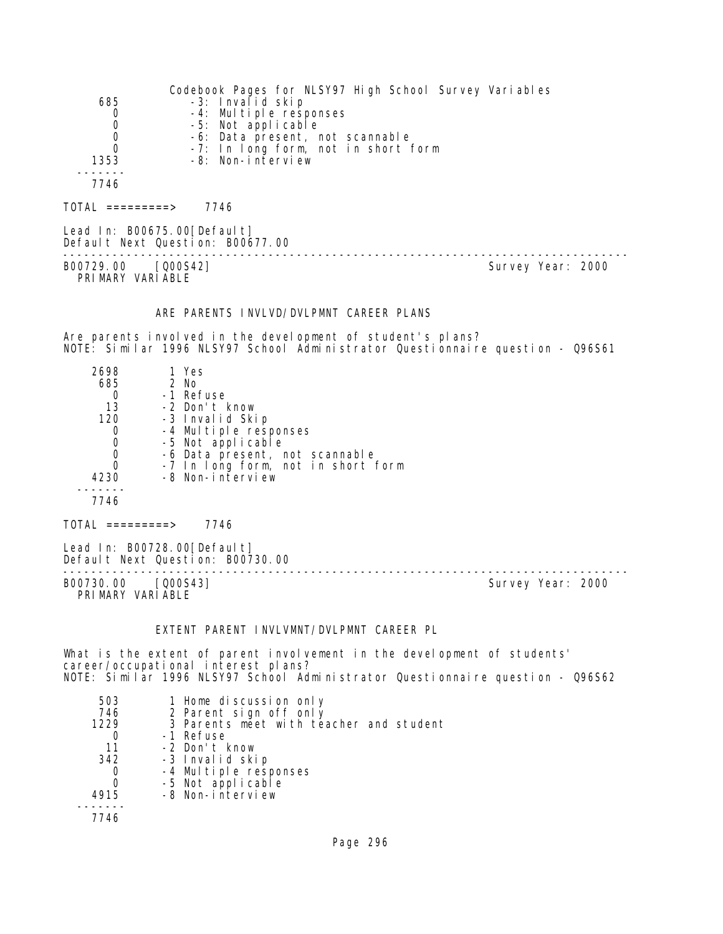|                  | Codebook Pages for NLSY97 High School Survey Variables |
|------------------|--------------------------------------------------------|
| 685              | -3: Invalid skip                                       |
| 0                | -4: Multiple responses                                 |
| $\mathbf 0$      | -5: Not applicable                                     |
| 0                | -6: Data present, not scannable                        |
|                  | -7: In long form, not in short form                    |
| 1353             | -8: Non-interview                                      |
|                  |                                                        |
| 7746             |                                                        |
|                  |                                                        |
| TOTAL =========> | 7746                                                   |

Lead In: B00675.00[Default] Default Next Question: B00677.00

B00729.00 [Q00S42] Survey Year: 2000 PRIMARY VARIABLE

--------------------------------------------------------------------------------

#### ARE PARENTS INVLVD/DVLPMNT CAREER PLANS

Are parents involved in the development of student's plans? NOTE: Similar 1996 NLSY97 School Administrator Questionnaire question - Q96S61

| 2698 | 1 Yes                              |
|------|------------------------------------|
| 685  | 2 No                               |
|      | -1 Refuse                          |
| 13   | -2 Don't know                      |
| 120  | -3 Invalid Skip                    |
| 0    | -4 Multiple responses              |
| 0    | -5 Not applicable                  |
|      | -6 Data present, not scannable     |
|      | -7 In long form, not in short form |
| 4230 | -8 Non-interview                   |
|      |                                    |
| 7746 |                                    |
|      |                                    |

TOTAL =========> 7746

Lead In: B00728.00[Default] Default Next Question: B00730.00

B00730.00 [Q00S43] PRIMARY VARIABLE

--------------------------------------------------------------------------------

#### EXTENT PARENT INVLVMNT/DVLPMNT CAREER PL

What is the extent of parent involvement in the development of students' career/occupational interest plans? NOTE: Similar 1996 NLSY97 School Administrator Questionnaire question - Q96S62

| 503  | 1 Home discussion only                  |
|------|-----------------------------------------|
| 746  | 2 Parent sign off only                  |
| 1229 | 3 Parents meet with teacher and student |
|      | -1 Refuse                               |
| 11   | -2 Don't know                           |
| 342  | -3 Invalid skip                         |
|      | -4 Multiple responses                   |
|      | -5 Not applicable                       |
| 4915 | -8 Non-interview                        |
|      |                                         |
| 7746 |                                         |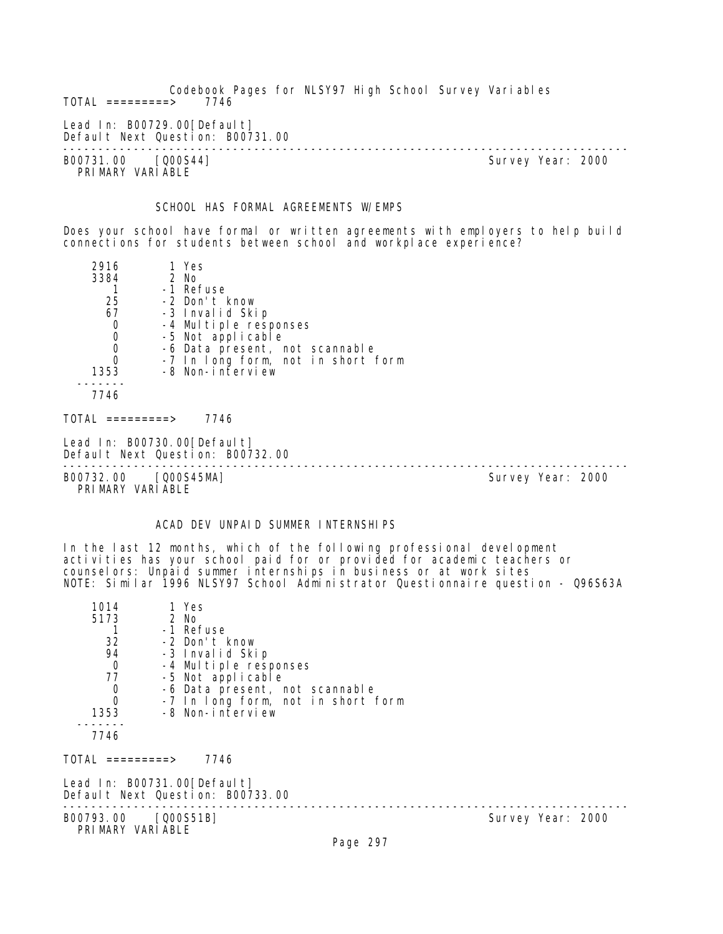Codebook Pages for NLSY97 High School Survey Variables  $TOTAL$  =========> Lead In: B00729.00 [Default] Default Next Question: B00731.00 -------------------------------------------------------------------------------- B00731.00 [Q00S44] Survey Year: 2000 PRIMARY VARIABLE SCHOOL HAS FORMAL AGREEMENTS W/EMPS Does your school have formal or written agreements with employers to help build connections for students between school and workplace experience?

| 2916 | 1 Yes                              |
|------|------------------------------------|
| 3384 | 2 No                               |
|      | -1 Refuse                          |
| 25   | -2 Don't know                      |
| 67   | -3 Invalid Skip                    |
| 0    | -4 Multiple responses              |
| 0    | -5 Not applicable                  |
|      | -6 Data present, not scannable     |
|      | -7 In long form, not in short form |
| 1353 | -8 Non-interview                   |
|      |                                    |
| 7746 |                                    |
|      |                                    |

 $TOTAL$  ========> 7746

Lead In: B00730.00 [Default] Default Next Question: B00732.00

B00732.00 [Q00S45MA] Survey Year: 2000 PRIMARY VARIABLE

--------------------------------------------------------------------------------

# ACAD DEV UNPAID SUMMER INTERNSHIPS

In the last 12 months, which of the following professional development activities has your school paid for or provided for academic teachers or counselors: Unpaid summer internships in business or at work sites NOTE: Similar 1996 NLSY97 School Administrator Questionnaire question - Q96S63A

| 1014<br>5173<br>32<br>94<br>$\mathbf 0$<br>77<br>$\begin{matrix}0\\0\end{matrix}$<br>1353 | 1 Yes<br>2 No<br>-1 Refuse<br>-2 Don't know<br>-3 Invalid Skip<br>-4 Multiple responses<br>-5 Not applicable<br>-6 Data present, not scannable<br>-7 In long form, not in short form<br>-8 Non-interview |                   |
|-------------------------------------------------------------------------------------------|----------------------------------------------------------------------------------------------------------------------------------------------------------------------------------------------------------|-------------------|
| 7746                                                                                      |                                                                                                                                                                                                          |                   |
| TOTAL =========>                                                                          | 7746                                                                                                                                                                                                     |                   |
|                                                                                           | Lead In: B00731.00[Default]<br>Default Next Question: B00733.00                                                                                                                                          |                   |
| B00793.00 [Q00S51B]<br>PRIMARY VARIABLE                                                   |                                                                                                                                                                                                          | Survey Year: 2000 |
|                                                                                           | Page 297                                                                                                                                                                                                 |                   |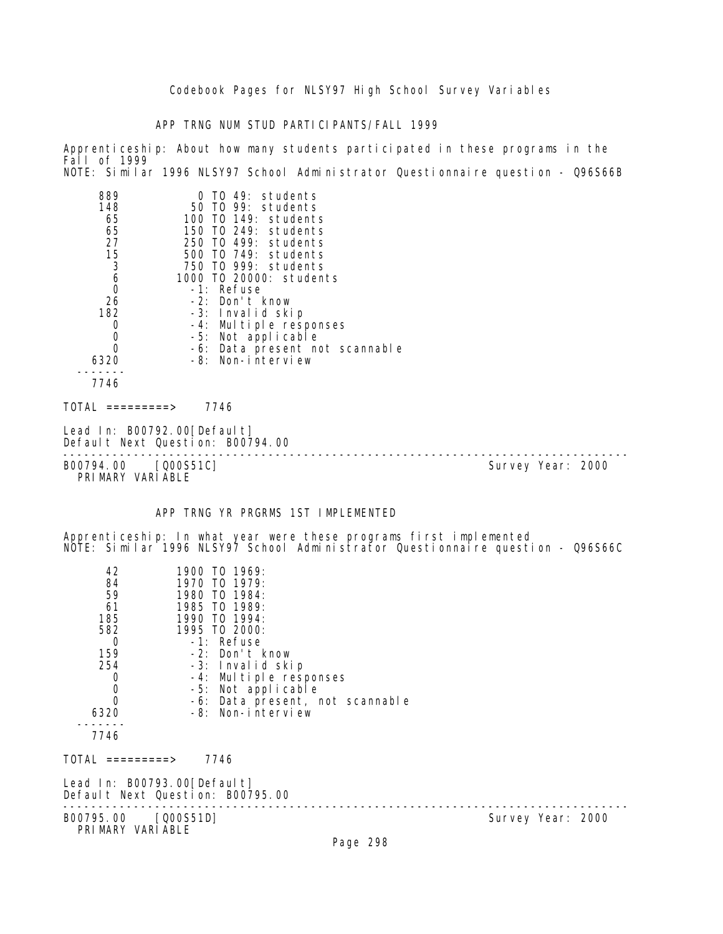APP TRNG NUM STUD PARTICIPANTS/FALL 1999

889 0 TO 49: students

Apprenticeship: About how many students participated in these programs in the Fall of 1999 NOTE: Similar 1996 NLSY97 School Administrator Questionnaire question - Q96S66B

| 7746<br>TOTAL =========>         7746<br>Lead In: B00792.00[Default]<br>Default Next Question: B00794.00<br>----------------------------<br>B00794.00<br>[Q00S51C]<br>Survey Year: 2000<br>PRIMARY VARIABLE<br>APP TRNG YR PRGRMS 1ST IMPLEMENTED<br>Apprenticeship: In what year were these programs first implemented<br>NOTE: Similar 1996 NLSY97 School Administrator Questionnaire question - Q96S66C<br>42<br>1900 TO 1969:<br>1970 TO 1979:<br>84<br>59<br>1980 TO 1984:<br>1985 TO 1989:<br>61<br>185<br>1990 TO 1994:<br>582<br>1995 TO 2000:<br>-1: Refuse<br>0<br>159<br>-2: Don't know<br>254<br>-3: Invalid skip<br>-4: Multiple responses<br>0<br>-5: Not applicable<br>0<br>0<br>-6: Data present, not scannable<br>6320<br>-8: Non-interview<br>7746<br>TOTAL =========><br>7746<br>Lead In: B00793.00[Default]<br>Default Next Question: B00795.00 | 148<br>65<br>65<br>27<br>15<br>3<br>6<br>0<br>26<br>182<br>O<br>0<br>0<br>6320 | 50 TO 99: students<br>100 TO 149: students<br>150 TO 249: students<br>250 TO 499: students<br>500 T0 749: students<br>750 TO 999: students<br>1000 T0 20000: students<br>-1: Refuse<br>-2: Don't know<br>-3: Invalid skip<br>-4: Multiple responses<br>-5: Not applicable<br>-6: Data present not scannable<br>-8: Non-interview |  |
|---------------------------------------------------------------------------------------------------------------------------------------------------------------------------------------------------------------------------------------------------------------------------------------------------------------------------------------------------------------------------------------------------------------------------------------------------------------------------------------------------------------------------------------------------------------------------------------------------------------------------------------------------------------------------------------------------------------------------------------------------------------------------------------------------------------------------------------------------------------------|--------------------------------------------------------------------------------|----------------------------------------------------------------------------------------------------------------------------------------------------------------------------------------------------------------------------------------------------------------------------------------------------------------------------------|--|
|                                                                                                                                                                                                                                                                                                                                                                                                                                                                                                                                                                                                                                                                                                                                                                                                                                                                     |                                                                                |                                                                                                                                                                                                                                                                                                                                  |  |
|                                                                                                                                                                                                                                                                                                                                                                                                                                                                                                                                                                                                                                                                                                                                                                                                                                                                     |                                                                                |                                                                                                                                                                                                                                                                                                                                  |  |
|                                                                                                                                                                                                                                                                                                                                                                                                                                                                                                                                                                                                                                                                                                                                                                                                                                                                     |                                                                                |                                                                                                                                                                                                                                                                                                                                  |  |
|                                                                                                                                                                                                                                                                                                                                                                                                                                                                                                                                                                                                                                                                                                                                                                                                                                                                     |                                                                                |                                                                                                                                                                                                                                                                                                                                  |  |
|                                                                                                                                                                                                                                                                                                                                                                                                                                                                                                                                                                                                                                                                                                                                                                                                                                                                     |                                                                                |                                                                                                                                                                                                                                                                                                                                  |  |
|                                                                                                                                                                                                                                                                                                                                                                                                                                                                                                                                                                                                                                                                                                                                                                                                                                                                     |                                                                                |                                                                                                                                                                                                                                                                                                                                  |  |
|                                                                                                                                                                                                                                                                                                                                                                                                                                                                                                                                                                                                                                                                                                                                                                                                                                                                     |                                                                                |                                                                                                                                                                                                                                                                                                                                  |  |
|                                                                                                                                                                                                                                                                                                                                                                                                                                                                                                                                                                                                                                                                                                                                                                                                                                                                     |                                                                                |                                                                                                                                                                                                                                                                                                                                  |  |
|                                                                                                                                                                                                                                                                                                                                                                                                                                                                                                                                                                                                                                                                                                                                                                                                                                                                     |                                                                                |                                                                                                                                                                                                                                                                                                                                  |  |
| B00795.00 [Q00S51D]<br>Survey Year: 2000<br>PRIMARY VARIABLE<br>Page 298                                                                                                                                                                                                                                                                                                                                                                                                                                                                                                                                                                                                                                                                                                                                                                                            |                                                                                |                                                                                                                                                                                                                                                                                                                                  |  |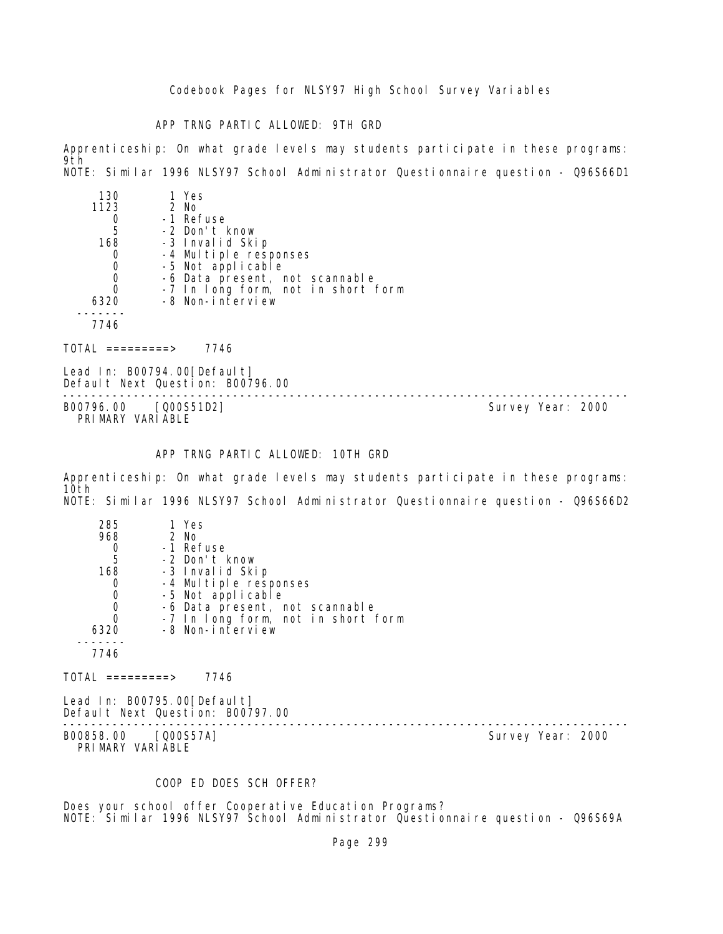APP TRNG PARTIC ALLOWED: 9TH GRD

Apprenticeship: On what grade levels may students participate in these programs: 9th NOTE: Similar 1996 NLSY97 School Administrator Questionnaire question - Q96S66D1

| 130  | 1 Yes                              |
|------|------------------------------------|
| 1123 | 2 No                               |
|      | -1 Refuse                          |
| 5    | -2 Don't know                      |
| 168  | -3 Invalid Skip                    |
|      | -4 Multiple responses              |
| 0    | -5 Not applicable                  |
|      | -6 Data present, not scannable     |
|      | -7 In long form, not in short form |
| 6320 | -8 Non-interview                   |
|      |                                    |
| 7746 |                                    |

TOTAL =========> 7746

Lead In: B00794.00 [Default] Default Next Question: B00796.00

-------------------------------------------------------------------------------- B00796.00 [Q00S51D2] PRIMARY VARIABLE

# APP TRNG PARTIC ALLOWED: 10TH GRD

Apprenticeship: On what grade levels may students participate in these programs: 10th NOTE: Similar 1996 NLSY97 School Administrator Questionnaire question - Q96S66D2

| 285  | 1 Yes                              |
|------|------------------------------------|
| 968  | 2 No                               |
|      | -1 Refuse                          |
| 5    | -2 Don't know                      |
| 168  | -3 Invalid Skip                    |
|      | -4 Multiple responses              |
| 0    | -5 Not applicable                  |
| 0    | -6 Data present, not scannable     |
| 0    | -7 In long form, not in short form |
| 6320 | -8 Non-interview                   |
|      |                                    |
|      |                                    |

TOTAL =========> 7746

Lead In: B00795.00 [Default] Default Next Question: B00797.00 --------------------------------------------------------------------------------

B00858.00 [Q00S57A] Survey Year: 2000 PRIMARY VARIABLE

#### COOP ED DOES SCH OFFER?

Does your school offer Cooperative Education Programs? NOTE: Similar 1996 NLSY97 School Administrator Questionnaire question - Q96S69A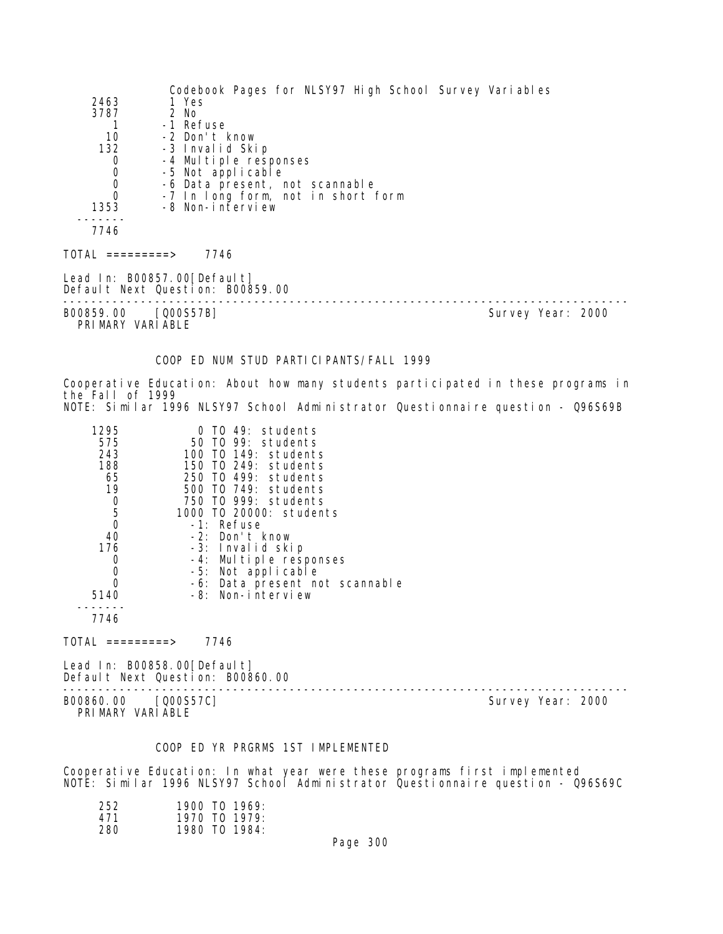| 2463<br>3787<br>1<br>10<br>132<br>0<br>0<br>0<br>0<br>1353<br>7746<br>TOTAL =========>           | 1 Yes<br>2 No<br>-1 Refuse<br>-2 Don't know<br>-3 Invalid Skip<br>-4 Multiple responses<br>-5 Not applicable<br>-6 Data present, not scannable<br>-7 In long form, not in short form<br>-8 Non-interview<br>7746                                                                                                                                      | Codebook Pages for NLSY97 High School Survey Variables                                                                                                              |
|--------------------------------------------------------------------------------------------------|-------------------------------------------------------------------------------------------------------------------------------------------------------------------------------------------------------------------------------------------------------------------------------------------------------------------------------------------------------|---------------------------------------------------------------------------------------------------------------------------------------------------------------------|
|                                                                                                  | Lead In: B00857.00[Default]<br>Default Next Question: B00859.00                                                                                                                                                                                                                                                                                       |                                                                                                                                                                     |
| B00859.00 [Q00S57B]<br>PRIMARY VARIABLE                                                          |                                                                                                                                                                                                                                                                                                                                                       | Survey Year: 2000                                                                                                                                                   |
|                                                                                                  | COOP ED NUM STUD PARTICIPANTS/FALL 1999                                                                                                                                                                                                                                                                                                               |                                                                                                                                                                     |
| the Fall of 1999                                                                                 |                                                                                                                                                                                                                                                                                                                                                       | Cooperative Education: About how many students participated in these programs in<br>NOTE: Similar 1996 NLSY97 School Administrator Questionnaire question - Q96S69B |
| 1295<br>575<br>243<br>188<br>65<br>19<br>0<br>5<br>0<br>40<br>176<br>0<br>0<br>0<br>5140<br>7746 | 0 TO 49: students<br>50 T0 99: students<br>100 T0 149: students<br>150 TO 249: students<br>250 TO 499: students<br>500 TO 749: students<br>750 TO 999: students<br>1000 T0 20000: students<br>-1: Refuse<br>-2: Don't know<br>-3: Invalid skip<br>-4: Multiple responses<br>-5: Not applicable<br>-6: Data present not scannable<br>-8: Non-interview |                                                                                                                                                                     |
| TOTAL =========>                                                                                 | 7746                                                                                                                                                                                                                                                                                                                                                  |                                                                                                                                                                     |
|                                                                                                  | Lead In: B00858.00[Default]<br>Default Next Question: B00860.00                                                                                                                                                                                                                                                                                       |                                                                                                                                                                     |
| B00860.00                                                                                        | [Q00S57C]                                                                                                                                                                                                                                                                                                                                             | Survey Year: 2000                                                                                                                                                   |

PRIMARY VARIABLE

# COOP ED YR PRGRMS 1ST IMPLEMENTED

Cooperative Education: In what year were these programs first implemented NOTE: Similar 1996 NLSY97 School Administrator Questionnaire question - Q96S69C

| 252. | $1900$ TO $1969$ |
|------|------------------|
| 471  | 1970 TO 1979:    |
| 280  | 1980 TO 1984:    |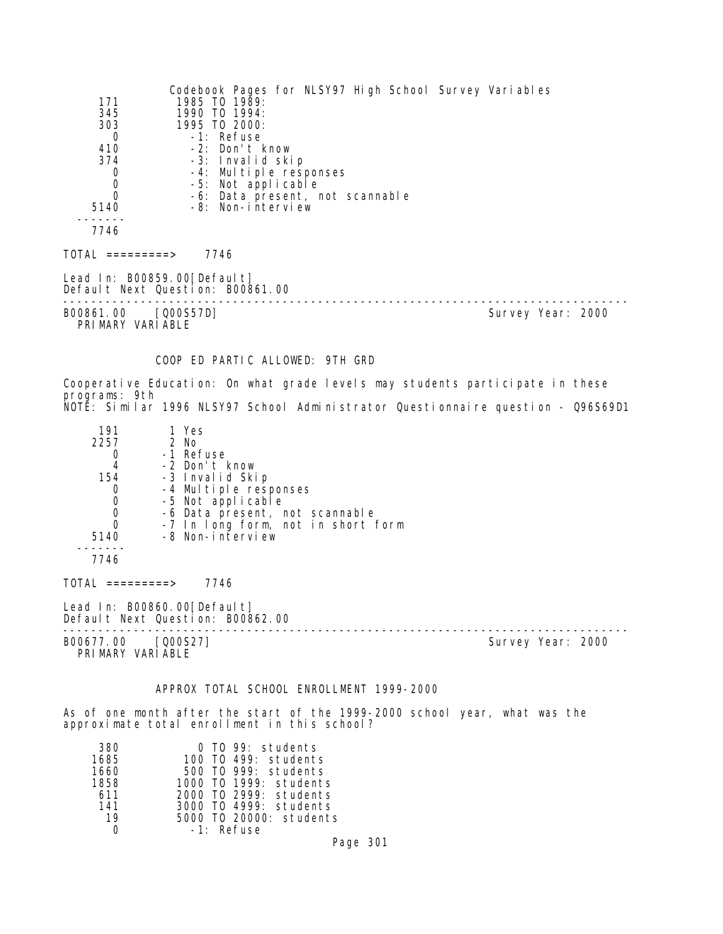| 171<br>345<br>303<br>0<br>410<br>374<br>0<br>0<br>0<br>5140<br>7746 | Codebook Pages for NLSY97 High School Survey Variables<br>1985 TO 1989:<br>1990 TO 1994:<br>1995 TO 2000:<br>-1: Refuse<br>-2: Don't know<br>-3: Invalid skip<br>-4: Multiple responses<br>-5: Not applicable<br>-6: Data present, not scannable<br>-8: Non-interview |                                                                                  |  |
|---------------------------------------------------------------------|-----------------------------------------------------------------------------------------------------------------------------------------------------------------------------------------------------------------------------------------------------------------------|----------------------------------------------------------------------------------|--|
| $TOTAL$ =========> 7746                                             |                                                                                                                                                                                                                                                                       |                                                                                  |  |
|                                                                     | Lead In: B00859.00 [Default]<br>Default Next Question: B00861.00                                                                                                                                                                                                      | -----------------------------                                                    |  |
| B00861.00 [Q00S57D]<br>PRIMARY VARIABLE                             |                                                                                                                                                                                                                                                                       | Survey Year: 2000                                                                |  |
|                                                                     | COOP ED PARTIC ALLOWED: 9TH GRD                                                                                                                                                                                                                                       | Cooperative Education: On what grade levels may students participate in these    |  |
| programs: 9th                                                       |                                                                                                                                                                                                                                                                       | NOTĔ: Similar 1996 NLSY97 School Administrator Questionnaire question - Q96S69D1 |  |
| 191<br>2257<br>0<br>4<br>154<br>0<br>0<br>0<br>0<br>5140<br>7746    | 1 Yes<br>2 No<br>-1 Refuse<br>-2 Don't know<br>-3 Invalid Skip<br>-4 Multiple responses<br>-5 Not applicable<br>-6 Data present, not scannable<br>-7 In long form, not in short form<br>-8 Non-interview                                                              |                                                                                  |  |
| $TOTAL$ =========> 7746                                             |                                                                                                                                                                                                                                                                       |                                                                                  |  |
|                                                                     | Lead In: B00860.00 [Default]<br>Default Next Question: B00862.00                                                                                                                                                                                                      |                                                                                  |  |
| B00677.00 [000S27]<br>PRIMARY VARIABLE                              |                                                                                                                                                                                                                                                                       | Survey Year: 2000                                                                |  |
|                                                                     | APPROX TOTAL SCHOOL ENROLLMENT 1999-2000                                                                                                                                                                                                                              |                                                                                  |  |
|                                                                     | approximate total enrollment in this school?                                                                                                                                                                                                                          | As of one month after the start of the 1999-2000 school year, what was the       |  |
|                                                                     |                                                                                                                                                                                                                                                                       |                                                                                  |  |

| 380  | 0 TO 99: students       |
|------|-------------------------|
| 1685 | 100 T0 499: students    |
| 1660 | 500 TO 999: students    |
| 1858 | 1000 TO 1999: students  |
| 611  | 2000 TO 2999: students  |
| 141  | 3000 TO 4999: students  |
| 19   | 5000 TO 20000: students |
|      | $-1$ : Refuse           |
|      |                         |

Page 301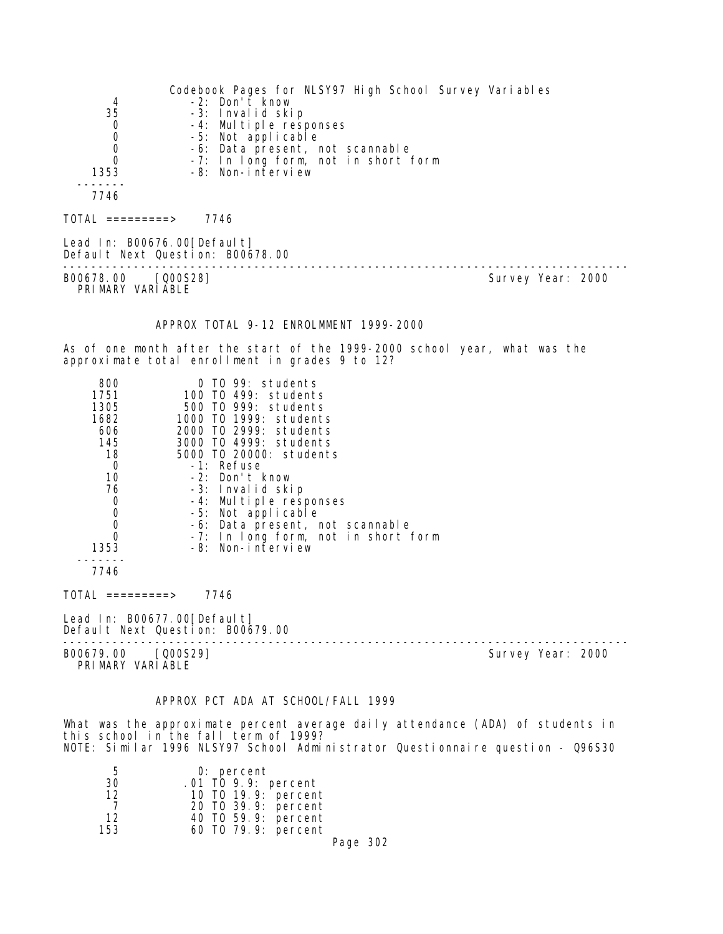Codebook Pages for NLSY97 High School Survey Variables 4 -2: Don't know 35 -3: Invalid skip 0 -4: Multiple responses 0 -5: Not applicable 0 -6: Data present, not scannable 0 -7: In long form, not in short form 1353 -8: Non-interview ------- 7746 TOTAL =========> 7746 Lead In: B00676.00 [Default] Default Next Question: B00678.00 -------------------------------------------------------------------------------- Survey Year: 2000 PRIMARY VARIABLE APPROX TOTAL 9-12 ENROLMMENT 1999-2000 As of one month after the start of the 1999-2000 school year, what was the approximate total enrollment in grades 9 to 12? 800 0 TO 99: students 1751 100 TO 499: students 1305 500 TO 999: students 1682 1000 TO 1999: students 606 2000 TO 2999: students 145 3000 TO 4999: students 18 5000 TO 20000: students 0 -1: Refuse<br>10 -2: Don't I -2: Don't know 76 -3: Invalid skip 0 -4: Multiple responses<br>0 -5: Not applicable 0 -5: Not applicable 0 -6: Data present, not scannable 0 -7: In long form, not in short form 1353 -8: Non-interview ------- 7746 TOTAL =========> 7746 Lead In: B00677.00 [Default] Default Next Question: B00679.00 -------------------------------------------------------------------------------- B00679.00 [Q00S29] PRIMARY VARIABLE

# APPROX PCT ADA AT SCHOOL/FALL 1999

What was the approximate percent average daily attendance (ADA) of students in this school in the fall term of 1999? NOTE: Similar 1996 NLSY97 School Administrator Questionnaire question - Q96S30

| b   | $0:$ percent        |          |  |
|-----|---------------------|----------|--|
| 30  | .01 TO 9.9: percent |          |  |
| 12  | 10 T0 19.9: percent |          |  |
|     | 20 T0 39.9: percent |          |  |
| 12  | 40 TO 59.9: percent |          |  |
| 153 | 60 T0 79.9: percent |          |  |
|     |                     | Page 302 |  |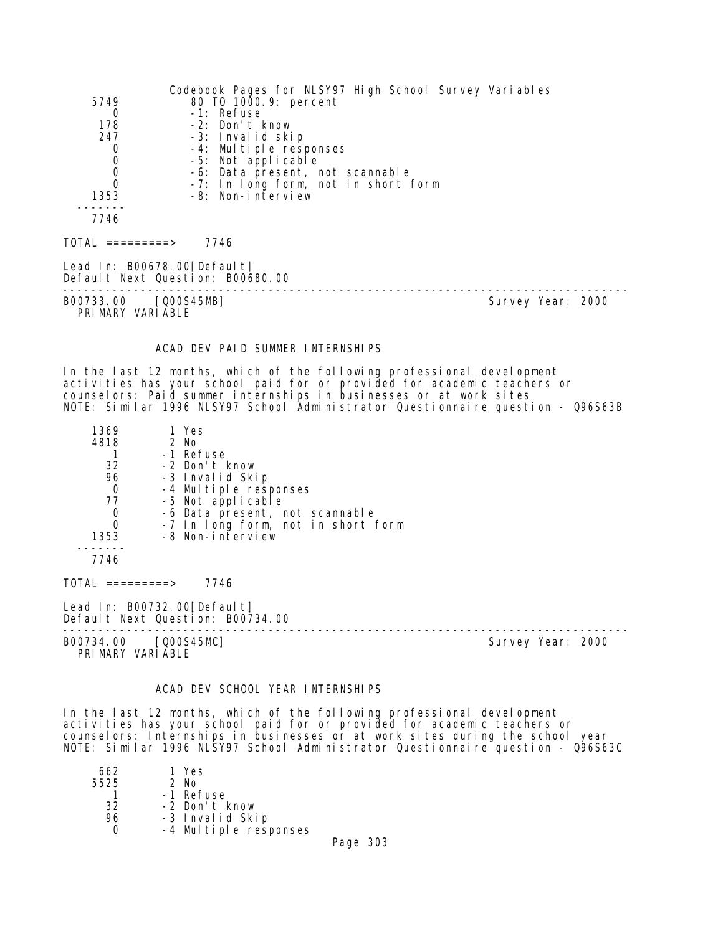| 5749<br>0<br>178<br>247<br>0<br>0<br>0<br>$\Omega$<br>1353              | Codebook Pages for NLSY97 High School Survey Variables<br>80 T0 1000.9: percent<br>-1: Refuse<br>-2: Don't know<br>-3: Invalid skip<br>-4: Multiple responses<br>-5: Not applicable<br>-6: Data present, not scannable<br>-7: In long form, not in short form<br>-8: Non-interview                          |                   |
|-------------------------------------------------------------------------|-------------------------------------------------------------------------------------------------------------------------------------------------------------------------------------------------------------------------------------------------------------------------------------------------------------|-------------------|
| 7746                                                                    |                                                                                                                                                                                                                                                                                                             |                   |
| $TOTAL$ =========> 7746                                                 |                                                                                                                                                                                                                                                                                                             |                   |
| Lead In: B00678.00[Default]<br>Default Next Question: B00680.00         |                                                                                                                                                                                                                                                                                                             |                   |
| B00733.00 [Q00S45MB]<br>PRIMARY VARIABLE                                |                                                                                                                                                                                                                                                                                                             | Survey Year: 2000 |
|                                                                         | ACAD DEV PAID SUMMER INTERNSHIPS                                                                                                                                                                                                                                                                            |                   |
|                                                                         | In the last 12 months, which of the following professional development<br>activities has your school paid for or provided for academic teachers or<br>counselors: Paid summer internships in businesses or at work sites<br>NOTE: Similar 1996 NLSY97 School Administrator Questionnaire question - Q96S63B |                   |
| 1369<br>4818<br>1<br>32<br>96<br>$\overline{0}$<br>77<br>0<br>0<br>1353 | 1 Yes<br>2 No<br>-1 Refuse<br>-2 Don't know<br>-3 Invalid Skip<br>-4 Multiple responses<br>-5 Not applicable<br>-6 Data present, not scannable<br>-7 In long form, not in short form<br>-8 Non-interview                                                                                                    |                   |
| 7746                                                                    |                                                                                                                                                                                                                                                                                                             |                   |
| TOTAL =========> 7746                                                   |                                                                                                                                                                                                                                                                                                             |                   |
| Lead In: B00732.00[Default]                                             |                                                                                                                                                                                                                                                                                                             |                   |

Default Next Question: B00734.00 -------------------------------------------------------------------------------- B00734.00 [Q00S45MC] Survey Year: 2000 PRIMARY VARIABLE

### ACAD DEV SCHOOL YEAR INTERNSHIPS

In the last 12 months, which of the following professional development activities has your school paid for or provided for academic teachers or counselors: Internships in businesses or at work sites during the school year NOTE: Similar 1996 NLSY97 School Administrator Questionnaire question - Q96S63C

| 662  | 1 Yes                 |  |
|------|-----------------------|--|
| 5525 | $2$ No                |  |
|      | -1 Refuse             |  |
| 32   | -2 Don't know         |  |
| 96   | -3 Invalid Skip       |  |
|      | -4 Multiple responses |  |
|      |                       |  |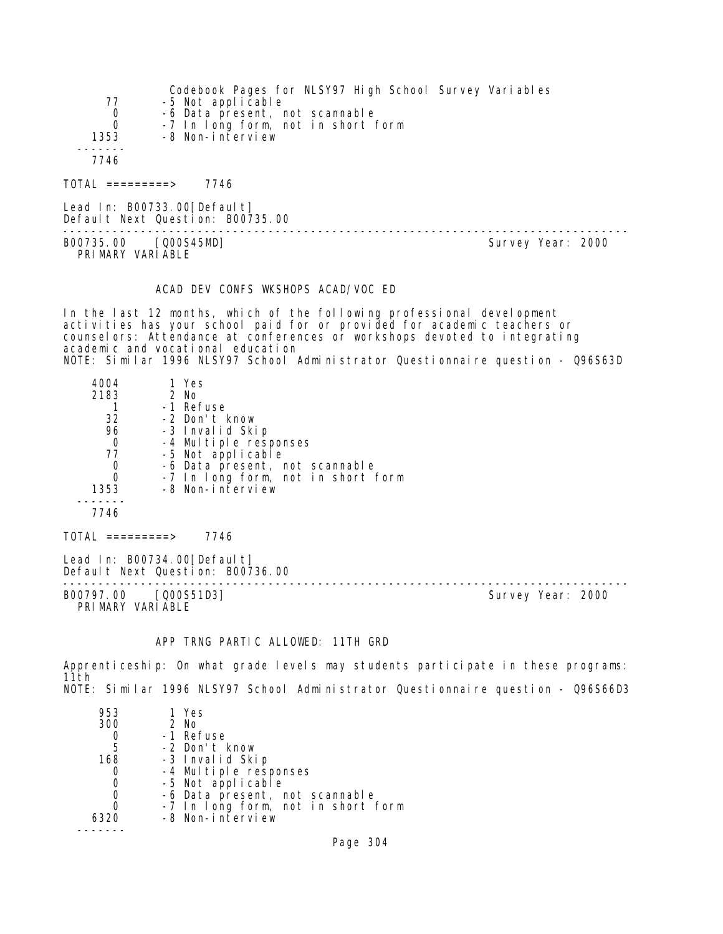|                    | Codebook Pages for NLSY97 High School Survey Variables |
|--------------------|--------------------------------------------------------|
| 77                 | -5 Not applicable                                      |
| 0                  | -6 Data present, not scannable                         |
|                    | -7 In long form, not in short form                     |
| 1353               | -8 Non-interview                                       |
|                    |                                                        |
| 7746               |                                                        |
|                    |                                                        |
| $TOTAI$ =========> | 7746                                                   |

Lead In: B00733.00[Default] Default Next Question: B00735.00 -------------------------------------------------------------------------------- B00735.00 [Q00S45MD] Survey Year: 2000 PRIMARY VARIABLE

# ACAD DEV CONFS WKSHOPS ACAD/VOC ED

In the last 12 months, which of the following professional development activities has your school paid for or provided for academic teachers or counselors: Attendance at conferences or workshops devoted to integrating academic and vocational education

NOTE: Similar 1996 NLSY97 School Administrator Questionnaire question - Q96S63D

| 4004         | 1 Yes                              |
|--------------|------------------------------------|
| 2183         | 2 No                               |
|              | -1 Refuse                          |
| 32           | -2 Don't know                      |
| 96           | -3 Invalid Skip                    |
| 0            | -4 Multiple responses              |
| 77           | -5 Not applicable                  |
| 0            | -6 Data present, not scannable     |
| O            | -7 In long form, not in short form |
| 1353         | -8 Non-interview                   |
|              |                                    |
| 7746         |                                    |
|              |                                    |
| $========->$ | 746                                |

Lead In: B00734.00 [Default] Default Next Question: B00736.00

-------------------------------------------------------------------------------- PRIMARY VARIABLE

Survey Year: 2000

# APP TRNG PARTIC ALLOWED: 11TH GRD

Apprenticeship: On what grade levels may students participate in these programs: 11th NOTE: Similar 1996 NLSY97 School Administrator Questionnaire question - Q96S66D3

| 953  | 1 Yes                              |
|------|------------------------------------|
| 300  | 2 No                               |
|      | -1 Refuse                          |
| -5   | -2 Don't know                      |
| 168  | -3 Invalid Skip                    |
| 0    | -4 Multiple responses              |
| 0    | -5 Not applicable                  |
|      | -6 Data present, not scannable     |
|      | -7 In long form, not in short form |
| 6320 | -8 Non-interview                   |
|      |                                    |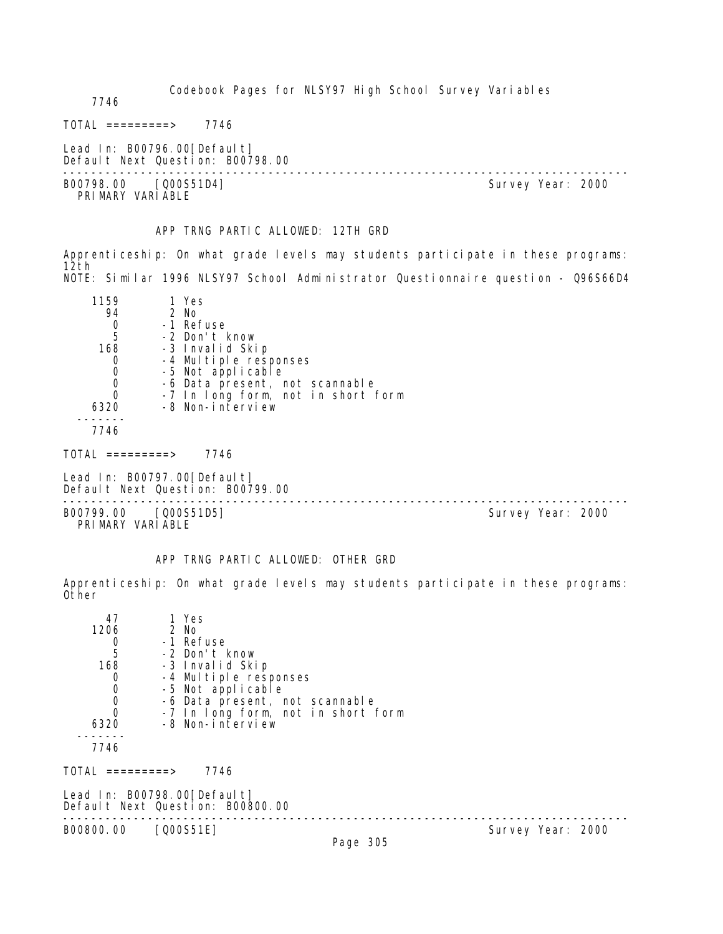Codebook Pages for NLSY97 High School Survey Variables 7746  $TOTAL$  ========> 7746 Lead In: B00796.00 [Default] Default Next Question: B00798.00 -------------------------------------------------------------------------------- B00798.00 [Q00S51D4] Survey Year: 2000 PRIMARY VARIABLE

APP TRNG PARTIC ALLOWED: 12TH GRD

Apprenticeship: On what grade levels may students participate in these programs: 12th NOTE: Similar 1996 NLSY97 School Administrator Questionnaire question - Q96S66D4

| 1159<br>94<br>5<br>168<br>0 | 1 Yes<br>2 No<br>-1 Refuse<br>-2 Don't know<br>-3 Invalid Skip<br>-4 Multiple responses<br>-5 Not applicable<br>-6 Data present, not scannable |
|-----------------------------|------------------------------------------------------------------------------------------------------------------------------------------------|
| 6320                        | -7 In long form, not in short form<br>-8 Non-interview                                                                                         |
| 7746                        |                                                                                                                                                |

TOTAL =========> 7746

Lead In: B00797.00 [Default] Default Next Question: B00799.00

B00799.00 [Q00S51D5] PRIMARY VARIABLE

--------------------------------------------------------------------------------

# APP TRNG PARTIC ALLOWED: OTHER GRD

Apprenticeship: On what grade levels may students participate in these programs: Other

| TOTAL =========><br>7746<br>Lead In: B00798.00[Default]    |  |
|------------------------------------------------------------|--|
|                                                            |  |
| Default Next Question: B00800.00                           |  |
| B00800.00<br>$[0.00551E]$<br>Survey Year: 2000<br>$D = 22$ |  |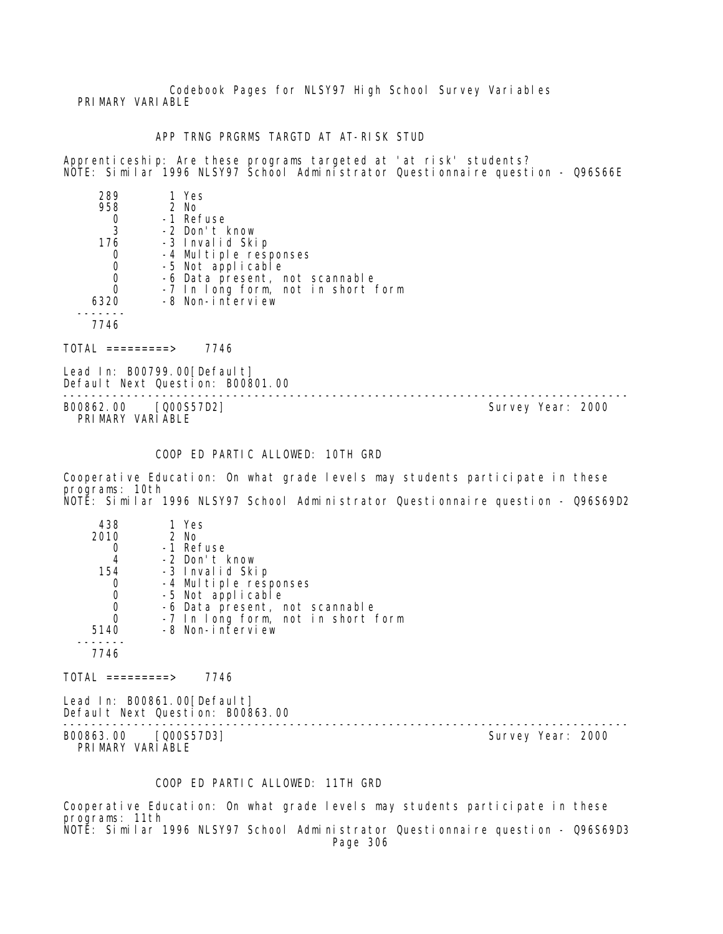Codebook Pages for NLSY97 High School Survey Variables PRIMARY VARIABLE

APP TRNG PRGRMS TARGTD AT AT-RISK STUD

Apprenticeship: Are these programs targeted at 'at risk' students? NOTE: Similar 1996 NLSY97 School Administrator Questionnaire question - Q96S66E

| 289  | 1 Yes                              |
|------|------------------------------------|
| 958  | 2 No                               |
|      | -1 Refuse                          |
| 3    | -2 Don't know                      |
| 176  | -3 Invalid Skip                    |
| O    | -4 Multiple responses              |
| 0    | -5 Not applicable                  |
| 0    | -6 Data present, not scannable     |
| 0    | -7 In long form, not in short form |
| 6320 | -8 Non-interview                   |
|      |                                    |
|      |                                    |

TOTAL =========> 7746

Lead In: B00799.00[Default] Default Next Question: B00801.00

-------------------------------------------------------------------------------- B00862.00 [Q00S57D2] PRIMARY VARIABLE

# COOP ED PARTIC ALLOWED: 10TH GRD

Cooperative Education: On what grade levels may students participate in these programs: 10th NOTE: Similar 1996 NLSY97 School Administrator Questionnaire question - Q96S69D2

| 438<br>2010 | 1 Yes<br>2 No                      |
|-------------|------------------------------------|
|             | -1 Refuse                          |
| 4           | -2 Don't know                      |
| 154         | -3 Invalid Skip                    |
|             | -4 Multiple responses              |
|             | -5 Not applicable                  |
|             | -6 Data present, not scannable     |
|             | -7 In long form, not in short form |
| 5140        | -8 Non-interview                   |
|             |                                    |
|             |                                    |

 $TOTAL$  ========> 7746

Lead In: B00861.00[Default] Default Next Question: B00863.00

B00863.00 [Q00S57D3] Survey Year: 2000 PRIMARY VARIABLE

--------------------------------------------------------------------------------

# COOP ED PARTIC ALLOWED: 11TH GRD

Cooperative Education: On what grade levels may students participate in these programs: 11th NOTE: Similar 1996 NLSY97 School Administrator Questionnaire question - Q96S69D3

Page 306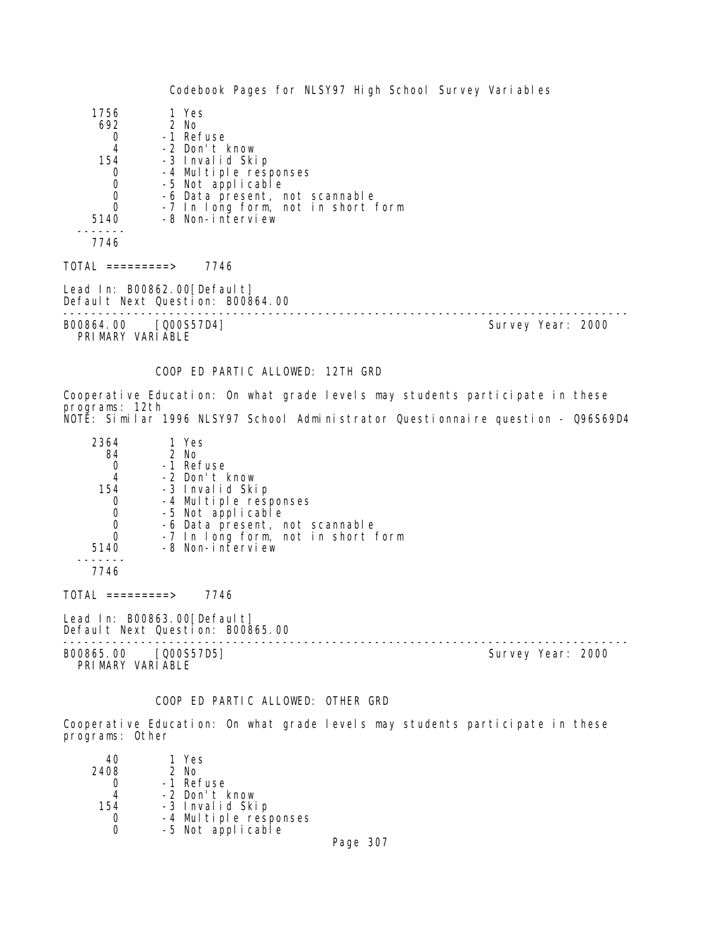| 1756                                           | 1 Yes                                                           |                   |  |
|------------------------------------------------|-----------------------------------------------------------------|-------------------|--|
| 692                                            | 2 No                                                            |                   |  |
| 0                                              | -1 Refuse                                                       |                   |  |
| $\overline{4}$                                 | -2 Don't know                                                   |                   |  |
| 154                                            | -3 Invalid Skip                                                 |                   |  |
|                                                | -4 Multiple responses                                           |                   |  |
|                                                | -5 Not applicable                                               |                   |  |
| $\begin{matrix} 0 \\ 0 \\ 0 \\ 0 \end{matrix}$ | -6 Data present, not scannable                                  |                   |  |
|                                                | -7 In long form, not in short form                              |                   |  |
| 5140                                           | -8 Non-interview                                                |                   |  |
| 7746                                           |                                                                 |                   |  |
| TOTAL =========>                               | 7746                                                            |                   |  |
|                                                | Lead In: B00862.00[Default]<br>Default Next Question: B00864.00 |                   |  |
| B00864.00                                      | [Q00S57D4]                                                      | Survey Year: 2000 |  |

PRIMARY VARIABLE

# COOP ED PARTIC ALLOWED: 12TH GRD

Cooperative Education: On what grade levels may students participate in these programs: 12th NOTE: Similar 1996 NLSY97 School Administrator Questionnaire question - Q96S69D4

| 2364 | 1 Yes                                      |
|------|--------------------------------------------|
| 84   | 2 No                                       |
|      | -1 Refuse                                  |
| 4    | -2 Don't know                              |
| 154  | -3 Invalid Skip                            |
| O    | -4 Multiple responses<br>-5 Not applicable |
| 0    |                                            |
|      | -6 Data present, not scannable             |
| O    | -7 In long form, not in short form         |
| 5140 | -8 Non-interview                           |
|      |                                            |

7746

TOTAL =========> 7746

Lead In: B00863.00 [Default] Default Next Question: B00865.00

-------------------------------------------------------------------------------- B00865.00 [Q00S57D5] Survey Year: 2000

PRIMARY VARIABLE

#### COOP ED PARTIC ALLOWED: OTHER GRD

Cooperative Education: On what grade levels may students participate in these programs: Other

| 40   | 1 Yes                                      |               |
|------|--------------------------------------------|---------------|
| 2408 | 2 No                                       |               |
|      | -1 Refuse                                  |               |
|      | -2 Don't know                              |               |
| 154  | -3 Invalid Skip                            |               |
|      |                                            |               |
|      | -4 Multiple responses<br>-5 Not applicable |               |
|      |                                            | $\sim$ $\sim$ |

Page 307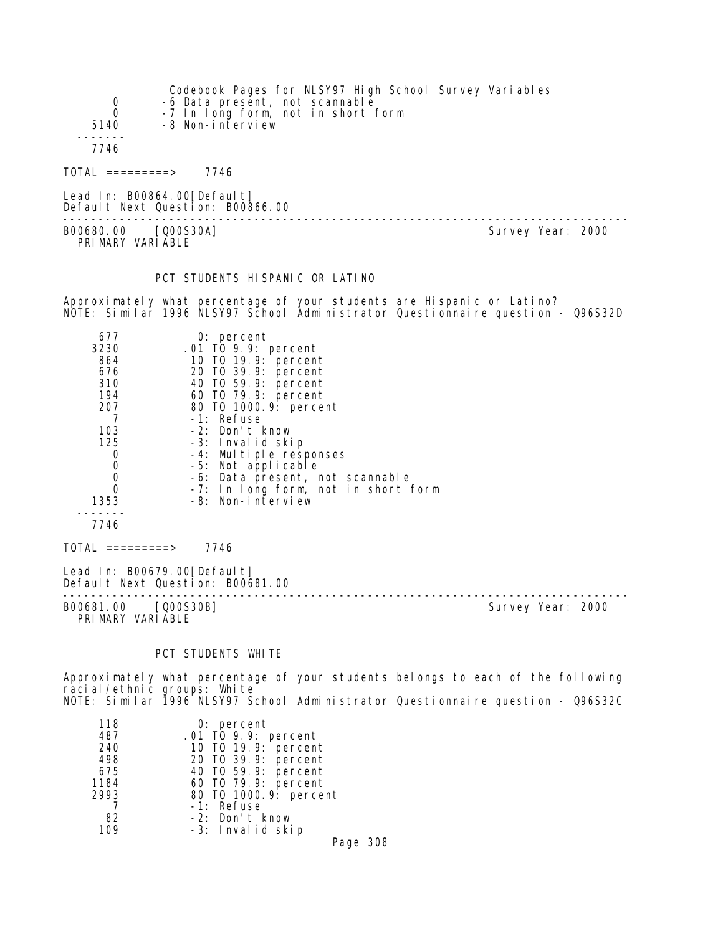| 0<br>$\mathbf 0$<br>5140                | Codebook Pages for NLSY97 High School Survey Variables<br>-6 Data present, not scannable<br>-7 In long form, not in short form<br>-8 Non-interview |                   |
|-----------------------------------------|----------------------------------------------------------------------------------------------------------------------------------------------------|-------------------|
| 7746                                    |                                                                                                                                                    |                   |
| $\text{TOTAL}$ ==========>              | 7746                                                                                                                                               |                   |
|                                         | Lead In: $B00864.00[Defaul t]$<br>Default Next Question: B00866.00                                                                                 |                   |
| B00680.00 [Q00S30A]<br>PRIMARY VARIABLE |                                                                                                                                                    | Survey Year: 2000 |

#### PCT STUDENTS HISPANIC OR LATINO

Approximately what percentage of your students are Hispanic or Latino? NOTE: Similar 1996 NLSY97 School Administrator Questionnaire question - Q96S32D

| 677                                       | $0:$ percent                        |                   |  |
|-------------------------------------------|-------------------------------------|-------------------|--|
| 3230                                      | .01 TO 9.9: percent                 |                   |  |
| 864                                       | 10 T0 19.9: percent                 |                   |  |
| 676                                       | 20 TO 39.9: percent                 |                   |  |
| 310                                       | 40 TO 59.9: percent                 |                   |  |
| 194                                       | 60 TO 79.9: percent                 |                   |  |
| 207                                       | 80 TO 1000.9: percent               |                   |  |
|                                           | -1: Refuse                          |                   |  |
| 103                                       | -2: Don't know                      |                   |  |
| 125                                       | -3: Invalid skip                    |                   |  |
| $\boldsymbol{0}$                          | -4: Multiple responses              |                   |  |
|                                           | -5: Not applicable                  |                   |  |
| $\begin{matrix} 0 \\ 0 \\ 0 \end{matrix}$ | -6: Data present, not scannable     |                   |  |
|                                           | -7: In long form, not in short form |                   |  |
| 1353                                      | -8: Non-interview                   |                   |  |
|                                           |                                     |                   |  |
| 7746                                      |                                     |                   |  |
| TOTAL =========>                          | 7746                                |                   |  |
| Lead In: B00679.00[Default]               | Default Next Question: B00681.00    |                   |  |
| B00681.00 [Q00S30B]<br>PRIMARY VARIABLE   |                                     | Survey Year: 2000 |  |

#### PCT STUDENTS WHITE

Approximately what percentage of your students belongs to each of the following racial/ethnic groups: White NOTE: Similar 1996 NLSY97 School Administrator Questionnaire question - Q96S32C

| 118  | $0:$ percent                               |
|------|--------------------------------------------|
| 487  | .01 TO 9.9: percent<br>10 TO 19.9: percent |
| 240  |                                            |
| 498  | 20 T0 39.9: percent                        |
| 675  | 40 T0 59.9: percent                        |
| 1184 | 60 T0 79.9: percent                        |
| 2993 | 80 T0 1000. 9: percent                     |
|      | -1: Refuse                                 |
| 82   | -2: Don't know                             |
| 109  | -3: Invalid skip                           |
|      | Page 308                                   |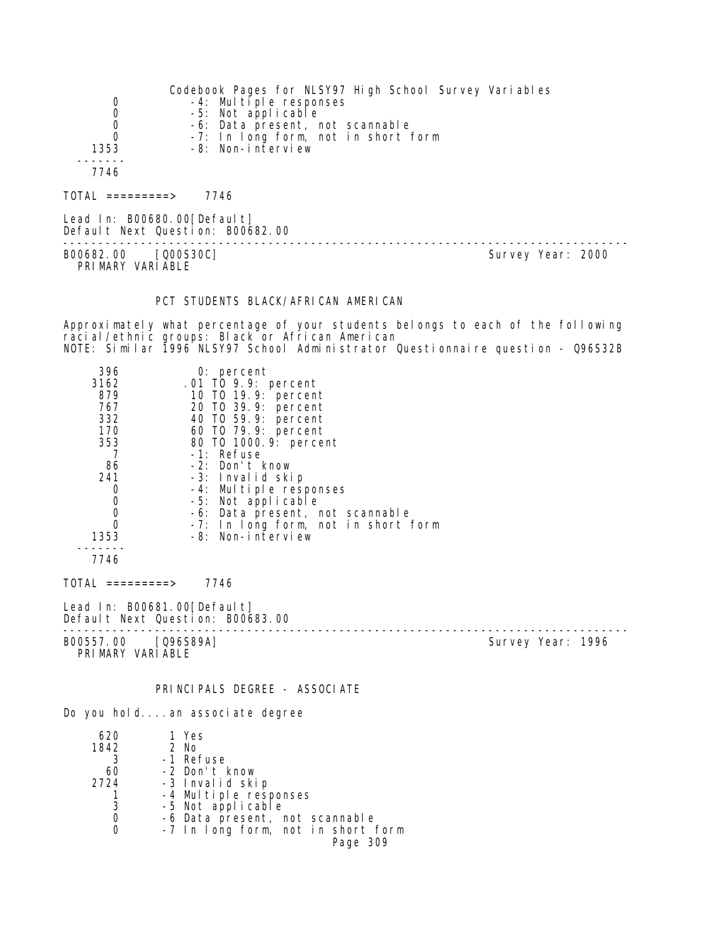|                       | Codebook Pages for NLSY97 High School Survey Variables |
|-----------------------|--------------------------------------------------------|
| 0                     | $-4$ : Multiple responses                              |
| 0                     | -5: Not applicable                                     |
| 0                     | -6: Data present, not scannable                        |
| $\Omega$              | -7: In long form, not in short form                    |
| 1353                  | -8: Non-interview                                      |
|                       |                                                        |
| 7746                  |                                                        |
| $=$ = = = = = = = = > | 7746                                                   |

Lead In: B00680.00[Default] Default Next Question: B00682.00 -------------------------------------------------------------------------------- B00682.00 [Q00S30C] PRI MARY VARI ABLE

#### PCT STUDENTS BLACK/AFRICAN AMERICAN

Approximately what percentage of your students belongs to each of the following racial/ethnic groups: Black or African American NOTE: Similar 1996 NLSY97 School Administrator Questionnaire question - Q96S32B

| 396<br>3162<br>879 | $0:$ percent<br>.01 TO 9.9: percent<br>10 T0 19.9: percent |  |
|--------------------|------------------------------------------------------------|--|
| 767                | 20 TO 39.9: percent                                        |  |
| 332                | 40 TO 59.9: percent                                        |  |
| 170                | 60 TO 79.9: percent                                        |  |
| 353                | 80 T0 1000.9: percent                                      |  |
|                    | -1: Refuse                                                 |  |
| 86                 | -2: Don't know                                             |  |
| 241                | -3: Invalid skip                                           |  |
| 0                  | -4: Multiple responses                                     |  |
| $\mathbf 0$        | -5: Not applicable                                         |  |
| $\mathbf 0$        | -6: Data present, not scannable                            |  |
|                    | -7: In long form, not in short form                        |  |
| 1353               | $-8$ : Non-interview                                       |  |
| 7746               |                                                            |  |

TOTAL =========> 7746

Lead In: B00681.00 [Default] Default Next Question: B00683.00

B00557.00 [Q96S89A] PRIMARY VARIABLE

--------------------------------------------------------------------------------

# PRINCIPALS DEGREE - ASSOCIATE

Do you hold....an associate degree

| 620  | 1 Yes                              |
|------|------------------------------------|
| 1842 | 2 No                               |
| 3    | -1 Refuse                          |
| 60   | -2 Don't know                      |
| 2724 | -3 Invalid skip                    |
|      | -4 Multiple responses              |
| 3    | -5 Not applicable                  |
| 0    | -6 Data present, not scannable     |
|      | -7 In long form, not in short form |
|      | Page 309                           |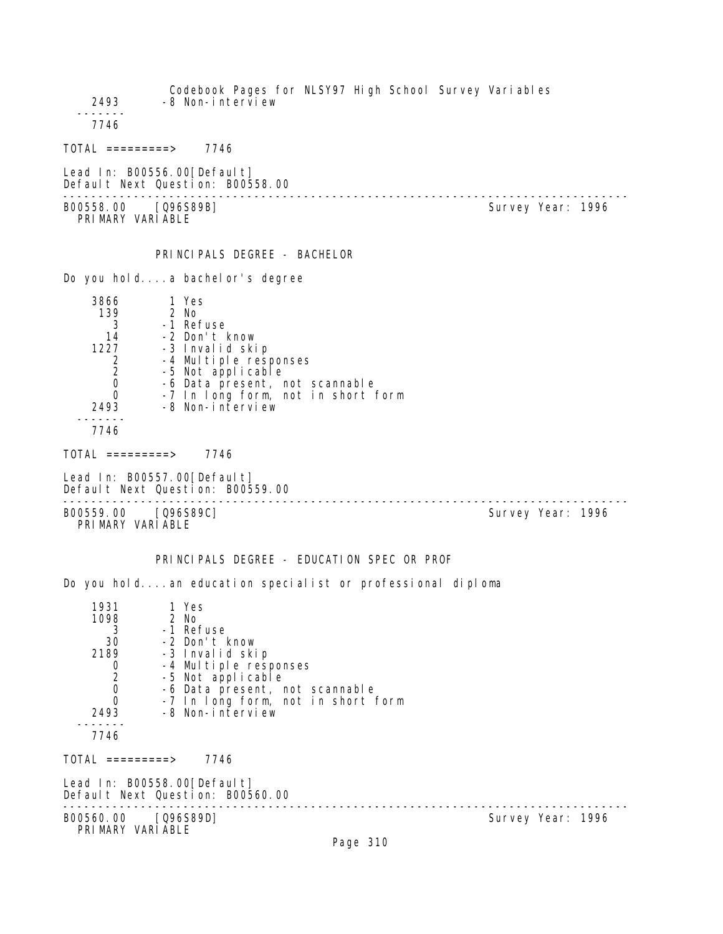Codebook Pages for NLSY97 High School Survey Variables 2493 -8 Non-interview ------- 7746 TOTAL =========> 7746 Lead In: B00556.00[Default] Default Next Question: B00558.00 -------------------------------------------------------------------------------- B00558.00 [Q96S89B] PRIMARY VARIABLE PRINCIPALS DEGREE - BACHELOR Do you hold....a bachelor's degree 3866 1 Yes 139 2 No<br>3 -1 Ret 3 -1 Refuse 14 -2 Don't know 1227 -3 Invalid skip 2 -4 Multiple responses 2 -5 Not applicable<br>0 -6 Data present. 0 -6 Data present, not scannable<br>0 -7 In Iong form, not in short 0 -7 In long form, not in short form<br>2493 -8 Non-interview -8 Non-interview ------- 7746 TOTAL =========> 7746 Lead In: B00557.00 [Default] Default Next Question: B00559.00 -------------------------------------------------------------------------------- B00559.00 [Q96S89C] PRIMARY VARIABLE PRINCIPALS DEGREE - EDUCATION SPEC OR PROF Do you hold....an education specialist or professional diploma 1931 1 Yes 98 2 No<br>3 -1 Re1 3 -1 Refuse<br>30 -2 Don't H 30 -2 Don't know 2189 -3 Invalid skip 0 -4 Multiple responses 2 -5 Not applicable 0 -6 Data present, not scannable 0 -7 In long form, not in short form 2493 -8 Non-interview ------- 7746  $TOTAL$  =========> 7746 Lead In: B00558.00 [Default] Default Next Question: B00560.00 -------------------------------------------------------------------------------- B00560.00 [Q96S89D] PRIMARY VARIABLE Page 310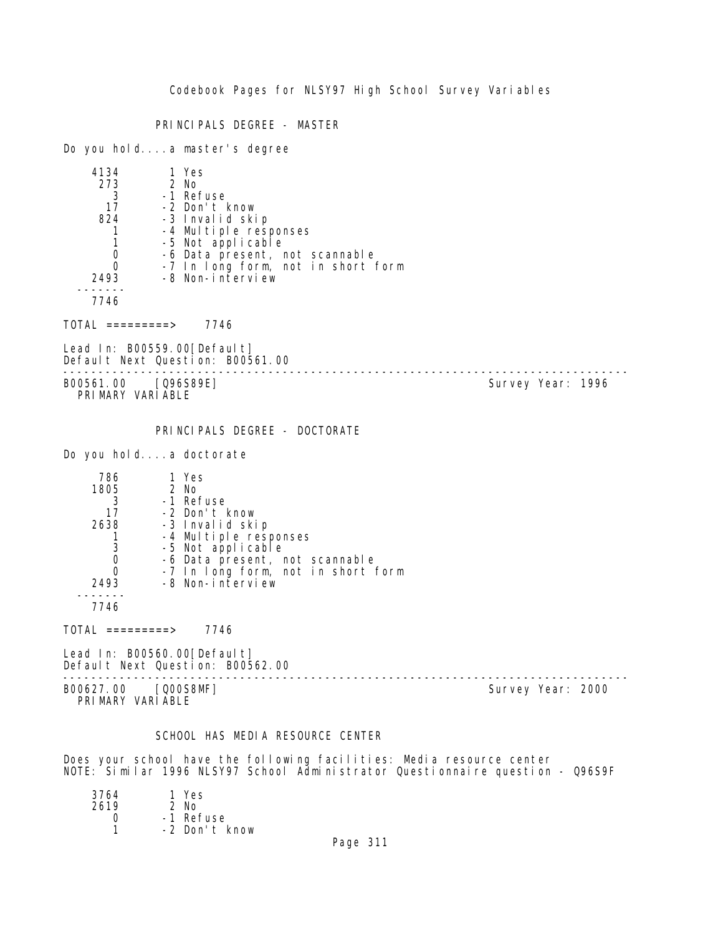PRINCIPALS DEGREE - MASTER

Do you hold....a master's degree

| 4134 | 1 Yes                                      |
|------|--------------------------------------------|
| 273  | 2 No                                       |
| 3    | -1 Refuse                                  |
| 17   | -2 Don't know                              |
| 824  | -3 Invalid skip                            |
|      | -4 Multiple responses<br>-5 Not applicable |
|      |                                            |
|      | -6 Data present, not scannable             |
|      | -7 In long form, not in short form         |
| 2493 | -8 Non-interview                           |
|      |                                            |
|      |                                            |

7746

TOTAL =========> 7746

Lead In: B00559.00[Default] Default Next Question: B00561.00

-------------------------------------------------------------------------------- B00561.00 [Q96S89E] PRIMARY VARIABLE

PRINCIPALS DEGREE - DOCTORATE

Do you hold....a doctorate

| 786  | 1 Yes                              |
|------|------------------------------------|
| 1805 | 2 No                               |
| 3    | -1 Refuse                          |
| 17   | -2 Don't know                      |
| 2638 | -3 Invalid skip                    |
|      | -4 Multiple responses              |
| 3    | -5 Not applicable                  |
|      | -6 Data present, not scannable     |
|      | -7 In long form, not in short form |
| 2493 | -8 Non-interview                   |
|      |                                    |
| 7746 |                                    |

 $TOTAL$  =========> 7746

Lead In: B00560.00[Default] Default Next Question: B00562.00

-------------------------------------------------------------------------------- B00627.00 [Q00S8MF] Survey Year: 2000 PRIMARY VARIABLE

# SCHOOL HAS MEDIA RESOURCE CENTER

Does your school have the following facilities: Media resource center NOTE: Similar 1996 NLSY97 School Administrator Questionnaire question - Q96S9F

| 3764 | 1 Yes         |
|------|---------------|
| 2619 | $2$ No        |
| Ω    | -1 Refuse     |
|      | -2 Don't know |
|      |               |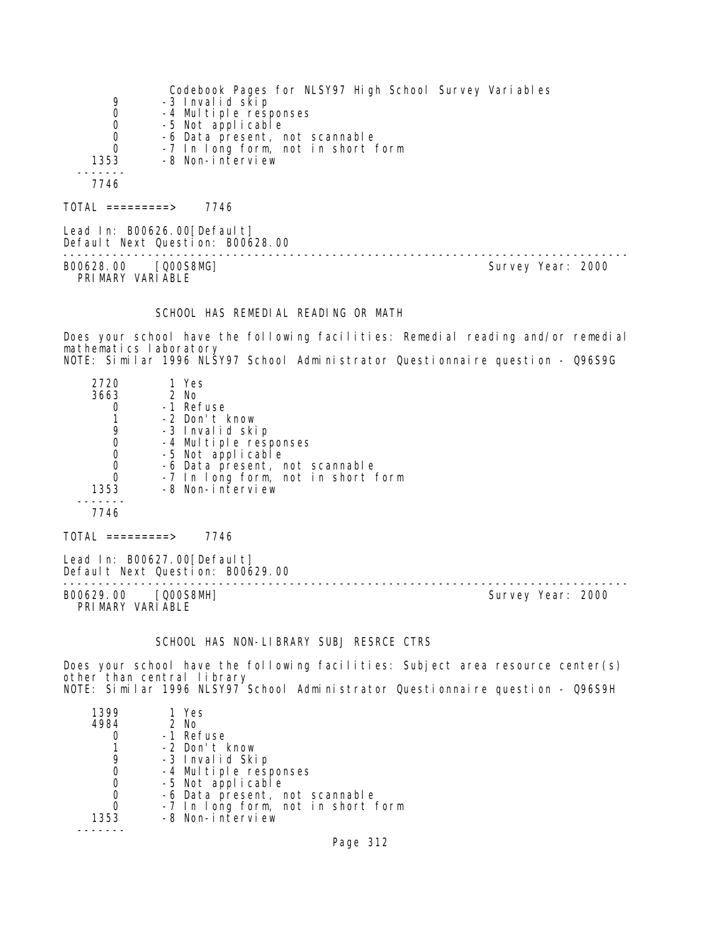|                                   | Codebook Pages for NLSY97 High School Survey Variables |
|-----------------------------------|--------------------------------------------------------|
| 9                                 | -3 Invalid skip                                        |
| 0                                 | -4 Multiple responses                                  |
| 0                                 | -5 Not applicable                                      |
| 0                                 | -6 Data present, not scannable                         |
| 0                                 | -7 In long form, not in short form                     |
| 1353                              | -8 Non-interview                                       |
|                                   |                                                        |
| 7746                              |                                                        |
|                                   |                                                        |
| $\overline{10}$ TOTAL ==========> | 7746                                                   |

Lead In: B00626.00[Default] Default Next Question: B00628.00 -------------------------------------------------------------------------------- B00628.00 [Q00S8MG] Survey Year: 2000 PRIMARY VARIABLE

#### SCHOOL HAS REMEDIAL READING OR MATH

Does your school have the following facilities: Remedial reading and/or remedial mathematics laboratory NOTE: Similar 1996 NLSY97 School Administrator Questionnaire question - Q96S9G

| 2720<br>3663<br>1353<br>7746 | 1 Yes<br>2 No<br>-1 Refuse<br>-2 Don't know<br>-3 Invalid skip<br>-4 Multiple responses<br>-5 Not applicable<br>-6 Data present, not scannable<br>-7 In long form, not in short form<br>-8 Non-interview |
|------------------------------|----------------------------------------------------------------------------------------------------------------------------------------------------------------------------------------------------------|
| =========>                   | 746                                                                                                                                                                                                      |

Lead In: B00627.00 [Default] Default Next Question: B00629.00

-------------------------------------------------------------------------------- B00629.00 [Q00S8MH] PRIMARY VARIABLE

#### SCHOOL HAS NON-LIBRARY SUBJ RESRCE CTRS

Does your school have the following facilities: Subject area resource center(s) other than central library NOTE: Similar 1996 NLSY97 School Administrator Questionnaire question - Q96S9H

| 1399 | 1 Yes                              |
|------|------------------------------------|
| 4984 | 2 No                               |
|      | -1 Refuse                          |
|      | -2 Don't know                      |
| 9    | -3 Invalid Skip                    |
| O    | -4 Multiple responses              |
| O    | -5 Not applicable                  |
| 0    | -6 Data present, not scannable     |
| O    | -7 In long form, not in short form |
| 1353 | -8 Non-interview                   |
|      |                                    |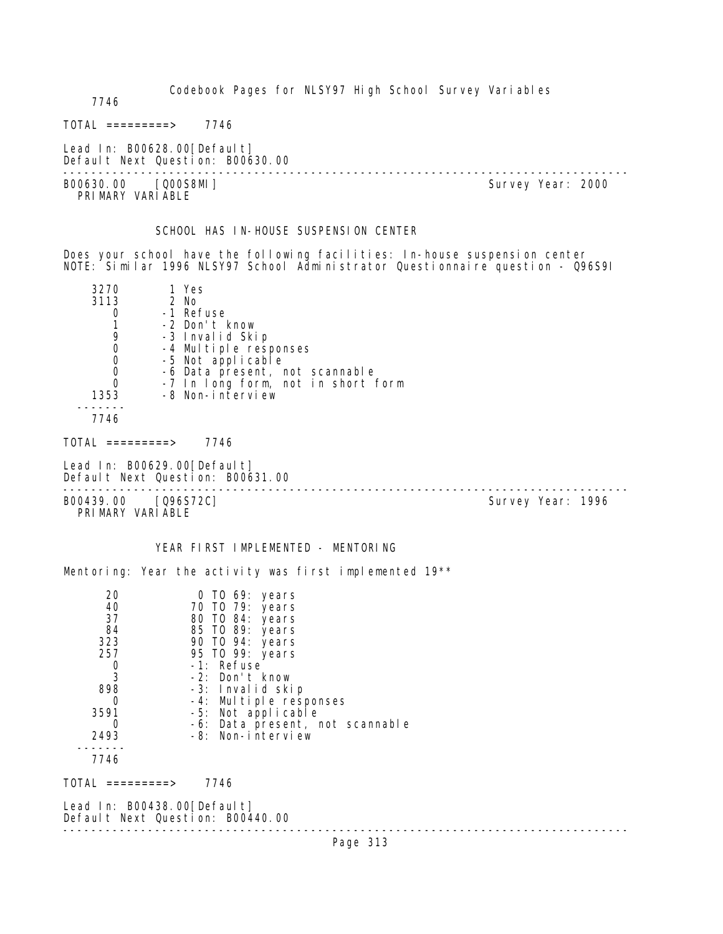Codebook Pages for NLSY97 High School Survey Variables 7746  $TOTAL$  ========> 7746 Lead In: B00628.00 [Default] Default Next Question: B00630.00 -------------------------------------------------------------------------------- Survey Year: 2000 PRI MARY VARI ABLE SCHOOL HAS IN-HOUSE SUSPENSION CENTER Does your school have the following facilities: In-house suspension center NOTE: Similar 1996 NLSY97 School Administrator Questionnaire question - Q96S9I 3270 1 Yes 2 No 0 -1 Refuse<br>1 -2 Don't H 1 -2 Don't know<br>9 -3 Invalid Ski 9 -3 Invalid Skip<br>0 -4 Multiple resp 0 -4 Multiple responses 0 -5 Not applicable 0 -6 Data present, not scannable 0 -7 In long form, not in short form 1353 -8 Non-interview ------- 7746  $TOTAL$  =========> 7746 Lead In: B00629.00 [Default] Default Next Question: B00631.00 -------------------------------------------------------------------------------- B00439.00 [Q96S72C] PRIMARY VARIABLE YEAR FIRST IMPLEMENTED - MENTORING Mentoring: Year the activity was first implemented 19\*\* 20 0 TO 69: years 40 70 TO 79: years 37 80 TO 84: years 84 85 TO 89: years 323 90 TO 94: years 257 95 TO 99: years 0 -1: Refuse 3 -2: Don't know 898 -3: Invalid skip<br>0 -4: Multiple resi 0 -4: Multiple responses<br>3591 -5: Not applicable 3591 -5: Not applicable 0 -6: Data present, not scannable<br>2493 -8: Non-interview -8: Non-interview ------- 7746 TOTAL =========> 7746 Lead In: B00438.00[Default] Default Next Question: B00440.00

Page 313

--------------------------------------------------------------------------------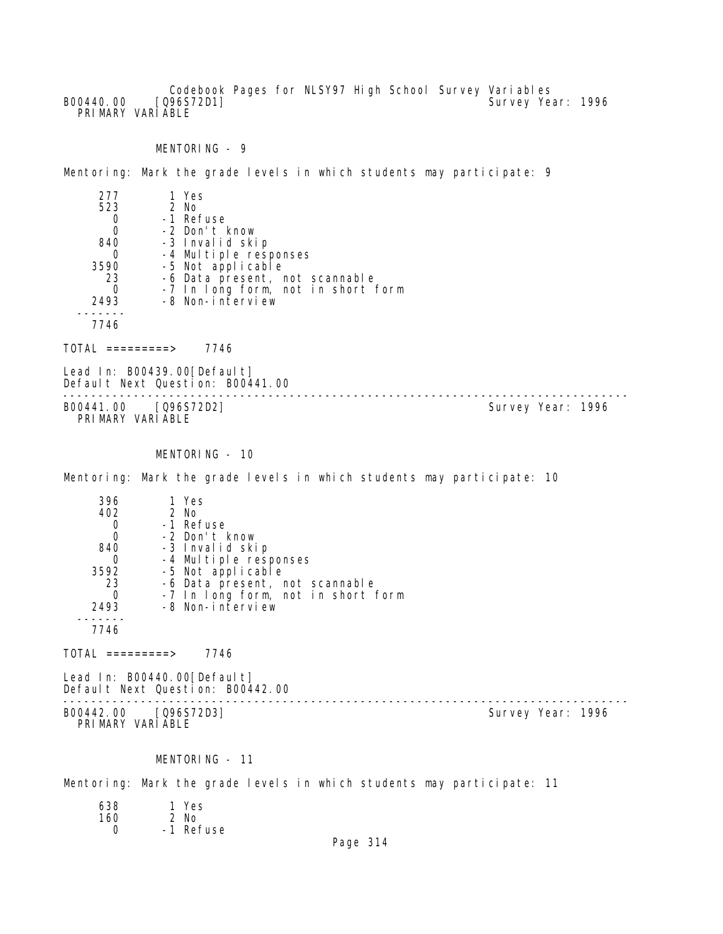Codebook Pages for NLSY97 High School Survey Variables B00440.00 [Q96S72D1] Survey Year: 1996 PRIMARY VARIABLE

MENTORING - 9

Mentoring: Mark the grade levels in which students may participate: 9

| 277  | 1 Yes                              |
|------|------------------------------------|
| 523  | $2$ No                             |
|      | -1 Refuse                          |
| Ω    | -2 Don't know                      |
| 840  | -3 Invalid skip                    |
| O    | -4 Multiple responses              |
| 3590 | -5 Not applicable                  |
| 23   | -6 Data present, not scannable     |
| O    | -7 In long form, not in short form |
| 2493 | -8 Non-interview                   |
|      |                                    |
|      |                                    |

TOTAL =========> 7746

Lead In: B00439.00[Default] Default Next Question: B00441.00

-------------------------------------------------------------------------------- B00441.00 [Q96S72D2] PRIMARY VARIABLE

# MENTORING - 10

Mentoring: Mark the grade levels in which students may participate: 10

| 396  | 1 Yes                              |
|------|------------------------------------|
| 402  | 2 No                               |
|      | -1 Refuse                          |
|      | -2 Don't know                      |
| 840  | -3 Invalid skip                    |
|      | -4 Multiple responses              |
| 3592 | -5 Not applicable                  |
| 23   | -6 Data present, not scannable     |
|      | -7 In long form, not in short form |
| 2493 | -8 Non-interview                   |
|      |                                    |
| 7746 |                                    |

 $TOTAL$  =========> 7746

Lead In: B00440.00 [Default] Default Next Question: B00442.00

-------------------------------------------------------------------------------- B00442.00 [Q96S72D3] PRIMARY VARIABLE

#### MENTORING - 11

Mentoring: Mark the grade levels in which students may participate: 11

| 638 | 1 Yes     |
|-----|-----------|
| 160 | 2 No      |
| O   | -1 Refuse |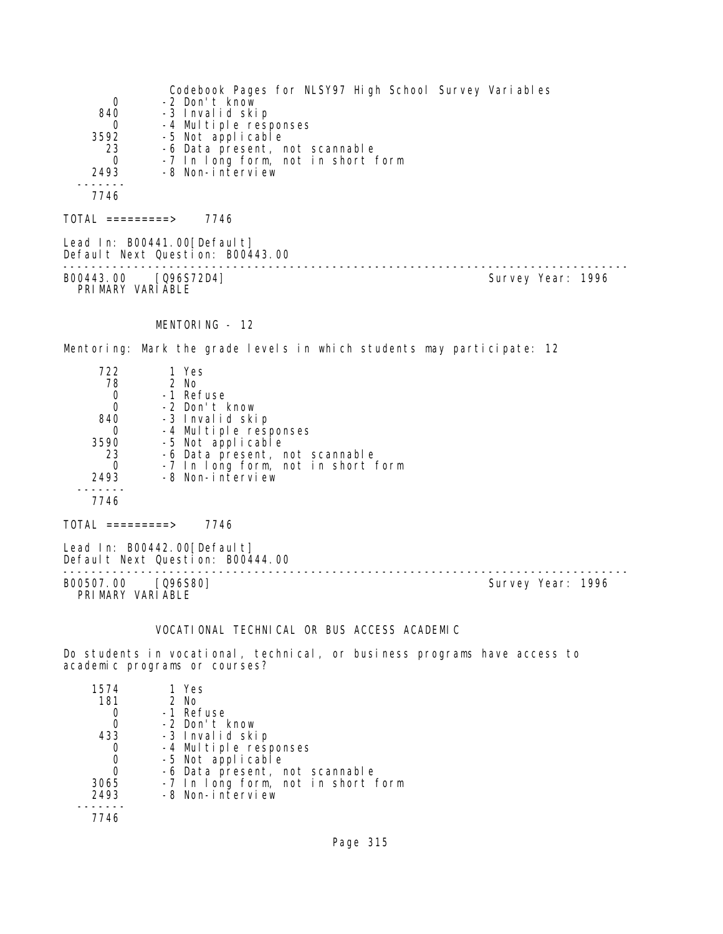| 0<br>840<br>0<br>3592<br>23<br>0<br>2493                                      | Codebook Pages for NLSY97 High School Survey Variables<br>-2 Don't know<br>-3 Invalid skip<br>-4 Multiple responses<br>-5 Not applicable<br>-6 Data present, not scannable<br>-7 In long form, not in short form<br>-8 Non-interview |                   |
|-------------------------------------------------------------------------------|--------------------------------------------------------------------------------------------------------------------------------------------------------------------------------------------------------------------------------------|-------------------|
| 7746                                                                          |                                                                                                                                                                                                                                      |                   |
| $TOTAL$ =========> 7746                                                       |                                                                                                                                                                                                                                      |                   |
|                                                                               | Lead In: B00441.00 [Default]<br>Default Next Question: B00443.00                                                                                                                                                                     |                   |
| B00443.00 [Q96S72D4]<br>PRIMARY VARIABLE                                      |                                                                                                                                                                                                                                      | Survey Year: 1996 |
|                                                                               | MENTORING - 12                                                                                                                                                                                                                       |                   |
|                                                                               | Mentoring: Mark the grade levels in which students may participate: 12                                                                                                                                                               |                   |
| 722<br>78<br>0<br>0<br>840<br>$\mathsf{O}$<br>3590<br>23<br>0<br>2493<br>7746 | 1 Yes<br>2 No<br>-1 Refuse<br>-2 Don't know<br>-3 Invalid skip<br>-4 Multiple responses<br>-5 Not applicable<br>-6 Data present, not scannable<br>-7 In long form, not in short form<br>-8 Non-interview                             |                   |
| $TOTAL$ =========> 7746                                                       |                                                                                                                                                                                                                                      |                   |
|                                                                               | Lead In: B00442.00 [Default]<br>$\overline{11}$                                                                                                                                                                                      |                   |

Default Next Question: B00444.00 -------------------------------------------------------------------------------- B00507.00 [Q96S80] Survey Year: 1996 PRIMARY VARIABLE

# VOCATIONAL TECHNICAL OR BUS ACCESS ACADEMIC

Do students in vocational, technical, or business programs have access to academic programs or courses?

| 1574 | 1 Yes                              |
|------|------------------------------------|
| 181  | 2 No                               |
|      | -1 Refuse                          |
|      | -2 Don't know                      |
| 433  | -3 Invalid skip                    |
|      | -4 Multiple responses              |
| O    | -5 Not applicable                  |
| 0    | -6 Data present, not scannable     |
| 3065 | -7 In long form, not in short form |
| 2493 | -8 Non-interview                   |
|      |                                    |
| 7746 |                                    |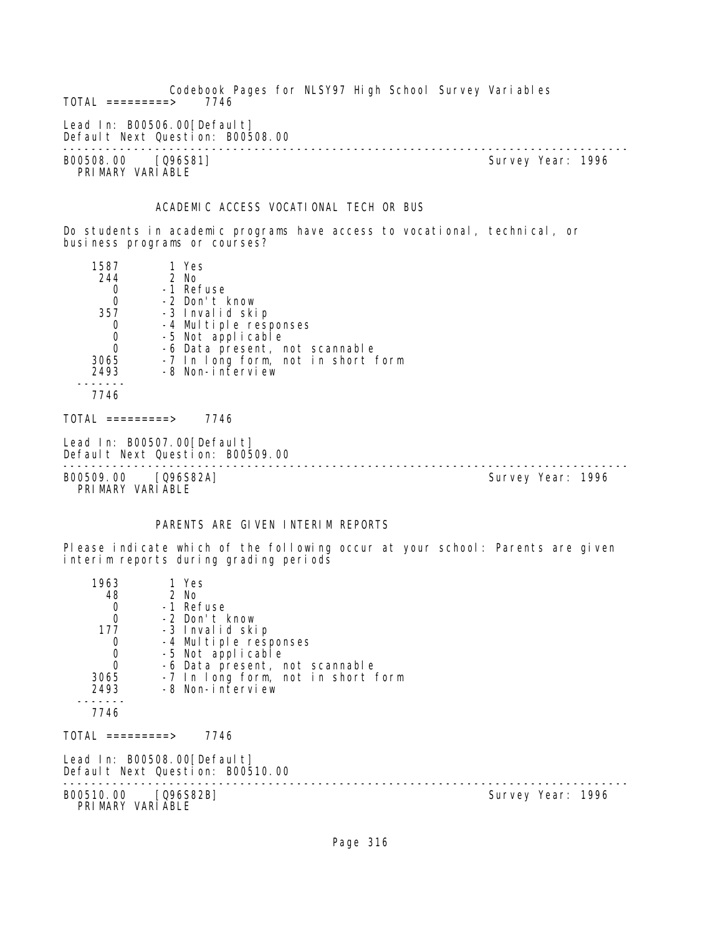Codebook Pages for NLSY97 High School Survey Variables  $TOTAL$  =========> Lead In: B00506.00 [Default] Default Next Question: B00508.00 -------------------------------------------------------------------------------- B00508.00 [Q96S81] PRIMARY VARIABLE ACADEMIC ACCESS VOCATIONAL TECH OR BUS Do students in academic programs have access to vocational, technical, or business programs or courses? 1587 1 Yes 244 2 No 0 -1 Refuse<br>0 -2 Don't I 0 -2 Don't know 57 -3 Invalid skip<br>O -4 Multiple resu 0 -4 Multiple responses<br>0 -5 Not applicable 0 -5 Not applicable<br>0 -6 Data present, r 0 -6 Data present, not scannable 3065 -7 In long form, not in short form 2493 -8 Non-interview ------- 7746  $TOTAL$  ========> 7746 Lead In: B00507.00 [Default] Default Next Question: B00509.00 -------------------------------------------------------------------------------- B00509.00 [Q96S82A] PRIMARY VARIABLE PARENTS ARE GIVEN INTERIM REPORTS Please indicate which of the following occur at your school: Parents are given interim reports during grading periods 1963 1 Yes 48 2 No 0 -1 Refuse 0 -2 Don't know 17 -3 Invalid skip<br>O -4 Multiple resu 0 -4 Multiple responses 0 -5 Not applicable 0 -6 Data present, not scannable 3065 -7 In long form, not in short form 2493 -8 Non-interview ------- 7746

 $TOTAL$  ========> 7746

Lead In: B00508.00 [Default] Default Next Question: B00510.00

-------------------------------------------------------------------------------- Survey Year: 1996 PRIMARY VARIABLE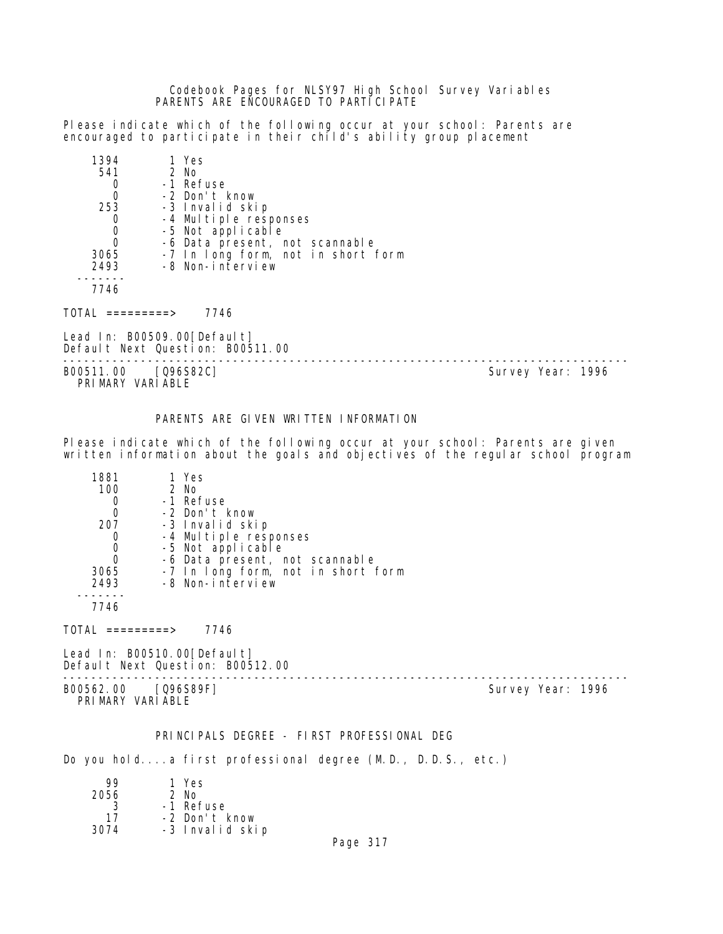Codebook Pages for NLSY97 High School Survey Variables PARENTS ARE ENCOURAGED TO PARTICIPATE

Please indicate which of the following occur at your school: Parents are encouraged to participate in their child's ability group placement

| 1394     | 1 Yes                              |
|----------|------------------------------------|
| 541      | 2 No                               |
|          | -1 Refuse                          |
| 0        | -2 Don't know                      |
| 253      | -3 Invalid skip                    |
| O        | -4 Multiple responses              |
| 0        | -5 Not applicable                  |
| $\Omega$ | -6 Data present, not scannable     |
| 3065     | -7 In long form, not in short form |
| 2493     | -8 Non-interview                   |
|          |                                    |
| 7746     |                                    |

 $TOTAL$  =========> 7746

Lead In: B00509.00[Default] Default Next Question: B00511.00

-------------------------------------------------------------------------------- B00511.00 [Q96S82C]

PRIMARY VARIABLE

Please indicate which of the following occur at your school: Parents are given written information about the goals and objectives of the regular school program

PARENTS ARE GIVEN WRITTEN INFORMATION

| 1881 | 1 Yes                              |
|------|------------------------------------|
| 100  | 2 No                               |
|      | -1 Refuse                          |
|      | -2 Don't know                      |
| 207  | -3 Invalid skip                    |
|      | -4 Multiple responses              |
|      | -5 Not applicable                  |
|      | -6 Data present, not scannable     |
| 3065 | -7 In long form, not in short form |
| 2493 | -8 Non-interview                   |
|      |                                    |
| 7746 |                                    |

 $TOTAL$  =========> 7746

Lead In: B00510.00[Default] Default Next Question: B00512.00

B00562.00 [Q96S89F] Survey Year: 1996 PRIMARY VARIABLE

--------------------------------------------------------------------------------

# PRINCIPALS DEGREE - FIRST PROFESSIONAL DEG

Do you hold....a first professional degree (M.D., D.D.S., etc.)

| 99   | 1 Yes           |
|------|-----------------|
| 2056 | $2$ No          |
| 3    | -1 Refuse       |
| 17   | -2 Don't know   |
| 3074 | -3 Invalid skip |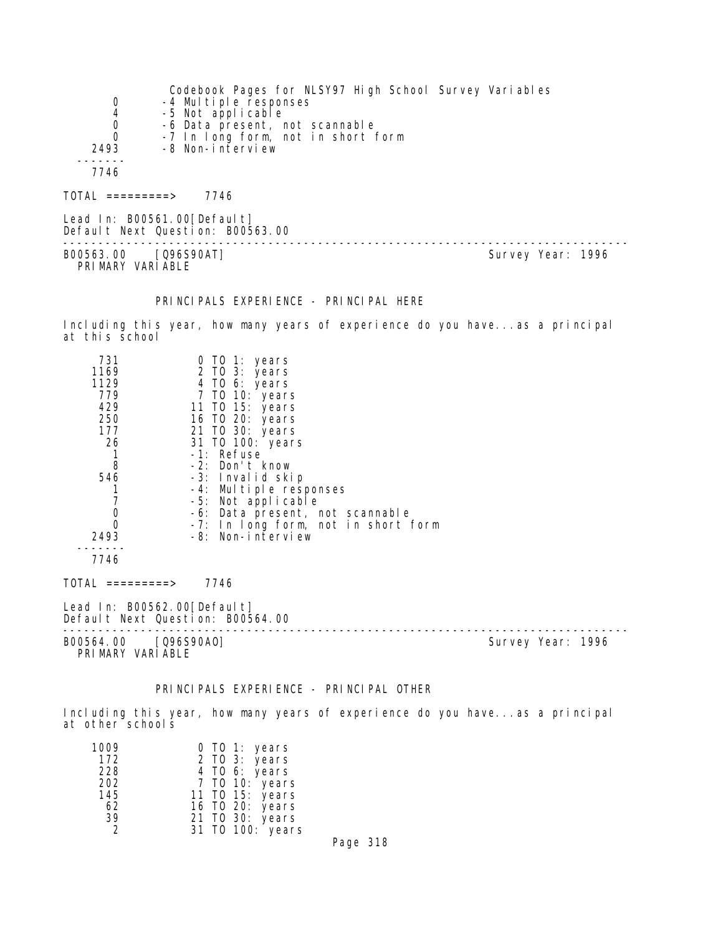|      | Codebook Pages for NLSY97 High School Survey Variables |
|------|--------------------------------------------------------|
| 0    | -4 Multiple responses                                  |
| 4    | -5 Not applicable                                      |
| 0    | -6 Data present, not scannable                         |
| 0    | -7 In long form, not in short form                     |
| 2493 | -8 Non-interview                                       |
|      |                                                        |
| 7746 |                                                        |
|      |                                                        |
|      |                                                        |

TOTAL =========> 7746

Lead In: B00561.00[Default] Default Next Question: B00563.00 -------------------------------------------------------------------------------- B00563.00 [Q96S90AT]

PRI MARY VARI ABLE

#### PRINCIPALS EXPERIENCE - PRINCIPAL HERE

Including this year, how many years of experience do you have...as a principal at this school

| 731                                                             | 0 TO 1: years                       |
|-----------------------------------------------------------------|-------------------------------------|
| 1169                                                            | 2 TO 3: years                       |
| 1129                                                            | 4 TO 6: years                       |
| 779                                                             | 7 TO 10: years                      |
| 429                                                             | 11 TO 15: years                     |
| 250                                                             | 16 TO 20: years                     |
| 177                                                             | 21 TO 30: years                     |
| 26                                                              | 31 TO 100: years                    |
|                                                                 | -1: Refuse                          |
| 8                                                               | -2: Don't know                      |
| 546                                                             | -3: Invalid skip                    |
|                                                                 | -4: Multiple responses              |
| 7                                                               | -5: Not applicable                  |
| $\boldsymbol{0}$                                                | -6: Data present, not scannable     |
| $\Omega$                                                        | -7: In long form, not in short form |
| 2493                                                            | -8: Non-interview                   |
|                                                                 |                                     |
| 7746                                                            |                                     |
| TOTAL =========>                                                | 7746                                |
| Lead In: B00562.00[Default]<br>Default Next Question: B00564.00 |                                     |
|                                                                 |                                     |

B00564.00 [Q96S90AO] Survey Year: 1996 PRIMARY VARIABLE

# PRINCIPALS EXPERIENCE - PRINCIPAL OTHER

Including this year, how many years of experience do you have...as a principal at other schools

| 1009<br>0 TO 1: years             |  |
|-----------------------------------|--|
| 172<br>2 TO 3: years              |  |
| 228<br>4 TO 6: years              |  |
| 202<br>7 TO 10: years             |  |
| 145<br>11 TO 15: years            |  |
| 16 TO 20: years<br>62             |  |
| 39<br>21 TO 30: years             |  |
| 31 TO 100: years<br>$\mathcal{D}$ |  |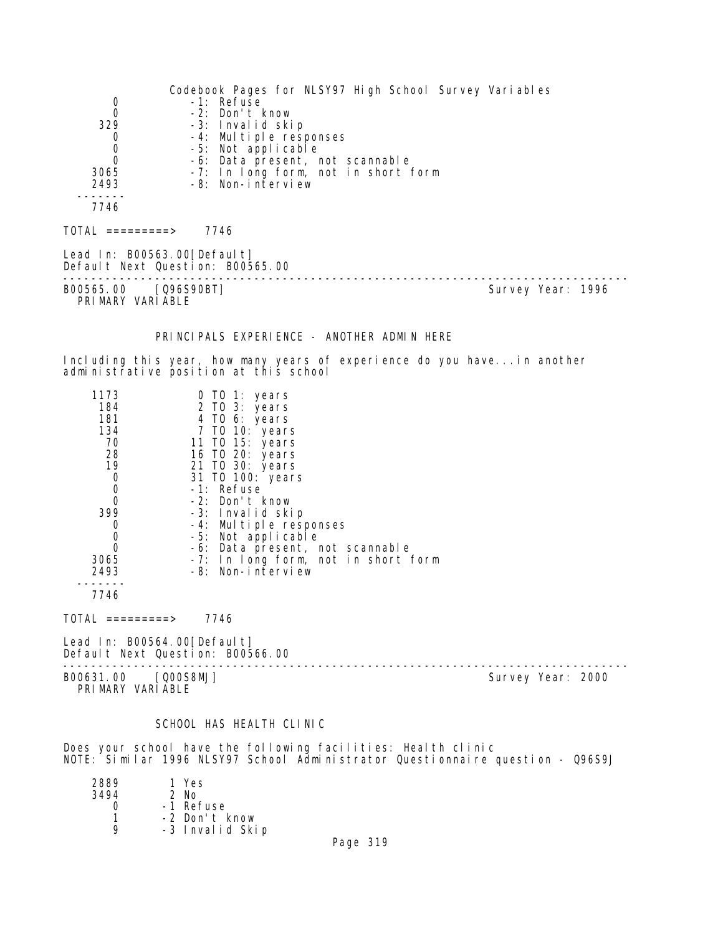Codebook Pages for NLSY97 High School Survey Variables 0 -1: Refuse<br>0 -2: Don't 0 -2: Don't know 329 -3: Invalid skip 0 -4: Multiple responses 0 -5: Not applicable 0 -6: Data present, not scannable 3065 -7: In long form, not in short form 2493 -8: Non-interview ------- 7746  $TOTAL$  ========> 7746 Lead In: B00563.00 [Default] Default Next Question: B00565.00 -------------------------------------------------------------------------------- B00565.00 [Q96S90BT] PRIMARY VARIABLE PRINCIPALS EXPERIENCE - ANOTHER ADMIN HERE Including this year, how many years of experience do you have...in another administrative position at this school 1173 0 TO 1: years 184 2 TO 3: years 181 4 TO 6: years 134 7 TO 10: years 70 11 TO 15: years 28 16 TO 20: years 19 21 TO 30: years 0 31 TO 100: years 0 -1: Refuse<br>0 -2: Don't I 0 -2: Don't know<br>399 -3: Invalid ski 399 -3: Invalid skip 0 -4: Multiple responses<br>0 -5: Not applicable 0 -5: Not applicable 0 -6: Data present, not scannable 3065 -7: In long form, not in short form 2493 -8: Non-interview ------- 7746  $TOTAL$  ========> 7746 Lead In: B00564.00[Default] Default Next Question: B00566.00 -------------------------------------------------------------------------------- B00631.00 [Q00S8MJ] PRIMARY VARIABLE SCHOOL HAS HEALTH CLINIC

Does your school have the following facilities: Health clinic NOTE: Similar 1996 NLSY97 School Administrator Questionnaire question - Q96S9J

| 2889 | 1 Yes           |
|------|-----------------|
| 3494 | $2$ No          |
|      | -1 Refuse       |
| 1    | -2 Don't know   |
| Q    | -3 Invalid Skip |
|      |                 |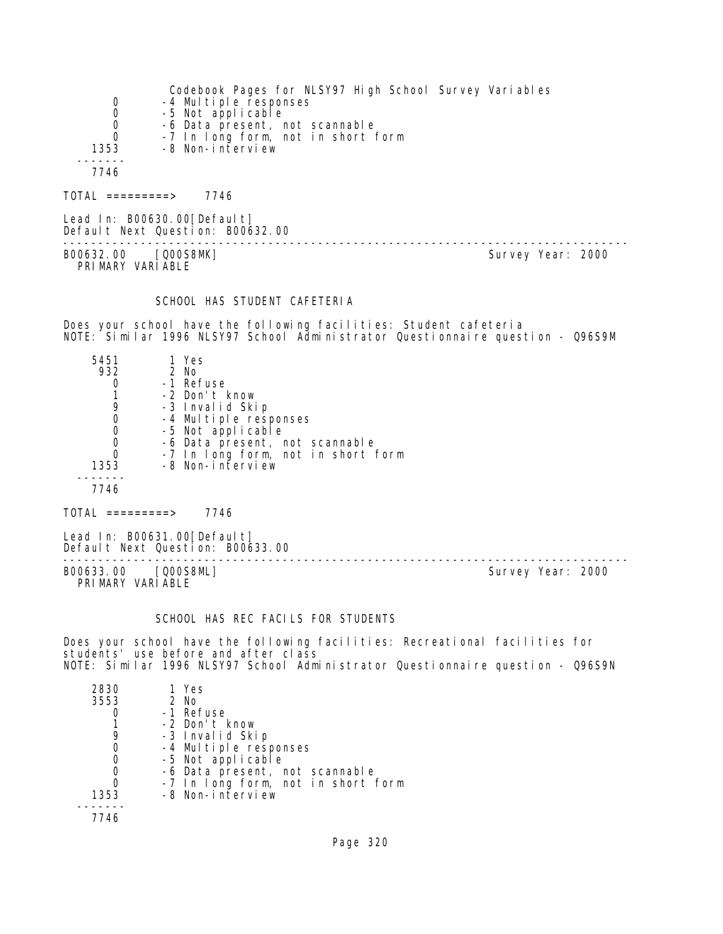|      | Codebook Pages for NLSY97 High School Survey Variables |
|------|--------------------------------------------------------|
| 0    | -4 Multiple responses                                  |
| 0    | -5 Not applicable                                      |
| 0    | -6 Data present, not scannable                         |
| 0    | -7 In long form, not in short form                     |
| 1353 | -8 Non-interview                                       |
|      |                                                        |
| 7746 |                                                        |
|      |                                                        |

TOTAL =========> 7746

Lead In: B00630.00[Default] Default Next Question: B00632.00

B00632.00 [Q00S8MK] PRIMARY VARIABLE

--------------------------------------------------------------------------------

#### SCHOOL HAS STUDENT CAFETERIA

Does your school have the following facilities: Student cafeteria NOTE: Similar 1996 NLSY97 School Administrator Questionnaire question - Q96S9M

| 5451 | 1 Yes                              |
|------|------------------------------------|
| 932  | 2 No                               |
|      | -1 Refuse                          |
|      | -2 Don't know                      |
| 9    | -3 Invalid Skip                    |
|      | -4 Multiple responses              |
| O    | -5 Not applicable                  |
| 0    | -6 Data present, not scannable     |
| 0    | -7 In long form, not in short form |
| 1353 | -8 Non-interview                   |
|      |                                    |
| 7746 |                                    |
|      |                                    |

 $TOTAL$  =========> 7746

Lead In: B00631.00[Default] Default Next Question: B00633.00

B00633.00 [Q00S8ML] Survey Year: 2000 PRIMARY VARIABLE

--------------------------------------------------------------------------------

# SCHOOL HAS REC FACILS FOR STUDENTS

Does your school have the following facilities: Recreational facilities for students' use before and after class NOTE: Similar 1996 NLSY97 School Administrator Questionnaire question - Q96S9N

| 2830<br>3553 | 1 Yes<br>2 No                      |
|--------------|------------------------------------|
|              | -1 Refuse                          |
|              | -2 Don't know                      |
|              | -3 Invalid Skip                    |
|              | -4 Multiple responses              |
| 0            | -5 Not applicable                  |
| 0            | -6 Data present, not scannable     |
| O            | -7 In long form, not in short form |
| 1353         | -8 Non-interview                   |
|              |                                    |
|              |                                    |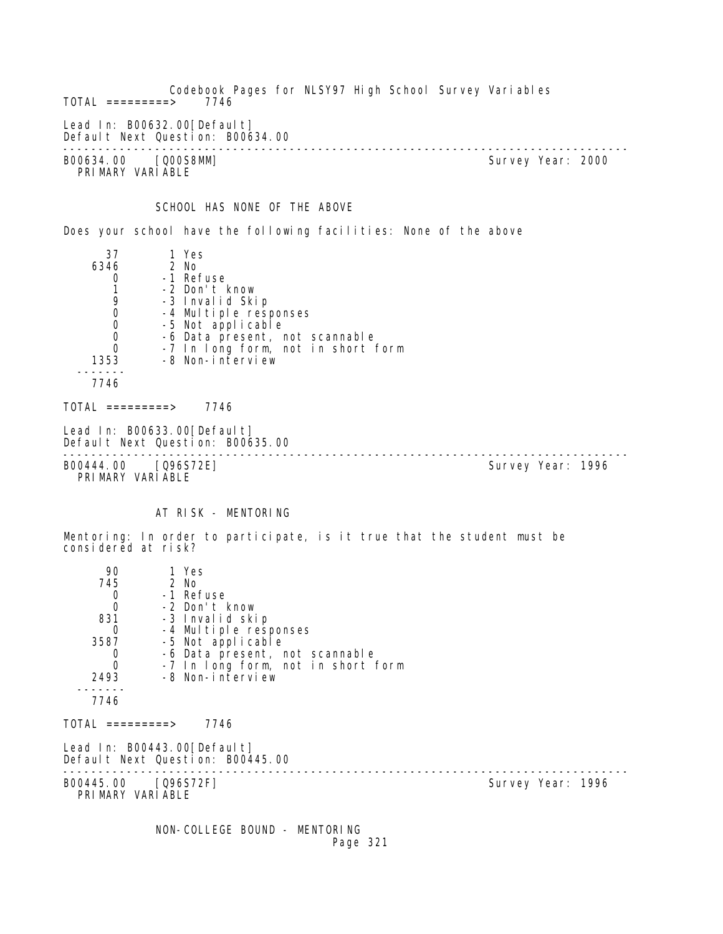Codebook Pages for NLSY97 High School Survey Variables  $TOTAL$  =========> Lead In: B00632.00 [Default] Default Next Question: B00634.00 -------------------------------------------------------------------------------- B00634.00 [Q00S8MM] PRIMARY VARIABLE SCHOOL HAS NONE OF THE ABOVE Does your school have the following facilities: None of the above 37 1 Yes  $6346$ 0 -1 Refuse<br>1 -2 Don't H 1 -2 Don't know 9 -3 Invalid Skip<br>0 -4 Multiple resu 0 -4 Multiple responses<br>0 -5 Not applicable 0 -5 Not applicable<br>0 -6 Data present, r 0 -6 Data present, not scannable 0 -7 In long form, not in short form 1353 -8 Non-interview ------- 7746  $TOTAL$  =========> 7746 Lead In: B00633.00[Default] Default Next Question: B00635.00 -------------------------------------------------------------------------------- B00444.00 [Q96S72E] PRIMARY VARIABLE AT RISK - MENTORING Mentoring: In order to participate, is it true that the student must be considered at risk? 90 1 Yes<br>745 2 No 745 2 No 0 -1 Refuse 0 -2 Don't know 831 -3 Invalid skip 0 -4 Multiple responses<br>3587 -5 Not applicable 3587 -5 Not applicable 0 -6 Data present, not scannable 0 -7 In long form, not in short form 2493 -8 Non-interview ------- 7746 TOTAL =========> 7746 Lead In: B00443.00[Default] Default Next Question: B00445.00 -------------------------------------------------------------------------------- B00445.00 [Q96S72F]

PRIMARY VARIABLE

 NON-COLLEGE BOUND - MENTORING Page 321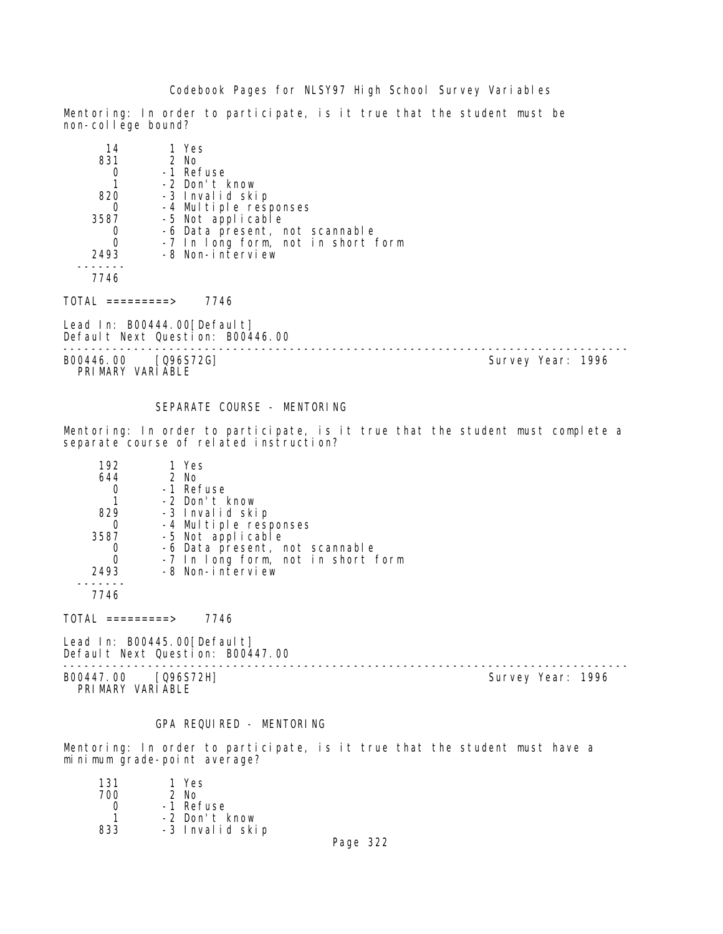Mentoring: In order to participate, is it true that the student must be non-col lege bound?

| 14   | 1 Yes                                      |
|------|--------------------------------------------|
| 831  | 2 No                                       |
|      | -1 Refuse                                  |
|      | -2 Don't know                              |
| 820  | -3 Invalid skip                            |
|      |                                            |
| 3587 | -4 Multiple responses<br>-5 Not applicable |
|      | -6 Data present, not scannable             |
|      | -7 In long form, not in short form         |
| 2493 | -8 Non-interview                           |
|      |                                            |
| 7746 |                                            |

TOTAL =========> 7746

Lead In: B00444.00 [Default] Default Next Question: B00446.00

-------------------------------------------------------------------------------- B00446.00 [Q96S72G] Survey Year: 1996 PRIMARY VARIABLE

#### SEPARATE COURSE - MENTORING

Mentoring: In order to participate, is it true that the student must complete a separate course of related instruction?

| 192  | 1 Yes                              |
|------|------------------------------------|
| 644  | 2 No                               |
|      | -1 Refuse                          |
|      | -2 Don't know                      |
| 829  | -3 Invalid skip                    |
|      | -4 Multiple responses              |
| 3587 | -5 Not applicable                  |
|      | -6 Data present, not scannable     |
|      | -7 In long form, not in short form |
| 2493 | -8 Non-interview                   |
|      |                                    |

7746

 $TOTAL$  =========> 7746

Lead In: B00445.00[Default] Default Next Question: B00447.00

B00447.00 [Q96S72H] PRIMARY VARIABLE

--------------------------------------------------------------------------------

#### GPA REQUIRED - MENTORING

Mentoring: In order to participate, is it true that the student must have a minimum grade-point average?

| 1 Yes           |
|-----------------|
| $2$ No          |
| -1 Refuse       |
| -2 Don't know   |
| -3 Invalid skip |
|                 |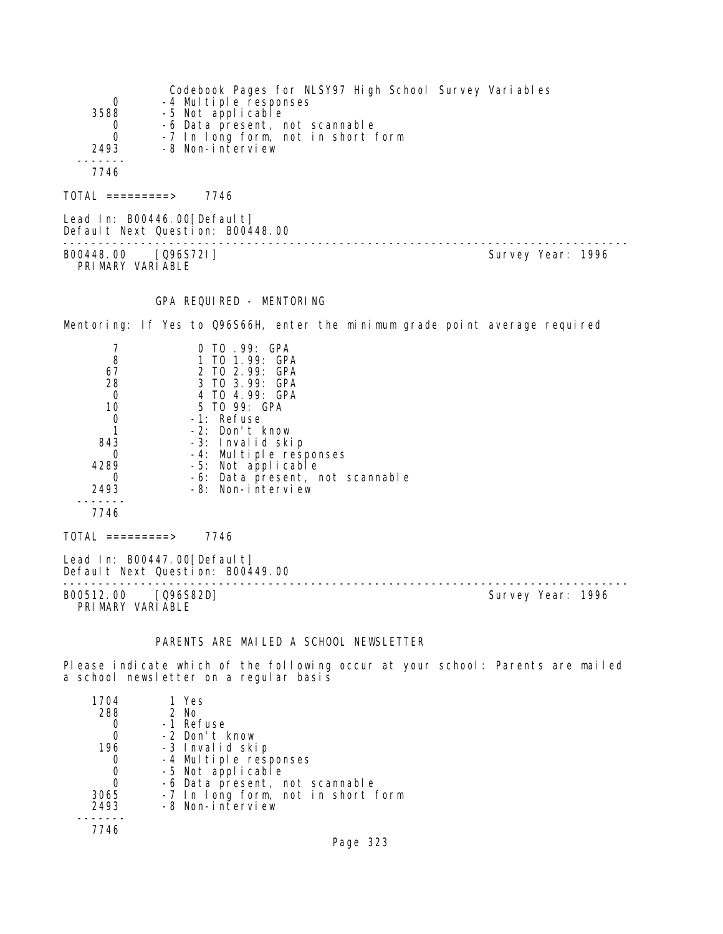|          | Codebook Pages for NLSY97 High School Survey Variables |
|----------|--------------------------------------------------------|
| 0        | -4 Multiple responses                                  |
| 3588     | -5 Not applicable                                      |
| 0        | -6 Data present, not scannable                         |
| $\Omega$ | -7 In long form, not in short form                     |
| 2493     | -8 Non-interview                                       |
|          |                                                        |
| 7746     |                                                        |
|          |                                                        |

TOTAL =========> 7746

Lead In: B00446.00 [Default] Default Next Question: B00448.00 -------------------------------------------------------------------------------- B00448.00 [Q96S72I] PRIMARY VARIABLE

#### GPA REQUIRED - MENTORING

Mentoring: If Yes to Q96S66H, enter the minimum grade point average required

|      | 0 TO .99: GPA                   |
|------|---------------------------------|
| 8    | 1 TO 1.99: GPA                  |
| 67   | 2 TO 2.99: GPA                  |
| 28   | 3 TO 3.99: GPA                  |
| 0    | 4 TO 4.99: GPA                  |
| 10   | 5 TO 99: GPA                    |
|      | -1: Refuse                      |
|      | $-2$ : Don't know               |
| 843  | -3: Invalid skip                |
|      | -4: Multiple responses          |
| 4289 | -5: Not applicable              |
|      | -6: Data present, not scannable |
| 2493 | -8: Non-interview               |
|      |                                 |
| 7746 |                                 |
|      |                                 |

Lead In: B00447.00[Default] Default Next Question: B00449.00

-------------------------------------------------------------------------------- PRIMARY VARIABLE

 $TOTAL$  =========> 7746

Survey Year: 1996

# PARENTS ARE MAILED A SCHOOL NEWSLETTER

Please indicate which of the following occur at your school: Parents are mailed a school newsletter on a regular basis

| 1704 | 1 Yes                                      |
|------|--------------------------------------------|
| 288  | $2$ No                                     |
|      | -1 Refuse                                  |
|      | -2 Don't know                              |
| 196  | -3 Invalid skip                            |
| O    | -4 Multiple responses<br>-5 Not applicable |
| 0    |                                            |
| O    | -6 Data present, not scannable             |
| 3065 | -7 In long form, not in short form         |
| 2493 | -8 Non-interview                           |
|      |                                            |
| 7746 |                                            |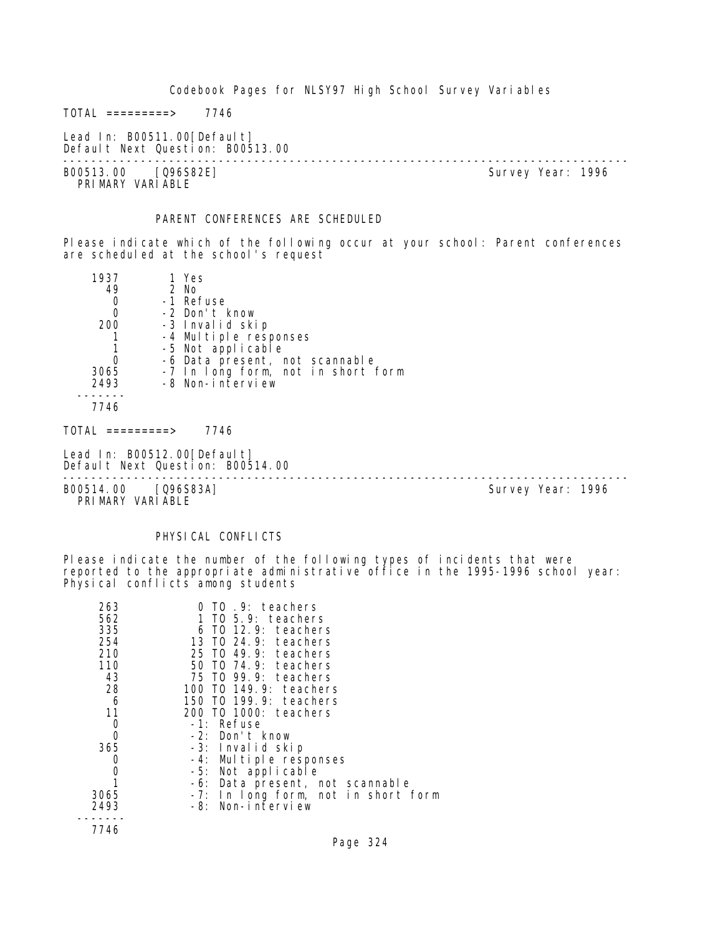$TOTAL$  =========> 7746

Lead In: B00511.00 [Default] Default Next Question: B00513.00

-------------------------------------------------------------------------------- B00513.00 [Q96S82E] PRI MARY VARI ABLE

#### PARENT CONFERENCES ARE SCHEDULED

Please indicate which of the following occur at your school: Parent conferences are scheduled at the school's request

| 1937 | 1 Yes                              |
|------|------------------------------------|
| 49   | 2 No                               |
| 0    | -1 Refuse                          |
| 0    | -2 Don't know                      |
| 200  | -3 Invalid skip                    |
|      | -4 Multiple responses              |
|      | -5 Not applicable                  |
|      | -6 Data present, not scannable     |
| 3065 | -7 In long form, not in short form |
| 2493 | -8 Non-interview                   |
|      |                                    |
| 7746 |                                    |

 $TOTAL$  =========> 7746

Lead In: B00512.00 [Default] Default Next Question: B00514.00

--------------------------------------------------------------------------------

PRIMARY VARIABLE

B00514.00 [Q96S83A] Survey Year: 1996

#### PHYSICAL CONFLICTS

Please indicate the number of the following types of incidents that were reported to the appropriate administrative office in the 1995-1996 school year: Physical conflicts among students

| 263<br>562<br>335<br>254<br>210 | TO 9: teachers<br>$1$ TO 5.9: teachers<br>6 TO 12.9: teachers<br>13 TO 24.9: teachers<br>25 TO 49.9: teachers |
|---------------------------------|---------------------------------------------------------------------------------------------------------------|
| 110                             | 50 TO 74.9: teachers                                                                                          |
| 43                              | 75 TO 99.9: teachers                                                                                          |
| 28                              | 100 TO 149.9: teachers                                                                                        |
| -6                              | 150 TO 199.9: teachers                                                                                        |
| 11                              | 200 TO 1000: teachers                                                                                         |
| 0                               | -1: Refuse                                                                                                    |
| 0                               | -2: Don't know                                                                                                |
| 365                             | -3: Invalid skip                                                                                              |
| 0                               | -4: Multiple responses                                                                                        |
| 0                               | -5: Not applicable                                                                                            |
|                                 | -6: Data present, not scannable                                                                               |
| 3065                            | -7: In long form, not in short form                                                                           |
| 2493                            | -8: Non-interview                                                                                             |
|                                 |                                                                                                               |
| 7746                            |                                                                                                               |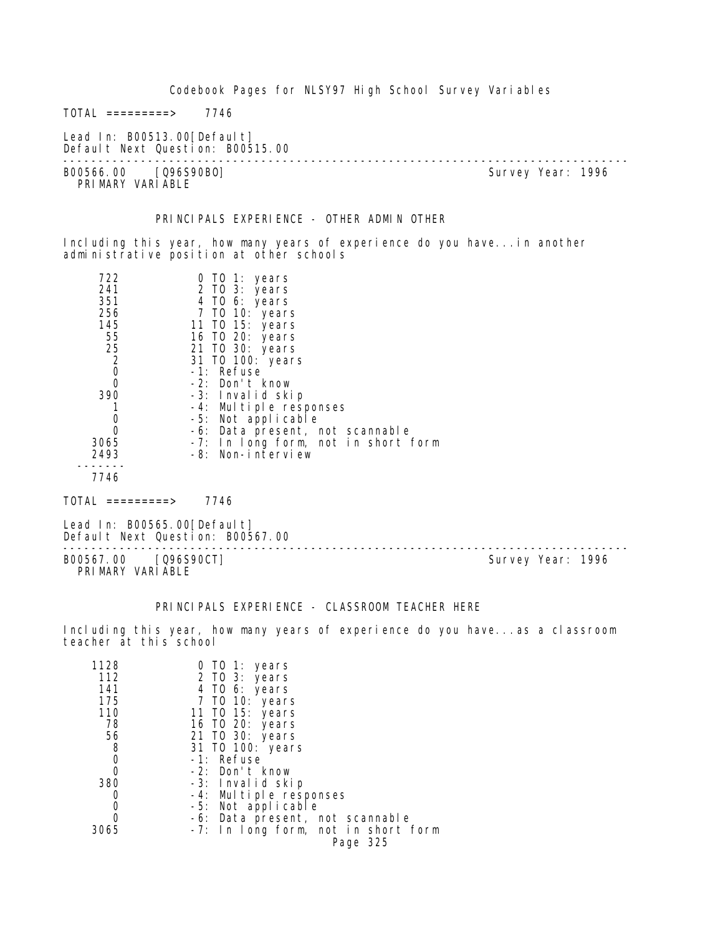|                                                                                                                    | Codebook Pages for NLSY97 High School Survey Variables                                                                                                                                                                                                                                                                                            |  |                   |
|--------------------------------------------------------------------------------------------------------------------|---------------------------------------------------------------------------------------------------------------------------------------------------------------------------------------------------------------------------------------------------------------------------------------------------------------------------------------------------|--|-------------------|
| TOTAL =========>                                                                                                   | 7746                                                                                                                                                                                                                                                                                                                                              |  |                   |
| Lead In: B00513.00 [Default]<br>Default Next Question: B00515.00                                                   |                                                                                                                                                                                                                                                                                                                                                   |  |                   |
| B00566.00 [Q96S90B0]<br>PRIMARY VARIABLE                                                                           |                                                                                                                                                                                                                                                                                                                                                   |  | Survey Year: 1996 |
|                                                                                                                    | PRINCIPALS EXPERIENCE - OTHER ADMIN OTHER                                                                                                                                                                                                                                                                                                         |  |                   |
|                                                                                                                    | Including this year, how many years of experience do you have in another<br>administrative position at other schools                                                                                                                                                                                                                              |  |                   |
| 722<br>241<br>351<br>256<br>145<br>55<br>25<br>2<br>$\mathbf 0$<br>0<br>390<br>1<br>0<br>0<br>3065<br>2493<br>7746 | 0 TO 1: years<br>2 TO 3: years<br>4 TO 6: years<br>7 TO 10: years<br>11 TO 15: years<br>16 TO 20: years<br>21 TO 30: years<br>31 TO 100: years<br>-1: Refuse<br>-2: Don't know<br>-3: Invalid skip<br>-4: Multiple responses<br>-5: Not applicable<br>-6: Data present, not scannable<br>-7: In long form, not in short form<br>-8: Non-interview |  |                   |
| $TOTAL$ =========> 7746                                                                                            |                                                                                                                                                                                                                                                                                                                                                   |  |                   |
| Lead In: B00565.00 [Default]<br>Default Next Question: B00567.00                                                   |                                                                                                                                                                                                                                                                                                                                                   |  |                   |

-------------------------------------------------------------------------------- B00567.00 [Q96S90CT] Survey Year: 1996 PRIMARY VARIABLE

PRINCIPALS EXPERIENCE - CLASSROOM TEACHER HERE

Including this year, how many years of experience do you have...as a classroom teacher at this school

| 1128 | 0 TO 1: years                       |
|------|-------------------------------------|
| 112  | 2 TO 3: years                       |
| 141  | 4 TO 6: years                       |
| 175  | 7 TO 10: years                      |
| 110  | 11 TO 15: years                     |
| 78   | 16 TO 20: years                     |
| 56   | 21 TO 30: years                     |
| 8    | 31 TO 100: years                    |
| 0    | -1: Refuse                          |
|      | -2: Don't know                      |
| 380  | -3: Invalid skip                    |
|      | -4: Multiple responses              |
|      | -5: Not applicable                  |
|      | -6: Data present, not scannable     |
| 3065 | -7: In long form, not in short form |
|      | Page 325                            |
|      |                                     |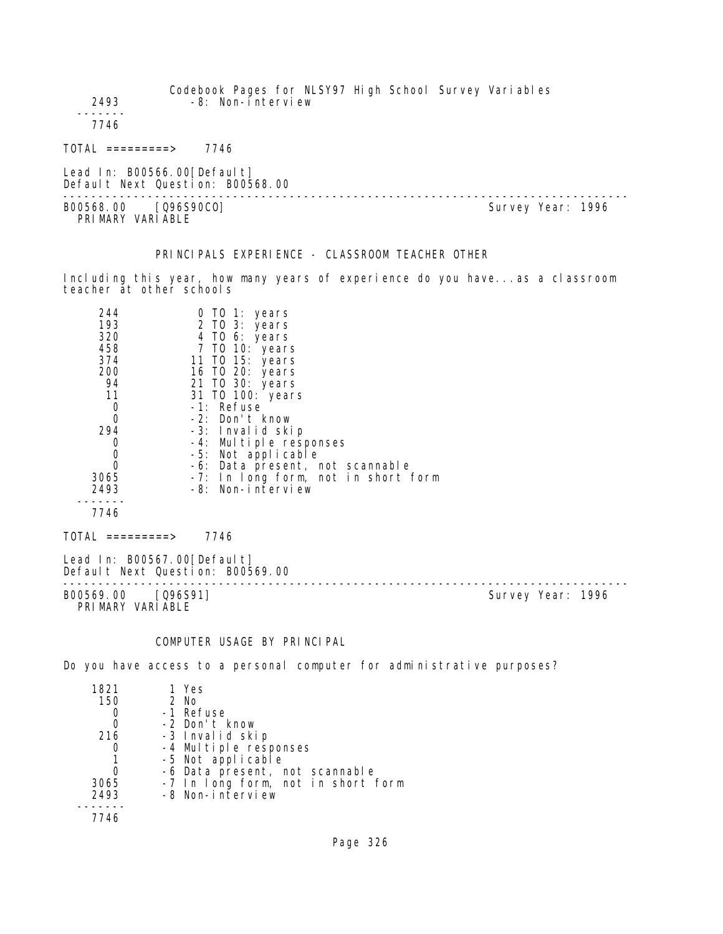| 2493                                     | Codebook Pages for NLSY97 High School Survey Variables<br>-8: Non-interview |  |                   |
|------------------------------------------|-----------------------------------------------------------------------------|--|-------------------|
| 7746                                     |                                                                             |  |                   |
| $\overline{\text{TOTAL}}$ ==========>    | 7746                                                                        |  |                   |
| Lead In: B00566.00 [Default]             | Default Next Question: B00568.00                                            |  |                   |
| B00568.00 [Q96S90C0]<br>PRIMARY VARIABLE |                                                                             |  | Survey Year: 1996 |

# PRINCIPALS EXPERIENCE - CLASSROOM TEACHER OTHER

Including this year, how many years of experience do you have...as a classroom teacher at other schools

| 244  | 0 TO 1: years                       |
|------|-------------------------------------|
| 193  | 2 TO 3: years                       |
| 320  | 4 TO 6: years                       |
| 458  | 7 TO 10: years                      |
| 374  | 11 TO 15: years                     |
| 200  | 16 TO 20: years                     |
| 94   | 21 TO 30: years                     |
| 11   | 31 TO 100: years                    |
| O    | -1: Refuse                          |
| Ω    | -2: Don't know                      |
| 294  | -3: Invalid skip                    |
|      | -4: Multiple responses              |
| Ω    | -5: Not applicable                  |
|      | -6: Data present, not scannable     |
| 3065 | -7: In long form, not in short form |
| 2493 | -8: Non-interview                   |
|      |                                     |
| 7746 |                                     |
|      |                                     |

 $TOTAL$  =========> 7746

Lead In: B00567.00[Default] Default Next Question: B00569.00 --------------------------------------------------------------------------------

B00569.00 [Q96S91] PRIMARY VARIABLE

# COMPUTER USAGE BY PRINCIPAL

Do you have access to a personal computer for administrative purposes?

| 1 Yes                              |
|------------------------------------|
|                                    |
| $2$ No                             |
| -1 Refuse                          |
| -2 Don't know                      |
| -3 Invalid skip                    |
| -4 Multiple responses              |
| -5 Not applicable                  |
| -6 Data present, not scannable     |
| -7 In long form, not in short form |
| -8 Non-interview                   |
|                                    |
|                                    |
|                                    |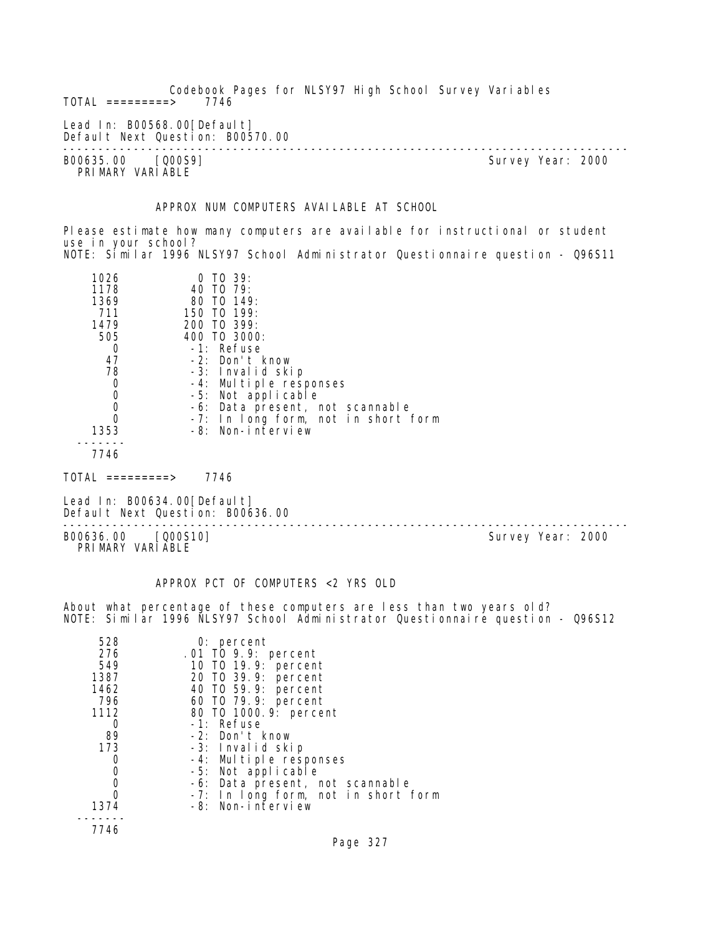Codebook Pages for NLSY97 High School Survey Variables  $TOTAL$  =========> Lead In: B00568.00 [Default] Default Next Question: B00570.00 -------------------------------------------------------------------------------- B00635.00 [Q00S9] Survey Year: 2000 PRIMARY VARIABLE

# APPROX NUM COMPUTERS AVAILABLE AT SCHOOL

Please estimate how many computers are available for instructional or student use in your school? NOTE: Similar 1996 NLSY97 School Administrator Questionnaire question - Q96S11

| 1026   | $0$ TO 39:                          |
|--------|-------------------------------------|
| 1178   | 40 TO 79:                           |
| 1369   | 80 TO 149:                          |
| 711    | 150 TO 199:                         |
| 1479   | 200 TO 399:                         |
| 505    | 400 TO 3000:                        |
|        | -1: Refuse                          |
| 47     | $-2$ : Don't know                   |
| 78     | -3: Invalid skip                    |
|        | -4: Multiple responses              |
|        | -5: Not applicable                  |
|        | -6: Data present, not scannable     |
|        | -7: In long form, not in short form |
| 1353   | -8: Non-interview                   |
| -- - - |                                     |

7746

Lead In: B00634.00[Default] Default Next Question: B00636.00

-------------------------------------------------------------------------------- B00636.00 [Q00S10] Survey Year: 2000 PRIMARY VARIABLE

#### APPROX PCT OF COMPUTERS <2 YRS OLD

About what percentage of these computers are less than two years old? NOTE: Similar 1996 NLSY97 School Administrator Questionnaire question - Q96S12

| 528  | $0:$ percent                        |
|------|-------------------------------------|
| 276  | .01 TO 9.9: percent                 |
| 549  | 10 T0 19.9: percent                 |
| 1387 | 20 T0 39.9: percent                 |
| 1462 | 40 T0 59.9: percent                 |
| 796  | 60 T0 79.9: percent                 |
| 1112 | 80 T0 1000. 9: percent              |
| 0    | -1: Refuse                          |
| 89   | -2: Don't know                      |
| 173  | -3: Invalid skip                    |
| 0    | -4: Multiple responses              |
| 0    | -5: Not applicable                  |
| 0    | -6: Data present, not scannable     |
|      | -7: In long form, not in short form |
| 1374 | -8: Non-interview                   |
|      |                                     |
| 7746 |                                     |

TOTAL =========> 7746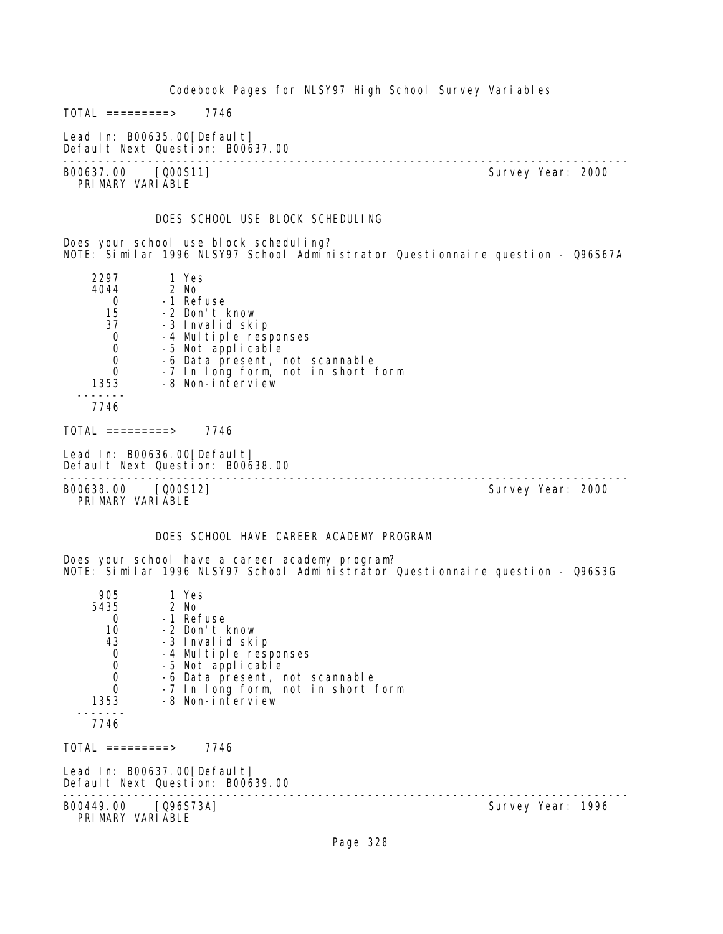Codebook Pages for NLSY97 High School Survey Variables  $TOTAL$  ========> 7746 Lead In: B00635.00 [Default] Default Next Question: B00637.00 -------------------------------------------------------------------------------- Survey Year: 2000 PRIMARY VARIABLE DOES SCHOOL USE BLOCK SCHEDULING Does your school use block scheduling? NOTE: Similar 1996 NLSY97 School Administrator Questionnaire question - Q96S67A 2297 1 Yes 4044 2 No 0 -1 Refuse<br>15 -2 Don't I 15 -2 Don't know 37 -3 Invalid skip<br>O -4 Multiple res 0 -4 Multiple responses<br>0 -5 Not applicable 0 -5 Not applicable 0 -6 Data present, not scannable 0 -7 In long form, not in short form 1353 -8 Non-interview ------- 7746 TOTAL =========> 7746 Lead In: B00636.00 [Default] Default Next Question: B00638.00 -------------------------------------------------------------------------------- B00638.00 [Q00S12] PRIMARY VARIABLE DOES SCHOOL HAVE CAREER ACADEMY PROGRAM Does your school have a career academy program? NOTE: Similar 1996 NLSY97 School Administrator Questionnaire question - Q96S3G 905 1 Yes<br>5435 2 No 2 No 0 -1 Refuse<br>10 -2 Don't I 10 -2 Don't know 43 -3 Invalid skip 0 -4 Multiple responses 0 -5 Not applicable 0 -6 Data present, not scannable<br>0 -7 In Long form not in short 1 0 -7 In long form, not in short form<br>1353 -8 Non-interview -8 Non-interview ------- 7746  $TOTAL$  =========> 7746 Lead In: B00637.00[Default] Default Next Question: B00639.00 -------------------------------------------------------------------------------- Survey Year: 1996 PRIMARY VARIABLE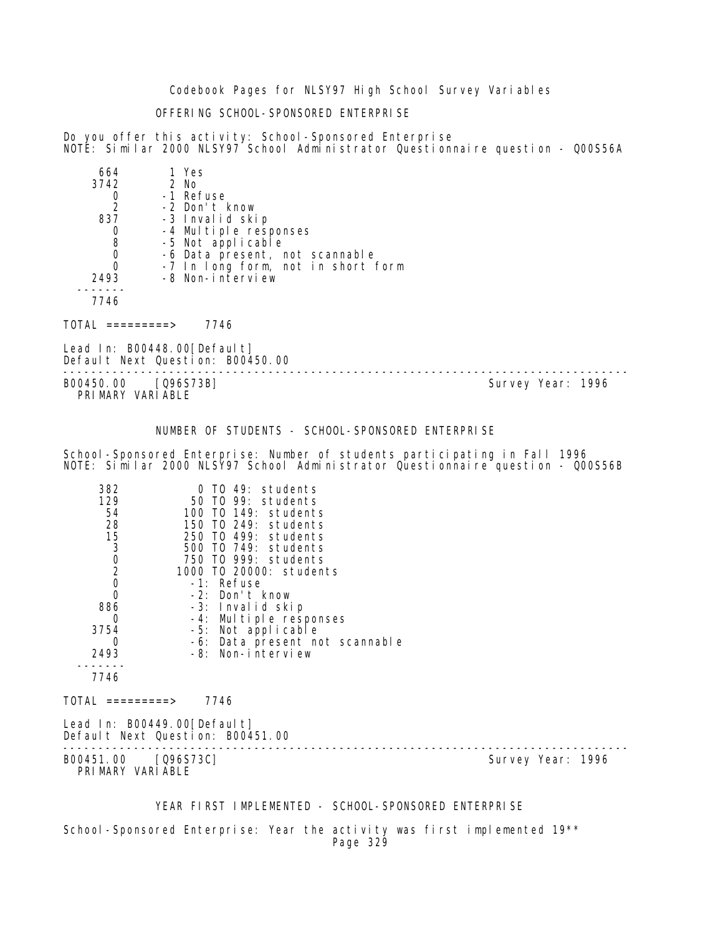Codebook Pages for NLSY97 High School Survey Variables

# OFFERING SCHOOL-SPONSORED ENTERPRISE

Do you offer this activity: School-Sponsored Enterprise NOTE: Similar 2000 NLSY97 School Administrator Questionnaire question - Q00S56A

| 664  | 1 Yes                              |
|------|------------------------------------|
| 3742 | $2$ No                             |
|      | -1 Refuse                          |
| 2    | -2 Don't know                      |
| 837  | -3 Invalid skip                    |
|      | -4 Multiple responses              |
| 8    | -5 Not applicable                  |
|      | -6 Data present, not scannable     |
|      | -7 In long form, not in short form |
| 2493 | -8 Non-interview                   |
|      |                                    |
| 7746 |                                    |
|      |                                    |

TOTAL =========> 7746

Lead In: B00448.00[Default] Default Next Question: B00450.00

-------------------------------------------------------------------------------- Survey Year: 1996 PRIMARY VARIABLE

NUMBER OF STUDENTS - SCHOOL-SPONSORED ENTERPRISE

School-Sponsored Enterprise: Number of students participating in Fall 1996 NOTE: Similar 2000 NLSY97 School Administrator Questionnaire question - Q00S56B

| 382                                     | 0 TO 49: students                                               |                   |  |
|-----------------------------------------|-----------------------------------------------------------------|-------------------|--|
| 129<br>54                               | 50 TO 99: students<br>100 TO 149: students                      |                   |  |
| 28                                      | 150 TO 249: students                                            |                   |  |
|                                         | 250 TO 499: students                                            |                   |  |
| 15<br>3<br>0<br>2<br>0                  | 500 T0 749: students                                            |                   |  |
|                                         | 750 TO 999: students                                            |                   |  |
|                                         | 1000 TO 20000: students                                         |                   |  |
|                                         | -1: Refuse                                                      |                   |  |
| $\mathbf 0$                             | -2: Don't know                                                  |                   |  |
| 886                                     | -3: Invalid skip                                                |                   |  |
| 0                                       | -4: Multiple responses                                          |                   |  |
| 3754<br>0                               | -5: Not applicable                                              |                   |  |
| 2493                                    | -6: Data present not scannable<br>-8: Non-interview             |                   |  |
|                                         |                                                                 |                   |  |
| 7746                                    |                                                                 |                   |  |
| TOTAL =========>                        | 7746                                                            |                   |  |
|                                         | Lead In: B00449.00[Default]<br>Default Next Question: B00451.00 |                   |  |
| B00451.00 [Q96S73C]<br>PRIMARY VARIABLE |                                                                 | Survey Year: 1996 |  |
|                                         | YEAR FIRST IMPLEMENTED - SCHOOL-SPONSORED ENTERPRISE            |                   |  |

School-Sponsored Enterprise: Year the activity was first implemented 19<sup>\*\*</sup> Page 329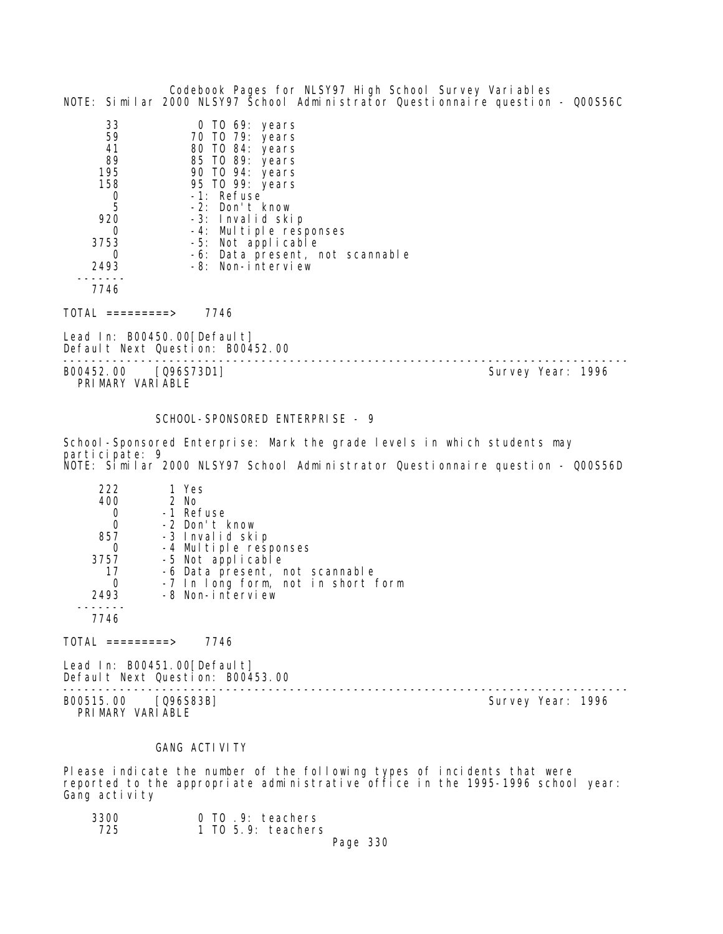|                                                                                                                 | Codebook Pages for NLSY97 High School Survey Variables<br>NOTE: Similar 2000 NLSY97 School Administrator Questionnaire question - Q00S56C                                                                                                                                 |                   |  |
|-----------------------------------------------------------------------------------------------------------------|---------------------------------------------------------------------------------------------------------------------------------------------------------------------------------------------------------------------------------------------------------------------------|-------------------|--|
| 33<br>59<br>41<br>89<br>195<br>158<br>$\begin{array}{c} 0 \\ 5 \end{array}$<br>920<br>0<br>3753<br>2493<br>7746 | 0 TO 69: years<br>70 TO 79: years<br>80 TO 84: years<br>85 TO 89: years<br>90 TO 94: years<br>95 TO 99: years<br>-1: Refuse<br>-2: Don't know<br>-3: Invalid skip<br>-4: Multiple responses<br>-5: Not applicable<br>-6: Data present, not scannable<br>-8: Non-interview |                   |  |
| $TOTAL$ ==========>                                                                                             | 7746                                                                                                                                                                                                                                                                      |                   |  |
| Lead In: $B00450.00[Defaul t]$                                                                                  | Default Next Question: B00452.00                                                                                                                                                                                                                                          |                   |  |
| B00452.00                                                                                                       | [Q96S73D1]                                                                                                                                                                                                                                                                | Survey Year: 1996 |  |

PRIMARY VARIABLE

### SCHOOL-SPONSORED ENTERPRISE - 9

School-Sponsored Enterprise: Mark the grade levels in which students may participate: 9 NOTE: Similar 2000 NLSY97 School Administrator Questionnaire question - Q00S56D

| 222  | 1 Yes                              |
|------|------------------------------------|
| 400  | $2$ No                             |
|      | -1 Refuse                          |
|      | -2 Don't know                      |
| 857  | -3 Invalid skip                    |
|      | -4 Multiple responses              |
| 3757 | -5 Not applicable                  |
| 17   | -6 Data present, not scannable     |
|      | -7 In long form, not in short form |
| 2493 |                                    |
|      |                                    |
|      | -8 Non-interview                   |

7746

 $TOTAL$  =========> 7746

Lead In: B00451.00[Default] Default Next Question: B00453.00

-------------------------------------------------------------------------------- B00515.00 [Q96S83B] Survey Year: 1996 PRIMARY VARIABLE

#### **GANG ACTIVITY**

Please indicate the number of the following types of incidents that were reported to the appropriate administrative office in the 1995-1996 school year: Gang activity

| 3300 | 0 TO .9: teachers    |
|------|----------------------|
| 725  | $1$ TO 5.9: teachers |
|      | Page 330             |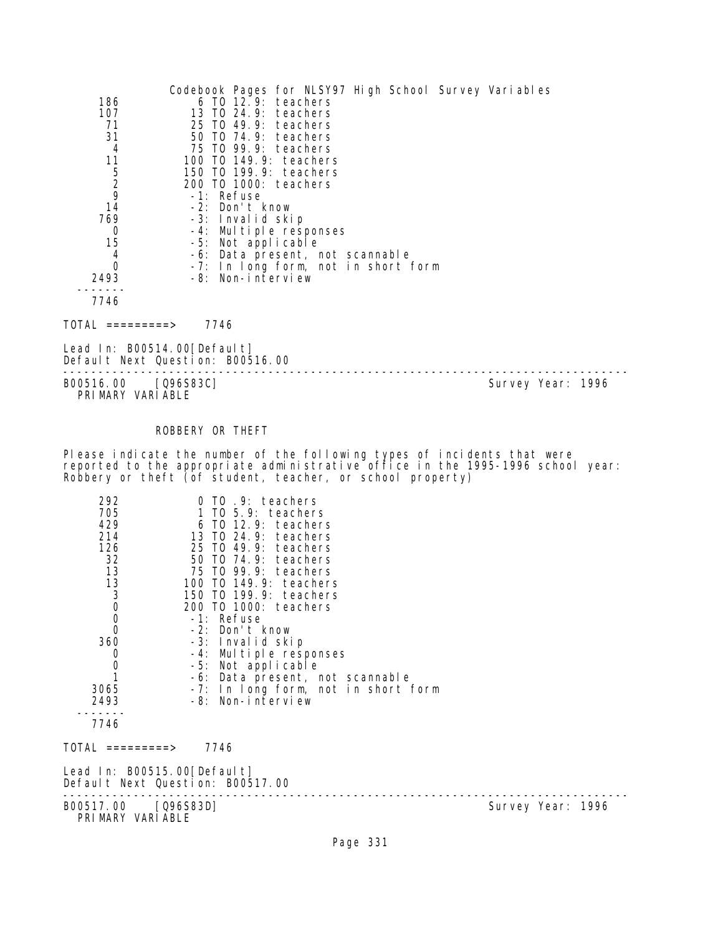|               | Codebook Pages for NLSY97 High School Survey Variables |
|---------------|--------------------------------------------------------|
| 186           | $6$ TO $12.9$ : teachers                               |
| 107           | 13 TO 24.9: teachers                                   |
| 71            | 25 TO 49.9: teachers                                   |
| 31            | 50 TO 74.9: teachers                                   |
| 4             | 75 TO 99.9: teachers                                   |
| 11            | 100 T0 149.9: teachers                                 |
| $\frac{5}{2}$ | 150 TO 199.9: teachers                                 |
|               | 200 TO 1000: teachers                                  |
| 9             | -1: Refuse                                             |
| 14            | -2: Don't know                                         |
| 769           | -3: Invalid skip                                       |
| 0             | -4: Multiple responses                                 |
| 15            | -5: Not applicable                                     |
| 4             | -6: Data present, not scannable                        |
| 0             | -7: In long form, not in short form                    |
| 2493          | -8: Non-interview                                      |
|               |                                                        |
| 7746          |                                                        |

TOTAL =========> 7746

Lead In: B00514.00[Default] Default Next Question: B00516.00

-------------------------------------------------------------------------------- Survey Year: 1996 PRIMARY VARIABLE

# ROBBERY OR THEFT

Please indicate the number of the following types of incidents that were reported to the appropriate administrative office in the 1995-1996 school year: Robbery or theft (of student, teacher, or school property)

| 292<br>705<br>429<br>214<br>126<br>32<br>13<br>$\begin{array}{c}\n 13 \\ 3 \\ 0 \\ 0\n \end{array}$<br>$\overline{0}$<br>360<br>$\mathbf 0$<br>$\begin{smallmatrix}0\\1\end{smallmatrix}$<br>3065<br>2493<br>7746<br>TOTAL =========> | 0 TO .9: teachers<br>1 TO 5.9: teachers<br>$6$ TO 12.9: teachers<br>13 TO 24.9: teachers<br>25 TO 49.9: teachers<br>50 TO 74.9: teachers<br>75 TO 99.9: teachers<br>100 TO 149.9: teachers<br>150 TO 199.9: teachers<br>200 T0 1000: teachers<br>-1: Refuse<br>-2: Don't know<br>-3: Invalid skip<br>-4: Multiple responses<br>-5: Not applicable<br>-6: Data present, not scannable<br>-7: In long form, not in short form<br>-8: Non-interview<br>7746 |                   |
|---------------------------------------------------------------------------------------------------------------------------------------------------------------------------------------------------------------------------------------|----------------------------------------------------------------------------------------------------------------------------------------------------------------------------------------------------------------------------------------------------------------------------------------------------------------------------------------------------------------------------------------------------------------------------------------------------------|-------------------|
|                                                                                                                                                                                                                                       | Lead In: B00515.00[Default]<br>Default Next Question: B00517.00                                                                                                                                                                                                                                                                                                                                                                                          |                   |
| B00517.00                                                                                                                                                                                                                             | $[Q96S83D]$                                                                                                                                                                                                                                                                                                                                                                                                                                              | Survey Year: 1996 |

PRIMARY VARIABLE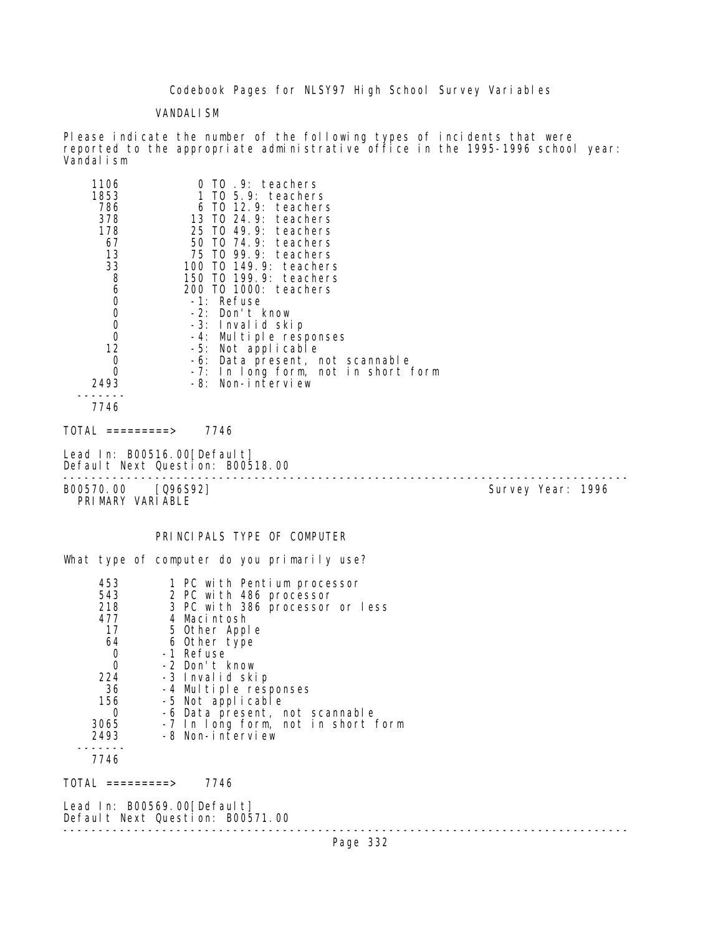Codebook Pages for NLSY97 High School Survey Variables

VANDALISM

Please indicate the number of the following types of incidents that were reported to the appropriate administrative office in the 1995-1996 school year: Vandalism

| 1106<br>1853<br>786<br>378<br>178<br>67<br>13<br>33<br>8<br>6<br>0<br>0<br>0<br>0<br>12<br>0<br>0<br>2493<br>7746<br>TOTAL =========> | 0 TO .9: teachers<br>TO 5.9: teachers<br>6 T0 12.9: teachers<br>13 TO 24.9: teachers<br>25 TO 49.9: teachers<br>50 T0 74.9: teachers<br>75 TO 99.9: teachers<br>100 T0 149.9: teachers<br>150 T0 199.9: teachers<br>200 T0 1000: teachers<br>-1: Refuse<br>-2: Don't know<br>-3: Invalid skip<br>-4: Multiple responses<br>-5: Not applicable<br>-6: Data present, not scannable<br>-7: In long form, not in short form<br>-8: Non-interview<br>7746 |                   |  |
|---------------------------------------------------------------------------------------------------------------------------------------|------------------------------------------------------------------------------------------------------------------------------------------------------------------------------------------------------------------------------------------------------------------------------------------------------------------------------------------------------------------------------------------------------------------------------------------------------|-------------------|--|
| Lead In: B00516.00[Default]                                                                                                           |                                                                                                                                                                                                                                                                                                                                                                                                                                                      |                   |  |
|                                                                                                                                       | Default Next Question: B00518.00                                                                                                                                                                                                                                                                                                                                                                                                                     |                   |  |
| B00570.00 [Q96S92]<br>PRIMARY VARIABLE                                                                                                |                                                                                                                                                                                                                                                                                                                                                                                                                                                      | Survey Year: 1996 |  |
| 453<br>543<br>218<br>477<br>17<br>64<br>0<br>0<br>224<br>36<br>156<br>0<br>3065<br>2493<br>7746                                       | PRINCIPALS TYPE OF COMPUTER<br>What type of computer do you primarily use?<br>1 PC with Pentium processor<br>2 PC with 486 processor<br>3 PC with 386 processor or less<br>4 Macintosh<br>5 Other Apple<br>6 Other type<br>-1 Refuse<br>-2 Don't know<br>-3 Invalid skip<br>-4 Multiple responses<br>-5 Not applicable<br>-6 Data present, not scannable<br>-7 In long form, not in short form<br>-8 Non-interview                                   |                   |  |
| TOTAL =========><br>Lead In: B00569.00[Default]                                                                                       | 7746                                                                                                                                                                                                                                                                                                                                                                                                                                                 |                   |  |
|                                                                                                                                       | Default Next Question: B00571.00                                                                                                                                                                                                                                                                                                                                                                                                                     |                   |  |
|                                                                                                                                       |                                                                                                                                                                                                                                                                                                                                                                                                                                                      |                   |  |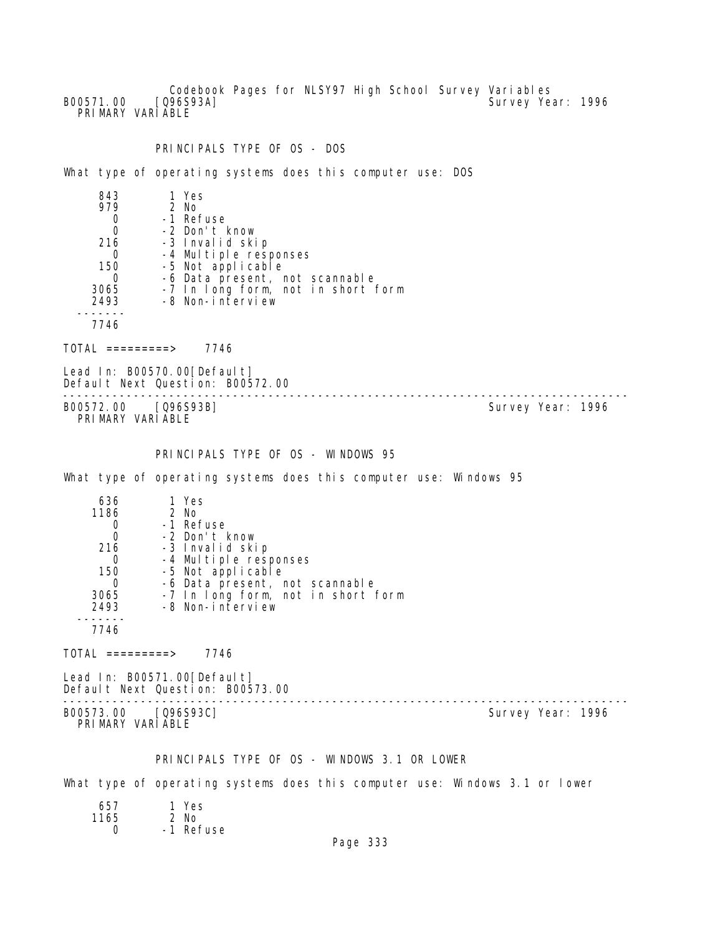Codebook Pages for NLSY97 High School Survey Variables B00571.00 [Q96S93A] Survey Year: 1996 PRIMARY VARIABLE

#### PRINCIPALS TYPE OF OS - DOS

What type of operating systems does this computer use: DOS

| 843      | 1 Yes                              |
|----------|------------------------------------|
| 979      | $2$ No                             |
|          | -1 Refuse                          |
|          | -2 Don't know                      |
| 216      | -3 Invalid skip                    |
| $\Omega$ | -4 Multiple responses              |
| 150      | -5 Not applicable                  |
|          | -6 Data present, not scannable     |
| 3065     | -7 In long form, not in short form |
| 2493     | -8 Non-interview                   |
|          |                                    |
| 7746     |                                    |

TOTAL =========> 7746

Lead In: B00570.00 [Default] Default Next Question: B00572.00

-------------------------------------------------------------------------------- B00572.00 [Q96S93B] PRIMARY VARIABLE

# PRINCIPALS TYPE OF OS - WINDOWS 95

What type of operating systems does this computer use: Windows 95

| 636  | 1 Yes                              |
|------|------------------------------------|
| 1186 | 2 No                               |
|      | -1 Refuse                          |
|      | -2 Don't know                      |
| 216  | -3 Invalid skip                    |
|      | -4 Multiple responses              |
| 150  | -5 Not applicable                  |
|      | -6 Data present, not scannable     |
| 3065 | -7 In long form, not in short form |
| 2493 | -8 Non-interview                   |
|      |                                    |
| 7746 |                                    |

 $TOTAL$  =========> 7746

Lead In: B00571.00 [Default] Default Next Question: B00573.00

B00573.00 [Q96S93C] PRI MARY VARI ABLE

--------------------------------------------------------------------------------

# PRINCIPALS TYPE OF OS - WINDOWS 3.1 OR LOWER

What type of operating systems does this computer use: Windows 3.1 or lower

| 657  | 1 Yes     |
|------|-----------|
| 1165 | $2$ No    |
| Ω    | -1 Refuse |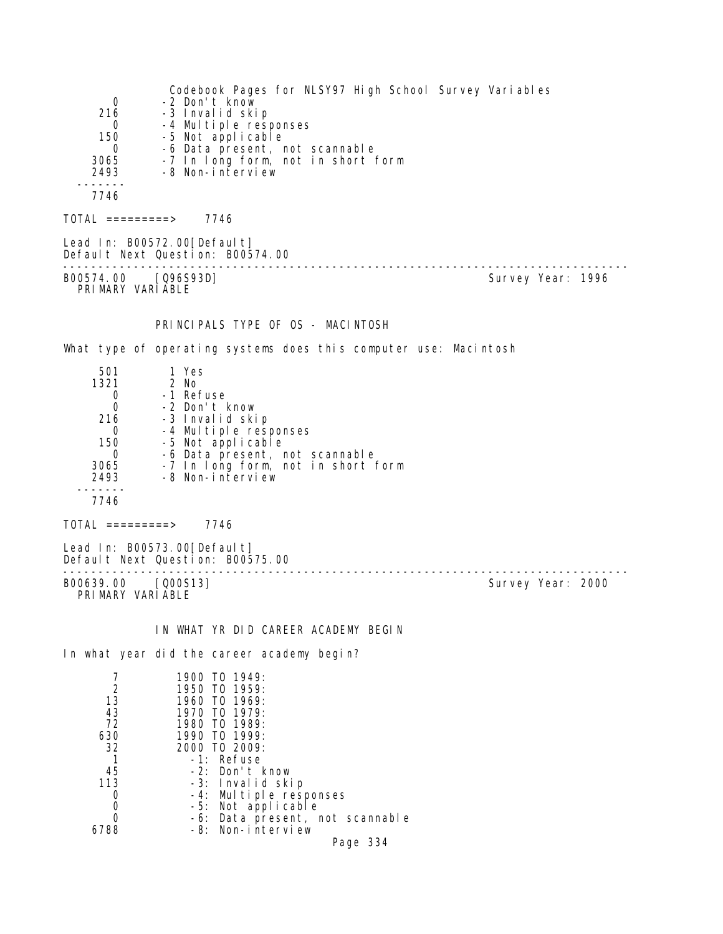Codebook Pages for NLSY97 High School Survey Variables 0 -2 Don't know<br>216 -3 Invalid ski 16 -3 Invalid skip<br>0 -4 Multiple resu 0 -4 Multiple responses<br>150 -5 Not applicable 150 -5 Not applicable 0 -6 Data present, not scannable 3065 -7 In long form, not in short form 3065 -7 In long form,<br>2493 -8 Non-interview ------- 7746 TOTAL =========> 7746 Lead In: B00572.00 [Default] Default Next Question: B00574.00 -------------------------------------------------------------------------------- Survey Year: 1996 PRIMARY VARIABLE PRINCIPALS TYPE OF OS - MACINTOSH What type of operating systems does this computer use: Macintosh 501 1 Yes  $\frac{1321}{0}$  0 -1 Refuse 0 -2 Don't know -3 Invalid skip 0 -4 Multiple responses 150 -5 Not applicable 0 -6 Data present, not scannable 3065 -7 In long form, not in short form 2493 -8 Non-interview ------- 7746 TOTAL =========> 7746 Lead In: B00573.00 [Default] Default Next Question: B00575.00 -------------------------------------------------------------------------------- Survey Year: 2000 PRIMARY VARIABLE IN WHAT YR DID CAREER ACADEMY BEGIN In what year did the career academy begin? 7 1900 TO 1949:<br>2 1950 TO 1959: 2 1950 TO 1959:<br>13 1960 TO 1969: 13 1960 TO 1969:<br>43 1970 TO 1979: 43 1970 TO 1979: 72 1980 TO 1989: 630 1990 TO 1999: 32 2000 TO 2009: 1 -1: Refuse 45 -2: Don't know 113 -3: Invalid skip 0 -4: Multiple responses

- 0 -5: Not applicable<br>0 -6: Data present. n 0 -6: Data present, not scannable<br>6788 -8: Non-interview
	- -8: Non-interview Page 334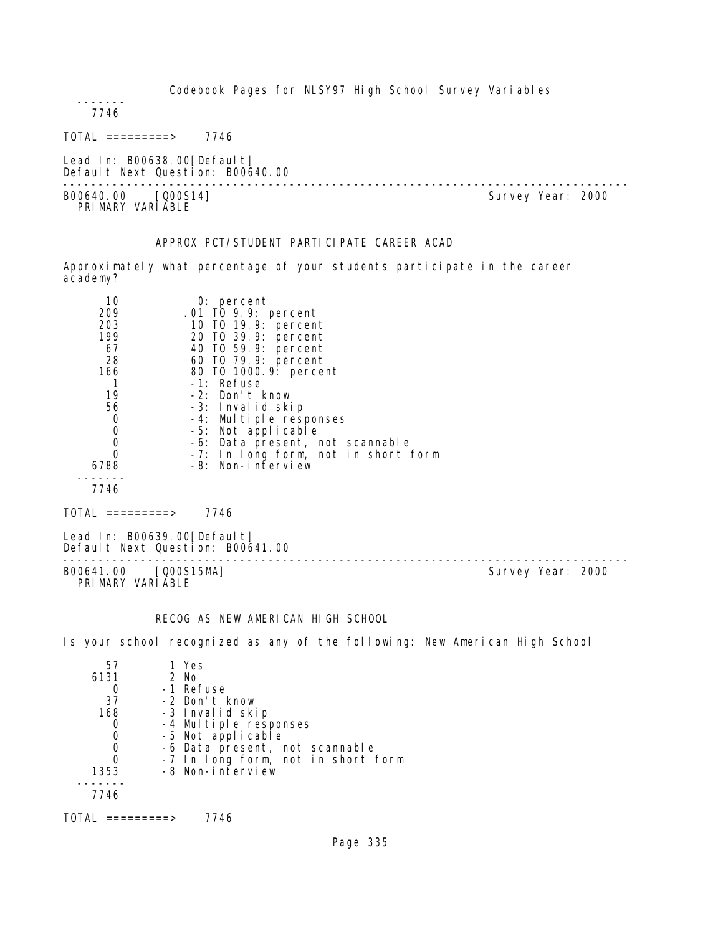Codebook Pages for NLSY97 High School Survey Variables

 ------- 7746

 $TOTAL$  =========> 7746

Lead In: B00638.00[Default] Default Next Question: B00640.00

--------------------------------------------------------------------------------

B00640.00 [Q00S14] PRI MARY VARI ABLE

# APPROX PCT/STUDENT PARTICIPATE CAREER ACAD

Approximately what percentage of your students participate in the career academy?

| 10   | $0:$ percent                        |
|------|-------------------------------------|
| 209  | .01 TO 9.9: percent                 |
| 203  | 10 T0 19.9: percent                 |
| 199  | 20 TO 39.9: percent                 |
| 67   | 40 T0 59.9: percent                 |
| 28   | 60 T0 79.9: percent                 |
| 166  | 80 T0 1000. 9: percent              |
|      | -1: Refuse                          |
| 19   | -2: Don't know                      |
| 56   | -3: Invalid skip                    |
| 0    | -4: Multiple responses              |
| 0    | -5: Not applicable                  |
| 0    | -6: Data present, not scannable     |
|      | -7: In long form, not in short form |
| 6788 | -8: Non-interview                   |
|      |                                     |
| 7746 |                                     |

 $TOTAL$  =========> 7746

Lead In: B00639.00[Default] Default Next Question: B00641.00

B00641.00 [Q00S15MA] Survey Year: 2000 PRIMARY VARIABLE

--------------------------------------------------------------------------------

# RECOG AS NEW AMERICAN HIGH SCHOOL

Is your school recognized as any of the following: New American High School

| 57   | 1 Yes                              |
|------|------------------------------------|
| 6131 | 2 No                               |
|      | -1 Refuse                          |
| 37   | -2 Don't know                      |
| 168  | -3 Invalid skip                    |
|      | -4 Multiple responses              |
|      | -5 Not applicable                  |
|      | -6 Data present, not scannable     |
|      | -7 In long form, not in short form |
| 1353 | -8 Non-interview                   |
|      |                                    |
| 7746 |                                    |
|      |                                    |

TOTAL =========> 7746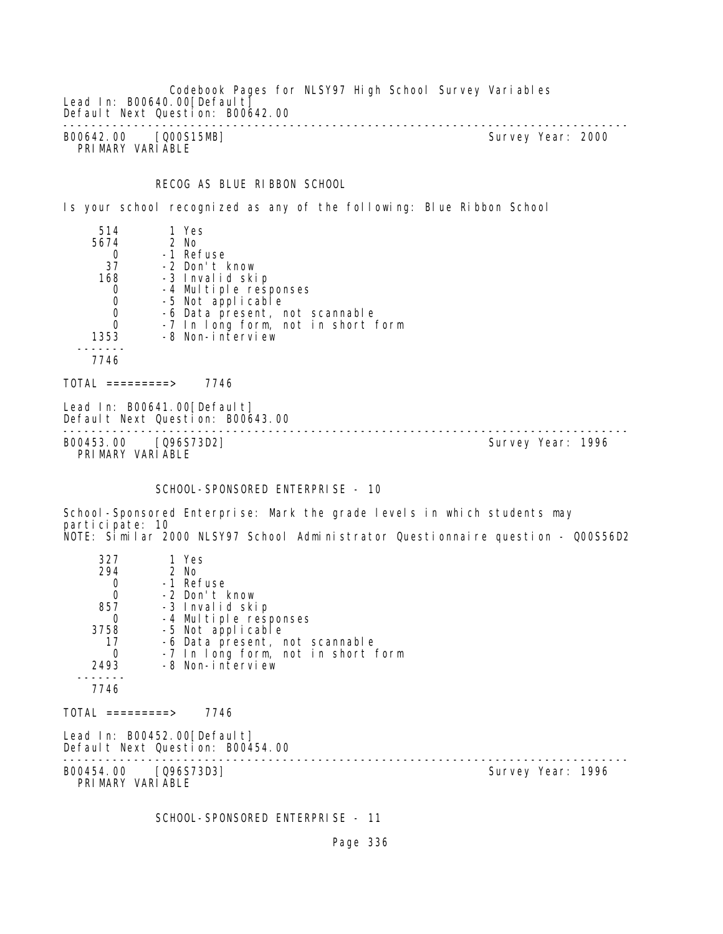Codebook Pages for NLSY97 High School Survey Variables Lead In: B00640.00 [Default] Default Next Question: B00642.00 -------------------------------------------------------------------------------- B00642.00 [Q00S15MB] Survey Year: 2000 PRIMARY VARIABLE

RECOG AS BLUE RIBBON SCHOOL

Is your school recognized as any of the following: Blue Ribbon School

| 514  | 1 Yes                              |
|------|------------------------------------|
| 5674 | 2 No                               |
|      | -1 Refuse                          |
| 37   | -2 Don't know                      |
| 168  | -3 Invalid skip                    |
|      | -4 Multiple responses              |
| 0    | -5 Not applicable                  |
| 0    | -6 Data present, not scannable     |
| 0    | -7 In long form, not in short form |
| 1353 | -8 Non-interview                   |
|      |                                    |
| 7746 |                                    |
|      |                                    |

 $TOTAL$  =========> 7746

Lead In: B00641.00 [Default] Default Next Question: B00643.00

-------------------------------------------------------------------------------- B00453.00 [Q96S73D2] Survey Year: 1996 PRIMARY VARIABLE

#### SCHOOL-SPONSORED ENTERPRISE - 10

School-Sponsored Enterprise: Mark the grade levels in which students may participate: 10 NOTE: Similar 2000 NLSY97 School Administrator Questionnaire question - Q00S56D2

| 327                                      | 1 Yes                                                           |                   |  |
|------------------------------------------|-----------------------------------------------------------------|-------------------|--|
| 294                                      | 2 No                                                            |                   |  |
| 0                                        | -1 Refuse                                                       |                   |  |
| $\overline{0}$                           | -2 Don't know                                                   |                   |  |
| 857                                      | -3 Invalid skip                                                 |                   |  |
| 0                                        | -4 Multiple responses                                           |                   |  |
| 3758                                     | -5 Not applicable                                               |                   |  |
| 17                                       | -6 Data present, not scannable                                  |                   |  |
| $\Omega$                                 | -7 In long form, not in short form                              |                   |  |
| 2493                                     | -8 Non-interview                                                |                   |  |
| 7746                                     |                                                                 |                   |  |
|                                          |                                                                 |                   |  |
| $\text{TOTAL}$ =========>                | 7746                                                            |                   |  |
|                                          | Lead In: B00452.00[Default]<br>Default Next Question: B00454.00 |                   |  |
| B00454.00 [Q96S73D3]<br>PRIMARY VARIABLE |                                                                 | Survey Year: 1996 |  |
|                                          |                                                                 |                   |  |

SCHOOL-SPONSORED ENTERPRISE - 11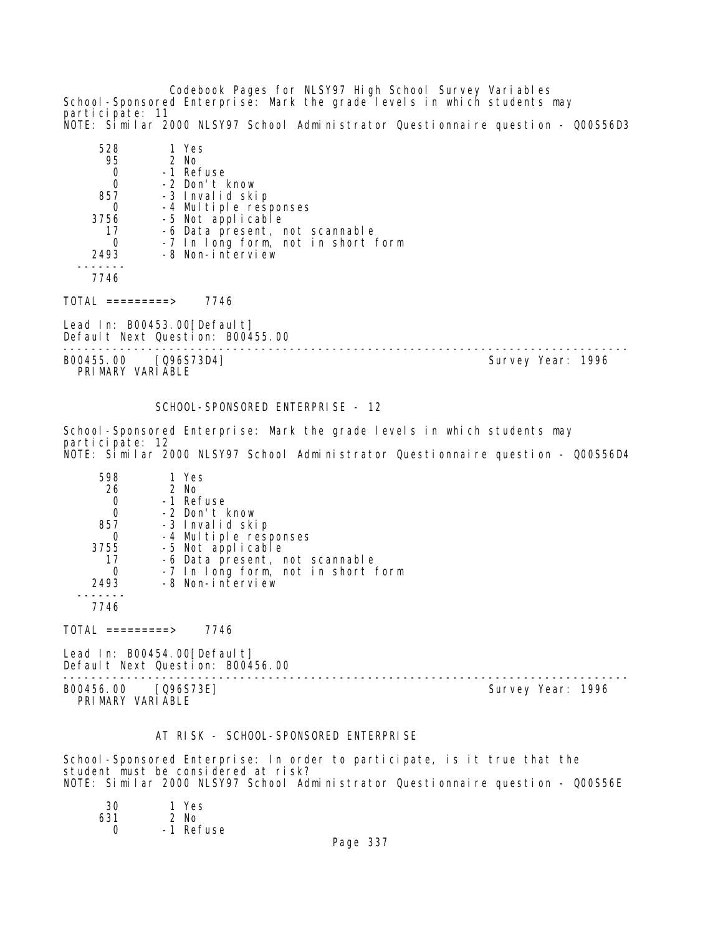Codebook Pages for NLSY97 High School Survey Variables School-Sponsored Enterprise: Mark the grade levels in which students may participate: 11 NOTE: Similar 2000 NLSY97 School Administrator Questionnaire question - Q00S56D3

| 528<br>95 | 1 Yes<br>$2$ No                    |
|-----------|------------------------------------|
|           | -1 Refuse                          |
| 0         | -2 Don't know                      |
| 857       | -3 Invalid skip                    |
|           | -4 Multiple responses              |
| 3756      | -5 Not applicable                  |
| 17        | -6 Data present, not scannable     |
|           | -7 In long form, not in short form |
| 2493      | -8 Non-interview                   |
|           |                                    |
| 7746      |                                    |

TOTAL =========> 7746

Lead In: B00453.00[Default] Default Next Question: B00455.00

B00455.00 [Q96S73D4] Survey Year: 1996 PRIMARY VARIABLE

--------------------------------------------------------------------------------

SCHOOL-SPONSORED ENTERPRISE - 12

School-Sponsored Enterprise: Mark the grade levels in which students may participate: 12 NOTE: Similar 2000 NLSY97 School Administrator Questionnaire question - Q00S56D4

| 598  | 1 Yes                              |
|------|------------------------------------|
| 26   | 2 No                               |
|      | -1 Refuse                          |
|      | -2 Don't know                      |
| 857  | -3 Invalid skip                    |
|      | -4 Multiple responses              |
| 3755 | -5 Not applicable                  |
| 17   | -6 Data present, not scannable     |
|      | -7 In long form, not in short form |
| 2493 | -8 Non-interview                   |
|      |                                    |
| 7746 |                                    |

 $TOTAL$  =========> 7746

Lead In: B00454.00[Default] Default Next Question: B00456.00

-------------------------------------------------------------------------------- B00456.00 [Q96S73E] Survey Year: 1996 PRIMARY VARIABLE

#### AT RISK - SCHOOL-SPONSORED ENTERPRISE

School-Sponsored Enterprise: In order to participate, is it true that the student must be considered at risk? NOTE: Similar 2000 NLSY97 School Administrator Questionnaire question - Q00S56E

| 30  | 1 Yes     |
|-----|-----------|
| 631 | 2 No      |
| Ω   | -1 Refuse |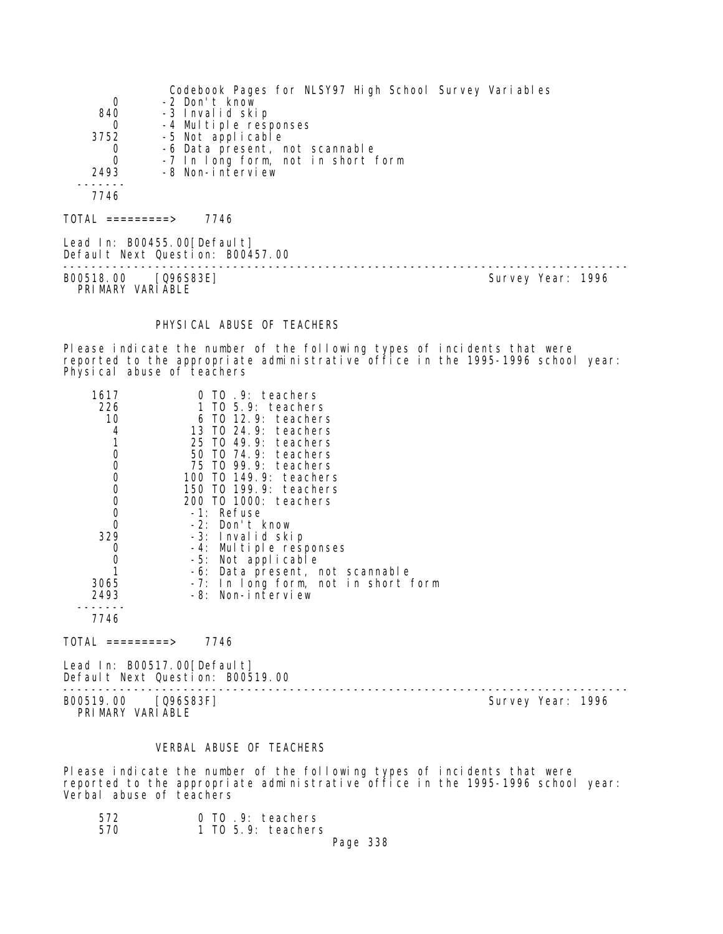|                     | Codebook Pages for NLSY97 High School Survey Variables           |  |
|---------------------|------------------------------------------------------------------|--|
| 0                   | -2 Don't know                                                    |  |
| 840                 | -3 Invalid skip                                                  |  |
| 0                   | -4 Multiple responses                                            |  |
| 3752                | -5 Not applicable                                                |  |
| 0                   | -6 Data present, not scannable                                   |  |
| 0                   | -7 In long form, not in short form                               |  |
| 2493                | -8 Non-interview                                                 |  |
|                     |                                                                  |  |
| 7746                |                                                                  |  |
| $TOTAL$ ==========> | 7746                                                             |  |
|                     | Lead In: B00455.00 [Default]<br>Default Next Question: B00457.00 |  |

-------------------------------------------------------------------------------- B00518.00 [Q96S83E] Survey Year: 1996

PRIMARY VARIABLE

# PHYSICAL ABUSE OF TEACHERS

Please indicate the number of the following types of incidents that were reported to the appropriate administrative office in the 1995-1996 school year: Physical abuse of teachers

| 1617<br>226<br>10<br>4<br>1<br>$\mathbf 0$<br>$\mathbf 0$<br>$\mathbf 0$<br>000<br>0<br>329<br>0<br>$\mathbf 0$<br>1<br>3065<br>2493 | TO 9: teachers<br>$T0$ 5.9: teachers<br>$6$ TO 12.9: teachers<br>13 TO 24.9: teachers<br>25 TO 49.9:<br>teachers<br>50 TO 74.9: teachers<br>75 TO 99.9: teachers<br>100 TO 149.9: teachers<br>150 TO 199.9: teachers<br>200 TO 1000: teachers<br>-1: Refuse<br>-2: Don't know<br>-3: Invalid skip<br>-4: Multiple responses<br>-5: Not applicable<br>-6: Data present, not scannable<br>-7: In long form, not in short form<br>-8: Non-interview |                   |
|--------------------------------------------------------------------------------------------------------------------------------------|--------------------------------------------------------------------------------------------------------------------------------------------------------------------------------------------------------------------------------------------------------------------------------------------------------------------------------------------------------------------------------------------------------------------------------------------------|-------------------|
| 7746<br>$\overline{O}TAL$ ==========>                                                                                                | 7746                                                                                                                                                                                                                                                                                                                                                                                                                                             |                   |
|                                                                                                                                      | Lead In: B00517.00 [Default]                                                                                                                                                                                                                                                                                                                                                                                                                     |                   |
|                                                                                                                                      | Default Next Question: B00519.00                                                                                                                                                                                                                                                                                                                                                                                                                 |                   |
| B00519.00                                                                                                                            | [Q96S83F]                                                                                                                                                                                                                                                                                                                                                                                                                                        | Survey Year: 1996 |

B00519.00 [Q96S83F] Survey Year: 1996 PRIMARY VARIABLE

#### VERBAL ABUSE OF TEACHERS

Please indicate the number of the following types of incidents that were reported to the appropriate administrative office in the 1995-1996 school year: Verbal abuse of teachers

| 572 | 0 TO .9: teachers    |
|-----|----------------------|
| 570 | $1$ TO 5.9: teachers |
|     | Page 338             |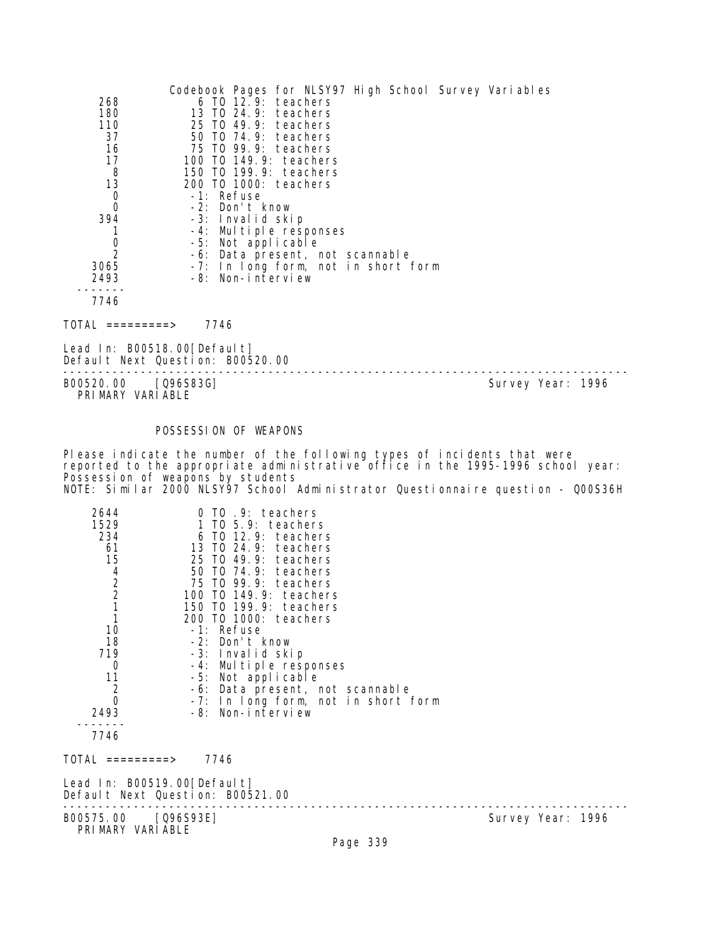|                | Codebook Pages for NLSY97 High School Survey Variables |
|----------------|--------------------------------------------------------|
| 268            | $6$ TO $12.9$ : teachers                               |
| 180            | 13 TO 24.9: teachers                                   |
| 110            | 25 TO 49.9: teachers                                   |
| 37             | 50 TO 74.9: teachers                                   |
| 16             | 75 TO 99.9: teachers                                   |
| 17             | 100 TO 149.9: teachers                                 |
| 8              | 150 TO 199.9: teachers                                 |
| 13             | 200 TO 1000: teachers                                  |
| $\mathbf 0$    | -1: Refuse                                             |
| $\mathbf 0$    | -2: Don't know                                         |
| 394            | -3: Invalid skip                                       |
|                | -4: Multiple responses                                 |
| 0              | -5: Not applicable                                     |
| $\overline{2}$ | -6: Data present, not scannable                        |
| 3065           | -7: In long form, not in short form                    |
| 2493           | -8: Non-interview                                      |
|                |                                                        |
| 7746           |                                                        |

TOTAL =========> 7746

Lead In: B00518.00[Default] Default Next Question: B00520.00

-------------------------------------------------------------------------------- Survey Year: 1996 PRIMARY VARIABLE

# POSSESSION OF WEAPONS

Please indicate the number of the following types of incidents that were reported to the appropriate administrative office in the 1995-1996 school year: Possession of weapons by students NOTE: Similar 2000 NLSY97 School Administrator Questionnaire question - Q00S36H

| 2644<br>1529<br>234<br>61<br>15<br>$\frac{4}{2}$<br>$\frac{2}{1}$<br>10<br>18<br>719<br>0<br>11<br>$\overline{c}$<br>$\overline{0}$<br>2493 | $0$ TO $.9$ : teachers<br>1 TO 5.9: teachers<br>$6$ TO 12.9: teachers<br>13 TO 24.9: teachers<br>25 TO 49.9: teachers<br>50 TO 74.9: teachers<br>75 TO 99.9: teachers<br>100 TO 149.9: teachers<br>150 TO 199.9: teachers<br>200 TO 1000: teachers<br>-1: Refuse<br>-2: Don't know<br>-3: Invalid skip<br>-4: Multiple responses<br>-5: Not applicable<br>-6: Data present, not scannable<br>-7: In long form, not in short form<br>-8: Non-interview |                   |  |
|---------------------------------------------------------------------------------------------------------------------------------------------|-------------------------------------------------------------------------------------------------------------------------------------------------------------------------------------------------------------------------------------------------------------------------------------------------------------------------------------------------------------------------------------------------------------------------------------------------------|-------------------|--|
| 7746                                                                                                                                        |                                                                                                                                                                                                                                                                                                                                                                                                                                                       |                   |  |
| $\text{TOTAL}$ =========>                                                                                                                   | 7746                                                                                                                                                                                                                                                                                                                                                                                                                                                  |                   |  |
| Lead In: B00519.00[Default]                                                                                                                 | Default Next Question: B00521.00                                                                                                                                                                                                                                                                                                                                                                                                                      |                   |  |
| B00575.00 [Q96S93E]<br>PRIMARY VARIABLE                                                                                                     |                                                                                                                                                                                                                                                                                                                                                                                                                                                       | Survey Year: 1996 |  |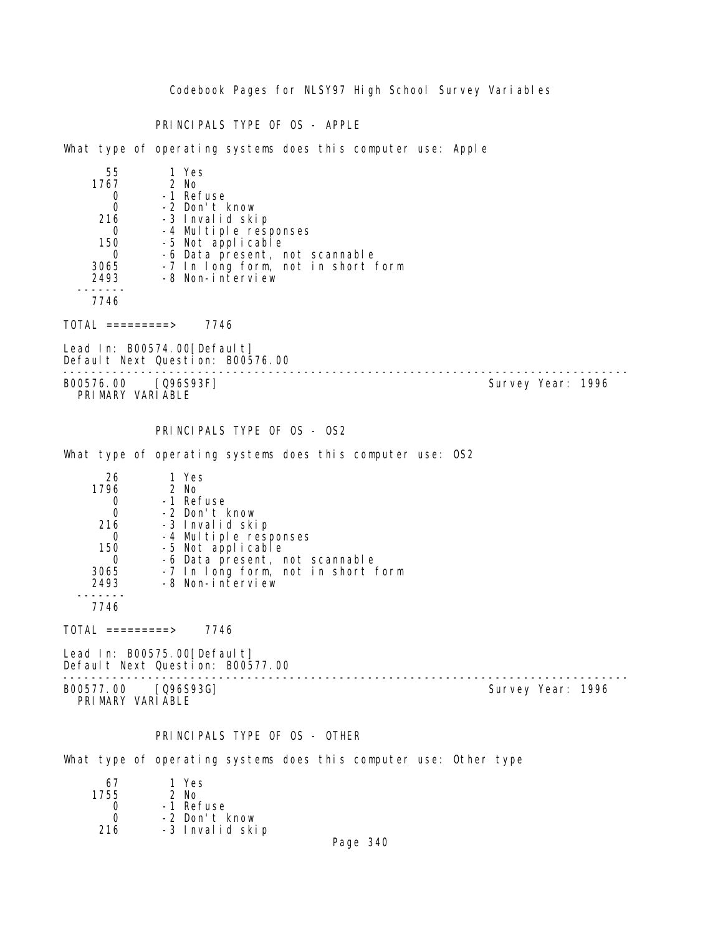Codebook Pages for NLSY97 High School Survey Variables

PRINCIPALS TYPE OF OS - APPLE

What type of operating systems does this computer use: Apple

| 55   | 1 Yes                              |
|------|------------------------------------|
| 1767 | $2$ No                             |
|      | -1 Refuse                          |
| 0    | -2 Don't know                      |
| 216  | -3 Invalid skip                    |
|      | -4 Multiple responses              |
| 150  | -5 Not applicable                  |
|      | -6 Data present, not scannable     |
| 3065 | -7 In long form, not in short form |
| 2493 | -8 Non-interview                   |
|      |                                    |
| 7746 |                                    |

TOTAL =========> 7746

Lead In: B00574.00[Default] Default Next Question: B00576.00

-------------------------------------------------------------------------------- B00576.00 [Q96S93F] PRIMARY VARIABLE

PRINCIPALS TYPE OF OS - OS2

What type of operating systems does this computer use: OS2

| 26   | 1 Yes                              |
|------|------------------------------------|
| 1796 | 2 No                               |
|      | -1 Refuse                          |
|      | -2 Don't know                      |
| 216  | -3 Invalid skip                    |
|      | -4 Multiple responses              |
| 150  | -5 Not applicable                  |
|      | -6 Data present, not scannable     |
| 3065 | -7 In long form, not in short form |
| 2493 | -8 Non-interview                   |
|      |                                    |
| 7746 |                                    |

 $TOTAL$  ========> 7746

Lead In: B00575.00[Default] Default Next Question: B00577.00

B00577.00 [Q96S93G] Survey Year: 1996 PRIMARY VARIABLE

--------------------------------------------------------------------------------

#### PRINCIPALS TYPE OF OS - OTHER

What type of operating systems does this computer use: Other type

| 67   | 1 Yes           |
|------|-----------------|
| 1755 | $2$ No          |
|      | -1 Refuse       |
| O    | -2 Don't know   |
| 216  | -3 Invalid skip |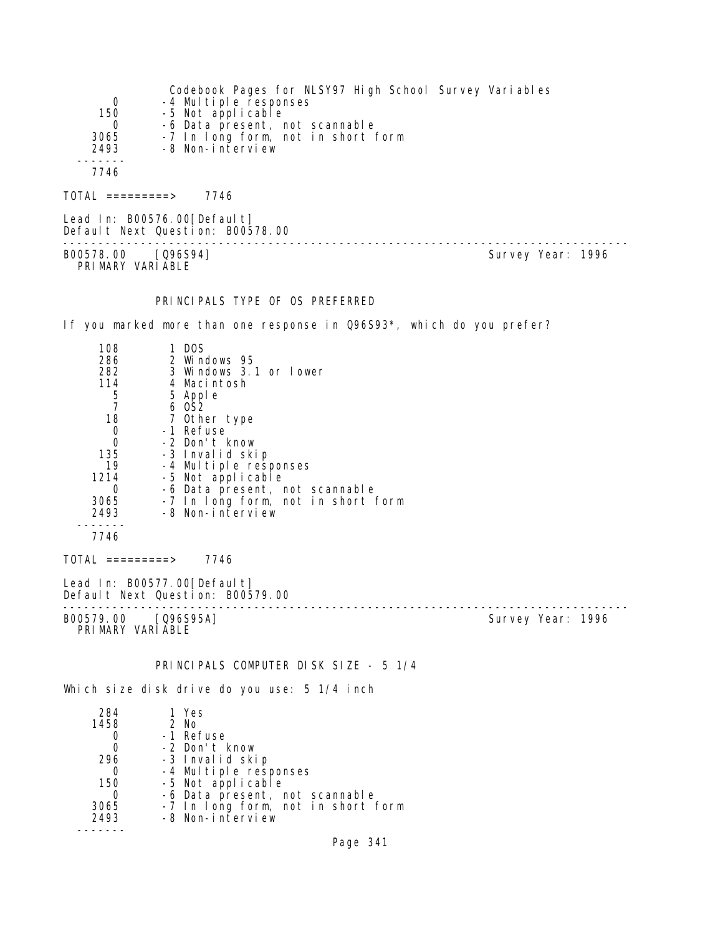| Codebook Pages for NLSY97 High School Survey Variables<br>-4 Multiple responses<br>0<br>150<br>-5 Not applicable<br>-6 Data present, not scannable<br>0<br>3065<br>-7 In long form, not in short form<br>2493<br>-8 Non-interview<br>7746                                                                                                                                                                          |
|--------------------------------------------------------------------------------------------------------------------------------------------------------------------------------------------------------------------------------------------------------------------------------------------------------------------------------------------------------------------------------------------------------------------|
| $TOTAL$ =========> 7746                                                                                                                                                                                                                                                                                                                                                                                            |
| Lead In: B00576.00 [Default]<br>Default Next Question: B00578.00                                                                                                                                                                                                                                                                                                                                                   |
| Survey Year: 1996<br>B00578.00 [096S94]<br>PRIMARY VARIABLE                                                                                                                                                                                                                                                                                                                                                        |
| PRINCIPALS TYPE OF OS PREFERRED                                                                                                                                                                                                                                                                                                                                                                                    |
| If you marked more than one response in Q96S93*, which do you prefer?                                                                                                                                                                                                                                                                                                                                              |
| 1 DOS<br>108<br>286<br>2 Windows 95<br>282<br>3 Windows 3.1 or lower<br>114<br>4 Macintosh<br>5<br>5 Apple<br>$\overline{7}$<br>6 OS2<br>18<br>7 Other type<br>-1 Refuse<br>0<br>-2 Don't know<br>0<br>135<br>-3 Invalid skip<br>19<br>-4 Multiple responses<br>1214<br>-5 Not applicable<br>-6 Data present, not scannable<br>0<br>3065<br>-7 In long form, not in short form<br>-8 Non-interview<br>2493<br>7746 |
| $TOTAL$ =========> 7746                                                                                                                                                                                                                                                                                                                                                                                            |
| Lead In: B00577.00 [Default]<br>Default Next Question: B00579.00                                                                                                                                                                                                                                                                                                                                                   |
| Survey Year: 1996<br>B00579.00 [Q96S95A]<br>PRIMARY VARIABLE                                                                                                                                                                                                                                                                                                                                                       |
| PRINCIPALS COMPUTER DISK SIZE - 5 1/4                                                                                                                                                                                                                                                                                                                                                                              |
| Which size disk drive do you use: 5 1/4 inch                                                                                                                                                                                                                                                                                                                                                                       |
| 284<br>1 Yes<br>2 No<br>1458<br>-1 Refuse<br>Ü                                                                                                                                                                                                                                                                                                                                                                     |

|      | -2 Don't know                      |
|------|------------------------------------|
| 296  | -3 Invalid skip                    |
|      | -4 Multiple responses              |
| 150  | -5 Not applicable                  |
|      | -6 Data present, not scannable     |
| 3065 | -7 In long form, not in short form |
| 2493 | -8 Non-interview                   |
|      |                                    |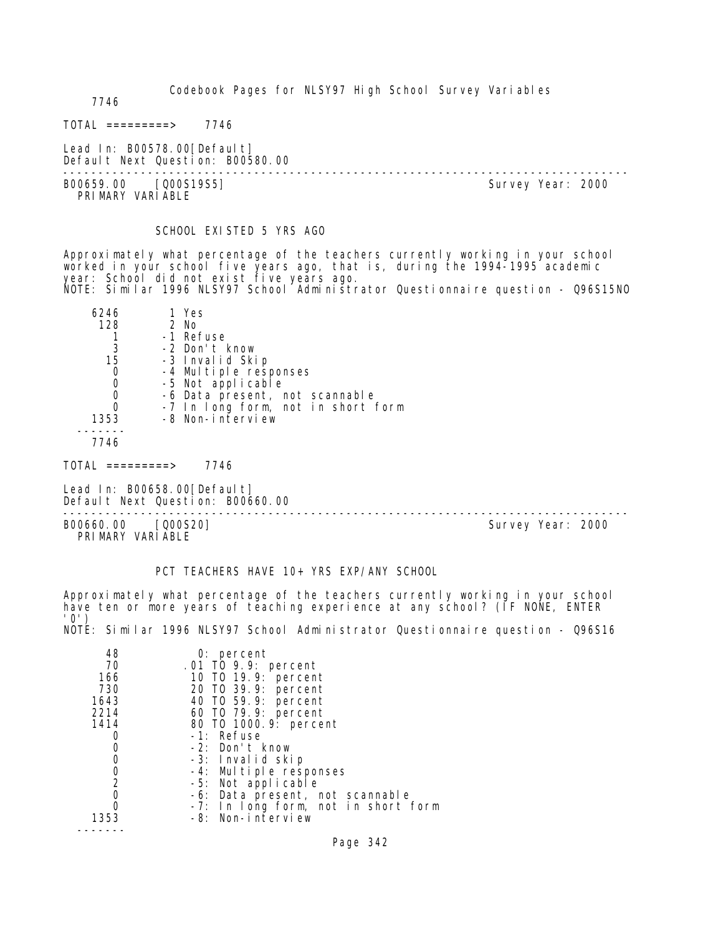Codebook Pages for NLSY97 High School Survey Variables 7746  $TOTAL$  ========> 7746 Lead In: B00578.00 [Default] Default Next Question: B00580.00 -------------------------------------------------------------------------------- Survey Year: 2000 PRI MARY VARI ABLE SCHOOL EXISTED 5 YRS AGO Approximately what percentage of the teachers currently working in your school worked in your school five years ago, that is, during the 1994-1995 academic year: School did not exist five years ago. NOTE: Similar 1996 NLSY97 School Administrator Questionnaire question - Q96S15NO 6246 1 Yes 128 2 No 1 -1 Refuse<br>3 -2 Don't H

 3 -2 Don't know 15 -3 Invalid Skip 0 -4 Multiple responses 0 -5 Not applicable<br>0 -6 Data present, n 0 -6 Data present, not scannable<br>0 -7 In Iong form, not in short 0 -7 In long form, not in short form -8 Non-interview -------

7746

 $TOTAL$  =========> 7746

Lead In: B00658.00 [Default] Default Next Question: B00660.00

B00660.00 [Q00S20] Survey Year: 2000 PRIMARY VARIABLE

PCT TEACHERS HAVE 10+ YRS EXP/ANY SCHOOL

Approximately what percentage of the teachers currently working in your school have ten or more years of teaching experience at any school? (IF NONE, ENTER '0') NOTE: Similar 1996 NLSY97 School Administrator Questionnaire question - Q96S16

--------------------------------------------------------------------------------

| 48             | 0: percent                          |
|----------------|-------------------------------------|
| 70             | .01 TO 9.9: percent                 |
| 166            | 10 T0 19.9: percent                 |
| 730            | 20 TO 39.9: percent                 |
| 1643           | 40 T0 59.9: percent                 |
| 2214           | 60 T0 79.9: percent                 |
| 1414           | 80 T0 1000. 9: percent              |
|                | $-1$ : Refuse                       |
|                | -2: Don't know                      |
|                | -3: Invalid skip                    |
| O              | -4: Multiple responses              |
| $\overline{2}$ | -5: Not applicable                  |
|                | -6: Data present, not scannable     |
|                | -7: In long form, not in short form |
| 1353           | -8: Non-interview                   |
|                |                                     |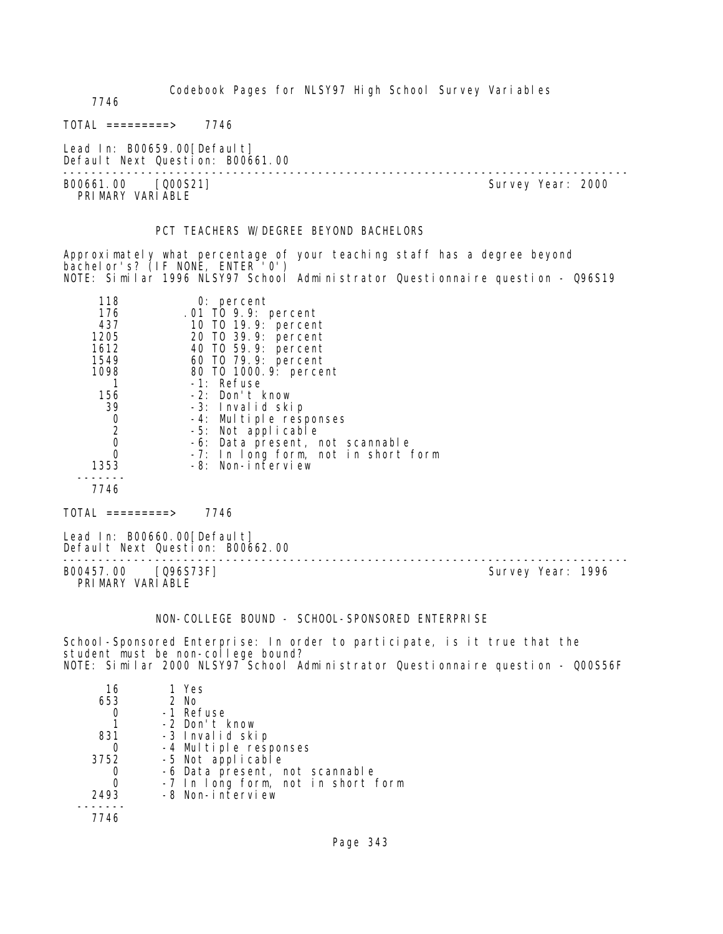Codebook Pages for NLSY97 High School Survey Variables 7746  $TOTAL$  ========> 7746 Lead In: B00659.00[Default] Default Next Question: B00661.00 -------------------------------------------------------------------------------- Survey Year: 2000 PRIMARY VARIABLE PCT TEACHERS W/DEGREE BEYOND BACHELORS Approximately what percentage of your teaching staff has a degree beyond bachelor's? (IF NONE, ENTER '0')

NOTE: Similar 1996 NLSY97 School Administrator Questionnaire question - Q96S19

| 118<br>176<br>437<br>1205<br>1612<br>1549<br>1098<br>156<br>39<br>0<br>$\overline{2}$<br>0<br>0<br>1353 | $0:$ percent<br>.01 TO 9.9: percent<br>10 T0 19.9: percent<br>20 TO 39.9: percent<br>40 T0 59.9: percent<br>60 T0 79.9: percent<br>80 T0 1000. 9: percent<br>-1: Refuse<br>-2: Don't know<br>-3: Invalid skip<br>-4: Multiple responses<br>-5: Not applicable<br>-6: Data present, not scannable<br>-7: In long form, not in short form<br>-8: Non-interview |
|---------------------------------------------------------------------------------------------------------|--------------------------------------------------------------------------------------------------------------------------------------------------------------------------------------------------------------------------------------------------------------------------------------------------------------------------------------------------------------|
| 7746                                                                                                    |                                                                                                                                                                                                                                                                                                                                                              |

TOTAL =========> 7746

Lead In: B00660.00 [Default] Default Next Question: B00662.00

B00457.00 [Q96S73F] Survey Year: 1996 PRIMARY VARIABLE

--------------------------------------------------------------------------------

NON-COLLEGE BOUND - SCHOOL-SPONSORED ENTERPRISE

School-Sponsored Enterprise: In order to participate, is it true that the student must be non-college bound? NOTE: Similar 2000 NLSY97 School Administrator Questionnaire question - Q00S56F

| 16   | 1 Yes                              |
|------|------------------------------------|
| 653  | $2$ No                             |
|      | -1 Refuse                          |
|      | -2 Don't know                      |
| 831  | -3 Invalid skip                    |
|      | -4 Multiple responses              |
| 3752 | -5 Not applicable                  |
|      | -6 Data present, not scannable     |
|      | -7 In long form, not in short form |
| 2493 | -8 Non-interview                   |
|      |                                    |
| 7746 |                                    |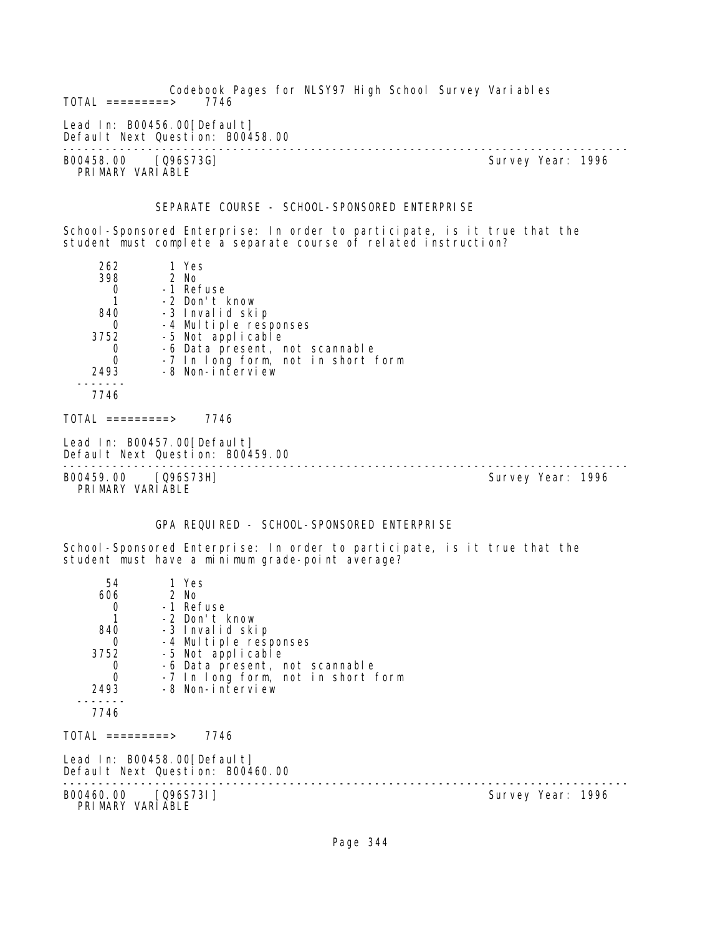Codebook Pages for NLSY97 High School Survey Variables  $TOTAL$  =========> Lead In: B00456.00 [Default] Default Next Question: B00458.00 -------------------------------------------------------------------------------- B00458.00 [Q96S73G] PRIMARY VARIABLE SEPARATE COURSE - SCHOOL-SPONSORED ENTERPRISE School-Sponsored Enterprise: In order to participate, is it true that the student must complete a separate course of related instruction? 262 1 Yes 398 2 No 0 -1 Refuse 1 -2 Don't know 40 -3 Invalid skip<br>0 -4 Multiple res 0 -4 Multiple responses<br>3752 -5 Not applicable 3752 -5 Not applicable 0 -6 Data present, not scannable 0 -7 In long form, not in short form 2493 -8 Non-interview ------- 7746  $TOTAL$  ========> 7746 Lead In: B00457.00 [Default] Default Next Question: B00459.00 -------------------------------------------------------------------------------- B00459.00 [Q96S73H] PRIMARY VARIABLE GPA REQUIRED - SCHOOL-SPONSORED ENTERPRISE School-Sponsored Enterprise: In order to participate, is it true that the student must have a minimum grade-point average? 54 1 Yes 606 2 No 0 -1 Refuse 1 -2 Don't know 9 -3 Invalid skip<br>0 -4 Multiple resu 0 -4 Multiple responses<br>3752 -5 Not applicable 3752 -5 Not applicable 0 -6 Data present, not scannable 0 -7 In long form, not in short form 2493 -8 Non-interview ------- 7746  $TOTAL$  ========> 7746 Lead In: B00458.00 [Default] Default Next Question: B00460.00 -------------------------------------------------------------------------------- Survey Year: 1996 PRIMARY VARIABLE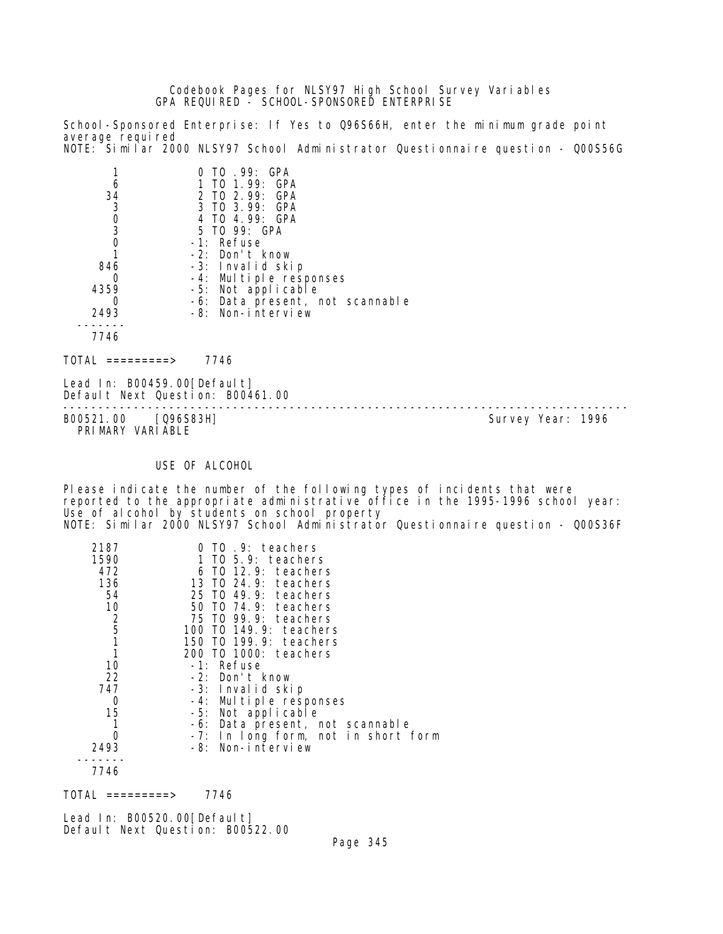Codebook Pages for NLSY97 High School Survey Variables GPA REQUIRED - SCHOOL-SPONSORED ENTERPRISE

School-Sponsored Enterprise: If Yes to Q96S66H, enter the minimum grade point average required NOTE: Similar 2000 NLSY97 School Administrator Questionnaire question - Q00S56G

|      | TO .99: GPA                     |
|------|---------------------------------|
|      | TO 1.99: GPA                    |
| 34   | 2 TO 2.99: GPA                  |
| 3    | 3 TO 3.99: GPA                  |
| 0    | 4 TO 4.99: GPA                  |
| 3    | 5 TO 99: GPA                    |
|      | $-1$ : Refuse                   |
|      | $-2$ : Don't know               |
| 846  | -3: Invalid skip                |
|      | -4: Multiple responses          |
| 4359 | -5: Not applicable              |
|      | -6: Data present, not scannable |
| 2493 | -8: Non-interview               |
|      |                                 |
|      |                                 |

 $TOTAL$  =========> 7746

Lead In: B00459.00[Default] Default Next Question: B00461.00

B00521.00 [Q96S83H] PRIMARY VARIABLE

--------------------------------------------------------------------------------

### USE OF ALCOHOL

Please indicate the number of the following types of incidents that were reported to the appropriate administrative office in the 1995-1996 school year: Use of alcohol by students on school property NOTE: Similar 2000 NLSY97 School Administrator Questionnaire question - Q00S36F

| 2187          | TO .9: teachers                          |
|---------------|------------------------------------------|
| 1590          | 1 TO $5.9$ : teachers                    |
| 472           | 6 TO 12.9: teachers                      |
| 136           | 13 TO 24.9: teachers                     |
| 54            | 25 TO 49.9: teachers                     |
| 10            | 50 TO 74.9: teachers                     |
|               | 75 TO 99.9: teachers                     |
| $\frac{2}{5}$ | 100 T0 149.9: teachers                   |
|               | 150 TO 199.9: teachers                   |
|               | 200 TO 1000: teachers                    |
| 10            | -1: Refuse                               |
| 22            | -2: Don't know                           |
| 747           | -3: Invalid skip                         |
| 0             | -4: Multiple responses                   |
| 15            | -5: Not applicable                       |
|               | -6: Data present, not scannable          |
|               | In long form, not in short form<br>$-7:$ |
| 2493          | -8: Non-interview                        |
|               |                                          |
| 7746          |                                          |

 $TOTAL$  ========> 7746

Lead In: B00520.00 [Default] Default Next Question: B00522.00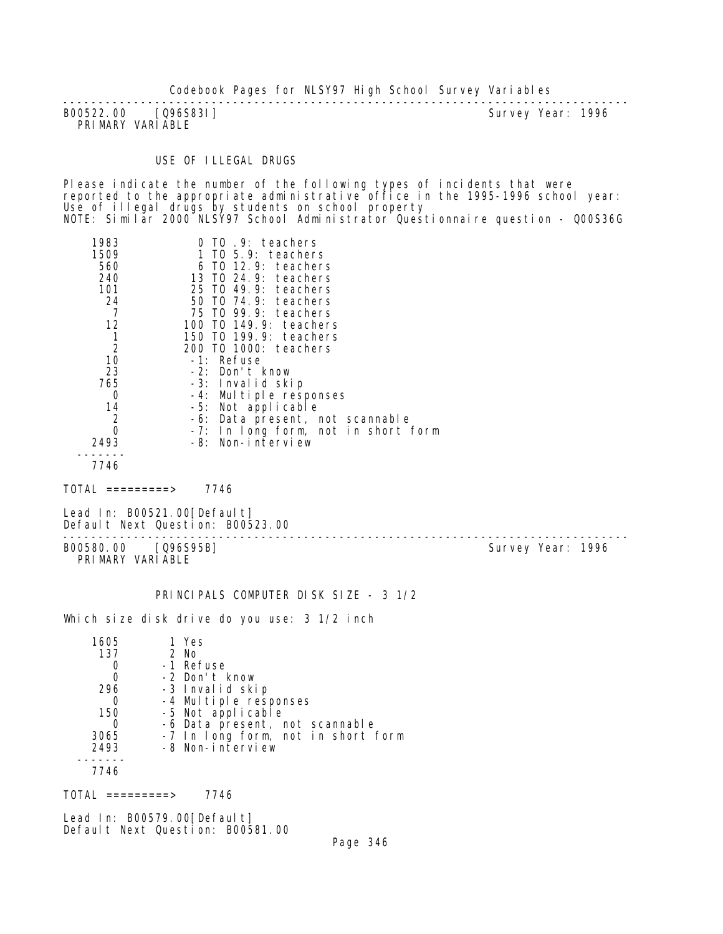Codebook Pages for NLSY97 High School Survey Variables

-------------------------------------------------------------------------------- B00522.00 [Q96S83I] PRIMARY VARIABLE

USE OF ILLEGAL DRUGS

Please indicate the number of the following types of incidents that were reported to the appropriate administrative office in the 1995-1996 school year: Use of illegal drugs by students on school property NOTE: Similar 2000 NLSY97 School Administrator Questionnaire question - Q00S36G

| 1983           | .9: teachers<br>TO.                 |
|----------------|-------------------------------------|
| 1509           | 1 TO $5.9$ : teachers               |
| 560            | 6 TO 12.9: teachers                 |
| 240            | 13 TO 24.9: teachers                |
| 101            | 25 TO 49.9: teachers                |
| 24             | 50 TO 74.9: teachers                |
|                | 75 TO 99.9: teachers                |
| 12             | 100 T0 149.9: teachers              |
| 1              | 150 TO 199.9: teachers              |
| $\overline{2}$ | 200 TO 1000: teachers               |
| 10             | $-1$ : Refuse                       |
| 23             | -2: Don't know                      |
| 765            | -3: Invalid skip                    |
| 0              | -4: Multiple responses              |
| 14             | -5: Not applicable                  |
| $\overline{2}$ | -6: Data present, not scannable     |
|                | -7: In long form, not in short form |
| 2493           | -8: Non-interview                   |
|                |                                     |
| 7746           |                                     |

 $TOTAL$  =========> 7746

Lead In: B00521.00 [Default] Default Next Question: B00523.00

B00580.00 [Q96S95B] PRIMARY VARIABLE

--------------------------------------------------------------------------------

PRINCIPALS COMPUTER DISK SIZE - 3 1/2

Which size disk drive do you use: 3 1/2 inch

| 1605 | 1 Yes                              |
|------|------------------------------------|
| 137  | 2 No                               |
|      | -1 Refuse                          |
| 0    | -2 Don't know                      |
| 296  | -3 Invalid skip                    |
|      | -4 Multiple responses              |
| 150  | -5 Not applicable                  |
|      | -6 Data present, not scannable     |
| 3065 | -7 In long form, not in short form |
| 2493 | -8 Non-interview                   |
|      |                                    |
| 7746 |                                    |

 $TOTAL$  ========> 7746

Lead In: B00579.00 [Default] Default Next Question: B00581.00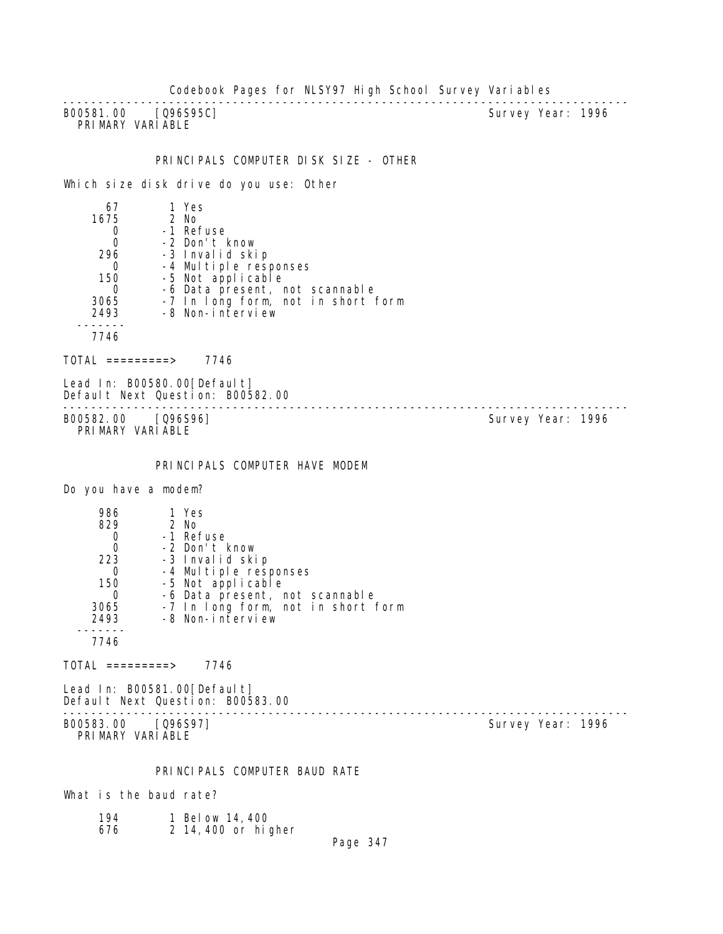Codebook Pages for NLSY97 High School Survey Variables

-------------------------------------------------------------------------------- B00581.00 [Q96S95C] PRIMARY VARIABLE

#### PRINCIPALS COMPUTER DISK SIZE - OTHER

Which size disk drive do you use: Other

| 67   | 1 Yes                              |
|------|------------------------------------|
| 1675 | $2$ No                             |
|      | -1 Refuse                          |
|      | -2 Don't know                      |
| 296  | -3 Invalid skip                    |
|      | -4 Multiple responses              |
| 150  | -5 Not applicable                  |
|      | -6 Data present, not scannable     |
| 3065 | -7 In long form, not in short form |
| 2493 | -8 Non-interview                   |
|      |                                    |
| 7746 |                                    |

TOTAL =========> 7746

Lead In: B00580.00 [Default] Default Next Question: B00582.00 --------------------------------------------------------------------------------

B00582.00 [Q96S96] Survey Year: 1996 PRIMARY VARIABLE

PRINCIPALS COMPUTER HAVE MODEM

Do you have a modem?

| 986  | 1 Yes                              |
|------|------------------------------------|
| 829  | $2$ No                             |
|      | -1 Refuse                          |
|      | -2 Don't know                      |
| 223  | -3 Invalid skip                    |
|      | -4 Multiple responses              |
| 150  | -5 Not applicable                  |
|      | -6 Data present, not scannable     |
| 3065 | -7 In long form, not in short form |
| 2493 | -8 Non-interview                   |
|      |                                    |
| 7746 |                                    |

 $TOTAL$  =========> 7746

Lead In: B00581.00[Default] Default Next Question: B00583.00

B00583.00 [Q96S97] PRIMARY VARIABLE

--------------------------------------------------------------------------------

PRINCIPALS COMPUTER BAUD RATE

What is the baud rate?

| 194 | 1 Below 14, 400    |
|-----|--------------------|
| 676 | 2 14,400 or higher |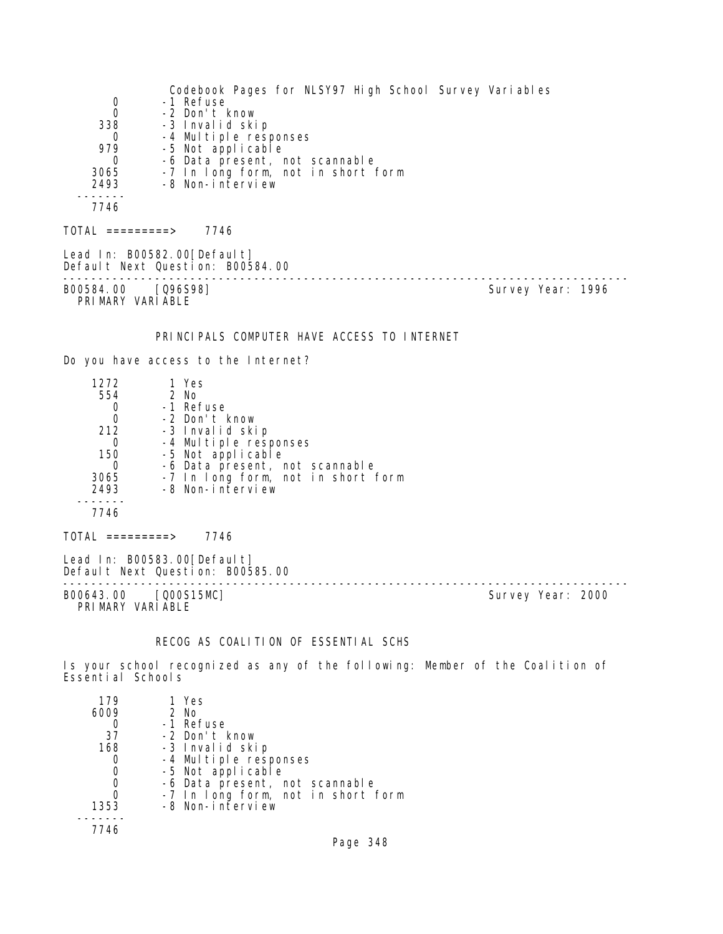Codebook Pages for NLSY97 High School Survey Variables 0 -1 Refuse<br>0 -2 Don't I 0 -2 Don't know<br>338 -3 Invalid ski 338 -3 Invalid skip 0 -4 Multiple responses 979 -5 Not applicable 0 -6 Data present, not scannable 3065 -7 In long form, not in short form 2493 -8 Non-interview ------- 7746 TOTAL =========> 7746 Lead In: B00582.00 [Default] Default Next Question: B00584.00 -------------------------------------------------------------------------------- B00584.00 [Q96S98] PRIMARY VARIABLE PRINCIPALS COMPUTER HAVE ACCESS TO INTERNET Do you have access to the Internet? 1272 1 Yes 554 2 No 0 -1 Refuse<br>0 -2 Don't H 0 -2 Don't know 212 -3 Invalid skip 0 -4 Multiple responses 150 -5 Not applicable 0 -6 Data present, not scannable 3065 -7 In long form, not in short form 2493 -8 Non-interview ------- 7746  $TOTAL$  =========> 7746 Lead In: B00583.00 [Default] Default Next Question: B00585.00 -------------------------------------------------------------------------------- Survey Year: 2000 PRIMARY VARIABLE

# RECOG AS COALITION OF ESSENTIAL SCHS

Is your school recognized as any of the following: Member of the Coalition of Essential Schools

| 179  | 1 Yes                                      |
|------|--------------------------------------------|
| 6009 | 2 No                                       |
|      | -1 Refuse                                  |
| 37   | -2 Don't know                              |
| 168  | -3 Invalid skip                            |
|      | -4 Multiple responses<br>-5 Not applicable |
| O    |                                            |
|      | -6 Data present, not scannable             |
|      | -7 In long form, not in short form         |
| 1353 | -8 Non-interview                           |
|      |                                            |
| 7746 |                                            |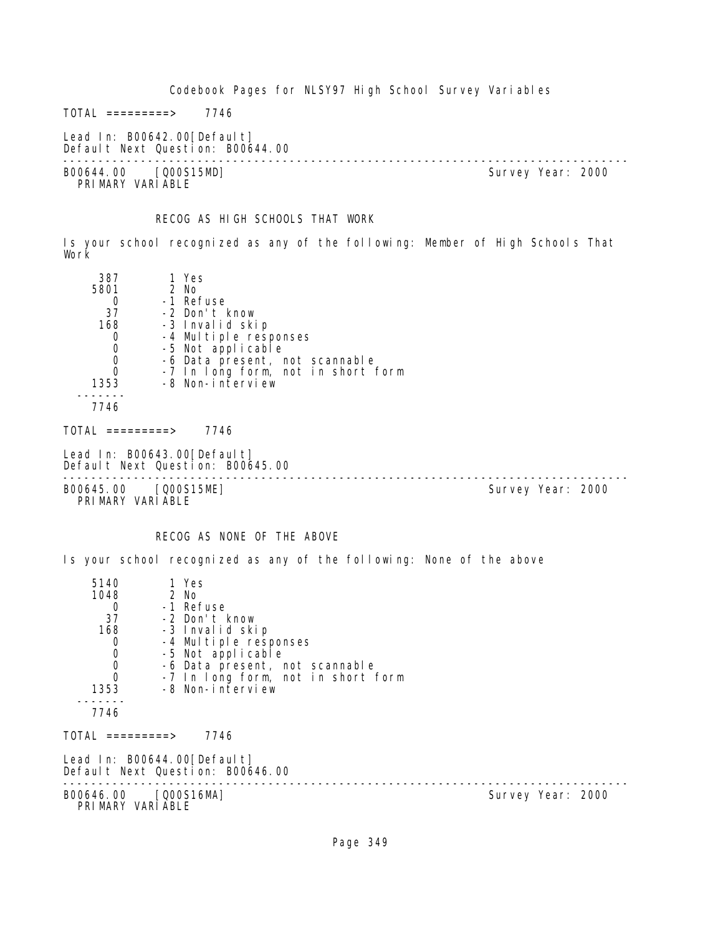Codebook Pages for NLSY97 High School Survey Variables  $TOTAL$  =========> 7746

Survey Year: 2000

Lead In: B00642.00[Default]

Default Next Question: B00644.00 --------------------------------------------------------------------------------

PRIMARY VARIABLE

#### RECOG AS HIGH SCHOOLS THAT WORK

Is your school recognized as any of the following: Member of High Schools That Work

| 387                                                                | 1 Yes                              |  |  |
|--------------------------------------------------------------------|------------------------------------|--|--|
| 5801                                                               | 2 No                               |  |  |
| 0                                                                  | -1 Refuse                          |  |  |
| 37                                                                 | -2 Don't know                      |  |  |
| 168                                                                | -3 Invalid skip                    |  |  |
| 0                                                                  | -4 Multiple responses              |  |  |
| $\mathbf 0$                                                        | -5 Not applicable                  |  |  |
| $\mathbf 0$                                                        | -6 Data present, not scannable     |  |  |
| $\Omega$                                                           | -7 In long form, not in short form |  |  |
| 1353                                                               | -8 Non-interview                   |  |  |
|                                                                    |                                    |  |  |
| 7746                                                               |                                    |  |  |
| TOTAL =========>                                                   | 7746                               |  |  |
| Lead In: B00643.00[Default]<br>$D - E - I + N - I$ $D - I$ $A - I$ |                                    |  |  |

Default Next Question: B00645.00 -------------------------------------------------------------------------------- B00645.00 [Q00S15ME] Survey Year: 2000

PRIMARY VARIABLE

# RECOG AS NONE OF THE ABOVE

Is your school recognized as any of the following: None of the above

| 5140<br>1048                              | 1 Yes<br>2 No                                                   |                   |
|-------------------------------------------|-----------------------------------------------------------------|-------------------|
| $\Omega$                                  | -1 Refuse                                                       |                   |
| 37                                        | -2 Don't know                                                   |                   |
| 168                                       | -3 Invalid skip                                                 |                   |
| $\mathbf 0$                               | -4 Multiple responses                                           |                   |
|                                           | -5 Not applicable                                               |                   |
| $\begin{matrix} 0 \\ 0 \\ 0 \end{matrix}$ | -6 Data present, not scannable                                  |                   |
|                                           | -7 In long form, not in short form                              |                   |
| 1353                                      | -8 Non-interview                                                |                   |
| 7746                                      |                                                                 |                   |
| TOTAL =========>                          | 7746                                                            |                   |
|                                           | Lead In: B00644.00[Default]<br>Default Next Question: B00646.00 |                   |
| B00646.00 [Q00S16MA]<br>PRIMARY VARIABLE  |                                                                 | Survey Year: 2000 |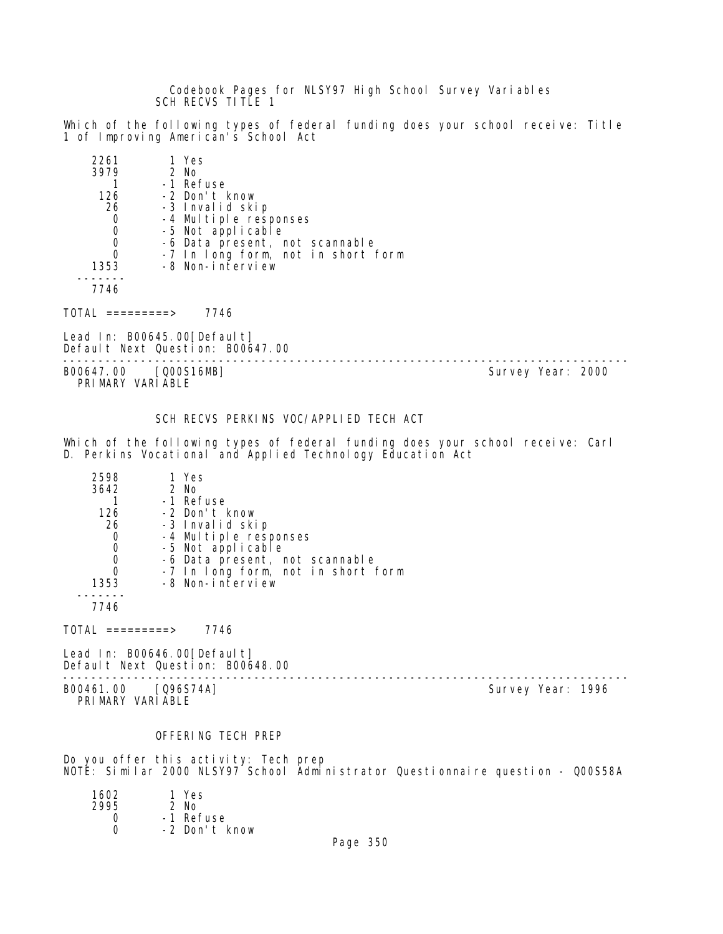Codebook Pages for NLSY97 High School Survey Variables SCH RECVS TITLE 1

Which of the following types of federal funding does your school receive: Title 1 of Improving American's School Act

| 2261 | 1 Yes                              |
|------|------------------------------------|
| 3979 | 2 No                               |
|      | -1 Refuse                          |
| 126  | -2 Don't know                      |
| 26   | -3 Invalid skip                    |
| 0    | -4 Multiple responses              |
| 0    | -5 Not applicable                  |
| O    | -6 Data present, not scannable     |
| 0    | -7 In long form, not in short form |
| 1353 | -8 Non-interview                   |
|      |                                    |
|      |                                    |

 $TOTAL$  =========> 7746

Lead In: B00645.00[Default] Default Next Question: B00647.00

-------------------------------------------------------------------------------- B00647.00 [Q00S16MB]

PRIMARY VARIABLE

# SCH RECVS PERKINS VOC/APPLIED TECH ACT

Which of the following types of federal funding does your school receive: Carl D. Perkins Vocational and Applied Technology Education Act

| 2598 | 1 Yes                              |
|------|------------------------------------|
| 3642 | 2 No                               |
|      | -1 Refuse                          |
| 126  | -2 Don't know                      |
| 26   | -3 Invalid skip                    |
| 0    | -4 Multiple responses              |
|      | -5 Not applicable                  |
|      | -6 Data present, not scannable     |
|      | -7 In long form, not in short form |
| 1353 | -8 Non-interview                   |
|      |                                    |
| 7746 |                                    |

 $TOTAL$  =========> 7746

Lead In: B00646.00[Default] Default Next Question: B00648.00

-------------------------------------------------------------------------------- B00461.00 [Q96S74A] Survey Year: 1996 PRIMARY VARIABLE

#### OFFERING TECH PREP

Do you offer this activity: Tech prep NOTE: Similar 2000 NLSY97 School Administrator Questionnaire question - Q00S58A

| 1602 | 1 Yes         |
|------|---------------|
| 2995 | $2$ No        |
| Ω    | -1 Refuse     |
| U    | -2 Don't know |
|      |               |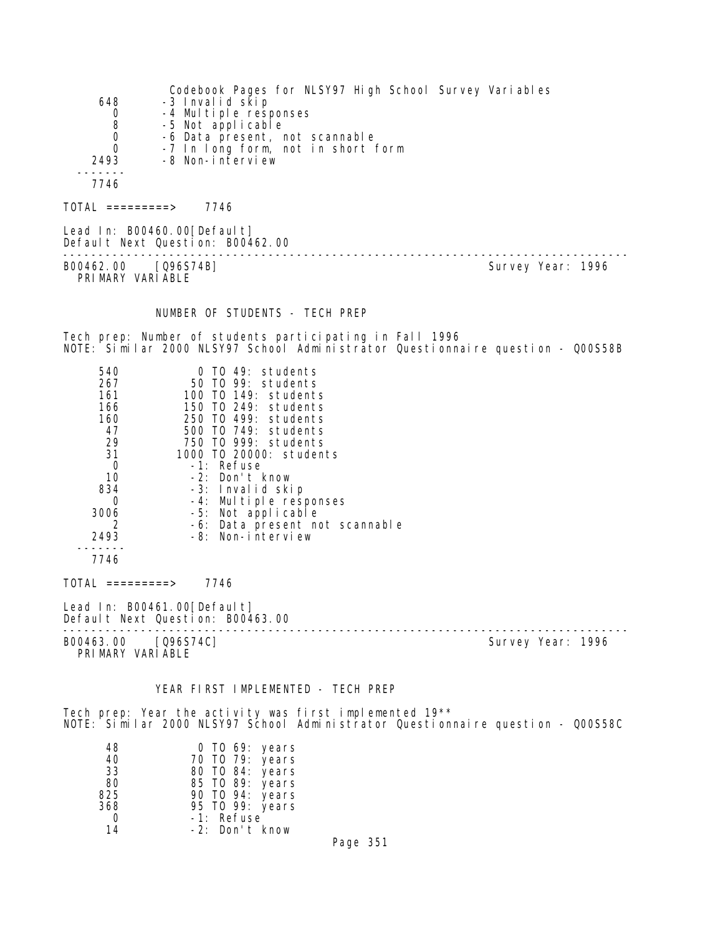| 648<br>0<br>8<br>$\boldsymbol{0}$<br>$\Omega$<br>2493 | Codebook Pages for NLSY97 High School Survey Variables<br>-3 Invalid skip<br>-4 Multiple responses<br>-5 Not applicable<br>-6 Data present, not scannable<br>-7 In long form, not in short form<br>-8 Non-interview |                   |
|-------------------------------------------------------|---------------------------------------------------------------------------------------------------------------------------------------------------------------------------------------------------------------------|-------------------|
| 7746                                                  |                                                                                                                                                                                                                     |                   |
| $TOTAL$ =========> 7746                               |                                                                                                                                                                                                                     |                   |
|                                                       | Lead In: B00460.00 [Default]<br>Default Next Question: B00462.00                                                                                                                                                    |                   |
| B00462.00 [Q96S74B]<br>PRIMARY VARIABLE               |                                                                                                                                                                                                                     | Survey Year: 1996 |
|                                                       | NUMBER OF STUDENTS - TECH PREP                                                                                                                                                                                      |                   |
|                                                       | Tech prep: Number of students participating in Fall 1996<br>NOTE: Similar 2000 NLSY97 School Administrator Questionnaire question - Q00S58B                                                                         |                   |
| 540<br>267<br>161 —<br>166 —<br>160<br>47             | 0 TO 49: students<br>50 TO 99: students<br>100 TO 149: students<br>150 TO 249: students<br>250 TO 499: students<br>500 TO 749: students                                                                             |                   |

TOTAL =========> 7746

 ------- 7746

 47 500 TO 749: students 29 750 TO 999: students 31 1000 TO 20000: students 0 -1: Refuse<br>10 -2: Don't 10 -2: Don't know 834 -3: Invalid skip 0 -4: Multiple responses<br>3006 -5: Not applicable 3006 -5: Not applicable<br>2006 -6: Data present no 2 -6: Data present not scannable

2493 -8: Non-interview

Lead In: B00461.00 [Default] Default Next Question: B00463.00 -------------------------------------------------------------------------------- Survey Year: 1996 PRIMARY VARIABLE

## YEAR FIRST IMPLEMENTED - TECH PREP

Tech prep: Year the activity was first implemented 19\*\* NOTE: Similar 2000 NLSY97 School Administrator Questionnaire question - Q00S58C

| 48  | 0 TO 69: years  |
|-----|-----------------|
| 40  | 70 T0 79: years |
| 33  | 80 TO 84: years |
| 80  | 85 TO 89: years |
| 825 | 90 TO 94: years |
| 368 | 95 TO 99: years |
| O   | -1: Refuse      |
| 14  | -2: Don't know  |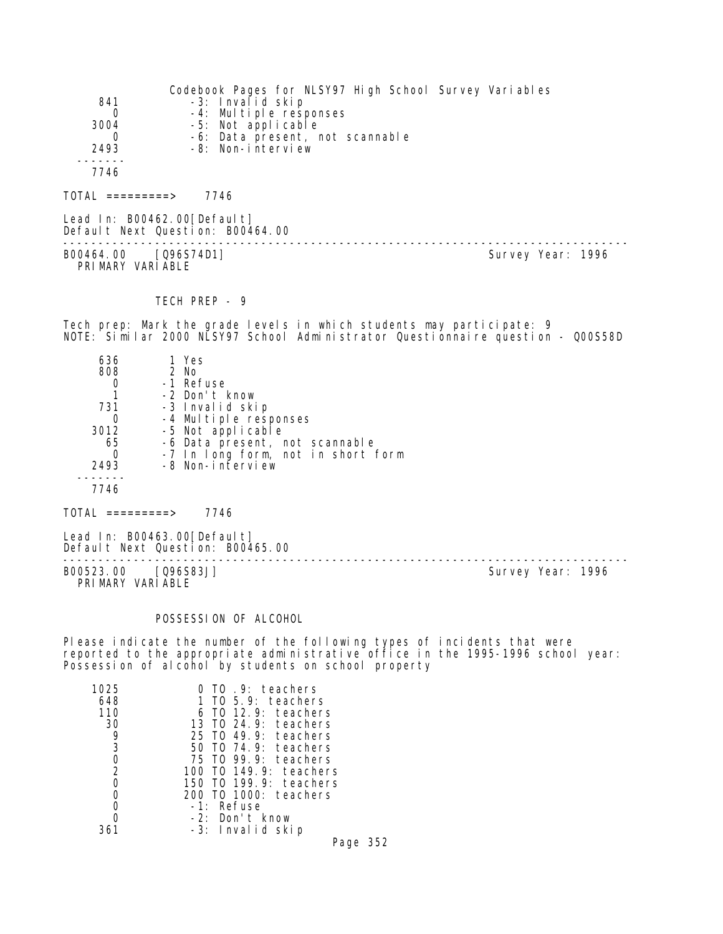| 841<br>$\Omega$<br>3004<br>0<br>2493<br>7746                                        | -3: Invalid skip<br>-4: Multiple responses<br>-5: Not applicable<br>-6: Data present, not scannable<br>$-8$ : Non-interview                                                                      | Codebook Pages for NLSY97 High School Survey Variables                                                                                                   |
|-------------------------------------------------------------------------------------|--------------------------------------------------------------------------------------------------------------------------------------------------------------------------------------------------|----------------------------------------------------------------------------------------------------------------------------------------------------------|
| $TOTAL$ =========> 7746                                                             |                                                                                                                                                                                                  |                                                                                                                                                          |
| Lead In: B00462.00 [Default]                                                        | Default Next Question: B00464.00                                                                                                                                                                 |                                                                                                                                                          |
| B00464.00 [Q96S74D1]<br>PRIMARY VARIABLE                                            |                                                                                                                                                                                                  | Survey Year: 1996                                                                                                                                        |
|                                                                                     | TECH PREP - 9                                                                                                                                                                                    |                                                                                                                                                          |
|                                                                                     |                                                                                                                                                                                                  | Tech prep: Mark the grade levels in which students may participate: 9<br>NOTE: Similar 2000 NLSY97 School Administrator Questionnaire question - QOOS58D |
| 636<br>808 2 No<br>0<br>$\mathbf{1}$<br>731<br>0<br>3012<br>65<br>0<br>2493<br>7746 | 1 Yes<br>-1 Refuse<br>-2 Don't know<br>-3 Invalid skip<br>-4 Multiple responses<br>-5 Not applicable<br>-6 Data present, not scannable<br>-7 In long form, not in short form<br>-8 Non-interview |                                                                                                                                                          |

 $TOTAL$  =========> 7746

Lead In: B00463.00[Default] Default Next Question: B00465.00

B00523.00 [Q96S83J] Survey Year: 1996 PRIMARY VARIABLE

--------------------------------------------------------------------------------

# POSSESSION OF ALCOHOL

Please indicate the number of the following types of incidents that were reported to the appropriate administrative office in the 1995-1996 school year: Possession of alcohol by students on school property

| TO 9: teachers             |
|----------------------------|
| TO 5.9: teachers<br>1      |
| 6 TO 12.9: teachers        |
| 13 TO 24.9: teachers       |
| 49.9: teachers<br>25 TO    |
| $T0$ 74.9: teachers<br>50. |
| $T0$ 99.9: teachers<br>75. |
| 100 TO 149.9: teachers     |
| 150 T0 199.9: teachers     |
| 200 TO 1000: teachers      |
| -1: Refuse                 |
| -2: Don't know             |
| -3: Invalid skip           |
|                            |

Page 352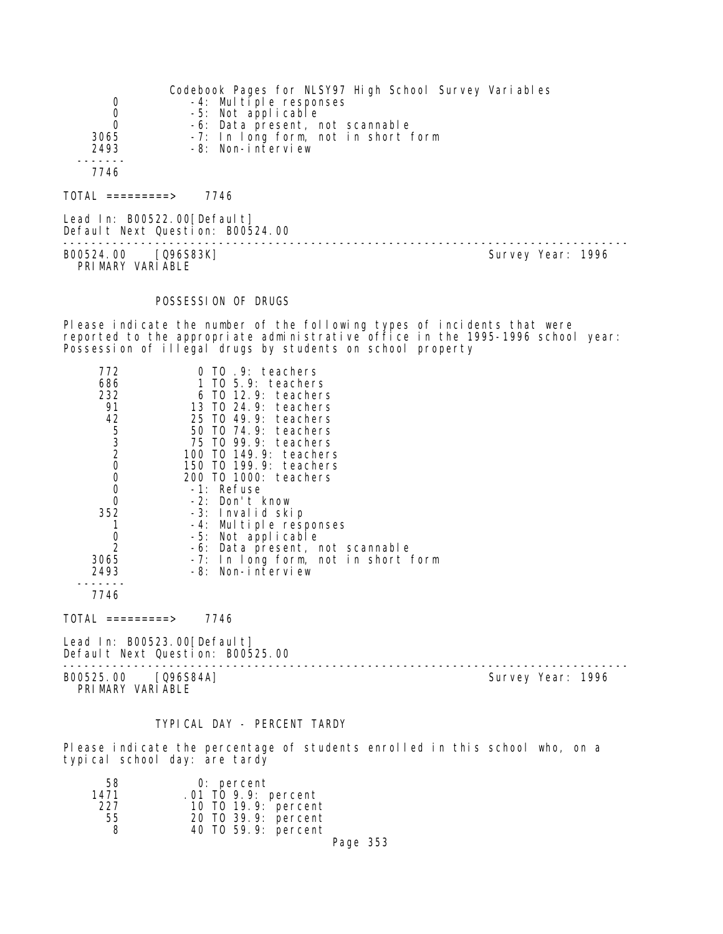|                                | Codebook Pages for NLSY97 High School Survey Variables   |
|--------------------------------|----------------------------------------------------------|
| 0                              | -4: Multiple responses                                   |
| 0<br>0                         | -5: Not applicable<br>-6: Data present, not scannable    |
| 3065<br>2493                   | -7: In long form, not in short form<br>-8: Non-interview |
|                                |                                                          |
| 7746                           |                                                          |
| $\text{TOTAL}$ ==========>     | 7746                                                     |
| Lead In: $B00522.00[Defaul t]$ |                                                          |

Default Next Question: B00524.00 -------------------------------------------------------------------------------- B00524.00 [Q96S83K] PRIMARY VARIABLE

#### POSSESSION OF DRUGS

Please indicate the number of the following types of incidents that were reported to the appropriate administrative office in the 1995-1996 school year: Possession of illegal drugs by students on school property

| 772                                        | $0$ TO $.9$ : teachers              |
|--------------------------------------------|-------------------------------------|
| 686                                        | 1 TO 5.9: teachers                  |
| 232                                        | 6 TO 12.9: teachers                 |
| 91                                         | 13 TO 24.9: teachers                |
| 42                                         | 25 TO 49.9: teachers                |
| $\begin{array}{c} 5 \\ 3 \\ 2 \end{array}$ | 50 TO 74.9: teachers                |
|                                            | 75 TO 99.9: teachers                |
|                                            | 100 T0 149.9: teachers              |
| 0                                          | 150 TO 199.9: teachers              |
| 0                                          | 200 TO 1000: teachers               |
| 0                                          | -1: Refuse                          |
| 0                                          | -2: Don't know                      |
| 352                                        | -3: Invalid skip                    |
|                                            | -4: Multiple responses              |
| 0                                          | -5: Not applicable                  |
| $\overline{2}$                             | -6: Data present, not scannable     |
| 3065                                       | -7: In long form, not in short form |
| 2493                                       | -8: Non-interview                   |
|                                            |                                     |

7746

TOTAL =========> 7746

Lead In: B00523.00[Default] Default Next Question: B00525.00

B00525.00 [Q96S84A] PRIMARY VARIABLE

--------------------------------------------------------------------------------

#### TYPICAL DAY - PERCENT TARDY

Please indicate the percentage of students enrolled in this school who, on a typical school day: are tardy

| 58   | 0: percent          |  |
|------|---------------------|--|
| 1471 | .01 TO 9.9: percent |  |
| 227  | 10 T0 19.9: percent |  |
| 55   | 20 TO 39.9: percent |  |
| 8    | 40 TO 59.9: percent |  |
|      |                     |  |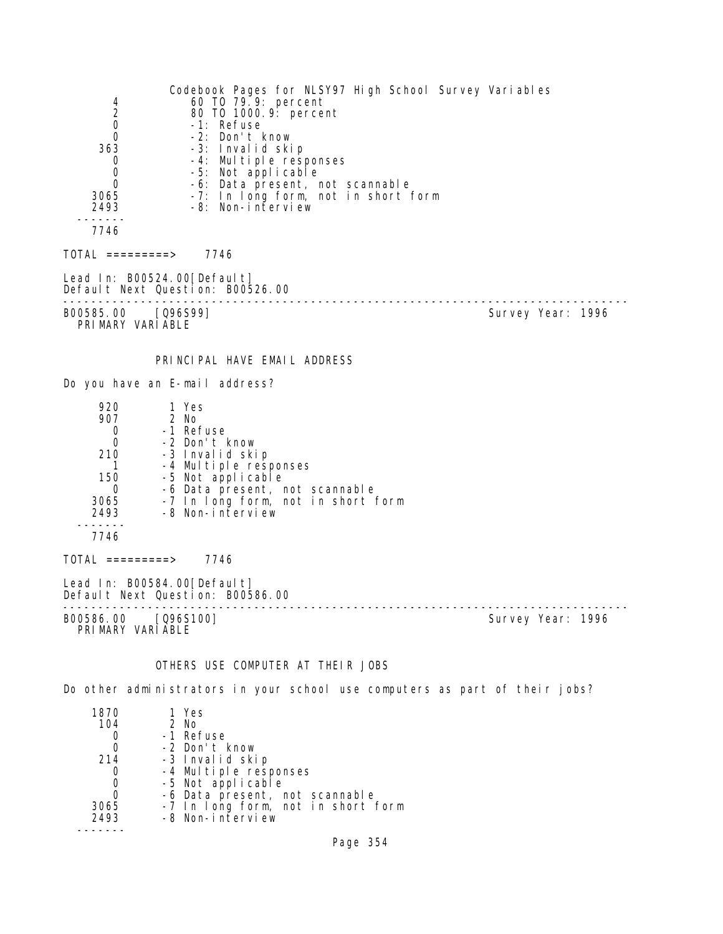| 4<br>$\overline{2}$<br>0<br>0<br>363<br>0<br>0<br>0<br>3065<br>2493  | Codebook Pages for NLSY97 High School Survey Variables<br>60 TO 79.9: percent<br>80 T0 1000. 9: percent<br>-1: Refuse<br>-2: Don't know<br>-3: Invalid skip<br>-4: Multiple responses<br>-5: Not applicable<br>-6: Data present, not scannable<br>-7: In long form, not in short form<br>-8: Non-interview |                   |
|----------------------------------------------------------------------|------------------------------------------------------------------------------------------------------------------------------------------------------------------------------------------------------------------------------------------------------------------------------------------------------------|-------------------|
| 7746                                                                 |                                                                                                                                                                                                                                                                                                            |                   |
| $TOTAL$ =========> 7746                                              |                                                                                                                                                                                                                                                                                                            |                   |
|                                                                      | Lead In: B00524.00 [Default]<br>Default Next Question: B00526.00                                                                                                                                                                                                                                           |                   |
| B00585.00 [096S99]<br>PRIMARY VARIABLE                               |                                                                                                                                                                                                                                                                                                            | Survey Year: 1996 |
|                                                                      | PRINCIPAL HAVE EMAIL ADDRESS                                                                                                                                                                                                                                                                               |                   |
|                                                                      | Do you have an E-mail address?                                                                                                                                                                                                                                                                             |                   |
| 920<br>907<br>0<br>0<br>210<br>1<br>150<br>0<br>3065<br>2493<br>7746 | 1 Yes<br>2 No<br>-1 Refuse<br>-2 Don't know<br>-3 Invalid skip<br>-4 Multiple responses<br>-5 Not applicable<br>-6 Data present, not scannable<br>-7 In long form, not in short form<br>-8 Non-interview                                                                                                   |                   |
| $\overline{\text{TOTAL}}$ =========>                                 | 7746                                                                                                                                                                                                                                                                                                       |                   |
|                                                                      | Lead In: B00584.00 [Default]<br>Default Next Question: B00586.00<br>-------------------------------                                                                                                                                                                                                        |                   |
| B00586.00<br>PRIMARY VARIABLE                                        | [096S100]                                                                                                                                                                                                                                                                                                  | Survey Year: 1996 |
|                                                                      | OTHERS USE COMPUTER AT THEIR JOBS                                                                                                                                                                                                                                                                          |                   |
|                                                                      | Do other administrators in your school use computers as part of their jobs?                                                                                                                                                                                                                                |                   |
| 1870<br>104                                                          | 1 Yes<br>2 No                                                                                                                                                                                                                                                                                              |                   |

| 1 U 7 U | $\sqrt{2}$                         |
|---------|------------------------------------|
| 104     | $2$ No                             |
|         | -1 Refuse                          |
|         | -2 Don't know                      |
| 214     | -3 Invalid skip                    |
|         | -4 Multiple responses              |
|         | -5 Not applicable                  |
|         | -6 Data present, not scannable     |
| 3065    | -7 In long form, not in short form |
| 2493    | -8 Non-interview                   |
|         |                                    |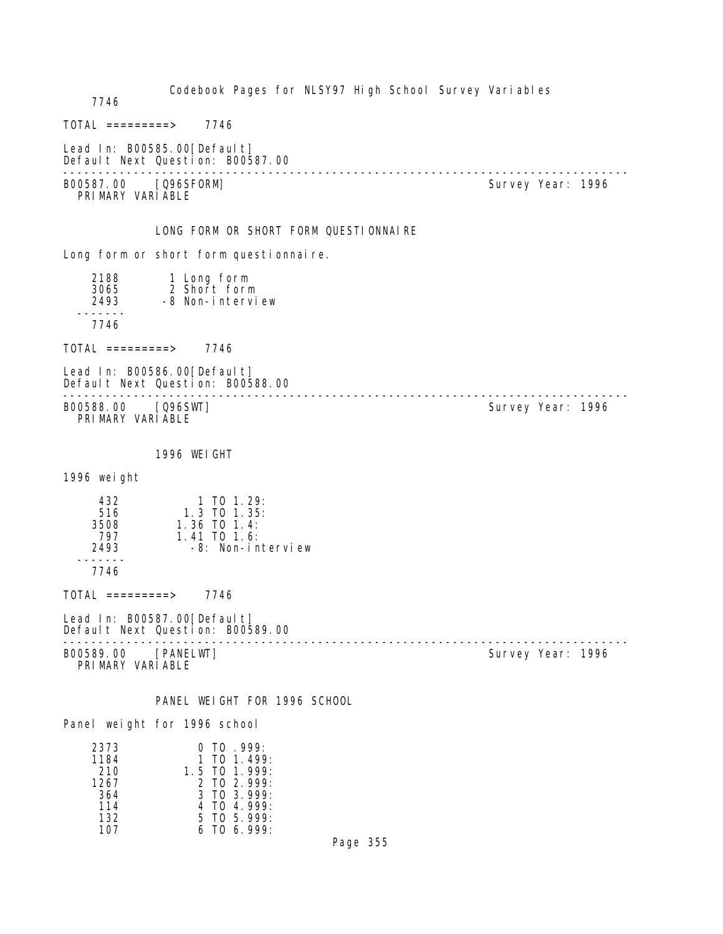| 7746                                      | Codebook Pages for NLSY97 High School Survey Variables                                                   |                   |  |
|-------------------------------------------|----------------------------------------------------------------------------------------------------------|-------------------|--|
| $TOTAL$ =========>                        | 7746                                                                                                     |                   |  |
|                                           | Lead In: B00585.00 [Default]<br>Default Next Question: B00587.00<br>------------------------------------ |                   |  |
| B00587.00<br>PRIMARY VARIABLE             | [Q96SFORM]                                                                                               | Survey Year: 1996 |  |
|                                           | LONG FORM OR SHORT FORM QUESTIONNAIRE                                                                    |                   |  |
|                                           | Long form or short form questionnaire.                                                                   |                   |  |
| 2188<br>3065<br>2493                      | 1 Long form<br>2 Short form<br>-8 Non-interview                                                          |                   |  |
| 7746                                      |                                                                                                          |                   |  |
| $TOTAL$ =========> 7746                   |                                                                                                          |                   |  |
|                                           | Lead In: B00586.00 [Defaul t]<br>Default Next Question: B00588.00<br>-------------------------           |                   |  |
| B00588.00<br>PRIMARY VARIABLE             | [Q96SWT]                                                                                                 | Survey Year: 1996 |  |
|                                           | 1996 WEIGHT                                                                                              |                   |  |
| 1996 weight                               |                                                                                                          |                   |  |
| 432<br>516<br>3508<br>797<br>2493<br>7746 | $1$ TO $1.29$ :<br>$1.3$ TO $1.35$ :<br>$1.36$ TO $1.4$ :<br>$1.41$ TO $1.6$ :<br>-8: Non-interview      |                   |  |
| $TOTAL$ =========>                        | 7746                                                                                                     |                   |  |
|                                           | Lead In: B00587.00[Default]<br>Default Next Question: B00589.00                                          |                   |  |
| B00589.00<br>PRIMARY VARIABLE             | [PANELWT]                                                                                                | Survey Year: 1996 |  |
|                                           | PANEL WEIGHT FOR 1996 SCHOOL<br>Panel weight for 1996 school                                             |                   |  |

| $0$ TO $.999$ :    |
|--------------------|
| 1 TO 1 499:        |
| $1.5$ TO $1.999$ : |
| $2$ TO $2$ 999:    |
| $3$ TO $3$ 999:    |
| 4 TO 4 999 $\cdot$ |
| $5$ TO $5$ 999:    |
| 6 TO 6 999:        |
|                    |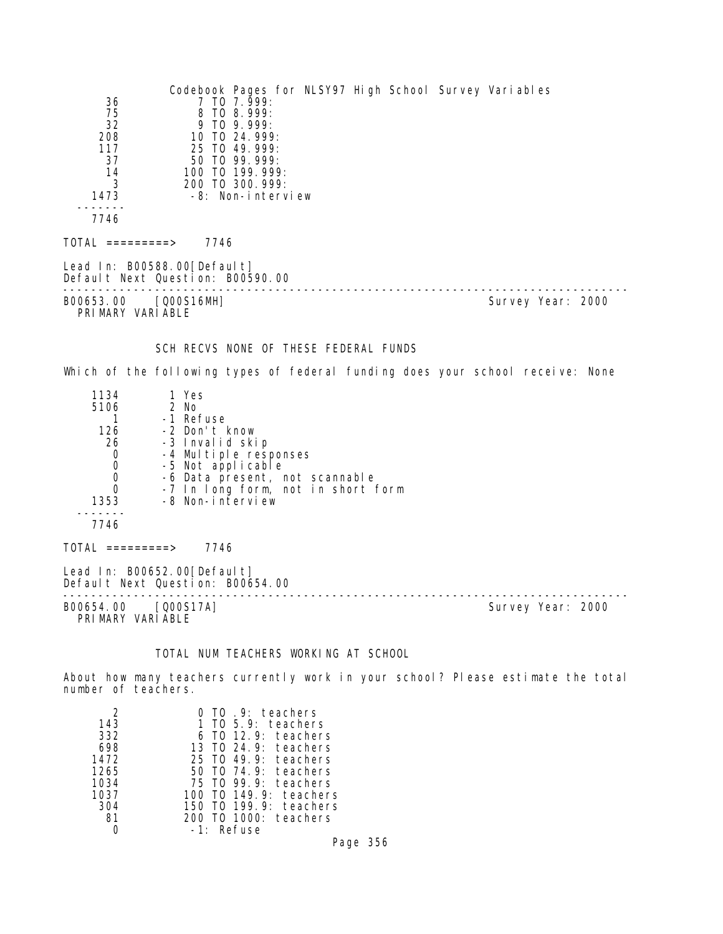| 36<br>75<br>32<br>208<br>117<br>37<br>14<br>3<br>1473<br>7746      | Codebook Pages for NLSY97 High School Survey Variables<br>7 TO 7.999:<br>8 TO 8.999:<br>9 TO 9.999:<br>10 TO 24.999:<br>25 TO 49, 999:<br>50 TO 99.999:<br>100 TO 199.999:<br>200 TO 300.999:<br>-8: Non-interview |                   |
|--------------------------------------------------------------------|--------------------------------------------------------------------------------------------------------------------------------------------------------------------------------------------------------------------|-------------------|
| TOTAL =========>                                                   | 7746                                                                                                                                                                                                               |                   |
|                                                                    | Lead In: B00588.00 [Default]<br>Default Next Question: B00590.00<br>------------------------------                                                                                                                 |                   |
| B00653.00<br>PRIMARY VARIABLE                                      | [Q00S16MH]                                                                                                                                                                                                         | Survey Year: 2000 |
|                                                                    | SCH RECVS NONE OF THESE FEDERAL FUNDS                                                                                                                                                                              |                   |
|                                                                    | Which of the following types of federal funding does your school receive: None                                                                                                                                     |                   |
| 1134<br>5106<br>1<br>126<br>26<br>0<br>0<br>0<br>0<br>1353<br>7746 | 1 Yes<br>2 No<br>-1 Refuse<br>-2 Don't know<br>-3 Invalid skip<br>-4 Multiple responses<br>-5 Not applicable<br>-6 Data present, not scannable<br>-7 In long form, not in short form<br>-8 Non-interview           |                   |
| $\overline{TOTAL}$ =========>                                      | 7746                                                                                                                                                                                                               |                   |
|                                                                    | Lead In: B00652.00 [Default]<br>Default Next Question: B00654.00<br>--------------------------                                                                                                                     |                   |
| B00654.00 [Q00S17A]<br>PRIMARY VARIABLE                            |                                                                                                                                                                                                                    | Survey Year: 2000 |

# TOTAL NUM TEACHERS WORKING AT SCHOOL

About how many teachers currently work in your school? Please estimate the total number of teachers.

|      | TO 9: teachers                           |
|------|------------------------------------------|
| 143  | 1 TO 5.9: teachers                       |
| 332  | 12.9: teachers<br>- TO                   |
| 698  | 13 TO 24.9: teachers                     |
| 1472 | 49.9: teachers<br>25 TO                  |
| 1265 | $T0$ 74.9: teachers<br>50.               |
| 1034 | 99.9: teachers<br>75 TO                  |
| 1037 | 149.9: teachers<br>T <sub>0</sub><br>100 |
| 304  | 199.9: teachers<br>T0<br>150             |
| 81   | TO 1000: teachers                        |
|      | Refuse<br>$-1$ .                         |

Page 356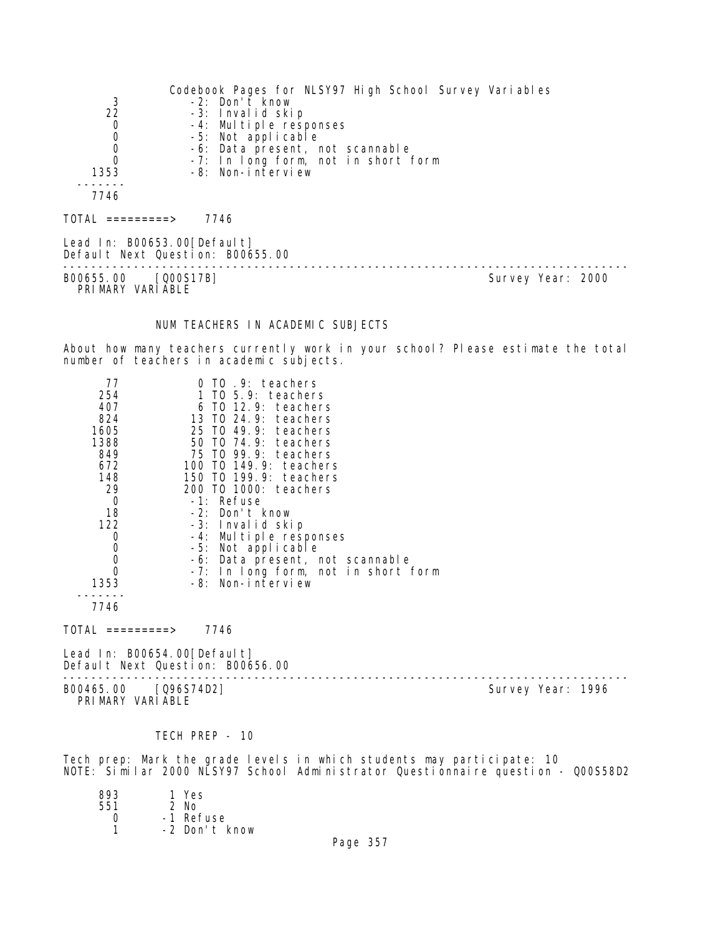Codebook Pages for NLSY97 High School Survey Variables 3 -2: Don't know 22 -3: Invalid skip 0 -4: Multiple responses 0 -5: Not applicable<br>0 -6: Data present, r 0 -6: Data present, not scannable 0 -7: In long form, not in short form 1353 -8: Non-interview ------- 7746 TOTAL =========> 7746 Lead In: B00653.00 [Default] Default Next Question: B00655.00 -------------------------------------------------------------------------------- Survey Year: 2000 PRIMARY VARIABLE NUM TEACHERS IN ACADEMIC SUBJECTS About how many teachers currently work in your school? Please estimate the total number of teachers in academic subjects. 77 0 TO .9: teachers 254 1 TO 5.9: teachers 407 6 TO 12.9: teachers 824 13 TO 24.9: teachers 1605 25 TO 49.9: teachers 1388 50 TO 74.9: teachers 849 75 TO 99.9: teachers 672 100 TO 149.9: teachers 148 150 TO 199.9: teachers 29 200 TO 1000: teachers 0 -1: Refuse<br>18 -2: Don't -2: Don't know 122 -3: Invalid skip 0 -4: Multiple responses 0 -5: Not applicable<br>0 -6: Data present, r 0 -6: Data present, not scannable 0 -7: In long form, not in short form 1353 -8: Non-interview ------- 7746  $TOTAL$  =========> 7746 Lead In: B00654.00 [Default] Default Next Question: B00656.00 -------------------------------------------------------------------------------- B00465.00 [Q96S74D2] PRIMARY VARIABLE

#### TECH PREP - 10

Tech prep: Mark the grade levels in which students may participate: 10 NOTE: Similar 2000 NLSY97 School Administrator Questionnaire question - Q00S58D2

| 893 | 1 Yes         |
|-----|---------------|
| 551 | $2$ No        |
| Ω   | -1 Refuse     |
|     | -2 Don't know |
|     |               |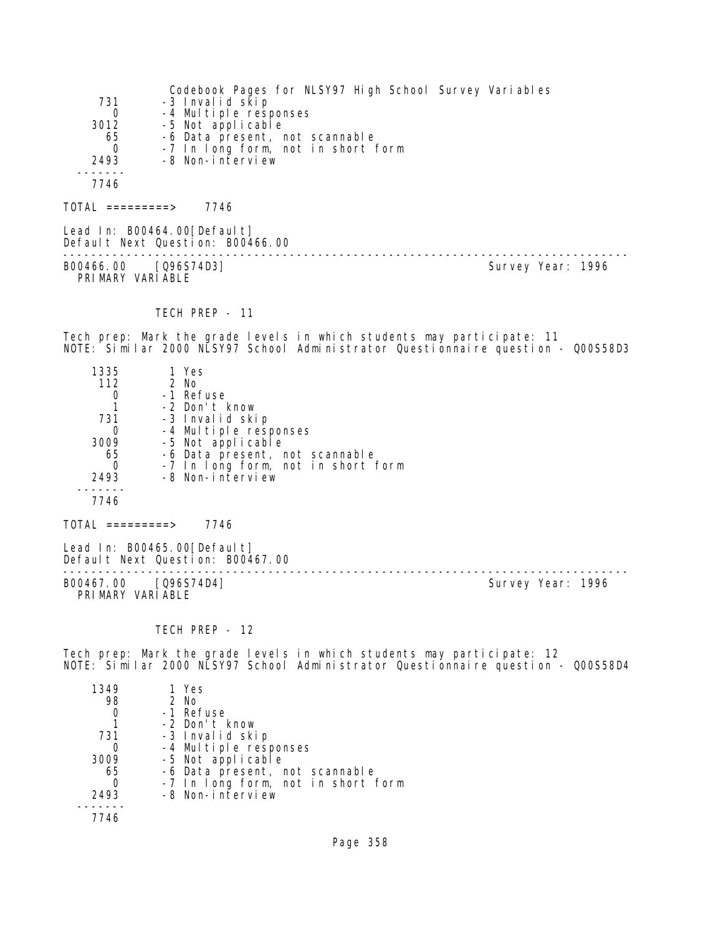|          | Codebook Pages for NLSY97 High School Survey Variables |
|----------|--------------------------------------------------------|
| 731      | -3 Invalid skip                                        |
| $\Omega$ | -4 Multiple responses                                  |
| 3012     | -5 Not applicable                                      |
| 65       | -6 Data present, not scannable                         |
| $\Omega$ | -7 In long form, not in short form                     |
| 2493     | -8 Non-interview                                       |
|          |                                                        |
| 7746     |                                                        |
|          |                                                        |

 $TOTAL$  ========> 7746

Lead In: B00464.00[Default] Default Next Question: B00466.00 -------------------------------------------------------------------------------- B00466.00 [Q96S74D3] Survey Year: 1996 PRIMARY VARIABLE

TECH PREP - 11

Tech prep: Mark the grade levels in which students may participate: 11 NOTE: Similar 2000 NLSY97 School Administrator Questionnaire question - Q00S58D3

| 1335     | 1 Yes                              |
|----------|------------------------------------|
| 112      | 2 No                               |
|          | -1 Refuse                          |
|          | -2 Don't know                      |
| 731      | -3 Invalid skip                    |
|          | -4 Multiple responses              |
| 3009     | -5 Not applicable                  |
| 65       | -6 Data present, not scannable     |
| $\Omega$ | -7 In long form, not in short form |
| 2493     | -8 Non-interview                   |
|          |                                    |
| 7746     |                                    |
|          |                                    |

TOTAL =========> 7746

Lead In: B00465.00[Default] Default Next Question: B00467.00

B00467.00 [Q96S74D4] PRIMARY VARIABLE

--------------------------------------------------------------------------------

TECH PREP - 12

Tech prep: Mark the grade levels in which students may participate: 12 NOTE: Similar 2000 NLSY97 School Administrator Questionnaire question - Q00S58D4

| 1349 | 1 Yes                              |
|------|------------------------------------|
| 98   | 2 No                               |
|      | -1 Refuse                          |
|      | -2 Don't know                      |
| 731  | -3 Invalid skip                    |
|      | -4 Multiple responses              |
| 3009 | -5 Not applicable                  |
| 65   | -6 Data present, not scannable     |
|      | -7 In long form, not in short form |
| 2493 | -8 Non-interview                   |
|      |                                    |
| 7746 |                                    |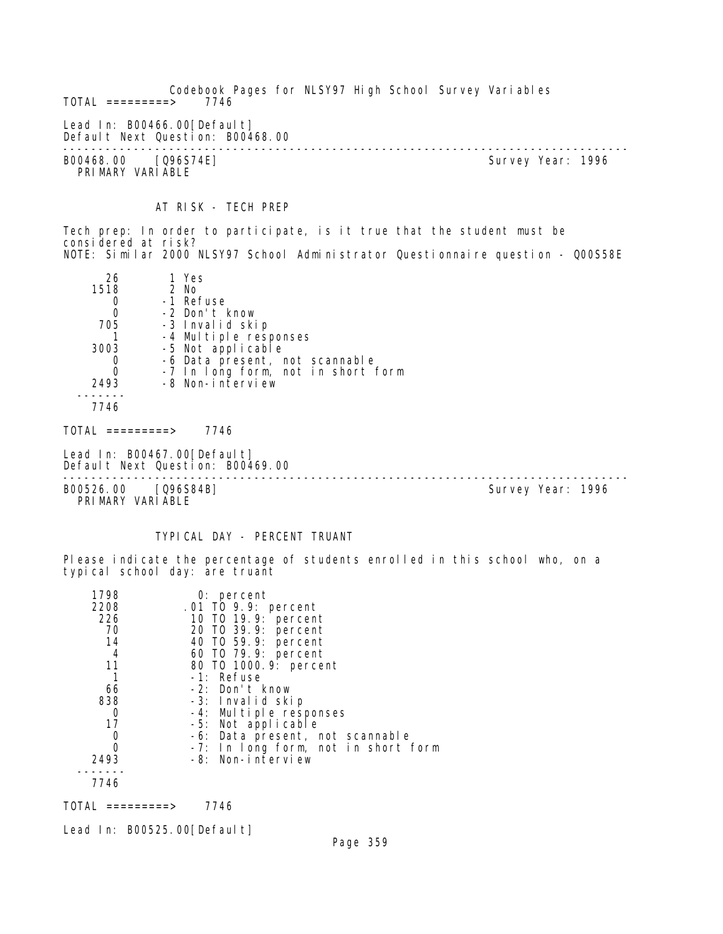Codebook Pages for NLSY97 High School Survey Variables  $TOTAL$  =========> Lead In: B00466.00 [Default] Default Next Question: B00468.00 -------------------------------------------------------------------------------- B00468.00 [Q96S74E] Survey Year: 1996 PRIMARY VARIABLE

AT RISK - TECH PREP

Tech prep: In order to participate, is it true that the student must be considered at risk? NOTE: Similar 2000 NLSY97 School Administrator Questionnaire question - Q00S58E

| 26    | 1 Yes                              |
|-------|------------------------------------|
| 1518  | 2 No                               |
|       | -1 Refuse                          |
| 0     | -2 Don't know                      |
| 705   | -3 Invalid skip                    |
|       | -4 Multiple responses              |
| 3003  | -5 Not applicable                  |
|       | -6 Data present, not scannable     |
|       | -7 In long form, not in short form |
| 2493  | -8 Non-interview                   |
|       |                                    |
| 7746  |                                    |
| ΤΛΤΛΙ | 7716                               |

TOTAL =========> 7746

Lead In: B00467.00[Default] Default Next Question: B00469.00

-------------------------------------------------------------------------------- B00526.00 [Q96S84B] Survey Year: 1996

PRIMARY VARIABLE

# TYPICAL DAY - PERCENT TRUANT

Please indicate the percentage of students enrolled in this school who, on a typical school day: are truant

| 1798 | $0:$ percent                        |
|------|-------------------------------------|
| 2208 | .01 TO 9.9: percent                 |
| 226  | 10 T0 19.9: percent                 |
| 70   | 20 TO 39.9: percent                 |
| 14   | 40 TO 59.9: percent                 |
| 4    | 60 TO 79.9: percent                 |
| 11   | 80 T0 1000. 9: percent              |
|      | -1: Refuse                          |
| 66   | -2: Don't know                      |
| 838  | -3: Invalid skip                    |
| 0    | -4: Multiple responses              |
| 17   | -5: Not applicable                  |
| 0    | -6: Data present, not scannable     |
| ი    | -7: In long form, not in short form |
| 2493 | -8: Non-interview                   |
|      |                                     |
| 7746 |                                     |

TOTAL =========> 7746

Lead In: B00525.00 [Default]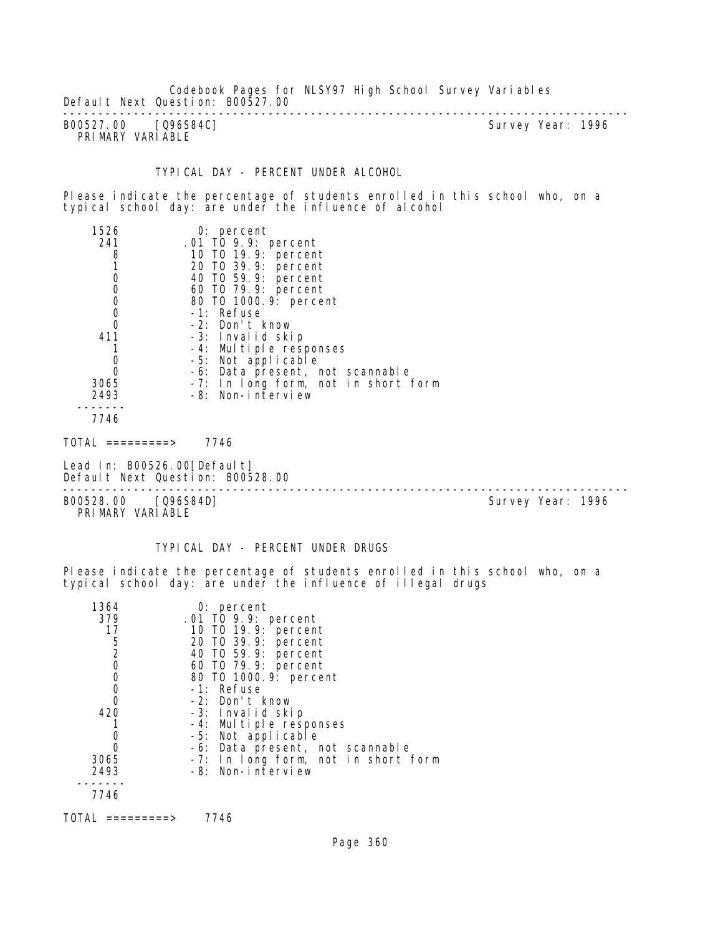Codebook Pages for NLSY97 High School Survey Variables Default Next Question: B00527.00

-------------------------------------------------------------------------------- B00527.00 [Q96S84C] PRIMARY VARIABLE

# TYPICAL DAY - PERCENT UNDER ALCOHOL

Please indicate the percentage of students enrolled in this school who, on a typical school day: are under the influence of alcohol

| 1526 | $0:$ percent                        |
|------|-------------------------------------|
| 241  | $.01$ TO 9.9: percent               |
| 8    | 10 T0 19.9: percent                 |
|      | 20 TO 39.9: percent                 |
| 0    | 40 TO 59.9: percent                 |
| 0    | 60 TO 79.9: percent                 |
| 0    | 80 T0 1000.9: percent               |
| 0    | -1: Refuse                          |
|      | -2: Don't know                      |
| 411  | -3: Invalid skip                    |
|      | -4: Multiple responses              |
| 0    | -5: Not applicable                  |
|      | -6: Data present, not scannable     |
| 3065 | -7: In long form, not in short form |
| 2493 | -8: Non-interview                   |
| 7746 |                                     |
|      |                                     |

TOTAL =========> 7746

Lead In: B00526.00 [Default] Default Next Question: B00528.00 --------------------------------------------------------------------------------

B00528.00 [Q96S84D] PRIMARY VARIABLE

# TYPICAL DAY - PERCENT UNDER DRUGS

Please indicate the percentage of students enrolled in this school who, on a typical school day: are under the influence of illegal drugs

| 1364           | $0:$ percent                               |
|----------------|--------------------------------------------|
| 379            | .01 TO 9.9: percent                        |
| 17             |                                            |
| 5              | 10 T0 19.9: percent<br>20 T0 39.9: percent |
| $\overline{2}$ | 40 T0 59.9: percent                        |
| 0              | 60 T0 79.9: percent                        |
| 0              | 80 T0 1000.9: percent                      |
| 0              | -1: Refuse                                 |
|                | -2: Don't know                             |
| 420            | -3: Invalid skip                           |
|                | -4: Multiple responses                     |
| 0              | -5: Not applicable                         |
|                | -6: Data present, not scannable            |
| 3065           | -7: In long form, not in short form        |
| 2493           | -8: Non-interview                          |
|                |                                            |
| 7746           |                                            |
|                |                                            |

TOTAL =========> 7746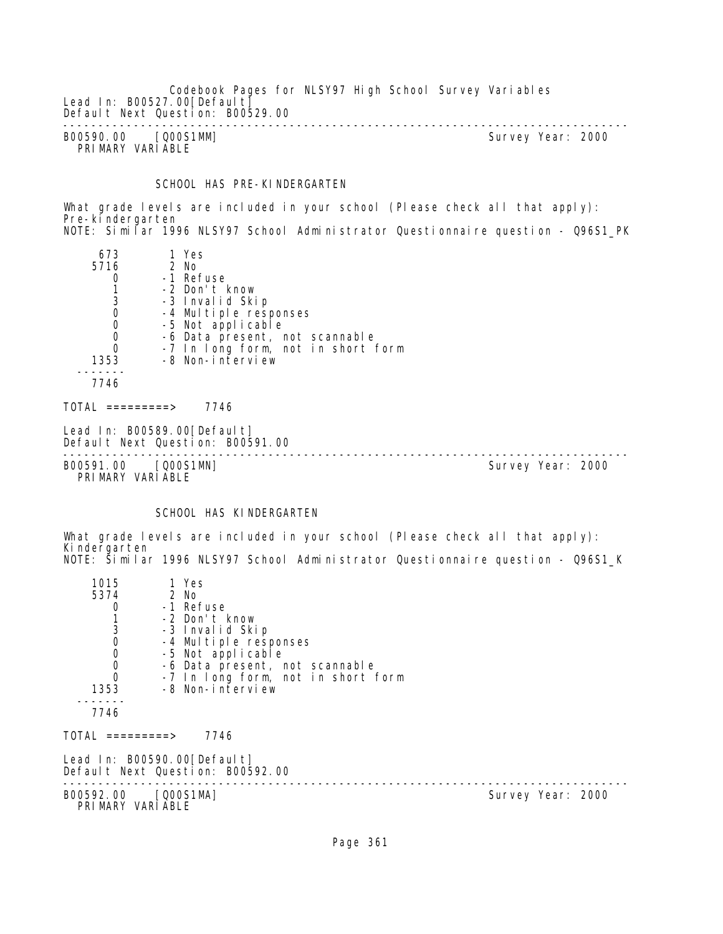Codebook Pages for NLSY97 High School Survey Variables Lead In: B00527.00 [Default] Default Next Question: B00529.00 -------------------------------------------------------------------------------- B00590.00 [Q00S1MM] Survey Year: 2000 PRIMARY VARIABLE

### SCHOOL HAS PRE-KINDERGARTEN

What grade levels are included in your school (Please check all that apply): Pre-kindergarten NOTE: Similar 1996 NLSY97 School Administrator Questionnaire question - Q96S1\_PK

| 673         | 1 Yes                              |
|-------------|------------------------------------|
| 5716        | 2 No                               |
| 0           | -1 Refuse                          |
| 3           | -2 Don't know                      |
| $\mathbf 0$ | -3 Invalid Skip                    |
| $\mathbf 0$ | -4 Multiple responses              |
| $\mathbf 0$ | -5 Not applicable                  |
| $\Omega$    | -6 Data present, not scannable     |
| 1353        | -7 In long form, not in short form |
| 7746        | -8 Non-interview                   |
| ========>   | 7746                               |

Lead In: B00589.00[Default] Default Next Question: B00591.00

-------------------------------------------------------------------------------- B00591.00 [Q00S1MN] PRIMARY VARIABLE

# SCHOOL HAS KINDERGARTEN

What grade levels are included in your school (Please check all that apply): Kindergarten NOTE: Similar 1996 NLSY97 School Administrator Questionnaire question - Q96S1\_K

| 1015                                       | 1 Yes                                                           |                   |  |
|--------------------------------------------|-----------------------------------------------------------------|-------------------|--|
| 5374                                       | 2 No                                                            |                   |  |
| 0                                          | -1 Refuse                                                       |                   |  |
|                                            | -2 Don't know                                                   |                   |  |
| $\frac{3}{0}$                              | -3 Invalid Skip                                                 |                   |  |
|                                            | -4 Multiple responses                                           |                   |  |
| $\begin{smallmatrix}0\\0\end{smallmatrix}$ | -5 Not applicable                                               |                   |  |
|                                            | -6 Data present, not scannable                                  |                   |  |
| $\Omega$                                   | -7 In long form, not in short form                              |                   |  |
| 1353                                       | -8 Non-interview                                                |                   |  |
| 7746                                       |                                                                 |                   |  |
| TOTAL =========>                           | 7746                                                            |                   |  |
|                                            | Lead In: B00590.00[Default]<br>Default Next Question: B00592.00 |                   |  |
| B00592.00 [Q00S1MA]<br>PRIMARY VARIABLE    |                                                                 | Survey Year: 2000 |  |
|                                            |                                                                 |                   |  |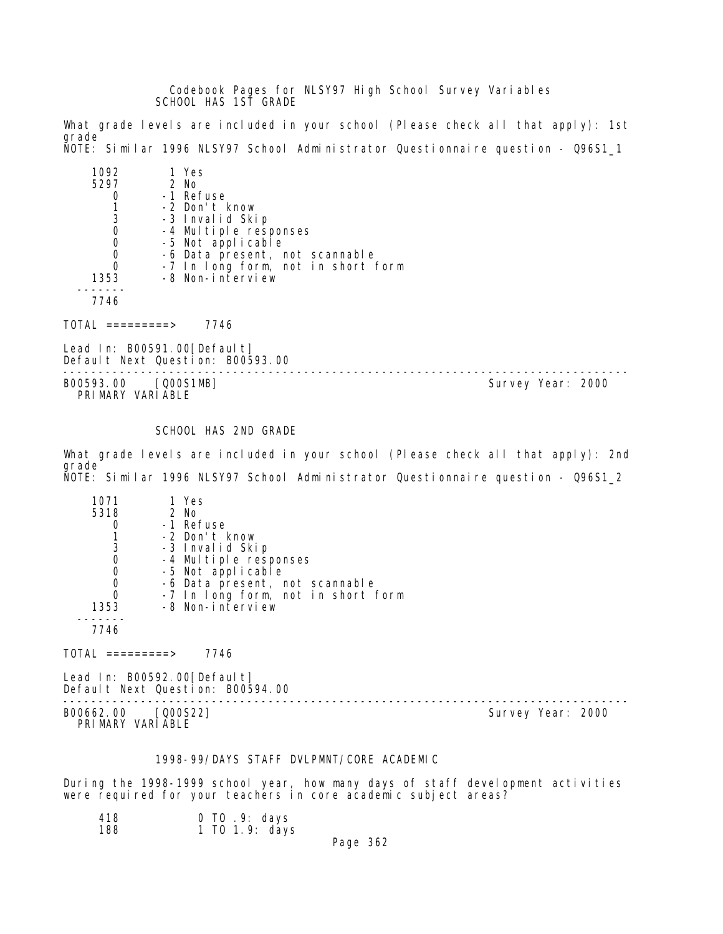Codebook Pages for NLSY97 High School Survey Variables SCHOOL HAS 1ST GRADE

What grade levels are included in your school (Please check all that apply): 1st grade NOTE: Similar 1996 NLSY97 School Administrator Questionnaire question - Q96S1\_1

| 1092<br>5297<br>3 | 1 Yes<br>$2$ No<br>-1 Refuse<br>-2 Don't know<br>-3 Invalid Skip<br>-4 Multiple responses<br>-5 Not applicable<br>-6 Data present, not scannable |
|-------------------|--------------------------------------------------------------------------------------------------------------------------------------------------|
|                   | -7 In long form, not in short form                                                                                                               |
| 1353              | -8 Non-interview                                                                                                                                 |
|                   |                                                                                                                                                  |

7746

TOTAL =========> 7746

Lead In: B00591.00[Default] Default Next Question: B00593.00

-------------------------------------------------------------------------------- Survey Year: 2000 PRIMARY VARIABLE

# SCHOOL HAS 2ND GRADE

What grade levels are included in your school (Please check all that apply): 2nd grade NOTE: Similar 1996 NLSY97 School Administrator Questionnaire question - Q96S1\_2

| 1071 | 1 Yes                              |
|------|------------------------------------|
| 5318 | 2 No                               |
|      | -1 Refuse                          |
|      | -2 Don't know                      |
| 3    | -3 Invalid Skip                    |
|      | -4 Multiple responses              |
|      | -5 Not applicable                  |
|      | -6 Data present, not scannable     |
|      | -7 In long form, not in short form |
| 1353 | -8 Non-interview                   |
|      |                                    |
| 7746 |                                    |
|      |                                    |

 $TOTAL$  =========> 7746

Lead In: B00592.00 [Default] Default Next Question: B00594.00

-------------------------------------------------------------------------------- B00662.00 [Q00S22] PRIMARY VARIABLE

# 1998-99/DAYS STAFF DVLPMNT/CORE ACADEMIC

During the 1998-1999 school year, how many days of staff development activities were required for your teachers in core academic subject areas?

| 418 | 0 TO .9: days  |
|-----|----------------|
| 188 | 1 T0 1.9: days |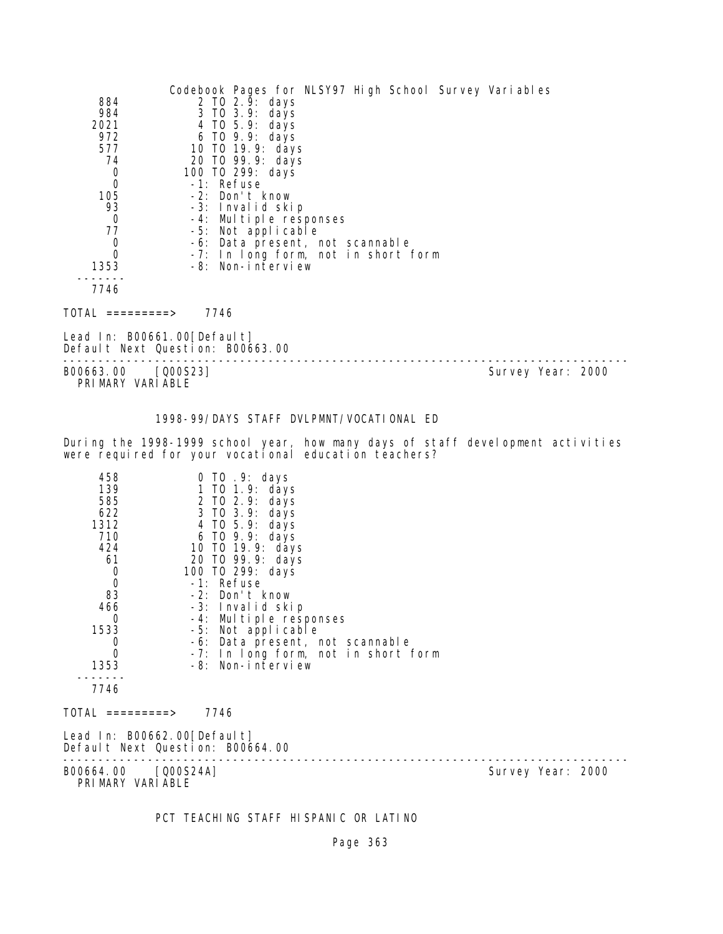|                                  | Codebook Pages for NLSY97 High School Survey Variables |
|----------------------------------|--------------------------------------------------------|
| 884                              | 2 TO 2.9: days                                         |
| 984                              | 3 TO 3.9: days                                         |
| 2021                             | 4 TO 5.9: days                                         |
| 972                              | 6 TO 9.9: days                                         |
| 577                              | 10 TO 19.9: days                                       |
| 74                               | 20 TO 99.9: days                                       |
| $\begin{matrix}0\\0\end{matrix}$ | 100 T0 299: days                                       |
|                                  | -1: Refuse                                             |
| 105                              | -2: Don't know                                         |
| 93                               | -3: Invalid skip                                       |
| $\mathbf 0$                      | -4: Multiple responses                                 |
| 77                               | -5: Not applicable                                     |
| $\mathbf 0$                      | -6: Data present, not scannable                        |
| 0                                | -7: In long form, not in short form                    |
| 1353                             | -8: Non-interview                                      |
|                                  |                                                        |
| 7746                             |                                                        |
|                                  |                                                        |
| TOTAL<br>=========>              | 7746                                                   |
|                                  |                                                        |

Lead In: B00661.00[Default] Default Next Question: B00663.00

-------------------------------------------------------------------------------- B00663.00 [Q00S23] Survey Year: 2000 PRIMARY VARIABLE

1998-99/DAYS STAFF DVLPMNT/VOCATIONAL ED

During the 1998-1999 school year, how many days of staff development activities were required for your vocational education teachers?

| 458<br>139<br>585<br>622<br>1312<br>710<br>424<br>61<br>$\begin{matrix}0\\0\end{matrix}$<br>83<br>466<br>0<br>1533<br>0<br>0<br>1353 | $0$ TO $.9$ : days<br>1 TO 1.9: days<br>2 TO 2.9: days<br>3 TO 3.9: days<br>4 TO 5.9: days<br>6 TO 9.9: days<br>10 TO 19.9: days<br>20 TO 99.9: days<br>100 T0 299: days<br>-1: Refuse<br>-2: Don't know<br>-3: Invalid skip<br>-4: Multiple responses<br>-5: Not applicable<br>-6: Data present, not scannable<br>-7: In long form, not in short form<br>-8: Non-interview |                   |
|--------------------------------------------------------------------------------------------------------------------------------------|-----------------------------------------------------------------------------------------------------------------------------------------------------------------------------------------------------------------------------------------------------------------------------------------------------------------------------------------------------------------------------|-------------------|
| 7746<br>TOTAL =========>                                                                                                             | 7746                                                                                                                                                                                                                                                                                                                                                                        |                   |
| Lead In: B00662.00[Default]                                                                                                          | Default Next Question: B00664.00                                                                                                                                                                                                                                                                                                                                            |                   |
| B00664.00 [Q00S24A]<br>PRIMARY VARIABLE                                                                                              |                                                                                                                                                                                                                                                                                                                                                                             | Survey Year: 2000 |

PCT TEACHING STAFF HISPANIC OR LATINO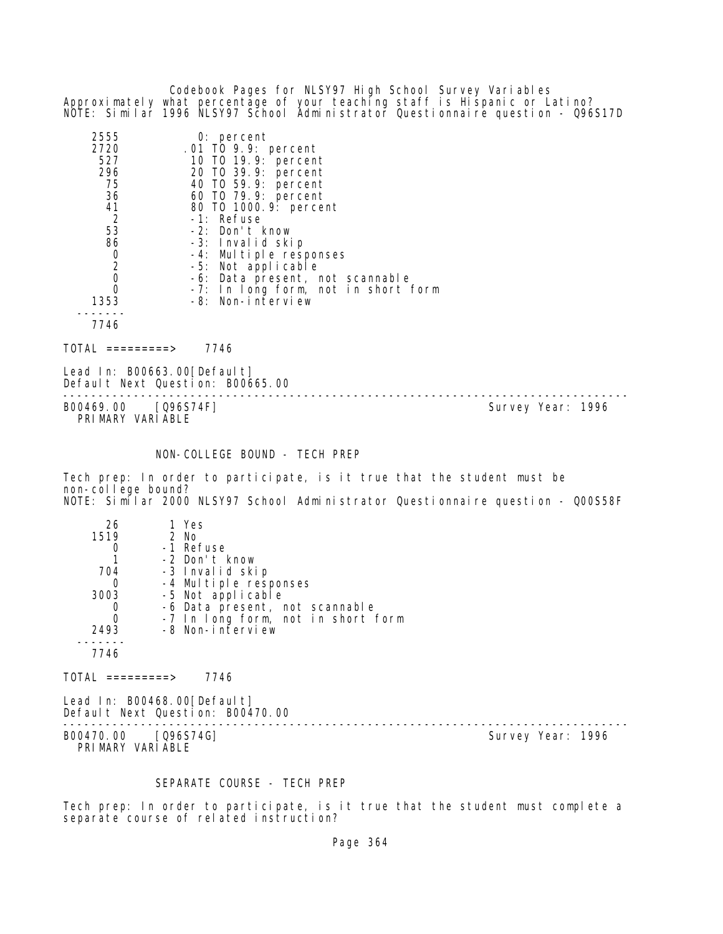Codebook Pages for NLSY97 High School Survey Variables Approximately what percentage of your teaching staff is Hispanic or Latino? NOTE: Similar 1996 NLSY97 School Administrator Questionnaire question - Q96S17D

| 2555           | $0:$ percent                        |
|----------------|-------------------------------------|
| 2720           | .01 TO 9.9: percent                 |
| 527            | 10 T0 19.9: percent                 |
| 296            | 20 TO 39.9: percent                 |
| 75             | 40 T0 59.9: percent                 |
| 36             | 60 TO 79.9: percent                 |
| 41             | 80 T0 1000.9: percent               |
| -2             | -1: Refuse                          |
| 53             | -2: Don't know                      |
| 86             | -3: Invalid skip                    |
| 0              | -4: Multiple responses              |
| $\overline{2}$ | -5: Not applicable                  |
|                | -6: Data present, not scannable     |
|                | -7: In long form, not in short form |
| 1353           | -8: Non-interview                   |
|                |                                     |
| 7746           |                                     |

TOTAL =========> 7746

Lead In: B00663.00[Default] Default Next Question: B00665.00

B00469.00 [Q96S74F] PRIMARY VARIABLE

--------------------------------------------------------------------------------

NON-COLLEGE BOUND - TECH PREP

Tech prep: In order to participate, is it true that the student must be non-college bound? NOTE: Similar 2000 NLSY97 School Administrator Questionnaire question - Q00S58F

| 26   | 1 Yes                              |
|------|------------------------------------|
| 1519 | $2$ No                             |
|      | -1 Refuse                          |
|      | -2 Don't know                      |
| 704  | -3 Invalid skip                    |
| O    | -4 Multiple responses              |
| 3003 | -5 Not applicable                  |
|      | -6 Data present, not scannable     |
| 0    | -7 In long form, not in short form |
| 2493 | -8 Non-interview                   |
|      |                                    |
|      |                                    |

 $TOTAL$  ========> 7746

Lead In: B00468.00[Default] Default Next Question: B00470.00

B00470.00 [Q96S74G] Survey Year: 1996 PRIMARY VARIABLE

--------------------------------------------------------------------------------

### SEPARATE COURSE - TECH PREP

Tech prep: In order to participate, is it true that the student must complete a separate course of related instruction?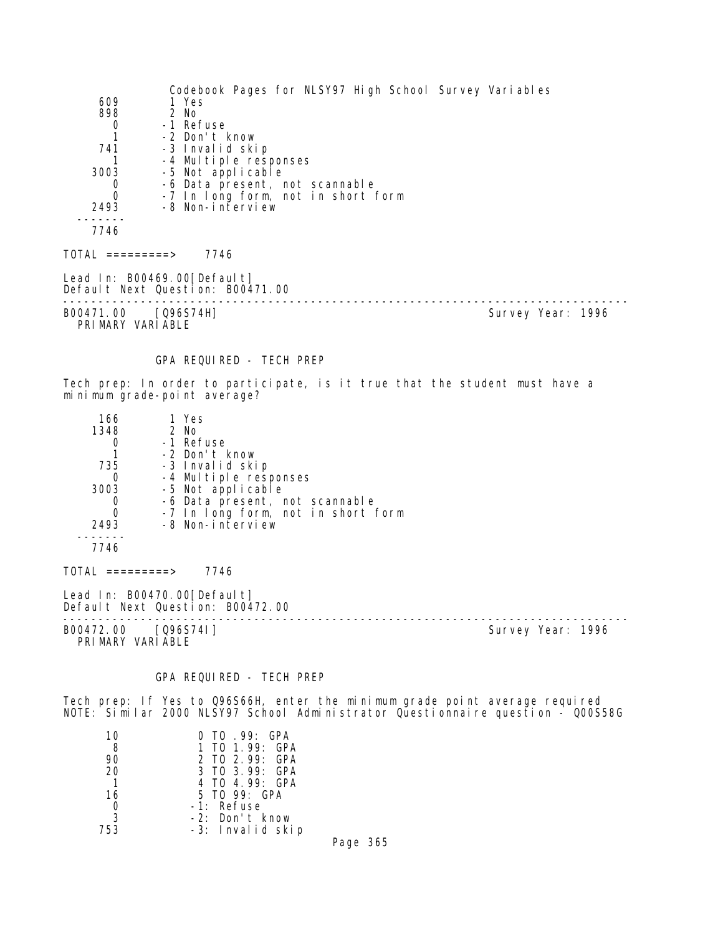| 609<br>898<br>0<br>1<br>741<br>1<br>3003<br>0<br>0<br>2493   | Codebook Pages for NLSY97 High School Survey Variables<br>1 Yes<br>2 No<br>-1 Refuse<br>-2 Don't know<br>-3 Invalid skip<br>-4 Multiple responses<br>-5 Not applicable<br>-6 Data present, not scannable<br>-7 In long form, not in short form<br>-8 Non-interview |                   |
|--------------------------------------------------------------|--------------------------------------------------------------------------------------------------------------------------------------------------------------------------------------------------------------------------------------------------------------------|-------------------|
| 7746                                                         |                                                                                                                                                                                                                                                                    |                   |
| $TOTAL$ =========> 7746                                      |                                                                                                                                                                                                                                                                    |                   |
|                                                              | Lead In: B00469.00 [Default]<br>Default Next Question: B00471.00                                                                                                                                                                                                   |                   |
| B00471.00 [Q96S74H]<br>PRIMARY VARIABLE                      |                                                                                                                                                                                                                                                                    | Survey Year: 1996 |
|                                                              | GPA REQUIRED - TECH PREP                                                                                                                                                                                                                                           |                   |
|                                                              | Tech prep: In order to participate, is it true that the student must have a<br>minimum grade-point average?                                                                                                                                                        |                   |
| 166<br>1348<br>0<br>1.<br>735<br>0<br>3003<br>O<br>0<br>2493 | 1 Yes<br>2 No<br>-1 Refuse<br>-2 Don't know<br>-3 Invalid skip<br>-4 Multiple responses<br>-5 Not applicable<br>-6 Data present, not scannable<br>-7 In long form, not in short form<br>-8 Non-interview                                                           |                   |
| 7746                                                         |                                                                                                                                                                                                                                                                    |                   |
| $\overline{\text{TOTAL}}$ =========>                         | 7746                                                                                                                                                                                                                                                               |                   |
|                                                              | Lead In: B00470.00 [Default]<br>Default Next Question: B00472.00<br>---------------                                                                                                                                                                                |                   |
| B00472.00<br>PRIMARY VARIABLE                                | [096574]                                                                                                                                                                                                                                                           | Survey Year: 1996 |

# GPA REQUIRED - TECH PREP

Tech prep: If Yes to Q96S66H, enter the minimum grade point average required NOTE: Similar 2000 NLSY97 School Administrator Questionnaire question - Q00S58G

| 10             | O TO 99: GPA      |
|----------------|-------------------|
| -8             | 1 TO 1.99: GPA    |
| 90             | 2 TO 2.99: GPA    |
| 20             | 3 TO 3.99: GPA    |
| $\mathbf{1}$   | 4 TO 4.99: GPA    |
| 16             | 5 TO 99: GPA      |
| $\overline{0}$ | -1: Refuse        |
| 3              | $-2$ : Don't know |
| 753            | -3: Invalid skip  |

Page 365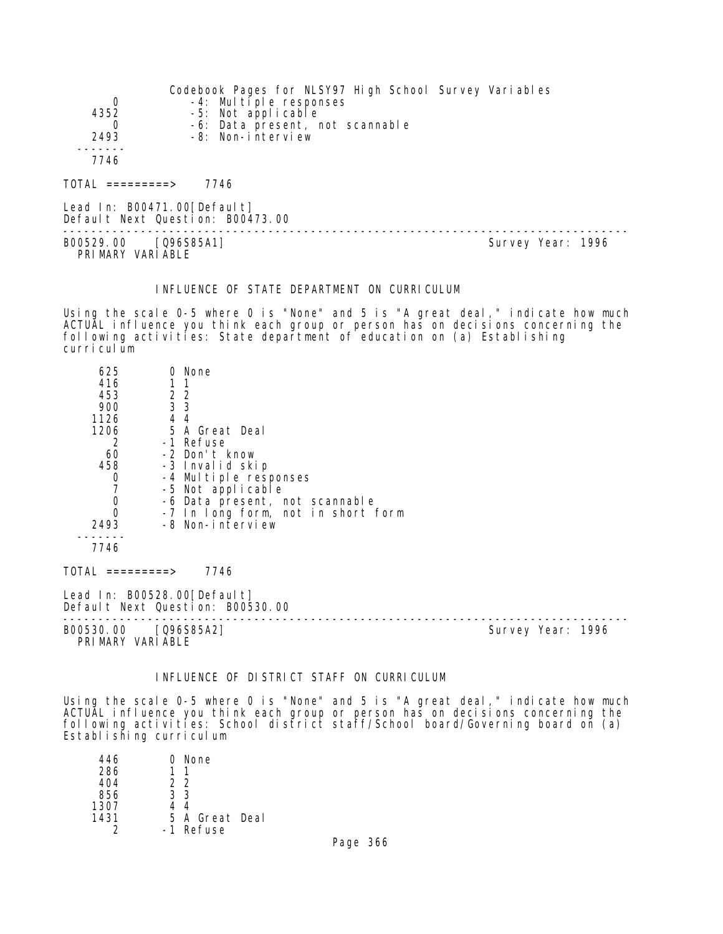| 0<br>4352<br>2493        | Codebook Pages for NLSY97 High School Survey Variables<br>-4: Multiple responses<br>-5: Not applicable<br>-6: Data present, not scannable<br>-8: Non-interview |  |
|--------------------------|----------------------------------------------------------------------------------------------------------------------------------------------------------------|--|
| 7746<br>TOTAL =========> | 7746                                                                                                                                                           |  |
|                          |                                                                                                                                                                |  |

Lead In: B00471.00 [Default] Default Next Question: B00473.00 -------------------------------------------------------------------------------- B00529.00 [Q96S85A1] Survey Year: 1996 PRIMARY VARIABLE

### INFLUENCE OF STATE DEPARTMENT ON CURRICULUM

Using the scale 0-5 where 0 is "None" and 5 is "A great deal," indicate how much ACTUAL influence you think each group or person has on decisions concerning the following activities: State department of education on (a) Establishing curriculum

| 625                           | 0 None                                                          |                   |
|-------------------------------|-----------------------------------------------------------------|-------------------|
| 416                           |                                                                 |                   |
| 453                           | $\begin{array}{cc} 2 & 2 \\ 3 & 3 \end{array}$                  |                   |
| 900                           |                                                                 |                   |
| 1126                          | 4 4                                                             |                   |
| 1206                          | 5 A Great Deal                                                  |                   |
| 2                             | -1 Refuse                                                       |                   |
| 60                            | -2 Don't know                                                   |                   |
| 458                           | -3 Invalid skip                                                 |                   |
| $\frac{0}{7}$                 | -4 Multiple responses                                           |                   |
|                               | -5 Not applicable                                               |                   |
| $\mathbf 0$<br>$\overline{0}$ | -6 Data present, not scannable                                  |                   |
| 2493                          | -7 In long form, not in short form<br>-8 Non-interview          |                   |
|                               |                                                                 |                   |
| 7746                          |                                                                 |                   |
| TOTAL =========>              | 7746                                                            |                   |
|                               | Lead In: B00528.00[Default]<br>Default Next Question: B00530.00 |                   |
| PRIMARY VARIABLE              | B00530.00 [Q96S85A2]                                            | Survey Year: 1996 |

## INFLUENCE OF DISTRICT STAFF ON CURRICULUM

Using the scale 0-5 where 0 is "None" and 5 is "A great deal," indicate how much ACTUAL influence you think each group or person has on decisions concerning the following activities: School district staff/School board/Governing board on (a) Establishing curriculum

| 446  | 0 None         |
|------|----------------|
| 286  |                |
| 404  | 22             |
| 856  | 33             |
| 1307 | 44             |
| 1431 | 5 A Great Deal |
|      | -1 Refuse      |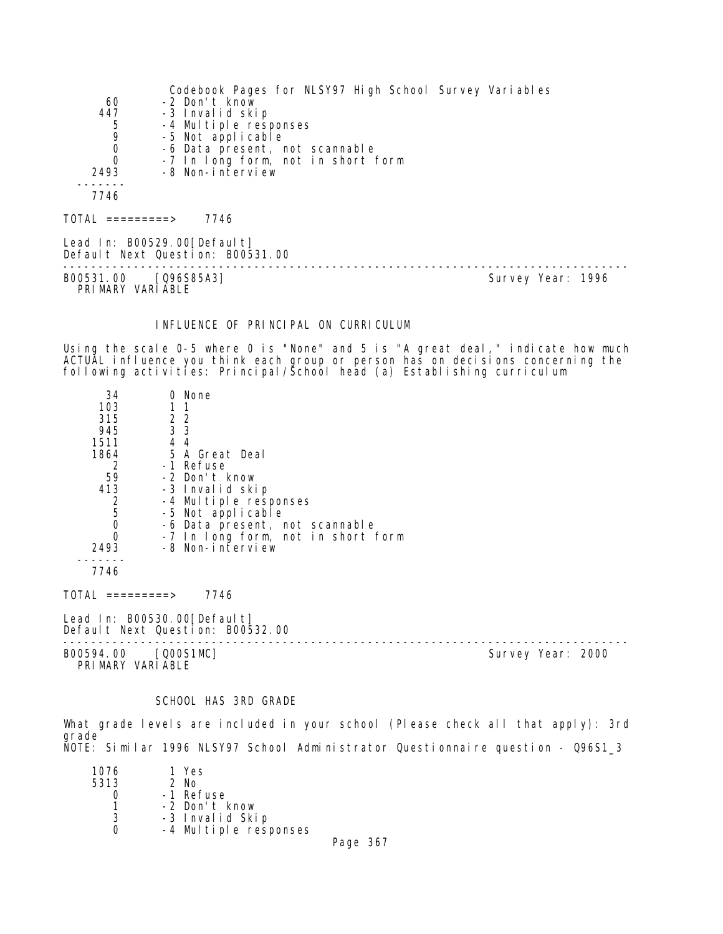|                  | Codebook Pages for NLSY97 High School Survey Variables          |                   |
|------------------|-----------------------------------------------------------------|-------------------|
| 60               | -2 Don't know                                                   |                   |
| 447              | -3 Invalid skip                                                 |                   |
| $\frac{5}{9}$    | -4 Multiple responses                                           |                   |
|                  | -5 Not applicable                                               |                   |
| $\mathbf 0$      | -6 Data present, not scannable                                  |                   |
| $\Omega$         | -7 In long form, not in short form                              |                   |
| 2493             | -8 Non-interview                                                |                   |
|                  |                                                                 |                   |
| 7746             |                                                                 |                   |
| TOTAL =========> | 7746                                                            |                   |
|                  | Lead In: B00529.00[Default]<br>Default Next Question: B00531.00 |                   |
| B00531.00        | [Q96S85A3]                                                      | Survey Year: 1996 |

PRIMARY VARIABLE

# INFLUENCE OF PRINCIPAL ON CURRICULUM

Using the scale 0-5 where 0 is "None" and 5 is "A great deal," indicate how much ACTUAL influence you think each group or person has on decisions concerning the following activities: Principal/School head (a) Establishing curriculum

| 34   | 0 None                             |  |
|------|------------------------------------|--|
| 103  |                                    |  |
| 315  | 2 2                                |  |
| 945  | 3 <sub>3</sub>                     |  |
| 1511 | 44                                 |  |
| 1864 | 5 A Great Deal                     |  |
|      | -1 Refuse                          |  |
| 59   | -2 Don't know                      |  |
| 413  | -3 Invalid skip                    |  |
|      | -4 Multiple responses              |  |
| 5    | -5 Not applicable                  |  |
|      | -6 Data present, not scannable     |  |
|      | -7 In long form, not in short form |  |
| 2493 | -8 Non-interview                   |  |
|      |                                    |  |
| 7746 |                                    |  |

TOTAL =========> 7746

Lead In: B00530.00 [Default] Default Next Question: B00532.00

-------------------------------------------------------------------------------- B00594.00 [Q00S1MC] Survey Year: 2000

PRIMARY VARIABLE

#### SCHOOL HAS 3RD GRADE

What grade levels are included in your school (Please check all that apply): 3rd grade NOTE: Similar 1996 NLSY97 School Administrator Questionnaire question - Q96S1\_3

| 1076 | 1 Yes                 |
|------|-----------------------|
| 5313 | $2$ No                |
|      | -1 Refuse             |
|      | -2 Don't know         |
| 3    | -3 Invalid Skip       |
|      | -4 Multiple responses |
|      |                       |

Page 367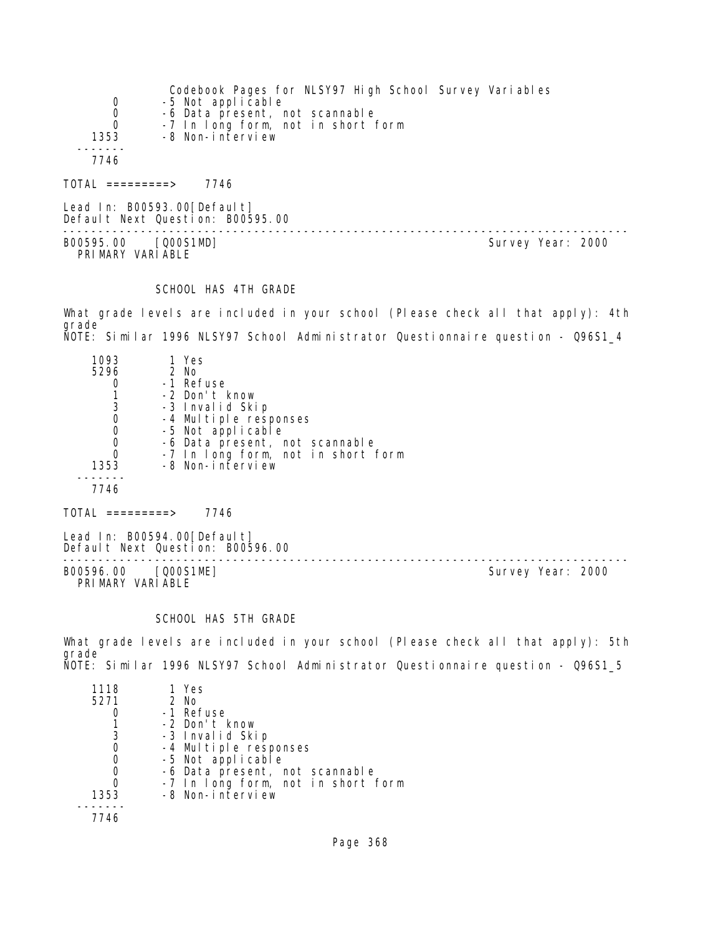|                             | Codebook Pages for NLSY97 High School Survey Variables |
|-----------------------------|--------------------------------------------------------|
| 0                           | -5 Not applicable                                      |
| $\mathbf 0$                 | -6 Data present, not scannable                         |
| $\Omega$                    | -7 In long form, not in short form                     |
| 1353                        | -8 Non-interview                                       |
|                             |                                                        |
| 7746                        |                                                        |
| TOTAL =========>            | 7746                                                   |
| Lead In: B00593.00[Default] |                                                        |

Default Next Question: B00595.00 -------------------------------------------------------------------------------- B00595.00 [Q00S1MD] Survey Year: 2000 PRIMARY VARIABLE

### SCHOOL HAS 4TH GRADE

What grade levels are included in your school (Please check all that apply): 4th grade NOTE: Similar 1996 NLSY97 School Administrator Questionnaire question - Q96S1\_4

| 1093<br>5296<br>3<br>0<br>O | 1 Yes<br>2 No<br>-1 Refuse<br>-2 Don't know<br>-3 Invalid Skip<br>-4 Multiple responses<br>-5 Not applicable<br>-6 Data present, not scannable<br>-7 In long form, not in short form |
|-----------------------------|--------------------------------------------------------------------------------------------------------------------------------------------------------------------------------------|
| 1353                        | -8 Non-interview                                                                                                                                                                     |
| 7746                        |                                                                                                                                                                                      |

 $TOTAL$  =========> 7746

Lead In: B00594.00[Default] Default Next Question: B00596.00

B00596.00 [Q00S1ME] PRIMARY VARIABLE

--------------------------------------------------------------------------------

### SCHOOL HAS 5TH GRADE

What grade levels are included in your school (Please check all that apply): 5th grade NOTE: Similar 1996 NLSY97 School Administrator Questionnaire question - Q96S1\_5

| 1118 | 1 Yes                              |
|------|------------------------------------|
| 5271 | $2$ No                             |
|      | -1 Refuse                          |
|      | -2 Don't know                      |
| 3    | -3 Invalid Skip                    |
| 0    | -4 Multiple responses              |
| 0    | -5 Not applicable                  |
| 0    | -6 Data present, not scannable     |
|      | -7 In long form, not in short form |
| 1353 | -8 Non-interview                   |
|      |                                    |
|      |                                    |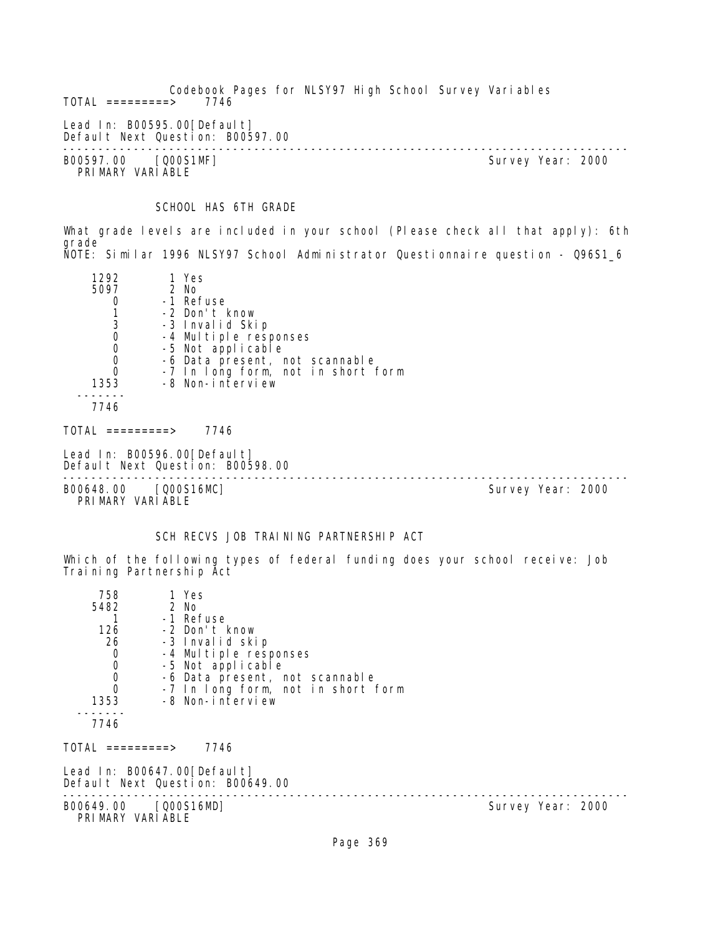Codebook Pages for NLSY97 High School Survey Variables  $TOTAL$  =========> Lead In: B00595.00[Default] Default Next Question: B00597.00 -------------------------------------------------------------------------------- B00597.00 [Q00S1MF] Survey Year: 2000 PRIMARY VARIABLE

# SCHOOL HAS 6TH GRADE

What grade levels are included in your school (Please check all that apply): 6th grade NOTE: Similar 1996 NLSY97 School Administrator Questionnaire question - Q96S1\_6

| 1292                                     | 1 Yes                                                           |                                    |                   |  |
|------------------------------------------|-----------------------------------------------------------------|------------------------------------|-------------------|--|
| 5097                                     | 2 No                                                            |                                    |                   |  |
| 0                                        | -1 Refuse                                                       |                                    |                   |  |
| $\begin{array}{c} 1 \\ 3 \end{array}$    | -2 Don't know                                                   |                                    |                   |  |
|                                          | -3 Invalid Skip                                                 |                                    |                   |  |
| $\mathbf 0$                              | -4 Multiple responses                                           |                                    |                   |  |
| $\mathbf 0$                              | -5 Not applicable                                               |                                    |                   |  |
| $\begin{matrix} 0 \\ 0 \end{matrix}$     |                                                                 | -6 Data present, not scannable     |                   |  |
|                                          |                                                                 | -7 In long form, not in short form |                   |  |
| 1353                                     | -8 Non-interview                                                |                                    |                   |  |
|                                          |                                                                 |                                    |                   |  |
| 7746                                     |                                                                 |                                    |                   |  |
| TOTAL =========>                         | 7746                                                            |                                    |                   |  |
|                                          | Lead In: B00596.00[Default]<br>Default Next Question: B00598.00 |                                    |                   |  |
| B00648.00 [Q00S16MC]<br>PRIMARY VARIABLE |                                                                 |                                    | Survey Year: 2000 |  |

## SCH RECVS JOB TRAINING PARTNERSHIP ACT

Which of the following types of federal funding does your school receive: Job Training Partnership Act

| 758<br>5482<br>126<br>26<br>$\mathbf 0$<br>$\boldsymbol{0}$<br>$\begin{matrix}0\\0\end{matrix}$<br>1353<br>7746 | 1 Yes<br>2 No<br>-1 Refuse<br>-2 Don't know<br>-3 Invalid skip<br>-4 Multiple responses<br>-5 Not applicable<br>-6 Data present, not scannable<br>-7 In long form, not in short form<br>-8 Non-interview |                   |  |
|-----------------------------------------------------------------------------------------------------------------|----------------------------------------------------------------------------------------------------------------------------------------------------------------------------------------------------------|-------------------|--|
| TOTAL =========>                                                                                                | 7746                                                                                                                                                                                                     |                   |  |
| Lead In: B00647.00[Default]<br>Default Next Question: B00649.00                                                 |                                                                                                                                                                                                          |                   |  |
| B00649.00 [Q00S16MD]<br>PRIMARY VARIABLE                                                                        |                                                                                                                                                                                                          | Survey Year: 2000 |  |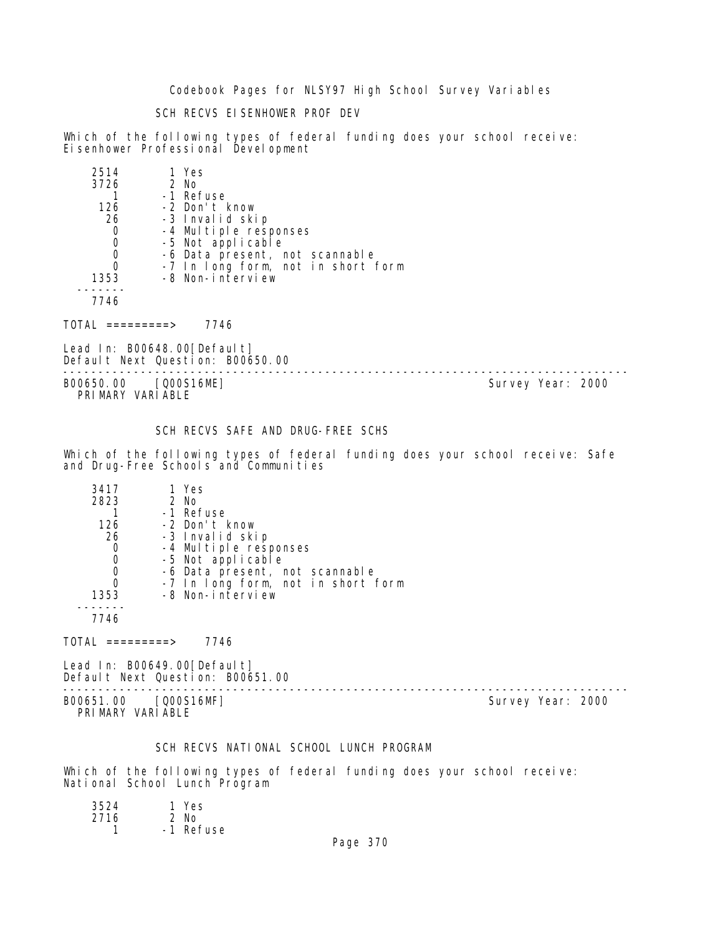Codebook Pages for NLSY97 High School Survey Variables

SCH RECVS EISENHOWER PROF DEV

Which of the following types of federal funding does your school receive: Eisenhower Professional Development

| 2514 | 1 Yes                              |
|------|------------------------------------|
| 3726 | 2 No                               |
|      | -1 Refuse                          |
| 126  | -2 Don't know                      |
| 26   | -3 Invalid skip                    |
|      | -4 Multiple responses              |
|      | -5 Not applicable                  |
|      | -6 Data present, not scannable     |
|      | -7 In long form, not in short form |
| 1353 | -8 Non-interview                   |
|      |                                    |
| 7746 |                                    |

TOTAL =========> 7746

Lead In: B00648.00[Default] Default Next Question: B00650.00

B00650.00 [Q00S16ME] PRIMARY VARIABLE

--------------------------------------------------------------------------------

# SCH RECVS SAFE AND DRUG-FREE SCHS

Which of the following types of federal funding does your school receive: Safe and Drug-Free Schools and Communities

| 3417 | 1 Yes                              |
|------|------------------------------------|
| 2823 | 2 No                               |
|      | -1 Refuse                          |
| 126  | -2 Don't know                      |
| 26   | -3 Invalid skip                    |
|      | -4 Multiple responses              |
|      | -5 Not applicable                  |
|      | -6 Data present, not scannable     |
|      | -7 In long form, not in short form |
| 1353 | -8 Non-interview                   |
|      |                                    |
|      |                                    |

7746

TOTAL =========> 7746

Lead In: B00649.00 [Default] Default Next Question: B00651.00

B00651.00 [Q00S16MF] Survey Year: 2000 PRIMARY VARIABLE

--------------------------------------------------------------------------------

## SCH RECVS NATIONAL SCHOOL LUNCH PROGRAM

Which of the following types of federal funding does your school receive: National School Lunch Program

| 3524 | 1 Yes     |
|------|-----------|
| 2716 | $2$ No    |
|      | -1 Refuse |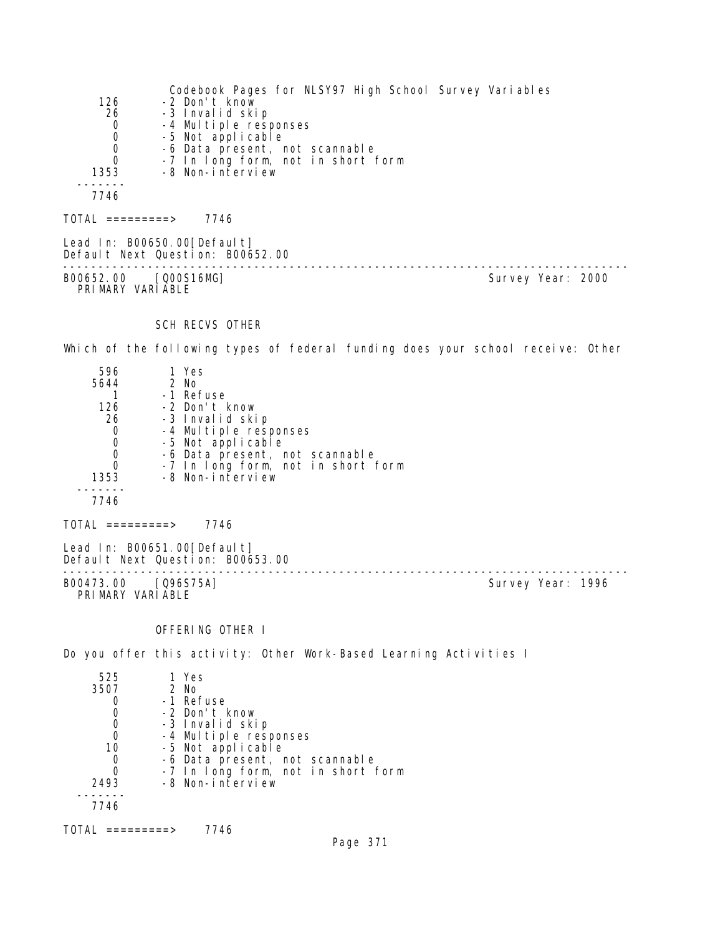|                  | Codebook Pages for NLSY97 High School Survey Variables                                                                                                                                                                                                                                                                                                                                                                                                                                     |
|------------------|--------------------------------------------------------------------------------------------------------------------------------------------------------------------------------------------------------------------------------------------------------------------------------------------------------------------------------------------------------------------------------------------------------------------------------------------------------------------------------------------|
| 126              | -2 Don't know                                                                                                                                                                                                                                                                                                                                                                                                                                                                              |
| 26               | -3 Invalid skip                                                                                                                                                                                                                                                                                                                                                                                                                                                                            |
| $\mathbf 0$      | -4 Multiple responses                                                                                                                                                                                                                                                                                                                                                                                                                                                                      |
| $\mathbf 0$      | -5 Not applicable                                                                                                                                                                                                                                                                                                                                                                                                                                                                          |
| 0                | -6 Data present, not scannable                                                                                                                                                                                                                                                                                                                                                                                                                                                             |
| $\Omega$         | -7 In long form, not in short form                                                                                                                                                                                                                                                                                                                                                                                                                                                         |
| 1353             | -8 Non-interview                                                                                                                                                                                                                                                                                                                                                                                                                                                                           |
|                  |                                                                                                                                                                                                                                                                                                                                                                                                                                                                                            |
| 7746             |                                                                                                                                                                                                                                                                                                                                                                                                                                                                                            |
| TOTAL =========> | 7746                                                                                                                                                                                                                                                                                                                                                                                                                                                                                       |
|                  | $\blacksquare$ $\blacksquare$ $\blacksquare$ $\blacksquare$ $\blacksquare$ $\blacksquare$ $\blacksquare$ $\blacksquare$ $\blacksquare$ $\blacksquare$ $\blacksquare$ $\blacksquare$ $\blacksquare$ $\blacksquare$ $\blacksquare$ $\blacksquare$ $\blacksquare$ $\blacksquare$ $\blacksquare$ $\blacksquare$ $\blacksquare$ $\blacksquare$ $\blacksquare$ $\blacksquare$ $\blacksquare$ $\blacksquare$ $\blacksquare$ $\blacksquare$ $\blacksquare$ $\blacksquare$ $\blacksquare$ $\blacks$ |

Lead In: B00650.00[Default] Default Next Question: B00652.00 -------------------------------------------------------------------------------- B00652.00 [Q00S16MG] Survey Year: 2000 PRIMARY VARIABLE

## SCH RECVS OTHER

Which of the following types of federal funding does your school receive: Other

| 596        | 1 Yes                              |  |
|------------|------------------------------------|--|
| 5644       | 2 No                               |  |
|            | -1 Refuse                          |  |
| 126        | -2 Don't know                      |  |
| 26         | -3 Invalid skip                    |  |
| 0          | -4 Multiple responses              |  |
| 0          | -5 Not applicable                  |  |
| 0          | -6 Data present, not scannable     |  |
| 0          | -7 In long form, not in short form |  |
| 1353       | -8 Non-interview                   |  |
|            |                                    |  |
| 7746       |                                    |  |
|            |                                    |  |
| =========> | 7746                               |  |

Lead In: B00651.00[Default] Default Next Question: B00653.00 -------------------------------------------------------------------------------- B00473.00 [Q96S75A] PRI MARY VARI ABLE

# OFFERING OTHER I

Do you offer this activity: Other Work-Based Learning Activities I

| 525  | 1 Yes                              |
|------|------------------------------------|
| 3507 | 2 No                               |
|      | -1 Refuse                          |
|      | -2 Don't know                      |
| 0    | -3 Invalid skip                    |
| 0    | -4 Multiple responses              |
| 10   | -5 Not applicable                  |
| 0    | -6 Data present, not scannable     |
|      | -7 In long form, not in short form |
| 2493 | -8 Non-interview                   |
|      |                                    |
| 7746 |                                    |
|      |                                    |

TOTAL =========> 7746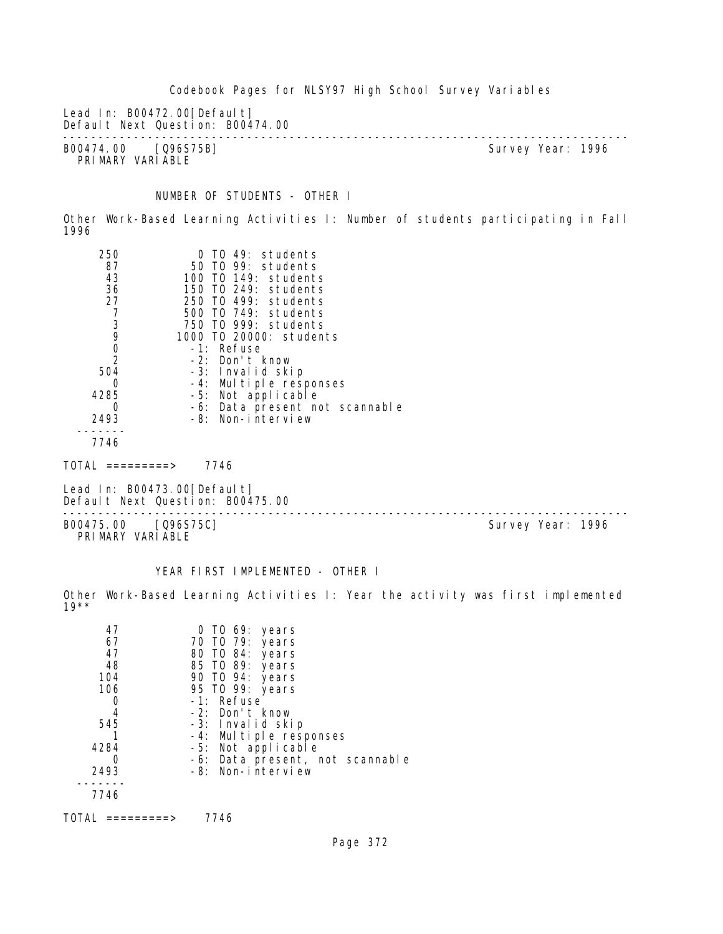Codebook Pages for NLSY97 High School Survey Variables Lead In: B00472.00 [Default] Default Next Question: B00474.00 -------------------------------------------------------------------------------- B00474.00 [Q96S75B] PRIMARY VARIABLE NUMBER OF STUDENTS - OTHER I Other Work-Based Learning Activities I: Number of students participating in Fall 1996 250 0 TO 49: students 87 50 TO 99: students 43 100 TO 149: students 36 150 TO 249: students 27 250 TO 499: students 7 500 TO 749: students 3 750 TO 999: students 9 1000 TO 20000: students 0 -1: Refuse 2 -2: Don't know 504 -3: Invalid skip 0 -4: Multiple responses 4285 -5: Not applicable 0 -6: Data present not scannable 2493 -8: Non-interview ------- 7746  $TOTAL$  =========> 7746 Lead In: B00473.00 [Default] Default Next Question: B00475.00 -------------------------------------------------------------------------------- B00475.00 [Q96S75C] PRIMARY VARIABLE

### YEAR FIRST IMPLEMENTED - OTHER I

Other Work-Based Learning Activities I: Year the activity was first implemented 19\*\*

| 47<br>67<br>47 | 0 TO 69: years<br>70 TO 79: years<br>80 TO 84: years |
|----------------|------------------------------------------------------|
| 48             | 85 TO 89: years                                      |
| 104            | 90 TO 94: years                                      |
| 106            | 95 TO 99: years                                      |
|                | -1: Refuse                                           |
| 4              | -2: Don't know                                       |
| 545            | -3: Invalid skip                                     |
|                | -4: Multiple responses                               |
| 4284           | -5: Not applicable                                   |
|                | -6: Data present, not scannable                      |
| 2493           | -8: Non-interview                                    |
|                |                                                      |
| 7746           |                                                      |
|                |                                                      |

TOTAL =========> 7746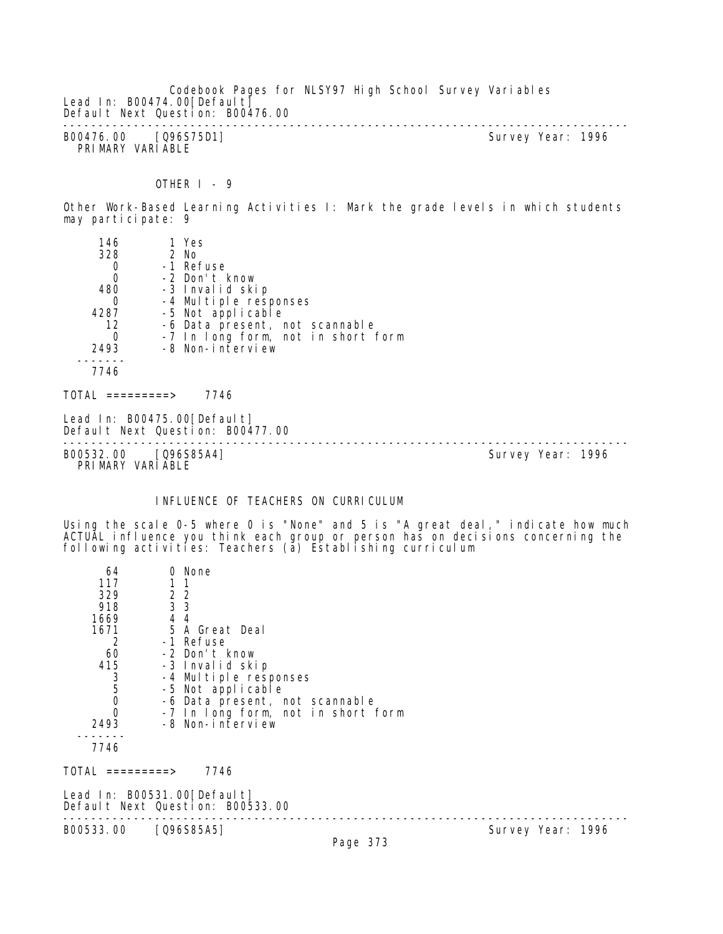Codebook Pages for NLSY97 High School Survey Variables Lead In: B00474.00 [Default] Default Next Question: B00476.00 -------------------------------------------------------------------------------- B00476.00 [Q96S75D1] Survey Year: 1996 PRIMARY VARIABLE

OTHER  $I - 9$ 

Other Work-Based Learning Activities I: Mark the grade levels in which students may participate: 9

| 146                                      | 1 Yes                                                            |                                    |                   |  |
|------------------------------------------|------------------------------------------------------------------|------------------------------------|-------------------|--|
| 328                                      | 2 No                                                             |                                    |                   |  |
| 0                                        | -1 Refuse                                                        |                                    |                   |  |
| $\boldsymbol{0}$                         | -2 Don't know                                                    |                                    |                   |  |
| 480                                      | -3 Invalid skip                                                  |                                    |                   |  |
| 0                                        | -4 Multiple responses                                            |                                    |                   |  |
| 4287                                     | -5 Not applicable                                                |                                    |                   |  |
| 12                                       |                                                                  | -6 Data present, not scannable     |                   |  |
| 0                                        |                                                                  | -7 In long form, not in short form |                   |  |
| 2493                                     | -8 Non-interview                                                 |                                    |                   |  |
|                                          |                                                                  |                                    |                   |  |
| 7746                                     |                                                                  |                                    |                   |  |
| TOTAL =========>                         | 7746                                                             |                                    |                   |  |
|                                          | Lead In: B00475.00 [Default]<br>Default Next Question: B00477.00 |                                    |                   |  |
| B00532.00 [Q96S85A4]<br>PRIMARY VARIABLE |                                                                  |                                    | Survey Year: 1996 |  |

### INFLUENCE OF TEACHERS ON CURRICULUM

Using the scale 0-5 where 0 is "None" and 5 is "A great deal," indicate how much ACTUAL influence you think each group or person has on decisions concerning the following activities: Teachers (a) Establishing curriculum

| 64                                              | 0 None                                                          |                                    |                   |
|-------------------------------------------------|-----------------------------------------------------------------|------------------------------------|-------------------|
| 117                                             |                                                                 |                                    |                   |
| 329                                             | 2 <sub>2</sub>                                                  |                                    |                   |
| 918                                             | 3 3                                                             |                                    |                   |
| 1669                                            | 4 4                                                             |                                    |                   |
|                                                 | 1671 5 A Great Deal                                             |                                    |                   |
| 2                                               | -1 Refuse                                                       |                                    |                   |
|                                                 | 60 -2 Don't know                                                |                                    |                   |
| 415                                             | -3 Invalid skip                                                 |                                    |                   |
| $\begin{array}{c} 3 \\ 5 \\ 0 \\ 0 \end{array}$ | -4 Multiple responses                                           |                                    |                   |
|                                                 | -5 Not applicable                                               |                                    |                   |
|                                                 | -6 Data present, not scannable                                  |                                    |                   |
|                                                 |                                                                 | -7 In long form, not in short form |                   |
| 2493                                            | -8 Non-interview                                                |                                    |                   |
| 7746                                            |                                                                 |                                    |                   |
| TOTAL =========>                                | 7746                                                            |                                    |                   |
|                                                 | Lead In: B00531.00[Default]<br>Default Next Question: B00533.00 |                                    |                   |
| B00533.00                                       | [Q96S85A5]                                                      | $D_{200}$ 272                      | Survey Year: 1996 |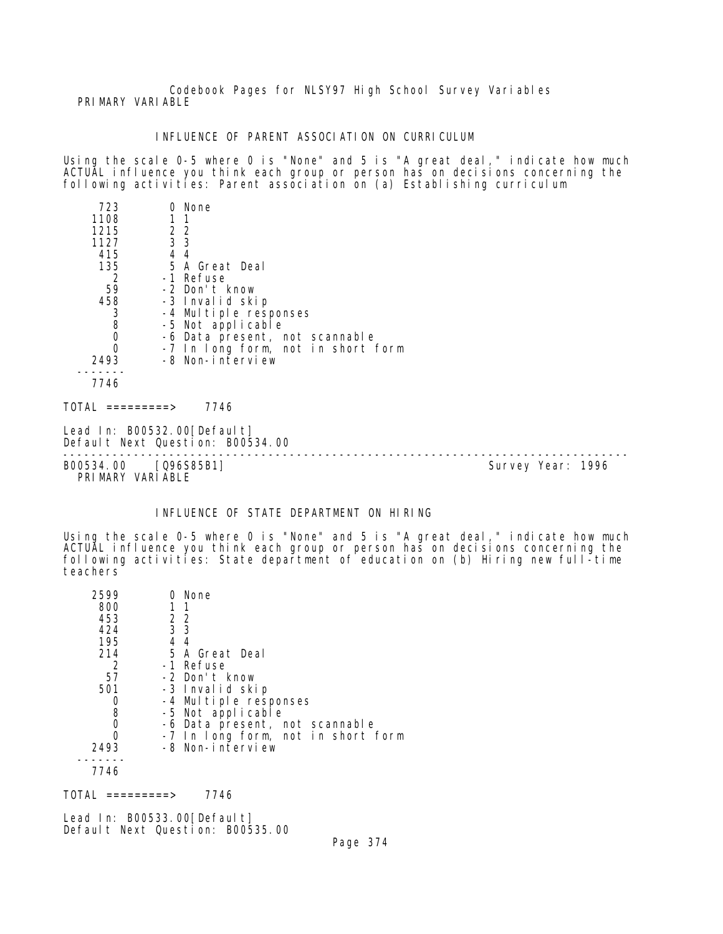Codebook Pages for NLSY97 High School Survey Variables PRIMARY VARIABLE

#### INFLUENCE OF PARENT ASSOCIATION ON CURRICULUM

Using the scale 0-5 where 0 is "None" and 5 is "A great deal," indicate how much ACTUAL influence you think each group or person has on decisions concerning the following activities: Parent association on (a) Establishing curriculum

| 723              | 0 None                             |  |
|------------------|------------------------------------|--|
| 1108             |                                    |  |
| 1215             | 2 2                                |  |
| 1127             | 3 <sub>3</sub>                     |  |
| 415              | 44                                 |  |
| 135              | 5 A Great Deal                     |  |
| 2                | -1 Refuse                          |  |
| 59               | -2 Don't know                      |  |
| 458              | -3 Invalid skip                    |  |
| $\frac{3}{8}$    | -4 Multiple responses              |  |
|                  | -5 Not applicable                  |  |
| 0                | -6 Data present, not scannable     |  |
| $\Omega$         | -7 In long form, not in short form |  |
| 2493             | -8 Non-interview                   |  |
|                  |                                    |  |
| 7746             |                                    |  |
| TOTAL =========> | 7746                               |  |
|                  | Lead In: B00532.00[Default]        |  |

Default Next Question: B00534.00

-------------------------------------------------------------------------------- B00534.00 [Q96S85B1]

PRIMARY VARIABLE

# INFLUENCE OF STATE DEPARTMENT ON HIRING

Using the scale 0-5 where 0 is "None" and 5 is "A great deal," indicate how much ACTUAL influence you think each group or person has on decisions concerning the following activities: State department of education on (b) Hiring new full-time teachers

| 2599 | 0 None                             |
|------|------------------------------------|
| 800  | 11                                 |
| 453  | 2 2                                |
| 424  | 3 <sub>3</sub>                     |
| 195  | 44                                 |
| 214  | 5 A Great Deal                     |
|      | -1 Refuse                          |
| 57   | -2 Don't know                      |
| 501  | -3 Invalid skip                    |
|      | -4 Multiple responses              |
| 8    | -5 Not applicable                  |
| 0    | -6 Data present, not scannable     |
|      | -7 In long form, not in short form |
| 2493 | -8 Non-interview                   |
|      |                                    |
| 7746 |                                    |

 $TOTAL$  ========> 7746

Lead In: B00533.00 [Default] Default Next Question: B00535.00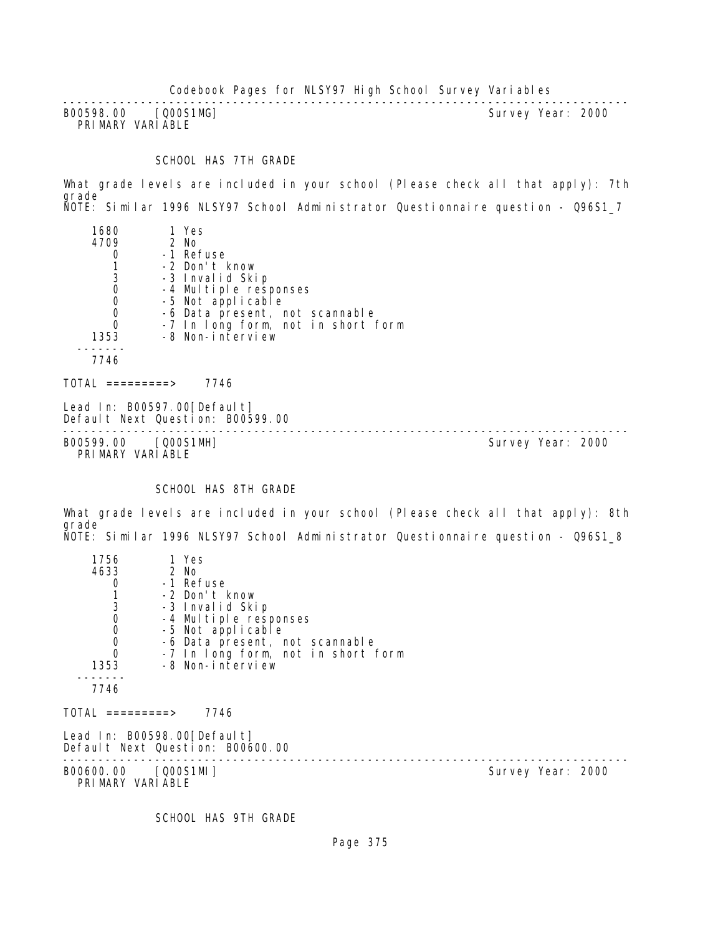Codebook Pages for NLSY97 High School Survey Variables

-------------------------------------------------------------------------------- B00598.00 [Q00S1MG] PRIMARY VARIABLE

## SCHOOL HAS 7TH GRADE

What grade levels are included in your school (Please check all that apply): 7th grade NOTE: Similar 1996 NLSY97 School Administrator Questionnaire question - Q96S1\_7

| 1680<br>4709<br>3<br>0<br>0<br>0<br>0<br>1353 | 1 Yes<br>$2$ No<br>-1 Refuse<br>-2 Don't know<br>-3 Invalid Skip<br>-4 Multiple responses<br>-5 Not applicable<br>-6 Data present, not scannable<br>-7 In long form, not in short form<br>-8 Non-interview |
|-----------------------------------------------|------------------------------------------------------------------------------------------------------------------------------------------------------------------------------------------------------------|
| 7746                                          |                                                                                                                                                                                                            |
| =========>                                    | 7746                                                                                                                                                                                                       |

Lead In: B00597.00 [Default] Default Next Question: B00599.00

-------------------------------------------------------------------------------- B00599.00 [Q00S1MH] Survey Year: 2000 PRIMARY VARIABLE

#### SCHOOL HAS 8TH GRADE

What grade levels are included in your school (Please check all that apply): 8th grade NOTE: Similar 1996 NLSY97 School Administrator Questionnaire question - Q96S1\_8

| 1756                                                  | 1 Yes                                                           |                   |
|-------------------------------------------------------|-----------------------------------------------------------------|-------------------|
| 4633                                                  | 2 No                                                            |                   |
| 0                                                     | -1 Refuse                                                       |                   |
| $\begin{bmatrix} 1 \\ 3 \\ 0 \\ 0 \\ 0 \end{bmatrix}$ | -2 Don't know                                                   |                   |
|                                                       | -3 Invalid Skip                                                 |                   |
|                                                       | -4 Multiple responses                                           |                   |
|                                                       | -5 Not applicable                                               |                   |
|                                                       | -6 Data present, not scannable                                  |                   |
| $\overline{0}$                                        | -7 In long form, not in short form                              |                   |
| 1353                                                  | -8 Non-interview                                                |                   |
| 7746                                                  |                                                                 |                   |
| TOTAL =========>                                      | 7746                                                            |                   |
|                                                       | Lead In: B00598.00[Default]<br>Default Next Question: B00600.00 |                   |
| B00600.00 [Q00S1MI]<br>PRIMARY VARIABLE               |                                                                 | Survey Year: 2000 |
|                                                       |                                                                 |                   |

SCHOOL HAS 9TH GRADE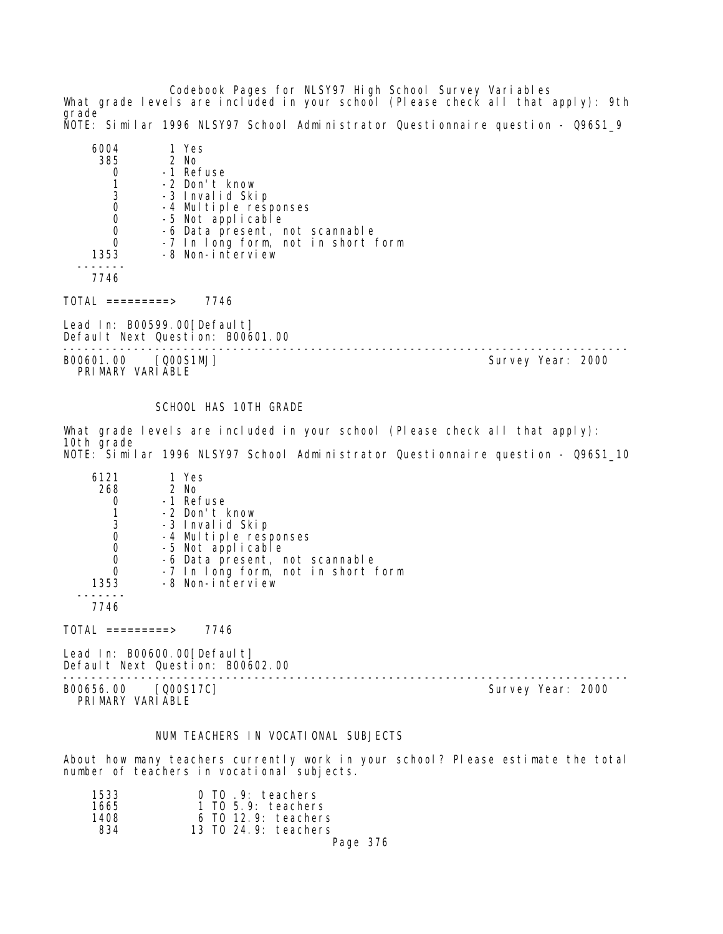Codebook Pages for NLSY97 High School Survey Variables What grade levels are included in your school (Please check all that apply): 9th grade NOTE: Similar 1996 NLSY97 School Administrator Questionnaire question - Q96S1\_9

| 385  | 1 Yes<br>2 No                              |
|------|--------------------------------------------|
|      | -1 Refuse                                  |
|      | -2 Don't know                              |
| 3    | -3 Invalid Skip                            |
|      |                                            |
|      | -4 Multiple responses<br>-5 Not applicable |
|      | -6 Data present, not scannable             |
|      | -7 In long form, not in short form         |
| 1353 | -8 Non-interview                           |
|      |                                            |
|      |                                            |

TOTAL =========> 7746

Lead In: B00599.00[Default] Default Next Question: B00601.00

B00601.00 [Q00S1MJ] Survey Year: 2000 PRIMARY VARIABLE

--------------------------------------------------------------------------------

SCHOOL HAS 10TH GRADE

What grade levels are included in your school (Please check all that apply): 10th grade NOTE: Similar 1996 NLSY97 School Administrator Questionnaire question - Q96S1\_10

| 6121 | 1 Yes                              |
|------|------------------------------------|
| 268  | 2 No                               |
|      | -1 Refuse                          |
|      | -2 Don't know                      |
| 3    | -3 Invalid Skip                    |
| 0    | -4 Multiple responses              |
|      | -5 Not applicable                  |
|      | -6 Data present, not scannable     |
|      | -7 In long form, not in short form |
| 1353 | -8 Non-interview                   |
|      |                                    |
| 7746 |                                    |

 $TOTAL$  =========> 7746

Lead In: B00600.00[Default] Default Next Question: B00602.00

-------------------------------------------------------------------------------- B00656.00 [Q00S17C] Survey Year: 2000 PRIMARY VARIABLE

# NUM TEACHERS IN VOCATIONAL SUBJECTS

About how many teachers currently work in your school? Please estimate the total number of teachers in vocational subjects.

| 1533 | 0 TO 9: teachers      |
|------|-----------------------|
| 1665 | $1$ TO 5.9: teachers  |
| 1408 | $6$ TO 12.9: teachers |
| 834  | 13 TO 24.9: teachers  |
|      | Page 376              |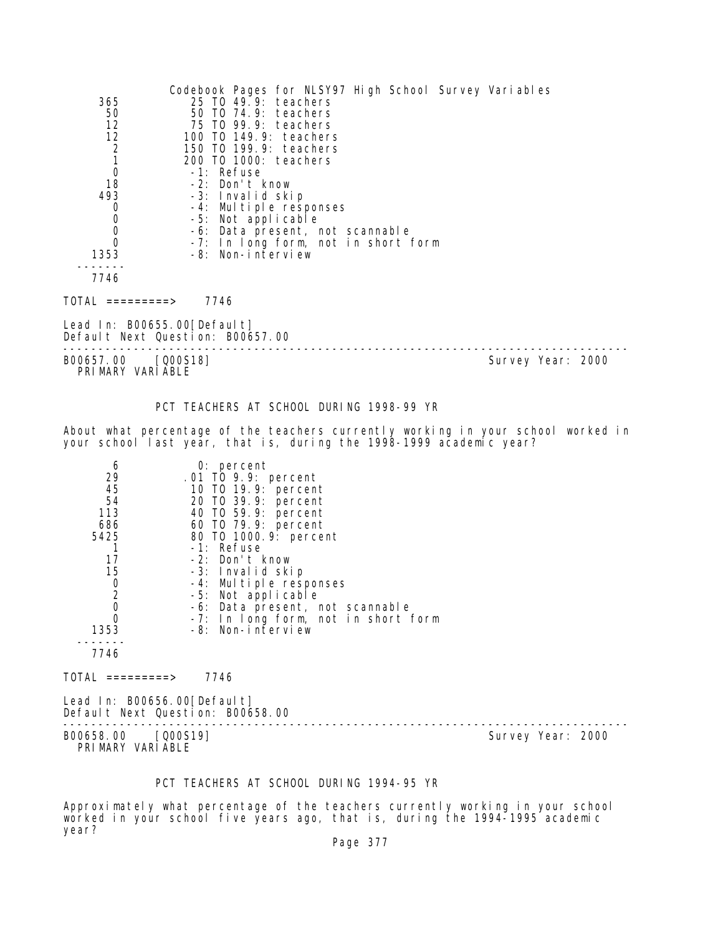|                    | Codebook Pages for NLSY97 High School Survey Variables |
|--------------------|--------------------------------------------------------|
| 365                | 25 TO 49.9: teachers                                   |
| 50                 | 50 TO 74.9: teachers                                   |
| 12                 | 75 TO 99.9: teachers                                   |
| 12                 | 100 T0 149.9: teachers                                 |
| $\frac{2}{1}$      | 150 TO 199.9: teachers                                 |
|                    | 200 TO 1000: teachers                                  |
| $\mathbf 0$        | -1: Refuse                                             |
| 18                 | -2: Don't know                                         |
| 493                | -3: Invalid skip                                       |
| 0                  | -4: Multiple responses                                 |
| $\mathbf 0$        | -5: Not applicable                                     |
| $\mathbf 0$        | -6: Data present, not scannable                        |
| $\Omega$           | -7: In long form, not in short form                    |
| 1353               | -8: Non-interview                                      |
|                    |                                                        |
| 7746               |                                                        |
| T01AL<br>========> | 7746                                                   |

Lead In: B00655.00 [Default] Default Next Question: B00657.00

-------------------------------------------------------------------------------- B00657.00 [Q00S18] Survey Year: 2000 PRIMARY VARIABLE

PCT TEACHERS AT SCHOOL DURING 1998-99 YR

About what percentage of the teachers currently working in your school worked in your school last year, that is, during the 1998-1999 academic year?

| 6<br>29        | $0:$ percent<br>.01 TO 9.9: percent |
|----------------|-------------------------------------|
| 45             | 10 T0 19.9: percent                 |
| 54             | 20 TO 39.9: percent                 |
| 113            | 40 T0 59.9: percent                 |
| 686            | 60 TO 79.9: percent                 |
| 5425           | 80 TO 1000.9: percent               |
|                | $-1$ : Refuse                       |
| 17             | -2: Don't know                      |
| 15             | -3: Invalid skip                    |
| O              | -4: Multiple responses              |
| $\overline{2}$ | -5: Not applicable                  |
| 0              | -6: Data present, not scannable     |
|                | -7: In long form, not in short form |
| 1353           | -8: Non-interview                   |
|                |                                     |
| 7746           |                                     |

 $TOTAL$  ========> 7746

Lead In: B00656.00[Default] Default Next Question: B00658.00

-------------------------------------------------------------------------------- B00658.00 [Q00S19] Survey Year: 2000

PRIMARY VARIABLE

# PCT TEACHERS AT SCHOOL DURING 1994-95 YR

Approximately what percentage of the teachers currently working in your school worked in your school five years ago, that is, during the 1994-1995 academic year?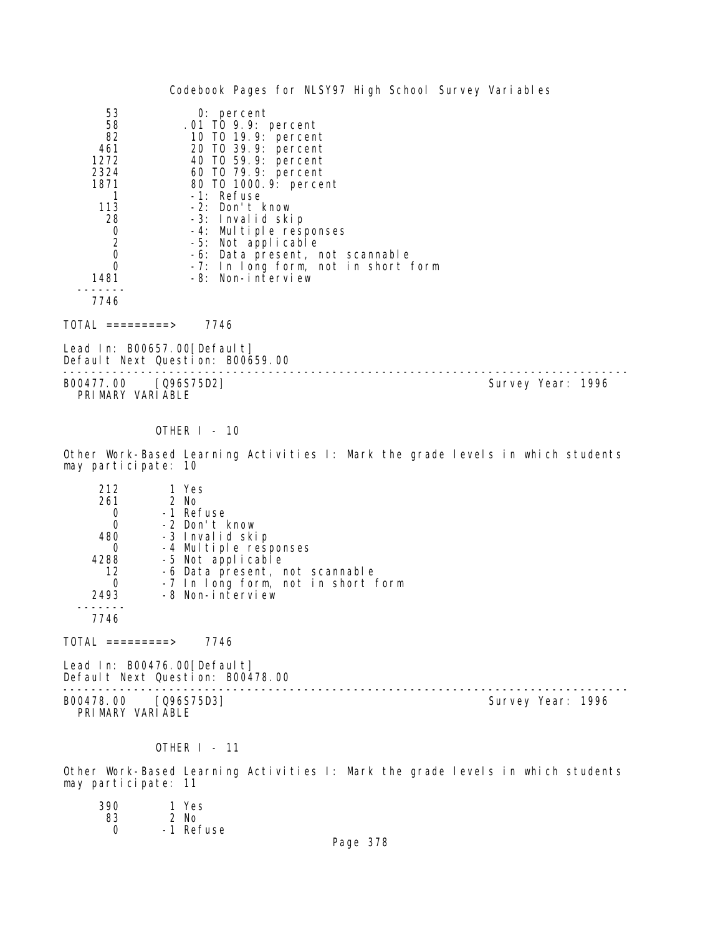|                                                                                                                        | Codebook Pages for NLSY97 High School Survey Variables                                                                                                                                                                                                                                                                                                      |  |
|------------------------------------------------------------------------------------------------------------------------|-------------------------------------------------------------------------------------------------------------------------------------------------------------------------------------------------------------------------------------------------------------------------------------------------------------------------------------------------------------|--|
| 53<br>58<br>82<br>461<br>1272<br>2324<br>1871<br>113<br>28<br>$\begin{bmatrix} 0 \\ 2 \\ 0 \\ 0 \end{bmatrix}$<br>1481 | $0:$ percent<br>.01 TO 9.9: percent<br>10 T0 19.9: percent<br>20 TO 39.9: percent<br>40 TO 59.9: percent<br>60 TO 79.9: percent<br>80 TO 1000.9: percent<br>-1: Refuse<br>-2: Don't know<br>-3: Invalid skip<br>-4: Multiple responses<br>-5: Not applicable<br>-6: Data present, not scannable<br>-7: In long form, not in short form<br>-8: Non-interview |  |
| 7746                                                                                                                   |                                                                                                                                                                                                                                                                                                                                                             |  |
| TOTAL =========>                                                                                                       | 7746                                                                                                                                                                                                                                                                                                                                                        |  |
| Lead In: B00657.00[Default]                                                                                            | Default Next Question: B00659.00                                                                                                                                                                                                                                                                                                                            |  |

-------------------------------------------------------------------------------- B00477.00 [Q96S75D2] PRIMARY VARIABLE

## OTHER I - 10

Other Work-Based Learning Activities I: Mark the grade levels in which students may participate: 10

| 212  | 1 Yes                              |
|------|------------------------------------|
| 261  | 2 No                               |
|      | -1 Refuse                          |
|      | -2 Don't know                      |
| 480  | -3 Invalid skip                    |
|      | -4 Multiple responses              |
| 4288 | -5 Not applicable                  |
| 12   | -6 Data present, not scannable     |
|      | -7 In long form, not in short form |
| 2493 | -8 Non-interview                   |
|      |                                    |
| 7746 |                                    |

TOTAL =========> 7746

Lead In: B00476.00 [Default]

Default Next Question: B00478.00 -------------------------------------------------------------------------------- B00478.00 [Q96S75D3] Survey Year: 1996 PRIMARY VARIABLE

#### OTHER I - 11

Other Work-Based Learning Activities I: Mark the grade levels in which students may participate: 11

| 390          | 1 Yes     |
|--------------|-----------|
| 83           | 2 No      |
| <sup>0</sup> | -1 Refuse |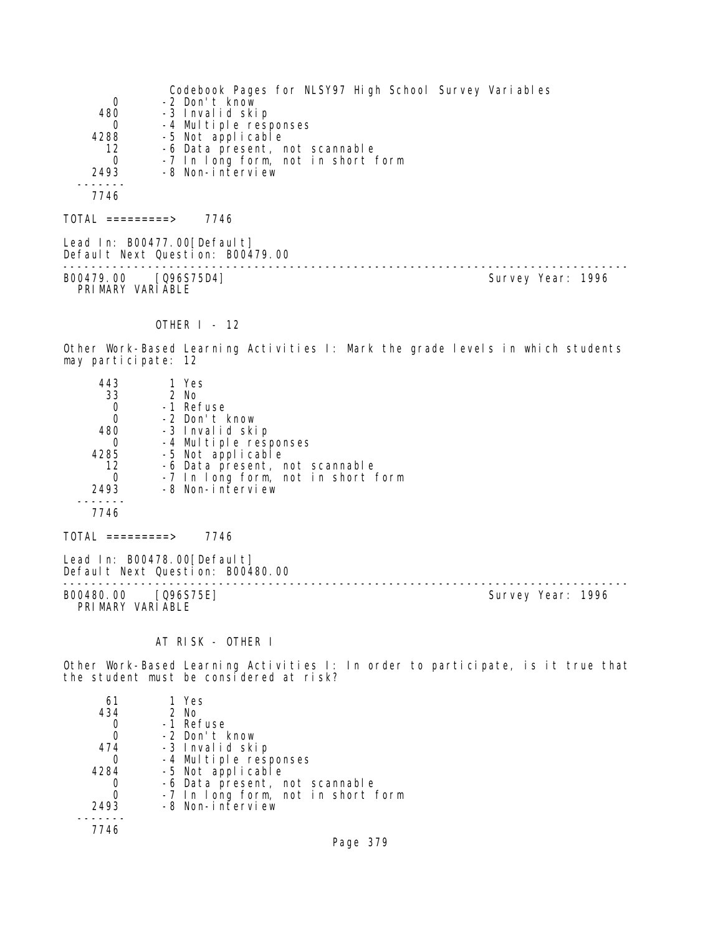|                  | Codebook Pages for NLSY97 High School Survey Variables          |
|------------------|-----------------------------------------------------------------|
| 0                | -2 Don't know                                                   |
| 480              | -3 Invalid skip                                                 |
| 0                | -4 Multiple responses                                           |
| 4288             | -5 Not applicable                                               |
| 12               | -6 Data present, not scannable                                  |
| $\Omega$         | -7 In long form, not in short form                              |
| 2493             | -8 Non-interview                                                |
|                  |                                                                 |
| 7746             |                                                                 |
| TOTAL =========> | 7746                                                            |
|                  | Lead In: B00477.00[Default]<br>Default Next Question: B00479.00 |

-------------------------------------------------------------------------------- B00479.00 [Q96S75D4] Survey Year: 1996 PRIMARY VARIABLE

# OTHER I - 12

Other Work-Based Learning Activities I: Mark the grade levels in which students may participate: 12

| 443  | 1 Yes                              |
|------|------------------------------------|
| 33   | 2 No                               |
|      | -1 Refuse                          |
| 0    | -2 Don't know                      |
| 480  | -3 Invalid skip                    |
| Ω    | -4 Multiple responses              |
| 4285 | -5 Not applicable                  |
| 12   | -6 Data present, not scannable     |
|      | -7 In long form, not in short form |
| 2493 | -8 Non-interview                   |
|      |                                    |
| 7746 |                                    |
|      |                                    |

 $TOTAL$  =========> 7746

Lead In: B00478.00[Default] Default Next Question: B00480.00

-------------------------------------------------------------------------------- PRIMARY VARIABLE

Survey Year: 1996

## AT RISK - OTHER I

Other Work-Based Learning Activities I: In order to participate, is it true that the student must be considered at risk?

| 61            | 1 Yes                                                  |
|---------------|--------------------------------------------------------|
| 434           | $2$ No                                                 |
|               | -1 Refuse                                              |
| 0             | -2 Don't know                                          |
| 474           | -3 Invalid skip                                        |
| $\mathcal{L}$ | -4 Multiple responses<br>-5 Not applicable             |
| 4284          |                                                        |
|               | -6 Data present, not scannable                         |
|               | -7 In long form, not in short form<br>-8 Non-interview |
| 2493          |                                                        |
|               |                                                        |
| 7746          |                                                        |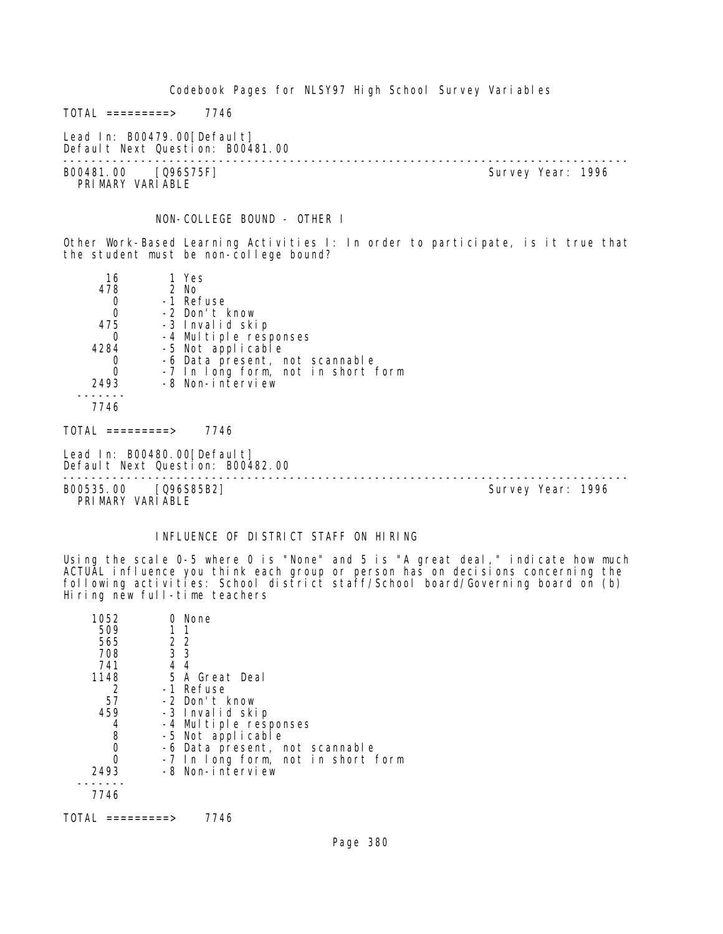Codebook Pages for NLSY97 High School Survey Variables  $TOTAL$  ========> 7746 Lead In: B00479.00[Default] Default Next Question: B00481.00 -------------------------------------------------------------------------------- Survey Year: 1996 PRIMARY VARIABLE NON-COLLEGE BOUND - OTHER I Other Work-Based Learning Activities I: In order to participate, is it true that the student must be non-college bound? 16 1 Yes<br>478 2 No 478 2 No 0 -1 Refuse<br>0 -2 Don't I 0 -2 Don't know 475 -3 Invalid skip 0 -4 Multiple responses 4284 -5 Not applicable 0 -6 Data present, not scannable 0 -7 In long form, not in short form 2493 -8 Non-interview ------- 7746 TOTAL =========> 7746 Lead In: B00480.00 [Default] Default Next Question: B00482.00 -------------------------------------------------------------------------------- B00535.00 [Q96S85B2] PRIMARY VARIABLE

### INFLUENCE OF DISTRICT STAFF ON HIRING

Using the scale 0-5 where 0 is "None" and 5 is "A great deal," indicate how much ACTUAL influence you think each group or person has on decisions concerning the following activities: School district staff/School board/Governing board on (b) Hiring new full-time teachers

| 1052 | 0 None                             |
|------|------------------------------------|
| 509  | 11                                 |
| 565  | 2 2                                |
| 708  | 3 3                                |
| 741  | 44                                 |
| 1148 | 5 A Great Deal                     |
| 2    | -1 Refuse                          |
| 57   | -2 Don't know                      |
| 459  | -3 Invalid skip                    |
|      | -4 Multiple responses              |
| 8    | -5 Not applicable                  |
| 0    | -6 Data present, not scannable     |
|      | -7 In long form, not in short form |
| 2493 | -8 Non-interview                   |
|      |                                    |
| 7746 |                                    |
|      |                                    |

TOTAL =========> 7746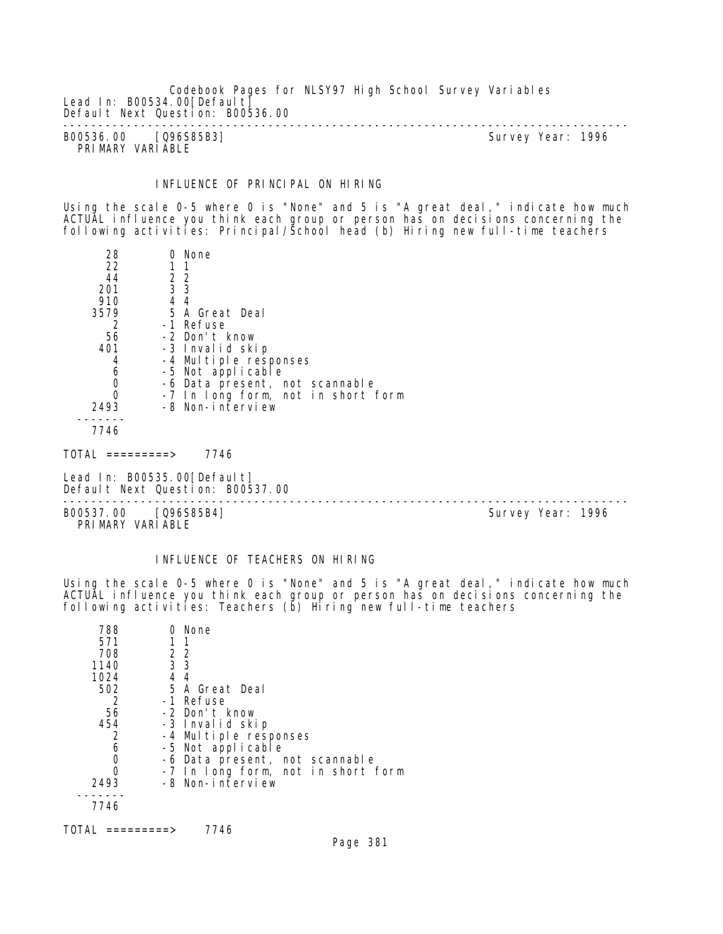Codebook Pages for NLSY97 High School Survey Variables Lead In: B00534.00 [Default] Default Next Question: B00536.00 -------------------------------------------------------------------------------- B00536.00 [Q96S85B3] Survey Year: 1996

PRIMARY VARIABLE

INFLUENCE OF PRINCIPAL ON HIRING

Using the scale 0-5 where 0 is "None" and 5 is "A great deal," indicate how much ACTUAL influence you think each group or person has on decisions concerning the following activities: Principal/School head (b) Hiring new full-time teachers

| 28   | 0 None                             |
|------|------------------------------------|
| 22   |                                    |
| 44   | 2 2                                |
| 201  | 3 <sub>3</sub>                     |
| 910  | $4\overline{4}$                    |
| 3579 | 5 A Great Deal                     |
|      | -1 Refuse                          |
| 56   | -2 Don't know                      |
| 401  | -3 Invalid skip                    |
| 4    | -4 Multiple responses              |
| 6    | -5 Not applicable                  |
| 0    | -6 Data present, not scannable     |
| O    | -7 In long form, not in short form |
| 2493 | -8 Non-interview                   |
|      |                                    |
| 7746 |                                    |

TOTAL =========> 7746

Lead In: B00535.00 [Default] Default Next Question: B00537.00

--------------------------------------------------------------------------------

B00537.00 [Q96S85B4] Survey Year: 1996 PRIMARY VARIABLE

# INFLUENCE OF TEACHERS ON HIRING

Using the scale 0-5 where 0 is "None" and 5 is "A great deal," indicate how much ACTUAL influence you think each group or person has on decisions concerning the following activities: Teachers (b) Hiring new full-time teachers

| 788  | None                               |
|------|------------------------------------|
| 571  | $1 \t1$                            |
| 708  | 2 2                                |
| 1140 | 3 <sub>3</sub>                     |
| 1024 | 44                                 |
| 502  | 5 A Great Deal                     |
| 2    | -1 Refuse                          |
| 56   | -2 Don't know                      |
| 454  | -3 Invalid skip                    |
|      | -4 Multiple responses              |
| 6    | -5 Not applicable                  |
| 0    | -6 Data present, not scannable     |
| Ω    | -7 In long form, not in short form |
| 2493 | -8 Non-interview                   |
|      |                                    |
| 7746 |                                    |
|      |                                    |

 $TOTAL$  =========> 7746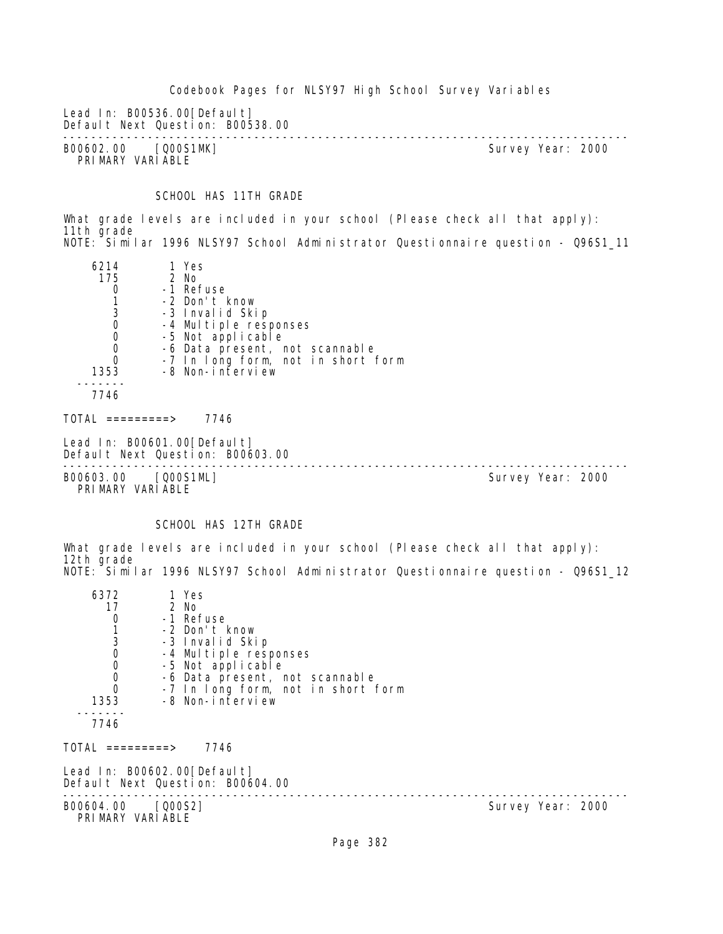Codebook Pages for NLSY97 High School Survey Variables Lead In: B00536.00 [Default] Default Next Question: B00538.00 -------------------------------------------------------------------------------- B00602.00 [Q00S1MK] PRIMARY VARIABLE

SCHOOL HAS 11TH GRADE

What grade levels are included in your school (Please check all that apply): 11th grade NOTE: Similar 1996 NLSY97 School Administrator Questionnaire question - Q96S1\_11

| 6214             | 1 Yes                                                                      |  |
|------------------|----------------------------------------------------------------------------|--|
| 175              | 2 No                                                                       |  |
| 0                | -1 Refuse                                                                  |  |
|                  | -2 Don't know                                                              |  |
| 3                | -3 Invalid Skip                                                            |  |
| $\mathbf 0$      | -4 Multiple responses                                                      |  |
| $\mathbf 0$      | -5 Not applicable                                                          |  |
| $\mathbf 0$      | -6 Data present, not scannable                                             |  |
| $\Omega$         | -7 In long form, not in short form                                         |  |
| 1353             | -8 Non-interview                                                           |  |
|                  |                                                                            |  |
| 7746             |                                                                            |  |
|                  |                                                                            |  |
| TOTAL =========> | 7746                                                                       |  |
|                  | Lead In: B00601.00[Default]<br>$D - E - I + N - I$ $D - I$ $A - I$ $A - I$ |  |

Default Next Question: B00603.00 --------------------------------------------------------------------------------

B00603.00 [Q00S1ML] Survey Year: 2000 PRIMARY VARIABLE

# SCHOOL HAS 12TH GRADE

What grade levels are included in your school (Please check all that apply): 12th grade NOTE: Similar 1996 NLSY97 School Administrator Questionnaire question - Q96S1\_12

| 6372<br>17<br>$\mathbf 0$<br>130000000<br>1353<br>7746 | 1 Yes<br>2 No<br>-1 Refuse<br>-2 Don't know<br>-3 Invalid Skip<br>-4 Multiple responses<br>-5 Not applicable<br>-6 Data present, not scannable<br>-7 In long form, not in short form<br>-8 Non-interview |                   |
|--------------------------------------------------------|----------------------------------------------------------------------------------------------------------------------------------------------------------------------------------------------------------|-------------------|
| $TOTAL$ =========>                                     | 7746                                                                                                                                                                                                     |                   |
|                                                        | Lead In: B00602.00 [Default]<br>Default Next Question: B00604.00                                                                                                                                         |                   |
| B00604.00 [Q00S2]<br>PRIMARY VARIABLE                  |                                                                                                                                                                                                          | Survey Year: 2000 |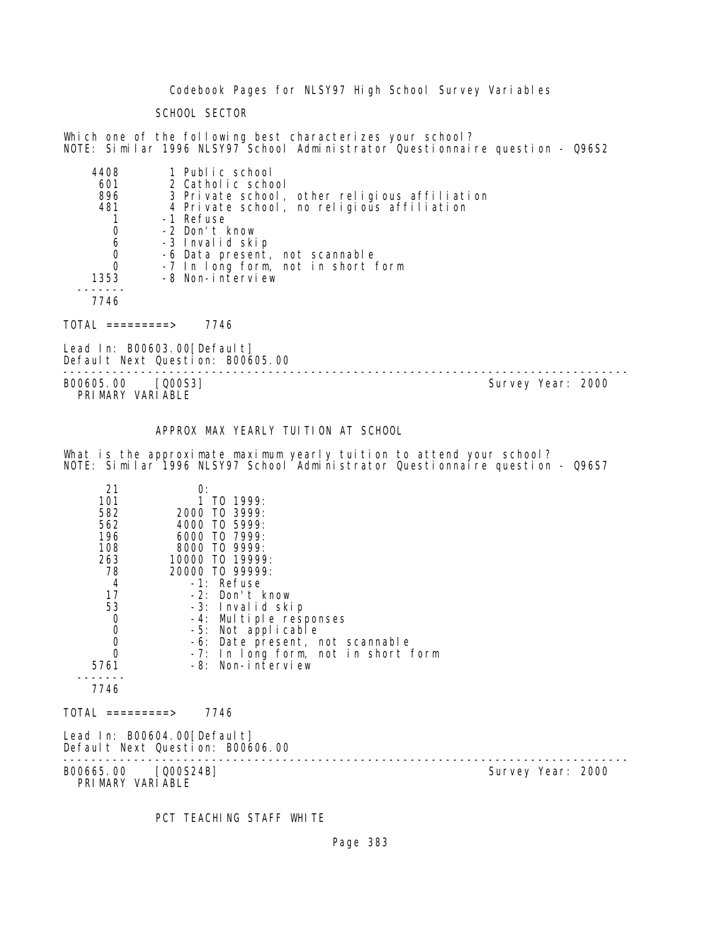Codebook Pages for NLSY97 High School Survey Variables

SCHOOL SECTOR

Which one of the following best characterizes your school? NOTE: Similar 1996 NLSY97 School Administrator Questionnaire question - Q96S2

| 4408 | 1 Public school                               |
|------|-----------------------------------------------|
| 601  | 2 Catholic school                             |
| 896  | 3 Private school, other religious affiliation |
| 481  | 4 Private school, no religious affiliation    |
|      | -1 Refuse                                     |
| 0    | -2 Don't know                                 |
| 6    | -3 Invalid skip                               |
| 0    | -6 Data present, not scannable                |
| 0    | -7 In long form, not in short form            |
| 1353 | -8 Non-interview                              |
|      |                                               |
| 7746 |                                               |

TOTAL =========> 7746

Lead In: B00603.00[Default] Default Next Question: B00605.00

-------------------------------------------------------------------------------- B00605.00 [Q00S3] PRIMARY VARIABLE

## APPROX MAX YEARLY TUITION AT SCHOOL

What is the approximate maximum yearly tuition to attend your school? NOTE: Similar 1996 NLSY97 School Administrator Questionnaire question - Q96S7

| 21<br>101<br>582<br>562<br>196<br>108<br>263<br>78<br>4<br>17<br>53<br>$\boldsymbol{0}$<br>$\begin{smallmatrix}0\\0\end{smallmatrix}$<br>$\Omega$<br>5761 | O:<br>TO 1999:<br>2000 TO 3999:<br>4000 TO 5999:<br>6000 TO 7999:<br>8000 TO 9999:<br>10000 TO 19999:<br>20000 TO 99999:<br>-1: Refuse<br>-2: Don't know<br>-3: Invalid skip<br>-4: Multiple responses<br>-5: Not applicable<br>-8: Non-interview | -6: Date present, not scannable<br>-7: In long form, not in short form |                   |  |
|-----------------------------------------------------------------------------------------------------------------------------------------------------------|---------------------------------------------------------------------------------------------------------------------------------------------------------------------------------------------------------------------------------------------------|------------------------------------------------------------------------|-------------------|--|
| 7746<br>TOTAL =========>                                                                                                                                  | 7746                                                                                                                                                                                                                                              |                                                                        |                   |  |
|                                                                                                                                                           | Lead In: B00604.00[Default]<br>Default Next Question: B00606.00                                                                                                                                                                                   |                                                                        |                   |  |
| B00665.00 [Q00S24B]<br>PRIMARY VARIABLE                                                                                                                   |                                                                                                                                                                                                                                                   |                                                                        | Survey Year: 2000 |  |

PCT TEACHING STAFF WHITE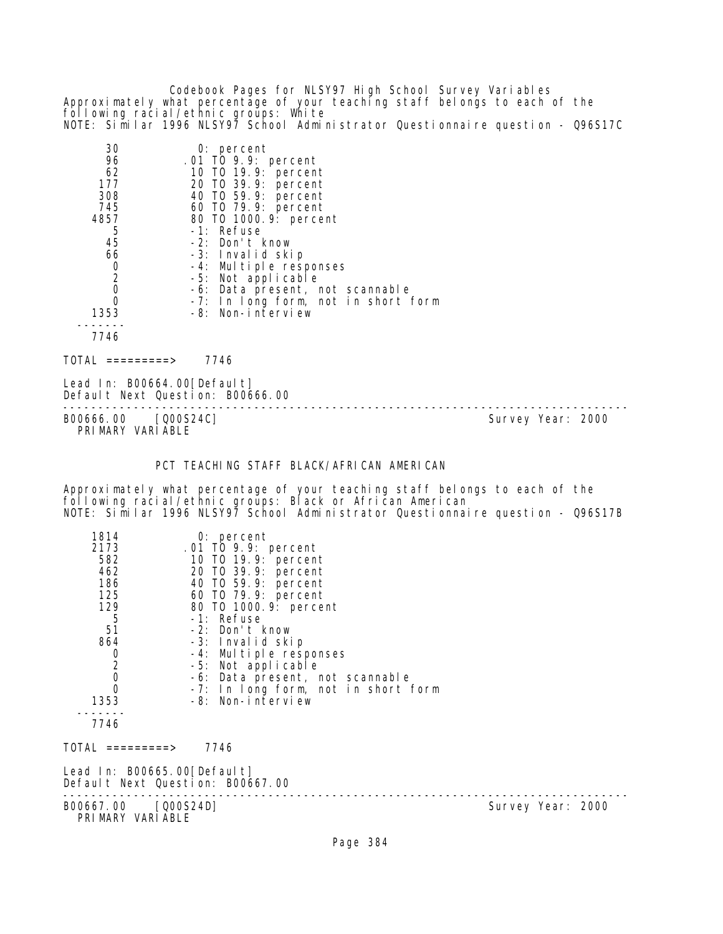Codebook Pages for NLSY97 High School Survey Variables Approximately what percentage of your teaching staff belongs to each of the following racial/ethnic groups: White NOTE: Similar 1996 NLSY97 School Administrator Questionnaire question - Q96S17C

| 30             | $0:$ percent                        |
|----------------|-------------------------------------|
| 96             | .01 TO 9.9: percent                 |
| 62             | 10 T0 19.9: percent                 |
| 177            | 20 TO 39.9: percent                 |
| 308            | 40 T0 59.9: percent                 |
| 745            | 60 T0 79.9: percent                 |
| 4857           | 80 T0 1000. 9: percent              |
| 5              | -1: Refuse                          |
| 45             | -2: Don't know                      |
| 66             | -3: Invalid skip                    |
| 0              | -4: Multiple responses              |
| $\overline{2}$ | -5: Not applicable                  |
| 0              | -6: Data present, not scannable     |
| O              | -7: In long form, not in short form |
| 1353           | -8: Non-interview                   |
|                |                                     |
| 7746           |                                     |

 $TOTAL$  =========> 7746

Lead In: B00664.00[Default] Default Next Question: B00666.00

-------------------------------------------------------------------------------- B00666.00 [Q00S24C] PRIMARY VARIABLE

## PCT TEACHING STAFF BLACK/AFRICAN AMERICAN

Approximately what percentage of your teaching staff belongs to each of the following racial/ethnic groups: Black or African American NOTE: Similar 1996 NLSY97 School Administrator Questionnaire question - Q96S17B

| 1814                                             | $0:$ percent                        |
|--------------------------------------------------|-------------------------------------|
| 2173                                             | .01 TO 9.9: percent                 |
| 582                                              | 10 TO 19.9: percent                 |
| 462                                              | 20 TO 39.9: percent                 |
| 186                                              | 40 TO 59.9: percent                 |
| 125                                              | 60 TO 79.9: percent                 |
| 129                                              | 80 TO 1000.9: percent               |
| 5                                                | -1: Refuse                          |
| 51                                               | -2: Don't know                      |
| 864                                              | -3: Invalid skip                    |
| $\begin{bmatrix} 0 \\ 2 \\ 0 \\ 0 \end{bmatrix}$ | -4: Multiple responses              |
|                                                  | -5: Not applicable                  |
|                                                  | -6: Data present, not scannable     |
|                                                  | -7: In long form, not in short form |
| 1353                                             | -8: Non-interview                   |
| 7746                                             |                                     |
|                                                  |                                     |
| TOTAL =========>                                 | 7746                                |
| Lead In: B00665.00[Default]                      | $\sqrt{2}$                          |

Default Next Question: B00667.00 -------------------------------------------------------------------------------- B00667.00 [Q00S24D] PRIMARY VARIABLE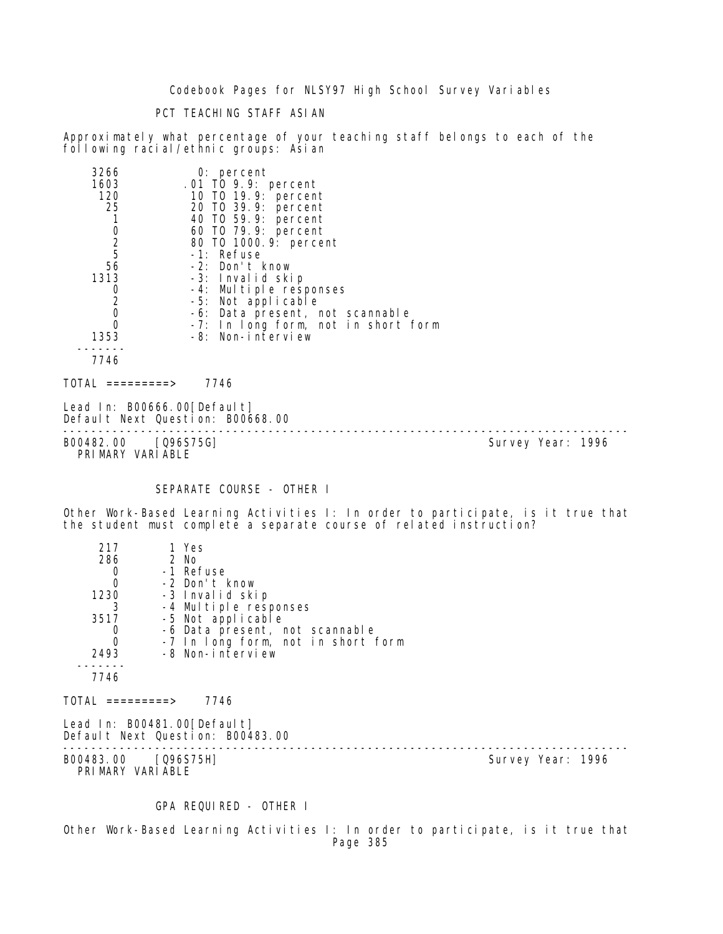Codebook Pages for NLSY97 High School Survey Variables

PCT TEACHING STAFF ASIAN

Approximately what percentage of your teaching staff belongs to each of the following racial/ethnic groups: Asian

| 3266                                       | 0: percent                          |
|--------------------------------------------|-------------------------------------|
| 1603                                       | $.01$ TO 9.9: percent               |
| 120                                        | 10 T0 19.9: percent                 |
| 25                                         | 20 TO 39.9: percent                 |
|                                            | 40 TO 59.9: percent                 |
|                                            | 60 T0 79.9: percent                 |
| $\begin{array}{c} 0 \\ 2 \\ 5 \end{array}$ | 80 TO 1000. 9: percent              |
|                                            | -1: Refuse                          |
| 56                                         | -2: Don't know                      |
| 1313                                       | -3: Invalid skip                    |
| 0                                          | -4: Multiple responses              |
| 2                                          | -5: Not applicable                  |
| 0                                          | -6: Data present, not scannable     |
|                                            | -7: In long form, not in short form |
| 1353                                       | -8: Non-interview                   |
|                                            |                                     |
| 7746                                       |                                     |
| TOTAL<br>$========>$                       | 7746                                |

Lead In: B00666.00 [Default] Default Next Question: B00668.00

-------------------------------------------------------------------------------- B00482.00 [Q96S75G] Survey Year: 1996 PRIMARY VARIABLE

### SEPARATE COURSE - OTHER I

Other Work-Based Learning Activities I: In order to participate, is it true that the student must complete a separate course of related instruction?

| 217                                     | 1 Yes                              |                   |  |
|-----------------------------------------|------------------------------------|-------------------|--|
| 286                                     | 2 No                               |                   |  |
| $\mathbf 0$                             | -1 Refuse                          |                   |  |
| $\mathbf 0$                             | -2 Don't know                      |                   |  |
| 1230                                    | -3 Invalid skip                    |                   |  |
| 3                                       | -4 Multiple responses              |                   |  |
| 3517                                    | -5 Not applicable                  |                   |  |
| 0                                       | -6 Data present, not scannable     |                   |  |
| $\overline{0}$                          | -7 In long form, not in short form |                   |  |
| 2493                                    | -8 Non-interview                   |                   |  |
|                                         |                                    |                   |  |
| 7746                                    |                                    |                   |  |
| TOTAL =========>                        | 7746                               |                   |  |
|                                         | Lead In: B00481.00[Default]        |                   |  |
|                                         | Default Next Question: B00483.00   |                   |  |
| B00483.00 [Q96S75H]<br>PRIMARY VARIABLE |                                    | Survey Year: 1996 |  |
|                                         |                                    |                   |  |

GPA REQUIRED - OTHER I

Other Work-Based Learning Activities I: In order to participate, is it true that Page 385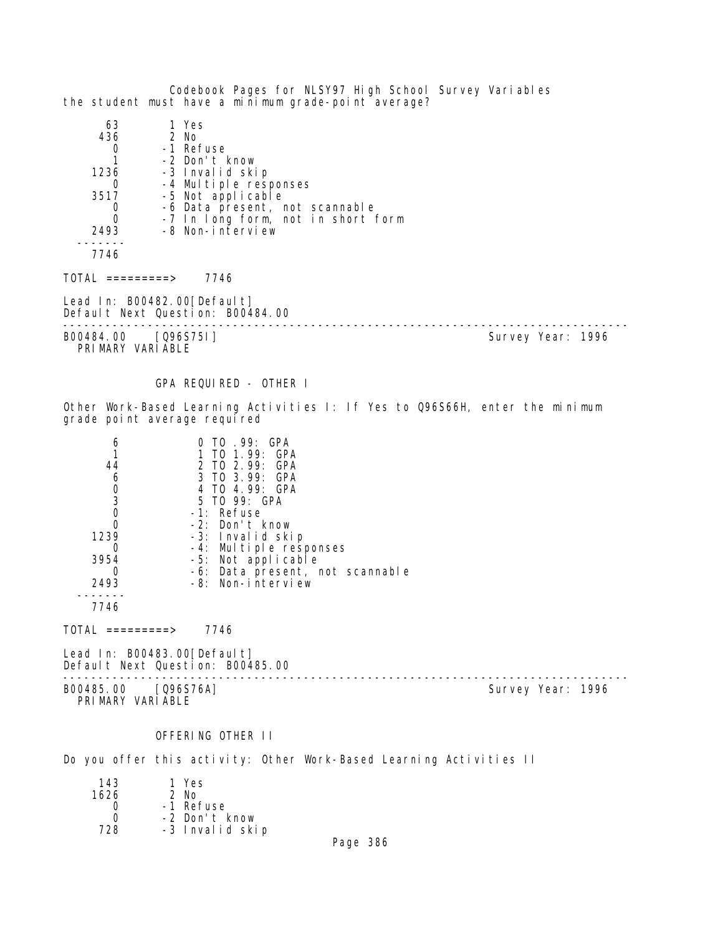Codebook Pages for NLSY97 High School Survey Variables the student must have a minimum grade-point average? 63 1 Yes 45 2 No<br>1 Re 0 -1 Refuse  $\overline{1}$  -2 Don't know<br>1236 -3 Invalid ski -3 Invalid skip 0 -4 Multiple responses<br>3517 -5 Not applicable -5 Not applicable 0 -6 Data present, not scannable<br>0 -7 In long form, not in short t 0 -7 In long form, not in short form<br>2493 -8 Non-interview -8 Non-interview ------- 7746  $TOTAL$  =========> 7746 Lead In: B00482.00 [Default] Default Next Question: B00484.00 -------------------------------------------------------------------------------- B00484.00 [Q96S75I] PRIMARY VARIABLE GPA REQUIRED - OTHER I Other Work-Based Learning Activities I: If Yes to Q96S66H, enter the minimum grade point average required 6 0 TO .99: GPA 1 1 TO 1.99: GPA 44 2 TO 2.99: GPA 6 3 TO 3.99: GPA 0 4 TO 4.99: GPA<br>3 5 TO 99: GPA 3 5 TO 99: GPA 0 -1: Refuse<br>0 -2: Don't 0 -2: Don't know 1239 -3: Invalid skip 0 -4: Multiple responses 3954 -5: Not applicable 0 -6: Data present, not scannable 2493 -8: Non-interview ------- 7746  $TOTAL$  =========> 7746 Lead In: B00483.00 [Default] Default Next Question: B00485.00 -------------------------------------------------------------------------------- B00485.00 [Q96S76A] PRIMARY VARIABLE OFFERING OTHER II

Do you offer this activity: Other Work-Based Learning Activities II

| 143  | 1 Yes           |
|------|-----------------|
| 1626 | $2$ No.         |
|      | -1 Refuse       |
| ∩    | -2 Don't know   |
| 728  | -3 Invalid skip |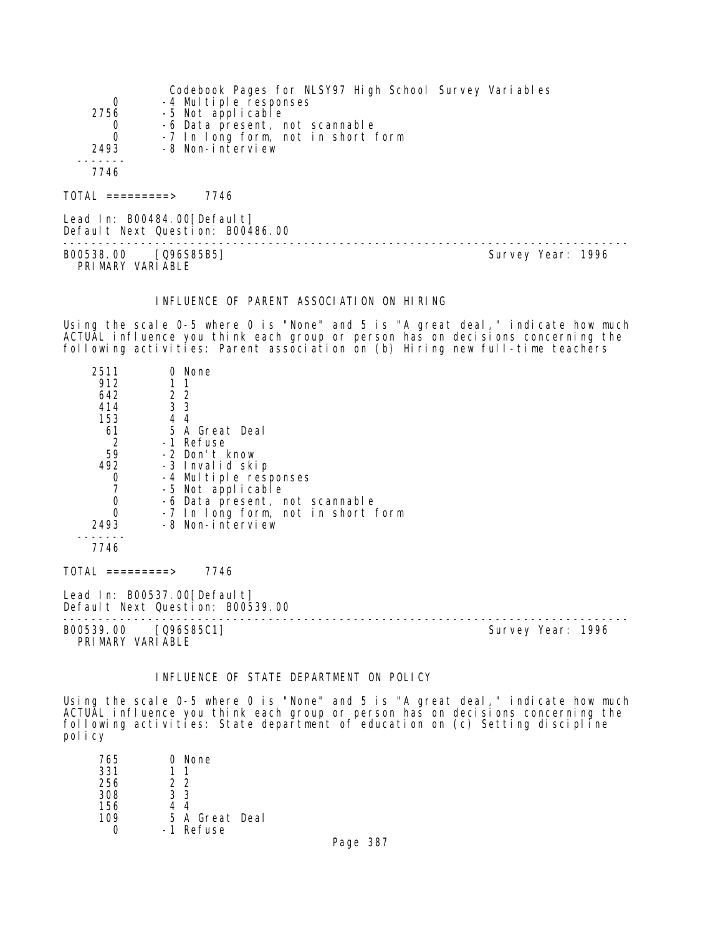|                              | Codebook Pages for NLSY97 High School Survey Variables |
|------------------------------|--------------------------------------------------------|
| 0                            | -4 Multiple responses                                  |
| 2756                         | -5 Not applicable                                      |
| 0                            | -6 Data present, not scannable                         |
| 0                            | -7 In long form, not in short form                     |
| 2493                         | -8 Non-interview                                       |
|                              |                                                        |
| 7746                         |                                                        |
|                              |                                                        |
| $\overline{O}TAL$ =========> | 7746                                                   |

Lead In: B00484.00[Default] Default Next Question: B00486.00 -------------------------------------------------------------------------------- B00538.00 [Q96S85B5] PRI MARY VARI ABLE

#### INFLUENCE OF PARENT ASSOCIATION ON HIRING

Using the scale 0-5 where 0 is "None" and 5 is "A great deal," indicate how much ACTUAL influence you think each group or person has on decisions concerning the following activities: Parent association on (b) Hiring new full-time teachers

| 2511<br>912<br>642<br>414<br>153<br>61<br>$\overline{2}$<br>59<br>492<br>0<br>$\mathbf 0$<br>$\Omega$ | 0 None<br>$\begin{array}{cc} 2 & 2 \\ 3 & 3 \end{array}$<br>44<br>5 A Great Deal<br>-1 Refuse<br>-2 Don't know<br>-3 Invalid skip<br>-4 Multiple responses<br>-5 Not applicable<br>-6 Data present, not scannable<br>-7 In long form, not in short form |                   |
|-------------------------------------------------------------------------------------------------------|---------------------------------------------------------------------------------------------------------------------------------------------------------------------------------------------------------------------------------------------------------|-------------------|
| 2493<br>7746                                                                                          | -8 Non-interview                                                                                                                                                                                                                                        |                   |
| $TOTAL$ =========>                                                                                    | 7746                                                                                                                                                                                                                                                    |                   |
|                                                                                                       | Lead In: B00537.00 [Default]<br>Default Next Question: B00539.00                                                                                                                                                                                        |                   |
| B00539.00                                                                                             | [096S85C1]                                                                                                                                                                                                                                              | Survey Year: 1996 |

PRIMARY VARIABLE

## INFLUENCE OF STATE DEPARTMENT ON POLICY

Using the scale 0-5 where 0 is "None" and 5 is "A great deal," indicate how much ACTUAL influence you think each group or person has on decisions concerning the following activities: State department of education on (c) Setting discipline policy

| 765 | 0 None         |
|-----|----------------|
| 331 |                |
| 256 | 22             |
| 308 | 33             |
| 156 | 44             |
| 109 | 5 A Great Deal |
|     | -1 Refuse      |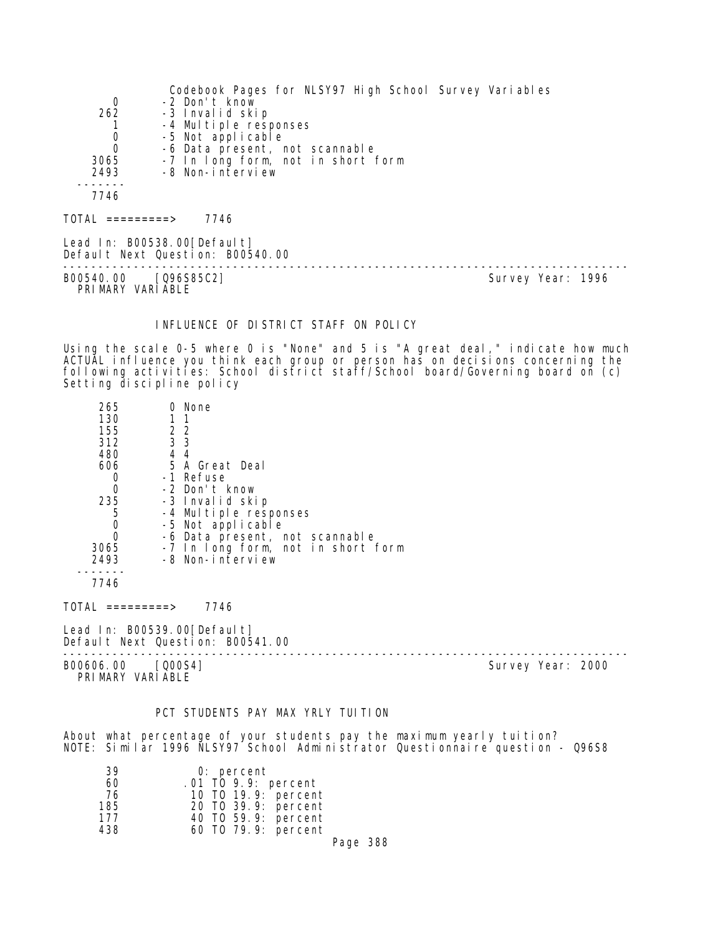|                  | Codebook Pages for NLSY97 High School Survey Variables          |  |
|------------------|-----------------------------------------------------------------|--|
| 0                | -2 Don't know                                                   |  |
| 262              | -3 Invalid skip                                                 |  |
|                  | -4 Multiple responses                                           |  |
| 0                | -5 Not applicable                                               |  |
| $\Omega$         | -6 Data present, not scannable                                  |  |
| 3065             | -7 In long form, not in short form                              |  |
| 2493             | -8 Non-interview                                                |  |
|                  |                                                                 |  |
| 7746             |                                                                 |  |
| TOTAL =========> | 7746                                                            |  |
|                  | Lead In: B00538.00[Default]<br>Default Next Question: B00540.00 |  |

-------------------------------------------------------------------------------- B00540.00 [Q96S85C2] PRIMARY VARIABLE

### INFLUENCE OF DISTRICT STAFF ON POLICY

Using the scale 0-5 where 0 is "None" and 5 is "A great deal," indicate how much ACTUAL influence you think each group or person has on decisions concerning the following activities: School district staff/School board/Governing board on (c) Setting discipline policy

| 265  | 0 None                             |  |
|------|------------------------------------|--|
| 130  |                                    |  |
| 155  | 2 2                                |  |
| 312  | 3 <sub>3</sub>                     |  |
| 480  | 44                                 |  |
| 606  | 5 A Great Deal                     |  |
|      | -1 Refuse                          |  |
| Ω    | -2 Don't know                      |  |
| 235  | -3 Invalid skip                    |  |
| 5    | -4 Multiple responses              |  |
| O    | -5 Not applicable                  |  |
|      | -6 Data present, not scannable     |  |
| 3065 | -7 In long form, not in short form |  |
| 2493 | -8 Non-interview                   |  |
|      |                                    |  |

7746

 $TOTAL$  ========> 7746

Lead In: B00539.00[Default] Default Next Question: B00541.00

B00606.00 [Q00S4] Survey Year: 2000 PRIMARY VARIABLE

--------------------------------------------------------------------------------

### PCT STUDENTS PAY MAX YRLY TUITION

About what percentage of your students pay the maximum yearly tuition? NOTE: Similar 1996 NLSY97 School Administrator Questionnaire question - Q96S8

| 39  | 0: percent          |
|-----|---------------------|
| 60  | .01 TO 9.9: percent |
| 76  | 10 T0 19.9: percent |
| 185 | 20 TO 39.9: percent |
| 177 | 40 TO 59.9: percent |
| 438 | 60 T0 79.9: percent |
|     |                     |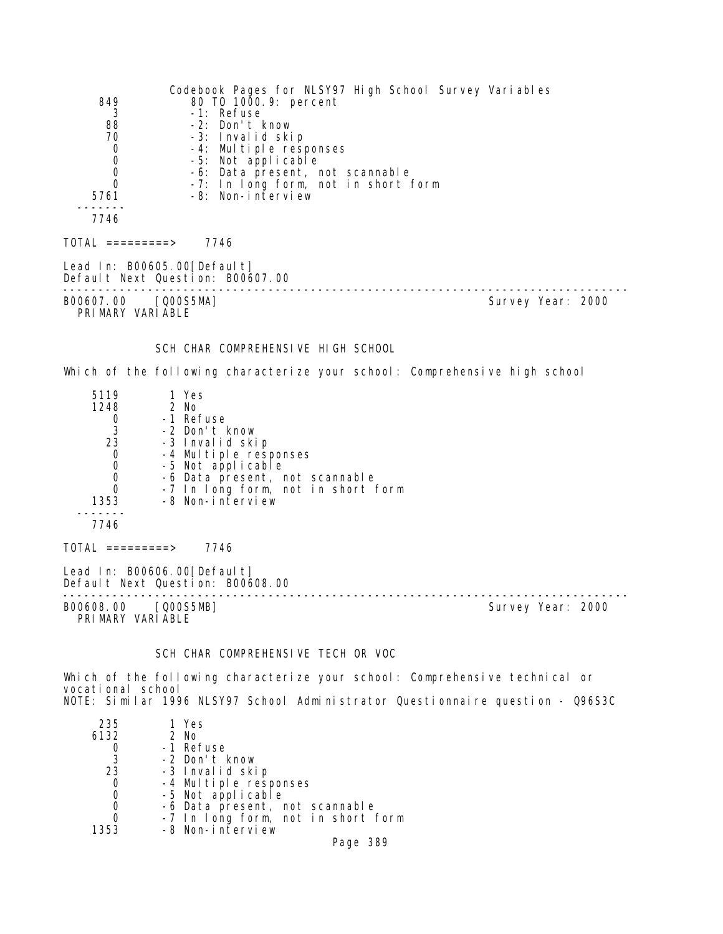Codebook Pages for NLSY97 High School Survey Variables 849 80 TO 1000.9: percent 3 -1: Refuse 88 -2: Don't know 70 -3: Invalid skip 0 -4: Multiple responses 0 -5: Not applicable 0 -6: Data present, not scannable<br>0 -7: In Iong form, not in short 0 -7: In long form, not in short form -8: Non-interview ------- 7746  $TOTAL$  ========> 7746 Lead In: B00605.00[Default] Default Next Question: B00607.00 -------------------------------------------------------------------------------- Survey Year: 2000 PRIMARY VARIABLE SCH CHAR COMPREHENSIVE HIGH SCHOOL Which of the following characterize your school: Comprehensive high school 5119 1 Yes  $\begin{matrix} 1248 \\ 0 \end{matrix}$ 0 -1 Refuse<br>3 -2 Don't I 3 -2 Don't know 23 -3 Invalid skip 0 -4 Multiple responses 0 -5 Not applicable 0 -6 Data present, not scannable 0 -7 In long form, not in short form 1353 -8 Non-interview ------- 7746  $TOTAL$  ========> 7746 Lead In: B00606.00 [Default] Default Next Question: B00608.00 -------------------------------------------------------------------------------- Survey Year: 2000 PRIMARY VARIABLE

SCH CHAR COMPREHENSIVE TECH OR VOC

Which of the following characterize your school: Comprehensive technical or vocational school NOTE: Similar 1996 NLSY97 School Administrator Questionnaire question - Q96S3C

| 235  | 1 Yes                              |
|------|------------------------------------|
| 6132 | 2 No                               |
|      | -1 Refuse                          |
| 3    | -2 Don't know                      |
| 23   | -3 Invalid skip                    |
| 0    | -4 Multiple responses              |
| 0    | -5 Not applicable                  |
| 0    | -6 Data present, not scannable     |
| 0    | -7 In long form, not in short form |
| 1353 | -8 Non-interview                   |
|      | Page 389                           |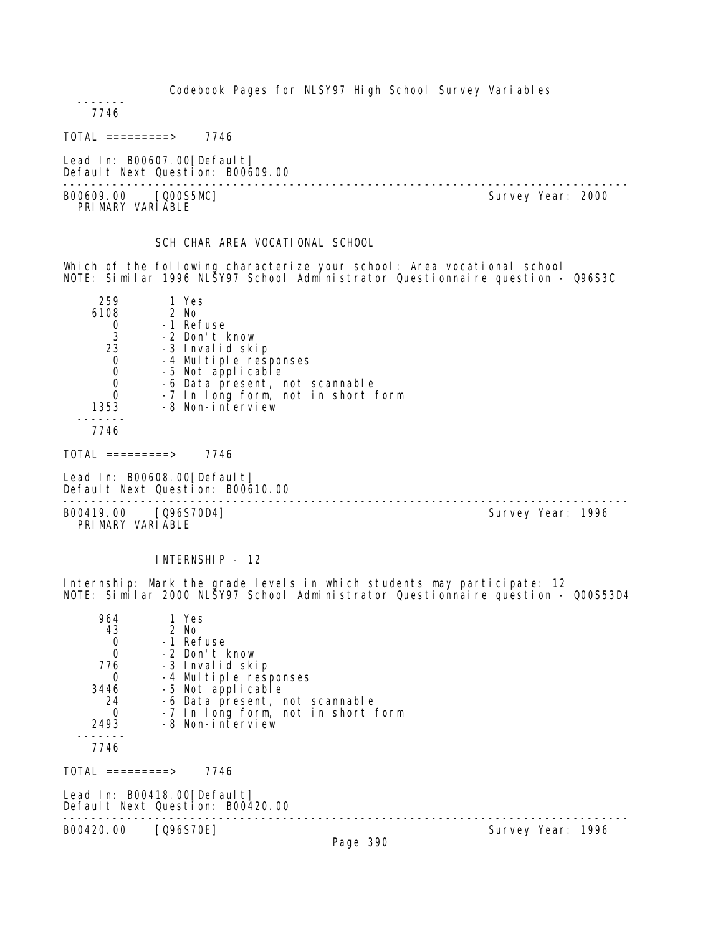Codebook Pages for NLSY97 High School Survey Variables

 ------- 7746

TOTAL =========> 7746

Lead In: B00607.00[Default] Default Next Question: B00609.00

-------------------------------------------------------------------------------- B00609.00 [Q00S5MC] PRI MARY VARI ABLE

SCH CHAR AREA VOCATIONAL SCHOOL

Which of the following characterize your school: Area vocational school NOTE: Similar 1996 NLSY97 School Administrator Questionnaire question - Q96S3C

| 259  | 1 Yes                              |
|------|------------------------------------|
| 6108 | 2 No                               |
|      | -1 Refuse                          |
| 3    | -2 Don't know                      |
| 23   | -3 Invalid skip                    |
| 0    | -4 Multiple responses              |
| 0    | -5 Not applicable                  |
|      | -6 Data present, not scannable     |
|      | -7 In long form, not in short form |
| 1353 | -8 Non-interview                   |
|      |                                    |
| 7746 |                                    |

TOTAL =========> 7746

Lead In: B00608.00 [Default] Default Next Question: B00610.00

-------------------------------------------------------------------------------- B00419.00 [Q96S70D4] PRIMARY VARIABLE

INTERNSHIP - 12

Internship: Mark the grade levels in which students may participate: 12 NOTE: Similar 2000 NLSY97 School Administrator Questionnaire question - Q00S53D4

| 964       | 1 Yes                              |
|-----------|------------------------------------|
| 43        | 2 No                               |
| Ω         | -1 Refuse                          |
| 0         | -2 Don't know                      |
| 776       | -3 Invalid skip                    |
|           | -4 Multiple responses              |
| 3446      | -5 Not applicable                  |
| 24        | -6 Data present, not scannable     |
|           | -7 In long form, not in short form |
| 2493      | -8 Non-interview                   |
|           |                                    |
| 7746      |                                    |
|           |                                    |
| ========> | 7746                               |
|           |                                    |

Lead In: B00418.00 [Default]

Default Next Question: B00420.00

B00420.00 [Q96S70E]

--------------------------------------------------------------------------------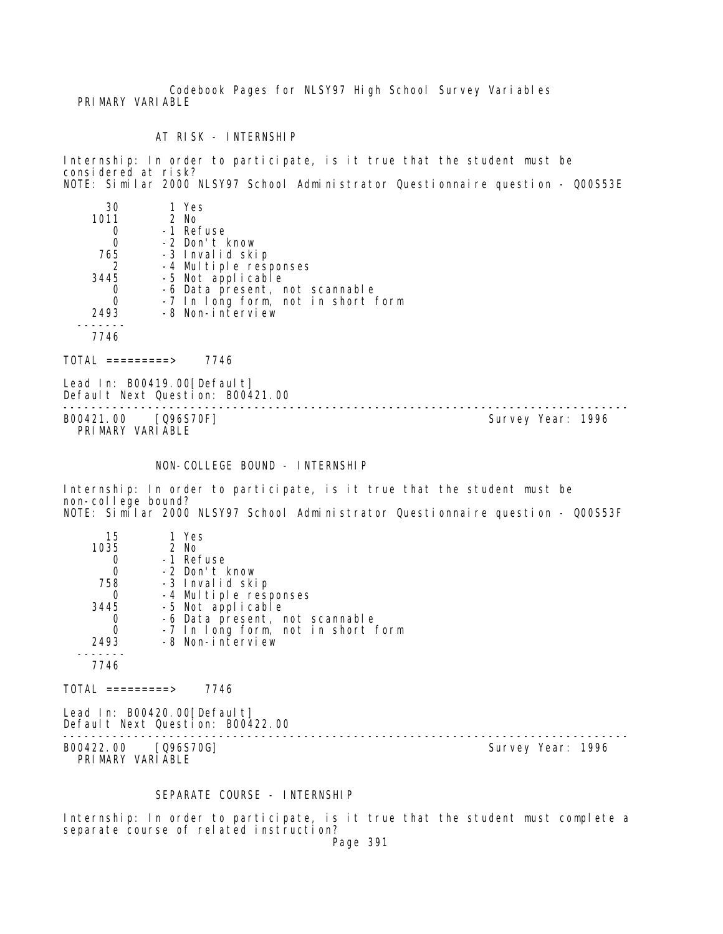Codebook Pages for NLSY97 High School Survey Variables PRIMARY VARIABLE

AT RISK - INTERNSHIP

Internship: In order to participate, is it true that the student must be considered at risk? NOTE: Similar 2000 NLSY97 School Administrator Questionnaire question - Q00S53E

| 30   | 1 Yes                              |
|------|------------------------------------|
| 1011 | $2$ No                             |
|      | -1 Refuse                          |
|      | -2 Don't know                      |
| 765  | -3 Invalid skip                    |
| 2    | -4 Multiple responses              |
| 3445 | -5 Not applicable                  |
|      | -6 Data present, not scannable     |
|      | -7 In long form, not in short form |
| 2493 | -8 Non-interview                   |
|      |                                    |
| 7746 |                                    |

 $TOTAL$  =========> 7746

Lead In: B00419.00 [Default] Default Next Question: B00421.00

-------------------------------------------------------------------------------- B00421.00 [Q96S70F] PRIMARY VARIABLE

NON-COLLEGE BOUND - INTERNSHIP

Internship: In order to participate, is it true that the student must be non-college bound? NOTE: Similar 2000 NLSY97 School Administrator Questionnaire question - Q00S53F

| 15   | 1 Yes                              |
|------|------------------------------------|
| 1035 | $2$ No                             |
|      | -1 Refuse                          |
|      | -2 Don't know                      |
| 758  | -3 Invalid skip                    |
|      | -4 Multiple responses              |
| 3445 | -5 Not applicable                  |
|      | -6 Data present, not scannable     |
|      | -7 In long form, not in short form |
| 2493 | -8 Non-interview                   |
|      |                                    |
| 7746 |                                    |
|      |                                    |

 $TOTAL$  =========> 7746

Lead In: B00420.00 [Default] Default Next Question: B00422.00

-------------------------------------------------------------------------------- B00422.00 [Q96S70G] PRIMARY VARIABLE

### SEPARATE COURSE - INTERNSHIP

Internship: In order to participate, is it true that the student must complete a separate course of related instruction?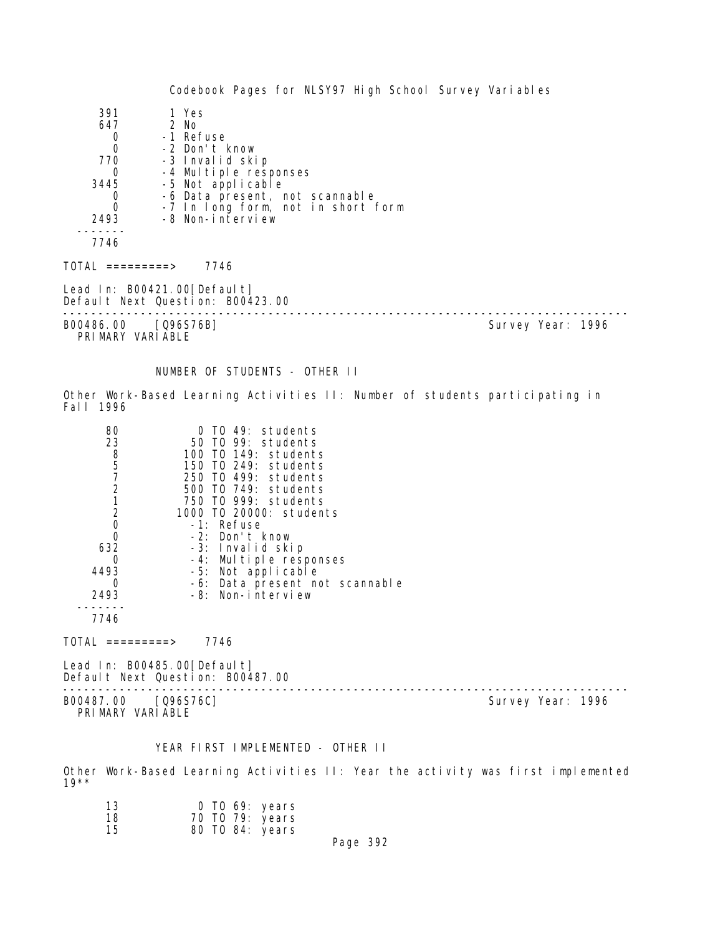Codebook Pages for NLSY97 High School Survey Variables 391 1 Yes 647 2 No 0 -1 Refuse<br>0 -2 Don't H 0 -2 Don't know 770 -3 Invalid skip 0 -4 Multiple responses<br>3445 -5 Not applicable 3445 -5 Not applicable 0 -6 Data present, not scannable<br>0 -7 In Iong form, not in short 0 -7 In long form, not in short form -8 Non-interview ------- 7746 TOTAL =========> 7746 Lead In: B00421.00 [Default] Default Next Question: B00423.00 -------------------------------------------------------------------------------- Survey Year: 1996 PRIMARY VARIABLE NUMBER OF STUDENTS - OTHER II Other Work-Based Learning Activities II: Number of students participating in Fall 1996 80 0 TO 49: students 23 50 TO 99: students 8 100 TO 149: students 5 150 TO 249: students 7 250 TO 499: students 2 500 TO 749: students 1 750 TO 999: students 2 1000 TO 20000: students 0 -1: Refuse<br>0 -2: Don't 0 -2: Don't know 632 -3: Invalid skip 0 -4: Multiple responses 4493 -5: Not applicable 0 -6: Data present not scannable 2493 -8: Non-interview ------- 7746 TOTAL =========> 7746 Lead In: B00485.00 [Default] Default Next Question: B00487.00 -------------------------------------------------------------------------------- Survey Year: 1996 PRIMARY VARIABLE

## YEAR FIRST IMPLEMENTED - OTHER II

Other Work-Based Learning Activities II: Year the activity was first implemented 19\*\*

| 13 | $0$ TO 69: years |  |
|----|------------------|--|
| 18 | 70 TO 79: years  |  |
| 15 | 80 TO 84: years  |  |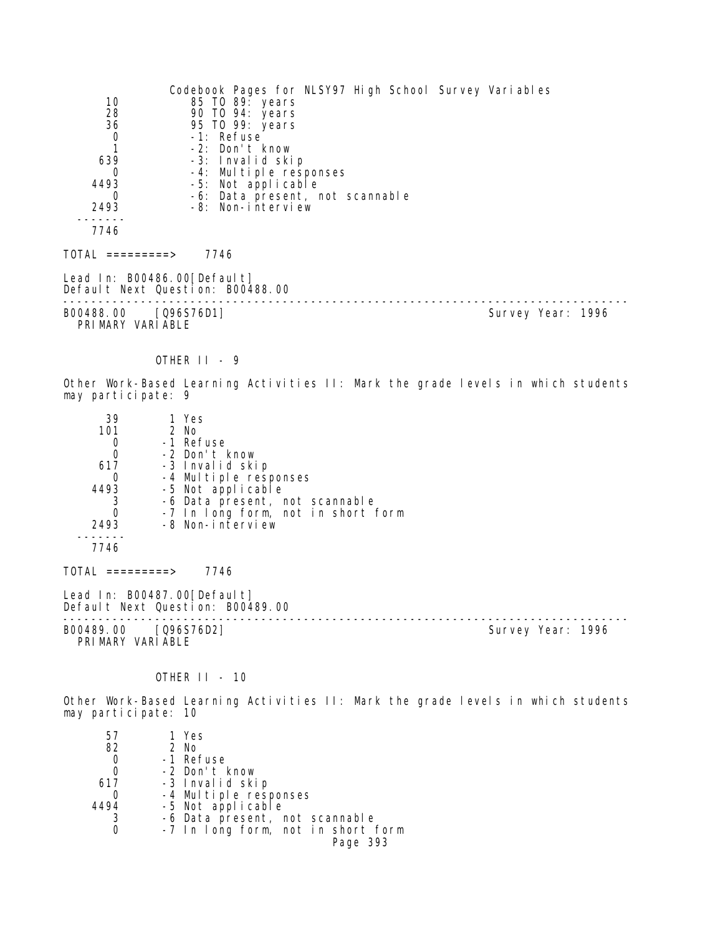|                                          | Codebook Pages for NLSY97 High School Survey Variables |                   |  |
|------------------------------------------|--------------------------------------------------------|-------------------|--|
| 10                                       | 85 TO 89: years                                        |                   |  |
| 28                                       | 90 TO 94: years                                        |                   |  |
| 36                                       | 95 TO 99: years                                        |                   |  |
| 0                                        | -1: Refuse                                             |                   |  |
|                                          | -2: Don't know                                         |                   |  |
| 639                                      | -3: Invalid skip                                       |                   |  |
| 0                                        | -4: Multiple responses                                 |                   |  |
| 4493                                     | -5: Not applicable                                     |                   |  |
| 0                                        | -6: Data present, not scannable                        |                   |  |
| 2493                                     | -8: Non-interview                                      |                   |  |
| 7746                                     |                                                        |                   |  |
|                                          |                                                        |                   |  |
| TOTAL =========>                         | 7746                                                   |                   |  |
| Lead In: B00486.00[Default]              |                                                        |                   |  |
|                                          | Default Next Question: B00488.00                       |                   |  |
| B00488.00 [Q96S76D1]<br>PRIMARY VARIABLE |                                                        | Survey Year: 1996 |  |

# OTHER II - 9

Other Work-Based Learning Activities II: Mark the grade levels in which students may participate: 9

| 39                 | 1 Yes                                                              |                   |
|--------------------|--------------------------------------------------------------------|-------------------|
| 101                | $2$ No                                                             |                   |
| 0                  | -1 Refuse                                                          |                   |
| $\mathbf 0$        | -2 Don't know                                                      |                   |
| 617                | -3 Invalid skip                                                    |                   |
| 0                  | -4 Multiple responses                                              |                   |
| 4493               | -5 Not applicable                                                  |                   |
| 3                  | -6 Data present, not scannable                                     |                   |
| $\mathbf 0$        | -7 In long form, not in short form                                 |                   |
| 2493               | -8 Non-interview                                                   |                   |
| 7746               |                                                                    |                   |
| $TOTAL$ =========> | 7746                                                               |                   |
|                    | Lead In: $B00487.00$ [Default]<br>Default Next Question: B00489.00 |                   |
| B00489.00          | [Q96S76D2]                                                         | Survey Year: 1996 |

PRI MARY VARI ABLE

OTHER II - 10

Other Work-Based Learning Activities II: Mark the grade levels in which students may participate: 10

| 57   | 1 Yes                              |
|------|------------------------------------|
| 82   | 2 No                               |
| 0    | -1 Refuse                          |
| 0    | -2 Don't know                      |
| 617  | -3 Invalid skip                    |
|      | -4 Multiple responses              |
| 4494 | -5 Not applicable                  |
|      | -6 Data present, not scannable     |
|      | -7 In long form, not in short form |
|      | Page 393                           |
|      |                                    |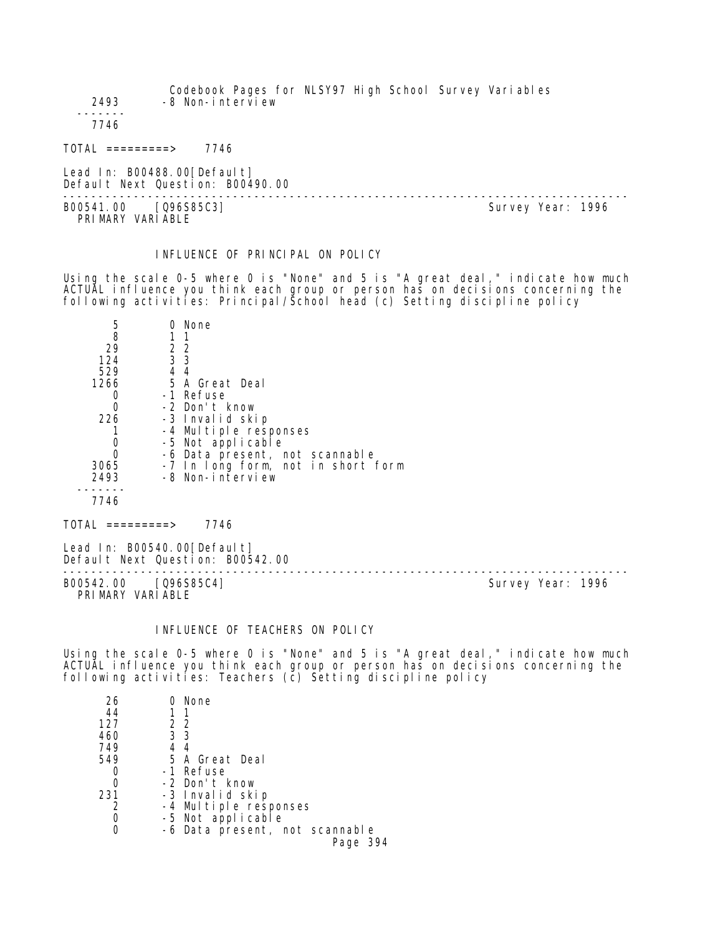Codebook Pages for NLSY97 High School Survey Variables 2493 -8 Non-interview ------- 7746

TOTAL =========> 7746

Lead In: B00488.00 [Default] Default Next Question: B00490.00

B00541.00 [Q96S85C3] PRIMARY VARIABLE

--------------------------------------------------------------------------------

INFLUENCE OF PRINCIPAL ON POLICY

Using the scale 0-5 where 0 is "None" and 5 is "A great deal," indicate how much ACTUAL influence you think each group or person has on decisions concerning the following activities: Principal/School head (c) Setting discipline policy

| 5    |    | None                               |
|------|----|------------------------------------|
| 8    |    |                                    |
| 29   |    | 2 2                                |
| 124  |    | 3 <sub>3</sub>                     |
| 529  | 44 |                                    |
| 1266 |    | 5 A Great Deal                     |
|      |    | -1 Refuse                          |
| Ω    |    | -2 Don't know                      |
| 226  |    | -3 Invalid skip                    |
|      |    | -4 Multiple responses              |
|      |    | -5 Not applicable                  |
| 0    |    | -6 Data present, not scannable     |
| 3065 |    | -7 In long form, not in short form |
| 2493 |    | -8 Non-interview                   |
|      |    |                                    |
| 7746 |    |                                    |
|      |    |                                    |

TOTAL =========> 7746

Lead In: B00540.00 [Default] Default Next Question: B00542.00

B00542.00 [Q96S85C4] PRIMARY VARIABLE

--------------------------------------------------------------------------------

## INFLUENCE OF TEACHERS ON POLICY

Using the scale 0-5 where 0 is "None" and 5 is "A great deal," indicate how much ACTUAL influence you think each group or person has on decisions concerning the following activities: Teachers (c̄) Setting discipline policy

| 26  |     | 0 None                         |
|-----|-----|--------------------------------|
| 44  |     | - 1                            |
| 127 |     | 22                             |
| 460 | 3 3 |                                |
| 749 |     | 44                             |
| 549 |     | 5 A Great Deal                 |
|     |     | -1 Refuse                      |
|     |     | -2 Don't know                  |
| 231 |     | -3 Invalid skip                |
|     |     | -4 Multiple responses          |
|     |     | -5 Not applicable              |
|     |     | -6 Data present, not scannable |
|     |     | Page 394                       |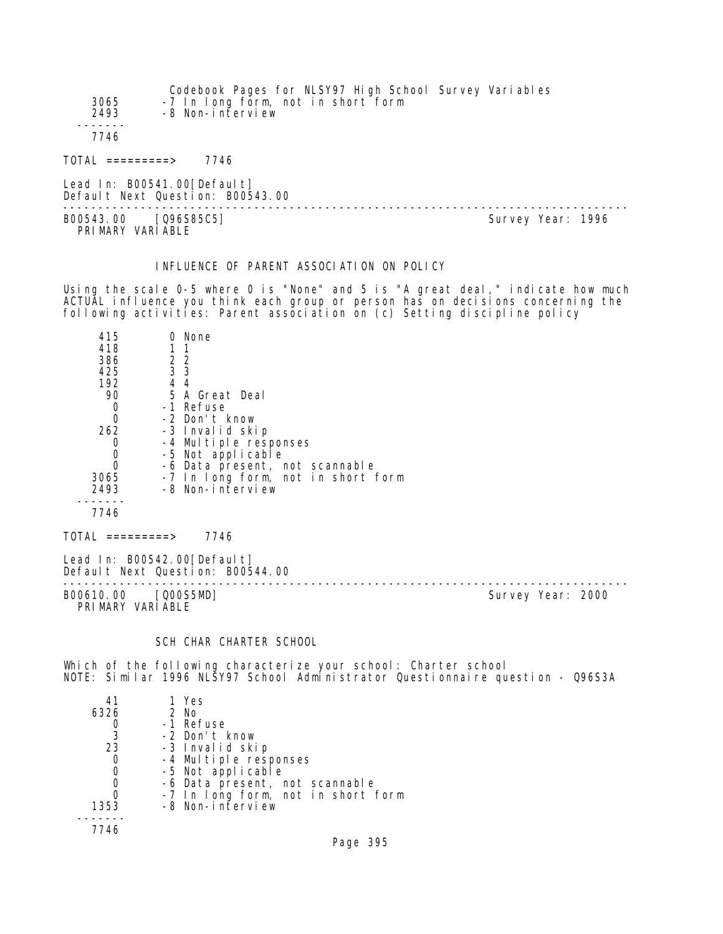| 3065<br>2493        | Codebook Pages for NLSY97 High School Survey Variables<br>-7 In long form, not in short form<br>-8 Non-interview |
|---------------------|------------------------------------------------------------------------------------------------------------------|
| 7746                |                                                                                                                  |
| $TOTAL$ ==========> | 7746                                                                                                             |

Lead In: B00541.00 [Default] Default Next Question: B00543.00

-------------------------------------------------------------------------------- B00543.00 [Q96S85C5] Survey Year: 1996 PRIMARY VARIABLE

## INFLUENCE OF PARENT ASSOCIATION ON POLICY

Using the scale 0-5 where 0 is "None" and 5 is "A great deal," indicate how much ACTUAL influence you think each group or person has on decisions concerning the following activities: Parent association on (c) Setting discipline policy

| 415  | None                               |
|------|------------------------------------|
| 418  | 11                                 |
| 386  | 22                                 |
| 425  | 3 <sub>3</sub>                     |
| 192  | 44                                 |
| 90   | 5 A Great Deal                     |
| O    | -1 Refuse                          |
| Ω    | -2 Don't know                      |
| 262  | -3 Invalid skip                    |
|      | -4 Multiple responses              |
|      | -5 Not applicable                  |
|      | -6 Data present, not scannable     |
| 3065 | -7 In long form, not in short form |
| 2493 | -8 Non-interview                   |
|      |                                    |
| 7746 |                                    |
|      |                                    |

 $TOTAL$  =========> 7746

Lead In: B00542.00 [Default] Default Next Question: B00544.00

-------------------------------------------------------------------------------- B00610.00 [Q00S5MD] PRIMARY VARIABLE

## SCH CHAR CHARTER SCHOOL

Which of the following characterize your school: Charter school NOTE: Similar 1996 NLSY97 School Administrator Questionnaire question - Q96S3A

| 41   | 1 Yes                              |
|------|------------------------------------|
| 6326 | 2 No                               |
|      | -1 Refuse                          |
| 3    | -2 Don't know                      |
| 23   | -3 Invalid skip                    |
| 0    | -4 Multiple responses              |
| 0    | -5 Not applicable                  |
| 0    | -6 Data present, not scannable     |
|      | -7 In long form, not in short form |
| 1353 | -8 Non-interview                   |
|      |                                    |
| 7746 |                                    |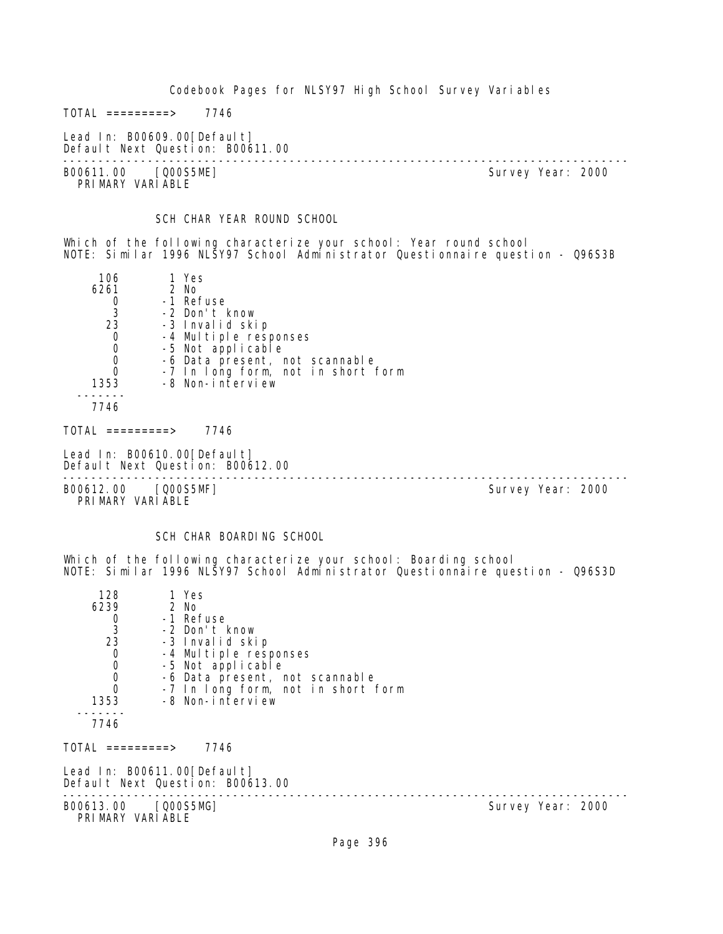Codebook Pages for NLSY97 High School Survey Variables  $TOTAL$  ========> 7746 Lead In: B00609.00[Default] Default Next Question: B00611.00 -------------------------------------------------------------------------------- Survey Year: 2000 PRIMARY VARIABLE SCH CHAR YEAR ROUND SCHOOL Which of the following characterize your school: Year round school NOTE: Similar 1996 NLSY97 School Administrator Questionnaire question - Q96S3B 106 1 Yes<br>6261 2 No 61 2 No<br>0 -1 Re 0 -1 Refuse<br>3 -2 Don't I 3 -2 Don't know 23 -3 Invalid skip 0 -4 Multiple responses<br>0 -5 Not applicable 0 -5 Not applicable 0 -6 Data present, not scannable 0 -7 In long form, not in short form 1353 -8 Non-interview ------- 7746 TOTAL =========> 7746 Lead In: B00610.00 [Default] Default Next Question: B00612.00 -------------------------------------------------------------------------------- B00612.00 [Q00S5MF] PRIMARY VARIABLE SCH CHAR BOARDING SCHOOL Which of the following characterize your school: Boarding school NOTE: Similar 1996 NLSY97 School Administrator Questionnaire question - Q96S3D 128 1 Yes<br>6239 2 No 2 No 0 -1 Refuse<br>3 -2 Don't 3 -2 Don't know 23 -3 Invalid skip<br>O -4 Multiple resu 0 -4 Multiple responses 0 -5 Not applicable 0 -6 Data present, not scannable<br>0 -7 In Long form not in short 1 0 -7 In long form, not in short form<br>1353 -8 Non-interview -8 Non-interview ------- 7746  $TOTAL$  =========> 7746 Lead In: B00611.00[Default] Default Next Question: B00613.00 -------------------------------------------------------------------------------- Survey Year: 2000 PRI MARY VARI ABLE

Page 396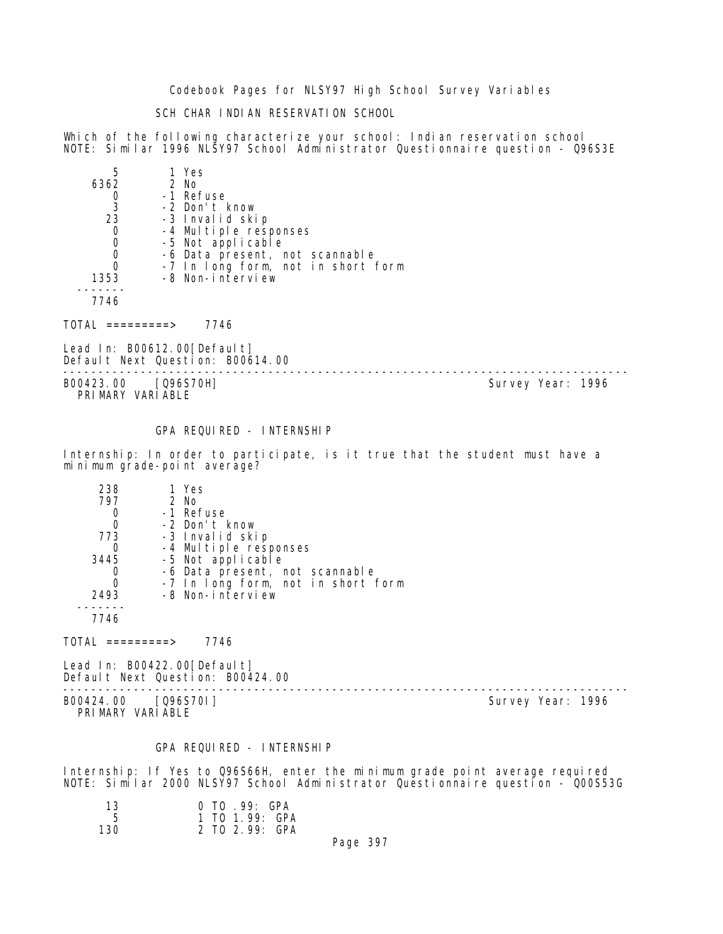Codebook Pages for NLSY97 High School Survey Variables

SCH CHAR INDIAN RESERVATION SCHOOL

Which of the following characterize your school: Indian reservation school NOTE: Similar 1996 NLSY97 School Administrator Questionnaire question - Q96S3E

| 5    | 1 Yes                              |
|------|------------------------------------|
| 6362 | $2$ No                             |
|      | -1 Refuse                          |
| -3   | -2 Don't know                      |
| 23   | -3 Invalid skip                    |
|      | -4 Multiple responses              |
|      | -5 Not applicable                  |
|      | -6 Data present, not scannable     |
|      | -7 In long form, not in short form |
| 1353 | -8 Non-interview                   |
|      |                                    |
| 7746 |                                    |

TOTAL =========> 7746

Lead In: B00612.00[Default] Default Next Question: B00614.00

-------------------------------------------------------------------------------- PRIMARY VARIABLE

Survey Year: 1996

# GPA REQUIRED - INTERNSHIP

Internship: In order to participate, is it true that the student must have a minimum grade-point average?

| 238  | 1 Yes                              |
|------|------------------------------------|
| 797  | $2$ No                             |
|      | -1 Refuse                          |
|      | -2 Don't know                      |
| 773  | -3 Invalid skip                    |
|      | -4 Multiple responses              |
| 3445 | -5 Not applicable                  |
|      | -6 Data present, not scannable     |
|      | -7 In long form, not in short form |
| 2493 | -8 Non-interview                   |
|      |                                    |
|      |                                    |

TOTAL =========> 7746

Lead In: B00422.00 [Default] Default Next Question: B00424.00

B00424.00 [Q96S70I] PRIMARY VARIABLE

--------------------------------------------------------------------------------

#### GPA REQUIRED - INTERNSHIP

Internship: If Yes to Q96S66H, enter the minimum grade point average required NOTE: Similar 2000 NLSY97 School Administrator Questionnaire question - Q00S53G

| 13  | $0$ TO $.99:$ GPA |
|-----|-------------------|
| -5  | 1 TO 1.99: GPA    |
| 130 | 2 TO 2.99: GPA    |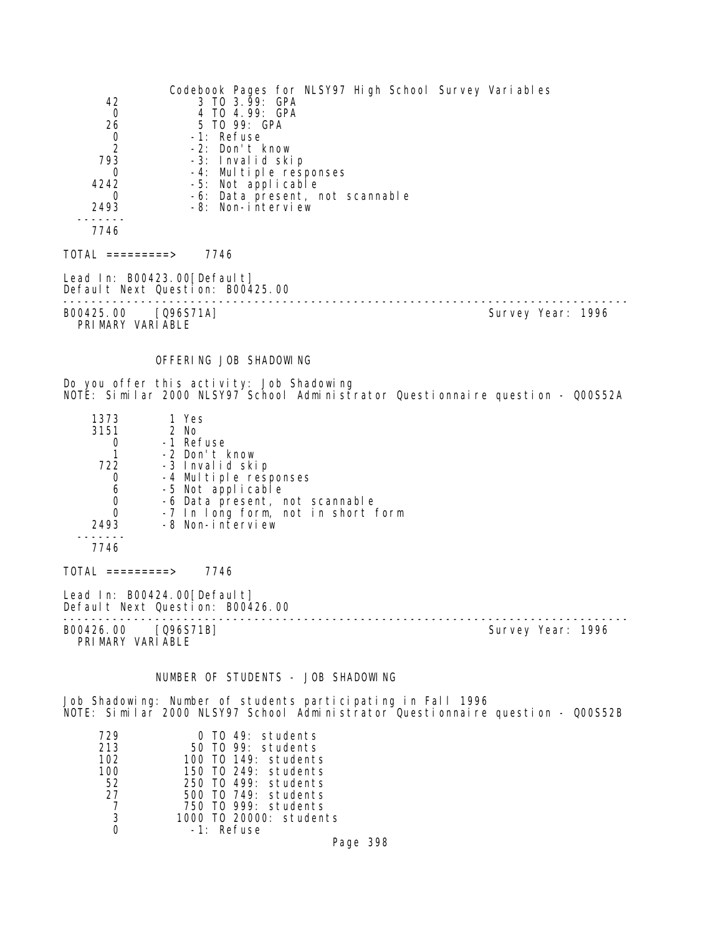| 42<br>0<br>26<br>0<br>2<br>793<br>0<br>4242<br>0<br>2493<br>7746  | 3 TO 3.99: GPA<br>4 TO 4.99: GPA<br>5 TO 99: GPA<br>-1: Refuse<br>-2: Don't know<br>-3: Invalid skip<br>-4: Multiple responses<br>-5: Not applicable<br>-8: Non-interview                                | Codebook Pages for NLSY97 High School Survey Variables<br>-6: Data present, not scannable |                                                                                 |
|-------------------------------------------------------------------|----------------------------------------------------------------------------------------------------------------------------------------------------------------------------------------------------------|-------------------------------------------------------------------------------------------|---------------------------------------------------------------------------------|
| $TOTAL$ =========> 7746                                           |                                                                                                                                                                                                          |                                                                                           |                                                                                 |
| Lead In: B00423.00 [Default]                                      | Default Next Question: B00425.00                                                                                                                                                                         |                                                                                           |                                                                                 |
| B00425.00 [Q96S71A]<br>PRIMARY VARIABLE                           |                                                                                                                                                                                                          |                                                                                           | Survey Year: 1996                                                               |
|                                                                   | OFFERING JOB SHADOWING                                                                                                                                                                                   |                                                                                           |                                                                                 |
|                                                                   | Do you offer this activity: Job Shadowing                                                                                                                                                                |                                                                                           | NOTE: Similar 2000 NLSY97 School Administrator Questionnaire question - Q00S52A |
| 1373<br>3151<br>0<br>1<br>722<br>0<br>6<br>0<br>0<br>2493<br>7746 | 1 Yes<br>2 No<br>-1 Refuse<br>-2 Don't know<br>-3 Invalid skip<br>-4 Multiple responses<br>-5 Not applicable<br>-6 Data present, not scannable<br>-7 In long form, not in short form<br>-8 Non-interview |                                                                                           |                                                                                 |
| $TOTAL$ =========> 7746                                           |                                                                                                                                                                                                          |                                                                                           |                                                                                 |
| Lead In: $B00424.00[Defaul t]$                                    | Default Next Question: B00426.00                                                                                                                                                                         |                                                                                           |                                                                                 |
| B00426.00 [Q96S71B]<br>PRIMARY VARIABLE                           |                                                                                                                                                                                                          |                                                                                           | Survey Year: 1996                                                               |
|                                                                   | NUMBER OF STUDENTS - JOB SHADOWING                                                                                                                                                                       |                                                                                           |                                                                                 |
|                                                                   | Job Shadowing: Number of students participating in Fall 1996                                                                                                                                             |                                                                                           | NOTE: Similar 2000 NLSY97 School Administrator Questionnaire question - Q00S52B |
| 729<br>213<br>102<br>100<br>52<br>27<br>7<br>3                    | 0 TO 49: students<br>50 TO 99: students<br>100 T0 149: students<br>150 TO 249: students<br>250 TO 499: students<br>500 T0 749: students<br>750 TO 999: students<br>1000 T0 20000: students               |                                                                                           |                                                                                 |

Page 398

0 -1: Refuse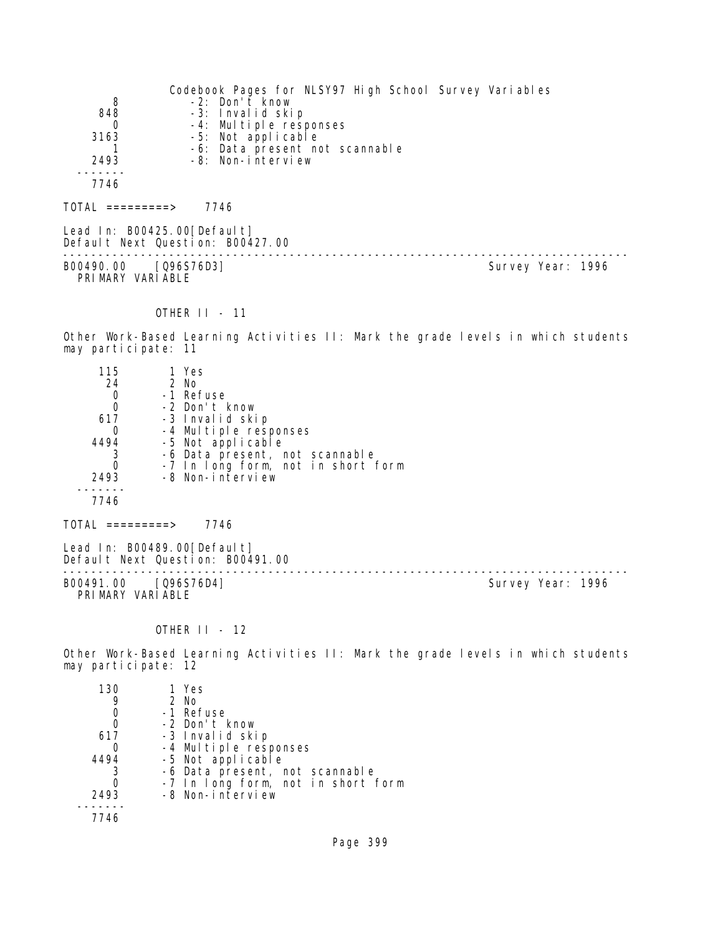|                  | Codebook Pages for NLSY97 High School Survey Variables |  |
|------------------|--------------------------------------------------------|--|
| 8                | -2: Don't know                                         |  |
| 848              | -3: Invalid skip                                       |  |
| 0                | -4: Multiple responses                                 |  |
| 3163             | -5: Not applicable                                     |  |
|                  | -6: Data present not scannable                         |  |
| 2493             | -8: Non-interview                                      |  |
|                  |                                                        |  |
| 7746             |                                                        |  |
|                  |                                                        |  |
| TOTAL =========> | 7746                                                   |  |
|                  |                                                        |  |

Lead In: B00425.00[Default] Default Next Question: B00427.00 -------------------------------------------------------------------------------- B00490.00 [Q96S76D3] Survey Year: 1996 PRIMARY VARIABLE

## OTHER II - 11

Other Work-Based Learning Activities II: Mark the grade levels in which students may participate: 11

| 115              | 1 Yes                                                                                                                                                                                                                                                                                                                                                                                                                                                                                      |  |
|------------------|--------------------------------------------------------------------------------------------------------------------------------------------------------------------------------------------------------------------------------------------------------------------------------------------------------------------------------------------------------------------------------------------------------------------------------------------------------------------------------------------|--|
| 24               | 2 No                                                                                                                                                                                                                                                                                                                                                                                                                                                                                       |  |
| 0                | -1 Refuse                                                                                                                                                                                                                                                                                                                                                                                                                                                                                  |  |
| 0                | -2 Don't know                                                                                                                                                                                                                                                                                                                                                                                                                                                                              |  |
| 617              | -3 Invalid skip                                                                                                                                                                                                                                                                                                                                                                                                                                                                            |  |
| 0                | -4 Multiple responses                                                                                                                                                                                                                                                                                                                                                                                                                                                                      |  |
| 4494             | -5 Not applicable                                                                                                                                                                                                                                                                                                                                                                                                                                                                          |  |
| 3                | -6 Data present, not scannable                                                                                                                                                                                                                                                                                                                                                                                                                                                             |  |
|                  | -7 In long form, not in short form                                                                                                                                                                                                                                                                                                                                                                                                                                                         |  |
| 2493             | -8 Non-interview                                                                                                                                                                                                                                                                                                                                                                                                                                                                           |  |
|                  |                                                                                                                                                                                                                                                                                                                                                                                                                                                                                            |  |
| 7746             |                                                                                                                                                                                                                                                                                                                                                                                                                                                                                            |  |
| TOTAL =========> | 7746                                                                                                                                                                                                                                                                                                                                                                                                                                                                                       |  |
|                  | $\blacksquare$ $\blacksquare$ $\blacksquare$ $\blacksquare$ $\blacksquare$ $\blacksquare$ $\blacksquare$ $\blacksquare$ $\blacksquare$ $\blacksquare$ $\blacksquare$ $\blacksquare$ $\blacksquare$ $\blacksquare$ $\blacksquare$ $\blacksquare$ $\blacksquare$ $\blacksquare$ $\blacksquare$ $\blacksquare$ $\blacksquare$ $\blacksquare$ $\blacksquare$ $\blacksquare$ $\blacksquare$ $\blacksquare$ $\blacksquare$ $\blacksquare$ $\blacksquare$ $\blacksquare$ $\blacksquare$ $\blacks$ |  |

Lead In: B00489.00[Default] Default Next Question: B00491.00 -------------------------------------------------------------------------------- B00491.00 [Q96S76D4] PRIMARY VARIABLE

# OTHER II - 12

Other Work-Based Learning Activities II: Mark the grade levels in which students may participate: 12

| 130  | 1 Yes                              |
|------|------------------------------------|
|      | $2$ No                             |
|      | -1 Refuse                          |
|      | -2 Don't know                      |
| 617  | -3 Invalid skip                    |
|      | -4 Multiple responses              |
| 4494 | -5 Not applicable                  |
|      | -6 Data present, not scannable     |
|      | -7 In long form, not in short form |
| 2493 | -8 Non-interview                   |
|      |                                    |
| 7746 |                                    |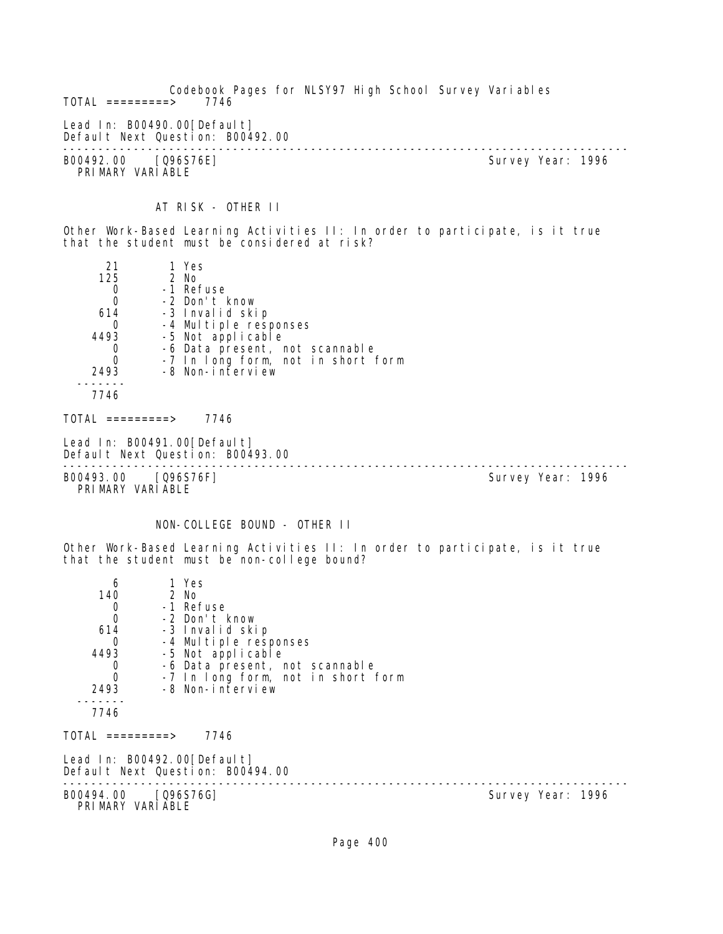Codebook Pages for NLSY97 High School Survey Variables  $TOTAL$  =========> Lead In: B00490.00 [Default] Default Next Question: B00492.00 -------------------------------------------------------------------------------- B00492.00 [Q96S76E] PRIMARY VARIABLE AT RISK - OTHER II Other Work-Based Learning Activities II: In order to participate, is it true that the student must be considered at risk? 21 1 Yes<br>125 2 No 125 2 No 0 -1 Refuse<br>0 -2 Don't 0 -2 Don't know 614 -3 Invalid skip 0 -4 Multiple responses<br>4493 -5 Not applicable 4493 -5 Not applicable 0 -6 Data present, not scannable 0 -7 In long form, not in short form 2493 -8 Non-interview ------- 7746  $TOTAL$  ========> 7746 Lead In: B00491.00 [Default] Default Next Question: B00493.00 -------------------------------------------------------------------------------- B00493.00 [Q96S76F] PRIMARY VARIABLE NON-COLLEGE BOUND - OTHER II Other Work-Based Learning Activities II: In order to participate, is it true that the student must be non-college bound? 6 1 Yes<br>140 2 No 2 No 0 -1 Refuse 0 -2 Don't know 614 -3 Invalid skip 0 -4 Multiple responses<br>4493 -5 Not applicable 4493 -5 Not applicable 0 -6 Data present, not scannable 0 -7 In long form, not in short form 2493 -8 Non-interview ------- 7746  $TOTAL$  ========> 7746 Lead In: B00492.00 [Default] Default Next Question: B00494.00 -------------------------------------------------------------------------------- Survey Year: 1996 PRIMARY VARIABLE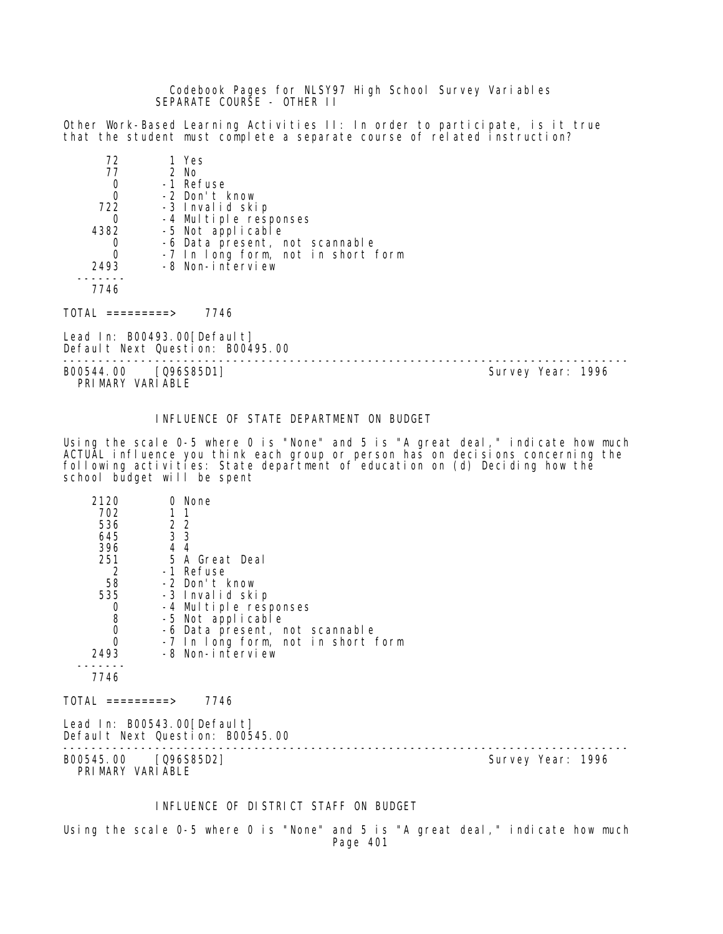Codebook Pages for NLSY97 High School Survey Variables SEPARATE COURSE - OTHER II

Other Work-Based Learning Activities II: In order to participate, is it true that the student must complete a separate course of related instruction?

| 72   | 1 Yes                              |
|------|------------------------------------|
| 77   | 2 No                               |
| 0    | -1 Refuse                          |
| 0    | -2 Don't know                      |
| 722  | -3 Invalid skip                    |
|      | -4 Multiple responses              |
| 4382 | -5 Not applicable                  |
|      | -6 Data present, not scannable     |
| 0    | -7 In long form, not in short form |
| 2493 | -8 Non-interview                   |
|      |                                    |
|      |                                    |

 $TOTAL$  =========> 7746

Lead In: B00493.00[Default] Default Next Question: B00495.00

-------------------------------------------------------------------------------- B00544.00 [Q96S85D1] PRIMARY VARIABLE

# INFLUENCE OF STATE DEPARTMENT ON BUDGET

Using the scale 0-5 where 0 is "None" and 5 is "A great deal," indicate how much ACTUAL influence you think each group or person has on decisions concerning the following activities: State department of education on (d) Deciding how the school budget will be spent

| 2120                             | 0 None                                                           |  |
|----------------------------------|------------------------------------------------------------------|--|
| 702                              | 1                                                                |  |
| 536                              | 2 <sub>2</sub>                                                   |  |
| 645                              | 3 3                                                              |  |
| 396                              | 4 4                                                              |  |
| 251                              | 5 A Great Deal                                                   |  |
| 2                                | -1 Refuse                                                        |  |
| 58                               | -2 Don't know                                                    |  |
| 535                              | -3 Invalid skip                                                  |  |
| $\begin{matrix}0\\8\end{matrix}$ | -4 Multiple responses                                            |  |
|                                  | -5 Not applicable                                                |  |
| $\mathbf 0$                      | -6 Data present, not scannable                                   |  |
| 0                                | -7 In long form, not in short form                               |  |
| 2493                             | -8 Non-interview                                                 |  |
|                                  |                                                                  |  |
| 7746                             |                                                                  |  |
| $TOTAL$ ==========>              | 7746                                                             |  |
|                                  | Lead In: B00543.00 [Default]<br>Default Next Question: B00545.00 |  |

-------------------------------------------------------------------------------- B00545.00 [Q96S85D2] PRI MARY VARI ABLE

#### INFLUENCE OF DISTRICT STAFF ON BUDGET

Using the scale 0-5 where 0 is "None" and 5 is "A great deal," indicate how much Page 401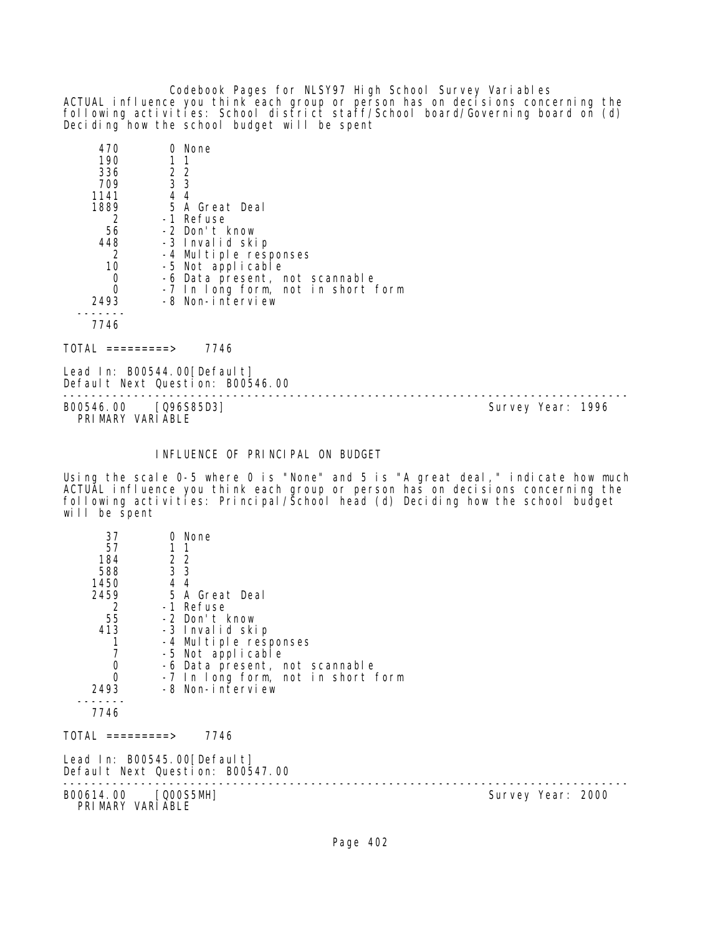Codebook Pages for NLSY97 High School Survey Variables ACTUAL influence you think each group or person has on decisions concerning the following activities: School district staff/School board/Governing board on (d) Deciding how the school budget will be spent

| 470  |                | 0 None                             |
|------|----------------|------------------------------------|
| 190  |                | 11                                 |
| 336  | 2 2            |                                    |
| 709  | 3 <sub>3</sub> |                                    |
| 1141 | 4 4            |                                    |
| 1889 |                | 5 A Great Deal                     |
| 2    |                | -1 Refuse                          |
| 56   |                | -2 Don't know                      |
| 448  |                | -3 Invalid skip                    |
| 2    |                | -4 Multiple responses              |
| 10   |                | -5 Not applicable                  |
|      |                | -6 Data present, not scannable     |
|      |                | -7 In long form, not in short form |
| 2493 |                | -8 Non-interview                   |
|      |                |                                    |
| 7746 |                |                                    |

TOTAL =========> 7746

Lead In: B00544.00 [Default] Default Next Question: B00546.00

-------------------------------------------------------------------------------- B00546.00 [Q96S85D3] PRIMARY VARIABLE

# INFLUENCE OF PRINCIPAL ON BUDGET

Using the scale 0-5 where 0 is "None" and 5 is "A great deal," indicate how much ACTUAL influence you think each group or person has on decisions concerning the following activities: Principal/School head (d) Deciding how the school budget will be spent

| 37                                      | 0 None                                                          |                   |
|-----------------------------------------|-----------------------------------------------------------------|-------------------|
| 57                                      |                                                                 |                   |
| 184                                     | $\begin{smallmatrix}2&2\\3&3\end{smallmatrix}$                  |                   |
| 588                                     |                                                                 |                   |
| 1450                                    | 4 4                                                             |                   |
| 2459                                    | 5 A Great Deal                                                  |                   |
| 2                                       | -1 Refuse -                                                     |                   |
| 55                                      | -2 Don't know                                                   |                   |
| 413                                     | -3 Invalid skip                                                 |                   |
|                                         | -4 Multiple responses                                           |                   |
| $\begin{array}{c} 7 \\ 0 \end{array}$   | -5 Not applicable                                               |                   |
|                                         | -6 Data present, not scannable                                  |                   |
| $\Omega$                                | -7 In long form, not in short form                              |                   |
| 2493                                    | -8 Non-interview                                                |                   |
| 7746                                    |                                                                 |                   |
|                                         |                                                                 |                   |
| TOTAL =========>                        | 7746                                                            |                   |
|                                         | Lead In: B00545.00[Default]<br>Default Next Question: B00547.00 |                   |
| B00614.00 [Q00S5MH]<br>PRIMARY VARIABLE |                                                                 | Survey Year: 2000 |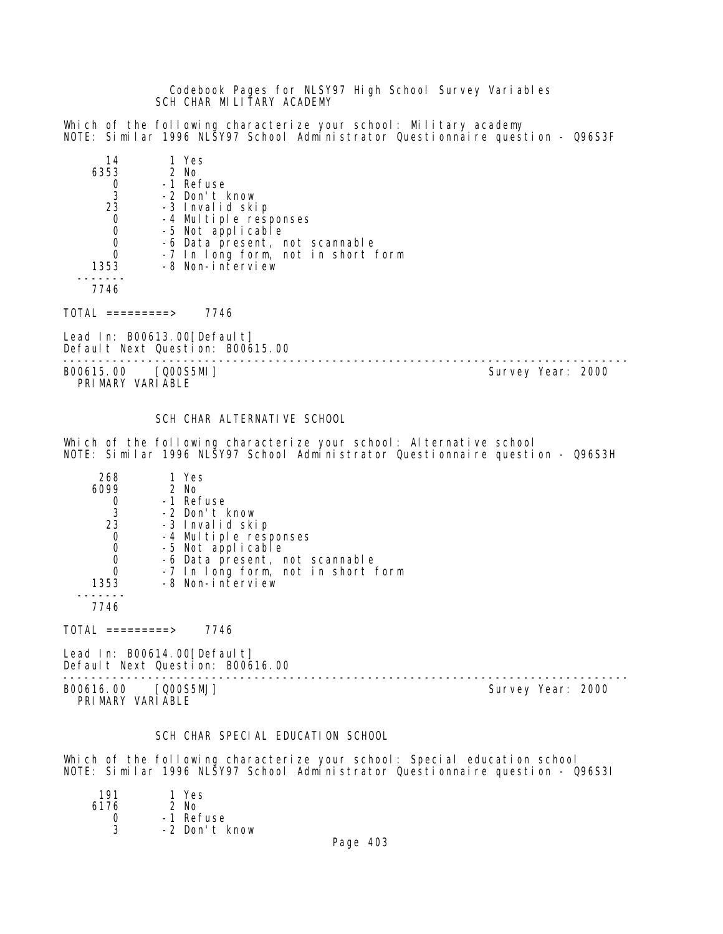Codebook Pages for NLSY97 High School Survey Variables SCH CHAR MILITARY ACADEMY

Which of the following characterize your school: Military academy NOTE: Similar 1996 NLSY97 School Administrator Questionnaire question - Q96S3F

| 14       | 1 Yes         |                                                        |
|----------|---------------|--------------------------------------------------------|
| 6353     | $2$ No        |                                                        |
|          | -1 Refuse     |                                                        |
| -3       | -2 Don't know |                                                        |
| 23       |               | -3 Invalid skip                                        |
| 0        |               | -4 Multiple responses                                  |
| 0        |               | -5 Not applicable                                      |
|          |               | -6 Data present, not scannable                         |
| $\Omega$ |               | -7 In long form, not in short form<br>-8 Non-interview |
| 1353     |               |                                                        |
|          |               |                                                        |

7746

 $TOTAL$  =========> 7746

Lead In: B00613.00 [Default] Default Next Question: B00615.00

-------------------------------------------------------------------------------- B00615.00 [Q00S5MI] PRIMARY VARIABLE

SCH CHAR ALTERNATIVE SCHOOL

Which of the following characterize your school: Alternative school NOTE: Similar 1996 NLSY97 School Administrator Questionnaire question - Q96S3H

| 268  | 1 Yes                              |
|------|------------------------------------|
| 6099 | 2 No                               |
|      | -1 Refuse                          |
| -3   | -2 Don't know                      |
| 23   | -3 Invalid skip                    |
|      | -4 Multiple responses              |
| O    | -5 Not applicable                  |
|      | -6 Data present, not scannable     |
|      | -7 In long form, not in short form |
| 1353 | -8 Non-interview                   |
|      |                                    |
|      |                                    |

 $TOTAL$  =========> 7746

Lead In: B00614.00[Default] Default Next Question: B00616.00

-------------------------------------------------------------------------------- B00616.00 [Q00S5MJ] Survey Year: 2000 PRIMARY VARIABLE

## SCH CHAR SPECIAL EDUCATION SCHOOL

Which of the following characterize your school: Special education school NOTE: Similar 1996 NLSY97 School Administrator Questionnaire question - Q96S3I

| 191  | 1 Yes         |
|------|---------------|
| 6176 | $2$ No        |
| Ω    | -1 Refuse     |
| 3    | -2 Don't know |
|      |               |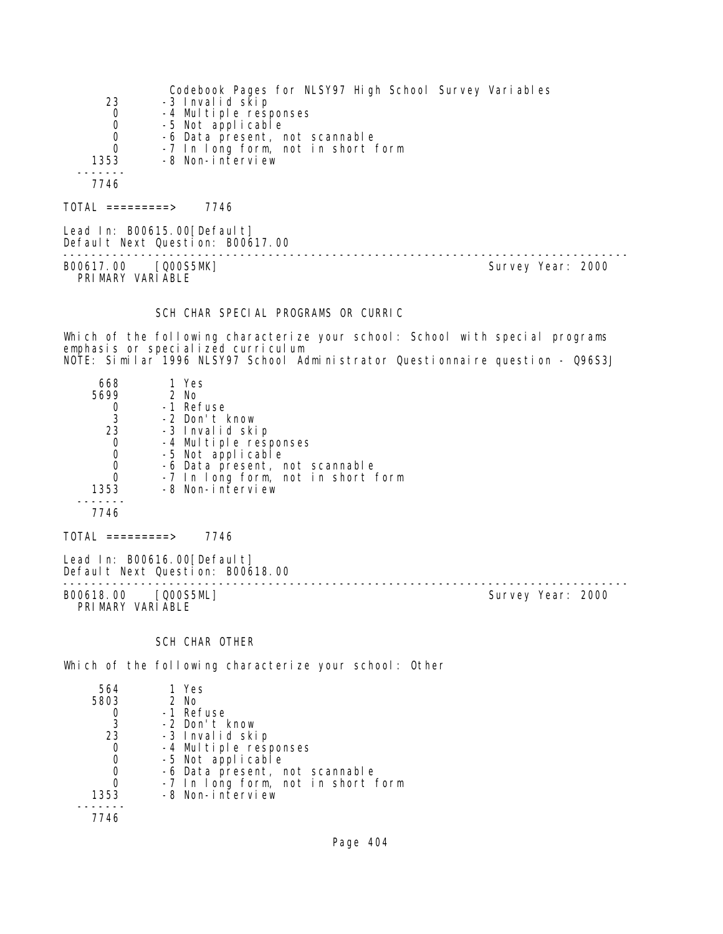|          | Codebook Pages for NLSY97 High School Survey Variables |
|----------|--------------------------------------------------------|
| 23       | -3 Invalid skip                                        |
| 0        | -4 Multiple responses                                  |
| 0        | -5 Not applicable                                      |
| 0        | -6 Data present, not scannable                         |
| $\Omega$ | -7 In long form, not in short form                     |
| 1353     | -8 Non-interview                                       |
|          |                                                        |
| 7746     |                                                        |
|          |                                                        |

 $TOTAL$  ========> 7746

Lead In: B00615.00[Default] Default Next Question: B00617.00 -------------------------------------------------------------------------------- B00617.00 [Q00S5MK] Survey Year: 2000 PRIMARY VARIABLE

# SCH CHAR SPECIAL PROGRAMS OR CURRIC

Which of the following characterize your school: School with special programs emphasis or specialized curriculum NOTE: Similar 1996 NLSY97 School Administrator Questionnaire question - Q96S3J

| 668<br>5699<br>3<br>23<br>0<br>O<br>0<br>0 | 1 Yes<br>$2$ No<br>-1 Refuse<br>-2 Don't know<br>-3 Invalid skip<br>-4 Multiple responses<br>-5 Not applicable<br>-6 Data present, not scannable<br>-7 In long form, not in short form |
|--------------------------------------------|----------------------------------------------------------------------------------------------------------------------------------------------------------------------------------------|
| 7746                                       |                                                                                                                                                                                        |
| 1353                                       | -8 Non-interview                                                                                                                                                                       |

 $TOTAL$  =========> 7746

Lead In: B00616.00 [Default] Default Next Question: B00618.00

-------------------------------------------------------------------------------- PRIMARY VARIABLE

Survey Year: 2000

# SCH CHAR OTHER

Which of the following characterize your school: Other

| 564  | 1 Yes                              |
|------|------------------------------------|
| 5803 | $2$ No                             |
|      | -1 Refuse                          |
| 3    | -2 Don't know                      |
| 23   | -3 Invalid skip                    |
|      | -4 Multiple responses              |
|      | -5 Not applicable                  |
|      | -6 Data present, not scannable     |
|      | -7 In long form, not in short form |
| 1353 | -8 Non-interview                   |
|      |                                    |
| 7746 |                                    |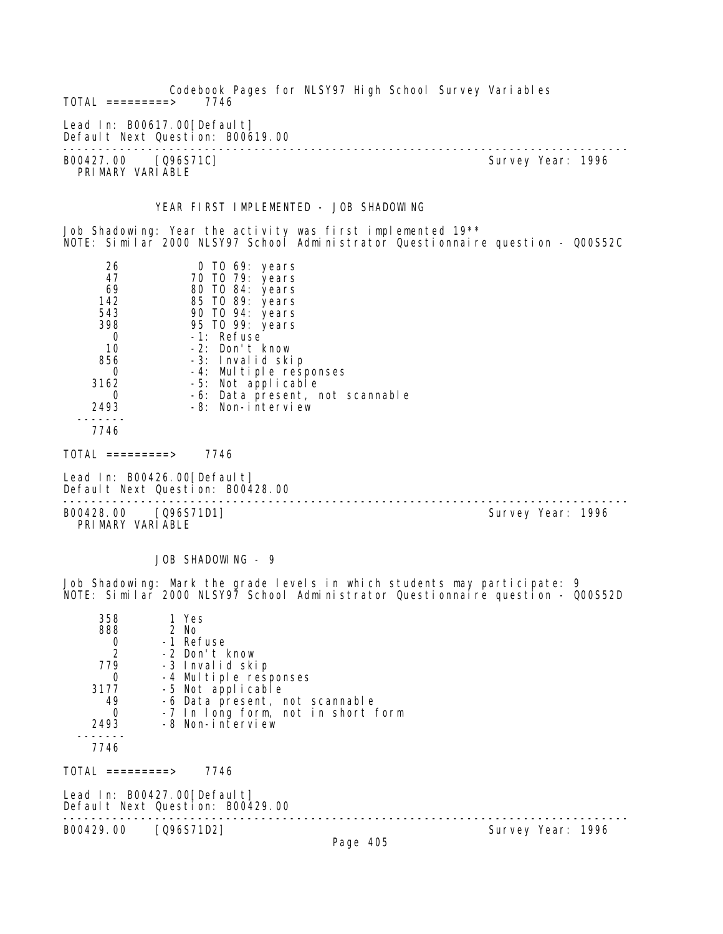Codebook Pages for NLSY97 High School Survey Variables  $TOTAL$  =========> Lead In: B00617.00 [Default] Default Next Question: B00619.00 -------------------------------------------------------------------------------- B00427.00 [Q96S71C] PRIMARY VARIABLE YEAR FIRST IMPLEMENTED - JOB SHADOWING Job Shadowing: Year the activity was first implemented 19\*\* NOTE: Similar 2000 NLSY97 School Administrator Questionnaire question - Q00S52C 26 0 TO 69: years 47 70 TO 79: years 69 80 TO 84: years 142 85 TO 89: years 543 90 TO 94: years 398 95 TO 99: years 0 -1: Refuse 10 -2: Don't know 856 -3: Invalid skip 0 -4: Multiple responses 3162 -5: Not applicable<br>0 -6: Data present, r 0 -6: Data present, not scannable<br>2493 -8: Non-interview -8: Non-interview ------- 7746  $TOTAL$  ========> 7746 Lead In: B00426.00 [Default] Default Next Question: B00428.00 -------------------------------------------------------------------------------- B00428.00 [Q96S71D1] PRIMARY VARIABLE JOB SHADOWING - 9 Job Shadowing: Mark the grade levels in which students may participate: 9 NOTE: Similar 2000 NLSY97 School Administrator Questionnaire question - Q00S52D 358 1 Yes 88 2 No<br>0 - 1 Ret 0 -1 Refuse<br>2 -2 Don't k 2 -2 Don't know 779 -3 Invalid skip 0 -4 Multiple responses<br>3177 -5 Not applicable 3177 -5 Not applicable 49 -6 Data present, not scannable 0 -7 In long form, not in short form<br>2493 -8 Non-interview -8 Non-interview ------- 7746

TOTAL =========> 7746

Lead In: B00427.00 [Default] Default Next Question: B00429.00 --------------------------------------------------------------------------------

B00429.00 [Q96S71D2]

Page 405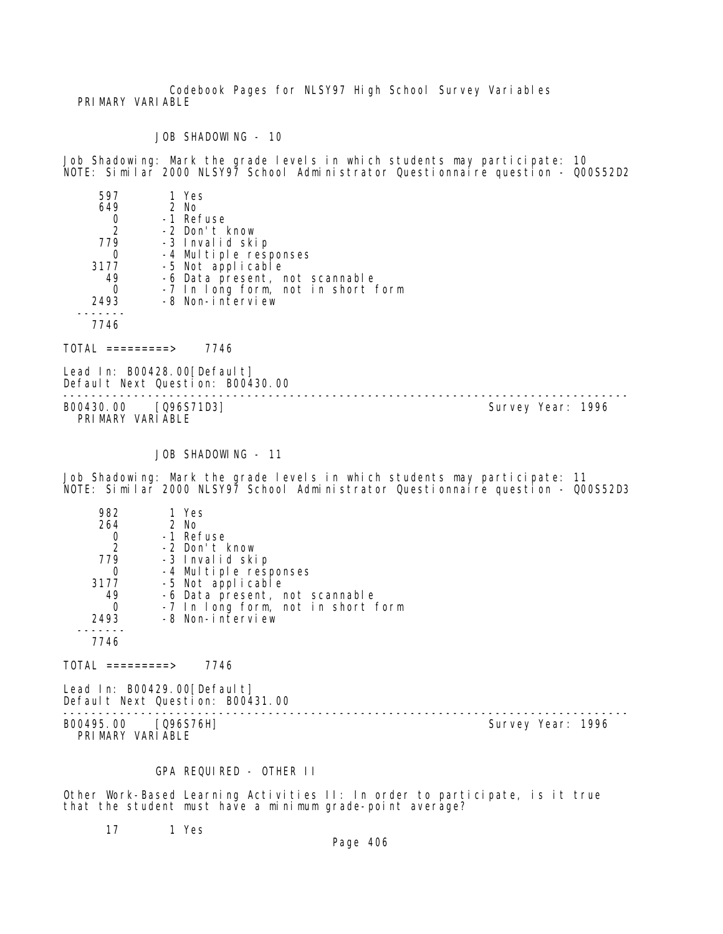Codebook Pages for NLSY97 High School Survey Variables PRIMARY VARIABLE

JOB SHADOWING - 10

Job Shadowing: Mark the grade levels in which students may participate: 10 NOTE: Similar 2000 NLSY97 School Administrator Questionnaire question - Q00S52D2

| -7 In long form, not in short form |
|------------------------------------|
|                                    |
|                                    |
|                                    |
|                                    |

TOTAL =========> 7746

Lead In: B00428.00 [Default] Default Next Question: B00430.00

B00430.00 [Q96S71D3] PRIMARY VARIABLE

--------------------------------------------------------------------------------

JOB SHADOWING - 11

Job Shadowing: Mark the grade levels in which students may participate: 11 NOTE: Similar 2000 NLSY97 School Administrator Questionnaire question - Q00S52D3

| 982  | 1 Yes                                      |
|------|--------------------------------------------|
| 264  | $2$ No                                     |
|      | -1 Refuse                                  |
| 2    | -2 Don't know                              |
| 779  | -3 Invalid skip                            |
|      | -4 Multiple responses<br>-5 Not applicable |
| 3177 |                                            |
| 49   | -6 Data present, not scannable             |
|      | -7 In long form, not in short form         |
| 2493 | -8 Non-interview                           |
|      |                                            |
| 7746 |                                            |

 $TOTAL$  =========> 7746

Lead In: B00429.00 [Default] Default Next Question: B00431.00

B00495.00 [Q96S76H] PRIMARY VARIABLE

--------------------------------------------------------------------------------

# GPA REQUIRED - OTHER II

Other Work-Based Learning Activities II: In order to participate, is it true that the student must have a minimum grade-point average?

17 1 Yes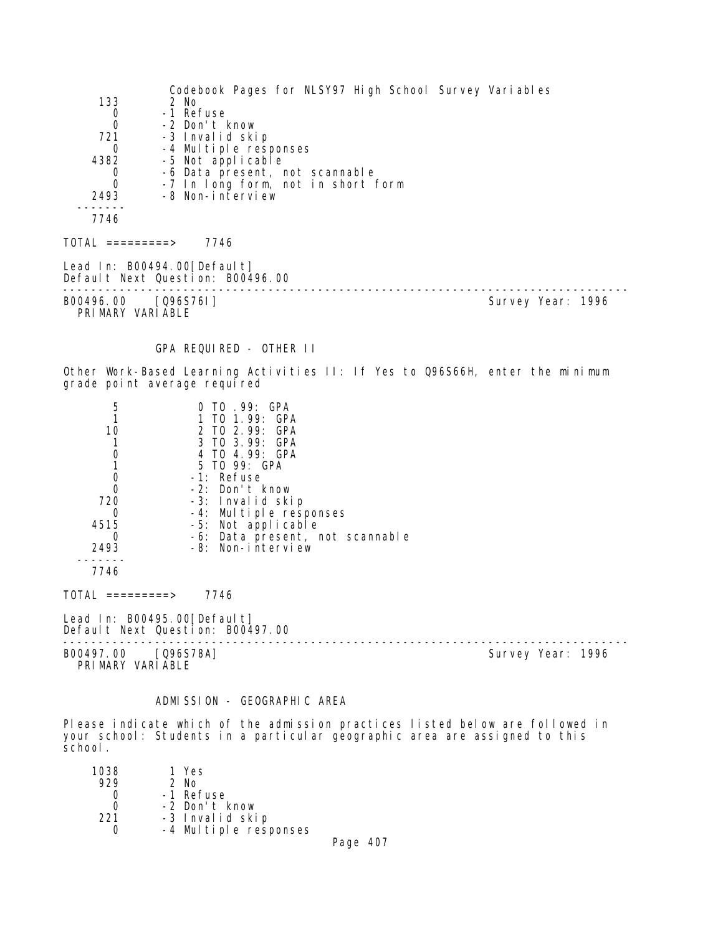Codebook Pages for NLSY97 High School Survey Variables 133 2 No 0 -1 Refuse<br>0 -2 Don't I 0 -2 Don't know -3 Invalid skip 0 -4 Multiple responses<br>4382 -5 Not applicable -5 Not applicable 0 -6 Data present, not scannable<br>0 -7 In Iong form, not in short 0 -7 In long form, not in short form<br>2493 -8 Non-interview -8 Non-interview ------- 7746  $TOTAL$  ========> 7746 Lead In: B00494.00[Default] Default Next Question: B00496.00 -------------------------------------------------------------------------------- Survey Year: 1996 PRIMARY VARIABLE GPA REQUIRED - OTHER II Other Work-Based Learning Activities II: If Yes to Q96S66H, enter the minimum grade point average required 5 0 TO .99: GPA 1 1 TO 1.99: GPA 10 2 TO 2.99: GPA<br>1 3 TO 3.99: GPA 1 3 TO 3.99: GPA 0 4 TO 4.99: GPA 1 5 TO 99: GPA<br>0 -1: Refuse 0 -1: Refuse<br>0 -2: Don't 0 -2: Don't know<br>720 -3: Invalid ski 0 -3: Invalid skip<br>0 -4: Multiple res 0 -4: Multiple responses<br>4515 -5: Not applicable 4515 -5: Not applicable 0 -6: Data present, not scannable 2493 -8: Non-interview ------- 7746 TOTAL =========> 7746 Lead In: B00495.00 [Default] Default Next Question: B00497.00 -------------------------------------------------------------------------------- B00497.00 [Q96S78A] PRIMARY VARIABLE

## ADMISSION - GEOGRAPHIC AREA

Please indicate which of the admission practices listed below are followed in your school: Students in a particular geographic area are assigned to this school.

| 1038 | 1 Yes                 |  |
|------|-----------------------|--|
| 929  | $2$ No                |  |
|      | -1 Refuse             |  |
| O    | -2 Don't know         |  |
| 221  | -3 Invalid skip       |  |
|      | -4 Multiple responses |  |
|      | -                     |  |

Page 407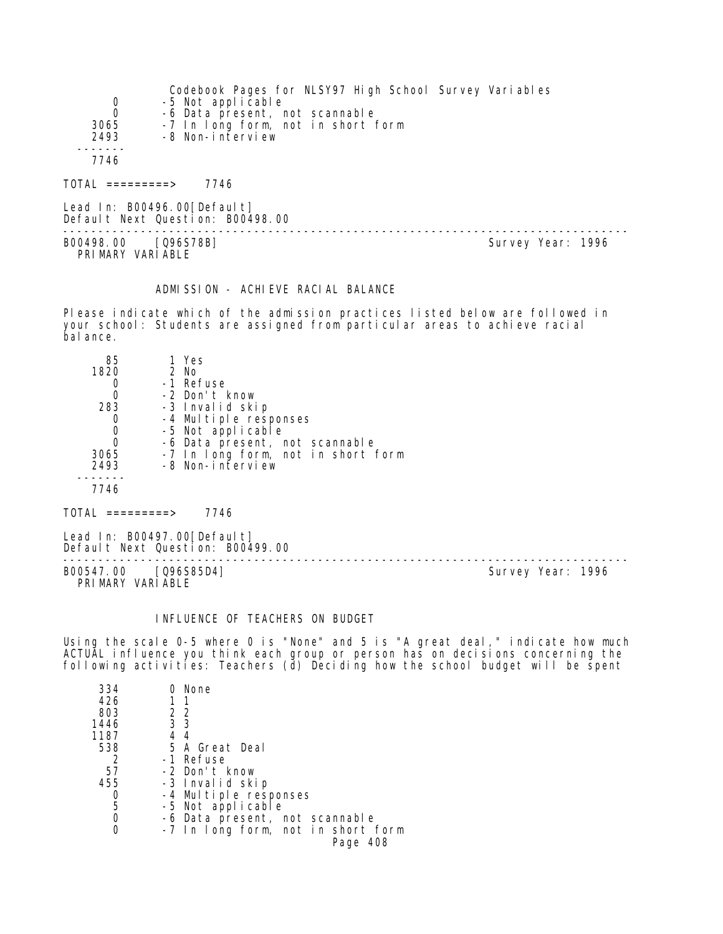| 0                | Codebook Pages for NLSY97 High School Survey Variables<br>-5 Not applicable |
|------------------|-----------------------------------------------------------------------------|
| $\Omega$         | -6 Data present, not scannable                                              |
| 3065<br>2493     | -7 In long form, not in short form<br>-8 Non-interview                      |
| 7746             |                                                                             |
| TOTAL =========> | 7746                                                                        |

Lead In: B00496.00[Default] Default Next Question: B00498.00 -------------------------------------------------------------------------------- B00498.00 [Q96S78B] Survey Year: 1996

PRIMARY VARIABLE

#### ADMISSION - ACHIEVE RACIAL BALANCE

Please indicate which of the admission practices listed below are followed in your school: Students are assigned from particular areas to achieve racial balance.

| 85<br>1820<br>283<br>3065 | 1 Yes<br>$2$ No<br>-1 Refuse<br>-2 Don't know<br>-3 Invalid skip<br>-4 Multiple responses<br>-5 Not applicable<br>-6 Data present, not scannable<br>-7 In long form, not in short form |
|---------------------------|----------------------------------------------------------------------------------------------------------------------------------------------------------------------------------------|
| 2493                      | -8 Non-interview                                                                                                                                                                       |
| 7746                      |                                                                                                                                                                                        |
|                           |                                                                                                                                                                                        |

 $TOTAL$  =========> 7746

Lead In: B00497.00[Default] Default Next Question: B00499.00

B00547.00 [Q96S85D4] Survey Year: 1996 PRIMARY VARIABLE

--------------------------------------------------------------------------------

# INFLUENCE OF TEACHERS ON BUDGET

Using the scale 0-5 where 0 is "None" and 5 is "A great deal," indicate how much ACTUAL influence you think each group or person has on decisions concerning the following activities: Teachers (d) Deciding how the school budget will be spent

| 334  |                | None                               |
|------|----------------|------------------------------------|
| 426  | 11             |                                    |
| 803  | 2 2            |                                    |
| 1446 | 3 <sub>3</sub> |                                    |
| 1187 | 44             |                                    |
| 538  |                | 5 A Great Deal                     |
| 2    |                | -1 Refuse                          |
| 57   |                | -2 Don't know                      |
| 455  |                | -3 Invalid skip                    |
|      |                | -4 Multiple responses              |
| 5    |                | -5 Not applicable                  |
| 0    |                | -6 Data present, not scannable     |
|      |                | -7 In long form, not in short form |
|      |                | 408<br>Page                        |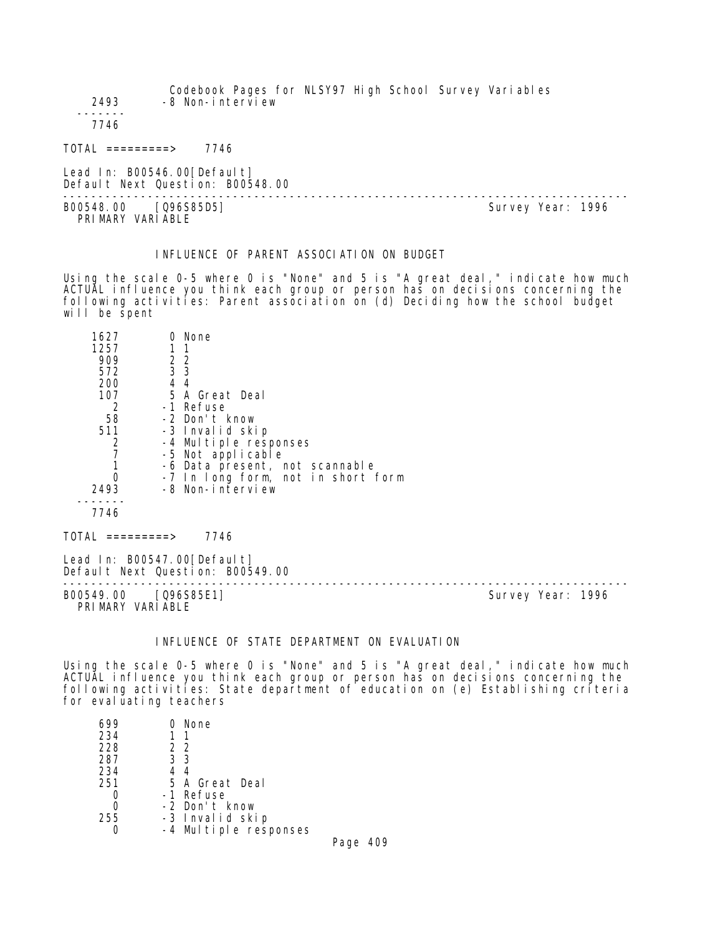Codebook Pages for NLSY97 High School Survey Variables 2493 -8 Non-interview ------- 7746 TOTAL =========> 7746 Lead In: B00546.00 [Default] Default Next Question: B00548.00 -------------------------------------------------------------------------------- B00548.00 [Q96S85D5] PRIMARY VARIABLE

# INFLUENCE OF PARENT ASSOCIATION ON BUDGET

Using the scale 0-5 where 0 is "None" and 5 is "A great deal," indicate how much ACTUAL influence you think each group or person has on decisions concerning the following activities: Parent association on (d) Deciding how the school budget will be spent

| 1627                 |                  | None                               |
|----------------------|------------------|------------------------------------|
| 1257                 |                  | 11                                 |
| 909                  | 2 2              |                                    |
| 572                  | $\overline{3}$ 3 |                                    |
| 200                  | 44               |                                    |
| 107                  |                  | 5 A Great Deal                     |
| 2                    |                  | -1 Refuse                          |
| 58                   |                  | -2 Don't know                      |
| 511                  |                  | -3 Invalid skip                    |
| 2                    |                  | -4 Multiple responses              |
|                      |                  | -5 Not applicable                  |
|                      |                  | -6 Data present, not scannable     |
|                      |                  | -7 In long form, not in short form |
| 2493                 |                  | -8 Non-interview                   |
|                      |                  |                                    |
| 7746                 |                  |                                    |
| TOTAL<br>$========>$ |                  | 7746                               |

Lead In: B00547.00 [Default] Default Next Question: B00549.00

-------------------------------------------------------------------------------- B00549.00 [Q96S85E1] PRIMARY VARIABLE

## INFLUENCE OF STATE DEPARTMENT ON EVALUATION

Using the scale 0-5 where 0 is "None" and 5 is "A great deal," indicate how much ACTUAL influence you think each group or person has on decisions concerning the following activities: State department of education on (e) Establishing criteria for evaluating teachers

| 699 | None                  |      |
|-----|-----------------------|------|
| 234 | - 1                   |      |
| 228 | 22                    |      |
| 287 | 3 3                   |      |
| 234 | 44                    |      |
| 251 | 5 A Great Deal        |      |
|     | -1 Refuse             |      |
|     | -2 Don't know         |      |
| 255 | -3 Invalid skip       |      |
|     | -4 Multiple responses |      |
|     |                       | Do∩∩ |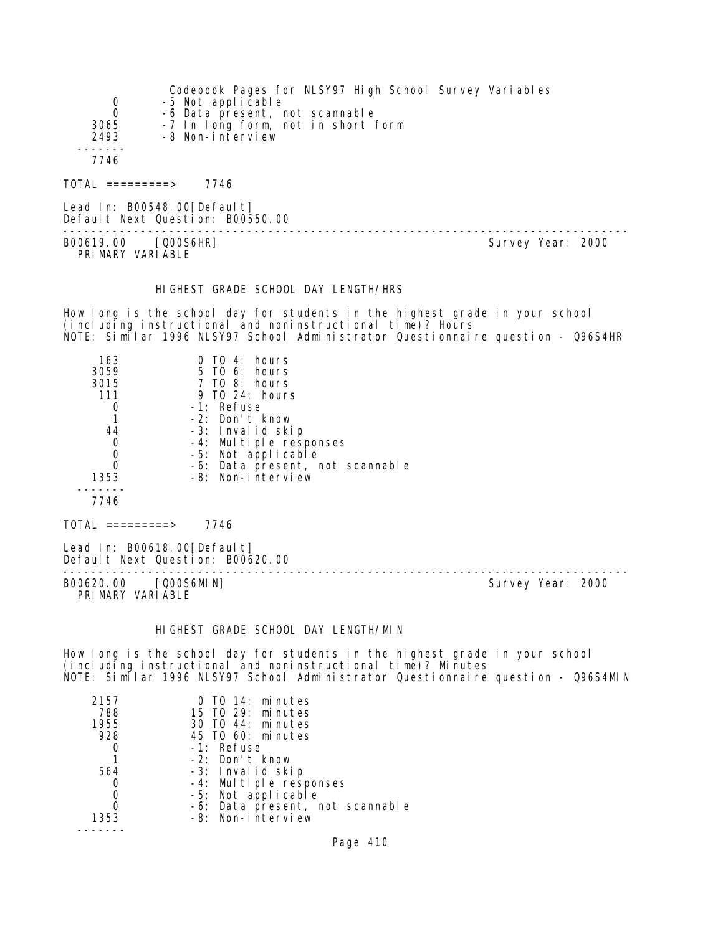| $\overline{0}$   | Codebook Pages for NLSY97 High School Survey Variables<br>-5 Not applicable |
|------------------|-----------------------------------------------------------------------------|
| $\Omega$         | -6 Data present, not scannable                                              |
| 3065             | -7 In long form, not in short form                                          |
| 2493             | -8 Non-interview                                                            |
|                  |                                                                             |
| 7746             |                                                                             |
| TOTAL =========> | 7746                                                                        |
|                  |                                                                             |

Lead In: B00548.00 [Default] Default Next Question: B00550.00

B00619.00 [Q00S6HR] Survey Year: 2000 PRIMARY VARIABLE

--------------------------------------------------------------------------------

#### HIGHEST GRADE SCHOOL DAY LENGTH/HRS

How long is the school day for students in the highest grade in your school (including instructional and noninstructional time)? Hours NOTE: Similar 1996 NLSY97 School Administrator Questionnaire question - Q96S4HR

| 163        | $0$ TO 4: hours                 |
|------------|---------------------------------|
| 3059       | 5 TO 6: hours                   |
| 3015       | $7$ TO 8: hours                 |
| 111        | 9 TO 24: hours                  |
| 0          | -1: Refuse                      |
|            | -2: Don't know                  |
| 44         | -3: Invalid skip                |
| 0          | -4: Multiple responses          |
| 0          | -5: Not applicable              |
| 0          | -6: Data present, not scannable |
| 1353       | -8: Non-interview               |
|            |                                 |
| 7746       |                                 |
| =========> | 7746                            |

Lead In: B00618.00 [Default] Default Next Question: B00620.00

B00620.00 [Q00S6MIN] PRIMARY VARIABLE

--------------------------------------------------------------------------------

# HIGHEST GRADE SCHOOL DAY LENGTH/MIN

How long is the school day for students in the highest grade in your school (including instructional and noninstructional time)? Minutes NOTE: Similar 1996 NLSY97 School Administrator Questionnaire question - Q96S4MIN

| 2157 | 0 TO 14: minutes                |
|------|---------------------------------|
| 788  | 15 TO 29: minutes               |
| 1955 | 30 TO 44: minutes               |
| 928  | 45 TO 60: minutes               |
|      | -1: Refuse                      |
|      | $-2$ : Don't know               |
| 564  | -3: Invalid skip                |
|      | -4: Multiple responses          |
|      | -5: Not applicable              |
|      | -6: Data present, not scannable |
| 1353 | -8: Non-interview               |
|      |                                 |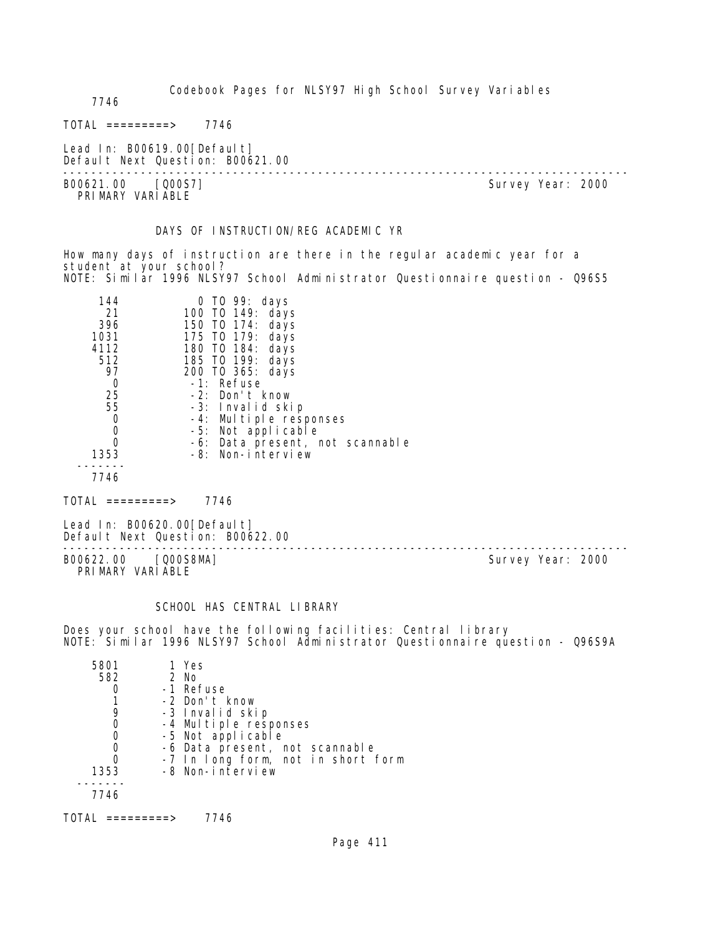Codebook Pages for NLSY97 High School Survey Variables

7746

 $TOTAL$  ========> 7746

Lead In: B00619.00[Default] Default Next Question: B00621.00

B00621.00 [Q00S7] PRIMARY VARIABLE

--------------------------------------------------------------------------------

#### DAYS OF INSTRUCTION/REG ACADEMIC YR

How many days of instruction are there in the regular academic year for a student at your school? NOTE: Similar 1996 NLSY97 School Administrator Questionnaire question - Q96S5

| 144  | 0 TO 99: days                   |
|------|---------------------------------|
| 21   | 100 T0 149: days                |
| 396  | 150 T0 174: days                |
| 1031 | 175 TO 179: days                |
| 4112 | 180 TO 184: days                |
| 512  | 185 TO 199: days                |
| 97   | 200 T0 365: days                |
| Ω    | -1: Refuse                      |
| 25   | -2: Don't know                  |
| 55   | -3: Invalid skip                |
| 0    | -4: Multiple responses          |
| 0    | -5: Not applicable              |
| Ω    | -6: Data present, not scannable |
| 1353 | -8: Non-interview               |
|      |                                 |

7746

 $TOTAL$  =========> 7746

Lead In: B00620.00[Default] Default Next Question: B00622.00

B00622.00 [Q00S8MA] Survey Year: 2000 PRIMARY VARIABLE

--------------------------------------------------------------------------------

# SCHOOL HAS CENTRAL LIBRARY

Does your school have the following facilities: Central library NOTE: Similar 1996 NLSY97 School Administrator Questionnaire question - Q96S9A

| 5801 | 1 Yes                              |
|------|------------------------------------|
| 582  | $2$ No                             |
|      | -1 Refuse                          |
|      | -2 Don't know                      |
|      | -3 Invalid skip                    |
|      | -4 Multiple responses              |
|      | -5 Not applicable                  |
|      | -6 Data present, not scannable     |
|      | -7 In long form, not in short form |
| 1353 | -8 Non-interview                   |
|      |                                    |
| 7746 |                                    |
|      |                                    |

TOTAL =========> 7746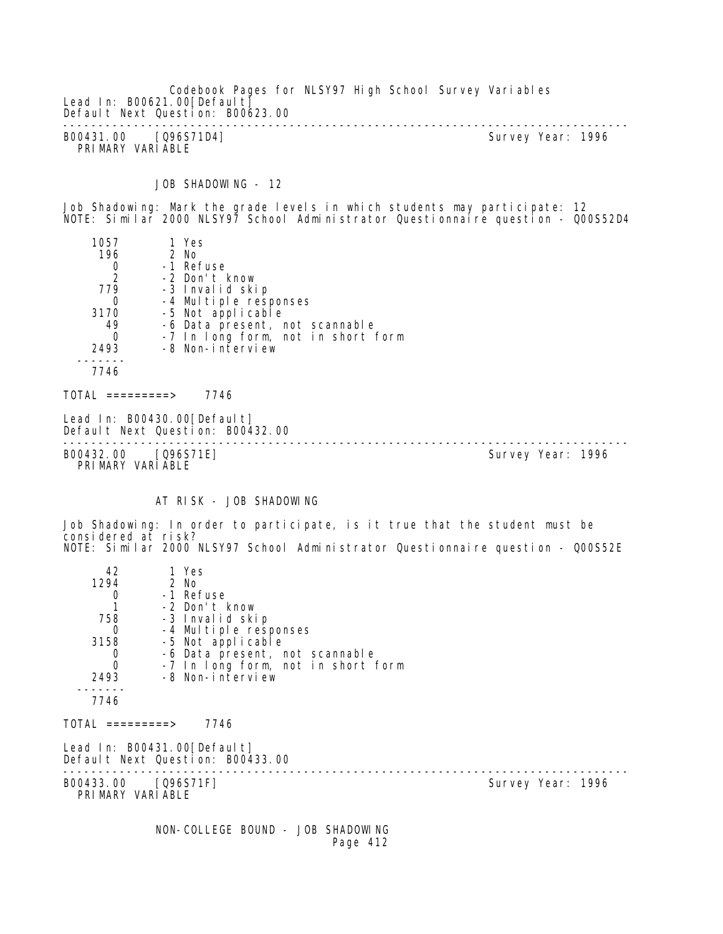Codebook Pages for NLSY97 High School Survey Variables Lead In: B00621.00 [Default] Default Next Question: B00623.00 -------------------------------------------------------------------------------- B00431.00 [Q96S71D4] Survey Year: 1996 PRIMARY VARIABLE

JOB SHADOWING - 12

Job Shadowing: Mark the grade levels in which students may participate: 12 NOTE: Similar 2000 NLSY97 School Administrator Questionnaire question - Q00S52D4

| 1057             | 1 Yes                                                           |                   |  |
|------------------|-----------------------------------------------------------------|-------------------|--|
| 196              | 2 No                                                            |                   |  |
| $\frac{0}{2}$    | -1 Refuse                                                       |                   |  |
|                  | -2 Don't know                                                   |                   |  |
| 779              | -3 Invalid skip                                                 |                   |  |
| 0                | -4 Multiple responses                                           |                   |  |
| 3170             | -5 Not applicable                                               |                   |  |
| 49               | -6 Data present, not scannable                                  |                   |  |
| 0                | -7 In long form, not in short form                              |                   |  |
| 2493             | -8 Non-interview                                                |                   |  |
| 7746             |                                                                 |                   |  |
| TOTAL =========> | 7746                                                            |                   |  |
|                  | Lead In: B00430.00[Default]<br>Default Next Question: B00432.00 |                   |  |
| B00432.00        | [Q96S71E]                                                       | Survey Year: 1996 |  |

PRIMARY VARIABLE

AT RISK - JOB SHADOWING

Job Shadowing: In order to participate, is it true that the student must be considered at risk? NOTE: Similar 2000 NLSY97 School Administrator Questionnaire question - Q00S52E

| 42                                      | 1 Yes                                                           |                   |
|-----------------------------------------|-----------------------------------------------------------------|-------------------|
| 1294                                    | 2 No                                                            |                   |
| $\Omega$                                | -1 Refuse                                                       |                   |
|                                         | -2 Don't know                                                   |                   |
|                                         | 758 -3 Invalid skip                                             |                   |
| $\overline{0}$                          | -4 Multiple responses                                           |                   |
| 3158                                    | -5 Not applicable                                               |                   |
| 0                                       | -6 Data present, not scannable                                  |                   |
| $\Omega$<br>2493                        | -7 In long form, not in short form<br>-8 Non-interview          |                   |
|                                         |                                                                 |                   |
| 7746                                    |                                                                 |                   |
| TOTAL =========>                        | 7746                                                            |                   |
|                                         | Lead In: B00431.00[Default]<br>Default Next Question: B00433.00 |                   |
| B00433.00 [Q96S71F]<br>PRIMARY VARIABLE |                                                                 | Survey Year: 1996 |
|                                         | NON-COLLEGE BOUND - JOB SHADOWING<br>Page 412                   |                   |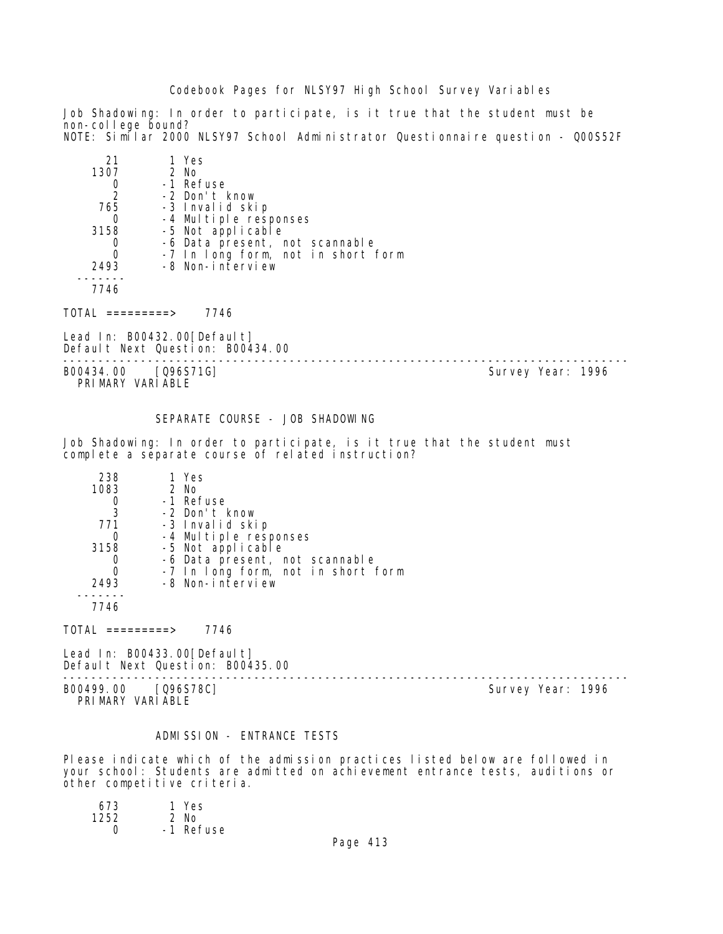## Codebook Pages for NLSY97 High School Survey Variables

Job Shadowing: In order to participate, is it true that the student must be non-college bound? NOTE: Similar 2000 NLSY97 School Administrator Questionnaire question - Q00S52F

| 21   | 1 Yes                              |
|------|------------------------------------|
| 1307 | $2$ No                             |
|      | -1 Refuse                          |
| 2    | -2 Don't know                      |
| 765  | -3 Invalid skip                    |
|      | -4 Multiple responses              |
| 3158 | -5 Not applicable                  |
|      | -6 Data present, not scannable     |
| 0    | -7 In long form, not in short form |
| 2493 | -8 Non-interview                   |
|      |                                    |
| 7746 |                                    |

 $TOTAL$  =========> 7746

Lead In: B00432.00[Default] Default Next Question: B00434.00

B00434.00 [Q96S71G] PRIMARY VARIABLE

--------------------------------------------------------------------------------

#### SEPARATE COURSE - JOB SHADOWING

Job Shadowing: In order to participate, is it true that the student must complete a separate course of related instruction?

| 238  | 1 Yes                              |
|------|------------------------------------|
| 1083 | $2$ No                             |
|      | -1 Refuse                          |
| 3    | -2 Don't know                      |
| 771  | -3 Invalid skip                    |
|      | -4 Multiple responses              |
| 3158 | -5 Not applicable                  |
|      | -6 Data present, not scannable     |
|      | -7 In long form, not in short form |
| 2493 | -8 Non-interview                   |
|      |                                    |
|      |                                    |

 $TOTAL$  =========> 7746

Lead In: B00433.00[Default] Default Next Question: B00435.00

-------------------------------------------------------------------------------- B00499.00 [Q96S78C] Survey Year: 1996 PRIMARY VARIABLE

#### ADMISSION - ENTRANCE TESTS

Please indicate which of the admission practices listed below are followed in your school: Students are admitted on achievement entrance tests, auditions or other competitive criteria.

| 673  | 1 Yes     |
|------|-----------|
| 1252 | $2$ No    |
| O    | -1 Refuse |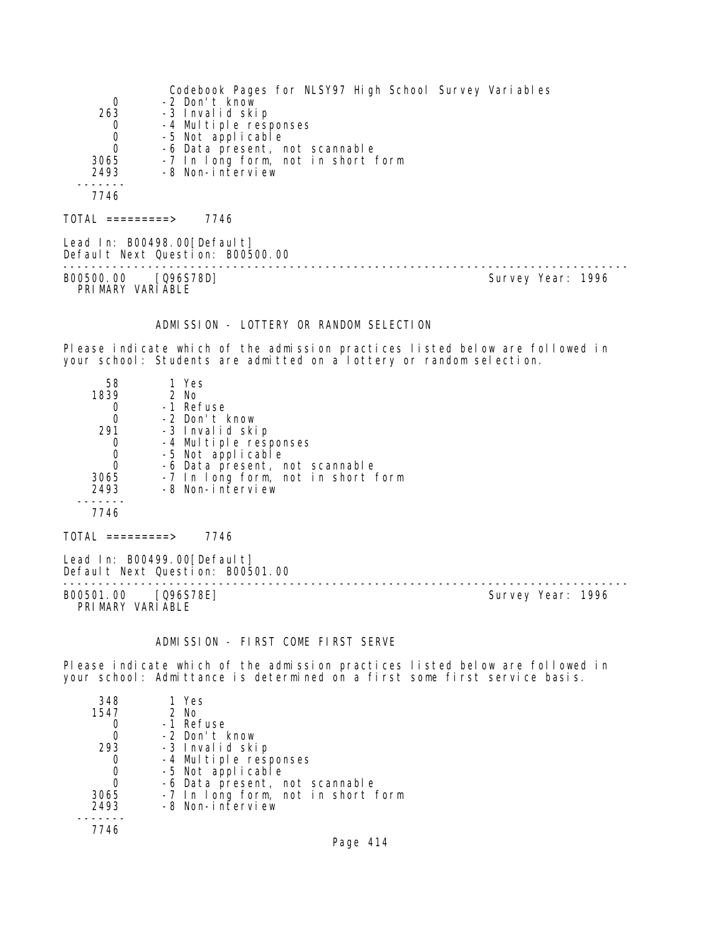|                  | Codebook Pages for NLSY97 High School Survey Variables          |
|------------------|-----------------------------------------------------------------|
| 0                | -2 Don't know                                                   |
| 263              | -3 Invalid skip                                                 |
| 0                | -4 Multiple responses                                           |
| 0                | -5 Not applicable                                               |
| $\mathbf 0$      | -6 Data present, not scannable                                  |
| 3065             | -7 In long form, not in short form                              |
| 2493             | -8 Non-interview                                                |
|                  |                                                                 |
| 7746             |                                                                 |
| TOTAL =========> | 7746                                                            |
|                  | Lead In: B00498.00[Default]<br>Default Next Question: B00500.00 |

B00500.00 [Q96S78D] PRIMARY VARIABLE

--------------------------------------------------------------------------------

# ADMISSION - LOTTERY OR RANDOM SELECTION

Please indicate which of the admission practices listed below are followed in your school: Students are admitted on a lottery or random selection.

| 58       | 1 Yes                              |
|----------|------------------------------------|
| 1839     | $2$ No                             |
|          | -1 Refuse                          |
| $\Omega$ | -2 Don't know                      |
| 291      | -3 Invalid skip                    |
|          | -4 Multiple responses              |
|          | -5 Not applicable                  |
|          | -6 Data present, not scannable     |
| 3065     | -7 In long form, not in short form |
| 2493     | -8 Non-interview                   |
|          |                                    |
| 7746     |                                    |
|          |                                    |

Lead In: B00499.00[Default]

Default Next Question: B00501.00 --------------------------------------------------------------------------------

PRI MARY VARI ABLE

 $TOTAL$  =========> 7746

Survey Year: 1996

#### ADMISSION - FIRST COME FIRST SERVE

Please indicate which of the admission practices listed below are followed in your school: Admittance is determined on a first some first service basis.

| 348  | 1 Yes                              |
|------|------------------------------------|
| 1547 | $2$ No                             |
|      | -1 Refuse                          |
|      | -2 Don't know                      |
| 293  | -3 Invalid skip                    |
|      | -4 Multiple responses              |
| 0    | -5 Not applicable                  |
| 0    | -6 Data present, not scannable     |
| 3065 | -7 In long form, not in short form |
| 2493 | -8 Non-interview                   |
|      |                                    |
| 7746 |                                    |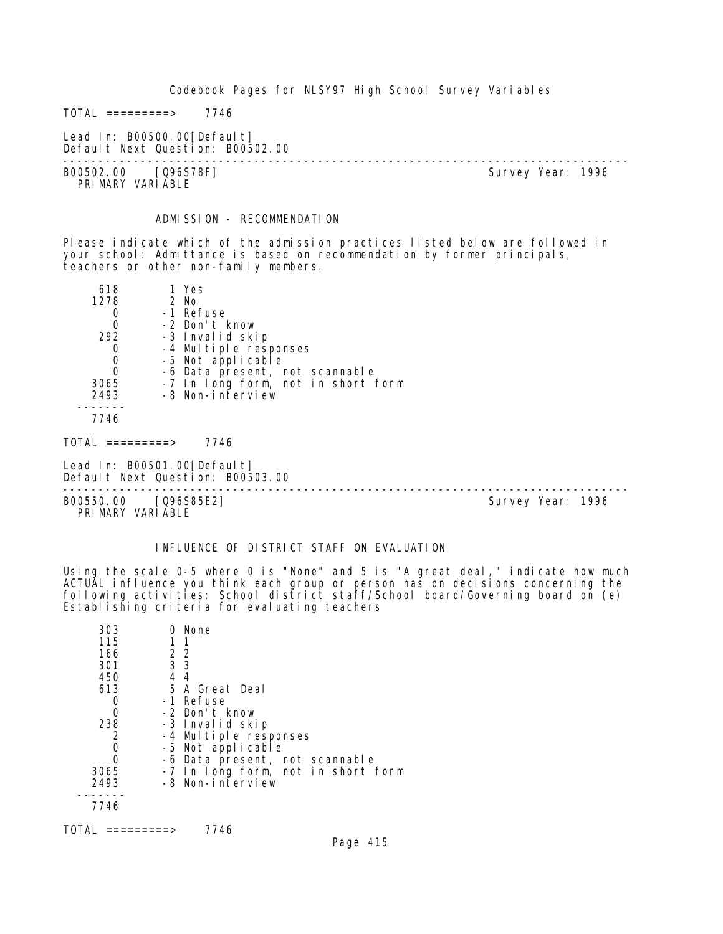Codebook Pages for NLSY97 High School Survey Variables

 $TOTAL$  =========> 7746

Lead In: B00500.00[Default] Default Next Question: B00502.00

-------------------------------------------------------------------------------- B00502.00 [Q96S78F] PRIMARY VARIABLE

## ADMISSION - RECOMMENDATION

Please indicate which of the admission practices listed below are followed in your school: Admittance is based on recommendation by former principals, teachers or other non-family members.

| 618  | 1 Yes                              |
|------|------------------------------------|
| 1278 | $2$ No                             |
|      | -1 Refuse                          |
|      | -2 Don't know                      |
| 292  | -3 Invalid skip                    |
|      | -4 Multiple responses              |
|      | -5 Not applicable                  |
|      | -6 Data present, not scannable     |
| 3065 | -7 In long form, not in short form |
| 2493 | -8 Non-interview                   |
|      |                                    |

7746

 $TOTAL$  =========> 7746

Lead In: B00501.00[Default] Default Next Question: B00503.00

B00550.00 [Q96S85E2] PRI MARY VARI ABLE

--------------------------------------------------------------------------------

### INFLUENCE OF DISTRICT STAFF ON EVALUATION

Using the scale 0-5 where 0 is "None" and 5 is "A great deal," indicate how much ACTUAL influence you think each group or person has on decisions concerning the following activities: School district staff/School board/Governing board on (e) Establishing criteria for evaluating teachers

| 303  | 0 None                             |
|------|------------------------------------|
| 115  | 1 1                                |
| 166  | 2 2                                |
| 301  | 3 <sub>3</sub>                     |
| 450  | 4 4                                |
| 613  | 5 A Great Deal                     |
|      | -1 Refuse                          |
| Ω    | -2 Don't know                      |
| 238  | -3 Invalid skip                    |
| 2    | -4 Multiple responses              |
| O    | -5 Not applicable                  |
| 0    | -6 Data present, not scannable     |
| 3065 | -7 In long form, not in short form |
| 2493 | -8 Non-interview                   |
|      |                                    |
| 7746 |                                    |
|      |                                    |

TOTAL =========> 7746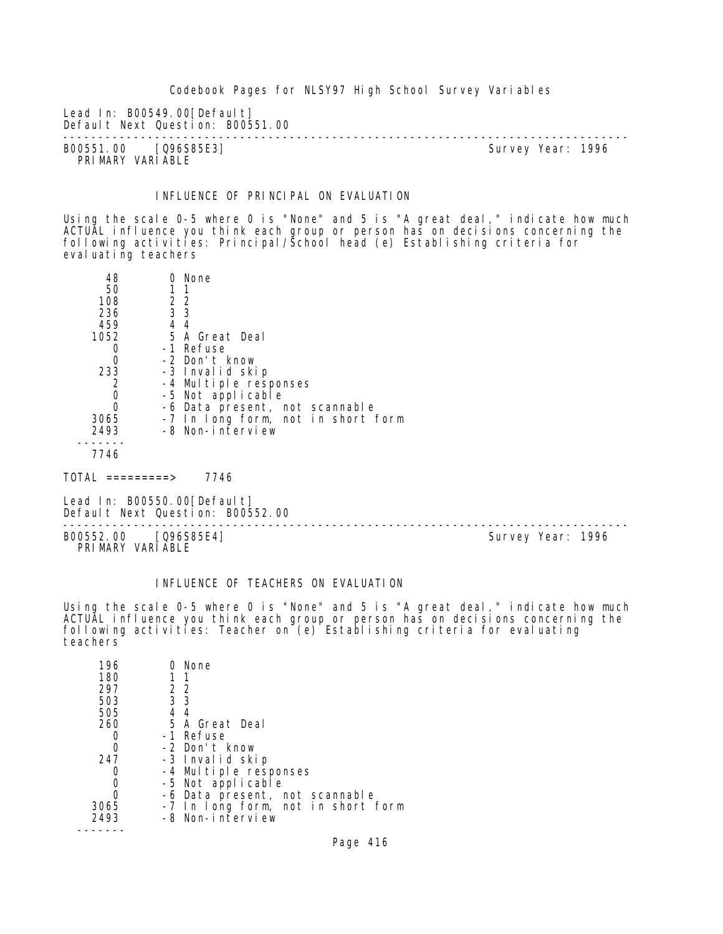Codebook Pages for NLSY97 High School Survey Variables

Lead In: B00549.00[Default] Default Next Question: B00551.00

-------------------------------------------------------------------------------- B00551.00 [Q96S85E3] PRIMARY VARIABLE

# INFLUENCE OF PRINCIPAL ON EVALUATION

Using the scale 0-5 where 0 is "None" and 5 is "A great deal," indicate how much ACTUAL influence you think each group or person has on decisions concerning the following activities: Principal/School head (e) Establishing criteria for evaluating teachers

| 48   |     | 0 None                             |
|------|-----|------------------------------------|
| 50   | 11  |                                    |
| 108  | 2 2 |                                    |
| 236  | 3 3 |                                    |
| 459  | 44  |                                    |
| 1052 |     | 5 A Great Deal                     |
|      |     | -1 Refuse                          |
|      |     | -2 Don't know                      |
| 233  |     | -3 Invalid skip                    |
|      |     | -4 Multiple responses              |
|      |     | -5 Not applicable                  |
|      |     | -6 Data present, not scannable     |
| 3065 |     | -7 In long form, not in short form |
| 2493 |     | -8 Non-interview                   |
|      |     |                                    |
|      |     |                                    |

TOTAL =========> 7746

Lead In: B00550.00 [Default] Default Next Question: B00552.00

-------------------------------------------------------------------------------- B00552.00 [Q96S85E4] Survey Year: 1996 PRIMARY VARIABLE

## INFLUENCE OF TEACHERS ON EVALUATION

Using the scale 0-5 where 0 is "None" and 5 is "A great deal," indicate how much ACTUAL influence you think each group or person has on decisions concerning the following activities: Teacher on (e) Establishing criteria for evaluating teachers

| 196  | 0 None                             |
|------|------------------------------------|
| 180  | -1                                 |
| 297  | 2 2                                |
| 503  | 3 3                                |
| 505  | 44                                 |
| 260  | 5 A Great Deal                     |
|      | -1 Refuse                          |
|      | -2 Don't know                      |
| 247  | -3 Invalid skip                    |
|      | -4 Multiple responses              |
|      | -5 Not applicable                  |
|      | -6 Data present, not scannable     |
| 3065 | -7 In long form, not in short form |
| 2493 | -8 Non-interview                   |
|      |                                    |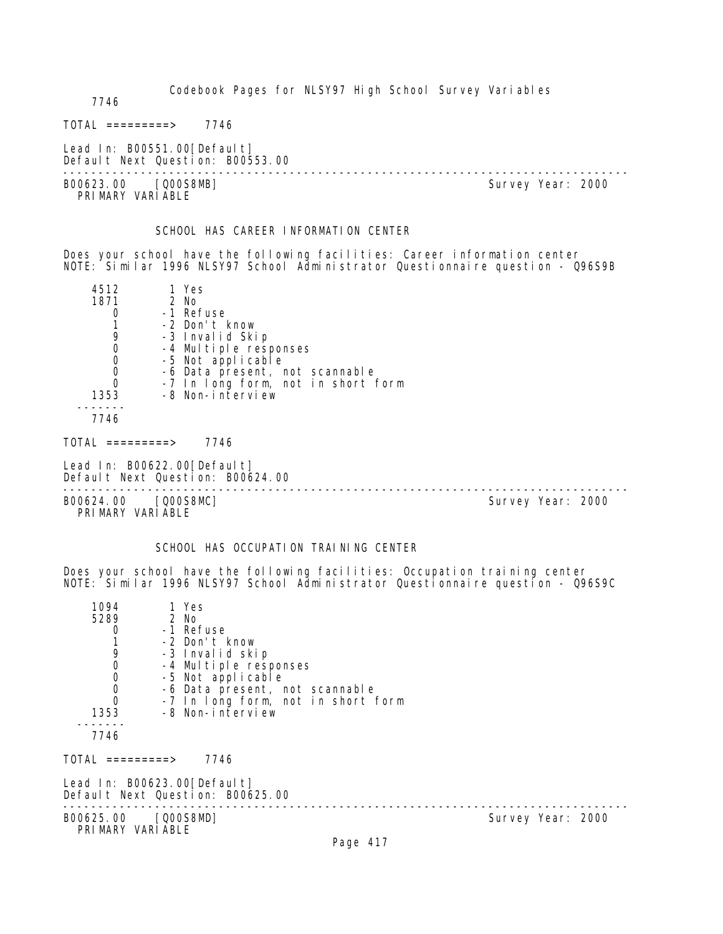Codebook Pages for NLSY97 High School Survey Variables 7746  $TOTAL$  ========> 7746 Lead In: B00551.00 [Default] Default Next Question: B00553.00 -------------------------------------------------------------------------------- Survey Year: 2000 PRIMARY VARIABLE SCHOOL HAS CAREER INFORMATION CENTER Does your school have the following facilities: Career information center NOTE: Similar 1996 NLSY97 School Administrator Questionnaire question - Q96S9B 4512 1 Yes 2 No 0 -1 Refuse<br>1 -2 Don't H 1 -2 Don't know<br>9 -3 Invalid Ski 9 -3 Invalid Skip<br>0 -4 Multiple resp 0 -4 Multiple responses 0 -5 Not applicable 0 -6 Data present, not scannable 0 -7 In long form, not in short form 1353 -8 Non-interview ------- 7746  $TOTAL$  =========> 7746 Lead In: B00622.00 [Default] Default Next Question: B00624.00 -------------------------------------------------------------------------------- B00624.00 [Q00S8MC] PRIMARY VARIABLE SCHOOL HAS OCCUPATION TRAINING CENTER

Does your school have the following facilities: Occupation training center NOTE: Similar 1996 NLSY97 School Administrator Questionnaire question - Q96S9C

| 1094<br>5289<br>$\Omega$<br>9<br>$\mathbf 0$<br>$\mathbf 0$ | 1 Yes<br>2 No<br>-1 Refuse<br>-2 Don't know<br>-3 Invalid skip<br>-4 Multiple responses<br>-5 Not applicable |                   |  |
|-------------------------------------------------------------|--------------------------------------------------------------------------------------------------------------|-------------------|--|
| $\begin{matrix}0\\0\end{matrix}$<br>1353                    | -6 Data present, not scannable<br>-7 In long form, not in short form<br>-8 Non-interview                     |                   |  |
| 7746<br>TOTAL =========>                                    | 7746                                                                                                         |                   |  |
|                                                             | Lead In: B00623.00[Default]<br>Default Next Question: B00625.00                                              |                   |  |
| B00625.00 [Q00S8MD]<br>PRIMARY VARIABLE                     |                                                                                                              | Survey Year: 2000 |  |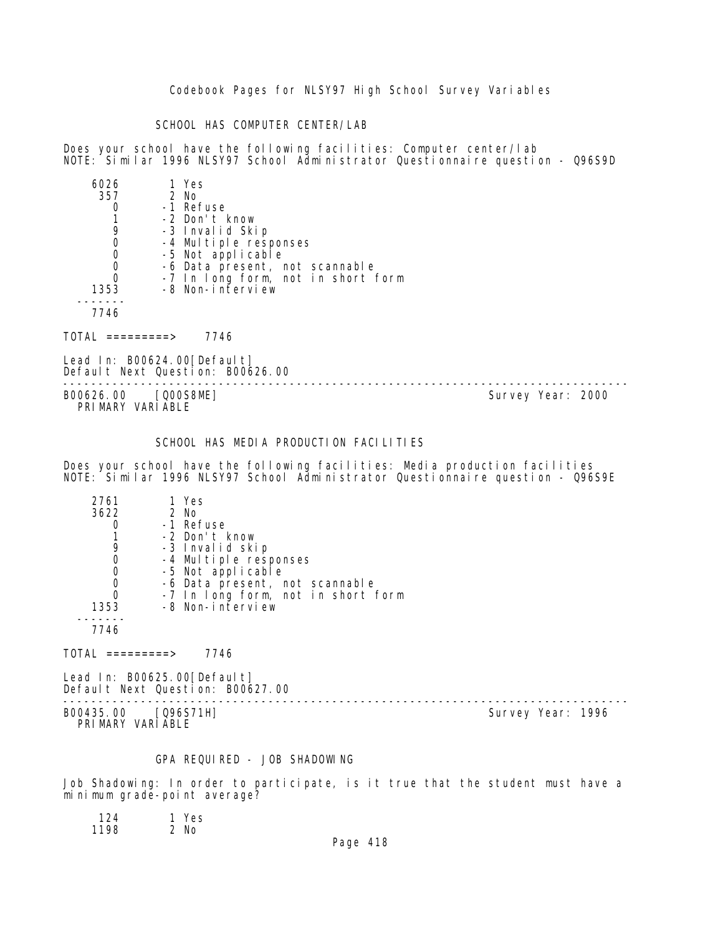Codebook Pages for NLSY97 High School Survey Variables

SCHOOL HAS COMPUTER CENTER/LAB

Does your school have the following facilities: Computer center/lab NOTE: Similar 1996 NLSY97 School Administrator Questionnaire question - Q96S9D

| 5026 | 1 Yes                              |
|------|------------------------------------|
| 357  | $2$ No                             |
|      | -1 Refuse                          |
|      | -2 Don't know                      |
|      | -3 Invalid Skip                    |
|      | -4 Multiple responses              |
|      | -5 Not applicable                  |
|      | -6 Data present, not scannable     |
|      | -7 In long form, not in short form |
| 1353 | -8 Non-interview                   |
|      |                                    |
| 7746 |                                    |
|      |                                    |

 $TOTAL$  ========> 7746

Lead In: B00624.00 [Default] Default Next Question: B00626.00

-------------------------------------------------------------------------------- B00626.00 [Q00S8ME] PRIMARY VARIABLE

#### SCHOOL HAS MEDIA PRODUCTION FACILITIES

Does your school have the following facilities: Media production facilities NOTE: Similar 1996 NLSY97 School Administrator Questionnaire question - Q96S9E

| 2761 | 1 Yes                              |
|------|------------------------------------|
| 3622 | 2 No                               |
|      | -1 Refuse                          |
|      | -2 Don't know                      |
| 9    | -3 Invalid skip                    |
|      | -4 Multiple responses              |
| O    | -5 Not applicable                  |
| 0    | -6 Data present, not scannable     |
| 0    | -7 In long form, not in short form |
| 1353 | -8 Non-interview                   |
|      |                                    |
| 7746 |                                    |

 $TOTAL$  =========> 7746

Lead In: B00625.00 [Default] Default Next Question: B00627.00

B00435.00 [Q96S71H] PRI MARY VARI ABLE

--------------------------------------------------------------------------------

## GPA REQUIRED - JOB SHADOWING

Job Shadowing: In order to participate, is it true that the student must have a minimum grade-point average?

 124 1 Yes 1198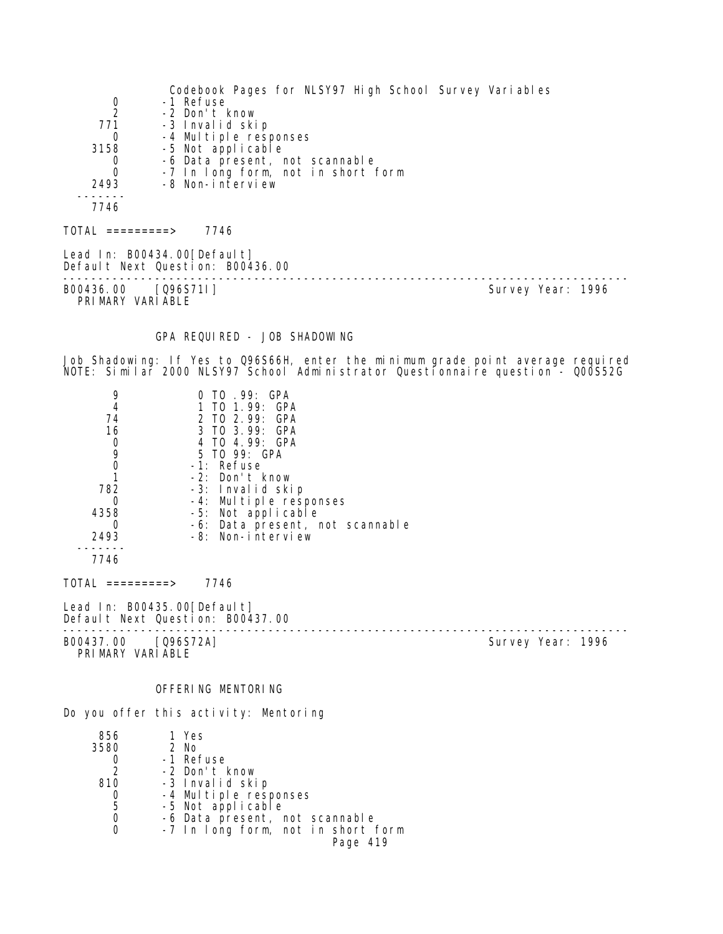Codebook Pages for NLSY97 High School Survey Variables 0 -1 Refuse<br>2 -2 Don't H 2 -2 Don't know<br>771 -3 Invalid ski 771 -3 Invalid skip 0 -4 Multiple responses 3158 -5 Not applicable 0 -6 Data present, not scannable 0 -7 In long form, not in short form 2493 -8 Non-interview ------- 7746  $TOTAL$  =========> 7746 Lead In: B00434.00 [Default] Default Next Question: B00436.00 -------------------------------------------------------------------------------- B00436.00 [Q96S711] PRIMARY VARIABLE GPA REQUIRED - JOB SHADOWING Job Shadowing: If Yes to Q96S66H, enter the minimum grade point average required NOTE: Similar 2000 NLSY97 School Administrator Questionnaire question - Q00S52G 9 0 TO .99: GPA<br>4 1 TO 1.99: GP 4 1 TO 1.99: GPA<br>74 2 TO 2 99: GPA 74 2 TO 2.99: GPA 16 3 TO 3.99: GPA 0 4 TO 4.99: GPA 9 5 TO 99: GPA 0 -1: Refuse<br>1 -2: Don't I 1 -2: Don't know 782 -3: Invalid skip 0 -4: Multiple responses<br>4358 -5: Not applicable 4358 -5: Not applicable 0 -6: Data present, not scannable 2493 -8: Non-interview ------- 7746  $TOTAL$  =========> 7746 Lead In: B00435.00 [Default] Default Next Question: B00437.00 -------------------------------------------------------------------------------- B00437.00 [Q96S72A] PRIMARY VARIABLE OFFERING MENTORING Do you offer this activity: Mentoring 856 1 Yes 3580

|               | -1 Refuse                          |
|---------------|------------------------------------|
| $\mathcal{P}$ | -2 Don't know                      |
| 810           | -3 Invalid skip                    |
|               | -4 Multiple responses              |
| 5             | -5 Not applicable                  |
| 0             | -6 Data present, not scannable     |
| 0             | -7 In long form, not in short form |
|               | Page 419                           |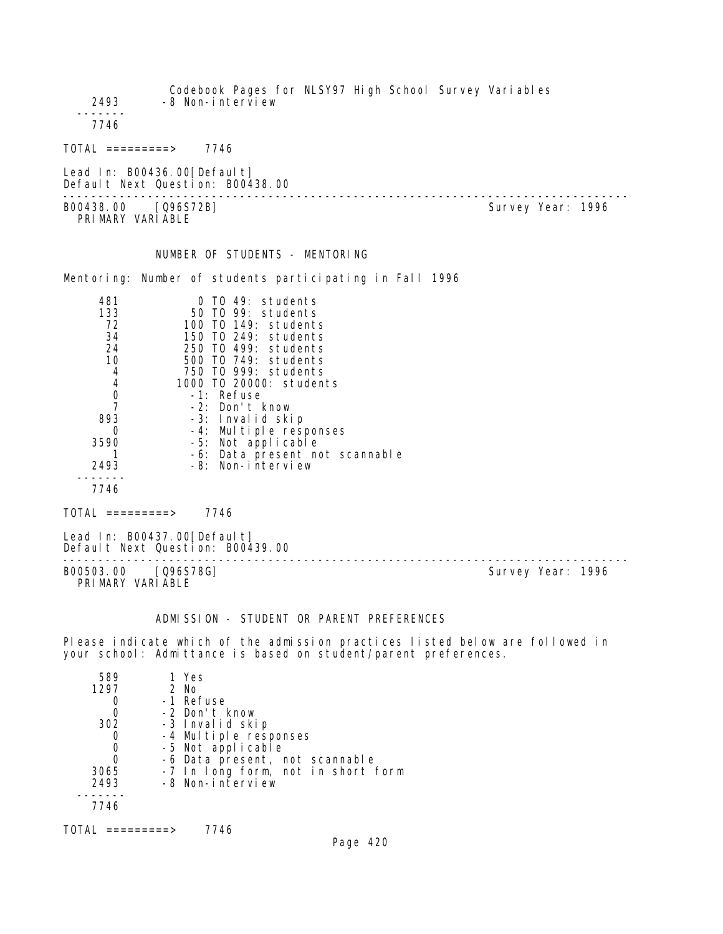| 2493                                                                                       | Codebook Pages for NLSY97 High School Survey Variables<br>-8 Non-interview                                                                                                                                                                                                                                                                            |  |                   |  |
|--------------------------------------------------------------------------------------------|-------------------------------------------------------------------------------------------------------------------------------------------------------------------------------------------------------------------------------------------------------------------------------------------------------------------------------------------------------|--|-------------------|--|
| 7746                                                                                       |                                                                                                                                                                                                                                                                                                                                                       |  |                   |  |
|                                                                                            | $TOTAL$ =========> 7746                                                                                                                                                                                                                                                                                                                               |  |                   |  |
|                                                                                            | Lead In: B00436.00 [Default]<br>Default Next Question: B00438.00                                                                                                                                                                                                                                                                                      |  |                   |  |
| PRIMARY VARIABLE                                                                           | B00438.00 [Q96S72B]                                                                                                                                                                                                                                                                                                                                   |  | Survey Year: 1996 |  |
|                                                                                            | NUMBER OF STUDENTS - MENTORING                                                                                                                                                                                                                                                                                                                        |  |                   |  |
|                                                                                            | Mentoring: Number of students participating in Fall 1996                                                                                                                                                                                                                                                                                              |  |                   |  |
| 481<br>133<br>72<br>34<br>24<br>10<br>4<br>4<br>0<br>7<br>893<br>O<br>3590<br>2493<br>7746 | 0 TO 49: students<br>50 TO 99: students<br>100 T0 149: students<br>150 TO 249: students<br>250 TO 499: students<br>500 T0 749: students<br>750 TO 999: students<br>1000 T0 20000: students<br>-1: Refuse<br>-2: Don't know<br>-3: Invalid skip<br>-4: Multiple responses<br>-5: Not applicable<br>-6: Data present not scannable<br>-8: Non-interview |  |                   |  |
|                                                                                            | $TOTAL$ =========> 7746                                                                                                                                                                                                                                                                                                                               |  |                   |  |
|                                                                                            | Lead In: B00437.00 [Defaul t]<br>Default Next Question: B00439.00<br>______________________________________                                                                                                                                                                                                                                           |  |                   |  |
| PRIMARY VARIABLE                                                                           | B00503.00 [096S78G]                                                                                                                                                                                                                                                                                                                                   |  | Survey Year: 1996 |  |
|                                                                                            | ADMISSION - STUDENT OR PARENT PREFERENCES                                                                                                                                                                                                                                                                                                             |  |                   |  |
|                                                                                            | Please indicate which of the admission practices listed below are followed in                                                                                                                                                                                                                                                                         |  |                   |  |

| 589  | 1 Yes                              |
|------|------------------------------------|
| 1297 | 2 No                               |
|      | -1 Refuse                          |
|      | -2 Don't know                      |
| 302  | -3 Invalid skip                    |
|      | -4 Multiple responses              |
|      | -5 Not applicable                  |
|      | -6 Data present, not scannable     |
| 3065 | -7 In long form, not in short form |
| 2493 | -8 Non-interview                   |
|      |                                    |
| 7746 |                                    |
|      |                                    |

your school: Admittance is based on student/parent preferences.

TOTAL =========> 7746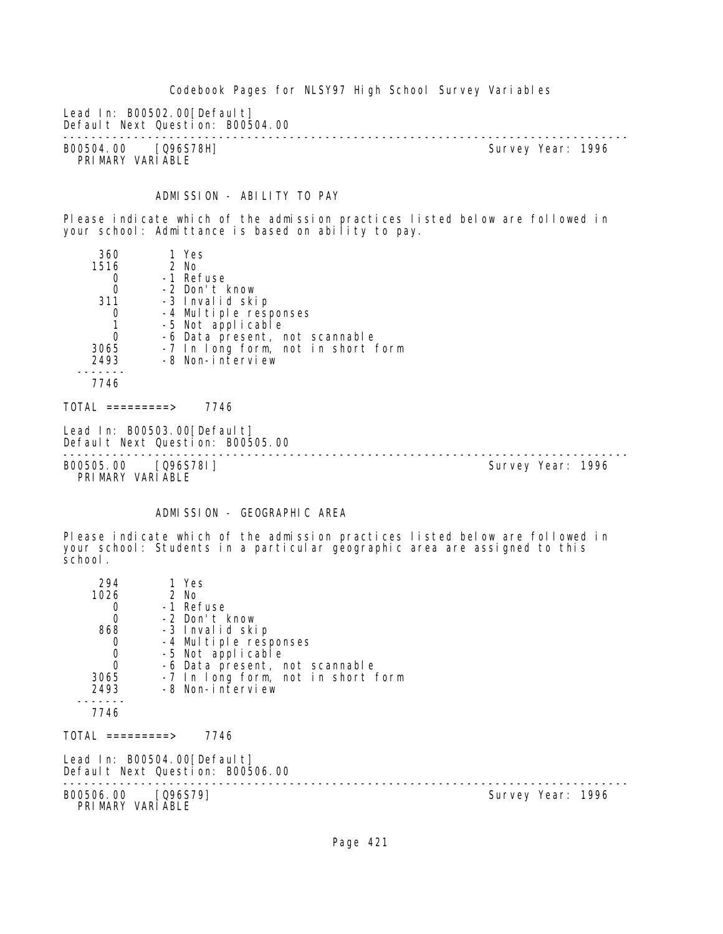Codebook Pages for NLSY97 High School Survey Variables Lead In: B00502.00 [Default] Default Next Question: B00504.00 -------------------------------------------------------------------------------- B00504.00 [Q96S78H] Survey Year: 1996 PRIMARY VARIABLE ADMISSION - ABILITY TO PAY

Please indicate which of the admission practices listed below are followed in your school: Admittance is based on ability to pay.

| 360  | 1 Yes                              |
|------|------------------------------------|
| 1516 | $2$ No                             |
|      | -1 Refuse                          |
| O    | -2 Don't know                      |
| 311  | -3 Invalid skip                    |
|      | -4 Multiple responses              |
|      | -5 Not applicable                  |
|      | -6 Data present, not scannable     |
| 3065 | -7 In long form, not in short form |
| 2493 | -8 Non-interview                   |
|      |                                    |
| 7746 |                                    |

 $TOTAL$  =========> 7746

Lead In: B00503.00[Default] Default Next Question: B00505.00

B00505.00 [Q96S78I] PRIMARY VARIABLE

--------------------------------------------------------------------------------

# ADMISSION - GEOGRAPHIC AREA

Please indicate which of the admission practices listed below are followed in your school: Students in a particular geographic area are assigned to this school.

| 294                                    | 1 Yes                                                           |                   |
|----------------------------------------|-----------------------------------------------------------------|-------------------|
| 1026                                   | 2 No                                                            |                   |
| 0                                      | -1 Refuse                                                       |                   |
| $\mathbf 0$                            | -2 Don't know                                                   |                   |
| 868                                    | -3 Invalid skip                                                 |                   |
| 0                                      | -4 Multiple responses                                           |                   |
| $\begin{matrix}0\\0\end{matrix}$       | -5 Not applicable                                               |                   |
|                                        | -6 Data present, not scannable                                  |                   |
| 3065                                   | -7 In long form, not in short form                              |                   |
| 2493                                   | -8 Non-interview                                                |                   |
| 7746                                   |                                                                 |                   |
|                                        |                                                                 |                   |
| TOTAL =========>                       | 7746                                                            |                   |
|                                        | Lead In: B00504.00[Default]<br>Default Next Question: B00506.00 |                   |
| B00506.00 [Q96S79]<br>PRIMARY VARIABLE |                                                                 | Survey Year: 1996 |
|                                        |                                                                 |                   |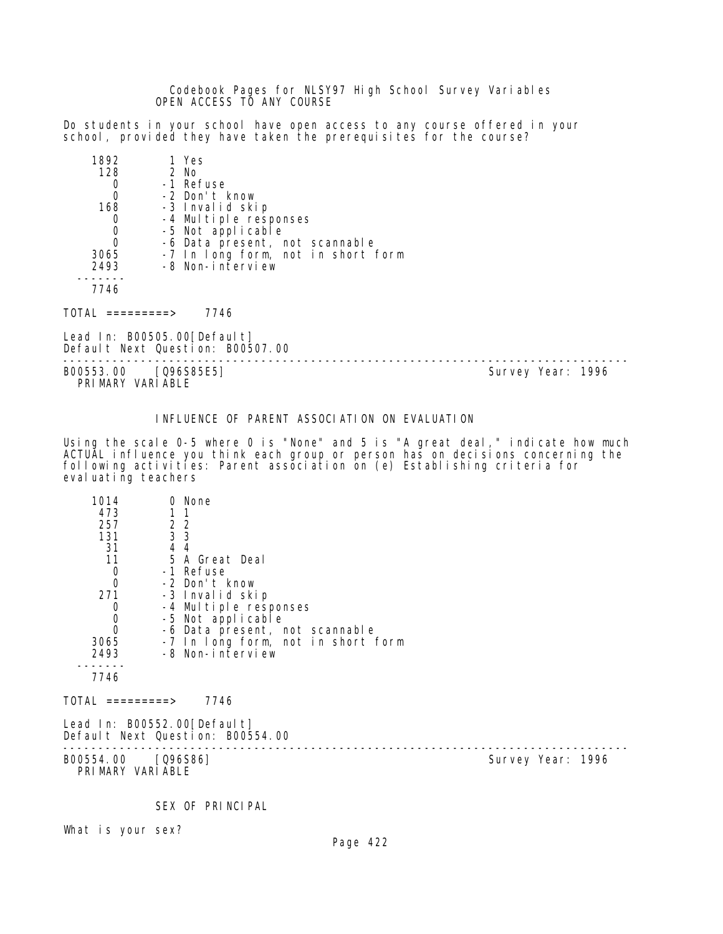Codebook Pages for NLSY97 High School Survey Variables OPEN ACCESS TO ANY COURSE

Do students in your school have open access to any course offered in your school, provided they have taken the prerequisites for the course?

| 1892     | 1 Yes                              |
|----------|------------------------------------|
| 128      | 2 No                               |
|          | -1 Refuse                          |
| 0        | -2 Don't know                      |
| 168      | -3 Invalid skip                    |
|          | -4 Multiple responses              |
| 0        | -5 Not applicable                  |
| $\Omega$ | -6 Data present, not scannable     |
| 3065     | -7 In long form, not in short form |
| 2493     | -8 Non-interview                   |
|          |                                    |
|          |                                    |

 $TOTAL$  =========> 7746

Lead In: B00505.00 [Default] Default Next Question: B00507.00

-------------------------------------------------------------------------------- B00553.00 [Q96S85E5] PRIMARY VARIABLE

INFLUENCE OF PARENT ASSOCIATION ON EVALUATION

Using the scale 0-5 where 0 is "None" and 5 is "A great deal," indicate how much ACTUAL influence you think each group or person has on decisions concerning the following activities: Parent association on (e) Establishing criteria for eval uating teachers

| 1014                             | 0 None                                                          |
|----------------------------------|-----------------------------------------------------------------|
| 473                              |                                                                 |
| 257                              | 2 <sub>2</sub>                                                  |
| 131                              | $\overline{3}$ $\overline{3}$                                   |
| 31                               | 44                                                              |
| 11                               | 5 A Great Deal                                                  |
| $\begin{matrix}0\\0\end{matrix}$ | -1 Refuse                                                       |
|                                  | -2 Don't know                                                   |
| 271                              | -3 Invalid skip                                                 |
| $\mathbf 0$                      | -4 Multiple responses                                           |
| $\begin{matrix}0\\0\end{matrix}$ | -5 Not applicable                                               |
|                                  | -6 Data present, not scannable                                  |
| 3065                             | -7 In long form, not in short form                              |
| 2493                             | -8 Non-interview                                                |
|                                  |                                                                 |
| 7746                             |                                                                 |
| TOTAL =========>                 | 7746                                                            |
|                                  | Lead In: B00552.00[Default]<br>Default Next Question: B00554.00 |
|                                  |                                                                 |

PRIMARY VARIABLE

B00554.00 [Q96S86] B00554.00 [Q96S86]

SEX OF PRINCIPAL

What is your sex?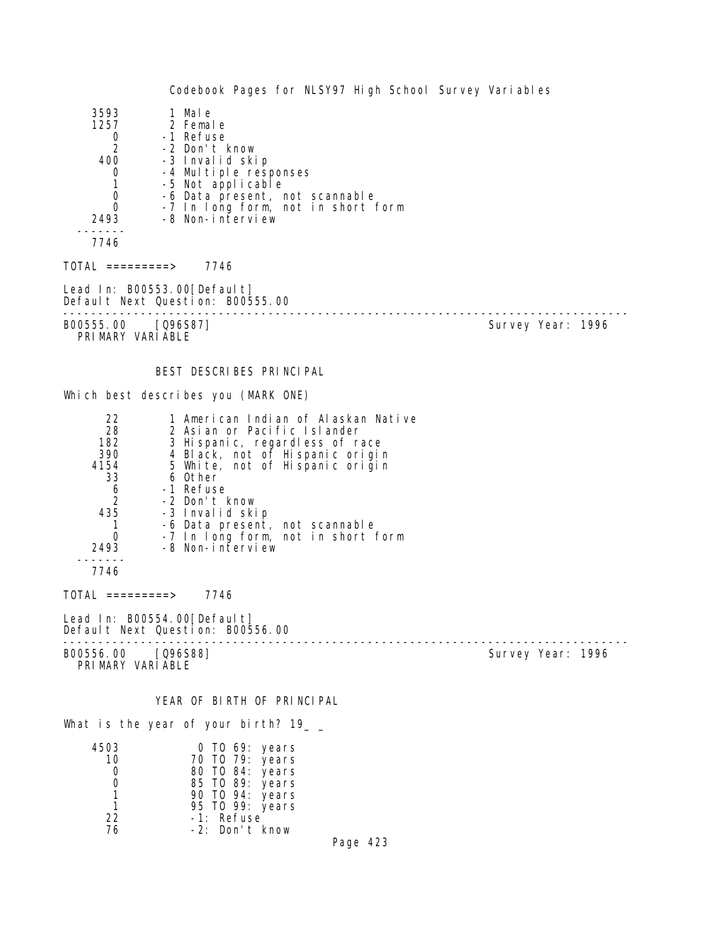Codebook Pages for NLSY97 High School Survey Variables 3593 1 Male<br>1257 2 Femal 1257 2 Female 0 -1 Refuse 2 -2 Don't know 400 -3 Invalid skip 0 -4 Multiple responses<br>1 -5 Not applicable 1 -5 Not applicable<br>0 -6 Data present, n 0 -6 Data present, not scannable<br>0 -7 In Iong form, not in short 0 -7 In long form, not in short form -8 Non-interview ------- 7746 TOTAL =========> 7746 Lead In: B00553.00 [Default] Default Next Question: B00555.00 -------------------------------------------------------------------------------- Survey Year: 1996 PRIMARY VARIABLE BEST DESCRIBES PRINCIPAL Which best describes you (MARK ONE) 22 1 American Indian of Alaskan Native<br>28 2 Asian or Pacific Islander 28 2 Asian or Pacific Islander 182 3 Hispanic, regardless of race 390 4 Black, not of Hispanic origin 4154 5 White, not of Hispanic origin 33 6 Other 6 -1 Refuse 2 -2 Don't know 435 -3 Invalid skip 1 -6 Data present, not scannable 0 -7 In long form, not in short form 2493 -8 Non-interview ------- 7746 TOTAL =========> 7746 Lead In: B00554.00 [Default] Default Next Question: B00556.00 -------------------------------------------------------------------------------- B00556.00 [Q96S88] Survey Year: 1996 PRIMARY VARIABLE YEAR OF BIRTH OF PRINCIPAL What is the year of your birth? 19\_ \_ 4503 0 TO 69: years

| 4003 | U TU 09: years  |
|------|-----------------|
| 10   | 70 TO 79: years |
| Ω    | 80 TO 84: years |
| O    | 85 TO 89: years |
| 1    | 90 TO 94: years |
| 1    | 95 TO 99: years |
| 22   | -1: Refuse      |
| 76   | -2: Don't know  |
|      |                 |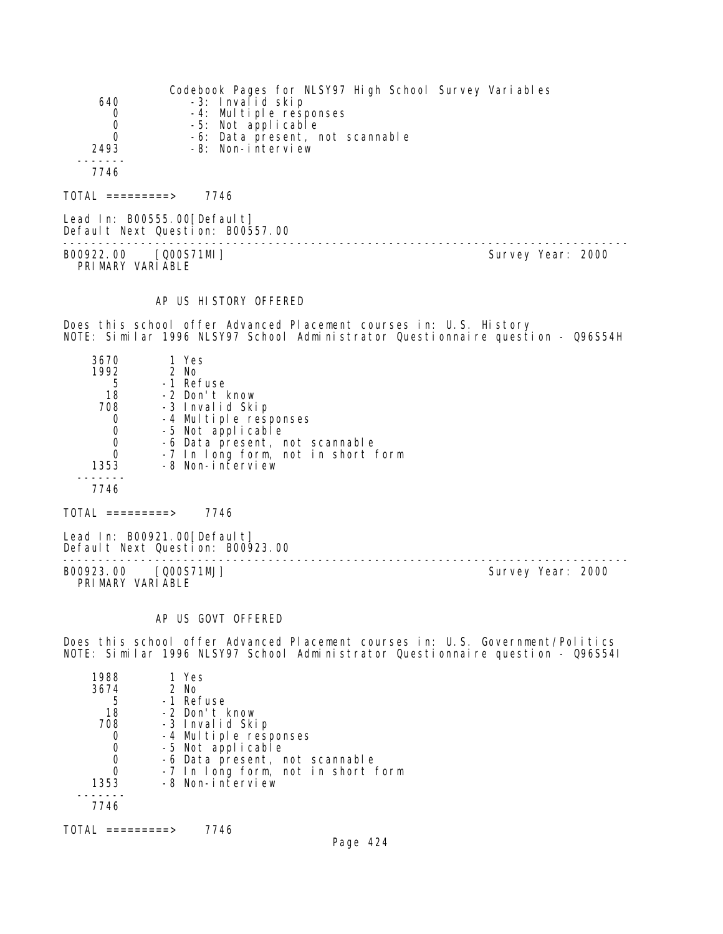| 640<br>0<br>0<br>0<br>2493 | Codebook Pages for NLSY97 High School Survey Variables<br>-3: Invalid skip<br>-4: Multiple responses<br>-5: Not applicable<br>-6: Data present, not scannable<br>-8: Non-interview |  |
|----------------------------|------------------------------------------------------------------------------------------------------------------------------------------------------------------------------------|--|
| 7746                       |                                                                                                                                                                                    |  |
| =========>                 | 7746                                                                                                                                                                               |  |

Lead In: B00555.00[Default] Default Next Question: B00557.00 -------------------------------------------------------------------------------- B00922.00 [Q00S71MI] PRIMARY VARIABLE

#### AP US HISTORY OFFERED

Does this school offer Advanced Placement courses in: U.S. History NOTE: Similar 1996 NLSY97 School Administrator Questionnaire question - Q96S54H

| 3670 | 1 Yes                                      |
|------|--------------------------------------------|
| 1992 | 2 No                                       |
| 5    | -1 Refuse                                  |
| 18   | -2 Don't know                              |
| 708  | -3 Invalid Skip                            |
|      | -4 Multiple responses<br>-5 Not applicable |
| O    |                                            |
| 0    | -6 Data present, not scannable             |
| 0    | -7 In long form, not in short form         |
| 1353 | -8 Non-interview                           |
|      |                                            |
| 7746 |                                            |

 $TOTAL$  =========> 7746

Lead In: B00921.00[Default] Default Next Question: B00923.00

B00923.00 [Q00S71MJ] Survey Year: 2000 PRIMARY VARIABLE

--------------------------------------------------------------------------------

#### AP US GOVT OFFERED

Does this school offer Advanced Placement courses in: U.S. Government/Politics NOTE: Similar 1996 NLSY97 School Administrator Questionnaire question - Q96S54I

| 1988 | 1 Yes                              |
|------|------------------------------------|
| 3674 | 2 No                               |
| 5    | -1 Refuse                          |
| 18   | -2 Don't know                      |
| 708  | -3 Invalid Skip                    |
|      | -4 Multiple responses              |
|      | -5 Not applicable                  |
|      | -6 Data present, not scannable     |
|      | -7 In long form, not in short form |
| 1353 | -8 Non-interview                   |
|      |                                    |
| 7746 |                                    |
|      |                                    |

TOTAL =========> 7746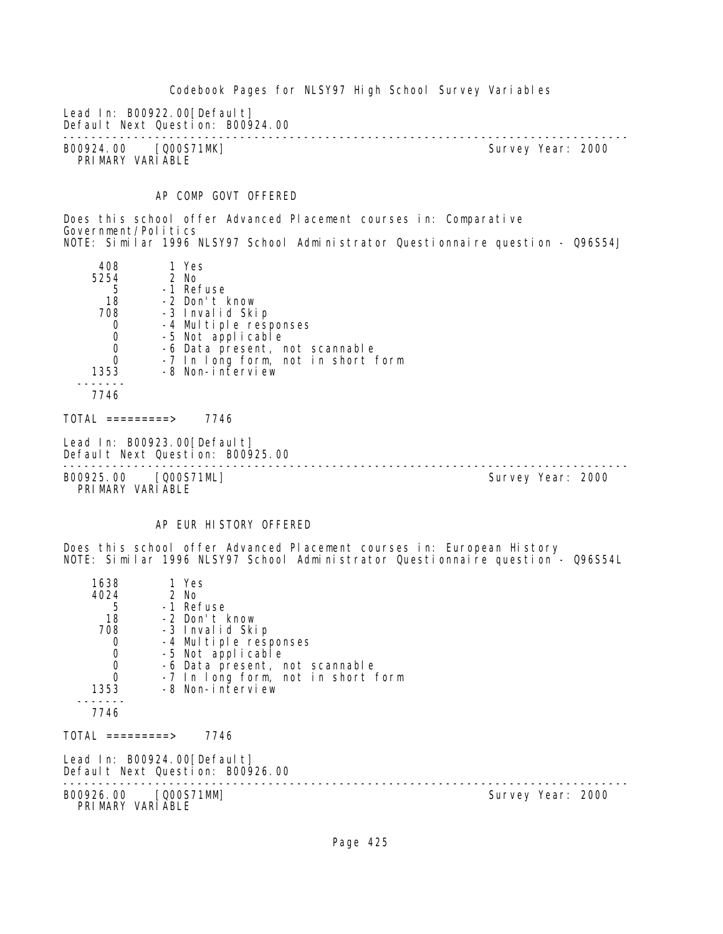Codebook Pages for NLSY97 High School Survey Variables Lead In: B00922.00[Default] Default Next Question: B00924.00 -------------------------------------------------------------------------------- B00924.00 [Q00S71MK] PRIMARY VARIABLE AP COMP GOVT OFFERED Does this school offer Advanced Placement courses in: Comparative Government/Politics NOTE: Similar 1996 NLSY97 School Administrator Questionnaire question - Q96S54J 408 1 Yes 5254 2 No 5 -1 Refuse 18 -2 Don't know 708 -3 Invalid Skip 0 -4 Multiple responses<br>0 -5 Not applicable 0 -5 Not applicable 0 -6 Data present, not scannable 0 -7 In long form, not in short form 1353 -8 Non-interview ------- 7746  $TOTAL$  ========> 7746 Lead In: B00923.00 [Default] Default Next Question: B00925.00 -------------------------------------------------------------------------------- B00925.00 [Q00S71ML] PRIMARY VARIABLE AP EUR HISTORY OFFERED Does this school offer Advanced Placement courses in: European History NOTE: Similar 1996 NLSY97 School Administrator Questionnaire question - Q96S54L 1638 1 Yes<br>4024 2 No 4024 2 No 5 -1 Refuse 18 -2 Don't know 708 -3 Invalid Skip 0 -4 Multiple responses 0 -5 Not applicable 0 -6 Data present, not scannable 0 -7 In long form, not in short form 1353 -8 Non-interview ------- 7746  $TOTAL$  ========> 7746 Lead In: B00924.00 [Default] Default Next Question: B00926.00 --------------------------------------------------------------------------------

B00926.00 [Q00S71MM] PRIMARY VARIABLE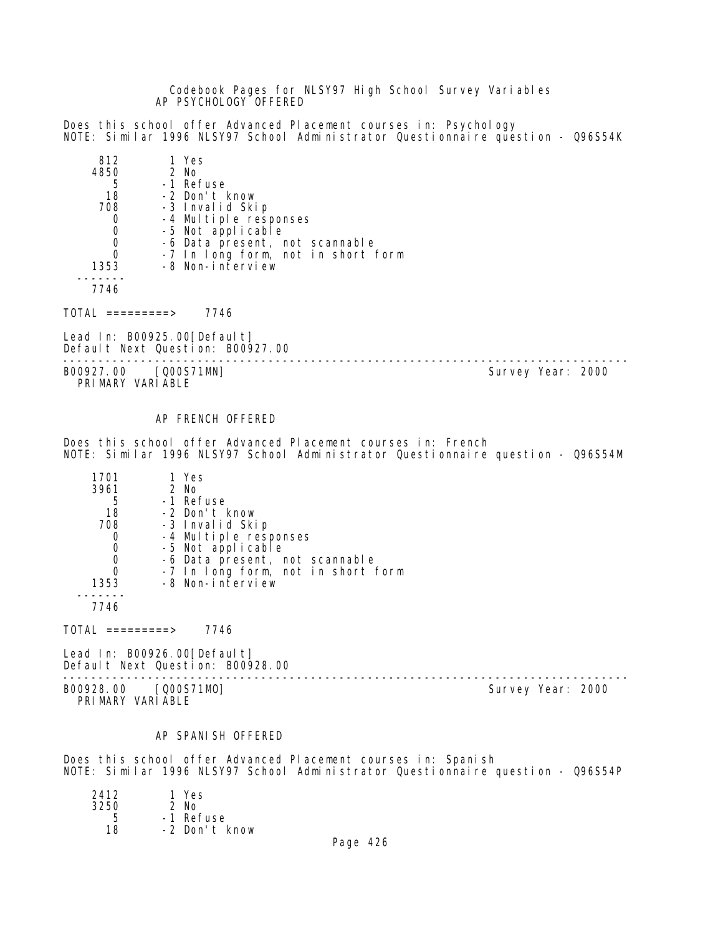Codebook Pages for NLSY97 High School Survey Variables AP PSYCHOLOGY OFFERED

Does this school offer Advanced Placement courses in: Psychology NOTE: Similar 1996 NLSY97 School Administrator Questionnaire question - Q96S54K

| 812  | 1 Yes                                                  |
|------|--------------------------------------------------------|
| 4850 | $2$ No                                                 |
| 5    | -1 Refuse                                              |
| 18   | -2 Don't know                                          |
| 708  | -3 Invalid Skip                                        |
| O    | -4 Multiple responses                                  |
|      | -5 Not applicable                                      |
|      | -6 Data present, not scannable                         |
| O    | -7 In long form, not in short form<br>-8 Non-interview |
| 1353 |                                                        |
|      |                                                        |

7746

 $TOTAL$  =========> 7746

Lead In: B00925.00[Default] Default Next Question: B00927.00

-------------------------------------------------------------------------------- B00927.00 [Q00S71MN]

PRIMARY VARIABLE

AP FRENCH OFFERED

Does this school offer Advanced Placement courses in: French NOTE: Similar 1996 NLSY97 School Administrator Questionnaire question - Q96S54M

| 1701 | 1 Yes                              |
|------|------------------------------------|
| 3961 | 2 No                               |
| 5    | -1 Refuse                          |
| 18   | -2 Don't know                      |
| 708  | -3 Invalid Skip                    |
|      | -4 Multiple responses              |
| O    | -5 Not applicable                  |
|      | -6 Data present, not scannable     |
|      | -7 In long form, not in short form |
| 1353 | -8 Non-interview                   |
|      |                                    |
| 7746 |                                    |

 $TOTAL$  =========> 7746

Lead In: B00926.00[Default] Default Next Question: B00928.00

-------------------------------------------------------------------------------- B00928.00 [Q00S71MO] Survey Year: 2000 PRIMARY VARIABLE

#### AP SPANISH OFFERED

Does this school offer Advanced Placement courses in: Spanish NOTE: Similar 1996 NLSY97 School Administrator Questionnaire question - Q96S54P

| 2412 | 1 Yes         |
|------|---------------|
| 3250 | $2$ No        |
| 5    | -1 Refuse     |
| 18   | -2 Don't know |
|      |               |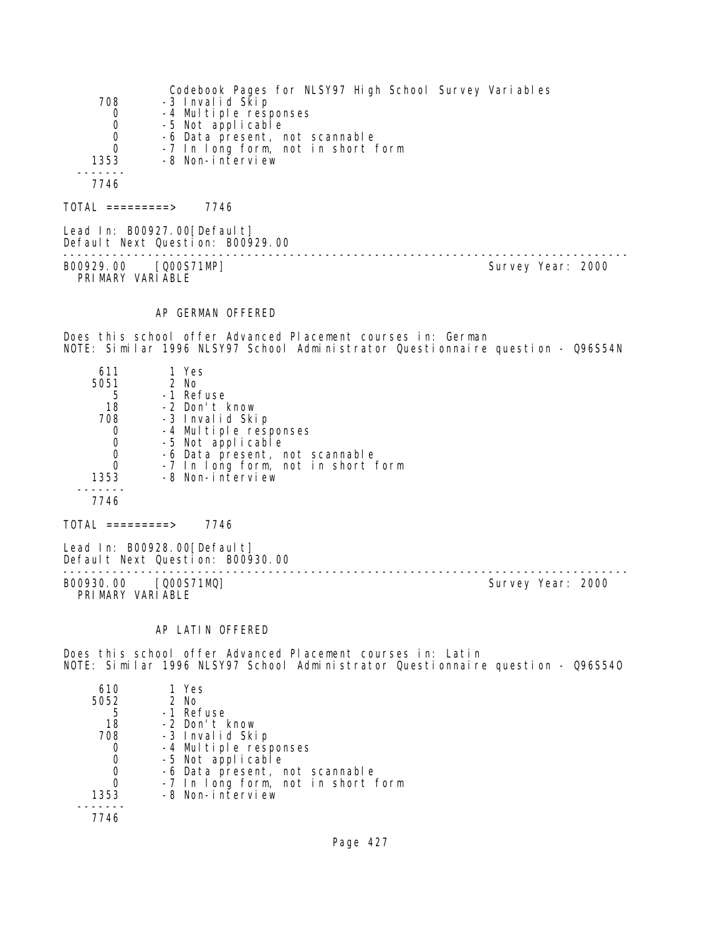|      | Codebook Pages for NLSY97 High School Survey Variables |
|------|--------------------------------------------------------|
| 708  | -3 Invalid Skip                                        |
| 0    | -4 Multiple responses                                  |
| 0    | -5 Not applicable                                      |
| 0    | -6 Data present, not scannable                         |
| 0    | -7 In long form, not in short form                     |
| 1353 | -8 Non-interview                                       |
|      |                                                        |
| 7746 |                                                        |
|      |                                                        |

 $TOTAL$  ========> 7746

Lead In: B00927.00[Default] Default Next Question: B00929.00 -------------------------------------------------------------------------------- B00929.00 [Q00S71MP] Survey Year: 2000 PRIMARY VARIABLE

### AP GERMAN OFFERED

Does this school offer Advanced Placement courses in: German NOTE: Similar 1996 NLSY97 School Administrator Questionnaire question - Q96S54N

| 611  | 1 Yes                              |
|------|------------------------------------|
| 5051 | $2$ No                             |
| 5    | -1 Refuse                          |
| 18   | -2 Don't know                      |
| 708  | -3 Invalid Skip                    |
| O    | -4 Multiple responses              |
| O    | -5 Not applicable                  |
| O    | -6 Data present, not scannable     |
| 0    | -7 In long form, not in short form |
| 1353 | -8 Non-interview                   |
|      |                                    |
| 7746 |                                    |

TOTAL =========> 7746

Lead In: B00928.00[Default] Default Next Question: B00930.00

B00930.00 [Q00S71MQ] PRIMARY VARIABLE

--------------------------------------------------------------------------------

# AP LATIN OFFERED

Does this school offer Advanced Placement courses in: Latin NOTE: Similar 1996 NLSY97 School Administrator Questionnaire question - Q96S54O

| 610  | 1 Yes                              |
|------|------------------------------------|
| 5052 | $2$ No                             |
| 5    | -1 Refuse                          |
| 18   | -2 Don't know                      |
| 708  | -3 Invalid Skip                    |
|      | -4 Multiple responses              |
| O    | -5 Not applicable                  |
|      | -6 Data present, not scannable     |
|      | -7 In long form, not in short form |
| 1353 | -8 Non-interview                   |
|      |                                    |
| 7746 |                                    |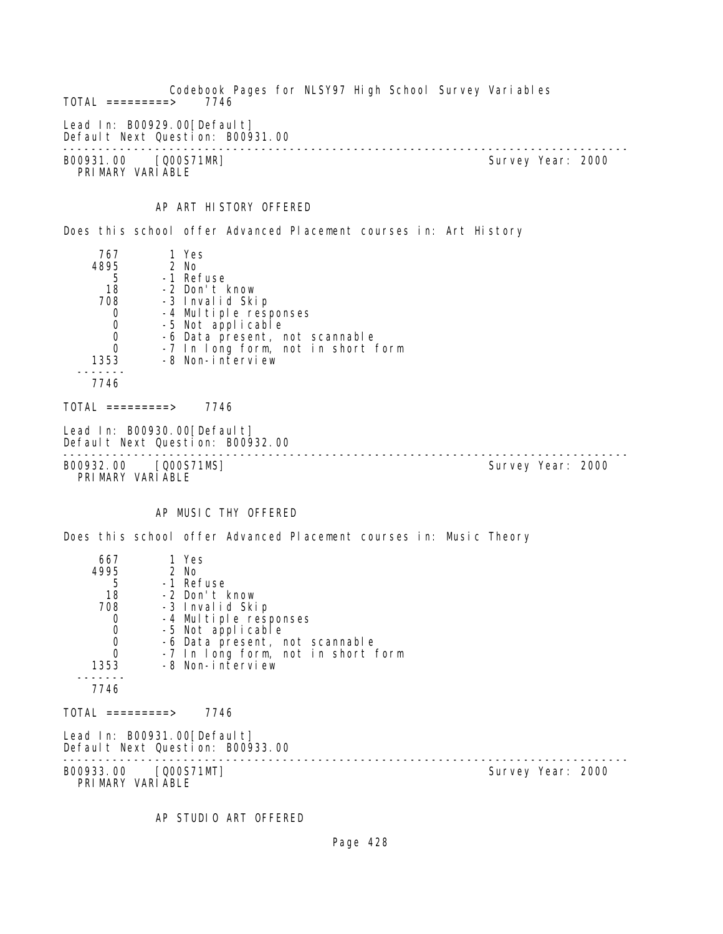Codebook Pages for NLSY97 High School Survey Variables  $TOTAL$  =========> Lead In: B00929.00 [Default] Default Next Question: B00931.00 -------------------------------------------------------------------------------- B00931.00 [Q00S71MR] PRIMARY VARIABLE AP ART HISTORY OFFERED Does this school offer Advanced Placement courses in: Art History 767 1 Yes 95 2 No<br>5 -1 Ret 5 -1 Refuse 18 -2 Don't know -3 Invalid Skip 0 -4 Multiple responses<br>0 -5 Not applicable 0 -5 Not applicable<br>0 -6 Data present. r 0 -6 Data present, not scannable 0 -7 In long form, not in short form 1353 -8 Non-interview ------- 7746  $TOTAL$  =========> 7746 Lead In: B00930.00[Default] Default Next Question: B00932.00 -------------------------------------------------------------------------------- B00932.00 [Q00S71MS] PRIMARY VARIABLE AP MUSIC THY OFFERED Does this school offer Advanced Placement courses in: Music Theory 667 1 Yes 95 2 No 5 -1 Refuse 18 -2 Don't know 708 -3 Invalid Skip 0 -4 Multiple responses 0 -5 Not applicable<br>0 -6 Data present. r 0 -6 Data present, not scannable 0 -7 In long form, not in short form 1353 -8 Non-interview ------- 7746 TOTAL =========> 7746 Lead In: B00931.00 [Default] Default Next Question: B00933.00 -------------------------------------------------------------------------------- B00933.00 [Q00S71MT]

PRIMARY VARIABLE

AP STUDIO ART OFFERED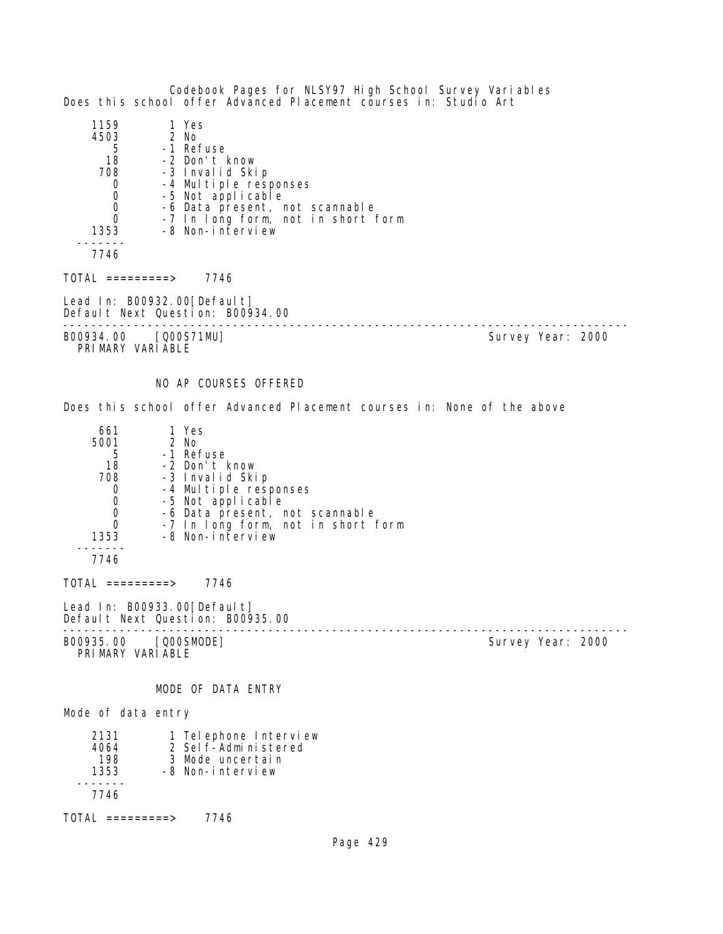Codebook Pages for NLSY97 High School Survey Variables Does this school offer Advanced Placement courses in: Studio Art 1159 1 Yes<br>4503 2 No  $\begin{array}{c} 4503 \\ 5 \end{array}$ 5 -1 Refuse<br>18 -2 Don't I 18 -2 Don't know 708 -3 Invalid Skip 0 -4 Multiple responses<br>0 -5 Not applicable 0 -5 Not applicable<br>0 -6 Data present. 0 -6 Data present, not scannable 0 -7 In long form, not in short form 1353 -8 Non-interview ------- 7746  $TOTAL$  =========> 7746 Lead In: B00932.00 [Default] Default Next Question: B00934.00 -------------------------------------------------------------------------------- B00934.00 [Q00S71MU] PRIMARY VARIABLE NO AP COURSES OFFERED Does this school offer Advanced Placement courses in: None of the above 661 1 Yes )1 2 No<br>5 -1 Ret 5 -1 Refuse 18 -2 Don't know<br>708 -3 Invalid Ski 708 -3 Invalid Skip 0 -4 Multiple responses<br>0 -5 Not applicable 0 -5 Not applicable<br>0 -6 Data present, n 0 -6 Data present, not scannable<br>0 -7 In Iong form, not in short 0 -7 In long form, not in short form<br>1353 -8 Non-interview -8 Non-interview ------- 7746  $TOTAL$  =========> 7746 Lead In: B00933.00 [Default] Default Next Question: B00935.00 -------------------------------------------------------------------------------- Survey Year: 2000 PRIMARY VARIABLE MODE OF DATA ENTRY Mode of data entry 2131 1 Telephone Interview<br>4064 2 Self-Administered 4064 2 Self-Administered 198 3 Mode uncertain 1353 -8 Non-interview ------- 7746

TOTAL =========> 7746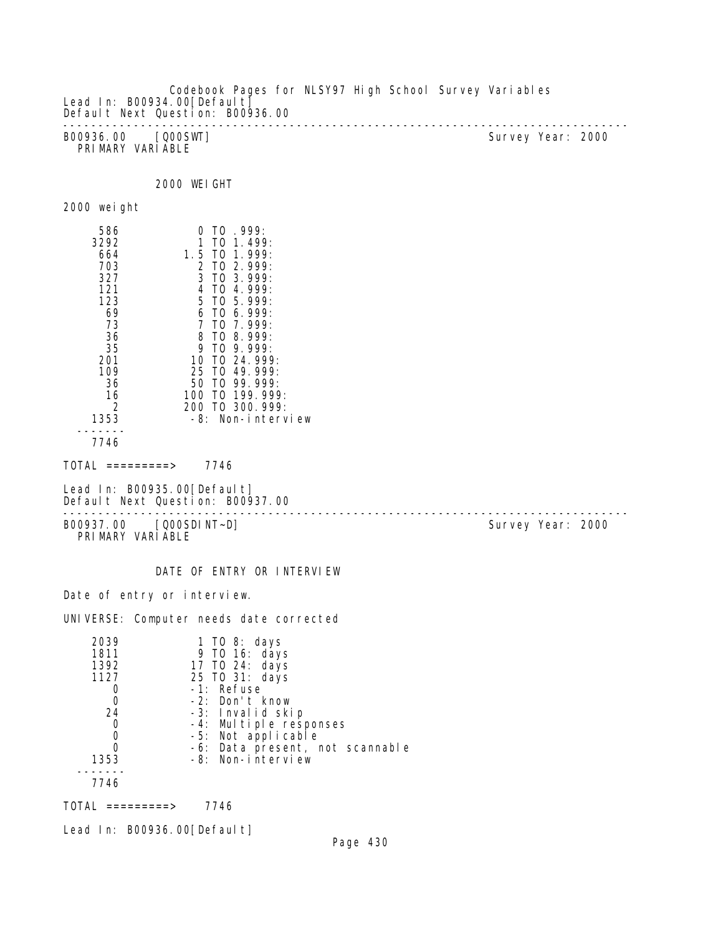Codebook Pages for NLSY97 High School Survey Variables Lead In: B00934.00 [Default] Default Next Question: B00936.00 -------------------------------------------------------------------------------- B00936.00 [Q00SWT] Survey Year: 2000 PRIMARY VARIABLE

2000 WEIGHT

| 2000 weight |  |
|-------------|--|
|             |  |

| 586<br>3292<br>664<br>703<br>327<br>121<br>123<br>69<br>73<br>36<br>35<br>201<br>109<br>36<br>16<br>2<br>1353 | T0.999:<br>0<br>1<br>$T0$ 1.499:<br>$T0$ 1.999:<br>1.5<br>2<br>$TO$ 2.999:<br>3 TO 3.999:<br>4<br>TO 4.999:<br>$5$ TO $5$ 999:<br>T0, 6, 999<br>6<br>7<br>TO 7.999:<br>TO 8.999:<br>8<br>9<br>T(1, 9, 999)<br>10<br>TO 24, 999:<br>25 TO 49, 999:<br>$T0$ 99.999:<br>50<br>TO 199, 999:<br>100.<br>200 TO 300, 999:<br>-8:<br>Non-interview |
|---------------------------------------------------------------------------------------------------------------|---------------------------------------------------------------------------------------------------------------------------------------------------------------------------------------------------------------------------------------------------------------------------------------------------------------------------------------------|
| 7746                                                                                                          |                                                                                                                                                                                                                                                                                                                                             |
|                                                                                                               |                                                                                                                                                                                                                                                                                                                                             |

 $TOTAL$  =========> 7746

Lead In: B00935.00[Default] Default Next Question: B00937.00

-------------------------------------------------------------------------------- B00937.00 [Q00SDINT~D] Survey Year: 2000 PRIMARY VARIABLE

DATE OF ENTRY OR INTERVIEW

Date of entry or interview.

UNIVERSE: Computer needs date corrected

| 2039 | 1 TO 8: days                    |
|------|---------------------------------|
| 1811 | 9 TO 16: days                   |
| 1392 | 17 TO 24: days                  |
| 1127 | 25 TO 31: days                  |
|      | -1: Refuse                      |
|      | -2: Don't know                  |
| 24   | -3: Invalid skip                |
| 0    | -4: Multiple responses          |
|      | -5: Not applicable              |
|      | -6: Data present, not scannable |
| 1353 | -8: Non-interview               |
|      |                                 |
| 7746 |                                 |
|      |                                 |

 $TOTAL$  =========> 7746

Lead In: B00936.00[Default]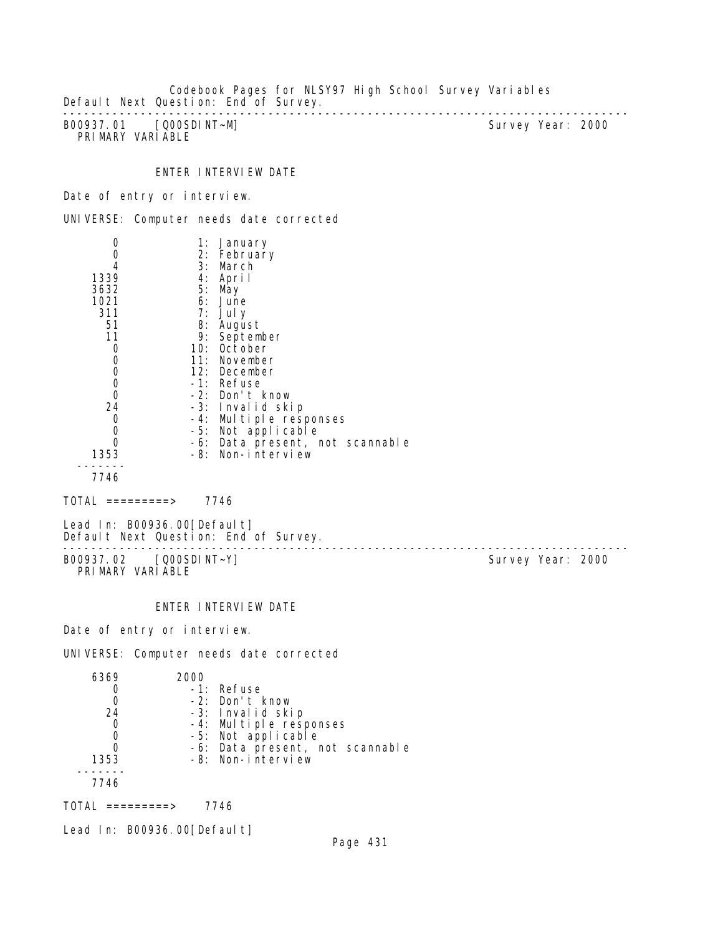Codebook Pages for NLSY97 High School Survey Variables Default Next Question: End of Survey. --------------------------------------------------------------------------------

B00937.01 [Q00SDINT~M] PRIMARY VARIABLE

# ENTER INTERVIEW DATE

Date of entry or interview.

UNIVERSE: Computer needs date corrected

|                                  | 1: | January                         |
|----------------------------------|----|---------------------------------|
|                                  |    | 2: February                     |
|                                  |    | 3: March                        |
| 1339                             |    | 4: April                        |
| 3632                             |    | 5: May                          |
| 1021                             |    | 6: June                         |
| 311                              |    | $7:$ July                       |
| 51                               |    | 8: August                       |
| 11                               |    | 9: September                    |
| 0                                |    | 10: October                     |
|                                  |    | 11: November                    |
| $\begin{matrix}0\\0\end{matrix}$ |    | 12: December                    |
| $\mathbf 0$                      |    | -1: Refuse                      |
| 0                                |    | -2: Don't know                  |
| 24                               |    | -3: Invalid skip                |
| 0                                |    | -4: Multiple responses          |
| 0                                |    | -5: Not applicable              |
|                                  |    | -6: Data present, not scannable |
| 1353                             |    | -8: Non-interview               |
| 7746                             |    |                                 |
|                                  |    |                                 |

 $TOTAL$  =========> 7746

Lead In: B00936.00[Default] Default Next Question: End of Survey.

-------------------------------------------------------------------------------- B00937.02 [Q00SDINT~Y] Survey Year: 2000 PRIMARY VARIABLE

ENTER INTERVIEW DATE

Date of entry or interview.

UNIVERSE: Computer needs date corrected

| 6369 | 2000 |                                 |
|------|------|---------------------------------|
|      |      | -1: Refuse                      |
|      |      | -2: Don't know                  |
| 24   |      | -3: Invalid skip                |
| 0    |      | -4: Multiple responses          |
|      |      | -5: Not applicable              |
|      |      | -6: Data present, not scannable |
| 1353 |      | -8: Non-interview               |
|      |      |                                 |
| 7746 |      |                                 |
|      |      |                                 |

 $TOTAL$  =========> 7746

Lead In: B00936.00[Default]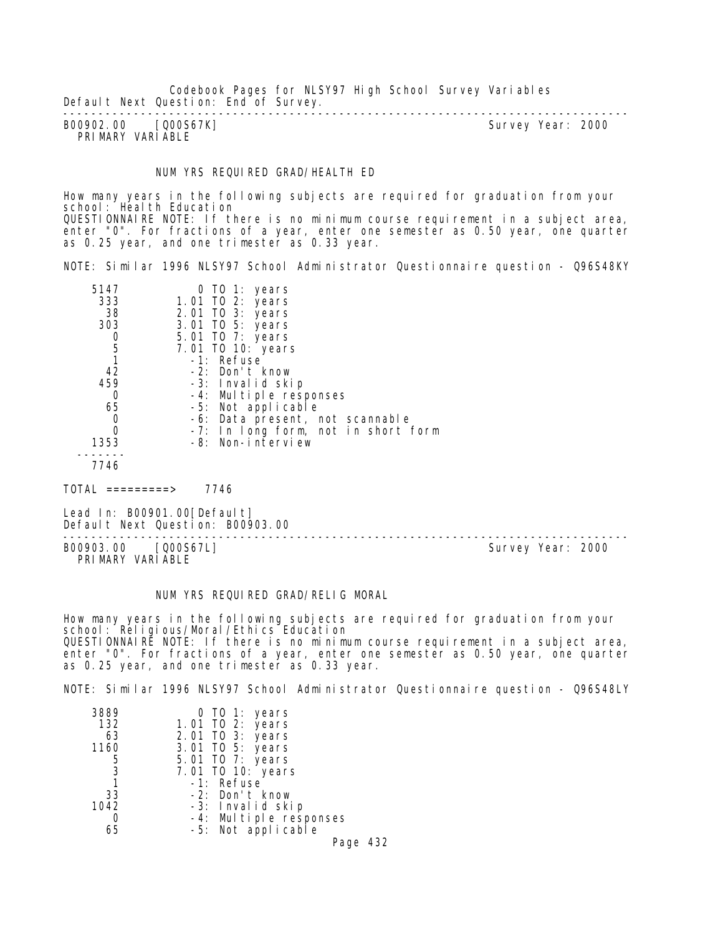Codebook Pages for NLSY97 High School Survey Variables Default Next Question: End of Survey.

-------------------------------------------------------------------------------- B00902.00 [Q00S67K] PRIMARY VARIABLE

#### NUM YRS REQUIRED GRAD/HEALTH ED

How many years in the following subjects are required for graduation from your school: Health Education QUESTIONNAIRE NOTE: If there is no minimum course requirement in a subject area, enter "0". For fractions of a year, enter one semester as 0.50 year, one quarter as 0.25 year, and one trimester as 0.33 year.

NOTE: Similar 1996 NLSY97 School Administrator Questionnaire question - Q96S48KY

| 5147 | 0 TO 1: years                       |
|------|-------------------------------------|
| 333  | 1.01 TO 2: years                    |
| 38   | 2.01 TO 3: years                    |
| 303  | 3.01 TO 5: years                    |
|      | 5.01 TO 7: years                    |
| 5    | 7.01 TO 10: years                   |
|      | -1: Refuse                          |
| 42   | -2: Don't know                      |
| 459  | -3: Invalid skip                    |
| 0    | -4: Multiple responses              |
| 65   | -5: Not applicable                  |
| O    | -6: Data present, not scannable     |
|      | -7: In long form, not in short form |
| 1353 | -8: Non-interview                   |
|      |                                     |
| 7746 |                                     |

 $TOTAI$  ========> 7746

Lead In: B00901.00[Default] Default Next Question: B00903.00

B00903.00 [Q00S67L] PRIMARY VARIABLE

--------------------------------------------------------------------------------

#### NUM YRS REQUIRED GRAD/RELIG MORAL

How many years in the following subjects are required for graduation from your school: Religious/Moral/Ethics Education QUESTIONNAIRE NOTE: If there is no minimum course requirement in a subject area, enter "0". For fractions of a year, enter one semester as 0.50 year, one quarter as 0.25 year, and one trimester as 0.33 year.

NOTE: Similar 1996 NLSY97 School Administrator Questionnaire question - Q96S48LY

| 3889 | 0 TO 1: years                                |
|------|----------------------------------------------|
| 132  | 1.01 TO 2: years                             |
| 63   | 2.01 TO 3: years                             |
| 1160 | 3.01 TO 5: years                             |
| 5    | 5.01 TO 7: years                             |
| 3    | 7.01 TO 10: years                            |
|      | -1: Refuse                                   |
| 33   | -2: Don't know                               |
| 1042 | -3: Invalid skip                             |
|      |                                              |
| 65   | -4: Multiple responses<br>-5: Not applicable |

Page 432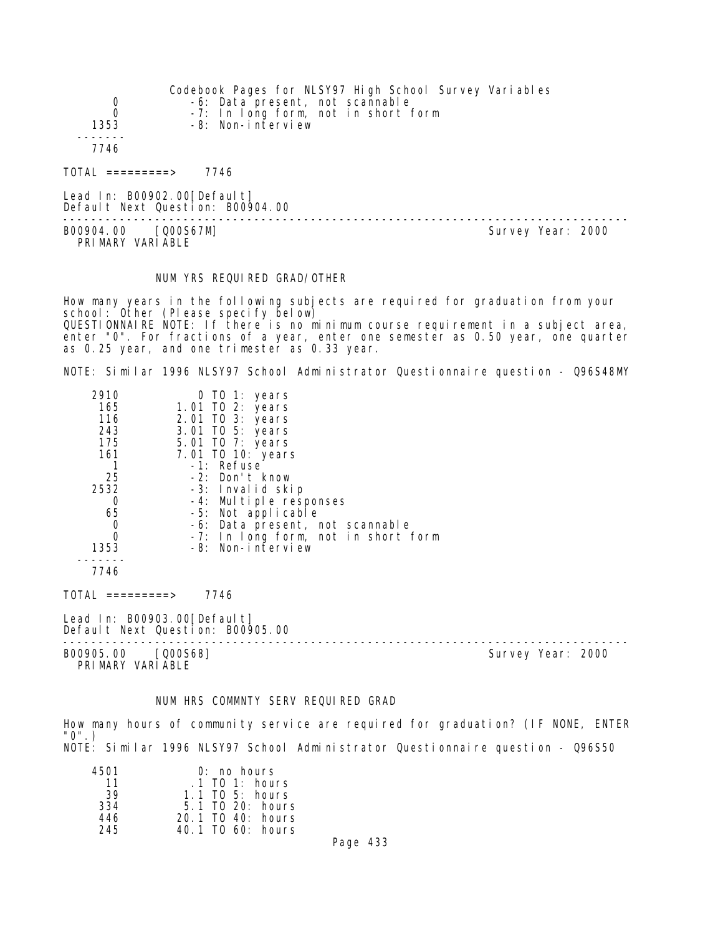|                                | Codebook Pages for NLSY97 High School Survey Variables |
|--------------------------------|--------------------------------------------------------|
| 0                              | -6: Data present, not scannable                        |
| $\Omega$                       | -7: In long form, not in short form                    |
| 1353                           | -8: Non-interview                                      |
|                                |                                                        |
| 7746                           |                                                        |
| $\overline{TOTAL}$ ==========> | 7746                                                   |
| Lead In: $B00902.00$ [Default] | Default Next Question: B00904.00                       |

B00904.00 [Q00S67M] PRIMARY VARIABLE

--------------------------------------------------------------------------------

#### NUM YRS REQUIRED GRAD/OTHER

How many years in the following subjects are required for graduation from your school: Other (Please specify below) QUESTIONNAIRE NOTE: If there is no minimum course requirement in a subject area, enter "0". For fractions of a year, enter one semester as 0.50 year, one quarter as 0.25 year, and one trimester as 0.33 year.

NOTE: Similar 1996 NLSY97 School Administrator Questionnaire question - Q96S48MY

| 2910     | 0 TO 1: years                       |
|----------|-------------------------------------|
| 165      | 1.01 TO 2: years                    |
| 116      | 2.01 TO 3: years                    |
| 243      | 3.01 TO 5: years                    |
| 175      | 5.01 TO 7: years                    |
| 161      | 7.01 TO 10: years                   |
|          | -1: Refuse                          |
| 25       | -2: Don't know                      |
| 2532     | -3: Invalid skip                    |
|          | -4: Multiple responses              |
| 65       | -5: Not applicable                  |
| 0        | -6: Data present, not scannable     |
| $\Omega$ | -7: In long form, not in short form |
| 1353     | -8: Non-interview                   |
|          |                                     |
| 7746     |                                     |
|          |                                     |

TOTAL =========> 7746

Lead In: B00903.00 [Default] Default Next Question: B00905.00

-------------------------------------------------------------------------------- B00905.00 [Q00S68] Survey Year: 2000

PRIMARY VARIABLE

#### NUM HRS COMMNTY SERV REQUIRED GRAD

How many hours of community service are required for graduation? (IF NONE, ENTER "0".) NOTE: Similar 1996 NLSY97 School Administrator Questionnaire question - Q96S50

| 4501 | $0:$ no hours      |
|------|--------------------|
| 11   | $.1$ TO 1: hours   |
| 39   | $1.1$ TO 5: hours  |
| 334  | $5.1$ TO 20: hours |
| 446  | 20.1 TO 40: hours  |
| 245  | 40.1 TO 60: hours  |

Page 433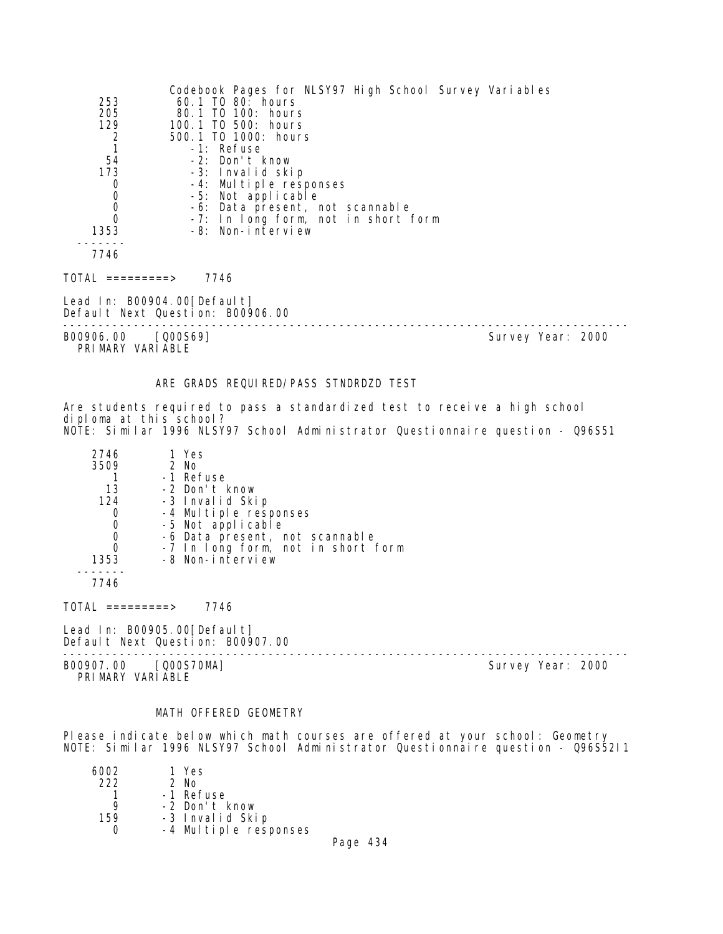| 253<br>205<br>129<br>$\frac{2}{1}$<br>54<br>173<br>0<br>$\mathbf 0$<br>$\mathbf 0$<br>$\Omega$<br>1353<br>7746 | Codebook Pages for NLSY97 High School Survey Variables<br>60.1 TO 80: hours<br>80.1 TO 100: hours<br>100.1 TO 500: hours<br>500.1 TO 1000: hours<br>-1: Refuse<br>-2: Don't know<br>-3: Invalid skip<br>-4: Multiple responses<br>-5: Not applicable<br>-6: Data present, not scannable<br>-7: In long form, not in short form<br>-8: Non-interview |                   |
|----------------------------------------------------------------------------------------------------------------|-----------------------------------------------------------------------------------------------------------------------------------------------------------------------------------------------------------------------------------------------------------------------------------------------------------------------------------------------------|-------------------|
| TOTAL =========>                                                                                               | 7746                                                                                                                                                                                                                                                                                                                                                |                   |
|                                                                                                                | Lead In: B00904.00[Default]<br>Default Next Question: B00906.00                                                                                                                                                                                                                                                                                     |                   |
| B00906.00 [Q00S69]<br>PRIMARY VARIABLE                                                                         |                                                                                                                                                                                                                                                                                                                                                     | Survey Year: 2000 |
|                                                                                                                | ARE GRADS REQUIRED/PASS STNDRDZD TEST                                                                                                                                                                                                                                                                                                               |                   |

Are students required to pass a standardized test to receive a high school diploma at this school? NOTE: Similar 1996 NLSY97 School Administrator Questionnaire question - Q96S51

| 2746<br>3509 | 1 Yes<br>2 No<br>-1 Refuse         |
|--------------|------------------------------------|
|              |                                    |
| 13           | -2 Don't know                      |
| 124          | -3 Invalid Skip                    |
| 0            | -4 Multiple responses              |
| 0            | -5 Not applicable                  |
| 0            | -6 Data present, not scannable     |
| 0            | -7 In long form, not in short form |
| 1353         | -8 Non-interview                   |
| 7746         |                                    |

 $TOTAL$  =========> 7746

Lead In: B00905.00[Default] Default Next Question: B00907.00

PRIMARY VARIABLE

-------------------------------------------------------------------------------- B00907.00 [Q00S70MA] Survey Year: 2000

## MATH OFFERED GEOMETRY

Please indicate below which math courses are offered at your school: Geometry NOTE: Similar 1996 NLSY97 School Administrator Questionnaire question - Q96S52I1

| 6002 | 1 Yes                 |  |
|------|-----------------------|--|
| 222  | 2 No                  |  |
|      | -1 Refuse             |  |
|      | -2 Don't know         |  |
| 159  | -3 Invalid Skip       |  |
|      | -4 Multiple responses |  |
|      |                       |  |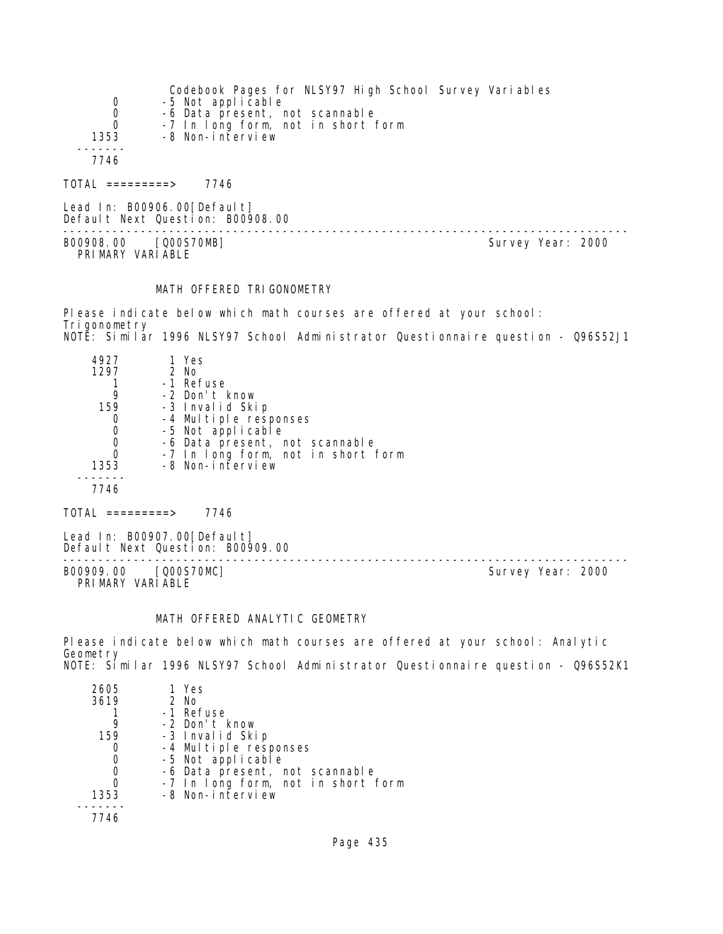| 0        | Codebook Pages for NLSY97 High School Survey Variables<br>-5 Not applicable |
|----------|-----------------------------------------------------------------------------|
| 0        | -6 Data present, not scannable                                              |
| $\Omega$ | -7 In long form, not in short form                                          |
| 1353     | -8 Non-interview                                                            |
|          |                                                                             |
| 7746     |                                                                             |
|          |                                                                             |

Lead In: B00906.00[Default] Default Next Question: B00908.00

B00908.00 [Q00S70MB] Survey Year: 2000 PRIMARY VARIABLE

 $TOTAL$  =========> 7746

--------------------------------------------------------------------------------

#### MATH OFFERED TRIGONOMETRY

Please indicate below which math courses are offered at your school: Trigonometry NOTE: Similar 1996 NLSY97 School Administrator Questionnaire question - Q96S52J1

| 4927 | 1 Yes                              |
|------|------------------------------------|
| 1297 | $2$ No                             |
|      | -1 Refuse                          |
| 9    | -2 Don't know                      |
| 159  | -3 Invalid Skip                    |
|      | -4 Multiple responses              |
|      | -5 Not applicable                  |
|      | -6 Data present, not scannable     |
|      | -7 In long form, not in short form |
| 1353 | -8 Non-interview                   |
|      |                                    |
| 7746 |                                    |
|      |                                    |

 $TOTAL$  =========> 7746

Lead In: B00907.00[Default] Default Next Question: B00909.00

B00909.00 [Q00S70MC] PRIMARY VARIABLE

--------------------------------------------------------------------------------

## MATH OFFERED ANALYTIC GEOMETRY

Please indicate below which math courses are offered at your school: Analytic Geometry NOTE: Similar 1996 NLSY97 School Administrator Questionnaire question - Q96S52K1

| 2605 | 1 Yes                              |
|------|------------------------------------|
| 3619 | 2 No                               |
|      | -1 Refuse                          |
|      | -2 Don't know                      |
| 159  | -3 Invalid Skip                    |
|      | -4 Multiple responses              |
|      | -5 Not applicable                  |
|      | -6 Data present, not scannable     |
|      | -7 In long form, not in short form |
| 1353 | -8 Non-interview                   |
|      |                                    |
|      |                                    |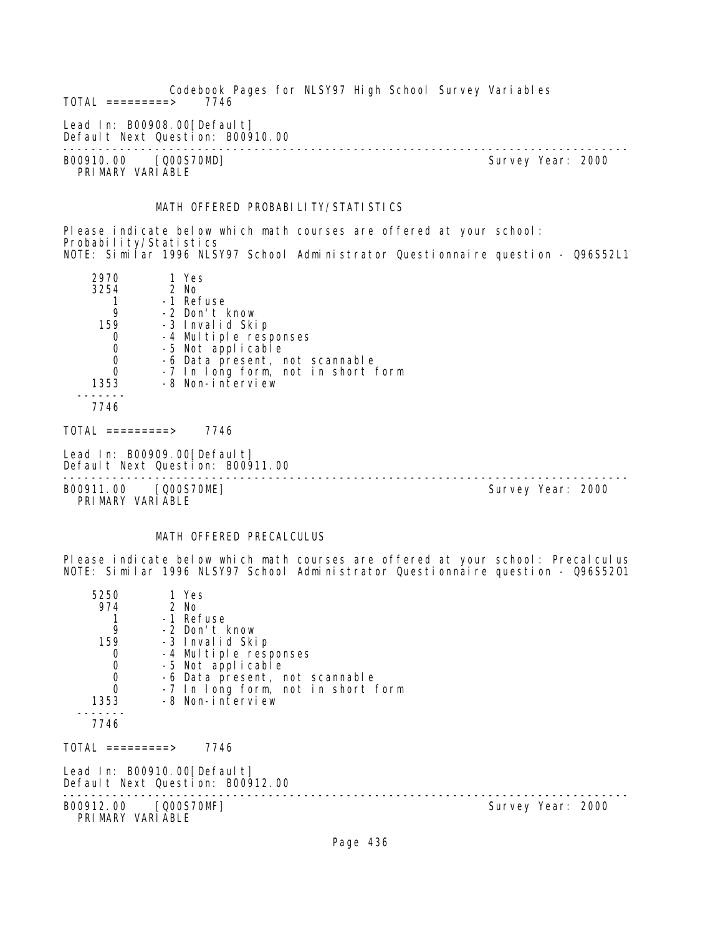Codebook Pages for NLSY97 High School Survey Variables  $TOTAL$  =========> Lead In: B00908.00[Default] Default Next Question: B00910.00 -------------------------------------------------------------------------------- B00910.00 [Q00S70MD] Survey Year: 2000 PRIMARY VARIABLE

# MATH OFFERED PROBABILITY/STATISTICS

Please indicate below which math courses are offered at your school: Probability/Statistics NOTE: Similar 1996 NLSY97 School Administrator Questionnaire question - Q96S52L1

| 2970<br>3254<br>9<br>159<br>0<br>$\mathbf 0$<br>$\begin{matrix}0\\0\end{matrix}$<br>1353<br>7746 | 1 Yes<br>2 No<br>-1 Refuse<br>-2 Don't know<br>-3 Invalid Skip<br>-4 Multiple responses<br>-5 Not applicable<br>-6 Data present, not scannable<br>-7 In long form, not in short form<br>-8 Non-interview |                   |
|--------------------------------------------------------------------------------------------------|----------------------------------------------------------------------------------------------------------------------------------------------------------------------------------------------------------|-------------------|
| $\text{TOTAL}$ =========>                                                                        | 7746                                                                                                                                                                                                     |                   |
|                                                                                                  | Lead In: B00909.00[Default]<br>Default Next Question: B00911.00                                                                                                                                          |                   |
| B00911.00                                                                                        | [Q00S70ME]                                                                                                                                                                                               | Survey Year: 2000 |

PRIMARY VARIABLE

# MATH OFFERED PRECALCULUS

Please indicate below which math courses are offered at your school: Precalculus NOTE: Similar 1996 NLSY97 School Administrator Questionnaire question - Q96S52O1

| 5250                                   | 1 Yes                                                           |  |                   |  |
|----------------------------------------|-----------------------------------------------------------------|--|-------------------|--|
| 974                                    | 2 No                                                            |  |                   |  |
|                                        | -1 Refuse                                                       |  |                   |  |
| 9                                      | -2 Don't know                                                   |  |                   |  |
| 159                                    | -3 Invalid Skip                                                 |  |                   |  |
|                                        | -4 Multiple responses                                           |  |                   |  |
|                                        | -5 Not applicable                                               |  |                   |  |
| $\begin{matrix}0\\0\\0\\0\end{matrix}$ | -6 Data present, not scannable                                  |  |                   |  |
|                                        | -7 In long form, not in short form                              |  |                   |  |
| 1353                                   | -8 Non-interview                                                |  |                   |  |
| 7746                                   |                                                                 |  |                   |  |
| TOTAL =========>                       | 7746                                                            |  |                   |  |
|                                        | Lead In: B00910.00[Default]<br>Default Next Question: B00912.00 |  |                   |  |
| PRIMARY VARIABLE                       | B00912.00 [Q00S70MF]                                            |  | Survey Year: 2000 |  |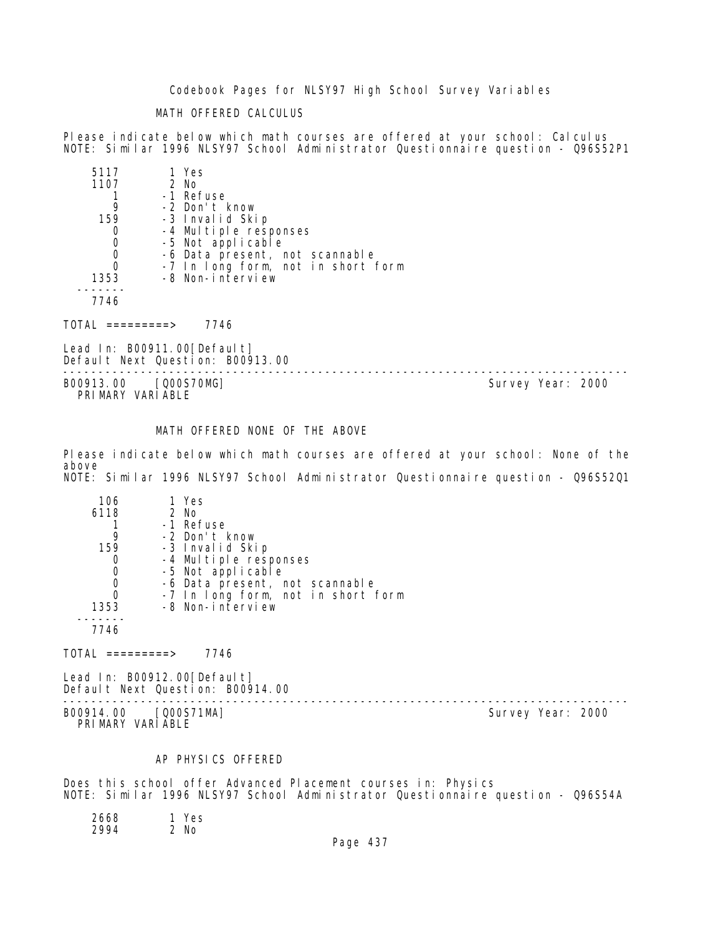Codebook Pages for NLSY97 High School Survey Variables

# MATH OFFERED CALCULUS

Please indicate below which math courses are offered at your school: Calculus NOTE: Similar 1996 NLSY97 School Administrator Questionnaire question - Q96S52P1

| 5117 | 1 Yes                              |
|------|------------------------------------|
| 1107 | $2$ No                             |
|      | -1 Refuse                          |
|      | -2 Don't know                      |
| 159  | -3 Invalid Skip                    |
|      | -4 Multiple responses              |
|      | -5 Not applicable                  |
|      | -6 Data present, not scannable     |
|      | -7 In long form, not in short form |
| 1353 | -8 Non-interview                   |
|      |                                    |
| 7746 |                                    |

TOTAL =========> 7746

Lead In: B00911.00[Default] Default Next Question: B00913.00

-------------------------------------------------------------------------------- B00913.00 [Q00S70MG] PRIMARY VARIABLE

# MATH OFFERED NONE OF THE ABOVE

Please indicate below which math courses are offered at your school: None of the above NOTE: Similar 1996 NLSY97 School Administrator Questionnaire question - Q96S52Q1

| 106      | 1 Yes                              |
|----------|------------------------------------|
| 6118     | 2 No                               |
|          | -1 Refuse                          |
| 9        | -2 Don't know                      |
| 159      | -3 Invalid Skip                    |
|          | -4 Multiple responses              |
|          | -5 Not applicable                  |
|          | -6 Data present, not scannable     |
| $\Omega$ | -7 In long form, not in short form |
| 1353     | -8 Non-interview                   |
|          |                                    |
| 7746     |                                    |

 $TOTAL$  =========> 7746

Lead In: B00912.00 [Default] Default Next Question: B00914.00

-------------------------------------------------------------------------------- B00914.00 [Q00S71MA] PRIMARY VARIABLE

#### AP PHYSICS OFFERED

Does this school offer Advanced Placement courses in: Physics NOTE: Similar 1996 NLSY97 School Administrator Questionnaire question - Q96S54A

 2668 1 Yes 2994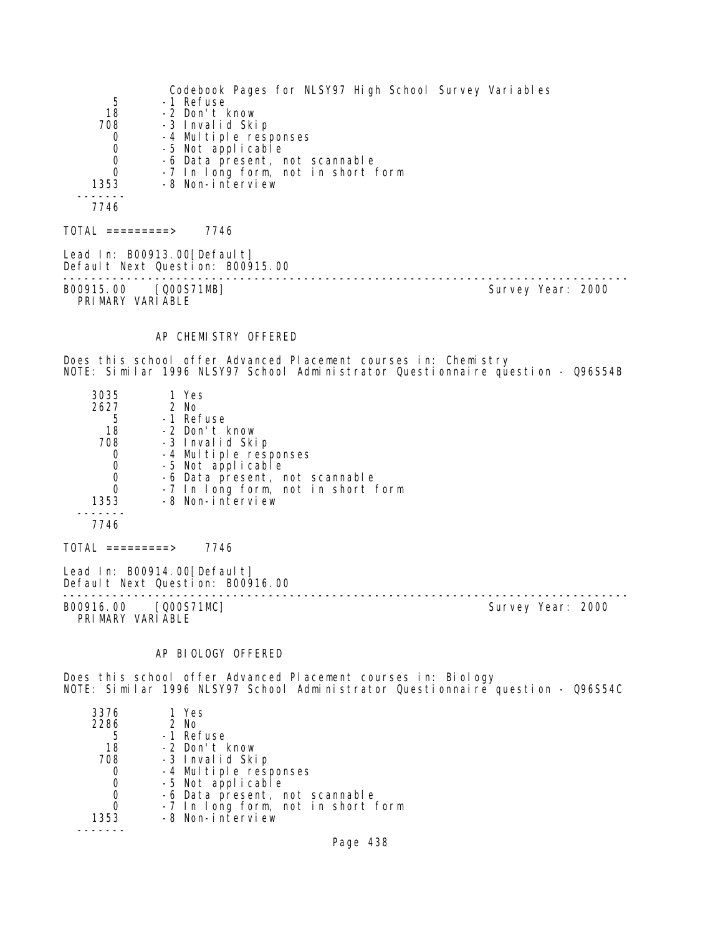Codebook Pages for NLSY97 High School Survey Variables 5 -1 Refuse 18 -2 Don't know y<br>1986 -- Johan Land Skip<br>1986 -- Johan Land Liple respondent 0 -4 Multiple responses 0 -5 Not applicable 0 -6 Data present, not scannable 0 -7 In long form, not in short form 1353 -8 Non-interview ------- 7746  $TOTAL$  ========> 7746 Lead In: B00913.00 [Default] Default Next Question: B00915.00 -------------------------------------------------------------------------------- B00915.00 [Q00S71MB] PRIMARY VARIABLE AP CHEMISTRY OFFERED Does this school offer Advanced Placement courses in: Chemistry NOTE: Similar 1996 NLSY97 School Administrator Questionnaire question - Q96S54B 3035 1 Yes 2627 2 No 5 -1 Refuse<br>18 -2 Don't I 18 -2 Don't know 708 -3 Invalid Skip 0 -4 Multiple responses 0 -5 Not applicable 0 -6 Data present, not scannable 0 -7 In long form, not in short form 1353 -8 Non-interview ------- 7746  $TOTAL$  ========> 7746 Lead In: B00914.00 [Default] Default Next Question: B00916.00 -------------------------------------------------------------------------------- Survey Year: 2000 PRIMARY VARIABLE AP BIOLOGY OFFERED Does this school offer Advanced Placement courses in: Biology NOTE: Similar 1996 NLSY97 School Administrator Questionnaire question - Q96S54C 3376 1 Yes 2 No 5 -1 Refuse 18 -2 Don't know ya ilima -3 Invalid Skip<br>108 -4 Multiple resp 0 -4 Multiple responses 0 -5 Not applicable

- 0 -6 Data present, not scannable<br>0 -7 In Long form, not in short 1
- 0 -7 In long form, not in short form
- -8 Non-interview -------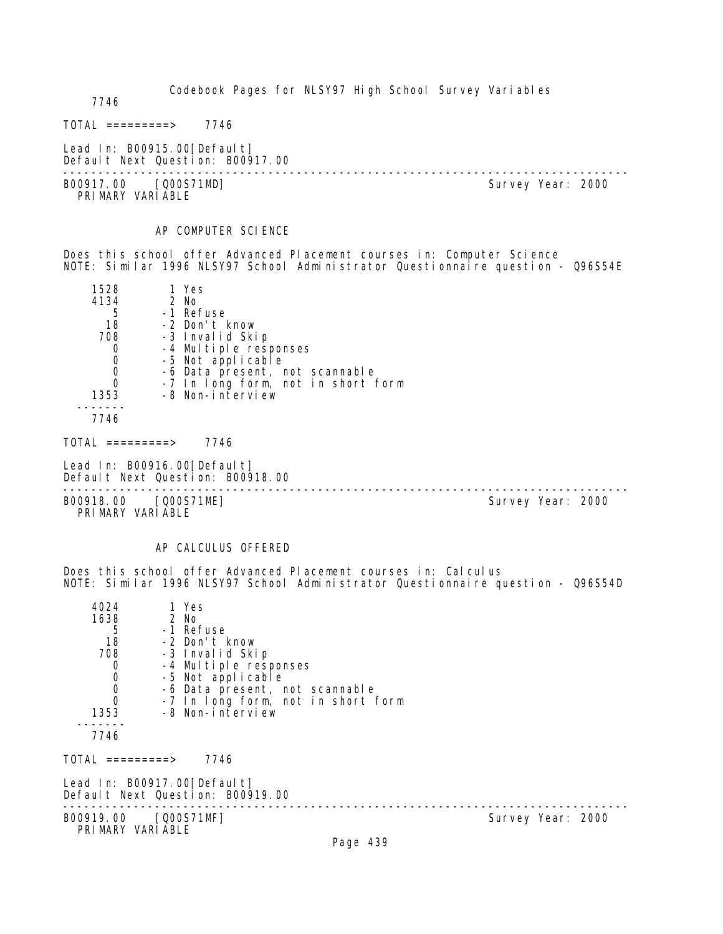Codebook Pages for NLSY97 High School Survey Variables

7746

 $TOTAL$  ========> 7746

Lead In: B00915.00 [Default] Default Next Question: B00917.00

B00917.00 [Q00S71MD] PRIMARY VARIABLE

--------------------------------------------------------------------------------

#### AP COMPUTER SCIENCE

Does this school offer Advanced Placement courses in: Computer Science NOTE: Similar 1996 NLSY97 School Administrator Questionnaire question - Q96S54E

| 1528 | 1 Yes                              |
|------|------------------------------------|
| 4134 | 2 No                               |
| 5    | -1 Refuse                          |
| 18   | -2 Don't know                      |
| 708  | -3 Invalid Skip                    |
|      | -4 Multiple responses              |
| 0    | -5 Not applicable                  |
| 0    | -6 Data present, not scannable     |
|      | -7 In long form, not in short form |
| 1353 | -8 Non-interview                   |
|      |                                    |

7746

 $TOTAL$  =========> 7746

Lead In: B00916.00 [Default] Default Next Question: B00918.00

-------------------------------------------------------------------------------- B00918.00 [Q00S71ME] PRIMARY VARIABLE

#### AP CALCULUS OFFERED

Does this school offer Advanced Placement courses in: Calculus NOTE: Similar 1996 NLSY97 School Administrator Questionnaire question - Q96S54D

| 4024<br>1638<br>5<br>18<br>708<br>$\mathbf 0$<br>$\begin{matrix} 0 \\ 0 \\ 0 \end{matrix}$ | 1 Yes<br>2 No<br>-1 Refuse<br>-2 Don't know<br>-3 Invalid Skip<br>-4 Multiple responses<br>-5 Not applicable<br>-6 Data present, not scannable<br>-7 In long form, not in short form |                   |
|--------------------------------------------------------------------------------------------|--------------------------------------------------------------------------------------------------------------------------------------------------------------------------------------|-------------------|
| 1353                                                                                       | -8 Non-interview                                                                                                                                                                     |                   |
| 7746                                                                                       |                                                                                                                                                                                      |                   |
| TOTAL =========>                                                                           | 7746                                                                                                                                                                                 |                   |
|                                                                                            | Lead In: B00917.00[Default]<br>Default Next Question: B00919.00                                                                                                                      |                   |
| B00919.00 [Q00S71MF]<br>PRIMARY VARIABLE                                                   |                                                                                                                                                                                      | Survey Year: 2000 |
|                                                                                            |                                                                                                                                                                                      | Page 439          |
|                                                                                            |                                                                                                                                                                                      |                   |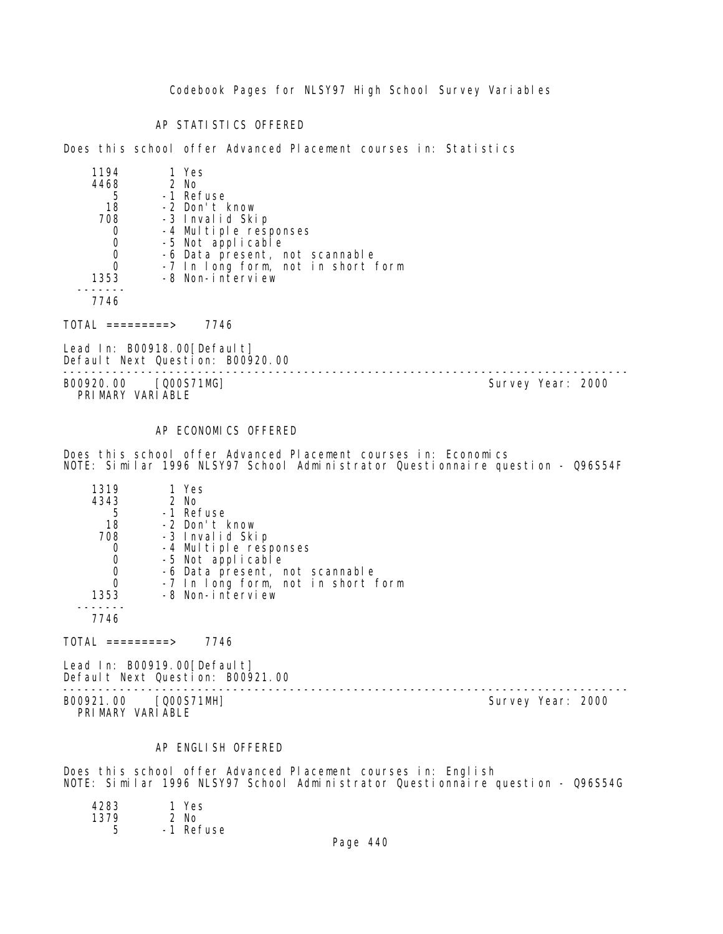Codebook Pages for NLSY97 High School Survey Variables

AP STATISTICS OFFERED

Does this school offer Advanced Placement courses in: Statistics

| 1194 | 1 Yes                              |
|------|------------------------------------|
| 4468 | $2$ No                             |
| 5    | -1 Refuse                          |
| 18   | -2 Don't know                      |
| 708  | -3 Invalid Skip                    |
|      | -4 Multiple responses              |
|      | -5 Not applicable                  |
|      | -6 Data present, not scannable     |
|      | -7 In long form, not in short form |
| 1353 | -8 Non-interview                   |
|      |                                    |
|      |                                    |

7746

TOTAL =========> 7746

Lead In: B00918.00[Default] Default Next Question: B00920.00

-------------------------------------------------------------------------------- PRIMARY VARIABLE

Survey Year: 2000

# AP ECONOMICS OFFERED

Does this school offer Advanced Placement courses in: Economics NOTE: Similar 1996 NLSY97 School Administrator Questionnaire question - Q96S54F

| 1319 | 1 Yes                              |
|------|------------------------------------|
| 4343 | 2 No                               |
| 5    | -1 Refuse                          |
| 18   | -2 Don't know                      |
| 708  | -3 Invalid Skip                    |
|      | -4 Multiple responses              |
| 0    | -5 Not applicable                  |
| 0    | -6 Data present, not scannable     |
|      | -7 In long form, not in short form |
| 1353 | -8 Non-interview                   |
|      |                                    |

7746

TOTAL =========> 7746

Lead In: B00919.00 [Default] Default Next Question: B00921.00

B00921.00 [Q00S71MH] Survey Year: 2000 PRIMARY VARIABLE

--------------------------------------------------------------------------------

#### AP ENGLISH OFFERED

Does this school offer Advanced Placement courses in: English NOTE: Similar 1996 NLSY97 School Administrator Questionnaire question - Q96S54G

| 4283 | 1 Yes     |
|------|-----------|
| 1379 | $2$ No    |
|      | -1 Refuse |